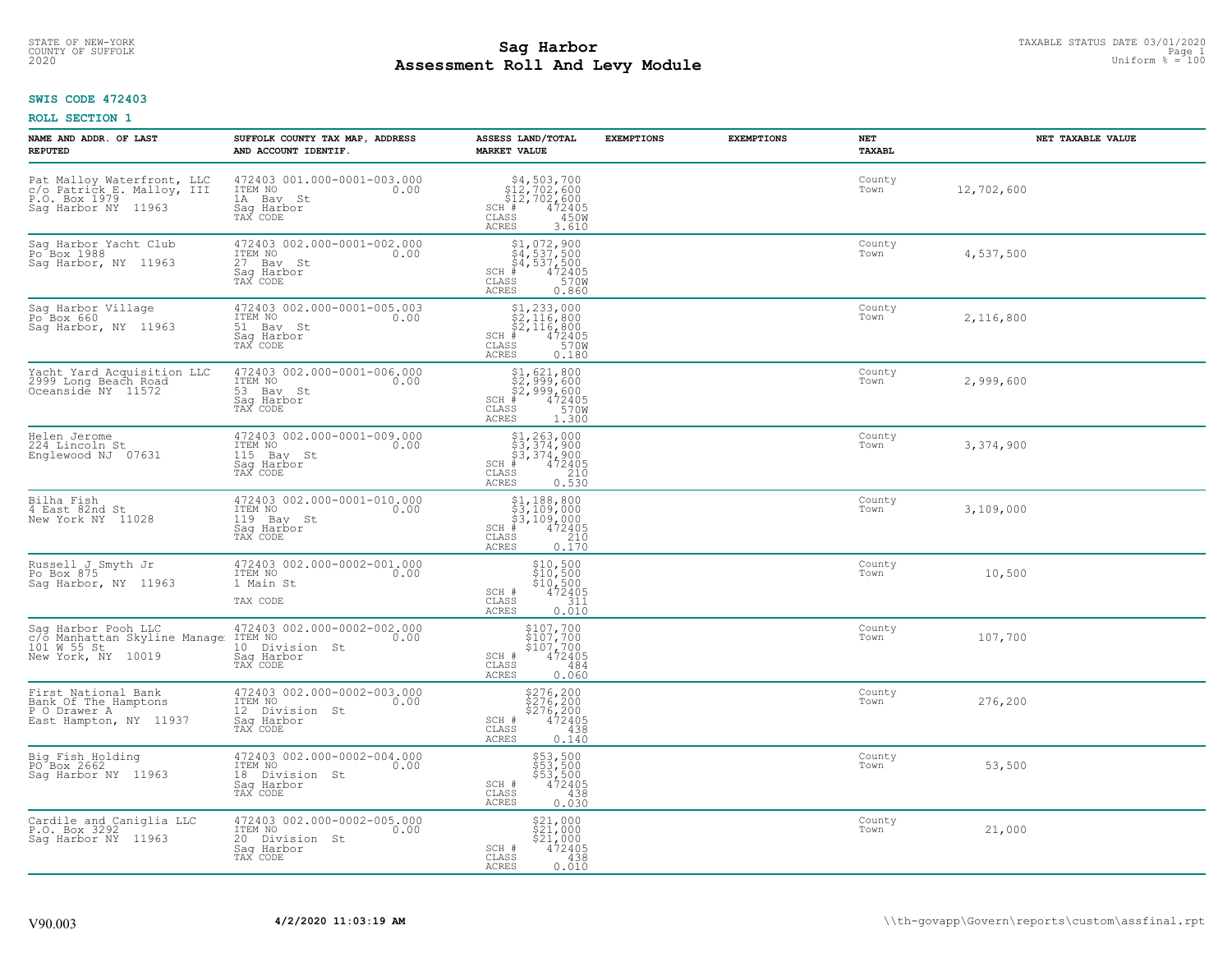# STATE OF NEW-YORK TAXABLE STATUS DATE 03/01/2020<br>COUNTY OF SUFFOLK Page 1 2 and 2001 2009 1 **Assessment Roll And Levy Module Example 2020** Uniform  $\frac{1}{8} = 100$

#### **SWIS CODE 472403**

| NAME AND ADDR. OF LAST<br><b>REPUTED</b>                                                         | SUFFOLK COUNTY TAX MAP, ADDRESS<br>AND ACCOUNT IDENTIF.                                    | ASSESS LAND/TOTAL<br>MARKET VALUE                                                                                                                      | <b>EXEMPTIONS</b> | <b>EXEMPTIONS</b> | NET<br><b>TAXABL</b> | NET TAXABLE VALUE |
|--------------------------------------------------------------------------------------------------|--------------------------------------------------------------------------------------------|--------------------------------------------------------------------------------------------------------------------------------------------------------|-------------------|-------------------|----------------------|-------------------|
| Pat Malloy Waterfront, LLC<br>c/o Patrick E. Malloy, III<br>P.O. Box 1979<br>Sag Harbor NY 11963 | 472403 001.000-0001-003.000<br>ITEM NO<br>0.00<br>1A Bay St<br>Saq Harbor<br>TAX CODE      | $54, 503, 700$<br>$512, 702, 600$<br>$512, 702, 600$<br>$1$ # 472405<br>$355$ 450M<br>SCH #<br>$\mathtt{CLASS}$<br><b>ACRES</b><br>3.610               |                   |                   | County<br>Town       | 12,702,600        |
| Sag Harbor Yacht Club<br>Po <sup>Box</sup> 1988<br>Saq Harbor, NY 11963                          | 472403 002.000-0001-002.000<br>TTEM NO 0.00<br>27 Bay St<br>Saq Harbor <sup>V</sup>        | $$4, 537, 500$<br>$$4, 537, 500$<br>$$4, 537, 500$<br>$$4, 537, 500$<br>$$472405$<br>SCH #<br>CLASS<br>570W<br><b>ACRES</b><br>0.860                   |                   |                   | County<br>Town       | 4,537,500         |
| Sag Harbor Village<br>Po Box 660<br>Saq Harbor, NY 11963                                         | 472403 002.000-0001-005.003<br>TTEM NO 0.00<br>51 Bay St<br>Saq Harbor<br>TAX CODE         | $$1,233,000$<br>$$2,116,800$<br>$$2,116,800$<br>$472405$<br>$$35$<br>$$700$<br>$SCH$ #<br>CLASS<br>ACRES<br>0.180                                      |                   |                   | County<br>Town       | 2,116,800         |
| Yacht Yard Acquisition LLC<br>2999 Long Beach Road<br>Oceanside NY 11572                         | 472403 002.000-0001-006.000<br>ITEM NO<br>0.00<br>53 Bay St<br>Sag Harbor<br>TAX CODE      | \$1,621,800<br>\$2,999,600<br>\$2,999,600<br># 472405<br>\$5,900<br>SCH #<br>CLASS<br><b>ACRES</b><br>1.300                                            |                   |                   | County<br>Town       | 2,999,600         |
| Helen Jerome<br>224 Lincoln St<br>Englewood NJ 07631                                             | 472403 002.000-0001-009.000<br>ITEM NO<br>0.00<br>115 Bay St<br>Sag Harbor<br>TAX CODE     | $$3, 263, 000$<br>$$3, 374, 900$<br>$$3, 374, 900$<br>$$472405$<br>$SCH$ #<br>CLASS<br>$\begin{array}{c} 210 \\ 0.530 \end{array}$<br><b>ACRES</b>     |                   |                   | County<br>Town       | 3,374,900         |
| Bilha Fish<br>4 East 82nd St<br>New York NY 11028                                                | 472403 002.000-0001-010.000<br>ITEM NO<br>0.00<br>119 Bay St<br>Saq Harbor<br>TAX CODE     | $$1, 188, 800$<br>$$3, 109, 000$<br>$$3, 109, 000$<br>$$4, 472405$<br>$SCH$ #<br>CLASS<br>$\begin{bmatrix} 210 \\ 0.170 \end{bmatrix}$<br><b>ACRES</b> |                   |                   | County<br>Town       | 3,109,000         |
| Russell J Smyth Jr<br>Po Box 875<br>Saq Harbor, NY 11963                                         | 472403 002.000-0002-001.000<br>ITEM NO<br>0.00<br>1 Main St<br>TAX CODE                    | $$10,500$<br>$$10,500$<br>$$10,500$<br>$$472405$<br>SCH #<br>31ĭ<br>CLASS<br>0.010<br><b>ACRES</b>                                                     |                   |                   | County<br>Town       | 10,500            |
| Sag Harbor Pooh LLC<br>c/o Manhattan Skyline Manage<br>101 W 55 St<br>New York, NY 10019         | 472403 002.000-0002-002.000<br>0.00<br>ITEM NO<br>10 Division St<br>Saq Harbor<br>TAX CODE | \$107,700<br>\$107,700<br>\$107,700<br>472405<br>SCH #<br>CLASS<br>484<br>0.060<br><b>ACRES</b>                                                        |                   |                   | County<br>Town       | 107,700           |
| First National Bank<br>Bank Of The Hamptons<br>P O Drawer A<br>East Hampton, NY 11937            | 472403 002.000-0002-003.000<br>ITEM NO<br>0.00<br>12 Division St<br>Saq Harbor<br>TAX CODE | \$276,200<br>\$276,200<br>\$276,200<br>\$276,200<br>SCH #<br>CLASS<br>438<br>0.140<br><b>ACRES</b>                                                     |                   |                   | County<br>Town       | 276,200           |
| Big Fish Holding<br>PO Box 2662<br>Sag Harbor NY 11963                                           | 472403 002.000-0002-004.000<br>ITEM NO<br>0.00<br>18 Division St<br>Saq Harbor<br>TAX CODE | \$53,500<br>\$53,500<br>\$53,500<br>\$5472405<br>SCH #<br>CLASS<br>438<br><b>ACRES</b><br>0.030                                                        |                   |                   | County<br>Town       | 53,500            |
| Cardile and Caniglia LLC<br>P.O. Box 3292<br>Saq Harbor NY 11963                                 | 472403 002.000-0002-005.000<br>0.00 0.00<br>20 Division St<br>Saq Harbor<br>TAX CODE       | \$21,000<br>\$21,000<br>\$21,000<br>SCH #<br>472405<br>CLASS<br>438<br><b>ACRES</b><br>0.010                                                           |                   |                   | County<br>Town       | 21,000            |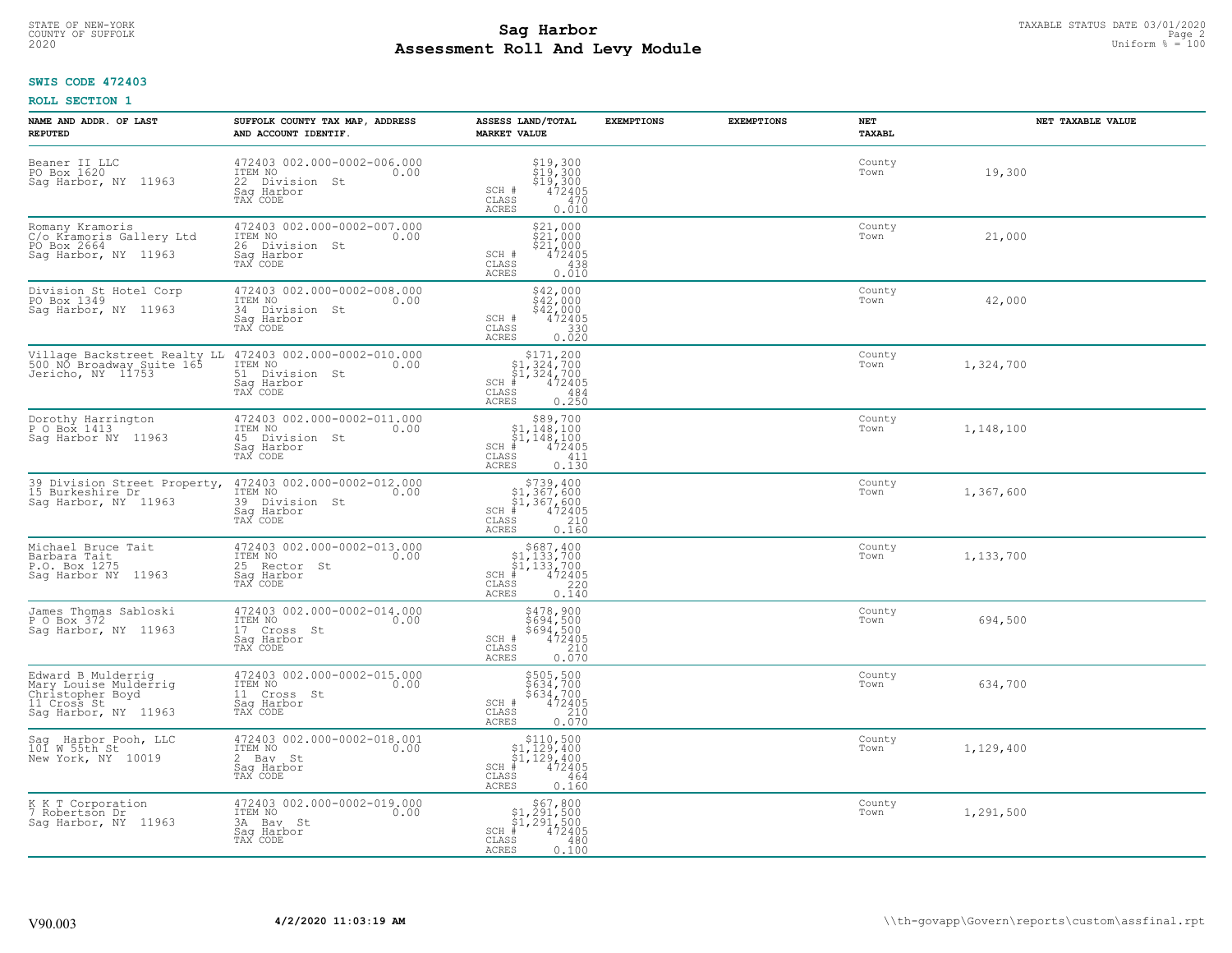# STATE OF NEW-YORK TAXABLE STATUS DATE 03/01/2020<br>COUNTY OF SUFFOLK Page 2 **Assessment Roll And Levy Module Example 100** Uniform  $\frac{100}{100}$  and  $\frac{100}{100}$

## **SWIS CODE 472403**

| NAME AND ADDR. OF LAST<br><b>REPUTED</b>                                                               | SUFFOLK COUNTY TAX MAP, ADDRESS<br>AND ACCOUNT IDENTIF.                                    | ASSESS LAND/TOTAL<br><b>MARKET VALUE</b>                                                                                       | <b>EXEMPTIONS</b> | <b>EXEMPTIONS</b> | NET<br>TAXABL  | NET TAXABLE VALUE |
|--------------------------------------------------------------------------------------------------------|--------------------------------------------------------------------------------------------|--------------------------------------------------------------------------------------------------------------------------------|-------------------|-------------------|----------------|-------------------|
| Beaner II LLC<br>PO Box 1620<br>Sag Harbor, NY 11963                                                   | 472403 002.000-0002-006.000<br>ITEM NO<br>0.00<br>22 Division St<br>Saq Harbor<br>TAX CODE | $$19,300$<br>$$19,300$<br>$$19,300$<br>$$19,300$<br>$472405$<br>SCH #<br>CLASS<br>470<br><b>ACRES</b><br>0.010                 |                   |                   | County<br>Town | 19,300            |
| Romany Kramoris<br>C/o Kramoris Gallery Ltd<br>PO Box 2664<br>Sag Harbor, NY 11963                     | 472403 002.000-0002-007.000<br>ITEM NO<br>0.00<br>26 Division St<br>Saq Harbor<br>TAX CODE | \$21,000<br>\$21,000<br>\$21,000<br>SCH #<br>472405<br>CLASS<br>438<br>0.010<br><b>ACRES</b>                                   |                   |                   | County<br>Town | 21,000            |
| Division St Hotel Corp<br>PO Box 1349<br>Sag Harbor, NY 11963                                          | 472403 002.000-0002-008.000<br>ITEM NO<br>0.00<br>34 Division St<br>Sag Harbor<br>TAX CODE | $$42,000$<br>$$42,000$<br>$$42,000$<br>SCH #<br>472405<br>$\mathtt{CLASS}$<br>330<br>0.020<br><b>ACRES</b>                     |                   |                   | County<br>Town | 42,000            |
| Village Backstreet Realty LL<br>500 NO Broadway Suite 165<br>Jericho, NY 11753                         | 472403 002.000-0002-010.000<br>ITEM NO<br>0.00<br>51 Division St<br>Saq Harbor<br>TAX CODE | $$171,200$<br>$$1,324,700$<br>$$1,324,700$<br>$$472405$<br>$SCH$ #<br>CLASS<br>484<br>ACRES<br>0.250                           |                   |                   | County<br>Town | 1,324,700         |
| Dorothy Harrington<br>P O Box 1413<br>Sag Harbor NY 11963                                              | 472403 002.000-0002-011.000<br>ITEM NO<br>0.00<br>45 Division St<br>Saq Harbor<br>TAX CODE | $\begin{array}{c} $89,700 $1,148,100 $1,148,100 # 472405 \end{array}$<br>$SCH$ #<br>CLASS<br>411<br>ACRES<br>0.130             |                   |                   | County<br>Town | 1,148,100         |
| 39 Division Street Property,<br>15 Burkeshire Dr<br>Sag Harbor, NY 11963                               | 472403 002.000-0002-012.000<br>ITEM NO<br>0.00<br>39 Division St<br>Sag Harbor<br>TAX CODE | $$739, 400$<br>$$1, 367, 600$<br>$$1, 367, 600$<br>$472405$<br>$$210$<br>SCH #<br>CLASS<br>0.160<br><b>ACRES</b>               |                   |                   | County<br>Town | 1,367,600         |
| Michael Bruce Tait<br>Barbara Tait<br>P.O. Box 1275<br>Sag Harbor NY 11963                             | 472403 002.000-0002-013.000<br>ITEM NO<br>0.00<br>25 Rector St<br>Saq Harbor<br>TAX CODE   | $$687,400$<br>$$1,133,700$<br>$$1,133,700$<br>$*1,133,700$<br>$*1,472405$<br>$SCH$ #<br>220<br>CLASS<br>0.140<br><b>ACRES</b>  |                   |                   | County<br>Town | 1,133,700         |
| James Thomas Sabloski<br>P O Box 372<br>Sag Harbor, NY 11963                                           | 472403 002.000-0002-014.000<br>ITEM NO<br>0.00<br>17 Cross St<br>Saq Harbor<br>TAX CODE    | \$478,900<br>\$694,500<br>\$694,500<br>472405<br>SCH #<br>CLASS<br>210<br>0.070<br>ACRES                                       |                   |                   | County<br>Town | 694,500           |
| Edward B Mulderrig<br>Mary Louise Mulderrig<br>Christopher Boyd<br>11 Cross St<br>Sag Harbor, NY 11963 | 472403 002.000-0002-015.000<br>TTEM NO 0.00<br>11 Cross St<br>Saq Harbor<br>TAX CODE       | \$505,500<br>\$634,700<br>\$634,700<br>472405<br>SCH #<br>CLASS<br>210<br><b>ACRES</b><br>0.070                                |                   |                   | County<br>Town | 634,700           |
| Sag Harbor Pooh, LLC<br>101 W 55th St<br>New York, NY 10019                                            | 472403 002.000-0002-018.001<br>ITEM NO<br>0.00<br>2 Bay St<br>Saq Harbor<br>TAX CODE       | $\begin{array}{c} $110,500\n$1,129,400\n$1,129,400\n#1,472405 \end{array}$<br>$SCH$ #<br>CLASS<br>464<br><b>ACRES</b><br>0.160 |                   |                   | County<br>Town | 1,129,400         |
| K K T Corporation<br>7 Robertson Dr<br>Saq Harbor, NY 11963                                            | 472403 002.000-0002-019.000<br>ITEM NO<br>0.00<br>3A Bay St<br>Sag Harbor<br>TAX CODE      | $$67,800$<br>$$1,291,500$<br>$$1,291,500$<br>$SCH$ #<br>472405<br>CLASS<br>480<br><b>ACRES</b><br>0.100                        |                   |                   | County<br>Town | 1,291,500         |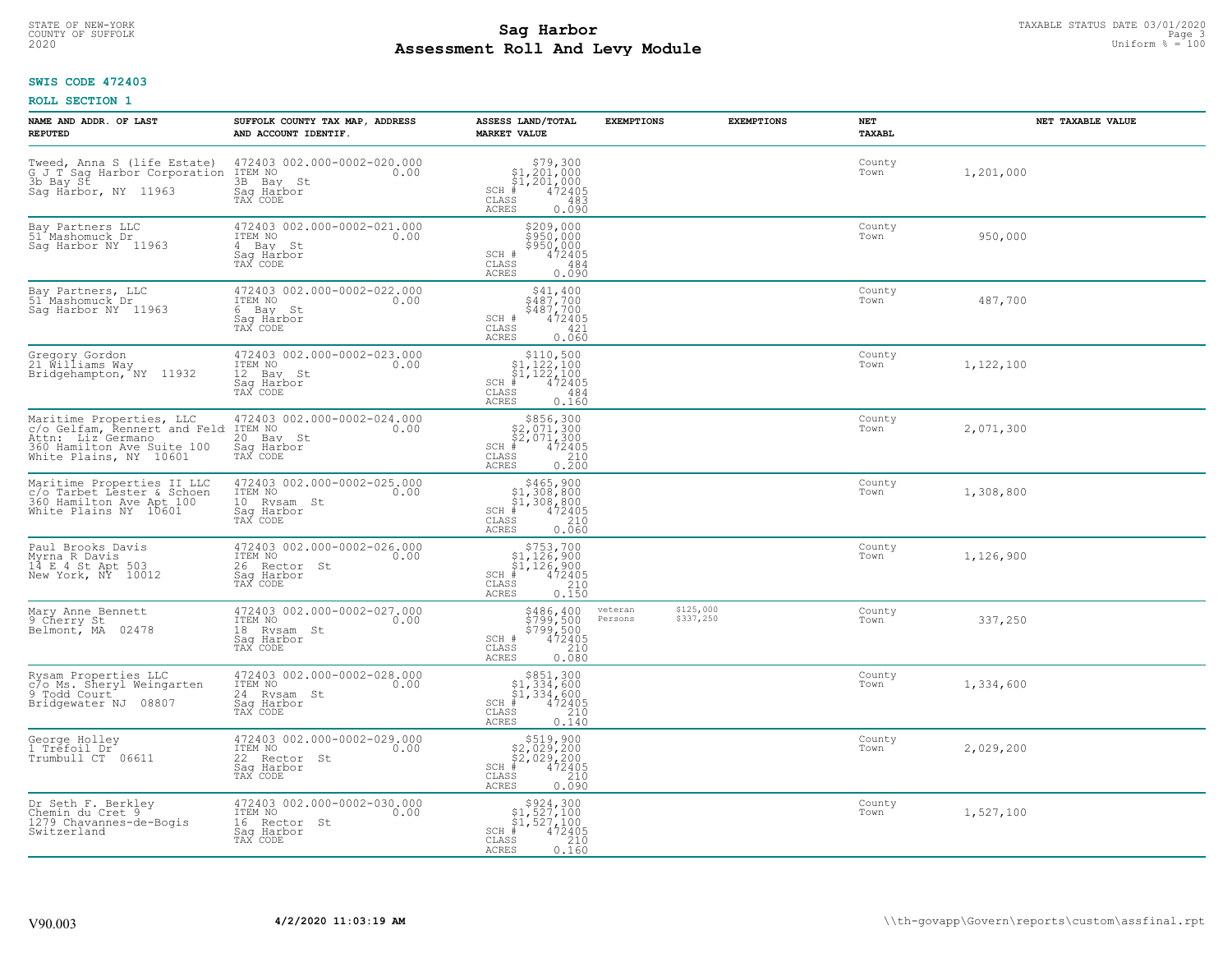#### **Sag Harbor** TAXABLE STATUS DATE 03/01/2020 TAXABLE STATUS DATE 03/01/2020 Page 3.1 and Taxable Page 3.1 and Taxable Page 3.1 and Taxable Page 3.1 and Taxable Page 3.1 and Taxable Page 3.1 and Taxable Page 3.1 and Taxable **Assessment Roll And Levy Module Example 100** Uniform  $\frac{100}{100}$  and  $\frac{100}{100}$ COUNTY OF SUFFOLK Page 3

## **SWIS CODE 472403**

| NAME AND ADDR. OF LAST<br><b>REPUTED</b>                                                                                              | SUFFOLK COUNTY TAX MAP, ADDRESS<br>AND ACCOUNT IDENTIF.                                  | ASSESS LAND/TOTAL<br><b>MARKET VALUE</b>                                                                                                                                                                      | <b>EXEMPTIONS</b>                            | <b>EXEMPTIONS</b> | NET<br><b>TAXABL</b> | NET TAXABLE VALUE |
|---------------------------------------------------------------------------------------------------------------------------------------|------------------------------------------------------------------------------------------|---------------------------------------------------------------------------------------------------------------------------------------------------------------------------------------------------------------|----------------------------------------------|-------------------|----------------------|-------------------|
| Tweed, Anna S (life Estate)<br>G J T Sag Harbor Corporation<br>3b Bay St<br>Saq Harbor, NY 11963                                      | 472403 002.000-0002-020.000<br>ITEM NO<br>0.00<br>3B Bay St<br>Saq Harbor<br>TAX CODE    | $$79,300$<br>$$1,201,000$<br>$$1,201,000$<br>$*$ 472405<br>$SCH$ #<br>CLASS<br>483<br><b>ACRES</b><br>0.090                                                                                                   |                                              |                   | County<br>Town       | 1,201,000         |
| Bay Partners LLC<br>51 Mashomuck Dr<br>Sag Harbor NY 11963                                                                            | 472403 002.000-0002-021.000<br>ITEM NO<br>0.00<br>4 Bay St<br>Sag Harbor<br>TAX CODE     | \$209,000<br>\$950,000<br>\$950,000<br>472405<br>SCH #<br>CLASS<br>484<br><b>ACRES</b><br>0.090                                                                                                               |                                              |                   | County<br>Town       | 950,000           |
| Bay Partners, LLC<br>51 Mashomuck Dr<br>Saq Harbor NY 11963                                                                           | 472403 002.000-0002-022.000<br>ITEM NO<br>0.00<br>6 Bay St<br>Saq Harbor<br>TAX CODE     | $\begin{array}{c} $41,400 \\ $487,700 \\ $487,700 \\ 472405 \end{array}$<br>SCH #<br>CLASS<br>421<br>0.060<br>ACRES                                                                                           |                                              |                   | County<br>Town       | 487,700           |
| Gregory Gordon<br>21 Williams Way<br>Bridgehampton, NY 11932                                                                          | 472403 002.000-0002-023.000<br>TTEM NO 0.00<br>12 Bay St<br>Saq Harbor<br>TAX CODE       | $\begin{array}{c} $110,500\n$1,122,100\n$1,122,100\n# 472405 \end{array}$<br>$SCH$ #<br>CLASS<br>484<br>0.160<br><b>ACRES</b>                                                                                 |                                              |                   | County<br>Town       | 1,122,100         |
| Maritime Properties, LLC<br>c/o Gelfam, Rennert and Feld<br>Attn: Liz Germano<br>360 Hamilton Ave Suite 100<br>White Plains, NY 10601 | 472403 002.000-0002-024.000<br>ITEM NO<br>0.00<br>20 Bay St<br>Saq Harbor<br>TAX CODE    | $\begin{array}{r}  \  \  \, 5856,300\\  \  \, 2,071,300\\  \  \, 2,071,300\\  \  \  \, 472405\\ \  \  \, 85\\ \  \  \, 210\\ \  \  \, 210\\ \  \  \, 0.200\\ \end{array}$<br>$SCH$ #<br>CLASS<br><b>ACRES</b> |                                              |                   | County<br>Town       | 2,071,300         |
| Maritime Properties II LLC<br>c/o Tarbet Lester & Schoen<br>360 Hamilton Ave Apt 100<br>White Plains NY 10601                         | 472403 002.000-0002-025.000<br>ITEM NO<br>0.00<br>10 Rysam St<br>Sag Harbor<br>TAX CODE  | $$465,900$<br>$$1,308,800$<br>$$1,308,800$<br>$472405$<br>$$210$<br>$SCH$ #<br>CLASS<br>0.060<br><b>ACRES</b>                                                                                                 |                                              |                   | County<br>Town       | 1,308,800         |
| Paul Brooks Davis<br>Myrna R Davis<br>14 E 4 St Apt 503<br>New York, NY 10012                                                         | 472403 002.000-0002-026.000<br>ITEM NO<br>0.00<br>26 Rector St<br>Saq Harbor<br>TAX CODE | $$753,700$<br>$$1,126,900$<br>$$1,126,900$<br>$$472405$<br>$SCH$ #<br>CLASS<br>$\frac{210}{0.150}$<br>ACRES                                                                                                   |                                              |                   | County<br>Town       | 1,126,900         |
| Mary Anne Bennett<br>9 Cherry St<br>Belmont, MA 02478                                                                                 | 472403 002.000-0002-027.000<br>10.00 0.00<br>18 Rysam St<br>Saq Harbor<br>TAX CODE       | \$486,400<br>\$799,500<br>\$799,500<br>\$799,500<br>SCH #<br>CLASS<br>210<br><b>ACRES</b><br>0.080                                                                                                            | \$125,000<br>veteran<br>\$337,250<br>Persons |                   | County<br>Town       | 337,250           |
| Rysam Properties LLC<br>c/o Ms. Sheryl Weingarten<br>9 Todd Court<br>Bridgewater NJ 08807                                             | 472403 002.000-0002-028.000<br>0.00 0.00<br>24 Rysam St<br>Saq Harbor<br>TAX CODE        | $$851,300$<br>$$1,334,600$<br>$$1,334,600$<br>$*$<br>$472405$<br>$$210$<br>$SCH$ #<br>CLASS<br><b>ACRES</b><br>0.140                                                                                          |                                              |                   | County<br>Town       | 1,334,600         |
| George Holley<br>1 Tréfoil Dr<br>Trumbull CT 06611                                                                                    | 472403 002.000-0002-029.000<br>ITEM NO<br>0.00<br>22 Rector St<br>Saq Harbor<br>TAX CODE | $$519,900$<br>$$2,029,200$<br>$$2,029,200$<br>$$472405$<br>$SCH$ #<br>CLASS<br>210<br><b>ACRES</b><br>0.090                                                                                                   |                                              |                   | County<br>Town       | 2,029,200         |
| Dr Seth F. Berkley<br>Chemin du Cret 9<br>1279 Chavannes-de-Bogis<br>Switzerland                                                      | 472403 002.000-0002-030.000<br>ITEM NO<br>0.00<br>16 Rector St<br>Saq Harbor<br>TAX CODE | $\begin{array}{c} $924,300\\ $1,527,100\\ $1,527,100 \end{array}$<br>$SCH$ #<br>472405<br>CLASS<br>210<br>0.160<br>ACRES                                                                                      |                                              |                   | County<br>Town       | 1,527,100         |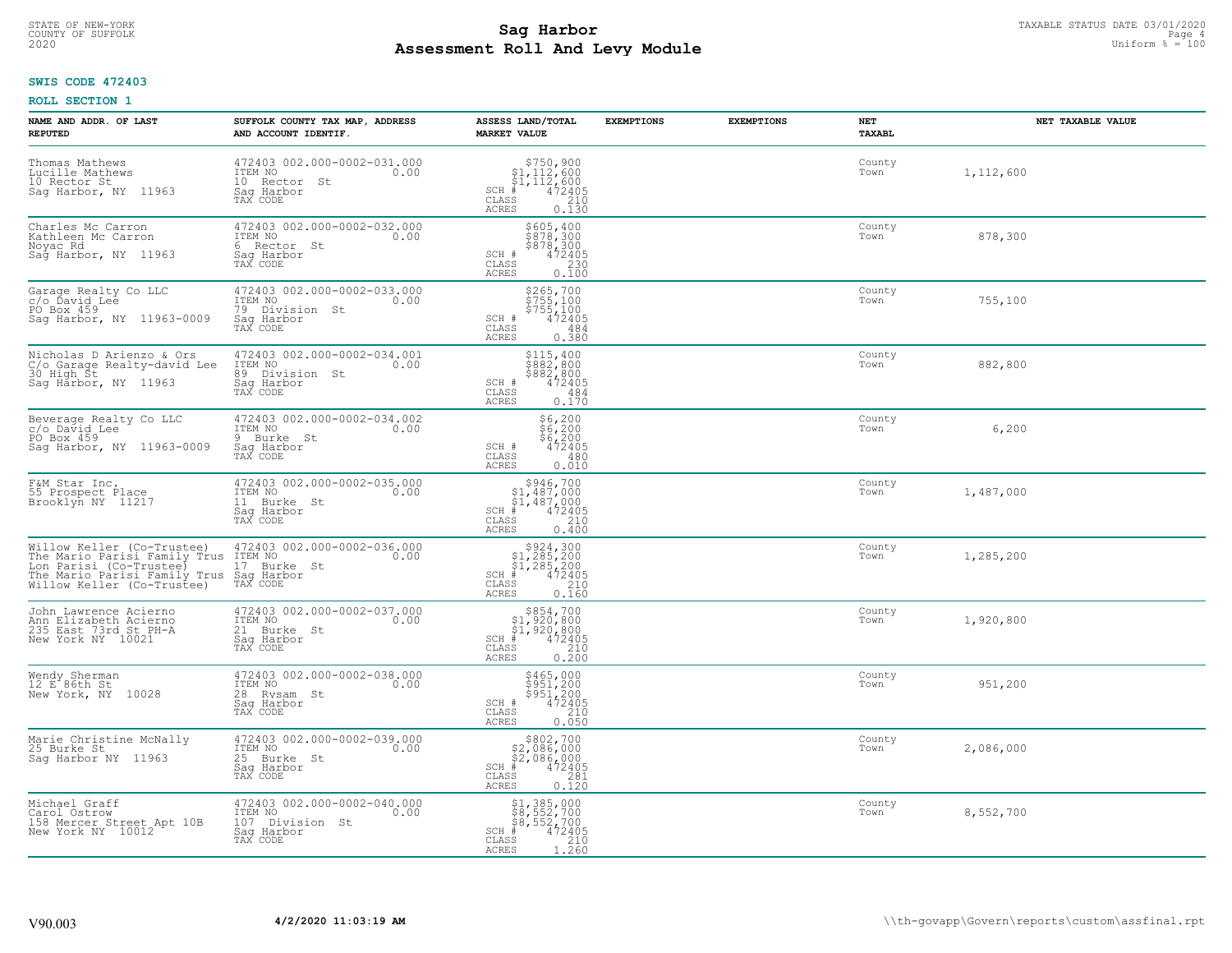#### **Sag Harbor** TAXABLE STATUS DATE 03/01/2020 TAXABLE STATUS DATE 03/01/2020 Page 4 **Assessment Roll And Levy Module Example 100** Uniform  $\frac{100}{100}$  and  $\frac{100}{100}$ COUNTY OF SUFFOLK Page 4

## **SWIS CODE 472403**

| NAME AND ADDR. OF LAST<br><b>REPUTED</b>                                                                                                                                                                   | SUFFOLK COUNTY TAX MAP, ADDRESS<br>AND ACCOUNT IDENTIF.                                     | ASSESS LAND/TOTAL<br><b>MARKET VALUE</b>                                                                           | <b>EXEMPTIONS</b> | <b>EXEMPTIONS</b> | NET<br><b>TAXABL</b> | NET TAXABLE VALUE |
|------------------------------------------------------------------------------------------------------------------------------------------------------------------------------------------------------------|---------------------------------------------------------------------------------------------|--------------------------------------------------------------------------------------------------------------------|-------------------|-------------------|----------------------|-------------------|
| Thomas Mathews<br>Lucille Mathews<br>10 Rector St<br>Sag Harbor, NY 11963                                                                                                                                  | 472403 002.000-0002-031.000<br>ITEM NO<br>0.00<br>10 Rector St<br>Saq Harbor<br>TAX CODE    | $$750,900$<br>$$1,112,600$<br>$$1,112,600$<br>$472405$<br>$$210$<br>$SCH$ #<br>CLASS<br><b>ACRES</b><br>0.130      |                   |                   | County<br>Town       | 1,112,600         |
| Charles Mc Carron<br>Kathleen Mc Carron<br>Noyac Rd<br>Sag Harbor, NY 11963                                                                                                                                | 472403 002.000-0002-032.000<br>ITEM NO<br>0.00<br>6 Rector St<br>Saq Harbor<br>TAX CODE     | \$605,400<br>\$878,300<br>\$878,300<br>SCH #<br>472405<br>CLASS<br>230<br>0.100<br><b>ACRES</b>                    |                   |                   | County<br>Town       | 878,300           |
| Garage Realty Co LLC<br>c/o Ďavid Lee<br>PO Box 459<br>Saq Harbor, NY 11963-0009                                                                                                                           | 472403 002.000-0002-033.000<br>ITEM NO<br>0.00<br>79 Division St<br>Saq Harbor<br>TAX CODE  | \$265,700<br>$\frac{5755}{5755}$ , 100<br>$\frac{5755}{472405}$<br>SCH #<br>CLASS<br>484<br>0.380<br>ACRES         |                   |                   | County<br>Town       | 755,100           |
| Nicholas D Arienzo & Ors<br>C/o Garage Realty-david Lee<br>30 High St<br>Sag Harbor, NY 11963                                                                                                              | 472403 002.000-0002-034.001<br>ITEM NO<br>0.00<br>89 Division St<br>Saq Harbor<br>TAX CODE  | \$115,400<br>\$882,800<br>\$882,800<br>472405<br>SCH #<br>CLASS<br>484<br><b>ACRES</b><br>0.170                    |                   |                   | County<br>Town       | 882,800           |
| Beverage Realty Co LLC<br>c/o David Lee<br>PO Box 459<br>Sag Harbor, NY 11963-0009                                                                                                                         | 472403 002.000-0002-034.002<br>ITEM NO<br>0.00<br>9 Burke St<br>Saq Harbor<br>TAX CODE      | \$6,200<br>$\frac{56}{6}$ , 200<br>\$6, 200<br>472405<br>SCH #<br>$\mathtt{CLASS}$<br>480<br>0.010<br><b>ACRES</b> |                   |                   | County<br>Town       | 6,200             |
| F&M Star Inc.<br>55 Prospect Place<br>Brooklyn NY 11217                                                                                                                                                    | 472403 002.000-0002-035.000<br>ITEM NO<br>0.00<br>11 Burke St<br>Sag Harbor<br>TAX CODE     | $$946,700\n$1,487,000\n$1,487,000\n# 472405\n$5\n$210$<br>$SCH$ #<br>CLASS<br>0.400<br><b>ACRES</b>                |                   |                   | County<br>Town       | 1,487,000         |
| Willow Keller (Co-Trustee) 472403 002.000<br>The Mario Parisi Family Trus ITEM NO<br>Lon Parisi (Co-Trustee) 17 Burke St<br>The Mario Parisi Family Trus Sag Harbor<br>Willow Keller (Co-Trustee) TAX CODE | 472403 002.000-0002-036.000<br>0.00                                                         | $$324,30051,285,20051,285,200+ 472405$<br>$SCH$ #<br>CLASS<br>210<br>0.160<br><b>ACRES</b>                         |                   |                   | County<br>Town       | 1,285,200         |
| John Lawrence Acierno<br>Ann Elizabeth Acierno<br>235 East 73rd St PH-A<br>New York NY 10021                                                                                                               | 472403 002.000-0002-037.000<br>TTEM NO 0.00<br>21 Burke St<br>Saq Harbor<br>TAX CODE        | $$854,700$<br>$$1,920,800$<br>$$1,920,800$<br>$$472405$<br>SCH #<br>CLASS<br>210<br><b>ACRES</b><br>0.200          |                   |                   | County<br>Town       | 1,920,800         |
| Wendy Sherman<br>12 E 86th St<br>New York, NY 10028                                                                                                                                                        | 472403 002.000-0002-038.000<br>TTEM NO 0.00<br>28 Rysam St<br>Saq Harbor<br>TAX CODE        | \$465,000<br>\$951,200<br>\$951,200<br>SCH #<br>472405<br>CLASS<br>210<br><b>ACRES</b><br>0.050                    |                   |                   | County<br>Town       | 951,200           |
| Marie Christine McNally<br>25 Burke St<br>Sag Harbor NY 11963                                                                                                                                              | 472403 002.000-0002-039.000<br>ITEM NO<br>0.00<br>25 Burke St<br>Sag Harbor<br>TAX CODE     | $$802,700\n$2,086,000\n$2,086,000\n# 472405\n85\n281\n281$<br>$SCH$ #<br>CLASS<br>0.120<br><b>ACRES</b>            |                   |                   | County<br>Town       | 2,086,000         |
| Michael Graff<br>Carol Ostrow<br>158 Mercer Street Apt 10B<br>New York NY 10012                                                                                                                            | 472403 002.000-0002-040.000<br>ITEM NO<br>107 Division St<br>0.00<br>Sag Harbor<br>TAX CODE | \$1,385,000<br>\$8,552,700<br>\$8,552,700<br>$SCH$ #<br>472405<br>CLASS<br>$\frac{210}{1.260}$<br><b>ACRES</b>     |                   |                   | County<br>Town       | 8,552,700         |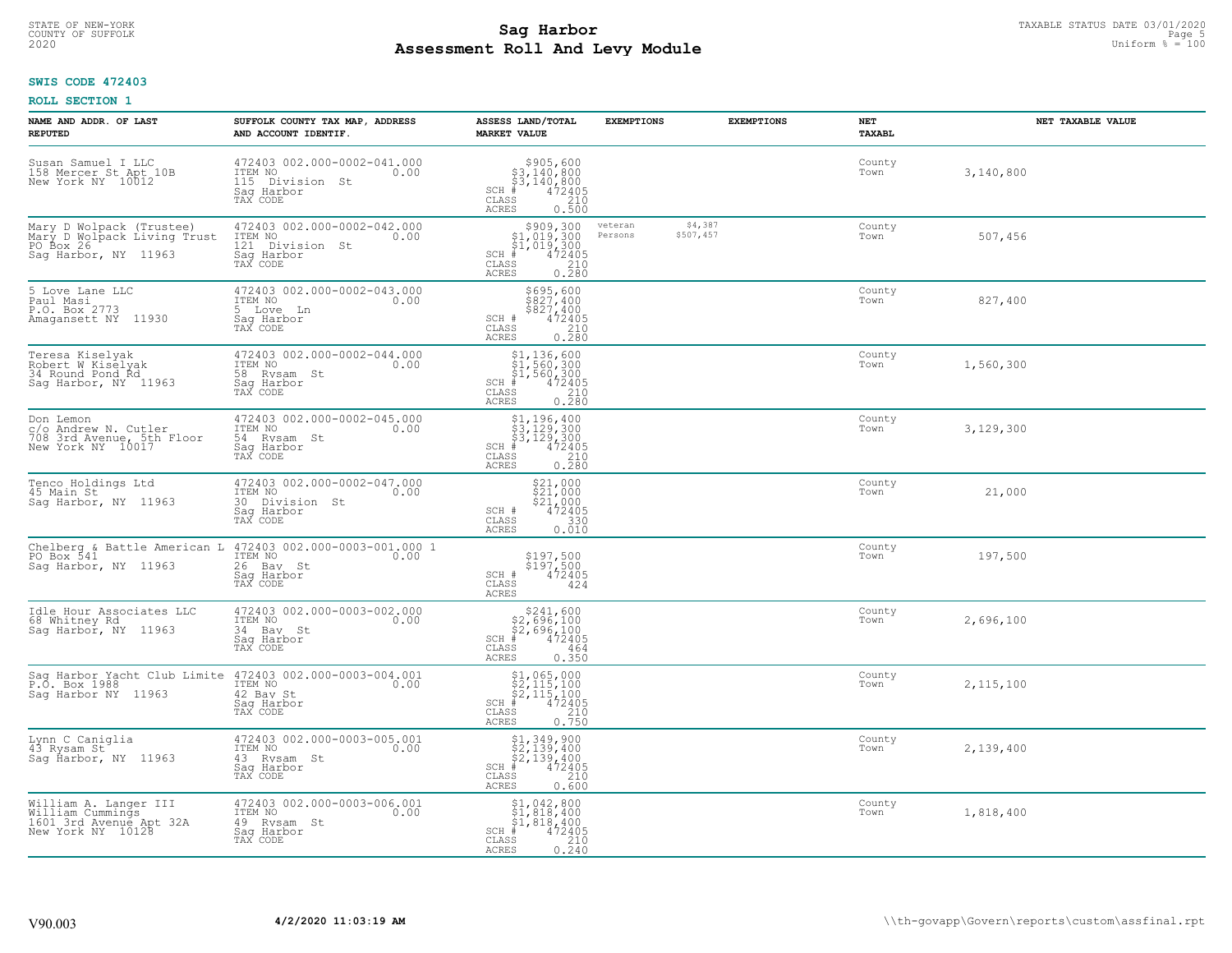#### **Sag Harbor** TAXABLE STATUS DATE 03/01/2020 TAXABLE STATUS DATE 03/01/2020 Pags 5<br>
Poll and Iour Modulo **Assessment Roll And Levy Module Example 100** Uniform  $\frac{100}{1000}$  and  $\frac{100}{1000}$ COUNTY OF SUFFOLK Page 5

## **SWIS CODE 472403**

| NAME AND ADDR. OF LAST<br><b>REPUTED</b>                                                     | SUFFOLK COUNTY TAX MAP, ADDRESS<br>AND ACCOUNT IDENTIF.                                     | ASSESS LAND/TOTAL<br><b>MARKET VALUE</b>                                                                                                                                                                                                                                      | <b>EXEMPTIONS</b>  | <b>EXEMPTIONS</b>    | <b>NET</b><br><b>TAXABL</b> |           | NET TAXABLE VALUE |
|----------------------------------------------------------------------------------------------|---------------------------------------------------------------------------------------------|-------------------------------------------------------------------------------------------------------------------------------------------------------------------------------------------------------------------------------------------------------------------------------|--------------------|----------------------|-----------------------------|-----------|-------------------|
| Susan Samuel I LLC<br>158 Mercer St Apt 10B<br>New York NY 10012                             | 472403 002.000-0002-041.000<br>ITEM NO<br>0.00<br>115 Division St<br>Saq Harbor<br>TAX CODE | $$905,600$<br>$$3,140,800$<br>$$3,140,800$<br>$$472405$<br>$$210$<br>$SCH$ #<br>CLASS<br><b>ACRES</b><br>0.500                                                                                                                                                                |                    |                      | County<br>Town              | 3,140,800 |                   |
| Mary D Wolpack (Trustee)<br>Mary D Wolpack Living Trust<br>PO Box 26<br>Sag Harbor, NY 11963 | 472403 002.000-0002-042.000<br>ITEM NO<br>121 Division St<br>0.00<br>Saq Harbor<br>TAX CODE | $$909,300$<br>$$1,019,300$<br>$$1,019,300$<br>$$472405$<br>$SCH$ #<br>CLASS<br>$\begin{array}{c} 210 \\ 0.280 \end{array}$<br><b>ACRES</b>                                                                                                                                    | veteran<br>Persons | \$4,387<br>\$507,457 | County<br>Town              | 507,456   |                   |
| 5 Love Lane LLC<br>Paul Masi<br>P.O. Box 2773<br>Amagansett NY 11930                         | 472403 002.000-0002-043.000<br>ITEM NO<br>0.00<br>5<br>Love Ln<br>Saq Harbor<br>TAX CODE    | \$695,600<br>\$827,400<br>\$827,400<br>SCH #<br>472405<br>CLASS<br>$\begin{array}{c} 210 \\ 0.280 \end{array}$<br>ACRES                                                                                                                                                       |                    |                      | County<br>Town              | 827,400   |                   |
| Teresa Kiselyak<br>Robert W Kiselyak<br>34 Round Pond Ŕd<br>Saq Harbor, NY 11963             | 472403 002.000-0002-044.000<br>58 Rysam St<br>Saq Harbor<br>TAX CODE                        | $\begin{array}{r} \texttt{\$1,136,600}\ \texttt{\$1,560,300}\ \texttt{\$1,560,300}\ \texttt{\$1,560,300}\ \texttt{\$1,560,300}\ \texttt{\#} \texttt{\$12405}\ \texttt{\$210}\ \texttt{\$28}\ \texttt{\$210}\ \texttt{\$280}\ \end{array}$<br>$SCH$ #<br>CLASS<br><b>ACRES</b> |                    |                      | County<br>Town              | 1,560,300 |                   |
| Don Lemon<br>c/o Andrew N. Cutler<br>708 3rd Avenue, 5th Floor<br>New York NY 10017          | 472403 002.000-0002-045.000<br>ITEM NO<br>0.00<br>54 Rysam St<br>Saq Harbor<br>TAX CODE     | $\begin{array}{l} $1,196,400 \ $3,129,300 \ $4,129,300 \ \end{array}$<br>$SCH$ #<br>CLASS<br>$\begin{array}{c} 210 \\ 0.280 \end{array}$<br><b>ACRES</b>                                                                                                                      |                    |                      | County<br>Town              | 3,129,300 |                   |
| Tenco Holdings Ltd<br>45 Main St<br>Saq Harbor, NY 11963                                     | 472403 002.000-0002-047.000<br>ITEM NO<br>0.00<br>30 Division St<br>Saq Harbor<br>TAX CODE  | $\begin{array}{l} 521,000 \\ 521,000 \\ 521,000 \\ 472405 \end{array}$<br>SCH #<br>CLASS<br>330<br>0.010<br><b>ACRES</b>                                                                                                                                                      |                    |                      | County<br>Town              | 21,000    |                   |
| Chelberg & Battle American L<br>PO Box 541<br>Saq Harbor, NY 11963                           | 472403 002.000-0003-001.000 1<br>ITEM NO<br>0.00<br>26 Bay St<br>Sag Harbor<br>TAX CODE     | \$197,500<br>\$197,500<br>472405<br>SCH #<br>CLASS<br>424<br><b>ACRES</b>                                                                                                                                                                                                     |                    |                      | County<br>Town              | 197,500   |                   |
| Idle Hour Associates LLC<br>68 Whitney Rd<br>Sag Harbor, NY 11963                            | 472403 002.000-0003-002.000<br>TTEM NO 0.00<br>34 Bay St<br>Saq Harbor<br>TAX CODE          | $$241,600$<br>$$2,696,100$<br>$$2,696,100$<br>$*$ 472405<br>$SCH$ #<br>CLASS<br>464<br><b>ACRES</b><br>0.350                                                                                                                                                                  |                    |                      | County<br>Town              | 2,696,100 |                   |
| Sag Harbor Yacht Club Limite<br>P.O. Box 1988<br>Saq Harbor NY 11963                         | 472403 002.000-0003-004.001<br>ITEM NO<br>0.00<br>42 Bay St<br>Saq Harbor<br>TAX CODE       | $$1,065,000$<br>$$2,115,100$<br>$$2,115,100$<br>$$2,115,100$<br>$SCH$ #<br>472405<br>CLASS<br>$\frac{210}{0.750}$<br>ACRES                                                                                                                                                    |                    |                      | County<br>Town              | 2,115,100 |                   |
| Lynn C Caniglia<br>43 Rysam St<br>Saq Harbor, NY 11963                                       | 472403 002.000-0003-005.001<br>ITEM NO<br>0.00<br>43 Rysam St<br>Sag Harbor<br>TAX CODE     | $$1,349,900$<br>$$2,139,400$<br>$$2,139,400$<br>$$472405$<br>SCH #<br>CLASS<br>$\frac{210}{0.600}$<br><b>ACRES</b>                                                                                                                                                            |                    |                      | County<br>Town              | 2,139,400 |                   |
| William A. Langer III<br>William Cummings<br>1601 3rd Avenue Apt 32A<br>New York NY 10128    | 472403 002.000-0003-006.001<br>ITEM NO<br>0.00<br>49 Rysam St<br>Sag Harbor<br>TAX CODE     | $\begin{array}{c} 51,042,800 \\ 51,818,400 \end{array}$<br>\$1,818,400<br>SCH #<br>472405<br>210<br>CLASS<br>0.240<br>ACRES                                                                                                                                                   |                    |                      | County<br>Town              | 1,818,400 |                   |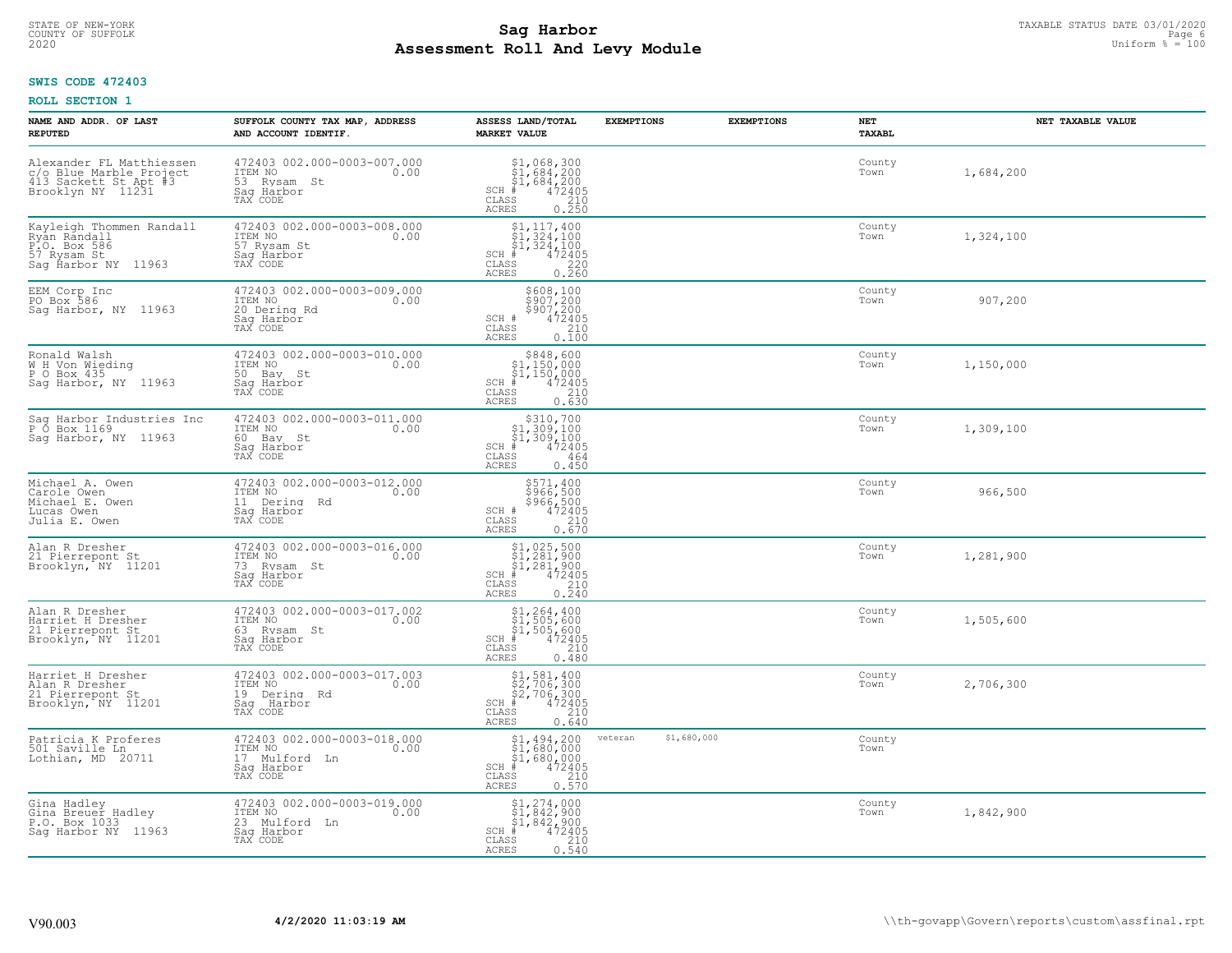#### **Sag Harbor** TAXABLE STATUS DATE 03/01/2020 TAXABLE STATUS DATE 03/01/2020 Page 6  $\frac{\text{Pa}}{\text{Pa}}$  = 100 **Assessment Roll And Levy Module Example 100** Uniform  $\frac{100}{1000}$  and  $\frac{100}{1000}$ COUNTY OF SUFFOLK Page 6

## **SWIS CODE 472403**

| NAME AND ADDR. OF LAST<br><b>REPUTED</b>                                                          | SUFFOLK COUNTY TAX MAP, ADDRESS<br>AND ACCOUNT IDENTIF.                                   | ASSESS LAND/TOTAL<br><b>MARKET VALUE</b>                                                                                                   | <b>EXEMPTIONS</b>      | <b>EXEMPTIONS</b> | NET<br><b>TAXABL</b> | NET TAXABLE VALUE |
|---------------------------------------------------------------------------------------------------|-------------------------------------------------------------------------------------------|--------------------------------------------------------------------------------------------------------------------------------------------|------------------------|-------------------|----------------------|-------------------|
| Alexander FL Matthiessen<br>c/o Blue Marble Project<br>413 Sackett St Apt #3<br>Brooklyn NY 11231 | 472403 002.000-0003-007.000<br>ITEM NO<br>0.00<br>53 Rvsam St<br>Saq Harbor<br>TAX CODE   | $$1,068,300$<br>$$1,684,200$<br>$$1,684,200$<br>$472405$<br>$$210$<br>$$210$<br>$SCH$ #<br>CLASS<br><b>ACRES</b><br>0.250                  |                        |                   | County<br>Town       | 1,684,200         |
| Kayleigh Thommen Randall<br>Ryan Randall<br>P.O. Box 586<br>57 Rysam St<br>Sag Harbor NY 11963    | 472403 002.000-0003-008.000<br>ITEM NO<br>0.00<br>57 Rysam St<br>Saq Harbor<br>TAX CODE   | $\begin{array}{c} 51,117,400 \\ 51,324,100 \\ 51,324,100 \end{array}$<br>$SCH$ #<br>472405<br>CLASS<br>$\frac{220}{0.260}$<br><b>ACRES</b> |                        |                   | County<br>Town       | 1,324,100         |
| EEM Corp Inc<br>PO Box 586<br>Saq Harbor, NY 11963                                                | 472403 002.000-0003-009.000<br>ITEM NO<br>0.00<br>20 Dering Rd<br>Saq Harbor<br>TAX CODE  | \$608,100<br>\$907,200<br>\$907,200<br>472405<br>SCH #<br>CLASS<br>210<br>0.100<br>ACRES                                                   |                        |                   | County<br>Town       | 907,200           |
| Ronald Walsh<br>W H Von Wieding<br>P O Box 435<br>Sag Harbor, NY 11963                            | 472403 002.000-0003-010.000<br>ITEM NO<br>0.00<br>50 Bay St<br>Saq Harbor<br>TAX CODE     | $$848,600$<br>$$1,150,000$<br>$$1,150,000$<br>$*$<br>$*$<br>$*$<br>$*$<br>$SCH$ #<br>CLASS<br>210<br>ACRES<br>0.630                        |                        |                   | County<br>Town       | 1,150,000         |
| Sag Harbor Industries Inc<br>P 0 Box 1169<br>Sag Harbor, NY 11963                                 | 472403 002.000-0003-011.000<br>ITEM NO<br>0.00<br>60 Bay St<br>Saq Harbor<br>TAX CODE     | \$310,700<br>$\begin{array}{l} 51,309,100 \\ 51,309,100 \\ \pm 472405 \end{array}$<br>$SCH$ #<br>CLASS<br>464<br>0.450<br><b>ACRES</b>     |                        |                   | County<br>Town       | 1,309,100         |
| Michael A. Owen<br>Carole Owen<br>Michael E. Owen<br>Lucas Owen<br>Julia E. Owen                  | 472403 002.000-0003-012.000<br>ITEM NO<br>0.00<br>11 Dering Rd<br>Saq Harbor<br>TAX CODE  | \$571,400<br>\$966,500<br>\$966,500<br>472405<br>SCH #<br>CLASS<br>210<br>0.670<br><b>ACRES</b>                                            |                        |                   | County<br>Town       | 966,500           |
| Alan R Dresher<br>21 Pierrepont St<br>Brooklyn, NY 11201                                          | 472403 002.000-0003-016.000<br>ITEM NO<br>0.00<br>73 Rysam St<br>Saq Harbor<br>TAX CODE   | $$1,025,500$<br>$$1,281,900$<br>$$1,281,900$<br>$$472405$<br>$SCH$ #<br>CLASS<br>210<br>0.240<br><b>ACRES</b>                              |                        |                   | County<br>Town       | 1,281,900         |
| Alan R Dresher<br>Harriet H Dresher<br>21 Pierrepont St<br>Brooklyn, NY 11201                     | 472403 002.000-0003-017.002<br>TTEM NO 0.00<br>63 Rysam St<br>Saq Harbor<br>TAX CODE      | $$1, 264, 400$<br>$$1, 505, 600$<br>$$1, 505, 600$<br>$*$ 472405<br>$SCH$ #<br>CLASS<br>210<br>ACRES<br>0.480                              |                        |                   | County<br>Town       | 1,505,600         |
| Harriet H Dresher<br>Alan R Dresher<br>21 Pierrepont St<br>Brooklyn, NY 11201                     | 472403 002.000-0003-017.003<br>TTEM NO 0.00<br>19 Dering Rd<br>Saq Harbor<br>TAX CODE     | $$2, 706, 300$<br>$$2, 706, 300$<br>$$2, 706, 300$<br>$*$ 472405<br>SCH #<br>210<br>CLASS<br><b>ACRES</b><br>0.640                         |                        |                   | County<br>Town       | 2,706,300         |
| Patricia K Proferes<br>501 Saville Ln<br>Lothian, MD 20711                                        | 472403 002.000-0003-018.000<br>ITEM NO<br>0.00<br>17 Mulford Ln<br>Saq Harbor<br>TAX CODE | \$1,494,200<br>\$1,680,000<br>\$1,680,000<br>$\frac{472405}{210}$<br>$SCH$ #<br>CLASS<br><b>ACRES</b><br>0.570                             | \$1,680,000<br>veteran |                   | County<br>Town       |                   |
| Gina Hadley<br>Gina Breuer Hadley<br>P.O. Box 1033<br>Sag Harbor NY 11963                         | 472403 002.000-0003-019.000<br>ITEM NO<br>0.00<br>23 Mulford Ln<br>Saq Harbor<br>TAX CODE | $$1, 274, 000$<br>$$1, 842, 900$<br>$$1, 842, 900$<br>SCH #<br>472405<br>CLASS<br>210<br><b>ACRES</b><br>0.540                             |                        |                   | County<br>Town       | 1,842,900         |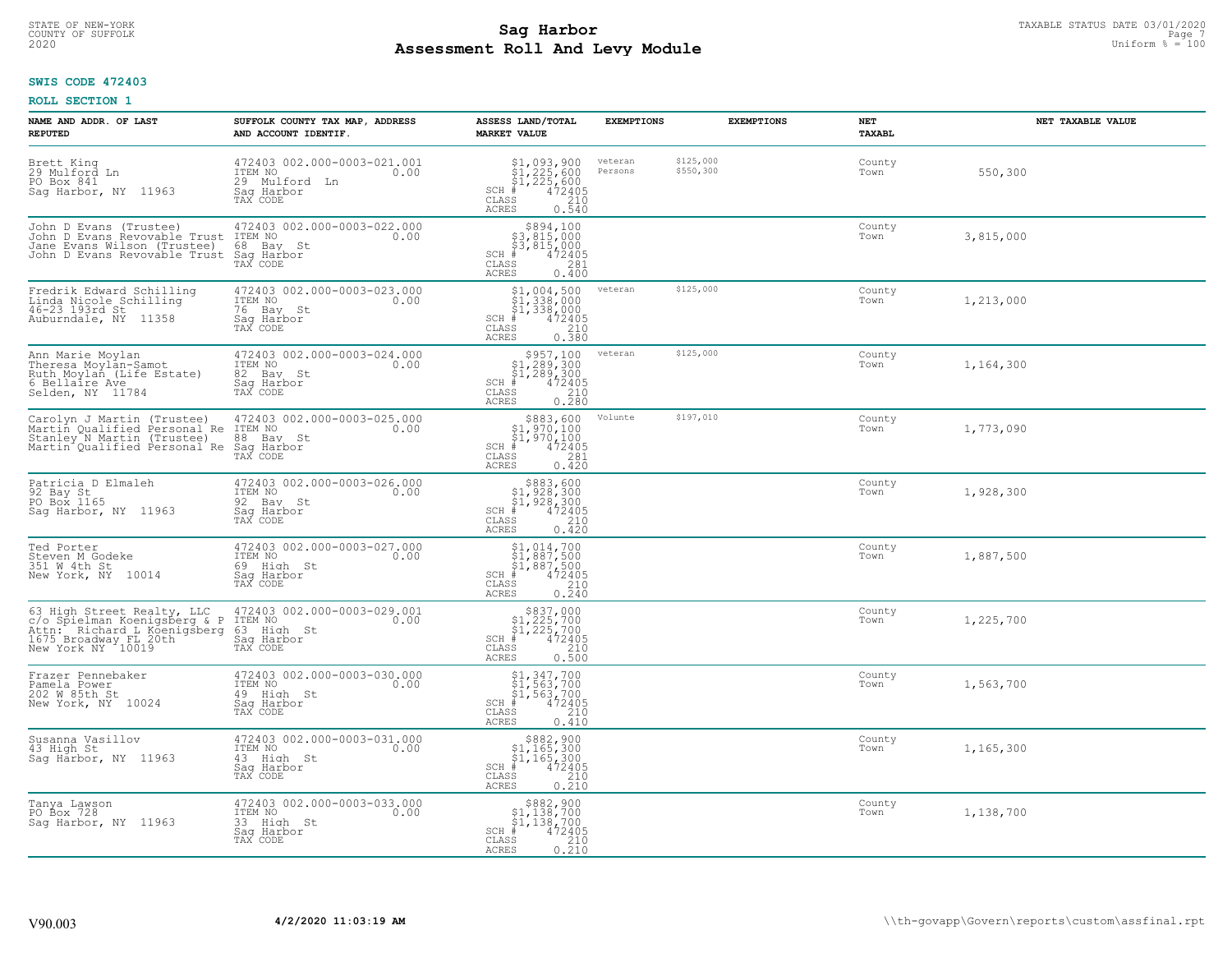#### **Sag Harbor** TAXABLE STATUS DATE 03/01/2020 TAXABLE STATUS DATE 03/01/2020 Page 7<br>
Poll and Iour Modulo **Assessment Roll And Levy Module Example 100** Uniform  $\frac{100}{1000}$  and  $\frac{100}{1000}$ COUNTY OF SUFFOLK Page 7

## **SWIS CODE 472403**

| NAME AND ADDR. OF LAST<br><b>REPUTED</b>                                                                                                | SUFFOLK COUNTY TAX MAP, ADDRESS<br>AND ACCOUNT IDENTIF.                                        | ASSESS LAND/TOTAL<br><b>MARKET VALUE</b>                                                                                                                                    | <b>EXEMPTIONS</b>  | <b>EXEMPTIONS</b>      | NET<br><b>TAXABL</b> | NET TAXABLE VALUE |
|-----------------------------------------------------------------------------------------------------------------------------------------|------------------------------------------------------------------------------------------------|-----------------------------------------------------------------------------------------------------------------------------------------------------------------------------|--------------------|------------------------|----------------------|-------------------|
| Brett King<br>29 Mulford Ln<br>PO Box 841<br>11963<br>Saq Harbor, NY                                                                    | 472403 002.000-0003-021.001<br>ITEM NO<br>0.00<br>29 Mulford<br>– Ln<br>Saq Harbor<br>TAX CODE | $$1,093,900$<br>$$1,225,600$<br>$$1,225,600$<br>$$472405$<br>SCH #<br>CLASS<br>210<br><b>ACRES</b><br>0.540                                                                 | veteran<br>Persons | \$125,000<br>\$550,300 | County<br>Town       | 550,300           |
| John D Evans (Trustee)<br>John D Evans Revovable Trust<br>Jane Evans Wilson (Trustee)<br>John D Evans Revovable Trust                   | 472403 002.000-0003-022.000<br>ITEM NO<br>0.00<br>68 Bay St<br>Sag Harbor<br>TAX CODE          | \$894,100<br>\$3,815,000<br>\$3,815,000<br>SCH #<br>472405<br>$\mathtt{CLASS}$<br>281<br><b>ACRES</b><br>0.400                                                              |                    |                        | County<br>Town       | 3,815,000         |
| Fredrik Edward Schilling<br>Linda Nicole Schilling<br>46-23 193rd St<br>Auburndale, NY 11358                                            | 472403 002.000-0003-023.000<br>ITEM NO<br>0.00<br>76 Bay St<br>Sag Harbor<br>TAX CODE          | \$1,004,500<br>\$1,338,000<br>\$1,338,000<br>$\frac{472405}{210}$<br>$SCH$ #<br>CLASS<br>0.380<br>ACRES                                                                     | veteran            | \$125,000              | County<br>Town       | 1,213,000         |
| Ann Marie Moylan<br>Theresa Moylan-Samot<br>Ruth Moylan (Life Estate)<br>6 Bellaire Ave<br>Selden, NY 11784                             | 472403 002.000-0003-024.000<br>ITEM NO<br>0.00<br>82 Bay St<br>Saq Harbor<br>TAX CODE          | $\begin{array}{r}  \  \  \, 5957,100\\  \  \  51,289,300\\  \  \  51,289,300\\  \  \  \, 472405\\ \  \  \, 85\\  \  \  \, 0.280\\ \end{array}$<br>$SCH$ #<br>CLASS<br>ACRES | veteran            | \$125,000              | County<br>Town       | 1,164,300         |
| Carolyn J Martin (Trustee)<br>Martin Qualified Personal Re<br>Stanley N Martin (Trustee)<br>Martin Qualified Personal Re                | 472403 002.000-0003-025.000<br>ITEM NO<br>0.00<br>88 Bay<br>St<br>Saq Harbor<br>TAX CODE       | $$883,600$<br>$$1,970,100$<br>$$1,970,100$<br>$*$ 472405<br>$SCH$ #<br>CLASS<br>281<br><b>ACRES</b><br>0.420                                                                | Volunte            | \$197,010              | County<br>Town       | 1,773,090         |
| Patricia D Elmaleh<br>92 Bay St<br>PO Box 1165<br>Sag Harbor, NY 11963                                                                  | 472403 002.000-0003-026.000<br>ITEM NO<br>0.00<br>92 Bay St<br>Saq Harbor<br>TAX CODE          | $$883,600$<br>$$1,928,300$<br>$$1,928,300$<br>$472405$<br>$$210$<br>SCH #<br>$\mathtt{CLASS}$<br>ACRES<br>0.420                                                             |                    |                        | County<br>Town       | 1,928,300         |
| Ted Porter<br>Steven M Godeke<br>351 W 4th St<br>New York, NY 10014                                                                     | 472403 002.000-0003-027.000<br>ITEM NO<br>0.00<br>69 High St<br>Sag Harbor<br>TAX CODE         | $\begin{array}{l} $1,014,700\\ $1,887,500\\ $1,887,500\\ *\\ *\\ 2405\\ *\\ 210\\ *\\ \end{array}$<br>SCH #<br>CLASS<br>0.240<br>ACRES                                      |                    |                        | County<br>Town       | 1,887,500         |
| 63 High Street Realty, LLC<br>c/o Spielman Koenigsberg & P<br>Attn: Richard L Koenigsberg<br>1675 Broadway FL 20th<br>New York NY 10019 | 472403 002.000-0003-029.001<br>ITEM NO<br>0.00<br>63 High St<br>Sag Harbor<br>TAX CODE         | $$837,000$<br>$$1,225,700$<br>$$1,225,700$<br>$*$ 472405<br>$SCH$ #<br>$\mathtt{CLASS}$<br>210<br><b>ACRES</b><br>0.500                                                     |                    |                        | County<br>Town       | 1,225,700         |
| Frazer Pennebaker<br>Pamela Power<br>202 W 85th St<br>New York, NY 10024                                                                | 472403 002.000-0003-030.000<br>TTEM NO 0.00<br>49 High St<br>Saq Harbor<br>TAX CODE            | $$1,347,700$<br>$$1,563,700$<br>$$1,563,700$<br>$*$ 472405<br>$SCH$ #<br>CLASS<br>210<br><b>ACRES</b><br>0.410                                                              |                    |                        | County<br>Town       | 1,563,700         |
| Susanna Vasillov<br>43 High St<br>Saq Harbor, NY 11963                                                                                  | 472403 002.000-0003-031.000<br>ITEM NO<br>0.00<br>43 High St<br>Saq Harbor<br>TAX CODE         | $$882,900$<br>$$1,165,300$<br>$$1,165,300$<br>$$472405$<br>$SCH$ #<br>210<br>CLASS<br>0.210<br><b>ACRES</b>                                                                 |                    |                        | County<br>Town       | 1,165,300         |
| Tanya Lawson<br>PO Box 728<br>Sag Harbor, NY 11963                                                                                      | 472403 002.000-0003-033.000<br>ITEM NO<br>0.00<br>33 High St<br>Saq Harbor<br>TAX CODE         | $\begin{array}{c} $882,900\\ $1,138,700\\ $1,138,700\\ \end{array}$<br>$SCH$ #<br>472405<br>CLASS<br>$\frac{210}{0.210}$<br><b>ACRES</b>                                    |                    |                        | County<br>Town       | 1,138,700         |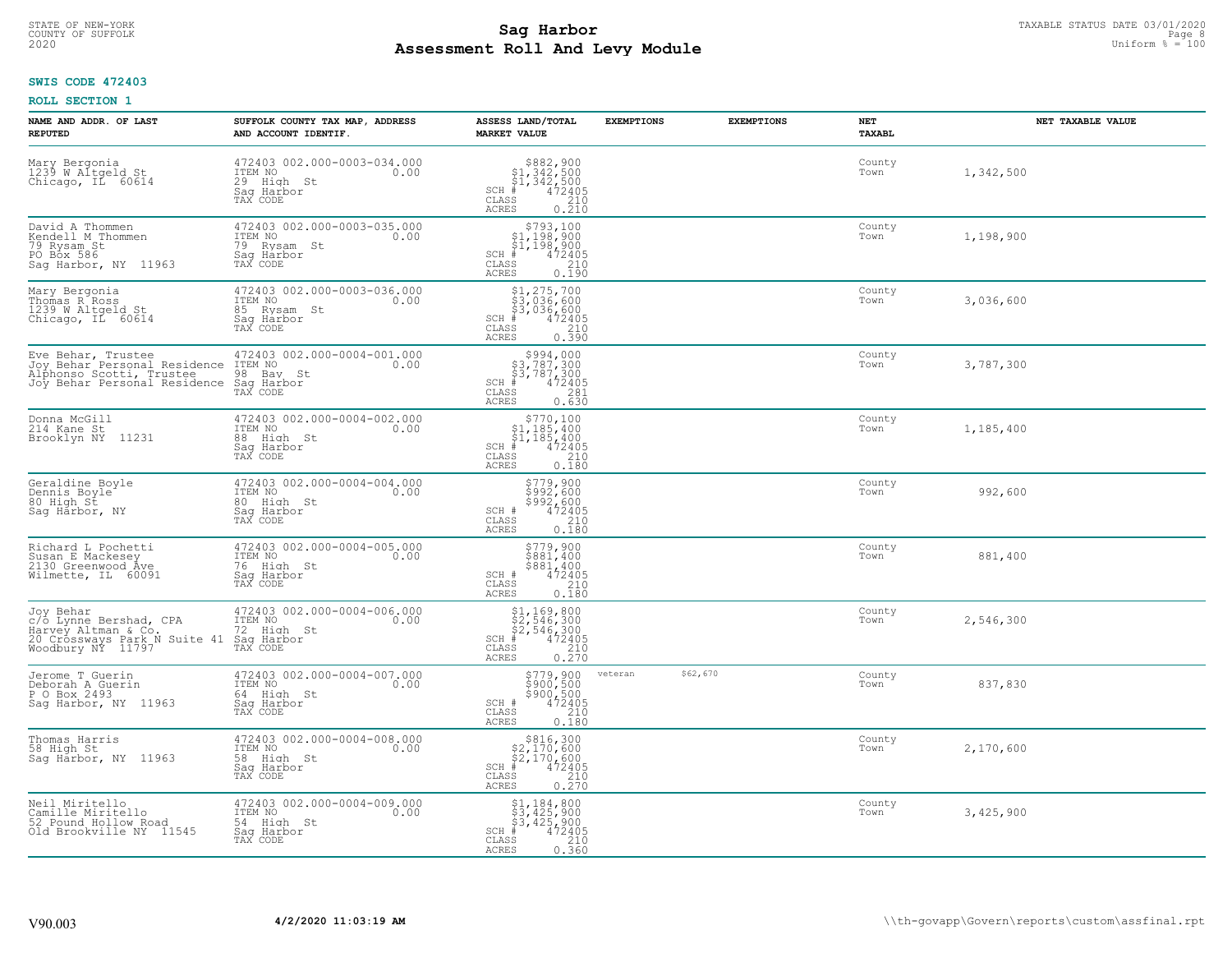#### **Sag Harbor** TAXABLE STATUS DATE 03/01/2020 TAXABLE STATUS DATE 03/01/2020 Page 8 to the same of the sage 8 metros of the sage 8 metros of the sage 8 metros of the sage 8 metros of the same page 8 metros of the same series **Assessment Roll And Levy Module Example 100** Uniform  $\frac{100}{1000}$  and  $\frac{100}{1000}$ COUNTY OF SUFFOLK Page 8

## **SWIS CODE 472403**

| NAME AND ADDR. OF LAST<br><b>REPUTED</b>                                                                                                         | SUFFOLK COUNTY TAX MAP, ADDRESS<br>AND ACCOUNT IDENTIF.                                 | ASSESS LAND/TOTAL<br><b>MARKET VALUE</b>                                                                                                     | <b>EXEMPTIONS</b>   | <b>EXEMPTIONS</b> | NET<br><b>TAXABL</b> | NET TAXABLE VALUE |
|--------------------------------------------------------------------------------------------------------------------------------------------------|-----------------------------------------------------------------------------------------|----------------------------------------------------------------------------------------------------------------------------------------------|---------------------|-------------------|----------------------|-------------------|
| Mary Bergonia<br>1239 W Altgeld St<br>Chicago, IL 60614                                                                                          | 472403 002.000-0003-034.000<br>ITEM NO<br>0.00<br>29 High St<br>Saq Harbor<br>TAX CODE  | $$882,900$<br>$$1,342,500$<br>$$1,342,500$<br>$472405$<br>$$210$<br>$$210$<br>$SCH$ #<br>CLASS<br><b>ACRES</b><br>0.210                      |                     |                   | County<br>Town       | 1,342,500         |
| David A Thommen<br>Kendell M Thommen<br>79 Rysam St<br>PO Box 586<br>Sag Harbor, NY 11963                                                        | 472403 002.000-0003-035.000<br>ITEM NO<br>0.00<br>79 Rysam St<br>Saq Harbor<br>TAX CODE | $$793,100$<br>$$1,198,900$<br>$$1,198,900$<br>$$1,198,900$<br>$SCH$ #<br>$\mathtt{CLASS}$<br>$\frac{210}{0.190}$<br><b>ACRES</b>             |                     |                   | County<br>Town       | 1,198,900         |
| Mary Bergonia<br>Thomas R Ross<br>1239 W Altgeld St<br>Chicago, IL 60614                                                                         | 472403 002.000-0003-036.000<br>TTEM NO 0.00<br>85 Rysam St<br>Saq Harbor<br>TAX CODE    | \$1,275,700<br>\$3,036,600<br>\$3,036,600<br>#472405<br>$SCH$ #<br>CLASS<br>210<br>0.390<br>ACRES                                            |                     |                   | County<br>Town       | 3,036,600         |
| Eve Behar, Trustee 4724030<br>Joy Behar Personal Residence ITEM NO<br>Alphonso Scotti, Trustee 98 Bay<br>Joy Behar Personal Residence Sag Harbor | 472403 002.000-0004-001.000<br>0.00<br>98 Bay St                                        | $\begin{array}{c} $994,000 $3,787,300 $4,787,300 + $472405 \end{array}$<br>$SCH$ #<br>CLASS<br>281<br><b>ACRES</b><br>0.630                  |                     |                   | County<br>Town       | 3,787,300         |
| Donna McGill<br>214 Kane St<br>Brooklyn NY 11231                                                                                                 | 472403 002.000-0004-002.000<br>ITEM NO<br>0.00<br>88 High St<br>Saq Harbor<br>TAX CODE  | $\begin{array}{r} 5770,100 \\ 51,185,400 \\ 51,185,400 \\ \pm \\ 472405 \\ \end{array}$<br>$SCH$ #<br>CLASS<br>0.180<br>ACRES                |                     |                   | County<br>Town       | 1,185,400         |
| Geraldine Boyle<br>Dennis Boyle <sup>-</sup><br>80 High St<br>Saq Harbor, NY                                                                     | 472403 002.000-0004-004.000<br>ITEM NO<br>0.00<br>80 High St<br>Saq Harbor<br>TAX CODE  | \$779,900<br>\$992,600<br>\$992,600<br>472405<br>SCH #<br>CLASS<br>210<br>0.180<br><b>ACRES</b>                                              |                     |                   | County<br>Town       | 992,600           |
| Richard L Pochetti<br>Susan E Mackesey<br>2130 Greenwood Ave<br>Wilmette, IL 60091                                                               | 472403 002.000-0004-005.000<br>TTEM NO 0.00<br>76 High St<br>Saq Harbor<br>TAX CODE     | $$779,900$<br>$$881,400$<br>$$881,400$<br>$$472405$<br>SCH #<br>CLASS<br>210<br>0.180<br><b>ACRES</b>                                        |                     |                   | County<br>Town       | 881,400           |
| Joy Behar<br>C/O Lynne Bershad, CPA<br>Harvey Altman & Co.<br>20 Crossways Park N Suite 41<br>Woodbury NY 11797                                  | 472403 002.000-0004-006.000<br>TTEM NO 0.00<br>72 High St<br>Saq Harbor<br>TAX CODE     | $$2, 546, 300$<br>$$2, 546, 300$<br>$$2, 546, 300$<br>$472405$<br>$$2, 54$<br>$$210$<br>$SCH$ #<br>$\mathtt{CLASS}$<br>0.270<br><b>ACRES</b> |                     |                   | County<br>Town       | 2,546,300         |
| Jerome T Guerin<br>Deborah A Guerin<br>P O Box 2493<br>Sag Harbor, NY 11963                                                                      | 472403 002.000-0004-007.000<br>ITEM NO 0.00<br>64 High St<br>Saq Harbor<br>TAX CODE     | $$900, 500$<br>$$900, 500$<br>$$900, 500$<br>$472405$<br>$$210$<br>SCH #<br>CLASS<br><b>ACRES</b><br>0.180                                   | \$62,670<br>veteran |                   | County<br>Town       | 837,830           |
| Thomas Harris<br>58 High St<br>Sag Harbor, NY 11963                                                                                              | 472403 002.000-0004-008.000<br>ITEM NO<br>0.00<br>58 High St<br>Sag Harbor<br>TAX CODE  | \$816,300<br>3170,500<br>\$2,170,600<br>\$2,170,600<br>\$5 472405<br>\$5 210<br>\$10.270<br>$SCH$ #<br>CLASS<br><b>ACRES</b>                 |                     |                   | County<br>Town       | 2,170,600         |
| Neil Miritello<br>Camille Miritello<br>52 Pound Hollow Road<br>Old Brookville NY 11545                                                           | 472403 002.000-0004-009.000<br>ITEM NO<br>0.00<br>54 High St<br>Saq Harbor<br>TAX CODE  | $$3,425,900$<br>$$3,425,900$<br>$$3,425,900$<br>$SCH$ #<br>472405<br>CLASS<br>210<br>0.360<br><b>ACRES</b>                                   |                     |                   | County<br>Town       | 3,425,900         |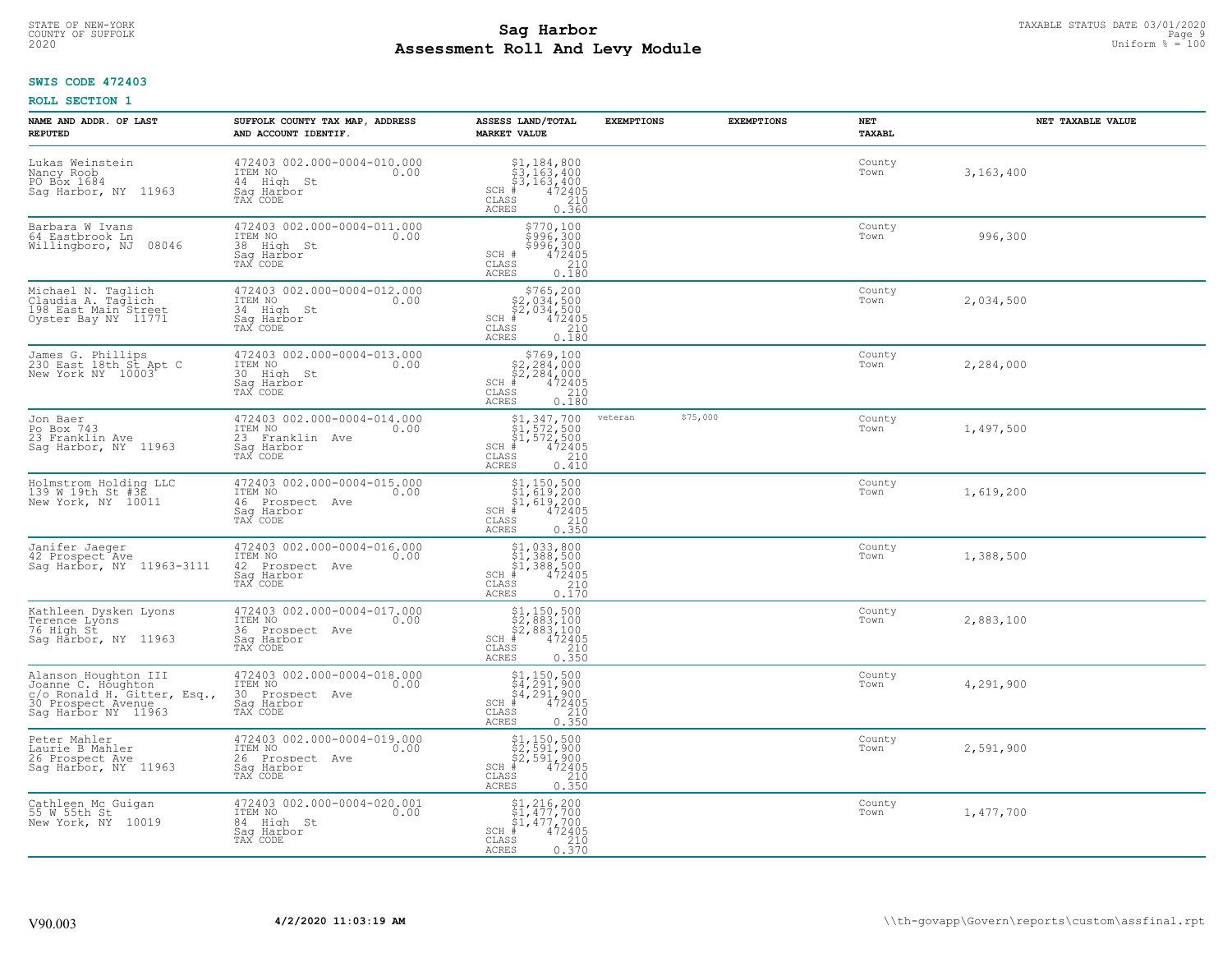#### **Sag Harbor** TAXABLE STATUS DATE 03/01/2020 TAXABLE STATUS DATE 03/01/2020 Page 9 and the same of the same of the same of the same of the same of the same of the same of the same of the same of the same of the same of the **Assessment Roll And Levy Module Example 100** Uniform  $\frac{100}{1000}$  and  $\frac{100}{1000}$ COUNTY OF SUFFOLK Page 9

## **SWIS CODE 472403**

| NAME AND ADDR. OF LAST<br><b>REPUTED</b>                                                                               | SUFFOLK COUNTY TAX MAP, ADDRESS<br>AND ACCOUNT IDENTIF.                                     | ASSESS LAND/TOTAL<br><b>MARKET VALUE</b>                                                                                                | <b>EXEMPTIONS</b> | <b>EXEMPTIONS</b> | NET<br><b>TAXABL</b> | NET TAXABLE VALUE |
|------------------------------------------------------------------------------------------------------------------------|---------------------------------------------------------------------------------------------|-----------------------------------------------------------------------------------------------------------------------------------------|-------------------|-------------------|----------------------|-------------------|
| Lukas Weinstein<br>Nancy Roob<br>PO Box 1684<br>Sag Harbor, NY 11963                                                   | 472403 002.000-0004-010.000<br>ITEM NO<br>0.00<br>44 High St<br>Saq Harbor<br>TAX CODE      | $$3,184,800$<br>$$3,163,400$<br>$$3,163,400$<br>$472405$<br>$$210$<br>$SCH$ #<br>CLASS<br><b>ACRES</b><br>0.360                         |                   |                   | County<br>Town       | 3,163,400         |
| Barbara W Ivans<br>64 Eastbrook Ln<br>Willingboro, NJ<br>08046                                                         | 472403 002.000-0004-011.000<br>ITEM NO<br>0.00<br>38 High St<br>Saq Harbor<br>TAX CODE      | \$770,100<br>\$996,300<br>\$996,300<br>472405<br>SCH #<br>210<br>CLASS<br><b>ACRES</b><br>0.180                                         |                   |                   | County<br>Town       | 996,300           |
| Michael N. Taglich<br>Claudia A. Taglich<br>198 East Main Street<br>Oyster Bay NY 11771                                | 472403 002.000-0004-012.000<br>ITEM NO<br>0.00<br>34 High St<br>Sag Harbor<br>TAX CODE      | $$765, 200$<br>$$2, 034, 500$<br>$$2, 034, 500$<br>$$472405$<br>$SCH$ #<br>CLASS<br>210<br>0.180<br><b>ACRES</b>                        |                   |                   | County<br>Town       | 2,034,500         |
| James G. Phillips<br>230 East 18th St Apt C<br>New York NY 10003                                                       | 472403 002.000-0004-013.000<br>ITEM NO<br>0.00<br>30 High St<br>Saq Harbor<br>TAX CODE      | $$769,100$<br>$$2,284,000$<br>$$2,284,000$<br>$*10472405$<br>$SCH$ #<br>CLASS<br>210<br>ACRES<br>0.180                                  |                   |                   | County<br>Town       | 2,284,000         |
| Jon Baer<br>Po Box 743<br>23 Franklin Ave<br>Sag Harbor, NY 11963                                                      | 472403 002.000-0004-014.000<br>ITEM NO<br>0.00<br>23 Franklin Ave<br>Saq Harbor<br>TAX CODE | $$1,347,700$<br>$$1,572,500$<br>$$1,572,500$<br>$*$ 472405<br>$SCH$ #<br>CLASS<br>210<br><b>ACRES</b><br>0.410                          | veteran           | \$75,000          | County<br>Town       | 1,497,500         |
| Holmstrom Holding LLC<br>139 W 19th St #3E<br>New York, NY 10011                                                       | 472403 002.000-0004-015.000<br>ITEM NO<br>0.00<br>46 Prospect Ave<br>Sag Harbor<br>TAX CODE | $$1,150,500$<br>$$1,619,200$<br>$$1,619,200$<br>$472405$<br>$$210$<br>$$210$<br>SCH #<br>CLASS<br>0.350<br><b>ACRES</b>                 |                   |                   | County<br>Town       | 1,619,200         |
| Janifer Jaeger<br>42 Prospect Ave<br>Sag Harbor, NY 11963-3111                                                         | 472403 002.000-0004-016.000<br>ITEM NO<br>0.00<br>42 Prospect Ave<br>Saq Harbor<br>TAX CODE | \$1,033,800<br>\$1,388,500<br>\$1,388,500<br>#472405<br>$SCH$ #<br>$\begin{array}{c} 210 \\ 0.170 \end{array}$<br>CLASS<br><b>ACRES</b> |                   |                   | County<br>Town       | 1,388,500         |
| Kathleen Dysken Lyons<br>Terence Lyons<br>76 High St<br>Sag Harbor, NY 11963                                           | 472403 002.000-0004-017.000<br>ITEM NO<br>0.00<br>36 Prospect Ave<br>Saq Harbor<br>TAX CODE | $$1, 150, 500$<br>$$2, 883, 100$<br>$$2, 883, 100$<br>$$472405$<br>$SCH$ #<br>CLASS<br>210<br><b>ACRES</b><br>0.350                     |                   |                   | County<br>Town       | 2,883,100         |
| Alanson Houghton III<br>Joanne C. Houghton<br>C/O_Ronald H. Gitter, Esq.,<br>30 Prospect Avenue<br>Sag Harbor NY 11963 | 472403 002.000-0004-018.000<br>TTEM NO 0.00<br>30 Prospect Ave<br>Saq Harbor<br>TAX CODE    | $$1, 150, 500$<br>$$4, 291, 900$<br>$$4, 291, 900$<br>$$4, 291, 900$<br>$$4, 22405$<br>$SCH$ #<br>CLASS<br>210<br><b>ACRES</b><br>0.350 |                   |                   | County<br>Town       | 4,291,900         |
| Peter Mahler<br>Laurie B Mahler<br>26 Prospect Ave<br>Sag Harbor, NY 11963                                             | 472403 002.000-0004-019.000<br>ITEM NO<br>0.00<br>26 Prospect Ave<br>Saq Harbor<br>TAX CODE | $$2,591,900$<br>$$2,591,900$<br>$$2,591,900$<br>$$472405$<br>$$35$<br>$$210$<br>$SCH$ #<br>CLASS<br>0.350<br><b>ACRES</b>               |                   |                   | County<br>Town       | 2,591,900         |
| Cathleen Mc Guigan<br>55 W 55th St<br>New York, NY 10019                                                               | 472403 002.000-0004-020.001<br>ITEM NO<br>0.00<br>84 High St<br>Sag Harbor<br>TAX CODE      | $$1, 216, 200$<br>$$1, 477, 700$<br>$$1, 477, 700$<br>$*1, 472405$<br>$SCH$ #<br>CLASS<br>$\frac{210}{0.370}$<br><b>ACRES</b>           |                   |                   | County<br>Town       | 1,477,700         |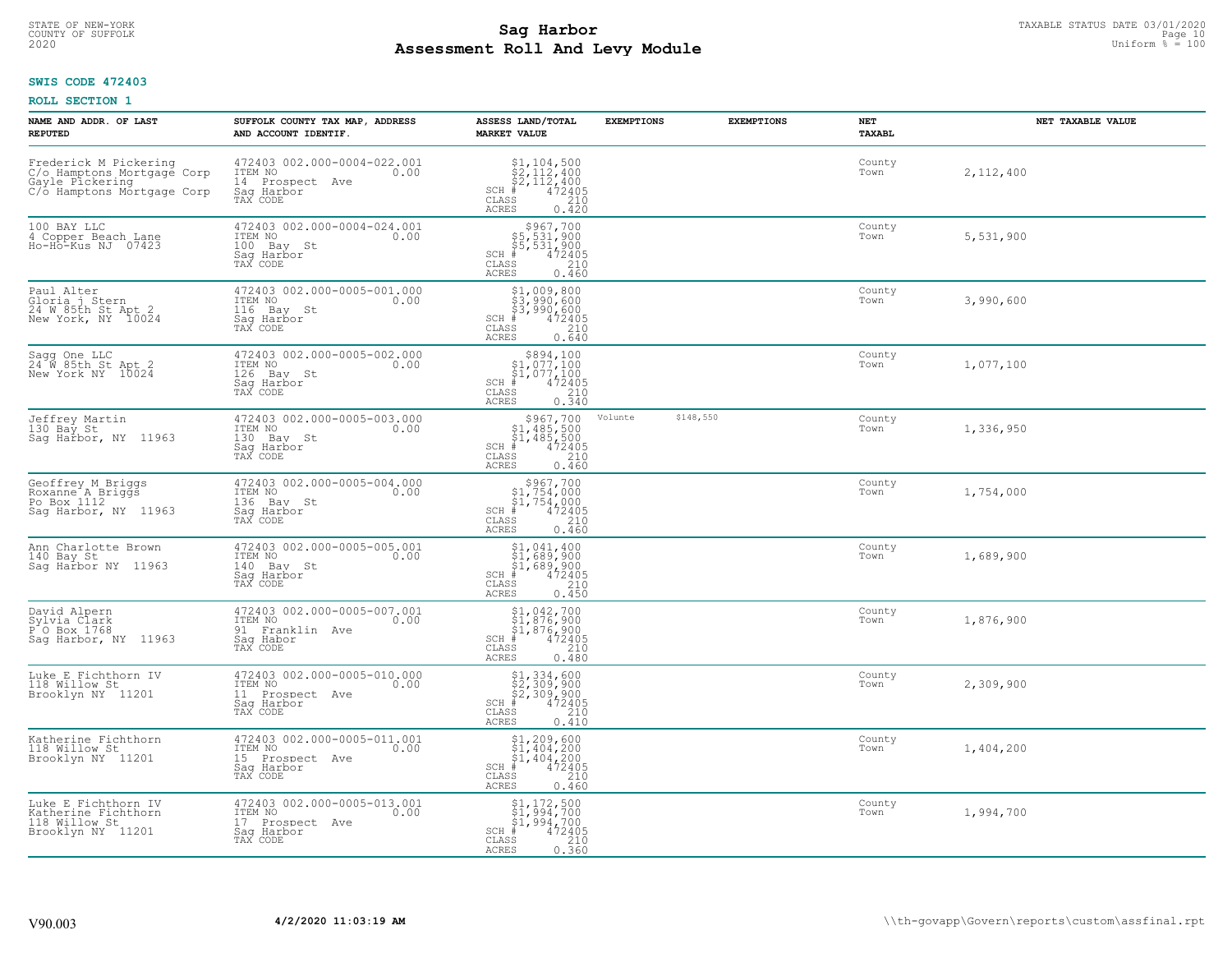#### **Sag Harbor** TAXABLE STATUS DATE 03/01/2020 **Sag Harbor** TAXABLE STATUS DATE 03/01/2020 **Page 10 Assessment Roll And Levy Module** 2020 Uniform % = 100 COUNTY OF SUFFOLK **Example 2018 COUNTY OF SUFFOLK** Page 10

## **SWIS CODE 472403**

| NAME AND ADDR. OF LAST<br><b>REPUTED</b>                                                             | SUFFOLK COUNTY TAX MAP, ADDRESS<br>AND ACCOUNT IDENTIF.                                        | ASSESS LAND/TOTAL<br><b>MARKET VALUE</b>                                                                                                                                            | <b>EXEMPTIONS</b> | <b>EXEMPTIONS</b> | <b>NET</b><br>TAXABL | NET TAXABLE VALUE |
|------------------------------------------------------------------------------------------------------|------------------------------------------------------------------------------------------------|-------------------------------------------------------------------------------------------------------------------------------------------------------------------------------------|-------------------|-------------------|----------------------|-------------------|
| Frederick M Pickering<br>C/o Hamptons Mortgage Corp<br>Gayle Pickering<br>C/o Hamptons Mortgage Corp | 472403 002.000-0004-022.001<br>ITEM NO<br>0.00<br>14 Prospect<br>Ave<br>Saq Harbor<br>TAX CODE | $\begin{array}{l} $1,104,500\\ $2,112,400\\ $2,112,400\\ $4,472405\\ $8\\ $2,10\\ $9\\ \end{array}$<br>$SCH$ #<br>CLASS<br>ACRES<br>0.420                                           |                   |                   | County<br>Town       | 2,112,400         |
| 100 BAY LLC<br>4 Copper Beach Lane<br>Ho-Ho-Kus NJ 07423                                             | 472403 002.000-0004-024.001<br>ITEM NO<br>0.00<br>100 Bay St<br>Sag Harbor<br>TAX CODE         | $$967,700$<br>$$5,531,900$<br>$$5,531,900$<br>$$472405$<br>SCH #<br>CLASS<br>210<br>0.460<br>ACRES                                                                                  |                   |                   | County<br>Town       | 5,531,900         |
| Paul Alter<br>Gloria j Stern<br>24 W 85th St Apt 2<br>New York, NY 10024                             | 472403 002.000-0005-001.000<br>ITEM NO<br>0.00<br>116<br>Bay St<br>Saq Harbor<br>TAX CODE      | $\begin{array}{c} \texttt{\$1,009,800}\ \\ \texttt{\$3,990,600}\ \\ \texttt{\$3,990,600}\ \\ \texttt{\$4\,72405}\ \\ \texttt{\$8S} \end{array}$<br>$SCH$ #<br>CLASS<br><b>ACRES</b> |                   |                   | County<br>Town       | 3,990,600         |
| Sagg One LLC<br>24 W 85th St Apt 2<br>New York NY 10024                                              | 472403 002.000-0005-002.000<br>ITEM NO<br>0.00<br>126 Bay St<br>Saq Harbor<br>TAX CODE         | $\begin{array}{r} $894,100 $1,077,100 $1,077,100 # 472405 210 210\n \end{array}$<br>SCH<br>CLASS<br><b>ACRES</b><br>0.340                                                           |                   |                   | County<br>Town       | 1,077,100         |
| Jeffrey Martin<br>130 Bay St<br>Sag Harbor, NY 11963                                                 | 472403 002.000-0005-003.000<br>ITEM NO<br>0.00<br>130<br>Bay St<br>Saq Harbor<br>TAX CODE      | $$967,700$<br>$$1,485,500$<br>$$1,485,500$<br>$472405$<br>$$210$<br>$SCH$ #<br>CLASS<br>ACRES<br>0.460                                                                              | Volunte           | \$148,550         | County<br>Town       | 1,336,950         |
| Geoffrey M Briggs<br>Roxanne A Briggs<br>Po Box 1112<br>Saq Harbor, NY<br>11963                      | 472403 002.000-0005-004.000<br>ITEM NO<br>0.00<br>136<br>Bay St<br>Saq Harbor<br>TAX CODE      | $$967,700$<br>$$1,754,000$<br>$$1,754,000$<br>$*1$<br>$472405$<br>SCH #<br>CLASS<br>210<br>0.460<br><b>ACRES</b>                                                                    |                   |                   | County<br>Town       | 1,754,000         |
| Ann Charlotte Brown<br>140 Bay St<br>Saq Harbor NY 11963                                             | 472403 002.000-0005-005.001<br>TTEM NO 0.00<br>140<br>Bay St<br>Sag Harbor<br>TAX CODE         | $$1,041,400$<br>$$1,689,900$<br>$$1,689,900$<br>$$472405$<br>SCH #<br>CLASS<br>210<br>0.450<br><b>ACRES</b>                                                                         |                   |                   | County<br>Town       | 1,689,900         |
| David Alpern<br>Sylvia Clark<br>$P^{\dagger}$ O Box 1768<br>Sag Harbor, NY<br>11963                  | 472403 002.000-0005-007.001<br>ITEM NO<br>0.00<br>91<br>Franklin Ave<br>Saq Habor<br>TAX CODE  | $$1,042,700$<br>$$1,876,900$<br>$$1,876,900$<br>$472405$<br>$$210$<br>SCH<br>CLASS<br><b>ACRES</b><br>0.480                                                                         |                   |                   | County<br>Town       | 1,876,900         |
| Luke E Fichthorn IV<br>118 Willow St<br>Brooklyn NY 11201                                            | 472403 002.000-0005-010.000<br>ITEM NO<br>0.00<br>11 Prospect Ave<br>Saq Harbor<br>TAX CODE    | \$1,334,600<br>\$2,309,900<br>\$2,309,900<br>$SCH$ $#$<br>472405<br>CLASS<br>210<br><b>ACRES</b><br>0.410                                                                           |                   |                   | County<br>Town       | 2,309,900         |
| Katherine Fichthorn<br>118 Willow St<br>Brooklyn NY 11201                                            | 472403 002.000-0005-011.001<br>ITEM NO<br>0.00<br>15<br>Prospect Ave<br>Sag Harbor<br>TAX CODE | $$1, 209, 600$<br>$$1, 404, 200$<br>$$1, 404, 200$<br>$$472405$<br>$SCH$ #<br>CLASS<br>210<br>0.460<br>ACRES                                                                        |                   |                   | County<br>Town       | 1,404,200         |
| Luke E Fichthorn IV<br>Katherine Fichthorn<br>118 Willow St<br>Brooklyn NY 11201                     | 472403 002.000-0005-013.001<br>ITEM NO<br>0.00<br>17 Prospect Ave<br>Sag Harbor<br>TAX CODE    | $$1, 172, 500$<br>$$1, 994, 700$<br>51,994,700<br>$\frac{472405}{210}$<br>SCH<br>CLASS<br>0.360<br>ACRES                                                                            |                   |                   | County<br>Town       | 1,994,700         |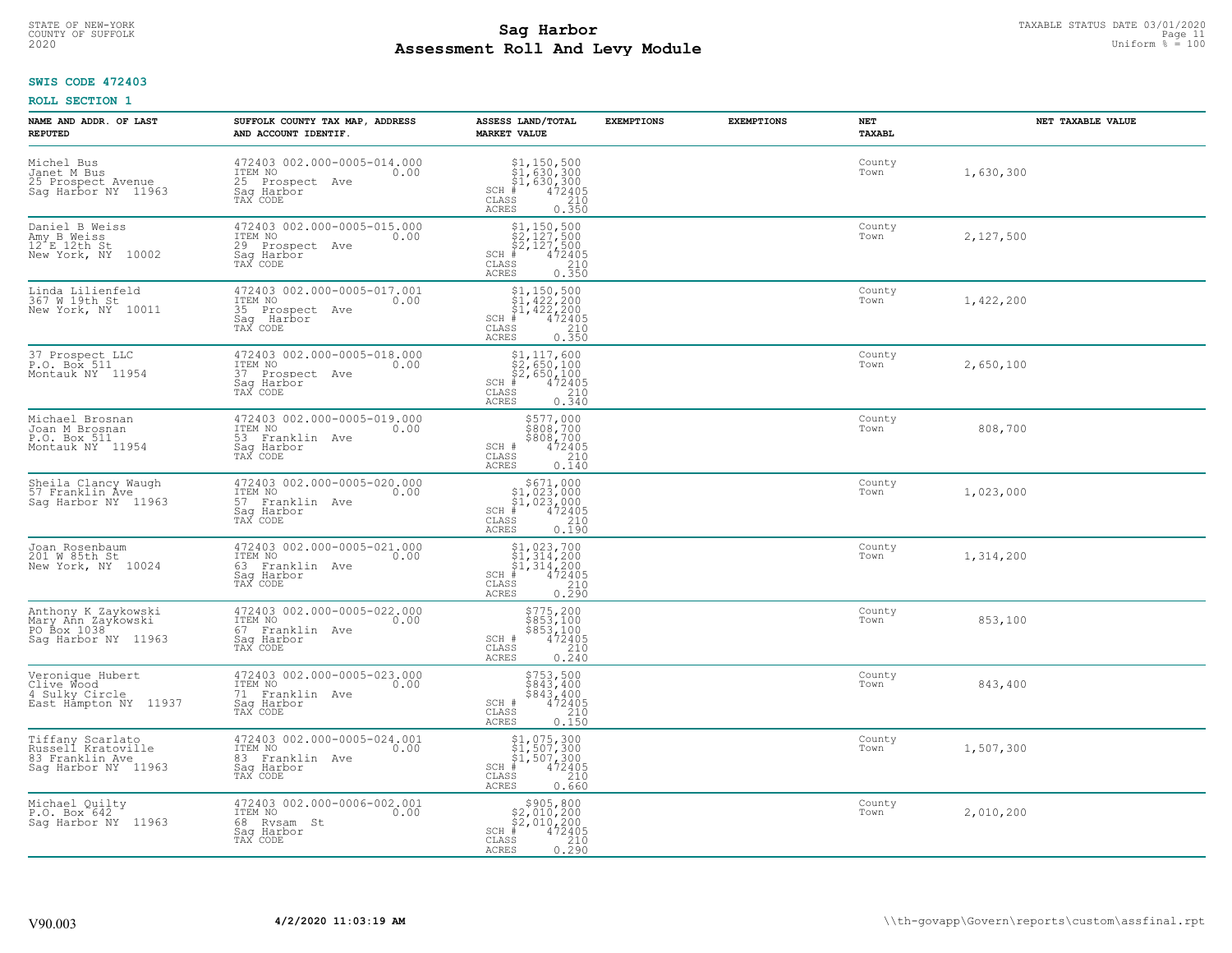#### **Sag Harbor** TAXABLE STATUS DATE 03/01/2020<br>
Poll and Louis Module **Assessment Roll And Levy Module** 2020 Uniform % = 100 COUNTY OF SUFFOLK **Example 2018 COUNTY OF SUFFOLK** Page 11

## **SWIS CODE 472403**

| NAME AND ADDR. OF LAST<br><b>REPUTED</b>                                         | SUFFOLK COUNTY TAX MAP, ADDRESS<br>AND ACCOUNT IDENTIF.                                        | ASSESS LAND/TOTAL<br><b>MARKET VALUE</b>                                                                                             | <b>EXEMPTIONS</b> | <b>EXEMPTIONS</b> | NET<br><b>TAXABL</b> | NET TAXABLE VALUE |
|----------------------------------------------------------------------------------|------------------------------------------------------------------------------------------------|--------------------------------------------------------------------------------------------------------------------------------------|-------------------|-------------------|----------------------|-------------------|
| Michel Bus<br>Janet M Bus<br>25 Prospect Avenue<br>Sag Harbor NY 11963           | 472403 002.000-0005-014.000<br>ITEM NO<br>0.00<br>25 Prospect<br>Ave<br>Saq Harbor<br>TAX CODE | $SCH$ #<br>CLASS<br>ACRES<br>0.350                                                                                                   |                   |                   | County<br>Town       | 1,630,300         |
| Daniel B Weiss<br>Amy B Weiss<br>12 E 12th St<br>New York, NY<br>10002           | 472403 002.000-0005-015.000<br>ITEM NO<br>0.00<br>29 Prospect Ave<br>Saq Harbor<br>TAX CODE    | $$2, 150, 500$<br>$$2, 127, 500$<br>$$2, 127, 500$<br>$$472405$<br>$SCH$ #<br>CLASS<br>$\frac{210}{0.350}$<br>ACRES                  |                   |                   | County<br>Town       | 2,127,500         |
| Linda Lilienfeld<br>367 W 19th St<br>New York, NY 10011                          | 472403 002.000-0005-017.001<br>ITEM NO<br>0.00<br>35 Prospect Ave<br>Sag<br>Harbor<br>TAX CODE | $$1, 150, 500$<br>$$1, 422, 200$<br>$$1, 422, 200$<br>$$422, 200$<br>$472405$<br>$SCH$ #<br>CLASS<br>0.350<br>ACRES                  |                   |                   | County<br>Town       | 1,422,200         |
| 37 Prospect LLC<br>P.O. Box 511<br>Montauk NY 11954                              | 472403 002.000-0005-018.000<br>ITEM NO<br>0.00<br>37 Prospect Ave<br>Saq Harbor<br>TAX CODE    | \$1,117,600<br>\$2,650,100<br>\$2,650,100<br>$SCH$ #<br>$\frac{47\bar{2}\tilde{4}\tilde{0}5}{210}$<br>CLASS<br><b>ACRES</b><br>0.340 |                   |                   | County<br>Town       | 2,650,100         |
| Michael Brosnan<br>Joan M Brosnan<br>P.O. Box 511<br>Montauk NY 11954            | 472403 002.000-0005-019.000<br>ITEM NO<br>0.00<br>53 Franklin Ave<br>Saq Harbor<br>TAX CODE    | \$577,000<br>\$808,700<br>\$808,700<br>SCH #<br>472405<br>210<br>CLASS<br><b>ACRES</b><br>0.140                                      |                   |                   | County<br>Town       | 808,700           |
| Sheila Clancy Waugh<br>57 Franklin Ave<br>Sag Harbor NY 11963                    | 472403 002.000-0005-020.000<br>ITEM NO<br>0.00<br>57 Franklin Ave<br>Sag Harbor<br>TAX CODE    | $$671,000$<br>$$1,023,000$<br>$$1,023,000$<br>$*1$<br>$472405$<br>$SCH$ #<br>CLASS<br>210<br>0.190<br><b>ACRES</b>                   |                   |                   | County<br>Town       | 1,023,000         |
| Joan Rosenbaum<br>201 W 85th St<br>New York, NY 10024                            | 472403 002.000-0005-021.000<br>ITEM NO<br>0.00<br>63 Franklin Ave<br>Saq Harbor<br>TAX CODE    | $$1,023,700$<br>$$1,314,200$<br>$$1,314,200$<br>$$472405$<br>$SCH$ #<br>CLASS<br>210<br>0.290<br><b>ACRES</b>                        |                   |                   | County<br>Town       | 1,314,200         |
| Anthony K Zaykowski<br>Mary Ann Zaykowski<br>PO Box 1038<br>Sag Harbor NY 11963  | 472403 002.000-0005-022.000<br>TTEM NO 0.00<br>67 Franklin Ave<br>Saq Harbor<br>TAX CODE       | \$775,200<br>\$853,100<br>\$853,100<br>472405<br>SCH #<br>CLASS<br>210<br><b>ACRES</b><br>0.240                                      |                   |                   | County<br>Town       | 853,100           |
| Veronique Hubert<br>Clive Wood<br>4 Sulky Circle<br>East Hampton NY 11937        | 472403 002.000-0005-023.000<br>ITEM NO<br>0.00<br>71 Franklin Ave<br>Saq Harbor<br>TAX CODE    | \$753,500<br>\$843,400<br>\$843,400<br>472405<br>SCH #<br>CLASS<br>210<br><b>ACRES</b><br>0.150                                      |                   |                   | County<br>Town       | 843,400           |
| Tiffany Scarlato<br>Russell Kratoville<br>83 Franklin Ave<br>Sag Harbor NY 11963 | 472403 002.000-0005-024.001<br>ITEM NO<br>0.00<br>83 Franklin Ave<br>Sag Harbor<br>TAX CODE    | $$1, 075, 300$<br>$$1, 507, 300$<br>$$1, 507, 300$<br>$*1, 507, 300$<br>$*1, 472405$<br>SCH<br>CLASS<br>210<br><b>ACRES</b><br>0.660 |                   |                   | County<br>Town       | 1,507,300         |
| Michael Quilty<br>P.O. Box 642<br>Saq Harbor NY 11963                            | 472403 002.000-0006-002.001<br>ITEM NO<br>0.00<br>68 Rysam St<br>Sag Harbor<br>TAX CODE        | $\begin{array}{c} $905, 800 \\ $2, 010, 200 \\ $2, 010, 200 \end{array}$<br>$SCH$ #<br>472405<br>CLASS<br>0.290<br><b>ACRES</b>      |                   |                   | County<br>Town       | 2,010,200         |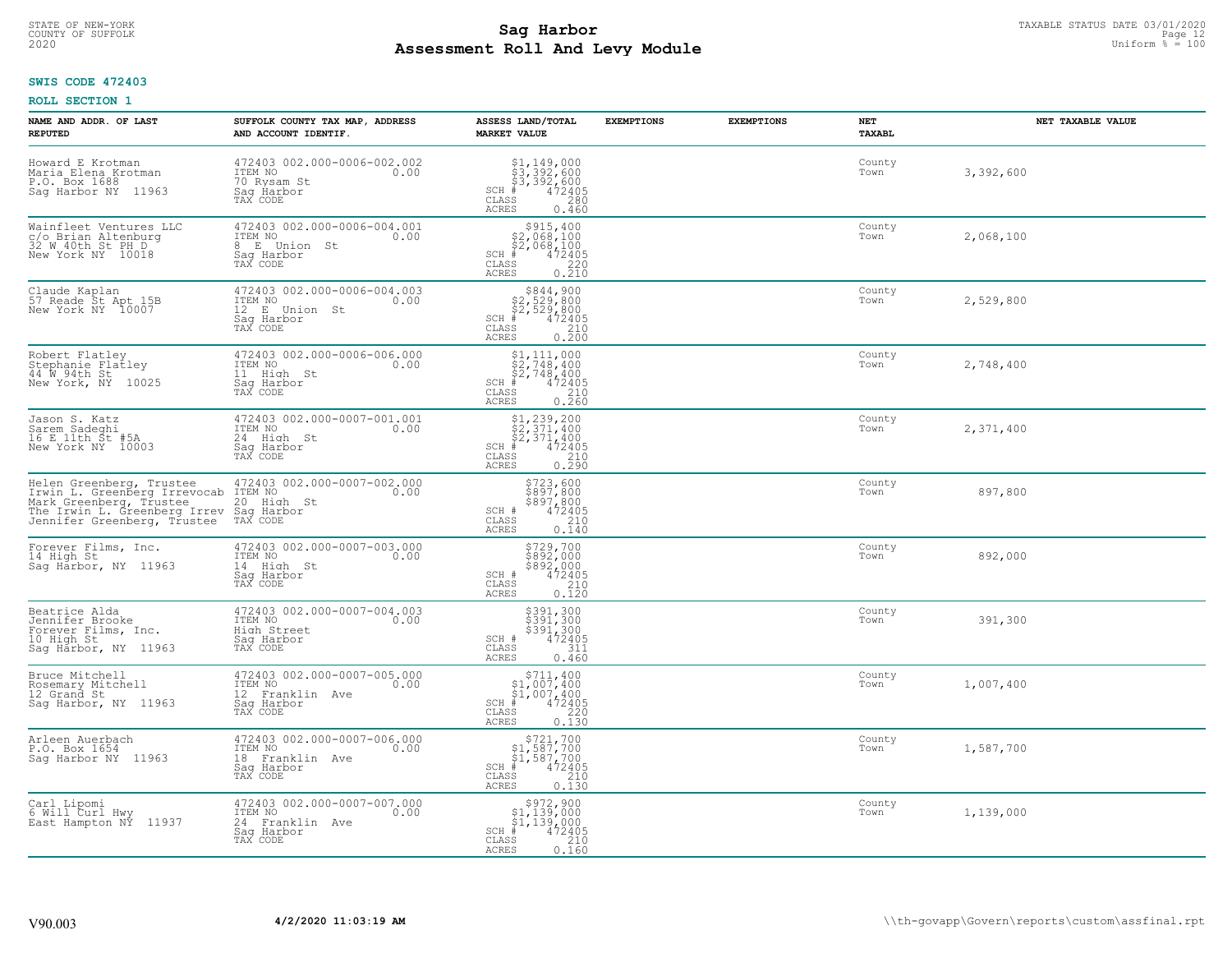# TAXABLE STATUS DATE 03/01/2020<br>COUNTY OF SUFFOLK Page 12 COUNTY OF SUFFOLK Page 12 **Assessment Roll And Levy Module** 2020 Uniform % = 100

## **SWIS CODE 472403**

| NAME AND ADDR. OF LAST<br><b>REPUTED</b>                                                                                                                    | SUFFOLK COUNTY TAX MAP, ADDRESS<br>AND ACCOUNT IDENTIF.                                        | ASSESS LAND/TOTAL<br><b>MARKET VALUE</b>                                                                                                                                                              | <b>EXEMPTIONS</b> | <b>EXEMPTIONS</b> | NET<br><b>TAXABL</b> | NET TAXABLE VALUE |
|-------------------------------------------------------------------------------------------------------------------------------------------------------------|------------------------------------------------------------------------------------------------|-------------------------------------------------------------------------------------------------------------------------------------------------------------------------------------------------------|-------------------|-------------------|----------------------|-------------------|
| Howard E Krotman<br>Maria Elena Krotman<br>P.O. Box 1688<br>Saq Harbor NY<br>11963                                                                          | 472403 002.000-0006-002.002<br>ITEM NO<br>0.00<br>70 Rysam St<br>Saq Harbor<br>TAX CODE        | $$3,392,600$<br>$$3,392,600$<br>$$3,392,600$<br>$*$<br>$472405$<br>$*$<br>$280$<br>$SCH$ #<br>CLASS<br><b>ACRES</b><br>0.460                                                                          |                   |                   | County<br>Town       | 3,392,600         |
| Wainfleet Ventures LLC<br>c/o Brian Altenburg<br>32 W 40th St PH D<br>New York NY 10018                                                                     | 472403 002.000-0006-004.001<br>ITEM NO<br>0.00<br>E Union St<br>8<br>Saq Harbor<br>TAX CODE    | \$915,400<br>\$2,068,100<br>\$2,068,100<br>$SCH$ #<br>472405<br>CLASS<br>$\frac{220}{0.210}$<br><b>ACRES</b>                                                                                          |                   |                   | County<br>Town       | 2,068,100         |
| Claude Kaplan<br>57 Reade St Apt 15B<br>New York NY 10007                                                                                                   | 472403 002.000-0006-004.003<br>ITEM NO<br>0.00<br>12 E Union St<br>Saq Harbor<br>TAX CODE      | $$844,900$<br>$$2,529,800$<br>$$2,529,800$<br>$$472405$<br>$SCH$ #<br>CLASS<br>$\frac{210}{0.200}$<br>ACRES                                                                                           |                   |                   | County<br>Town       | 2,529,800         |
| Robert Flatley<br>Stephanie Flatley<br>44 W 94th St<br>New York, NY<br>10025                                                                                | 472403 002.000-0006-006.000<br>ITEM NO<br>0.00<br>11 High St<br>Saq Harbor<br>TAX CODE         | $$2,748,400$<br>$$2,748,400$<br>$$2,748,400$<br>$$472405$<br>$SCH$ #<br>CLASS<br>210<br><b>ACRES</b><br>0.260                                                                                         |                   |                   | County<br>Town       | 2,748,400         |
| Jason S. Katz<br>Sarem Sadeghi<br>16 E 11th St #5A<br>New York NY 10003                                                                                     | 472403 002.000-0007-001.001<br>ITEM NO<br>0.00<br>24 High St<br>Saq Harbor<br>TAX CODE         | $\begin{array}{l} \mathbf{\$1,239,200} \\ \mathbf{\$2,371,400} \\ \mathbf{\$2,371,400} \\ \mathbf{\$402,405} \\ \text{ss} \\ \text{ss} \\ \text{0.290} \end{array}$<br>SCH #<br>CLASS<br><b>ACRES</b> |                   |                   | County<br>Town       | 2,371,400         |
| Helen Greenberg, Trustee<br>Irwin L. Greenberg Irrevocab<br>Mark Greenberg, Trustee<br>The Irwin L. Greenberg Irrev<br>Jennifer Greenberg, Trustee TAX CODE | 472403 002.000-0007-002.000<br>ITEM NO<br>0.00<br>20 High St<br>Saq Harbor                     | \$723,600<br>\$897,800<br>\$897,800<br>472405<br>SCH #<br>CLASS<br>210<br>0.140<br><b>ACRES</b>                                                                                                       |                   |                   | County<br>Town       | 897,800           |
| Forever Films, Inc.<br>14 High St<br>Saq Harbor, NY 11963                                                                                                   | 472403 002.000-0007-003.000<br>ITEM NO<br>0.00<br>14 High St<br>Saq Harbor<br>TAX CODE         | \$729,700<br>\$892,000<br>\$892,000<br>472405<br>SCH #<br>CLASS<br>210<br>0.120<br><b>ACRES</b>                                                                                                       |                   |                   | County<br>Town       | 892,000           |
| Beatrice Alda<br>Jennifer Brooke<br>Forever Films, Inc.<br>10 High St<br>Sag Harbor, NY 11963                                                               | 472403 002.000-0007-004.003<br>1TEM NO 0.00<br>High Street<br>Saq Harbor<br>TAX CODE           | \$391,300<br>\$391,300<br>\$391,300<br>472405<br>SCH #<br>CLASS<br>311<br>ACRES<br>0.460                                                                                                              |                   |                   | County<br>Town       | 391,300           |
| Bruce Mitchell<br>Rosemary Mitchell<br>12 Grand St<br>Sag Harbor, NY 11963                                                                                  | 472403 002.000-0007-005.000<br>ITEM NO 0.00<br>12 Franklin Ave<br>Saq Harbor<br>TAX CODE       | $\begin{array}{c} $711,400 \\ $1,007,400 \\ $1,007,400 \end{array}$<br>SCH<br>472405<br>CLASS<br>$\frac{220}{0.130}$<br><b>ACRES</b>                                                                  |                   |                   | County<br>Town       | 1,007,400         |
| Arleen Auerbach<br>P.O. Box 1654<br>Sag Harbor NY 11963                                                                                                     | 472403 002.000-0007-006.000<br>ITEM NO<br>0.00<br>18<br>Franklin Ave<br>Saq Harbor<br>TAX CODE | $$721,700$<br>$$1,587,700$<br>$$1,587,700$<br>$*$ 472405<br>$SCH$ #<br>CLASS<br>210<br><b>ACRES</b><br>0.130                                                                                          |                   |                   | County<br>Town       | 1,587,700         |
| Carl Lipomi<br>6 Will Curl Hwy<br>East Hampton NY 11937                                                                                                     | 472403 002.000-0007-007.000<br>ITEM NO<br>0.00<br>24 Franklin Ave<br>Saq Harbor<br>TAX CODE    | $\substack{\$972,900\\\$1,139,000\\\$1,139,000}$<br>SCH #<br>472405<br>CLASS<br>210<br><b>ACRES</b><br>0.160                                                                                          |                   |                   | County<br>Town       | 1,139,000         |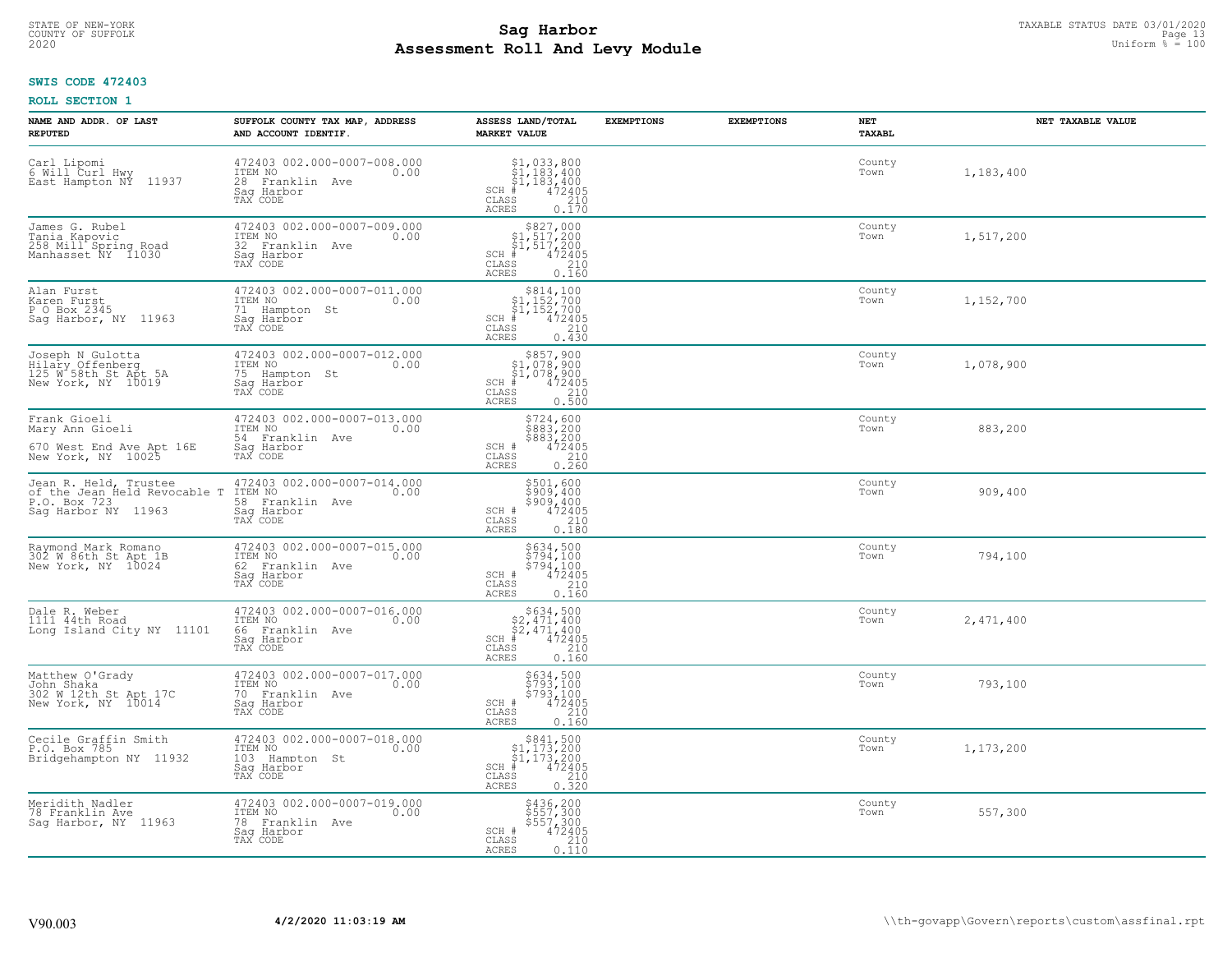# TAXABLE STATUS DATE 03/01/2020<br>COUNTY OF SUFFOLK Page 13 **Assessment Roll And Levy Module** 2020 Uniform % = 100

## **SWIS CODE 472403**

| NAME AND ADDR. OF LAST<br><b>REPUTED</b>                                                     | SUFFOLK COUNTY TAX MAP, ADDRESS<br>AND ACCOUNT IDENTIF.                                     | ASSESS LAND/TOTAL<br><b>MARKET VALUE</b>                                                                                                                              | <b>EXEMPTIONS</b> | <b>EXEMPTIONS</b> | <b>NET</b><br><b>TAXABL</b> | NET TAXABLE VALUE |
|----------------------------------------------------------------------------------------------|---------------------------------------------------------------------------------------------|-----------------------------------------------------------------------------------------------------------------------------------------------------------------------|-------------------|-------------------|-----------------------------|-------------------|
| Carl Lipomi<br>6 Will Curl Hwy<br>East Hampton NÝ 11937                                      | 472403 002.000-0007-008.000<br>ITEM NO<br>0.00<br>28 Franklin Ave<br>Saq Harbor<br>TAX CODE | $$1, 033, 800$<br>$$1, 183, 400$<br>$$1, 183, 400$<br>$472405$<br>$$210$<br>$SCH$ #<br>CLASS<br>ACRES<br>0.170                                                        |                   |                   | County<br>Town              | 1,183,400         |
| James G. Rubel<br>Tania Kapovic<br>258 Mill Spring Road<br>Manhasset NY 11030                | 472403 002.000-0007-009.000<br>ITEM NO<br>0.00<br>32 Franklin Ave<br>Saq Harbor<br>TAX CODE | $$827,000$<br>$$1,517,200$<br>$$1,517,200$<br>$*1,517,200$<br>$*1,472405$<br>$SCH$ #<br>CLASS<br>$\begin{array}{c} 210 \\ 0.160 \end{array}$<br>ACRES                 |                   |                   | County<br>Town              | 1,517,200         |
| Alan Furst<br>Karen Furst<br>P O Box 2345<br>Sag Harbor, NY 11963                            | 472403 002.000-0007-011.000<br>ITEM NO<br>0.00<br>71 Hampton St<br>Saq Harbor<br>TAX CODE   | $$814, 100$<br>$$1, 152, 700$<br>$$1, 152, 700$<br>$SCH$ #<br>472405<br>CLASS<br>210<br>0.430<br>ACRES                                                                |                   |                   | County<br>Town              | 1,152,700         |
| Joseph N Gulotta<br>Hilary Offenberg<br>125 W 58th St Apt 5A<br>New York, NY 10019           | 472403 002.000-0007-012.000<br>TTEM NO 0.00<br>75 Hampton St<br>Saq Harbor<br>TAX CODE      | \$857,900<br>\$1,078,900<br>\$1,078,900<br>SCH #<br>$\begin{array}{r} 472405 \\ 210 \\ 0.500 \end{array}$<br>CLASS<br>ACRES                                           |                   |                   | County<br>Town              | 1,078,900         |
| Frank Gioeli<br>Mary Ann Gioeli<br>670 West End Ave Apt 16E<br>New York, NY 10025            | 472403 002.000-0007-013.000<br>ITEM NO<br>0.00<br>54 Franklin Ave<br>Saq Harbor<br>TAX CODE | \$724,600<br>$5883,200$<br>$5883,200$<br>$472405$<br>$0.260$<br>SCH #<br>CLASS<br>ACRES                                                                               |                   |                   | County<br>Town              | 883,200           |
| Jean R. Held, Trustee<br>of the Jean Held Revocable T<br>P.O. Box 723<br>Sag Harbor NY 11963 | 472403 002.000-0007-014.000<br>ITEM NO<br>0.00<br>58 Franklin Ave<br>Saq Harbor<br>TAX CODE | $$501,600$<br>$$909,400$<br>$$909,400$<br>$472405$<br>$$210$<br>SCH #<br>CLASS<br>0.180<br>ACRES                                                                      |                   |                   | County<br>Town              | 909,400           |
| Raymond Mark Romano<br>302 W 86th St Apt 1B<br>New York, NY 10024                            | 472403 002.000-0007-015.000<br>ITEM NO<br>0.00<br>62 Franklin Ave<br>Saq Harbor<br>TAX CODE | $$794,100$<br>$$794,100$<br>$$794,100$<br>$$472405$<br>216<br>SCH #<br>CLASS<br>ACRES<br>0.160                                                                        |                   |                   | County<br>Town              | 794,100           |
| Dale R. Weber<br>1111 44th Road<br>Long Island City NY 11101                                 | 472403 002.000-0007-016.000<br>ITEM NO<br>0.00<br>66 Franklin Ave<br>Saq Harbor<br>TAX CODE | $$634,500$<br>$$2,471,400$<br>$$2,471,400$<br>$472405$<br>$$35$<br>$$210$<br>$SCH$ #<br>CLASS<br>ACRES<br>0.160                                                       |                   |                   | County<br>Town              | 2,471,400         |
| Matthew O'Grady<br>John Shaka<br>302 W 12th St Apt 17C<br>New York, NY 10014                 | 472403 002.000-0007-017.000<br>TTEM NO 0.00<br>70 Franklin Ave<br>Saq Harbor<br>TAX CODE    | \$634,500<br>\$793,100<br>\$793,100<br>\$793,100<br>\$72405<br>\$10<br>\$160<br>SCH #<br>CLASS<br>ACRES                                                               |                   |                   | County<br>Town              | 793,100           |
| Cecile Graffin Smith<br>P.O. Box 785<br>Bridgehampton NY 11932                               | 472403 002.000-0007-018.000<br>ITEM NO<br>0.00<br>103 Hampton St<br>Sag Harbor<br>TAX CODE  | $\begin{array}{r} 5841, 500 \\ 51, 173, 200 \\ 51, 173, 200 \\ \text{*} \\ 472405 \\ \text{ss} \\ 210 \\ \text{ss} \end{array}$<br>$SCH$ #<br>CLASS<br>0.320<br>ACRES |                   |                   | County<br>Town              | 1,173,200         |
| Meridith Nadler<br>78 Franklin Ave<br>Saq Harbor, NY 11963                                   | 472403 002.000-0007-019.000<br>ITEM NO<br>0.00<br>78 Franklin Ave<br>Sag Harbor<br>TAX CODE | \$436,200<br>\$557,300<br>\$557,300<br>472405<br>SCH #<br>210<br>CLASS<br>ACRES<br>0.110                                                                              |                   |                   | County<br>Town              | 557,300           |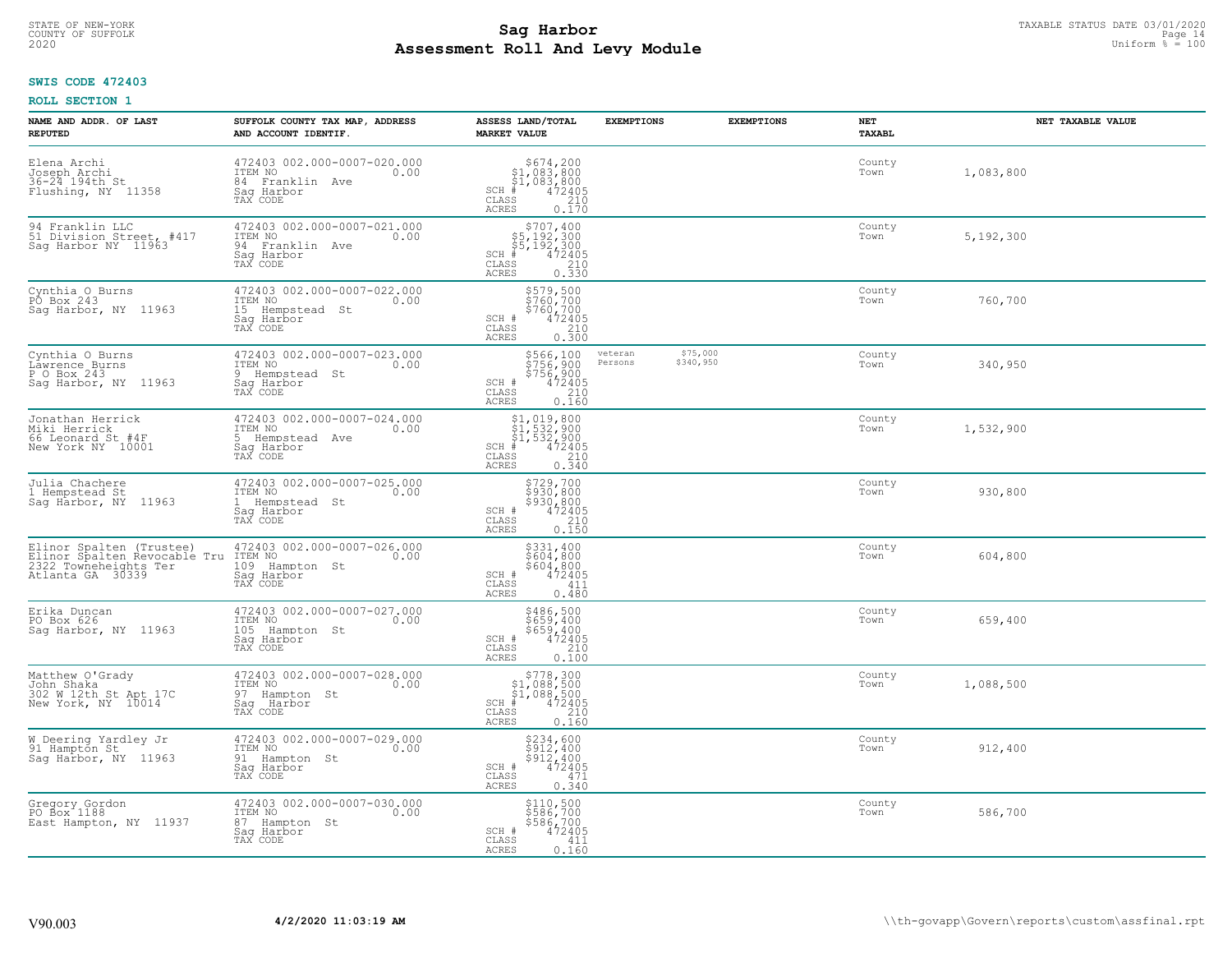#### **Sag Harbor** TAXABLE STATUS DATE 03/01/2020<br>
Poll and Louis Module **Assessment Roll And Levy Module** 2020 Uniform % = 100 COUNTY OF SUFFOLK **Example 2018 COUNTY OF SUFFOLK** Page 14

## **SWIS CODE 472403**

| NAME AND ADDR. OF LAST<br><b>REPUTED</b>                                                              | SUFFOLK COUNTY TAX MAP, ADDRESS<br>AND ACCOUNT IDENTIF.                                       | ASSESS LAND/TOTAL<br><b>MARKET VALUE</b>                                                                                                 | <b>EXEMPTIONS</b>  | <b>EXEMPTIONS</b>     | <b>NET</b><br><b>TAXABL</b> | NET TAXABLE VALUE |
|-------------------------------------------------------------------------------------------------------|-----------------------------------------------------------------------------------------------|------------------------------------------------------------------------------------------------------------------------------------------|--------------------|-----------------------|-----------------------------|-------------------|
| Elena Archi<br>Joseph Archi<br>36-24 194th St<br>Flushing, NY 11358                                   | 472403 002.000-0007-020.000<br>ITEM NO<br>0.00<br>84 Franklin Ave<br>Saq Harbor<br>TAX CODE   | $$674, 200$<br>$$1, 083, 800$<br>$$1, 083, 800$<br>$472405$<br>$$210$<br>$$210$<br>$SCH$ #<br>CLASS<br>ACRES<br>0.170                    |                    |                       | County<br>Town              | 1,083,800         |
| 94 Franklin LLC<br>51 Division Street, #417<br>Sag Harbor NY 11963                                    | 472403 002.000-0007-021.000<br>ITEM NO<br>0.00<br>94 Franklin Ave<br>Saq Harbor<br>TAX CODE   | $$707, 400$<br>$$5, 192, 300$<br>$$5, 192, 300$<br>$$472405$<br>$SCH$ #<br>CLASS<br>$\begin{array}{c} 210 \\ 0.330 \end{array}$<br>ACRES |                    |                       | County<br>Town              | 5,192,300         |
| Cynthia O Burns<br>PO Box 243<br>Sag Harbor, NY 11963                                                 | 472403 002.000-0007-022.000<br>ITEM NO<br>0.00<br>15 Hempstead St<br>Saq Harbor<br>TAX CODE   | \$579,500<br>\$760,700<br>\$760,700<br>SCH #<br>$\frac{472405}{210}$<br>CLASS<br>0.300<br>ACRES                                          |                    |                       | County<br>Town              | 760,700           |
| Cynthia O Burns<br>Lawrence Burns<br>P O Box 243<br>Sag Harbor, NY 11963                              | 472403 002.000-0007-023.000<br>ITEM NO<br>0.00<br>9 Hempstead St<br>Saq Harbor<br>TAX CODE    | \$566,100<br>\$756,900<br>$$756/200$<br>SCH #<br>$\begin{smallmatrix} 472405\ 210\ 0.160 \end{smallmatrix}$<br>CLASS<br>ACRES            | veteran<br>Persons | \$75,000<br>\$340,950 | County<br>Town              | 340,950           |
| Jonathan Herrick<br>Miki Herrick<br>66 Leonard St #4F<br>New York NY 10001                            | 472403 002.000-0007-024.000<br>ITEM NO<br>0.00<br>5 Hempstead Ave<br>Saq Harbor<br>TAX CODE   | \$1,019,800<br>31,532,900<br>\$1,532,900<br>\$1,532,900<br>\$5 472405<br>\$5 210<br>\$10.340<br>$SCH$ #<br>CLASS<br>ACRES                |                    |                       | County<br>Town              | 1,532,900         |
| Julia Chachere<br>1 Hempstead St<br>Sag Harbor, NY 11963                                              | 472403 002.000-0007-025.000<br>ITEM NO<br>0.00<br>1 Hempstead St<br>Sag Harbor<br>TAX CODE    | $$729,700$<br>$$930,800$<br>$$930,800$<br>$$472405$<br>$$210$<br>SCH #<br>CLASS<br>0.150<br>ACRES                                        |                    |                       | County<br>Town              | 930,800           |
| Elinor Spalten (Trustee)<br>Elinor Spalten Revocable Tru<br>2322 Towneheights Ter<br>Atlanta GA 30339 | 472403 002.000-0007-026.000<br>ITEM NO<br>0.00<br>109<br>Hampton St<br>Saq Harbor<br>TAX CODE | \$331,400<br>\$604,800<br>\$604,800<br>472405<br>SCH #<br>411<br>CLASS<br>ACRES<br>0.480                                                 |                    |                       | County<br>Town              | 604,800           |
| Erika Duncan<br>PO Box 626<br>Sag Harbor, NY 11963                                                    | 472403 002.000-0007-027.000<br>ITEM NO<br>0.00<br>105 Hampton St<br>Saq Harbor<br>TAX CODE    | $$486,500$<br>$$659,400$<br>$$659,400$<br>$472405$<br>$$210$<br>SCH #<br>CLASS<br>ACRES<br>0.100                                         |                    |                       | County<br>Town              | 659,400           |
| Matthew O'Grady<br>John Shaka<br>302 W 12th St Apt 17C<br>New York, NY 10014                          | 472403 002.000-0007-028.000<br>TTEM NO 0.00<br>97 Hampton St<br>Saq Harbor<br>TAX CODE        | $\begin{array}{c} $778,300$ \\ $1,088,500$ \\ $1,088,500$ \\ $4$ \end{array}$<br>SCH<br>CLASS<br>${\tt ACKES}$<br>0.160                  |                    |                       | County<br>Town              | 1,088,500         |
| W Deering Yardley Jr<br>91 Hampton St<br>Sag Harbor, NY 11963                                         | 472403 002.000-0007-029.000<br>ITEM NO<br>0.00<br>91 Hampton St<br>Sag Harbor<br>TAX CODE     | \$234,600<br>\$912,400<br>\$912,400<br>472405<br>SCH #<br>471<br>CLASS<br><b>ACRES</b><br>0.340                                          |                    |                       | County<br>Town              | 912,400           |
| Gregory Gordon<br>PO Box 1188<br>East Hampton, NY 11937                                               | 472403 002.000-0007-030.000<br>ITEM NO<br>0.00<br>87 Hampton St<br>Sag Harbor<br>TAX CODE     | \$110,500<br>\$586,700<br>\$586,700<br>SCH #<br>472405<br>CLASS<br>411<br>ACRES<br>0.160                                                 |                    |                       | County<br>Town              | 586,700           |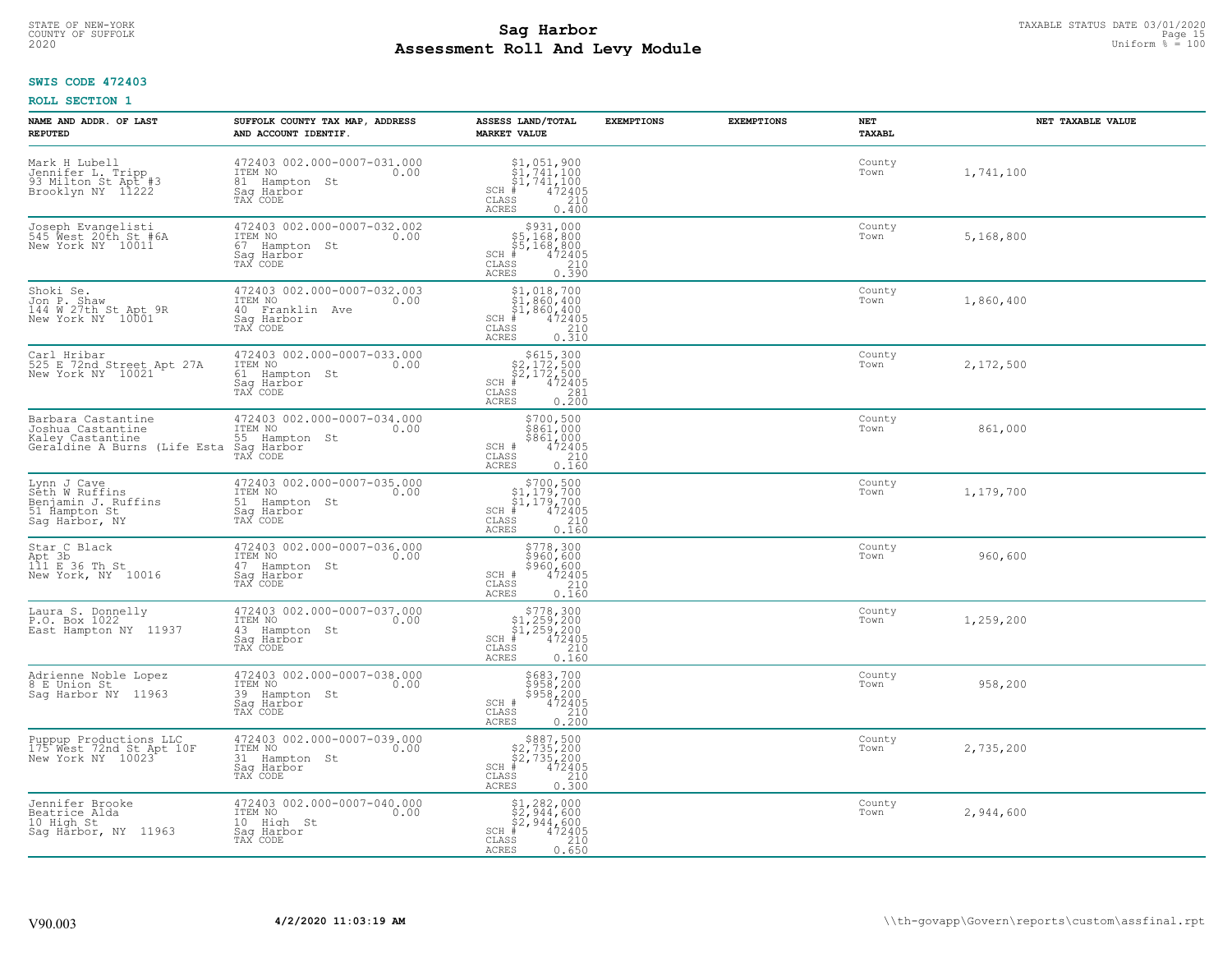# TAXABLE STATUS DATE 03/01/2020<br>COUNTY OF SUFFOLK Page 15 **Assessment Roll And Levy Module** 2020 Uniform % = 100

## **SWIS CODE 472403**

| NAME AND ADDR. OF LAST<br><b>REPUTED</b>                                                    | SUFFOLK COUNTY TAX MAP, ADDRESS<br>AND ACCOUNT IDENTIF.                                      | ASSESS LAND/TOTAL<br><b>MARKET VALUE</b>                                                                                                                                                                                                                                                                                                                                  | <b>EXEMPTIONS</b> | <b>EXEMPTIONS</b> | NET<br><b>TAXABL</b> | NET TAXABLE VALUE |
|---------------------------------------------------------------------------------------------|----------------------------------------------------------------------------------------------|---------------------------------------------------------------------------------------------------------------------------------------------------------------------------------------------------------------------------------------------------------------------------------------------------------------------------------------------------------------------------|-------------------|-------------------|----------------------|-------------------|
| Mark H Lubell<br>Jennifer L. Tripp<br>93 Milton St Apt #3<br>Brooklyn NY 11222              | 472403 002.000-0007-031.000<br>ITEM NO<br>0.00<br>81 Hampton<br>St<br>Saq Harbor<br>TAX CODE | $\begin{array}{l} $1,051,900\\ $1,741,100\\ $1,741,100\\ *\\ *\\ 2405\\ *\\ 240\\ *\\ 240\\ *\\ 240\\ *\\ 240\\ *\\ 240\\ *\\ 240\\ *\\ 240\\ *\\ 240\\ *\\ 240\\ *\\ 240\\ *\\ 240\\ *\\ 240\\ *\\ 240\\ *\\ 240\\ *\\ 240\\ *\\ 240\\ *\\ 240\\ *\\ 240\\ *\\ 240\\ *\\ 240\\ *\\ 240\\ *\\ 240\\ *\\ 240\\ *\\ 240\\ *\\$<br>$SCH$ #<br>CLASS<br><b>ACRES</b><br>0.400 |                   |                   | County<br>Town       | 1,741,100         |
| Joseph Evangelisti<br>545 Nest 20th St.#6A<br>New York NY 10011                             | 472403 002.000-0007-032.002<br>TTEM NO 0.00<br>67 Hampton St<br>Saq Harbor<br>TAX CODE       | $$931,000$<br>$$5,168,800$<br>$$5,168,800$<br>$$472405$<br>$SCH$ #<br>CLASS<br>$\frac{210}{0.390}$<br><b>ACRES</b>                                                                                                                                                                                                                                                        |                   |                   | County<br>Town       | 5,168,800         |
| Shoki Se.<br>Jon P. Shaw<br>144 W 27th St Apt 9R<br>New York NY 10001                       | 472403 002.000-0007-032.003<br>ITEM NO<br>0.00<br>40 Franklin Ave<br>Sag Harbor<br>TAX CODE  | $\begin{array}{c} \texttt{\$1$, 018$, 700} \\ \texttt{\$1$, 860, 400} \\ \texttt{\$1$, 860, 400} \\ \texttt{\$1$, 860, 400} \\ \texttt{\$1$} \\ \texttt{\$1$} \\ \texttt{\$1$} \\ \texttt{\$1$} \\ \texttt{\$1$} \\ \texttt{\$1$} \\ \texttt{\$1$} \\ \texttt{\$2$} \\ \texttt{\$1$} \\ \texttt{\$2$} \\ \texttt{\$3$} \\ \end{array}$<br>SCH #<br>CLASS<br><b>ACRES</b>  |                   |                   | County<br>Town       | 1,860,400         |
| Carl Hribar<br>525 E 72nd Street Apt 27A<br>New York NY 10021                               | 472403 002.000-0007-033.000<br>ITEM NO<br>0.00<br>61 Hampton St<br>Saq Harbor<br>TAX CODE    | $\begin{array}{r}  \  \  \, 5615,300 \\  \  \, 2,172,500 \\  \  \, 52,172,500 \\  \  \  \, 472405 \\  \  \  \, 81 \\  \  \  \, 81 \\  \  \  \, 81 \\  \  \  \, 0.200 \end{array}$<br>$SCH$ #<br>CLASS<br><b>ACRES</b>                                                                                                                                                     |                   |                   | County<br>Town       | 2,172,500         |
| Barbara Castantine<br>Joshua Castantine<br>Kaley Castantine<br>Geraldine A Burns (Life Esta | 472403 002.000-0007-034.000<br>ITEM NO<br>0.00<br>55 Hampton St<br>Saq Harbor<br>TAX CODE    | \$700,500<br>$$861,000$<br>$$861,000$<br>SCH #<br>$\frac{472405}{210}$<br>CLASS<br><b>ACRES</b><br>0.160                                                                                                                                                                                                                                                                  |                   |                   | County<br>Town       | 861,000           |
| Lynn J Cave<br>Seth W Ruffins<br>Benjamin J. Ruffins<br>51 Hampton St<br>Saq Harbor, NY     | 472403 002.000-0007-035.000<br>ITEM NO<br>0.00<br>51 Hampton St<br>Saq Harbor<br>TAX CODE    | $$700,500$<br>$$1,179,700$<br>$$1,179,700$<br>$*1$<br>$*172405$<br>SCH<br>CLASS<br>210<br>0.160<br><b>ACRES</b>                                                                                                                                                                                                                                                           |                   |                   | County<br>Town       | 1,179,700         |
| Star C Black<br>Apt 3b<br>111 E 36 Th St<br>New York, NY 10016                              | 472403 002.000-0007-036.000<br>ITEM NO<br>0.00<br>47 Hampton St<br>Saq Harbor<br>TAX CODE    | \$778,300<br>\$960,600<br>\$960,600<br>472405<br>SCH #<br>CLASS<br>210<br>0.160<br><b>ACRES</b>                                                                                                                                                                                                                                                                           |                   |                   | County<br>Town       | 960,600           |
| Laura S. Donnelly<br>P.O. Box 1022<br>East Hampton NY 11937                                 | 472403 002.000-0007-037.000<br>10.00 0.00<br>43 Hampton St<br>Saq Harbor<br>TAX CODE         | $$778,300$<br>$$1,259,200$<br>$$1,259,200$<br>$$472405$<br>$SCH$ #<br>CLASS<br>210<br><b>ACRES</b><br>0.160                                                                                                                                                                                                                                                               |                   |                   | County<br>Town       | 1,259,200         |
| Adrienne Noble Lopez<br>8 E Union St<br>Sag Harbor NY 11963                                 | 472403 002.000-0007-038.000<br>TTEM NO 0.00<br>39 Hampton St<br>Saq Harbor<br>TAX CODE       | \$683,700<br>\$958,200<br>\$958,200<br>SCH #<br>472405<br>CLASS<br>210<br><b>ACRES</b><br>0.200                                                                                                                                                                                                                                                                           |                   |                   | County<br>Town       | 958,200           |
| Puppup Productions LLC<br>175 West 72nd St Apt 10F<br>New York NY 10023                     | 472403 002.000-0007-039.000<br>ITEM NO<br>0.00<br>31 Hampton St<br>Saq Harbor<br>TAX CODE    | $$887,500$<br>$$2,735,200$<br>$$2,735,200$<br>$$472405$<br>SCH<br>210<br>CLASS<br>0.300<br><b>ACRES</b>                                                                                                                                                                                                                                                                   |                   |                   | County<br>Town       | 2,735,200         |
| Jennifer Brooke<br>Beatrice Alda<br>10 High St<br>Sag Harbor, NY 11963                      | 472403 002.000-0007-040.000<br>ITEM NO<br>0.00<br>10 High St<br>Saq Harbor<br>TAX CODE       | $$2, 282, 000$<br>$$2, 944, 600$<br>$$2, 944, 600$<br>$SCH$ #<br>472405<br>CLASS<br>210<br><b>ACRES</b><br>0.650                                                                                                                                                                                                                                                          |                   |                   | County<br>Town       | 2,944,600         |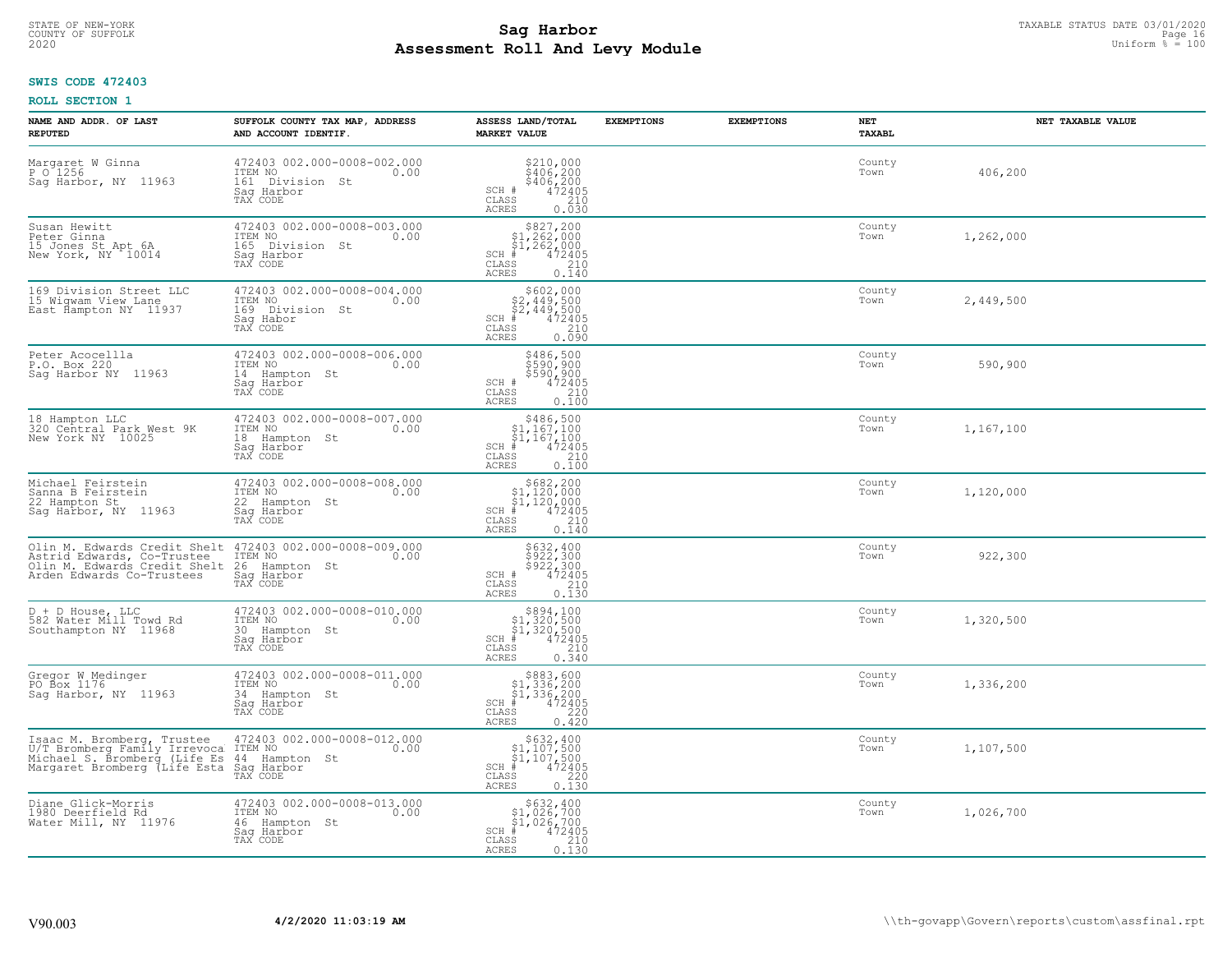#### **Sag Harbor** TAXABLE STATUS DATE 03/01/2020<br>
Poll and Louis Module **Assessment Roll And Levy Module** 2020 Uniform % = 100 COUNTY OF SUFFOLK **Example 2018 COUNTY OF SUFFOLK** Page 16

## **SWIS CODE 472403**

| NAME AND ADDR. OF LAST<br><b>REPUTED</b>                                                                                   | SUFFOLK COUNTY TAX MAP, ADDRESS<br>AND ACCOUNT IDENTIF.                                       | ASSESS LAND/TOTAL<br><b>MARKET VALUE</b>                                                                                                                                                                                                                                                                                                                                     | <b>EXEMPTIONS</b> | <b>EXEMPTIONS</b> | <b>NET</b><br><b>TAXABL</b> | NET TAXABLE VALUE |
|----------------------------------------------------------------------------------------------------------------------------|-----------------------------------------------------------------------------------------------|------------------------------------------------------------------------------------------------------------------------------------------------------------------------------------------------------------------------------------------------------------------------------------------------------------------------------------------------------------------------------|-------------------|-------------------|-----------------------------|-------------------|
| Margaret W Ginna<br>P O 1256<br>Sag Harbor, NY 11963                                                                       | 472403 002.000-0008-002.000<br>ITEM NO<br>0.00<br>161 Division St<br>Saq Harbor<br>TAX CODE   | \$210,000<br>\$406,200<br>\$406,200<br>472405<br>210<br>SCH #<br>CLASS<br><b>ACRES</b><br>0.030                                                                                                                                                                                                                                                                              |                   |                   | County<br>Town              | 406,200           |
| Susan Hewitt<br>Peter Ginna<br>15 Jones St Apt 6A<br>New York, NY 10014                                                    | 472403 002.000-0008-003.000<br>ITEM NO<br>0.00<br>165 Division St<br>Saq Harbor<br>TAX CODE   | $$827,200$<br>$$1,262,000$<br>$$1,262,000$<br>472405<br>$SCH$ #<br>CLASS<br>$\frac{210}{0.140}$<br><b>ACRES</b>                                                                                                                                                                                                                                                              |                   |                   | County<br>Town              | 1,262,000         |
| 169 Division Street LLC<br>15 Wigwam View Lane<br>East Hampton NY 11937                                                    | 472403 002.000-0008-004.000<br>ITEM NO<br>0.00<br>169<br>Division St<br>Saq Habor<br>TAX CODE | $$602,000$<br>$$2,449,500$<br>$$2,449,500$<br>$$472405$<br>$SCH$ #<br>CLASS<br>0.090<br>ACRES                                                                                                                                                                                                                                                                                |                   |                   | County<br>Town              | 2,449,500         |
| Peter Acocellla<br>P.O. Box 220<br>Saq Harbor NY 11963                                                                     | 472403 002.000-0008-006.000<br>0.00 0.00<br>14 Hampton St<br>Saq Harbor<br>TAX CODE           | \$486,500<br>\$590,900<br><b>SSSO SOO</b><br>SCH #<br>472405<br>CLASS<br>210<br>0.100<br>ACRES                                                                                                                                                                                                                                                                               |                   |                   | County<br>Town              | 590,900           |
| 18 Hampton LLC<br>320 Central Park West 9K<br>New York NY 10025                                                            | 472403 002.000-0008-007.000<br>ITEM NO<br>0.00<br>18 Hampton St<br>Saq Harbor<br>TAX CODE     | $$486,500$<br>$$1,167,100$<br>$$1,167,100$<br>$472405$<br>$$240$<br>$SCH$ #<br>CLASS<br>0,100<br><b>ACRES</b>                                                                                                                                                                                                                                                                |                   |                   | County<br>Town              | 1,167,100         |
| Michael Feirstein<br>Sanna B Feirstein<br>22 Hampton St<br>Saq Harbor, NY 11963                                            | 472403 002.000-0008-008.000<br>ITEM NO<br>0.00<br>22 Hampton St<br>Sag Harbor<br>TAX CODE     | $\begin{array}{r}  \  \  \, 5682,200 \\  \  \, 51,120,000 \\  \  \, 51,120,000 \\  \  \  \, 472405 \\  \  \, 85 \\  \  \, 210 \\  \  \, 0 \\  \  \, 240 \\  \  \, 0 \\  \  \, 0 \\  \  \, 0 \\  \  \, 0 \\  \  \, 0 \\  \  \, 0 \\  \  \, 0 \\  \  \, 0 \\  \  \, 0 \\  \  \, 0 \\  \  \, 0 \\  \  \, 0 \\  \  \, 0 \\  \  \, $<br>$SCH$ #<br>CLASS<br>0.140<br><b>ACRES</b> |                   |                   | County<br>Town              | 1,120,000         |
| Olin M. Edwards Credit Shelt<br>Astrid Edwards, Co-Trustee<br>Olin M. Edwards Credit Shelt<br>Arden Edwards Co-Trustees    | 472403 002.000-0008-009.000<br>ITEM NO<br>0.00<br>26<br>Hampton St<br>Saq Harbor<br>TAX CODE  | \$632,400<br>\$922,300<br>\$922,300<br>472405<br>SCH #<br>CLASS<br>210<br>0.130<br>ACRES                                                                                                                                                                                                                                                                                     |                   |                   | County<br>Town              | 922,300           |
| D + D House, LLC<br>582 Water Mill Towd Rd<br>Southampton NY 11968                                                         | 472403 002.000-0008-010.000<br>TTEM NO 0.00<br>30 Hampton St<br>Saq Harbor<br>TAX CODE        | $$894,100$<br>$$1,320,500$<br>$$1,320,500$<br>$*1,320,500$<br>$*1,472405$<br>SCH #<br>CLASS<br>210<br><b>ACRES</b><br>0.340                                                                                                                                                                                                                                                  |                   |                   | County<br>Town              | 1,320,500         |
| Gregor W Medinger<br>PO Box 1176<br>Sag Harbor, NY 11963                                                                   | 472403 002.000-0008-011.000<br>10.00 0.00<br>0.00<br>34 Hampton St<br>Saq Harbor<br>TAX CODE  | $\begin{array}{r} 5883, 600\\ 51, 336, 200\\ 51, 336, 200\\ *\\ 220\\ *\\ \text{ss} \\ -472405\\ *\\ \text{ss} \\ -420 \end{array}$<br>$SCH$ #<br>$\mathtt{CLASS}$<br><b>ACRES</b>                                                                                                                                                                                           |                   |                   | County<br>Town              | 1,336,200         |
| Isaac M. Bromberg, Trustee<br>U/T Bromberg Family Irrevoca<br>Michael S. Bromberg (Life Es<br>Margaret Bromberg (Life Esta | 472403 002.000-0008-012.000<br>ITEM NO<br>0.00<br>44 Hampton St<br>Sag Harbor<br>TAX CODE     | $$632, 400$<br>$$1, 107, 500$<br>$$1, 107, 500$<br>$472405$<br>$$220$<br>$SCH$ #<br>CLASS<br><b>ACRES</b><br>0.130                                                                                                                                                                                                                                                           |                   |                   | County<br>Town              | 1,107,500         |
| Diane Glick-Morris<br>1980 Deerfield Rd<br>Water Mill, NY 11976                                                            | 472403 002.000-0008-013.000<br>ITEM NO<br>0.00<br>46 Hampton St<br>Saq Harbor<br>TAX CODE     | \$632,400<br>\$1,026,700<br>\$1,026,700<br>SCH #<br>472405<br>CLASS<br>210<br>0.130<br>ACRES                                                                                                                                                                                                                                                                                 |                   |                   | County<br>Town              | 1,026,700         |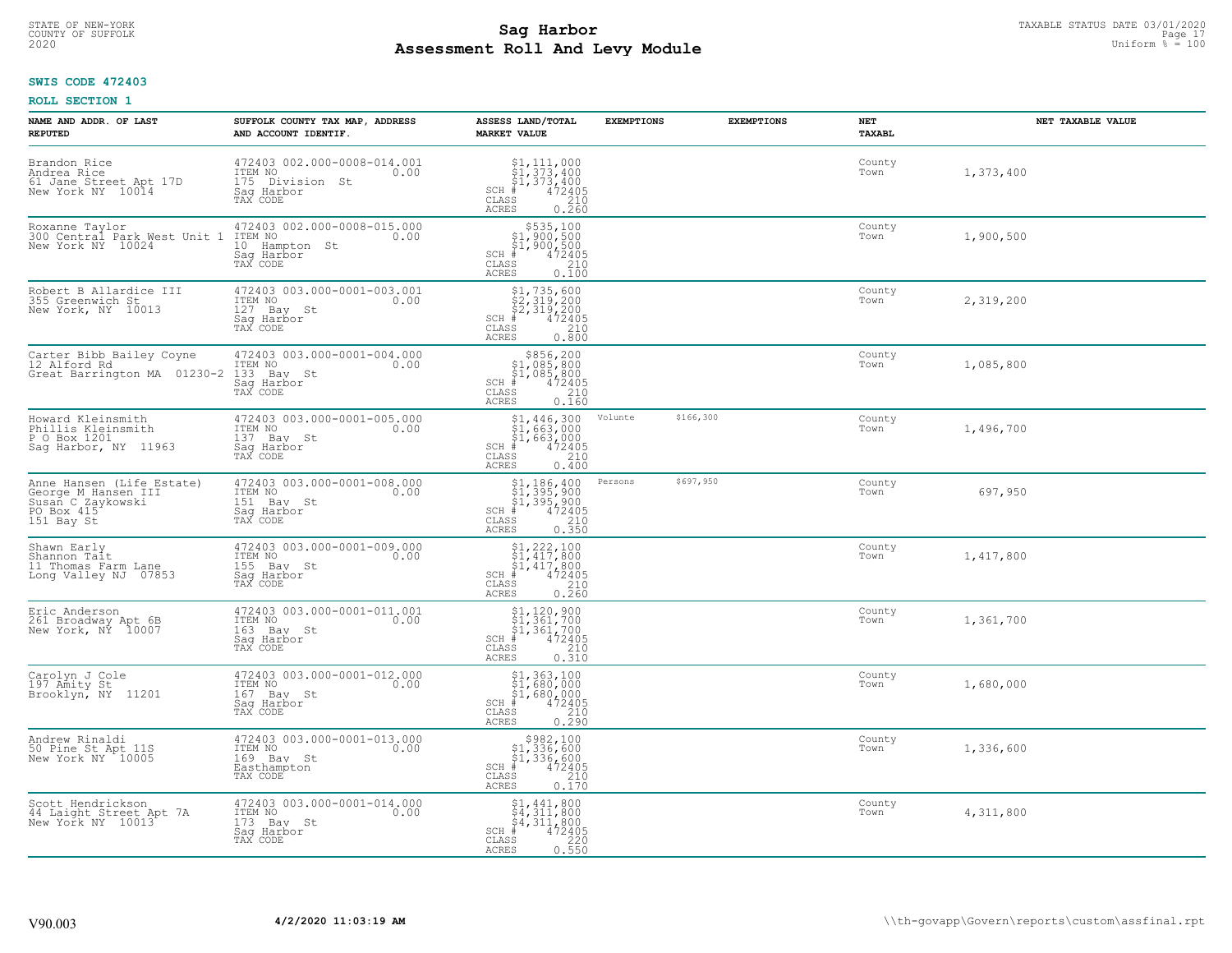# STATE OF NEW-YORK TAXABLE STATUS DATE 03/01/2020<br>COUNTY OF SUFFOLK Page 17 **Assessment Roll And Levy Module** 2020 Uniform % = 100

## **SWIS CODE 472403**

| NAME AND ADDR. OF LAST<br><b>REPUTED</b>                                                          | SUFFOLK COUNTY TAX MAP, ADDRESS<br>AND ACCOUNT IDENTIF.                                     | ASSESS LAND/TOTAL<br><b>MARKET VALUE</b>                                                                                                                                                                                                                                                                                                 | <b>EXEMPTIONS</b> | <b>EXEMPTIONS</b> | NET<br><b>TAXABL</b> | NET TAXABLE VALUE |
|---------------------------------------------------------------------------------------------------|---------------------------------------------------------------------------------------------|------------------------------------------------------------------------------------------------------------------------------------------------------------------------------------------------------------------------------------------------------------------------------------------------------------------------------------------|-------------------|-------------------|----------------------|-------------------|
| Brandon Rice<br>Andrea Rice<br>61 Jane Street Apt 17D<br>New York NY 10014                        | 472403 002.000-0008-014.001<br>ITEM NO<br>0.00<br>175 Division St<br>Saq Harbor<br>TAX CODE | $SCH$ #<br>CLASS<br><b>ACRES</b><br>0.260                                                                                                                                                                                                                                                                                                |                   |                   | County<br>Town       | 1,373,400         |
| Roxanne Taylor<br>300 Central Park West Unit 1<br>New York NY 10024                               | 472403 002.000-0008-015.000<br>ITEM NO<br>0.00<br>10 Hampton St<br>Saq Harbor<br>TAX CODE   | \$535,100<br>\$1,900,500<br>\$1,900,500<br>$SCH$ #<br>472405<br>CLASS<br>210<br>0.100<br><b>ACRES</b>                                                                                                                                                                                                                                    |                   |                   | County<br>Town       | 1,900,500         |
| Robert B Allardice III<br>355 Greenwich St<br>New York, NY 10013                                  | 472403 003.000-0001-003.001<br>ITEM NO<br>0.00<br>127 Bay St<br>Saq Harbor<br>TAX CODE      | $$1, 735, 600$<br>$$2, 319, 200$<br>$$2, 319, 200$<br>$$472405$<br>$SCH$ #<br>CLASS<br>210<br>0.800<br>ACRES                                                                                                                                                                                                                             |                   |                   | County<br>Town       | 2,319,200         |
| Carter Bibb Bailey Coyne<br>12 Alford Rd<br>Great Barrington MA 01230-2                           | 472403 003.000-0001-004.000<br>ITEM NO<br>0.00<br>133 Bay St<br>Saq Harbor<br>TAX CODE      | $\begin{array}{r} $856,200 $1,085,800 $1,085,800 # 472405 $58 210 \end{array}$<br>$SCH$ #<br>CLASS<br><b>ACRES</b><br>0.160                                                                                                                                                                                                              |                   |                   | County<br>Town       | 1,085,800         |
| Howard Kleinsmith<br>Phillis Kleinsmith<br>P O Box 1201<br>Sag Harbor, NY 11963                   | 472403 003.000-0001-005.000<br>ITEM NO<br>0.00<br>137 Bay St<br>Saq Harbor<br>TAX CODE      | $\begin{array}{l} \text{\small $51$, $446$, $300$} \\ \text{\small $51$, $663$, $000$} \\ \text{\small $51$, $663$, $000$} \\ \text{\small $4$} \\ \text{\small $72405$} \\ \text{\small $58$} \\ \text{\small $210$} \\ \text{\small $25$} \\ \text{\small $63$} \\ \text{\small $6400$} \end{array}$<br>SCH #<br>CLASS<br><b>ACRES</b> | Volunte           | \$166,300         | County<br>Town       | 1,496,700         |
| Anne Hansen (Life Estate)<br>Ceorge M Hansen III<br>Susan C Zaykowski<br>PO Box 415<br>151 Bay St | 472403 003.000-0001-008.000<br>ITEM NO<br>0.00<br>151 Bay St<br>Saq Harbor<br>TAX CODE      | $$1,186,400$<br>$$1,395,900$<br>$$1,395,900$<br>$472405$<br>$$210$<br>SCH<br>. #<br>CLASS<br>0.350<br><b>ACRES</b>                                                                                                                                                                                                                       | Persons           | \$697,950         | County<br>Town       | 697,950           |
| Shawn Early<br>Shannon Tait<br>11 Thomas Farm Lane<br>Long Valley NJ 07853                        | 472403 003.000-0001-009.000<br>ITEM NO<br>0.00<br>155 Bay St<br>Saq Harbor<br>TAX CODE      | $$1, 222, 100$<br>$$1, 417, 800$<br>$$1, 417, 800$<br>472405<br>$SCH$ #<br>CLASS<br>210<br>0.260<br><b>ACRES</b>                                                                                                                                                                                                                         |                   |                   | County<br>Town       | 1,417,800         |
| Eric Anderson<br>261 Broadway Apt 6B<br>New York, NY 10007                                        | 472403 003.000-0001-011.001<br>ITEM NO 0.00<br>163 Bay St<br>Saq Harbor<br>TAX CODE         | $$1, 120, 900$<br>$$1, 361, 700$<br>$$1, 361, 700$<br>$*$<br>$*$<br>$*$<br>$*$<br>$SCH$ #<br>CLASS<br>210<br><b>ACRES</b><br>0.310                                                                                                                                                                                                       |                   |                   | County<br>Town       | 1,361,700         |
| Carolyn J Cole<br>197 Amity St<br>Brooklyn, NY 11201                                              | 472403 003.000-0001-012.000<br>TTEM NO 0.00<br>167 Bay St<br>Saq Harbor<br>TAX CODE         | \$1,363,100<br>\$1,680,000<br>\$1,680,000<br>SCH #<br>472405<br>210<br>CLASS<br><b>ACRES</b><br>0.290                                                                                                                                                                                                                                    |                   |                   | County<br>Town       | 1,680,000         |
| Andrew Rinaldi<br>50 Pine St Apt 11S<br>New York NY 10005                                         | 472403 003.000-0001-013.000<br>ITEM NO<br>0.00<br>169 Bay St<br>Easthampton<br>TAX CODE     | \$982,100<br>\$1,336,600<br>\$1,336,600<br>472405<br>$SCH$ #<br>CLASS<br>210<br><b>ACRES</b><br>0.170                                                                                                                                                                                                                                    |                   |                   | County<br>Town       | 1,336,600         |
| Scott Hendrickson<br>44 Laight Street Apt 7A<br>New York NY 10013                                 | 472403 003.000-0001-014.000<br>ITEM NO<br>0.00<br>173 Bay St<br>Saq Harbor<br>TAX CODE      | $$4,311,800$<br>$$4,311,800$<br>$$4,311,800$<br>$$4,311,800$<br>SCH #<br>472405<br>CLASS<br>220<br><b>ACRES</b><br>0.550                                                                                                                                                                                                                 |                   |                   | County<br>Town       | 4,311,800         |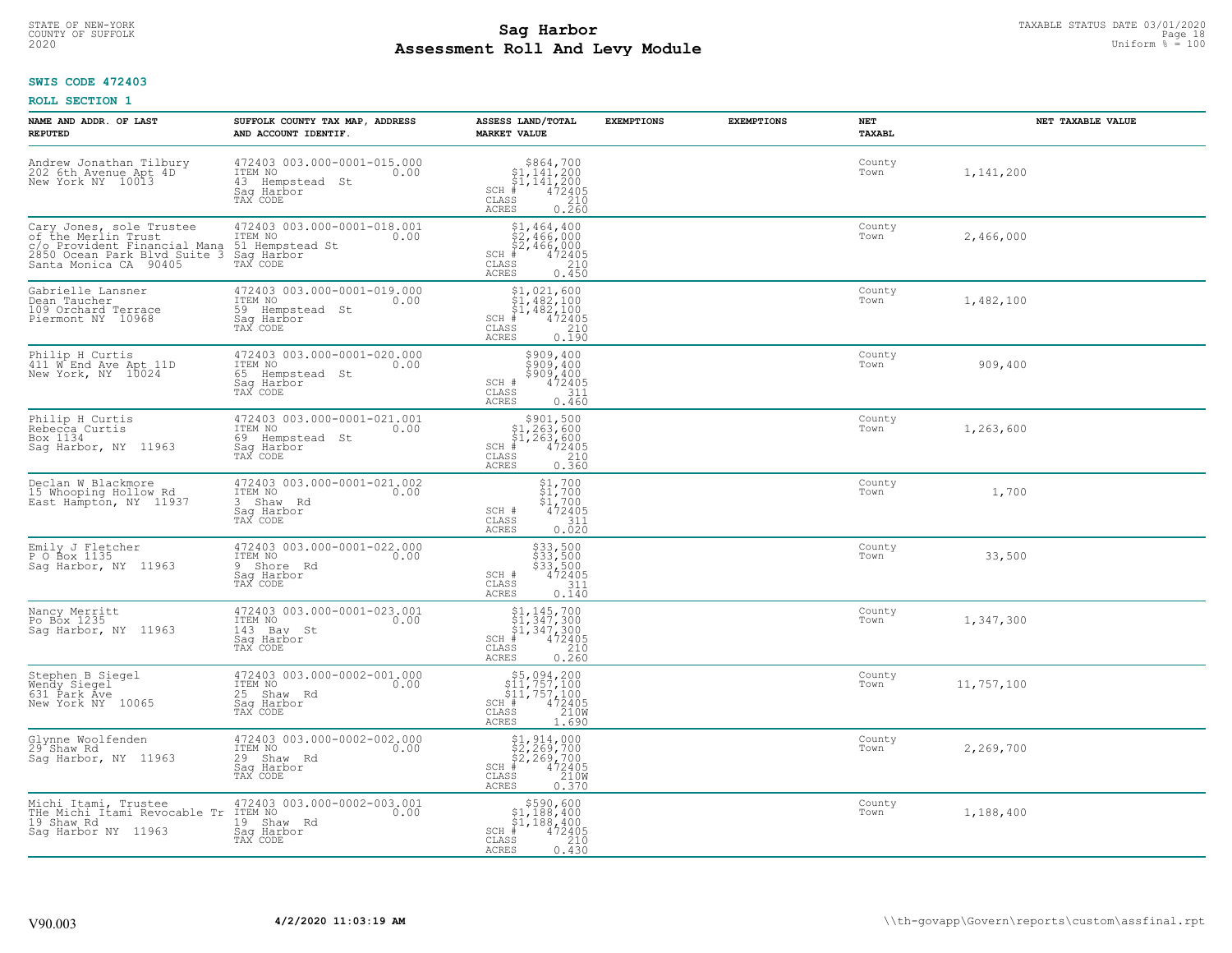#### **Sag Harbor** TAXABLE STATUS DATE 03/01/2020 **Sag Harbor** TAXABLE STATUS DATE 03/01/2020 **Page 18 Assessment Roll And Levy Module** 2020 Uniform % = 100 COUNTY OF SUFFOLK **Example 2018 COUNTY OF SUFFOLK** Page 18

## **SWIS CODE 472403**

| NAME AND ADDR. OF LAST<br><b>REPUTED</b>                                                                                                   | SUFFOLK COUNTY TAX MAP, ADDRESS<br>AND ACCOUNT IDENTIF.                                          | ASSESS LAND/TOTAL<br><b>MARKET VALUE</b>                                                                                                                                                                                                                                                               | <b>EXEMPTIONS</b> | <b>EXEMPTIONS</b> | <b>NET</b><br>TAXABL | NET TAXABLE VALUE |
|--------------------------------------------------------------------------------------------------------------------------------------------|--------------------------------------------------------------------------------------------------|--------------------------------------------------------------------------------------------------------------------------------------------------------------------------------------------------------------------------------------------------------------------------------------------------------|-------------------|-------------------|----------------------|-------------------|
| Andrew Jonathan Tilbury<br>202 6th Avenue Apt 4D<br>New York NY 10013                                                                      | 472403 003.000-0001-015.000<br>ITEM NO<br>0.00<br>43 Hempstead<br>- St<br>Saq Harbor<br>TAX CODE | $\begin{array}{r}  \  \  \, 8864,700 \\  \  \, 51,141,200 \\  \  \, 51,141,200 \\  \  \  \, 472405 \\  \  \, 85 \\  \  \  \, 210 \\  \  \, 0.260 \end{array}$<br>$SCH$ #<br>CLASS<br>ACRES                                                                                                             |                   |                   | County<br>Town       | 1,141,200         |
| Cary Jones, sole Trustee<br>of the Merlin Trust<br>C. C. Provident Financial Mana<br>2850 Ocean Park Blvd Suite 3<br>Santa Monica CA 90405 | 472403 003.000-0001-018.001<br>ITEM NO<br>0.00<br>51 Hempstead St<br>Sag Harbor<br>TAX CODE      | $$1, 464, 400$<br>$$2, 466, 000$<br>$$2, 466, 000$<br>$$472405$<br>SCH #<br>CLASS<br>210<br>0.450<br>ACRES                                                                                                                                                                                             |                   |                   | County<br>Town       | 2,466,000         |
| Gabrielle Lansner<br>Dean Taucher<br>109 Orchard Terrace<br>Piermont NY 10968                                                              | 472403 003.000-0001-019.000<br>ITEM NO<br>0.00<br>59 Hempstead St<br>Saq Harbor<br>TAX CODE      | $\begin{array}{c} \texttt{\$1,021,600}\ \\ \texttt{\$1,482,100}\ \\ \texttt{\$1,482,100}\ \\ \texttt{\$1,482,100}\ \\ \texttt{\$1,482,100}\ \\ \texttt{\$10}\ \\ \texttt{\$10}\ \\ \texttt{\$10}\ \\ \texttt{\$10}\ \\ \texttt{\$10}\ \\ \texttt{\$10}\end{array}$<br>$SCH$ #<br>CLASS<br><b>ACRES</b> |                   |                   | County<br>Town       | 1,482,100         |
| Philip H Curtis<br>411 W End Ave Apt 11D<br>New York, NY 10024                                                                             | 472403 003.000-0001-020.000<br>ITEM NO<br>0.00<br>65 Hempstead St<br>Saq Harbor<br>TAX CODE      | $\begin{array}{c}\n 5909, 400 \\  5909, 400 \\  5909, 400 \\  472405 \\  311 \\  2405\n \end{array}$<br>SCH #<br>CLASS<br>0.460<br><b>ACRES</b>                                                                                                                                                        |                   |                   | County<br>Town       | 909,400           |
| Philip H Curtis<br>Rebecca Curtis<br>Box 1134<br>Saq Harbor, NY 11963                                                                      | 472403 003.000-0001-021.001<br>ITEM NO<br>0.00<br>69 Hempstead St<br>Sag Harbor<br>TAX CODE      | \$901,500<br>$$1,263,600$<br>$$1,263,600$<br>$*$ 472405<br>$SCH$ #<br>CLASS<br>$\begin{array}{c} 210 \\ 0.360 \end{array}$<br><b>ACRES</b>                                                                                                                                                             |                   |                   | County<br>Town       | 1,263,600         |
| Declan W Blackmore<br>15 Whooping Hollow Rd<br>East Hampton, NY 11937                                                                      | 472403 003.000-0001-021.002<br>ITEM NO<br>0.00<br>3 Shaw Rd<br>Saq Harbor<br>TAX CODE            | $\begin{array}{c} 51,700 \\ 51,700 \\ 472405 \end{array}$<br>SCH #<br>CLASS<br>311<br>0.020<br>ACRES                                                                                                                                                                                                   |                   |                   | County<br>Town       | 1,700             |
| Emily J Fletcher<br>P O Box 1135<br>Sag Harbor, NY 11963                                                                                   | 472403 003.000-0001-022.000<br>ITEM NO<br>0.00<br>9 Shore Rd<br>Sag Harbor<br>TAX CODE           | \$33,500<br>\$33,500<br>\$33,500<br>\$472405<br>SCH #<br>CLASS<br>311<br>0.140<br><b>ACRES</b>                                                                                                                                                                                                         |                   |                   | County<br>Town       | 33,500            |
| Nancy Merritt<br>Po Box 1235<br>Saq Harbor, NY 11963                                                                                       | 472403 003.000-0001-023.001<br>ITEM NO<br>0.00<br>143 Bay St<br>Saq Harbor<br>TAX CODE           | $$1, 145, 700$<br>$$1, 347, 300$<br>$$1, 347, 300$<br>$472405$<br>$$210$<br>$SCH$ #<br>$\mathtt{CLASS}$<br><b>ACRES</b><br>0.260                                                                                                                                                                       |                   |                   | County<br>Town       | 1,347,300         |
| Stephen B Siegel<br>Wendy Siegel<br>631 Park Ave<br>New York NY 10065                                                                      | 472403 003.000-0002-001.000<br>ITEM NO<br>0.00<br>25 Shaw Rd<br>Saq Harbor<br>TAX CODE           | \$5,094,200<br>\$11,757,100<br>\$11,757,100<br>SCH #<br>$\frac{472405}{210W}$<br>CLASS<br><b>ACRES</b><br>1.690                                                                                                                                                                                        |                   |                   | County<br>Town       | 11,757,100        |
| Glynne Woolfenden<br>29 <sup>-</sup> Shaw Rd<br>Saq Harbor, NY 11963                                                                       | 472403 003.000-0002-002.000<br>ITEM NO<br>0.00<br>29 Shaw Rd<br>Saq Harbor<br>TAX CODE           | \$1,914,000<br>\$2,269,700<br>\$2,269,700<br>472405<br>210W<br>$SCH$ #<br>CLASS<br><b>ACRES</b><br>0.370                                                                                                                                                                                               |                   |                   | County<br>Town       | 2,269,700         |
| Michi Itami, Trustee<br>THe Michi Itami Revocable Tr<br>19 Shaw Rd<br>Saq Harbor NY 11963                                                  | 472403 003.000-0002-003.001<br>ITEM NO<br>0.00<br>19 Shaw Rd<br>Sag Harbor<br>TAX CODE           | $\begin{array}{c} $590,600\\ $1,188,400\\ $1,188,400\\ \end{array}$<br>$SCH$ #<br>472405<br>CLASS<br>210<br>0.430<br>ACRES                                                                                                                                                                             |                   |                   | County<br>Town       | 1,188,400         |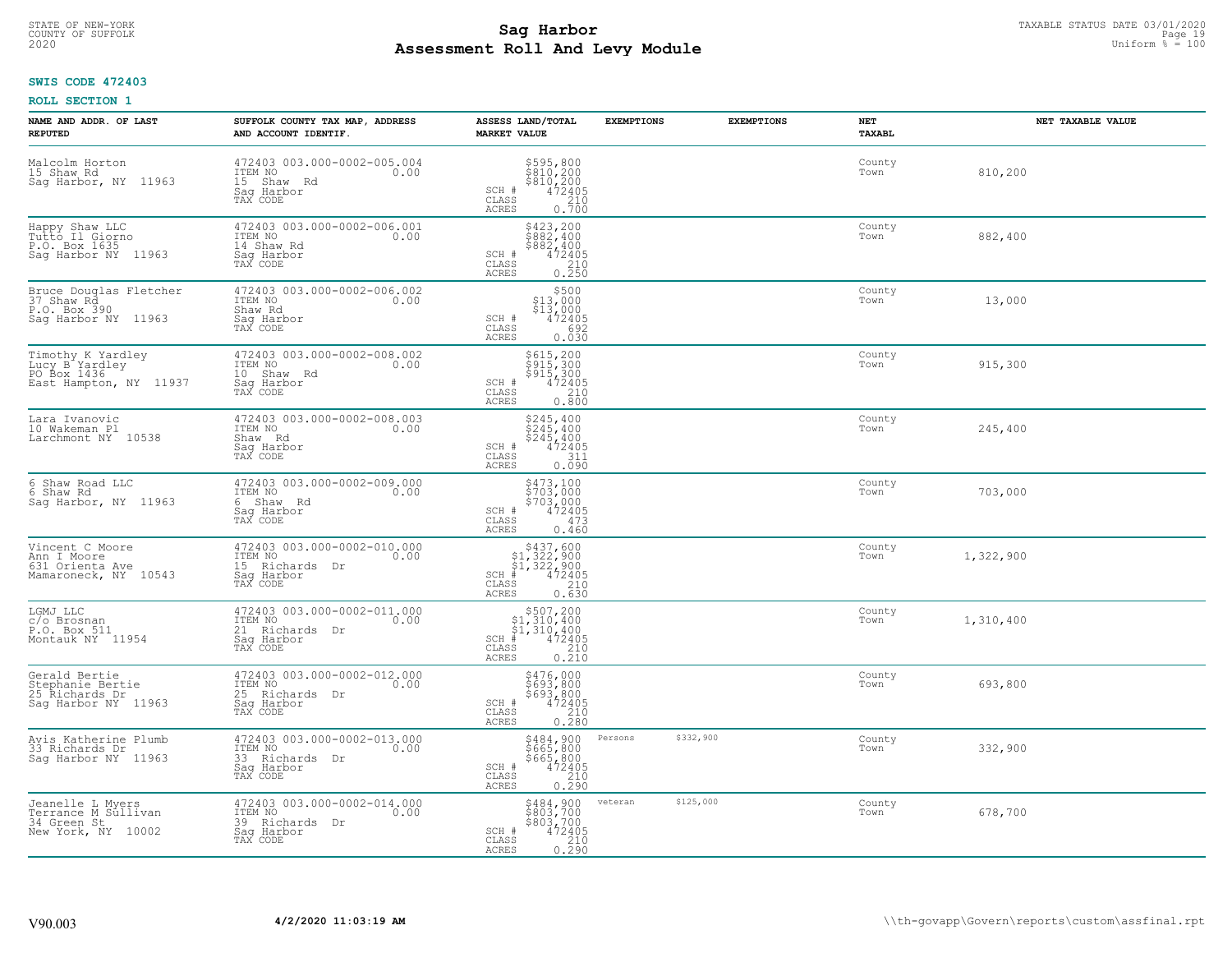#### **Sag Harbor** TAXABLE STATUS DATE 03/01/2020 **Sag Harbor** TAXABLE STATUS DATE 03/01/2020 **Page 19 Assessment Roll And Levy Module** 2020 Uniform % = 100 COUNTY OF SUFFOLK **Example 2018 COUNTY OF SUFFOLK** Page 19

## **SWIS CODE 472403**

| NAME AND ADDR. OF LAST<br><b>REPUTED</b>                                     | SUFFOLK COUNTY TAX MAP, ADDRESS<br>AND ACCOUNT IDENTIF.                                    | ASSESS LAND/TOTAL<br><b>MARKET VALUE</b>                                                                                                                                                                           | <b>EXEMPTIONS</b>    | <b>EXEMPTIONS</b> | <b>NET</b><br><b>TAXABL</b> | NET TAXABLE VALUE |
|------------------------------------------------------------------------------|--------------------------------------------------------------------------------------------|--------------------------------------------------------------------------------------------------------------------------------------------------------------------------------------------------------------------|----------------------|-------------------|-----------------------------|-------------------|
| Malcolm Horton<br>15 Shaw Rd<br>Sag Harbor, NY 11963                         | 472403 003.000-0002-005.004<br>ITEM NO<br>0.00<br>15 Shaw Rd<br>Saq Harbor<br>TAX CODE     | $$595,800$<br>$$810,200$<br>$$810,200$<br>$472405$<br>$$210$<br>SCH #<br>CLASS<br><b>ACRES</b><br>0.700                                                                                                            |                      |                   | County<br>Town              | 810,200           |
| Happy Shaw LLC<br>Tutto Il Giorno<br>P.O. Box 1635<br>Saq Harbor NY 11963    | 472403 003.000-0002-006.001<br>ITEM NO<br>0.00<br>14 Shaw Rd<br>Saq Harbor<br>TAX CODE     | \$423,200<br>\$882,400<br>\$882,400<br>472405<br>SCH #<br>CLASS<br>$\frac{210}{0.250}$<br>ACRES                                                                                                                    |                      |                   | County<br>Town              | 882,400           |
| Bruce Douglas Fletcher<br>37 Shaw Rd<br>P.O. Box 390<br>Saq Harbor NY 11963  | 472403 003.000-0002-006.002<br>ITEM NO<br>0.00<br>Shaw Rd<br>Saq Harbor<br>TAX CODE        | \$500<br>\$13,000<br>\$13,000<br>SCH #<br>472405<br>CLASS<br>692<br>0.030<br>ACRES                                                                                                                                 |                      |                   | County<br>Town              | 13,000            |
| Timothy K Yardley<br>Lucy B Yardley<br>PO Box 1436<br>East Hampton, NY 11937 | 472403 003.000-0002-008.002<br>ITEM NO<br>0.00<br>10 Shaw Rd<br>Saq Harbor<br>TAX CODE     | \$615,200<br>\$915,300<br>\$915,300<br>SCH #<br>$\begin{array}{r} 472405 \\ 210 \\ 0.800 \end{array}$<br>CLASS<br>ACRES                                                                                            |                      |                   | County<br>Town              | 915,300           |
| Lara Ivanovic<br>10 Wakeman Pl<br>Larchmont NY 10538                         | 472403 003.000-0002-008.003<br>ITEM NO<br>0.00<br>Shaw Rd<br>Saq Harbor<br>TAX CODE        | $\begin{array}{r} 5245, 400 \\ 5245, 400 \\ 5245, 400 \\ 472405 \\ 0.090 \end{array}$<br>SCH #<br>$\mathtt{CLASS}$<br>ACRES                                                                                        |                      |                   | County<br>Town              | 245,400           |
| 6 Shaw Road LLC<br>6 Shaw Rd<br>Sag Harbor, NY 11963                         | 472403 003.000-0002-009.000<br>ITEM NO<br>0.00<br>6 Shaw Rd<br>Sag Harbor<br>TAX CODE      | \$473,100<br>\$703,000<br>\$703,000<br>472405<br>SCH #<br>473<br>CLASS<br>ACRES<br>0.460                                                                                                                           |                      |                   | County<br>Town              | 703,000           |
| Vincent C Moore<br>Ann I Moore<br>631 Orienta Ave<br>Mamaroneck, NY 10543    | 472403 003.000-0002-010.000<br>ITEM NO<br>0.00<br>15 Richards Dr<br>Saq Harbor<br>TAX CODE | $$437,600$<br>$$1,322,900$<br>$$1,322,900$<br>$$472405$<br>$SCH$ #<br>$\begin{array}{c} 210 \\ 0.630 \end{array}$<br>CLASS<br>ACRES                                                                                |                      |                   | County<br>Town              | 1,322,900         |
| LGMJ LLC<br>c/o Brosnan<br>P.O. Box 511<br>Montauk NY 11954                  | 472403 003.000-0002-011.000<br>ITEM NO 0.00<br>21 Richards Dr<br>Saq Harbor<br>TAX CODE    | $\begin{array}{r} \text{\small $>$507,200$} \\ \text{\small $>$1,310,400$} \\ \text{\small $>$1,310,400$} \\ \text{\small $>$472405$} \\ \text{\small $>$85$} \end{array}$<br>$SCH$ #<br>$\mathtt{CLASS}$<br>ACRES |                      |                   | County<br>Town              | 1,310,400         |
| Gerald Bertie<br>Stephanie Bertie<br>25 Richards Dr<br>Sag Harbor NY 11963   | 472403 003.000-0002-012.000<br>ITEM NO<br>25 Richards Dr<br>Saq Harbor<br>TAX CODE         | \$476,000<br>\$693,800<br>\$693,800<br>SCH #<br>472405<br>210<br>CLASS<br>0.280<br>ACRES                                                                                                                           |                      |                   | County<br>Town              | 693,800           |
| Avis Katherine Plumb<br>33 Richards Dr<br>Saq Harbor NY 11963                | 472403 003.000-0002-013.000<br>ITEM NO<br>0.00<br>33 Richards Dr<br>Sag Harbor<br>TAX CODE | \$484,900<br>\$665,800<br>\$665,800<br>472405<br>SCH #<br>$\begin{array}{c} 210 \\ 0.290 \end{array}$<br>CLASS<br><b>ACRES</b>                                                                                     | Persons<br>\$332,900 |                   | County<br>Town              | 332,900           |
| Jeanelle L Myers<br>Terrance M Sullivan<br>34 Green St<br>New York, NY 10002 | 472403 003.000-0002-014.000<br>ITEM NO<br>0.00<br>39 Richards Dr<br>Saq Harbor<br>TAX CODE | \$484,900<br>\$803,700<br>\$803,700<br>$\begin{array}{r} 472405 \\ 210 \\ 0.290 \end{array}$<br>SCH #<br>CLASS<br>ACRES                                                                                            | \$125,000<br>veteran |                   | County<br>Town              | 678,700           |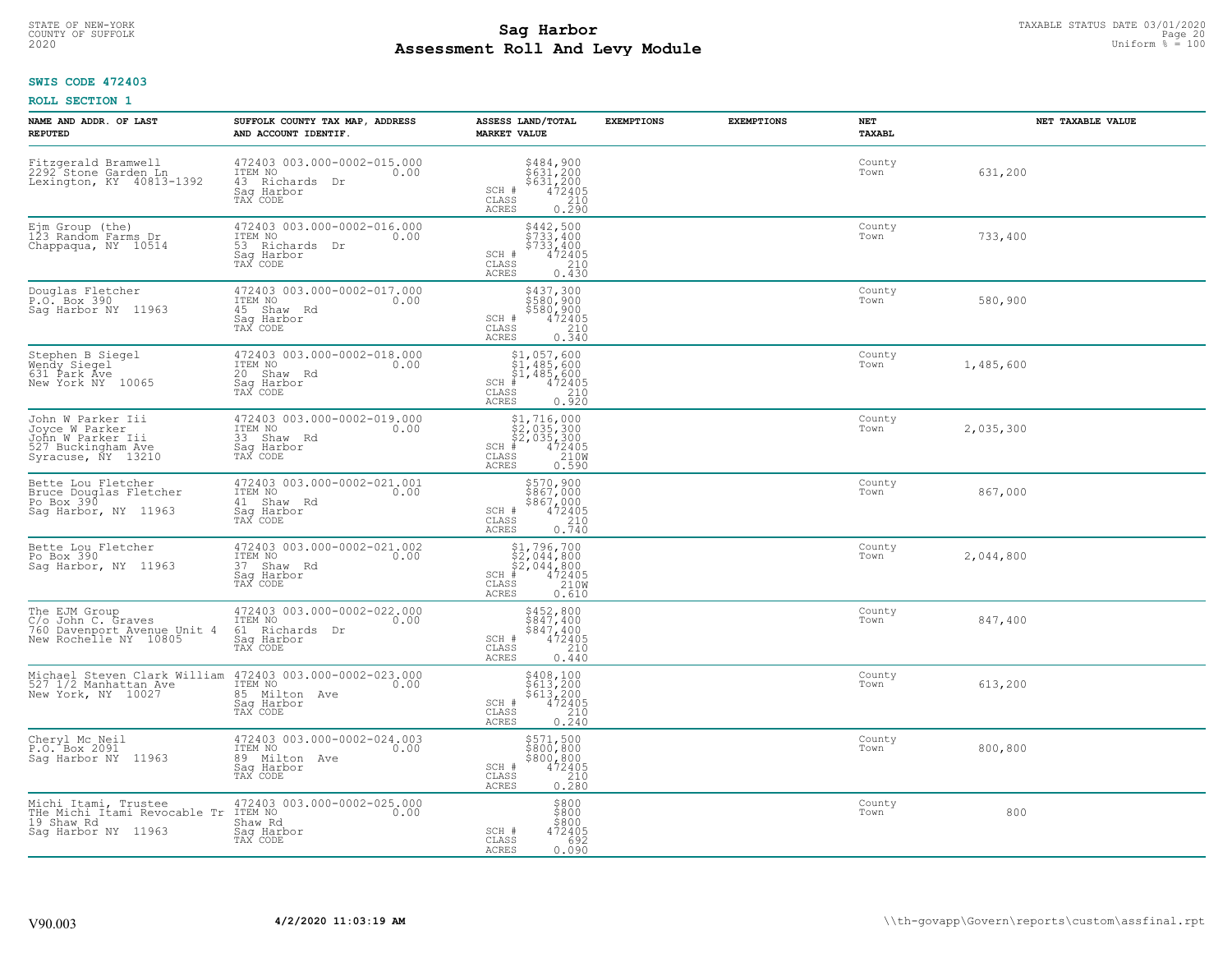# TAXABLE STATUS DATE 03/01/2020<br>COUNTY OF SUFFOLK Page 20 COUNTY OF SUFFOLK Page 20 **Assessment Roll And Levy Module** 2020 Uniform % = 100

## **SWIS CODE 472403**

| NAME AND ADDR. OF LAST<br><b>REPUTED</b>                                                             | SUFFOLK COUNTY TAX MAP, ADDRESS<br>AND ACCOUNT IDENTIF.                                    | ASSESS LAND/TOTAL<br><b>MARKET VALUE</b>                                                                                           | <b>EXEMPTIONS</b> | <b>EXEMPTIONS</b> | NET<br><b>TAXABL</b> | NET TAXABLE VALUE |
|------------------------------------------------------------------------------------------------------|--------------------------------------------------------------------------------------------|------------------------------------------------------------------------------------------------------------------------------------|-------------------|-------------------|----------------------|-------------------|
| Fitzgerald Bramwell<br>2292 Stone Garden Ln<br>Lexington, KY 40813-1392                              | 472403 003.000-0002-015.000<br>ITEM NO<br>0.00<br>43 Richards Dr<br>Saq Harbor<br>TAX CODE | $\begin{array}{r} 5484, 900 \\ 5631, 200 \\ 5631, 200 \\ 472405 \\ 210 \\ 0.290 \end{array}$<br>SCH #<br>CLASS<br>ACRES            |                   |                   | County<br>Town       | 631,200           |
| Ejm Group (the)<br>123 Random Farms Dr<br>Chappaqua, NY 10514                                        | 472403 003.000-0002-016.000<br>ITEM NO<br>0.00<br>53 Richards Dr<br>Saq Harbor<br>TAX CODE | \$442,500<br>\$733,400<br>$$7\bar{3}\bar{3}'$ , $400$<br>$472405$<br>SCH #<br>210<br>CLASS<br>0.430<br>ACRES                       |                   |                   | County<br>Town       | 733,400           |
| Douglas Fletcher<br>P.O. Box 390<br>Sag Harbor NY 11963                                              | 472403 003.000-0002-017.000<br>ITEM NO<br>0.00<br>45 Shaw Rd<br>Sag Harbor<br>TAX CODE     | \$437,300<br>\$580,900<br>\$580,900<br>472405<br>SCH #<br>$\mathtt{CLASS}$<br>$\begin{array}{c} 210 \\ 0.340 \end{array}$<br>ACRES |                   |                   | County<br>Town       | 580,900           |
| Stephen B Siegel<br>Wendy Siegel<br>631 Park Ave<br>New York NY 10065                                | 472403 003.000-0002-018.000<br>ITEM NO<br>0.00<br>20 Shaw Rd<br>Saq Harbor<br>TAX CODE     | \$1,057,600<br>\$1,485,600<br>51,485,600<br>$SCH$ #<br>$\begin{array}{r} 472405 \\ 210 \\ 0.920 \end{array}$<br>CLASS<br>ACRES     |                   |                   | County<br>Town       | 1,485,600         |
| John W Parker Iii<br>Joyce W Parker<br>John W Parker Iii<br>527 Buckingham Ave<br>Syracuse, NY 13210 | 472403 003.000-0002-019.000<br>TTEM NO 0.00<br>33 Shaw Rd<br>Saq Harbor<br>TAX CODE        | $$1, 716, 000$<br>$$2, 035, 300$<br>$$2, 035, 300$<br>$472405$<br>$$210M$<br>$SCH$ #<br>$\mathtt{CLASS}$<br>ACRES<br>0.590         |                   |                   | County<br>Town       | 2,035,300         |
| Bette Lou Fletcher<br>Bruce Douglas Fletcher<br>Po Box 390<br>Sag Harbor, NY 11963                   | 472403 003.000-0002-021.001<br>ITEM NO<br>0.00<br>41 Shaw Rd<br>Saq Harbor<br>TAX CODE     | $\begin{array}{r} 5570,900 \\ 5867,000 \\ 5867,000 \\ 472405 \\ \underline{-210} \\ 0.740 \end{array}$<br>SCH #<br>CLASS<br>ACRES  |                   |                   | County<br>Town       | 867,000           |
| Bette Lou Fletcher<br>Po Box 390<br>Saq Harbor, NY 11963                                             | 472403 003.000-0002-021.002<br>ITEM NO<br>0.00<br>37 Shaw Rd<br>Sag Harbor<br>TAX CODE     | $$2,044,800$<br>$$2,044,800$<br>$$472405$<br>$$35$<br>$$210W$<br>$SCH$ #<br>CLASS<br>0.610<br>ACRES                                |                   |                   | County<br>Town       | 2,044,800         |
| The EJM Group<br>C/o John C. Graves<br>760 Davenport Avenue Unit 4<br>New Rochelle NY 10805          | 472403 003.000-0002-022.000<br>ITEM NO<br>0.00<br>61 Richards Dr<br>Saq Harbor<br>TAX CODE | $5452,800$<br>$5847,400$<br>$5847,400$<br>$472405$<br>$240$<br>SCH #<br>CLASS<br>ACRES<br>0.440                                    |                   |                   | County<br>Town       | 847,400           |
| Michael Steven Clark William<br>527 1/2 Manhattan Ave<br>New York, NY 10027                          | 472403 003.000-0002-023.000<br>10.00 0.00<br>85 Milton Ave<br>Saq Harbor<br>TAX CODE       | $\begin{array}{r} 5408,100 \\ 5613,200 \\ 5613,200 \\ 472405 \\ 210 \\ 0.240 \end{array}$<br>SCH #<br>CLASS<br>ACRES               |                   |                   | County<br>Town       | 613,200           |
| Cheryl Mc Neil<br>P.O. Box 2091<br>Saq Harbor NY 11963                                               | 472403 003.000-0002-024.003<br>ITEM NO<br>0.00<br>89 Milton Ave<br>Sag Harbor<br>TAX CODE  | \$571,500<br>\$800,800<br>\$800,800<br>472405<br>210<br>SCH #<br>CLASS<br>0.280<br>ACRES                                           |                   |                   | County<br>Town       | 800,800           |
| Michi Itami, Trustee<br>THe Michi Itami Revocable Tr ITEM NO<br>19 Shaw Rd<br>Sag Harbor NY 11963    | 472403 003.000-0002-025.000<br>0.00<br>Shaw Rd<br>Sag Harbor<br>TAX CODE                   | $$800$<br>$$800$<br>\$800<br>SCH #<br>472405<br>692<br>CLASS<br>ACRES<br>0.090                                                     |                   |                   | County<br>Town       | 800               |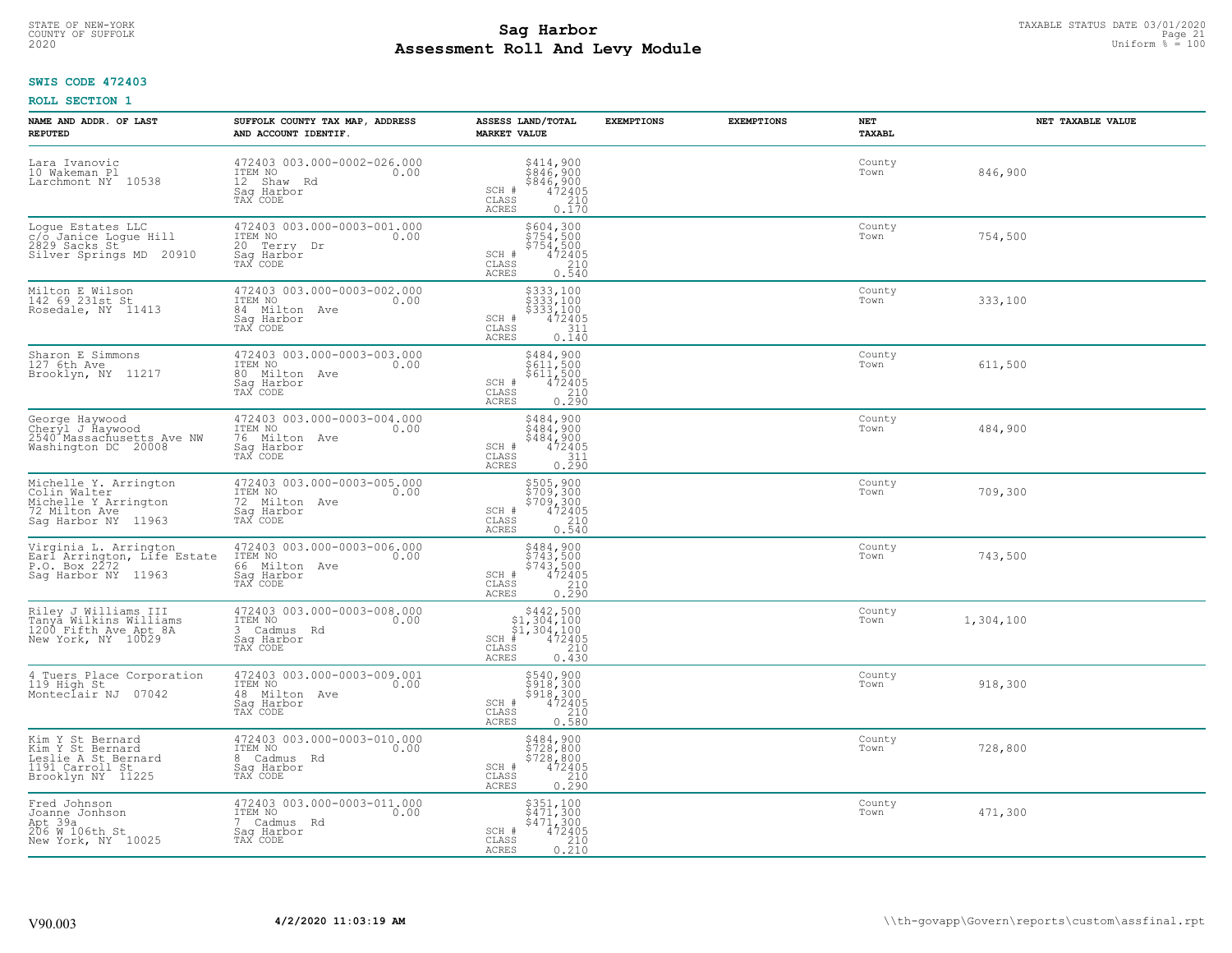# STATE OF NEW-YORK TAXABLE STATUS DATE 03/01/2020<br>COUNTY OF SUFFOLK Page 21 COUNTY OF SUFFOLK Page 21 **Assessment Roll And Levy Module** 2020 Uniform % = 100

## **SWIS CODE 472403**

| NAME AND ADDR. OF LAST<br><b>REPUTED</b>                                                              | SUFFOLK COUNTY TAX MAP, ADDRESS<br>AND ACCOUNT IDENTIF.                                   | ASSESS LAND/TOTAL<br><b>MARKET VALUE</b>                                                                                                                                                                                                                                                                                                                                                                      | <b>EXEMPTIONS</b> | <b>EXEMPTIONS</b> | NET<br><b>TAXABL</b> | NET TAXABLE VALUE |
|-------------------------------------------------------------------------------------------------------|-------------------------------------------------------------------------------------------|---------------------------------------------------------------------------------------------------------------------------------------------------------------------------------------------------------------------------------------------------------------------------------------------------------------------------------------------------------------------------------------------------------------|-------------------|-------------------|----------------------|-------------------|
| Lara Ivanovic<br>10 Wakeman Pl<br>Larchmont NY 10538                                                  | 472403 003.000-0002-026.000<br>ITEM NO<br>0.00<br>12 Shaw Rd<br>Saq Harbor<br>TAX CODE    | $\begin{array}{c} 5414,900 \\ 5846,900 \\ 5846,900 \\ 472405 \\ 210 \\ 0.170 \end{array}$<br>SCH #<br>$\mathtt{CLASS}$<br>ACRES                                                                                                                                                                                                                                                                               |                   |                   | County<br>Town       | 846,900           |
| Logue Estates LLC<br>c/o Janice Logue Hill<br>2829 Sacks St<br>Silver Springs MD 20910                | 472403 003.000-0003-001.000<br>ITEM NO<br>0.00<br>20 Terry Dr<br>Saq Harbor<br>TAX CODE   | \$604,300<br>\$754,500<br>\$754,500<br>$\begin{array}{r} 472405 \\ 210 \\ 0.540 \end{array}$<br>SCH #<br>CLASS<br>ACRES                                                                                                                                                                                                                                                                                       |                   |                   | County<br>Town       | 754,500           |
| Milton E Wilson<br>142 69 231st St<br>Rosedale, NY 11413                                              | 472403 003.000-0003-002.000<br>ITEM NO<br>0.00<br>84 Milton Ave<br>Sag Harbor<br>TAX CODE | \$333,100<br>\$333,100<br>\$333,100<br>472405<br>SCH #<br>$\frac{311}{0.140}$<br>CLASS<br>ACRES                                                                                                                                                                                                                                                                                                               |                   |                   | County<br>Town       | 333,100           |
| Sharon E Simmons<br>127 6th Ave<br>Brooklyn, NY 11217                                                 | 472403 003.000-0003-003.000<br>TTEM NO 0.00<br>80 Milton Ave<br>Sag Harbor<br>TAX CODE    | $\begin{array}{r} 5484, 900 \\ 5611, 500 \\ 5611, 500 \\ 472405 \\ 210 \\ 0.290 \end{array}$<br>SCH #<br>$\mathtt{CLASS}$<br>ACRES                                                                                                                                                                                                                                                                            |                   |                   | County<br>Town       | 611,500           |
| George Haywood<br>Cheryl J Haywood<br>2540 Massachusetts Ave NW<br>Washington DC 20008                | 472403 003.000-0003-004.000<br>ITEM NO<br>0.00<br>76 Milton Ave<br>Saq Harbor<br>TAX CODE | \$484,900<br>$5484,9005484,9004724050.290$<br>SCH #<br>CLASS<br>ACRES                                                                                                                                                                                                                                                                                                                                         |                   |                   | County<br>Town       | 484,900           |
| Michelle Y. Arrington<br>Colin Walter<br>Michelle Y Arrington<br>72 Milton Ave<br>Saq Harbor NY 11963 | 472403 003.000-0003-005.000<br>ITEM NO<br>0.00<br>72 Milton Ave<br>Sag Harbor<br>TAX CODE | \$505,900<br>\$709,300<br>\$709,300<br>472405<br>SCH #<br>CLASS<br>210<br><b>ACRES</b><br>0.540                                                                                                                                                                                                                                                                                                               |                   |                   | County<br>Town       | 709,300           |
| Virginia L. Arrington<br>Earl Arrington, Life Estate<br>P.O. Box 2272<br>Saq Harbor NY 11963          | 472403 003.000-0003-006.000<br>ITEM NO<br>0.00<br>66 Milton Ave<br>Saq Harbor<br>TAX CODE | $\begin{array}{r} 5484, 900 \\ 5743, 500 \\ 5743, 500 \\ 472405 \\ 0.290 \end{array}$<br>SCH #<br>CLASS<br>ACRES                                                                                                                                                                                                                                                                                              |                   |                   | County<br>Town       | 743,500           |
| Riley J Williams III<br>Tanya Wilkins Williams<br>1200 Fifth Ave Apt 8A<br>New York, NY 10029         | 472403 003.000-0003-008.000<br>TTEM NO 0.00<br>3 Cadmus Rd<br>Saq Harbor<br>TAX CODE      | $\begin{array}{r} \texttt{\$442$, 500} \\ \texttt{\$1$, 304, 100} \\ \texttt{\$1$, 304, 100} \\ \texttt{\$1$, 304, 100} \\ \texttt{\$1$} \\ \texttt{\$1$} \\ \texttt{\$1$} \\ \texttt{\$1$} \\ \texttt{\$1$} \\ \texttt{\$1$} \\ \texttt{\$1$} \\ \texttt{\$1$} \\ \texttt{\$2405} \\ \texttt{\$1$} \\ \texttt{\$1$} \\ \texttt{\$2$} \\ \texttt{\$30} \\ \texttt{\$1$} \end{array}$<br>SCH<br>CLASS<br>ACRES |                   |                   | County<br>Town       | 1,304,100         |
| 4 Tuers Place Corporation<br>119 High St<br>Monteclair NJ 07042                                       | 472403 003.000-0003-009.001<br>TTEM NO 0.00<br>48 Milton Ave<br>Saq Harbor<br>TAX CODE    | $\begin{array}{r} 5540, 900 \\ 5918, 300 \\ 5918, 300 \\ 472405 \\ 210 \\ 0.580 \end{array}$<br>SCH #<br>CLASS<br>ACRES                                                                                                                                                                                                                                                                                       |                   |                   | County<br>Town       | 918,300           |
| Kim Y St Bernard<br>Kim Y St Bernard<br>Leslie A St Bernard<br>1191 Carroll St<br>Brooklyn NY 11225   | 472403 003.000-0003-010.000<br>ITEM NO<br>0.00<br>8 Cadmus Rd<br>Sag Harbor<br>TAX CODE   | \$484,900<br>\$728,800<br>$$7\overline{28}, 8\overline{00} 472405 210$<br>SCH #<br>CLASS<br>0.290<br>ACRES                                                                                                                                                                                                                                                                                                    |                   |                   | County<br>Town       | 728,800           |
| Fred Johnson<br>Joanne Jonhson<br>Apt 39a<br>206 W 106th St<br>New York, NY 10025                     | 472403 003.000-0003-011.000<br>ITEM NO<br>0.00<br>7 Cadmus Rd<br>Saq Harbor<br>TAX CODE   | \$351,100<br>\$471,300<br>\$471,300<br>$472405$<br>$210$<br>0.210<br>SCH #<br>CLASS<br><b>ACRES</b>                                                                                                                                                                                                                                                                                                           |                   |                   | County<br>Town       | 471,300           |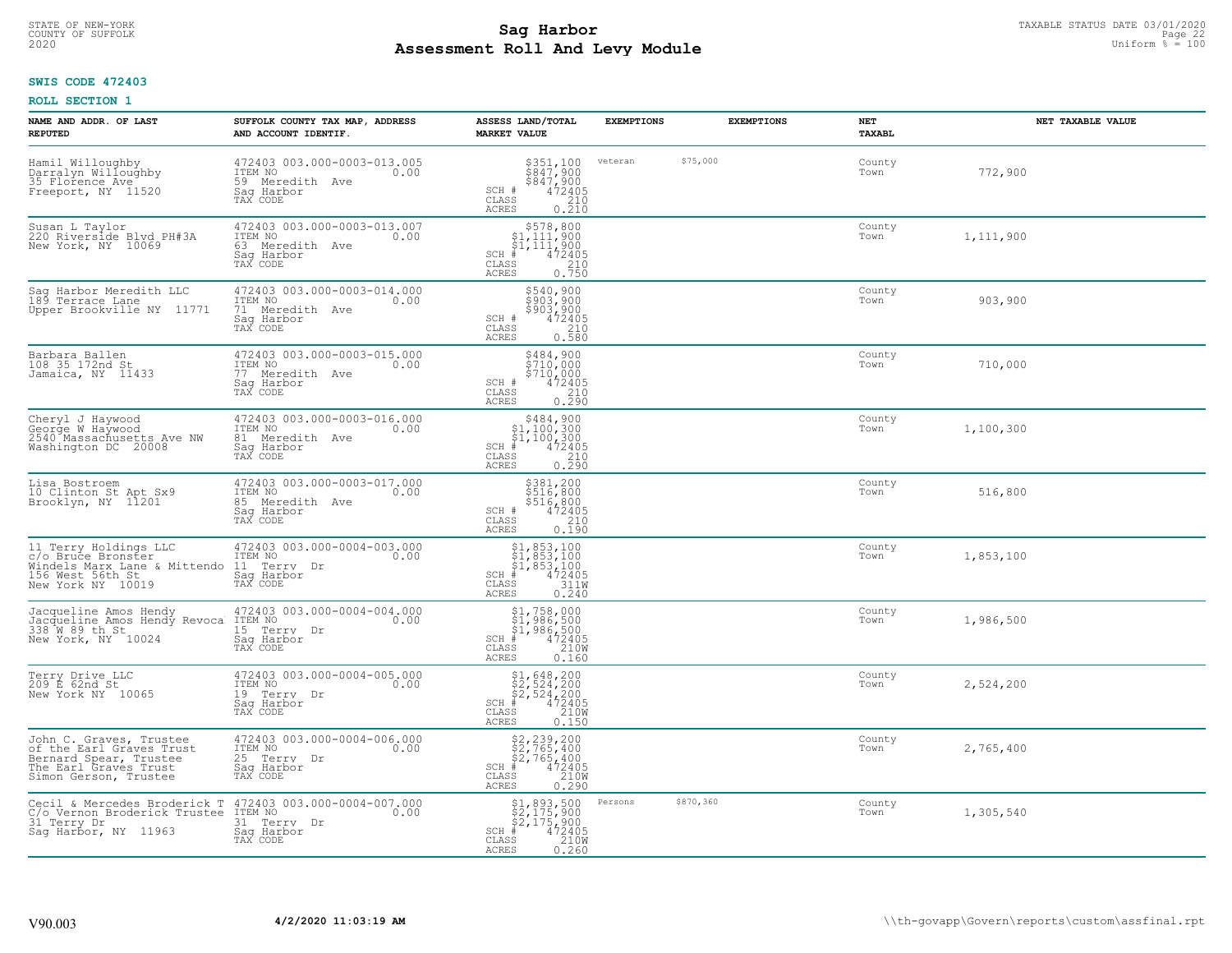# TAXABLE STATUS DATE 03/01/2020<br>COUNTY OF SUFFOLK Page 22 Page 22 **Assessment Roll And Levy Module** 2020 Uniform % = 100

## **SWIS CODE 472403**

| NAME AND ADDR. OF LAST<br><b>REPUTED</b>                                                                                        | SUFFOLK COUNTY TAX MAP, ADDRESS<br>AND ACCOUNT IDENTIF.                                     | ASSESS LAND/TOTAL<br><b>MARKET VALUE</b>                                                                                                                                    | <b>EXEMPTIONS</b> |           | <b>EXEMPTIONS</b> | <b>NET</b><br><b>TAXABL</b> | NET TAXABLE VALUE |
|---------------------------------------------------------------------------------------------------------------------------------|---------------------------------------------------------------------------------------------|-----------------------------------------------------------------------------------------------------------------------------------------------------------------------------|-------------------|-----------|-------------------|-----------------------------|-------------------|
| Hamil Willoughby<br>Darralyn Willoughby<br>35 Florence Ave<br>Freeport, NY 11520                                                | 472403 003.000-0003-013.005<br>ITEM NO<br>0.00<br>59 Meredith Ave<br>Saq Harbor<br>TAX CODE | $$351,100$<br>$$847,900$<br>$$847,900$<br>$472405$<br>$$210$<br>SCH #<br>CLASS<br>ACRES<br>0.210                                                                            | veteran           | \$75,000  |                   | County<br>Town              | 772,900           |
| Susan L Taylor<br>220 Riverside Blyd PH#3A<br>New York, NY 10069                                                                | 472403 003.000-0003-013.007<br>ITEM NO<br>0.00<br>63 Meredith Ave<br>Saq Harbor<br>TAX CODE | $$578,800$<br>$$1,111,900$<br>$$1,111,900$<br>$$1,111,900$<br>472405<br>$SCH$ #<br>CLASS<br>$\frac{210}{0.750}$<br>ACRES                                                    |                   |           |                   | County<br>Town              | 1,111,900         |
| Sag Harbor Meredith LLC<br>189 Terrace Lane<br>Upper Brookville NY 11771                                                        | 472403 003.000-0003-014.000<br>ITEM NO<br>0.00<br>71 Meredith Ave<br>Saq Harbor<br>TAX CODE | \$540,900<br>\$903,900<br>\$903,900<br>$\begin{smallmatrix} 472405\ 210\ 0.580 \end{smallmatrix}$<br>SCH #<br>CLASS<br>ACRES                                                |                   |           |                   | County<br>Town              | 903,900           |
| Barbara Ballen<br>108 35 172nd St<br>Jamaica, NY 11433                                                                          | 472403 003.000-0003-015.000<br>ITEM NO<br>0.00<br>77 Meredith Ave<br>Saq Harbor<br>TAX CODE | \$484,900<br>\$710,000<br>\$710,000<br>SCH #<br>$472405$<br>$0.290$<br>CLASS<br>ACRES                                                                                       |                   |           |                   | County<br>Town              | 710,000           |
| Cheryl J Haywood<br>George W Haywood<br>2540 Massachusetts Ave NW<br>Washington DC 20008                                        | 472403 003.000-0003-016.000<br>ITEM NO<br>0.00<br>81 Meredith Ave<br>Saq Harbor<br>TAX CODE | \$484,900<br>$\begin{array}{r} 1,100,300 \\ 51,100,300 \\ 4,100,300 \\ \text{ss} \\ 210 \\ \text{ss} \\ 25 \\ \text{ss} \\ 290 \\ \end{array}$<br>$SCH$ #<br>CLASS<br>ACRES |                   |           |                   | County<br>Town              | 1,100,300         |
| Lisa Bostroem<br>10 Clinton St Apt Sx9<br>Brooklyn, NY 11201                                                                    | 472403 003.000-0003-017.000<br>ITEM NO<br>0.00<br>85 Meredith Ave<br>Sag Harbor<br>TAX CODE | \$381,200<br>\$516,800<br>\$516,800<br>\$516,800<br>\$72405<br>\$710<br>\$710<br>\$100.190<br>SCH #<br>CLASS<br>ACRES                                                       |                   |           |                   | County<br>Town              | 516,800           |
| 11 Terry Holdings LLC<br>c/o Bruce Bronster<br>Windels Marx Lane & Mittendo<br>156 West 56th St<br>New York NY 10019            | 472403 003.000-0004-003.000<br>ITEM NO<br>0.00<br>11 Terry Dr<br>Saq Harbor<br>TAX CODE     | $$1, 853, 100$<br>$$1, 853, 100$<br>$$1, 853, 100$<br>$472405$<br>$3110$<br>$SCH$ #<br>CLASS<br><b>ACRES</b><br>0.240                                                       |                   |           |                   | County<br>Town              | 1,853,100         |
| Jacqueline Amos Hendy<br>Jacqueline Amos Hendy Revoca<br>338 W 89 th St<br>New York, NY 10024                                   | 472403 003.000-0004-004.000<br>1TEM NO 0.00<br>15 Terry Dr<br>Sag Harbor<br>TAX CODE        | \$1,758,000<br>\$1,986,500<br>\$1,986,500<br># 472405<br>\$5 210M<br>SCH<br>CLASS<br>ACRES<br>0.160                                                                         |                   |           |                   | County<br>Town              | 1,986,500         |
| Terry Drive LLC<br>209 E 62nd St<br>New York NY 10065                                                                           | 472403 003.000-0004-005.000<br>TTEM NO 0.00<br>19 Terry Dr<br>Saq Harbor<br>TAX CODE        | $$2, 524, 200$<br>$$2, 524, 200$<br>$$4, 200$<br>$$4, 2405$<br>$$2400$<br>$$2400$<br>SCH<br>CLASS<br><b>ACRES</b><br>0.150                                                  |                   |           |                   | County<br>Town              | 2,524,200         |
| John C. Graves, Trustee<br>of the Earl Graves Trust<br>Bernard Spear, Trustee<br>The Earl Graves Trust<br>Simon Gerson, Trustee | 472403 003.000-0004-006.000<br>ITEM NO<br>0.00<br>25 Terry Dr<br>Sag Harbor<br>TAX CODE     | $$2, 239, 200$<br>$$2, 765, 400$<br>$$2, 765, 400$<br>$472405$<br>$$2100$<br>$$2100$<br>SCH<br>CLASS<br>0.290<br><b>ACRES</b>                                               |                   |           |                   | County<br>Town              | 2,765,400         |
| Cecil & Mercedes Broderick T<br>C/o Vernon Broderick Trustee<br>31 Terry Dr<br>Sag Harbor, NY 11963                             | 472403 003.000-0004-007.000<br>ITEM NO<br>0.00<br>31 Terry Dr<br>Saq Harbor<br>TAX CODE     | \$1,893,500<br>\$2,175,900<br>\$2,175,900<br>472405<br>210W<br>$SCH$ #<br>CLASS<br>ACRES<br>0.260                                                                           | Persons           | \$870,360 |                   | County<br>Town              | 1,305,540         |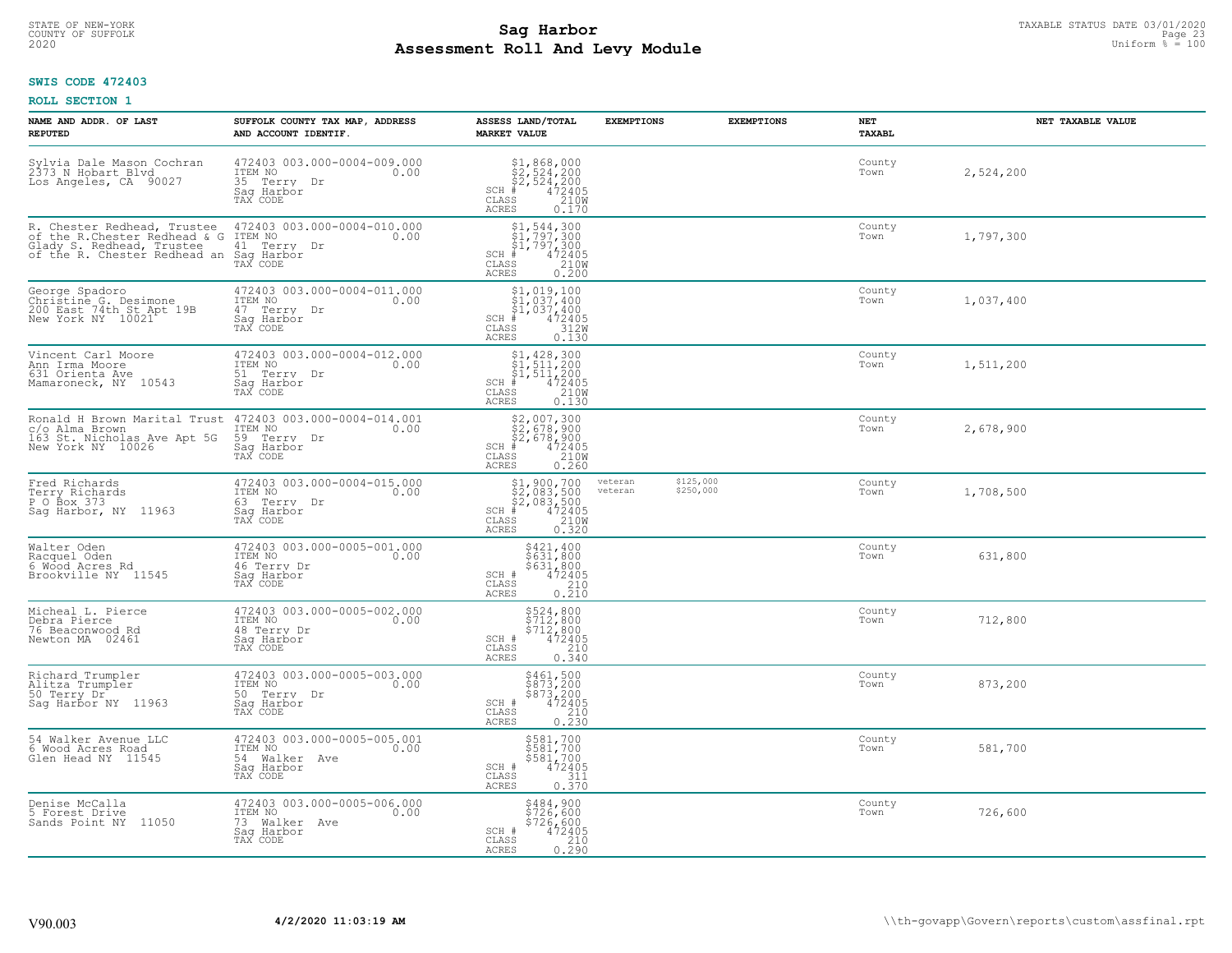# TAXABLE STATUS DATE 03/01/2020<br>COUNTY OF SUFFOLK Page 23 COUNTY OF SUFFOLK Page 23 **Assessment Roll And Levy Module** 2020 Uniform % = 100

## **SWIS CODE 472403**

| NAME AND ADDR. OF LAST<br><b>REPUTED</b>                                                                                 | SUFFOLK COUNTY TAX MAP, ADDRESS<br>AND ACCOUNT IDENTIF.                                   | ASSESS LAND/TOTAL<br><b>MARKET VALUE</b>                                                                                                           | <b>EXEMPTIONS</b>  | <b>EXEMPTIONS</b>      | NET<br>TAXABL  | NET TAXABLE VALUE |
|--------------------------------------------------------------------------------------------------------------------------|-------------------------------------------------------------------------------------------|----------------------------------------------------------------------------------------------------------------------------------------------------|--------------------|------------------------|----------------|-------------------|
| Sylvia Dale Mason Cochran<br>2373 N Hobart Blvd<br>Los Angeles, CA 90027                                                 | 472403 003.000-0004-009.000<br>ITEM NO<br>0.00<br>35 Terry Dr<br>Saq Harbor<br>TAX CODE   | $$2,524,200$<br>$$2,524,200$<br>$$2,524,200$<br>$472405$<br>$$210M$<br>$SCH$ #<br>CLASS<br>ACRES<br>0.170                                          |                    |                        | County<br>Town | 2,524,200         |
| R. Chester Redhead, Trustee<br>of the R.Chester Redhead & G<br>Glady S. Redhead, Trustee<br>of the R. Chester Redhead an | 472403 003.000-0004-010.000<br>ITEM NO<br>0.00<br>41 Terry Dr<br>Sag Harbor<br>TAX CODE   | $$1, 544, 300$<br>$$1, 797, 300$<br>$$1, 797, 300$<br>$4, 472405$<br>$$2100$<br>SCH #<br>CLASS<br>0.200<br><b>ACRES</b>                            |                    |                        | County<br>Town | 1,797,300         |
| George Spadoro<br>Christine G. Desimone<br>200 East 74th St Apt 19B<br>New York NY 10021                                 | 472403 003.000-0004-011.000<br>ITEM NO<br>0.00<br>47 Terry Dr<br>Sag Harbor<br>TAX CODE   | $\begin{array}{l} $1,019,100\\ $1,037,400\\ $1,037,400\\ *\\ 2405\\ *\\ 3120\\ \end{array}$<br>SCH #<br>CLASS<br>ACRES<br>0.130                    |                    |                        | County<br>Town | 1,037,400         |
| Vincent Carl Moore<br>Ann Irma Moore<br>631 Orienta Ave<br>Mamaroneck, NY 10543                                          | 472403 003.000-0004-012.000<br>ITEM NO<br>0.00<br>51 Terry Dr<br>Saq Harbor<br>TAX CODE   | $$1, 428, 300$<br>$$1, 511, 200$<br>$$1, 511, 200$<br>$472405$<br>$$210W$<br>$SCH$ #<br>CLASS<br>ACRES<br>0.130                                    |                    |                        | County<br>Town | 1,511,200         |
| Ronald H Brown Marital Trust<br>c/o Alma Brown<br>163 St. Nicholas Ave Apt 5G<br>New York NY 10026                       | 472403 003.000-0004-014.001<br>ITEM NO<br>0.00<br>59 Terry Dr<br>Saq Harbor<br>TAX CODE   | $$2,007,300$<br>$$2,678,900$<br>$$2,678,900$<br>$472405$<br>$$210M$<br>$SCH$ #<br>CLASS<br><b>ACRES</b><br>0.260                                   |                    |                        | County<br>Town | 2,678,900         |
| Fred Richards<br>Terry Richards<br>P O Box 373<br>Sag Harbor, NY 11963                                                   | 472403 003.000-0004-015.000<br>ITEM NO<br>0.00<br>63 Terry Dr<br>Saq Harbor<br>TAX CODE   | $$2,083,500$<br>$$2,083,500$<br>$$2,083,500$<br>$$472405$<br>$$2100$<br>$SCH$ #<br>CLASS<br>0.320<br>ACRES                                         | veteran<br>veteran | \$125,000<br>\$250,000 | County<br>Town | 1,708,500         |
| Walter Oden<br>Racquel Oden<br>6 Wood Acres Rd<br>Brookville NY 11545                                                    | 472403 003.000-0005-001.000<br>ITEM NO 0.00<br>46 Terry Dr<br>Saq Harbor<br>TAX CODE      | \$421,400<br>\$631,800<br>\$631,800<br>472405<br>SCH #<br>CLASS<br>210<br>0.210<br>ACRES                                                           |                    |                        | County<br>Town | 631,800           |
| Micheal L. Pierce<br>Debra Pierce<br>76 Beaconwood Rd<br>Newton MA 02461                                                 | 472403 003.000-0005-002.000<br>ITEM NO<br>0.00<br>48 Terry Dr<br>Saq Harbor<br>TAX CODE   | \$524,800<br>\$712,800<br>\$712,800<br>\$712,800<br>SCH #<br>CLASS<br>210<br><b>ACRES</b><br>0.340                                                 |                    |                        | County<br>Town | 712,800           |
| Richard Trumpler<br>Alitza Trumpler<br>50 Terry Dr<br>Sag Harbor NY 11963                                                | 472403 003.000-0005-003.000<br>ITEM NO<br>0.00<br>50 Terry Dr<br>Saq Harbor<br>TAX CODE   | \$461,500<br>\$873,200<br>\$873,200<br>472405<br>SCH #<br>$\mathtt{CLASS}$<br>210<br>$0, \overline{2}\,\overline{3}\,\overline{0}$<br><b>ACRES</b> |                    |                        | County<br>Town | 873,200           |
| 54 Walker Avenue LLC<br>6 Wood Acres Road<br>Glen Head NY 11545                                                          | 472403 003.000-0005-005.001<br>ITEM NO<br>0.00<br>54 Walker Ave<br>Saq Harbor<br>TAX CODE | \$581,700<br>\$581,700<br>\$581,700<br>472405<br>SCH #<br>311<br>CLASS<br>0.370<br><b>ACRES</b>                                                    |                    |                        | County<br>Town | 581,700           |
| Denise McCalla<br>5 Forest Drive<br>Sands Point NY 11050                                                                 | 472403 003.000-0005-006.000<br>ITEM NO<br>0.00<br>73 Walker Ave<br>Saq Harbor<br>TAX CODE | \$484,900<br>\$726,600<br>\$726,600<br>SCH #<br>472405<br>CLASS<br>$\frac{210}{0.290}$<br><b>ACRES</b>                                             |                    |                        | County<br>Town | 726,600           |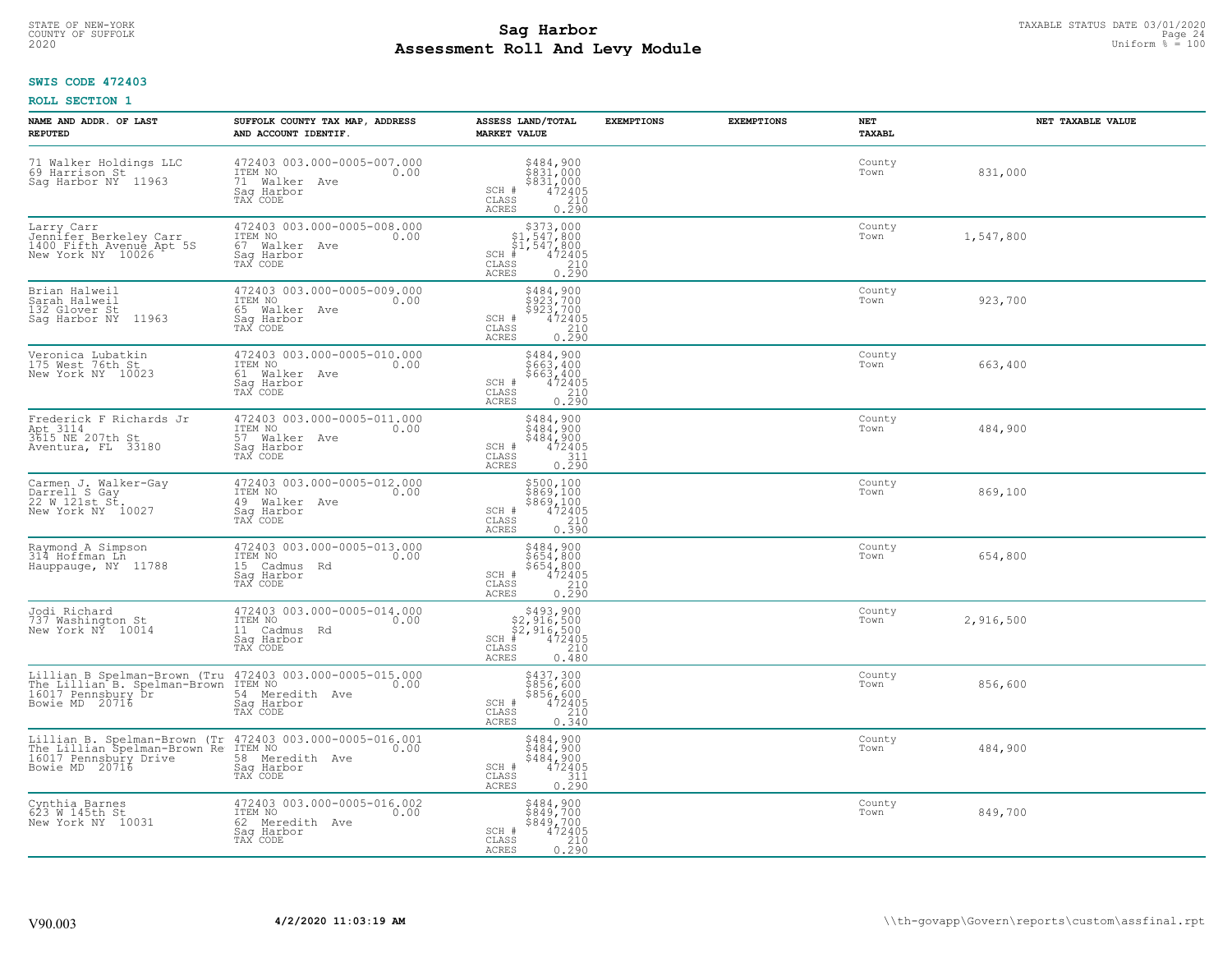# STATE OF NEW-YORK TAXABLE STATUS DATE 03/01/2020<br>COUNTY OF SUFFOLK Page 24 **Assessment Roll And Levy Module** 2020 Uniform % = 100

## **SWIS CODE 472403**

| NAME AND ADDR. OF LAST<br><b>REPUTED</b>                                                                                                                                             | SUFFOLK COUNTY TAX MAP, ADDRESS<br>AND ACCOUNT IDENTIF.                                     | ASSESS LAND/TOTAL<br><b>MARKET VALUE</b>                                                                                                         | <b>EXEMPTIONS</b> | <b>EXEMPTIONS</b> | NET<br><b>TAXABL</b> | NET TAXABLE VALUE |
|--------------------------------------------------------------------------------------------------------------------------------------------------------------------------------------|---------------------------------------------------------------------------------------------|--------------------------------------------------------------------------------------------------------------------------------------------------|-------------------|-------------------|----------------------|-------------------|
| 71 Walker Holdings LLC<br>69 Harrison St<br>Sag Harbor NY 11963                                                                                                                      | 472403 003.000-0005-007.000<br>ITEM NO<br>0.00<br>71 Walker Ave<br>Saq Harbor<br>TAX CODE   | $$484,900$<br>$$831,000$<br>$$831,000$<br>$472405$<br>210<br>SCH #<br>CLASS<br>ACRES<br>0.290                                                    |                   |                   | County<br>Town       | 831,000           |
| Larry Carr<br>Jennifer Berkeley Carr<br>1400 Fifth Avenue Apt 5S<br>New York NY 10026                                                                                                | 472403 003.000-0005-008.000<br>ITEM NO<br>0.00<br>67 Walker Ave<br>Saq Harbor<br>TAX CODE   | $$373,000$<br>$$1,547,800$<br>$$1,547,800$<br>$$1,547,800$<br>472405<br>$SCH$ #<br>CLASS<br>$\begin{array}{c} 210 \\ 0.290 \end{array}$<br>ACRES |                   |                   | County<br>Town       | 1,547,800         |
| Brian Halweil<br>Sarah Halweil<br>132 Glover St<br>Saq Harbor NY 11963                                                                                                               | 472403 003.000-0005-009.000<br>ITEM NO<br>0.00<br>65 Walker Ave<br>Saq Harbor<br>TAX CODE   | \$484,900<br>\$923,700<br>\$923,700<br>SCH #<br>$\begin{array}{r} 472405 \\ 210 \\ 0.290 \end{array}$<br>CLASS<br>ACRES                          |                   |                   | County<br>Town       | 923,700           |
| Veronica Lubatkin<br>175 West 76th St.<br>New York NY 10023                                                                                                                          | 472403 003.000-0005-010.000<br>ITEM NO 0.00<br>61 Walker Ave<br>Saq Harbor<br>TAX CODE      | \$484,900<br>\$663,400<br>\$663,400<br>SCH #<br>$\begin{smallmatrix} 472405 \\ 210 \\ 0.290 \end{smallmatrix}$<br>CLASS<br>ACRES                 |                   |                   | County<br>Town       | 663,400           |
| Frederick F Richards Jr<br>Apt 3114<br>3615 NE 207th St<br>Aventura, FL 33180                                                                                                        | 472403 003.000-0005-011.000<br>ITEM NO<br>0.00<br>57 Walker Ave<br>Saq Harbor<br>TAX CODE   | \$484,900<br>$\frac{2484}{900}$<br>$\frac{484}{472405}$<br>$\frac{311}{472405}$<br>SCH #<br>CLASS<br>0.290<br>ACRES                              |                   |                   | County<br>Town       | 484,900           |
| Carmen J. Walker-Gay<br>Darrell S Gay<br>22 W.121st.St.<br>New York NY 10027                                                                                                         | 472403 003.000-0005-012.000<br>ITEM NO<br>0.00<br>49 Walker Ave<br>Sag Harbor<br>TAX CODE   | \$500,100<br>\$869,100<br>\$869,100<br>\$869,100<br>\$72405<br>\$210<br>\$390<br>SCH #<br>CLASS<br>ACRES                                         |                   |                   | County<br>Town       | 869,100           |
| Raymond A Simpson<br>314 Hoffman Ln<br>Hauppauge, NY 11788                                                                                                                           | 472403 003.000-0005-013.000<br>ITEM NO<br>0.00<br>15 Cadmus Rd<br>Saq Harbor<br>TAX CODE    | \$484,900<br>\$654,800<br>\$654,800<br>$72405\n210\n0.290$<br>SCH #<br>CLASS<br>ACRES                                                            |                   |                   | County<br>Town       | 654,800           |
| Jodi Richard<br>737 Washington St<br>New York NY 10014                                                                                                                               | 472403 003.000-0005-014.000<br>ITEM NO 0.00<br>11 Cadmus Rd<br>Sag Harbor<br>TAX CODE       | $$493,900$<br>$$2,916,500$<br>$$2,916,500$<br>$472405$<br>$$2,90$<br>$$2,00$<br>$SCH$ #<br>CLASS<br>ACRES<br>0.480                               |                   |                   | County<br>Town       | 2,916,500         |
| Lillian B Spelman-Brown (Tru 472403 003.000-0005-015.000<br>The Lillian B. Spelman-Brown ITEM NO 0.00<br>16017 Pennsbury Dr 54 Meredith Ave 0.00<br>Bowie MD 20716                   | Saq Harbor<br>TAX CODE                                                                      | \$437,300<br>\$856,600<br>$\begin{array}{r} 3856,600 \\ 472405 \\ 210 \\ 0.340 \end{array}$<br>SCH #<br>CLASS<br>ACRES                           |                   |                   | County<br>Town       | 856,600           |
| Lillian B. Spelman-Brown (Tr 472403 003.000-0005-016.001<br>The Lillian Spelman-Brown Re ITEM NO 10005-016.001<br>16017 Pennsbury Drive 58 Meredith Ave<br>Bowie MD 20716 5ag Harbor | Sag Harbor<br>TAX CODE                                                                      | $$484,900$<br>$$484,900$<br>$$484,900$<br>$472405$<br>$$311$<br>SCH #<br>CLASS<br>0.290<br><b>ACRES</b>                                          |                   |                   | County<br>Town       | 484,900           |
| Cynthia Barnes<br>623 M 145th St<br>New York NY 10031                                                                                                                                | 472403 003.000-0005-016.002<br>ITEM NO<br>0.00<br>62 Meredith Ave<br>Sag Harbor<br>TAX CODE | \$484,900<br>\$849,700<br>\$849,700<br>SCH #<br>$72405\n210\n0.290$<br>CLASS<br>ACRES                                                            |                   |                   | County<br>Town       | 849,700           |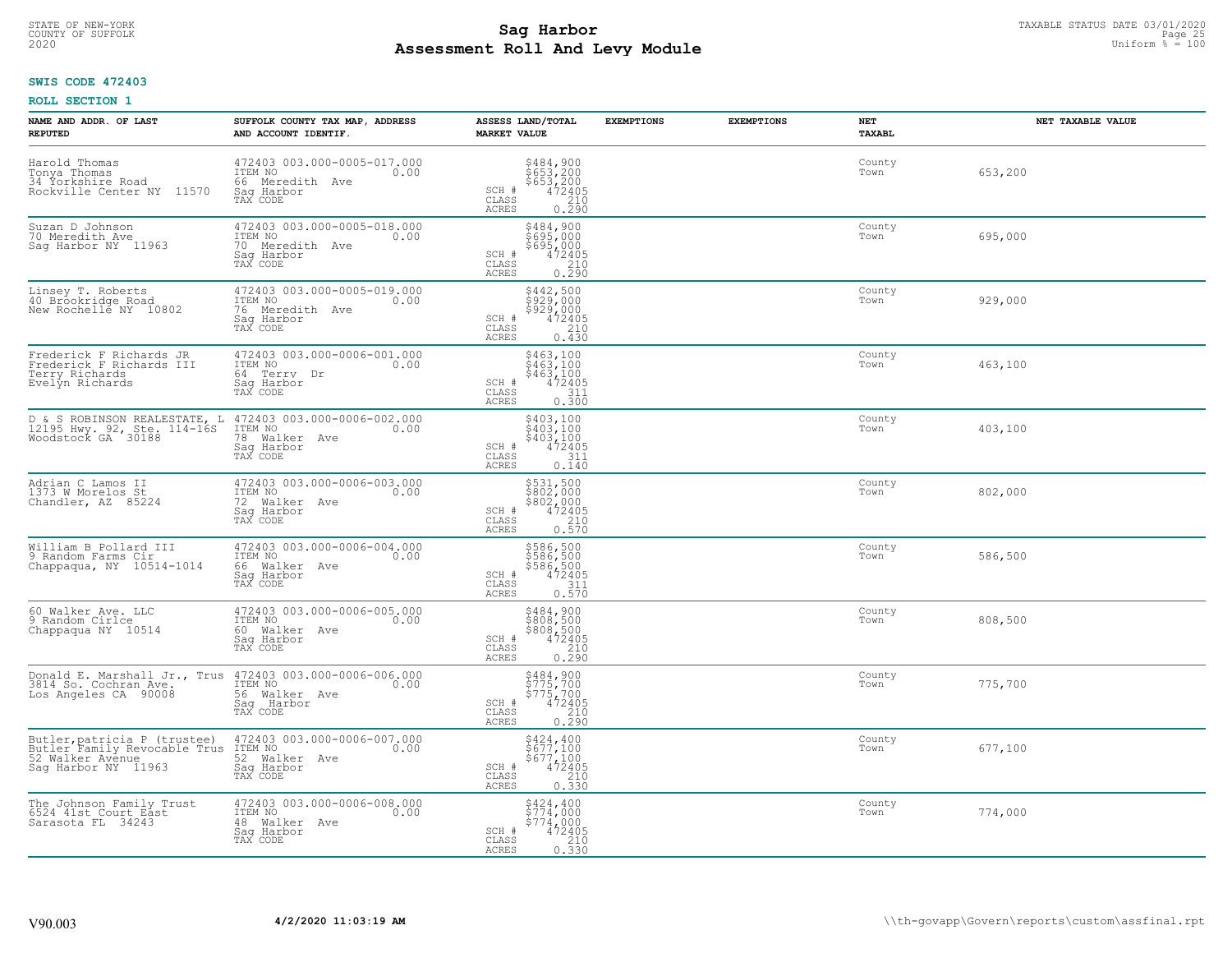# TAXABLE STATUS DATE 03/01/2020<br>COUNTY OF SUFFOLK Page 25 **Assessment Roll And Levy Module** 2020 Uniform % = 100

## **SWIS CODE 472403**

| NAME AND ADDR. OF LAST<br><b>REPUTED</b>                                                                | SUFFOLK COUNTY TAX MAP, ADDRESS<br>AND ACCOUNT IDENTIF.                                     | ASSESS LAND/TOTAL<br><b>MARKET VALUE</b>                                                                                     | <b>EXEMPTIONS</b><br><b>EXEMPTIONS</b> | <b>NET</b><br><b>TAXABL</b> | NET TAXABLE VALUE |
|---------------------------------------------------------------------------------------------------------|---------------------------------------------------------------------------------------------|------------------------------------------------------------------------------------------------------------------------------|----------------------------------------|-----------------------------|-------------------|
| Harold Thomas<br>Tonya Thomas<br>34 Yorkshire Road<br>Rockville Center NY 11570                         | 472403 003.000-0005-017.000<br>ITEM NO<br>0.00<br>66 Meredith Ave<br>Saq Harbor<br>TAX CODE | \$484,900<br>\$653,200<br>\$653,200<br>472405<br>210<br>SCH #<br>CLASS<br><b>ACRES</b><br>0.290                              |                                        | County<br>Town              | 653,200           |
| Suzan D Johnson<br>70 Meredith Ave<br>Saq Harbor NY 11963                                               | 472403 003.000-0005-018.000<br>ITEM NO<br>0.00<br>70 Meredith Ave<br>Saq Harbor<br>TAX CODE | \$484,900<br>\$695,000<br>\$695,000<br>472405<br>SCH #<br>CLASS<br>$\frac{210}{0.290}$<br><b>ACRES</b>                       |                                        | County<br>Town              | 695,000           |
| Linsey T. Roberts<br>40 Brookridge Road<br>New Rochelle NY 10802                                        | 472403 003.000-0005-019.000<br>ITEM NO<br>0.00<br>76 Meredith Ave<br>Saq Harbor<br>TAX CODE | \$442,500<br>\$929,000<br>\$929,000<br>SCH #<br>$\frac{472405}{210}$<br>CLASS<br>0.430<br>ACRES                              |                                        | County<br>Town              | 929,000           |
| Frederick F Richards JR<br>Frederick F Richards III<br>Terry Richards<br>Evelyn Richards                | 472403 003.000-0006-001.000<br>ITEM NO<br>0.00<br>64 Terry Dr<br>Saq Harbor<br>TAX CODE     | \$463,100<br>\$463,100<br>\$463,100<br>SCH #<br>$\begin{smallmatrix} 472405\ 311\ 0.300 \end{smallmatrix}$<br>CLASS<br>ACRES |                                        | County<br>Town              | 463,100           |
| D & S ROBINSON REALESTATE, L<br>12195 Hwy. 92, Ste. 114-16S<br>Woodstock GA 30188                       | 472403 003.000-0006-002.000<br>0.00 0.00<br>78 Walker Ave<br>Saq Harbor<br>TAX CODE         | \$403,100<br>\$403,100<br>$$403,100\n472405\n311\n0.140$<br>SCH #<br>CLASS<br><b>ACRES</b>                                   |                                        | County<br>Town              | 403,100           |
| Adrian C Lamos II<br>1373 W Morelos St<br>Chandler, AZ 85224                                            | 472403 003.000-0006-003.000<br>ITEM NO<br>0.00<br>72 Walker Ave<br>Saq Harbor<br>TAX CODE   | \$531,500<br>\$802,000<br>\$802,000<br>472405<br>SCH #<br>$\frac{210}{0.570}$<br>CLASS<br><b>ACRES</b>                       |                                        | County<br>Town              | 802,000           |
| William B Pollard III<br>9 Random Farms Cir<br>Chappaqua, NY 10514-1014                                 | 472403 003.000-0006-004.000<br>ITEM NO<br>0.00<br>66 Walker Ave<br>Saq Harbor<br>TAX CODE   | \$586,500<br>\$586,500<br>\$586,500<br>\$472405<br>SCH #<br>$\mathtt{CLASS}$<br>$\frac{311}{0.570}$<br><b>ACRES</b>          |                                        | County<br>Town              | 586,500           |
| 60 Walker Ave. LLC<br>9 Random Cirlce<br>Chappaqua NY 10514                                             | 472403 003.000-0006-005.000<br>TTEM NO 0.00<br>60 Walker Ave<br>Sag Harbor<br>TAX CODE      | \$484,900<br>\$808,500<br>\$808,500<br>\$808,500<br>\$72405<br>0.290<br>SCH #<br>CLASS<br><b>ACRES</b>                       |                                        | County<br>Town              | 808,500           |
| Donald E. Marshall Jr., Trus<br>3814 So. Cochran Ave.<br>Los Angeles CA 90008                           | 472403 003.000-0006-006.000<br>TTEM NO 0.00<br>56 Walker Ave<br>Saq Harbor<br>TAX CODE      | \$484,900<br>\$775,700<br>\$775,700<br>\$775,700<br>SCH #<br>CLASS<br>0.290<br>ACRES                                         |                                        | County<br>Town              | 775,700           |
| Butler, patricia P (trustee)<br>Butler Family Revocable Trus<br>52 Walker Avenue<br>Sag Harbor NY 11963 | 472403 003.000-0006-007.000<br>ITEM NO<br>0.00<br>52 Walker Ave<br>Sag Harbor<br>TAX CODE   | $5424, 400$<br>$5677, 100$<br>$5677, 100$<br>$472405$<br>$210$<br>SCH #<br>CLASS<br>0.330<br><b>ACRES</b>                    |                                        | County<br>Town              | 677,100           |
| The Johnson Family Trust<br>6524 41st Court East<br>Sarasota FL 34243                                   | 472403 003.000-0006-008.000<br>ITEM NO<br>0.00<br>48 Walker Ave<br>Sag Harbor<br>TAX CODE   | \$424,400<br>\$774,000<br>\$774,000<br>SCH #<br>472405<br>$\frac{210}{0.330}$<br>CLASS<br><b>ACRES</b>                       |                                        | County<br>Town              | 774,000           |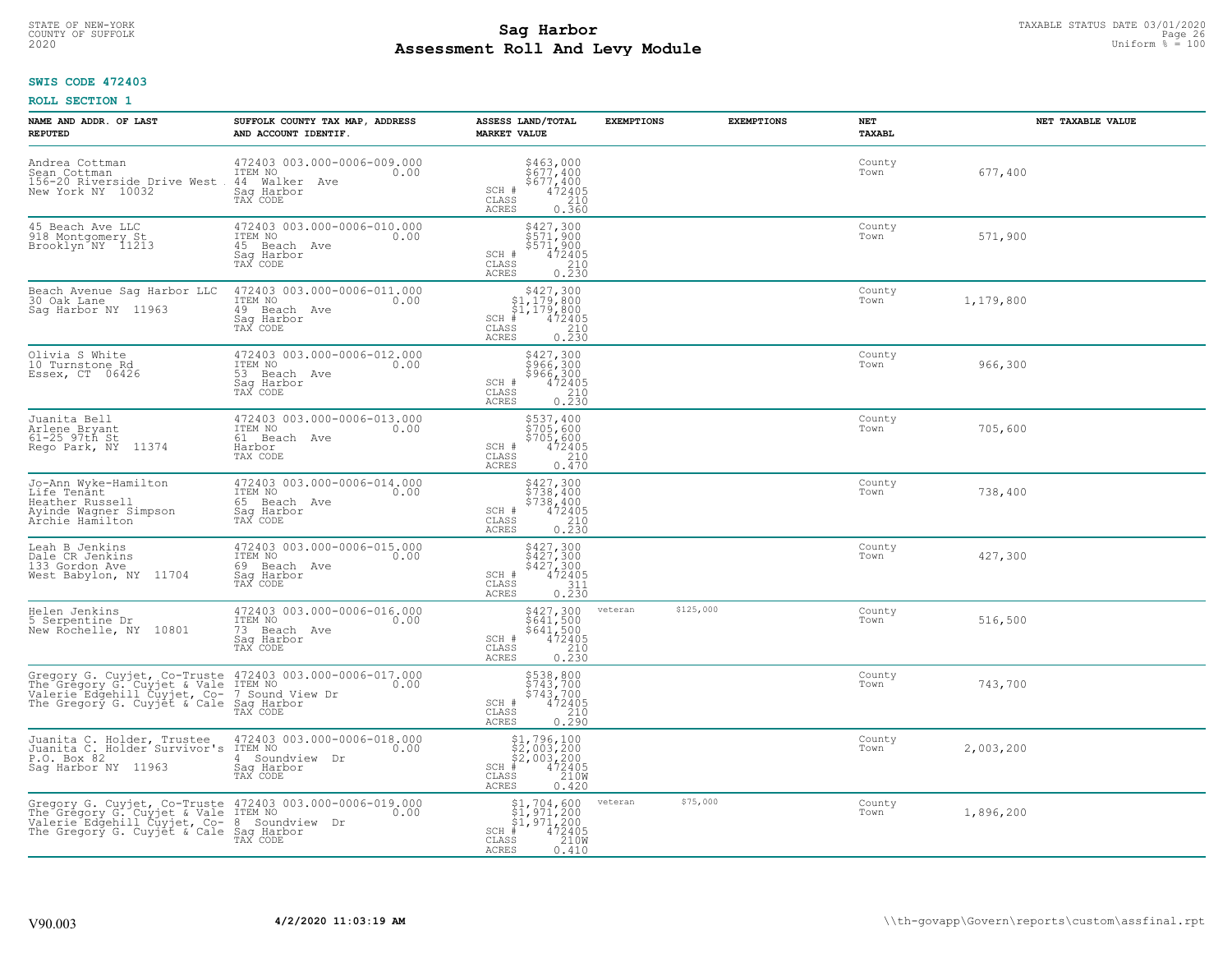# TAXABLE STATUS DATE 03/01/2020<br>COUNTY OF SUFFOLK Page 26 COUNTY OF SUFFOLK Page 26 **Assessment Roll And Levy Module** 2020 Uniform % = 100

## **SWIS CODE 472403**

| NAME AND ADDR. OF LAST<br><b>REPUTED</b>                                                                                                                                                    | SUFFOLK COUNTY TAX MAP, ADDRESS<br>AND ACCOUNT IDENTIF.                                       | ASSESS LAND/TOTAL<br><b>MARKET VALUE</b>                                                                                                                                                                                                                                                                                                                | <b>EXEMPTIONS</b>    | <b>EXEMPTIONS</b> | NET<br><b>TAXABL</b> | NET TAXABLE VALUE |
|---------------------------------------------------------------------------------------------------------------------------------------------------------------------------------------------|-----------------------------------------------------------------------------------------------|---------------------------------------------------------------------------------------------------------------------------------------------------------------------------------------------------------------------------------------------------------------------------------------------------------------------------------------------------------|----------------------|-------------------|----------------------|-------------------|
| Andrea Cottman<br>Sean Cottman<br>156-20 Riverside Drive West<br>New York NY 10032                                                                                                          | 472403 003.000-0006-009.000<br>ITEM NO<br>0.00<br>44 Walker<br>Ave<br>Saq Harbor<br>TAX CODE  | \$463,000<br>\$677,400<br>\$677,400<br>472405<br>SCH #<br>CLASS<br>210<br><b>ACRES</b><br>0.360                                                                                                                                                                                                                                                         |                      |                   | County<br>Town       | 677,400           |
| 45 Beach Ave LLC<br>918 Montgomery St<br>Brooklyn NY 11213                                                                                                                                  | 472403 003.000-0006-010.000<br>ITEM NO<br>0.00<br>45 Beach Ave<br>Sag Harbor<br>TAX CODE      | \$427,300<br>\$571,900<br>\$571,900<br>SCH #<br>472405<br>$\begin{array}{c} 210 \\ 0.230 \end{array}$<br>CLASS<br><b>ACRES</b>                                                                                                                                                                                                                          |                      |                   | County<br>Town       | 571,900           |
| Beach Avenue Sag Harbor LLC<br>30 Oak Lane<br>Sag Harbor NY 11963                                                                                                                           | 472403 003.000-0006-011.000<br>ITEM NO<br>0.00<br>49<br>Beach Ave<br>Sag Harbor<br>TAX CODE   | $$427,300$<br>$$1,179,800$<br>$$1,179,800$<br>$$1,179,800$<br>$472405$<br>$SCH$ #<br>CLASS<br>$\begin{array}{c} 210 \\ 0.230 \end{array}$<br><b>ACRES</b>                                                                                                                                                                                               |                      |                   | County<br>Town       | 1,179,800         |
| Olivia S White<br>10 Turnstone Rd<br>Essex, CT 06426                                                                                                                                        | 472403 003.000-0006-012.000<br>TTEM NO 0.00<br>0.00<br>53 Beach Ave<br>Saq Harbor<br>TAX CODE | \$427,300<br>\$966,300<br>\$966,300<br>SCH #<br>472405<br>CLASS<br>$\frac{210}{0.230}$<br><b>ACRES</b>                                                                                                                                                                                                                                                  |                      |                   | County<br>Town       | 966,300           |
| Juanita Bell<br>Arlene Bryant<br>$61-25$ $97th$ St<br>Rego Park, NY<br>11374                                                                                                                | 472403 003.000-0006-013.000<br>ITEM NO<br>0.00<br>61 Beach Ave<br>Harbor<br>TAX CODE          | \$537,400<br>$$705,600$<br>$$705,600$<br>$$472405$<br>$$210$<br>SCH #<br>CLASS<br><b>ACRES</b><br>0.470                                                                                                                                                                                                                                                 |                      |                   | County<br>Town       | 705,600           |
| Jo-Ann Wyke-Hamilton<br>Life Tenant<br>Heather Russell<br>Ayinde Wagner Simpson<br>Archie Hamilton                                                                                          | 472403 003.000-0006-014.000<br>ITEM NO<br>0.00<br>65 Beach Ave<br>Saq Harbor<br>TAX CODE      | $\begin{array}{r} 5427,300 \\ 5738,400 \\ 5738,400 \\ 472405 \\ 0.210 \\ \hline 0.230 \end{array}$<br>SCH #<br>$\mathtt{CLASS}$<br><b>ACRES</b>                                                                                                                                                                                                         |                      |                   | County<br>Town       | 738,400           |
| Leah B Jenkins<br>Dale CR Jenkins<br>133 Gordon Ave<br>West Babylon, NY 11704                                                                                                               | 472403 003.000-0006-015.000<br>ITEM NO<br>0.00<br>69 Beach Ave<br>Saq Harbor<br>TAX CODE      | \$427,300<br>\$427,300<br>\$427,300<br>472405<br>SCH #<br>$\begin{array}{c} 311 \\ 0.230 \end{array}$<br>CLASS<br><b>ACRES</b>                                                                                                                                                                                                                          |                      |                   | County<br>Town       | 427,300           |
| Helen Jenkins<br>5 Serpentine Dr<br>New Rochelle, NY 10801                                                                                                                                  | 472403 003.000-0006-016.000<br>TTEM NO 0.00<br>73 Beach Ave<br>Saq Harbor<br>TAX CODE         | $$427,300$<br>$$641,500$<br>$$641,500$<br>$$472405$<br>$$210$<br>$SCH$ #<br>$\mathtt{CLASS}$<br><b>ACRES</b><br>0.230                                                                                                                                                                                                                                   | \$125,000<br>veteran |                   | County<br>Town       | 516,500           |
| Gregory G. Cuyjet, Co-Truste 472403 003.000-0006-017.000<br>The Gregory G. Cuyjet & Vale ITEM NO<br>Valerie Edgehill Cuyjet, Co- 7 Sound View Dr<br>The Gregory G. Cuyjet & Cale Saq Harbor | TAX CODE                                                                                      | \$538,800<br>\$743,700<br>\$743,700<br>\$743,700<br>$\begin{array}{ll} \text{SCH} & \# \\ \text{CLASS} & \end{array}$<br>210<br>ACRES<br>0.290                                                                                                                                                                                                          |                      |                   | County<br>Town       | 743,700           |
| Juanita C. Holder, Trustee<br>Juanita C <sub>: A</sub> Holder Survivor's<br>P.O. Box 82<br>Sag Harbor NY 11963                                                                              | 472403 003.000-0006-018.000<br>ITEM NO<br>0.00<br>Soundview Dr<br>4<br>Saq Harbor<br>TAX CODE | $$2,003,200$<br>$$2,003,200$<br>$$4,2405$<br>$$2,003,200$<br>$$210M$<br>SCH<br>CLASS<br><b>ACRES</b><br>0.420                                                                                                                                                                                                                                           |                      |                   | County<br>Town       | 2,003,200         |
| Gregory G. Cuyjet, Co-Truste 472403 003.000-0006-019.000<br>The Gregory G. Cuyjet & Vale ITEM NO<br>Valerie Edgehill Cuyjet, Co- 8 Soundview Dr<br>The Gregory G. Cuyjet & Cale Sag Harbor  | TAX CODE                                                                                      | $\begin{array}{l} $1,704,600\\ $1,971,200\\ $1,971,200\\ *\\ *\\ 2405\\ *\\ 210M\\ *\\ 240M\\ *\\ 240M\\ *\\ 240M\\ *\\ 240M\\ *\\ 240M\\ *\\ 240M\\ *\\ 240M\\ *\\ 240M\\ *\\ 240M\\ *\\ 240M\\ *\\ 240M\\ *\\ 240M\\ *\\ 240M\\ *\\ 240M\\ *\\ 240M\\ *\\ 240M\\ *\\ 240M\\ *\\ 240M\\ *\\ 240M\\ *\\ 240M\\ *\\$<br>SCH #<br>CLASS<br>ACRES<br>0.410 | \$75,000<br>veteran  |                   | County<br>Town       | 1,896,200         |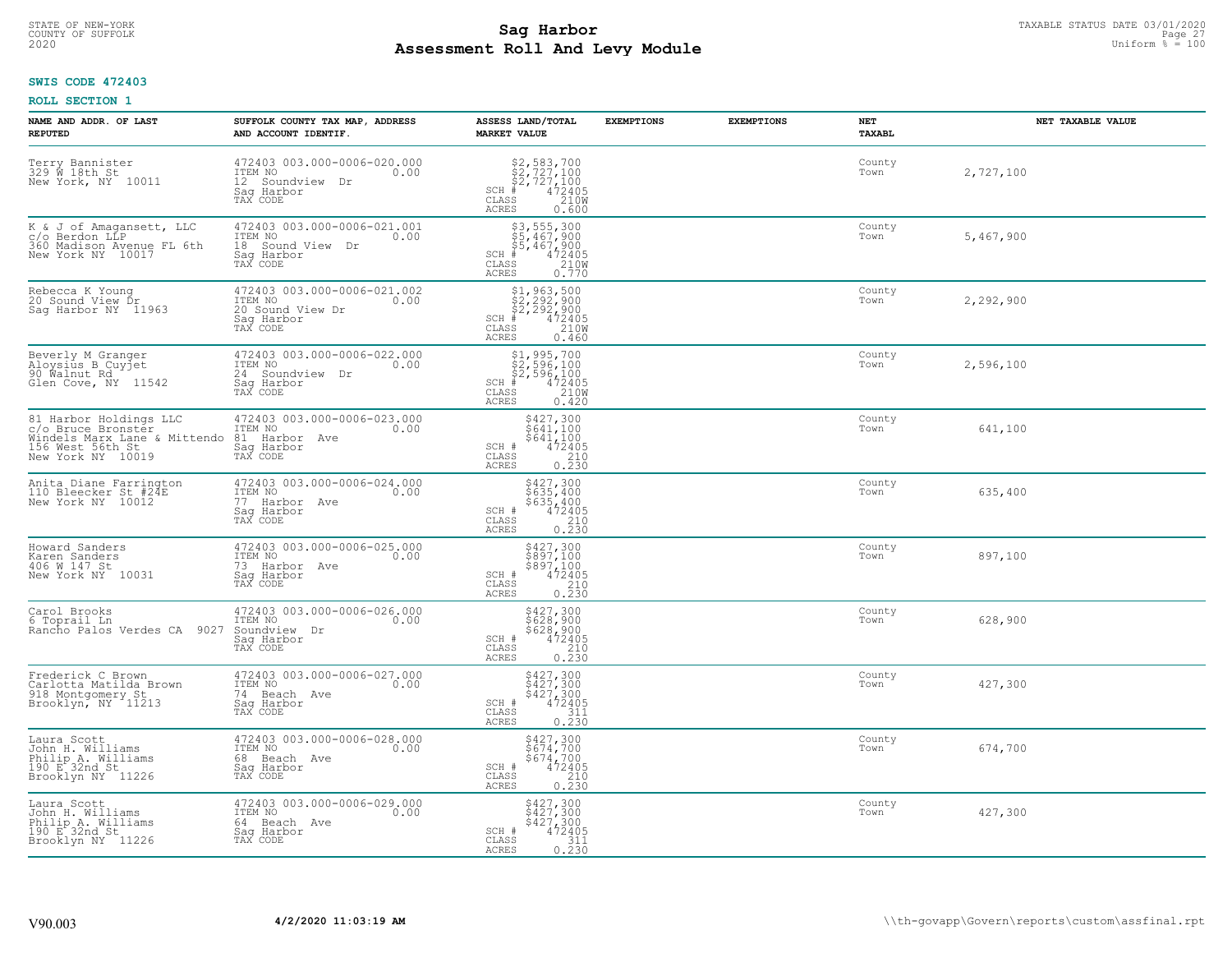# TAXABLE STATUS DATE 03/01/2020<br>COUNTY OF SUFFOLK Page 27 COUNTY OF SUFFOLK Page 27 **Assessment Roll And Levy Module** 2020 Uniform % = 100

## **SWIS CODE 472403**

| NAME AND ADDR. OF LAST<br><b>REPUTED</b>                                                                              | SUFFOLK COUNTY TAX MAP, ADDRESS<br>AND ACCOUNT IDENTIF.                                         | ASSESS LAND/TOTAL<br><b>MARKET VALUE</b>                                                                                                      | <b>EXEMPTIONS</b> | <b>EXEMPTIONS</b> | NET<br><b>TAXABL</b> | NET TAXABLE VALUE |
|-----------------------------------------------------------------------------------------------------------------------|-------------------------------------------------------------------------------------------------|-----------------------------------------------------------------------------------------------------------------------------------------------|-------------------|-------------------|----------------------|-------------------|
| Terry Bannister<br>329 W 18th St<br>New York, NY 10011                                                                | 472403 003.000-0006-020.000<br>ITEM NO<br>0.00<br>12 Soundview Dr<br>Saq Harbor<br>TAX CODE     | $$2, 727, 100$<br>$$2, 727, 100$<br>$$2, 727, 100$<br>$$472405$<br>$$2100$<br>$SCH$ #<br>CLASS<br><b>ACRES</b><br>0.600                       |                   |                   | County<br>Town       | 2,727,100         |
| K & J of Amagansett, LLC<br>c/o Berdon LLP<br>360 Madison Avenue FL 6th<br>New York NY 10017                          | 472403 003.000-0006-021.001<br>ITEM NO<br>0.00<br>18 Sound View<br>Dr<br>Sag Harbor<br>TAX CODE | $$3, 555, 300$<br>$$5, 467, 900$<br>$$5, 467, 900$<br>$*$<br>$472405$<br>$2100$<br>SCH #<br>CLASS<br>0.770<br>ACRES                           |                   |                   | County<br>Town       | 5,467,900         |
| Rebecca K Young<br>20 Sound View Dr<br>Saq Harbor NY 11963                                                            | 472403 003.000-0006-021.002<br>ITEM NO<br>0.00<br>20 Sound View Dr<br>Sag Harbor<br>TAX CODE    | $$2, 292, 900$<br>$$2, 292, 900$<br>$$2, 292, 900$<br>$472405$<br>$$2100$<br>$SCH$ #<br>CLASS<br><b>ACRES</b><br>0.460                        |                   |                   | County<br>Town       | 2,292,900         |
| Beverly M Granger<br>Aloysius B Cuyjet<br>90 Walnut Rd<br>Glen Cove, NY 11542                                         | 472403 003.000-0006-022.000<br>ITEM NO<br>0.00<br>24 Soundview Dr<br>Saq Harbor<br>TAX CODE     | $$1, 995, 700$<br>$$2, 596, 100$<br>$$2, 596, 100$<br>$$472405$<br>$$2, 100$<br>$$2408$<br>$$2408$<br>SCH #<br>CLASS<br><b>ACRES</b><br>0.420 |                   |                   | County<br>Town       | 2,596,100         |
| 81 Harbor Holdings LLC<br>c/o Bruce Bronster<br>Windels Marx Lane & Mittendo<br>156 West 56th St<br>New York NY 10019 | 472403 003.000-0006-023.000<br>ITEM NO<br>0.00<br>81<br>Harbor Ave<br>Sag Harbor<br>TAX CODE    | \$427,300<br>\$641,100<br>\$641,100<br>472405<br>SCH #<br>$\mathtt{CLASS}$<br>$\begin{array}{c} 210 \\ 0.230 \end{array}$<br><b>ACRES</b>     |                   |                   | County<br>Town       | 641,100           |
| Anita Diane Farrington<br>110 Bleecker St #24E<br>New York NY 10012                                                   | 472403 003.000-0006-024.000<br>ITEM NO<br>0.00<br>77 Harbor Ave<br>Saq Harbor<br>TAX CODE       | \$427,300<br>\$635,400<br>\$635,400<br>472405<br>SCH #<br>CLASS<br>210<br>0.230<br><b>ACRES</b>                                               |                   |                   | County<br>Town       | 635,400           |
| Howard Sanders<br>Karen Sanders<br>406 W 147 St<br>New York NY 10031                                                  | 472403 003.000-0006-025.000<br>TTEM NO 0.00<br>73 Harbor Ave<br>Sag Harbor<br>TAX CODE          | \$427,300<br>\$897,100<br>\$897,100<br>472405<br>SCH #<br>CLASS<br>210<br>0.230<br><b>ACRES</b>                                               |                   |                   | County<br>Town       | 897,100           |
| Carol Brooks<br>6 Toprail Ln<br>Rancho Palos Verdes CA<br>9027                                                        | 472403 003.000-0006-026.000<br>TTEM NO 0.00<br>Soundview Dr<br>Saq Harbor<br>TAX CODE           | \$427,300<br>\$628,900<br>\$628,900<br>472405<br>210<br>SCH #<br>CLASS<br><b>ACRES</b><br>0.230                                               |                   |                   | County<br>Town       | 628,900           |
| Frederick C Brown<br>Carlotta Matilda Brown<br>918 Montgomery St<br>Brooklyn, NY 11213                                | 472403 003.000-0006-027.000<br>10.00 0.00<br>74 Beach Ave<br>Saq Harbor<br>TAX CODE             | \$427,300<br>\$427,300<br>\$427,300<br>SCH #<br>472405<br>CLASS<br>311<br><b>ACRES</b><br>0.230                                               |                   |                   | County<br>Town       | 427,300           |
| Laura Scott<br>John H. Williams<br>Philip A. Williams<br>190 E.32nd St<br>Brooklyn NY 11226                           | 472403 003.000-0006-028.000<br>ITEM NO<br>0.00<br>68<br>Beach Ave<br>Sag Harbor<br>TAX CODE     | \$427,300<br>\$674,700<br>\$674,700<br>472405<br>SCH #<br>CLASS<br>$\begin{array}{c} 210 \\ 0.230 \end{array}$<br><b>ACRES</b>                |                   |                   | County<br>Town       | 674,700           |
| Laura Scott<br>John H. Williams<br>Philip A. Williams<br>190 E <sup>2</sup> 32nd St<br>Brooklyn NY 11226              | 472403 003.000-0006-029.000<br>ITEM NO<br>0.00<br>64 Beach Ave<br>Saq Harbor<br>TAX CODE        | \$427,300<br>\$427,300<br>\$427,300<br>SCH #<br>472405<br>CLASS<br>311<br>0.230<br><b>ACRES</b>                                               |                   |                   | County<br>Town       | 427,300           |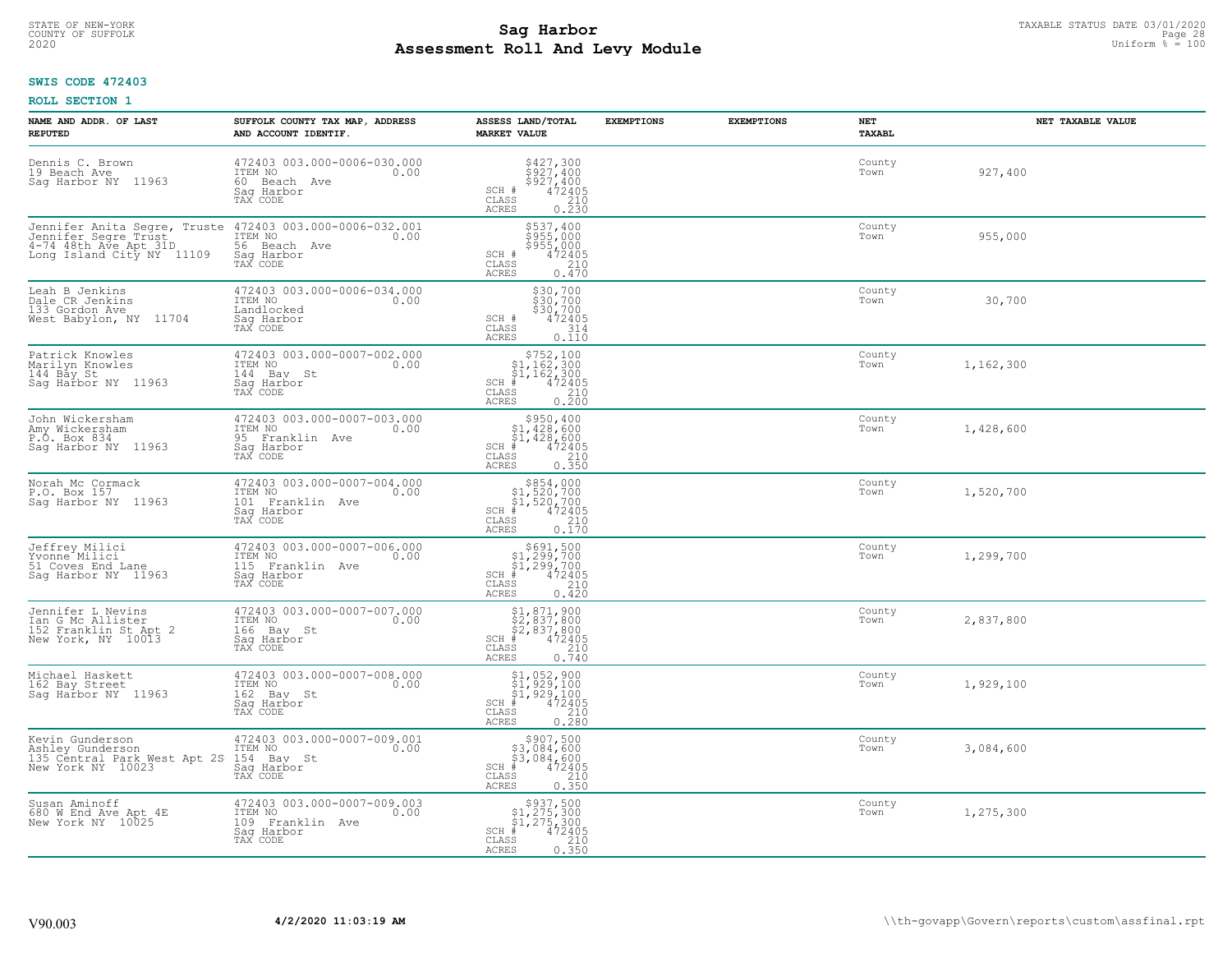# TAXABLE STATUS DATE 03/01/2020<br>COUNTY OF SUFFOLK Page 28 COUNTY OF SUFFOLK Page 28 **Assessment Roll And Levy Module** 2020 Uniform % = 100

## **SWIS CODE 472403**

| NAME AND ADDR. OF LAST<br><b>REPUTED</b>                                                 | SUFFOLK COUNTY TAX MAP, ADDRESS<br>AND ACCOUNT IDENTIF.                                                                                 | ASSESS LAND/TOTAL<br><b>MARKET VALUE</b>                                                                                                                                                       | <b>EXEMPTIONS</b> | <b>EXEMPTIONS</b> | NET<br><b>TAXABL</b> | NET TAXABLE VALUE |
|------------------------------------------------------------------------------------------|-----------------------------------------------------------------------------------------------------------------------------------------|------------------------------------------------------------------------------------------------------------------------------------------------------------------------------------------------|-------------------|-------------------|----------------------|-------------------|
| Dennis C. Brown<br>19 Beach Ave<br>Sag Harbor NY 11963                                   | 472403 003.000-0006-030.000<br>ITEM NO<br>0.00<br>60 Beach Ave<br>Saq Harbor<br>TAX CODE                                                | $\begin{array}{c}\n $427,300 \\  $927,400 \\  $927,400 \\  $472405 \\  210\n \end{array}$<br>SCH #<br>CLASS<br><b>ACRES</b><br>0.230                                                           |                   |                   | County<br>Town       | 927,400           |
| 4-74 48th Ave Apt 31D<br>Long Island City NY 11109                                       | Jennifer Anita Segre, Truste 472403 003.000-0006-032.001<br>Jennifer Segre Trust ITEM NO 0.00<br>56 Beach Ave<br>Saq Harbor<br>TAX CODE | \$537,400<br>\$955,000<br>\$955,000<br>472405<br>SCH #<br>CLASS<br>210<br>0.470<br><b>ACRES</b>                                                                                                |                   |                   | County<br>Town       | 955,000           |
| Leah B Jenkins<br>Dale CR Jenkins<br>133 Gordon Ave<br>West Babylon, NY 11704            | 472403 003.000-0006-034.000<br>ITEM NO<br>0.00<br>Landlocked<br>Saq Harbor<br>TAX CODE                                                  | \$30,700<br>$\frac{2530,700}{330,700}$<br>SCH #<br>CLASS<br>314<br>0.110<br>ACRES                                                                                                              |                   |                   | County<br>Town       | 30,700            |
| Patrick Knowles<br>Marilyn Knowles<br>144 Bay St<br>Saq Harbor NY 11963                  | 472403 003.000-0007-002.000<br>TTEM NO 0.00<br>144 Bay St<br>Saq Harbor<br>TAX CODE                                                     | $$752,100$<br>$$1,162,300$<br>$$1,162,300$<br>$*1,162,300$<br>$*1,162,300$<br>$SCH$ #<br>CLASS<br>0.210<br><b>ACRES</b>                                                                        |                   |                   | County<br>Town       | 1,162,300         |
| John Wickersham<br>Amy Wickersham<br>P.O. Box 834<br>Saq Harbor NY 11963                 | 472403 003.000-0007-003.000<br>ITEM NO<br>0.00<br>95 Franklin Ave<br>Sag Harbor<br>TAX CODE                                             | $$950, 400$<br>$$1, 428, 600$<br>$$1, 428, 600$<br>$472405$<br>$$210$<br>$SCH$ #<br>CLASS<br>0.350<br><b>ACRES</b>                                                                             |                   |                   | County<br>Town       | 1,428,600         |
| Norah Mc Cormack<br>P.O. Box 157<br>Saq Harbor NY 11963                                  | 472403 003.000-0007-004.000<br>ITEM NO<br>0.00<br>101 Franklin Ave<br>Saq Harbor<br>TAX CODE                                            | $\begin{array}{r}  \  \  \, 854,000\\  \  \  51,520,700\\  \  \  51,520,700\\  \  \  \, 472405\\ \  \  \, 85\\ \  \  \, 85\\ \  \  \, 0.170\\ \end{array}$<br>$SCH$ #<br>CLASS<br><b>ACRES</b> |                   |                   | County<br>Town       | 1,520,700         |
| Jeffrey Milici<br>Yvonne <sup>-</sup> Milici<br>51 Coves End Lane<br>Sag Harbor NY 11963 | 472403 003.000-0007-006.000<br>ITEM NO<br>115 Franklin Ave<br>0.00<br>Saq Harbor<br>TAX CODE                                            | $$691,500$<br>$$1,299,700$<br>$$1,299,700$<br>$$472405$<br>$SCH$ #<br>CLASS<br>210<br>0.420<br><b>ACRES</b>                                                                                    |                   |                   | County<br>Town       | 1,299,700         |
| Jennifer L Nevins<br>Ian G Mc Allister<br>152 Franklin St Apt 2<br>New York, NY 10013    | 472403 003.000-0007-007.000<br>TTEM NO 0.00<br>166 Bay St<br>Saq Harbor<br>TAX CODE                                                     | $$1,871,900$<br>$$2,837,800$<br>$$2,837,800$<br>$$472405$<br>$SCH$ #<br>CLASS<br>210<br><b>ACRES</b><br>0.740                                                                                  |                   |                   | County<br>Town       | 2,837,800         |
| Michael Haskett<br>162 Bay Street<br>Sag Harbor NY 11963                                 | 472403 003.000-0007-008.000<br>TTEM NO 0.00<br>162 Bay St<br>Saq Harbor<br>TAX CODE                                                     | $$1, 052, 900$<br>$$1, 929, 100$<br>$$1, 929, 100$<br>$*$ 472405<br>$SCH$ #<br>CLASS<br>210<br><b>ACRES</b><br>0.280                                                                           |                   |                   | County<br>Town       | 1,929,100         |
| Kevin Gunderson<br>Ashley Gunderson<br>135 Céntral Park West Apt 2S<br>New York NY 10023 | 472403 003.000-0007-009.001<br>ITEM NO<br>0.00<br>154 Bay St<br>Saq Harbor<br>TAX CODE                                                  | $$907,500$<br>$$3,084,600$<br>$$3,084,600$<br>$$472405$<br>$$35$<br>$$210$<br>$SCH$ #<br>CLASS<br>0.350<br><b>ACRES</b>                                                                        |                   |                   | County<br>Town       | 3,084,600         |
| Susan Aminoff<br>680 W End Ave Apt 4E<br>New York NY 10025                               | 472403 003.000-0007-009.003<br>ITEM NO<br>0.00<br>109 Franklin Ave<br>Sag Harbor<br>TAX CODE                                            | $$937,500$<br>$$1,275,300$<br>$$1,275,300$<br>$*1$<br>$472405$<br>$SCH$ #<br>CLASS<br>210<br><b>ACRES</b><br>0.350                                                                             |                   |                   | County<br>Town       | 1,275,300         |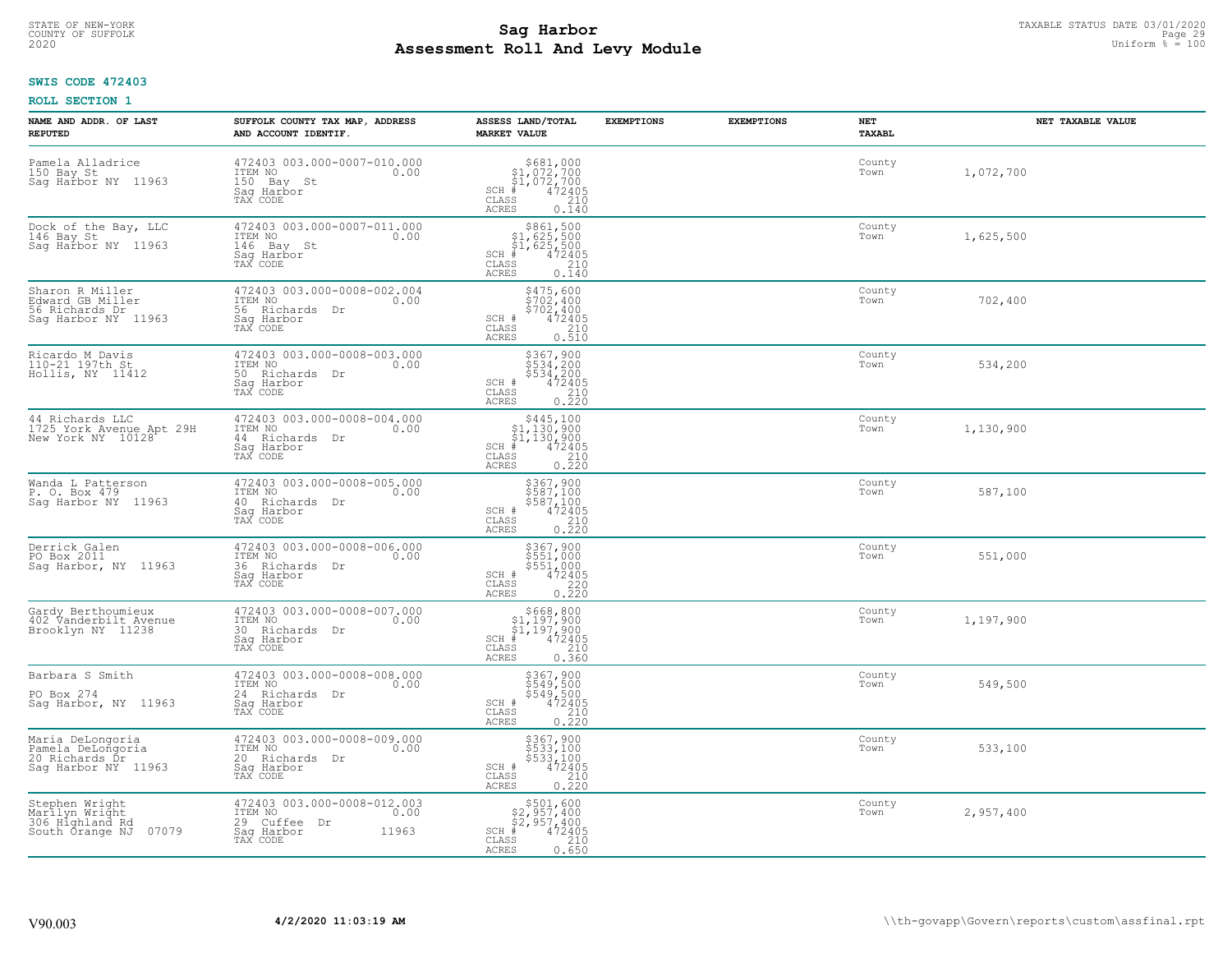# TAXABLE STATUS DATE 03/01/2020<br>COUNTY OF SUFFOLK Page 29 COUNTY OF SUFFOLK Page 29 **Assessment Roll And Levy Module** 2020 Uniform % = 100

## **SWIS CODE 472403**

| NAME AND ADDR. OF LAST<br><b>REPUTED</b>                                        | SUFFOLK COUNTY TAX MAP, ADDRESS<br>AND ACCOUNT IDENTIF.                                              | ASSESS LAND/TOTAL<br><b>MARKET VALUE</b>                                                                                                                                                                                                                                                                                                                                                               | <b>EXEMPTIONS</b> | <b>EXEMPTIONS</b> | NET<br><b>TAXABL</b> | NET TAXABLE VALUE |
|---------------------------------------------------------------------------------|------------------------------------------------------------------------------------------------------|--------------------------------------------------------------------------------------------------------------------------------------------------------------------------------------------------------------------------------------------------------------------------------------------------------------------------------------------------------------------------------------------------------|-------------------|-------------------|----------------------|-------------------|
| Pamela Alladrice<br>150 Bay St<br>Sag Harbor NY 11963                           | 472403 003.000-0007-010.000<br>ITEM NO<br>0.00<br>150 Bay St<br>Saq Harbor<br>TAX CODE               | \$681,000<br>\$1,072,700<br>\$1,072,700<br>#472405<br>$SCH$ #<br>CLASS<br>210<br>ACRES<br>0.140                                                                                                                                                                                                                                                                                                        |                   |                   | County<br>Town       | 1,072,700         |
| Dock of the Bay, LLC<br>146 Bay St<br>Saq Harbor NY 11963                       | 472403 003.000-0007-011.000<br>ITEM NO<br>0.00<br>146 Bay St<br>Sag Harbor<br>TAX CODE               | $$861,500$<br>$$1,625,500$<br>$$1,625,500$<br>$*1,625,500$<br>$*1,625,500$<br>$SCH$ #<br>CLASS<br>$\frac{210}{0.140}$<br>ACRES                                                                                                                                                                                                                                                                         |                   |                   | County<br>Town       | 1,625,500         |
| Sharon R Miller<br>Edward GB Miller<br>56 Richards Dr<br>Saq Harbor NY 11963    | 472403 003.000-0008-002.004<br>ITEM NO<br>0.00<br>56 Richards Dr<br>Sag Harbor<br>TAX CODE           | \$475,600<br>\$702,400<br>$$70\overline{2}'$ , $400$<br>$472405$<br>SCH #<br>CLASS<br>$\frac{210}{0.510}$<br>ACRES                                                                                                                                                                                                                                                                                     |                   |                   | County<br>Town       | 702,400           |
| Ricardo M Davis<br>110-21 197th St<br>Hollis, NY 11412                          | 472403 003.000-0008-003.000<br>ITEM NO<br>0.00<br>50 Richards Dr<br>Saq Harbor<br>TAX CODE           | $\begin{array}{r} 5367,900 \\ 5534,200 \\ 5534,200 \\ 472405 \\ 210 \\ 0.220 \end{array}$<br>SCH #<br>$\mathtt{CLASS}$<br>ACRES                                                                                                                                                                                                                                                                        |                   |                   | County<br>Town       | 534,200           |
| 44 Richards LLC<br>1725 York Avenue Apt 29H<br>New York NY 10128                | 472403 003.000-0008-004.000<br>ITEM NO<br>0.00<br>44 Richards Dr<br>Saq Harbor<br>TAX CODE           | \$445,100<br>$\begin{array}{r} 1,130,900 \\ 51,130,900 \\ * & 472405 \\ * & 210 \\ * & 210 \\ * & 210 \\ * & 210 \\ * & 210 \\ * & 210 \\ * & 210 \\ * & 210 \\ * & 210 \\ * & 210 \\ * & 210 \\ * & 210 \\ * & 210 \\ * & 210 \\ * & 210 \\ * & 210 \\ * & 210 \\ * & 210 \\ * & 210 \\ * & 210 \\ * & 210 \\ * & 210 \\ * & 210 \\ * & 210 \\ * & 210 \\ * & 21$<br>$SCH$ #<br>CLASS<br><b>ACRES</b> |                   |                   | County<br>Town       | 1,130,900         |
| Wanda L Patterson<br>P. O. Box 479<br>Sag Harbor NY<br>11963                    | 472403 003.000-0008-005.000<br>ITEM NO<br>0.00<br>40 Richards Dr<br>Saq Harbor<br>TAX CODE           | \$367,900<br>\$587,100<br>\$587,100<br>472405<br>SCH #<br>$\mathtt{CLASS}$<br>$\frac{210}{0.220}$<br>ACRES                                                                                                                                                                                                                                                                                             |                   |                   | County<br>Town       | 587,100           |
| Derrick Galen<br>PO Box 2011<br>Saq Harbor, NY 11963                            | 472403 003.000-0008-006.000<br>ITEM NO<br>0.00<br>36 Richards Dr<br>Sag Harbor<br>TAX CODE           | $\begin{array}{r} 5367,900 \\ 5551,000 \\ 5551,000 \\ 472405 \\ 220 \\ 0.220 \end{array}$<br>SCH #<br>CLASS<br>ACRES                                                                                                                                                                                                                                                                                   |                   |                   | County<br>Town       | 551,000           |
| Gardy Berthoumieux<br>402 Vanderbilt Avenue<br>Brooklyn NY 11238                | 472403 003.000-0008-007.000<br>ITEM NO<br>0.00<br>30 Richards<br>Dr<br>Saq Harbor<br>TAX CODE        | $\begin{array}{r}  \  \  \, 5668,800\\  \  \, 51,197,900\\  \  \, 51,197,900\\  \  \  \, 472405\\ \text{\small{is}}\\  \  \  \, 0.360\\ \end{array}$<br>$SCH$ #<br>CLASS<br>ACRES                                                                                                                                                                                                                      |                   |                   | County<br>Town       | 1,197,900         |
| Barbara S Smith<br>PO Box 274<br>Sag Harbor, NY 11963                           | 472403 003.000-0008-008.000<br>ITEM NO<br>0.00<br>24 Richards Dr<br>Saq Harbor<br>TAX CODE           | \$367,900<br>\$549,500<br>\$549,500<br>SCH #<br>$72405\n210\n0.220$<br>CLASS<br>ACRES                                                                                                                                                                                                                                                                                                                  |                   |                   | County<br>Town       | 549,500           |
| Maria DeLongoria<br>Pamela DeLongoria<br>20 Richards Dr<br>Saq Harbor NY 11963  | 472403 003.000-0008-009.000<br>ITEM NO<br>0.00<br>20 Richards Dr<br>Sag Harbor<br>TAX CODE           | \$367,900<br>\$533,100<br>\$533,100<br>472405<br>SCH #<br>CLASS<br>$\begin{array}{c} 210 \\ 0.220 \end{array}$<br><b>ACRES</b>                                                                                                                                                                                                                                                                         |                   |                   | County<br>Town       | 533,100           |
| Stephen Wright<br>Marilyn Wright<br>306 Hìghland Rd<br>07079<br>South Örange NJ | 472403 003.000-0008-012.003<br>ITEM NO<br>0.00<br>29 Cuffee<br>Dr<br>11963<br>Saq Harbor<br>TAX CODE | $$501,600$<br>$$2,957,400$<br>$$2,957,400$<br>$SCH$ #<br>472405<br>CLASS<br>210<br>0.650<br>ACRES                                                                                                                                                                                                                                                                                                      |                   |                   | County<br>Town       | 2,957,400         |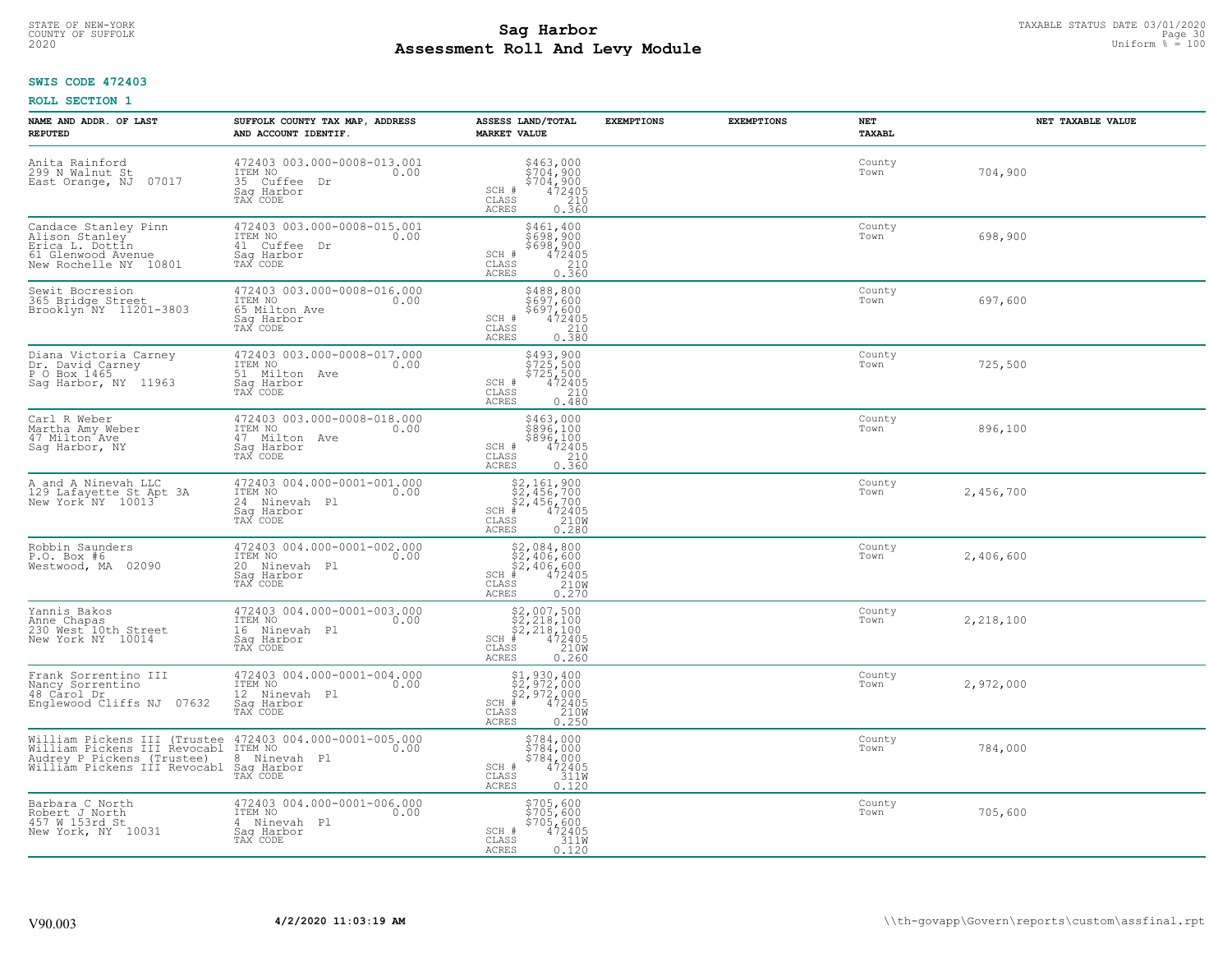# TAXABLE STATUS DATE 03/01/2020<br>COUNTY OF SUFFOLK Page 30 COUNTY OF SUFFOLK Page 30 **Assessment Roll And Levy Module** 2020 Uniform % = 100

## **SWIS CODE 472403**

| NAME AND ADDR. OF LAST<br><b>REPUTED</b>                                                                                                          | SUFFOLK COUNTY TAX MAP, ADDRESS<br>AND ACCOUNT IDENTIF.                                   | ASSESS LAND/TOTAL<br><b>MARKET VALUE</b>                                                                                                 | <b>EXEMPTIONS</b> | <b>EXEMPTIONS</b> | NET<br><b>TAXABL</b> | NET TAXABLE VALUE |
|---------------------------------------------------------------------------------------------------------------------------------------------------|-------------------------------------------------------------------------------------------|------------------------------------------------------------------------------------------------------------------------------------------|-------------------|-------------------|----------------------|-------------------|
| Anita Rainford<br>299 N Walnut St<br>07017<br>East Orange, NJ                                                                                     | 472403 003.000-0008-013.001<br>ITEM NO<br>0.00<br>35 Cuffee Dr<br>Saq Harbor<br>TAX CODE  | $$463,000$<br>$$704,900$<br>$$704,900$<br>$472405$<br>210<br>SCH #<br>$\mathtt{CLASS}$<br>ACRES<br>0.360                                 |                   |                   | County<br>Town       | 704,900           |
| Candace Stanley Pinn<br>Alison Stanley<br>Erica L. Dottin<br>61 Glenwood Avenue<br>New Rochelle NY 10801                                          | 472403 003.000-0008-015.001<br>ITEM NO<br>0.00<br>41 Cuffee Dr<br>Saq Harbor<br>TAX CODE  | \$461,400<br>\$698,900<br>\$698,900<br>472405<br>SCH #<br>CLASS<br>$\frac{210}{0.360}$<br>ACRES                                          |                   |                   | County<br>Town       | 698,900           |
| Sewit Bocresion<br>365 Bridge Street<br>Brooklyn NY 11201-3803                                                                                    | 472403 003.000-0008-016.000<br>ITEM NO<br>0.00<br>65 Milton Ave<br>Sag Harbor<br>TAX CODE | \$488,800<br>5697,600<br>\$697,600<br>472405<br>SCH #<br>$\frac{210}{0.380}$<br>CLASS<br>ACRES                                           |                   |                   | County<br>Town       | 697,600           |
| Diana Victoria Carney<br>Dr. David Carney<br>P O Box 1465<br>Sag Harbor, NY 11963                                                                 | 472403 003.000-0008-017.000<br>TTEM NO 0.00<br>51 Milton Ave<br>Saq Harbor<br>TAX CODE    | \$493,900<br>\$725,500<br>\$725,500<br>\$72405<br>0.480<br>SCH #<br>CLASS<br>ACRES                                                       |                   |                   | County<br>Town       | 725,500           |
| Carl R Weber<br>Martha Amy Weber<br>47 Milton Ave<br>Sag Harbor, NY                                                                               | 472403 003.000-0008-018.000<br>ITEM NO<br>0.00<br>47 Milton Ave<br>Saq Harbor<br>TAX CODE | \$463,000<br>\$896,100<br>\$896,100<br>\$896,100<br>472405<br>0.360<br>SCH #<br>CLASS<br>ACRES                                           |                   |                   | County<br>Town       | 896,100           |
| A and A Ninevah LLC<br>129 Lafayette St Apt 3A<br>New York <sup>"</sup> NY 10013                                                                  | 472403 004.000-0001-001.000<br>ITEM NO<br>0.00<br>24 Ninevah Pl<br>Sag Harbor<br>TAX CODE | $$2,161,900\n$2,456,700\n$2,456,700\n# 472405\n35 210M$<br>$SCH$ #<br>CLASS<br>0.280<br>ACRES                                            |                   |                   | County<br>Town       | 2,456,700         |
| Robbin Saunders<br>P.O. Box #6<br>Westwood, MA 02090                                                                                              | 472403 004.000-0001-002.000<br>ITEM NO<br>0.00<br>20 Ninevah Pl<br>Sag Harbor<br>TAX CODE | $$2,084,800$<br>$$2,406,600$<br>$$2,406,600$<br>$*$<br>$472405$<br>$*$<br>$2100$<br>$SCH$ #<br>$\mathtt{CLASS}$<br><b>ACRES</b><br>0.270 |                   |                   | County<br>Town       | 2,406,600         |
| Yannis Bakos<br>Anne Chapas<br>230 West 10th Street<br>New York NY 10014                                                                          | 472403 004.000-0001-003.000<br>ITEM NO<br>0.00<br>16 Ninevah Pl<br>Saq Harbor<br>TAX CODE | $$2,007,500$<br>$$2,218,100$<br>$$2,218,100$<br>$472405$<br>$$2100$<br>$$2100$<br>SCH #<br>CLASS<br>ACRES<br>0.260                       |                   |                   | County<br>Town       | 2,218,100         |
| Frank Sorrentino III<br>Nancy Sorrentino<br>48 Carol Dr<br>Englewood Cliffs NJ 07632                                                              | 472403 004.000-0001-004.000<br>TTEM NO 0.00<br>12 Ninevah Pl<br>Saq Harbor<br>TAX CODE    | $$1, 930, 400$<br>$$2, 972, 000$<br>$$2, 972, 000$<br>$*$ $472405$<br>SCH #<br>$\frac{210W}{0.250}$<br>CLASS<br><b>ACRES</b>             |                   |                   | County<br>Town       | 2,972,000         |
| William Pickens III (Trustee<br>William Pickens III Revocabl<br>Audrey P Pickens (Trustee)<br>William Pickens III Revocabl Sag Harbor<br>TAX CODE | 472403 004.000-0001-005.000<br>ITEM NO<br>0.00<br>8 Ninevah Pl                            | $$784,000\n$784,000\n$784,000\n472405\n311W$<br>SCH #<br>CLASS<br>ACRES<br>0.120                                                         |                   |                   | County<br>Town       | 784,000           |
| Barbara C North<br>Robert J North<br>457 W 153rd St<br>New York, NY 10031                                                                         | 472403 004.000-0001-006.000<br>ITEM NO<br>0.00<br>4 Ninevah Pl<br>Saq Harbor<br>TAX CODE  | \$705,600<br>\$705,600<br>\$705,600<br>SCH #<br>$472405$<br>311W<br>$\mathtt{CLASS}$<br>ACRES<br>0.120                                   |                   |                   | County<br>Town       | 705,600           |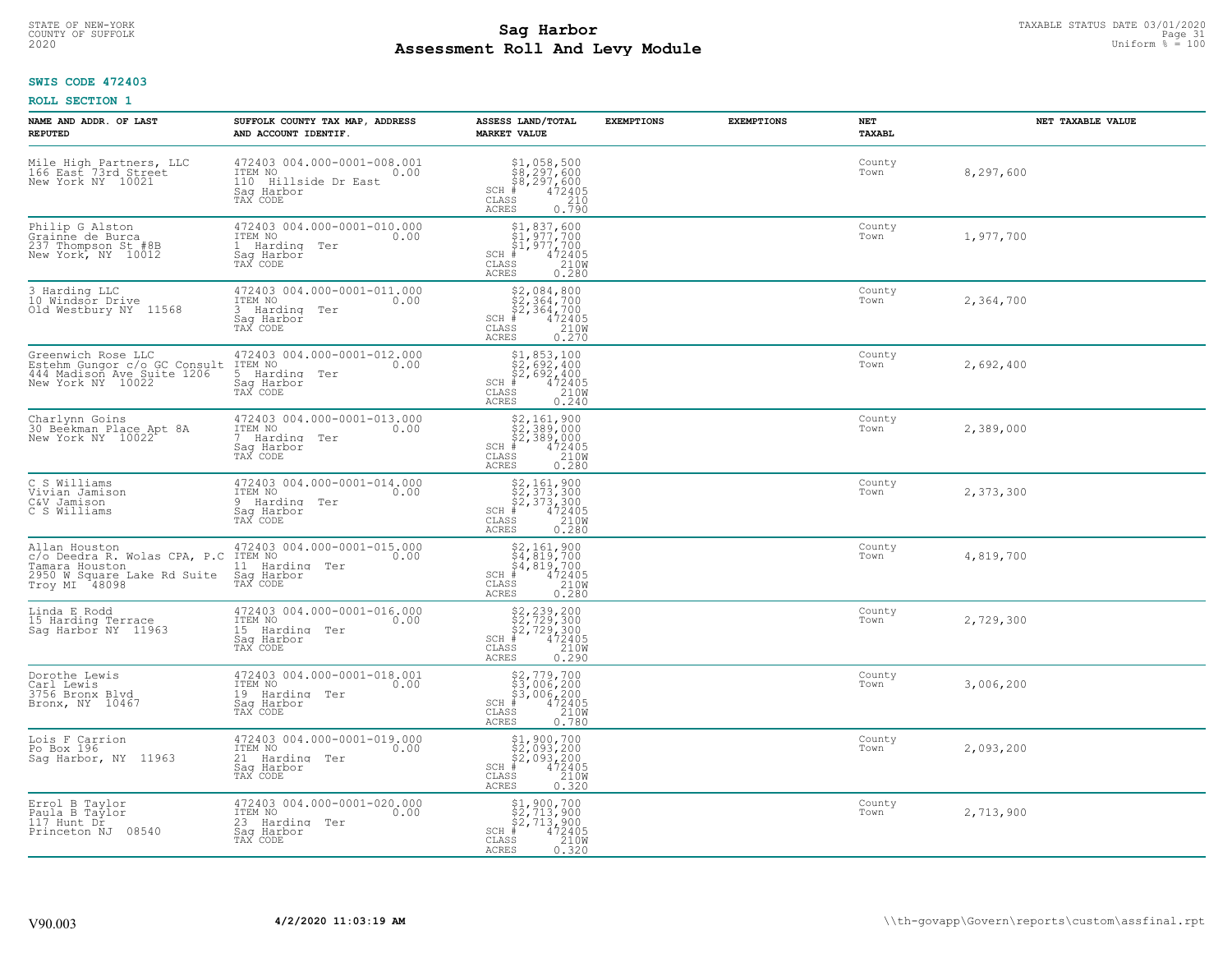# STATE OF NEW-YORK TAXABLE STATUS DATE 03/01/2020<br>COUNTY OF SUFFOLK Page 31 COUNTY OF SUFFOLK Page 31 **Assessment Roll And Levy Module** 2020 Uniform % = 100

## **SWIS CODE 472403**

| NAME AND ADDR. OF LAST<br><b>REPUTED</b>                                                                        | SUFFOLK COUNTY TAX MAP, ADDRESS<br>AND ACCOUNT IDENTIF.                                          | ASSESS LAND/TOTAL<br><b>MARKET VALUE</b>                                                                                                                                                                                                                                                                            | <b>EXEMPTIONS</b> | <b>EXEMPTIONS</b> | NET<br>TAXABL  | NET TAXABLE VALUE |
|-----------------------------------------------------------------------------------------------------------------|--------------------------------------------------------------------------------------------------|---------------------------------------------------------------------------------------------------------------------------------------------------------------------------------------------------------------------------------------------------------------------------------------------------------------------|-------------------|-------------------|----------------|-------------------|
| Mile High Partners, LLC<br>166 East 73rd Street<br>New York NY 10021                                            | 472403 004.000-0001-008.001<br>ITEM NO<br>0.00<br>110 Hillside Dr East<br>Saq Harbor<br>TAX CODE | $$1,058,500$<br>$$8,297,600$<br>$$8,297,600$<br>$472405$<br>$$210$<br>$SCH$ #<br>CLASS<br><b>ACRES</b><br>0.790                                                                                                                                                                                                     |                   |                   | County<br>Town | 8,297,600         |
| Philip G Alston<br>Grainne de Burca<br>237 Thompson St #8B<br>New York, NY 10012                                | 472403 004.000-0001-010.000<br>ITEM NO<br>0.00<br>1 Harding Ter<br>Saq Harbor<br>TAX CODE        | $$1,837,600$<br>$$1,977,700$<br>$$1,977,700$<br>$472405$<br>$$210M$<br>$SCH$ #<br>CLASS<br><b>ACRES</b><br>0.280                                                                                                                                                                                                    |                   |                   | County<br>Town | 1,977,700         |
| 3 Harding LLC<br>10 Windsor Drive<br>Old Westbury NY 11568                                                      | 472403 004.000-0001-011.000<br>ITEM NO<br>0.00<br>3 Harding Ter<br>Saq Harbor<br>TAX CODE        | $$2,084,800$<br>$$2,364,700$<br>$$2,364,700$<br>$472405$<br>$2100$<br>$SCH$ #<br>CLASS<br>0.270<br>ACRES                                                                                                                                                                                                            |                   |                   | County<br>Town | 2,364,700         |
| Greenwich Rose LLC<br>Estehm Gungor c/o GC Consult<br>444 Madison Ave Suite 1206<br>New York NY 10022           | 472403 004.000-0001-012.000<br>ITEM NO<br>0.00<br>5 Harding Ter<br>Saq Harbor<br>TAX CODE        | $\begin{array}{r} \text{\small $51$, $853$, $100$} \\ \text{\small $52$, $692$, $400$} \\ \text{\small $52$, $692$, $400$} \\ \text{\small $472405} \\ \text{\small $85$} \end{array}$<br>$SCH$ #<br>CLASS<br>ACRES                                                                                                 |                   |                   | County<br>Town | 2,692,400         |
| Charlynn Goins<br>30 Beekman Place Apt 8A<br>New York NY 10022                                                  | 472403 004.000-0001-013.000<br>ITEM NO<br>0.00<br>7 Harding Ter<br>Saq Harbor<br>TAX CODE        | $\begin{array}{c} \text{\$2,161,900} \\ \text{\$2,389,000} \\ \text{\$2,389,000} \\ \text{\$472405} \\ \text{\$88} \\ \text{\$88} \\ \text{\$89} \\ \text{\$100} \\ \text{\$100} \\ \text{\$1200} \\ \text{\$100} \\ \text{\$1200} \\ \text{\$100} \\ \text{\$280} \end{array}$<br>$SCH$ #<br>CLASS<br><b>ACRES</b> |                   |                   | County<br>Town | 2,389,000         |
| C S Williams<br>Vivian Jamison<br>C&V Jamison<br>C S Williams                                                   | 472403 004.000-0001-014.000<br>ITEM NO<br>0.00<br>9 Harding Ter<br>Sag Harbor<br>TAX CODE        | $\begin{array}{r} \text{\small $52$, $161$, $900$} \\ \text{\small $52$, $373$, $300$} \\ \text{\small $52$, $373$, $300$} \\ \text{\small $4$ & $472405$} \\ \text{\small $85$ & $210 \text{W}$} \\ \text{\small $85$ & $0.280$} \end{array}$<br>$SCH$ #<br>CLASS<br><b>ACRES</b>                                  |                   |                   | County<br>Town | 2,373,300         |
| Allan Houston<br>c/o Deedra R. Wolas CPA, P.C<br>Tamara Houston<br>2950 W Square Lake Rd Suite<br>Troy MI 48098 | 472403 004.000-0001-015.000<br>ITEM NO<br>0.00<br>11 Harding Ter<br>Saq Harbor<br>TAX CODE       | $$4,819,7004,819,7004,819,700447240555210M$<br>$SCH$ #<br>CLASS<br><b>ACRES</b><br>0.280                                                                                                                                                                                                                            |                   |                   | County<br>Town | 4,819,700         |
| Linda E Rodd<br>15 Harding Terrace<br>Sag Harbor NY 11963                                                       | 472403 004.000-0001-016.000<br>ITEM NO 0.00<br>15 Harding<br>Ter<br>Saq Harbor<br>TAX CODE       | $$2, 239, 200$<br>$$2, 729, 300$<br>$$2, 729, 300$<br>$$472405$<br>$$2100$<br>$SCH$ #<br>CLASS<br><b>ACRES</b><br>0.290                                                                                                                                                                                             |                   |                   | County<br>Town | 2,729,300         |
| Dorothe Lewis<br>Carl Lewis<br>3756 Bronx Blvd<br>Bronx, NY 10467                                               | 472403 004.000-0001-018.001<br>1TEM NO 0.00<br>19 Harding Ter<br>Saq Harbor<br>TAX CODE          | $$2,779,700$<br>$$3,006,200$<br>$$3,006,200$<br>$$472405$<br>$$2100$<br>$SCH$ #<br>CLASS<br><b>ACRES</b><br>0.780                                                                                                                                                                                                   |                   |                   | County<br>Town | 3,006,200         |
| Lois F Carrion<br>Po Box 196<br>Sag Harbor, NY 11963                                                            | 472403 004.000-0001-019.000<br>ITEM NO<br>0.00<br>21 Harding<br>Ter<br>Sag Harbor<br>TAX CODE    | $$2,093,200\n$2,093,200\n$2,093,200\n# 472405\n85\n210M\n85\n210M$<br>SCH<br>CLASS<br>0.320<br><b>ACRES</b>                                                                                                                                                                                                         |                   |                   | County<br>Town | 2,093,200         |
| Errol B Taylor<br>Paula B Taylor<br>$117$ Hunt $D\tilde{r}$<br>Princeton NJ 08540                               | 472403 004.000-0001-020.000<br>ITEM NO<br>0.00<br>23 Harding Ter<br>Sag Harbor<br>TAX CODE       | \$1,900,700<br>\$2,713,900<br>\$2,713,900<br>$SCH$ #<br>472405<br>210W<br>CLASS<br><b>ACRES</b><br>0.320                                                                                                                                                                                                            |                   |                   | County<br>Town | 2,713,900         |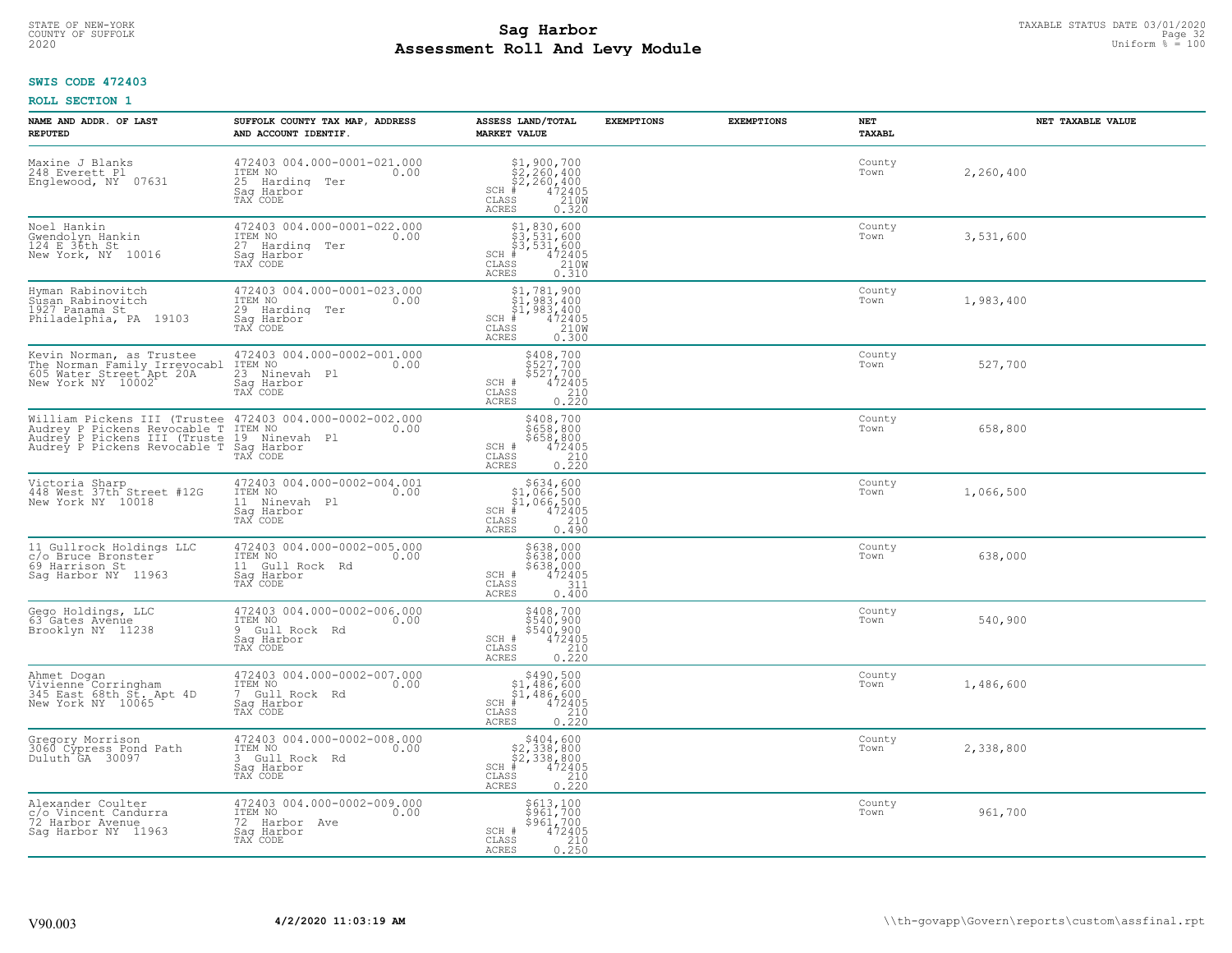# TAXABLE STATUS DATE 03/01/2020<br>COUNTY OF SUFFOLK Page 32 COUNTY OF SUFFOLK Page 32 **Assessment Roll And Levy Module** 2020 Uniform % = 100

## **SWIS CODE 472403**

| NAME AND ADDR. OF LAST<br><b>REPUTED</b>                                                                                                          | SUFFOLK COUNTY TAX MAP, ADDRESS<br>AND ACCOUNT IDENTIF.                                    | ASSESS LAND/TOTAL<br><b>MARKET VALUE</b>                                                                                                                                                                                                                                                                                                                                    | <b>EXEMPTIONS</b> | <b>EXEMPTIONS</b> | NET<br>TAXABL  | NET TAXABLE VALUE |
|---------------------------------------------------------------------------------------------------------------------------------------------------|--------------------------------------------------------------------------------------------|-----------------------------------------------------------------------------------------------------------------------------------------------------------------------------------------------------------------------------------------------------------------------------------------------------------------------------------------------------------------------------|-------------------|-------------------|----------------|-------------------|
| Maxine J Blanks<br>248 Everett Pl<br>Englewood, NY 07631                                                                                          | 472403 004.000-0001-021.000<br>ITEM NO<br>0.00<br>25 Harding Ter<br>Saq Harbor<br>TAX CODE | $\begin{array}{l} 51,900,700 \\ 52,260,400 \\ 52,260,400 \\ \text{\#} & 472405 \\ \text{\#} & 210M \\ \text{\#} & 210M \end{array}$<br>$SCH$ #<br>CLASS<br>ACRES<br>0.320                                                                                                                                                                                                   |                   |                   | County<br>Town | 2,260,400         |
| Noel Hankin<br>Gwendolyn Hankin<br>124 E 36th St<br>New York, NY 10016                                                                            | 472403 004.000-0001-022.000<br>ITEM NO<br>0.00<br>27 Harding Ter<br>Saq Harbor<br>TAX CODE | \$1,830,600<br>\$3,531,600<br>\$3,531,600<br>\$4,72405<br>$SCH$ #<br>$\frac{210W}{0.310}$<br>CLASS<br>ACRES                                                                                                                                                                                                                                                                 |                   |                   | County<br>Town | 3,531,600         |
| Hyman Rabinovitch<br>Sūsan Rabinovitch<br>1927 Panama St<br>Philadelphia, PA 19103                                                                | 472403 004.000-0001-023.000<br>ITEM NO<br>0.00<br>29 Harding Ter<br>Sag Harbor<br>TAX CODE | $\begin{array}{l} \texttt{\$1,\$781,\$900}\\ \texttt{\$1,\$983,\$400}\\ \texttt{\$1,\$983,\$400}\\ \texttt{\$1,\$983,\$400}\\ \texttt{\$1\_\$983,\$400}\\ \texttt{\$1\_\$983,\$400}\\ \texttt{\$1\_\$985} \end{array}$<br>$SCH$ #<br>CLASS<br>ACRES                                                                                                                         |                   |                   | County<br>Town | 1,983,400         |
| Kevin Norman, as Trustee 472403 004<br>The Norman Family Irrevocabl ITEM NO<br>605 Water Street Apt 20A 23 Nineva<br>New York NY 10002 5ag Harboi | 472403 004.000-0002-001.000<br>0.00<br>23 Ninevah Pl<br>Saq Harbor<br>TAX CODE             | \$408,700<br>\$527,700<br>\$527,700<br>472405<br>SCH #<br>$\mathtt{CLASS}$<br>210<br>$0, \overline{2}\overline{2}\overline{0}$<br>ACRES                                                                                                                                                                                                                                     |                   |                   | County<br>Town | 527,700           |
| Audrey P Pickens III (Truste 19 Ninevah Pl<br>Audrey P Pickens Revocable T Saq Harbor<br>TAX CODE                                                 |                                                                                            | \$408,700<br>\$658,800<br>\$658,800<br>\$658,800<br>\$658,800<br>\$72405<br>\$210<br>\$220<br>SCH #<br>CLASS<br><b>ACRES</b>                                                                                                                                                                                                                                                |                   |                   | County<br>Town | 658,800           |
| Victoria Sharp<br>448 West 37th Street #12G<br>New York NY 10018                                                                                  | 472403 004.000-0002-004.001<br>ITEM NO<br>0.00<br>11 Ninevah Pl<br>Sag Harbor<br>TAX CODE  | $\begin{array}{r}  \  \  \, 5634, 600 \\  \  \, 51,066,500 \\  \  \, 51,066,500 \\  \  \  \, 472405 \\  \  \, 55 \\  \  \  \, 55 \\  \  \  \, 210 \\  \  \, 55 \\  \  \  \, 0 \\  \  \, 0 \\  \  \, 0 \\  \  \, 0 \\  \  \, 0 \\  \  \, 0 \\  \  \, 0 \\  \  \, 0 \\  \  \, 0 \\  \  \, 0 \\  \  \, 0 \\  \  \, 0 \\  \  \, 0$<br>$SCH$ #<br>CLASS<br>0.490<br><b>ACRES</b> |                   |                   | County<br>Town | 1,066,500         |
| 11 Gullrock Holdings LLC<br>c/o Bruce Bronster<br>69 Harrison St<br>Saq Harbor NY 11963                                                           | 472403 004.000-0002-005.000<br>TTEM NO 0.00<br>11 Gull Rock Rd<br>Sag Harbor<br>TAX CODE   | \$638,000<br>\$638,000<br>\$638,000<br>\$638,000<br>SCH #<br>CLASS<br>311<br>0.400<br>ACRES                                                                                                                                                                                                                                                                                 |                   |                   | County<br>Town | 638,000           |
| Gego Holdings, LLC<br>63 Gates Avenue<br>Brooklyn NY 11238                                                                                        | 472403 004.000-0002-006.000<br>TTEM NO 0.00<br>9 Gull Rock Rd<br>Saq Harbor<br>TAX CODE    | \$408,700<br>\$540,900<br>\$540,900<br>472405<br>SCH #<br>CLASS<br>0.220<br>ACRES                                                                                                                                                                                                                                                                                           |                   |                   | County<br>Town | 540,900           |
| Ahmet Dogan<br>Vivienne Corringham<br>345 East 68th St. Apt 4D<br>New York NY 10065                                                               | 472403 004.000-0002-007.000<br>ITEM NO<br>0.00<br>7 Gull Rock Rd<br>Saq Harbor<br>TAX CODE | $$490,500$<br>$$1,486,600$<br>$$1,486,600$<br>$$1,486,600$<br>$$472405$<br>$SCH$ #<br>CLASS<br>$\frac{210}{0.220}$<br><b>ACRES</b>                                                                                                                                                                                                                                          |                   |                   | County<br>Town | 1,486,600         |
| Gregory Morrison<br>3060 Cypress Pond Path<br>Duluth GA 30097                                                                                     | 472403 004.000-0002-008.000<br>ITEM NO<br>0.00<br>3 Gull Rock Rd<br>Saq Harbor<br>TAX CODE | \$404,600<br>32, 338, 800<br>\$2, 338, 800<br>\$2, 338, 800<br>\$2, 338, 800<br>\$210<br>\$210<br>\$220<br>\$220<br>$SCH$ #<br>CLASS<br>ACRES                                                                                                                                                                                                                               |                   |                   | County<br>Town | 2,338,800         |
| Alexander Coulter<br>c/o Vincent Candurra<br>72 Harbor Avenue<br>Saq Harbor NY 11963                                                              | 472403 004.000-0002-009.000<br>ITEM NO<br>72 Harbor Ave<br>0.00<br>Sag Harbor<br>TAX CODE  | \$613,100<br>\$961,700<br>\$961,700<br>SCH #<br>472405<br>CLASS<br>$\frac{210}{0.250}$<br><b>ACRES</b>                                                                                                                                                                                                                                                                      |                   |                   | County<br>Town | 961,700           |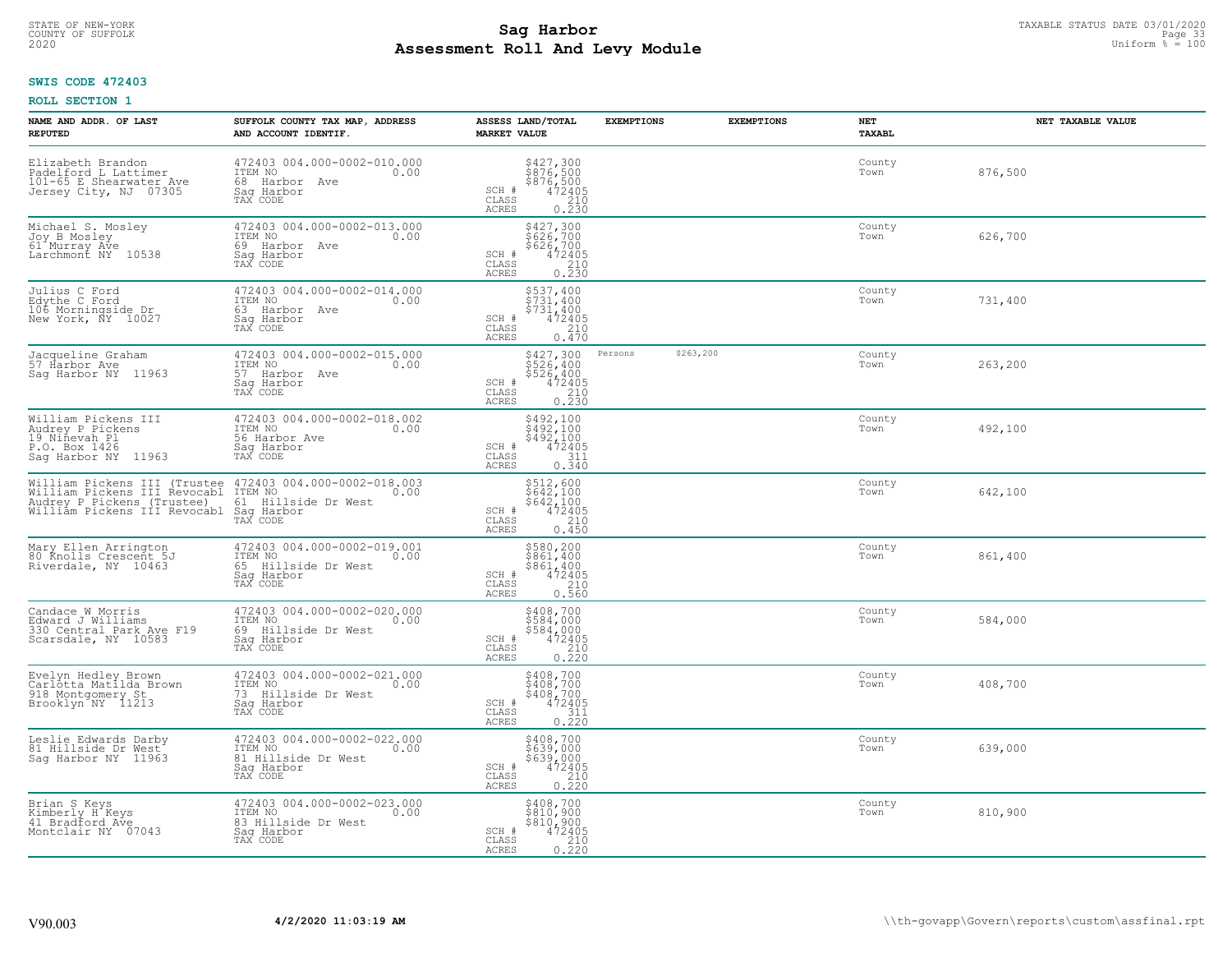# TAXABLE STATUS DATE 03/01/2020<br>COUNTY OF SUFFOLK Page 33 COUNTY OF SUFFOLK Page 33 **Assessment Roll And Levy Module** 2020 Uniform % = 100

## **SWIS CODE 472403**

| NAME AND ADDR. OF LAST<br><b>REPUTED</b>                                                                                                                            | SUFFOLK COUNTY TAX MAP, ADDRESS<br>AND ACCOUNT IDENTIF.                                            | ASSESS LAND/TOTAL<br><b>MARKET VALUE</b>                                                                                       | <b>EXEMPTIONS</b>    | <b>EXEMPTIONS</b> | <b>NET</b><br><b>TAXABL</b> | NET TAXABLE VALUE |
|---------------------------------------------------------------------------------------------------------------------------------------------------------------------|----------------------------------------------------------------------------------------------------|--------------------------------------------------------------------------------------------------------------------------------|----------------------|-------------------|-----------------------------|-------------------|
| Elizabeth Brandon<br>Padelford L Lattimer<br>101-65 E Shearwater Ave<br>Jersey City, NJ 07305                                                                       | 472403 004.000-0002-010.000<br>ITEM NO<br>0.00<br>68 Harbor Ave<br>Saq Harbor<br>TAX CODE          | $$427,300$<br>$$876,500$<br>$$876,500$<br>$472405$<br>210<br>SCH #<br>CLASS<br><b>ACRES</b><br>0.230                           |                      |                   | County<br>Town              | 876,500           |
| Michael S. Mosley<br>Joy B Mosley<br>61 Murray Ave<br>Larchmont NY 10538                                                                                            | 472403 004.000-0002-013.000<br>ITEM NO<br>0.00<br>69 Harbor Ave<br>Sag Harbor<br>TAX CODE          | \$427,300<br>\$626,700<br>\$626,700<br>472405<br>SCH #<br>CLASS<br>$\begin{array}{c} 210 \\ 0.230 \end{array}$<br>ACRES        |                      |                   | County<br>Town              | 626,700           |
| Julius C Ford<br>Edythe C Ford<br>106 Morningside Dr.<br>New York, NY 10027                                                                                         | 472403 004.000-0002-014.000<br>ITEM NO<br>0.00<br>63 Harbor Ave<br>Saq Harbor<br>TAX CODE          | \$537,400<br>\$731,400<br>5731,400<br>SCH #<br>472405<br>CLASS<br>210<br>0.470<br>ACRES                                        |                      |                   | County<br>Town              | 731,400           |
| Jacqueline Graham<br>57 Harbor Ave<br>Saq Harbor NY 11963                                                                                                           | 472403 004.000-0002-015.000<br>ITEM NO<br>0.00<br>57 Harbor Ave<br>Saq Harbor<br>TAX CODE          | \$427,300<br>\$526,400<br>\$526,400<br>SCH #<br>$\begin{array}{r} 472405 \\ 210 \\ 0.230 \end{array}$<br>CLASS<br>ACRES        | \$263,200<br>Persons |                   | County<br>Town              | 263,200           |
| William Pickens III<br>Audrey P Pickens<br>19 Niñevah Pl<br>P.O. Box 1426<br>Saq Harbor NY 11963                                                                    | 472403 004.000-0002-018.002<br>ITEM NO<br>0.00<br>56 Harbor Ave<br>Saq Harbor<br>TAX CODE          | \$492,100<br>$\frac{5}{4}$ $\frac{5}{2}$ , $\frac{100}{400}$<br>$$492,1004724053110.340$<br>SCH #<br>CLASS<br><b>ACRES</b>     |                      |                   | County<br>Town              | 492,100           |
| William Pickens III (Trustee 472403 004.000-0002-018.003<br>William Pickens III Revocabl ITEM NO 0.00<br>Audrey P Pickens (Trustee)<br>William Pickens III Revocabl | 61 Hillside Dr West<br>Sag Harbor<br>TAX CODE                                                      | \$512,600<br>\$642,100<br>\$642,100<br>472405<br>SCH #<br>210<br>CLASS<br><b>ACRES</b><br>0.450                                |                      |                   | County<br>Town              | 642,100           |
| Mary Ellen Arrington<br>80 Knolls Crescent 5J<br>Riverdale, NY 10463                                                                                                | 472403 004.000-0002-019.001<br>ITEM NO<br>0.00<br>Hillside Dr West<br>65<br>Saq Harbor<br>TAX CODE | \$580,200<br>\$861,400<br>\$861,400<br>472405<br>SCH #<br>0.560<br>CLASS<br>ACRES                                              |                      |                   | County<br>Town              | 861,400           |
| Candace W Morris<br>Edward J Williams<br>330 Central Park Ave F19<br>Scarsdale, NY 10583                                                                            | 472403 004.000-0002-020.000<br>TTEM NO 0.00<br>69 Hillside Dr West<br>Sag Harbor<br>TAX CODE       | $\begin{array}{r} 5408,700 \\ 5584,000 \\ 5584,000 \\ 472405 \\ 210 \\ 0.220 \end{array}$<br>SCH #<br>CLASS<br><b>ACRES</b>    |                      |                   | County<br>Town              | 584,000           |
| Evelyn Hedley Brown<br>Carlotta Matilda Brown<br>918 Montgomery St<br>Brooklyn NY 11213                                                                             | 472403 004.000-0002-021.000<br>ITEM NO 0.00<br>73 Hillside Dr West<br>Saq Harbor<br>TAX CODE       | $\begin{array}{c} 5408, 700 \\ 5408, 700 \\ 5408, 700 \\ 472405 \\ 311 \\ 0.220 \end{array}$<br>SCH #<br>CLASS<br><b>ACRES</b> |                      |                   | County<br>Town              | 408,700           |
| Leslie Edwards Darby<br>81 Hillside Dr West<br>Sag Harbor NY 11963                                                                                                  | 472403 004.000-0002-022.000<br>ITEM NO<br>0.00<br>81 Hillside Dr West<br>Sag Harbor<br>TAX CODE    | \$408,700<br>\$639,000<br>\$639,000<br>SCH #<br>$\frac{472405}{210}$<br>CLASS<br>0.220<br><b>ACRES</b>                         |                      |                   | County<br>Town              | 639,000           |
| Brian S Keys<br>Kimberly H Keys<br>41 Bradford Ave<br>Montclair NY 07043                                                                                            | 472403 004.000-0002-023.000<br>ITEM NO<br>0.00<br>83 Hillside Dr West<br>Sag Harbor<br>TAX CODE    | \$408,700<br>\$810,900<br>\$810,900<br>SCH #<br>472405<br>$\begin{array}{c} 210 \\ 0.220 \end{array}$<br>CLASS<br><b>ACRES</b> |                      |                   | County<br>Town              | 810,900           |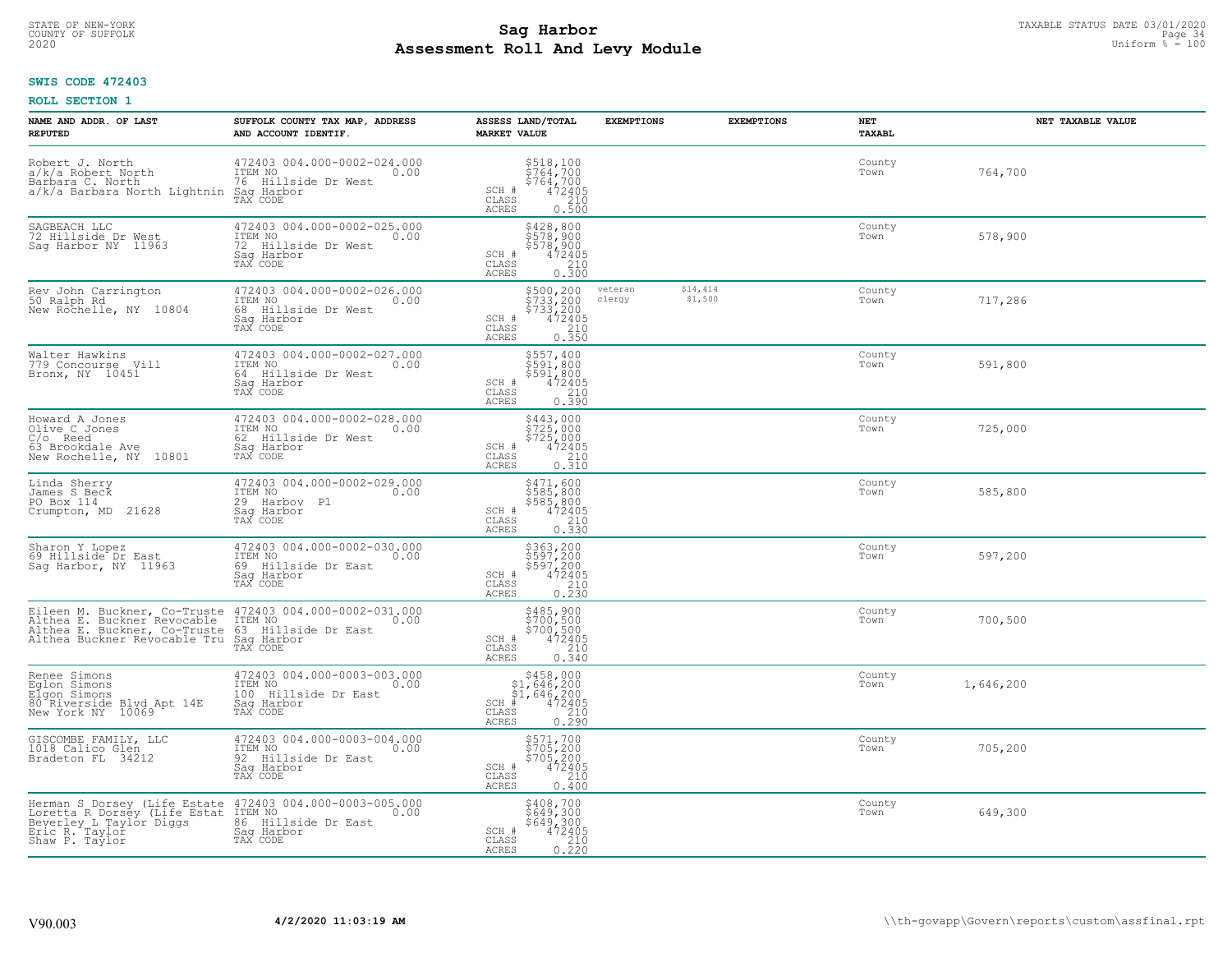# TAXABLE STATUS DATE 03/01/2020<br>COUNTY OF SUFFOLK Page 34 **Assessment Roll And Levy Module** 2020 Uniform % = 100

## **SWIS CODE 472403**

| NAME AND ADDR. OF LAST<br><b>REPUTED</b>                                                                                                                                                                                                | SUFFOLK COUNTY TAX MAP, ADDRESS<br>AND ACCOUNT IDENTIF.                                            | ASSESS LAND/TOTAL<br><b>MARKET VALUE</b>                                                                                       | <b>EXEMPTIONS</b> | <b>EXEMPTIONS</b>   | NET<br><b>TAXABL</b> | NET TAXABLE VALUE |
|-----------------------------------------------------------------------------------------------------------------------------------------------------------------------------------------------------------------------------------------|----------------------------------------------------------------------------------------------------|--------------------------------------------------------------------------------------------------------------------------------|-------------------|---------------------|----------------------|-------------------|
| Robert J. North<br>a/k/a Robert North<br>Barbara C. North<br>a/k/a Barbara North Lightnin                                                                                                                                               | 472403 004.000-0002-024.000<br>ITEM NO<br>0.00<br>76 Hillside Dr West<br>Saq Harbor<br>TAX CODE    | \$518,100<br>\$764,700<br>\$764,700<br>\$764,700<br>\$72405<br>\$10<br>\$100.500<br>SCH #<br>CLASS<br>ACRES                    |                   |                     | County<br>Town       | 764,700           |
| SAGBEACH LLC<br>72 Hillside Dr West<br>Sag Harbor NY 11963                                                                                                                                                                              | 472403 004.000-0002-025.000<br>ITEM NO<br>0.00<br>72 Hillside Dr West<br>Saq Harbor<br>TAX CODE    | \$428,800<br>\$578,900<br>\$578,900<br>\$578,900<br>SCH #<br>$\frac{210}{0.300}$<br>CLASS<br><b>ACRES</b>                      |                   |                     | County<br>Town       | 578,900           |
| Rev John Carrington<br>50 Ralph Rd<br>New Rochelle, NY 10804                                                                                                                                                                            | 472403 004.000-0002-026.000<br>ITEM NO<br>0.00<br>68<br>Hillside Dr West<br>Sag Harbor<br>TAX CODE | \$500,200<br>\$733,200<br>\$733,200<br>472405<br>SCH #<br>CLASS<br>$\begin{array}{c} 210 \\ 0.350 \end{array}$<br>ACRES        | veteran<br>clergy | \$14,414<br>\$1,500 | County<br>Town       | 717,286           |
| Walter Hawkins<br>779 Concourse Vill<br>Bronx, NY 10451                                                                                                                                                                                 | 472403 004.000-0002-027.000<br>ITEM NO<br>0.00<br>64 Hillside Dr West<br>Saq Harbor<br>TAX CODE    | \$557,400<br>\$591,800<br>\$591,800<br>SCH #<br>472405<br>CLASS<br>0.390<br><b>ACRES</b>                                       |                   |                     | County<br>Town       | 591,800           |
| Howard A Jones<br>Olive C Jones<br>$C/O$ Reed<br>63 Brookdale Ave<br>New Rochelle, NY 10801                                                                                                                                             | 472403 004.000-0002-028.000<br>ITEM NO<br>0.00<br>62 Hillside Dr West<br>Saq Harbor<br>TAX CODE    | \$443,000<br>\$725,000<br>$\begin{array}{r} 5725,000 \\ 472405 \\ 210 \\ 0.310 \end{array}$<br>SCH #<br>CLASS<br>ACRES         |                   |                     | County<br>Town       | 725,000           |
| Linda Sherry<br>James S Beck<br>PO Box 114<br>Crumpton, MD<br>21628                                                                                                                                                                     | 472403 004.000-0002-029.000<br>ITEM NO<br>0.00<br>29<br>Harboy Pl<br>Saq Harbor<br>TAX CODE        | \$471,600<br>\$585,800<br>\$585,800<br>\$585,800<br>\$72405<br>\$62.00.330<br>SCH #<br>CLASS<br><b>ACRES</b>                   |                   |                     | County<br>Town       | 585,800           |
| Sharon Y Lopez<br>69 Hillside Dr East<br>Saq Harbor, NY 11963                                                                                                                                                                           | 472403 004.000-0002-030.000<br>ITEM NO<br>0.00<br>Hillside Dr East<br>69<br>Saq Harbor<br>TAX CODE | \$363,200<br>\$597,200<br>\$597,200<br>472405<br>SCH #<br>$\begin{array}{c} 210 \\ 0.230 \end{array}$<br>CLASS<br><b>ACRES</b> |                   |                     | County<br>Town       | 597,200           |
| Eileen M. Buckner, Co-Truste 472403 004.000-0002-031.000<br>Althea E. Buckner Revocable ITEM NO Althea E. Buckner, Co-Truste 63 Hillside Dr East 0.00<br>Althea E. Buckner, Co-Truste 63 Hillside Dr East<br>Althea Buckner Revocable T | Saq Harbor<br>TAX CODE                                                                             | \$485,900<br>\$700,500<br>\$700,500<br>\$700,500<br>SCH #<br>CLASS<br>210<br><b>ACRES</b><br>0.340                             |                   |                     | County<br>Town       | 700,500           |
| Renee Simons<br>Eqlon Simons<br>Elgon Simons<br>80 Riverside Blvd Apt 14E<br>New York NY 10069                                                                                                                                          | 472403 004.000-0003-003.000<br>TTEM NO 0.00<br>100 Hillside Dr East<br>Saq Harbor<br>TAX CODE      | $$458,000$<br>$$1,646,200$<br>$$1,646,200$<br>$*1,646,200$<br>$*1,646,200$<br>SCH<br>CLASS<br>0.290<br>ACRES                   |                   |                     | County<br>Town       | 1,646,200         |
| GISCOMBE FAMILY, LLC<br>1018 Calico Glen<br>Bradeton FL<br>34212                                                                                                                                                                        | 472403 004.000-0003-004.000<br>ITEM NO<br>0.00<br>92<br>Hillside Dr East<br>Sag Harbor<br>TAX CODE | \$571,700<br>\$705,200<br>\$705,200<br>\$72405<br>\$210<br>SCH #<br>CLASS<br><b>ACRES</b><br>0.400                             |                   |                     | County<br>Town       | 705,200           |
| Herman S Dorsey (Life Estate 472403 004.000-0003-005.000<br>Loretta R Dorsey (Life Estat ITEM NO 0.00<br>Beverley L Taylor Diggs<br>Eric R. Taylor<br>Shaw P. Taylor                                                                    | 86 Hillside Dr East<br>Sag Harbor<br>TAX CODE                                                      | \$408,700<br>\$649,300<br>\$649,300<br>SCH #<br>472405<br>$\frac{210}{0.220}$<br>CLASS<br><b>ACRES</b>                         |                   |                     | County<br>Town       | 649,300           |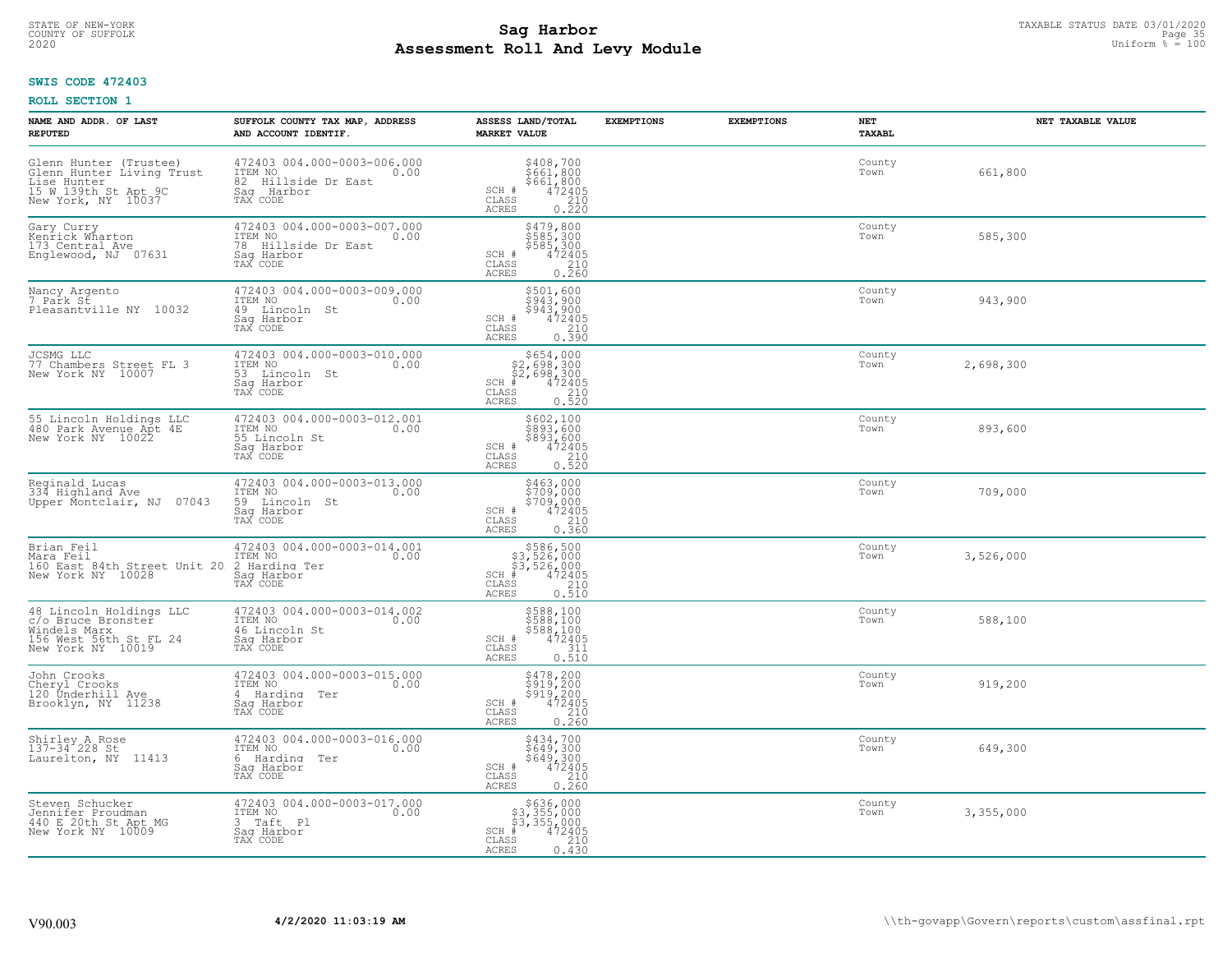# TAXABLE STATUS DATE 03/01/2020<br>COUNTY OF SUFFOLK Page 35 COUNTY OF SUFFOLK Page 35 **Assessment Roll And Levy Module** 2020 Uniform % = 100

## **SWIS CODE 472403**

| NAME AND ADDR. OF LAST<br><b>REPUTED</b>                                                                         | SUFFOLK COUNTY TAX MAP, ADDRESS<br>AND ACCOUNT IDENTIF.                                         | ASSESS LAND/TOTAL<br><b>MARKET VALUE</b>                                                                                                                                                                                      | <b>EXEMPTIONS</b> | <b>EXEMPTIONS</b> | NET<br>TAXABL  | NET TAXABLE VALUE |
|------------------------------------------------------------------------------------------------------------------|-------------------------------------------------------------------------------------------------|-------------------------------------------------------------------------------------------------------------------------------------------------------------------------------------------------------------------------------|-------------------|-------------------|----------------|-------------------|
| Glenn Hunter (Trustee)<br>Glenn Hunter Living Trust<br>Lise Hunter<br>15 W 139th St Apt 9C<br>New York, NY 10037 | 472403 004.000-0003-006.000<br>ITEM NO<br>0.00<br>82 Hillside Dr East<br>Saq Harbor<br>TAX CODE | $\begin{array}{c} 5408, 700 \\ 5661, 800 \\ 5661, 800 \\ 472405 \\ 210 \\ 0.220 \end{array}$<br>SCH #<br>CLASS<br>ACRES                                                                                                       |                   |                   | County<br>Town | 661,800           |
| Gary Curry<br>Kenrick Wharton<br>173 Central Ave<br>Englewood, NJ 07631                                          | 472403 004.000-0003-007.000<br>ITEM NO<br>0.00<br>78 Hillside Dr East<br>Saq Harbor<br>TAX CODE | \$479,800<br>\$585,300<br>\$585,300<br>\$585,300<br>\$72405<br>0.260<br>SCH #<br>CLASS<br>ACRES                                                                                                                               |                   |                   | County<br>Town | 585,300           |
| Nancy Argento<br>7 Park St<br>Pleasantville NY 10032                                                             | 472403 004.000-0003-009.000<br>ITEM NO<br>0.00<br>49 Lincoln St<br>Sag Harbor<br>TAX CODE       | \$501,600<br>$\frac{1}{2}$ 943,900<br>\$943,900<br>SCH #<br>472405<br>$\mathtt{CLASS}$<br>210<br><b>ACRES</b><br>0.390                                                                                                        |                   |                   | County<br>Town | 943,900           |
| JCSMG LLC<br>77 Chambers Street FL 3<br>New York NY 10007                                                        | 472403 004.000-0003-010.000<br>ITEM NO<br>0.00<br>53 Lincoln St<br>Sag Harbor<br>TAX CODE       | $\begin{array}{r}  \  \  \, 5654,000\\  \  \, 22,698,300\\  \  \, 22,698,300\\  \  \  \, 472405\\  \  \  \, 85\\  \  \  \, 85\\  \  \  \, 210\\  \  \, 2520\\  \  \, 0.520\\ \end{array}$<br>$SCH$ #<br><b>CLASS</b><br>ACRES |                   |                   | County<br>Town | 2,698,300         |
| 55 Lincoln Holdings LLC<br>480 Park Avenue Apt 4E<br>New York NY 10022                                           | 472403 004.000-0003-012.001<br>ITEM NO<br>0.00<br>55 Lincoln St<br>Saq Harbor<br>TAX CODE       | \$602,100<br>\$893,600<br>\$893,600<br>SCH #<br>$72405\n210\n0.520$<br>CLASS<br><b>ACRES</b>                                                                                                                                  |                   |                   | County<br>Town | 893,600           |
| Reginald Lucas<br>334 Highland Ave<br>Upper Montclair, NJ 07043                                                  | 472403 004.000-0003-013.000<br>ITEM NO<br>0.00<br>59 Lincoln St<br>Saq Harbor<br>TAX CODE       | \$463,000<br>\$709,000<br>\$709,000<br>\$709,000<br>\$72405<br>0.360<br>SCH #<br>CLASS<br><b>ACRES</b>                                                                                                                        |                   |                   | County<br>Town | 709,000           |
| Brian Feil<br>Mara Feil<br>160 East 84th Street Unit 20 2 Harding Ter<br>New York NY 10028 Sag Harbor            | 472403 004.000-0003-014.001<br>ITEM NO<br>0.00<br>TAX CODE                                      | \$586,500<br>\$3,526,000<br>\$3,526,000<br>$SCH$ #<br>472405<br>CLASS<br>210<br>0.510<br><b>ACRES</b>                                                                                                                         |                   |                   | County<br>Town | 3,526,000         |
| 48 Lincoln Holdings LLC<br>c/o Bruce Bronster<br>Windels Marx<br>156 West 56th St FL 24<br>New York NY 10019     | 472403 004.000-0003-014.002<br>ITEM NO<br>0.00<br>46 Lincoln St<br>Sag Harbor<br>TAX CODE       | \$588,100<br>\$588,100<br>\$588,100<br>472405<br>SCH #<br>CLASS<br>311<br><b>ACRES</b><br>0.510                                                                                                                               |                   |                   | County<br>Town | 588,100           |
| John Crooks<br>Cheryl Crooks<br>120 Underhill Ave<br>Brooklyn, NY 11238                                          | 472403 004.000-0003-015.000<br>TTEM NO 0.00<br>4 Harding Ter<br>Saq Harbor<br>TAX CODE          | \$478,200<br>\$919,200<br>\$919,200<br>472405<br>SCH #<br>CLASS<br>$\frac{210}{0.260}$<br><b>ACRES</b>                                                                                                                        |                   |                   | County<br>Town | 919,200           |
| Shirley A Rose<br>137-34 228 St<br>Laurelton, NY 11413                                                           | 472403 004.000-0003-016.000<br>ITEM NO<br>0.00<br>6 Harding Ter<br>Sag Harbor<br>TAX CODE       | $5434,700$<br>$5649,300$<br>$5649,300$<br>$472405$<br>$240$<br>SCH #<br>CLASS<br><b>ACRES</b><br>0.260                                                                                                                        |                   |                   | County<br>Town | 649,300           |
| Steven Schucker<br>Jennifer Proudman<br>440 E 20th St Apt MG<br>New York NY 10009                                | 472403 004.000-0003-017.000<br>ITEM NO<br>0.00<br>3 Taft Pl<br>Saq Harbor<br>TAX CODE           | \$636,000<br>\$3,355,000<br>\$3,355,000<br>SCH #<br>472405<br>CLASS<br>210<br><b>ACRES</b><br>0.430                                                                                                                           |                   |                   | County<br>Town | 3,355,000         |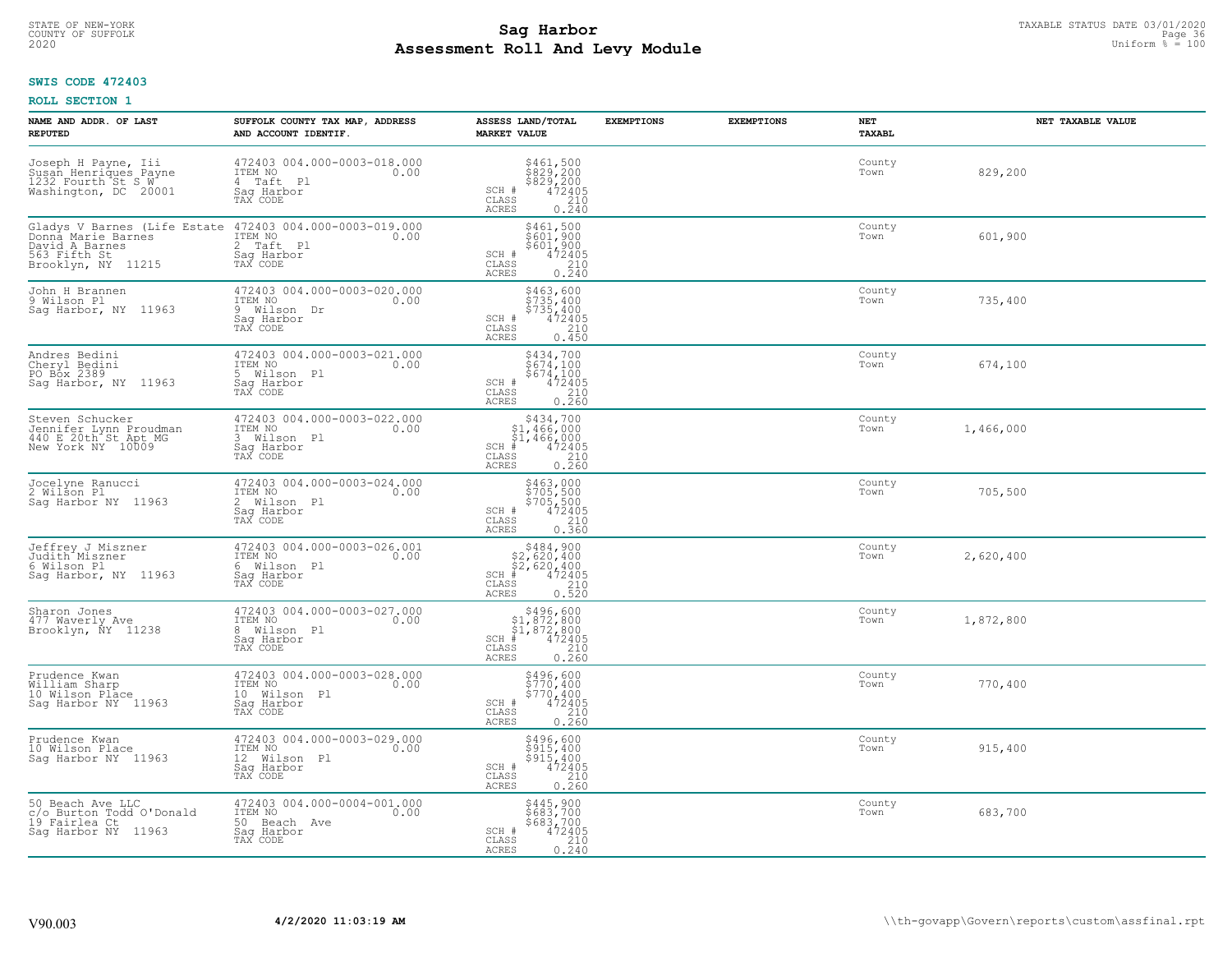# TAXABLE STATUS DATE 03/01/2020<br>COUNTY OF SUFFOLK Page 36 COUNTY OF SUFFOLK Page 36 **Assessment Roll And Levy Module** 2020 Uniform % = 100

## **SWIS CODE 472403**

| NAME AND ADDR. OF LAST<br><b>REPUTED</b>                                                   | SUFFOLK COUNTY TAX MAP, ADDRESS<br>AND ACCOUNT IDENTIF.                                                            | ASSESS LAND/TOTAL<br><b>MARKET VALUE</b>                                                                                                                        | <b>EXEMPTIONS</b> | <b>EXEMPTIONS</b> | <b>NET</b><br><b>TAXABL</b> | NET TAXABLE VALUE |
|--------------------------------------------------------------------------------------------|--------------------------------------------------------------------------------------------------------------------|-----------------------------------------------------------------------------------------------------------------------------------------------------------------|-------------------|-------------------|-----------------------------|-------------------|
| Joseph H Payne, Iii<br>Susan Henriques Payne<br>1232 Fourth St S W<br>Washington, DC 20001 | 472403 004.000-0003-018.000<br>ITEM NO<br>0.00<br>4 Taft Pl<br>Saq Harbor<br>TAX CODE                              | \$461,500<br>\$829,200<br>\$829,200<br>SCH #<br>$\frac{47\overline{2}\overline{405}}{210}$<br>CLASS<br>ACRES<br>0.240                                           |                   |                   | County<br>Town              | 829,200           |
| Donna Marie Barnes<br>David A Barnes<br>563 Fifth St<br>Brooklyn, NY 11215                 | Gladys V Barnes (Life Estate 472403 004.000-0003-019.000<br>ITEM NO<br>0.00<br>2 Taft Pl<br>Sag Harbor<br>TAX CODE | \$461,500<br>\$601,900<br>\$601,900<br>472405<br>SCH #<br>CLASS<br>$\frac{210}{0.240}$<br>ACRES                                                                 |                   |                   | County<br>Town              | 601,900           |
| John H Brannen<br>9 Wilson Pl<br>Sag Harbor, NY 11963                                      | 472403 004.000-0003-020.000<br>ITEM NO<br>0.00<br>9 Wilson Dr<br>Saq Harbor<br>TAX CODE                            | \$463,600<br>\$735,400<br>\$735,400<br>SCH #<br>472405<br>CLASS<br>210<br>0.450<br>ACRES                                                                        |                   |                   | County<br>Town              | 735,400           |
| Andres Bedini<br>Cheryl Bedini<br>PO Box 2389<br>Sag Harbor, NY 11963                      | 472403 004.000-0003-021.000<br>ITEM NO<br>0.00<br>5 Wilson Pl<br>Saq Harbor<br>TAX CODE                            | \$434,700<br>\$674,100<br>5674.100<br>SCH #<br>$\begin{array}{r} 472405 \\ 210 \\ 0.260 \end{array}$<br>CLASS<br>ACRES                                          |                   |                   | County<br>Town              | 674,100           |
| Steven Schucker<br>Jennifer Lynn Proudman<br>440 E 20th St Apt MG<br>New York NY 10009     | 472403 004.000-0003-022.000<br>ITEM NO<br>0.00<br>3 Wilson Pl<br>Saq Harbor<br>TAX CODE                            | \$434,700<br>$SCH$ #<br>CLASS<br><b>ACRES</b>                                                                                                                   |                   |                   | County<br>Town              | 1,466,000         |
| Jocelyne Ranucci<br>2 Wilson Pl<br>Saq Harbor NY 11963                                     | 472403 004.000-0003-024.000<br>ITEM NO<br>0.00<br>2 Wilson Pl<br>Sag Harbor<br>TAX CODE                            | \$463,000<br>\$705,500<br>\$705,500<br>472405<br>SCH #<br>$\frac{210}{0.360}$<br>CLASS<br><b>ACRES</b>                                                          |                   |                   | County<br>Town              | 705,500           |
| Jeffrey J Miszner<br>Judith Miszner<br>6 Wilson Pl<br>Saq Harbor, NY 11963                 | 472403 004.000-0003-026.001<br>ITEM NO<br>0.00<br>6 Wilson Pl<br>Sag Harbor<br>TAX CODE                            | $$484,900$<br>$$2,620,400$<br>$$2,620,400$<br>$$472405$<br>$SCH$ #<br>$\mathtt{CLASS}$<br>0.520<br>ACRES                                                        |                   |                   | County<br>Town              | 2,620,400         |
| Sharon Jones<br>477 Waverly Ave<br>Brooklyn, NY 11238                                      | $\frac{472403}{1 \text{TEM} \text{ NO}} 004.000 - 0003 - 027.000$<br>8 Wilson Pl<br>Saq Harbor<br>TAX CODE         | $\begin{array}{r} 5496,600 \\ 51,872,800 \\ 51,872,800 \\ \pm \\ 1,872,800 \\ \pm \\ 15 & 210 \\ \hline \\ 18 & 0.260 \end{array}$<br>$SCH$ #<br>CLASS<br>ACRES |                   |                   | County<br>Town              | 1,872,800         |
| Prudence Kwan<br>William Sharp<br>10 Wilson Place<br>Saq Harbor NY 11963                   | 472403 004.000-0003-028.000<br>TTEM NO 0.00<br>10 Wilson Pl<br>Saq Harbor<br>TAX CODE                              | \$496,600<br>\$770,400<br>$\frac{1}{2}$ 770,400<br>472405<br>SCH #<br>CLASS<br>0.260<br><b>ACRES</b>                                                            |                   |                   | County<br>Town              | 770,400           |
| Prudence Kwan<br>10 Wilson Place<br>Sag Harbor NY 11963                                    | 472403 004.000-0003-029.000<br>ITEM NO<br>0.00<br>12 Wilson Pl<br>Sag Harbor<br>TAX CODE                           | \$496,600<br>\$915,400<br>\$915,400<br>SCH #<br>$\frac{472405}{210}$<br>CLASS<br><b>ACRES</b><br>0.260                                                          |                   |                   | County<br>Town              | 915,400           |
| 50 Beach Ave LLC<br>c/o Burton Todd O'Donald<br>19 Fairlea Ct<br>Sag Harbor NY 11963       | 472403 004.000-0004-001.000<br>ITEM NO<br>0.00<br>50 Beach Ave<br>Sag Harbor<br>TAX CODE                           | \$445,900<br>\$683,700<br>\$683,700<br>SCH #<br>472405<br>$\frac{210}{0.240}$<br>CLASS<br><b>ACRES</b>                                                          |                   |                   | County<br>Town              | 683,700           |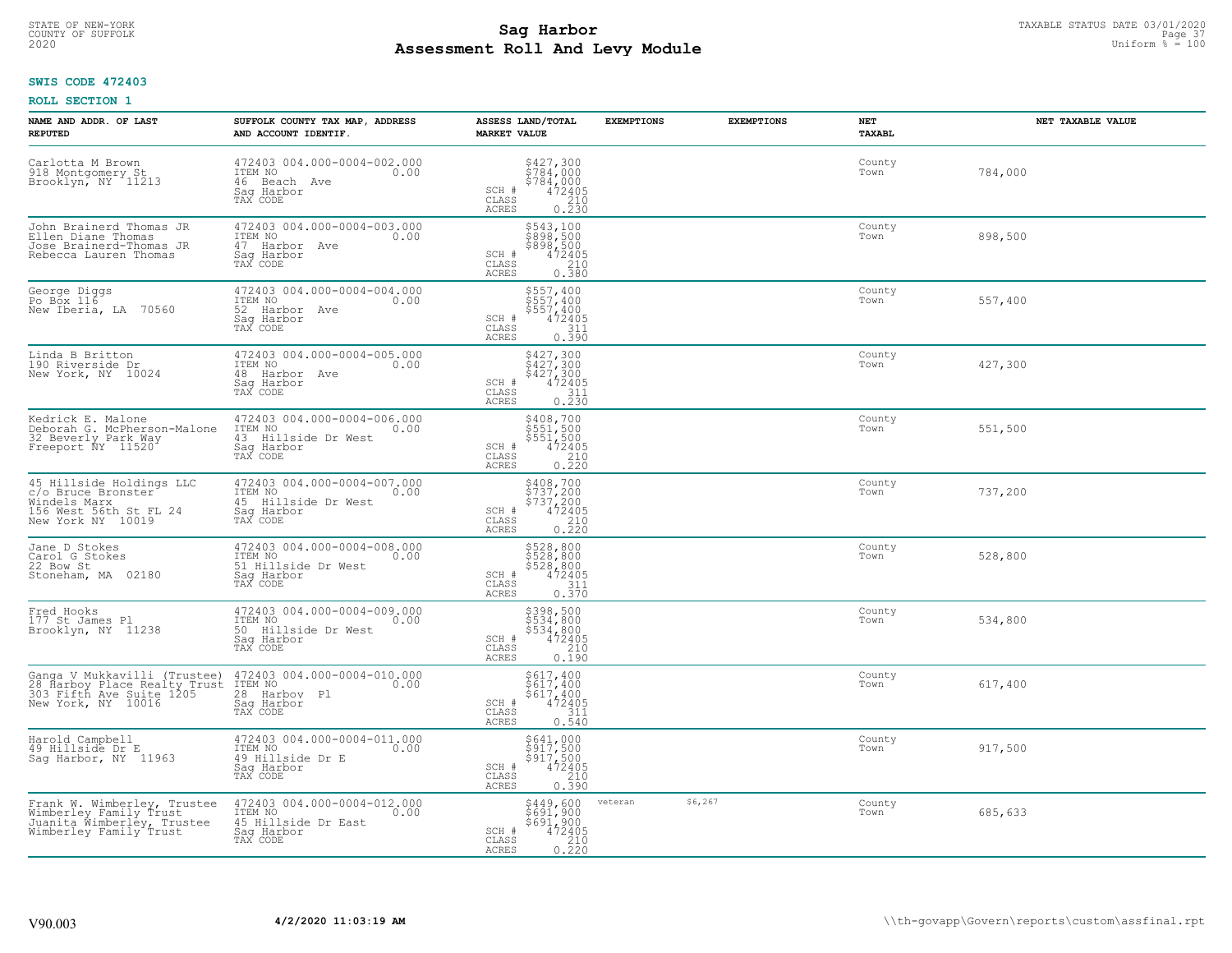# TAXABLE STATUS DATE 03/01/2020<br>COUNTY OF SUFFOLK Page 37 COUNTY OF SUFFOLK Page 37 **Assessment Roll And Levy Module** 2020 Uniform % = 100

## **SWIS CODE 472403**

| NAME AND ADDR. OF LAST<br><b>REPUTED</b>                                                                       | SUFFOLK COUNTY TAX MAP, ADDRESS<br>AND ACCOUNT IDENTIF.                                         | ASSESS LAND/TOTAL<br><b>MARKET VALUE</b>                                                                                               | <b>EXEMPTIONS</b>  | <b>EXEMPTIONS</b> | <b>NET</b><br><b>TAXABL</b> | NET TAXABLE VALUE |
|----------------------------------------------------------------------------------------------------------------|-------------------------------------------------------------------------------------------------|----------------------------------------------------------------------------------------------------------------------------------------|--------------------|-------------------|-----------------------------|-------------------|
| Carlotta M Brown<br>918 Montgomery St<br>Brooklyn, NY 11213                                                    | 472403 004.000-0004-002.000<br>ITEM NO<br>0.00<br>46 Beach Ave<br>Saq Harbor<br>TAX CODE        | $$78427, 300$<br>$$784, 000$<br>$$784, 000$<br>$$472405$<br>$$210$<br>SCH #<br>CLASS<br><b>ACRES</b><br>0.230                          |                    |                   | County<br>Town              | 784,000           |
| John Brainerd Thomas JR<br>Ellen Diane Thomas<br>Jose Brainerd-Thomas JR<br>Rebecca Lauren Thomas              | 472403 004.000-0004-003.000<br>ITEM NO<br>0.00<br>47 Harbor Ave<br>Saq Harbor<br>TAX CODE       | \$543,100<br>\$898,500<br>\$898,500<br>472405<br>SCH #<br>CLASS<br>210<br>0.380<br>ACRES                                               |                    |                   | County<br>Town              | 898,500           |
| George Diggs<br>Po Box 116<br>New Iberia, LA 70560                                                             | 472403 004.000-0004-004.000<br>ITEM NO<br>0.00<br>52<br>Harbor Ave<br>Saq Harbor<br>TAX CODE    | \$557,400<br>$$557,400$<br>$$557,400$<br>$\begin{smallmatrix} 472405\ 472405\ 311\ 0.390 \end{smallmatrix}$<br>SCH #<br>CLASS<br>ACRES |                    |                   | County<br>Town              | 557,400           |
| Linda B Britton<br>190 Riverside Dr<br>New York, NY 10024                                                      | 472403 004.000-0004-005.000<br>ITEM NO<br>0.00<br>48 Harbor Ave<br>Saq Harbor<br>TAX CODE       | $\begin{array}{c} 5427,300 \\ 5427,300 \\ 5427,300 \\ 472405 \\ 311 \\ 0.230 \end{array}$<br>SCH #<br>CLASS<br>ACRES                   |                    |                   | County<br>Town              | 427,300           |
| Kedrick E. Malone<br>Deborah G. McPherson-Malone<br>32 Beverly Park Way<br>Freeport NY 11520                   | 472403 004.000-0004-006.000<br>ITEM NO<br>0.00<br>43 Hillside Dr West<br>Saq Harbor<br>TAX CODE | \$408,700<br>$5551,5005551,5004724050.220$<br>SCH #<br>CLASS<br>ACRES                                                                  |                    |                   | County<br>Town              | 551,500           |
| 45 Hillside Holdings LLC<br>c/o Bruce Bronster<br>Windels Marx<br>156 West 56th St FL 24<br>New York NY 10019  | 472403 004.000-0004-007.000<br>ITEM NO<br>0.00<br>45 Hillside Dr West<br>Sag Harbor<br>TAX CODE | \$408,700<br>\$737,200<br>\$737,200<br>472405<br>SCH #<br>CLASS<br>$\begin{array}{c} 210 \\ 0.220 \end{array}$<br><b>ACRES</b>         |                    |                   | County<br>Town              | 737,200           |
| Jane D Stokes<br>Carol G Stokes<br>22 Bow St<br>Stoneham, MA 02180                                             | 472403 004.000-0004-008.000<br>ITEM NO<br>0.00<br>51 Hillside Dr West<br>Saq Harbor<br>TAX CODE | \$528,800<br>\$528,800<br>\$528,800<br>\$472405<br>SCH #<br>$\begin{array}{c} 311 \\ 0.370 \end{array}$<br>CLASS<br>ACRES              |                    |                   | County<br>Town              | 528,800           |
| Fred Hooks<br>177 St James Pl<br>Brooklyn, NY 11238                                                            | 472403 004.000-0004-009.000<br>TTEM NO 0.00<br>50 Hillside Dr West<br>Saq Harbor<br>TAX CODE    | \$398,500<br>\$534,800<br>\$534,800<br>\$534,800<br>\$72405<br>\$710<br>\$710<br>\$190<br>SCH #<br>CLASS<br>ACRES                      |                    |                   | County<br>Town              | 534,800           |
| Ganga V Mukkavilli (Trustee)<br>28 Harboy Place Realty Trust<br>303 Fifth Ave Suite 1205<br>New York, NY 10016 | 472403 004.000-0004-010.000<br>0.00 0.00<br>28 Harbov Pl<br>Saq Harbor<br>TAX CODE              | $5617,400$<br>$5617,400$<br>$5617,400$<br>$472405$<br>$311$<br>SCH #<br>$\mathtt{CLASS}$<br><b>ACRES</b><br>0.540                      |                    |                   | County<br>Town              | 617,400           |
| Harold Campbell<br>49 Hillside Dr E<br>Sag Harbor, NY 11963                                                    | 472403 004.000-0004-011.000<br>ITEM NO<br>0.00<br>49 Hillside Dr E<br>Saq Harbor<br>TAX CODE    | \$641,000<br>\$917,500<br>\$917,500<br>472405<br>SCH #<br>$\begin{array}{c} 210 \\ 0.390 \end{array}$<br>CLASS<br><b>ACRES</b>         |                    |                   | County<br>Town              | 917,500           |
| Frank W. Wimberley, Trustee<br>Wimberley Family Trust<br>Juanita Wimberley, Trustee<br>Wimberley Family Trust  | 472403 004.000-0004-012.000<br>ITEM NO<br>0.00<br>45 Hillside Dr East<br>Saq Harbor<br>TAX CODE | \$449,600<br>\$691,900<br>\$691,900<br>$\begin{array}{r} 472405 \\ 210 \\ 0.220 \end{array}$<br>SCH #<br>CLASS<br>ACRES                | \$6,267<br>veteran |                   | County<br>Town              | 685,633           |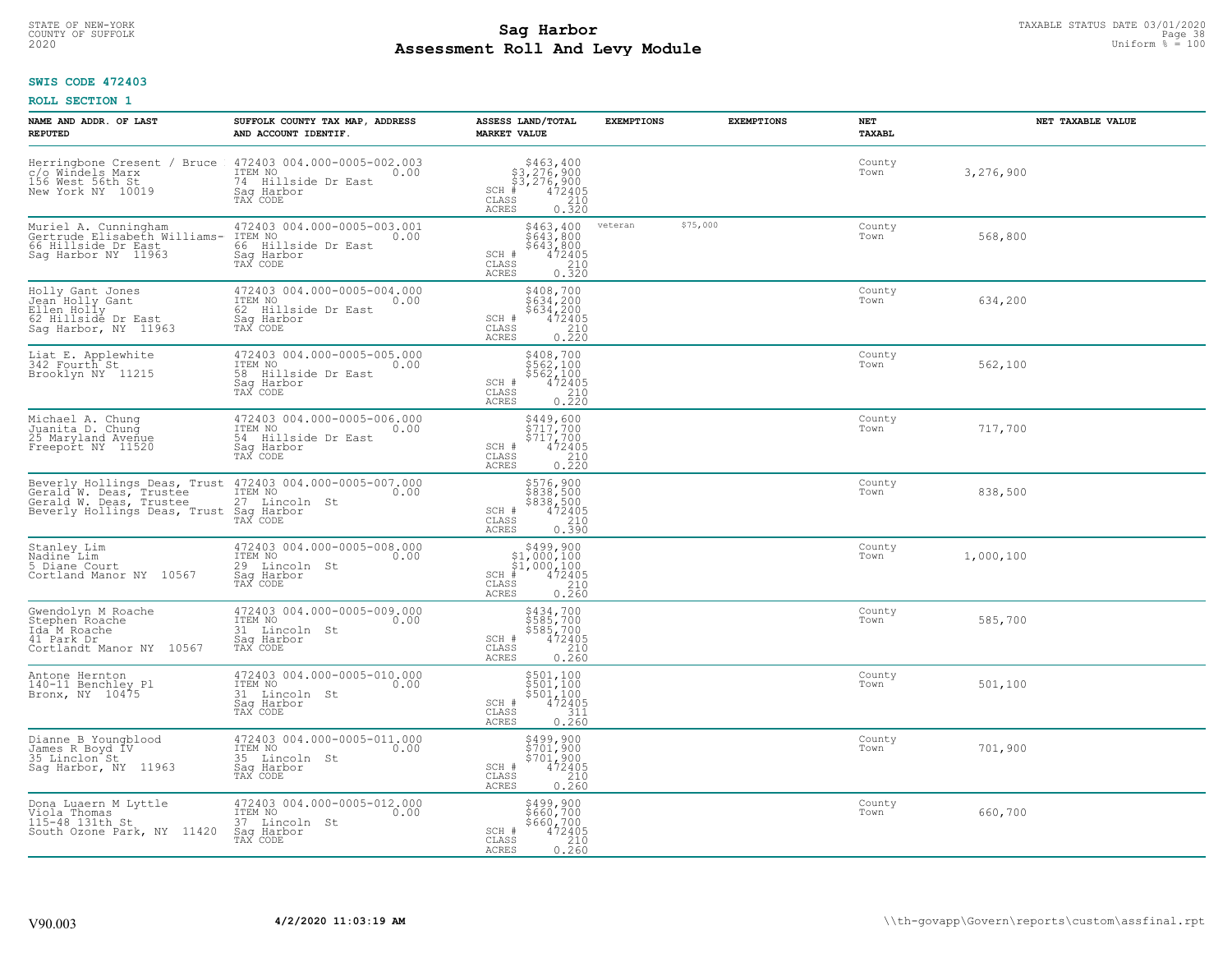# TAXABLE STATUS DATE 03/01/2020<br>COUNTY OF SUFFOLK Page 38 COUNTY OF SUFFOLK Page 38 **Assessment Roll And Levy Module** 2020 Uniform % = 100

## **SWIS CODE 472403**

| NAME AND ADDR. OF LAST<br><b>REPUTED</b>                                                                    | SUFFOLK COUNTY TAX MAP, ADDRESS<br>AND ACCOUNT IDENTIF.                                         | ASSESS LAND/TOTAL<br><b>MARKET VALUE</b>                                                                                           | <b>EXEMPTIONS</b>   | <b>EXEMPTIONS</b><br><b>NET</b><br><b>TAXABL</b> | NET TAXABLE VALUE |
|-------------------------------------------------------------------------------------------------------------|-------------------------------------------------------------------------------------------------|------------------------------------------------------------------------------------------------------------------------------------|---------------------|--------------------------------------------------|-------------------|
| Herringbone Cresent / Bruce<br>c/o Windels Marx<br>156 West 56th St<br>New York NY 10019                    | 472403 004.000-0005-002.003<br>ITEM NO<br>0.00<br>74 Hillside Dr East<br>Saq Harbor<br>TAX CODE | $$463, 400$<br>$$3, 276, 900$<br>$$3, 276, 900$<br>$472405$<br>$$210$<br>$$210$<br>$SCH$ #<br>CLASS<br><b>ACRES</b><br>0.320       |                     | County<br>Town                                   | 3,276,900         |
| Muriel A. Cunningham<br>Gertrude Elisabeth Williams-<br>66 Hillside Dr East<br>Sag Harbor NY 11963          | 472403 004.000-0005-003.001<br>ITEM NO<br>0.00<br>66 Hillside Dr East<br>Saq Harbor<br>TAX CODE | \$463,400<br>\$643,800<br>\$643,800<br>472405<br>SCH #<br>CLASS<br>$\frac{210}{0.320}$<br><b>ACRES</b>                             | \$75,000<br>veteran | County<br>Town                                   | 568,800           |
| Holly Gant Jones<br>Jean Holly Gant<br>Ellen Holly<br>62 Hillside Dr East<br>Sag Harbor, NY 11963           | 472403 004.000-0005-004.000<br>ITEM NO<br>0.00<br>62 Hillside Dr East<br>Saq Harbor<br>TAX CODE | \$408,700<br>\$634,200<br>\$634,200<br>$\begin{array}{r} 472405 \\ 210 \\ 220 \end{array}$<br>SCH #<br>CLASS<br>ACRES              |                     | County<br>Town                                   | 634,200           |
| Liat E. Applewhite<br>342 Fourth St<br>Brooklyn NY 11215                                                    | 472403 004.000-0005-005.000<br>ITEM NO<br>0.00<br>58 Hillside Dr East<br>Saq Harbor<br>TAX CODE | \$408,700<br>\$562,100<br>\$562,100<br>SCH #<br>$72405$<br>$0.220$<br>0.220<br>CLASS<br>ACRES                                      |                     | County<br>Town                                   | 562,100           |
| Michael A. Chung<br>Juanita D. Chung<br>25 Maryland Avenue<br>Freeport NY 11520                             | 472403 004.000-0005-006.000<br>ITEM NO<br>0.00<br>54 Hillside Dr East<br>Saq Harbor<br>TAX CODE | \$449,600<br>$\begin{array}{c}\n 317,700 \\  5717,700 \\  472405 \\  0.220\n \end{array}$<br>SCH #<br>CLASS<br><b>ACRES</b>        |                     | County<br>Town                                   | 717,700           |
| Gerald W. Deas, Trustee<br>Beverly Hollings Deas, Trust                                                     | 27 Lincoln St<br>Saq Harbor<br>TAX CODE                                                         | \$576,900<br>\$838,500<br>\$838,500<br>\$838,500<br>SCH #<br>$\begin{array}{c} 210 \\ 0.390 \end{array}$<br>CLASS<br><b>ACRES</b>  |                     | County<br>Town                                   | 838,500           |
| Stanley Lim<br>Nadine Lim<br>5 Diane Court<br>Cortland Manor NY 10567                                       | 472403 004.000-0005-008.000<br>ITEM NO<br>0.00<br>29 Lincoln St<br>Saq Harbor<br>TAX CODE       | $$499,900$<br>$$1,000,100$<br>$$1,000,100$<br>$*1,000,100$<br>$*1,0472405$<br>$SCH$ #<br>$\mathtt{CLASS}$<br>0.260<br><b>ACRES</b> |                     | County<br>Town                                   | 1,000,100         |
| Gwendolyn M Roache<br>Stephen <sup>-</sup> Roache<br>Ida M Roache<br>41 Park Dr<br>Cortlandt Manor NY 10567 | 472403 004.000-0005-009.000<br>ITEM NO<br>31 Lincoln St<br>Saq Harbor<br>TAX CODE               | \$434,700<br>\$585,700<br>\$585,700<br>472405<br>SCH #<br>CLASS<br>210<br><b>ACRES</b><br>0.260                                    |                     | County<br>Town                                   | 585,700           |
| Antone Hernton<br>140-11 Benchley Pl<br>Bronx, NY 10475                                                     | 472403 004.000-0005-010.000<br>TTEM NO 0.00<br>31 Lincoln St<br>Saq Harbor<br>TAX CODE          | \$501,100<br>\$501,100<br>\$501,100<br>SCH #<br>472405<br>CLASS<br>$\frac{311}{0.260}$<br><b>ACRES</b>                             |                     | County<br>Town                                   | 501,100           |
| Dianne B Youngblood<br>James R Boyd IV<br>35 Linclon St<br>Sag Harbor, NY 11963                             | 472403 004.000-0005-011.000<br>ITEM NO<br>0.00<br>35 Lincoln St<br>Sag Harbor<br>TAX CODE       | $$499,900$<br>$$701,900$<br>$$701,900$<br>$472405$<br>210<br>SCH #<br>CLASS<br><b>ACRES</b><br>0.260                               |                     | County<br>Town                                   | 701,900           |
| Dona Luaern M Lyttle<br>Viola Thomas<br>115-48 131th St<br>South Ozone Park, NY 11420                       | 472403 004.000-0005-012.000<br>ITEM NO<br>0.00<br>37 Lincoln St<br>Saq Harbor<br>TAX CODE       | \$499,900<br>\$660,700<br>\$660,700<br>SCH #<br>472405<br>$\begin{array}{c} 210 \\ 0.260 \end{array}$<br>CLASS<br><b>ACRES</b>     |                     | County<br>Town                                   | 660,700           |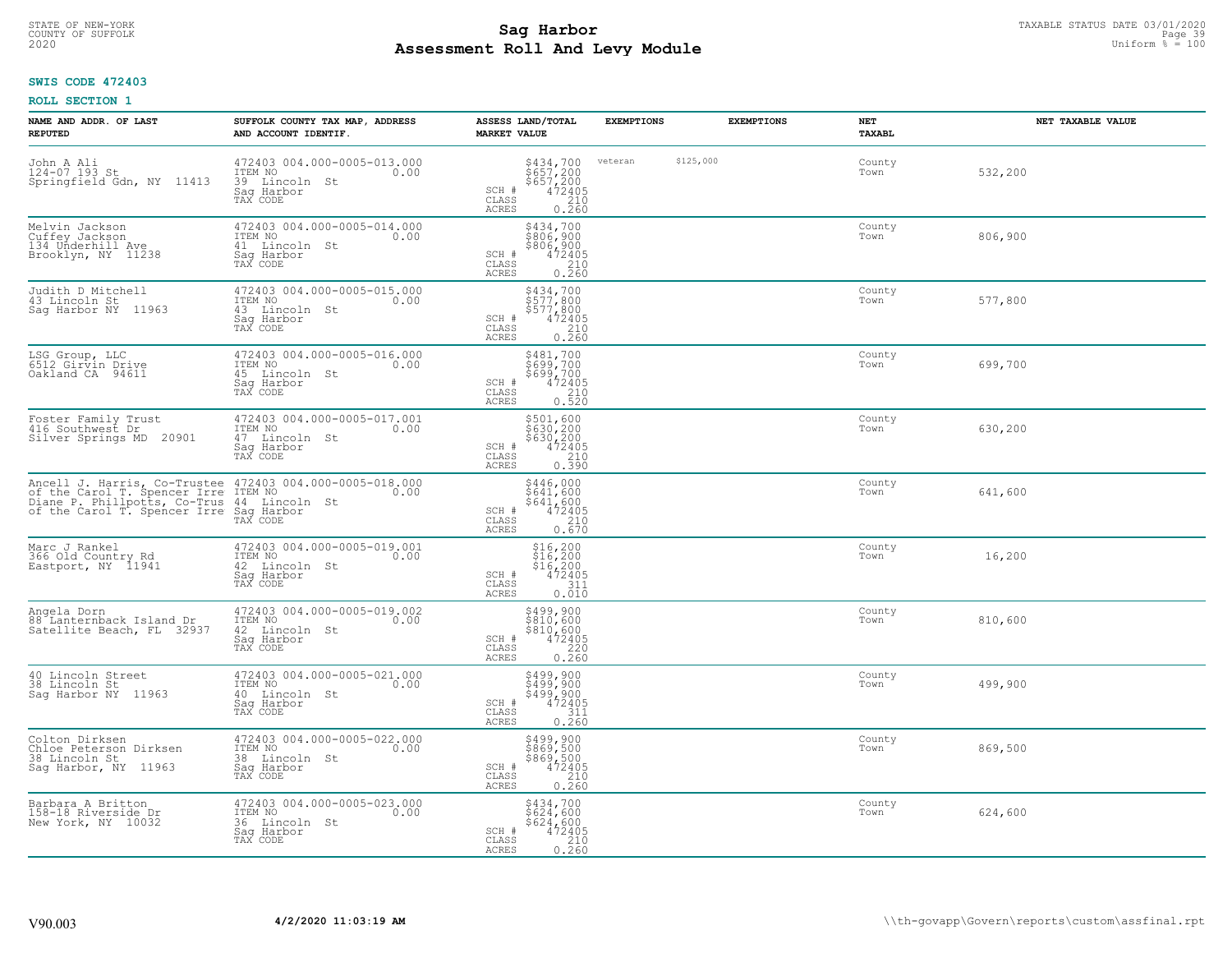# TAXABLE STATUS DATE 03/01/2020<br>COUNTY OF SUFFOLK Page 39 Page 39 **Assessment Roll And Levy Module** 2020 Uniform % = 100

## **SWIS CODE 472403**

| NAME AND ADDR. OF LAST<br><b>REPUTED</b>                                                                                                                                               | SUFFOLK COUNTY TAX MAP, ADDRESS<br>AND ACCOUNT IDENTIF.                                        | ASSESS LAND/TOTAL<br><b>MARKET VALUE</b>                                                                                      | <b>EXEMPTIONS</b>    | <b>EXEMPTIONS</b> | <b>NET</b><br><b>TAXABL</b> | NET TAXABLE VALUE |
|----------------------------------------------------------------------------------------------------------------------------------------------------------------------------------------|------------------------------------------------------------------------------------------------|-------------------------------------------------------------------------------------------------------------------------------|----------------------|-------------------|-----------------------------|-------------------|
| John A Ali<br>124-07 193 St<br>Springfield Gdn, NY 11413                                                                                                                               | 472403 004.000-0005-013.000<br>ITEM NO<br>0.00<br>39 Lincoln<br>- St<br>Saq Harbor<br>TAX CODE | $$434,700$<br>$$657,200$<br>$$657,200$<br>$472405$<br>$$210$<br>SCH #<br>CLASS<br>ACRES<br>0.260                              | \$125,000<br>veteran |                   | County<br>Town              | 532,200           |
| Melvin Jackson<br>Cuffey Jackson<br>134 Underhill Ave<br>Brooklyn, NY 11238                                                                                                            | 472403 004.000-0005-014.000<br>ITEM NO<br>0.00<br>41 Lincoln St<br>Saq Harbor<br>TAX CODE      | \$434,700<br>\$806,900<br>\$806,900<br>472405<br>SCH #<br>CLASS<br>$\begin{array}{c} 210 \\ 0.260 \end{array}$<br>ACRES       |                      |                   | County<br>Town              | 806,900           |
| Judith D Mitchell<br>43 Lincoln St<br>Saq Harbor NY 11963                                                                                                                              | 472403 004.000-0005-015.000<br>ITEM NO<br>0.00<br>43 Lincoln St<br>Sag Harbor<br>TAX CODE      | \$434,700<br>\$577,800<br>\$577,800<br>SCH #<br>$472405$<br>$210$<br>0.260<br>CLASS<br>ACRES                                  |                      |                   | County<br>Town              | 577,800           |
| LSG Group, LLC<br>6512 Girvin Drive<br>Oakland CA 94611                                                                                                                                | 472403 004.000-0005-016.000<br>TTEM NO 0.00<br>45 Lincoln St<br>Saq Harbor<br>TAX CODE         | \$481,700<br>\$699,700<br>\$699/700<br>SCH #<br>$\begin{array}{r} 472405 \\ 210 \\ 0.520 \end{array}$<br>CLASS<br>ACRES       |                      |                   | County<br>Town              | 699,700           |
| Foster Family Trust<br>416 Southwest Dr<br>Silver Springs MD 20901                                                                                                                     | 472403 004.000-0005-017.001<br>ITEM NO<br>0.00<br>47 Lincoln St<br>Saq Harbor<br>TAX CODE      | \$501,600<br>\$630, 200<br>\$630, 200<br>\$630, 200<br>472405<br>0.390<br>SCH #<br>CLASS<br>ACRES                             |                      |                   | County<br>Town              | 630,200           |
| Ancell J. Harris, Co-Trustee 472403 004.000-0005-018.000<br>of the Carol T. Spencer Irre ITEM NO Diane P. Phillpotts, Co-Trus 44 Lincoln St<br>of the Carol T. Spencer Irre Say Harbor | TAX CODE                                                                                       | $\begin{array}{c} 5446,000 \\ 5641,600 \\ 5641,600 \\ 472405 \\ 210 \\ 0.670 \end{array}$<br>SCH #<br>CLASS<br>ACRES          |                      |                   | County<br>Town              | 641,600           |
| Marc J Rankel<br>366 Old Country Rd<br>Eastport, NY 11941                                                                                                                              | 472403 004.000-0005-019.001<br>ITEM NO<br>0.00<br>42 Lincoln St<br>Saq Harbor<br>TAX CODE      | $$16, 200$<br>$$16, 200$<br>$$16, 200$<br>$472405$<br>$$311$<br>SCH #<br>CLASS<br>0.010<br>ACRES                              |                      |                   | County<br>Town              | 16,200            |
| Angela Dorn<br>88 Lanternback Island Dr<br>Satellite Beach, FL 32937                                                                                                                   | 472403 004.000-0005-019.002<br>ITEM NO<br>0.00<br>42 Lincoln St<br>Saq Harbor<br>TAX CODE      | $\begin{array}{r} 5499,900 \\ 5810,600 \\ 5810,600 \\ 472405 \\ 0.220 \\ \hline 0.260 \end{array}$<br>SCH #<br>CLASS<br>ACRES |                      |                   | County<br>Town              | 810,600           |
| 40 Lincoln Street<br>38 Lincoln St<br>Saq Harbor NY 11963                                                                                                                              | 472403 004.000-0005-021.000<br>ITEM NO 0.00<br>40 Lincoln St<br>Saq Harbor<br>TAX CODE         | \$499,900<br>\$499,900<br>\$499,900<br>\$472405<br>\$111<br>\$1110.260<br>SCH #<br>CLASS<br>ACRES                             |                      |                   | County<br>Town              | 499,900           |
| Colton Dirksen<br>Chloe Peterson Dirksen<br>38 Lincoln St<br>Sag Harbor, NY 11963                                                                                                      | 472403 004.000-0005-022.000<br>ITEM NO<br>0.00<br>38 Lincoln St<br>Sag Harbor<br>TAX CODE      | $$499, 900$<br>$$869, 500$<br>$$869, 500$<br>$472405$<br>$$210$<br>SCH #<br>CLASS<br>0.260<br><b>ACRES</b>                    |                      |                   | County<br>Town              | 869,500           |
| Barbara A Britton<br>158-18 Riverside Dr<br>New York, NY 10032                                                                                                                         | 472403 004.000-0005-023.000<br>ITEM NO<br>0.00<br>36 Lincoln St<br>Sag Harbor<br>TAX CODE      | \$434,700<br>\$624,600<br>\$624,600<br>SCH #<br>472405<br>$\begin{array}{c} 210 \\ 0.260 \end{array}$<br>CLASS<br>ACRES       |                      |                   | County<br>Town              | 624,600           |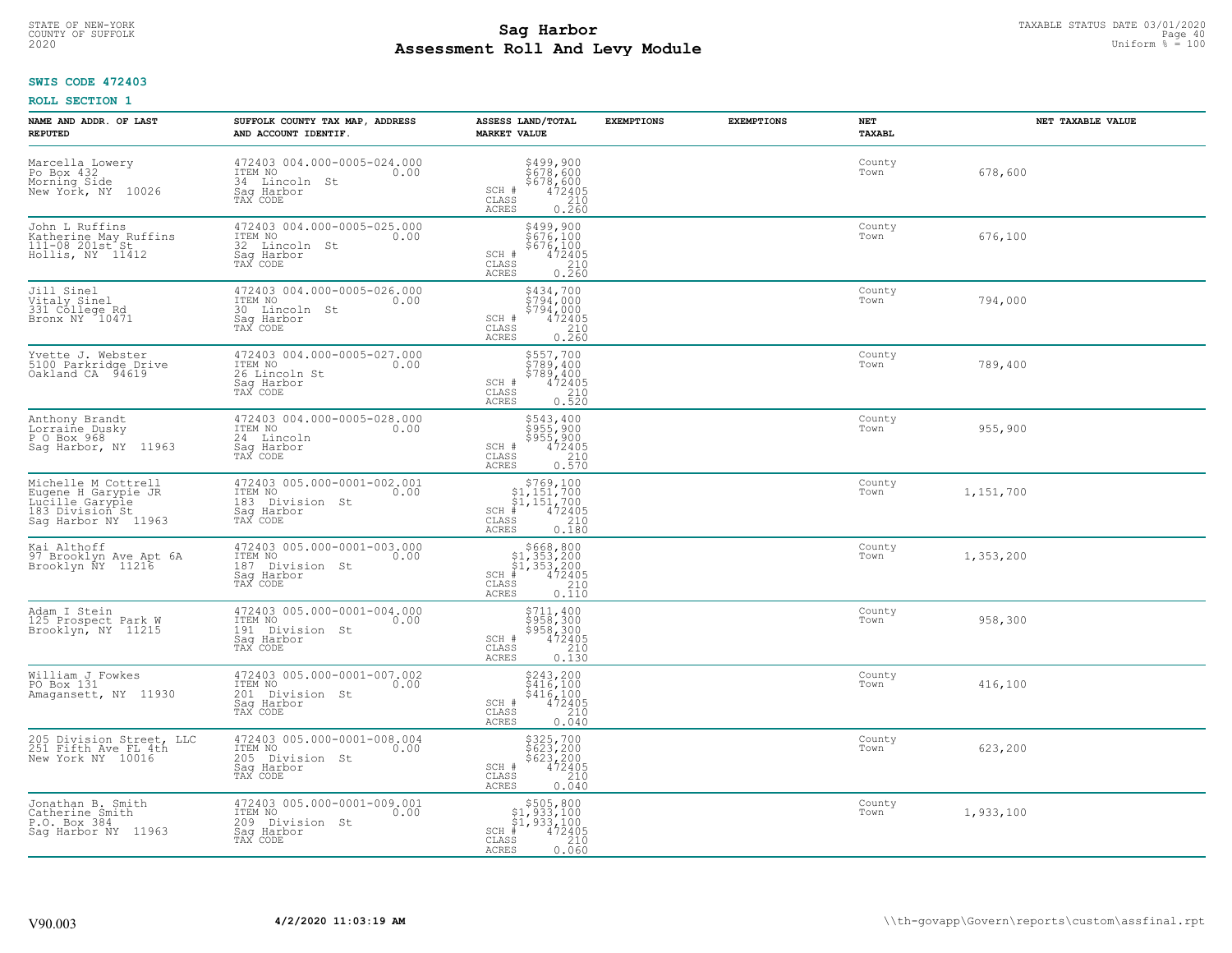# TAXABLE STATUS DATE 03/01/2020<br>COUNTY OF SUFFOLK Page 40 **Assessment Roll And Levy Module** 2020 Uniform % = 100

## **SWIS CODE 472403**

| NAME AND ADDR. OF LAST<br><b>REPUTED</b>                                                                | SUFFOLK COUNTY TAX MAP, ADDRESS<br>AND ACCOUNT IDENTIF.                                        | ASSESS LAND/TOTAL<br><b>MARKET VALUE</b>                                                                                                             | <b>EXEMPTIONS</b> | <b>EXEMPTIONS</b> | NET<br>TAXABL  | NET TAXABLE VALUE |
|---------------------------------------------------------------------------------------------------------|------------------------------------------------------------------------------------------------|------------------------------------------------------------------------------------------------------------------------------------------------------|-------------------|-------------------|----------------|-------------------|
| Marcella Lowery<br>Po Box 432<br>Morning Side<br>New York, NY 10026                                     | 472403 004.000-0005-024.000<br>ITEM NO<br>0.00<br>34 Lincoln<br>St<br>Saq Harbor<br>TAX CODE   | \$499,900<br>\$678,600<br>\$678,600<br>\$678,600<br>SCH #<br>CLASS<br>210<br><b>ACRES</b><br>0.260                                                   |                   |                   | County<br>Town | 678,600           |
| John L Ruffins<br>Katherine May Ruffins<br>111-08 201st St<br>Hollis, NY 11412                          | 472403 004.000-0005-025.000<br>ITEM NO<br>0.00<br>32 Lincoln St<br>Saq Harbor<br>TAX CODE      | \$499,900<br>\$676,100<br>\$676,100<br>SCH #<br>472405<br>CLASS<br>$\begin{array}{c} 210 \\ 0.260 \end{array}$<br><b>ACRES</b>                       |                   |                   | County<br>Town | 676,100           |
| Jill Sinel<br>Vitaly Sinel<br>331 College Rd<br>Bronx NY 10471                                          | 472403 004.000-0005-026.000<br>ITEM NO<br>0.00<br>30<br>Lincoln St<br>Sag Harbor<br>TAX CODE   | \$434,700<br>\$794,000<br>5794,000<br>$SCH$ #<br>472405<br>CLASS<br>$\begin{array}{c} 210 \\ 0.260 \end{array}$<br><b>ACRES</b>                      |                   |                   | County<br>Town | 794,000           |
| Yvette J. Webster<br>5100 Parkridge Drive<br>Oakland CA 94619                                           | 472403 004.000-0005-027.000<br>ITEM NO<br>0.00<br>26 Lincoln St<br>Sag Harbor<br>TAX CODE      | \$557,700<br>\$789,400<br>\$789,400<br>SCH #<br>472405<br>CLASS<br>210<br><b>ACRES</b><br>0.520                                                      |                   |                   | County<br>Town | 789,400           |
| Anthony Brandt<br>Lorraine Dusky<br>P O Box 968<br>Sag Harbor, NY 11963                                 | 472403 004.000-0005-028.000<br>ITEM NO<br>0.00<br>24 Lincoln<br>Saq Harbor<br>TAX CODE         | \$543,400<br>\$955,900<br>\$955,900<br>472405<br>SCH #<br>CLASS<br>210<br><b>ACRES</b><br>0.570                                                      |                   |                   | County<br>Town | 955,900           |
| Michelle M Cottrell<br>Eugene H Garypie JR<br>Lucille Garyple<br>183 Division St<br>Sag Harbor NY 11963 | 472403 005.000-0001-002.001<br>ITEM NO<br>0.00<br>183 Division St<br>Saq Harbor<br>TAX CODE    | $$769,100$<br>$$1,151,700$<br>$$1,151,700$<br>$*$ 472405<br>SCH #<br>210<br>CLASS<br>0.180<br><b>ACRES</b>                                           |                   |                   | County<br>Town | 1,151,700         |
| Kai Althoff<br>97 Brooklyn Ave Apt 6A<br>Brooklyn NY 11216                                              | 472403 005.000-0001-003.000<br>ITEM NO<br>0.00<br>187<br>Division St<br>Saq Harbor<br>TAX CODE | $$668, 800$<br>$$1, 353, 200$<br>$$1, 353, 200$<br>$*1, 353, 200$<br>$SCH$ #<br>CLASS<br>$\begin{array}{c} 210 \\ 0.110 \end{array}$<br><b>ACRES</b> |                   |                   | County<br>Town | 1,353,200         |
| Adam I Stein<br>125 Prospect Park W<br>Brooklyn, NY 11215                                               | 472403 005.000-0001-004.000<br>ITEM NO<br>0.00<br>191 Division St<br>Saq Harbor<br>TAX CODE    | \$711,400<br>\$958,300<br>\$958,300<br>472405<br>$SCH$ #<br>CLASS<br>210<br><b>ACRES</b><br>0.130                                                    |                   |                   | County<br>Town | 958,300           |
| William J Fowkes<br>PO Box 131<br>Amagansett, NY 11930                                                  | 472403 005.000-0001-007.002<br>TTEM NO 0.00<br>201 Division St<br>Saq Harbor<br>TAX CODE       | \$243,200<br>\$416,100<br>\$416,100<br>472405<br>SCH #<br>CLASS<br>210<br>ACRES<br>0.040                                                             |                   |                   | County<br>Town | 416,100           |
| 205 Division Street,<br>251 Fifth Ave FL 4th<br>Division Street, LLC<br>New York NY 10016               | 472403 005.000-0001-008.004<br>ITEM NO<br>0.00<br>205<br>Division St<br>Saq Harbor<br>TAX CODE | \$325,700<br>\$623,200<br>\$623,200<br>472405<br>SCH #<br>210<br>CLASS<br><b>ACRES</b><br>0.040                                                      |                   |                   | County<br>Town | 623,200           |
| Jonathan B. Smith<br>Catherine Smith<br>P.O. Box 384<br>Sag Harbor NY 11963                             | 472403 005.000-0001-009.001<br>ITEM NO<br>0.00<br>209 Division St<br>Sag Harbor<br>TAX CODE    | \$505,800<br>\$1,933,100<br>\$1,933,100<br>$SCH$ #<br>472405<br>CLASS<br>210<br><b>ACRES</b><br>0.060                                                |                   |                   | County<br>Town | 1,933,100         |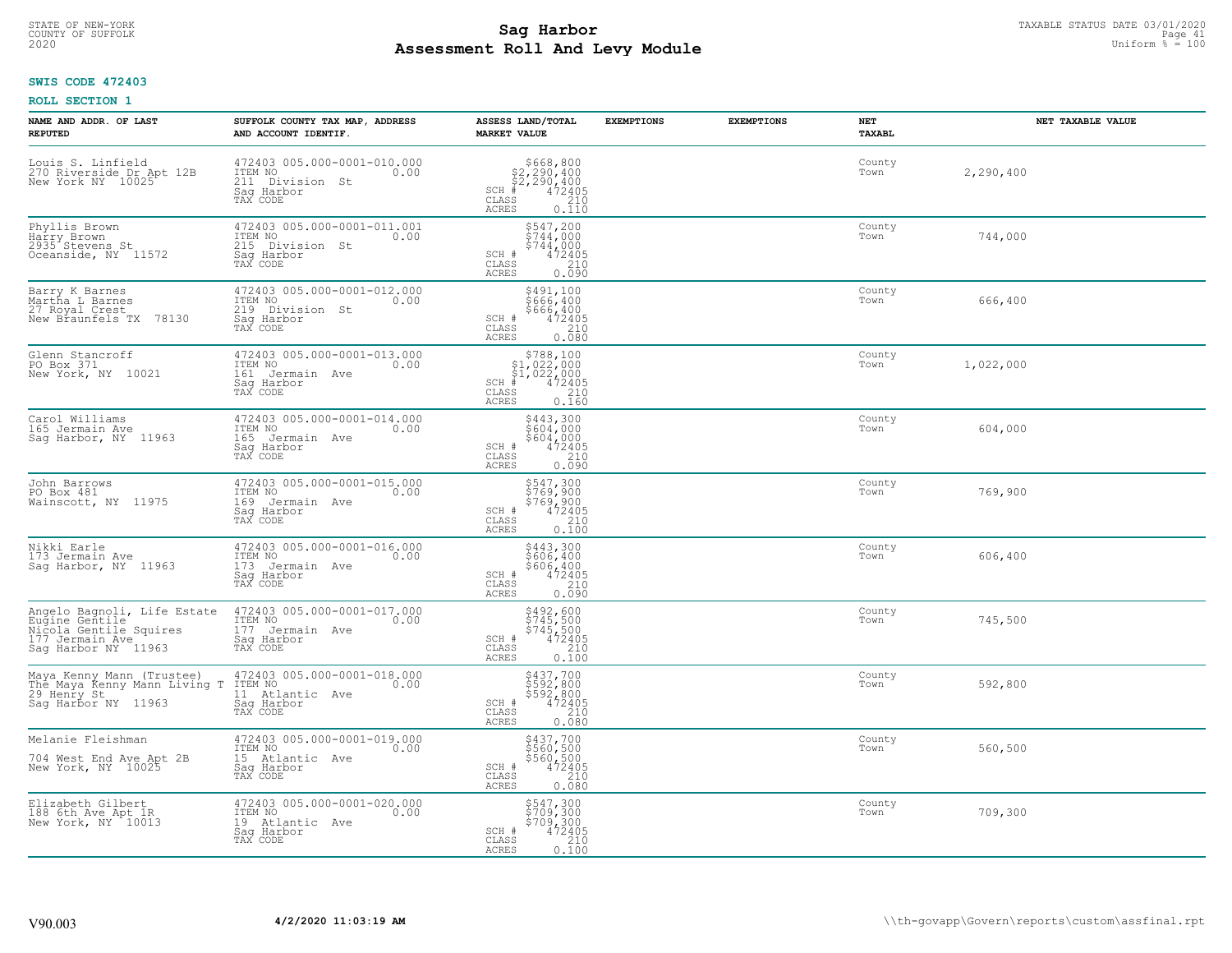# STATE OF NEW-YORK TAXABLE STATUS DATE 03/01/2020<br>COUNTY OF SUFFOLK Page 41 COUNTY OF SUFFOLK Page 41 **Assessment Roll And Levy Module** 2020 Uniform % = 100

## **SWIS CODE 472403**

| NAME AND ADDR. OF LAST<br><b>REPUTED</b>                                                                          | SUFFOLK COUNTY TAX MAP, ADDRESS<br>AND ACCOUNT IDENTIF.                                     | ASSESS LAND/TOTAL<br><b>MARKET VALUE</b>                                                                                                                                                            | <b>EXEMPTIONS</b> | <b>EXEMPTIONS</b> | NET<br><b>TAXABL</b> | NET TAXABLE VALUE |
|-------------------------------------------------------------------------------------------------------------------|---------------------------------------------------------------------------------------------|-----------------------------------------------------------------------------------------------------------------------------------------------------------------------------------------------------|-------------------|-------------------|----------------------|-------------------|
| Louis S. Linfield<br>270 Riverside Dr Apt 12B<br>New York NY 10025                                                | 472403 005.000-0001-010.000<br>ITEM NO<br>0.00<br>211 Division St<br>Saq Harbor<br>TAX CODE | $$668, 800$<br>$$2, 290, 400$<br>$$2, 290, 400$<br>$472405$<br>$$2, 290$<br>$$210$<br>$SCH$ #<br>CLASS<br>ACRES<br>0.110                                                                            |                   |                   | County<br>Town       | 2,290,400         |
| Phyllis Brown<br>Harry Brown<br>2935 Stevens St<br>Oceanside, NY 11572                                            | 472403 005.000-0001-011.001<br>ITEM NO<br>0.00<br>215 Division St<br>Saq Harbor<br>TAX CODE | $$547, 200$<br>$$744, 000$<br>$$744, 000$<br>472405<br>SCH #<br>CLASS<br>210<br>0.090<br>ACRES                                                                                                      |                   |                   | County<br>Town       | 744,000           |
| Barry K Barnes<br>Martha L Barnes<br>27 Royal Crest<br>New Braunfels TX 78130                                     | 472403 005.000-0001-012.000<br>ITEM NO<br>0.00<br>219 Division St<br>Saq Harbor<br>TAX CODE | \$491,100<br>5666, 400<br>\$666, 400<br>SCH #<br>$\frac{472405}{210}$<br>CLASS<br>0.080<br>ACRES                                                                                                    |                   |                   | County<br>Town       | 666,400           |
| Glenn Stancroff<br>PO Box 371<br>New York, NY 10021                                                               | 472403 005.000-0001-013.000<br>TTEM NO 0.00<br>161 Jermain Ave<br>Saq Harbor<br>TAX CODE    | $\begin{array}{r}  \  \  \, 5788, 100\\  \  \  51, 022, 000\\  \  \  51, 022, 000\\  \  \  \, 472405\\  \  \  \, 55\\  \  \  \, 0.160\\  \  \  \, 0.160\\ \end{array}$<br>$SCH$ #<br>CLASS<br>ACRES |                   |                   | County<br>Town       | 1,022,000         |
| Carol Williams<br>165 Jermain Ave<br>Sag Harbor, NY 11963                                                         | 472403 005.000-0001-014.000<br>ITEM NO<br>0.00<br>165 Jermain Ave<br>Saq Harbor<br>TAX CODE | \$443,300<br>3604,000<br>$$604,0004724052100.090$<br>SCH #<br>$\mathtt{CLASS}$<br>ACRES                                                                                                             |                   |                   | County<br>Town       | 604,000           |
| John Barrows<br>PO Box 481<br>Wainscott, NY 11975                                                                 | 472403 005.000-0001-015.000<br>ITEM NO<br>0.00<br>169 Jermain Ave<br>Saq Harbor<br>TAX CODE | $$769, 300$<br>$$769, 900$<br>$$769, 900$<br>$472405$<br>$$210$<br>SCH #<br>CLASS<br>0.100<br>ACRES                                                                                                 |                   |                   | County<br>Town       | 769,900           |
| Nikki Earle<br>173 Jermain Ave<br>Sag Harbor, NY 11963                                                            | 472403 005.000-0001-016.000<br>ITEM NO<br>0.00<br>173 Jermain Ave<br>Saq Harbor<br>TAX CODE | \$443,300<br>\$606,400<br>\$606,400<br>472405<br>210<br>SCH #<br>CLASS<br>0.090<br>ACRES                                                                                                            |                   |                   | County<br>Town       | 606,400           |
| Angelo Bagnoli, Life Estate<br>Eugine Gentile<br>Nicola Gentile Squires<br>177 Jermain Ave<br>Sag Harbor NY 11963 | 472403 005.000-0001-017.000<br>TTEM NO 0.00<br>177 Jermain Ave<br>Sag Harbor<br>TAX CODE    | $$492,600$<br>$$745,500$<br>$$745,500$<br>$472405$<br>2100<br>SCH #<br>CLASS<br>ACRES<br>0.100                                                                                                      |                   |                   | County<br>Town       | 745,500           |
| Maya Kenny Mann (Trustee)<br>The Maya Kenny Mann Living T<br>29 Henry St<br>Saq Harbor NY 11963                   | 472403 005.000-0001-018.000<br>ITEM NO 0.00<br>11 Atlantic Ave<br>Saq Harbor<br>TAX CODE    | \$437,700<br>\$592,800<br>\$592,800<br>\$592,800<br>\$72405<br>\$72405<br>\$60.080<br>SCH #<br>CLASS<br>ACRES                                                                                       |                   |                   | County<br>Town       | 592,800           |
| Melanie Fleishman<br>704 West End Ave Apt 2B<br>New York, NY 10025                                                | 472403 005.000-0001-019.000<br>ITEM NO<br>0.00<br>15 Atlantic Ave<br>Sag Harbor<br>TAX CODE | $$560, 500$560, 500$560, 500$472405210210$<br>SCH #<br>CLASS<br><b>ACRES</b><br>0.080                                                                                                               |                   |                   | County<br>Town       | 560,500           |
| Elizabeth Gilbert<br>188 6th Ave Apt IR<br>New York, NY 10013                                                     | 472403 005.000-0001-020.000<br>ITEM NO<br>0.00<br>19 Atlantic Ave<br>Sag Harbor<br>TAX CODE | \$547,300<br>\$709,300<br>\$709,300<br>SCH #<br>472405<br>210<br>CLASS<br>ACRES<br>0.100                                                                                                            |                   |                   | County<br>Town       | 709,300           |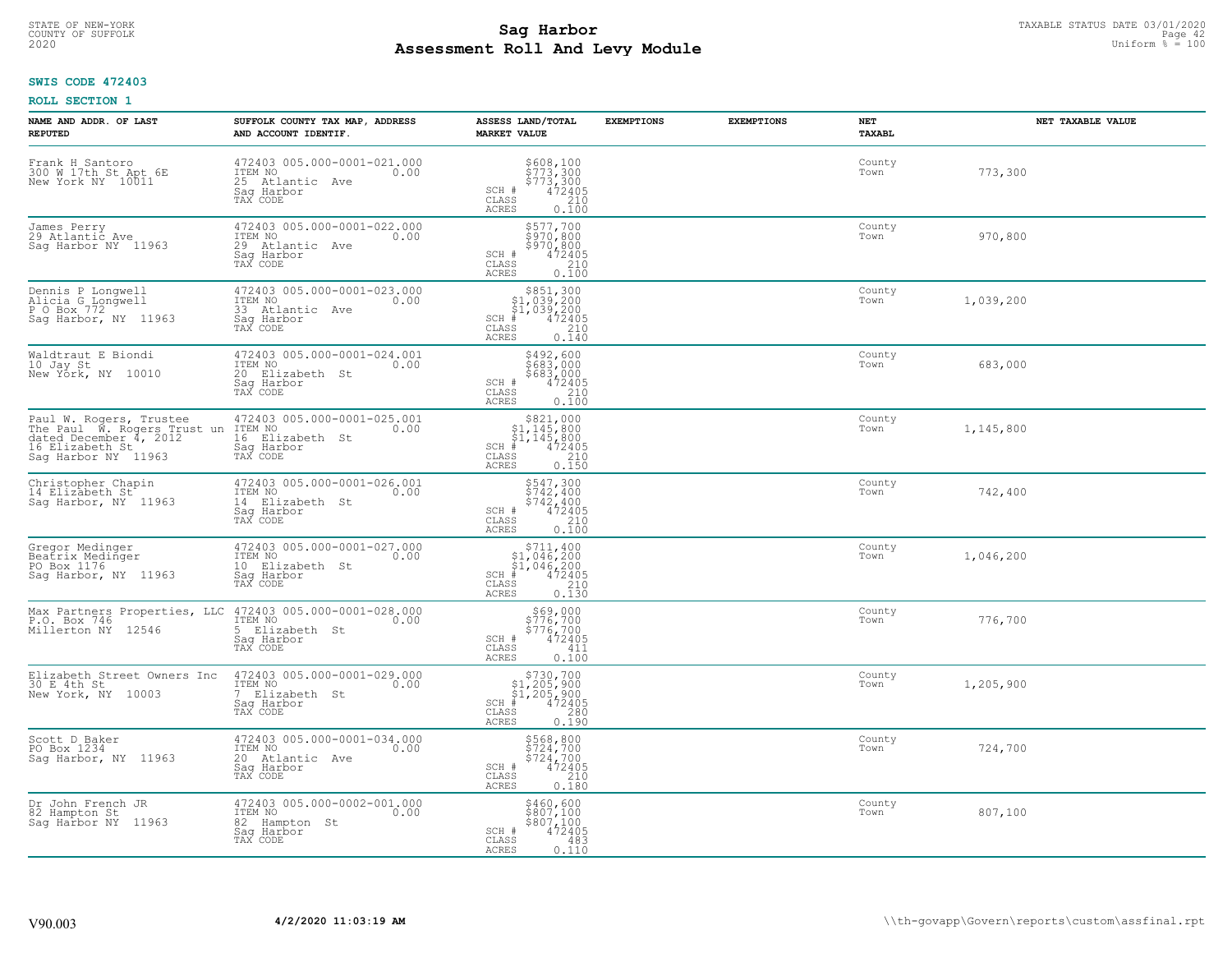# TAXABLE STATUS DATE 03/01/2020<br>COUNTY OF SUFFOLK Page 42 COUNTY OF SUFFOLK Page 42 **Assessment Roll And Levy Module** 2020 Uniform % = 100

## **SWIS CODE 472403**

| NAME AND ADDR. OF LAST<br><b>REPUTED</b>                                                                                                         | SUFFOLK COUNTY TAX MAP, ADDRESS<br>AND ACCOUNT IDENTIF.                                                                 | ASSESS LAND/TOTAL<br><b>MARKET VALUE</b>                                                                                                            | <b>EXEMPTIONS</b> | <b>EXEMPTIONS</b> | NET<br>TAXABL  | NET TAXABLE VALUE |
|--------------------------------------------------------------------------------------------------------------------------------------------------|-------------------------------------------------------------------------------------------------------------------------|-----------------------------------------------------------------------------------------------------------------------------------------------------|-------------------|-------------------|----------------|-------------------|
| Frank H Santoro<br>300 W 17th St Apt 6E<br>New York NY 10011                                                                                     | 472403 005.000-0001-021.000<br>ITEM NO<br>0.00<br>25 Atlantic Ave<br>Saq Harbor<br>TAX CODE                             | \$608,100<br>\$773,300<br>\$773,300<br>472405<br>210<br>SCH #<br>CLASS<br>ACRES<br>0.100                                                            |                   |                   | County<br>Town | 773,300           |
| James Perry<br>29 Atlantic Ave<br>Sag Harbor NY 11963                                                                                            | 472403 005.000-0001-022.000<br>ITEM NO<br>0.00<br>29 Atlantic Ave<br>Saq Harbor<br>TAX CODE                             | \$577,700<br>\$970,800<br>\$970,800<br>\$970,800<br>472405<br>0.100<br>SCH #<br>CLASS<br>ACRES                                                      |                   |                   | County<br>Town | 970,800           |
| Dennis P Longwell<br>Alicia G_Longwell<br>P O Box 772<br>Sag Harbor, NY 11963                                                                    | 472403 005.000-0001-023.000<br>ITEM NO<br>0.00<br>33 Atlantic Ave<br>Sag Harbor<br>TAX CODE                             | \$851,300<br>$$1,039,200$<br>$$1,039,200$<br>$*$ 472405<br>$$2,00$<br>$$2,10$<br>$SCH$ #<br>$\mathtt{CLASS}$<br>ACRES<br>0.140                      |                   |                   | County<br>Town | 1,039,200         |
| Waldtraut E Biondi<br>10 Jay St<br>New York, NY 10010                                                                                            | 472403 005.000-0001-024.001<br>ITEM NO<br>0.00<br>20 Elizabeth St<br>Saq Harbor<br>TAX CODE                             | \$492,600<br>5683,000<br>\$683,000<br>SCH #<br>$\begin{array}{r} 472405 \\ 210 \end{array}$<br>CLASS<br>ACRES<br>0.100                              |                   |                   | County<br>Town | 683,000           |
| Paul W. Rogers, Trustee 472403<br>The Paul W. Rogers Trust un ITEM NO<br>dated December 4, 2012 16 Eli<br>16 Elizabeth St<br>Sag Harbor NY 11963 | 472403 005.000-0001-025.001<br>0.00<br>16 Elizabeth St<br>Saq Harbor<br>TAX CODE                                        | \$821,000<br>\$1,145,800<br>$\begin{array}{r} 51,145,800 \\ * & 472405 \\ * & 210 \\ * & 210 \\ * & 0.150 \end{array}$<br>$SCH$ #<br>CLASS<br>ACRES |                   |                   | County<br>Town | 1,145,800         |
| Christopher Chapin<br>14 Elizabeth St <sup>-</sup><br>Sag Harbor, NY 11963                                                                       | 472403 005.000-0001-026.001<br>ITEM NO<br>0.00<br>14 Elizabeth St<br>Sag Harbor<br>TAX CODE                             | $\begin{array}{c} 5547,300 \\ 5742,400 \\ 5742,400 \\ 472405 \\ 210 \end{array}$<br>SCH #<br>CLASS<br>0.100<br>ACRES                                |                   |                   | County<br>Town | 742,400           |
| Gregor Medinger<br>Beatrix Medinger<br>PO Box 1176<br>Saq Harbor, NY 11963                                                                       | 472403 005.000-0001-027.000<br>ITEM NO 0.00<br>10 Elizabeth St<br>Sag Harbor<br>TAX CODE                                | \$711,400<br>$$1,046,200$<br>$$1,046,200$<br>$*$ 472405<br>$SCH$ #<br>210<br>CLASS<br>0.130<br>ACRES                                                |                   |                   | County<br>Town | 1,046,200         |
| P.O. Box 746<br>Millerton NY 12546                                                                                                               | Max Partners Properties, LLC 472403 005.000-0001-028.000<br>ITEM NO<br>0.00<br>5 Elizabeth St<br>Saq Harbor<br>TAX CODE | \$69,000<br>\$776,700<br>\$776,700<br>\$72405<br>SCH #<br>$\mathtt{CLASS}$<br>411<br>ACRES<br>0.100                                                 |                   |                   | County<br>Town | 776,700           |
| Elizabeth Street Owners Inc<br>30 E 4th St<br>New York, NY 10003                                                                                 | 472403 005.000-0001-029.000<br>ITEM NO<br>0.00<br>7 Elizabeth St<br>Saq Harbor<br>TAX CODE                              | $$730,700$<br>$$1,205,900$<br>$$1,205,900$<br>$*$ 472405<br>SCH #<br>CLASS<br>$\frac{280}{0.190}$<br><b>ACRES</b>                                   |                   |                   | County<br>Town | 1,205,900         |
| Scott D Baker<br>PO Box 1234<br>Sag Harbor, NY 11963                                                                                             | 472403 005.000-0001-034.000<br>ITEM NO<br>0.00<br>20 Atlantic Ave<br>Saq Harbor<br>TAX CODE                             | \$568,800<br>\$724,700<br>\$724,700<br>SCH #<br>$\frac{472405}{210}$<br>CLASS<br><b>ACRES</b><br>0.180                                              |                   |                   | County<br>Town | 724,700           |
| Dr John French JR<br>82 Hampton St<br>Sag Harbor NY 11963                                                                                        | 472403 005.000-0002-001.000<br>ITEM NO<br>0.00<br>82 Hampton St<br>Sag Harbor<br>TAX CODE                               | \$460,600<br>\$807,100<br>\$807,100<br>SCH #<br>472405<br>CLASS<br>483<br>ACRES<br>0.110                                                            |                   |                   | County<br>Town | 807,100           |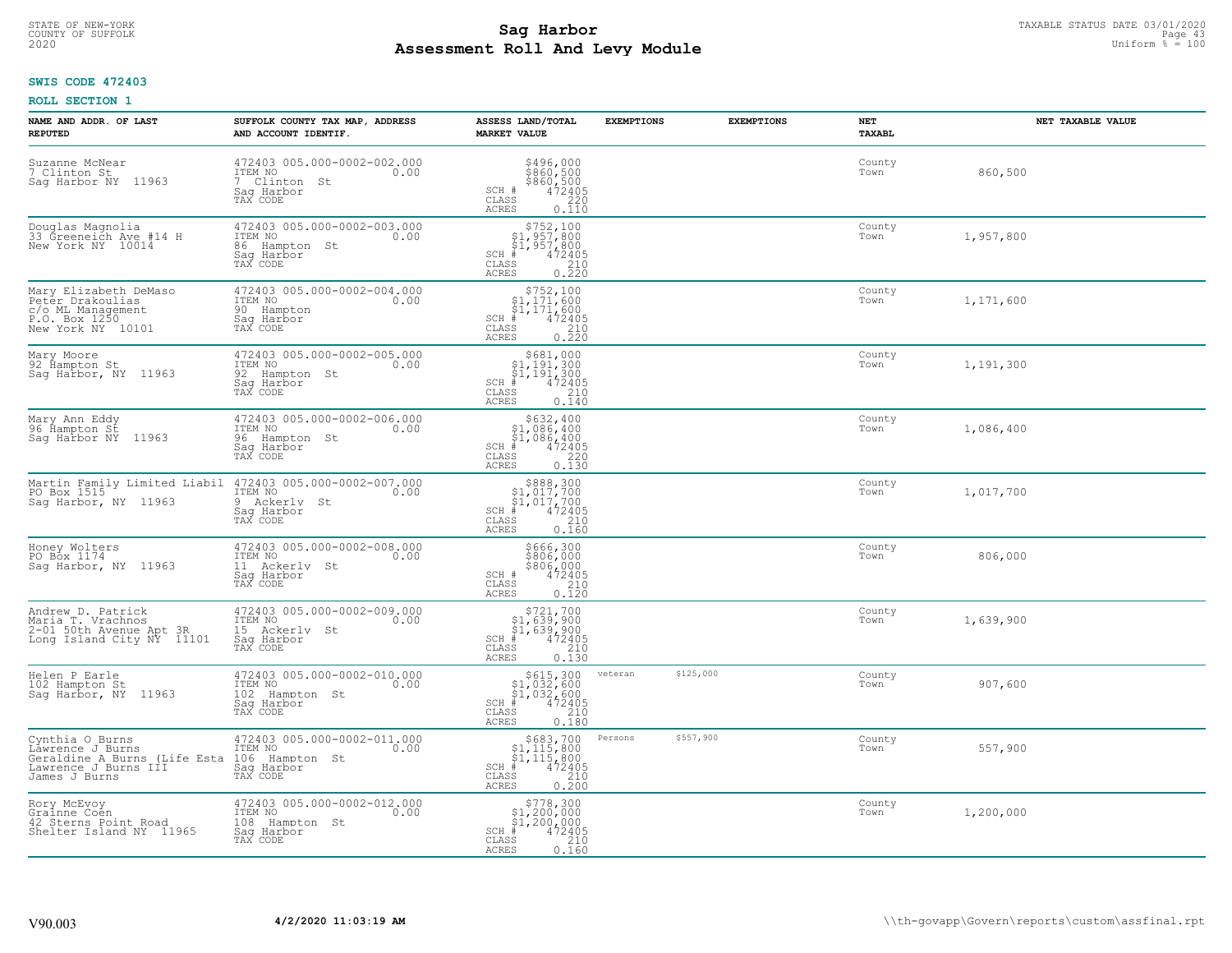# TAXABLE STATUS DATE 03/01/2020<br>COUNTY OF SUFFOLK Page 43 **Assessment Roll And Levy Module** 2020 Uniform % = 100

## **SWIS CODE 472403**

| NAME AND ADDR. OF LAST<br><b>REPUTED</b>                                                                     | SUFFOLK COUNTY TAX MAP, ADDRESS<br>AND ACCOUNT IDENTIF.                                                                                      | ASSESS LAND/TOTAL<br><b>MARKET VALUE</b>                                                                                                                  | <b>EXEMPTIONS</b>    | <b>EXEMPTIONS</b> | NET<br><b>TAXABL</b> | NET TAXABLE VALUE |
|--------------------------------------------------------------------------------------------------------------|----------------------------------------------------------------------------------------------------------------------------------------------|-----------------------------------------------------------------------------------------------------------------------------------------------------------|----------------------|-------------------|----------------------|-------------------|
| Suzanne McNear<br>7 Clinton St<br>11963<br>Saq Harbor NY                                                     | 472403 005.000-0002-002.000<br>ITEM NO<br>0.00<br>7 Clinton<br>St<br>Saq Harbor<br>TAX CODE                                                  | $$496,000$<br>$$860,500$<br>$$860,500$<br>$472405$<br>$$220$<br>SCH #<br>CLASS<br><b>ACRES</b><br>0.110                                                   |                      |                   | County<br>Town       | 860,500           |
| Douglas Magnolia<br>33 Greeneich Ave #14 H<br>New York NY 10014                                              | 472403 005.000-0002-003.000<br>ITEM NO<br>0.00<br>86 Hampton St<br>Sag Harbor<br>TAX CODE                                                    | $$752,100$<br>$$1,957,800$<br>$$1,957,800$<br>$*1,957,800$<br>$*12405$<br>$SCH$ #<br>CLASS<br>$\begin{array}{c} 210 \\ 0.220 \end{array}$<br><b>ACRES</b> |                      |                   | County<br>Town       | 1,957,800         |
| Mary Elizabeth DeMaso<br>Peter Drakoulias<br>c/o ML Management<br>P.O. Box 1250<br>New York NY 10101         | 472403 005.000-0002-004.000<br>ITEM NO<br>0.00<br>90 Hampton<br>Sag Harbor<br>TAX CODE                                                       | $$752,100$<br>$$1,171,600$<br>$$1,171,600$<br>$*1,171,600$<br>$*1,472405$<br>$SCH$ #<br>CLASS<br>$\frac{210}{0.220}$<br>ACRES                             |                      |                   | County<br>Town       | 1,171,600         |
| Mary Moore<br>92 Hampton St<br>Saq Harbor, NY 11963                                                          | 472403 005.000-0002-005.000<br>ITEM NO<br>0.00<br>92 Hampton St<br>Saq Harbor<br>TAX CODE                                                    | $$681,000$<br>$$1,191,300$<br>$$1,191,300$<br>$*1$<br>$472405$<br>$SCH$ #<br>CLASS<br>210<br><b>ACRES</b><br>0.140                                        |                      |                   | County<br>Town       | 1,191,300         |
| Mary Ann Eddy<br>96 Hampton St<br>Saq Harbor NY<br>11963                                                     | 472403 005.000-0002-006.000<br>ITEM NO<br>0.00<br>96 Hampton St<br>Saq Harbor<br>TAX CODE                                                    | $$632,400$<br>$$1,086,400$<br>$$1,086,400$<br>$*1,086,400$<br>$*1,0472405$<br>$SCH$ #<br>CLASS<br>220<br><b>ACRES</b><br>0.130                            |                      |                   | County<br>Town       | 1,086,400         |
| Saq Harbor, NY 11963                                                                                         | Martin Family Limited Liabil 472403 005.000-0002-007.000<br>PO Box 1515 [TEM NO 600 [TEM NO 600<br>9<br>Ackerly St<br>Saq Harbor<br>TAX CODE | $$888,300$<br>$$1,017,700$<br>$$1,017,700$<br>$*1$<br>$472405$<br>$SCH$ #<br>CLASS<br>210<br>0.160<br>ACRES                                               |                      |                   | County<br>Town       | 1,017,700         |
| Honey Wolters<br>PO Box 1174<br>Saq Harbor, NY 11963                                                         | 472403 005.000-0002-008.000<br>ITEM NO<br>0.00<br>11 Ackerly St<br>Sag Harbor<br>TAX CODE                                                    | \$666,300<br>\$806,000<br>\$806,000<br>472405<br>SCH #<br>CLASS<br>210<br><b>ACRES</b><br>0.120                                                           |                      |                   | County<br>Town       | 806,000           |
| Andrew D. Patrick<br>Maria T. Vrachnos<br>2-01 50th Avenue Apt 3R<br>Long Island City NY 11101               | 472403 005.000-0002-009.000<br>ITEM NO<br>0.00<br>15 Ackerly<br>St<br>Saq Harbor<br>TAX CODE                                                 | \$721,700<br>\$1,639,900<br>\$1,639,900<br>SCH<br>$\frac{472405}{210}$<br>CLASS<br><b>ACRES</b><br>0.130                                                  |                      |                   | County<br>Town       | 1,639,900         |
| Helen P Earle<br>102 Hampton St<br>Sag Harbor, NY 11963                                                      | 472403 005.000-0002-010.000<br>ITEM NO<br>0.00<br>102 Hampton St<br>Sag Harbor<br>TAX CODE                                                   | $$615,300$<br>$$1,032,600$<br>$$1,032,600$<br>$*$ 472405<br>$SCH$ #<br>CLASS<br>$\begin{array}{c} 210 \\ 0.180 \end{array}$<br>ACRES                      | \$125,000<br>veteran |                   | County<br>Town       | 907,600           |
| Cynthia O Burns<br>Lawrence J Burns<br>Geraldine A Burns (Life Esta<br>Lawrence J Burns III<br>James J Burns | 472403 005.000-0002-011.000<br>ITEM NO<br>0.00<br>106<br>Hampton St<br>Saq Harbor<br>TAX CODE                                                | $$683,700$<br>$$1,115,800$<br>$$1,115,800$<br>$*1,115,800$<br>$*1,472405$<br>SCH #<br>CLASS<br>0.210<br>ACRES                                             | \$557,900<br>Persons |                   | County<br>Town       | 557,900           |
| Rory McEvoy<br>Grainne Coen<br>42 Sterns Point Road<br>Shelter Island NY 11965                               | 472403 005.000-0002-012.000<br>ITEM NO<br>0.00<br>108 Hampton St<br>Sag Harbor<br>TAX CODE                                                   | $$778,300$<br>$$1,200,000$<br>$$1,200,000$<br>SCH #<br>472405<br>210<br>CLASS<br>ACRES<br>0.160                                                           |                      |                   | County<br>Town       | 1,200,000         |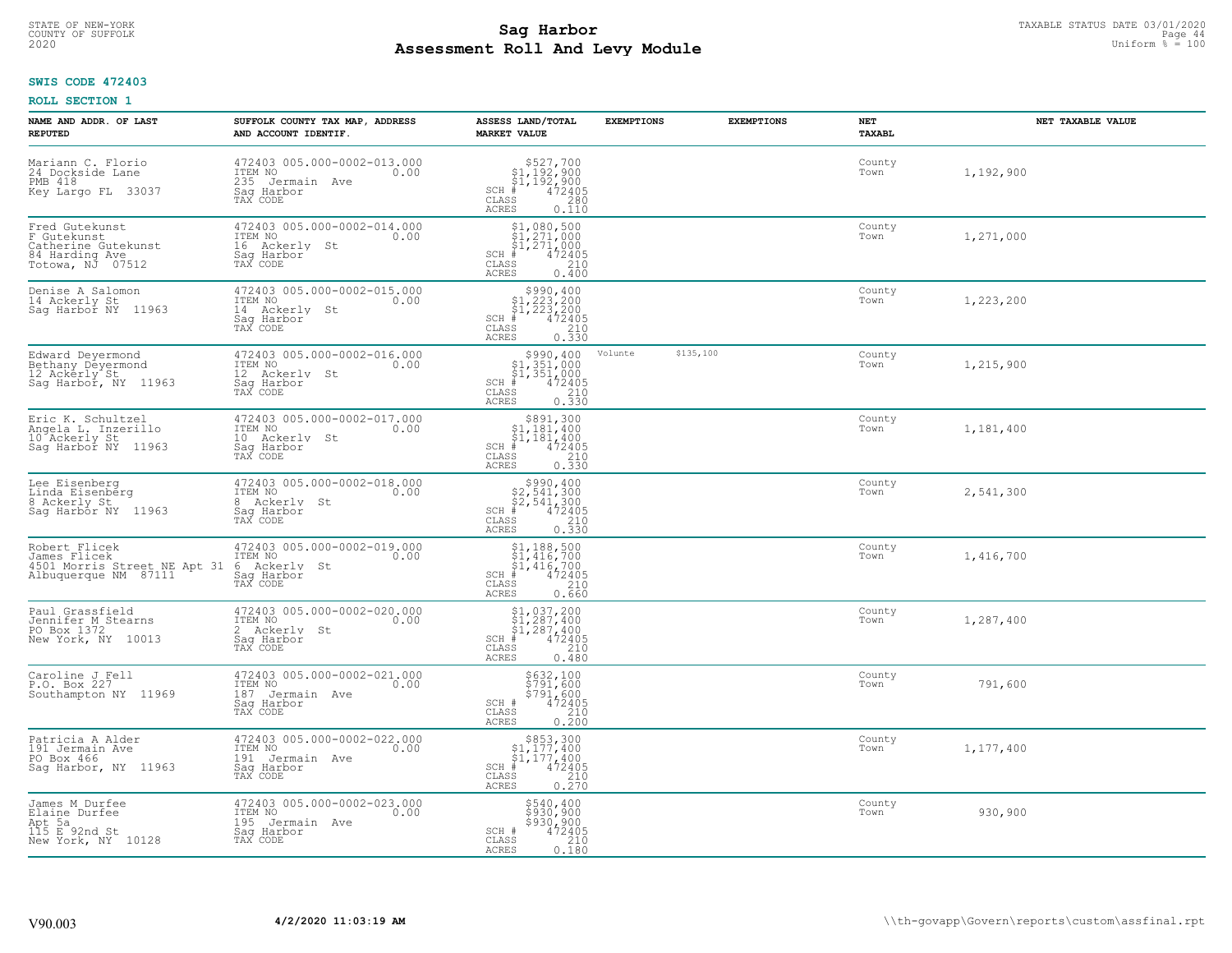# TAXABLE STATUS DATE 03/01/2020<br>COUNTY OF SUFFOLK Page 44 **Assessment Roll And Levy Module** 2020 Uniform % = 100

## **SWIS CODE 472403**

| NAME AND ADDR. OF LAST<br><b>REPUTED</b>                                                   | SUFFOLK COUNTY TAX MAP, ADDRESS<br>AND ACCOUNT IDENTIF.                                     | ASSESS LAND/TOTAL<br><b>MARKET VALUE</b>                                                                                                                                                                                                                                                                                                                                      | <b>EXEMPTIONS</b> | <b>EXEMPTIONS</b> | NET<br>TAXABL  | NET TAXABLE VALUE |
|--------------------------------------------------------------------------------------------|---------------------------------------------------------------------------------------------|-------------------------------------------------------------------------------------------------------------------------------------------------------------------------------------------------------------------------------------------------------------------------------------------------------------------------------------------------------------------------------|-------------------|-------------------|----------------|-------------------|
| Mariann C. Florio<br>24 Dockside Lane<br>PMB 418<br>Key Largo FL 33037                     | 472403 005.000-0002-013.000<br>ITEM NO<br>0.00<br>235 Jermain Ave<br>Saq Harbor<br>TAX CODE | $\begin{array}{r}  \  \  \, 527,700 \\  \  \, 51,192,900 \\  \  \, 51,192,900 \\  \  \  \, 472405 \\  \  \, 85 \\  \  \  \, 290 \\  \  \, 240 \\  \  \, 0 \\  \  \, 0 \\  \  \, 0 \\  \  \, 0 \\  \  \, 0 \\  \  \, 0 \\  \  \, 0 \\  \  \, 0 \\  \  \, 0 \\  \  \, 0 \\  \  \, 0 \\  \  \, 0 \\  \  \, 0 \\  \  \, 0 \\  \  \,$<br>$SCH$ #<br>CLASS<br><b>ACRES</b><br>0.110 |                   |                   | County<br>Town | 1,192,900         |
| Fred Gutekunst<br>F Gutekunst<br>Catherine Gutekunst<br>84 Harding Ave<br>Totowa, NJ 07512 | 472403 005.000-0002-014.000<br>ITEM NO<br>0.00<br>16 Ackerly St<br>Saq Harbor<br>TAX CODE   | $$1,080,500$<br>$$1,271,000$<br>$$1,271,000$<br>$$1,271,000$<br>$472405$<br>$SCH$ #<br>CLASS<br>210<br>ACRES<br>0.400                                                                                                                                                                                                                                                         |                   |                   | County<br>Town | 1,271,000         |
| Denise A Salomon<br>14 Ackerly St<br>Sag Harbor NY 11963                                   | 472403 005.000-0002-015.000<br>ITEM NO<br>0.00<br>14 Ackerly St<br>Sag Harbor<br>TAX CODE   | $\begin{array}{c} $990,400\n$1,223,200\n$1,223,200\n#2472405 \end{array}$<br>$SCH$ #<br>CLASS<br>$\frac{210}{0.330}$<br>ACRES                                                                                                                                                                                                                                                 |                   |                   | County<br>Town | 1,223,200         |
| Edward Deyermond<br>Bethany Deyermond<br>12 Ackerly St<br>Sag Harbor, NY 11963             | 472403 005.000-0002-016.000<br>ITEM NO<br>0.00<br>12 Ackerly St<br>Saq Harbor<br>TAX CODE   | \$990, 400<br>31,351,000<br>\$1,351,000<br>\$1,351,000<br>\$210<br>\$210<br>\$210<br>\$230<br>SCH #<br>CLASS<br>ACRES                                                                                                                                                                                                                                                         | Volunte           | \$135,100         | County<br>Town | 1,215,900         |
| Eric K. Schultzel<br>Angela L. Inzerillo<br>10 Ackerly St<br>Saq Harbor NY 11963           | 472403 005.000-0002-017.000<br>ITEM NO<br>0.00<br>10 Ackerly St<br>Saq Harbor<br>TAX CODE   | \$891,300<br>31, 181, 400<br>\$1, 181, 400<br>\$1, 181, 400<br>\$210<br>\$210<br>\$210<br>\$230<br>\$330<br>$SCH$ #<br>CLASS<br><b>ACRES</b>                                                                                                                                                                                                                                  |                   |                   | County<br>Town | 1,181,400         |
| Lee Eisenberg<br>Linda Eisenbérg<br>8 Ackerly St<br>Sag Harbor NY 11963                    | 472403 005.000-0002-018.000<br>ITEM NO<br>0.00<br>8 Ackerly St<br>Sag Harbor<br>TAX CODE    | $\begin{array}{r}  \  \  \, 5990,400 \\  \  \, 52,541,300 \\  \  \, 52,541,300 \\  \  \  \, 472405 \\  \  \  \, 85 \\  \  \  \, 85 \\  \  \  \, 0.330 \end{array}$<br>$SCH$ #<br>CLASS<br>ACRES                                                                                                                                                                               |                   |                   | County<br>Town | 2,541,300         |
| Robert Flicek<br>James Flicek<br>4501 Morris Street NE Apt 31<br>Albuquerque NM 87111      | 472403 005.000-0002-019.000<br>ITEM NO<br>0.00<br>6 Ackerly St<br>Saq Harbor<br>TAX CODE    | $$1, 188, 500$<br>$$1, 416, 700$<br>$$1, 416, 700$<br>$$472405$<br>$SCH$ #<br>$\mathtt{CLASS}$<br>210<br>0.660<br>ACRES                                                                                                                                                                                                                                                       |                   |                   | County<br>Town | 1,416,700         |
| Paul Grassfield<br>Jennifer M Stearns<br>PO Box 1372<br>New York, NY 10013                 | 472403 005.000-0002-020.000<br>TTEM NO 0.00<br>2 Ackerly St<br>Saq Harbor<br>TAX CODE       | $$1,037,200$<br>$$1,287,400$<br>$$1,287,400$<br>$$472405$<br>$SCH$ #<br>CLASS<br>210<br><b>ACRES</b><br>0.480                                                                                                                                                                                                                                                                 |                   |                   | County<br>Town | 1,287,400         |
| Caroline J Fell<br>P.O. Box 227<br>Southampton NY 11969                                    | 472403 005.000-0002-021.000<br>ITEM NO<br>0.00<br>187 Jermain Ave<br>Sag Harbor<br>TAX CODE | \$632,100<br>\$791,600<br>\$791,600<br>SCH #<br>472405<br>CLASS<br>0.210<br><b>ACRES</b>                                                                                                                                                                                                                                                                                      |                   |                   | County<br>Town | 791,600           |
| Patricia A Alder<br>191 Jermain Ave<br>PO Box 466<br>Sag Harbor, NY 11963                  | 472403 005.000-0002-022.000<br>ITEM NO<br>0.00<br>191 Jermain Ave<br>Sag Harbor<br>TAX CODE | $\begin{array}{r}  \  \  \,  \, 5853,300\\  \  \, 1,177,400\\  \  \, 51,177,400\\  \  \  \, 472405\\ \  \  \, 85\\  \  \  \, 210\\ \  \  \, 270\\ \end{array}$<br>SCH #<br>CLASS<br><b>ACRES</b>                                                                                                                                                                              |                   |                   | County<br>Town | 1,177,400         |
| James M Durfee<br>Elaine Durfee<br>Apt 5a<br>115 E 92nd St<br>New York, NY 10128           | 472403 005.000-0002-023.000<br>ITEM NO<br>0.00<br>195 Jermain Ave<br>Sag Harbor<br>TAX CODE | \$540,400<br>\$930,900<br>\$930,900<br>SCH #<br>472405<br>$\mathtt{CLASS}$<br>210<br><b>ACRES</b><br>0.180                                                                                                                                                                                                                                                                    |                   |                   | County<br>Town | 930,900           |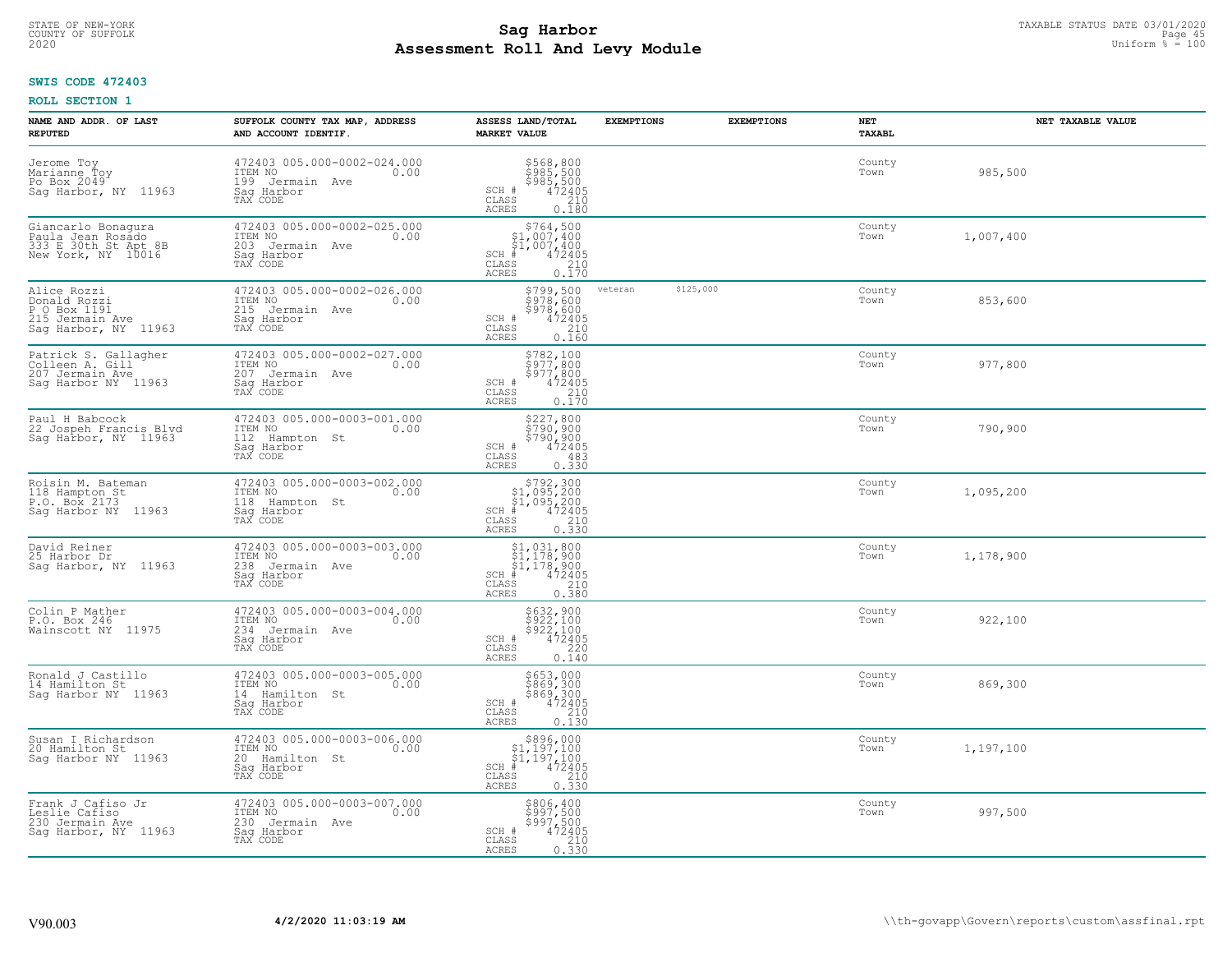# TAXABLE STATUS DATE 03/01/2020<br>COUNTY OF SUFFOLK Page 45 **Assessment Roll And Levy Module** 2020 Uniform % = 100

## **SWIS CODE 472403**

| NAME AND ADDR. OF LAST<br><b>REPUTED</b>                                               | SUFFOLK COUNTY TAX MAP, ADDRESS<br>AND ACCOUNT IDENTIF.                                        | ASSESS LAND/TOTAL<br><b>MARKET VALUE</b>                                                                                                                                                                                                                                                                                                      | <b>EXEMPTIONS</b> | <b>EXEMPTIONS</b> | NET<br><b>TAXABL</b> | NET TAXABLE VALUE |  |
|----------------------------------------------------------------------------------------|------------------------------------------------------------------------------------------------|-----------------------------------------------------------------------------------------------------------------------------------------------------------------------------------------------------------------------------------------------------------------------------------------------------------------------------------------------|-------------------|-------------------|----------------------|-------------------|--|
| Jerome Toy<br>Marianne Toy<br>Po Box 2049<br>Sag Harbor, NY 11963                      | 472403 005.000-0002-024.000<br>ITEM NO<br>0.00<br>199 Jermain Ave<br>Sag Harbor<br>TAX CODE    | \$568,800<br>\$985,500<br>\$985,500<br>\$472405<br>210<br>SCH #<br>CLASS<br><b>ACRES</b><br>0.180                                                                                                                                                                                                                                             |                   |                   | County<br>Town       | 985,500           |  |
| Giancarlo Bonaqura<br>Paula Jean Rosado<br>333 E 30th St Apt 8B<br>New York, NY 10016  | 472403 005.000-0002-025.000<br>ITEM NO<br>0.00<br>203 Jermain Ave<br>Sag Harbor<br>TAX CODE    | $$764,500$<br>$$1,007,400$<br>$$1,007,400$<br>$*$ 472405<br>$SCH$ #<br>CLASS<br>210<br><b>ACRES</b><br>0.170                                                                                                                                                                                                                                  |                   |                   | County<br>Town       | 1,007,400         |  |
| Alice Rozzi<br>Donald Rozzi<br>P O Box 1191<br>215 Jermain Ave<br>Sag Harbor, NY 11963 | 472403 005.000-0002-026.000<br>ITEM NO<br>0.00<br>215<br>Jermain Ave<br>Saq Harbor<br>TAX CODE | \$799,500<br>\$978,600<br>\$978,600<br>SCH #<br>$472405$<br>210<br>CLASS<br>0.160<br>ACRES                                                                                                                                                                                                                                                    | veteran           | \$125,000         | County<br>Town       | 853,600           |  |
| Patrick S. Gallagher<br>Colleen A. Gill<br>207 Jermain Ave<br>Saq Harbor NY 11963      | 472403 005.000-0002-027.000<br>ITEM NO<br>0.00<br>207 Jermain Ave<br>Saq Harbor<br>TAX CODE    | \$782,100<br>\$977,800<br>\$977,800<br>SCH #<br>472405<br>CLASS<br>$\frac{210}{0.170}$<br>ACRES                                                                                                                                                                                                                                               |                   |                   | County<br>Town       | 977,800           |  |
| Paul H Babcock<br>22 Jospeh Francis Blvd<br>Sag Harbor, NY 11963                       | 472403 005.000-0003-001.000<br>ITEM NO<br>0.00<br>112<br>Hampton St<br>Sag Harbor<br>TAX CODE  | \$227,800<br>\$750, 900<br>$$790, 900$<br>$472405$<br>SCH #<br>CLASS<br>483<br><b>ACRES</b><br>0.330                                                                                                                                                                                                                                          |                   |                   | County<br>Town       | 790,900           |  |
| Roisin M. Bateman<br>118 Hampton St<br>P.O. Box 2173<br>Sag Harbor NY 11963            | 472403 005.000-0003-002.000<br>ITEM NO<br>0.00<br>118 Hampton St<br>Sag Harbor<br>TAX CODE     | $\begin{array}{r} 5792,300 \\ 51,095,200 \\ 51,095,200 \\ * \\ * \\ 5 \end{array}$<br>SCH #<br>CLASS<br>ACRES                                                                                                                                                                                                                                 |                   |                   | County<br>Town       | 1,095,200         |  |
| David Reiner<br>25 Harbor Dr<br>Sag Harbor, NY 11963                                   | 472403 005.000-0003-003.000<br>ITEM NO<br>0.00<br>238<br>Jermain Ave<br>Sag Harbor<br>TAX CODE | \$1,031,800<br>\$1,178,900<br>\$1,178,900<br>#472405<br>$SCH$ #<br>$\frac{210}{0.380}$<br>CLASS<br>ACRES                                                                                                                                                                                                                                      |                   |                   | County<br>Town       | 1,178,900         |  |
| Colin P Mather<br>P.O. Box 246<br>Wainscott NY 11975                                   | 472403 005.000-0003-004.000<br>ITEM NO<br>0.00<br>234 Jermain Ave<br>Saq Harbor<br>TAX CODE    | \$632,900<br>\$922,100<br>\$922,100<br>472405<br>SCH #<br>CLASS<br>220<br>ACRES<br>0.140                                                                                                                                                                                                                                                      |                   |                   | County<br>Town       | 922,100           |  |
| Ronald J Castillo<br>14 Hamilton St<br>Saq Harbor NY 11963                             | 472403 005.000-0003-005.000<br>TTEM NO 0.00<br>14 Hamilton St<br>Saq Harbor<br>TAX CODE        | \$653,000<br>\$869,300<br>\$869,300<br>472405<br>SCH #<br>CLASS<br>0.130<br><b>ACRES</b>                                                                                                                                                                                                                                                      |                   |                   | County<br>Town       | 869,300           |  |
| Susan I Richardson<br>20 Hamilton St<br>Saq Harbor NY 11963                            | 472403 005.000-0003-006.000<br>ITEM NO<br>0.00<br>20 Hamilton St<br>Sag Harbor<br>TAX CODE     | $\begin{array}{r}  \  \  \,  \, 5896,000\\  \  \, 51,197,100\\  \  \, 51,197,100\\  \  \  \, 472405\\  \  \, 55\\  \  \  \, 210\\  \  \, 240\\  \  \, 210\\  \  \, 2210\\  \  \, 2310\\  \  \, 2230\\  \  \, 2330\\  \  \, 240\\  \  \, 2520\\  \  \, 2230\\  \  \, 2330\\  \  \, 2330\\  \  \,$<br>$SCH$ #<br>CLASS<br><b>ACRES</b><br>0.330 |                   |                   | County<br>Town       | 1,197,100         |  |
| Frank J Cafiso Jr<br>Leslie Cafiso<br>230 Jermain Ave<br>Saq Harbor, NY 11963          | 472403 005.000-0003-007.000<br>ITEM NO<br>0.00<br>230 Jermain Ave<br>Sag Harbor<br>TAX CODE    | \$806,400<br>\$997,500<br>\$997,500<br>SCH #<br>472405<br>$\begin{array}{c} 210 \\ 0.330 \end{array}$<br>CLASS<br><b>ACRES</b>                                                                                                                                                                                                                |                   |                   | County<br>Town       | 997,500           |  |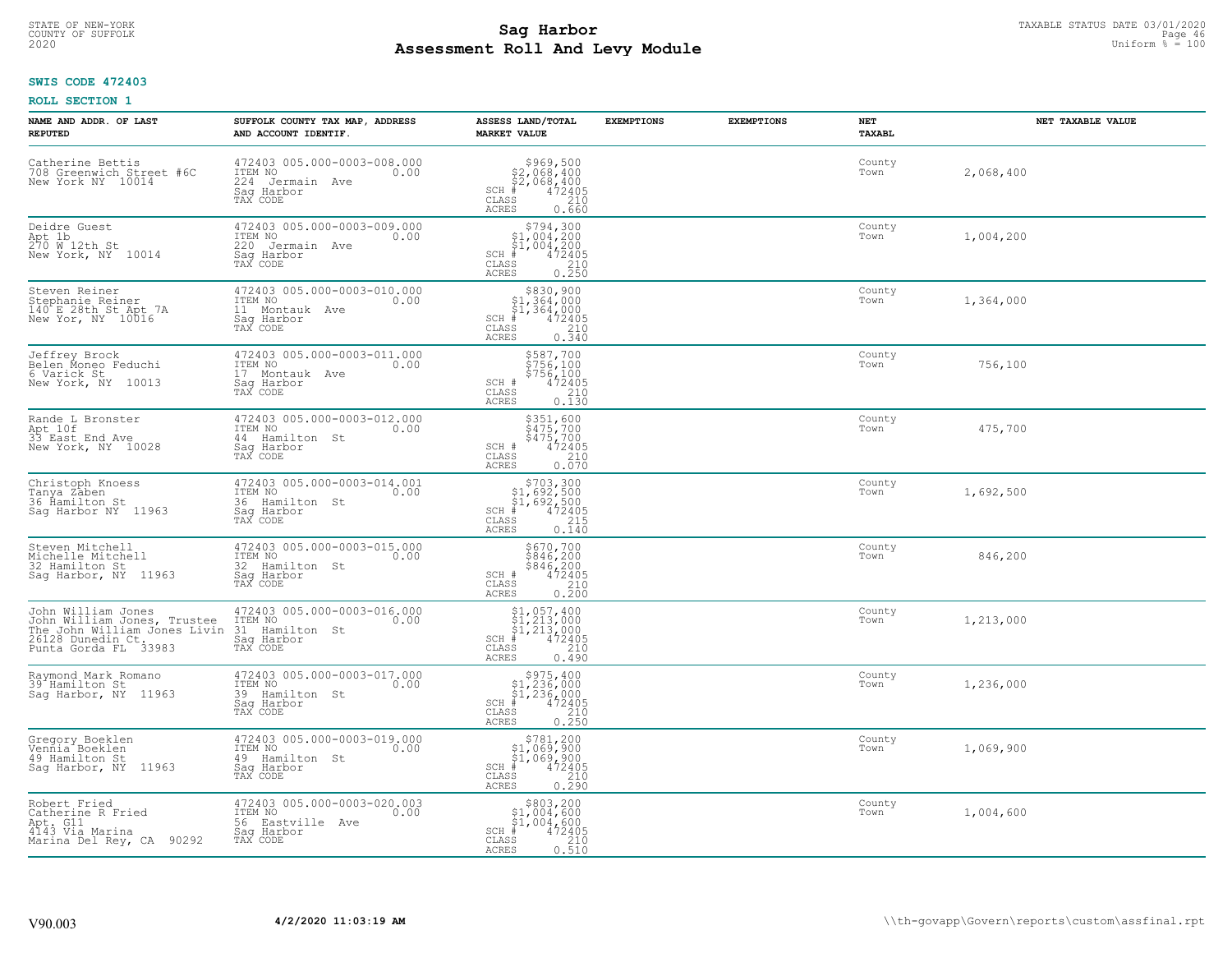# TAXABLE STATUS DATE 03/01/2020<br>COUNTY OF SUFFOLK Page 46 COUNTY OF SUFFOLK Page 46 **Assessment Roll And Levy Module** 2020 Uniform % = 100

## **SWIS CODE 472403**

| NAME AND ADDR. OF LAST<br><b>REPUTED</b>                                                                                       | SUFFOLK COUNTY TAX MAP, ADDRESS<br>AND ACCOUNT IDENTIF.                                      | ASSESS LAND/TOTAL<br><b>MARKET VALUE</b>                                                                                      | <b>EXEMPTIONS</b> | <b>EXEMPTIONS</b> | NET<br><b>TAXABL</b> | NET TAXABLE VALUE |
|--------------------------------------------------------------------------------------------------------------------------------|----------------------------------------------------------------------------------------------|-------------------------------------------------------------------------------------------------------------------------------|-------------------|-------------------|----------------------|-------------------|
| Catherine Bettis<br>708 Greenwich Street #6C<br>New York NY 10014                                                              | 472403 005.000-0003-008.000<br>ITEM NO<br>0.00<br>224 Jermain Ave<br>Saq Harbor<br>TAX CODE  | $$969,500$<br>$$2,068,400$<br>$$2,068,400$<br>$$472405$<br>$$210$<br>$SCH$ #<br>CLASS<br><b>ACRES</b><br>0.660                |                   |                   | County<br>Town       | 2,068,400         |
| Deidre Guest<br>Apt 1b<br>270 W 12th St<br>New York, NY 10014                                                                  | 472403 005.000-0003-009.000<br>ITEM NO<br>0.00<br>220 Jermain Ave<br>Saq Harbor<br>TAX CODE  | $$794,300$<br>$$1,004,200$<br>$$1,004,200$<br>$SCH$ #<br>472405<br>CLASS<br>$\frac{210}{0.250}$<br><b>ACRES</b>               |                   |                   | County<br>Town       | 1,004,200         |
| Steven Reiner<br>Stephanie Reiner<br>140 E 28th St Apt 7A<br>New Yor, NY 10016                                                 | 472403 005.000-0003-010.000<br>ITEM NO<br>0.00<br>11 Montauk Ave<br>Saq Harbor<br>TAX CODE   | \$830,900<br>\$1,364,000<br>\$1,364,000<br>#472405<br>$SCH$ #<br>CLASS<br>210<br>0.340<br>ACRES                               |                   |                   | County<br>Town       | 1,364,000         |
| Jeffrey Brock<br>Belen Moneo Feduchi<br>6 Varick St<br>New York, NY 10013                                                      | 472403 005.000-0003-011.000<br>ITEM NO<br>0.00<br>17 Montauk Ave<br>Saq Harbor<br>TAX CODE   | \$587,700<br>\$756,100<br>\$756,100<br>472405<br>SCH #<br>CLASS<br>210<br>ACRES<br>0.130                                      |                   |                   | County<br>Town       | 756,100           |
| Rande L Bronster<br>Apt 10f<br>33 East End Ave<br>New York, NY 10028                                                           | 472403 005.000-0003-012.000<br>ITEM NO<br>0.00<br>44 Hamilton St<br>Saq Harbor<br>TAX CODE   | \$351,600<br>$\frac{2475,700}{475,700}$<br>\$475,700<br>472405<br>$\frac{210}{2}$<br>SCH #<br>CLASS<br><b>ACRES</b><br>0.070  |                   |                   | County<br>Town       | 475,700           |
| Christoph Knoess<br>Tanya Zaben<br>36 Ĥamilton St<br>Saq Harbor NY 11963                                                       | 472403 005.000-0003-014.001<br>ITEM NO<br>0.00<br>36 Hamilton St<br>Saq Harbor<br>TAX CODE   | $$703,300$<br>$$1,692,500$<br>$$1,692,500$<br>$$472405$<br>$SCH$ #<br>CLASS<br>215<br>0.140<br><b>ACRES</b>                   |                   |                   | County<br>Town       | 1,692,500         |
| Steven Mitchell<br>Michelle Mitchell<br>32 Hamilton St<br>Saq Harbor, NY 11963                                                 | 472403 005.000-0003-015.000<br>ITEM NO<br>0.00<br>32 Hamilton St<br>Saq Harbor<br>TAX CODE   | \$670,700<br>\$846,200<br>\$846,200<br>472405<br>SCH #<br>CLASS<br>210<br>0.200<br><b>ACRES</b>                               |                   |                   | County<br>Town       | 846,200           |
| John William Jones<br>John William Jones, Trustee<br>The John William Jones Livin<br>26128 Dunedin Ct.<br>Punta Gorda FL 33983 | 472403 005.000-0003-016.000<br>TTEM NO 0.00<br>31 Hamilton St<br>Saq Harbor<br>TAX CODE      | $$1,057,400$<br>$$1,213,000$<br>$$1,213,000$<br>$*$<br>$*$ 472405<br>$SCH$ #<br>CLASS<br>210<br><b>ACRES</b><br>0.490         |                   |                   | County<br>Town       | 1,213,000         |
| Raymond Mark Romano<br>39 Hamilton St<br>Sag Harbor, NY 11963                                                                  | 472403 005.000-0003-017.000<br>TTEM NO 0.00<br>39 Hamilton St<br>Saq Harbor<br>TAX CODE      | $$975,400$<br>$$1,236,000$<br>$$1,236,000$<br>$*$<br>$*$ 472405<br>SCH #<br>CLASS<br>210<br><b>ACRES</b><br>0.250             |                   |                   | County<br>Town       | 1,236,000         |
| Gregory Boeklen<br>Vennia Boeklen<br>49 Hamilton St<br>Sag Harbor, NY 11963                                                    | 472403 005.000-0003-019.000<br>ITEM NO<br>0.00<br>49 Hamilton St<br>Sag Harbor<br>TAX CODE   | \$781,200<br>$$1,069,900$<br>$$1,069,900$<br>$*$ 472405<br>$SCH$ #<br>210<br>CLASS<br><b>ACRES</b><br>0.290                   |                   |                   | County<br>Town       | 1,069,900         |
| Robert Fried<br>Catherine R Fried<br>Apt. G11<br>4143 Via Marina<br>Marina Del Rey, CA 90292                                   | 472403 005.000-0003-020.003<br>ITEM NO<br>0.00<br>56 Eastville Ave<br>Saq Harbor<br>TAX CODE | $\begin{array}{c} $803,200\\ $1,004,600\\ $1,004,600 \end{array}$<br>SCH #<br>472405<br>CLASS<br>210<br><b>ACRES</b><br>0.510 |                   |                   | County<br>Town       | 1,004,600         |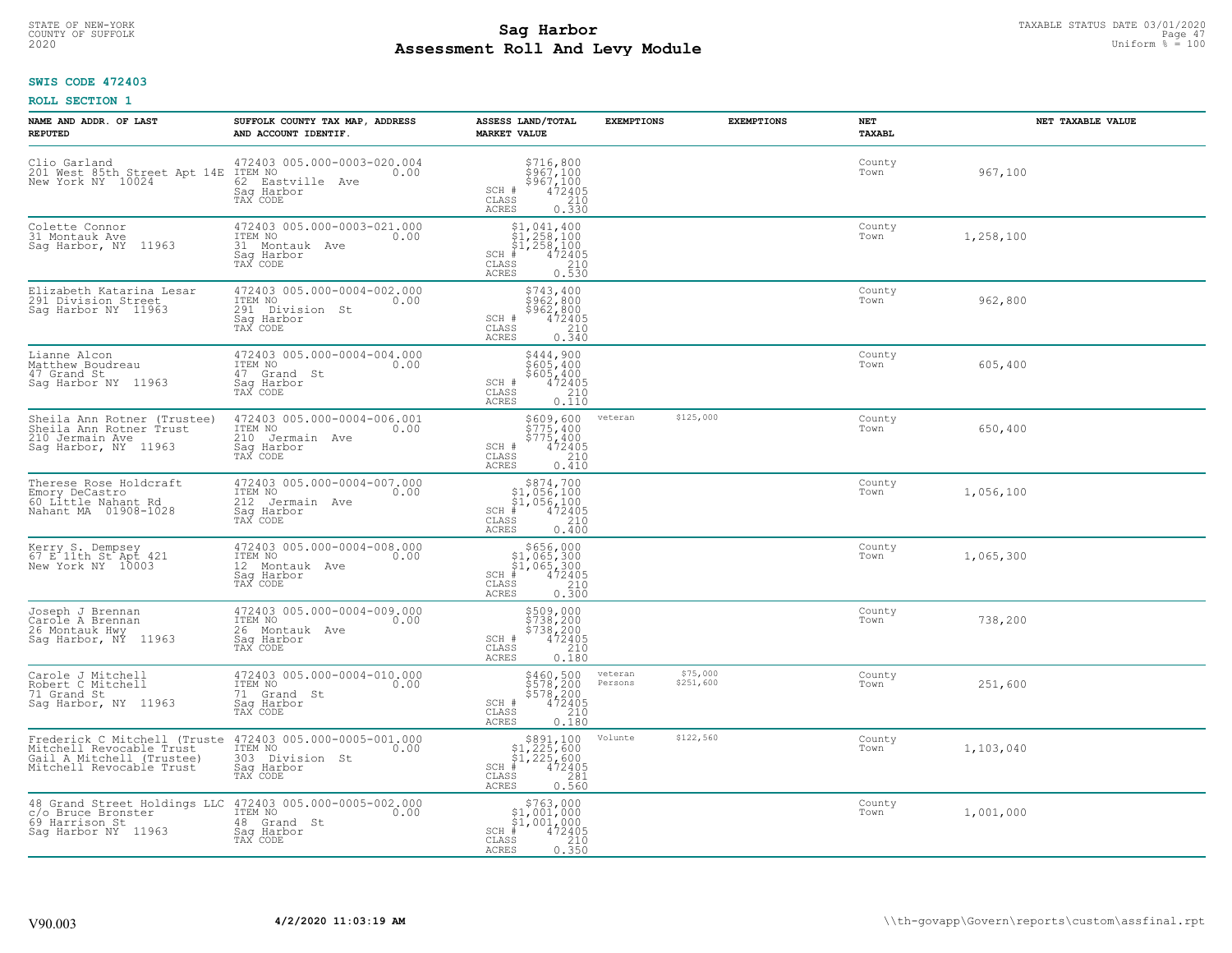# TAXABLE STATUS DATE 03/01/2020<br>COUNTY OF SUFFOLK Page 47 **Assessment Roll And Levy Module** 2020 Uniform % = 100

## **SWIS CODE 472403**

| NAME AND ADDR. OF LAST<br><b>REPUTED</b>                                                                                | SUFFOLK COUNTY TAX MAP, ADDRESS<br>AND ACCOUNT IDENTIF.                                        | ASSESS LAND/TOTAL<br><b>MARKET VALUE</b>                                                                                                | <b>EXEMPTIONS</b>  | <b>EXEMPTIONS</b>     | NET<br><b>TAXABL</b> | NET TAXABLE VALUE |
|-------------------------------------------------------------------------------------------------------------------------|------------------------------------------------------------------------------------------------|-----------------------------------------------------------------------------------------------------------------------------------------|--------------------|-----------------------|----------------------|-------------------|
| Clio Garland<br>201 West 85th Street Apt 14E<br>New York NY 10024                                                       | 472403 005.000-0003-020.004<br>ITEM NO 0.00<br>62 Eastville Ave<br>Saq Harbor<br>TAX CODE      | \$716,800<br>\$967,100<br>\$967,100<br>472405<br>$SCH$ #<br>CLASS<br>210<br><b>ACRES</b><br>0.330                                       |                    |                       | County<br>Town       | 967,100           |
| Colette Connor<br>31 Montauk Ave<br>Sag Harbor, NY 11963                                                                | 472403 005.000-0003-021.000<br>ITEM NO<br>0.00<br>31 Montauk Ave<br>Saq Harbor<br>TAX CODE     | $\begin{array}{c} 51,041,400 \\ 51,258,100 \\ 51,258,100 \end{array}$<br>SCH #<br>472405<br>CLASS<br>210<br>0.530<br><b>ACRES</b>       |                    |                       | County<br>Town       | 1,258,100         |
| Elizabeth Katarina Lesar<br>291 Division Street<br>Saq Harbor NY 11963                                                  | 472403 005.000-0004-002.000<br>ITEM NO<br>0.00<br>291<br>Division St<br>Saq Harbor<br>TAX CODE | \$743,400<br>\$962,800<br>\$962,800<br>SCH #<br>472405<br>CLASS<br>210<br><b>ACRES</b><br>0.340                                         |                    |                       | County<br>Town       | 962,800           |
| Lianne Alcon<br>Matthew Boudreau<br>47 Grand St<br>Saq Harbor NY 11963                                                  | 472403 005.000-0004-004.000<br>TTEM NO 0.00<br>47 Grand St<br>Saq Harbor<br>TAX CODE           | \$444,900<br>\$605,400<br>\$605,400<br>SCH #<br>472405<br>CLASS<br>210<br>ACRES<br>0.110                                                |                    |                       | County<br>Town       | 605,400           |
| Sheila Ann Rotner (Trustee)<br>Sheila Ann Rotner Trust<br>210 Jermain Ave<br>Sag Harbor, NY 11963                       | 472403 005.000-0004-006.001<br>ITEM NO<br>0.00<br>210 Jermain Ave<br>Saq Harbor<br>TAX CODE    | $\begin{array}{c}\n $609, 600 \\  $775, 400 \\  $775, 400 \\  $472405 \\  210\n \end{array}$<br>SCH #<br>CLASS<br>0.410<br><b>ACRES</b> | veteran            | \$125,000             | County<br>Town       | 650,400           |
| Therese Rose Holdcraft<br>Emory DeCastro<br>60 Little Nahant Rd<br>Nahant MA 01908-1028                                 | 472403 005.000-0004-007.000<br>ITEM NO<br>0.00<br>212 Jermain Ave<br>Saq Harbor<br>TAX CODE    | $$374,700$<br>$$1,056,100$<br>$$1,056,100$<br>$*1$<br>$472405$<br>$SCH$ #<br>CLASS<br>210<br>0.400<br><b>ACRES</b>                      |                    |                       | County<br>Town       | 1,056,100         |
| Kerry S. Dempsey<br>67 E 11th St Apt 421<br>New York NY 10003                                                           | 472403 005.000-0004-008.000<br>ITEM NO<br>0.00<br>12 Montauk Ave<br>Sag Harbor<br>TAX CODE     | $$656,000$<br>$$1,065,300$<br>$$1,065,300$<br>$*1,065,300$<br>$*1,0472405$<br>SCH #<br>CLASS<br>210<br>0.300<br><b>ACRES</b>            |                    |                       | County<br>Town       | 1,065,300         |
| Joseph J Brennan<br>Carole A Brennan<br>26 Montauk Hwy<br>Sag Harbor, NY 11963                                          | 472403 005.000-0004-009.000<br>ITEM NO<br>0.00<br>26 Montauk Ave<br>Saq Harbor<br>TAX CODE     | \$509,000<br>\$738,200<br>\$738,200<br>SCH #<br>472405<br>210<br>CLASS<br><b>ACRES</b><br>0.180                                         |                    |                       | County<br>Town       | 738,200           |
| Carole J Mitchell<br>Robert C Mitchell<br>71 Grand St<br>Saq Harbor, NY 11963                                           | 472403 005.000-0004-010.000<br>TTEM NO 0.00<br>0.00<br>71 Grand St<br>Sag Harbor<br>TAX CODE   | \$460,500<br>\$578,200<br>\$578,200<br>472405<br>SCH #<br>CLASS<br>$\begin{array}{c} 210 \\ 0.180 \end{array}$<br><b>ACRES</b>          | veteran<br>Persons | \$75,000<br>\$251,600 | County<br>Town       | 251,600           |
| Frederick C Mitchell (Truste<br>Mitchell Revocable Trust<br>Gail A Mitchell (Trustee)<br>Mitchell Revocable Trust       | 472403 005.000-0005-001.000<br>ITEM NO<br>0.00<br>303 Division St<br>Sag Harbor<br>TAX CODE    | $$891,100$<br>$$1,225,600$<br>$$1,225,600$<br>$*1,225,600$<br>$*1,22405$<br>SCH #<br>CLASS<br>281<br>0.560<br><b>ACRES</b>              | Volunte            | \$122,560             | County<br>Town       | 1,103,040         |
| 48 Grand Street Holdings LLC 472403 005.000-0005-002.000<br>c/o Bruce Bronster<br>69 Harrison St<br>Saq Harbor NY 11963 | ITEM NO<br>0.00<br>48 Grand St<br>Sag Harbor<br>TAX CODE                                       | $\begin{array}{c} $763,000 \\ $1,001,000 \\ $1,001,000 \end{array}$<br>$SCH$ #<br>472405<br>210<br>CLASS<br>0.350<br>ACRES              |                    |                       | County<br>Town       | 1,001,000         |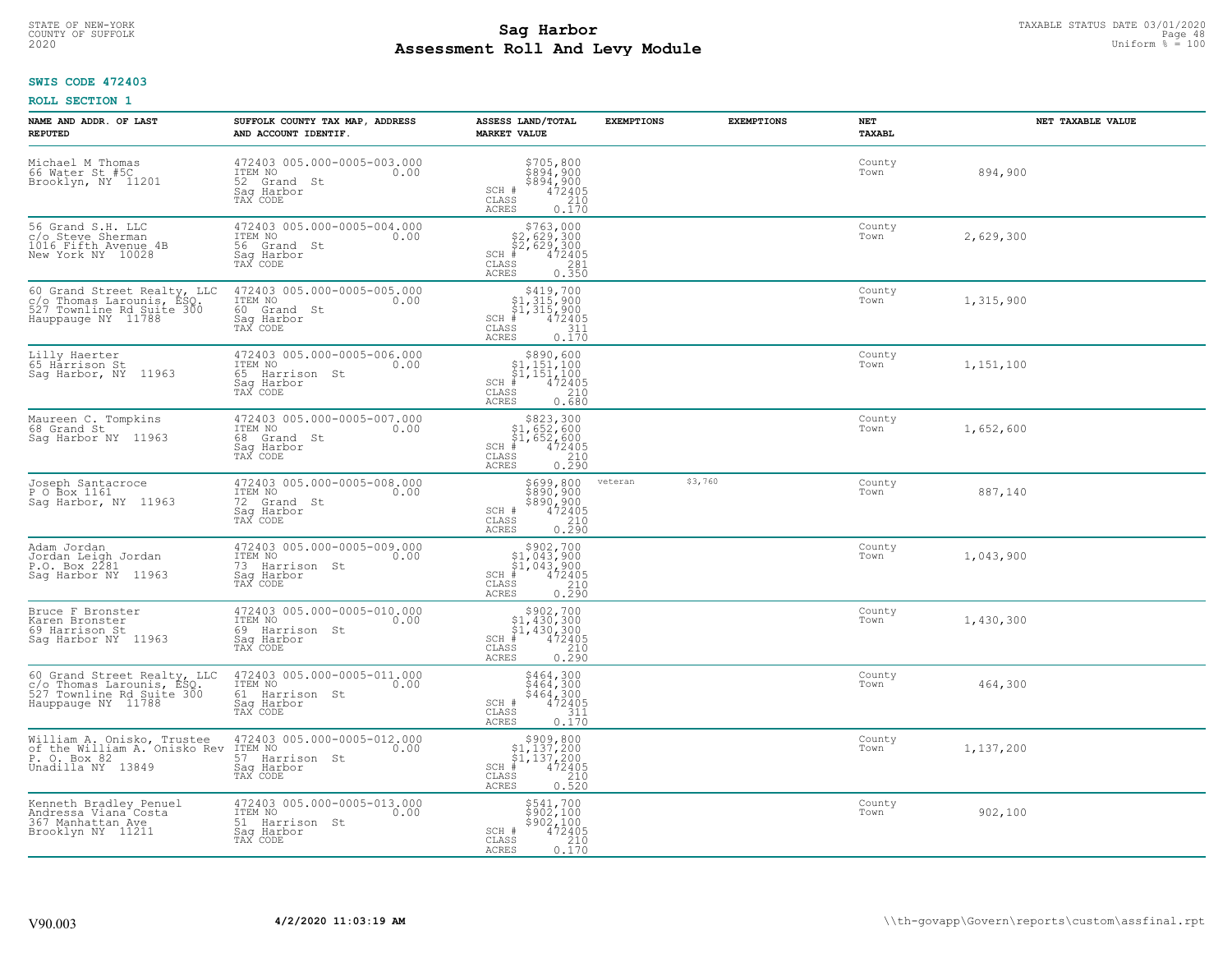# TAXABLE STATUS DATE 03/01/2020<br>COUNTY OF SUFFOLK Page 48 COUNTY OF SUFFOLK Page 48 **Assessment Roll And Levy Module** 2020 Uniform % = 100

## **SWIS CODE 472403**

| NAME AND ADDR. OF LAST<br><b>REPUTED</b>                                                                    | SUFFOLK COUNTY TAX MAP, ADDRESS<br>AND ACCOUNT IDENTIF.                                       | ASSESS LAND/TOTAL<br><b>MARKET VALUE</b>                                                                                                                        | <b>EXEMPTIONS</b> | <b>EXEMPTIONS</b> | NET<br><b>TAXABL</b> | NET TAXABLE VALUE |
|-------------------------------------------------------------------------------------------------------------|-----------------------------------------------------------------------------------------------|-----------------------------------------------------------------------------------------------------------------------------------------------------------------|-------------------|-------------------|----------------------|-------------------|
| Michael M Thomas<br>66 Water St #5C<br>Brooklyn, NY 11201                                                   | 472403 005.000-0005-003.000<br>ITEM NO<br>0.00<br>52 Grand St<br>Saq Harbor<br>TAX CODE       | $$705, 800$<br>$$894, 900$<br>$$894, 900$<br>$$472405$<br>$$210$<br>SCH #<br>CLASS<br><b>ACRES</b><br>0.170                                                     |                   |                   | County<br>Town       | 894,900           |
| 56 Grand S.H. LLC<br>c/o Steve Sherman<br>1016 Fifth Avenue 4B<br>New York NY 10028                         | 472403 005.000-0005-004.000<br>ITEM NO<br>0.00<br>56 Grand St<br>Saq Harbor<br>TAX CODE       | $$763,000$<br>$$2,629,300$<br>$$2,629,300$<br>$*10472405$<br>$SCH$ #<br>CLASS<br>281<br>0.350<br><b>ACRES</b>                                                   |                   |                   | County<br>Town       | 2,629,300         |
| 60 Grand Street Realty, LLC<br>c/o Thomas Larounis, ESQ.<br>527 Townline Rd Suite 300<br>Hauppauge NY 11788 | 472403 005.000-0005-005.000<br>ITEM NO<br>0.00<br>60 Grand St<br>Saq Harbor<br>TAX CODE       | $$419,700$<br>$$1,315,900$<br>$$1,315,900$<br>$*1$<br>$472405$<br>$SCH$ #<br>CLASS<br>$\frac{311}{0.170}$<br>ACRES                                              |                   |                   | County<br>Town       | 1,315,900         |
| Lilly Haerter<br>65 Härrison St<br>Saq Harbor, NY 11963                                                     | 472403 005.000-0005-006.000<br>TTEM NO 0.00<br>65 Harrison St<br>Saq Harbor<br>TAX CODE       | $$890,600$<br>$$1,151,100$<br>$$1,151,100$<br>$*$<br>$472405$<br>SCH #<br>CLASS<br>210<br>ACRES<br>0.680                                                        |                   |                   | County<br>Town       | 1,151,100         |
| Maureen C. Tompkins<br>68 Grand St<br>Sag Harbor NY 11963                                                   | 472403 005.000-0005-007.000<br>ITEM NO<br>0.00<br>68 Grand St<br>Saq Harbor<br>TAX CODE       | $\begin{array}{r} 5823,300\\ 51,652,600\\ 51,652,600\\ *\\ 72405\\ *\\ \text{ss} \\ -210\\ \text{ss} \\ -290\\ \end{array}$<br>$SCH$ #<br>CLASS<br><b>ACRES</b> |                   |                   | County<br>Town       | 1,652,600         |
| Joseph Santacroce<br>P O Box 1161<br>Sag Harbor, NY 11963                                                   | 472403 005.000-0005-008.000<br>ITEM NO<br>0.00<br>72 Grand St<br>Saq Harbor<br>TAX CODE       | \$699,800<br>\$890,900<br>\$890,900<br>\$890,900<br>\$72405<br>\$210<br>\$230<br>SCH #<br>CLASS<br><b>ACRES</b>                                                 | veteran           | \$3,760           | County<br>Town       | 887,140           |
| Adam Jordan<br>Jordan Leigh Jordan<br>P.O. Box 2281<br>Saq Harbor NY 11963                                  | 472403 005.000-0005-009.000<br>ITEM NO<br>0.00<br>73<br>Harrison St<br>Saq Harbor<br>TAX CODE | $$902,700$<br>$$1,043,900$<br>$$1,043,900$<br>$$472405$<br>$SCH$ #<br>CLASS<br>$\frac{210}{0.290}$<br><b>ACRES</b>                                              |                   |                   | County<br>Town       | 1,043,900         |
| Bruce F Bronster<br>Karen Bronster<br>69 Harrison St<br>Saq Harbor NY 11963                                 | 472403 005.000-0005-010.000<br>TTEM NO 0.00<br>69 Harrison St<br>Saq Harbor<br>TAX CODE       | $$902,700$<br>$$1,430,300$<br>$$1,430,300$<br>$*1,430,300$<br>$*1,472405$<br>$SCH$ #<br>CLASS<br>210<br><b>ACRES</b><br>0.290                                   |                   |                   | County<br>Town       | 1,430,300         |
| 60 Grand Street Realty, LLC<br>c/o Thomas Larounis, ESQ.<br>527 Townline Rd Suite 300<br>Hauppauge NY 11788 | 472403 005.000-0005-011.000<br>TTEM NO 0.00<br>61 Harrison St<br>Saq Harbor<br>TAX CODE       | \$464,300<br>\$464,300<br>\$464,300<br>472405<br>SCH #<br>CLASS<br>311<br><b>ACRES</b><br>0.170                                                                 |                   |                   | County<br>Town       | 464,300           |
| William A. Onisko, Trustee<br>of the William A. Onisko Rev<br>P. O. Box 82<br>Unadilla NY 13849             | 472403 005.000-0005-012.000<br>ITEM NO<br>0.00<br>57 Harrison St<br>Sag Harbor<br>TAX CODE    | $$909,800\n$1,137,200\n$1,137,200\n# 472405\n 472405\n 210$<br>SCH<br>CLASS<br>0.520<br><b>ACRES</b>                                                            |                   |                   | County<br>Town       | 1,137,200         |
| Kenneth Bradley Penuel<br>Andressa Viana Costa<br>367 Manhattan Ave<br>Brooklyn NY 11211                    | 472403 005.000-0005-013.000<br>ITEM NO<br>0.00<br>51 Harrison St<br>Sag Harbor<br>TAX CODE    | \$541,700<br>\$902,100<br>\$902,100<br>SCH #<br>472405<br>CLASS<br>$\frac{210}{0.170}$<br><b>ACRES</b>                                                          |                   |                   | County<br>Town       | 902,100           |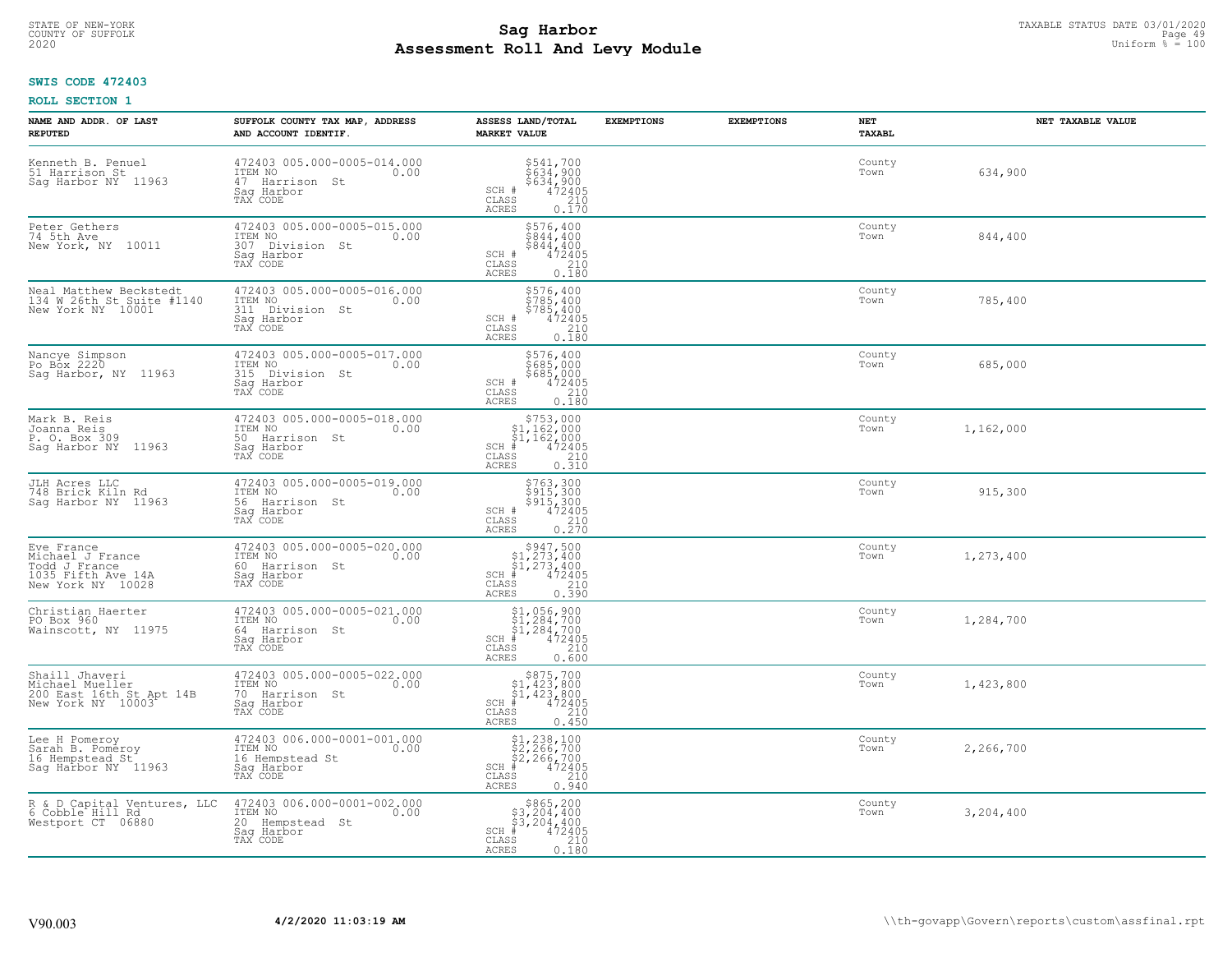#### **Sag Harbor** TAXABLE STATUS DATE 03/01/2020 TAXABLE STATUS DATE 03/01/2020 Page 49 **Assessment Roll And Levy Module** 2020 Uniform % = 100 COUNTY OF SUFFOLK **Example 2018 COUNTY OF SUFFOLK** Page 49

## **SWIS CODE 472403**

| NAME AND ADDR. OF LAST<br><b>REPUTED</b>                                                   | SUFFOLK COUNTY TAX MAP, ADDRESS<br>AND ACCOUNT IDENTIF.                                         | ASSESS LAND/TOTAL<br><b>MARKET VALUE</b>                                                                                  | <b>EXEMPTIONS</b> | <b>EXEMPTIONS</b> | NET<br><b>TAXABL</b> | NET TAXABLE VALUE |
|--------------------------------------------------------------------------------------------|-------------------------------------------------------------------------------------------------|---------------------------------------------------------------------------------------------------------------------------|-------------------|-------------------|----------------------|-------------------|
| Kenneth B. Penuel<br>51 Harrison St<br>Saq Harbor NY 11963                                 | 472403 005.000-0005-014.000<br>ITEM NO<br>0.00<br>47 Harrison St<br>Saq Harbor<br>TAX CODE      | \$541,700<br>$\frac{3634}{634}$ , 900<br>$\frac{472405}{472405}$<br>SCH #<br>CLASS<br><b>ACRES</b><br>0.170               |                   |                   | County<br>Town       | 634,900           |
| Peter Gethers<br>74 5th Ave<br>New York, NY 10011                                          | 472403 005.000-0005-015.000<br>ITEM NO<br>0.00<br>307 Division St<br>Saq Harbor<br>TAX CODE     | \$576,400<br>\$844,400<br>\$844,400<br>472405<br>SCH #<br>CLASS<br>210<br>0.180<br><b>ACRES</b>                           |                   |                   | County<br>Town       | 844,400           |
| Neal Matthew Beckstedt<br>134 W 26th St Suite #1140<br>New York NY 10001                   | 472403 005.000-0005-016.000<br>ITEM NO<br>0.00<br>311<br>Division St<br>Saq Harbor<br>TAX CODE  | \$576,400<br>$\frac{5785}{5785}$ , 400<br>$\frac{5785}{472405}$<br>SCH #<br>CLASS<br>210<br>0.180<br>ACRES                |                   |                   | County<br>Town       | 785,400           |
| Nancye Simpson<br>Po Box 2220<br>Sag Harbor, NY 11963                                      | 472403 005.000-0005-017.000<br>ITEM NO<br>0.00<br>315 Division St<br>Saq Harbor<br>TAX CODE     | \$576,400<br>\$685,000<br>\$685,000<br>472405<br>SCH #<br>CLASS<br>210<br><b>ACRES</b><br>0.180                           |                   |                   | County<br>Town       | 685,000           |
| Mark B. Reis<br>Joanna Reis<br>P. O. Box 309<br>Saq Harbor NY 11963                        | 472403 005.000-0005-018.000<br>ITEM NO<br>0.00<br>50 Harrison St<br>Saq Harbor<br>TAX CODE      | $$753,000$<br>$$1,162,000$<br>$$1,162,000$<br>$472405$<br>$$210$<br>$SCH$ #<br>CLASS<br>0.310<br><b>ACRES</b>             |                   |                   | County<br>Town       | 1,162,000         |
| JLH Acres LLC<br>748 Brick Kiln Rd<br>Saq Harbor NY 11963                                  | 472403 005.000-0005-019.000<br>ITEM NO<br>0.00<br>56 Harrison St<br>Sag Harbor<br>TAX CODE      | \$763,300<br>\$915,300<br>\$915,300<br>472405<br>SCH #<br>CLASS<br>$\frac{210}{0.270}$<br><b>ACRES</b>                    |                   |                   | County<br>Town       | 915,300           |
| Eve France<br>Michael J France<br>Todd J France<br>1035 Fifth Ave 14A<br>New York NY 10028 | 472403 005.000-0005-020.000<br>ITEM NO<br>0.00<br>60 -<br>Harrison St<br>Saq Harbor<br>TAX CODE | $$947,500$<br>$$1,273,400$<br>$$1,273,400$<br>$$472405$<br>$SCH$ #<br>CLASS<br>$\frac{210}{0.390}$<br><b>ACRES</b>        |                   |                   | County<br>Town       | 1,273,400         |
| Christian Haerter<br>PO Box 960<br>Wainscott, NY 11975                                     | 472403 005.000-0005-021.000<br>ITEM NO 0.00<br>64 Harrison St<br>Saq Harbor<br>TAX CODE         | $$1,056,900$<br>$$1,284,700$<br>$$1,284,700$<br>$$472405$<br>$SCH$ #<br>CLASS<br>210<br><b>ACRES</b><br>0.600             |                   |                   | County<br>Town       | 1,284,700         |
| Shaill Jhaveri<br>Michael Mueller<br>200 East 16th St Apt 14B<br>New York NY 10003         | 472403 005.000-0005-022.000<br>TTEM NO 0.00<br>70 Harrison St<br>Saq Harbor<br>TAX CODE         | $$875,700$<br>$$1,423,800$<br>$$1,423,800$<br>$*$<br>$*$<br>$472405$<br>$SCH$ #<br>CLASS<br>210<br><b>ACRES</b><br>0.450  |                   |                   | County<br>Town       | 1,423,800         |
| Lee H Pomeroy<br>Sarah B. Pomeroy<br>16 Hempstead St<br>Saq Harbor NY 11963                | 472403 006.000-0001-001.000<br>ITEM NO<br>0.00<br>16 Hempstead St<br>Sag Harbor<br>TAX CODE     | $$1, 238, 100$<br>$$2, 266, 700$<br>$$2, 266, 700$<br>$$472405$<br>SCH #<br>CLASS<br>210<br><b>ACRES</b><br>0.940         |                   |                   | County<br>Town       | 2,266,700         |
| R & D Capital Ventures, LLC<br>6 Cobble Hill Rd<br>Westport CT 06880                       | 472403 006.000-0001-002.000<br>ITEM NO<br>0.00<br>20 Hempstead St<br>Sag Harbor<br>TAX CODE     | $$3665, 200$<br>$$3, 204, 400$<br>$$3, 204, 400$<br>$SCH$ #<br>472405<br>$\mathtt{CLASS}$<br>210<br><b>ACRES</b><br>0.180 |                   |                   | County<br>Town       | 3,204,400         |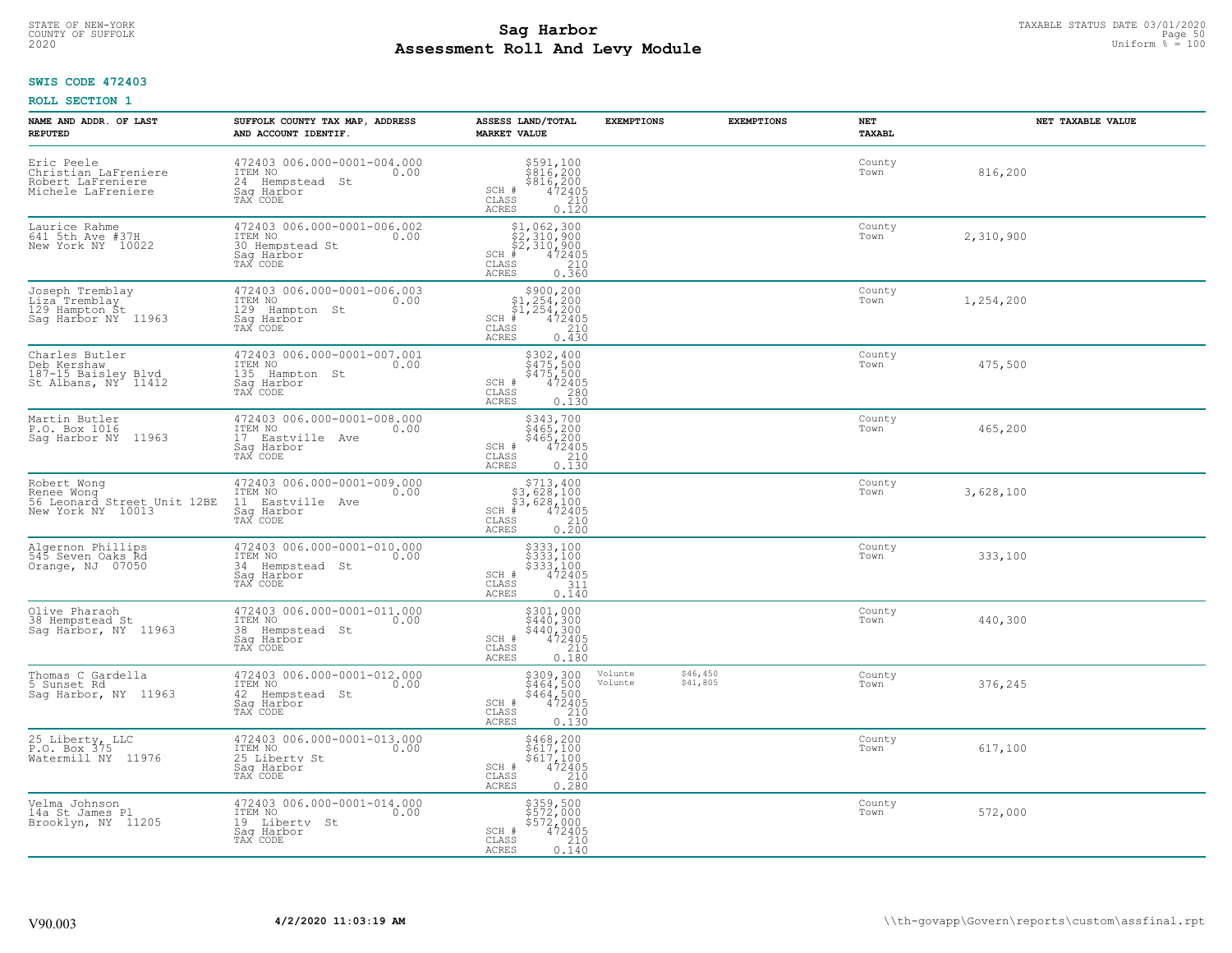# TAXABLE STATUS DATE 03/01/2020<br>COUNTY OF SUFFOLK Page 50 **Assessment Roll And Levy Module** 2020 Uniform % = 100

## **SWIS CODE 472403**

| NAME AND ADDR. OF LAST<br><b>REPUTED</b>                                      | SUFFOLK COUNTY TAX MAP, ADDRESS<br>AND ACCOUNT IDENTIF.                                      | ASSESS LAND/TOTAL<br><b>MARKET VALUE</b>                                                                                                                                                                                                                                                                                                     | <b>EXEMPTIONS</b>  | <b>EXEMPTIONS</b>    | <b>NET</b><br><b>TAXABL</b> | NET TAXABLE VALUE |
|-------------------------------------------------------------------------------|----------------------------------------------------------------------------------------------|----------------------------------------------------------------------------------------------------------------------------------------------------------------------------------------------------------------------------------------------------------------------------------------------------------------------------------------------|--------------------|----------------------|-----------------------------|-------------------|
| Eric Peele<br>Christian LaFreniere<br>Robert LaFreniere<br>Michele LaFreniere | 472403 006.000-0001-004.000<br>ITEM NO<br>0.00<br>24 Hempstead St<br>Saq Harbor<br>TAX CODE  | $\begin{array}{c}\n$591,100 \\ $816,200 \\ $816,200 \\ $472405 \\ 1210\n\end{array}$<br>SCH #<br>CLASS<br>ACRES<br>0.120                                                                                                                                                                                                                     |                    |                      | County<br>Town              | 816,200           |
| Laurice Rahme<br>641 5th Ave #37H<br>New York NY 10022                        | 472403 006.000-0001-006.002<br>ITEM NO<br>0.00<br>30 Hempstead St<br>Saq Harbor<br>TAX CODE  | \$1,062,300<br>\$2,310,900<br>\$2,310,900<br>472405<br>$SCH$ #<br>CLASS<br>$\begin{array}{c} 210 \\ 0.360 \end{array}$<br>ACRES                                                                                                                                                                                                              |                    |                      | County<br>Town              | 2,310,900         |
| Joseph Tremblay<br>Liza Tremblay<br>129 Hampton St<br>Sag Harbor NY 11963     | 472403 006.000-0001-006.003<br>ITEM NO<br>0.00<br>129 Hampton St<br>Saq Harbor<br>TAX CODE   | $$3900, 200\n$1, 254, 200\n$1, 254, 200\n# 472405\n35\n210$<br>$SCH$ #<br>CLASS<br>0.430<br>ACRES                                                                                                                                                                                                                                            |                    |                      | County<br>Town              | 1,254,200         |
| Charles Butler<br>Deb Kershaw<br>187-15 Baisley Blvd<br>St Albans, NY 11412   | 472403 006.000-0001-007.001<br>ITEM NO<br>0.00<br>135 Hampton St<br>Saq Harbor<br>TAX CODE   | $$302, 400$<br>$$475, 500$<br>$$472405$<br>$$280$<br>$0.230$<br>SCH #<br>CLASS<br>ACRES<br>0.130                                                                                                                                                                                                                                             |                    |                      | County<br>Town              | 475,500           |
| Martin Butler<br>P.O. Box 1016<br>11963<br>Sag Harbor NY                      | 472403 006.000-0001-008.000<br>ITEM NO<br>0.00<br>17 Eastville Ave<br>Saq Harbor<br>TAX CODE | \$343,700<br>343,700<br>\$465,200<br>\$465,200<br>472405<br>0.130<br>SCH #<br>CLASS<br>ACRES                                                                                                                                                                                                                                                 |                    |                      | County<br>Town              | 465,200           |
| Robert Wong<br>Renee Wong<br>56 Leonard Street Unit 12BE<br>New York NY 10013 | 472403 006.000-0001-009.000<br>ITEM NO<br>0.00<br>11 Eastville Ave<br>Sag Harbor<br>TAX CODE | $\begin{array}{r} \text{\small $>$713$, 400} \\ \text{\small $>$3$, 628$, 100} \\ \text{\small $>$3$, 628$, 100} \\ \text{\small $>$4$} \\ \text{\small $>$3$, 62405} \\ \text{\small $>$210$} \\ \text{\small $>$210$} \\ \text{\small $>$25$} \\ \text{\small $>$25$} \\ \text{\small $>$0.200$} \end{array}$<br>$SCH$ #<br>CLASS<br>ACRES |                    |                      | County<br>Town              | 3,628,100         |
| Algernon Phillips<br>545 Seven Oaks Rd<br>Orange, NJ 07050                    | 472403 006.000-0001-010.000<br>ITEM NO<br>0.00<br>34 Hempstead St<br>Saq Harbor<br>TAX CODE  | \$333,100<br>\$333,100<br>\$333,100<br>472405<br>SCH #<br>311<br>CLASS<br>ACRES<br>0.140                                                                                                                                                                                                                                                     |                    |                      | County<br>Town              | 333,100           |
| Olive Pharaoh<br>38 Hempstead St<br>Saq Harbor, NY 11963                      | 472403 006.000-0001-011.000<br>ITEM NO<br>0.00<br>38 Hempstead St<br>Saq Harbor<br>TAX CODE  | $$301,000$<br>$$440,300$<br>$$440,300$<br>$472405$<br>$$210$<br>SCH #<br>CLASS<br>ACRES<br>0.180                                                                                                                                                                                                                                             |                    |                      | County<br>Town              | 440,300           |
| Thomas C Gardella<br>5 Sunset Rd<br>Saq Harbor, NY 11963                      | 472403 006.000-0001-012.000<br>TTEM NO 0.00<br>42 Hempstead St<br>Saq Harbor<br>TAX CODE     | $\begin{array}{r} 5309,300 \\ 5464,500 \\ 5464,500 \\ 472405 \\ 210 \\ 0.130 \end{array}$<br>SCH #<br>CLASS<br>ACRES                                                                                                                                                                                                                         | Volunte<br>Volunte | \$46,450<br>\$41,805 | County<br>Town              | 376,245           |
| 25 Liberty, LLC<br>P.O. Box 375<br>Watermill NY 11976                         | 472403 006.000-0001-013.000<br>ITEM NO<br>0.00<br>25 Liberty St<br>Sag Harbor<br>TAX CODE    | $$468, 200$<br>$$617, 100$<br>$$617, 100$<br>$472405$<br>$$210$<br>SCH #<br>CLASS<br>0.280<br><b>ACRES</b>                                                                                                                                                                                                                                   |                    |                      | County<br>Town              | 617,100           |
| Velma Johnson<br>14a St James Pl<br>Brooklyn, NY 11205                        | 472403 006.000-0001-014.000<br>ITEM NO<br>0.00<br>19 Liberty St<br>Sag Harbor<br>TAX CODE    | \$359,500<br>\$572,000<br>\$572,000<br>SCH #<br>472405<br>210<br>CLASS<br>ACRES<br>0.140                                                                                                                                                                                                                                                     |                    |                      | County<br>Town              | 572,000           |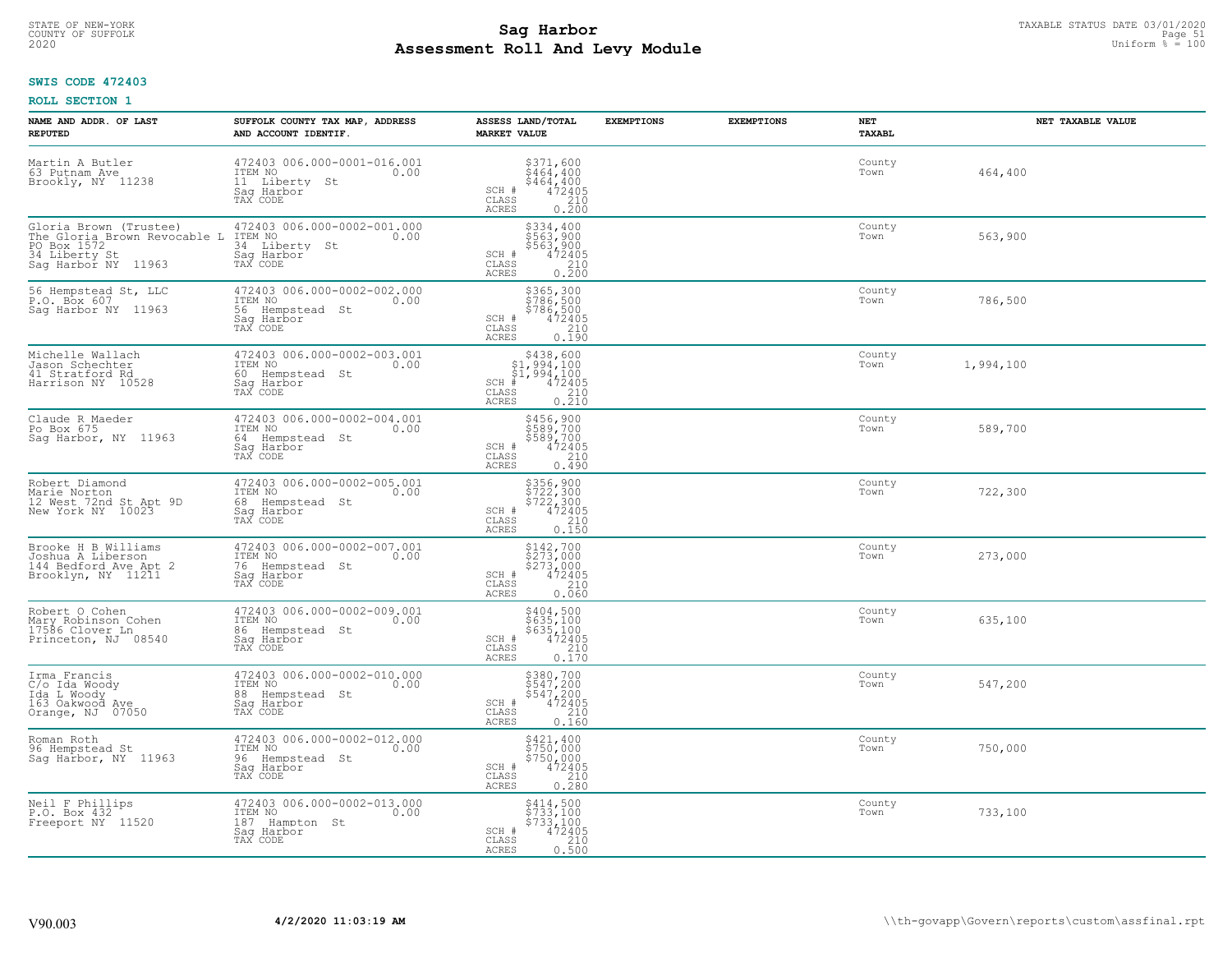# TAXABLE STATUS DATE 03/01/2020<br>COUNTY OF SUFFOLK Page 51 COUNTY OF SUFFOLK Page 51 **Assessment Roll And Levy Module** 2020 Uniform % = 100

## **SWIS CODE 472403**

| NAME AND ADDR. OF LAST<br><b>REPUTED</b>                                                                      | SUFFOLK COUNTY TAX MAP, ADDRESS<br>AND ACCOUNT IDENTIF.                                          | ASSESS LAND/TOTAL<br><b>MARKET VALUE</b>                                                                                        | <b>EXEMPTIONS</b> | <b>EXEMPTIONS</b> | NET<br>TAXABL  | NET TAXABLE VALUE |
|---------------------------------------------------------------------------------------------------------------|--------------------------------------------------------------------------------------------------|---------------------------------------------------------------------------------------------------------------------------------|-------------------|-------------------|----------------|-------------------|
| Martin A Butler<br>63 Putnam Ave<br>Brookly, NY 11238                                                         | 472403 006.000-0001-016.001<br>ITEM NO<br>0.00<br>11 Liberty<br>St<br>Saq Harbor                 | $\begin{array}{r} 5371, 600 \\ 5464, 400 \\ 5464, 400 \\ 472405 \\ 210 \end{array}$<br>SCH #<br>CLASS<br><b>ACRES</b><br>0.200  |                   |                   | County<br>Town | 464,400           |
| Gloria Brown (Trustee)<br>The Gloria Brown Revocable L<br>PO Box 1572<br>34 Liberty St<br>Saq Harbor NY 11963 | 472403 006.000-0002-001.000<br>ITEM NO<br>0.00<br>34 Liberty St<br>Saq Harbor<br>TAX CODE        | \$334,400<br>\$563,900<br>\$563,900<br>472405<br>SCH #<br>CLASS<br>$\begin{array}{c} 210 \\ 0.200 \end{array}$<br><b>ACRES</b>  |                   |                   | County<br>Town | 563,900           |
| 56 Hempstead St, LLC<br>P.O. Box 607<br>Sag Harbor NY 11963                                                   | 472403 006.000-0002-002.000<br>ITEM NO<br>0.00<br>56<br>Hempstead St<br>Saq Harbor<br>TAX CODE   | \$365,300<br>\$786,500<br>\$786,500<br>SCH #<br>472405<br>CLASS<br>210<br>0.190<br><b>ACRES</b>                                 |                   |                   | County<br>Town | 786,500           |
| Michelle Wallach<br>Jason Schechter<br>41 Stratford Rd<br>Harrison NY 10528                                   | 472403 006.000-0002-003.001<br>TTEM NO 0.00<br>0.00<br>60 Hempstead St<br>Saq Harbor<br>TAX CODE | $$438,600$<br>$$1,994,100$<br>$$1,994,100$<br>$*$<br>$*$<br>$472405$<br>$SCH$ #<br>CLASS<br>$\frac{210}{0.210}$<br><b>ACRES</b> |                   |                   | County<br>Town | 1,994,100         |
| Claude R Maeder<br>Po Box 675<br>Sag Harbor, NY 11963                                                         | 472403 006.000-0002-004.001<br>ITEM NO<br>0.00<br>64 Hempstead St<br>Saq Harbor<br>TAX CODE      | \$456,900<br>\$589,700<br>\$589,700<br>\$472405<br>\$410<br>SCH #<br>CLASS<br><b>ACRES</b><br>0.490                             |                   |                   | County<br>Town | 589,700           |
| Robert Diamond<br>Marie Norton<br>12 West 72nd St Apt 9D<br>New York NY 10023                                 | 472403 006.000-0002-005.001<br>ITEM NO<br>0.00<br>68 Hempstead St<br>Saq Harbor<br>TAX CODE      | \$356,900<br>\$722,300<br>\$722,300<br>\$724,95<br>SCH #<br>$\mathtt{CLASS}$<br>210<br>0.150<br><b>ACRES</b>                    |                   |                   | County<br>Town | 722,300           |
| Brooke H B Williams<br>Joshua A Liberson<br>144 Bedford Ave Apt 2<br>Brooklyn, NY 11211                       | 472403 006.000-0002-007.001<br>ITEM NO<br>0.00<br>76 Hempstead St<br>Saq Harbor<br>TAX CODE      | \$142,700<br>\$273,000<br>\$273,000<br>472405<br>SCH #<br>CLASS<br>210<br>0.060<br><b>ACRES</b>                                 |                   |                   | County<br>Town | 273,000           |
| Robert O Cohen<br>Mary Robinson Cohen<br>17586 Clover Ln<br>Princeton, NJ 08540                               | 472403 006.000-0002-009.001<br>ITEM NO<br>86 Hempstead St<br>Saq Harbor<br>TAX CODE              | \$404,500<br>\$635,100<br>\$635,100<br>472405<br>SCH #<br>CLASS<br>210<br><b>ACRES</b><br>0.170                                 |                   |                   | County<br>Town | 635,100           |
| Irma Francis<br>C/o Ida Woody<br>Ida L Woody<br>163 Oakwood Ave<br>Orange, NJ 07050                           | 472403 006.000-0002-010.000<br>TTEM NO 0.00<br>88 Hempstead St<br>Saq Harbor<br>TAX CODE         | \$380,700<br>\$547,200<br>\$547,200<br>SCH #<br>$\frac{47\overline{2}\overline{405}}{210}$<br>CLASS<br><b>ACRES</b><br>0.160    |                   |                   | County<br>Town | 547,200           |
| Roman Roth<br>96 Hempstead St<br>Saq Harbor, NY 11963                                                         | 472403 006.000-0002-012.000<br>ITEM NO<br>0.00<br>96 Hempstead St<br>Saq Harbor<br>TAX CODE      | \$421,400<br>\$750,000<br>\$750,000<br>472405<br>210<br>SCH #<br>CLASS<br><b>ACRES</b><br>0.280                                 |                   |                   | County<br>Town | 750,000           |
| Neil F Phillips<br>P.O. Box 432<br>Freeport NY 11520                                                          | 472403 006.000-0002-013.000<br>ITEM NO<br>0.00<br>187 Hampton St<br>Saq Harbor<br>TAX CODE       | \$414,500<br>\$733,100<br>\$733,100<br>SCH #<br>472405<br>CLASS<br>210<br><b>ACRES</b><br>0.500                                 |                   |                   | County<br>Town | 733,100           |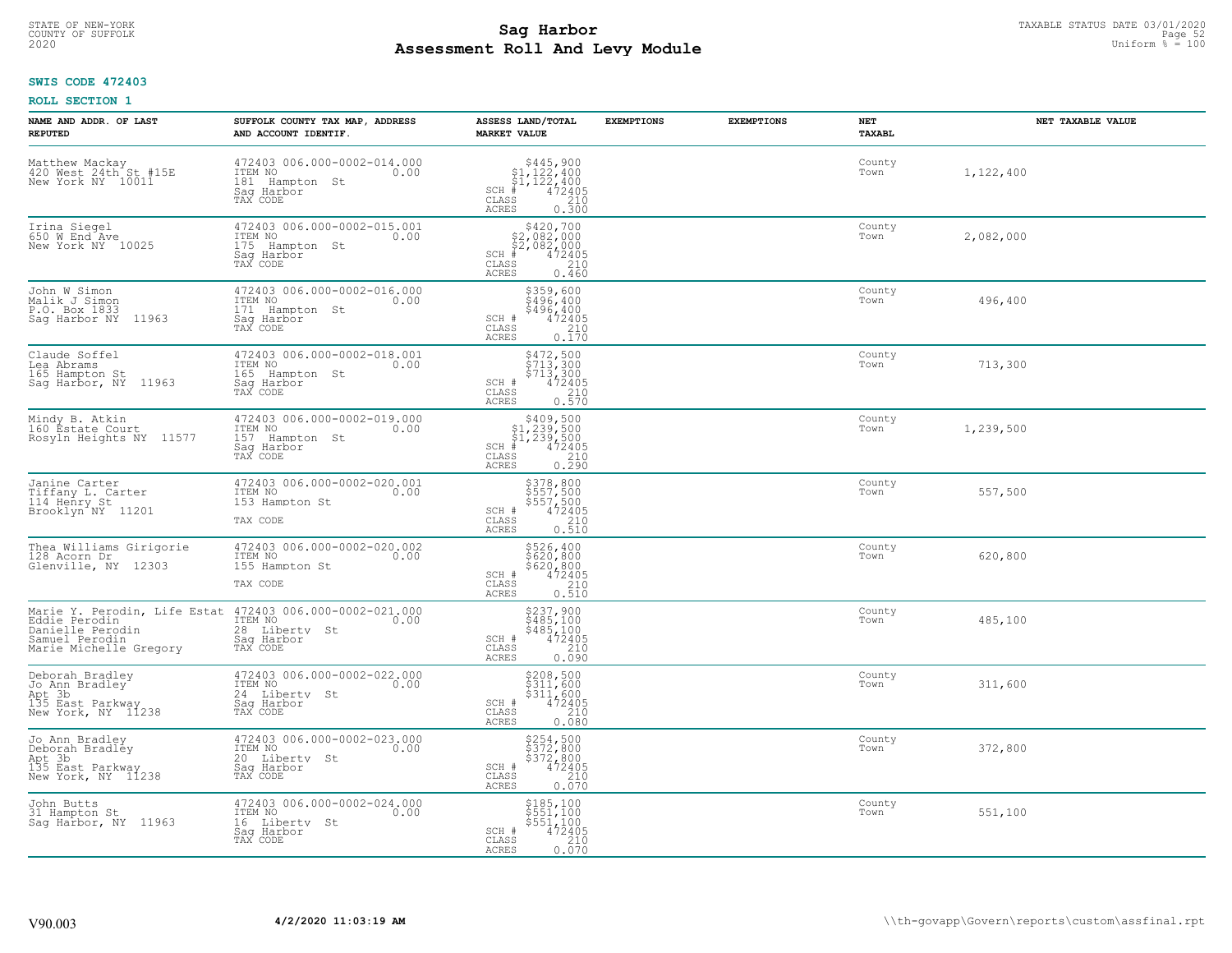# TAXABLE STATUS DATE 03/01/2020<br>COUNTY OF SUFFOLK Page 52 COUNTY OF SUFFOLK Page 52 **Assessment Roll And Levy Module** 2020 Uniform % = 100

## **SWIS CODE 472403**

| NAME AND ADDR. OF LAST<br><b>REPUTED</b>                                              | SUFFOLK COUNTY TAX MAP, ADDRESS<br>AND ACCOUNT IDENTIF.                                                    | ASSESS LAND/TOTAL<br><b>MARKET VALUE</b>                                                                                                                                                                                                                                                                                                                                                     | <b>EXEMPTIONS</b> | <b>EXEMPTIONS</b> | <b>NET</b><br><b>TAXABL</b> | NET TAXABLE VALUE |
|---------------------------------------------------------------------------------------|------------------------------------------------------------------------------------------------------------|----------------------------------------------------------------------------------------------------------------------------------------------------------------------------------------------------------------------------------------------------------------------------------------------------------------------------------------------------------------------------------------------|-------------------|-------------------|-----------------------------|-------------------|
| Matthew Mackay<br>420 West 24th St #15E<br>New York NY 10011                          | 472403 006.000-0002-014.000<br>ITEM NO<br>0.00<br>181 Hampton St<br>Saq Harbor<br>TAX CODE                 | $$445,900$<br>$$1,122,400$<br>$$1,122,400$<br>$472405$<br>$35$<br>$210$<br>$SCH$ #<br>CLASS<br>ACRES<br>0.300                                                                                                                                                                                                                                                                                |                   |                   | County<br>Town              | 1,122,400         |
| Irina Siegel<br>650 W End Ave<br>New York NY 10025                                    | 472403 006.000-0002-015.001<br>ITEM NO<br>0.00<br>175<br>Hampton St<br>Saq Harbor<br>TAX CODE              | \$420,700<br>\$2,082,000<br>\$2,082,000<br>$SCH$ #<br>472405<br>CLASS<br>210<br>ACRES<br>0.460                                                                                                                                                                                                                                                                                               |                   |                   | County<br>Town              | 2,082,000         |
| John W Simon<br>Malik J Simon<br>P.O. Box 1833<br>11963<br>Saq Harbor NY              | 472403 006.000-0002-016.000<br>ITEM NO<br>0.00<br>171<br>Hampton St<br>Saq Harbor<br>TAX CODE              | \$359,600<br>\$496,400<br>\$496,400<br>SCH #<br>$\frac{472405}{210}$<br>CLASS<br>0.170<br>ACRES                                                                                                                                                                                                                                                                                              |                   |                   | County<br>Town              | 496,400           |
| Claude Soffel<br>Lea Abrams<br>165 Hampton St<br>Sag Harbor, NY<br>11963              | 472403 006.000-0002-018.001<br>ITEM NO<br>0.00<br>165 Hampton St<br>Saq Harbor<br>TAX CODE                 | \$472,500<br>\$713,300<br>\$713,300<br>SCH #<br>$472405$<br>$210$<br>0.570<br>CLASS<br>ACRES                                                                                                                                                                                                                                                                                                 |                   |                   | County<br>Town              | 713,300           |
| Mindy B. Atkin<br>160 Estate Court<br>Rosyln Heights NY 11577                         | 472403 006.000-0002-019.000<br>ITEM NO<br>0.00<br>157 Hampton St<br>Saq Harbor<br>TAX CODE                 | \$409,500<br>$\begin{array}{r} 4409,500 \\ 51,239,500 \\ 41,239,500 \\ * & 472405 \\ * & 210 \\ * & 210 \\ * & 210 \\ * & 210 \\ * & 210 \\ * & 210 \\ * & 210 \\ * & 210 \\ * & 210 \\ * & 210 \\ * & 210 \\ * & 210 \\ * & 210 \\ * & 210 \\ * & 210 \\ * & 210 \\ * & 210 \\ * & 210 \\ * & 210 \\ * & 210 \\ * & 210 \\ * & 210 \\ * & 210 \\ * & 210 \\ *$<br>$SCH$ #<br>CLASS<br>ACRES |                   |                   | County<br>Town              | 1,239,500         |
| Janine Carter<br>Tiffany L. Carter<br>114 Henry St<br>Brooklyn NY 11201               | 472403 006.000-0002-020.001<br>ITEM NO<br>0.00<br>153 Hampton St<br>TAX CODE                               | $$378,800$<br>$$557,500$<br>$$557,500$<br>$$472405$<br>210<br>SCH #<br>CLASS<br>0.510<br>ACRES                                                                                                                                                                                                                                                                                               |                   |                   | County<br>Town              | 557,500           |
| Thea Williams Girigorie<br>128 Acorn Dr<br>Glenville, NY 12303                        | 472403 006.000-0002-020.002<br>ITEM NO<br>0.00<br>155 Hampton St<br>TAX CODE                               | \$526,400<br>\$620,800<br>\$620,800<br>$\frac{472405}{210}$<br>SCH #<br>CLASS<br>0.510<br>ACRES                                                                                                                                                                                                                                                                                              |                   |                   | County<br>Town              | 620,800           |
| Eddie Perodin<br>Danielle Perodin<br>Samuel Perodin<br>Marie Michelle Gregory         | Marie Y. Perodin, Life Estat 472403 006.000-0002-021.000<br>ITEM NO<br>0.00<br>28 Liberty St<br>Sag Harbor | $\begin{array}{c} 5237,900 \\ 5485,100 \\ 5485,100 \\ 472405 \\ 210 \\ 0.090 \end{array}$<br>SCH #<br>CLASS<br>ACRES                                                                                                                                                                                                                                                                         |                   |                   | County<br>Town              | 485,100           |
| Deborah Bradley<br>Jo Ann Bradley<br>Not 3b<br>135 East Parkway<br>New York, NY 11238 | 472403 006.000-0002-022.000<br>TTEM NO 0.00<br>24 Liberty St<br>Saq Harbor<br>TAX CODE                     | \$208,500<br>\$311,600<br>$\begin{array}{r} 311,600 \\ 472405 \\ 210 \\ 0.080 \end{array}$<br>SCH #<br>CLASS<br>ACRES                                                                                                                                                                                                                                                                        |                   |                   | County<br>Town              | 311,600           |
| Jo Ann Bradley<br>Deborah Bradley<br>Apt 3b<br>135 East Parkway<br>New York, NY 11238 | 472403 006.000-0002-023.000<br>ITEM NO<br>0.00<br>20 Liberty St<br>Sag Harbor<br>TAX CODE                  | \$254,500<br>\$372,800<br>$\frac{3372}{472405}$<br>SCH #<br>CLASS<br>0.070<br>ACRES                                                                                                                                                                                                                                                                                                          |                   |                   | County<br>Town              | 372,800           |
| John Butts<br>31 Hampton St<br>Sag Harbor, NY 11963                                   | 472403 006.000-0002-024.000<br>ITEM NO<br>0.00<br>16 Liberty St<br>Sag Harbor<br>TAX CODE                  | \$185,100<br>\$551,100<br>\$551,100<br>SCH #<br>$\begin{smallmatrix} 47\bar{2}\bar{4}\bar{0}5\ 210\ 0.070 \end{smallmatrix}$<br>CLASS<br>ACRES                                                                                                                                                                                                                                               |                   |                   | County<br>Town              | 551,100           |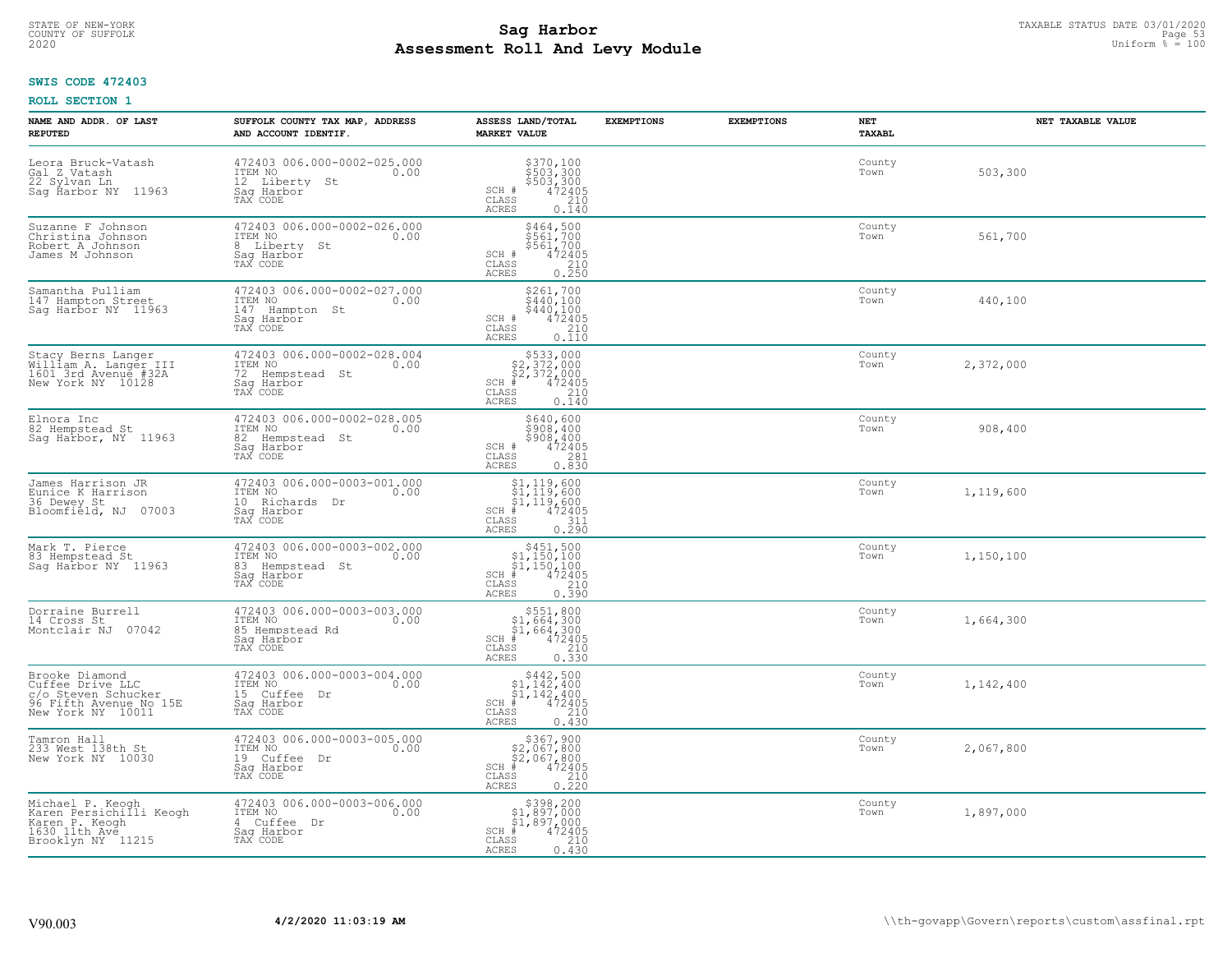# TAXABLE STATUS DATE 03/01/2020<br>COUNTY OF SUFFOLK Page 53 **Assessment Roll And Levy Module** 2020 Uniform % = 100

## **SWIS CODE 472403**

| NAME AND ADDR. OF LAST<br><b>REPUTED</b>                                                                 | SUFFOLK COUNTY TAX MAP, ADDRESS<br>AND ACCOUNT IDENTIF.                                          | ASSESS LAND/TOTAL<br><b>MARKET VALUE</b>                                                                                                   | <b>EXEMPTIONS</b> | <b>EXEMPTIONS</b> | <b>NET</b><br><b>TAXABL</b> | NET TAXABLE VALUE |
|----------------------------------------------------------------------------------------------------------|--------------------------------------------------------------------------------------------------|--------------------------------------------------------------------------------------------------------------------------------------------|-------------------|-------------------|-----------------------------|-------------------|
| Leora Bruck-Vatash<br>Gal Z Vatash<br>22 Sylvan Ln<br>Sag Ĥarbor NY 11963                                | 472403 006.000-0002-025.000<br>ITEM NO<br>0.00<br>12 Liberty<br>- St<br>Saq Harbor<br>TAX CODE   | \$370,100<br>\$503,300<br>\$503,300<br>SCH #<br>$\frac{472405}{210}$<br>CLASS<br>ACRES<br>0.140                                            |                   |                   | County<br>Town              | 503,300           |
| Suzanne F Johnson<br>Christina Johnson<br>Robert A Johnson<br>James M Johnson                            | 472403 006.000-0002-026.000<br>ITEM NO<br>0.00<br>8 Liberty St<br>Saq Harbor<br>TAX CODE         | \$464,500<br>\$561,700<br>\$561,700<br>SCH #<br>472405<br>CLASS<br>$\begin{array}{c} 210 \\ 0.250 \end{array}$<br>ACRES                    |                   |                   | County<br>Town              | 561,700           |
| Samantha Pulliam<br>147 Hampton Street<br>Sag Harbor NY 11963                                            | 472403 006.000-0002-027.000<br>ITEM NO<br>0.00<br>147<br>Hampton St<br>Saq Harbor<br>TAX CODE    | \$261,700<br>\$440,100<br>\$440,100<br>SCH #<br>472405<br>CLASS<br>$\frac{210}{0.110}$<br>ACRES                                            |                   |                   | County<br>Town              | 440,100           |
| Stacy Berns Langer<br>William A. Langer III<br>1601 3rd Avenue #32A<br>New York NY 10128                 | 472403 006.000-0002-028.004<br>ITEM NO<br>0.00<br>72 Hempstead St<br>Saq Harbor<br>TAX CODE      | $$533,000$<br>$$2,372,000$<br>$$2,372,000$<br>$*$ 472405<br>SCH #<br>CLASS<br>210<br>ACRES<br>0.140                                        |                   |                   | County<br>Town              | 2,372,000         |
| Elnora Inc<br>82 Hempstead St<br>Sag Harbor, NY 11963                                                    | 472403 006.000-0002-028.005<br>ITEM NO<br>0.00<br>82 Hempstead St<br>Saq Harbor<br>TAX CODE      | \$640,600<br>\$908, 400<br>$$908, 400$<br>$472405$<br>$281$<br>SCH #<br>CLASS<br>0.830<br>ACRES                                            |                   |                   | County<br>Town              | 908,400           |
| James Harrison JR<br>Eunice K Harrison<br>36 Dewey St<br>07003<br>Bloomfield, NJ                         | 472403 006.000-0003-001.000<br>ITEM NO<br>0.00<br>10 Richards Dr<br>Sag Harbor<br>TAX CODE       | \$1,119,600<br>\$1,119,600<br>\$1,119,600<br>#472405<br>$SCH$ #<br>$\begin{array}{c} 0.7511 \\ 0.290 \end{array}$<br>CLASS<br><b>ACRES</b> |                   |                   | County<br>Town              | 1,119,600         |
| Mark T. Pierce<br>83 Hempstead St<br>Saq Harbor NY 11963                                                 | 472403 006.000-0003-002.000<br>ITEM NO<br>0.00<br>83<br>Hempstead St<br>Saq Harbor<br>TAX CODE   | $$451,500$<br>$$1,150,100$<br>$$1,150,100$<br>$*1,150,100$<br>$*1,472405$<br>$SCH$ #<br>$\mathtt{CLASS}$<br>0.390<br>ACRES                 |                   |                   | County<br>Town              | 1,150,100         |
| Dorraine Burrell<br>14 Cross St<br>07042<br>Montclair NJ                                                 | 472403 006.000-0003-003.000<br>TTEM NO 0.00<br>0.00<br>85 Hempstead Rd<br>Saq Harbor<br>TAX CODE | $$551,800$<br>$$1,664,300$<br>$$1,664,300$<br>$472405$<br>$$210$<br>SCH #<br>CLASS<br><b>ACRES</b><br>0.330                                |                   |                   | County<br>Town              | 1,664,300         |
| Brooke Diamond<br>Cuffee Drive LLC<br>c/o Steven Schucker<br>96 Fifth Avenue No 15E<br>New York NY 10011 | 472403 006.000-0003-004.000<br>ITEM NO<br>0.00<br>15 Cuffee Dr<br>Saq Harbor<br>TAX CODE         | $$442,500$<br>$$1,142,400$<br>$$1,142,400$<br>$*1,142,400$<br>$*1,472405$<br>$SCH$ #<br>CLASS<br>210<br>ACRES<br>0.430                     |                   |                   | County<br>Town              | 1,142,400         |
| Tamron Hall<br>233 West 138th St<br>New York NY 10030                                                    | 472403 006.000-0003-005.000<br>ITEM NO<br>0.00<br>19 Cuffee<br>Dr<br>Sag Harbor<br>TAX CODE      | $$367,900$<br>$$2,067,800$<br>$$2,067,800$<br>$$472405$<br>$$35$<br>35<br>SCH #<br>CLASS<br>0.220<br><b>ACRES</b>                          |                   |                   | County<br>Town              | 2,067,800         |
| Michael P. Keogh<br>Karen Persichilli Keogh<br>Karen P. Keogh<br>1630 11th Ave<br>Brooklyn NY 11215      | 472403 006.000-0003-006.000<br>ITEM NO<br>0.00<br>4 Cuffee Dr<br>Sag Harbor<br>TAX CODE          | \$398,200<br>\$1,897,000<br>\$1,897,000<br>$SCH$ #<br>472405<br>210<br>CLASS<br><b>ACRES</b><br>0.430                                      |                   |                   | County<br>Town              | 1,897,000         |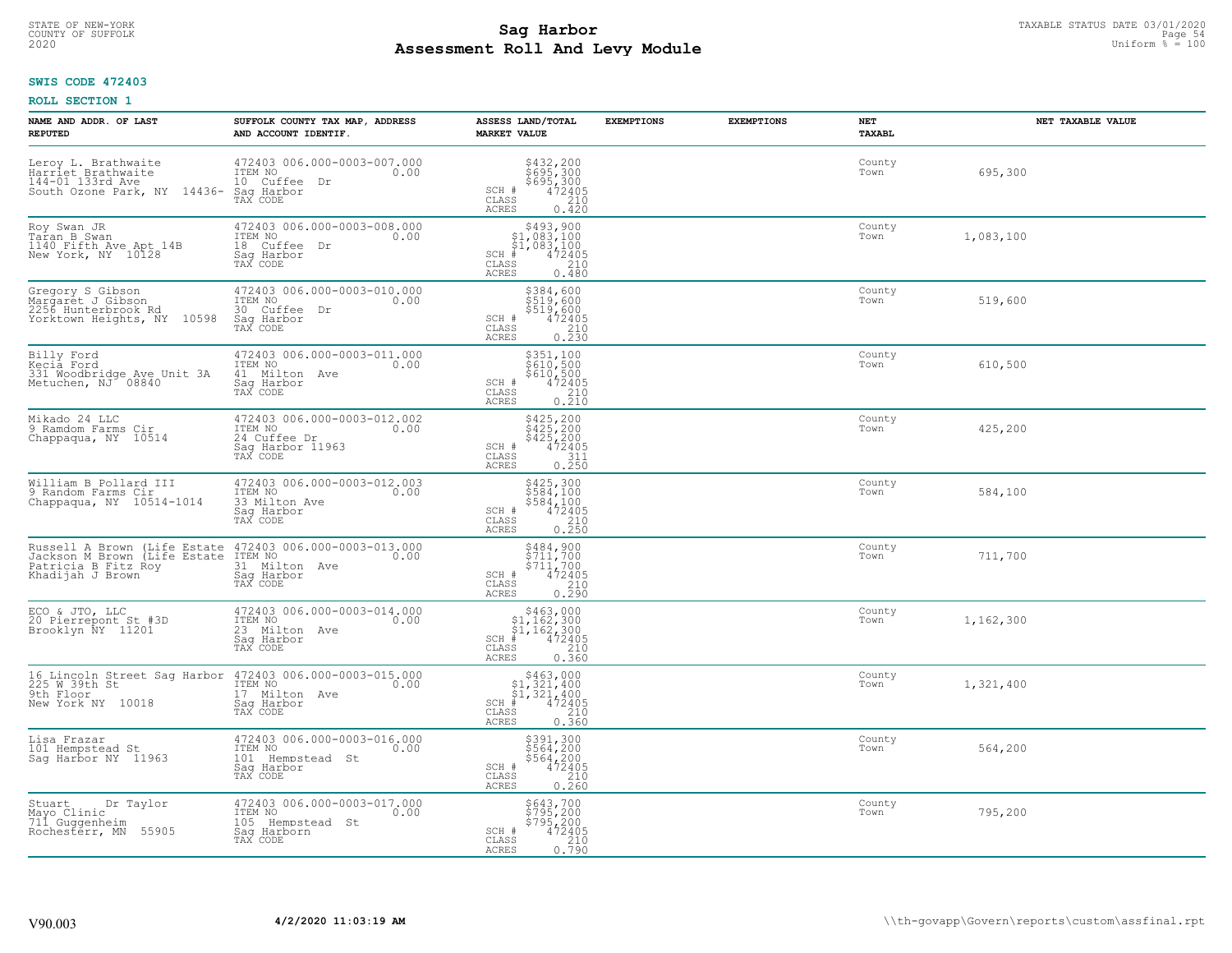# TAXABLE STATUS DATE 03/01/2020<br>COUNTY OF SUFFOLK Page 54 **Assessment Roll And Levy Module** 2020 Uniform % = 100

## **SWIS CODE 472403**

| NAME AND ADDR. OF LAST<br><b>REPUTED</b>                                                                | SUFFOLK COUNTY TAX MAP, ADDRESS<br>AND ACCOUNT IDENTIF.                                        | ASSESS LAND/TOTAL<br><b>MARKET VALUE</b>                                                                                                                                                                                                      | <b>EXEMPTIONS</b> | <b>EXEMPTIONS</b> | NET<br><b>TAXABL</b> | NET TAXABLE VALUE |
|---------------------------------------------------------------------------------------------------------|------------------------------------------------------------------------------------------------|-----------------------------------------------------------------------------------------------------------------------------------------------------------------------------------------------------------------------------------------------|-------------------|-------------------|----------------------|-------------------|
| Leroy L. Brathwaite<br>Harriet Brathwaite<br>144-01 133rd Ave<br>South Ozone Park, NY 14436-            | 472403 006.000-0003-007.000<br>ITEM NO<br>0.00<br>10 Cuffee Dr<br>Sag Harbor<br>TAX CODE       | \$432,200<br>\$695,300<br>\$695,300<br>SCH #<br>472405<br>CLASS<br>210<br>ACRES<br>0.420                                                                                                                                                      |                   |                   | County<br>Town       | 695,300           |
| Roy Swan JR<br>Taran B Swan<br>1140 Fifth Ave Apt 14B<br>New York, NY 10128                             | 472403 006.000-0003-008.000<br>ITEM NO<br>0.00<br>18 Cuffee Dr<br>Sag Harbor<br>TAX CODE       | $\begin{array}{r} \texttt{\$493,900}\ \\ \texttt{\$1,083,100}\ \\ \texttt{\$1,083,100}\ \\ \texttt{\$472405}\ \\ \texttt{\$ss} \qquad \qquad \begin{array}{c} 210 \\ 210 \\ 210 \\ 6480 \end{array} \end{array}$<br>$SCH$ #<br>CLASS<br>ACRES |                   |                   | County<br>Town       | 1,083,100         |
| Gregory S Gibson<br>Margaret J Gibson<br>2256 Hunterbrook Rd<br>Yorktown Heights, NY 10598              | 472403 006.000-0003-010.000<br>ITEM NO<br>0.00<br>30 Cuffee Dr<br>Sag Harbor<br>TAX CODE       | \$384,600<br>\$519,600<br>\$519,600<br>\$519,600<br>472405<br>0.230<br>$SCH$ #<br>CLASS<br>ACRES                                                                                                                                              |                   |                   | County<br>Town       | 519,600           |
| Billy Ford<br>Kecia Ford<br>331 Woodbridge Ave Unit 3A<br>Metuchen, NJ 08840                            | 472403 006.000-0003-011.000<br>ITEM NO<br>0.00<br>41 Milton Ave<br>Saq Harbor<br>TAX CODE      | \$351,100<br>\$610,500<br>\$610,500<br>\$612405<br>0.210<br>0.210<br>SCH #<br>CLASS<br>ACRES                                                                                                                                                  |                   |                   | County<br>Town       | 610,500           |
| Mikado 24 LLC<br>9 Ramdom Farms Cir<br>Chappaqua, NY 10514                                              | 472403 006.000-0003-012.002<br>ITEM NO<br>0.00<br>24 Cuffee Dr<br>Sag Harbor 11963<br>TAX CODE | \$425,200<br>\$425,200<br>\$425,200<br>472405<br>SCH #<br>$\begin{array}{c} 311 \\ 0.250 \end{array}$<br>CLASS<br><b>ACRES</b>                                                                                                                |                   |                   | County<br>Town       | 425,200           |
| William B Pollard III<br>9 Random Farms Cir.<br>Chappaqua, NY 10514-1014                                | 472403 006.000-0003-012.003<br>ITEM NO<br>0.00<br>33 Milton Ave<br>Saq Harbor<br>TAX CODE      | \$425,300<br>\$584,100<br>\$584,100<br>472405<br>SCH #<br>CLASS<br>0.250<br><b>ACRES</b>                                                                                                                                                      |                   |                   | County<br>Town       | 584,100           |
| Russell A Brown (Life Estate<br>Jackson M Brown (Life Estate<br>Patricia B Fitz Roy<br>Khadijah J Brown | 472403 006.000-0003-013.000<br>ITEM NO<br>0.00<br>31 Milton Ave<br>Sag Harbor<br>TAX CODE      | \$484,900<br>\$711,700<br>\$711,700<br>472405<br>SCH #<br>CLASS<br>0.290<br><b>ACRES</b>                                                                                                                                                      |                   |                   | County<br>Town       | 711,700           |
| ECO & JTO, LLC<br>20 Pierrepont St #3D<br>Brooklyn NY 11201                                             | 472403 006.000-0003-014.000<br>TTEM NO 0.00<br>23 Milton Ave<br>Sag Harbor<br>TAX CODE         | $\begin{array}{r} 5463,000\\ 51,162,300\\ 51,162,300\\ *\\ 55 \hspace{2.7cm}210\\ 53 \hspace{2.8cm}0.360 \end{array}$<br>$SCH$ #<br>CLASS<br><b>ACRES</b>                                                                                     |                   |                   | County<br>Town       | 1,162,300         |
| 225 W 39th St<br>9th Floor<br>New York NY 10018                                                         | 17 Milton Ave<br>Saq Harbor<br>TAX CODE                                                        | $SCH$ #<br>CLASS<br>0.360<br><b>ACRES</b>                                                                                                                                                                                                     |                   |                   | County<br>Town       | 1,321,400         |
| Lisa Frazar<br>101 Hempstead St<br>Sag Harbor NY 11963                                                  | 472403 006.000-0003-016.000<br>ITEM NO<br>0.00<br>101 Hempstead St<br>Sag Harbor<br>TAX CODE   | $$5891,300\n$564,200\n$564,200\n472405\n210\n260$<br>SCH #<br>CLASS<br>0.260<br>ACRES                                                                                                                                                         |                   |                   | County<br>Town       | 564,200           |
| Dr Taylor<br>Stuart<br>Mayo Clinic<br>711 Guggenheim<br>Rochesterr, MN 55905                            | 472403 006.000-0003-017.000<br>ITEM NO<br>0.00<br>105 Hempstead St<br>Sag Harborn<br>TAX CODE  | \$643,700<br>\$795,200<br>\$795,200<br>472405<br>SCH #<br>$\begin{array}{c} 210 \\ 0.790 \end{array}$<br>CLASS<br><b>ACRES</b>                                                                                                                |                   |                   | County<br>Town       | 795,200           |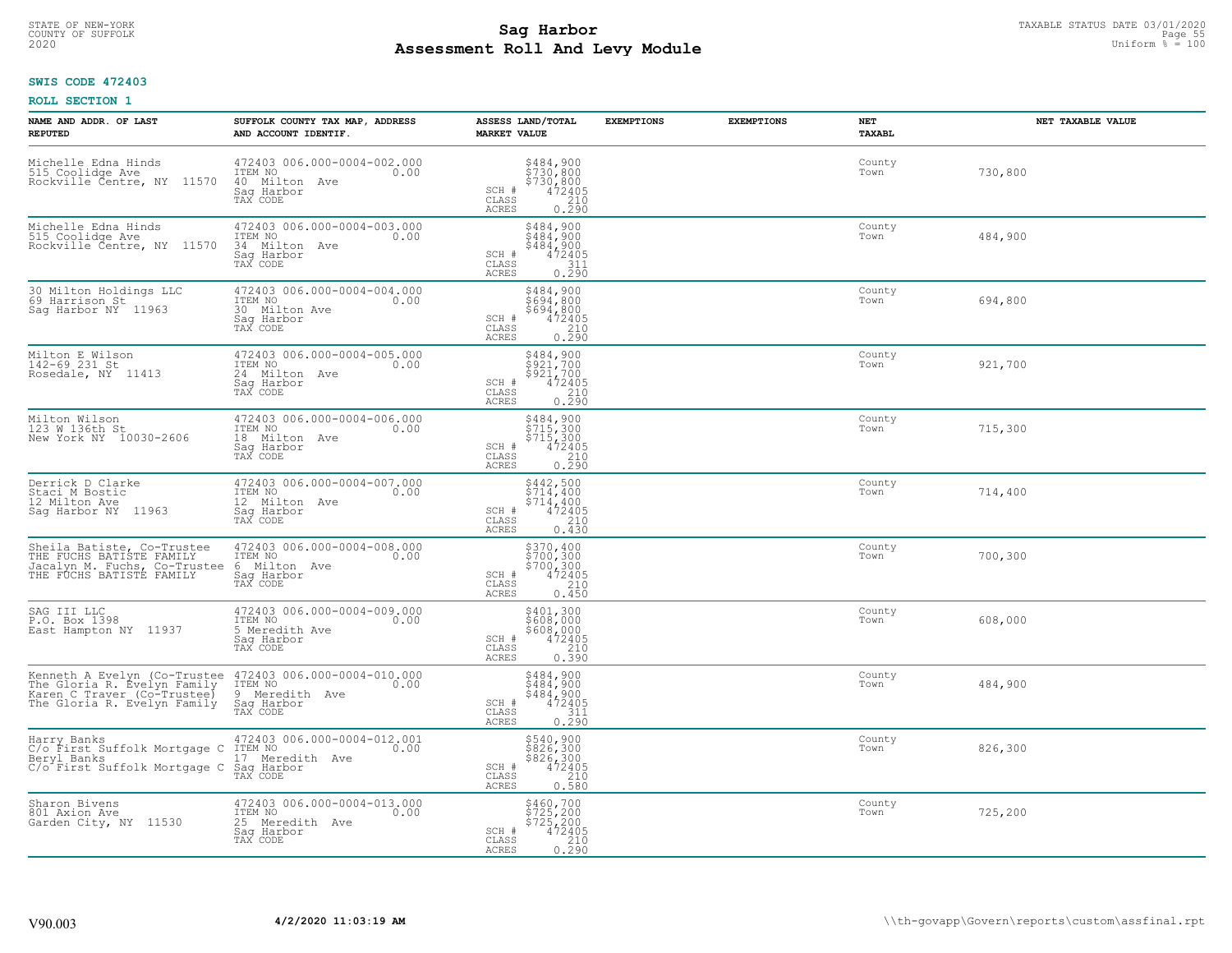# TAXABLE STATUS DATE 03/01/2020<br>COUNTY OF SUFFOLK Page 55 **Assessment Roll And Levy Module** 2020 Uniform % = 100

## **SWIS CODE 472403**

| NAME AND ADDR. OF LAST<br><b>REPUTED</b>                                                                                  | SUFFOLK COUNTY TAX MAP, ADDRESS<br>AND ACCOUNT IDENTIF.                                      | ASSESS LAND/TOTAL<br><b>MARKET VALUE</b>                                                                                              | <b>EXEMPTIONS</b><br><b>EXEMPTIONS</b> | NET<br><b>TAXABL</b> | NET TAXABLE VALUE |
|---------------------------------------------------------------------------------------------------------------------------|----------------------------------------------------------------------------------------------|---------------------------------------------------------------------------------------------------------------------------------------|----------------------------------------|----------------------|-------------------|
| Michelle Edna Hinds<br>515 Coolidge Ave<br>11570<br>Rockville Čentre, NY                                                  | 472403 006.000-0004-002.000<br>ITEM NO<br>0.00<br>40 Milton<br>Ave<br>Sag Harbor<br>TAX CODE | $\begin{array}{r} 5484, 900 \\ 5730, 800 \\ 5730, 800 \\ 472405 \\ 0.210 \\ \hline 0.290 \end{array}$<br>SCH #<br>CLASS<br>ACRES      |                                        | County<br>Town       | 730,800           |
| Michelle Edna Hinds<br>515 Coolidge Ave<br>Rockville Čentre, NY 11570                                                     | 472403 006.000-0004-003.000<br>ITEM NO<br>0.00<br>34 Milton Ave<br>Sag Harbor<br>TAX CODE    | \$484,900<br>\$484,900<br>\$484,900<br>472405<br>SCH #<br>$\begin{array}{c} 0.7511 \\ 0.290 \end{array}$<br>CLASS<br>ACRES            |                                        | County<br>Town       | 484,900           |
| 30 Milton Holdings LLC<br>69 Harrison St<br>Sag Harbor NY 11963                                                           | 472403 006.000-0004-004.000<br>ITEM NO<br>0.00<br>30<br>Milton Ave<br>Sag Harbor<br>TAX CODE | \$484,900<br>\$694,800<br>\$694,800<br>$SCH$ #<br>472405<br>CLASS<br>$\begin{array}{c} 210 \\ 0.290 \end{array}$<br>ACRES             |                                        | County<br>Town       | 694,800           |
| Milton E Wilson<br>142-69 231 St<br>Rosedale, NY 11413                                                                    | 472403 006.000-0004-005.000<br>ITEM NO<br>0.00<br>24 Milton Ave<br>Sag Harbor<br>TAX CODE    | \$484,900<br>\$921,700<br>5921/700<br>SCH #<br>472405<br>CLASS<br>0.290<br>ACRES                                                      |                                        | County<br>Town       | 921,700           |
| Milton Wilson<br>123 W 136th St<br>New York NY 10030-2606                                                                 | 472403 006.000-0004-006.000<br>ITEM NO<br>0.00<br>18 Milton Ave<br>Saq Harbor<br>TAX CODE    | \$484,900<br>\$715,300<br>\$715,300<br>472405<br>SCH #<br>CLASS<br>$\frac{210}{0.290}$<br>ACRES                                       |                                        | County<br>Town       | 715,300           |
| Derrick D Clarke<br>Staci M Bostic<br>12 Milton Ave<br>Sag Harbor NY 11963                                                | 472403 006.000-0004-007.000<br>ITEM NO<br>0.00<br>12 Milton Ave<br>Saq Harbor<br>TAX CODE    | $$442,500$<br>$$714,400$<br>$\begin{array}{r} 57\overline{14} & 400 \\ 472405 \\ 210 \end{array}$<br>SCH #<br>CLASS<br>0.430<br>ACRES |                                        | County<br>Town       | 714,400           |
| Sheila Batiste, Co-Trustee<br>THE FUCHS BATISTE FAMILY<br>Jacalyn M. Fuchs, Co-Trustee<br>THE FUCHS BATISTE FAMILY        | 472403 006.000-0004-008.000<br>ITEM NO<br>0.00<br>6<br>Milton Ave<br>Sag Harbor<br>TAX CODE  | \$370,400<br>\$700,300<br>\$700,300<br>472405<br>SCH #<br>210<br>CLASS<br><b>ACRES</b><br>0.450                                       |                                        | County<br>Town       | 700,300           |
| SAG III LLC<br>P.O. Box 1398<br>East Hampton NY 11937                                                                     | 472403 006.000-0004-009.000<br>ITEM NO<br>0.00<br>5 Meredith Ave<br>Saq Harbor<br>TAX CODE   | $$608,000$ $$608,000$ $$608,000$ $$472405$ $$210$<br>SCH #<br>CLASS<br><b>ACRES</b><br>0.390                                          |                                        | County<br>Town       | 608,000           |
| Kenneth A Evelyn (Co-Trustee<br>The Gloria R. Evelyn Family<br>Karen C Traver (Co-Trustee)<br>The Gloria R. Evelyn Family | 472403 006.000-0004-010.000<br>1TEM NO 0.00<br>9<br>Meredith Ave<br>Saq Harbor<br>TAX CODE   | \$484,900<br>\$484,900<br>\$484,900<br>472405<br>SCH #<br>CLASS<br>$\frac{311}{0.290}$<br>ACRES                                       |                                        | County<br>Town       | 484,900           |
| Harry Banks<br>C/o First Suffolk Mortgage C<br>Beryl Banks<br>C/o First Suffolk Mortgage C                                | 472403 006.000-0004-012.001<br>ITEM NO<br>0.00<br>17 Meredith Ave<br>Sag Harbor<br>TAX CODE  | \$540,900<br>\$826,300<br>\$826,300<br>472405<br>210<br>SCH #<br>CLASS<br><b>ACRES</b><br>0.580                                       |                                        | County<br>Town       | 826,300           |
| Sharon Bivens<br>801 Axion Ave<br>Garden City, NY 11530                                                                   | 472403 006.000-0004-013.000<br>ITEM NO<br>0.00<br>25 Meredith Ave<br>Sag Harbor<br>TAX CODE  | \$460,700<br>\$725,200<br>\$725,200<br>SCH #<br>472405<br>$\begin{array}{c} 210 \\ 0.290 \end{array}$<br>CLASS<br><b>ACRES</b>        |                                        | County<br>Town       | 725,200           |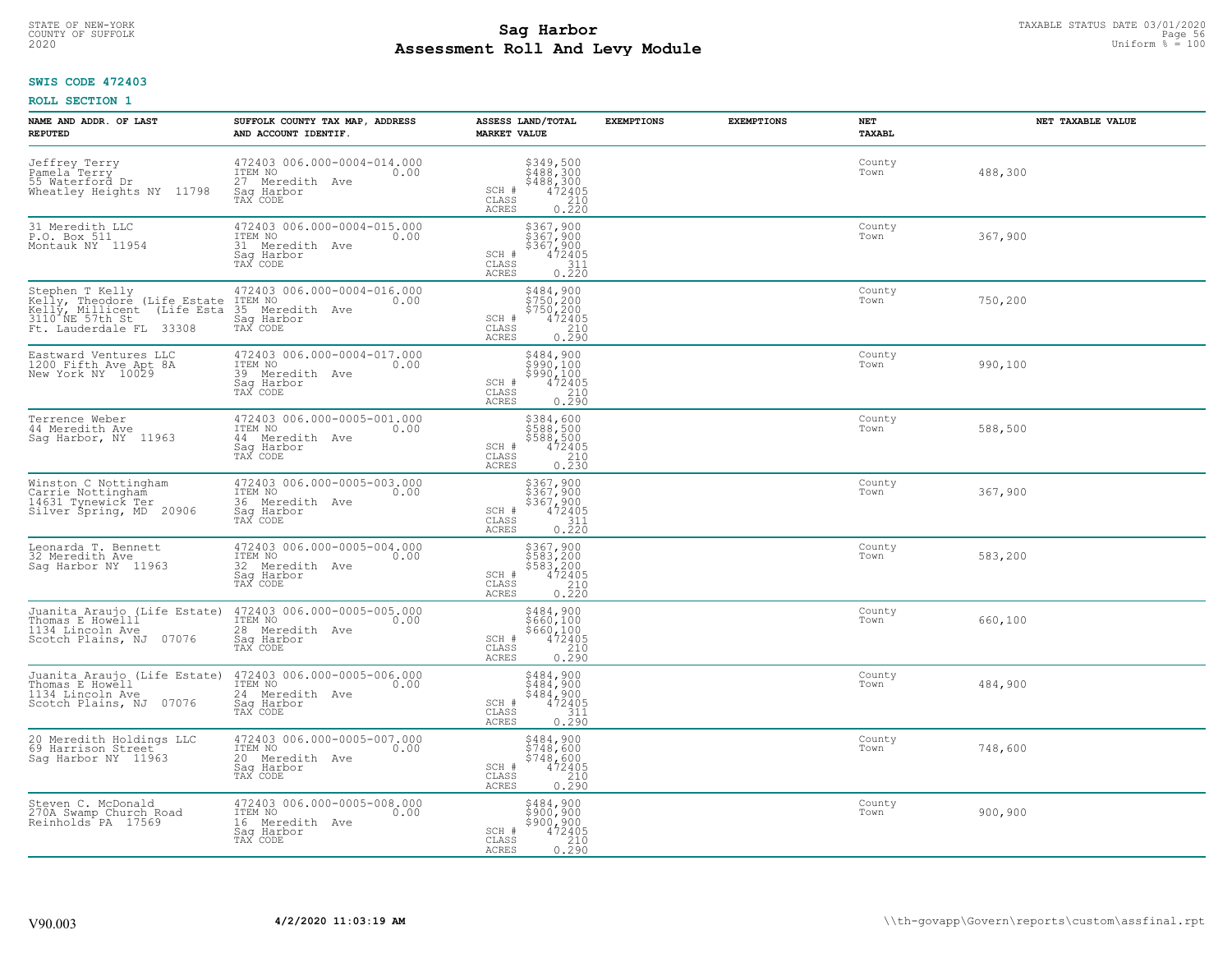# TAXABLE STATUS DATE 03/01/2020<br>COUNTY OF SUFFOLK Page 56 COUNTY OF SUFFOLK Page 56 **Assessment Roll And Levy Module** 2020 Uniform % = 100

## **SWIS CODE 472403**

| NAME AND ADDR. OF LAST<br><b>REPUTED</b>                                                                                                                         | SUFFOLK COUNTY TAX MAP, ADDRESS<br>AND ACCOUNT IDENTIF.                                        | ASSESS LAND/TOTAL<br><b>MARKET VALUE</b>                                                                                           | <b>EXEMPTIONS</b><br><b>EXEMPTIONS</b> | <b>NET</b><br><b>TAXABL</b> | NET TAXABLE VALUE |
|------------------------------------------------------------------------------------------------------------------------------------------------------------------|------------------------------------------------------------------------------------------------|------------------------------------------------------------------------------------------------------------------------------------|----------------------------------------|-----------------------------|-------------------|
| Jeffrey Terry<br>Pamela Terry<br>55 Waterford Dr<br>Wheatley Heights NY 11798                                                                                    | 472403 006.000-0004-014.000<br>ITEM NO<br>0.00<br>27 Meredith Ave<br>Saq Harbor<br>TAX CODE    | $$349,500$<br>$$488,300$<br>$$488,300$<br>$472405$<br>210<br>SCH #<br>CLASS<br>ACRES<br>0.220                                      |                                        | County<br>Town              | 488,300           |
| 31 Meredith LLC<br>P.O. Box 511<br>Montauk NY 11954                                                                                                              | 472403 006.000-0004-015.000<br>ITEM NO<br>0.00<br>31 Meredith Ave<br>Saq Harbor<br>TAX CODE    | \$367,900<br>\$367,900<br>\$367,900<br>472405<br>SCH #<br>CLASS<br>$\begin{array}{c} 0.7511 \\ 0.220 \end{array}$<br>ACRES         |                                        | County<br>Town              | 367,900           |
| Stephen T Kelly<br>Kelly, Theodore (Life Estate<br>Kelly, Millicent<br>(Life Esta<br>$3110$ <sup><math>\text{NE}</math></sup> 57th St<br>Ft. Lauderdale FL 33308 | 472403 006.000-0004-016.000<br>ITEM NO<br>0.00<br>35<br>Meredith Ave<br>Sag Harbor<br>TAX CODE | \$484,900<br>\$750,200<br>\$750,200<br>SCH #<br>472405<br>CLASS<br>0.290<br>ACRES                                                  |                                        | County<br>Town              | 750,200           |
| Eastward Ventures LLC<br>1200 Fifth Ave Apt 8A<br>New York NY 10029                                                                                              | 472403 006.000-0004-017.000<br>ITEM NO<br>0.00<br>39 Meredith Ave<br>Saq Harbor<br>TAX CODE    | \$484,900<br>\$990,100<br>5990,100<br>SCH #<br>$\begin{array}{r} 47\bar{2}\bar{4}05 \\ 210 \\ 0.290 \end{array}$<br>CLASS<br>ACRES |                                        | County<br>Town              | 990,100           |
| Terrence Weber<br>44 Meredith Ave<br>Sag Harbor, NY 11963                                                                                                        | 472403 006.000-0005-001.000<br>ITEM NO<br>0.00<br>44 Meredith Ave<br>Saq Harbor<br>TAX CODE    | \$384,600<br>3588,500<br>$$588,500$ $472405$ $0.230$<br>SCH #<br>CLASS<br><b>ACRES</b>                                             |                                        | County<br>Town              | 588,500           |
| Winston C Nottingham<br>Carrie Nottingham<br>14631 Tynewick Ter<br>Silver Spring, MD 20906                                                                       | 472403 006.000-0005-003.000<br>ITEM NO<br>0.00<br>36 Meredith Ave<br>Sag Harbor<br>TAX CODE    | \$367,900<br>\$367,900<br>\$367,900<br>472405<br>SCH #<br>$\begin{array}{c} 311 \\ 0.220 \end{array}$<br>CLASS<br><b>ACRES</b>     |                                        | County<br>Town              | 367,900           |
| Leonarda T. Bennett<br>32 Meredith Ave<br>Saq Harbor NY 11963                                                                                                    | 472403 006.000-0005-004.000<br>ITEM NO<br>0.00<br>32<br>Meredith Ave<br>Saq Harbor<br>TAX CODE | \$367,900<br>\$583,200<br>\$583,200<br>472405<br>SCH #<br>0.220<br>CLASS<br>ACRES                                                  |                                        | County<br>Town              | 583,200           |
| Juanita Araujo (Life Estate)<br>Thomas E Howelll<br>1134 Lincoln Ave<br>Scotch Plains, NJ 07076                                                                  | 472403 006.000-0005-005.000<br>ITEM NO<br>0.00<br>28 Meredith Ave<br>Sag Harbor<br>TAX CODE    | $\begin{array}{r} 5484, 900 \\ 5660, 100 \\ 5660, 100 \\ 472405 \\ 210 \\ 0.290 \end{array}$<br>SCH #<br>CLASS<br><b>ACRES</b>     |                                        | County<br>Town              | 660,100           |
| Juanita Araujo (Life Estate)<br>Thomas E Howell<br>1134 Lincoln Ave<br>Scotch Plains, NJ 07076                                                                   | 472403 006.000-0005-006.000<br>TTEM NO 0.00<br>24 Meredith Ave<br>Saq Harbor<br>TAX CODE       | \$484,900<br>\$484,900<br>\$484,900<br>472405<br>SCH #<br>CLASS<br>$\frac{311}{0.290}$<br>ACRES                                    |                                        | County<br>Town              | 484,900           |
| 20 Meredith Holdings LLC<br>69 Harrison Street<br>Sag Harbor NY 11963                                                                                            | 472403 006.000-0005-007.000<br>ITEM NO<br>0.00<br>20 Meredith Ave<br>Sag Harbor<br>TAX CODE    | \$484,900<br>\$748,600<br>\$748,600<br>SCH #<br>$\frac{472405}{210}$<br>CLASS<br>0.290<br><b>ACRES</b>                             |                                        | County<br>Town              | 748,600           |
| Steven C. McDonald<br>270A Swamp Church Road<br>Reinholds PA 17569                                                                                               | 472403 006.000-0005-008.000<br>ITEM NO<br>0.00<br>16 Meredith Ave<br>Sag Harbor<br>TAX CODE    | \$484,900<br>\$900,900<br>\$900,900<br>SCH #<br>472405<br>$\begin{array}{c} 210 \\ 0.290 \end{array}$<br>CLASS<br><b>ACRES</b>     |                                        | County<br>Town              | 900,900           |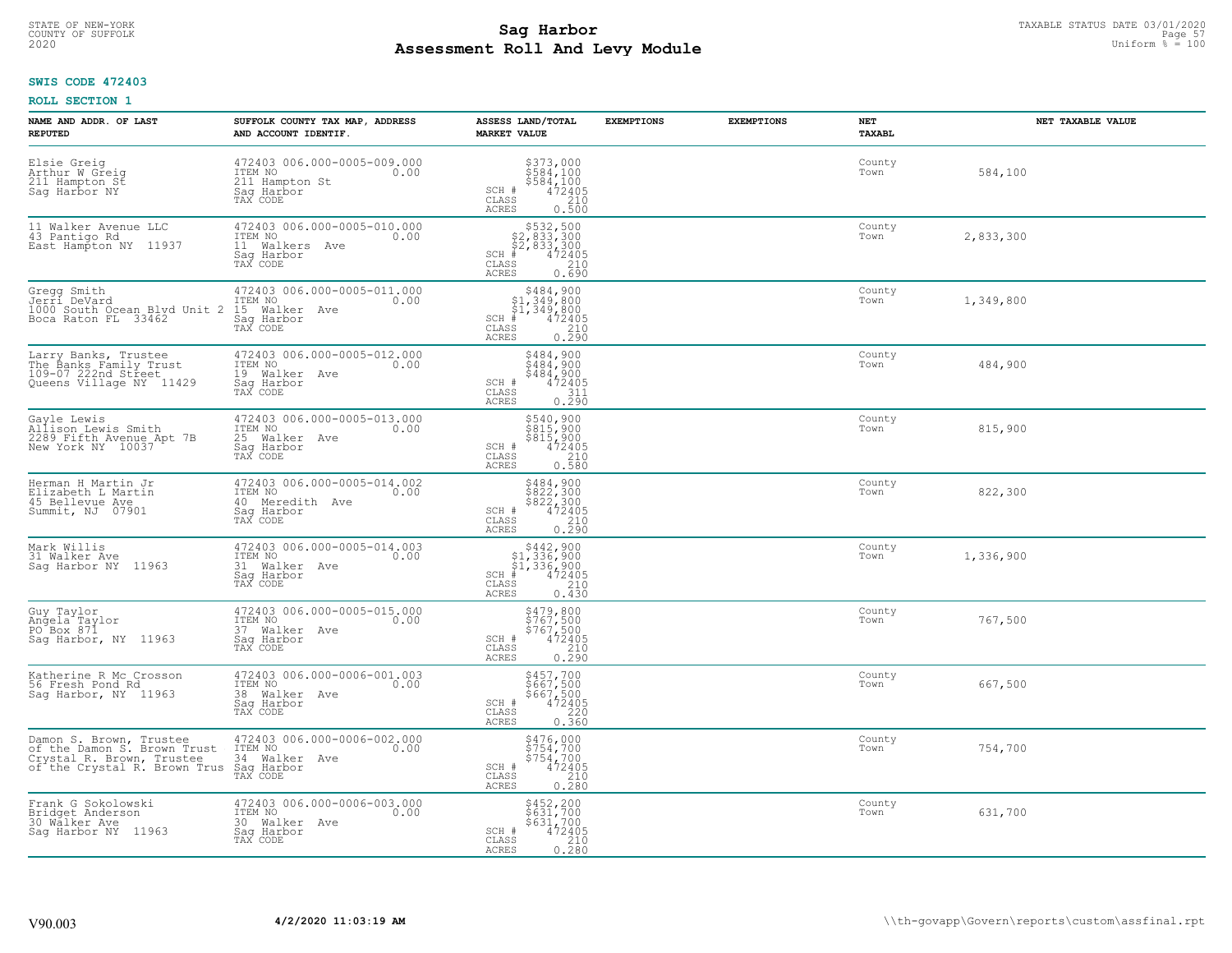# TAXABLE STATUS DATE 03/01/2020<br>COUNTY OF SUFFOLK Page 57 **Assessment Roll And Levy Module** 2020 Uniform % = 100

## **SWIS CODE 472403**

| NAME AND ADDR. OF LAST<br><b>REPUTED</b>                                                                            | SUFFOLK COUNTY TAX MAP, ADDRESS<br>AND ACCOUNT IDENTIF.                                     | ASSESS LAND/TOTAL<br><b>MARKET VALUE</b>                                                                                       | <b>EXEMPTIONS</b> | <b>EXEMPTIONS</b> | NET<br><b>TAXABL</b> | NET TAXABLE VALUE |
|---------------------------------------------------------------------------------------------------------------------|---------------------------------------------------------------------------------------------|--------------------------------------------------------------------------------------------------------------------------------|-------------------|-------------------|----------------------|-------------------|
| Elsie Greig<br>Arthur W Greig<br>211 Hampton St<br>Sag Harbor NY                                                    | 472403 006.000-0005-009.000<br>ITEM NO<br>0.00<br>211 Hampton St<br>Saq Harbor<br>TAX CODE  | $$373,000$<br>$$584,100$<br>$$584,100$<br>$$472405$<br>210<br>SCH #<br>CLASS<br><b>ACRES</b><br>0.500                          |                   |                   | County<br>Town       | 584,100           |
| 11 Walker Avenue LLC<br>43 Pantigo Rd<br>East Hampton NY 11937                                                      | 472403 006.000-0005-010.000<br>ITEM NO<br>0.00<br>11 Walkers Ave<br>Saq Harbor<br>TAX CODE  | \$532,500<br>\$2,833,300<br>\$2,833,300<br>$SCH$ #<br>472405<br>CLASS<br>210<br>0.690<br><b>ACRES</b>                          |                   |                   | County<br>Town       | 2,833,300         |
| Gregg Smith<br>Jerri DeVard<br>1000 South Ocean Blyd Unit 2<br>Boca Raton FL 33462                                  | 472403 006.000-0005-011.000<br>ITEM NO<br>0.00<br>15 Walker Ave<br>Saq Harbor<br>TAX CODE   | $$484,900$<br>$$1,349,800$<br>$$1,349,800$<br>$$472405$<br>$SCH$ #<br>CLASS<br>$\frac{210}{0.290}$<br><b>ACRES</b>             |                   |                   | County<br>Town       | 1,349,800         |
| Larry Banks, Trustee<br>The Banks Family Trust<br>109-07 222nd Street<br>Queens Village NY 11429                    | 472403 006.000-0005-012.000<br>TTEM NO 0.00<br>19 Walker Ave<br>Saq Harbor<br>TAX CODE      | \$484,900<br>\$484,900<br>\$484,900<br>472405<br>SCH #<br>CLASS<br>311<br><b>ACRES</b><br>0.290                                |                   |                   | County<br>Town       | 484,900           |
| Gayle Lewis<br>Nilison Lewis Smith<br>2289 Fifth Avenue Apt 7B<br>New York NY 10037                                 | 472403 006.000-0005-013.000<br>TTEM NO 0.00<br>25 Walker Ave<br>Saq Harbor<br>TAX CODE      | \$540,900<br>\$815,900<br>\$815,900<br>\$815,900<br>472405<br>SCH #<br>CLASS<br><b>ACRES</b><br>0.580                          |                   |                   | County<br>Town       | 815,900           |
| Herman H Martin Jr<br>Elizabeth L Martin<br>45 Bellevue Ave<br>Summit, NJ 07901                                     | 472403 006.000-0005-014.002<br>ITEM NO<br>0.00<br>40 Meredith Ave<br>Saq Harbor<br>TAX CODE | $\begin{array}{r} 5484, 900 \\ 5822, 300 \\ 5822, 300 \\ 472405 \\ 210 \\ 0.290 \end{array}$<br>SCH #<br>CLASS<br><b>ACRES</b> |                   |                   | County<br>Town       | 822,300           |
| Mark Willis<br>31 Walker Ave<br>Saq Harbor NY 11963                                                                 | 472403 006.000-0005-014.003<br>ITEM NO<br>0.00<br>31 Walker Ave<br>Saq Harbor<br>TAX CODE   | $$442,900$<br>$$1,336,900$<br>$$1,336,900$<br>$$472405$<br>$SCH$ #<br>CLASS<br>210<br>0.430<br><b>ACRES</b>                    |                   |                   | County<br>Town       | 1,336,900         |
| Guy Taylor<br>Angela Taylor<br>PO Box 871<br>Saq Harbor, NY 11963                                                   | 472403 006.000-0005-015.000<br>TTEM NO 0.00<br>37 Walker Ave<br>Saq Harbor<br>TAX CODE      | \$479,800<br>\$767,500<br>\$767,500<br>\$767,500<br>SCH #<br>CLASS<br>210<br><b>ACRES</b><br>0.290                             |                   |                   | County<br>Town       | 767,500           |
| Katherine R Mc Crosson<br>56 Fresh Pond Rd<br>Sag Harbor, NY 11963                                                  | 472403 006.000-0006-001.003<br>TTEM NO 0.00<br>38 Walker Ave<br>Saq Harbor<br>TAX CODE      | \$457,700<br>\$667,500<br>\$667,500<br>472405<br>SCH #<br>CLASS<br>220<br>0.360<br><b>ACRES</b>                                |                   |                   | County<br>Town       | 667,500           |
| Damon S. Brown, Trustee<br>of the Damon S. Brown Trust<br>Crystal R. Brown, Trustee<br>of the Crystal R. Brown Trus | 472403 006.000-0006-002.000<br>ITEM NO<br>0.00<br>34 Walker Ave<br>Sag Harbor<br>TAX CODE   | \$476,000<br>\$754,700<br>\$754,700<br>472405<br>SCH #<br>210<br>CLASS<br>0.280<br><b>ACRES</b>                                |                   |                   | County<br>Town       | 754,700           |
| Frank G Sokolowski<br>Bridget Anderson<br>30 Wälker Ave<br>Saq Harbor NY 11963                                      | 472403 006.000-0006-003.000<br>ITEM NO<br>0.00<br>30 Walker Ave<br>Sag Harbor<br>TAX CODE   | \$452,200<br>\$631,700<br>\$631,700<br>SCH #<br>472405<br>$\begin{array}{c} 210 \\ 0.280 \end{array}$<br>CLASS<br><b>ACRES</b> |                   |                   | County<br>Town       | 631,700           |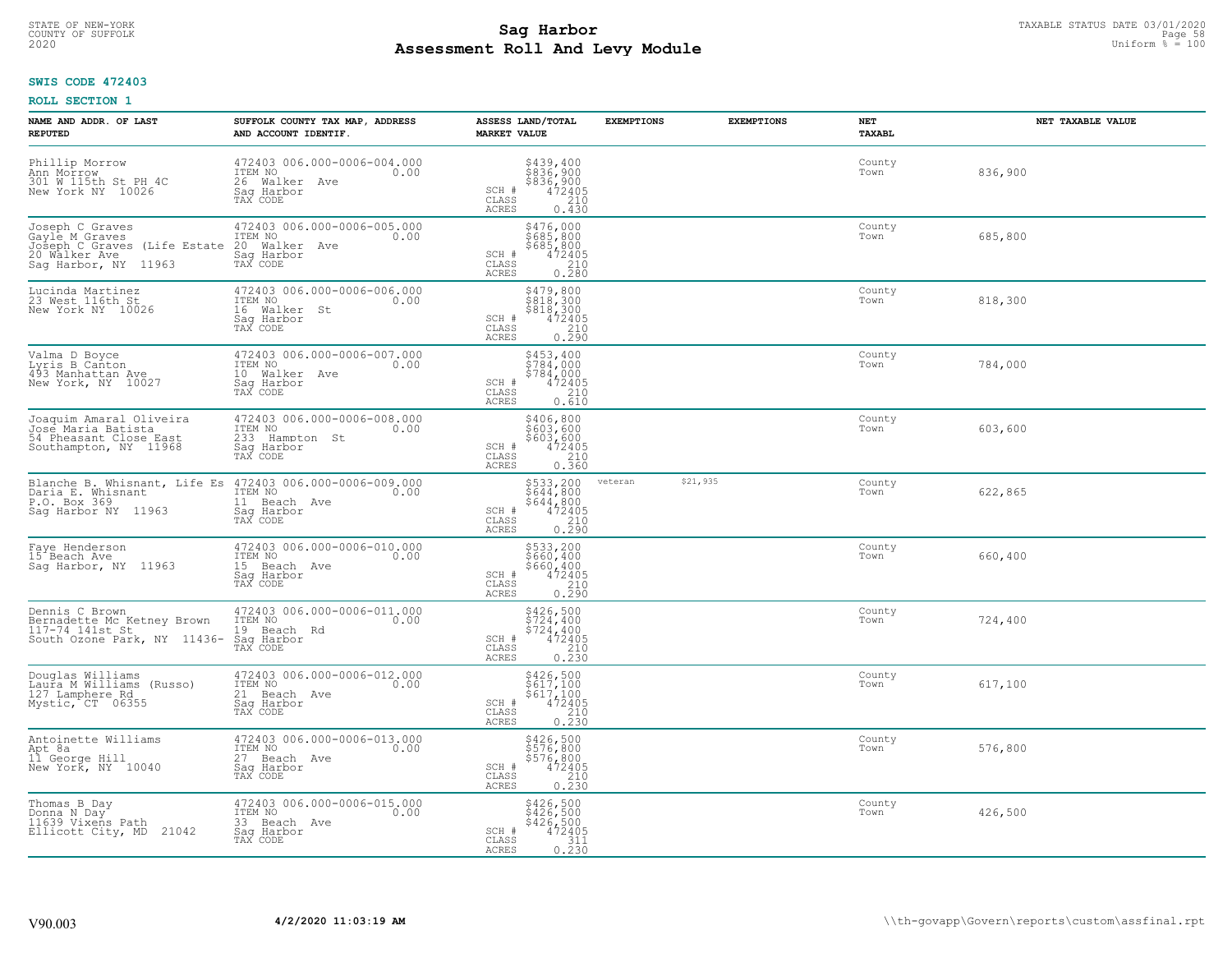# TAXABLE STATUS DATE 03/01/2020<br>COUNTY OF SUFFOLK Page 58 COUNTY OF SUFFOLK Page 58 **Assessment Roll And Levy Module** 2020 Uniform % = 100

## **SWIS CODE 472403**

| NAME AND ADDR. OF LAST<br><b>REPUTED</b>                                                                   | SUFFOLK COUNTY TAX MAP, ADDRESS<br>AND ACCOUNT IDENTIF.                                                               | ASSESS LAND/TOTAL<br><b>MARKET VALUE</b>                                                                                                   | <b>EXEMPTIONS</b>   | <b>EXEMPTIONS</b><br>NET<br><b>TAXABL</b> |         | NET TAXABLE VALUE |
|------------------------------------------------------------------------------------------------------------|-----------------------------------------------------------------------------------------------------------------------|--------------------------------------------------------------------------------------------------------------------------------------------|---------------------|-------------------------------------------|---------|-------------------|
| Phillip Morrow<br>Ann Morrow<br>301 W 115th St PH 4C<br>New York NY 10026                                  | 472403 006.000-0006-004.000<br>ITEM NO<br>0.00<br>26 Walker Ave<br>Saq Harbor<br>TAX CODE                             | \$439,400<br>\$836,900<br>\$836,900<br>472405<br>SCH #<br>$\mathtt{CLASS}$<br>210<br>ACRES<br>0.430                                        |                     | County<br>Town                            | 836,900 |                   |
| Joseph C Graves<br>Gayle M Graves<br>Joseph C Graves (Life Estate<br>20 Walker Ave<br>Sag Harbor, NY 11963 | 472403 006.000-0006-005.000<br>ITEM NO<br>0.00<br>20 Walker Ave<br>Sag Harbor<br>TAX CODE                             | \$476,000<br>\$685,800<br>\$685,800<br>SCH #<br>472405<br>$\begin{array}{c} 210 \\ 0.280 \end{array}$<br>CLASS<br>ACRES                    |                     | County<br>Town                            | 685,800 |                   |
| Lucinda Martinez<br>23 West 116th St<br>New York NY 10026                                                  | 472403 006.000-0006-006.000<br>ITEM NO<br>0.00<br>16 Walker St<br>Sag Harbor<br>TAX CODE                              | \$479,800<br>3479,800<br>\$818,300<br>\$818,300<br>472405<br>0.290<br>SCH #<br>CLASS<br>ACRES                                              |                     | County<br>Town                            | 818,300 |                   |
| Valma D Boyce<br>Lyris B Canton<br>493 Manhattan Ave<br>New York, NY 10027                                 | 472403 006.000-0006-007.000<br>TTEM NO 0.00<br>10 Walker Ave<br>Saq Harbor<br>TAX CODE                                | \$453,400<br>\$784,000<br>$\begin{array}{r} 7784,000 \\ 472405 \\ 210 \\ 0.610 \end{array}$<br>SCH #<br>$\mathtt{CLASS}$<br>ACRES          |                     | County<br>Town                            | 784,000 |                   |
| Joaquim Amaral Oliveira<br>José Maria Batista<br>54 Pheasant Close East<br>Southampton, NY 11968           | 472403 006.000-0006-008.000<br>ITEM NO<br>0.00<br>233 Hampton St<br>Saq Harbor<br>TAX CODE                            | \$406,800<br>\$603,600<br>\$603,600<br>SCH #<br>$\begin{smallmatrix} 472405 \\ 472405 \\ 210 \\ 0.360 \end{smallmatrix}$<br>CLASS<br>ACRES |                     | County<br>Town                            | 603,600 |                   |
| Daria E. Whisnant<br>P.O. Box 369<br>Saq Harbor NY 11963                                                   | Blanche B. Whisnant, Life Es 472403 006.000-0006-009.000<br>ITEM NO<br>0.00<br>11 Beach Ave<br>Sag Harbor<br>TAX CODE | $\begin{array}{r} 5533, 200 \\ 5644, 800 \\ 5644, 800 \\ 472405 \\ 210 \\ 0.290 \end{array}$<br>SCH #<br>CLASS<br><b>ACRES</b>             | \$21,935<br>veteran | County<br>Town                            | 622,865 |                   |
| Faye Henderson<br>15 Beach Ave<br>Saq Harbor, NY 11963                                                     | 472403 006.000-0006-010.000<br>ITEM NO<br>0.00<br>15 Beach Ave<br>Saq Harbor<br>TAX CODE                              | \$533,200<br>\$660,400<br>\$660,400<br>\$660,400<br>\$72405<br>0.290<br>SCH #<br>CLASS<br>ACRES                                            |                     | County<br>Town                            | 660,400 |                   |
| Dennis C Brown<br>Bernadette Mc Ketney Brown<br>117-74 141st St<br>South Ozone Park, NY 11436-             | 472403 006.000-0006-011.000<br>TTEM NO 0.00<br>19 Beach Rd<br>Saq Harbor<br>TAX CODE                                  | \$426,500<br>\$724,400<br>\$724,400<br>\$72405<br>0.230<br>0.230<br>SCH #<br>CLASS<br>ACRES                                                |                     | County<br>Town                            | 724,400 |                   |
| Douglas Williams<br>Laura M Williams (Russo)<br>127 Lamphere Rd<br>Mystic, CT 06355                        | 472403 006.000-0006-012.000<br>ITEM NO 0.00<br>21 Beach Ave<br>Saq Harbor<br>TAX CODE                                 | $\begin{array}{r} 5426, 500 \\ 5617, 100 \\ 5617, 100 \\ 472405 \\ 210 \\ 0.230 \end{array}$<br>SCH #<br>CLASS<br>ACRES                    |                     | County<br>Town                            | 617,100 |                   |
| Antoinette Williams<br>Apt 8a<br>11 George Hill<br>New York, NY 10040                                      | 472403 006.000-0006-013.000<br>ITEM NO<br>0.00<br>27 Beach Ave<br>Saq Harbor<br>TAX CODE                              | $$426,500$<br>$$576,800$<br>$$576,800$<br>$$472405$<br>$$210$<br>SCH #<br>CLASS<br>0.230<br>ACRES                                          |                     | County<br>Town                            | 576,800 |                   |
| Thomas B Day<br>Donna N Day<br>11639 Vixens Path<br>21042<br>Ellicott City, MD                             | 472403 006.000-0006-015.000<br>ITEM NO<br>0.00<br>33 Beach Ave<br>Sag Harbor<br>TAX CODE                              | \$426,500<br>\$426,500<br>\$426,500<br>472405<br>SCH #<br>$\begin{array}{c} 311 \\ 0.230 \end{array}$<br>CLASS<br>ACRES                    |                     | County<br>Town                            | 426,500 |                   |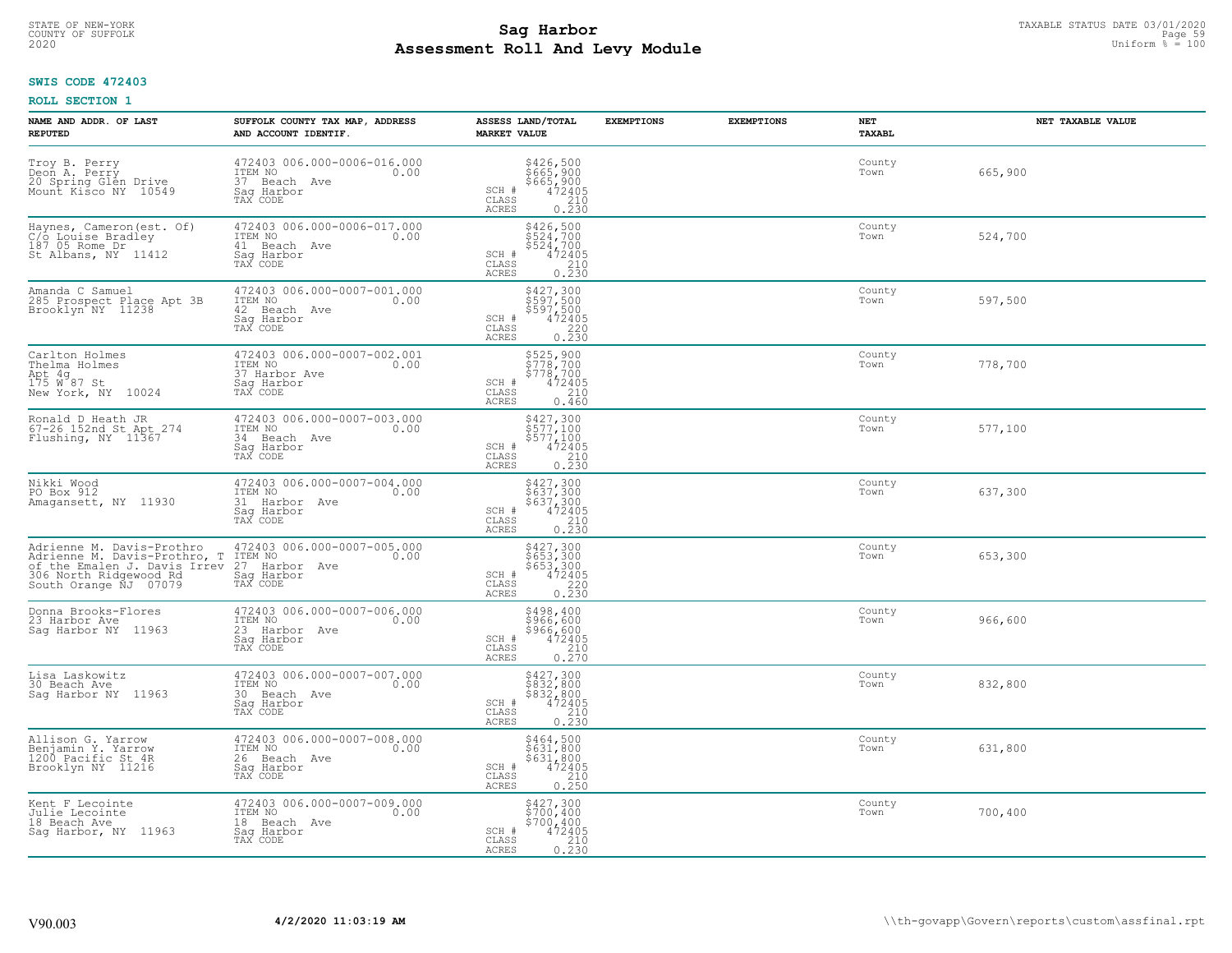# TAXABLE STATUS DATE 03/01/2020<br>COUNTY OF SUFFOLK Page 59 COUNTY OF SUFFOLK Page 59 **Assessment Roll And Levy Module** 2020 Uniform % = 100

### **SWIS CODE 472403**

| NAME AND ADDR. OF LAST<br><b>REPUTED</b>                                                                                                     | SUFFOLK COUNTY TAX MAP, ADDRESS<br>AND ACCOUNT IDENTIF.                                      | ASSESS LAND/TOTAL<br><b>MARKET VALUE</b>                                                                                               | <b>EXEMPTIONS</b><br><b>EXEMPTIONS</b> | NET<br>TAXABL  | NET TAXABLE VALUE |
|----------------------------------------------------------------------------------------------------------------------------------------------|----------------------------------------------------------------------------------------------|----------------------------------------------------------------------------------------------------------------------------------------|----------------------------------------|----------------|-------------------|
| Troy B. Perry<br>Deon A. Perry<br>20 Spring Glén Drive<br>Mount Kisco NY 10549                                                               | 472403 006.000-0006-016.000<br>ITEM NO<br>0.00<br>37 Beach Ave<br>Saq Harbor<br>TAX CODE     | \$426,500<br>\$665,900<br>\$665,900<br>472405<br>210<br>SCH #<br>CLASS<br><b>ACRES</b><br>0.230                                        |                                        | County<br>Town | 665,900           |
| Haynes, Cameron (est. Of)<br>C/O Louise Bradley<br>187 05 Rome Dr<br>St Albans, NY 11412                                                     | 472403 006.000-0006-017.000<br>ITEM NO<br>0.00<br>41 Beach Ave<br>Sag Harbor<br>TAX CODE     | \$426,500<br>\$524,700<br>\$524,700<br>472405<br>SCH #<br>CLASS<br>$\frac{210}{0.230}$<br><b>ACRES</b>                                 |                                        | County<br>Town | 524,700           |
| Amanda C Samuel<br>285 Prospect Place Apt 3B<br>Brooklyn NY 11238                                                                            | 472403 006.000-0007-001.000<br>ITEM NO<br>0.00<br>42<br>Beach Ave<br>Saq Harbor<br>TAX CODE  | \$427,300<br>\$597,500<br>\$597,500<br>\$597,500<br>472405<br>0.230<br>SCH #<br>CLASS<br>ACRES                                         |                                        | County<br>Town | 597,500           |
| Carlton Holmes<br>Thelma Holmes<br>Apt 4g<br>175 W 87 St<br>New York, NY 10024                                                               | 472403 006.000-0007-002.001<br>TTEM NO 0.00<br>37 Harbor Ave<br>Saq Harbor<br>TAX CODE       | \$525,900<br>\$778,700<br>\$778,700<br>SCH #<br>$472405$<br>210<br>CLASS<br>ACRES<br>0.460                                             |                                        | County<br>Town | 778,700           |
| Ronald D Heath JR<br>67-26 152nd St Apt 274<br>Flushing, NY 11367                                                                            | 472403 006.000-0007-003.000<br>ITEM NO<br>0.00<br>34 Beach Ave<br>Saq Harbor<br>TAX CODE     | $\begin{array}{c} 5427,300 \\ 5577,100 \\ 5577,100 \\ 472405 \\ 210 \\ 0.230 \end{array}$<br>SCH #<br>CLASS<br>ACRES                   |                                        | County<br>Town | 577,100           |
| Nikki Wood<br>PO Box 912<br>Amagansett, NY 11930                                                                                             | 472403 006.000-0007-004.000<br>ITEM NO<br>0.00<br>31 Harbor Ave<br>Saq Harbor<br>TAX CODE    | $\begin{array}{r} 5427,300 \\ 5637,300 \\ 5637,300 \\ 472405 \\ 210 \\ 0.230 \end{array}$<br>SCH #<br>$\mathtt{CLASS}$<br><b>ACRES</b> |                                        | County<br>Town | 637,300           |
| Adrienne M. Davis-Prothro<br>Adrienne M. Davis-Prothro, T<br>of the Emalen J. Davis Irrev<br>306 North Ridgewood Rd<br>South Orange NJ 07079 | 472403 006.000-0007-005.000<br>ITEM NO<br>0.00<br>27<br>Harbor Ave<br>Sag Harbor<br>TAX CODE | \$427,300<br>\$653,300<br>\$653,300<br>472405<br>SCH #<br>$0.220$<br>0.230<br>CLASS<br><b>ACRES</b>                                    |                                        | County<br>Town | 653,300           |
| Donna Brooks-Flores<br>23 Harbor Ave<br>Saq Harbor NY 11963                                                                                  | 472403 006.000-0007-006.000<br>TTEM NO 0.00<br>23 Harbor Ave<br>Sag Harbor<br>TAX CODE       | \$498,400<br>\$966,600<br>\$966,600<br>\$966,600<br>0.270<br>0.270<br>SCH #<br>CLASS<br><b>ACRES</b>                                   |                                        | County<br>Town | 966,600           |
| Lisa Laskowitz<br>30 Beach Ave<br>Saq Harbor NY 11963                                                                                        | 472403 006.000-0007-007.000<br>TTEM NO 0.00<br>30 Beach Ave<br>Saq Harbor<br>TAX CODE        | \$427,300<br>\$832,800<br>\$832,800<br>\$832,800<br>\$72405<br>\$210<br>\$230<br>SCH #<br>CLASS<br>ACRES                               |                                        | County<br>Town | 832,800           |
| Allison G. Yarrow<br>Benjamin Y. Yarrow<br>1200 Pacific St 4R<br>Brooklyn NY 11216                                                           | 472403 006.000-0007-008.000<br>ITEM NO<br>0.00<br>26 Beach Ave<br>Sag Harbor<br>TAX CODE     | $$464,500$<br>$$631,800$<br>$$631,800$<br>$472405$<br>210<br>210<br>SCH #<br>$\mathtt{CLASS}$<br>0.250<br><b>ACRES</b>                 |                                        | County<br>Town | 631,800           |
| Kent F Lecointe<br>Julie Lecointe<br>18 Beach Ave<br>Saq Harbor, NY 11963                                                                    | 472403 006.000-0007-009.000<br>ITEM NO<br>0.00<br>18 Beach Ave<br>Sag Harbor<br>TAX CODE     | \$427,300<br>\$700,400<br>\$700,400<br>SCH #<br>472405<br>$\begin{array}{c} 210 \\ 0.230 \end{array}$<br>$\mathtt{CLASS}$<br>ACRES     |                                        | County<br>Town | 700,400           |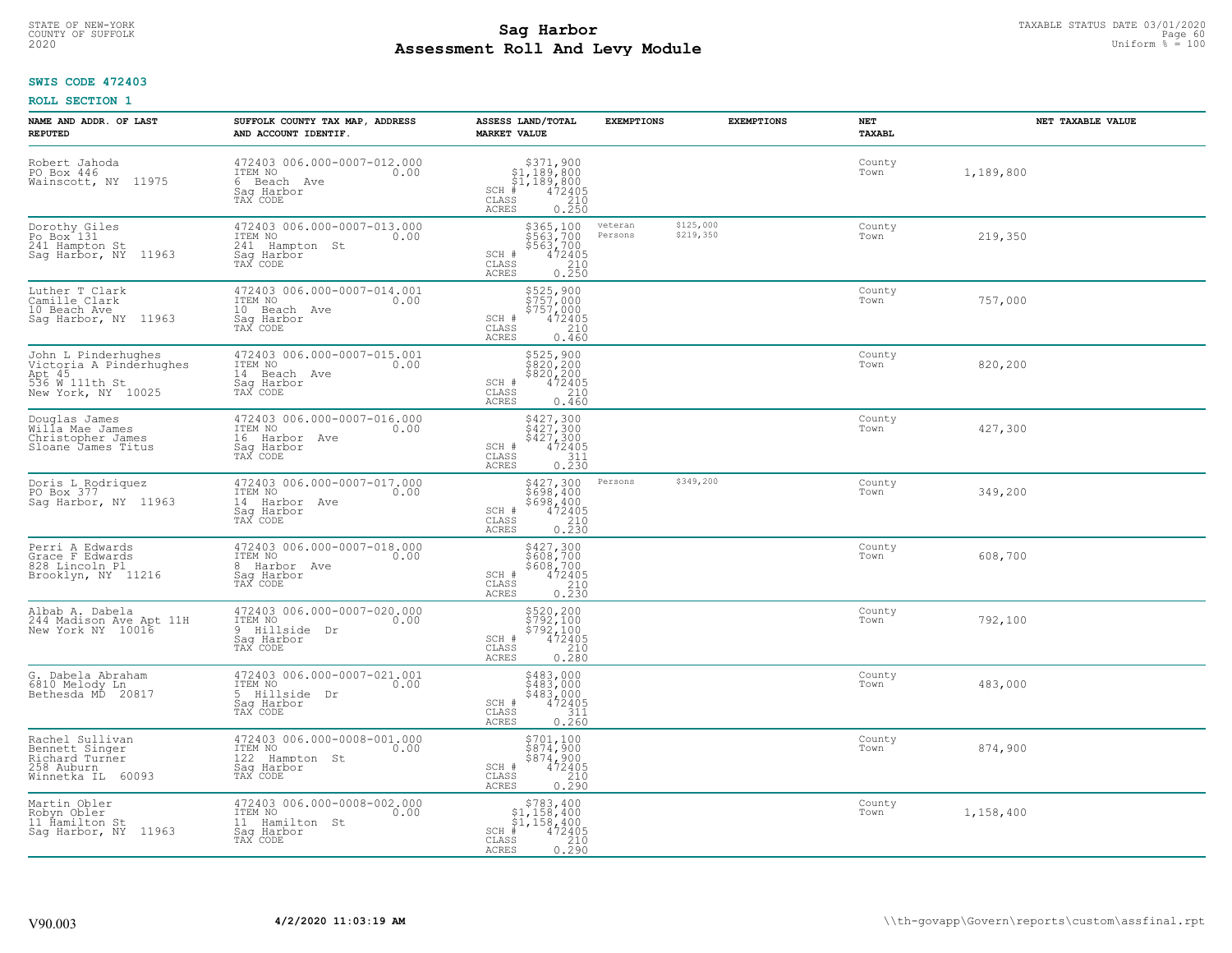# TAXABLE STATUS DATE 03/01/2020<br>COUNTY OF SUFFOLK Page 60 **Assessment Roll And Levy Module** 2020 Uniform % = 100

## **SWIS CODE 472403**

| NAME AND ADDR. OF LAST<br><b>REPUTED</b>                                                         | SUFFOLK COUNTY TAX MAP, ADDRESS<br>AND ACCOUNT IDENTIF.                                    | ASSESS LAND/TOTAL<br><b>MARKET VALUE</b>                                                                                                        | <b>EXEMPTIONS</b>                            | <b>EXEMPTIONS</b> | NET<br><b>TAXABL</b> | NET TAXABLE VALUE |
|--------------------------------------------------------------------------------------------------|--------------------------------------------------------------------------------------------|-------------------------------------------------------------------------------------------------------------------------------------------------|----------------------------------------------|-------------------|----------------------|-------------------|
| Robert Jahoda<br>PO Box 446<br>Wainscott, NY 11975                                               | 472403 006.000-0007-012.000<br>ITEM NO<br>0.00<br>6 Beach Ave<br>Saq Harbor<br>TAX CODE    | $\begin{array}{r} 3371,900 \\ 51,189,800 \\ 51,189,800 \\ * \\ 472405 \\ \text{ss} \\ 210 \\ \end{array}$<br>$SCH$ #<br>CLASS<br>ACRES<br>0.250 |                                              |                   | County<br>Town       | 1,189,800         |
| Dorothy Giles<br>Po Box 131<br>241 Hampton St<br>Sag Harbor, NY 11963                            | 472403 006.000-0007-013.000<br>ITEM NO<br>0.00<br>241 Hampton St<br>Saq Harbor<br>TAX CODE | \$365,100<br>\$563,700<br>\$563,700<br>$472405$<br>$210$<br>0.250<br>SCH #<br>CLASS<br><b>ACRES</b>                                             | \$125,000<br>veteran<br>\$219,350<br>Persons |                   | County<br>Town       | 219,350           |
| Luther T Clark<br>Camille Clark<br>10 Beach Ave<br>Saq Harbor, NY 11963                          | 472403 006.000-0007-014.001<br>ITEM NO<br>0.00<br>10 Beach Ave<br>Saq Harbor<br>TAX CODE   | \$525,900<br>\$757,000<br>\$757,000<br>SCH #<br>472405<br>CLASS<br>210<br>0.460<br>ACRES                                                        |                                              |                   | County<br>Town       | 757,000           |
| John L Pinderhughes<br>Victoria A Pinderhughes<br>Apt 45<br>536 W 111th St<br>New York, NY 10025 | 472403 006.000-0007-015.001<br>TTEM NO 0.00<br>14 Beach Ave<br>Saq Harbor<br>TAX CODE      | $$525,900$<br>$$820,200$<br>$$472405$<br>$6210$<br>$0.460$<br>SCH #<br>CLASS<br>ACRES<br>0.460                                                  |                                              |                   | County<br>Town       | 820,200           |
| Douglas James<br>Willa Mae James<br>Christopher James<br>Sloane James Titus                      | 472403 006.000-0007-016.000<br>ITEM NO<br>0.00<br>16 Harbor Ave<br>Saq Harbor<br>TAX CODE  | $5427,3005427,3005427,3004724053112412$<br>SCH #<br>CLASS<br>0.230<br><b>ACRES</b>                                                              |                                              |                   | County<br>Town       | 427,300           |
| Doris L Rodriquez<br>PO Box 377<br>Sag Harbor, NY 11963                                          | 472403 006.000-0007-017.000<br>ITEM NO<br>0.00<br>14 Harbor Ave<br>Saq Harbor<br>TAX CODE  | \$427,300<br>\$698,400<br>\$698,400<br>472405<br>0.230<br>0.230<br>SCH #<br>CLASS<br><b>ACRES</b>                                               | \$349,200<br>Persons                         |                   | County<br>Town       | 349,200           |
| Perri A Edwards<br>Grace F Edwards<br>828 Lincoln Pl<br>Brooklyn, NY 11216                       | 472403 006.000-0007-018.000<br>ITEM NO<br>0.00<br>8 Harbor Ave<br>Saq Harbor<br>TAX CODE   | \$427,300<br>\$608,700<br>\$608,700<br>472405<br>0.230<br>0.230<br>SCH #<br>CLASS<br><b>ACRES</b>                                               |                                              |                   | County<br>Town       | 608,700           |
| Albab A. Dabela<br>244 Madison Ave Apt 11H<br>New York NY 10016                                  | 472403 006.000-0007-020.000<br>ITEM NO 0.00<br>9 Hillside Dr<br>Saq Harbor<br>TAX CODE     | \$520,200<br>\$792,100<br>\$792,100<br>\$72405<br>\$210<br>SCH #<br>CLASS<br>$0, \overline{280}$<br>ACRES                                       |                                              |                   | County<br>Town       | 792,100           |
| G. Dabela Abraham<br>6810 Melody Ln<br>Bethesda MD 20817                                         | 472403 006.000-0007-021.001<br>ITEM NO 0.00<br>5 Hillside Dr<br>Saq Harbor<br>TAX CODE     | $5483,0005483,0005483,000472405311212$<br>SCH #<br>CLASS<br>ACRES<br>0.260                                                                      |                                              |                   | County<br>Town       | 483,000           |
| Rachel Sullivan<br>Bennett Singer<br>Richard Turner<br>258 Auburn<br>Winnetka IL 60093           | 472403 006.000-0008-001.000<br>ITEM NO<br>0.00<br>122 Hampton St<br>Sag Harbor<br>TAX CODE | $\begin{array}{c}\n $701,100 \\  $874,900 \\  $874,900 \\  $472405 \\  210\n \end{array}$<br>SCH #<br>CLASS<br>0.290<br><b>ACRES</b>            |                                              |                   | County<br>Town       | 874,900           |
| Martin Obler<br>Robyn Obler<br>11 Ĥamilton St<br>Saq Harbor, NY 11963                            | 472403 006.000-0008-002.000<br>ITEM NO<br>0.00<br>11 Hamilton St<br>Saq Harbor<br>TAX CODE | \$783,400<br>\$1,158,400<br>\$1,158,400<br>$SCH$ #<br>$72405\n210\n0.290$<br>CLASS<br>ACRES                                                     |                                              |                   | County<br>Town       | 1,158,400         |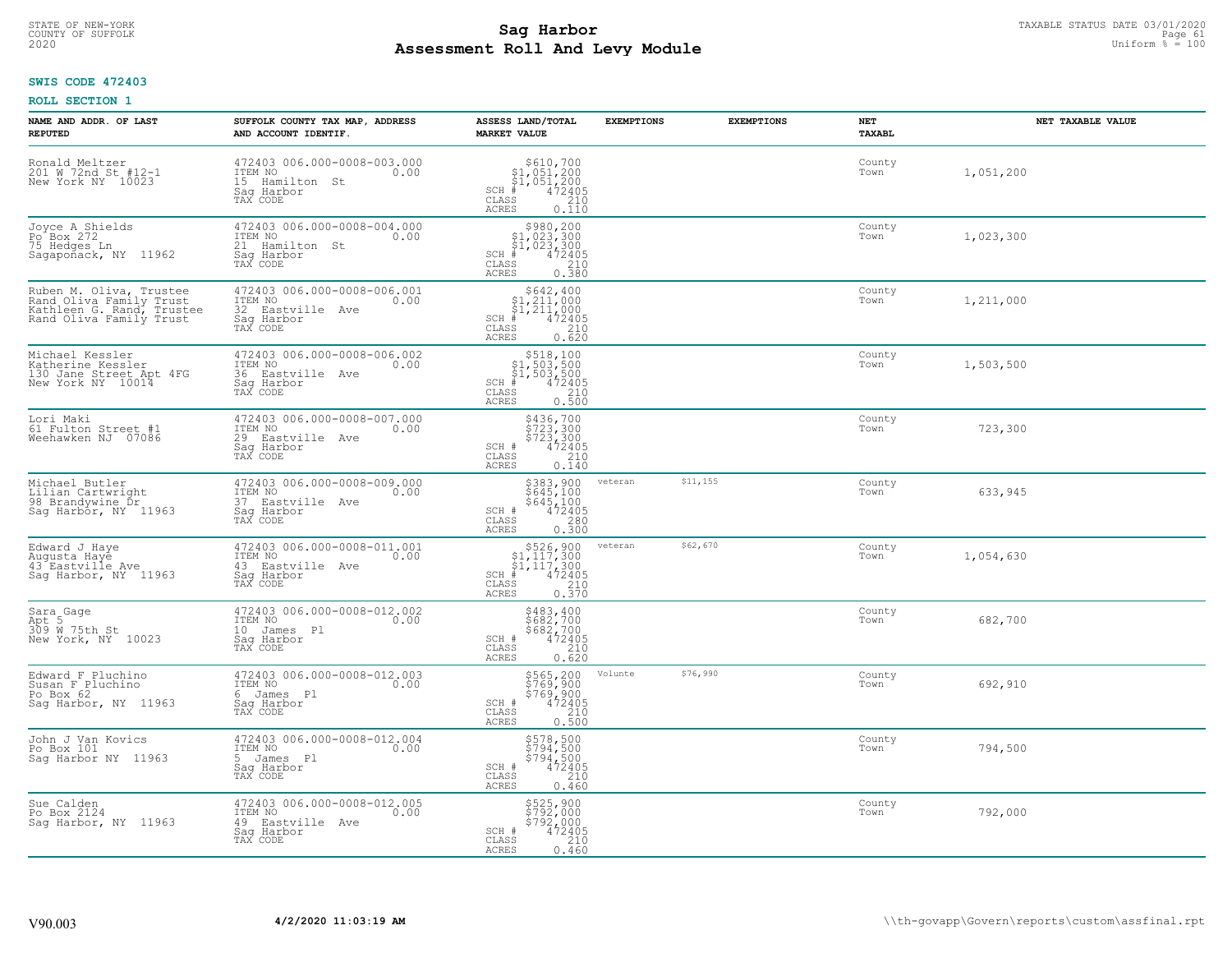#### **Sag Harbor** TAXABLE STATUS DATE 03/01/2020<br>
Poll and Louis Module **Assessment Roll And Levy Module** 2020 Uniform % = 100 COUNTY OF SUFFOLK **Example 19 Second 2008 Second 2009 Research Countries and Second 2009 Research Page 61**

## **SWIS CODE 472403**

| NAME AND ADDR. OF LAST<br><b>REPUTED</b>                                                                   | SUFFOLK COUNTY TAX MAP, ADDRESS<br>AND ACCOUNT IDENTIF.                                      | ASSESS LAND/TOTAL<br><b>MARKET VALUE</b>                                                                                                                                                                                                                                                                                                                                     | <b>EXEMPTIONS</b> | <b>EXEMPTIONS</b> | NET<br>TAXABL  | NET TAXABLE VALUE |
|------------------------------------------------------------------------------------------------------------|----------------------------------------------------------------------------------------------|------------------------------------------------------------------------------------------------------------------------------------------------------------------------------------------------------------------------------------------------------------------------------------------------------------------------------------------------------------------------------|-------------------|-------------------|----------------|-------------------|
| Ronald Meltzer<br>201 W 72nd St #12-1<br>New York NY 10023                                                 | 472403 006.000-0008-003.000<br>ITEM NO<br>0.00<br>15 Hamilton St<br>Saq Harbor<br>TAX CODE   | $\begin{array}{r}  \  \  \, 5610,700 \\  \  \, 51,051,200 \\  \  \, 51,051,200 \\  \  \  \, 472405 \\  \  \, 35 \\  \  \, 210 \\  \  \, 0 \\  \  \, 210 \\  \  \, 0 \\  \  \, 0 \\  \  \, 0 \\  \  \, 0 \\  \  \, 0 \\  \  \, 0 \\  \  \, 0 \\  \  \, 0 \\  \  \, 0 \\  \  \, 0 \\  \  \, 0 \\  \  \, 0 \\  \  \, 0 \\  \  \, $<br>$SCH$ #<br>CLASS<br><b>ACRES</b><br>0.110 |                   |                   | County<br>Town | 1,051,200         |
| Joyce A Shields<br>Po Box 272<br>75 Hedges Ln<br>Sagapoñack, NY 11962                                      | 472403 006.000-0008-004.000<br>ITEM NO<br>0.00<br>21 Hamilton St<br>Saq Harbor<br>TAX CODE   | $$980, 200$<br>$$1, 023, 300$<br>$$1, 023, 300$<br>$$472405$<br>$SCH$ #<br>CLASS<br>0.380<br>ACRES                                                                                                                                                                                                                                                                           |                   |                   | County<br>Town | 1,023,300         |
| Ruben M. Oliva, Trustee<br>Rand Oliva Family Trust<br>Kathleen G. Rand, Trustee<br>Rand Oliva Family Trust | 472403 006.000-0008-006.001<br>ITEM NO<br>0.00<br>32 Eastville Ave<br>Saq Harbor<br>TAX CODE | $$642, 400$<br>$$1, 211, 000$<br>$$1, 211, 000$<br>$$472405$<br>$SCH$ #<br>CLASS<br>210<br>0.620<br><b>ACRES</b>                                                                                                                                                                                                                                                             |                   |                   | County<br>Town | 1,211,000         |
| Michael Kessler<br>Katherine Kessler<br>130 Jane Street Apt 4FG<br>New York NY 10014                       | 472403 006.000-0008-006.002<br>ITEM NO<br>0.00<br>36 Eastville Ave<br>Saq Harbor<br>TAX CODE | $\begin{array}{r} \text{\small $>$518$, 100} \\ \text{\small $>$1$, 503$, 500} \\ \text{\small $>$1$, 503$, 500} \\ \text{\small $>$472405} \\ \text{\small $>$8$} \\ \text{\small $8$} \\ \text{\small $8$} \\ \text{\small $8$} \\ \text{\small $9$} \\ \text{\small $10$} \\ \text{\small $10$} \\ \end{array}$<br>$SCH$ #<br>CLASS<br><b>ACRES</b>                       |                   |                   | County<br>Town | 1,503,500         |
| Lori Maki<br>61 Fulton Street #1<br>Weehawken NJ 07086                                                     | 472403 006.000-0008-007.000<br>ITEM NO<br>0.00<br>29 Eastville Ave<br>Saq Harbor<br>TAX CODE | \$436,700<br>\$723,300<br>\$723,300<br>SCH #<br>472405<br>210<br>CLASS<br>ACRES<br>0.140                                                                                                                                                                                                                                                                                     |                   |                   | County<br>Town | 723,300           |
| Michael Butler<br>Lilian Cartwright<br>98 Brandywine Dr<br>Sag Harbor, NY 11963                            | 472403 006.000-0008-009.000<br>ITEM NO<br>0.00<br>37 Eastville Ave<br>Sag Harbor<br>TAX CODE | \$383,900<br>\$645,100<br>\$645,100<br>472405<br>SCH #<br>0.300<br>CLASS<br>ACRES                                                                                                                                                                                                                                                                                            | veteran           | \$11,155          | County<br>Town | 633,945           |
| Edward J Haye<br>Augusta Hayē<br>43 Eastville Ave<br>Saq Harbor, NY 11963                                  | 472403 006.000-0008-011.001<br>ITEM NO<br>0.00<br>43 Eastville Ave<br>Saq Harbor<br>TAX CODE | $\begin{array}{r} 5526,900 \\ 51,117,300 \\ 51,117,300 \\ \text{\#} & 472405 \\ \text{\#} & 210 \\ \text{\#} & 0.370 \end{array}$<br>$SCH$ #<br>CLASS<br><b>ACRES</b>                                                                                                                                                                                                        | veteran           | \$62,670          | County<br>Town | 1,054,630         |
| Sara_Gage<br>Apt 5<br>309 W 75th St<br>New York, NY 10023                                                  | 472403 006.000-0008-012.002<br>ITEM NO<br>0.00<br>10 James Pl<br>Saq Harbor<br>TAX CODE      | \$483,400<br>\$682,700<br>\$682,700<br>472405<br>210<br>SCH #<br>CLASS<br><b>ACRES</b><br>0.620                                                                                                                                                                                                                                                                              |                   |                   | County<br>Town | 682,700           |
| Edward F Pluchino<br>Susan F Pluchino<br>Po Box 62<br>Sag Harbor, NY 11963                                 | 472403 006.000-0008-012.003<br>ITEM NO<br>0.00<br>6 James Pl<br>Saq Harbor<br>TAX CODE       | \$565,200<br>\$769,900<br>\$769,900<br>\$72405<br>\$210<br>SCH #<br>CLASS<br><b>ACRES</b><br>0.500                                                                                                                                                                                                                                                                           | Volunte           | \$76,990          | County<br>Town | 692,910           |
| John J Van Kovics<br>Po Box 101<br>Sag Harbor NY 11963                                                     | 472403 006.000-0008-012.004<br>ITEM NO<br>0.00<br>5 James Pl<br>Saq Harbor<br>TAX CODE       | \$578,500<br>\$794,500<br>\$794,500<br>\$794,500<br>SCH #<br>210<br>CLASS<br><b>ACRES</b><br>0.460                                                                                                                                                                                                                                                                           |                   |                   | County<br>Town | 794,500           |
| Sue Calden<br>Po Box 2124<br>Saq Harbor, NY 11963                                                          | 472403 006.000-0008-012.005<br>ITEM NO<br>0.00<br>49 Eastville Ave<br>Saq Harbor<br>TAX CODE | \$525,900<br>\$792,000<br>\$792,000<br>\$792,000<br>SCH #<br>CLASS<br>210<br>0.460<br>ACRES                                                                                                                                                                                                                                                                                  |                   |                   | County<br>Town | 792,000           |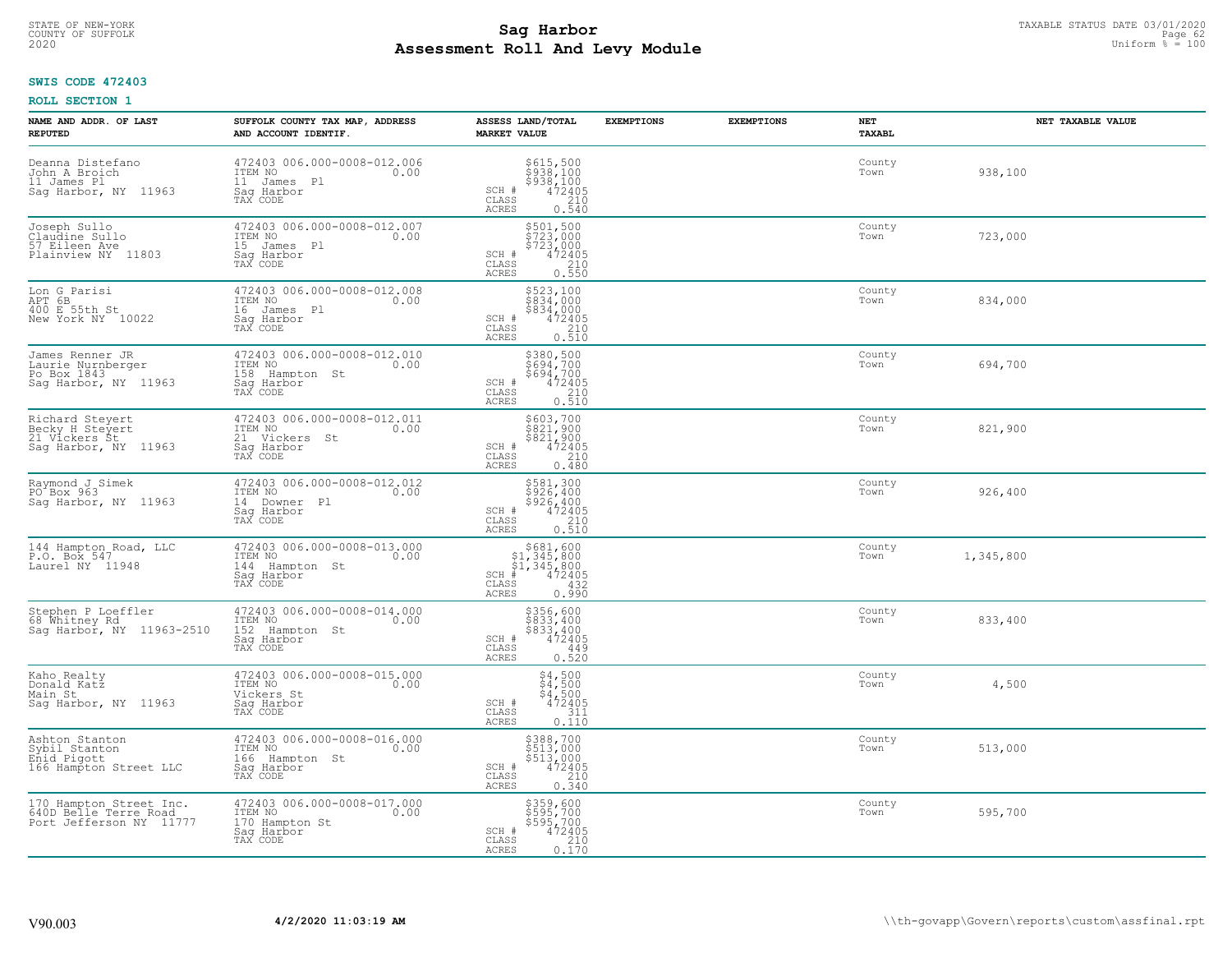# TAXABLE STATUS DATE 03/01/2020<br>COUNTY OF SUFFOLK Page 62 COUNTY OF SUFFOLK Page 62 **Assessment Roll And Levy Module** 2020 Uniform % = 100

## **SWIS CODE 472403**

| NAME AND ADDR. OF LAST<br><b>REPUTED</b>                                    | SUFFOLK COUNTY TAX MAP, ADDRESS<br>AND ACCOUNT IDENTIF.                                    | ASSESS LAND/TOTAL<br><b>MARKET VALUE</b>                                                                                            | <b>EXEMPTIONS</b> | <b>EXEMPTIONS</b> | NET<br><b>TAXABL</b> | NET TAXABLE VALUE |
|-----------------------------------------------------------------------------|--------------------------------------------------------------------------------------------|-------------------------------------------------------------------------------------------------------------------------------------|-------------------|-------------------|----------------------|-------------------|
| Deanna Distefano<br>John A Broich<br>11 James Pl<br>Sag Harbor, NY 11963    | 472403 006.000-0008-012.006<br>ITEM NO<br>0.00<br>11 James Pl<br>Saq Harbor<br>TAX CODE    | \$615,500<br>\$938,100<br>\$938,100<br>472405<br>210<br>SCH #<br>CLASS<br>ACRES<br>0.540                                            |                   |                   | County<br>Town       | 938,100           |
| Joseph Sullo<br>Claudine Sullo<br>57 Eileen Ave<br>Plainview NY 11803       | 472403 006.000-0008-012.007<br>ITEM NO<br>0.00<br>15 James Pl<br>Saq Harbor<br>TAX CODE    | \$501,500<br>\$723,000<br>\$723,000<br>472405<br>SCH #<br>CLASS<br>$\begin{array}{c} 210 \\ 0.550 \end{array}$<br>ACRES             |                   |                   | County<br>Town       | 723,000           |
| Lon G Parisi<br>APT 6B<br>400 E 55th St<br>New York NY 10022                | 472403 006.000-0008-012.008<br>ITEM NO<br>0.00<br>16 James Pl<br>Saq Harbor<br>TAX CODE    | \$523,100<br>\$834,000<br>\$834,000<br>SCH #<br>$\begin{smallmatrix} 472405\ 210\ 0.510 \end{smallmatrix}$<br>CLASS<br>ACRES        |                   |                   | County<br>Town       | 834,000           |
| James Renner JR<br>Laurie Nurnberger<br>Po Box 1843<br>Sag Harbor, NY 11963 | 472403 006.000-0008-012.010<br>ITEM NO<br>0.00<br>158 Hampton St<br>Saq Harbor<br>TAX CODE | \$380,500<br>\$694,700<br>\$694,700<br>SCH #<br>$472405$<br>$0.510$<br>CLASS<br>ACRES                                               |                   |                   | County<br>Town       | 694,700           |
| Richard Steyert<br>Becky H Steyert<br>21 Vickers St<br>Saq Harbor, NY 11963 | 472403 006.000-0008-012.011<br>ITEM NO<br>0.00<br>21 Vickers St<br>Saq Harbor<br>TAX CODE  | \$603,700<br>\$821,900<br>\$821,900<br>SCH #<br>$\frac{472405}{210}$<br>$\mathtt{CLASS}$<br>0.480<br>ACRES                          |                   |                   | County<br>Town       | 821,900           |
| Raymond J Simek<br>PO <sup>+</sup> Box 963<br>Sag Harbor, NY 11963          | 472403 006.000-0008-012.012<br>ITEM NO<br>0.00<br>14 Downer Pl<br>Sag Harbor<br>TAX CODE   | $$581,300$<br>$$926,400$<br>$$926,400$<br>$$472405$<br>$$210$<br>SCH #<br>CLASS<br>0.510<br>ACRES                                   |                   |                   | County<br>Town       | 926,400           |
| 144 Hampton Road, LLC<br>P.O. Box 547<br>Laurel NY 11948                    | 472403 006.000-0008-013.000<br>ITEM NO<br>0.00<br>144 Hampton St<br>Saq Harbor<br>TAX CODE | $$681, 600$<br>$$1, 345, 800$<br>$$1, 345, 800$<br>$$1, 345, 800$<br>472405<br>$SCH$ #<br>$\mathtt{CLASS}$<br>432<br>ACRES<br>0.990 |                   |                   | County<br>Town       | 1,345,800         |
| Stephen P Loeffler<br>68 Whitney Rd<br>Sag Harbor, NY 11963-2510            | 472403 006.000-0008-014.000<br>ITEM NO<br>0.00<br>152 Hampton St<br>Saq Harbor<br>TAX CODE | \$356,600<br>\$833,400<br>\$833,400<br>472405<br>$SCH$ #<br>CLASS<br>449<br>ACRES<br>0.520                                          |                   |                   | County<br>Town       | 833,400           |
| Kaho Realty<br>Donald Katz<br>Main St<br>Saq Harbor, NY 11963               | 472403 006.000-0008-015.000<br>TTEM NO 0.00<br>Vickers St<br>Saq Harbor<br>TAX CODE        | $$4,500$<br>$$4,500$<br>$$4,500$<br>$472405$<br>$311$<br>0<br>SCH #<br>CLASS<br>ACRES<br>0.110                                      |                   |                   | County<br>Town       | 4,500             |
| Ashton Stanton<br>Sybil Stanton<br>Enid Pigott<br>166 Hampton Street LLC    | 472403 006.000-0008-016.000<br>ITEM NO<br>0.00<br>166 Hampton St<br>Sag Harbor<br>TAX CODE | \$388,700<br>\$513,000<br>$$513,000$<br>472405<br>210<br>SCH #<br>CLASS<br>0.340<br><b>ACRES</b>                                    |                   |                   | County<br>Town       | 513,000           |
| 170 Hampton Street Inc.<br>640D Belle Terre Road<br>Port Jefferson NY 11777 | 472403 006.000-0008-017.000<br>ITEM NO<br>0.00<br>170 Hampton St<br>Sag Harbor<br>TAX CODE | \$359,600<br>\$595,700<br>\$595,700<br>SCH #<br>$\begin{array}{r} 472405 \\ 210 \\ 0.170 \end{array}$<br>CLASS<br>ACRES             |                   |                   | County<br>Town       | 595,700           |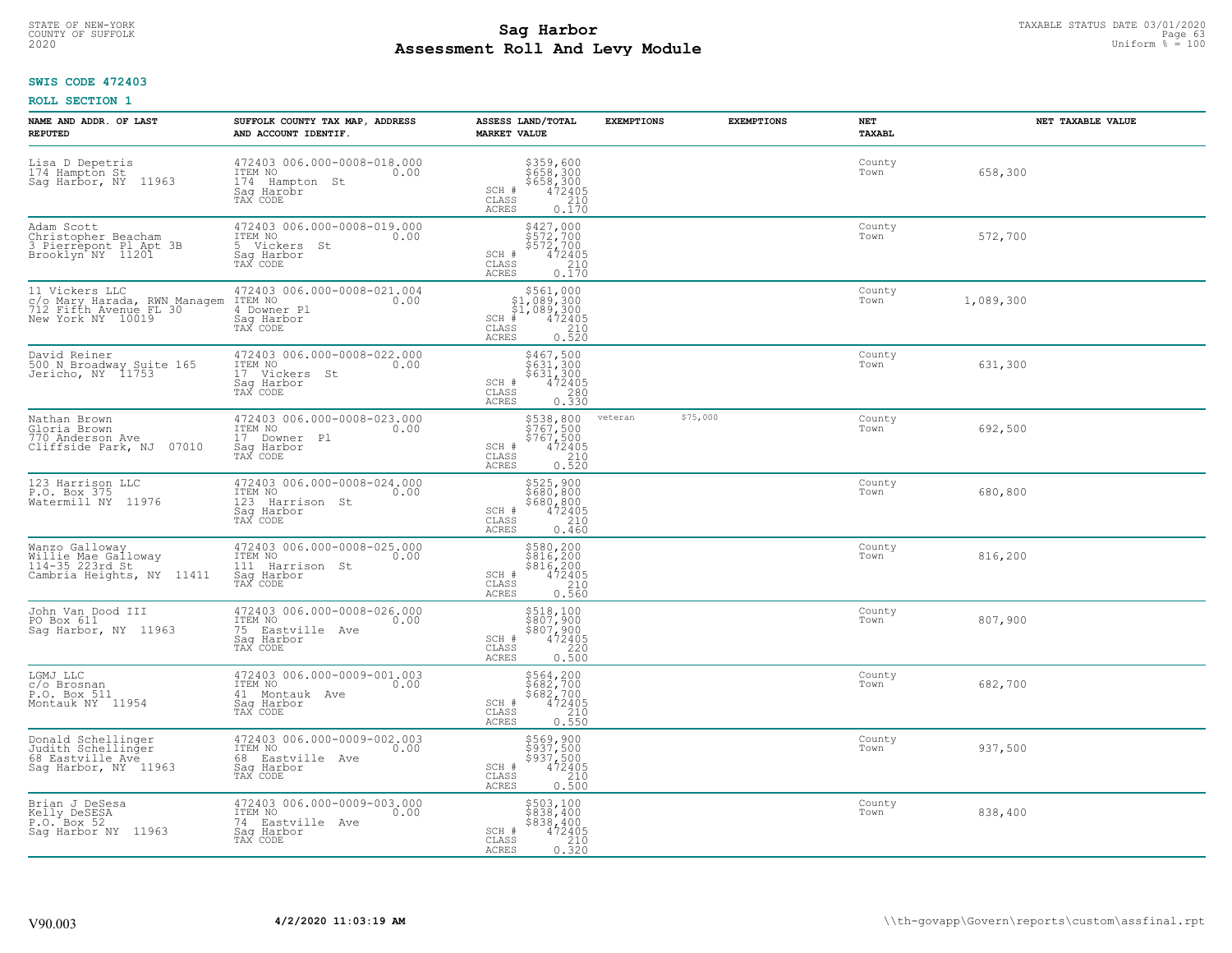# TAXABLE STATUS DATE 03/01/2020<br>COUNTY OF SUFFOLK Page 63 **Assessment Roll And Levy Module** 2020 Uniform % = 100

## **SWIS CODE 472403**

|  | <b>ROLL SECTION 1</b> |  |
|--|-----------------------|--|
|--|-----------------------|--|

| NAME AND ADDR. OF LAST<br><b>REPUTED</b>                                                      | SUFFOLK COUNTY TAX MAP, ADDRESS<br>AND ACCOUNT IDENTIF.                                      | ASSESS LAND/TOTAL<br><b>MARKET VALUE</b>                                                                                                                                                                                                                                                                                                     | <b>EXEMPTIONS</b> | <b>EXEMPTIONS</b> | NET<br>TAXABL  | NET TAXABLE VALUE |
|-----------------------------------------------------------------------------------------------|----------------------------------------------------------------------------------------------|----------------------------------------------------------------------------------------------------------------------------------------------------------------------------------------------------------------------------------------------------------------------------------------------------------------------------------------------|-------------------|-------------------|----------------|-------------------|
| Lisa D Depetris<br>174 Hampton St<br>Sag Harbor, NY 11963                                     | 472403 006.000-0008-018.000<br>ITEM NO<br>0.00<br>174 Hampton St<br>Saq Harobr<br>TAX CODE   | \$359,600<br>\$658,300<br>\$658,300<br>\$472405<br>SCH #<br>$\mathtt{CLASS}$<br>210<br>ACRES<br>0.170                                                                                                                                                                                                                                        |                   |                   | County<br>Town | 658,300           |
| Adam Scott<br>Christopher Beacham<br>3 Pierrepont Pl Apt 3B<br>Brooklyn NY 11201              | 472403 006.000-0008-019.000<br>ITEM NO<br>0.00<br>5 Vickers St<br>Sag Harbor<br>TAX CODE     | \$427,000<br>\$572,700<br>\$572,700<br>472405<br>SCH #<br>$\mathtt{CLASS}$<br>210<br>0.170<br>ACRES                                                                                                                                                                                                                                          |                   |                   | County<br>Town | 572,700           |
| 11 Vickers LLC<br>c/o Mary Harada, RWN Managem<br>712 Fifth Avenue FL 30<br>New York NY 10019 | 472403 006.000-0008-021.004<br>ITEM NO<br>0.00<br>4 Downer Pl<br>Sag Harbor<br>TAX CODE      | $\begin{array}{r}  \  \  \, 561,000\\  \  \, 51,089,300\\  \  \, 51,089,300\\  \  \  \, 472405\\  \  \  \, 55\\  \  \  \, 210\\  \  \  \, 240\\  \  \  \, 240\\  \  \  \, 25\\  \  \  \, 220\\  \  \  \, 240\\  \  \  \, 240\\  \  \  \, 25\\  \  \  \, 260\\  \  \  \, 270\\  \  \  \, 280\\  \  \  \,$<br>SCH #<br>CLASS<br>ACRES<br>0.520 |                   |                   | County<br>Town | 1,089,300         |
| David Reiner<br>500 N Broadway Suite 165<br>Jericho, NY 11753                                 | 472403 006.000-0008-022.000<br>ITEM NO<br>0.00<br>17 Vickers St<br>Saq Harbor<br>TAX CODE    | $$467,500$<br>$$631,300$<br>$$631,300$<br>$472405$<br>$$230$<br>SCH #<br>$\mathtt{CLASS}$<br>ACRES<br>0.330                                                                                                                                                                                                                                  |                   |                   | County<br>Town | 631,300           |
| Nathan Brown<br>Gloria Brown<br>770 Anderson Ave<br>Cliffside Park, NJ 07010                  | 472403 006.000-0008-023.000<br>ITEM NO<br>0.00<br>17 Downer Pl<br>Saq Harbor<br>TAX CODE     | $\begin{array}{r} 538,800 \\ 5767,500 \\ 5767,500 \\ 472405 \\ 210 \\ 230 \end{array}$<br>SCH #<br>CLASS<br>ACRES<br>0.520                                                                                                                                                                                                                   | veteran           | \$75,000          | County<br>Town | 692,500           |
| 123 Harrison LLC<br>P.O. Box 375<br>Watermill NY 11976                                        | 472403 006.000-0008-024.000<br>ITEM NO<br>0.00<br>123 Harrison St<br>Sag Harbor<br>TAX CODE  | \$525,900<br>\$680,800<br>$$680, 800$<br>472405<br>210<br>SCH #<br>CLASS<br>ACRES<br>0.460                                                                                                                                                                                                                                                   |                   |                   | County<br>Town | 680,800           |
| Wanzo Galloway<br>Willie Mae Galloway<br>114-35 223rd St<br>Cambria Heights, NY 11411         | 472403 006.000-0008-025.000<br>ITEM NO<br>0.00<br>111 Harrison St<br>Sag Harbor<br>TAX CODE  | \$580,200<br>\$816,200<br>\$816,200<br>472405<br>SCH #<br>$\begin{array}{c} 210 \\ 0.560 \end{array}$<br>CLASS<br>ACRES                                                                                                                                                                                                                      |                   |                   | County<br>Town | 816,200           |
| John Van Dood III<br>PO Box 611<br>Sag Harbor, NY 11963                                       | 472403 006.000-0008-026.000<br>ITEM NO<br>0.00<br>75 Eastville Ave<br>Saq Harbor<br>TAX CODE | \$518,100<br>\$807,900<br>\$807,900<br>472405<br>SCH #<br>CLASS<br>220<br><b>ACRES</b><br>0.500                                                                                                                                                                                                                                              |                   |                   | County<br>Town | 807,900           |
| LGMJ LLC<br>c/o Brosnan<br>P.O. Box 511<br>Montauk NY 11954                                   | 472403 006.000-0009-001.003<br>ITEM NO 0.00<br>41 Montauk Ave<br>Saq Harbor<br>TAX CODE      | \$564,200<br>\$682,700<br>\$682,700<br>472405<br>SCH #<br>CLASS<br>210<br>ACRES<br>0.550                                                                                                                                                                                                                                                     |                   |                   | County<br>Town | 682,700           |
| Donald Schellinger<br>Judith Schellinger<br>68 Eastville Avé<br>Sag Harbor, NY 11963          | 472403 006.000-0009-002.003<br>ITEM NO<br>0.00<br>68 Eastville Ave<br>Saq Harbor<br>TAX CODE | \$569,900<br>\$937,500<br>\$937,500<br>\$937,500<br>SCH #<br>0.500<br>CLASS<br><b>ACRES</b>                                                                                                                                                                                                                                                  |                   |                   | County<br>Town | 937,500           |
| Brian J DeSesa<br>Kelly DeSESA<br>P.O. Box 52<br>Sag Harbor NY 11963                          | 472403 006.000-0009-003.000<br>ITEM NO<br>0.00<br>74 Eastville Ave<br>Saq Harbor<br>TAX CODE | \$503,100<br>\$838,400<br>\$838,400<br>SCH #<br>472405<br>$\mathtt{CLASS}$<br>210<br>ACRES<br>0.320                                                                                                                                                                                                                                          |                   |                   | County<br>Town | 838,400           |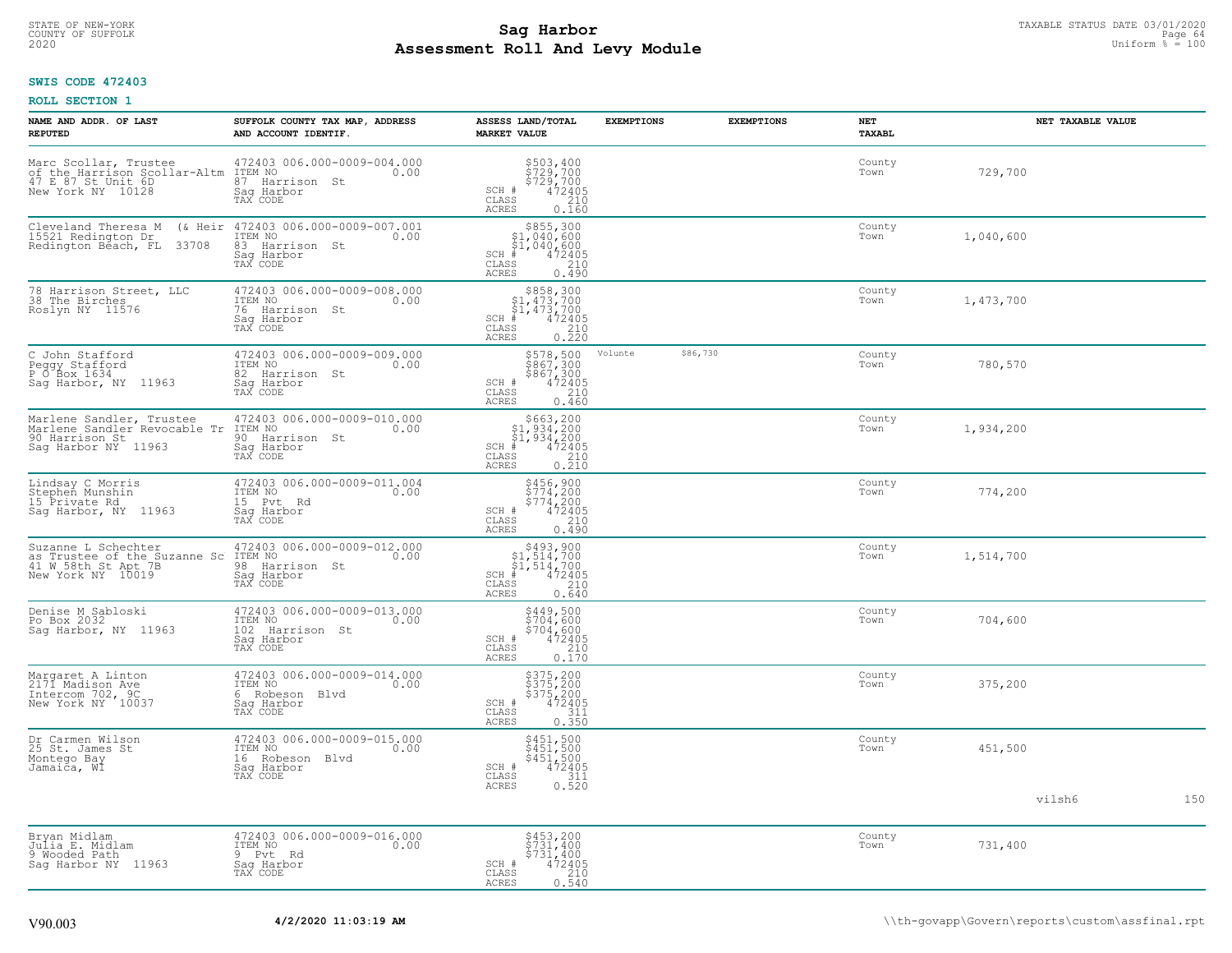# STATE OF NEW-YORK TAXABLE STATUS DATE 03/01/2020<br>COUNTY OF SUFFOLK Page 64 **Assessment Roll And Levy Module** 2020 Uniform % = 100

## **SWIS CODE 472403**

| NAME AND ADDR. OF LAST<br><b>REPUTED</b>                                                          | SUFFOLK COUNTY TAX MAP, ADDRESS<br>AND ACCOUNT IDENTIF.                                           | ASSESS LAND/TOTAL<br><b>MARKET VALUE</b>                                                                                                    | <b>EXEMPTIONS</b> | <b>EXEMPTIONS</b> | <b>NET</b><br>TAXABL | NET TAXABLE VALUE |     |
|---------------------------------------------------------------------------------------------------|---------------------------------------------------------------------------------------------------|---------------------------------------------------------------------------------------------------------------------------------------------|-------------------|-------------------|----------------------|-------------------|-----|
| Marc Scollar, Trustee<br>of the Harrison Scollar-Altm<br>47 E 87 St Unit 6D<br>New York NY 10128  | 472403 006.000-0009-004.000<br>ITEM NO<br>0.00<br>87 Harrison St<br>Sag Harbor<br>TAX CODE        | \$503,400<br>\$729,700<br>\$729,700<br>472405<br>SCH #<br>CLASS<br>210<br><b>ACRES</b><br>0.160                                             |                   |                   | County<br>Town       | 729,700           |     |
| Cleveland Theresa M<br>(& Heir<br>15521 Redington Dr<br>Redington Béach, FL<br>33708              | 472403 006.000-0009-007.001<br>ITEM NO<br>0.00<br>83<br>Harrison St<br>Sag Harbor<br>TAX CODE     | $$855,300$<br>$$1,040,600$<br>$$1,040,600$<br>$472405$<br>$35$<br>$$210$<br>SCH #<br>CLASS<br>0.490<br>ACRES                                |                   |                   | County<br>Town       | 1,040,600         |     |
| 78 Harrison Street, LLC<br>38 The Birches<br>Roslyn NY 11576                                      | 472403 006.000-0009-008.000<br>ITEM NO<br>0.00<br>76<br>Harrison<br>St.<br>Sag Harbor<br>TAX CODE | $\begin{array}{r} 5858,300\\ 51,473,700\\ 51,473,700\\ *\\ *\\ 210\\ *\\ \text{ss}\end{array}$<br>SCH<br>CLASS<br><b>ACRES</b>              |                   |                   | County<br>Town       | 1,473,700         |     |
| C John Stafford<br>Peggy Stafford<br>P O Box 1634<br>Saq Harbor, NY<br>11963                      | 472403 006.000-0009-009.000<br>ITEM NO<br>0.00<br>82 Harrison St<br>Saq Harbor<br>TAX CODE        | \$578,500<br>\$867,300<br>\$867,300<br>472405<br>SCH #<br>CLASS<br>210<br>ACRES<br>0.460                                                    | Volunte           | \$86,730          | County<br>Town       | 780,570           |     |
| Marlene Sandler, Trustee<br>Marlene Sandler Revocable Tr<br>90 Harrison St<br>Saq Harbor NY 11963 | 472403 006.000-0009-010.000<br>ITEM NO<br>0.00<br>90 Harrison St<br>Sag Harbor<br>TAX CODE        | $$663, 200$<br>$$1, 934, 200$<br>$$1, 934, 200$<br>SCH #<br>CLASS<br>472405<br>$\frac{210}{0.210}$<br>ACRES                                 |                   |                   | County<br>Town       | 1,934,200         |     |
| Lindsay C Morris<br>Stephen Munshin<br>15 Private Rd<br>Sag Harbor, NY 11963                      | 472403 006.000-0009-011.004<br>ITEM NO<br>0.00<br>15<br>Pvt Rd<br>Sag Harbor<br>TAX CODE          | \$456,900<br>\$774,200<br>\$774,200<br>472405<br>SCH #<br>CLASS<br>210<br><b>ACRES</b><br>0.490                                             |                   |                   | County<br>Town       | 774,200           |     |
| Suzanne L Schechter<br>as Trustee of the Suzanne Sc<br>41 W 58th St Apt 7B<br>New York NY 10019   | 472403 006.000-0009-012.000<br>ITEM NO<br>0.00<br>98<br>Harrison St<br>Saq Harbor<br>TAX CODE     | $$493,900$<br>$$1,514,700$<br>$$1,514,700$<br>$*1,514,72405$<br>SCH<br>$\begin{array}{c} 210 \\ 0.640 \end{array}$<br>CLASS<br><b>ACRES</b> |                   |                   | County<br>Town       | 1,514,700         |     |
| Denise M Sabloski<br>Po Box 2032<br>Sag Harbor, NY<br>11963                                       | 472403 006.000-0009-013.000<br>ITEM NO<br>0.00<br>102<br>Harrison St<br>Saq Harbor<br>TAX CODE    | \$449,500<br>\$704,600<br>\$704,600<br>472405<br>SCH #<br>CLASS<br>$\begin{array}{c} 210 \\ 0.170 \end{array}$<br>ACRES                     |                   |                   | County<br>Town       | 704,600           |     |
| Margaret A Linton<br>2171 Madison Ave<br>Intercom 702, 9C<br>New York NY 10037                    | 472403 006.000-0009-014.000<br>ITEM NO<br>0.00<br>6 Robeson Blvd<br>Saq Harbor<br>TAX CODE        | \$375,200<br>\$375,200<br>\$375,200<br>\$472405<br>SCH #<br>CLASS<br>311<br><b>ACRES</b><br>0.350                                           |                   |                   | County<br>Town       | 375,200           |     |
| Dr Carmen Wilson<br>25 St. James St<br>Montego Bay<br>Jamaiča, WĪ                                 | 472403 006.000-0009-015.000<br>ITEM NO<br>0.00<br>16 Robeson Blvd<br>Sag Harbor<br>TAX CODE       | \$451,500<br>\$451,500<br>\$451,500<br>\$451,500<br>\$72405<br>\$110.520<br>SCH #<br>CLASS<br><b>ACRES</b>                                  |                   |                   | County<br>Town       | 451,500           |     |
|                                                                                                   |                                                                                                   |                                                                                                                                             |                   |                   |                      | vilsh6            | 150 |
| Bryan Midlam<br>Julia E. Midlam<br>9 Wooded Path<br>Saq Harbor NY 11963                           | 472403 006.000-0009-016.000<br>ITEM NO<br>0.00<br>9 Pvt<br>Rd<br>Sag Harbor<br>TAX CODE           | \$453,200<br>\$731,400<br>\$731,400<br>472405<br>SCH #<br>CLASS<br>210<br>0.540<br>ACRES                                                    |                   |                   | County<br>Town       | 731,400           |     |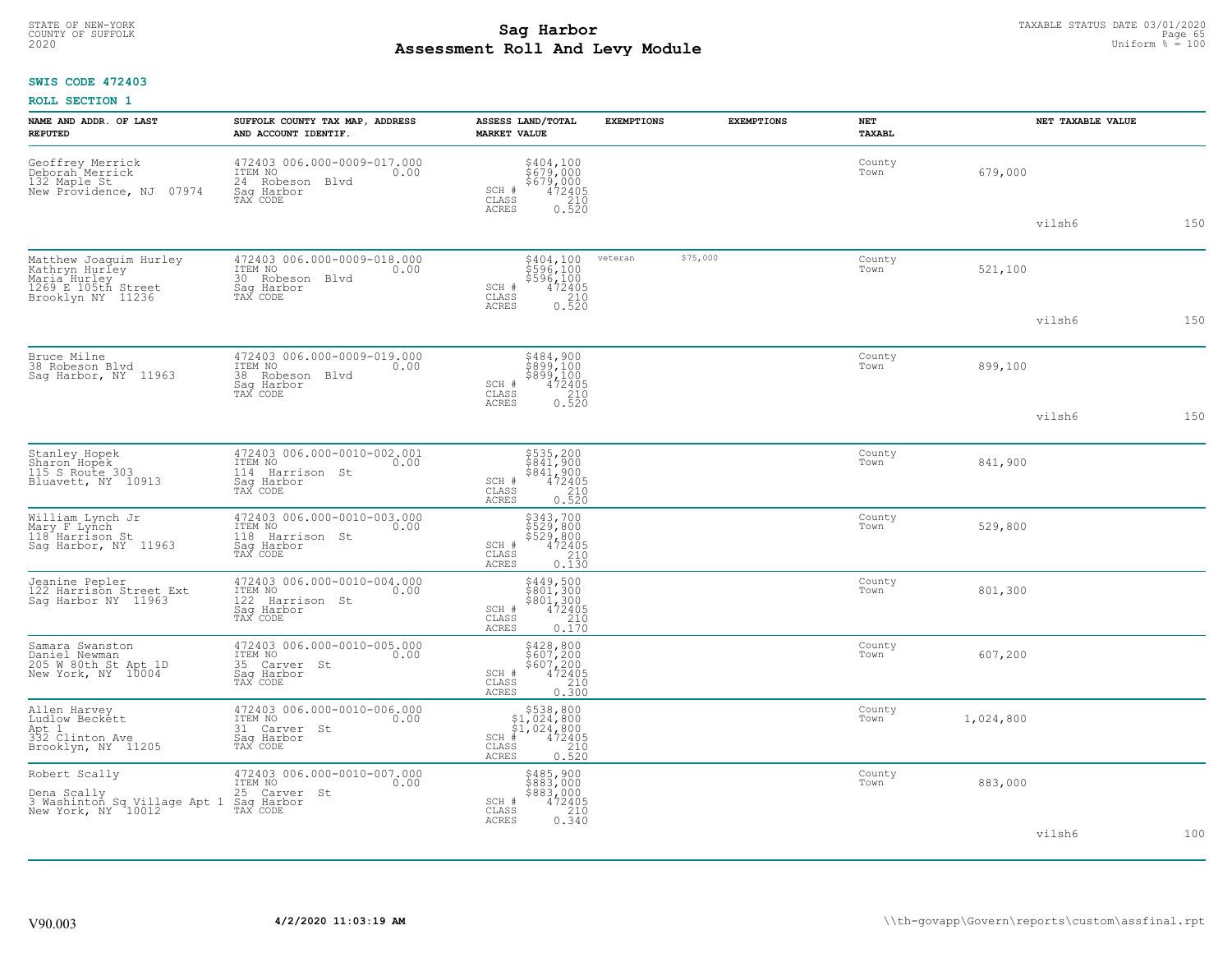# TAXABLE STATUS DATE 03/01/2020<br>COUNTY OF SUFFOLK Page 65 **Assessment Roll And Levy Module** 2020 Uniform % = 100

## **SWIS CODE 472403**

| NAME AND ADDR. OF LAST<br><b>REPUTED</b>                                                                          | SUFFOLK COUNTY TAX MAP, ADDRESS<br>AND ACCOUNT IDENTIF.                                       | ASSESS LAND/TOTAL<br><b>MARKET VALUE</b>                                                                 | <b>EXEMPTIONS</b> | <b>EXEMPTIONS</b> | NET<br><b>TAXABL</b> |           | NET TAXABLE VALUE |
|-------------------------------------------------------------------------------------------------------------------|-----------------------------------------------------------------------------------------------|----------------------------------------------------------------------------------------------------------|-------------------|-------------------|----------------------|-----------|-------------------|
| Geoffrey Merrick<br>Deborah Merrick<br>132 Maple St<br>07974<br>New Providence, NJ                                | 472403 006.000-0009-017.000<br>ITEM NO<br>0.00<br>24 Robeson Blvd<br>Saq Harbor<br>TAX CODE   | \$404,100<br>\$679,000<br>\$679,000<br>472405<br>SCH #<br>CLASS<br>210<br>ACRES<br>0.520                 |                   |                   | County<br>Town       | 679,000   |                   |
|                                                                                                                   |                                                                                               |                                                                                                          |                   |                   |                      | vilsh6    | 150               |
| Matthew Joaquim Hurley<br>Kathryn Hurley<br>Maria <sup>-</sup> Hurley<br>1269 E 105th Street<br>Brooklyn NY 11236 | 472403 006.000-0009-018.000<br>ITEM NO<br>0.00<br>30 Robeson Blvd<br>Saq Harbor<br>TAX CODE   | \$404,100<br>\$596,100<br>\$596,100<br>472405<br>SCH #<br>CLASS<br>210<br>ACRES                          | veteran           | \$75,000          | County<br>Town       | 521,100   |                   |
|                                                                                                                   |                                                                                               | 0.520                                                                                                    |                   |                   |                      | vilsh6    | 150               |
| Bruce Milne<br>38 Robeson Blvd<br>Saq Harbor, NY 11963                                                            | 472403 006.000-0009-019.000<br>ITEM NO<br>0.00<br>38 Robeson Blvd<br>Saq Harbor<br>TAX CODE   | \$484,900<br>\$899,100<br>\$899,100<br>472405<br>SCH #<br>CLASS<br>210                                   |                   |                   | County<br>Town       | 899,100   |                   |
|                                                                                                                   |                                                                                               | <b>ACRES</b><br>0.520                                                                                    |                   |                   |                      | vilsh6    | 150               |
| Stanley Hopek<br>Sharon Hopek<br>115 S Route 303<br>Bluavett, NY 10913                                            | 472403 006.000-0010-002.001<br>ITEM NO<br>0.00<br>114 Harrison St<br>Saq Harbor<br>TAX CODE   | \$535,200<br>\$841,900<br>\$841,900<br>472405<br>210<br>SCH #<br>CLASS<br><b>ACRES</b><br>0.520          |                   |                   | County<br>Town       | 841,900   |                   |
| William Lynch Jr<br>Mary F Lynch<br>118 <sup>-</sup> Harrison St<br>Saq Harbor, NY 11963                          | 472403 006.000-0010-003.000<br>ITEM NO<br>0.00<br>118 Harrison St<br>Saq Harbor<br>TAX CODE   | \$343,700<br>\$529,800<br>\$529,800<br>\$472405<br>SCH #<br>CLASS<br>210<br><b>ACRES</b><br>0.130        |                   |                   | County<br>Town       | 529,800   |                   |
| Jeanine Pepler<br>122 Harrison Street Ext<br>Sag Harbor NY 11963                                                  | 472403 006.000-0010-004.000<br>ITEM NO<br>0.00<br>122 Harrison St<br>Sag Harbor<br>TAX CODE   | $$449,500$<br>$$801,300$<br>$$801,300$<br>$$472405$<br>$$210$<br>SCH #<br>CLASS<br><b>ACRES</b><br>0.170 |                   |                   | County<br>Town       | 801,300   |                   |
| Samara Swanston<br>Daniel Newman<br>205 W 80th St Apt 1D<br>New York, NY 10004                                    | 472403 006.000-0010-005.000<br>ITEM NO<br>0.00<br>35 Carver St<br>Saq Harbor<br>TAX CODE      | \$428,800<br>\$607,200<br>\$607,200<br>472405<br>SCH #<br>CLASS<br>210<br><b>ACRES</b><br>0.300          |                   |                   | County<br>Town       | 607,200   |                   |
| Allen Harvey<br>Ludlow Beckett<br>Apt 1<br>332 Clinton Ave<br>Brooklyn, NY 11205                                  | 472403 006.000-0010-006.000<br>TTEM NO 0.00<br>0.00<br>31 Carver St<br>Saq Harbor<br>TAX CODE | $$5.38,800$<br>$$1,024,800$<br>$$1,024,800$<br>SCH<br>472405<br>CLASS<br>210<br><b>ACRES</b><br>0.520    |                   |                   | County<br>Town       | 1,024,800 |                   |
| Robert Scally<br>Dena Scally<br>3 Washinton Sq Village Apt 1<br>New York, NY 10012                                | 472403 006.000-0010-007.000<br>ITEM NO<br>0.00<br>25 Carver St<br>Sag Harbor<br>TAX CODE      | \$485,900<br>\$883,000<br>\$883,000<br>SCH #<br>$\frac{472405}{210}$<br>CLASS<br><b>ACRES</b><br>0.340   |                   |                   | County<br>Town       | 883,000   |                   |
|                                                                                                                   |                                                                                               |                                                                                                          |                   |                   |                      | vilsh6    | 100               |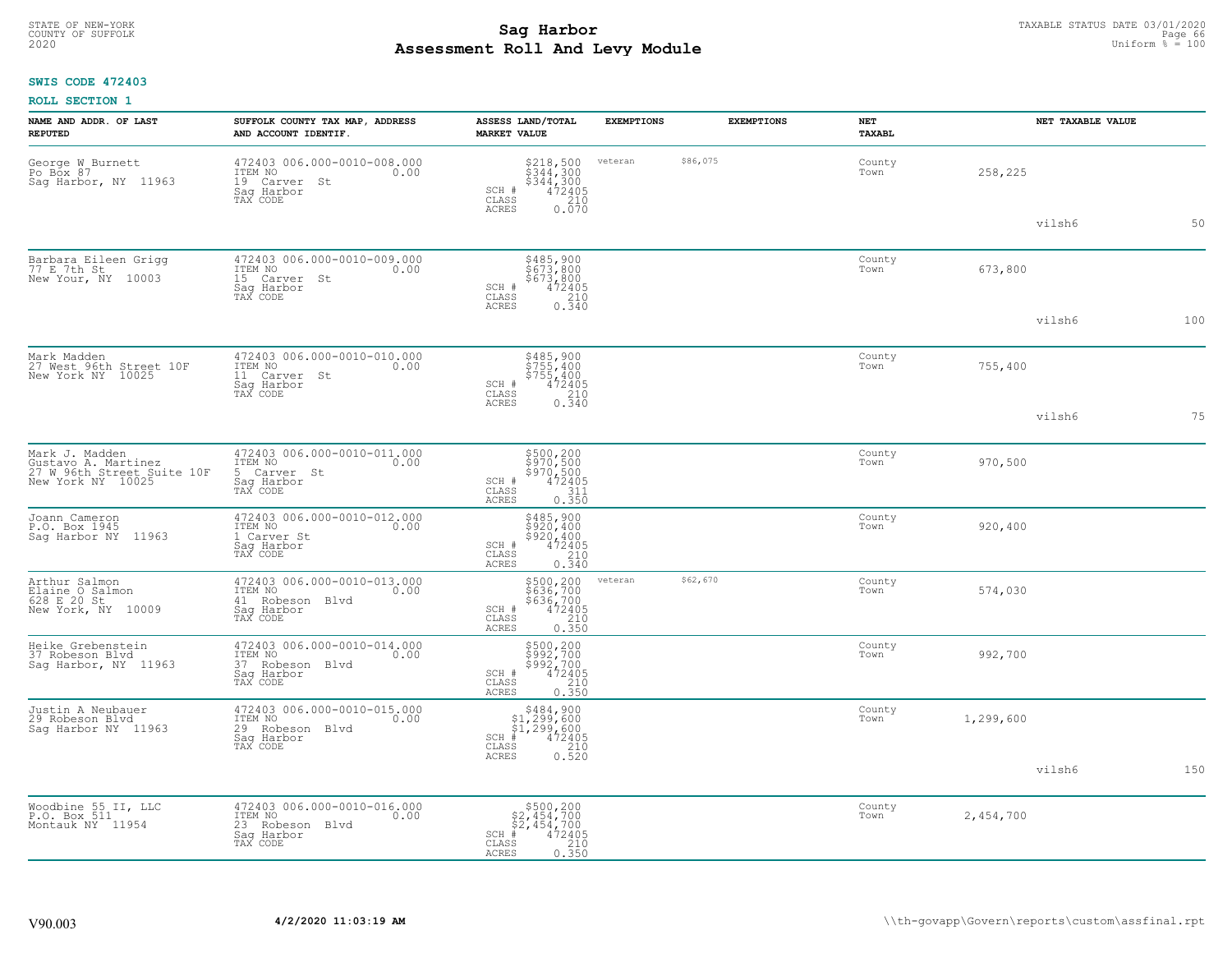# TAXABLE STATUS DATE 03/01/2020<br>COUNTY OF SUFFOLK Page 66 **Assessment Roll And Levy Module** 2020 Uniform % = 100

### **SWIS CODE 472403**

|  | ROLL SECTION 1 |  |
|--|----------------|--|
|--|----------------|--|

| NAME AND ADDR. OF LAST<br><b>REPUTED</b>                                                 | SUFFOLK COUNTY TAX MAP, ADDRESS<br>AND ACCOUNT IDENTIF.                                     | ASSESS LAND/TOTAL<br><b>MARKET VALUE</b>                                                                                      | <b>EXEMPTIONS</b> | <b>EXEMPTIONS</b> | <b>NET</b><br>TAXABL |           | NET TAXABLE VALUE |     |
|------------------------------------------------------------------------------------------|---------------------------------------------------------------------------------------------|-------------------------------------------------------------------------------------------------------------------------------|-------------------|-------------------|----------------------|-----------|-------------------|-----|
| George W Burnett<br>Po Box 87<br>Sag Harbor, NY 11963                                    | 472403 006.000-0010-008.000<br>ITEM NO<br>0.00<br>19 Carver St<br>Sag Harbor<br>TAX CODE    | $5218, 500$<br>$5344, 300$<br>$5344, 300$<br>$472405$<br>$210$<br>SCH #<br>CLASS<br>ACRES<br>0.070                            | veteran           | \$86,075          | County<br>Town       | 258,225   |                   |     |
|                                                                                          |                                                                                             |                                                                                                                               |                   |                   |                      |           | vilsh6            | 50  |
| Barbara Eileen Grigg<br>77 E 7th St<br>New Your, NY 10003                                | 472403 006.000-0010-009.000<br>ITEM NO<br>0.00<br>15 Carver St<br>Saq Harbor<br>TAX CODE    | \$485,900<br>\$673,800<br>$\begin{array}{r} 5673,800 \\ 472405 \\ 210 \\ 0.340 \end{array}$<br>SCH #<br>CLASS<br><b>ACRES</b> |                   |                   | County<br>Town       | 673,800   |                   |     |
|                                                                                          |                                                                                             |                                                                                                                               |                   |                   |                      |           | vilsh6            | 100 |
| Mark Madden<br>27 West 96th Street 10F<br>New York NY 10025                              | 472403 006.000-0010-010.000<br>ITEM NO<br>0.00<br>11 Carver St<br>Saq Harbor<br>TAX CODE    | \$485,900<br>\$755,400<br>\$755,400<br>\$755,400<br>SCH #<br>CLASS<br>210                                                     |                   |                   | County<br>Town       | 755,400   |                   |     |
|                                                                                          |                                                                                             | ACRES<br>0.340                                                                                                                |                   |                   |                      |           | vilsh6            | 75  |
| Mark J. Madden<br>Gustavo A. Martinez<br>27 W 96th Street Suite 10F<br>New York NY 10025 | 472403 006.000-0010-011.000<br>ITEM NO<br>0.00<br>5 Carver St<br>Saq Harbor<br>TAX CODE     | \$500,200<br>\$970,500<br>\$970,500<br>\$970,500<br>SCH #<br>311<br>CLASS<br><b>ACRES</b><br>0.350                            |                   |                   | County<br>Town       | 970,500   |                   |     |
| Joann Cameron<br>P.O. Box 1945<br>Saq Harbor NY 11963                                    | 472403 006.000-0010-012.000<br>ITEM NO<br>0.00<br>1 Carver St<br>Sag Harbor<br>TAX CODE     | \$485,900<br>\$920,400<br>\$920,400<br>472405<br>SCH #<br>CLASS<br>210<br>0.340<br><b>ACRES</b>                               |                   |                   | County<br>Town       | 920,400   |                   |     |
| Arthur Salmon<br>Elaine O Salmon<br>628 E 20 St<br>New York, NY 10009                    | 472403 006.000-0010-013.000<br>ITEM NO<br>0.00<br>41 Robeson Blvd<br>Sag Harbor<br>TAX CODE | \$500,200<br>\$636,700<br>\$636,700<br>472405<br>210<br>$SCH$ #<br>CLASS<br>0.350<br><b>ACRES</b>                             | veteran           | \$62,670          | County<br>Town       | 574,030   |                   |     |
| Heike Grebenstein<br>37 Robeson Blvd<br>Sag Harbor, NY 11963                             | 472403 006.000-0010-014.000<br>TTEM NO 0.00<br>37 Robeson Blvd<br>Saq Harbor<br>TAX CODE    | \$500,200<br>\$992,700<br>\$992,700<br>SCH #<br>472405<br>CLASS<br>$\frac{210}{0.350}$<br><b>ACRES</b>                        |                   |                   | County<br>Town       | 992,700   |                   |     |
| Justin A Neubauer<br>29 Robeson Blvd<br>Saq Harbor NY 11963                              | 472403 006.000-0010-015.000<br>TTEM NO 0.00<br>29 Robeson Blvd<br>Saq Harbor<br>TAX CODE    | $SCH$ #<br>CLASS<br><b>ACRES</b>                                                                                              |                   |                   | County<br>Town       | 1,299,600 |                   |     |
|                                                                                          |                                                                                             |                                                                                                                               |                   |                   |                      |           | vilsh6            | 150 |
| Woodbine 55 II, LLC<br>P.O. Box 511<br>Montauk NY 11954                                  | 472403 006.000-0010-016.000<br>ITEM NO<br>0.00<br>23 Robeson Blvd<br>Sag Harbor<br>TAX CODE | $$500, 200$<br>$$2, 454, 700$<br>$$2, 454, 700$<br>$SCH$ #<br>472405<br>CLASS<br>210<br><b>ACRES</b><br>0.350                 |                   |                   | County<br>Town       | 2,454,700 |                   |     |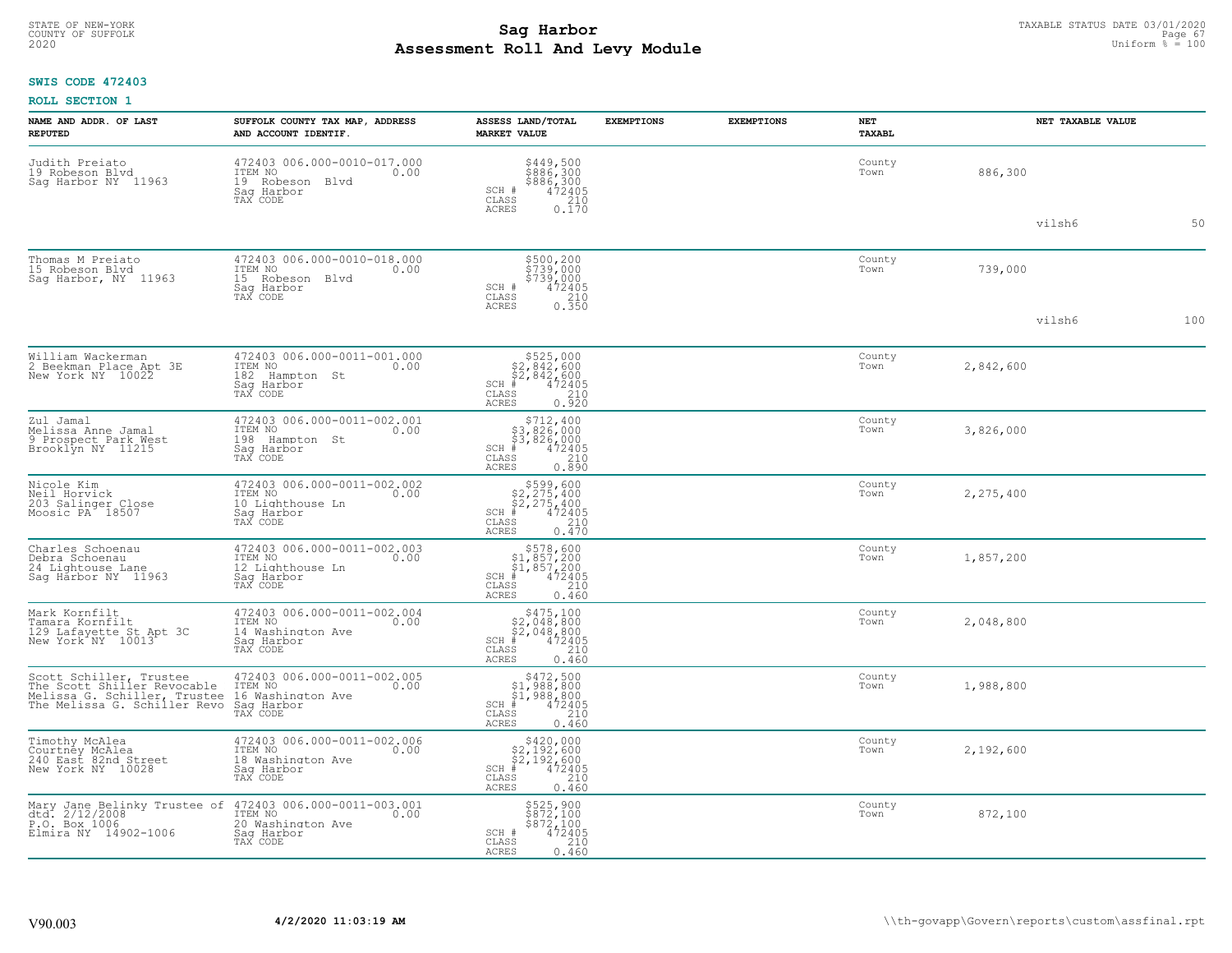#### **Sag Harbor** TAXABLE STATUS DATE 03/01/2020 TAXABLE STATUS DATE 03/01/2020 Page 67 **Assessment Roll And Levy Module** 2020 Uniform % = 100 COUNTY OF SUFFOLK **Example 19 Second COUNTY COUNTY COUNTY OF SUFFOLK** Page 67

### **SWIS CODE 472403**

| NAME AND ADDR. OF LAST<br><b>REPUTED</b>                                                                                                                                            | SUFFOLK COUNTY TAX MAP, ADDRESS<br>AND ACCOUNT IDENTIF.                                       | ASSESS LAND/TOTAL<br><b>MARKET VALUE</b>                                                                                                   | <b>EXEMPTIONS</b> | <b>EXEMPTIONS</b> | NET<br><b>TAXABL</b> | NET TAXABLE VALUE |     |
|-------------------------------------------------------------------------------------------------------------------------------------------------------------------------------------|-----------------------------------------------------------------------------------------------|--------------------------------------------------------------------------------------------------------------------------------------------|-------------------|-------------------|----------------------|-------------------|-----|
| Judith Preiato<br>19 Robeson Blvd<br>Saq Harbor NY 11963                                                                                                                            | 472403 006.000-0010-017.000<br>ITEM NO<br>0.00<br>19 Robeson Blvd<br>Saq Harbor<br>TAX CODE   | \$449,500<br>\$886,300<br>\$886,300<br>\$72405<br>\$72405<br>\$710<br>\$170<br>SCH #<br>CLASS<br><b>ACRES</b>                              |                   |                   | County<br>Town       | 886,300           |     |
|                                                                                                                                                                                     |                                                                                               |                                                                                                                                            |                   |                   |                      | vilsh6            | 50  |
| Thomas M Preiato<br>15 Robeson Blvd<br>Saq Harbor, NY 11963                                                                                                                         | 472403 006.000-0010-018.000<br>ITEM NO<br>0.00<br>15 Robeson Blvd<br>Saq Harbor<br>TAX CODE   | \$500,200<br>\$739,000<br>\$739,000<br>\$739,000<br>SCH #<br>CLASS<br>210<br><b>ACRES</b><br>0.350                                         |                   |                   | County<br>Town       | 739,000           |     |
|                                                                                                                                                                                     |                                                                                               |                                                                                                                                            |                   |                   |                      | vilsh6            | 100 |
| William Wackerman<br>2 Beekman Place Apt 3E<br>New York NY 10022                                                                                                                    | 472403 006.000-0011-001.000<br>ITEM NO<br>0.00<br>182 Hampton St<br>Saq Harbor<br>TAX CODE    | $$525,000$<br>$$2,842,600$<br>$$2,842,600$<br>$$472405$<br>$SCH$ #<br>CLASS<br>$\begin{array}{c} 210 \\ 0.920 \end{array}$<br><b>ACRES</b> |                   |                   | County<br>Town       | 2,842,600         |     |
| Zul Jamal<br>Melissa Anne Jamal<br>9 Prospect Park West<br>Brooklyn NY 11215                                                                                                        | 472403 006.000-0011-002.001<br>ITEM NO<br>0.00<br>198<br>Hampton St<br>Sag Harbor<br>TAX CODE | $$712, 400$<br>$$3, 826, 000$<br>$$3, 826, 000$<br>$472405$<br>$$210$<br>SCH #<br>CLASS<br><b>ACRES</b><br>0.890                           |                   |                   | County<br>Town       | 3,826,000         |     |
| Nicole Kim<br>Neil Horvick<br>203 Salinger Close<br>Moosic PA 18507                                                                                                                 | 472403 006.000-0011-002.002<br>ITEM NO<br>0.00<br>10 Lighthouse Ln<br>Saq Harbor<br>TAX CODE  | $$599,600$<br>$$2,275,400$<br>$$2,275,400$<br>$$472405$<br>$SCH$ #<br>CLASS<br>210<br><b>ACRES</b><br>0.470                                |                   |                   | County<br>Town       | 2,275,400         |     |
| Charles Schoenau<br>Debra Schoenau<br>24 Lightouse Lane<br>Sag Harbor NY 11963                                                                                                      | 472403 006.000-0011-002.003<br>TTEM NO 0.00<br>12 Lighthouse Ln<br>Saq Harbor<br>TAX CODE     | $$578,600$<br>$$1,857,200$<br>$$1,857,200$<br>$*$ 472405<br>$_{\rm SCH}$<br>CLASS<br>210<br><b>ACRES</b><br>0.460                          |                   |                   | County<br>Town       | 1,857,200         |     |
| Mark Kornfilt<br>Tamara Kornfilt<br>129 Lafayette St Apt 3C<br>New York NY 10013                                                                                                    | 472403 006.000-0011-002.004<br>TTEM NO 0.00<br>14 Washington Ave<br>Saq Harbor<br>TAX CODE    | $$2,048,800$<br>$$2,048,800$<br>$$472405$<br>$$472405$<br>$SCH$ #<br>CLASS<br>210<br><b>ACRES</b><br>0.460                                 |                   |                   | County<br>Town       | 2,048,800         |     |
| Scott Schiller, Trustee<br>The Scott Shiller Revocable<br>Melissa G. Schiller, Trustee<br>Melissa G. Schiller, Trustee 16 Washington Ave<br>The Melissa G. Schiller Revo Sag Harbor | 472403 006.000-0011-002.005<br>ITEM NO<br>0.00<br>TAX CODE                                    | $$472,500$<br>$$1,988,800$<br>$$1,988,800$<br>$$472405$<br>SCH #<br>CLASS<br>210<br><b>ACRES</b><br>0.460                                  |                   |                   | County<br>Town       | 1,988,800         |     |
| Timothy McAlea<br>Courtney McAlea<br>240 East 82nd Street<br>New York NY 10028                                                                                                      | 472403 006.000-0011-002.006<br>ITEM NO<br>0.00<br>18 Washington Ave<br>Saq Harbor<br>TAX CODE | $$420,000$<br>$$2,192,600$<br>$$2,192,600$<br>$$472405$<br>$SCH$ #<br>CLASS<br>210<br>0.460<br><b>ACRES</b>                                |                   |                   | County<br>Town       | 2,192,600         |     |
| Mary Jane Belinky Trustee of<br>dtd. 2/12/2008<br>P.O. Box 1006<br>Elmira NY 14902-1006                                                                                             | 472403 006.000-0011-003.001<br>1TEM NO 0.00<br>20 Washington Ave<br>Saq Harbor<br>TAX CODE    | \$525,900<br>\$872,100<br>\$872,100<br>472405<br>SCH #<br>CLASS<br>210<br>ACRES<br>0.460                                                   |                   |                   | County<br>Town       | 872,100           |     |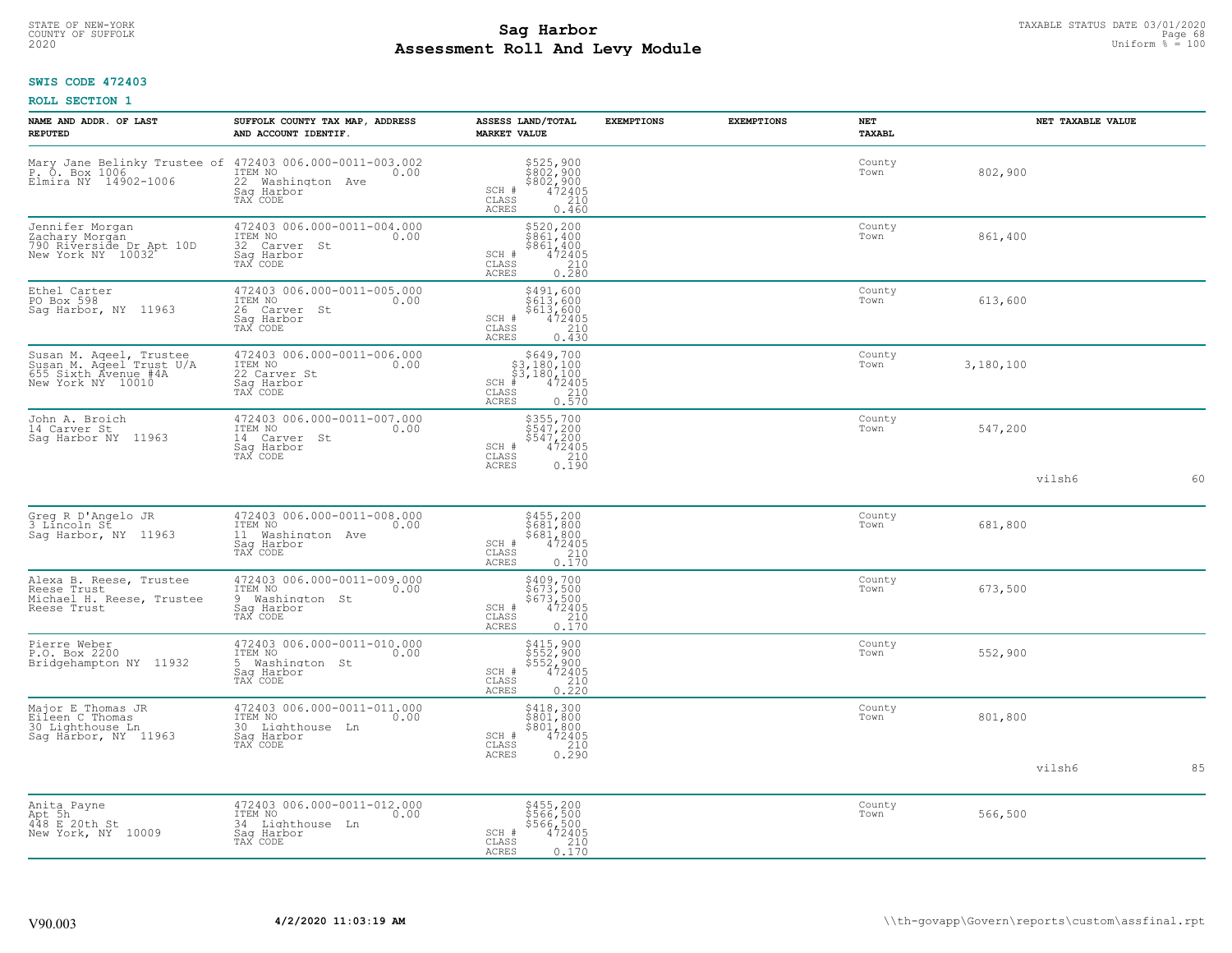# TAXABLE STATUS DATE 03/01/2020<br>COUNTY OF SUFFOLK Page 68 COUNTY OF SUFFOLK Page 68 COUNTY OF SUFFOLK Page 68 **Assessment Roll And Levy Module** 2020 Uniform % = 100

### **SWIS CODE 472403**

|  | <b>ROLL SECTION 1</b> |  |
|--|-----------------------|--|
|--|-----------------------|--|

| NAME AND ADDR. OF LAST<br><b>REPUTED</b>                                                         | SUFFOLK COUNTY TAX MAP, ADDRESS<br>AND ACCOUNT IDENTIF.                                      | ASSESS LAND/TOTAL<br><b>MARKET VALUE</b>                                                                                 | <b>EXEMPTIONS</b> | <b>EXEMPTIONS</b> | <b>NET</b><br>TAXABL |           | NET TAXABLE VALUE |    |
|--------------------------------------------------------------------------------------------------|----------------------------------------------------------------------------------------------|--------------------------------------------------------------------------------------------------------------------------|-------------------|-------------------|----------------------|-----------|-------------------|----|
| Elmira NY 14902-1006                                                                             | 22 Washington Ave<br>Saq Harbor<br>TAX CODE                                                  | \$525,900<br>\$802,900<br>\$802,900<br>472405<br>SCH #<br>CLASS<br>210<br>ACRES<br>0.460                                 |                   |                   | County<br>Town       | 802,900   |                   |    |
| Jennifer Morgan<br>Zachary Morgan<br>790 Riverside Dr Apt 10D<br>New York NY 10032               | 472403 006.000-0011-004.000<br>TTEM NO 0.00<br>32 Carver St<br>Sag Harbor<br>TAX CODE        | $$520, 200$ $$861, 400$ $$861, 400$ $$472405$ $$210$<br>SCH #<br>CLASS<br>$0, \overline{280}$<br><b>ACRES</b>            |                   |                   | County<br>Town       | 861,400   |                   |    |
| Ethel Carter<br>PO Box 598<br>Sag Harbor, NY 11963                                               | 472403 006.000-0011-005.000<br>ITEM NO<br>0.00<br>26 Carver St<br>Sag Harbor<br>TAX CODE     | \$491,600<br>\$613,600<br>\$613,600<br>472405<br>210<br>SCH #<br>$\mathtt{CLASS}$<br><b>ACRES</b><br>0.430               |                   |                   | County<br>Town       | 613,600   |                   |    |
| Susan M. Aqeel, Trustee<br>Susan M. Aqeel Trust U/A<br>655 Sixth Avenue #4A<br>New York NY 10010 | 472403 006.000-0011-006.000<br>ITEM NO<br>0.00<br>22 Carver St<br>Sag Harbor<br>TAX CODE     | $$649,700$<br>$$3,180,100$<br>$$3,180,100$<br>$$3,180,100$<br>$SCH$ #<br>$\frac{472405}{210}$<br>CLASS<br>ACRES<br>0.570 |                   |                   | County<br>Town       | 3,180,100 |                   |    |
| John A. Broich<br>14 Carver St<br>Saq Harbor NY 11963                                            | 472403 006.000-0011-007.000<br>ITEM NO<br>0.00<br>14 Carver St<br>Saq Harbor<br>TAX CODE     | \$355,700<br>\$547,200<br>\$547,200<br>\$547,200<br>\$72405<br>\$10<br>\$190<br>SCH #<br>CLASS<br>ACRES                  |                   |                   | County<br>Town       | 547,200   |                   |    |
|                                                                                                  |                                                                                              |                                                                                                                          |                   |                   |                      |           | vilsh6            | 60 |
| Greg R D'Angelo JR<br>3 Líncoln St<br>Sag Harbor, NY 11963                                       | 472403 006.000-0011-008.000<br>TTEM NO 0.00<br>11 Washington Ave<br>Saq Harbor<br>TAX CODE   | $$455, 200$<br>$$681, 800$<br>$$681, 800$<br>$472405$<br>$$210$<br>SCH #<br>CLASS<br><b>ACRES</b><br>0.170               |                   |                   | County<br>Town       | 681,800   |                   |    |
| Alexa B. Reese, Trustee<br>Reese Trust<br>Michael H. Reese, Trustee<br>Reese Trust               | 472403 006.000-0011-009.000<br>ITEM NO<br>0.00<br>9 Washington St<br>Sag Harbor<br>TAX CODE  | \$409,700<br>\$673,500<br>\$673,500<br>472405<br>SCH #<br>CLASS<br>$\frac{210}{0.170}$<br>ACRES                          |                   |                   | County<br>Town       | 673,500   |                   |    |
| Pierre Weber<br>P.O. Box 2200<br>Bridgehampton NY 11932                                          | 472403 006.000-0011-010.000<br>ITEM NO<br>0.00<br>5 Washington St<br>Sag Harbor<br>TAX CODE  | \$415,900<br>\$552,900<br>\$552,900<br>\$552,900<br>\$72405<br>\$210<br>\$220<br>SCH #<br>CLASS<br>ACRES                 |                   |                   | County<br>Town       | 552,900   |                   |    |
| Major E Thomas JR<br>Eileen C Thomas<br>30 Lighthouse Ln<br>Sag Harbor, NY 11963                 | 472403 006.000-0011-011.000<br>ITEM NO<br>0.00<br>30 Lighthouse Ln<br>Saq Harbor<br>TAX CODE | \$418,300<br>\$801,800<br>$$801, 800$<br>$472405$<br>$210$<br>SCH #<br>CLASS<br>0.290<br>ACRES                           |                   |                   | County<br>Town       | 801,800   |                   |    |
|                                                                                                  |                                                                                              |                                                                                                                          |                   |                   |                      |           | vilsh6            | 85 |
| Anita Payne<br>Apt 5h<br>448 E 20th St<br>New York, NY 10009                                     | 472403 006.000-0011-012.000<br>ITEM NO<br>0.00<br>34 Lighthouse Ln<br>Saq Harbor<br>TAX CODE | \$455,200<br>\$566,500<br>\$566,500<br>472405<br>SCH #<br>CLASS<br>210<br>ACRES<br>0.170                                 |                   |                   | County<br>Town       | 566,500   |                   |    |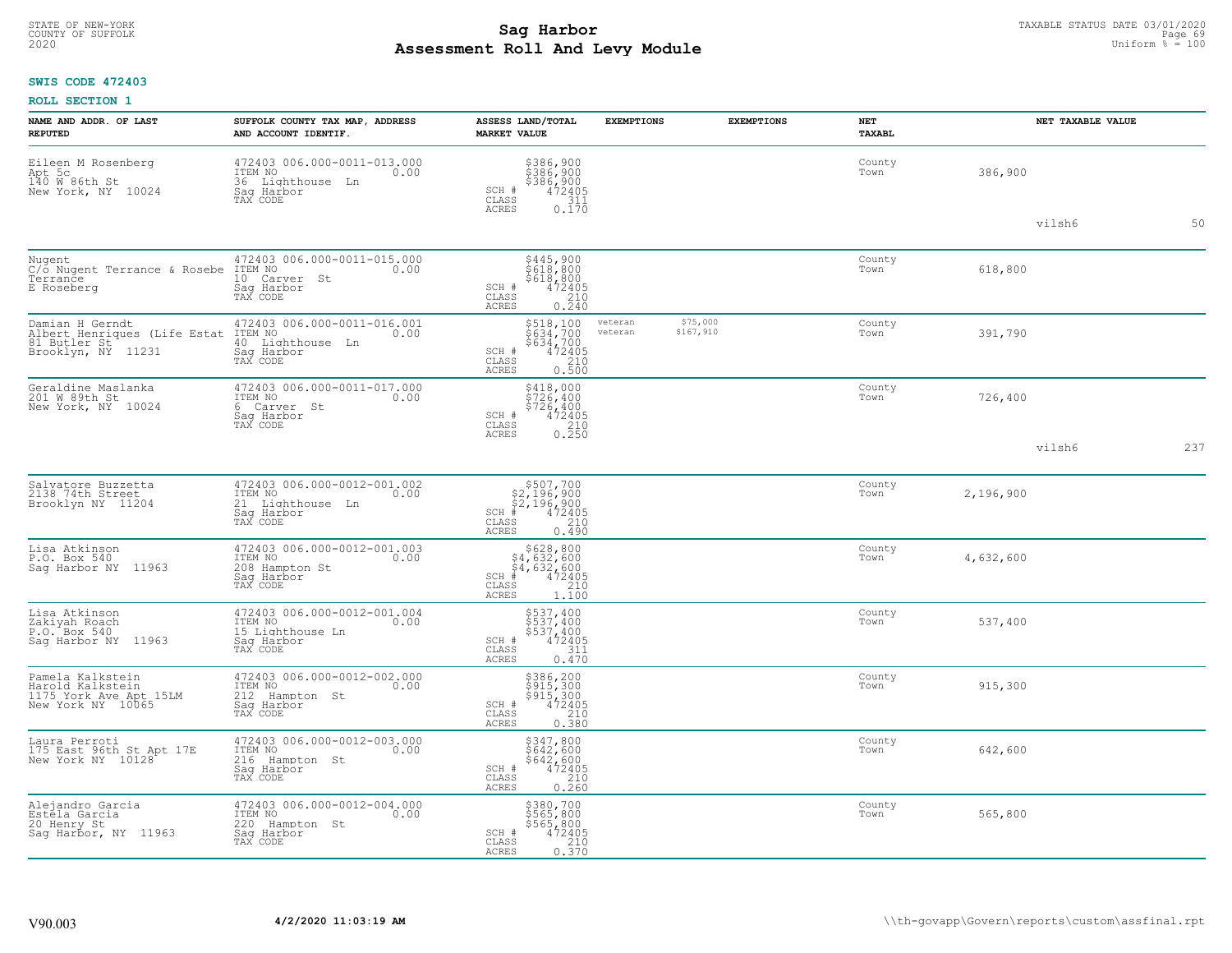#### **Sag Harbor** TAXABLE STATUS DATE 03/01/2020 **Sag Harbor** TAXABLE STATUS DATE 03/01/2020 **Page 69 Assessment Roll And Levy Module** 2020 Uniform % = 100 COUNTY OF SUFFOLK **Example 19 Second COUNTY COUNTY OF SUFFOLK** Page 69 Page 69

## **SWIS CODE 472403**

| NAME AND ADDR. OF LAST<br><b>REPUTED</b>                                             | SUFFOLK COUNTY TAX MAP, ADDRESS<br>AND ACCOUNT IDENTIF.                                      | ASSESS LAND/TOTAL<br><b>MARKET VALUE</b>                                                                                                               | <b>EXEMPTIONS</b><br><b>EXEMPTIONS</b> | NET<br><b>TAXABL</b> | NET TAXABLE VALUE |
|--------------------------------------------------------------------------------------|----------------------------------------------------------------------------------------------|--------------------------------------------------------------------------------------------------------------------------------------------------------|----------------------------------------|----------------------|-------------------|
| Eileen M Rosenberg<br>Apt 5c<br>140 W 86th St<br>New York, NY 10024                  | 472403 006.000-0011-013.000<br>ITEM NO<br>0.00<br>36 Lighthouse Ln<br>Saq Harbor<br>TAX CODE | \$386,900<br>\$386,900<br>\$386,900<br>\$386,900<br>SCH #<br>CLASS<br>311<br><b>ACRES</b><br>$0.\overline{1}70$                                        |                                        | County<br>Town       | 386,900           |
|                                                                                      |                                                                                              |                                                                                                                                                        |                                        |                      | vilsh6<br>50      |
| Nugent<br>C/o Nugent Terrance & Rosebe<br>Terrance<br>E Roseberg                     | 472403 006.000-0011-015.000<br>ITEM NO<br>0.00<br>10 Carver St<br>Saq Harbor<br>TAX CODE     | \$445,900<br>\$618,800<br>\$618,800<br>472405<br>$\begin{array}{c} \text{SCH} \ \text{\#} \\ \text{CLASS} \end{array}$<br>210<br><b>ACRES</b><br>0.240 |                                        | County<br>Town       | 618,800           |
| Damian H Gerndt<br>Albert Henriques (Life Estat<br>81 Butler St <sup>111</sup> 11231 | 472403 006.000-0011-016.001<br>ITEM NO<br>0.00<br>40 Lighthouse Ln<br>Saq Harbor<br>TAX CODE | $$518,100\n$634,700\n$634,700\n472405\n0.500\n0.500$<br>veteran<br>veteran<br>SCH #<br>CLASS<br><b>ACRES</b>                                           | \$75,000<br>\$167,910                  | County<br>Town       | 391,790           |
| Geraldine Maslanka<br>201 W 89th St<br>New York, NY 10024                            | 472403 006.000-0011-017.000<br>ITEM NO<br>0.00<br>6 Carver St<br>Sag Harbor<br>TAX CODE      | $$418,000$<br>$$726,400$<br>$$726,400$<br>$$726,400$<br>SCH #<br>472405<br>CLASS<br>$\frac{210}{0.250}$<br><b>ACRES</b>                                |                                        | County<br>Town       | 726,400           |
|                                                                                      |                                                                                              |                                                                                                                                                        |                                        |                      | vilsh6<br>237     |
| Salvatore Buzzetta<br>2138 74th Street<br>Brooklyn NY 11204                          | 472403 006.000-0012-001.002<br>ITEM NO<br>0.00<br>21 Lighthouse Ln<br>Saq Harbor<br>TAX CODE | $$507,700$<br>$$2,196,900$<br>$$2,196,900$<br>$$472405$<br>$SCH$ #<br>CLASS<br>210<br>0.490<br><b>ACRES</b>                                            |                                        | County<br>Town       | 2,196,900         |
| Lisa Atkinson<br>P.O. Box 540<br>Saq Harbor NY 11963                                 | 472403 006.000-0012-001.003<br>ITEM NO 0.00<br>208 Hampton St<br>Saq Harbor<br>TAX CODE      | $$628, 800$<br>$$4, 632, 600$<br>$$4, 632, 600$<br>$*$ $472405$<br>$SCH$ #<br>CLASS<br>210<br>ACRES<br>1,100                                           |                                        | County<br>Town       | 4,632,600         |
| Lisa Atkinson<br>Zakiyah Roach<br>P.O. Box 540<br>Sag Harbor NY 11963                | 472403 006.000-0012-001.004<br>ITEM NO<br>0.00<br>15 Lighthouse Ln<br>Saq Harbor<br>TAX CODE | \$537,400<br>\$537,400<br>\$537,400<br>SCH #<br>472405<br>CLASS<br>311<br><b>ACRES</b><br>0.470                                                        |                                        | County<br>Town       | 537,400           |
| Pamela Kalkstein<br>Harold Kalkstein<br>1175 York Ave Apt 15LM<br>New York NY 10065  | 472403 006.000-0012-002.000<br>ITEM NO<br>0.00<br>212 Hampton St<br>Saq Harbor<br>TAX CODE   | \$386,200<br>\$915,300<br>\$915,300<br>SCH #<br>472405<br>CLASS<br>$\frac{210}{0.380}$<br><b>ACRES</b>                                                 |                                        | County<br>Town       | 915,300           |
| Laura Perroti<br>175 East 96th St Apt 17E<br>New York NY 10128                       | 472403 006.000-0012-003.000<br>ITEM NO<br>0.00<br>216 Hampton St<br>Sag Harbor<br>TAX CODE   | \$347,800<br>$$642, 600$<br>$$642, 600$<br>$472405$<br>SCH #<br>CLASS<br>210<br>$0, \overline{260}$<br><b>ACRES</b>                                    |                                        | County<br>Town       | 642,600           |
| Alejandro Garcia<br>Estela Garcia<br>20 Henry St<br>Sag Harbor, NY 11963             | 472403 006.000-0012-004.000<br>ITEM NO<br>0.00<br>220 Hampton St<br>Saq Harbor<br>TAX CODE   | \$380,700<br>\$565,800<br>\$565,800<br>SCH #<br>$472405$<br>$210$<br>CLASS<br>ACRES<br>0.370                                                           |                                        | County<br>Town       | 565,800           |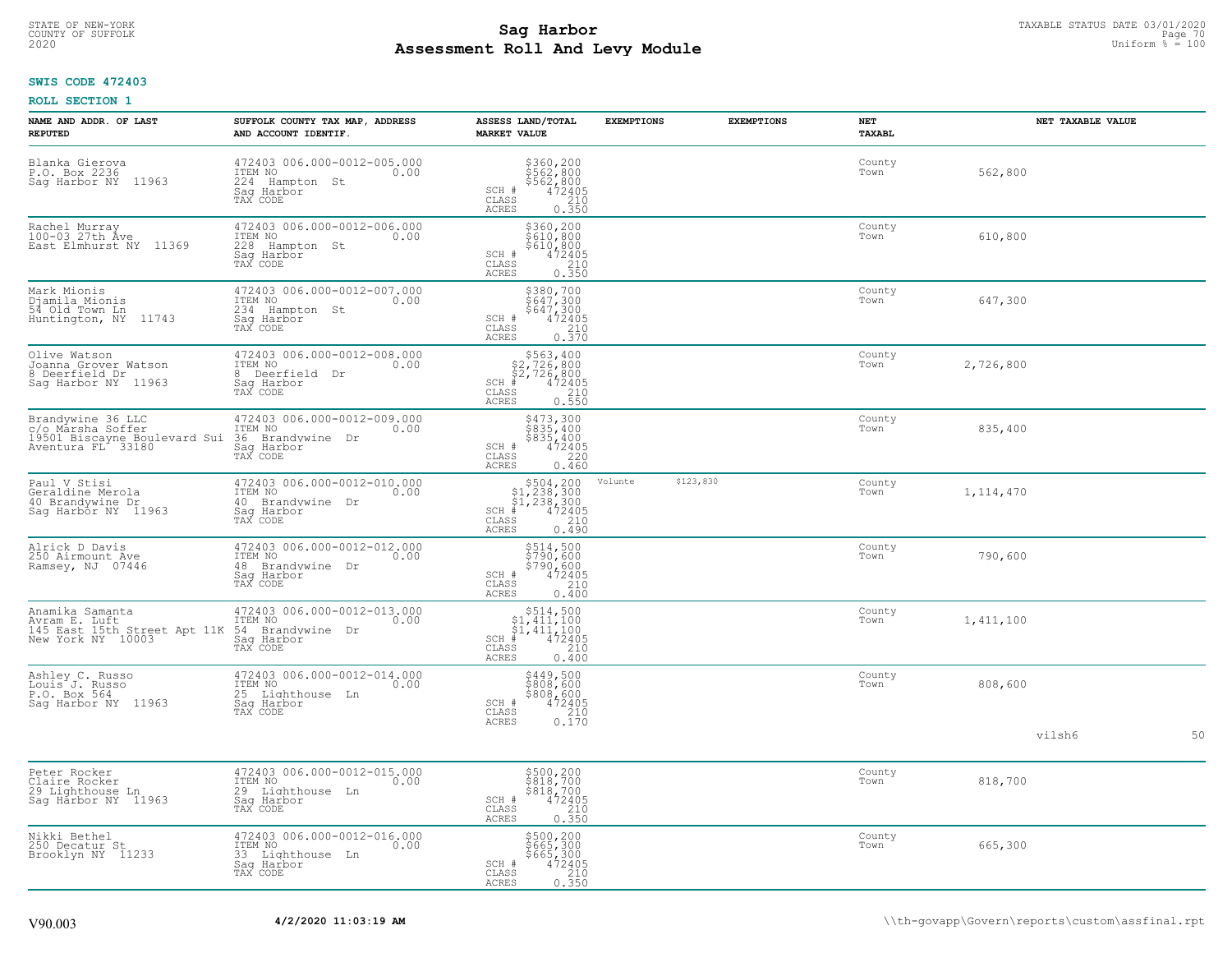# TAXABLE STATUS DATE 03/01/2020<br>COUNTY OF SUFFOLK Page 70 Page 70 **Assessment Roll And Levy Module** 2020 Uniform % = 100

## **SWIS CODE 472403**

| NAME AND ADDR. OF LAST<br><b>REPUTED</b>                                                    | SUFFOLK COUNTY TAX MAP, ADDRESS<br>AND ACCOUNT IDENTIF.                                            | ASSESS LAND/TOTAL<br><b>MARKET VALUE</b>                                                                                                                                                                                                                                                                                                                                                                          | <b>EXEMPTIONS</b> | <b>EXEMPTIONS</b> | <b>NET</b><br>TAXABL | NET TAXABLE VALUE |    |
|---------------------------------------------------------------------------------------------|----------------------------------------------------------------------------------------------------|-------------------------------------------------------------------------------------------------------------------------------------------------------------------------------------------------------------------------------------------------------------------------------------------------------------------------------------------------------------------------------------------------------------------|-------------------|-------------------|----------------------|-------------------|----|
| Blanka Gierova<br>P.O. Box 2236<br>11963<br>Saq Harbor NY                                   | 472403 006.000-0012-005.000<br>ITEM NO<br>0.00<br>224<br>Hampton St<br>Saq Harbor<br>TAX CODE      | \$360,200<br>\$562,800<br>\$562,800<br>\$562,800<br>0.350<br>0.350<br>SCH #<br>CLASS<br><b>ACRES</b>                                                                                                                                                                                                                                                                                                              |                   |                   | County<br>Town       | 562,800           |    |
| Rachel Murray<br>100-03 27th Ave<br>East Elmhurst NY 11369                                  | 472403 006.000-0012-006.000<br>ITEM NO<br>0.00<br>228<br>Hampton St<br>Sag Harbor<br>TAX CODE      | \$360,200<br>\$610,800<br>\$610,800<br>\$610,800<br>\$72405<br>0.350<br>SCH #<br>CLASS<br>ACRES                                                                                                                                                                                                                                                                                                                   |                   |                   | County<br>Town       | 610,800           |    |
| Mark Mionis<br>Djamila Mionis<br>54 Old Town Ln<br>Huntington, NY<br>11743                  | 472403 006.000-0012-007.000<br>ITEM NO<br>0.00<br>234<br>Hampton St<br>Saq Harbor<br>TAX CODE      | \$380,700<br>\$647,300<br>\$647,300<br>472405<br>SCH #<br>$\begin{array}{c} \mathtt{CLASS} \\ \mathtt{ACRES} \end{array}$<br>210<br>0.570                                                                                                                                                                                                                                                                         |                   |                   | County<br>Town       | 647,300           |    |
| Olive Watson<br>Joanna Grover Watson<br>8 Deerfield Dr<br>Saq Harbor NY 11963               | 472403 006.000-0012-008.000<br>ITEM NO<br>0.00<br>8<br>Deerfield<br>Dr<br>Saq Harbor<br>TAX CODE   | $$563, 400$<br>$$2, 726, 800$<br>$$2, 726, 800$<br>SCH #<br>$\frac{472405}{210}$<br>CLASS<br>0.550<br><b>ACRES</b>                                                                                                                                                                                                                                                                                                |                   |                   | County<br>Town       | 2,726,800         |    |
| Brandywine 36 LLC<br>c/o Marsha Soffer<br>19501 Biscayne Boulevard Sui<br>Aventura FL 33180 | 472403 006.000-0012-009.000<br>ITEM NO<br>0.00<br>36 Brandvwine Dr<br>Saq Harbor<br>TAX CODE       | \$473,300<br>\$835,400<br>\$835,400<br>472405<br>SCH #<br>CLASS<br>220<br><b>ACRES</b><br>0.460                                                                                                                                                                                                                                                                                                                   |                   |                   | County<br>Town       | 835,400           |    |
| Paul V Stisi<br>Geraldine Merola<br>40 Brandywine Dr<br>Sag Harbor NY 11963                 | 472403 006.000-0012-010.000<br>ITEM NO<br>0.00<br>40<br>Brandywine Dr<br>Sag Harbor<br>TAX CODE    | $\begin{array}{r} 504, 200 \\ 51, 238, 300 \\ 51, 238, 300 \\ * \\ * \\ 2405 \\ * \\ 240 \\ * \\ 240 \\ * \\ 240 \\ * \\ 240 \\ * \\ 240 \\ * \\ 240 \\ * \\ 240 \\ * \\ 240 \\ * \\ 240 \\ * \\ 240 \\ * \\ 240 \\ * \\ 240 \\ * \\ 240 \\ * \\ 240 \\ * \\ 240 \\ * \\ 240 \\ * \\ 240 \\ * \\ 240 \\ * \\ 240 \\ * \\ 240 \\ * \\ 240 \\ * \\ 240 \\ * \\ 240 \\ * \\ 2$<br>$SCH$ #<br>CLASS<br>0.490<br>ACRES | Volunte           | \$123,830         | County<br>Town       | 1, 114, 470       |    |
| Alrick D Davis<br>250 Airmount Ave<br>Ramsey, NJ 07446                                      | 472403 006.000-0012-012.000<br>ITEM NO<br>0.00<br>48<br>Brandywine<br>Dr<br>Saq Harbor<br>TAX CODE | \$514,500<br>\$790,600<br>\$790,600<br>SCH #<br>472405<br>210<br>CLASS<br>0.400<br>ACRES                                                                                                                                                                                                                                                                                                                          |                   |                   | County<br>Town       | 790,600           |    |
| Anamika Samanta<br>Avram E. Luft<br>145 East 15th Street Apt 11K<br>New York NY 10003       | 472403 006.000-0012-013.000<br>ITEM NO<br>0.00<br>54 Brandywine<br>Dr<br>Saq Harbor<br>TAX CODE    | $$514,500$<br>$$1,411,100$<br>$$1,411,100$<br>$*$<br>$472405$<br>SCH<br>CLASS<br>210<br><b>ACRES</b><br>0.400                                                                                                                                                                                                                                                                                                     |                   |                   | County<br>Town       | 1,411,100         |    |
| Ashley C. Russo<br>Louis J. Russo<br>P.O. Box 564<br>Saq Harbor NY 11963                    | 472403 006.000-0012-014.000<br>ITEM NO<br>0.00<br>25 Lighthouse Ln<br>Sag Harbor<br>TAX CODE       | \$449,500<br>\$808,600<br>$$808,600472405210$<br>SCH #<br>CLASS<br><b>ACRES</b><br>0.170                                                                                                                                                                                                                                                                                                                          |                   |                   | County<br>Town       | 808,600           |    |
|                                                                                             |                                                                                                    |                                                                                                                                                                                                                                                                                                                                                                                                                   |                   |                   |                      | vilsh6            | 50 |
| Peter Rocker<br>Claire Rocker<br>29 Lighthouse Ln<br>Sag Harbor NY 11963                    | 472403 006.000-0012-015.000<br>ITEM NO<br>0.00<br>29<br>Lighthouse Ln<br>Sag Harbor<br>TAX CODE    | \$500,200<br>\$818,700<br>\$818,700<br>472405<br>SCH #<br>CLASS<br>210<br>0.350<br><b>ACRES</b>                                                                                                                                                                                                                                                                                                                   |                   |                   | County<br>Town       | 818,700           |    |
| Nikki Bethel<br>250 Decatur St<br>Brooklyn NY 11233                                         | 472403 006.000-0012-016.000<br>ITEM NO<br>0.00<br>33<br>Lighthouse Ln<br>Sag Harbor<br>TAX CODE    | \$500,200<br>\$665,300<br>\$665,300<br>$\frac{472405}{210}$<br>SCH #<br>CLASS<br>0.350<br>ACRES                                                                                                                                                                                                                                                                                                                   |                   |                   | County<br>Town       | 665,300           |    |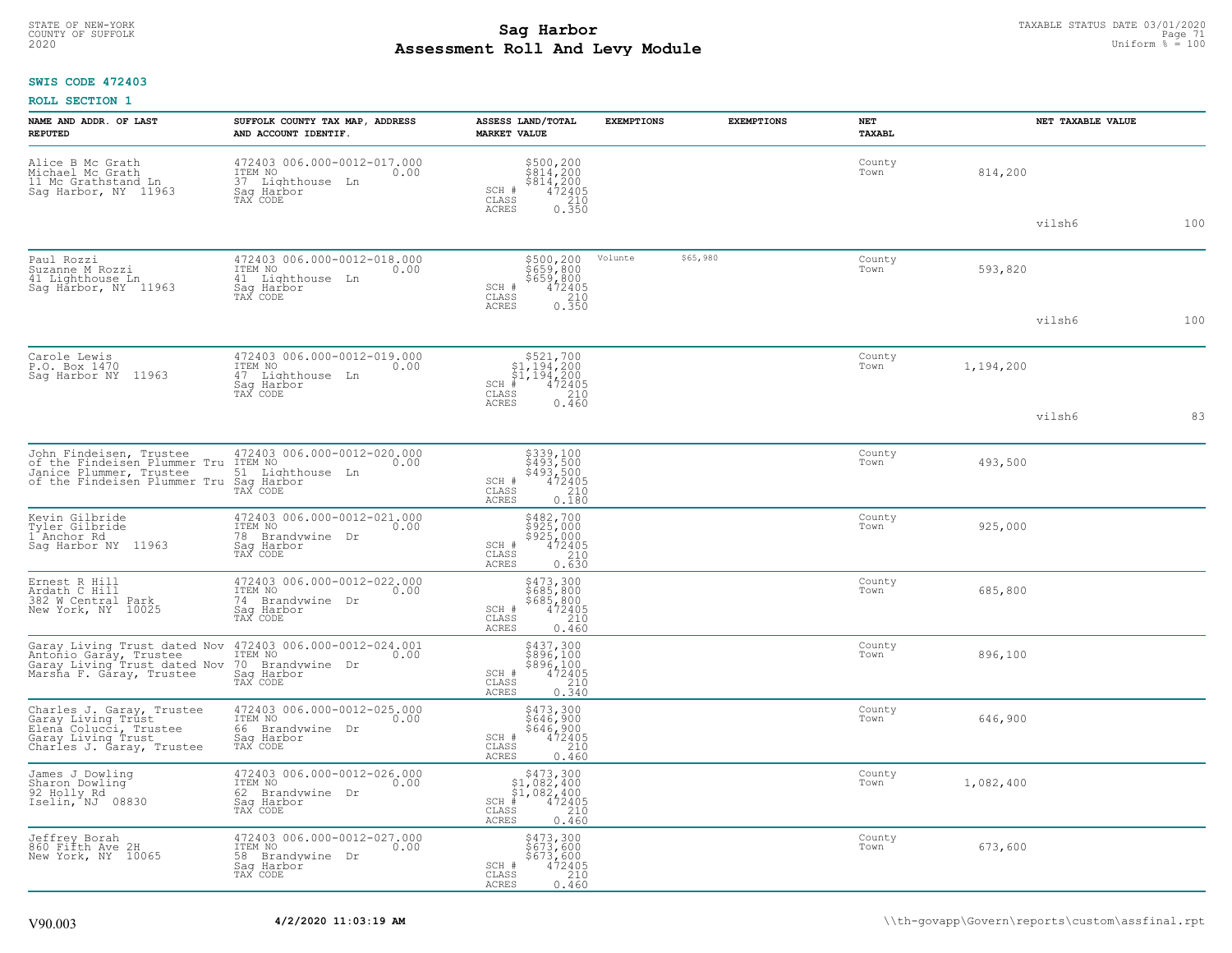# STATE OF NEW-YORK TAXABLE STATUS DATE 03/01/2020<br>COUNTY OF SUFFOLK Page 71 COUNTY OF SUFFOLK Page 71 **Assessment Roll And Levy Module** 2020 Uniform % = 100

## **SWIS CODE 472403**

| NAME AND ADDR. OF LAST<br><b>REPUTED</b>                                                                                     | SUFFOLK COUNTY TAX MAP, ADDRESS<br>AND ACCOUNT IDENTIF.                                         | ASSESS LAND/TOTAL<br><b>MARKET VALUE</b>                                                                                       | <b>EXEMPTIONS</b> | <b>EXEMPTIONS</b> | NET<br><b>TAXABL</b> | NET TAXABLE VALUE |     |
|------------------------------------------------------------------------------------------------------------------------------|-------------------------------------------------------------------------------------------------|--------------------------------------------------------------------------------------------------------------------------------|-------------------|-------------------|----------------------|-------------------|-----|
| Alice B Mc Grath<br>Michael Mc Grath<br>11 Mc Grathstand Ln<br>Sag Harbor, NY 11963                                          | 472403 006.000-0012-017.000<br>0.00 0.00<br>0.00<br>37 Lighthouse Ln<br>Saq Harbor<br>TAX CODE  | \$500,200<br>\$814,200<br>\$814,200<br>SCH #<br>472405<br>CLASS<br>$\begin{array}{c} 210 \\ 0.350 \end{array}$<br><b>ACRES</b> |                   |                   | County<br>Town       | 814,200           |     |
|                                                                                                                              |                                                                                                 |                                                                                                                                |                   |                   |                      | vilsh6            | 100 |
| Paul Rozzi<br>Suzanne M Rozzi<br>41 Lighthouse Ln<br>Sag Harbor, NY 11963                                                    | 472403 006.000-0012-018.000<br>ITEM NO<br>0.00<br>41 Lighthouse Ln<br>Saq Harbor<br>TAX CODE    | \$500,200<br>$$659,800$<br>$$659,800$<br>$$472405$<br>$$210$<br>SCH #<br>$\mathtt{CLASS}$                                      | Volunte           | \$65,980          | County<br>Town       | 593,820           |     |
|                                                                                                                              |                                                                                                 | 0.350<br><b>ACRES</b>                                                                                                          |                   |                   |                      | vilsh6            | 100 |
| Carole Lewis<br>P.O. Box 1470<br>Sag Harbor NY 11963                                                                         | 472403 006.000-0012-019.000<br>ITEM NO<br>0.00<br>47 Lighthouse Ln<br>Saq Harbor<br>TAX CODE    | $\begin{array}{c} $521,700\n$1,194,200\n$1,194,200\n# 472405 \end{array}$<br>$SCH$ #<br>CLASS<br>210                           |                   |                   | County<br>Town       | 1,194,200         |     |
|                                                                                                                              |                                                                                                 | <b>ACRES</b><br>0.460                                                                                                          |                   |                   |                      | vilsh6            | 83  |
| John Findeisen, Trustee<br>of the Findeisen Plummer Tru<br>Janice Plummer, Trustee<br>of the Findeisen Plummer Tru           | 472403 006.000-0012-020.000<br>ITEM NO<br>0.00<br>51 Lighthouse Ln<br>Saq Harbor<br>TAX CODE    | \$339,100<br>\$493,500<br>\$493,500<br>472405<br>SCH #<br>$\mathtt{CLASS}$<br>210<br><b>ACRES</b><br>0.180                     |                   |                   | County<br>Town       | 493,500           |     |
| Kevin Gilbride<br>Tyler Gilbride<br>1 Anchor Rd<br>Saq Harbor NY 11963                                                       | 472403 006.000-0012-021.000<br>ITEM NO<br>0.00<br>78<br>Brandywine Dr<br>Saq Harbor<br>TAX CODE | \$482,700<br>\$925,000<br>\$925,000<br>472405<br>SCH #<br>210<br>CLASS<br><b>ACRES</b><br>0.630                                |                   |                   | County<br>Town       | 925,000           |     |
| Ernest R Hill<br>Ardath C Hill<br>382 W Central Park<br>New York, NY 10025                                                   | 472403 006.000-0012-022.000<br>ITEM NO<br>0.00<br>74 Brandywine<br>Dr<br>Saq Harbor<br>TAX CODE | \$473,300<br>\$685,800<br>\$685,800<br>SCH #<br>472405<br>210<br>CLASS<br><b>ACRES</b><br>0.460                                |                   |                   | County<br>Town       | 685,800           |     |
| Garay Living Trust dated Nov<br>Antonio Garay, Trustee<br>Garay Living Trust dated Nov<br>Marsha F. Gáray, Trustee           | 472403 006.000-0012-024.001<br>ITEM NO<br>0.00<br>70 Brandywine Dr<br>Sag Harbor<br>TAX CODE    | \$437,300<br>\$896,100<br>\$896,100<br>472405<br>SCH #<br>CLASS<br>210<br><b>ACRES</b><br>0.340                                |                   |                   | County<br>Town       | 896,100           |     |
| Charles J. Garay, Trustee<br>Garay Living Trust<br>Elená Colucci, Trustee<br>Garay Living Trust<br>Charles J. Garay, Trustee | 472403 006.000-0012-025.000<br>ITEM NO<br>0.00<br>66 Brandywine Dr<br>Saq Harbor<br>TAX CODE    | \$473,300<br>\$646,900<br>\$646,900<br>SCH #<br>472405<br>CLASS<br>210<br><b>ACRES</b><br>0.460                                |                   |                   | County<br>Town       | 646,900           |     |
| James J Dowling<br>Sharon Dowling<br>$92$ $H_011y$ $Rd$<br>Iselin, NJ 08830                                                  | 472403 006.000-0012-026.000<br>ITEM NO<br>0.00<br>62 Brandywine Dr<br>Sag Harbor<br>TAX CODE    | $$473,300$<br>$$1,082,400$<br>$$1,082,400$<br>$$472405$<br>$SCH$ #<br>CLASS<br>210<br><b>ACRES</b><br>0.460                    |                   |                   | County<br>Town       | 1,082,400         |     |
| Jeffrey Borah<br>860 Fifth Ave 2H<br>New York, NY 10065                                                                      | 472403 006.000-0012-027.000<br>ITEM NO<br>0.00<br>58 Brandywine Dr<br>Sag Harbor<br>TAX CODE    | \$473,300<br>\$673,600<br>\$673,600<br>472405<br>210<br>SCH #<br>CLASS<br>0.460<br><b>ACRES</b>                                |                   |                   | County<br>Town       | 673,600           |     |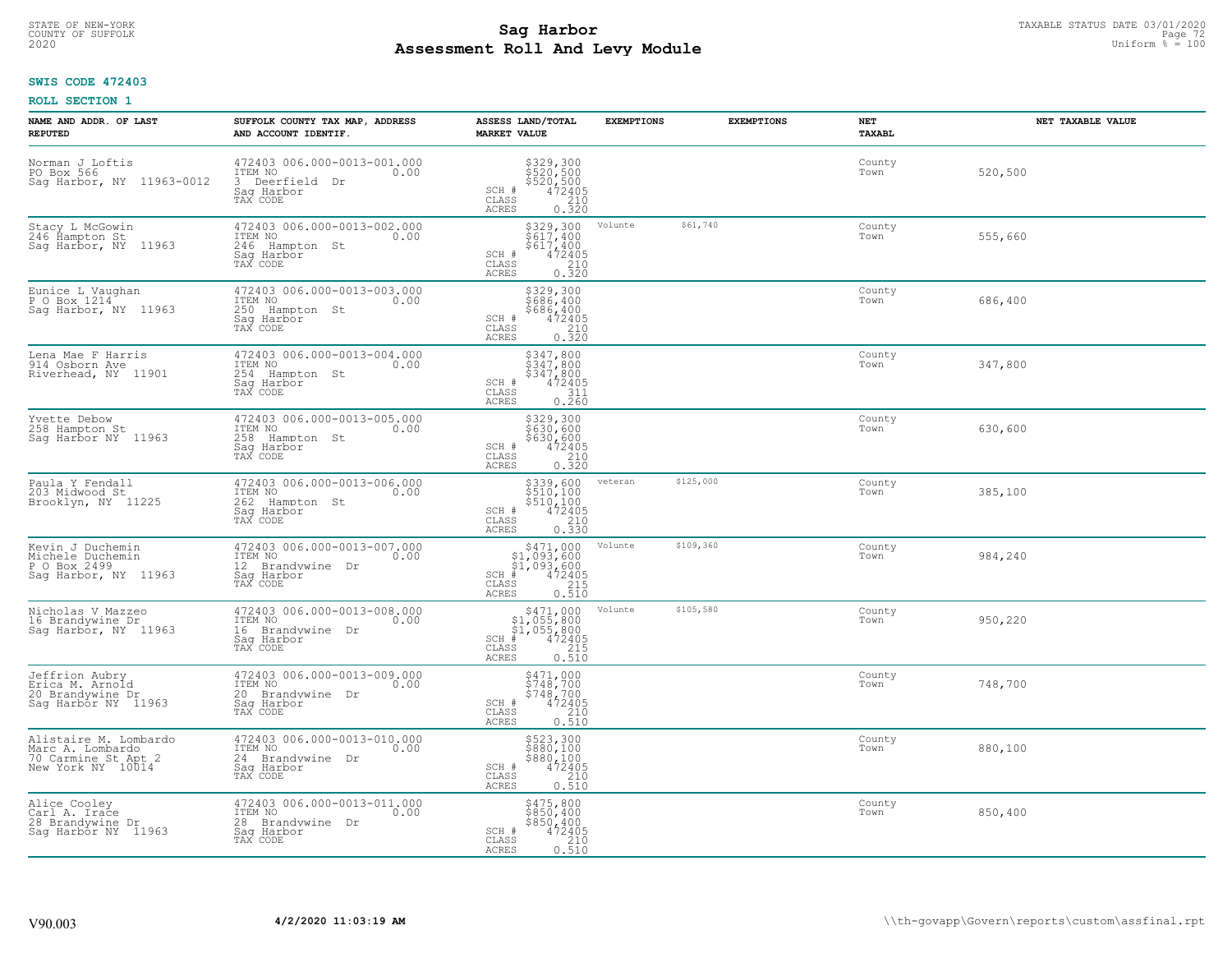# TAXABLE STATUS DATE 03/01/2020<br>COUNTY OF SUFFOLK Page 72 COUNTY OF SUFFOLK Page 72 **Assessment Roll And Levy Module** 2020 Uniform % = 100

## **SWIS CODE 472403**

| NAME AND ADDR. OF LAST<br><b>REPUTED</b>                                              | SUFFOLK COUNTY TAX MAP, ADDRESS<br>AND ACCOUNT IDENTIF.                                         | ASSESS LAND/TOTAL<br><b>MARKET VALUE</b>                                                                                            | <b>EXEMPTIONS</b>    | <b>EXEMPTIONS</b> | NET<br><b>TAXABL</b> | NET TAXABLE VALUE |
|---------------------------------------------------------------------------------------|-------------------------------------------------------------------------------------------------|-------------------------------------------------------------------------------------------------------------------------------------|----------------------|-------------------|----------------------|-------------------|
| Norman J Loftis<br>PO Box 566<br>Sag Harbor, NY 11963-0012                            | 472403 006.000-0013-001.000<br>ITEM NO<br>0.00<br>3 Deerfield<br>Dr<br>Saq Harbor<br>TAX CODE   | \$329,300<br>\$520,500<br>\$520,500<br>\$520,500<br>\$72405<br>\$210<br>\$220<br>SCH #<br>CLASS<br><b>ACRES</b>                     |                      |                   | County<br>Town       | 520,500           |
| Stacy L McGowin<br>246 Hampton St<br>Sag Harbor, NY 11963                             | 472403 006.000-0013-002.000<br>ITEM NO<br>0.00<br>246 Hampton St<br>Sag Harbor<br>TAX CODE      | $$329,300$<br>$$617,400$<br>$$617,400$<br>$472405$<br>$$210$<br>SCH #<br>CLASS<br>0.320<br>ACRES                                    | Volunte              | \$61,740          | County<br>Town       | 555,660           |
| Eunice L Vaughan<br>P O Box 1214<br>Sag Harbor, NY 11963                              | 472403 006.000-0013-003.000<br>ITEM NO<br>0.00<br>250<br>Hampton St<br>Saq Harbor<br>TAX CODE   | \$329,300<br>\$686,400<br>\$686,400<br>SCH #<br>$\begin{smallmatrix} 472405\ 210\ 0.320 \end{smallmatrix}$<br>CLASS<br><b>ACRES</b> |                      |                   | County<br>Town       | 686,400           |
| Lena Mae F Harris<br>914 Osborn Ave<br>Riverhead, NY 11901                            | 472403 006.000-0013-004.000<br>ITEM NO<br>0.00<br>254 Hampton St<br>Saq Harbor<br>TAX CODE      | \$347,800<br>\$347,800<br>\$347,800<br>SCH #<br>472405<br>CLASS<br>311<br>ACRES<br>0.260                                            |                      |                   | County<br>Town       | 347,800           |
| Yvette Debow<br>258 Hampton St<br>Sag Harbor NY 11963                                 | 472403 006.000-0013-005.000<br>ITEM NO<br>0.00<br>258<br>Hampton St<br>Sag Harbor<br>TAX CODE   | \$329,300<br>\$630,600<br>\$630,600<br>472405<br>SCH #<br>CLASS<br>$\begin{array}{c} 210 \\ 0.320 \end{array}$<br><b>ACRES</b>      |                      |                   | County<br>Town       | 630,600           |
| Paula Y Fendall<br>203 Midwood St<br>Brooklyn, NY 11225                               | 472403 006.000-0013-006.000<br>ITEM NO<br>0.00<br>262 Hampton St<br>Saq Harbor<br>TAX CODE      | \$339,600<br>\$510,100<br>\$510,100<br>\$510,100<br>0.330<br>0.330<br>SCH #<br>CLASS<br><b>ACRES</b>                                | \$125,000<br>veteran |                   | County<br>Town       | 385,100           |
| Kevin J Duchemin<br>Michele Duchemin<br>P O Box 2499<br>Sag Harbor, NY 11963          | 472403 006.000-0013-007.000<br>ITEM NO<br>0.00<br>12<br>Brandvwine Dr<br>Saq Harbor<br>TAX CODE | \$471,000<br>\$1,093,600<br>\$1,093,600<br># 472405<br>$SCH$ #<br>$\frac{215}{0.510}$<br>$\mathtt{CLASS}$<br><b>ACRES</b>           | Volunte<br>\$109,360 |                   | County<br>Town       | 984,240           |
| Nicholas V Mazzeo<br>16 Brandywine Dr<br>Saq Harbor, NY 11963                         | 472403 006.000-0013-008.000<br>ITEM NO<br>0.00<br>16 Brandywine Dr<br>Saq Harbor<br>TAX CODE    | $$471,000$<br>$$1,055,800$<br>$$1,055,800$<br>$472405$<br>$$25$<br>$$215$<br>$SCH$ #<br>CLASS<br><b>ACRES</b><br>0.510              | \$105,580<br>Volunte |                   | County<br>Town       | 950,220           |
| Jeffrion Aubry<br>Erica M. Arnold<br>20 Brandywine Dr<br>Sag Harbor NY 11963          | 472403 006.000-0013-009.000<br>TTEM NO 0.00<br>20 Brandywine Dr<br>Saq Harbor<br>TAX CODE       | \$471,000<br>\$748,700<br>\$748,700<br>472405<br>SCH #<br>CLASS<br>0.210<br><b>ACRES</b>                                            |                      |                   | County<br>Town       | 748,700           |
| Alistaire M. Lombardo<br>Marc A. Lombardo<br>70 Carmine St Apt 2<br>New York NY 10014 | 472403 006.000-0013-010.000<br>ITEM NO<br>0.00<br>24 Brandywine<br>Dr<br>Sag Harbor<br>TAX CODE | $$523,300$<br>$$880,100$<br>$$880,100$<br>$472405$<br>210<br>SCH #<br>CLASS<br><b>ACRES</b><br>0.510                                |                      |                   | County<br>Town       | 880,100           |
| Alice Cooley<br>Carl A. Irace<br>28 Brandywine Dr<br>Saq Harbor NY 11963              | 472403 006.000-0013-011.000<br>ITEM NO<br>0.00<br>28 Brandywine Dr<br>Sag Harbor<br>TAX CODE    | \$475,800<br>\$850,400<br>\$850,400<br>SCH #<br>472405<br>CLASS<br>$\frac{210}{0.510}$<br><b>ACRES</b>                              |                      |                   | County<br>Town       | 850,400           |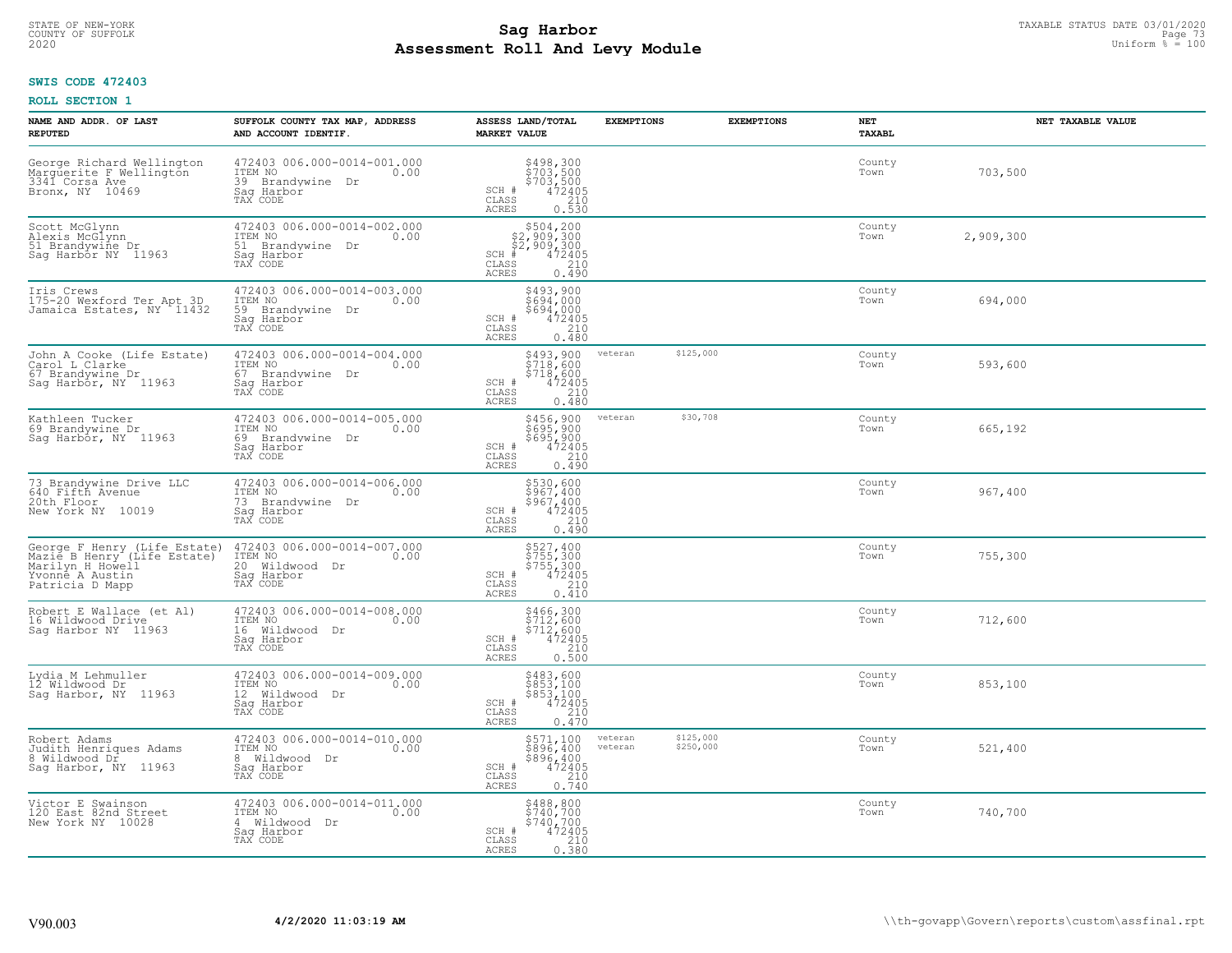# TAXABLE STATUS DATE 03/01/2020<br>COUNTY OF SUFFOLK Page 73 **Assessment Roll And Levy Module** 2020 Uniform % = 100

### **SWIS CODE 472403**

| NAME AND ADDR. OF LAST<br><b>REPUTED</b>                                                                              | SUFFOLK COUNTY TAX MAP, ADDRESS<br>AND ACCOUNT IDENTIF.                                         | ASSESS LAND/TOTAL<br><b>MARKET VALUE</b>                                                                                | <b>EXEMPTIONS</b>  | <b>EXEMPTIONS</b>      | <b>NET</b><br><b>TAXABL</b> | NET TAXABLE VALUE |
|-----------------------------------------------------------------------------------------------------------------------|-------------------------------------------------------------------------------------------------|-------------------------------------------------------------------------------------------------------------------------|--------------------|------------------------|-----------------------------|-------------------|
| George Richard Wellington<br>Marguerite F Wellington<br>3341 Corsa Ave<br>Bronx, NY 10469                             | 472403 006.000-0014-001.000<br>ITEM NO<br>0.00<br>39 Brandvwine<br>Dr<br>Saq Harbor<br>TAX CODE | $$498,300$<br>$$703,500$<br>$$703,500$<br>$$472405$<br>210<br>SCH #<br>CLASS<br>0.530<br>ACRES                          |                    |                        | County<br>Town              | 703,500           |
| Scott McGlynn<br>Alexis McGlynn<br>51 Brandywine Dr<br>Saq Harbor NY 11963                                            | 472403 006.000-0014-002.000<br>ITEM NO<br>0.00<br>51 Brandywine Dr<br>Sag Harbor<br>TAX CODE    | $$504, 200$<br>$$2, 909, 300$<br>$$2, 909, 300$<br>$$472405$<br>$SCH$ #<br>CLASS<br>210<br><b>ACRES</b><br>0.490        |                    |                        | County<br>Town              | 2,909,300         |
| Iris Crews<br>175-20 Wexford Ter Apt 3D<br>Jamaica Estates, NY 11432                                                  | 472403 006.000-0014-003.000<br>ITEM NO<br>0.00<br>59<br>Brandywine Dr<br>Saq Harbor<br>TAX CODE | \$493,900<br>\$694,000<br>\$694,000<br>SCH #<br>472405<br>CLASS<br>210<br>0.480<br>ACRES                                |                    |                        | County<br>Town              | 694,000           |
| John A Cooke (Life Estate)<br>Carol L Clarke<br>67 Brandywine Dr<br>Saq Harbor, NY 11963                              | 472403 006.000-0014-004.000<br>TTEM NO 0.00<br>67 Brandvwine Dr<br>Saq Harbor<br>TAX CODE       | \$493,900<br>\$718,600<br>$\begin{array}{r} 5718,600 \\ 472405 \\ 210 \\ 0.480 \end{array}$<br>SCH #<br>CLASS<br>ACRES  | veteran            | \$125,000              | County<br>Town              | 593,600           |
| Kathleen Tucker<br>69 Brandywine Dr<br>Sag Harbor, NY 11963                                                           | 472403 006.000-0014-005.000<br>ITEM NO<br>0.00<br>69 Brandvwine Dr<br>Saq Harbor<br>TAX CODE    | \$456,900<br>$\frac{1}{2}$ eğğ, göö<br>$$695,900$<br>472405<br>210<br>0.490<br>SCH #<br>CLASS<br>ACRES                  | veteran            | \$30,708               | County<br>Town              | 665,192           |
| 73 Brandywine Drive LLC<br>640 Fifth Avenue<br>20th Floor<br>New York NY<br>10019                                     | 472403 006.000-0014-006.000<br>ITEM NO<br>0.00<br>73 Brandywine Dr<br>Saq Harbor<br>TAX CODE    | \$530,600<br>\$967,400<br>\$967,400<br>472405<br>SCH #<br>CLASS<br>210<br>0.490<br>ACRES                                |                    |                        | County<br>Town              | 967,400           |
| George F Henry (Life Estate)<br>Mazie B Henry (Life Estate)<br>Marilyn_H_Howell<br>Yvonne A Austin<br>Patricia D Mapp | 472403 006.000-0014-007.000<br>ITEM NO<br>0.00<br>20 Wildwood Dr<br>Sag Harbor<br>TAX CODE      | \$527,400<br>\$755,300<br>\$755,300<br>472405<br>SCH #<br>210<br>CLASS<br>0.410<br><b>ACRES</b>                         |                    |                        | County<br>Town              | 755,300           |
| Robert E Wallace (et Al)<br>16 Wildwood Drive<br>Saq Harbor NY 11963                                                  | 472403 006.000-0014-008.000<br>ITEM NO<br>0.00<br>16 Wildwood Dr<br>Saq Harbor<br>TAX CODE      | \$466,300<br>\$712,600<br>\$712,600<br>SCH #<br>472405<br>210<br>CLASS<br>ACRES<br>0.500                                |                    |                        | County<br>Town              | 712,600           |
| Lydia M Lehmuller<br>12 Wildwood Dr<br>Saq Harbor, NY 11963                                                           | 472403 006.000-0014-009.000<br>ITEM NO<br>0.00<br>12 Wildwood Dr<br>Saq Harbor<br>TAX CODE      | \$483,600<br>\$853,100<br>$$853,100$<br>472405<br>210<br>SCH #<br>$\mathtt{CLASS}$<br>ACRES<br>0.470                    |                    |                        | County<br>Town              | 853,100           |
| Robert Adams<br>Judith Henriques Adams<br>8 Wildwood Dr<br>Sag Harbor, NY 11963                                       | 472403 006.000-0014-010.000<br>ITEM NO<br>0.00<br>8 Wildwood Dr<br>Sag Harbor<br>TAX CODE       | \$571,100<br>\$896, 400<br>$$896,400\n472405\n210\n0.740$<br>SCH #<br>CLASS<br>ACRES                                    | veteran<br>veteran | \$125,000<br>\$250,000 | County<br>Town              | 521,400           |
| Victor E Swainson<br>120 East 82nd Street<br>New York NY 10028                                                        | 472403 006.000-0014-011.000<br>ITEM NO<br>0.00<br>4 Wildwood Dr<br>Sag Harbor<br>TAX CODE       | $\begin{array}{r} 5488, 800 \\ 5740, 700 \\ 5740, 700 \\ 472405 \\ 210 \\ 0.380 \end{array}$<br>SCH #<br>CLASS<br>ACRES |                    |                        | County<br>Town              | 740,700           |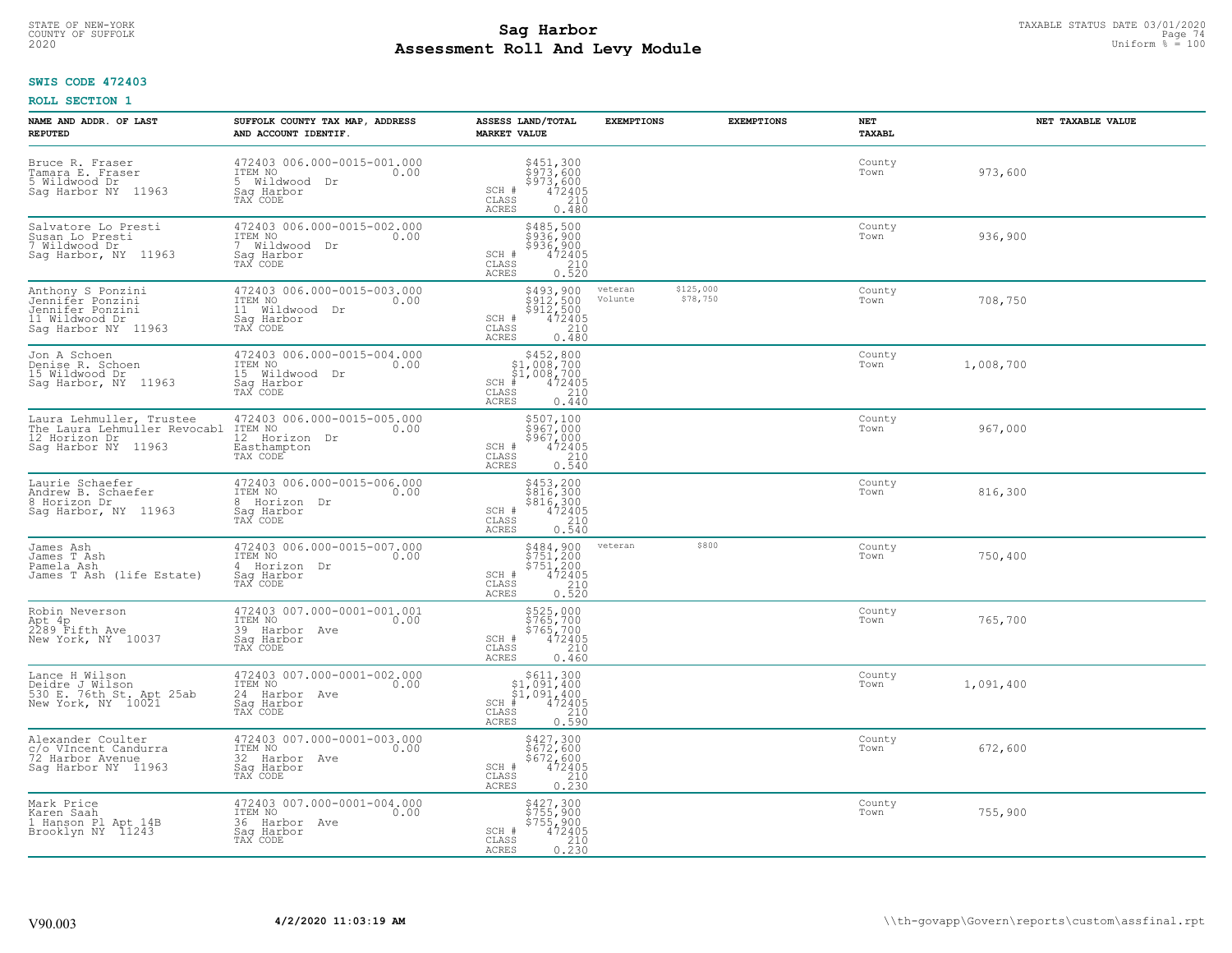# TAXABLE STATUS DATE 03/01/2020<br>COUNTY OF SUFFOLK Page 74 **Assessment Roll And Levy Module** 2020 Uniform % = 100

### **SWIS CODE 472403**

| NAME AND ADDR. OF LAST<br><b>REPUTED</b>                                                           | SUFFOLK COUNTY TAX MAP, ADDRESS<br>AND ACCOUNT IDENTIF.                                       | ASSESS LAND/TOTAL<br><b>MARKET VALUE</b>                                                                        | <b>EXEMPTIONS</b>  | <b>EXEMPTIONS</b>     | <b>NET</b><br><b>TAXABL</b> | NET TAXABLE VALUE |
|----------------------------------------------------------------------------------------------------|-----------------------------------------------------------------------------------------------|-----------------------------------------------------------------------------------------------------------------|--------------------|-----------------------|-----------------------------|-------------------|
| Bruce R. Fraser<br>Tamara E. Fraser<br>5 Wildwood Dr<br>Sag Harbor NY 11963                        | 472403 006.000-0015-001.000<br>ITEM NO<br>0.00<br>5 Wildwood<br>Dr<br>Saq Harbor<br>TAX CODE  | \$451,300<br>\$973,600<br>\$973,600<br>SCH #<br>472405<br>210<br>CLASS<br>ACRES<br>0.480                        |                    |                       | County<br>Town              | 973,600           |
| Salvatore Lo Presti<br>Susan Lo Presti<br>7 Wildwood Dr<br>Sag Harbor, NY 11963                    | 472403 006.000-0015-002.000<br>ITEM NO<br>0.00<br>Wildwood Dr<br>7<br>Saq Harbor<br>TAX CODE  | \$485,500<br>\$936,900<br>\$936,900<br>472405<br>SCH #<br>$\frac{210}{0.520}$<br>CLASS<br><b>ACRES</b>          |                    |                       | County<br>Town              | 936,900           |
| Anthony S Ponzini<br>Jennifer Ponzini<br>Jennifer Ponzini<br>11 Wildwood Dr<br>Sag Harbor NY 11963 | 472403 006.000-0015-003.000<br>ITEM NO<br>0.00<br>11<br>Wildwood Dr<br>Sag Harbor<br>TAX CODE | \$493,900<br>\$912,500<br>\$912,500<br>$\frac{472405}{210}$<br>SCH #<br>$\mathtt{CLASS}$<br>0.480<br>ACRES      | veteran<br>Volunte | \$125,000<br>\$78,750 | County<br>Town              | 708,750           |
| Jon A Schoen<br>Denise R. Schoen<br>15 Wildwood Dr<br>Saq Harbor, NY<br>11963                      | 472403 006.000-0015-004.000<br>ITEM NO<br>0.00<br>15 Wildwood Dr<br>Saq Harbor<br>TAX CODE    | \$452,800<br>\$1,008,700<br>\$1,008,700<br>$SCH$ #<br>$472405$<br>210<br>CLASS<br>ACRES<br>0.440                |                    |                       | County<br>Town              | 1,008,700         |
| Laura Lehmuller, Trustee<br>The Laura Lehmuller Revocabl<br>12 Horizon Dr<br>Saq Harbor NY 11963   | 472403 006.000-0015-005.000<br>ITEM NO<br>0.00<br>12 Horizon Dr<br>Easthampton<br>TAX CODE    | \$507,100<br>5967,000<br>$$967,000\n472405\n210\n0.540$<br>SCH #<br>CLASS<br>ACRES                              |                    |                       | County<br>Town              | 967,000           |
| Laurie Schaefer<br>Andrew B. Schaefer<br>8 Horizon Dr<br>Sag Harbor, NY 11963                      | 472403 006.000-0015-006.000<br>ITEM NO<br>0.00<br>8 Horizon Dr<br>Sag Harbor<br>TAX CODE      | \$453,200<br>\$816,300<br>\$816,300<br>\$72405<br>0.540<br>0.540<br>SCH #<br>CLASS<br>ACRES                     |                    |                       | County<br>Town              | 816,300           |
| James Ash<br>James T Ash<br>Pamela Ash<br>James T Ash (life Estate)                                | 472403 006.000-0015-007.000<br>ITEM NO<br>0.00<br>4 Horizon Dr<br>Sag Harbor<br>TAX CODE      | \$484,900<br>\$751,200<br>\$751,200<br>472405<br>SCH #<br>$\frac{210}{0.520}$<br>CLASS<br>ACRES                 | veteran            | \$800                 | County<br>Town              | 750,400           |
| Robin Neverson<br>Apt 4p<br>2289 Fifth Ave<br>New York, NY 10037                                   | 472403 007.000-0001-001.001<br>ITEM NO<br>0.00<br>39 Harbor Ave<br>Saq Harbor<br>TAX CODE     | \$525,000<br>\$765,700<br>\$765,700<br>472405<br>SCH #<br>CLASS<br>210<br><b>ACRES</b><br>0.460                 |                    |                       | County<br>Town              | 765,700           |
| Lance H Wilson<br>Deidre J Wilson<br>530 E. 76th St. Apt 25ab<br>New York, NY 10021                | 472403 007.000-0001-002.000<br>TTEM NO 0.00<br>24 Harbor Ave<br>Saq Harbor<br>TAX CODE        | $\begin{array}{c} $611,300 $1,091,400 $1,091,400 # 472405 \end{array}$<br>SCH<br>CLASS<br>0.590<br><b>ACRES</b> |                    |                       | County<br>Town              | 1,091,400         |
| Alexander Coulter<br>c/o VIncent Candurra<br>72 Harbor Avenue<br>Sag Harbor NY 11963               | 472403 007.000-0001-003.000<br>ITEM NO<br>0.00<br>32 Harbor<br>Ave<br>Sag Harbor<br>TAX CODE  | $$427,300$<br>$$672,600$<br>$$672,600$<br>$472405$<br>$$210$<br>SCH #<br>CLASS<br>0.230<br><b>ACRES</b>         |                    |                       | County<br>Town              | 672,600           |
| Mark Price<br>Karen Saah<br>1 Hanson Pl Apt 14B<br>Brooklyn NY 11243                               | 472403 007.000-0001-004.000<br>ITEM NO<br>0.00<br>36 Harbor Ave<br>Saq Harbor<br>TAX CODE     | \$427,300<br>\$755,900<br>\$755,900<br>$\frac{472405}{210}$<br>$SCH$ #<br>CLASS<br>0.230<br>ACRES               |                    |                       | County<br>Town              | 755,900           |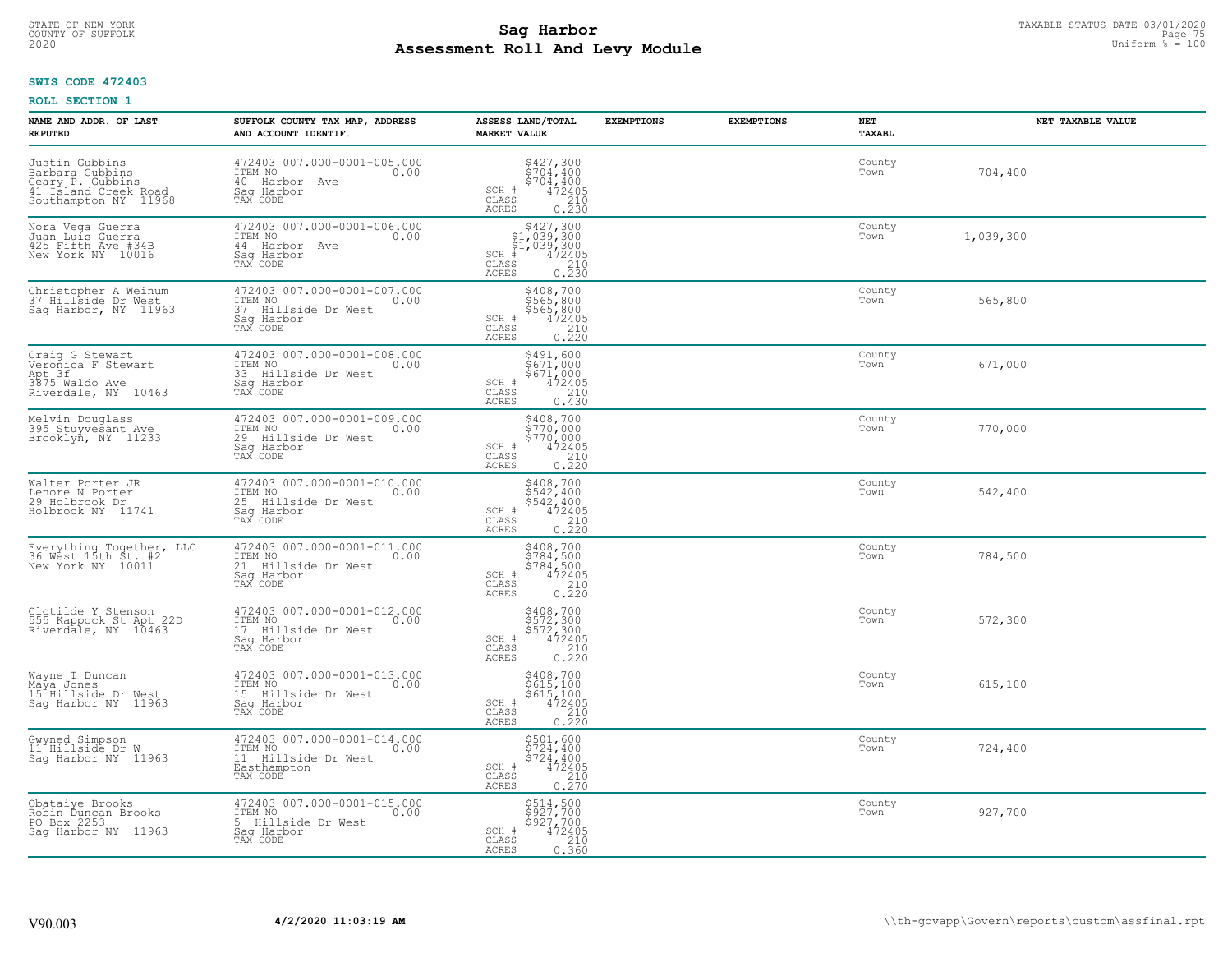# TAXABLE STATUS DATE 03/01/2020<br>COUNTY OF SUFFOLK Page 75 COUNTY OF SUFFOLK Page 75 **Assessment Roll And Levy Module** 2020 Uniform % = 100

### **SWIS CODE 472403**

| NAME AND ADDR. OF LAST<br><b>REPUTED</b>                                                              | SUFFOLK COUNTY TAX MAP, ADDRESS<br>AND ACCOUNT IDENTIF.                                            | ASSESS LAND/TOTAL<br><b>MARKET VALUE</b>                                                                                            | <b>EXEMPTIONS</b><br><b>EXEMPTIONS</b> | <b>NET</b><br><b>TAXABL</b> | NET TAXABLE VALUE |
|-------------------------------------------------------------------------------------------------------|----------------------------------------------------------------------------------------------------|-------------------------------------------------------------------------------------------------------------------------------------|----------------------------------------|-----------------------------|-------------------|
| Justin Gubbins<br>Barbara Gubbins<br>Geary P. Gubbins<br>41 Island Creek Road<br>Southampton NY 11968 | 472403 007.000-0001-005.000<br>ITEM NO<br>0.00<br>40 Harbor Ave<br>Saq Harbor<br>TAX CODE          | $\begin{array}{c} $427,300 \\ $704,400 \\ $704,400 \\ $472405 \\ 210 \\ 0.230 \end{array}$<br>SCH #<br>CLASS<br>ACRES               |                                        | County<br>Town              | 704,400           |
| Nora Vega Guerra<br>Juan Luis Guerra<br>425 Fifth Ave #34B<br>New York NY 10016                       | 472403 007.000-0001-006.000<br>ITEM NO<br>0.00<br>44 Harbor Ave<br>Sag Harbor<br>TAX CODE          | $$427,300$<br>$$1,039,300$<br>$$1,039,300$<br>$$472405$<br>$SCH$ #<br>CLASS<br>$\frac{210}{0.230}$<br>ACRES                         |                                        | County<br>Town              | 1,039,300         |
| Christopher A Weinum<br>37 Hillside Dr West<br>Sag Harbor, NY 11963                                   | 472403 007.000-0001-007.000<br>ITEM NO<br>0.00<br>37<br>Hillside Dr West<br>Sag Harbor<br>TAX CODE | \$408,700<br>\$565,800<br>\$565,800<br>472405<br>SCH #<br>CLASS<br>$0.210$<br>$0.220$<br>ACRES                                      |                                        | County<br>Town              | 565,800           |
| Craig G Stewart<br>Veronica F Stewart<br>Apt 3f<br>3875 Waldo Ave<br>Riverdale, NY 10463              | 472403 007.000-0001-008.000<br>ITEM NO<br>0.00<br>33 Hillside Dr West<br>Sag Harbor<br>TAX CODE    | \$491,600<br>\$671,000<br>$$671,000$<br>472405<br>210<br>SCH #<br>CLASS<br>ACRES<br>0.430                                           |                                        | County<br>Town              | 671,000           |
| Melvin Douglass<br>395 Stuyvesant Ave<br>Brooklyn, NY 11233                                           | 472403 007.000-0001-009.000<br>ITEM NO<br>0.00<br>29<br>Hillside Dr West<br>Saq Harbor<br>TAX CODE | \$408,700<br>\$770,000<br>\$770,000<br>SCH #<br>$^{472}_{210}$<br>0.220<br>CLASS<br><b>ACRES</b>                                    |                                        | County<br>Town              | 770,000           |
| Walter Porter JR<br>Lenore N Porter<br>29 Holbrook Dr<br>Holbrook NY 11741                            | 472403 007.000-0001-010.000<br>ITEM NO<br>0.00<br>25 Hillside Dr West<br>Sag Harbor<br>TAX CODE    | \$408,700<br>\$542,400<br>\$542,400<br>472405<br>SCH #<br>CLASS<br>$\begin{array}{c} 210 \\ 0.220 \end{array}$<br><b>ACRES</b>      |                                        | County<br>Town              | 542,400           |
| Everything Together, LLC<br>36 West 15th St. #2<br>New York NY 10011                                  | 472403 007.000-0001-011.000<br>ITEM NO<br>0.00<br>21<br>Hillside Dr West<br>Sag Harbor<br>TAX CODE | \$408,700<br>\$784,500<br>\$784,500<br>472405<br>SCH #<br>CLASS<br>$\frac{210}{0.220}$<br>ACRES                                     |                                        | County<br>Town              | 784,500           |
| Clotilde Y Stenson<br>555 Kappock St Apt 22D<br>Riverdale, NY 10463                                   | 472403 007.000-0001-012.000<br>TTEM NO 0.00<br>17 Hillside Dr West<br>Saq Harbor<br>TAX CODE       | $\begin{array}{r} 5408,700 \\ 5572,300 \\ 5572,300 \\ 472405 \\ 0.220 \end{array}$<br>SCH #<br>CLASS<br><b>ACRES</b>                |                                        | County<br>Town              | 572,300           |
| Wayne T Duncan<br>Maya Jones<br>15 Hillside Dr West<br>Saq Harbor NY 11963                            | 472403 007.000-0001-013.000<br>ITEM NO<br>0.00<br>15 Hillside Dr West<br>Saq Harbor<br>TAX CODE    | \$408,700<br>\$615,100<br>\$615,100<br>472405<br>SCH #<br>CLASS<br>0.220<br><b>ACRES</b>                                            |                                        | County<br>Town              | 615,100           |
| Gwyned Simpson<br>11 Hillside Dr W<br>Sag Harbor NY 11963                                             | 472403 007.000-0001-014.000<br>ITEM NO<br>0.00<br>11 Hillside Dr West<br>Easthampton<br>TAX CODE   | \$501,600<br>\$724,400<br>\$724,400<br>SCH #<br>$\begin{smallmatrix} 472405\ 210\ 0.270 \end{smallmatrix}$<br>CLASS<br><b>ACRES</b> |                                        | County<br>Town              | 724,400           |
| Obataiye Brooks<br>Robin Ďuncan Brooks<br>PO Box 2253<br>Saq Harbor NY 11963                          | 472403 007.000-0001-015.000<br>ITEM NO<br>0.00<br>Hillside Dr West<br>5.<br>Sag Harbor<br>TAX CODE | \$514,500<br>\$927,700<br>\$927,700<br>SCH #<br>472405<br>210<br>CLASS<br><b>ACRES</b><br>0.360                                     |                                        | County<br>Town              | 927,700           |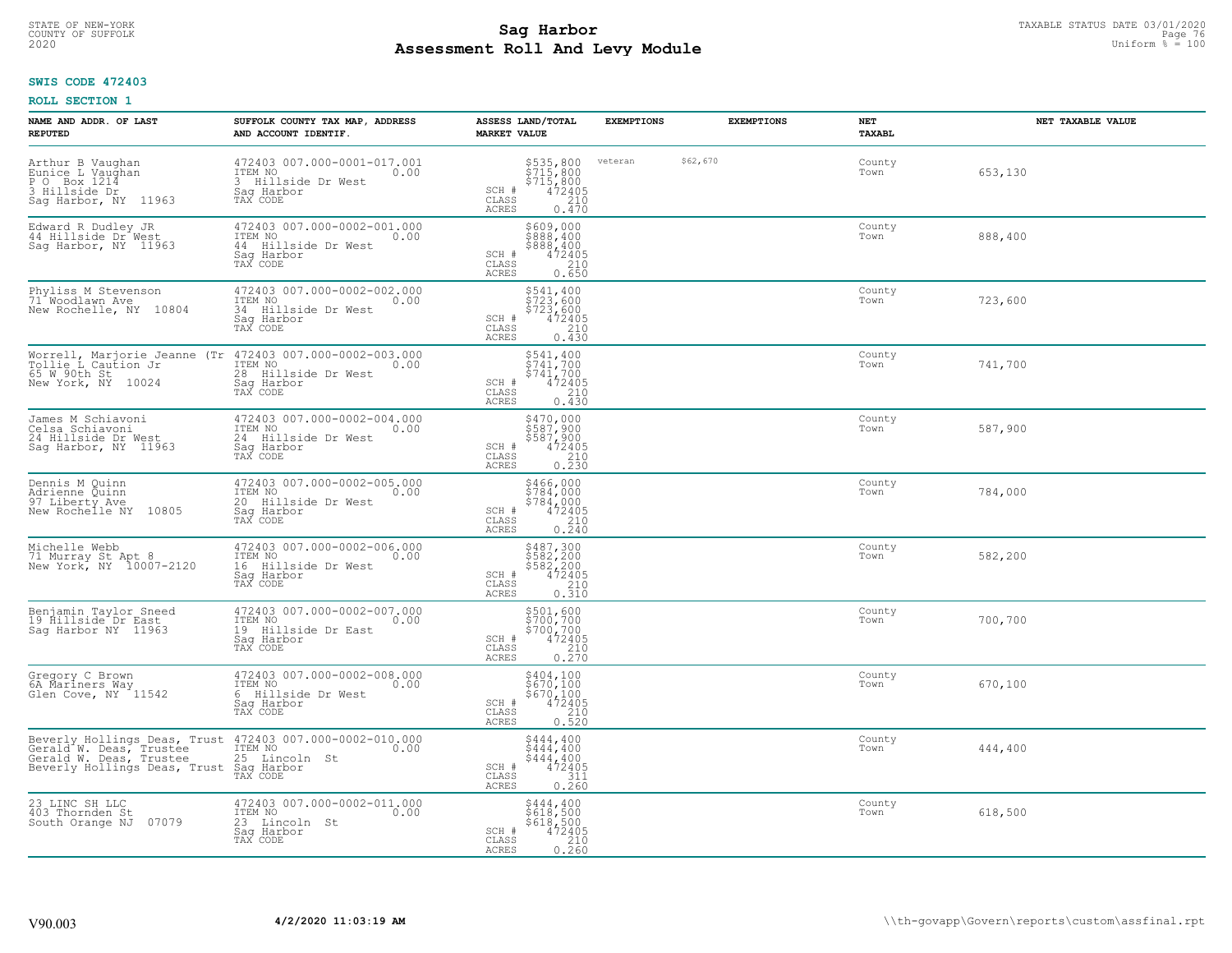# TAXABLE STATUS DATE 03/01/2020<br>COUNTY OF SUFFOLK Page 76 COUNTY OF SUFFOLK Page 76 **Assessment Roll And Levy Module** 2020 Uniform % = 100

### **SWIS CODE 472403**

| NAME AND ADDR. OF LAST<br><b>REPUTED</b>                                                                                                                             | SUFFOLK COUNTY TAX MAP, ADDRESS<br>AND ACCOUNT IDENTIF.                                            | ASSESS LAND/TOTAL<br><b>MARKET VALUE</b>                                                                                      | <b>EXEMPTIONS</b>   | <b>EXEMPTIONS</b> | <b>NET</b><br><b>TAXABL</b> | NET TAXABLE VALUE |
|----------------------------------------------------------------------------------------------------------------------------------------------------------------------|----------------------------------------------------------------------------------------------------|-------------------------------------------------------------------------------------------------------------------------------|---------------------|-------------------|-----------------------------|-------------------|
| Arthur B Vaughan<br>Eunice L Vaughan<br>$P$ O<br>Box 1214<br>3 Hillside Dr<br>Sag Harbor, NY 11963                                                                   | 472403 007.000-0001-017.001<br>ITEM NO<br>0.00<br>3 Hillside Dr West<br>Saq Harbor<br>TAX CODE     | \$535,800<br>\$715,800<br>\$715,800<br>\$715,800<br>\$72405<br>\$710<br>\$70<br>SCH #<br>CLASS<br>ACRES                       | \$62,670<br>veteran |                   | County<br>Town              | 653,130           |
| Edward R Dudley JR<br>44 Hillside Dr <sup>*</sup> West<br>Sag Harbor, NY 11963                                                                                       | 472403 007.000-0002-001.000<br>ITEM NO<br>0.00<br>44 Hillside Dr West<br>Saq Harbor<br>TAX CODE    | \$609,000<br>\$888,400<br>\$888,400<br>SCH #<br>472405<br>$\begin{array}{c} 210 \\ 0.650 \end{array}$<br>CLASS<br>ACRES       |                     |                   | County<br>Town              | 888,400           |
| Phyliss M Stevenson<br>71 <sup>*</sup> Woodlawn Ave<br>New Rochelle, NY 10804                                                                                        | 472403 007.000-0002-002.000<br>ITEM NO<br>0.00<br>34<br>Hillside Dr West<br>Sag Harbor<br>TAX CODE | \$541,400<br>\$723,600<br>\$723,600<br>472405<br>SCH #<br>210<br>CLASS<br><b>ACRES</b><br>0.430                               |                     |                   | County<br>Town              | 723,600           |
| Worrell, Marjorie Jeanne (Tr<br>Tollie L Caution Jr<br>65 W 90th St<br>New York, NY<br>10024                                                                         | 472403 007.000-0002-003.000<br>ITEM NO<br>0.00<br>28 Hillside Dr West<br>Saq Harbor<br>TAX CODE    | \$541,400<br>\$741,700<br>\$741,700<br>SCH #<br>472405<br>CLASS<br>210<br>ACRES<br>0.430                                      |                     |                   | County<br>Town              | 741,700           |
| James M Schiavoni<br>Celsa Schiavoni<br>24 Hillside Dr West<br>Sag Harbor, NY 11963                                                                                  | 472403 007.000-0002-004.000<br>ITEM NO<br>0.00<br>24 Hillside Dr West<br>Saq Harbor<br>TAX CODE    | \$470,000<br>\$587,900<br>$$587,9004724052100.230$<br>SCH #<br>CLASS<br>ACRES                                                 |                     |                   | County<br>Town              | 587,900           |
| Dennis M Quinn<br>Adrienne Quinn<br>97 Liberty Ave<br>New Rochelle NY 10805                                                                                          | 472403 007.000-0002-005.000<br>ITEM NO<br>0.00<br>20 Hillside Dr West<br>Sag Harbor<br>TAX CODE    | \$466,000<br>\$784,000<br>$\begin{array}{r} 5784,000 \\ 472405 \\ 210 \\ 0.240 \end{array}$<br>SCH #<br>CLASS<br><b>ACRES</b> |                     |                   | County<br>Town              | 784,000           |
| Michelle Webb<br>71 Murray St Apt 8<br>New York, NY 10007-2120                                                                                                       | 472403 007.000-0002-006.000<br>ITEM NO<br>0.00<br>16<br>Hillside Dr West<br>Saq Harbor<br>TAX CODE | \$487,300<br>\$582,200<br>\$582,200<br>\$582,200<br>\$72405<br>\$10<br>\$10<br>\$10<br>SCH #<br>$\mathtt{CLASS}$<br>ACRES     |                     |                   | County<br>Town              | 582,200           |
| Benjamin Taylor Sneed<br>19 Hillside Dr East<br>Sag Harbor NY 11963                                                                                                  | 472403 007.000-0002-007.000<br>ITEM NO<br>0.00<br>19 Hillside Dr East<br>Saq Harbor<br>TAX CODE    | \$501,600<br>\$700,700<br>\$700,700<br>472405<br>SCH #<br>CLASS<br>$\begin{array}{c} 210 \\ 0.270 \end{array}$<br>ACRES       |                     |                   | County<br>Town              | 700,700           |
| Gregory C Brown<br>6A Mariners Way<br>Glen Cove, NY <sup>11542</sup>                                                                                                 | 472403 007.000-0002-008.000<br>ITEM NO<br>0.00<br>6 Hillside Dr West<br>Saq Harbor<br>TAX CODE     | \$404,100<br>\$670,100<br>\$670,100<br>472405<br>SCH #<br>CLASS<br>$\frac{210}{0.520}$<br><b>ACRES</b>                        |                     |                   | County<br>Town              | 670,100           |
| Beverly Hollings Deas, Trust 472403 007.000-0002-010.000<br>Gerald W. Deas, Trustee ITEM NO<br>Gerald W. Deas, Trustee 25 Lincoln St<br>Beverly Hollings Deas, Trust | Sag Harbor<br>TAX CODE                                                                             | $$444, 400$<br>$$444, 400$<br>$$444, 400$<br>$472405$<br>$$311$<br>SCH #<br>CLASS<br><b>ACRES</b><br>0.260                    |                     |                   | County<br>Town              | 444,400           |
| 23 LINC SH LLC<br>403 Thornden St<br>South Orange NJ<br>07079                                                                                                        | 472403 007.000-0002-011.000<br>ITEM NO<br>0.00<br>23 Lincoln St<br>Sag Harbor<br>TAX CODE          | \$444,400<br>\$618,500<br>\$618,500<br>SCH #<br>472405<br>210<br>CLASS<br>ACRES<br>0.260                                      |                     |                   | County<br>Town              | 618,500           |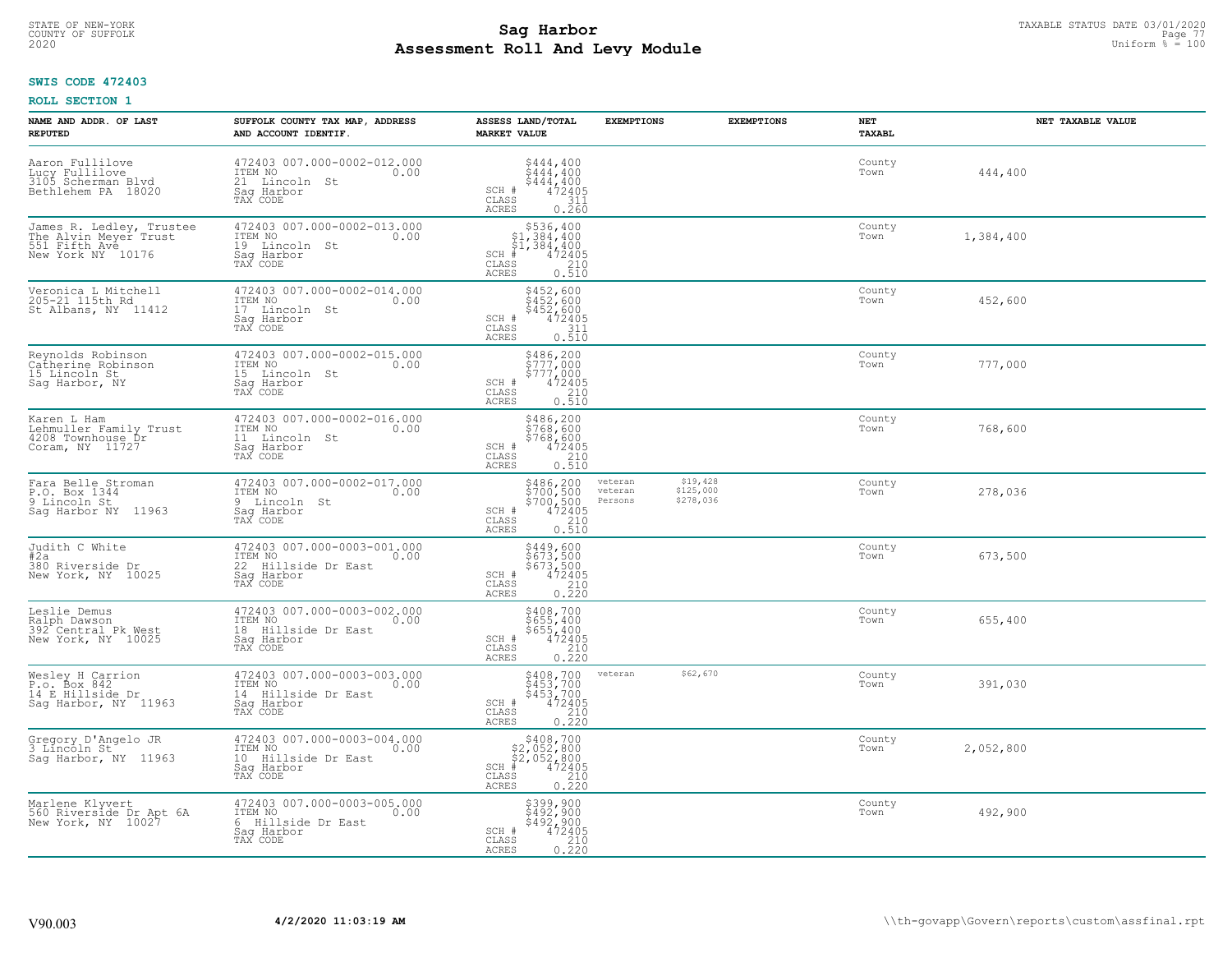# TAXABLE STATUS DATE 03/01/2020<br>COUNTY OF SUFFOLK Page 77 COUNTY OF SUFFOLK Page 77 **Assessment Roll And Levy Module** 2020 Uniform % = 100

### **SWIS CODE 472403**

| NAME AND ADDR. OF LAST<br><b>REPUTED</b>                                                | SUFFOLK COUNTY TAX MAP, ADDRESS<br>AND ACCOUNT IDENTIF.                                            | ASSESS LAND/TOTAL<br><b>MARKET VALUE</b>                                                                                                     | <b>EXEMPTIONS</b>             | <b>EXEMPTIONS</b>                  | NET<br><b>TAXABL</b> |           | NET TAXABLE VALUE |
|-----------------------------------------------------------------------------------------|----------------------------------------------------------------------------------------------------|----------------------------------------------------------------------------------------------------------------------------------------------|-------------------------------|------------------------------------|----------------------|-----------|-------------------|
| Aaron Fullilove<br>Lucy Fullilove<br>3105 Scherman Blyd<br>Bethlehem PA 18020           | 472403 007.000-0002-012.000<br>ITEM NO<br>0.00<br>21 Lincoln<br>St<br>Sag Harbor<br>TAX CODE       | $$444, 400$<br>$$444, 400$<br>$$444, 400$<br>$$444, 400$<br>$472405$<br>SCH #<br>CLASS<br>311<br><b>ACRES</b><br>0.260                       |                               |                                    | County<br>Town       | 444,400   |                   |
| James R. Ledley, Trustee<br>The Alvin Meyer Trust<br>551 Fifth Ave<br>New York NY 10176 | 472403 007.000-0002-013.000<br>ITEM NO<br>0.00<br>19 Lincoln St<br>Saq Harbor<br>TAX CODE          | $$536, 400$<br>$$1, 384, 400$<br>$$1, 384, 400$<br>$SCH$ #<br>472405<br>CLASS<br>$\begin{array}{c} 210 \\ 0.510 \end{array}$<br><b>ACRES</b> |                               |                                    | County<br>Town       | 1,384,400 |                   |
| Veronica L Mitchell<br>205-21 115th Rd<br>St Albans, NY 11412                           | 472403 007.000-0002-014.000<br>ITEM NO<br>0.00<br>17<br>Lincoln St<br>Saq Harbor<br>TAX CODE       | \$452,600<br>\$452,600<br>\$452,600<br>SCH #<br>472405<br>CLASS<br>311<br>0.510<br><b>ACRES</b>                                              |                               |                                    | County<br>Town       | 452,600   |                   |
| Reynolds Robinson<br>Catherine Robinson<br>15 Lincoln St<br>Sag Harbor, NY              | 472403 007.000-0002-015.000<br>ITEM NO<br>0.00<br>15 Lincoln St<br>Saq Harbor<br>TAX CODE          | \$486,200<br>\$777,000<br>\$777,000<br>472405<br>SCH #<br>CLASS<br>210<br><b>ACRES</b><br>0.510                                              |                               |                                    | County<br>Town       | 777,000   |                   |
| Karen L Ham<br>Lehmuller Family Trust<br>4208 Townhouse Dr<br>Coram, NY 11727           | 472403 007.000-0002-016.000<br>ITEM NO<br>0.00<br>11 Lincoln St<br>Saq Harbor<br>TAX CODE          | \$486,200<br>\$768,600<br>\$768,600<br>SCH #<br>$472405$<br>$210$<br>CLASS<br><b>ACRES</b><br>0.510                                          |                               |                                    | County<br>Town       | 768,600   |                   |
| Fara Belle Stroman<br>P.O. Box 1344<br>9 Lincoln St<br>Sag Harbor NY 11963              | 472403 007.000-0002-017.000<br>ITEM NO<br>0.00<br>9 Lincoln St<br>Saq Harbor<br>TAX CODE           | \$486,200<br>\$700,500<br>\$700,500<br>\$700,500<br>SCH #<br>CLASS<br>210<br>0.510<br><b>ACRES</b>                                           | veteran<br>veteran<br>Persons | \$19,428<br>\$125,000<br>\$278,036 | County<br>Town       | 278,036   |                   |
| Judith C White<br>#2a<br>380 Riverside Dr<br>New York, NY 10025                         | 472403 007.000-0003-001.000<br>ITEM NO<br>0.00<br>22 Hillside Dr East<br>Sag Harbor<br>TAX CODE    | \$449,600<br>\$673,500<br>\$673,500<br>472405<br>SCH #<br>CLASS<br>$\frac{210}{0.220}$<br><b>ACRES</b>                                       |                               |                                    | County<br>Town       | 673,500   |                   |
| Leslie Demus<br>Ralph Dawson<br>392 <sup>+</sup> Central Pk West<br>New York, NY 10025  | 472403 007.000-0003-002.000<br>10.00 0.00<br>0.00<br>18 Hillside Dr East<br>Saq Harbor<br>TAX CODE | \$408,700<br>\$655,400<br>\$655,400<br>472405<br>210<br>SCH #<br>$\mathtt{CLASS}$<br><b>ACRES</b><br>0.220                                   |                               |                                    | County<br>Town       | 655,400   |                   |
| Wesley H Carrion<br>P.o. Box 842<br>14 E_Hillside_Dr<br>Saq Harbor, NY 11963            | 472403 007.000-0003-003.000<br>ITEM NO<br>0.00<br>14 Hillside Dr East<br>Saq Harbor<br>TAX CODE    | \$408,700<br>\$453,700<br>\$453,700<br>SCH #<br>$\frac{472405}{210}$<br>CLASS<br><b>ACRES</b><br>0.220                                       | veteran                       | \$62,670                           | County<br>Town       | 391,030   |                   |
| Gregory D'Angelo JR<br>3 Lincõln St<br>Sag Harbor, NY 11963                             | 472403 007.000-0003-004.000<br>ITEM NO<br>0.00<br>10 Hillside Dr East<br>Sag Harbor<br>TAX CODE    | $$408,700$<br>$$2,052,800$<br>$$2,052,800$<br>$$472405$<br>$SCH$ #<br>CLASS<br>$\frac{210}{0.220}$<br><b>ACRES</b>                           |                               |                                    | County<br>Town       | 2,052,800 |                   |
| Marlene Klyvert<br>560 Riverside Dr Apt 6A<br>New York, NY 10027                        | 472403 007.000-0003-005.000<br>ITEM NO<br>0.00<br>6 Hillside Dr East<br>Sag Harbor<br>TAX CODE     | \$399,900<br>\$492,900<br>\$492,900<br>472405<br>SCH #<br>CLASS<br>0.210<br>ACRES                                                            |                               |                                    | County<br>Town       | 492,900   |                   |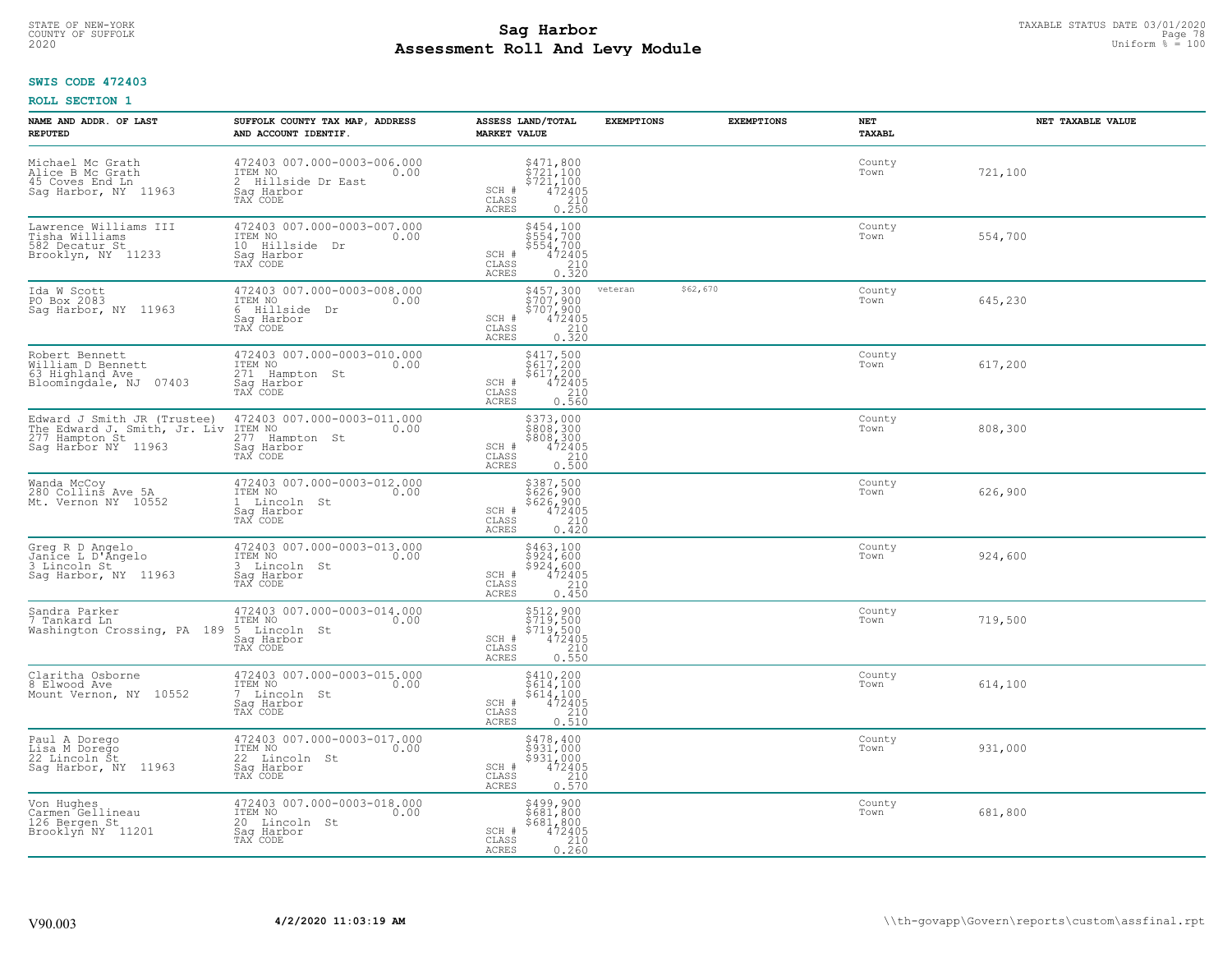# TAXABLE STATUS DATE 03/01/2020<br>COUNTY OF SUFFOLK Page 78 Page 78 **Assessment Roll And Levy Module** 2020 Uniform % = 100

### **SWIS CODE 472403**

| NAME AND ADDR. OF LAST<br><b>REPUTED</b>                                                             | SUFFOLK COUNTY TAX MAP, ADDRESS<br>AND ACCOUNT IDENTIF.                                        | ASSESS LAND/TOTAL<br><b>MARKET VALUE</b>                                                                                                                              | <b>EXEMPTIONS</b> | <b>EXEMPTIONS</b> | NET<br><b>TAXABL</b> | NET TAXABLE VALUE |
|------------------------------------------------------------------------------------------------------|------------------------------------------------------------------------------------------------|-----------------------------------------------------------------------------------------------------------------------------------------------------------------------|-------------------|-------------------|----------------------|-------------------|
| Michael Mc Grath<br>Alice B Mc Grath<br>45 Coves End Ln<br>Saq Harbor, NY 11963                      | 472403 007.000-0003-006.000<br>ITEM NO<br>0.00<br>2 Hillside Dr East<br>Saq Harbor<br>TAX CODE | $\begin{array}{c} 5471, 800 \\ 5721, 100 \\ 5721, 100 \\ 472405 \\ 210 \\ 0.250 \end{array}$<br>SCH #<br>CLASS<br><b>ACRES</b>                                        |                   |                   | County<br>Town       | 721,100           |
| Lawrence Williams III<br>Tisha Williams<br>582 Decatur St<br>Brooklyn, NY 11233                      | 472403 007.000-0003-007.000<br>ITEM NO<br>0.00<br>10 Hillside Dr<br>Sag Harbor<br>TAX CODE     | \$454,100<br>\$554,700<br>\$554,700<br>472405<br>SCH #<br>CLASS<br>210<br>0.320<br>ACRES                                                                              |                   |                   | County<br>Town       | 554,700           |
| Ida W Scott<br>PO Box 2083<br>Sag Harbor, NY 11963                                                   | 472403 007.000-0003-008.000<br>ITEM NO<br>0.00<br>6 Hillside<br>Dr<br>Sag Harbor<br>TAX CODE   | \$457,300<br>$\begin{array}{c}\n 3707,900 \\  5707,900 \\  472405 \\  210 \\  0.320\n\end{array}$<br>SCH #<br>CLASS<br><b>ACRES</b>                                   | veteran           | \$62,670          | County<br>Town       | 645,230           |
| Robert Bennett<br>William D Bennett<br>63 Highland Ave<br>07403<br>Bloomingdale, NJ                  | 472403 007.000-0003-010.000<br>ITEM NO<br>0.00<br>271 Hampton St<br>Saq Harbor<br>TAX CODE     | \$417,500<br>\$617,200<br>\$617,200<br>SCH #<br>472405<br>CLASS<br>0.560<br>ACRES                                                                                     |                   |                   | County<br>Town       | 617,200           |
| Edward J Smith JR (Trustee)<br>The Edward J. Smith, Jr. Liv<br>277 Hampton St<br>Saq Harbor NY 11963 | 472403 007.000-0003-011.000<br>ITEM NO<br>0.00<br>277<br>Hampton St<br>Sag Harbor<br>TAX CODE  | \$373,000<br>$\begin{array}{c} 808,300 \\ 808,300 \\ 9808,300 \\ 472405 \end{array}$<br>SCH #<br>CLASS<br>$\begin{array}{c} 210 \\ 0.500 \end{array}$<br><b>ACRES</b> |                   |                   | County<br>Town       | 808,300           |
| Wanda McCoy<br>280 Collins Ave 5A<br>Mt. Vernon NY 10552                                             | 472403 007.000-0003-012.000<br>ITEM NO<br>0.00<br>1 Lincoln St<br>Sag Harbor<br>TAX CODE       | \$387,500<br>\$626,900<br>\$626,900<br>472405<br>210<br>$\texttt{SCH} \ \texttt{\#} \\ \texttt{CLASS}$<br>0.420<br>ACRES                                              |                   |                   | County<br>Town       | 626,900           |
| Greg R D Angelo<br>Janice L D'Angelo<br>3 Lincoln St<br>Saq Harbor, NY 11963                         | 472403 007.000-0003-013.000<br>ITEM NO<br>0.00<br>3 Lincoln St<br>Saq Harbor<br>TAX CODE       | \$463,100<br>\$924,600<br>\$924,600<br>472405<br>SCH #<br>$\begin{array}{c} 210 \\ 0.450 \end{array}$<br>$\mathtt{CLASS}$<br>ACRES                                    |                   |                   | County<br>Town       | 924,600           |
| Sandra Parker<br>7 Tankard Ln<br>Washington Crossing, PA 189                                         | 472403 007.000-0003-014.000<br>ITEM NO<br>0.00<br>5 Lincoln St<br>Saq Harbor<br>TAX CODE       | \$512,900<br>\$719,500<br>\$719,500<br>472405<br>SCH #<br>CLASS<br>210<br>ACRES<br>0.550                                                                              |                   |                   | County<br>Town       | 719,500           |
| Claritha Osborne<br>8 Elwood Ave<br>Mount Vernon, NY 10552                                           | 472403 007.000-0003-015.000<br>TTEM NO 0.00<br>7 Lincoln St<br>Saq Harbor<br>TAX CODE          | \$410,200<br>\$614,100<br>\$614,100<br>472405<br>SCH #<br>CLASS<br>0.210<br><b>ACRES</b>                                                                              |                   |                   | County<br>Town       | 614,100           |
| Paul A Dorego<br>Lisa M Dorego<br>22 Lincoln Št<br>Sag Harbor, NY 11963                              | 472403 007.000-0003-017.000<br>ITEM NO<br>0.00<br>22 Lincoln St<br>Sag Harbor<br>TAX CODE      | \$478,400<br>\$931,000<br>\$931,000<br>SCH #<br>$\frac{472405}{210}$<br>CLASS<br><b>ACRES</b><br>0.570                                                                |                   |                   | County<br>Town       | 931,000           |
| Von Hughes<br>Carmen Gellineau<br>126 Bergen St<br>Brooklyn NY 11201                                 | 472403 007.000-0003-018.000<br>ITEM NO<br>0.00<br>20 Lincoln St<br>Sag Harbor<br>TAX CODE      | \$499,900<br>\$681,800<br>\$681,800<br>SCH #<br>472405<br>$\begin{array}{c} 210 \\ 0.260 \end{array}$<br>CLASS<br><b>ACRES</b>                                        |                   |                   | County<br>Town       | 681,800           |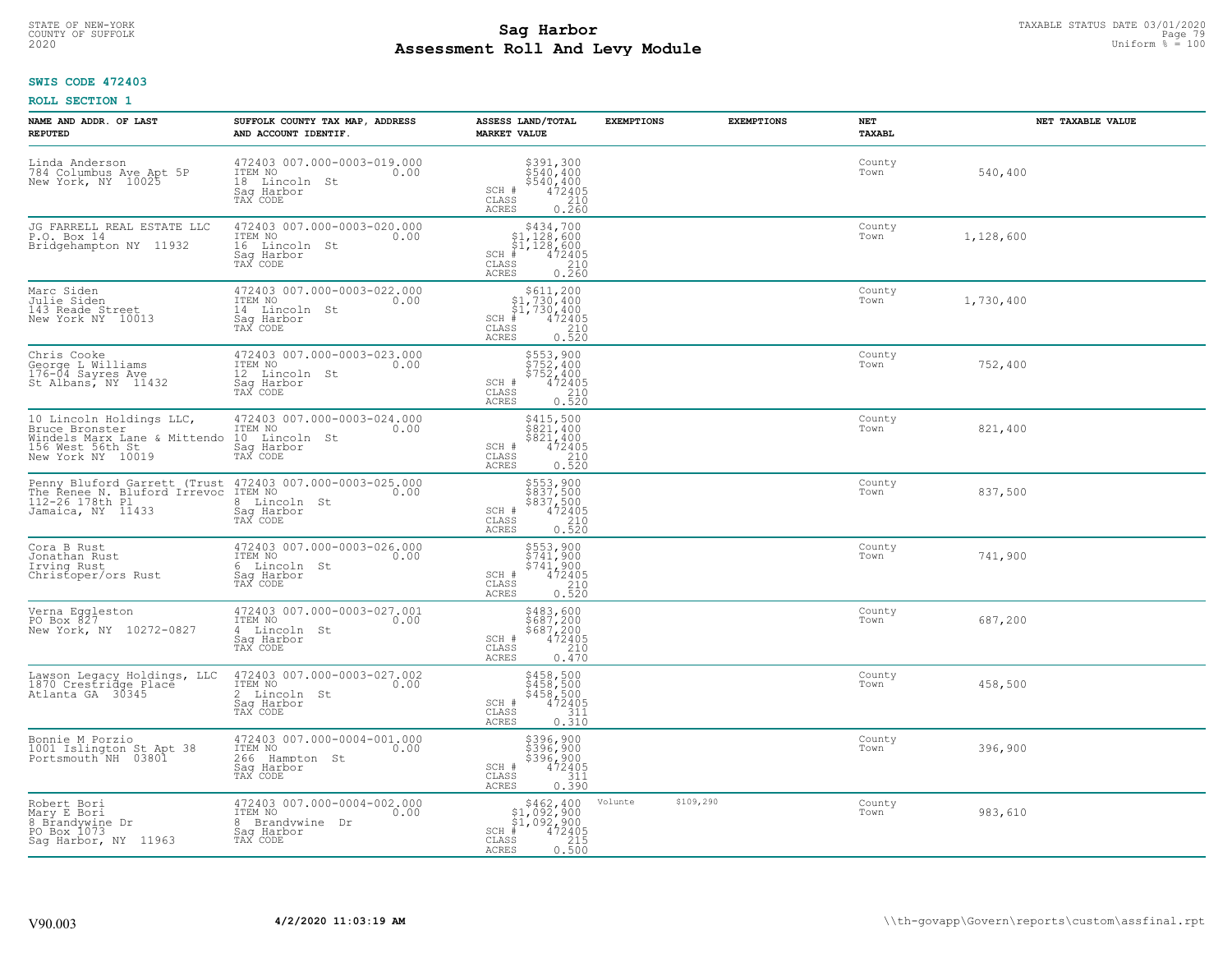# TAXABLE STATUS DATE 03/01/2020<br>COUNTY OF SUFFOLK Page 79 Page 79 **Assessment Roll And Levy Module** 2020 Uniform % = 100

### **SWIS CODE 472403**

| NAME AND ADDR. OF LAST<br><b>REPUTED</b>                                                                                         | SUFFOLK COUNTY TAX MAP, ADDRESS<br>AND ACCOUNT IDENTIF.                                       | ASSESS LAND/TOTAL<br><b>MARKET VALUE</b>                                                                                                                     | <b>EXEMPTIONS</b> | <b>EXEMPTIONS</b> | NET<br><b>TAXABL</b> | NET TAXABLE VALUE |
|----------------------------------------------------------------------------------------------------------------------------------|-----------------------------------------------------------------------------------------------|--------------------------------------------------------------------------------------------------------------------------------------------------------------|-------------------|-------------------|----------------------|-------------------|
| Linda Anderson<br>784 Columbus Ave Apt 5P<br>New York, NY 10025                                                                  | 472403 007.000-0003-019.000<br>ITEM NO<br>0.00<br>18 Lincoln<br>St<br>Saq Harbor<br>TAX CODE  | \$391,300<br>\$540,400<br>\$540,400<br>472405<br>210<br>SCH #<br>CLASS<br><b>ACRES</b><br>0.260                                                              |                   |                   | County<br>Town       | 540,400           |
| JG FARRELL REAL ESTATE LLC<br>P.O. Box 14<br>Bridgehampton NY 11932                                                              | 472403 007.000-0003-020.000<br>ITEM NO<br>0.00<br>16 Lincoln St<br>Saq Harbor<br>TAX CODE     | $$434,700$<br>$$1,128,600$<br>$$1,128,600$<br>$*1,128,600$<br>$*1,472405$<br>$SCH$ #<br>CLASS<br>$\begin{array}{c} 210 \\ 0.260 \end{array}$<br><b>ACRES</b> |                   |                   | County<br>Town       | 1,128,600         |
| Marc Siden<br>Julie Siden<br>143 Reade Street<br>New York NY 10013                                                               | 472403 007.000-0003-022.000<br>ITEM NO<br>0.00<br>14 Lincoln St<br>Sag Harbor<br>TAX CODE     | \$611, 200<br>\$1,730,400<br>\$1,730,400<br>#472405<br>$SCH$ #<br>CLASS<br>$\begin{array}{c} 210 \\ 0.520 \end{array}$<br><b>ACRES</b>                       |                   |                   | County<br>Town       | 1,730,400         |
| Chris Cooke<br>George L Williams<br>176-04 Sayres Ave<br>St Albans, NY 11432                                                     | 472403 007.000-0003-023.000<br>ITEM NO<br>0.00<br>12 Lincoln St<br>Sag Harbor<br>TAX CODE     | \$553,900<br>\$752,400<br>\$752,400<br>SCH #<br>472405<br>CLASS<br>210<br>ACRES<br>0.520                                                                     |                   |                   | County<br>Town       | 752,400           |
| 10 Lincoln Holdings LLC,<br>Bruce Bronster<br>Windels Marx Lane & Mittendo<br>156 West 56th St<br>New York NY 10019              | 472403 007.000-0003-024.000<br>ITEM NO<br>0.00<br>10 Lincoln St<br>Saq Harbor<br>TAX CODE     | \$415,500<br>\$821,400<br>\$821,400<br>472405<br>SCH #<br>CLASS<br>210<br><b>ACRES</b><br>0.520                                                              |                   |                   | County<br>Town       | 821,400           |
| Penny Bluford Garrett (Trust 472403 007.000-0003-025.000<br>The Renee N. Bluford Irrevoc<br>112-26 178th Pl<br>Jamaica, NY 11433 | ITEM NO<br>0.00<br>8 Lincoln St<br>Saq Harbor<br>TAX CODE                                     | \$553,900<br>\$837,500<br>\$837,500<br>\$837,500<br>\$210<br>0.520<br>SCH #<br>CLASS<br>ACRES                                                                |                   |                   | County<br>Town       | 837,500           |
| Cora B Rust<br>Jonathan Rust<br>Irving Rust<br>Christoper/ors Rust                                                               | 472403 007.000-0003-026.000<br>ITEM NO<br>0.00<br>6 Lincoln St<br>Saq Harbor<br>TAX CODE      | \$553,900<br>\$741,900<br>\$741,900<br>472405<br>SCH #<br>$\begin{array}{c} 210 \\ 0.520 \end{array}$<br>CLASS<br><b>ACRES</b>                               |                   |                   | County<br>Town       | 741,900           |
| Verna Eggleston<br>PO Box 827<br>New York, NY 10272-0827                                                                         | 472403 007.000-0003-027.001<br>ITEM NO<br>0.00<br>4 Lincoln St<br>Saq Harbor<br>TAX CODE      | \$483,600<br>\$687,200<br>\$687,200<br>472405<br>SCH #<br>CLASS<br>210<br><b>ACRES</b><br>0.470                                                              |                   |                   | County<br>Town       | 687,200           |
| Lawson Legacy Holdings, LLC<br>1870 Crestridge Place<br>Atlanta GA 30345                                                         | 472403 007.000-0003-027.002<br>TTEM NO 0.00<br>2 Lincoln St<br>Saq Harbor<br>TAX CODE         | \$458,500<br>\$458,500<br>\$458,500<br>472405<br>SCH #<br>CLASS<br>311<br><b>ACRES</b><br>0.310                                                              |                   |                   | County<br>Town       | 458,500           |
| Bonnie M Porzio<br>1001 Islington St Apt 38<br>Portsmouth NH 03801                                                               | 472403 007.000-0004-001.000<br>ITEM NO<br>0.00<br>266<br>Hampton St<br>Saq Harbor<br>TAX CODE | \$396,900<br>\$396,900<br>\$396,900<br>SCH #<br>472405<br>311<br>CLASS<br><b>ACRES</b><br>0.390                                                              |                   |                   | County<br>Town       | 396,900           |
| Robert Bori<br>Mary E Bori<br>8 Brandywine Dr<br>PO Box 1073<br>Sag Harbor, NY 11963                                             | 472403 007.000-0004-002.000<br>ITEM NO<br>0.00<br>8 Brandywine Dr<br>Sag Harbor<br>TAX CODE   | \$462,400<br>\$1,092,900<br>\$1,092,900<br>$SCH$ #<br>472405<br>0.500<br>CLASS<br><b>ACRES</b>                                                               | Volunte           | \$109,290         | County<br>Town       | 983,610           |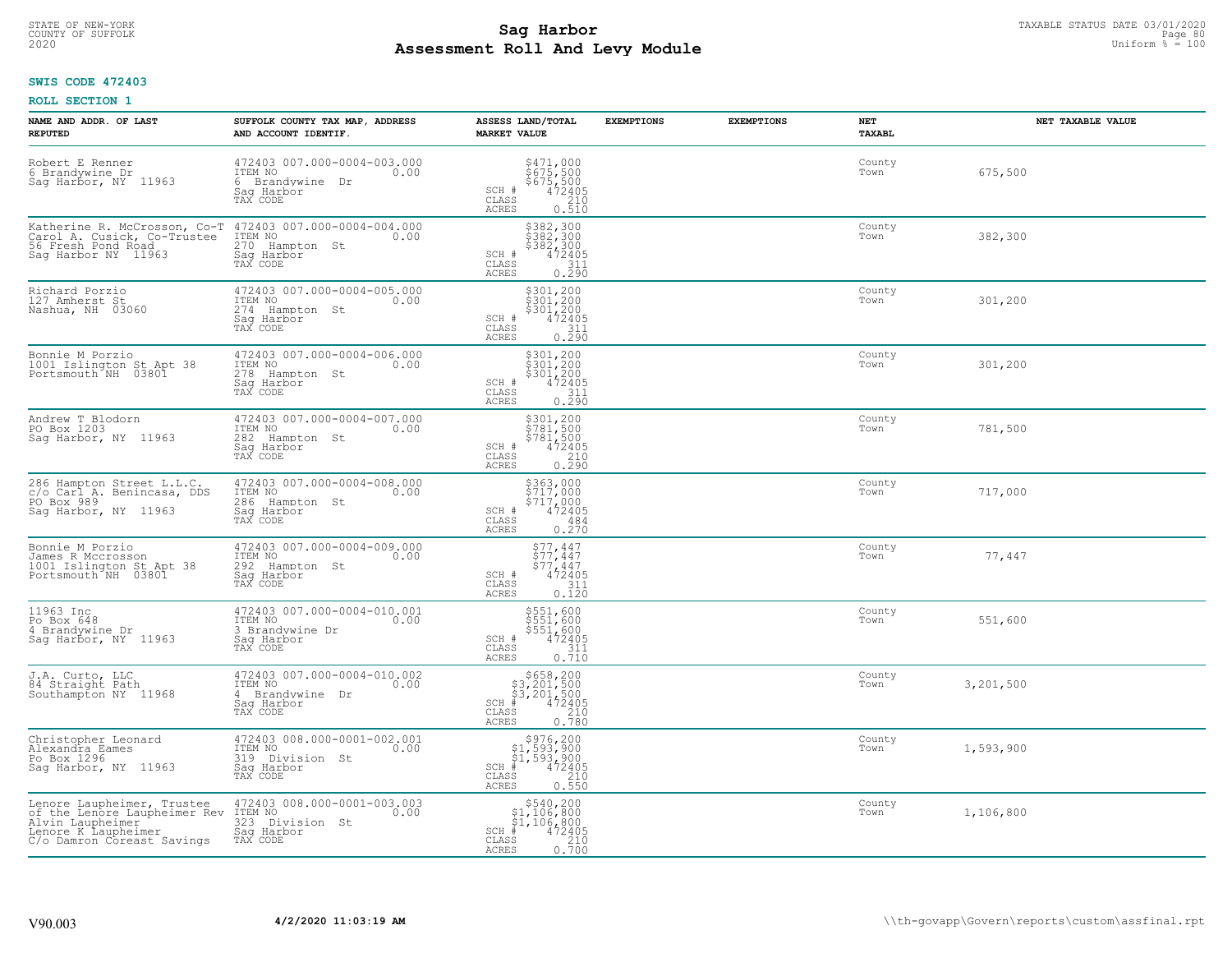# TAXABLE STATUS DATE 03/01/2020<br>COUNTY OF SUFFOLK Page 80 COUNTY OF SUFFOLK Page 80 **Assessment Roll And Levy Module** 2020 Uniform % = 100

### **SWIS CODE 472403**

| NAME AND ADDR. OF LAST<br><b>REPUTED</b>                                                                                            | SUFFOLK COUNTY TAX MAP, ADDRESS<br>AND ACCOUNT IDENTIF.                                        | ASSESS LAND/TOTAL<br><b>MARKET VALUE</b>                                                                                           | <b>EXEMPTIONS</b> | <b>EXEMPTIONS</b> | <b>NET</b><br><b>TAXABL</b> | NET TAXABLE VALUE |
|-------------------------------------------------------------------------------------------------------------------------------------|------------------------------------------------------------------------------------------------|------------------------------------------------------------------------------------------------------------------------------------|-------------------|-------------------|-----------------------------|-------------------|
| Robert E Renner<br>6 Brandywine Dr<br>Sag Harbor, NY 11963                                                                          | 472403 007.000-0004-003.000<br>ITEM NO<br>0.00<br>6 Brandywine<br>Dr<br>Saq Harbor<br>TAX CODE | $$471,000$<br>$$675,500$<br>$$675,500$<br>$472405$<br>210<br>SCH #<br>CLASS<br><b>ACRES</b><br>0.510                               |                   |                   | County<br>Town              | 675,500           |
| Katherine R. McCrosson, Co-T<br>Carol A. Cusick, Co-Trustee<br>56 Fresh Pond Road<br>Saq Harbor NY 11963                            | 472403 007.000-0004-004.000<br>ITEM NO<br>270 Hampton St<br>0.00<br>Saq Harbor<br>TAX CODE     | \$382,300<br>\$382,300<br>\$382,300<br>472405<br>SCH #<br>$\mathtt{CLASS}$<br>$\begin{array}{c} 311 \\ 0.290 \end{array}$<br>ACRES |                   |                   | County<br>Town              | 382,300           |
| Richard Porzio<br>127 Amherst St<br>Nashua, NH 03060                                                                                | 472403 007.000-0004-005.000<br>ITEM NO<br>0.00<br>274<br>Hampton St<br>Saq Harbor<br>TAX CODE  | \$301,200<br>\$301,200<br>\$301,200<br>$472405$<br>311<br>0.290<br>SCH #<br>CLASS<br>ACRES                                         |                   |                   | County<br>Town              | 301,200           |
| Bonnie M Porzio<br>1001 Islington St Apt 38<br>Portsmouth NH 03801                                                                  | 472403 007.000-0004-006.000<br>ITEM NO<br>0.00<br>278 Hampton St<br>Saq Harbor<br>TAX CODE     | $\begin{array}{c} 5301, 200 \\ 5301, 200 \\ 5301, 200 \\ 472405 \\ 311 \\ 0.290 \end{array}$<br>SCH #<br>CLASS<br>ACRES            |                   |                   | County<br>Town              | 301,200           |
| Andrew T Blodorn<br>PO Box 1203<br>Sag Harbor, NY 11963                                                                             | 472403 007.000-0004-007.000<br>ITEM NO<br>0.00<br>282<br>Hampton St<br>Saq Harbor<br>TAX CODE  | \$301,200<br>$5781,5005781,5004724050.290$<br>SCH #<br>$\mathtt{CLASS}$<br><b>ACRES</b>                                            |                   |                   | County<br>Town              | 781,500           |
| 286 Hampton Street L.L.C.<br>c/o Carl A. Benincasa, DDS<br>PO Box 989<br>Sag Harbor, NY 11963                                       | 472403 007.000-0004-008.000<br>ITEM NO<br>0.00<br>286<br>Hampton St<br>Sag Harbor<br>TAX CODE  | \$363,000<br>\$717,000<br>\$717,000<br>472405<br>SCH #<br>CLASS<br>484<br>ACRES<br>0.270                                           |                   |                   | County<br>Town              | 717,000           |
| Bonnie M Porzio<br>James R Mccrosson<br>1001 Islington St Apt 38<br>Portsmouth NH 03801                                             | 472403 007.000-0004-009.000<br>ITEM NO<br>0.00<br>292<br>Hampton St<br>Saq Harbor<br>TAX CODE  | $\begin{array}{c} $77,447 $77,447 $77,447 472405 \end{array}$<br>$SCH$ #<br>CLASS<br>$\frac{311}{0.120}$<br><b>ACRES</b>           |                   |                   | County<br>Town              | 77,447            |
| 11963 Inc<br>Po Box 648<br>4 Brandywine Dr<br>Sag Harbor, NY 11963                                                                  | 472403 007.000-0004-010.001<br>TTEM NO 0.00<br>3 Brandywine Dr<br>Saq Harbor<br>TAX CODE       | \$551,600<br>\$551,600<br>\$551,600<br>472405<br>SCH #<br>CLASS<br>$\frac{311}{0.710}$<br>ACRES                                    |                   |                   | County<br>Town              | 551,600           |
| J.A. Curto, LLC<br>84 Straight Path<br>Southampton NY 11968                                                                         | 472403 007.000-0004-010.002<br>ITEM NO 0.00<br>4 Brandywine Dr<br>Saq Harbor<br>TAX CODE       | $$658, 200$<br>$$3, 201, 500$<br>$$3, 201, 500$<br>$472405$<br>$$240$<br>$SCH$ #<br>CLASS<br>0.780<br>ACRES                        |                   |                   | County<br>Town              | 3,201,500         |
| Christopher Leonard<br>Alexandra Eames<br>Po Box 1296<br>Sag Harbor, NY 11963                                                       | 472403 008.000-0001-002.001<br>ITEM NO<br>0.00<br>319<br>Division St<br>Sag Harbor<br>TAX CODE | \$976,200<br>\$1,593,900<br>\$1,593,900<br>#472405<br>$SCH$ #<br>CLASS<br>$\frac{210}{0.550}$<br><b>ACRES</b>                      |                   |                   | County<br>Town              | 1,593,900         |
| Lenore Laupheimer, Trustee<br>of the Lenore Laupheimer Rev<br>Alvin Laupheimer<br>Lenore K Laupheimer<br>C/o Damron Coreast Savings | 472403 008.000-0001-003.003<br>ITEM NO<br>0.00<br>323 Division St<br>Saq Harbor<br>TAX CODE    | $\begin{array}{c} $540,200 \\ $1,106,800 \\ $1,106,800 \end{array}$<br>$SCH$ #<br>472405<br>CLASS<br>$\frac{210}{0.700}$<br>ACRES  |                   |                   | County<br>Town              | 1,106,800         |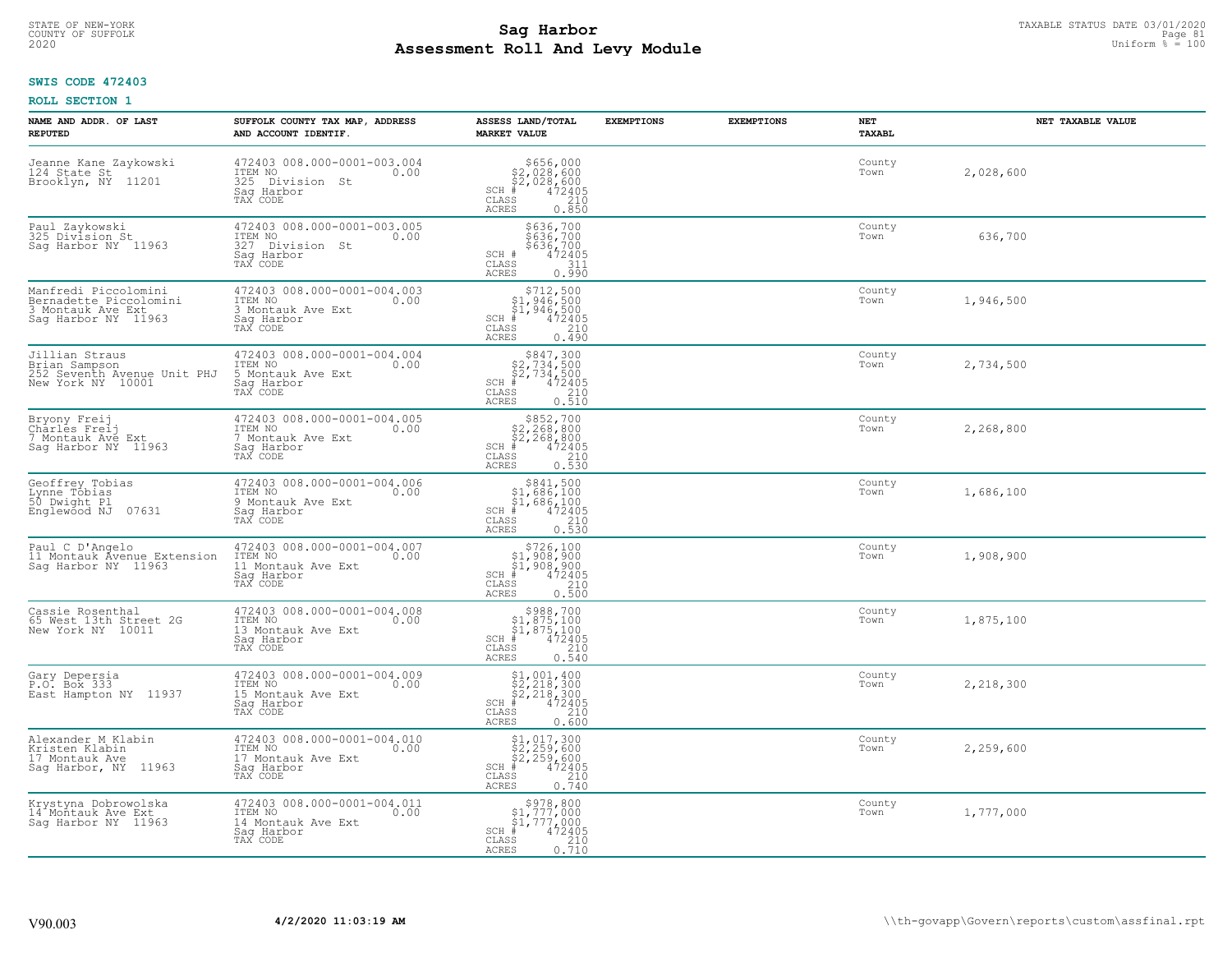# STATE OF NEW-YORK TAXABLE STATUS DATE 03/01/2020<br>COUNTY OF SUFFOLK Page 81 COUNTY OF SUFFOLK Page 81 **Assessment Roll And Levy Module** 2020 Uniform % = 100

### **SWIS CODE 472403**

| NAME AND ADDR. OF LAST<br><b>REPUTED</b>                                                   | SUFFOLK COUNTY TAX MAP, ADDRESS<br>AND ACCOUNT IDENTIF.                                        | ASSESS LAND/TOTAL<br><b>MARKET VALUE</b>                                                                                      | <b>EXEMPTIONS</b> | <b>EXEMPTIONS</b> | NET<br><b>TAXABL</b> | NET TAXABLE VALUE |
|--------------------------------------------------------------------------------------------|------------------------------------------------------------------------------------------------|-------------------------------------------------------------------------------------------------------------------------------|-------------------|-------------------|----------------------|-------------------|
| Jeanne Kane Zaykowski<br>124 State St<br>Brooklyn, NY<br>11201                             | 472403 008.000-0001-003.004<br>ITEM NO<br>0.00<br>325 Division St<br>Saq Harbor<br>TAX CODE    | $$656,000$<br>$$2,028,600$<br>$$2,028,600$<br>$472405$<br>$$210$<br>$SCH$ #<br>CLASS<br><b>ACRES</b><br>0.850                 |                   |                   | County<br>Town       | 2,028,600         |
| Paul Zaykowski<br>325 Division St<br>Saq Harbor NY 11963                                   | 472403 008.000-0001-003.005<br>ITEM NO<br>0.00<br>327 Division St<br>Saq Harbor<br>TAX CODE    | \$636,700<br>\$636,700<br>\$636,700<br>$SCH$ #<br>472405<br>CLASS<br>311<br>0.990<br><b>ACRES</b>                             |                   |                   | County<br>Town       | 636,700           |
| Manfredi Piccolomini<br>Bernadette Piccolomini<br>3 Montauk Ave Ext<br>Saq Harbor NY 11963 | 472403 008.000-0001-004.003<br>ITEM NO<br>0.00<br>3 Montauk Ave Ext<br>Saq Harbor<br>TAX CODE  | $$712,500$<br>$$1,946,500$<br>$$1,946,500$<br>$$472405$<br>$SCH$ #<br>CLASS<br>210<br><b>ACRES</b><br>0.490                   |                   |                   | County<br>Town       | 1,946,500         |
| Jillian Straus<br>Brian Sampson<br>252 Seventh Avenue Unit PHJ<br>New York NY 10001        | 472403 008.000-0001-004.004<br>ITEM NO<br>0.00<br>5 Montauk Ave Ext<br>Saq Harbor<br>TAX CODE  | $$847,300$<br>$$2,734,500$<br>$$2,734,500$<br>$$472405$<br>$SCH$ #<br>CLASS<br>210<br><b>ACRES</b><br>0.510                   |                   |                   | County<br>Town       | 2,734,500         |
| Bryony Freij<br>Charles Freij<br>7 Montauk Ave Ext<br>Saq Harbor NY 11963                  | 472403 008.000-0001-004.005<br>ITEM NO<br>0.00<br>7 Montauk Ave Ext<br>Saq Harbor<br>TAX CODE  | $$852,700$<br>$$2,268,800$<br>$$2,268,800$<br>$472405$<br>$$210$<br>$SCH$ #<br>CLASS<br><b>ACRES</b><br>0.530                 |                   |                   | County<br>Town       | 2,268,800         |
| Geoffrey Tobias<br>Lynne Tobias<br>50 Dwight Pl<br>Englewood NJ<br>07631                   | 472403 008.000-0001-004.006<br>ITEM NO<br>0.00<br>9 Montauk Ave Ext<br>Sag Harbor<br>TAX CODE  | $$841,500$<br>$$1,686,100$<br>$$1,686,100$<br>$*1,686,100$<br>$*1,472405$<br>$SCH$ #<br>CLASS<br>210<br>0.530<br><b>ACRES</b> |                   |                   | County<br>Town       | 1,686,100         |
| Paul C D'Angelo<br>11 Montauk Avenue Extension<br>Saq Harbor NY 11963                      | 472403 008.000-0001-004.007<br>ITEM NO<br>0.00<br>11 Montauk Ave Ext<br>Saq Harbor<br>TAX CODE | $$726,100$<br>$$1,908,900$<br>$$1,908,900$<br>$*1$<br>$472405$<br>$SCH$ #<br>CLASS<br>210<br>0.500<br><b>ACRES</b>            |                   |                   | County<br>Town       | 1,908,900         |
| Cassie Rosenthal<br>65 West 13th Street 2G<br>New York NY 10011                            | 472403 008.000-0001-004.008<br>TTEM NO 0.00<br>13 Montauk Ave Ext<br>Saq Harbor<br>TAX CODE    | $$988,700$<br>$$1,875,100$<br>$$1,875,100$<br>$*$<br>$472405$<br>SCH<br>$\mathtt{CLASS}$<br>210<br><b>ACRES</b><br>0.540      |                   |                   | County<br>Town       | 1,875,100         |
| Gary Depersia<br>P.O. Box 333<br>East Hampton NY 11937                                     | 472403 008.000-0001-004.009<br>ITEM NO 0.00<br>15 Montauk Ave Ext<br>Saq Harbor<br>TAX CODE    | $$2, 218, 300$<br>$$2, 218, 300$<br>$$2, 218, 300$<br>$*$ 472405<br>$SCH$ #<br>CLASS<br>210<br><b>ACRES</b><br>0.600          |                   |                   | County<br>Town       | 2,218,300         |
| Alexander M Klabin<br>Kristen Klabin<br>17 Montauk Ave<br>Sag Harbor, NY 11963             | 472403 008.000-0001-004.010<br>ITEM NO<br>0.00<br>17 Montauk Ave Ext<br>Saq Harbor<br>TAX CODE | \$1,017,300<br>\$2,259,600<br>\$2,259,600<br>#472405<br>$SCH$ #<br>CLASS<br>$\frac{210}{0.740}$<br><b>ACRES</b>               |                   |                   | County<br>Town       | 2,259,600         |
| Krystyna Dobrowolska<br>14 Montauk Ave Ext<br>Sag Harbor NY 11963                          | 472403 008.000-0001-004.011<br>ITEM NO<br>0.00<br>14 Montauk Ave Ext<br>Saq Harbor<br>TAX CODE | $\begin{array}{c} $978,800\n$1,777,000\n$1,777,000\n#242405 \end{array}$<br>SCH #<br>CLASS<br>210<br>0.710<br>ACRES           |                   |                   | County<br>Town       | 1,777,000         |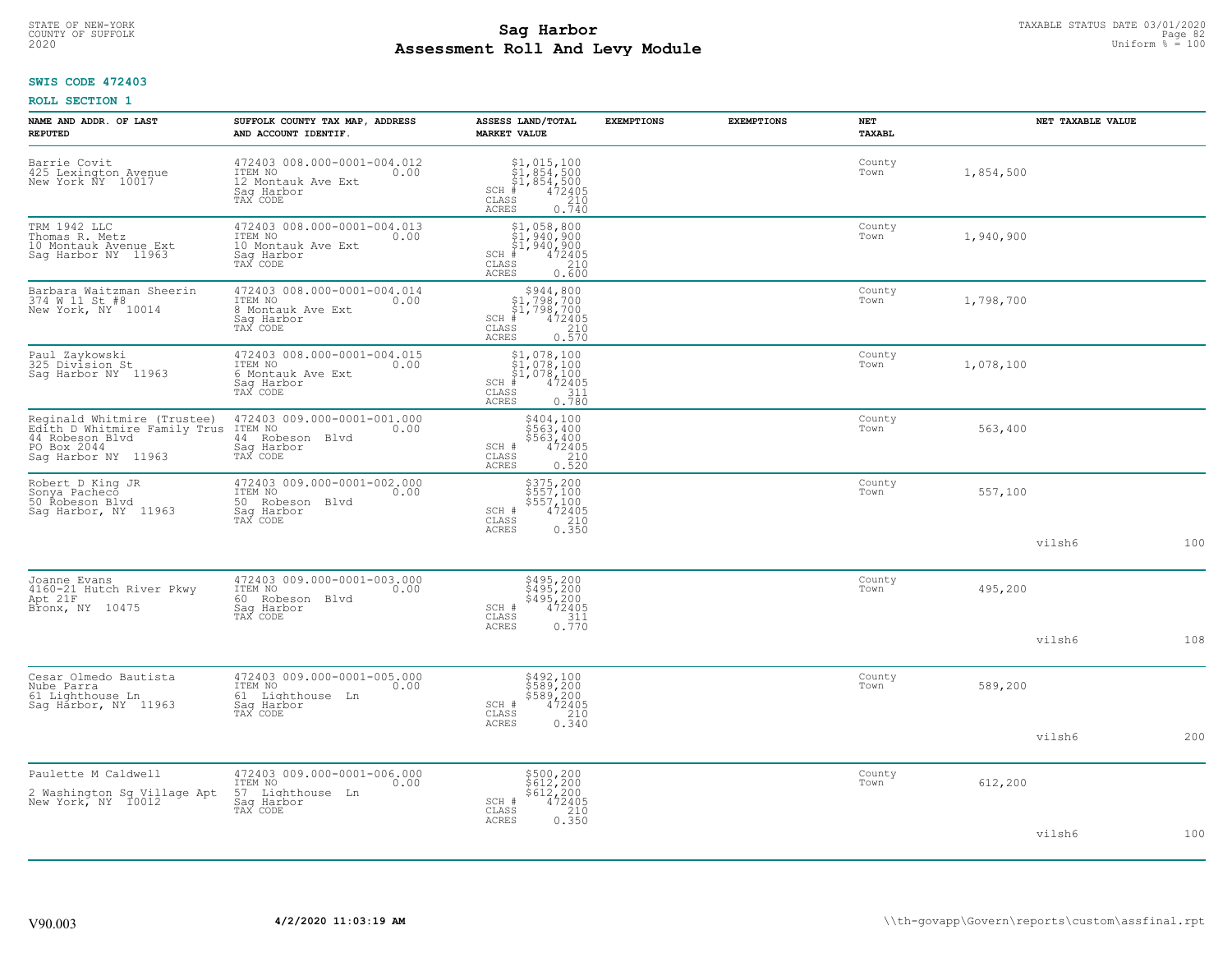# TAXABLE STATUS DATE 03/01/2020<br>COUNTY OF SUFFOLK Page 82 COUNTY OF SUFFOLK Page 82 **Assessment Roll And Levy Module** 2020 Uniform % = 100

### **SWIS CODE 472403**

| NAME AND ADDR. OF LAST<br><b>REPUTED</b>                                                                             | SUFFOLK COUNTY TAX MAP, ADDRESS<br>AND ACCOUNT IDENTIF.                                        | ASSESS LAND/TOTAL<br><b>MARKET VALUE</b>                                                                                                                                                                                                                                              | <b>EXEMPTIONS</b> | <b>EXEMPTIONS</b> | <b>NET</b><br><b>TAXABL</b> |           | NET TAXABLE VALUE |     |
|----------------------------------------------------------------------------------------------------------------------|------------------------------------------------------------------------------------------------|---------------------------------------------------------------------------------------------------------------------------------------------------------------------------------------------------------------------------------------------------------------------------------------|-------------------|-------------------|-----------------------------|-----------|-------------------|-----|
| Barrie Covit<br>425 Lexington Avenue<br>New York NY 10017                                                            | 472403 008.000-0001-004.012<br>ITEM NO<br>0.00<br>12 Montauk Ave Ext<br>Saq Harbor<br>TAX CODE | $\begin{array}{c} \texttt{\$1$, 015$, 100} \\ \texttt{\$1$, 854$, 500} \\ \texttt{\$1$, 854, 500} \\ \texttt{\$1$, 854, 500} \\ \texttt{\$1$} \\ \texttt{\$2405} \\ \texttt{ss} \\ \texttt{\$10$} \\ \texttt{\$210} \\ \texttt{\$10$} \\ \end{array}$<br>SCH<br>CLASS<br><b>ACRES</b> |                   |                   | County<br>Town              | 1,854,500 |                   |     |
| TRM 1942 LLC<br>Thomas R. Metz<br>10 Montauk Avenue Ext<br>Sag Harbor NY 11963                                       | 472403 008.000-0001-004.013<br>ITEM NO<br>0.00<br>10 Montauk Ave Ext<br>Saq Harbor<br>TAX CODE | $$1,958,800$<br>$$1,940,900$<br>$$1,940,900$<br>$*$<br>$472405$<br>$*$<br>$210$<br>SCH #<br>CLASS<br>0.600<br>ACRES                                                                                                                                                                   |                   |                   | County<br>Town              | 1,940,900 |                   |     |
| Barbara Waitzman Sheerin<br>374 W 11 St #8<br>New York, NY 10014                                                     | 472403 008.000-0001-004.014<br>ITEM NO<br>0.00<br>8 Montauk Ave Ext<br>Sag Harbor<br>TAX CODE  | $$944,800\n$1,798,700\n$1,798,700\n# 472405\n 210\n 210$<br>SCH #<br>CLASS<br><b>ACRES</b><br>0.570                                                                                                                                                                                   |                   |                   | County<br>Town              | 1,798,700 |                   |     |
| Paul Zaykowski<br>325 Division St<br>Sag Harbor NY 11963                                                             | 472403 008.000-0001-004.015<br>ITEM NO<br>0.00<br>6 Montauk Ave Ext<br>Saq Harbor<br>TAX CODE  | $$1,078,100$<br>$$1,078,100$<br>$$1,078,100$<br>$*$ 472405<br>SCH #<br>CLASS<br>311<br>0.780<br>ACRES                                                                                                                                                                                 |                   |                   | County<br>Town              | 1,078,100 |                   |     |
| Reginald Whitmire (Trustee)<br>Edith D Whitmire Family Trus<br>44 Robeson Blvd<br>PO Box 2044<br>Saq Harbor NY 11963 | 472403 009.000-0001-001.000<br>ITEM NO<br>0.00<br>44 Robeson Blvd<br>Saq Harbor<br>TAX CODE    | \$404,100<br>\$563,400<br>\$563,400<br>472405<br>SCH #<br>CLASS<br>0.210<br><b>ACRES</b>                                                                                                                                                                                              |                   |                   | County<br>Town              | 563,400   |                   |     |
| Robert D King JR<br>Sonya Pacheco<br>50 Robeson Blvd<br>Sag Harbor, NY 11963                                         | 472403 009.000-0001-002.000<br>ITEM NO<br>0.00<br>50 Robeson Blvd<br>Sag Harbor<br>TAX CODE    | \$375,200<br>\$557,100<br>\$557,100<br>472405<br>SCH #<br>CLASS<br>0.350<br><b>ACRES</b>                                                                                                                                                                                              |                   |                   | County<br>Town              | 557,100   |                   |     |
|                                                                                                                      |                                                                                                |                                                                                                                                                                                                                                                                                       |                   |                   |                             |           | vilsh6            | 100 |
| Joanne Evans<br>4160-21 Hutch River Pkwy<br>Apt 21F<br>Bronx, NY 10475                                               | 472403 009.000-0001-003.000<br>ITEM NO<br>0.00<br>60<br>Robeson Blvd<br>Saq Harbor<br>TAX CODE | \$495,200<br>\$495,200<br>\$495,200<br>472405<br>SCH #<br>$\frac{311}{0.770}$<br>$\mathtt{CLASS}$                                                                                                                                                                                     |                   |                   | County<br>Town              | 495,200   |                   |     |
|                                                                                                                      |                                                                                                | <b>ACRES</b>                                                                                                                                                                                                                                                                          |                   |                   |                             |           | vilsh6            | 108 |
| Cesar Olmedo Bautista<br>Nube Parra<br>61 Lighthouse Ln<br>Sag Harbor, NY 11963                                      | 472403 009.000-0001-005.000<br>ITEM NO<br>0.00<br>61 Lighthouse Ln<br>Sag Harbor<br>TAX CODE   | \$492,100<br>\$589,200<br>\$589,200<br>472405<br>SCH #<br>CLASS                                                                                                                                                                                                                       |                   |                   | County<br>Town              | 589,200   |                   |     |
|                                                                                                                      |                                                                                                | 0.340<br>ACRES                                                                                                                                                                                                                                                                        |                   |                   |                             |           | vilsh6            | 200 |
| Paulette M Caldwell<br>2 Washington Sq Village Apt<br>New York, NY 10012                                             | 472403 009.000-0001-006.000<br>ITEM NO<br>0.00<br>57 Lighthouse Ln<br>Sag Harbor<br>TAX CODE   | \$500,200<br>\$612,200<br>\$612,200<br>472405<br>SCH #<br>CLASS<br>$\frac{210}{0.350}$                                                                                                                                                                                                |                   |                   | County<br>Town              | 612,200   |                   |     |
|                                                                                                                      |                                                                                                | <b>ACRES</b>                                                                                                                                                                                                                                                                          |                   |                   |                             |           | vilsh6            | 100 |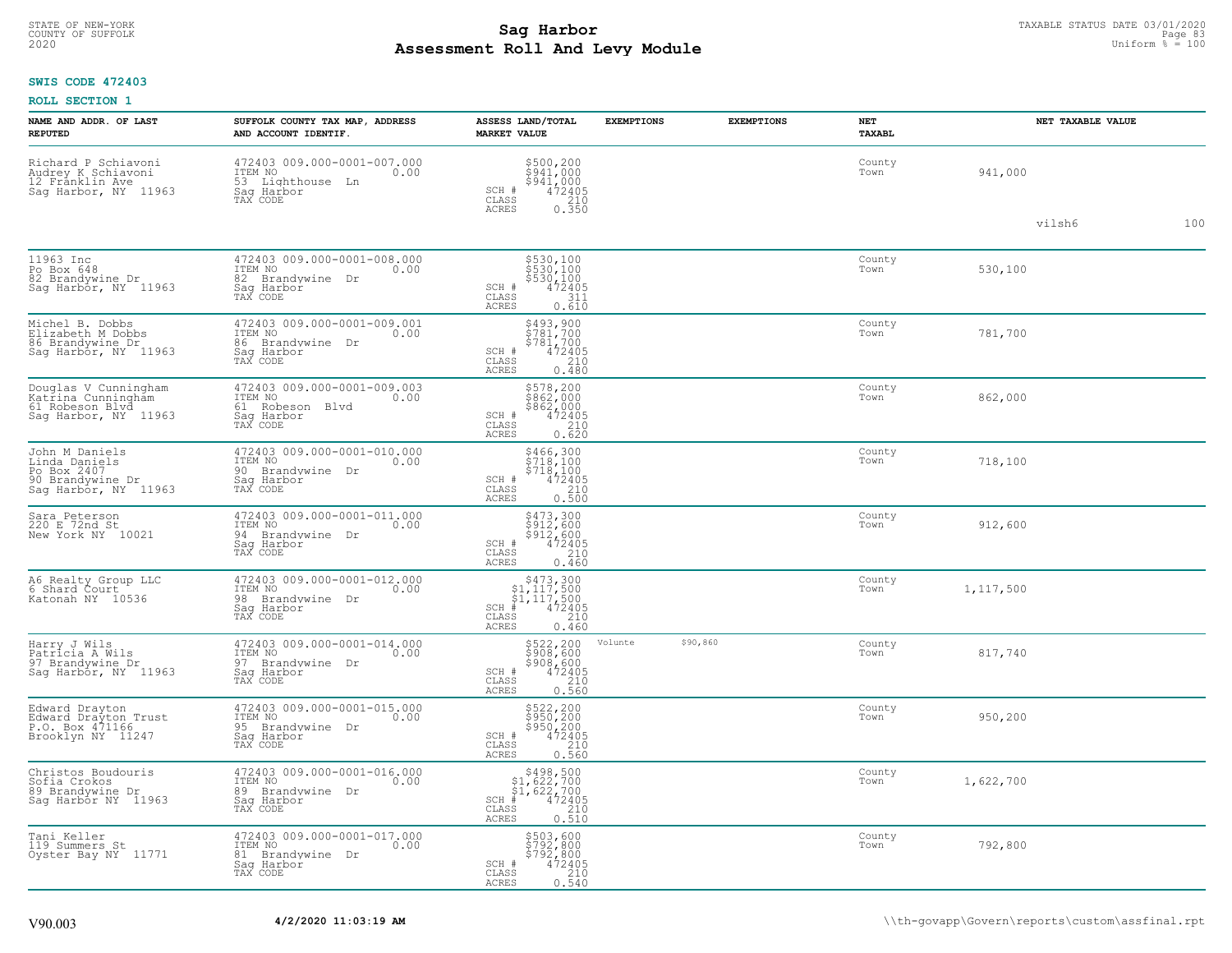# TAXABLE STATUS DATE 03/01/2020<br>COUNTY OF SUFFOLK Page 83 **Assessment Roll And Levy Module** 2020 Uniform % = 100

### **SWIS CODE 472403**

| <b>NAME AND ADDR. OF LAST</b><br><b>REPUTED</b>                                            | SUFFOLK COUNTY TAX MAP, ADDRESS<br>AND ACCOUNT IDENTIF.                                            | ASSESS LAND/TOTAL<br><b>MARKET VALUE</b>                                                                                                        | <b>EXEMPTIONS</b> | <b>EXEMPTIONS</b> | NET<br>TAXABL  | NET TAXABLE VALUE |     |
|--------------------------------------------------------------------------------------------|----------------------------------------------------------------------------------------------------|-------------------------------------------------------------------------------------------------------------------------------------------------|-------------------|-------------------|----------------|-------------------|-----|
| Richard P Schiavoni<br>Audrey K Schiavoni<br>12 Franklin Ave<br>Sag Harbor, NY 11963       | 472403 009.000-0001-007.000<br>10.00 0.00<br>0.00<br>53 Lighthouse Ln<br>Saq Harbor<br>TAX CODE    | \$500,200<br>\$941,000<br>\$941,000<br>SCH #<br>472405<br>CLASS<br>$\begin{array}{c} 210 \\ 0.350 \end{array}$<br><b>ACRES</b>                  |                   |                   | County<br>Town | 941,000           |     |
|                                                                                            |                                                                                                    |                                                                                                                                                 |                   |                   |                | vilsh6            | 100 |
| 11963 Inc<br>Po Box 648<br>82 Brandywine Dr<br>Sag Harbor, NY 11963                        | 472403 009.000-0001-008.000<br>ITEM NO<br>0.00<br>82<br>Brandywine Dr<br>Saq Harbor<br>TAX CODE    | \$530,100<br>\$530,100<br>\$530,100<br>472405<br>SCH #<br>$\mathtt{CLASS}$<br>311<br><b>ACRES</b><br>0.610                                      |                   |                   | County<br>Town | 530,100           |     |
| Michel B. Dobbs<br>Elizabeth M Dobbs<br>86 Brandywine Dr<br>Sag Harbor, NY 11963           | 472403 009.000-0001-009.001<br>ITEM NO<br>0.00<br>86<br>Brandywine<br>Dr<br>Sag Harbor<br>TAX CODE | \$493,900<br>\$781,700<br>\$781,700<br>SCH #<br>472405<br>210<br>CLASS<br><b>ACRES</b><br>0.480                                                 |                   |                   | County<br>Town | 781,700           |     |
| Douglas V Cunningham<br>Katřina Cunninghăm<br>61 Robeson Blvd<br>Saq Harbor, NY 11963      | 472403 009.000-0001-009.003<br>ITEM NO<br>0.00<br>61 Robeson Blvd<br>Saq Harbor<br>TAX CODE        | \$578,200<br>\$862,000<br>\$862,000<br>472405<br>SCH #<br>210<br>CLASS<br>0.620<br>ACRES                                                        |                   |                   | County<br>Town | 862,000           |     |
| John M Daniels<br>Linda Daniels<br>Po Box 2407<br>90 Brandywine Dr<br>Saq Harbor, NY 11963 | 472403 009.000-0001-010.000<br>ITEM NO<br>0.00<br>90 Brandvwine Dr<br>Saq Harbor<br>TAX CODE       | \$466,300<br>\$718,100<br>\$718,100<br>$\begin{array}{c} \text{SCH} \ \text{\#} \\ \text{CLASS} \end{array}$<br>472405<br>0.500<br><b>ACRES</b> |                   |                   | County<br>Town | 718,100           |     |
| Sara Peterson<br>220 E 72nd St<br>New York NY 10021                                        | 472403 009.000-0001-011.000<br>ITEM NO<br>0.00<br>94<br>Brandywine Dr<br>Saq Harbor<br>TAX CODE    | \$473,300<br>\$912,600<br>\$912,600<br>SCH #<br>472405<br>CLASS<br>$\frac{210}{0.460}$<br><b>ACRES</b>                                          |                   |                   | County<br>Town | 912,600           |     |
| A6 Realty Group LLC<br>6 Shard Court<br>Katonah NY 10536                                   | 472403 009.000-0001-012.000<br>ITEM NO<br>0.00<br>98<br>Brandywine Dr<br>Sag Harbor<br>TAX CODE    | $SCH$ #<br>CLASS<br>0.460<br><b>ACRES</b>                                                                                                       |                   |                   | County<br>Town | 1,117,500         |     |
| Harry J Wils<br>Patricia A Wils<br>97 Brandywine Dr<br>Sag Harbor, NY 11963                | 472403 009.000-0001-014.000<br>ITEM NO<br>0.00<br>97 Brandywine<br>Dr<br>Sag Harbor<br>TAX CODE    | \$522,200<br>\$908,600<br>\$908,600<br>\$908,600<br>\$72405<br>0.560<br>SCH #<br>$\mathtt{CLASS}$<br><b>ACRES</b>                               | Volunte           | \$90,860          | County<br>Town | 817,740           |     |
| Edward Drayton<br>Edward Drayton Trust<br>P.O. Box 471166<br>Brooklyn NY 11247             | 472403 009.000-0001-015.000<br>ITEM NO<br>0.00<br>95 Brandvwine Dr<br>Saq Harbor<br>TAX CODE       | \$522,200<br>\$950,200<br>\$950,200<br>472405<br>SCH #<br>CLASS<br>210<br><b>ACRES</b><br>0.560                                                 |                   |                   | County<br>Town | 950,200           |     |
| Christos Boudouris<br>Sofia Crokos<br>89 Brandywine Dr<br>Sag Harbor NY 11963              | 472403 009.000-0001-016.000<br>ITEM NO<br>0.00<br>89 Brandywine Dr<br>Saq Harbor<br>TAX CODE       | $$498,500$<br>$$1,622,700$<br>$$1,622,700$<br>SCH<br>$\begin{array}{r} 472405 \\ 210 \\ 0.510 \end{array}$<br>CLASS<br>ACRES                    |                   |                   | County<br>Town | 1,622,700         |     |
| Tani Keller<br>119 Summers St<br>Oyster Bay NY 11771                                       | 472403 009.000-0001-017.000<br>ITEM NO<br>0.00<br>81<br>Brandywine Dr<br>Sag Harbor<br>TAX CODE    | \$503,600<br>\$792,800<br>\$792,800<br>472405<br>SCH #<br>CLASS<br>210<br>0.540<br><b>ACRES</b>                                                 |                   |                   | County<br>Town | 792,800           |     |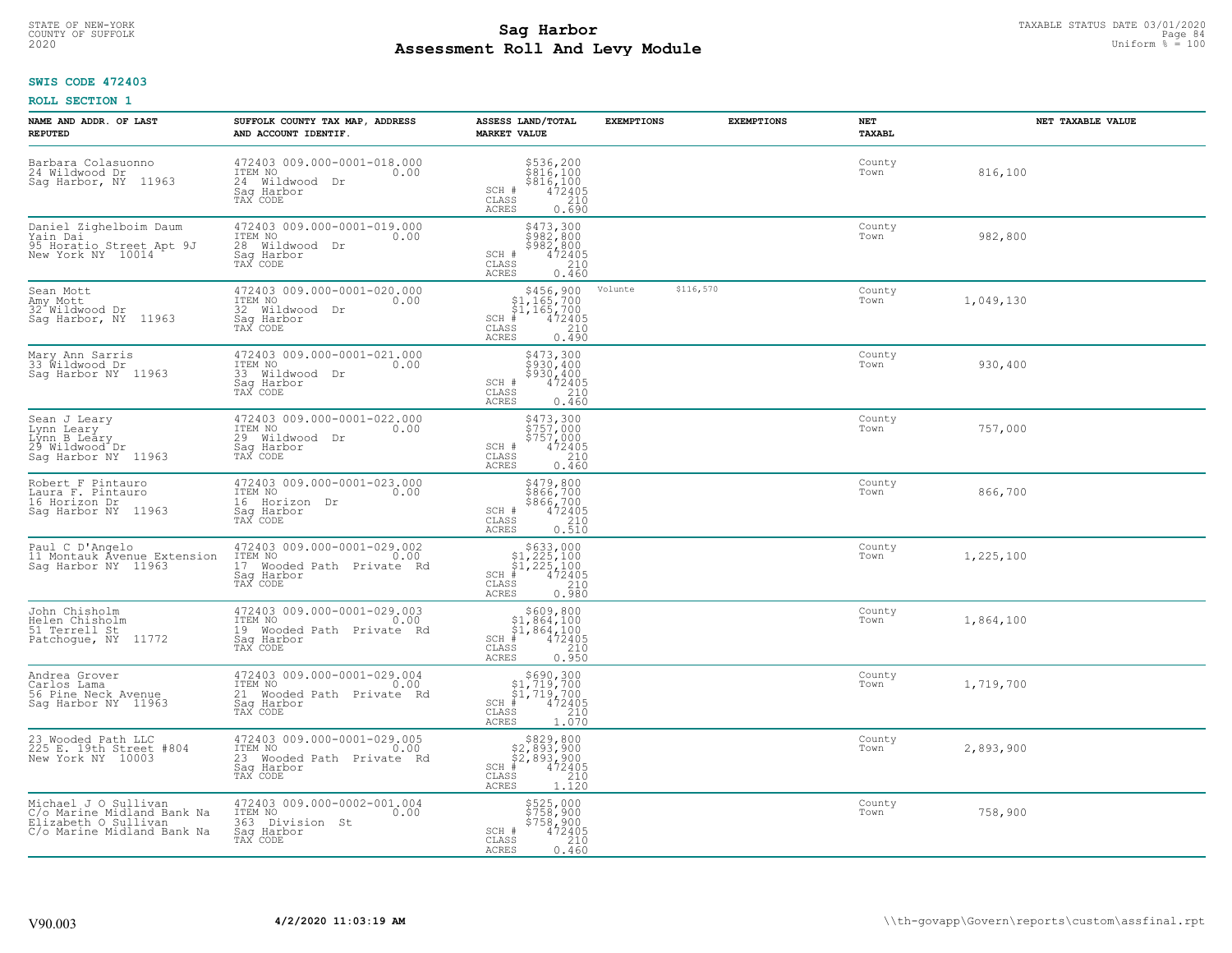# STATE OF NEW-YORK TAXABLE STATUS DATE 03/01/2020<br>COUNTY OF SUFFOLK Page 84 **Assessment Roll And Levy Module** 2020 Uniform % = 100

### **SWIS CODE 472403**

| NAME AND ADDR. OF LAST<br><b>REPUTED</b>                                                                 | SUFFOLK COUNTY TAX MAP, ADDRESS<br>AND ACCOUNT IDENTIF.                                               | ASSESS LAND/TOTAL<br><b>MARKET VALUE</b>                                                                                                                                                                                                                                                                                                                               | <b>EXEMPTIONS</b> |           | <b>EXEMPTIONS</b><br>NET<br><b>TAXABL</b> |           | NET TAXABLE VALUE |
|----------------------------------------------------------------------------------------------------------|-------------------------------------------------------------------------------------------------------|------------------------------------------------------------------------------------------------------------------------------------------------------------------------------------------------------------------------------------------------------------------------------------------------------------------------------------------------------------------------|-------------------|-----------|-------------------------------------------|-----------|-------------------|
| Barbara Colasuonno<br>24 Wildwood Dr<br>Saq Harbor, NY 11963                                             | 472403 009.000-0001-018.000<br>ITEM NO<br>0.00<br>24 Wildwood Dr<br>Saq Harbor<br>TAX CODE            | \$536,200<br>\$816,100<br>\$816,100<br>472405<br>210<br>SCH #<br>CLASS<br>0.690<br>ACRES                                                                                                                                                                                                                                                                               |                   |           | County<br>Town                            | 816,100   |                   |
| Daniel Zighelboim Daum<br>Yain Dai<br>95 Horatio Street Apt 9J<br>New York NY 10014                      | 472403 009.000-0001-019.000<br>ITEM NO<br>0.00<br>28 Wildwood Dr<br>Sag Harbor<br>TAX CODE            | \$473,300<br>\$982,800<br>\$982,800<br>SCH #<br>472405<br>210<br>CLASS<br>ACRES<br>0.460                                                                                                                                                                                                                                                                               |                   |           | County<br>Town                            | 982,800   |                   |
| Sean Mott<br>Amy Mott<br>32 Wildwood Dr<br>Sag Harbor, NY 11963                                          | 472403 009.000-0001-020.000<br>ITEM NO<br>0.00<br>32 Wildwood Dr<br>Sag Harbor<br>TAX CODE            | \$456,900<br>\$1,165,700<br>\$1,165,700<br>$SCH$ #<br>$\frac{72405}{210}$<br>CLASS<br>0.490<br>ACRES                                                                                                                                                                                                                                                                   | Volunte           | \$116,570 | County<br>Town                            | 1,049,130 |                   |
| Mary Ann Sarris<br>33 Wildwood Dr<br>Saq Harbor NY 11963                                                 | 472403 009.000-0001-021.000<br>ITEM NO<br>0.00<br>33 Wildwood Dr<br>Saq Harbor<br>TAX CODE            | \$473,300<br>\$930,400<br>\$930,400<br>SCH #<br>$\frac{472405}{210}$<br>CLASS<br>ACRES<br>0.460                                                                                                                                                                                                                                                                        |                   |           | County<br>Town                            | 930,400   |                   |
| Sean J Leary<br>Lynn Leary<br>Lýnn B Leáry<br>29 Wildwood Dr<br>Sag Harbor NY 11963                      | 472403 009.000-0001-022.000<br>ITEM NO<br>0.00<br>29 Wildwood Dr<br>Saq Harbor<br>TAX CODE            | \$473,300<br>5757,000<br>\$757,000<br>472405<br>SCH #<br>CLASS<br>210<br>0.460<br>ACRES                                                                                                                                                                                                                                                                                |                   |           | County<br>Town                            | 757,000   |                   |
| Robert F Pintauro<br>Laura F. Pintauro<br>16 Horizon Dr<br>Sag Harbor NY 11963                           | 472403 009.000-0001-023.000<br>ITEM NO<br>0.00<br>16 Horizon Dr<br>Saq Harbor<br>TAX CODE             | \$479,800<br>\$866,700<br>\$866,700<br>\$866,700<br>\$72405<br>\$10<br>\$10<br>SCH #<br>CLASS<br>ACRES                                                                                                                                                                                                                                                                 |                   |           | County<br>Town                            | 866,700   |                   |
| Paul C D'Angelo<br>11 Montauk Ávenue Extension<br>Sag Harbor NY 11963                                    | 472403 009.000-0001-029.002<br>ITEM NO<br>0.00<br>17 Wooded Path Private Rd<br>Saq Harbor<br>TAX CODE | $$633,000$<br>$$1,225,100$<br>$$1,225,100$<br>$*1,225,100$<br>$*1,22405$<br>$SCH$ #<br>210<br>CLASS<br>0.980<br><b>ACRES</b>                                                                                                                                                                                                                                           |                   |           | County<br>Town                            | 1,225,100 |                   |
| John Chisholm<br>Helen Chisholm<br>51 Terrell St<br>Patchogue, NY 11772                                  | 472403 009.000-0001-029.003<br>ITEM NO<br>0.00<br>19 Wooded Path Private Rd<br>Saq Harbor<br>TAX CODE | $\begin{array}{r}  \  \  \, 5609,800 \\  \  \, 51,864,100 \\  \  \, 51,864,100 \\  \  \  \, 472405 \\  \  \, 55 & 210 \\  \  \, 210 & \end{array}$<br>$SCH$ #<br>CLASS<br>0.950<br>ACRES                                                                                                                                                                               |                   |           | County<br>Town                            | 1,864,100 |                   |
| Andrea Grover<br>Carlos Lama<br>56 Pine Neck Avenue<br>Saq Harbor NY 11963                               | 472403 009.000-0001-029.004<br>ITEM NO 0.00<br>21 Wooded Path Private Rd<br>Saq Harbor<br>TAX CODE    | $\begin{array}{r}  \  \  \, 5690,300 \\  \  \, 51,719,700 \\  \  \, 51,719,700 \\  \  \  \, 472405 \\  \  \, 55 \\  \  \  \, 210 \\  \  \, 240 \\  \  \, 0 \\  \  \, 0 \\  \  \, 0 \\  \  \, 0 \\  \  \, 0 \\  \  \, 0 \\  \  \, 0 \\  \  \, 0 \\  \  \, 0 \\  \  \, 0 \\  \  \, 0 \\  \  \, 0 \\  \  \, 0 \\  \  \, 0 \\  \  \$<br>$SCH$ #<br>CLASS<br>ACRES<br>1.070 |                   |           | County<br>Town                            | 1,719,700 |                   |
| 23 Wooded Path LLC<br>225 E. 19th Street #804<br>New York NY 10003                                       | 472403 009.000-0001-029.005<br>ITEM NO<br>0.00<br>23 Wooded Path Private Rd<br>Sag Harbor<br>TAX CODE | \$829,800<br>$$2,893,900$<br>$$2,893,900$<br>$*$ 472405<br>$SCH$ #<br>$\frac{210}{1.120}$<br>CLASS<br>ACRES                                                                                                                                                                                                                                                            |                   |           | County<br>Town                            | 2,893,900 |                   |
| Michael J O Sullivan<br>C/o Marine Midland Bank Na<br>Elizabeth O Sullivan<br>C/o Marine Midland Bank Na | 472403 009.000-0002-001.004<br>ITEM NO<br>0.00<br>363 Division St<br>Saq Harbor<br>TAX CODE           | \$525,000<br>\$758,900<br>\$758,900<br>472405<br>SCH #<br>CLASS<br>210<br>ACRES<br>0.460                                                                                                                                                                                                                                                                               |                   |           | County<br>Town                            | 758,900   |                   |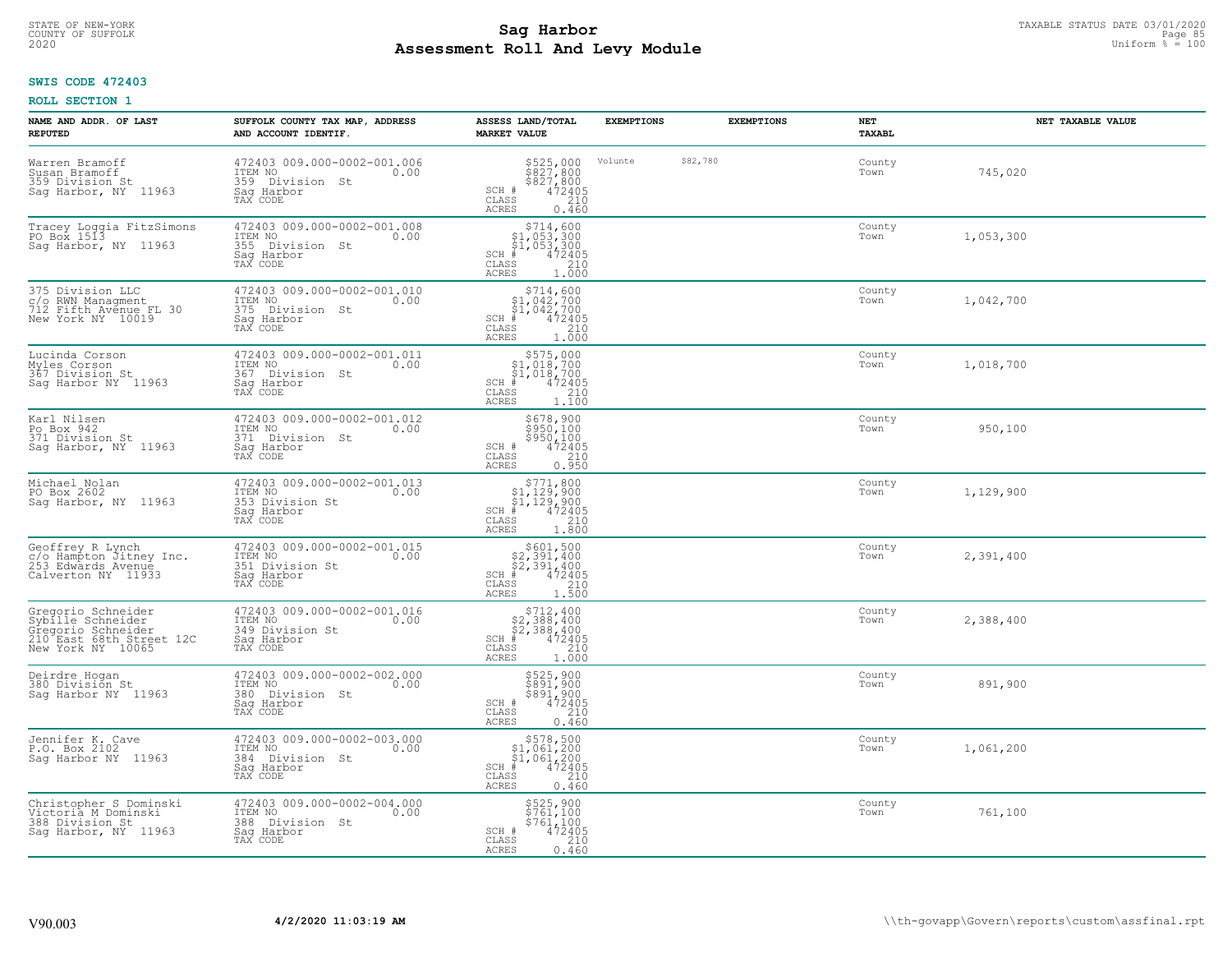# TAXABLE STATUS DATE 03/01/2020<br>COUNTY OF SUFFOLK Page 85 **Assessment Roll And Levy Module** 2020 Uniform % = 100

### **SWIS CODE 472403**

| NAME AND ADDR. OF LAST<br><b>REPUTED</b>                                                                       | SUFFOLK COUNTY TAX MAP, ADDRESS<br>AND ACCOUNT IDENTIF.                                        | ASSESS LAND/TOTAL<br><b>MARKET VALUE</b>                                                                                       | <b>EXEMPTIONS</b> | <b>EXEMPTIONS</b> | NET<br><b>TAXABL</b> | NET TAXABLE VALUE |
|----------------------------------------------------------------------------------------------------------------|------------------------------------------------------------------------------------------------|--------------------------------------------------------------------------------------------------------------------------------|-------------------|-------------------|----------------------|-------------------|
| Warren Bramoff<br>Susan Bramoff<br>359 Division St<br>Sag Harbor, NY 11963                                     | 472403 009.000-0002-001.006<br>ITEM NO<br>0.00<br>359 Division St<br>Saq Harbor<br>TAX CODE    | \$525,000<br>\$827,800<br>\$827,800<br>472405<br>210<br>SCH #<br>CLASS<br><b>ACRES</b><br>0.460                                | Volunte           | \$82,780          | County<br>Town       | 745,020           |
| Tracey Loggia FitzSimons<br>PO Box 1513<br>Sag Harbor, NY 11963                                                | 472403 009.000-0002-001.008<br>ITEM NO<br>0.00<br>355 Division St<br>Saq Harbor<br>TAX CODE    | $$714,600$<br>$$1,053,300$<br>$$1,053,300$<br>$*1,053,300$<br>$*1,053,300$<br>$SCH$ #<br>CLASS<br>210<br>1,000<br><b>ACRES</b> |                   |                   | County<br>Town       | 1,053,300         |
| 375 Division LLC<br>c/o RWN Managment<br>712 Fifth Avenue FL 30<br>New York NY 10019                           | 472403 009.000-0002-001.010<br>ITEM NO<br>0.00<br>375<br>Division St<br>Saq Harbor<br>TAX CODE | $$714,600$<br>$$1,042,700$<br>$$1,042,700$<br>$$472405$<br>SCH #<br>CLASS<br>$\frac{210}{1.000}$<br>ACRES                      |                   |                   | County<br>Town       | 1,042,700         |
| Lucinda Corson<br>Myles Corson<br>367 Division St<br>Saq Harbor NY 11963                                       | 472403 009.000-0002-001.011<br>ITEM NO<br>0.00<br>367 Division St<br>Saq Harbor<br>TAX CODE    | $$575,000$<br>$$1,018,700$<br>$$1,018,700$<br>$472405$<br>$3240$<br>$SCH$ #<br>CLASS<br><b>ACRES</b><br>1,100                  |                   |                   | County<br>Town       | 1,018,700         |
| Karl Nilsen<br>Po Box 942<br>371 Division St<br>Sag Harbor, NY 11963                                           | 472403 009.000-0002-001.012<br>ITEM NO<br>0.00<br>371<br>Division St<br>Saq Harbor<br>TAX CODE | \$678,900<br>\$950,100<br>\$950,100<br>SCH #<br>472405<br>210<br>CLASS<br><b>ACRES</b><br>0.950                                |                   |                   | County<br>Town       | 950,100           |
| Michael Nolan<br>PO Box 2602<br>Sag Harbor, NY 11963                                                           | 472403 009.000-0002-001.013<br>ITEM NO<br>0.00<br>353 Division St<br>Sag Harbor<br>TAX CODE    | $$771,800$<br>$$1,129,900$<br>$$1,129,900$<br>$$472405$<br>SCH<br>CLASS<br>210<br><b>ACRES</b><br>1,800                        |                   |                   | County<br>Town       | 1,129,900         |
| Geoffrey R Lynch<br>c/o Hampton Jitney Inc.<br>253 Edwards Avenue<br>Calverton NY 11933                        | 472403 009.000-0002-001.015<br>ITEM NO<br>0.00<br>351 Division St<br>Saq Harbor<br>TAX CODE    | $$601,500$<br>$$2,391,400$<br>$$2,391,400$<br>$$472405$<br>$SCH$ #<br>CLASS<br>210<br><b>ACRES</b><br>1.500                    |                   |                   | County<br>Town       | 2,391,400         |
| Gregorio Schneider<br>Sybille Schneider<br>Gregorio Schneider<br>210 East 68th Street 12C<br>New York NY 10065 | 472403 009.000-0002-001.016<br>ITEM NO 0.00<br>349 Division St<br>Saq Harbor<br>TAX CODE       | $\begin{array}{c} $712,400 $2,388,400 $2,388,400 # 472405 \end{array}$<br>$SCH$ #<br>CLASS<br>210<br><b>ACRES</b><br>1,000     |                   |                   | County<br>Town       | 2,388,400         |
| Deirdre Hogan<br>380 División St<br>Saq Harbor NY 11963                                                        | 472403 009.000-0002-002.000<br>TTEM NO 0.00<br>380 Division St<br>Saq Harbor<br>TAX CODE       | \$525,900<br>\$891,900<br>\$891,900<br>SCH #<br>472405<br>CLASS<br>210<br><b>ACRES</b><br>0.460                                |                   |                   | County<br>Town       | 891,900           |
| Jennifer K. Cave<br>P.O. Box 2102<br>Sag Harbor NY 11963                                                       | 472403 009.000-0002-003.000<br>ITEM NO<br>0.00<br>384 Division St<br>Sag Harbor<br>TAX CODE    | $$578,500$ $$1,061,200$ $$1,061,200$ $$472405$<br>SCH<br>210<br>CLASS<br><b>ACRES</b><br>0.460                                 |                   |                   | County<br>Town       | 1,061,200         |
| Christopher S Dominski<br>Victoria M Dominski<br>388 Division St<br>Saq Harbor, NY 11963                       | 472403 009.000-0002-004.000<br>ITEM NO<br>0.00<br>388<br>Division St<br>Sag Harbor<br>TAX CODE | \$525,900<br>\$761,100<br>\$761,100<br>SCH #<br>472405<br>CLASS<br>210<br><b>ACRES</b><br>0.460                                |                   |                   | County<br>Town       | 761,100           |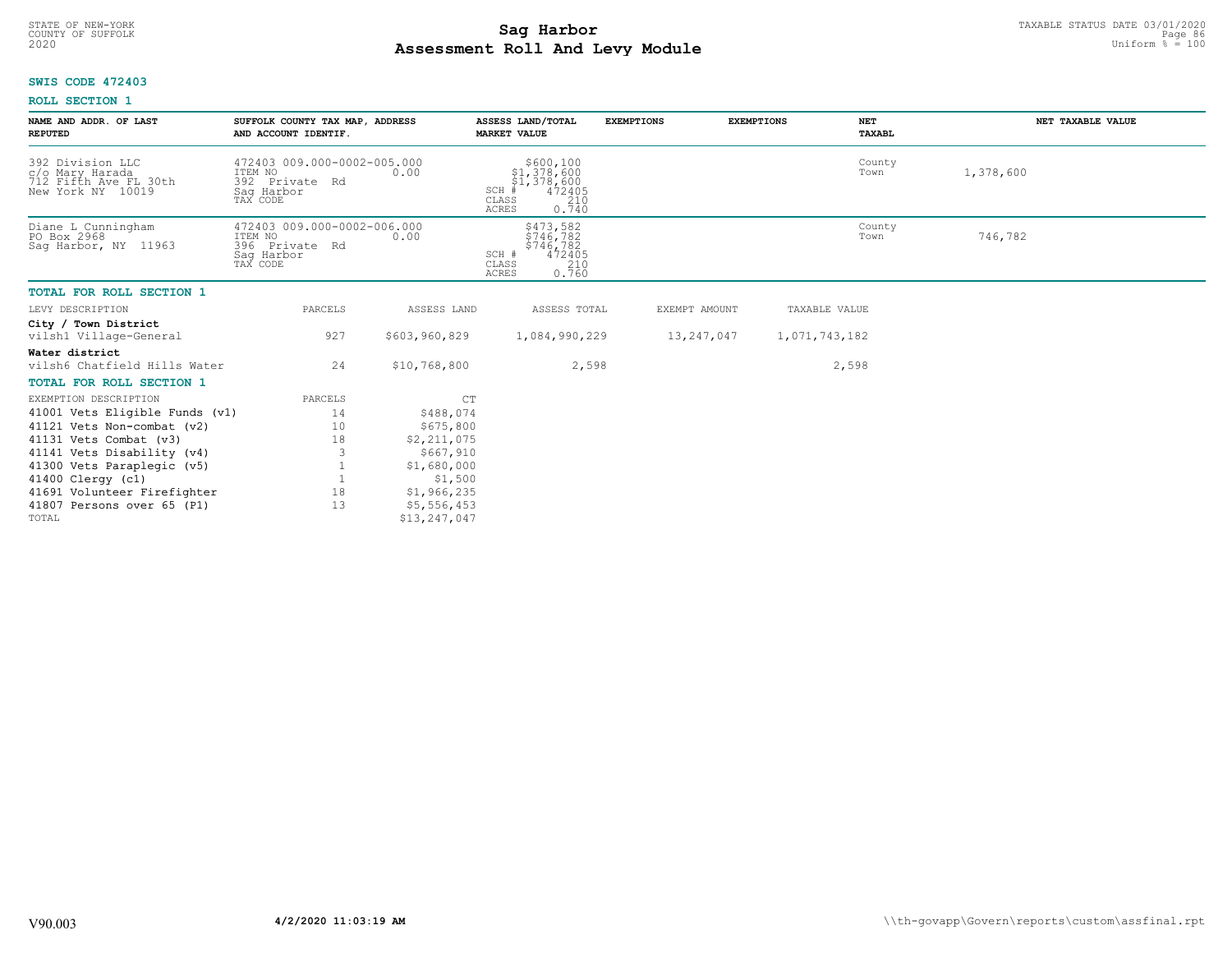# TAXABLE STATUS DATE 03/01/2020<br>COUNTY OF SUFFOLK Page 86 **Assessment Roll And Levy Module** 2020 Uniform % = 100

### **SWIS CODE 472403**

| NAME AND ADDR. OF LAST<br><b>REPUTED</b>                                          | SUFFOLK COUNTY TAX MAP, ADDRESS<br>AND ACCOUNT IDENTIF.                            |                        | ASSESS LAND/TOTAL<br><b>MARKET VALUE</b>                                                            | <b>EXEMPTIONS</b> | <b>EXEMPTIONS</b> | NET<br>TAXABL  | NET TAXABLE VALUE |
|-----------------------------------------------------------------------------------|------------------------------------------------------------------------------------|------------------------|-----------------------------------------------------------------------------------------------------|-------------------|-------------------|----------------|-------------------|
| 392 Division LLC<br>c/o Mary Harada<br>712 Fifth Ave FL 30th<br>New York NY 10019 | 472403 009.000-0002-005.000<br>ITEM NO<br>392 Private Rd<br>Saq Harbor<br>TAX CODE | 0.00                   | \$600,100<br>\$1,378,600<br>\$1,378,600<br>SCH +<br>472405<br>CLASS<br>210<br><b>ACRES</b><br>0.740 |                   |                   | County<br>Town | 1,378,600         |
| Diane L Cunningham<br>PO Box 2968<br>Saq Harbor, NY 11963                         | 472403 009.000-0002-006.000<br>ITEM NO<br>396 Private Rd<br>Sag Harbor<br>TAX CODE | 0.00                   | \$473,582<br>\$746,782<br>$$746/782$<br>472405<br>SCH #<br>210<br>CLASS<br>0.760<br><b>ACRES</b>    |                   |                   | County<br>Town | 746,782           |
| <b>TOTAL FOR ROLL SECTION 1</b>                                                   |                                                                                    |                        |                                                                                                     |                   |                   |                |                   |
| LEVY DESCRIPTION                                                                  | PARCELS                                                                            | ASSESS LAND            | ASSESS TOTAL                                                                                        |                   | EXEMPT AMOUNT     | TAXABLE VALUE  |                   |
| City / Town District<br>vilsh1 Village-General                                    | 927                                                                                | \$603,960,829          | 1,084,990,229                                                                                       |                   | 13,247,047        | 1,071,743,182  |                   |
| Water district<br>vilsh6 Chatfield Hills Water                                    | 24                                                                                 | \$10,768,800           | 2,598                                                                                               |                   |                   | 2,598          |                   |
| <b>TOTAL FOR ROLL SECTION 1</b>                                                   |                                                                                    |                        |                                                                                                     |                   |                   |                |                   |
| EXEMPTION DESCRIPTION                                                             | PARCELS                                                                            | C <sub>T</sub>         |                                                                                                     |                   |                   |                |                   |
| 41001 Vets Eligible Funds (v1)                                                    | 14                                                                                 | \$488,074              |                                                                                                     |                   |                   |                |                   |
| 41121 Vets Non-combat (v2)                                                        | 10                                                                                 | \$675,800              |                                                                                                     |                   |                   |                |                   |
| 41131 Vets Combat (v3)                                                            | 18                                                                                 | \$2,211,075            |                                                                                                     |                   |                   |                |                   |
| 41141 Vets Disability (v4)                                                        |                                                                                    | \$667,910              |                                                                                                     |                   |                   |                |                   |
| 41300 Vets Paraplegic (v5)<br>41400 Clergy (c1)                                   |                                                                                    | \$1,680,000<br>\$1,500 |                                                                                                     |                   |                   |                |                   |
| 41691 Volunteer Firefighter                                                       | 18                                                                                 | \$1,966,235            |                                                                                                     |                   |                   |                |                   |
| 41807 Persons over 65 (P1)                                                        | 13                                                                                 | \$5,556,453            |                                                                                                     |                   |                   |                |                   |
| TOTAL                                                                             |                                                                                    | \$13,247,047           |                                                                                                     |                   |                   |                |                   |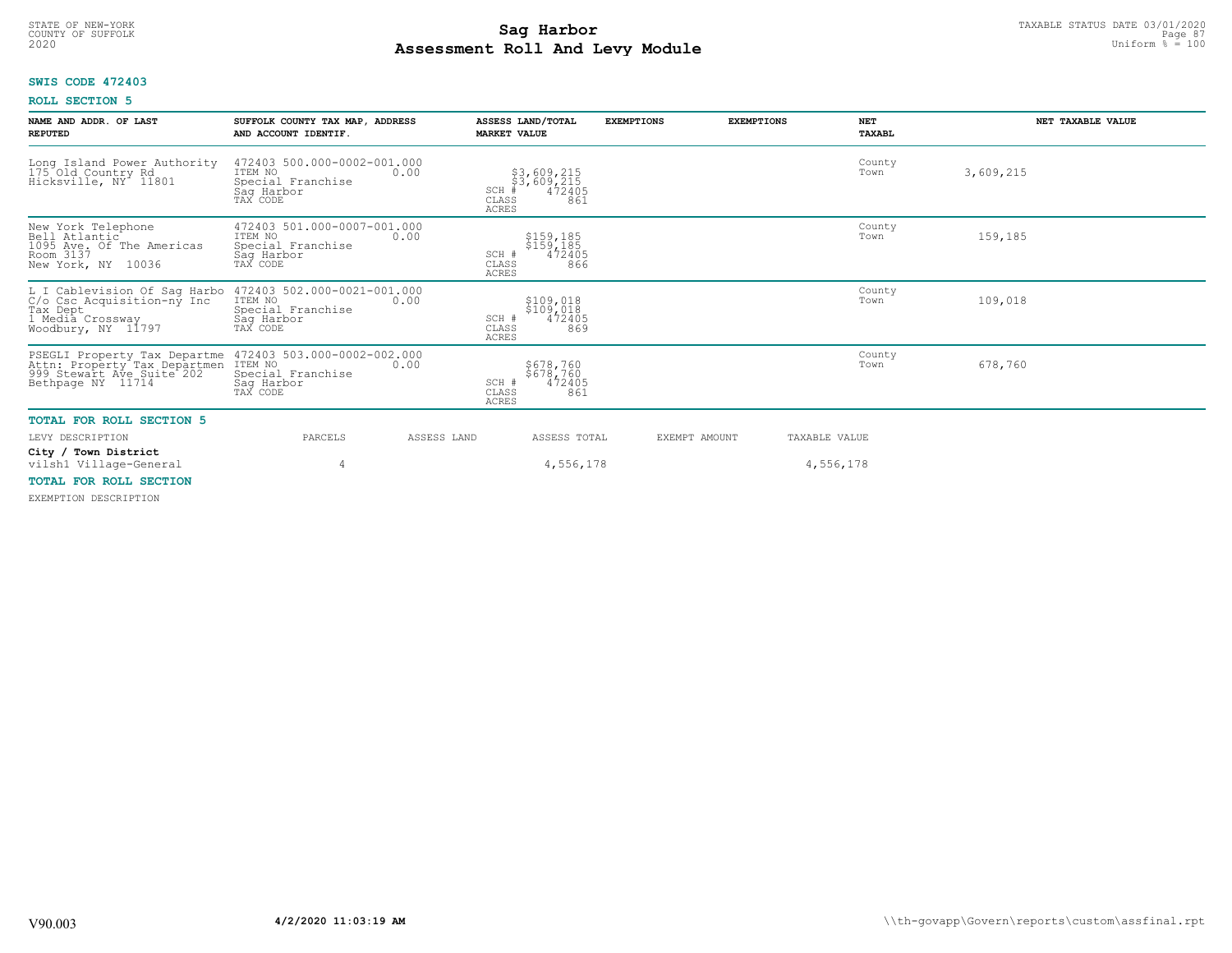# TAXABLE STATUS DATE 03/01/2020<br>COUNTY OF SUFFOLK Page 87 **Assessment Roll And Levy Module** 2020 Uniform % = 100

### **SWIS CODE 472403**

### **ROLL SECTION 5**

| NAME AND ADDR. OF LAST<br><b>REPUTED</b>                                                                                              | SUFFOLK COUNTY TAX MAP, ADDRESS<br>AND ACCOUNT IDENTIF.                                       | ASSESS LAND/TOTAL<br><b>MARKET VALUE</b>                                     | <b>EXEMPTIONS</b> | <b>EXEMPTIONS</b><br><b>NET</b><br>TAXABL | NET TAXABLE VALUE |
|---------------------------------------------------------------------------------------------------------------------------------------|-----------------------------------------------------------------------------------------------|------------------------------------------------------------------------------|-------------------|-------------------------------------------|-------------------|
| Long Island Power Authority<br>175 Old Country Rd<br>Hicksville, NY 11801                                                             | 472403 500.000-0002-001.000<br>ITEM NO<br>0.00<br>Special Franchise<br>Saq Harbor<br>TAX CODE | \$3,609,215<br>\$3,609,215<br>#472405<br>SCH<br>CLASS<br>861<br><b>ACRES</b> |                   | County<br>Town                            | 3,609,215         |
| New York Telephone<br>Bell Atlantic<br>1095 Ave. Of The Americas<br>Room 3137<br>New York, NY 10036                                   | 472403 501.000-0007-001.000<br>ITEM NO<br>0.00<br>Special Franchise<br>Saq Harbor<br>TAX CODE | \$159,185<br>\$159,185<br>472405<br>SCH #<br>866<br>CLASS<br><b>ACRES</b>    |                   | County<br>Town                            | 159,185           |
| L I Cablevision Of Sag Harbo<br>C/o Csc Acquisition-ny Inc<br>Tax Dept<br>Tax Let a Constant in The Tax Depta<br>Noodbury, NY 11797   | 472403 502.000-0021-001.000<br>ITEM NO<br>0.00<br>Special Franchise<br>Sag Harbor<br>TAX CODE | \$109,018<br>\$109,018<br>472405<br>SCH #<br>869<br>CLASS<br><b>ACRES</b>    |                   | County<br>Town                            | 109,018           |
| PSEGLI Property Tax Departme 472403<br>Attn: Property Tax Departmen ITEM NO<br>999 Stewart Ave Suite 202 Special<br>Bethpage NY 11714 | 472403 503.000-0002-002.000<br>0.00<br>Special Franchise<br>Saq Harbor<br>TAX CODE            | \$678,760<br>$$678,760$<br>472405<br>SCH #<br>CLASS<br>861<br><b>ACRES</b>   |                   | County<br>Town                            | 678,760           |
| <b>TOTAL FOR ROLL SECTION 5</b>                                                                                                       |                                                                                               |                                                                              |                   |                                           |                   |
| LEVY DESCRIPTION                                                                                                                      | PARCELS<br>ASSESS LAND                                                                        | ASSESS TOTAL                                                                 | EXEMPT AMOUNT     | TAXABLE VALUE                             |                   |
| City / Town District<br>vilsh1 Village-General                                                                                        | 4                                                                                             | 4,556,178                                                                    |                   | 4,556,178                                 |                   |
| <b>TOTAL FOR ROLL SECTION</b>                                                                                                         |                                                                                               |                                                                              |                   |                                           |                   |

EXEMPTION DESCRIPTION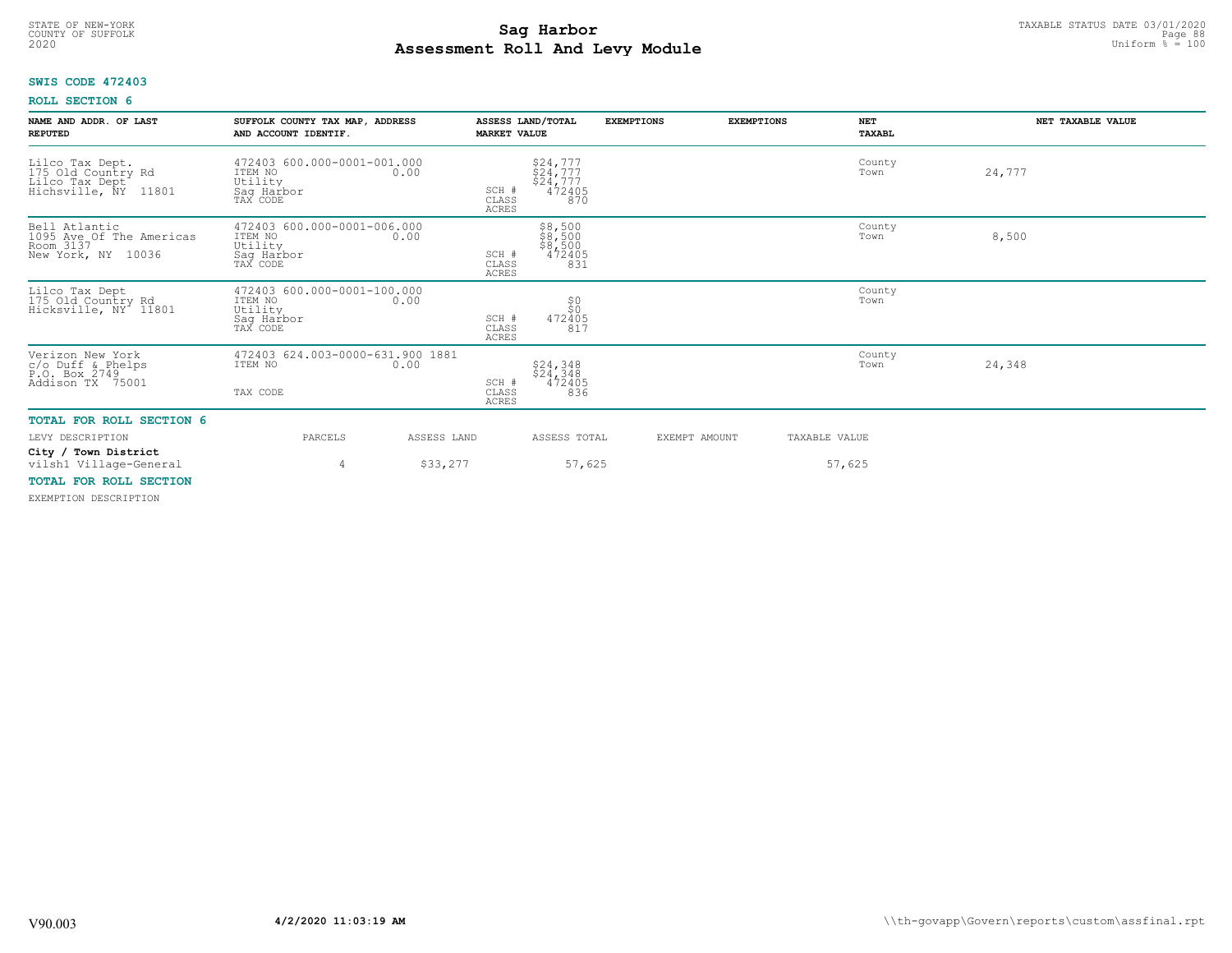# TAXABLE STATUS DATE 03/01/2020<br>COUNTY OF SUFFOLK Page 88 and the state of the state of the state of the state of the state of the state of the **Assessment Roll And Levy Module** 2020 Uniform % = 100

### **SWIS CODE 472403**

### **ROLL SECTION 6**

| NAME AND ADDR. OF LAST<br><b>REPUTED</b>                                                                                      | SUFFOLK COUNTY TAX MAP, ADDRESS<br>AND ACCOUNT IDENTIF.                             | <b>MARKET VALUE</b>            | ASSESS LAND/TOTAL                                    | <b>EXEMPTIONS</b> | <b>EXEMPTIONS</b> | <b>NET</b><br>TAXABL | NET TAXABLE VALUE |
|-------------------------------------------------------------------------------------------------------------------------------|-------------------------------------------------------------------------------------|--------------------------------|------------------------------------------------------|-------------------|-------------------|----------------------|-------------------|
| Lilco Tax Dept.<br>175 Old Country Rd<br>Lilco Tax Dept<br>Hichsville, NY 118<br>11801                                        | 472403 600.000-0001-001.000<br>ITEM NO<br>0.00<br>Utility<br>Saq Harbor<br>TAX CODE | SCH #<br>CLASS<br><b>ACRES</b> | $$24,777$<br>$$24,777$<br>$$24,777$<br>472405<br>870 |                   |                   | County<br>Town       | 24,777            |
| Bell Atlantic<br>1095 Ave Of The Americas<br>Room 3137<br>New York, NY 10036                                                  | 472403 600.000-0001-006.000<br>ITEM NO<br>0.00<br>Utility<br>Sag Harbor<br>TAX CODE | SCH #<br>CLASS<br><b>ACRES</b> | $$8,500$<br>$$8,500$<br>$$8,500$<br>$472405$<br>831  |                   |                   | County<br>Town       | 8,500             |
| Lilco Tax Dept<br>175 Old Country Rd<br>Hicksville, NY 11801                                                                  | 472403 600.000-0001-100.000<br>ITEM NO<br>0.00<br>Utility<br>Sag Harbor<br>TAX CODE | SCH #<br>CLASS<br><b>ACRES</b> | 50<br>472405<br>817                                  |                   |                   | County<br>Town       |                   |
| Verizon New York<br>c/o Duff & Phelps<br>P.O. Box 2749<br>Addison TX 75001                                                    | 472403 624.003-0000-631.900 1881<br>ITEM NO<br>0.00<br>TAX CODE                     | SCH #<br>CLASS<br><b>ACRES</b> | \$24,348<br>\$24,348<br>472405<br>836                |                   |                   | County<br>Town       | 24,348            |
| TOTAL FOR ROLL SECTION 6                                                                                                      |                                                                                     |                                |                                                      |                   |                   |                      |                   |
| LEVY DESCRIPTION                                                                                                              | PARCELS                                                                             | ASSESS LAND                    | ASSESS TOTAL                                         |                   | EXEMPT AMOUNT     | TAXABLE VALUE        |                   |
| City / Town District<br>vilsh1 Village-General<br>$m \land m \land r$ $m \land r \land r$ $m \land m \land m \land r \land r$ | 4                                                                                   | \$33,277                       | 57,625                                               |                   |                   | 57,625               |                   |

### **TOTAL FOR ROLL SECTION**

EXEMPTION DESCRIPTION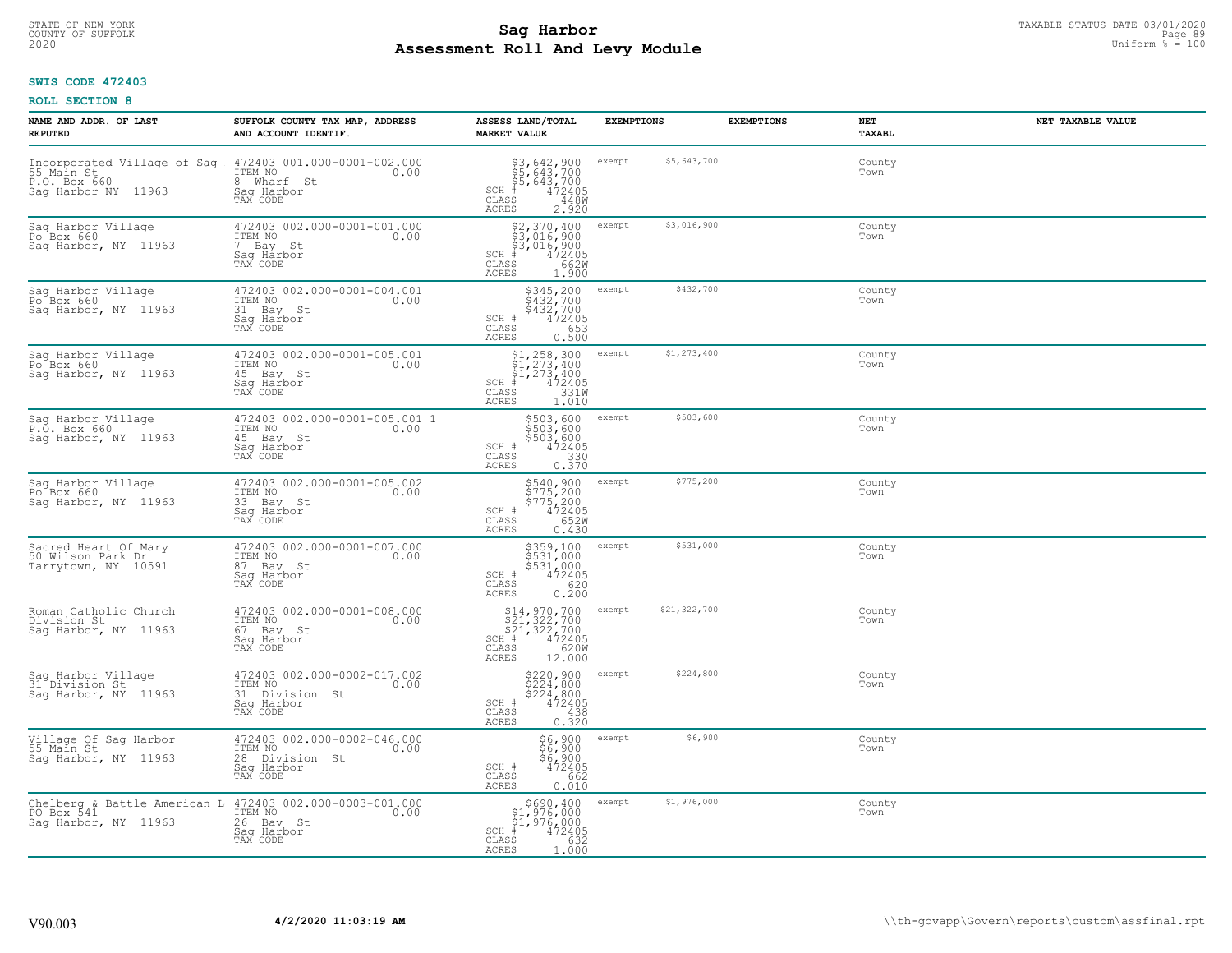# TAXABLE STATUS DATE 03/01/2020<br>COUNTY OF SUFFOLK Page 89 **Assessment Roll And Levy Module** 2020 Uniform % = 100

### **SWIS CODE 472403**

| NAME AND ADDR. OF LAST<br><b>REPUTED</b>                                                       | SUFFOLK COUNTY TAX MAP, ADDRESS<br>AND ACCOUNT IDENTIF.                                    | ASSESS LAND/TOTAL<br><b>MARKET VALUE</b>                                                                                                                          | <b>EXEMPTIONS</b>      | <b>EXEMPTIONS</b> | NET<br><b>TAXABL</b> | NET TAXABLE VALUE |
|------------------------------------------------------------------------------------------------|--------------------------------------------------------------------------------------------|-------------------------------------------------------------------------------------------------------------------------------------------------------------------|------------------------|-------------------|----------------------|-------------------|
| Incorporated Village of Sag<br>55 Main St<br>P.O. Box 660<br>Saq Harbor NY 11963               | 472403 001.000-0001-002.000<br>ITEM NO<br>0.00<br>8 Wharf St<br>Saq Harbor<br>TAX CODE     | \$3,642,900<br>\$5,643,700<br>\$5,643,700<br>#472405<br>SCH<br>CLASS<br>448W<br>2.920<br>ACRES                                                                    | \$5,643,700<br>exempt  |                   | County<br>Town       |                   |
| Sag Harbor Village<br>Po <sup>Box</sup> 660<br>Sag Harbor, NY 11963                            | 472403 002.000-0001-001.000<br>ITEM NO<br>0.00<br>7 Bay St<br>Saq Harbor<br>TAX CODE       | \$2,370,400<br>\$3,016,900<br>\$3,016,900<br># 472405<br>\$8 662M<br>$SCH$ #<br>CLASS<br>ACRES<br>1.900                                                           | \$3,016,900<br>exempt  |                   | County<br>Town       |                   |
| Sag Harbor Village<br>Po <sup>Box</sup> 660<br>Sag Harbor, NY 11963                            | 472403 002.000-0001-004.001<br>ITEM NO<br>0.00<br>31 Bay St<br>Sag Harbor<br>TAX CODE      | \$345,200<br>\$432,700<br>\$432,700<br>SCH #<br>472405<br>653<br>CLASS<br>ACRES<br>0.500                                                                          | \$432,700<br>exempt    |                   | County<br>Town       |                   |
| Sag Harbor Village<br>Po Box 660<br>Saq Harbor, NY 11963                                       | 472403 002.000-0001-005.001<br>ITEM NO<br>0.00<br>45 Bay St<br>Saq Harbor<br>TAX CODE      | $$1, 258, 300$<br>$$1, 273, 400$<br>$$1, 273, 400$<br>$SCH$ #<br>472405<br>331W<br>CLASS<br>ACRES<br>1.010                                                        | \$1,273,400<br>exempt  |                   | County<br>Town       |                   |
| Sag Harbor Village<br>P.O. Box 660<br>Sag Harbor, NY 11963                                     | 472403 002.000-0001-005.001 1<br>ITEM NO<br>0.00<br>45 Bay St<br>Saq Harbor<br>TAX CODE    | \$503,600<br>\$503,600<br>$5503,600\n472405\n330\n0.370$<br>SCH #<br>CLASS<br>ACRES                                                                               | \$503,600<br>exempt    |                   | County<br>Town       |                   |
| Sag Harbor Village<br>Po Box 660<br>Sag Harbor, NY 11963                                       | 472403 002.000-0001-005.002<br>ITEM NO<br>0.00<br>33 Bay St<br>Saq Harbor<br>TAX CODE      | \$540,900<br>\$775,200<br>\$775,200<br>472405<br>SCH #<br>652W<br>$\mathtt{CLASS}$<br>0.430<br>ACRES                                                              | \$775,200<br>exempt    |                   | County<br>Town       |                   |
| Sacred Heart Of Mary<br>50 Wilson Park Dr.<br>Tarrytown, NY 10591                              | 472403 002.000-0001-007.000<br>ITEM NO<br>0.00<br>87 Bay St<br>Sag Harbor<br>TAX CODE      | \$359,100<br>\$531,000<br>\$531,000<br>472405<br>SCH #<br>620<br>CLASS<br>0.200<br>ACRES                                                                          | \$531,000<br>exempt    |                   | County<br>Town       |                   |
| Roman Catholic Church<br>Division St<br>Saq Harbor, NY 11963                                   | 472403 002.000-0001-008.000<br>ITEM NO<br>0.00<br>67 Bay St<br>Saq Harbor<br>TAX CODE      | $514, 970, 700$<br>$521, 322, 700$<br>$521, 322, 700$<br>$\text{H} + 472405$<br>$\text{H} + 62000$<br>$\text{H} - 62000$<br>$SCH$ $#$<br>CLASS<br>ACRES<br>12.000 | \$21,322,700<br>exempt |                   | County<br>Town       |                   |
| Sag Harbor Village<br>31 Division St<br>Sag Harbor, NY 11963                                   | 472403 002.000-0002-017.002<br>ITEM NO<br>0.00<br>31 Division St<br>Saq Harbor<br>TAX CODE | \$220,900<br>\$224,800<br>\$224,800<br>\$224,800<br>SCH #<br>CLASS<br>0.380<br>ACRES                                                                              | \$224,800<br>exempt    |                   | County<br>Town       |                   |
| Village Of Sag Harbor<br>55 Main St<br>Sag Harbor, NY 11963                                    | 472403 002.000-0002-046.000<br>ITEM NO<br>0.00<br>28 Division St<br>Saq Harbor<br>TAX CODE | \$6,900<br>$\frac{56}{6}$ , 900<br>$\frac{6}{4}$ 72405<br>$\frac{662}{662}$<br>SCH #<br>CLASS<br><b>ACRES</b><br>0.010                                            | \$6,900<br>exempt      |                   | County<br>Town       |                   |
| Chelberg & Battle American L 472403 002.000-0003-001.000<br>PO Box 541<br>Sag Harbor, NY 11963 | ITEM NO<br>0.00<br>26 Bay St<br>Sag Harbor<br>TAX CODE                                     | \$690, 400<br>\$1,976,000<br>\$1,976,000<br>472405<br>$SCH$ #<br>632<br>CLASS<br>ACRES<br>1.000                                                                   | \$1,976,000<br>exempt  |                   | County<br>Town       |                   |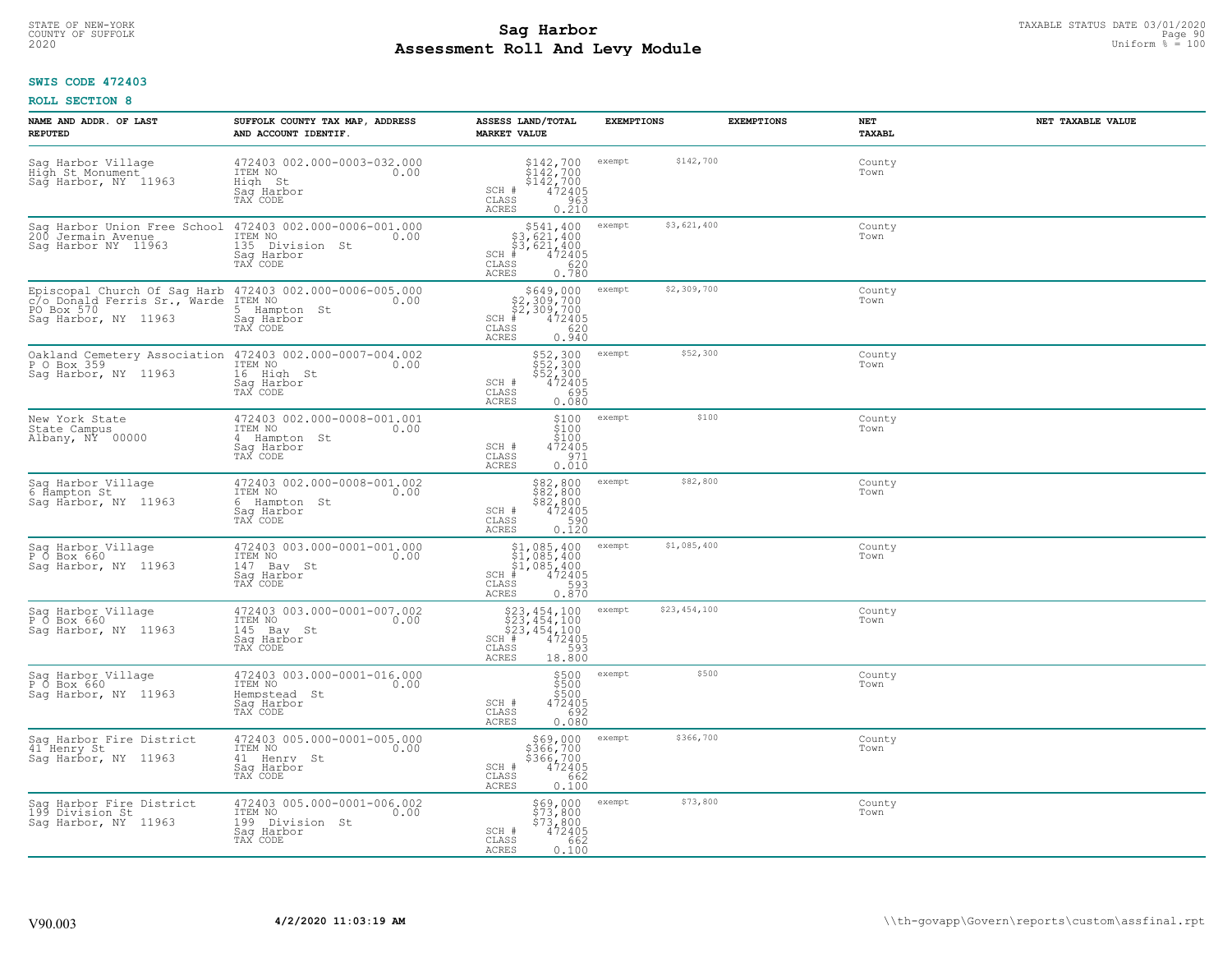# TAXABLE STATUS DATE 03/01/2020<br>COUNTY OF SUFFOLK Page 90 Page 90 **Assessment Roll And Levy Module** 2020 Uniform % = 100

### **SWIS CODE 472403**

| NAME AND ADDR. OF LAST<br><b>REPUTED</b>                                                                                       | SUFFOLK COUNTY TAX MAP, ADDRESS<br>AND ACCOUNT IDENTIF.                                                                          | ASSESS LAND/TOTAL<br><b>MARKET VALUE</b>                                                                               | <b>EXEMPTIONS</b>      | <b>EXEMPTIONS</b> | NET<br><b>TAXABL</b> | NET TAXABLE VALUE |
|--------------------------------------------------------------------------------------------------------------------------------|----------------------------------------------------------------------------------------------------------------------------------|------------------------------------------------------------------------------------------------------------------------|------------------------|-------------------|----------------------|-------------------|
| Sag Harbor Village<br>High St Monument<br>Sag Harbor, NY 11963                                                                 | 472403 002.000-0003-032.000<br>ITEM NO<br>0.00<br>High St<br>Saq Harbor<br>TAX CODE                                              | $$142,700$<br>$$142,700$<br>$$142,700$<br>$472405$<br>$$963$<br>SCH #<br>CLASS<br><b>ACRES</b><br>0.210                | \$142,700<br>exempt    |                   | County<br>Town       |                   |
| Sag Harbor Union Free School<br>200 Jermain Avenue<br>Saq Harbor NY 11963                                                      | 472403 002.000-0006-001.000<br>ITEM NO<br>0.00<br>135 Division St<br>Saq Harbor<br>TAX CODE                                      | \$541,400<br>\$3,621,400<br>\$3,621,400<br>472405<br>$SCH$ #<br>$\mathtt{CLASS}$<br>620<br>ACRES<br>0.780              | \$3,621,400<br>exempt  |                   | County<br>Town       |                   |
| Episcopal Church Of Sag Harb 472403 002.000-0006-005.000<br>c/o Donald Ferris Sr., Warde<br>PO Box 570<br>Saq Harbor, NY 11963 | ITEM NO<br>0.00<br>5<br>Hampton St<br>Saq Harbor<br>TAX CODE                                                                     | \$649,000<br>\$2,309,700<br>\$2,309,700<br>$SCH$ #<br>$472405$<br>620<br>CLASS<br>ACRES<br>0.940                       | \$2,309,700<br>exempt  |                   | County<br>Town       |                   |
| Oakland Cemetery Association 472403 002.000-0007-004.002<br>P O Box 359 [17EM NO 600]<br>Saq Harbor, NY 11963                  | 16 High St<br>Saq Harbor<br>TAX CODE                                                                                             | \$52,300<br>\$52,300<br>\$52,300<br>\$472405<br>SCH #<br>CLASS<br>0.695<br>ACRES                                       | \$52,300<br>exempt     |                   | County<br>Town       |                   |
| New York State<br>State Campus<br>Albany, NY 00000                                                                             | 472403 002.000-0008-001.001<br>ITEM NO<br>0.00<br>4 Hampton St<br>Saq Harbor<br>TAX CODE                                         | \$100<br>\$100<br>\$100<br>SCH #<br>$472405$<br>971<br>0.010<br>$\mathtt{CLASS}$<br>ACRES                              | \$100<br>exempt        |                   | County<br>Town       |                   |
| Sag Harbor Village<br>6 Hampton St<br>Sag Harbor, NY 11963                                                                     | 472403 002.000-0008-001.002<br>ITEM NO<br>0.00<br>6 Hampton St<br>Sag Harbor<br>TAX CODE                                         | \$82,800<br>\$82,800<br>\$82,800<br>\$8472405<br>SCH #<br>590<br>CLASS<br><b>ACRES</b><br>0.120                        | \$82,800<br>exempt     |                   | County<br>Town       |                   |
| Sag Harbor Village<br>P O Box 660<br>Saq Harbor, NY 11963                                                                      | 472403 003.000-0001-001.000<br>ITEM NO<br>147 Bay St<br>0.00<br>Saq Harbor<br>TAX CODE                                           | $$1,085,400$<br>$$1,085,400$<br>$$1,085,400$<br>$$472405$<br>$SCH$ #<br>CLASS<br>0.870<br><b>ACRES</b>                 | \$1,085,400<br>exempt  |                   | County<br>Town       |                   |
| Sag Harbor Village<br>P O Box 660<br>Saq Harbor, NY 11963                                                                      | $\begin{matrix} 472403 & 003.000 - 0001 - 007.002 \\ \text{ITEM NO} & 0.00 \end{matrix}$<br>145 Bay St<br>Saq Harbor<br>TAX CODE | $523, 454, 100$<br>$523, 454, 100$<br>$523, 454, 100$<br>$1 \# 472405$<br>Ass<br>$SCH$ $#$<br>CLASS<br>18.800<br>ACRES | \$23,454,100<br>exempt |                   | County<br>Town       |                   |
| Sag Harbor Village<br>P O Box 660<br>Sag Harbor, NY 11963                                                                      | 472403 003.000-0001-016.000<br>TTEM NO 0.00<br>Hempstead St<br>Saq Harbor<br>TAX CODE                                            | \$500<br>\$500<br>\$500<br>SCH #<br>472405<br>CLASS<br>692<br>ACRES<br>0.080                                           | \$500<br>exempt        |                   | County<br>Town       |                   |
| Sag Harbor Fire District<br>41 Henry St<br>Sag Harbor, NY 11963                                                                | 472403 005.000-0001-005.000<br>ITEM NO<br>0.00<br>41 Henry St<br>Sag Harbor<br>TAX CODE                                          | \$69,000<br>\$366,700<br>\$366,700<br>472405<br>SCH #<br>662<br>CLASS<br><b>ACRES</b><br>0.100                         | \$366,700<br>exempt    |                   | County<br>Town       |                   |
| Sag Harbor Fire District<br>199 Division St<br>Saq Harbor, NY 11963                                                            | 472403 005.000-0001-006.002<br>ITEM NO<br>0.00<br>199 Division St<br>Saq Harbor<br>TAX CODE                                      | \$69,000<br>\$73,800<br>\$73,800<br>472405<br>SCH #<br>CLASS<br>662<br>ACRES<br>0.100                                  | \$73,800<br>exempt     |                   | County<br>Town       |                   |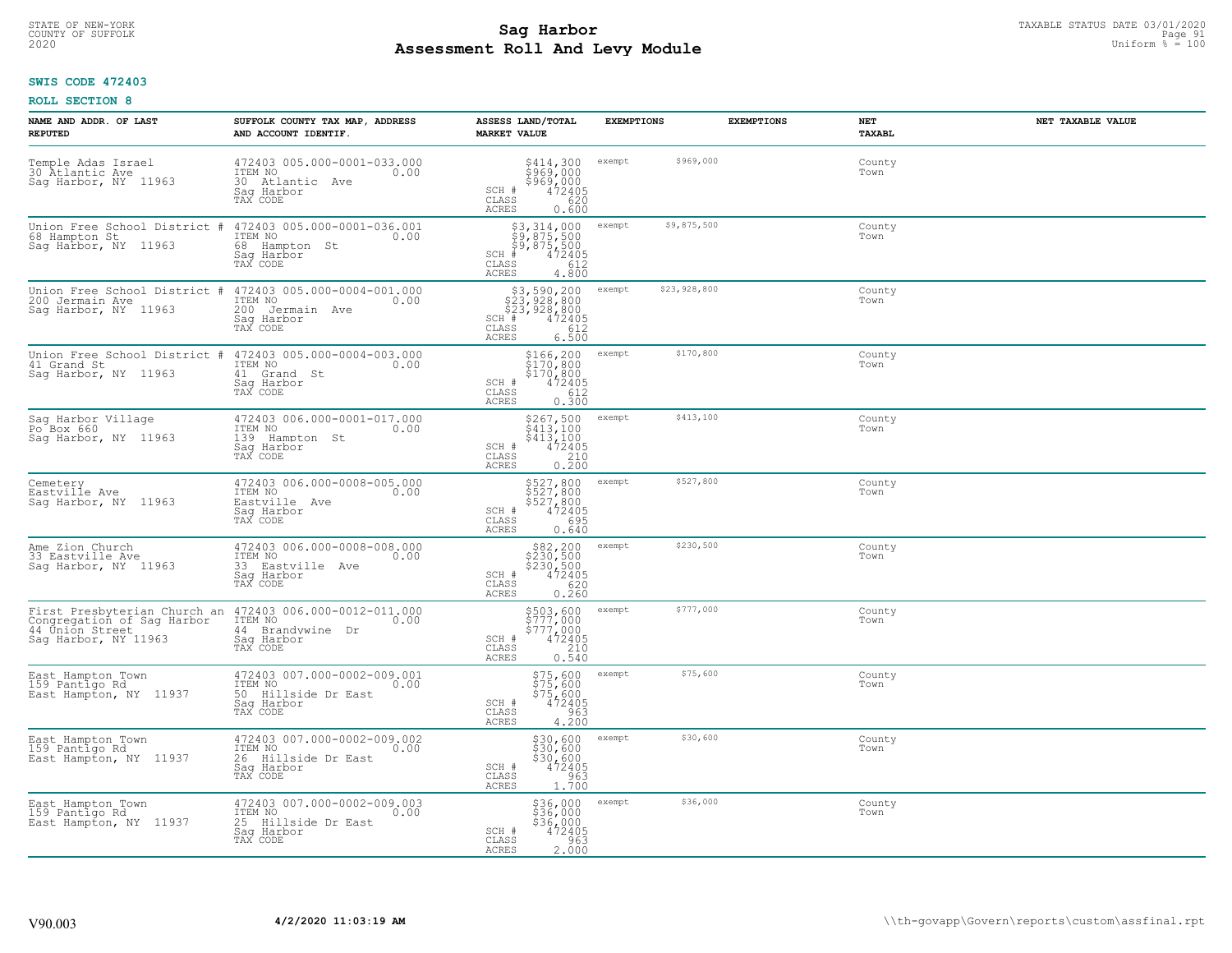# STATE OF NEW-YORK TAXABLE STATUS DATE 03/01/2020<br>COUNTY OF SUFFOLK Page 91 Page 91 **Assessment Roll And Levy Module** 2020 Uniform % = 100

### **SWIS CODE 472403**

| NAME AND ADDR. OF LAST<br><b>REPUTED</b>                                                              | SUFFOLK COUNTY TAX MAP, ADDRESS<br>AND ACCOUNT IDENTIF.                                         | ASSESS LAND/TOTAL<br><b>MARKET VALUE</b>                                                                                    | <b>EXEMPTIONS</b>      | <b>EXEMPTIONS</b> | NET<br><b>TAXABL</b> | NET TAXABLE VALUE |
|-------------------------------------------------------------------------------------------------------|-------------------------------------------------------------------------------------------------|-----------------------------------------------------------------------------------------------------------------------------|------------------------|-------------------|----------------------|-------------------|
| Temple Adas Israel<br>30 Atlantic Ave<br>Sag Harbor, NY 11963                                         | 472403 005.000-0001-033.000<br>ITEM NO<br>0.00<br>30 Atlantic Ave<br>Sag Harbor<br>TAX CODE     | \$414,300<br>\$969,000<br>\$969,000<br>472405<br>SCH #<br>CLASS<br>620<br><b>ACRES</b><br>0.600                             | \$969,000<br>exempt    |                   | County<br>Town       |                   |
| Union Free School District #<br>68 Hampton St<br>Saq Harbor, NY 11963                                 | 472403 005.000-0001-036.001<br>ITEM NO<br>0.00<br>68 Hampton St<br>Sag Harbor<br>TAX CODE       | \$3,314,000<br>\$9,875,500<br>\$9,875,500<br>$SCH$ #<br>472405<br>$\mathtt{CLASS}$<br>612<br><b>ACRES</b><br>4.800          | \$9,875,500<br>exempt  |                   | County<br>Town       |                   |
| Union Free School District #<br>200 Jermain Ave<br>Sag Harbor, NY 11963                               | 472403 005.000-0004-001.000<br>ITEM NO<br>0.00<br>200<br>Jermain Ave<br>Sag Harbor<br>TAX CODE  | \$3,590,200<br>\$23,928,800<br>\$23,928,800<br>472405<br>SCH #<br>612<br>CLASS<br><b>ACRES</b><br>6.500                     | \$23,928,800<br>exempt |                   | County<br>Town       |                   |
| Union Free School District<br>41 Grand St<br>Saq Harbor, NY 11963                                     | 472403 005.000-0004-003.000<br>ITEM NO<br>0.00<br>41 Grand St<br>Saq Harbor<br>TAX CODE         | \$166,200<br>\$170,800<br>\$170,800<br>SCH #<br>472405<br>CLASS<br>612<br>ACRES<br>0.300                                    | \$170,800<br>exempt    |                   | County<br>Town       |                   |
| Sag Harbor Village<br>Po Box 660<br>Saq Harbor, NY 11963                                              | 472403 006.000-0001-017.000<br>ITEM NO<br>0.00<br>139<br>Hampton St<br>Saq Harbor<br>TAX CODE   | \$267,500<br>\$413,100<br>$\begin{array}{r} \n 3,100 \\  472405 \\  210 \\  0.200\n \end{array}$<br>SCH #<br>CLASS<br>ACRES | \$413,100<br>exempt    |                   | County<br>Town       |                   |
| Cemetery<br>Eastville Ave<br>Sag Harbor, NY 11963                                                     | 472403 006.000-0008-005.000<br>ITEM NO<br>0.00<br>Eastville Ave<br>Sag Harbor<br>TAX CODE       | \$527,800<br>\$527,800<br>\$527,800<br>\$6205<br>\$695<br>SCH #<br>CLASS<br>ACRES<br>0.640                                  | \$527,800<br>exempt    |                   | County<br>Town       |                   |
| Ame Zion Church<br>33 Eastyille Ave<br>Sag Harbor, NY 11963                                           | 472403 006.000-0008-008.000<br>ITEM NO<br>0.00<br>33 Eastville Ave<br>Saq Harbor<br>TAX CODE    | \$82,200<br>\$230,500<br>\$230,500<br>472405<br>SCH #<br>620<br>CLASS<br>ACRES<br>0.260                                     | \$230,500<br>exempt    |                   | County<br>Town       |                   |
| First Presbyterian Church an<br>Congregation of Sag Harbor<br>44 Únión Street<br>Saq Harbor, NY 11963 | 472403 006.000-0012-011.000<br>ITEM NO<br>0.00<br>44 Brandywine Dr<br>Saq Harbor<br>TAX CODE    | \$503,600<br>\$777,000<br>\$777,000<br>\$777,000<br>0.540<br>0.540<br>SCH #<br>CLASS<br><b>ACRES</b>                        | \$777,000<br>exempt    |                   | County<br>Town       |                   |
| East Hampton Town<br>159 Pantigo Rd<br>East Hampton, NY 11937                                         | 472403 007.000-0002-009.001<br>TTEM NO 0.00<br>50 Hillside Dr East<br>Saq Harbor<br>TAX CODE    | $$75,600$<br>$$75,600$<br>$$75,600$<br>$$472405$<br>SCH #<br>CLASS<br>963<br>4.200<br>ACRES                                 | \$75,600<br>exempt     |                   | County<br>Town       |                   |
| East Hampton Town<br>159 Pantigo Rd<br>East Hampton, NY 11937                                         | 472403 007.000-0002-009.002<br>ITEM NO<br>0.00<br>26 Hillside Dr East<br>Sag Harbor<br>TAX CODE | \$30,600<br>\$30,600<br>$$30,600$<br>472405<br>SCH #<br>$\begin{array}{c} 0.763 \\ 1.700 \end{array}$<br>CLASS<br>ACRES     | \$30,600<br>exempt     |                   | County<br>Town       |                   |
| East Hampton Town<br>159 Pantigo Rd<br>East Hampton, NY 11937                                         | 472403 007.000-0002-009.003<br>ITEM NO<br>0.00<br>25 Hillside Dr East<br>Saq Harbor<br>TAX CODE | \$36,000<br>\$36,000<br>\$36,000<br>472405<br>SCH #<br>CLASS<br>963<br>2.000<br>ACRES                                       | \$36,000<br>exempt     |                   | County<br>Town       |                   |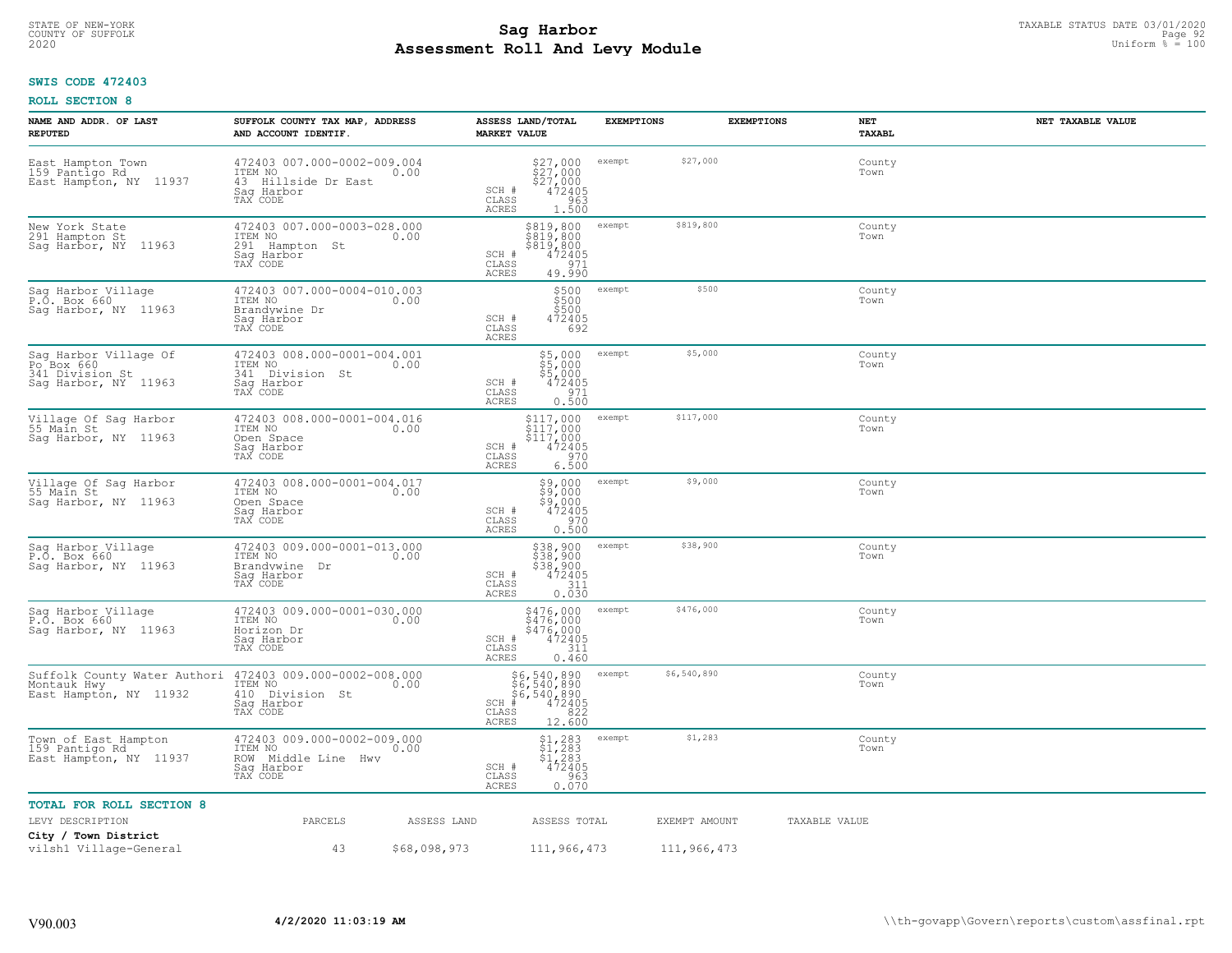# TAXABLE STATUS DATE 03/01/2020<br>COUNTY OF SUFFOLK Page 92 COUNTY OF SUFFOLK Page 92 **Assessment Roll And Levy Module** 2020 Uniform % = 100

### **SWIS CODE 472403**

| NAME AND ADDR. OF LAST<br><b>REPUTED</b>                                       | SUFFOLK COUNTY TAX MAP, ADDRESS<br>AND ACCOUNT IDENTIF.                                         | ASSESS LAND/TOTAL<br><b>MARKET VALUE</b>                                                                                                      | <b>EXEMPTIONS</b>     | <b>EXEMPTIONS</b> | NET<br><b>TAXABL</b> | NET TAXABLE VALUE |
|--------------------------------------------------------------------------------|-------------------------------------------------------------------------------------------------|-----------------------------------------------------------------------------------------------------------------------------------------------|-----------------------|-------------------|----------------------|-------------------|
| East Hampton Town<br>159 Pantigo Rd<br>East Hampton, NY 11937                  | 472403 007.000-0002-009.004<br>ITEM NO<br>0.00<br>43 Hillside Dr East<br>Saq Harbor<br>TAX CODE | $$27,000$<br>$$27,000$<br>$$27,000$<br>$$27,2405$<br>SCH #<br>CLASS<br>$\frac{963}{1.500}$<br><b>ACRES</b>                                    | exempt                | \$27,000          | County<br>Town       |                   |
| New York State<br>291 Hampton St<br>Sag Harbor, NY 11963                       | 472403 007.000-0003-028.000<br>ITEM NO<br>0.00<br>291 Hampton St<br>Sag Harbor<br>TAX CODE      | \$819,800<br>\$819,800<br>\$819,800<br>SCH #<br>472405<br>CLASS<br>971<br><b>ACRES</b><br>49.990                                              | exempt                | \$819,800         | County<br>Town       |                   |
| Sag Harbor Village<br>P.O. Box 660<br>Sag Harbor, NY 11963                     | 472403 007.000-0004-010.003<br>ITEM NO<br>0.00<br>Brandvwine Dr<br>Sag Harbor<br>TAX CODE       | \$500<br>\$500<br>\$500<br>SCH #<br>472405<br>692<br>CLASS<br>ACRES                                                                           | exempt                | \$500             | County<br>Town       |                   |
| Sag Harbor Village Of<br>Po Box 660<br>341 Division St<br>Sag Harbor, NY 11963 | 472403 008.000-0001-004.001<br>ITEM NO 0.00<br>341 Division St<br>Saq Harbor<br>TAX CODE        | \$5,000<br>\$5,000<br>\$5,000<br>SCH #<br>472405<br>971<br>$\mathtt{CLASS}$<br>ACRES<br>0.500                                                 | exempt                | \$5,000           | County<br>Town       |                   |
| Village Of Sag Harbor<br>55 Main St<br>Saq Harbor, NY 11963                    | 472403 008.000-0001-004.016<br>ITEM NO<br>0.00<br>Open Space<br>Saq Harbor<br>TAX CODE          | $$117,000$<br>$$117,000$<br>$$117,000$<br>SCH #<br>$\frac{472405}{970}$<br>CLASS<br><b>ACRES</b><br>6.500                                     | exempt                | \$117,000         | County<br>Town       |                   |
| Village Of Sag Harbor<br>55 Main St<br>Sag Harbor, NY 11963                    | 472403 008.000-0001-004.017<br>ITEM NO<br>0.00<br>Open Space<br>Saq Harbor<br>TAX CODE          | \$9,000<br>\$9,000<br>\$9,000<br>472405<br>SCH #<br>970<br>CLASS<br><b>ACRES</b><br>0.500                                                     | exempt                | \$9,000           | County<br>Town       |                   |
| Sag Harbor Village<br>P.O. Box 660<br>Sag Harbor, NY 11963                     | 472403 009.000-0001-013.000<br>ITEM NO<br>0.00<br>Brandywine<br>Dr<br>Sag Harbor<br>TAX CODE    | \$38,900<br>\$38,900<br>\$38,900<br>$SCH$ #<br>472405<br>311<br>CLASS<br>ACRES<br>0.030                                                       | exempt                | \$38,900          | County<br>Town       |                   |
| Sag Harbor Village<br>P.O. Box 660<br>Sag Harbor, NY 11963                     | 472403 009.000-0001-030.000<br>ITEM NO<br>0.00<br>Horizon Dr<br>Saq Harbor<br>TAX CODE          | \$476,000<br>\$476,000<br>\$476,000<br>SCH #<br>472405<br>CLASS<br>311<br>ACRES<br>0.460                                                      | exempt                | \$476,000         | County<br>Town       |                   |
| Suffolk County Water Authori<br>Montauk Hwy<br>East Hampton, NY 11932          | 472403 009.000-0002-008.000<br>ITEM NO<br>0.00<br>410 Division St<br>Saq Harbor<br>TAX CODE     | \$6,540,890<br>$\frac{186}{6}$ , 540, 890<br>$\frac{186}{4}$ , 540, 890<br>$\frac{40}{4}$ , 890<br>$SCH$ #<br>CLASS<br>822<br>12.600<br>ACRES | \$6,540,890<br>exempt |                   | County<br>Town       |                   |
| Town of East Hampton<br>159 Pantigo Rd<br>East Hampton, NY 11937               | 472403 009.000-0002-009.000<br>ITEM NO<br>0.00<br>ROW Middle Line Hwy<br>Sag Harbor<br>TAX CODE | $$1,283$<br>$$1,283$<br>$$1,283$<br>$$1,283$<br>SCH #<br>472405<br>0.070<br>CLASS<br>ACRES                                                    | exempt                | \$1,283           | County<br>Town       |                   |
| <b>TOTAL FOR ROLL SECTION 8</b>                                                |                                                                                                 |                                                                                                                                               |                       |                   |                      |                   |
| LEVY DESCRIPTION                                                               | PARCELS<br>ASSESS LAND                                                                          | ASSESS TOTAL                                                                                                                                  |                       | EXEMPT AMOUNT     | TAXABLE VALUE        |                   |
| City / Town District<br>vilsh1 Village-General                                 | 43<br>\$68,098,973                                                                              | 111,966,473                                                                                                                                   |                       | 111,966,473       |                      |                   |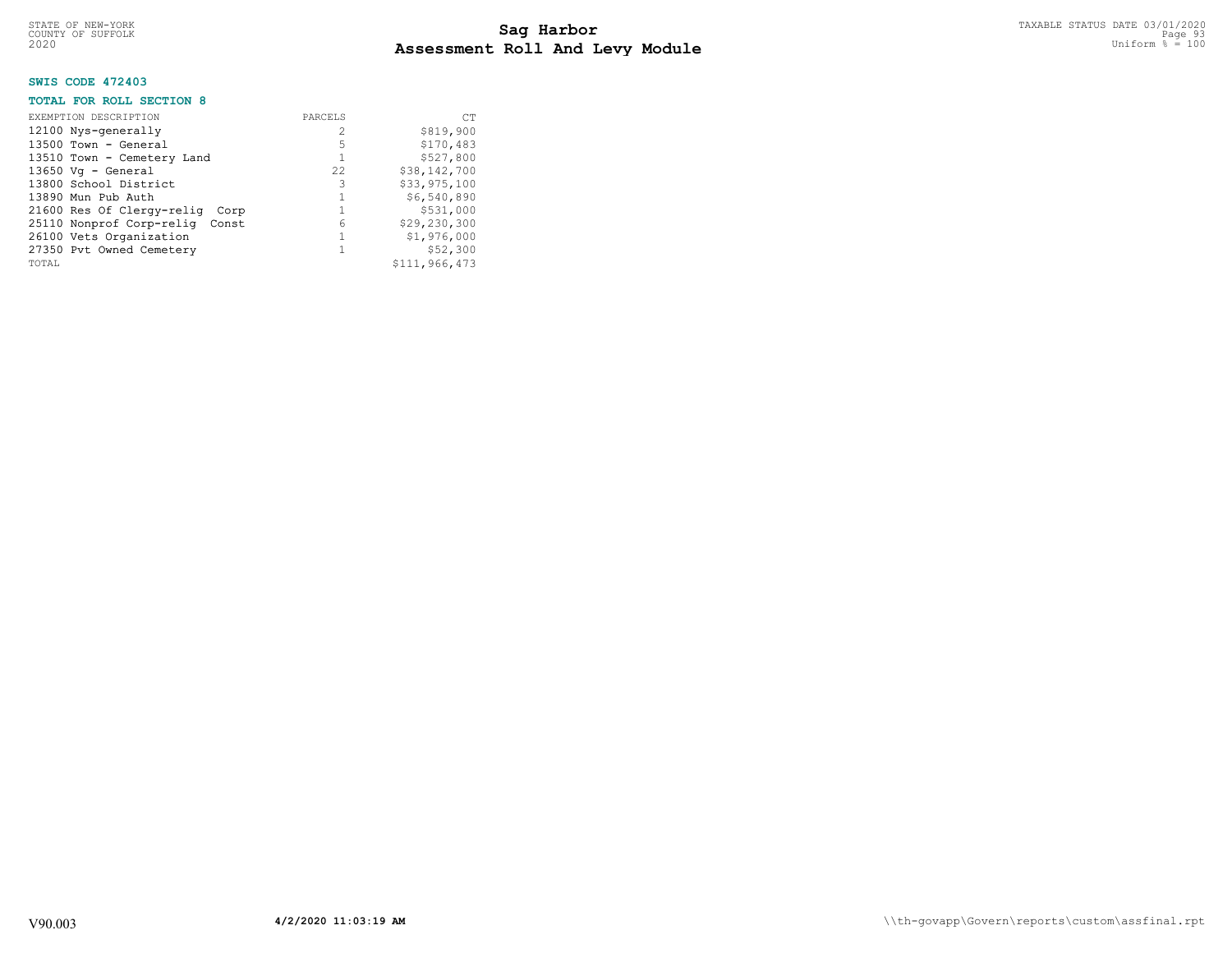### **SWIS CODE 472403**

### **TOTAL FOR ROLL SECTION 8**

| EXEMPTION DESCRIPTION<br>12100 Nys-generally<br>$13500$ Town - General<br>13510 Town - Cemetery Land<br>$13650$ Vq - General<br>13800 School District<br>13890 Mun Pub Auth<br>21600 Res Of Clergy-relig Corp<br>25110 Nonprof Corp-relig Const | PARCELS<br>2<br>5<br>22.2<br>3<br>6 | <b>CT</b><br>\$819,900<br>\$170,483<br>\$527,800<br>\$38,142,700<br>\$33,975,100<br>\$6,540,890<br>\$531,000<br>\$29,230,300 |
|-------------------------------------------------------------------------------------------------------------------------------------------------------------------------------------------------------------------------------------------------|-------------------------------------|------------------------------------------------------------------------------------------------------------------------------|
| 26100 Vets Organization<br>27350 Pvt Owned Cemetery                                                                                                                                                                                             |                                     | \$1,976,000<br>\$52,300                                                                                                      |
| TOTAL                                                                                                                                                                                                                                           |                                     | \$111,966,473                                                                                                                |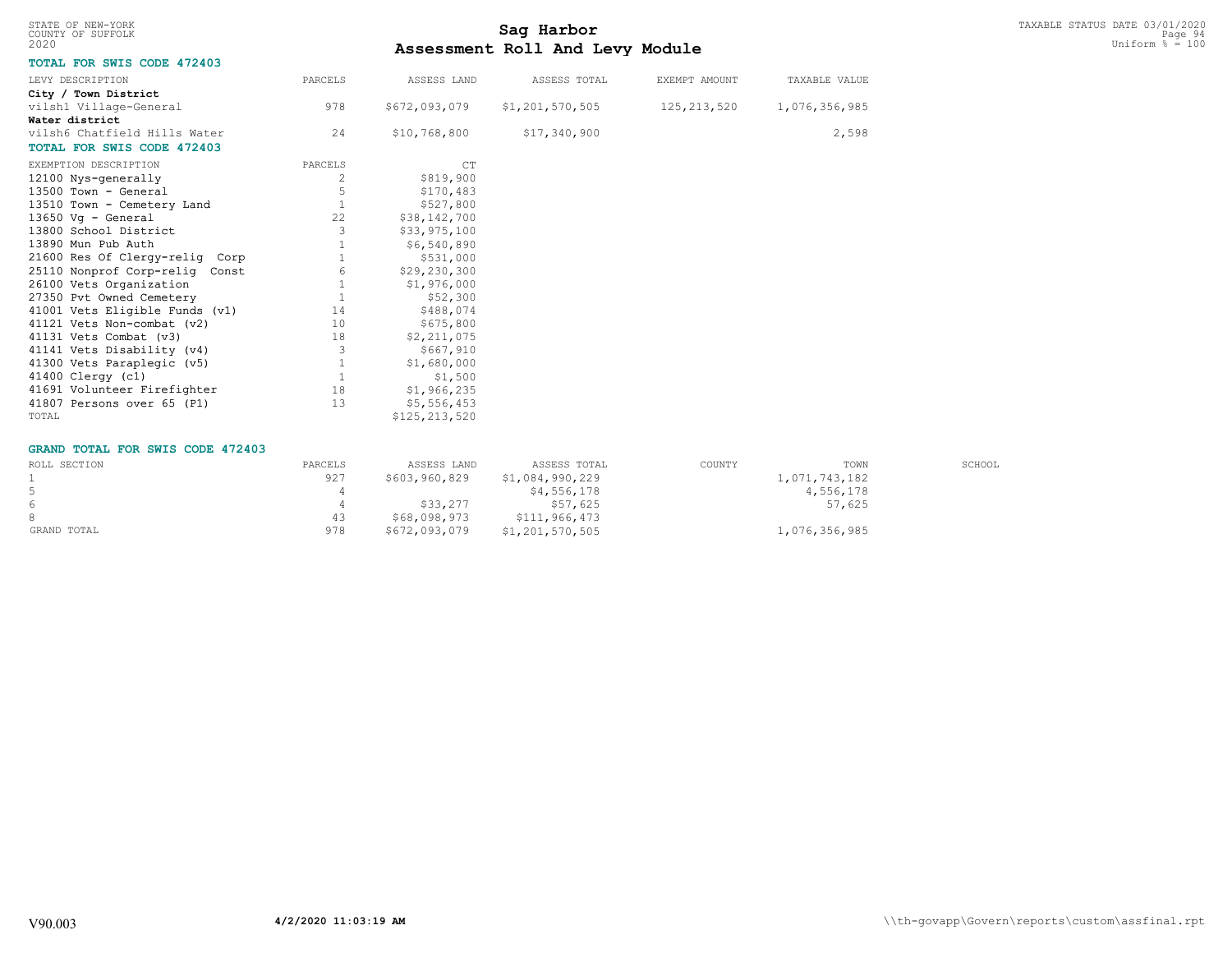| STATE OF NEW-YORK |  |  |
|-------------------|--|--|
| COUNTY OF SUFFOLK |  |  |
| 2020              |  |  |

# TAXABLE STATUS DATE 03/01/2020<br>COUNTY OF SUFFOLK Page 94 **Assessment Roll And Levy Module** 2020 Uniform % = 100

### **TOTAL FOR SWIS CODE 472403**

| LEVY DESCRIPTION                  | PARCELS | ASSESS LAND    | ASSESS TOTAL    | EXEMPT AMOUNT | TAXABLE VALUE |
|-----------------------------------|---------|----------------|-----------------|---------------|---------------|
| City / Town District              |         |                |                 |               |               |
| vilsh1 Village-General            | 978     | \$672,093,079  | \$1,201,570,505 | 125,213,520   | 1,076,356,985 |
| Water district                    |         |                |                 |               |               |
| vilsh6 Chatfield Hills Water      | 24      | \$10,768,800   | \$17,340,900    |               | 2,598         |
| <b>TOTAL FOR SWIS CODE 472403</b> |         |                |                 |               |               |
| EXEMPTION DESCRIPTION             | PARCELS | CT             |                 |               |               |
| 12100 Nys-generally               | 2       | \$819,900      |                 |               |               |
| 13500 Town - General              |         | \$170,483      |                 |               |               |
| 13510 Town - Cemetery Land        |         | \$527,800      |                 |               |               |
| 13650 Vg - General                | 22      | \$38,142,700   |                 |               |               |
| 13800 School District             | 3       | \$33,975,100   |                 |               |               |
| 13890 Mun Pub Auth                |         | \$6,540,890    |                 |               |               |
| 21600 Res Of Clergy-relig Corp    |         | \$531,000      |                 |               |               |
| 25110 Nonprof Corp-relig Const    | 6       | \$29, 230, 300 |                 |               |               |
| 26100 Vets Organization           |         | \$1,976,000    |                 |               |               |
| 27350 Pvt Owned Cemetery          |         | \$52,300       |                 |               |               |
| 41001 Vets Eligible Funds (v1)    | 14      | \$488,074      |                 |               |               |
| 41121 Vets Non-combat (v2)        | 10      | \$675,800      |                 |               |               |
| 41131 Vets Combat (v3)            | 18      | \$2,211,075    |                 |               |               |
| 41141 Vets Disability (v4)        | 3       | \$667,910      |                 |               |               |
| 41300 Vets Paraplegic (v5)        |         | \$1,680,000    |                 |               |               |
| 41400 Clergy (c1)                 |         | \$1,500        |                 |               |               |
| 41691 Volunteer Firefighter       | 18      | \$1,966,235    |                 |               |               |
| 41807 Persons over 65 (P1)        | 13      | \$5,556,453    |                 |               |               |
| TOTAL                             |         | \$125,213,520  |                 |               |               |

#### **GRAND TOTAL FOR SWIS CODE 472403**

| ROLL SECTION | PARCELS | ASSESS LAND   | ASSESS TOTAL    | COUNTY | TOWN          | SCHOOL |
|--------------|---------|---------------|-----------------|--------|---------------|--------|
|              | 927     | \$603,960,829 | \$1,084,990,229 |        | 1,071,743,182 |        |
| 5            |         |               | \$4,556,178     |        | 4,556,178     |        |
| 6            |         | \$33,277      | \$57,625        |        | 57,625        |        |
|              |         | \$68,098,973  | \$111,966,473   |        |               |        |
| GRAND TOTAL  | 978     | \$672,093,079 | \$1,201,570,505 |        | 1,076,356,985 |        |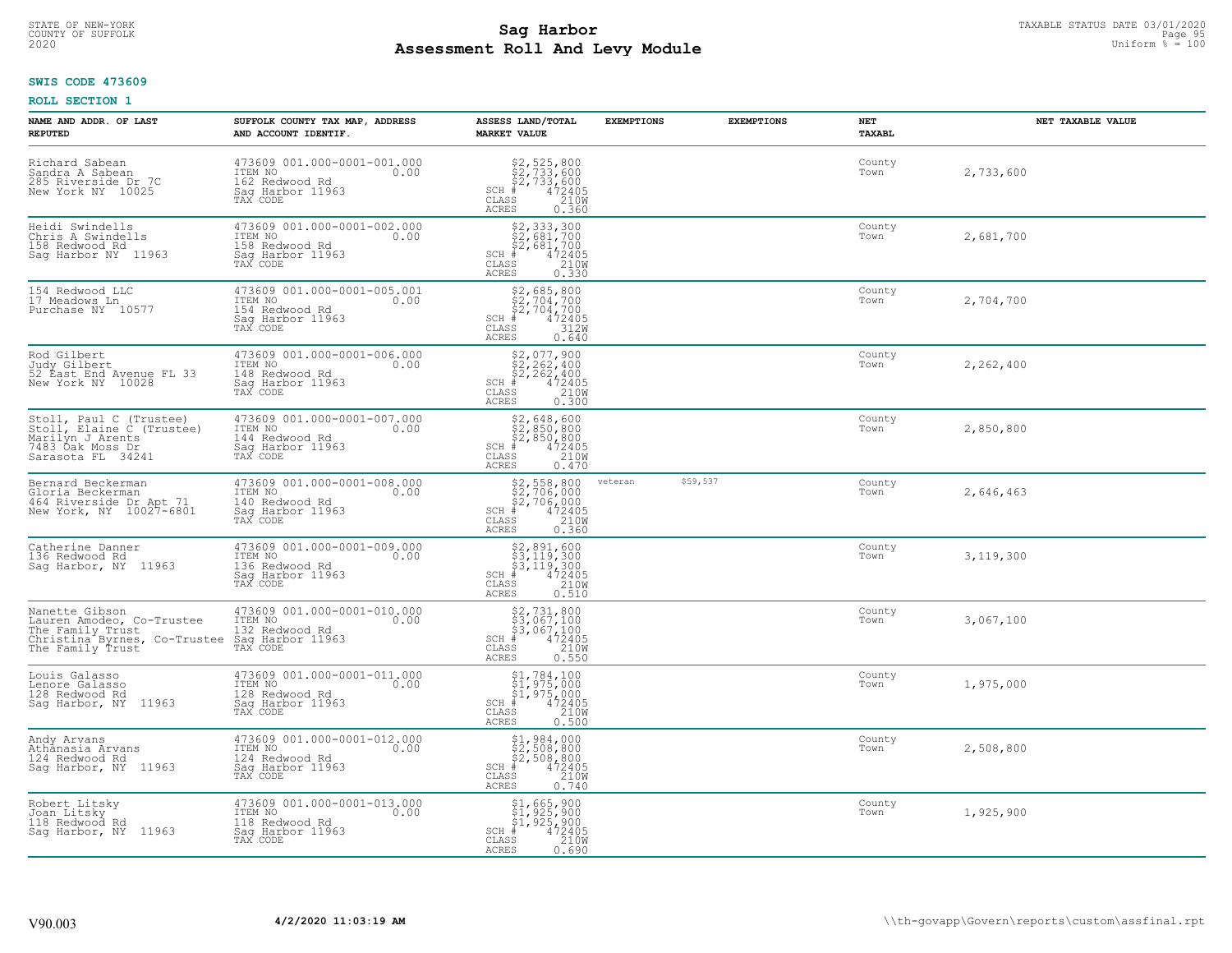# TAXABLE STATUS DATE 03/01/2020<br>COUNTY OF SUFFOLK Page 95 **Assessment Roll And Levy Module** 2020 Uniform % = 100

### **SWIS CODE 473609**

| NAME AND ADDR. OF LAST<br><b>REPUTED</b>                                                                                                                                     | SUFFOLK COUNTY TAX MAP, ADDRESS<br>AND ACCOUNT IDENTIF.                                                    | ASSESS LAND/TOTAL<br><b>MARKET VALUE</b>                                                                                                                                                                                             | <b>EXEMPTIONS</b> | <b>EXEMPTIONS</b> | NET<br>TAXABL  | NET TAXABLE VALUE |
|------------------------------------------------------------------------------------------------------------------------------------------------------------------------------|------------------------------------------------------------------------------------------------------------|--------------------------------------------------------------------------------------------------------------------------------------------------------------------------------------------------------------------------------------|-------------------|-------------------|----------------|-------------------|
| Richard Sabean<br>Sandra A Sabean<br>285 Riverside Dr 7C<br>New York NY 10025                                                                                                | 473609 001.000-0001-001.000<br>TTEM NO<br>162 Redwood Rd<br>162 Redwood Rd<br>Saq Harbor 11963<br>TAX CODE | \$2,525,800<br>\$2,733,600<br>\$2,733,600<br>#472405<br>$SCH$ #<br>CLASS<br>210W<br>ACRES<br>0.360                                                                                                                                   |                   |                   | County<br>Town | 2,733,600         |
| Heidi Swindells<br>Chris A Swindells<br>158 Redwood Rd<br>Sag Harbor NY 11963                                                                                                | 473609 001.000-0001-002.000<br>ITEM NO 0.00<br>158 Redwood Rd<br>Sag Harbor 11963<br>TAX CODE              | $\begin{array}{c} \texttt{\$2,333,300} \\ \texttt{\$2,681,700} \\ \texttt{SCH} \texttt{\$4,700} \\ \texttt{CLAS} \texttt{\$472405} \\ \texttt{CLAS} \texttt{\$210W} \\ \texttt{ACRES} \texttt{\$0.330} \end{array}$                  |                   |                   | County<br>Town | 2,681,700         |
| 154 Redwood LLC<br>17 Meadows Ln<br>Purchase NY 10577                                                                                                                        | 473609 001.000-0001-005.001<br>ITEM NO<br>154 Redwood Rd<br>0.00<br>Sag Harbor 11963<br>TAX CODE           | $\begin{array}{c} \texttt{S2,685,800} \\ \texttt{S2,704,700} \\ \texttt{SCH} & 472405 \\ \texttt{CLAS} & 472405 \\ \texttt{CLAS} & 0.640 \end{array}$<br>ACRES<br>0.640                                                              |                   |                   | County<br>Town | 2,704,700         |
| Rod Gilbert<br>Judy Gilbert<br>52 East End Avenue FL 33<br>New York NY 10028                                                                                                 | 473609 001.000-0001-006.000<br>ITEM NO 0.00<br>148 Redwood Rd<br>Sag Harbor 11963<br>TAX CODE              | $\begin{array}{c} \texttt{\$2,077,900} \\ \texttt{\$2,262,400} \\ \texttt{\$52,262,400} \\ \texttt{SCH} & 472405 \\ \texttt{\tiny CLASS} & 210W \\ \texttt{\tiny ACRES} & 0.300 \end{array}$                                         |                   |                   | County<br>Town | 2,262,400         |
| Stoll, Paul C (Trustee)<br>Stoll, Elaine C (Trustee)<br>Marilyn J Arents<br>Marilyn J Arents<br>Sarasota FL 34241                                                            | 473609 001.000-0001-007.000<br>ITEM NO<br>144 Redwood Rd<br>Saq Harbor 11963<br>TAX CODE                   | $$2,648,600$<br>$$2,850,800$<br>$$2,850,800$<br>SCH $\#$ 472405<br>CLASS 210W<br><b>ACRES</b><br>0.470                                                                                                                               |                   |                   | County<br>Town | 2,850,800         |
| Bernard Beckerman<br>Gloria Beckerman<br>464 Riverside Dr Apt 71<br>New York, NY 10027-6801                                                                                  | 473609 001.000-0001-008.000<br>ITEM NO 0.00<br>140 Redwood Rd<br>Sag Harbor 11963<br>TAX CODE              | $$2,558,800$<br>$$2,706,000$<br>$$2,706,000$<br>SCH $*$ 472405<br>CLASS 210M<br><b>ACRES</b><br>0.360                                                                                                                                | veteran           | \$59,537          | County<br>Town | 2,646,463         |
| Catherine Danner<br>136 Redwood Rd<br>Sag Harbor, NY 11963                                                                                                                   | 473609 001.000-0001-009.000<br>ITEM NO 0.00<br>136 Redwood Rd<br>Sag Harbor 11963<br>TAX CODE              | $$^{52}_{37}$ , $$^{119}_{300}$ , $$^{37}_{37}$ , $$^{119}_{300}$<br>$$^{53}_{37}$ , $$^{119}_{300}$<br>$$^{53}_{37}$ , $$^{119}_{32405}$<br>$$^{210}_{32408}$<br><b>ACRES</b><br>0.510                                              |                   |                   | County<br>Town | 3,119,300         |
| Nanette Gibson<br>Lauren Amodeo, Co-Trustee<br>The Family Trust<br>The Family Trust<br>Christina Byrnes, Co-Trustee Sag Harbor 11963<br>The Family Trust<br>The Family Trust | 473609 001.000-0001-010.000<br>ITEM NO<br>132 Redwood Rd                                                   | $S^2, 731, 800$<br>$S^3, 067, 100$<br>$SCH$ $\#$ 472405<br>CLASS 210M<br>ACRES<br>0.550                                                                                                                                              |                   |                   | County<br>Town | 3,067,100         |
| Louis Galasso<br>Lenore Galasso<br>128 Redwood Rd<br>Sag Harbor, NY 11963                                                                                                    | 473609 001.000-0001-011.000<br>ITEM NO 0.00<br>128 Redwood Rd<br>Sag Harbor 11963<br>TAX CODE              | $\begin{array}{c} \texttt{\$1,784,100} \\ \texttt{\$1,975,000} \\ \texttt{SCH} \texttt{\$1,975,000} \\ \texttt{SCH} \texttt{\$1,975,000} \\ \texttt{\$CLAS} \texttt{\$210W} \\ \texttt{ACRES} \texttt{\$0.500} \end{array}$<br>0.500 |                   |                   | County<br>Town | 1,975,000         |
| Andy Arvans<br>Sag Harbor, NY 11963                                                                                                                                          | 473609 001.000-0001-012.000<br>ITEM NO<br>124 Redwood Rd 0.00<br>Sag Harbor 11963<br>TAX CODE              | $$1, 984, 000$<br>$$2, 508, 800$<br>$$2, 508, 800$<br>sch # 472405<br>CLASS<br>210W<br>ACRES<br>0.740                                                                                                                                |                   |                   | County<br>Town | 2,508,800         |
| Robert Litsky<br>Joan Litsky<br>118 Redwood Rd<br>Sag Harbor, NY 11963                                                                                                       | 473609 001.000-0001-013.000<br>ITEM NO 0.00<br>118 Redwood Rd<br>Sag Harbor 11963<br>TAX CODE              | $$1, 665, 900$<br>$$1, 925, 900$<br>$$1, 925, 900$<br>$$472405$<br>$SCH$ #<br>CLASS<br>210W<br>ACRES<br>0.690                                                                                                                        |                   |                   | County<br>Town | 1,925,900         |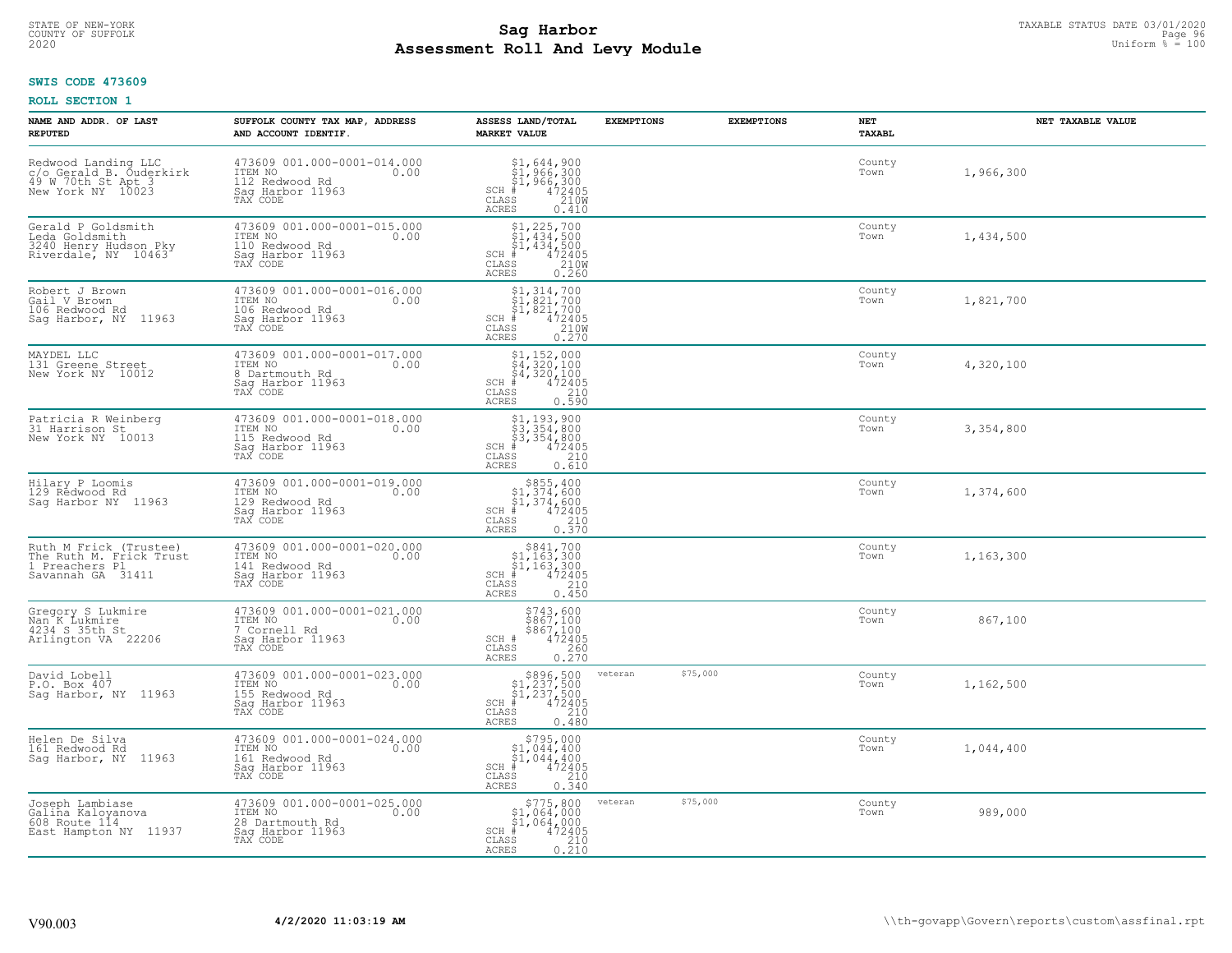# TAXABLE STATUS DATE 03/01/2020<br>COUNTY OF SUFFOLK Page 96 Page 96 **Assessment Roll And Levy Module** 2020 Uniform % = 100

### **SWIS CODE 473609**

| NAME AND ADDR. OF LAST<br><b>REPUTED</b>                                                  | SUFFOLK COUNTY TAX MAP, ADDRESS<br>AND ACCOUNT IDENTIF.                                           | ASSESS LAND/TOTAL<br><b>MARKET VALUE</b>                                                                                                     | <b>EXEMPTIONS</b>   | <b>EXEMPTIONS</b> | NET<br><b>TAXABL</b> | NET TAXABLE VALUE |
|-------------------------------------------------------------------------------------------|---------------------------------------------------------------------------------------------------|----------------------------------------------------------------------------------------------------------------------------------------------|---------------------|-------------------|----------------------|-------------------|
| Redwood Landing LLC<br>c/o Gerald B. Ouderkirk<br>49 W 70th St Apt 3<br>New York NY 10023 | 473609 001.000-0001-014.000<br>ITEM NO<br>0.00<br>112 Redwood Rd<br>Saq Harbor 11963<br>TAX CODE  | $\begin{array}{l} $1,644,900\\ $1,966,300\\ $1,966,300\\ *\\ 2405\\ *\\ 210M\\ *\\ \end{array}$<br>$SCH$ #<br>CLASS<br><b>ACRES</b><br>0.410 |                     |                   | County<br>Town       | 1,966,300         |
| Gerald P Goldsmith<br>Leda Goldsmith<br>3240 Henry Hudson Pky<br>Riverdale, NY 10463      | 473609 001.000-0001-015.000<br>ITEM NO<br>0.00<br>110 Redwood Rd<br>Sag Harbor 11963<br>TAX CODE  | $$1, 225, 700$<br>$$1, 434, 500$<br>$$1, 434, 500$<br>$SCH$ #<br>$\frac{472405}{210}$<br>CLASS<br><b>ACRES</b><br>0.260                      |                     |                   | County<br>Town       | 1,434,500         |
| Robert J Brown<br>Gail V Brown<br>106 Redwood Rd<br>Saq Harbor, NY 11963                  | 473609 001.000-0001-016.000<br>ITEM NO<br>0.00<br>106 Redwood Rd<br>Sag Harbor 11963<br>TAX CODE  | $$1,314,700$<br>$$1,821,700$<br>$$1,821,700$<br>$*$<br>$472405$<br>$*$<br>$2100$<br>$SCH$ #<br>CLASS<br>0.270<br>ACRES                       |                     |                   | County<br>Town       | 1,821,700         |
| MAYDEL LLC<br>131 Greene Street<br>New York NY 10012                                      | 473609 001.000-0001-017.000<br>ITEM NO<br>0.00<br>8 Dartmouth Rd<br>Saq Harbor 11963<br>TAX CODE  | $$4, 152, 000$<br>$$4, 320, 100$<br>$$4, 320, 100$<br>$$4, 320, 100$<br>$$4, 2405$<br>$SCH$ #<br>CLASS<br>210<br>ACRES<br>0.590              |                     |                   | County<br>Town       | 4,320,100         |
| Patricia R Weinberg<br>31 Harrison St<br>New York NY 10013                                | 473609 001.000-0001-018.000<br>ITEM NO<br>0.00<br>115 Redwood Rd<br>Saq Harbor 11963<br>TAX CODE  | $$3,354,800$<br>$$3,354,800$<br>$$3,354,800$<br>$472405$<br>$$2,10$<br>$$2,10$<br>SCH #<br>CLASS<br><b>ACRES</b><br>0.610                    |                     |                   | County<br>Town       | 3,354,800         |
| Hilary P Loomis<br>129 Redwood Rd<br>Saq Harbor NY 11963                                  | 473609 001.000-0001-019.000<br>ITEM NO<br>0.00<br>129 Redwood Rd<br>Sag Harbor 11963<br>TAX CODE  | $$855, 400$<br>$$1, 374, 600$<br>$$1, 374, 600$<br>$$472405$<br>SCH #<br>CLASS<br>210<br>0.370<br><b>ACRES</b>                               |                     |                   | County<br>Town       | 1,374,600         |
| Ruth M Frick (Trustee)<br>The Ruth M. Frick Trust<br>1 Preachers Pl<br>Savannah GA 31411  | 473609 001.000-0001-020.000<br>ITEM NO<br>0.00<br>141 Redwood Rd<br>Sag Harbor 11963<br>TAX CODE  | $\begin{array}{c} $841,700 $1,163,300 $1,163,300 # 472405 \end{array}$<br>$SCH$ #<br>CLASS<br>210<br>0.450<br><b>ACRES</b>                   |                     |                   | County<br>Town       | 1,163,300         |
| Gregory S Lukmire<br>Nan K Lukmire<br>4234 S 35th St<br>Arlington VA 22206                | 473609 001.000-0001-021.000<br>TTEM NO 0.00<br>7 Cornell Rd<br>Saq Harbor 11963<br>TAX CODE       | \$743,600<br>\$867,100<br>\$867,100<br>472405<br>SCH #<br>CLASS<br>0.260<br>ACRES                                                            |                     |                   | County<br>Town       | 867,100           |
| David Lobell<br>P.O. Box 407<br>Sag Harbor, NY 11963                                      | 473609 001.000-0001-023.000<br>TTEM NO 0.00<br>155 Redwood Rd<br>Saq Harbor 11963<br>TAX CODE     | $$896,500$<br>$$1,237,500$<br>$$1,237,500$<br>$472405$<br>$35$<br>$$240$<br>$SCH$ #<br>CLASS<br><b>ACRES</b><br>0.480                        | \$75,000<br>veteran |                   | County<br>Town       | 1,162,500         |
| Helen De Silva<br>161 Redwood Rd<br>Sag Harbor, NY 11963                                  | 473609 001.000-0001-024.000<br>ITEM NO<br>0.00<br>161 Redwood Rd<br>Sag Harbor 11963<br>TAX CODE  | $$795,000$<br>$$1,044,400$<br>$$1,044,400$<br>$$1,044,400$<br>$\frac{472405}{210}$<br>$SCH$ #<br>CLASS<br><b>ACRES</b><br>0.340              |                     |                   | County<br>Town       | 1,044,400         |
| Joseph Lambiase<br>Galiña Kaloyanova<br>608 Route 114<br>East Hampton NY 11937            | 473609 001.000-0001-025.000<br>ITEM NO<br>0.00<br>28 Dartmouth Rd<br>Sag Harbor 11963<br>TAX CODE | $\begin{array}{c} $775,800 \\ $1,064,000 \\ $1,064,000 \end{array}$<br>SCH #<br>472405<br>CLASS<br>$\frac{210}{0.210}$<br><b>ACRES</b>       | \$75,000<br>veteran |                   | County<br>Town       | 989,000           |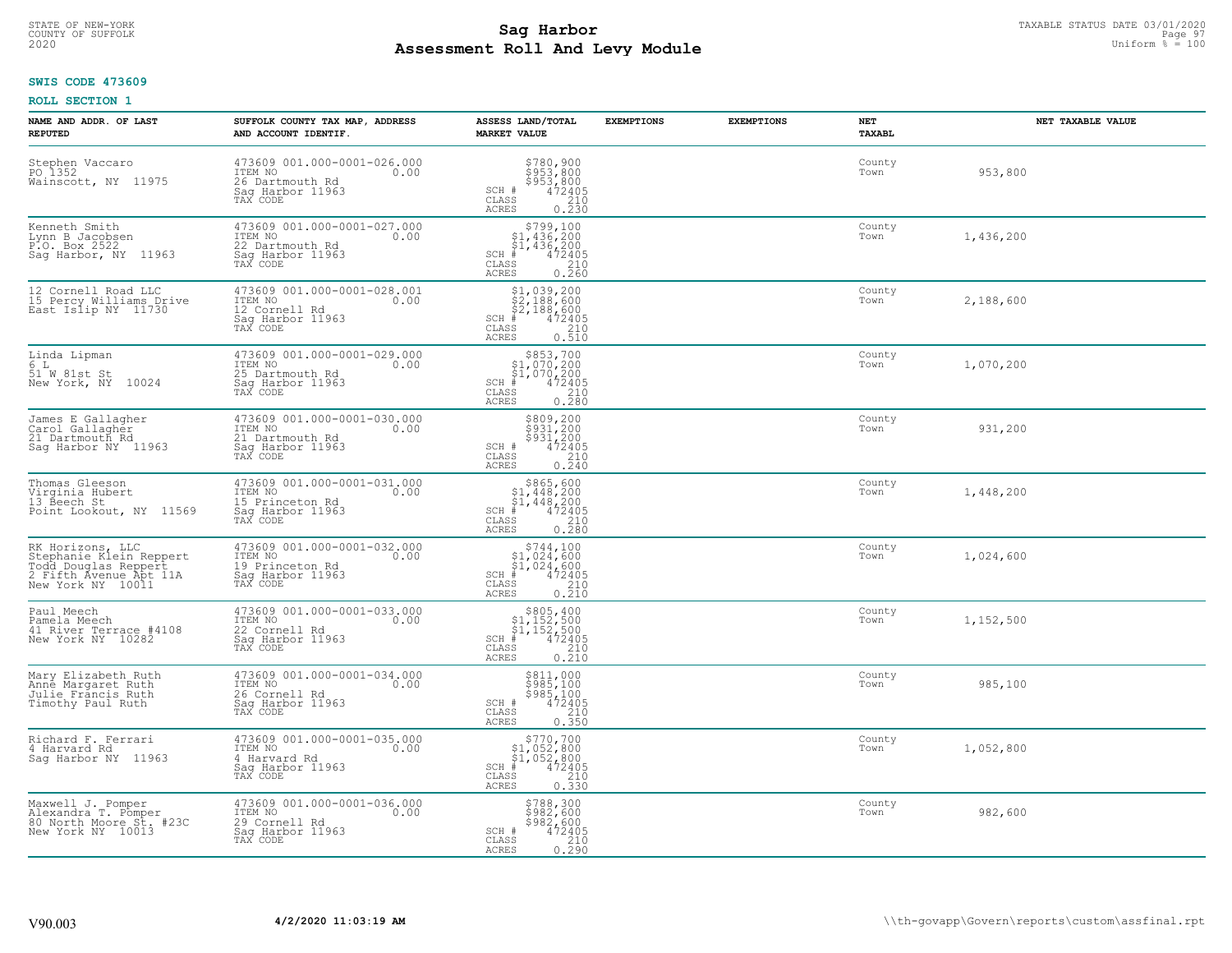# TAXABLE STATUS DATE 03/01/2020<br>COUNTY OF SUFFOLK Page 97 **Assessment Roll And Levy Module** 2020 Uniform % = 100

### **SWIS CODE 473609**

| NAME AND ADDR. OF LAST<br><b>REPUTED</b>                                                                           | SUFFOLK COUNTY TAX MAP, ADDRESS<br>AND ACCOUNT IDENTIF.                                              | ASSESS LAND/TOTAL<br><b>MARKET VALUE</b>                                                                                                                     | <b>EXEMPTIONS</b> | <b>EXEMPTIONS</b> | NET<br><b>TAXABL</b> | NET TAXABLE VALUE |
|--------------------------------------------------------------------------------------------------------------------|------------------------------------------------------------------------------------------------------|--------------------------------------------------------------------------------------------------------------------------------------------------------------|-------------------|-------------------|----------------------|-------------------|
| Stephen Vaccaro<br>PO 1352<br>Wainscott, NY 11975                                                                  | 473609 001.000-0001-026.000<br>10.00 0.00<br>0.00<br>26 Dartmouth Rd<br>Sag Harbor 11963<br>TAX CODE | \$780,900<br>\$953,800<br>\$953,800<br>\$953,800<br>SCH #<br>CLASS<br>$\begin{array}{c} 210 \\ 0.230 \end{array}$<br><b>ACRES</b>                            |                   |                   | County<br>Town       | 953,800           |
| Kenneth Smith<br>Lynn B Jacobsen<br>P:O. Box 2522<br>Sag Harbor, NY 11963                                          | 473609 001.000-0001-027.000<br>ITEM NO<br>0.00<br>22 Dartmouth Rd<br>Sag Harbor 11963<br>TAX CODE    | $\begin{array}{c} $799,100 \\ $1,436,200 \\ $1,436,200 \end{array}$<br>$\frac{47\overline{2}\overline{405}}{210}$<br>SCH #<br>CLASS<br><b>ACRES</b><br>0.260 |                   |                   | County<br>Town       | 1,436,200         |
| 12 Cornell Road LLC<br>15 Percy Williams Drive<br>East Islip NY 11730                                              | 473609 001.000-0001-028.001<br>ITEM NO<br>0.00<br>12 Cornell Rd<br>Sag Harbor 11963<br>TAX CODE      | $$2,188,600$<br>$$2,188,600$<br>$$2,188,600$<br>$472405$<br>$$2,188$<br>$$2,10$<br>$SCH$ #<br>CLASS<br><b>ACRES</b><br>0.510                                 |                   |                   | County<br>Town       | 2,188,600         |
| Linda Lipman<br>6 L<br>51 W 81st St<br>New York, NY 10024                                                          | 473609 001.000-0001-029.000<br>ITEM NO<br>0.00<br>25 Dartmouth Rd<br>Saq Harbor 11963<br>TAX CODE    | $$853,700$<br>$$1,070,200$<br>$$1,070,200$<br>$SCH$ $#$<br>472405<br>CLASS<br>$\frac{210}{0.280}$<br><b>ACRES</b>                                            |                   |                   | County<br>Town       | 1,070,200         |
| James E Gallagher<br>Carol Gallagher<br>21 Dartmouth Rd<br>Saq Harbor NY 11963                                     | 473609 001.000-0001-030.000<br>ITEM NO<br>0.00<br>21 Dartmouth Rd<br>Saq Harbor 11963<br>TAX CODE    | \$809,200<br>\$931,200<br>\$931,200<br>472405<br>SCH #<br>CLASS<br>$\frac{210}{0.240}$<br><b>ACRES</b>                                                       |                   |                   | County<br>Town       | 931,200           |
| Thomas Gleeson<br>Virginia Hubert<br>13 Beech St<br>Point Lookout, NY 11569                                        | 473609 001.000-0001-031.000<br>ITEM NO<br>0.00<br>15 Princeton Rd<br>Sag Harbor 11963<br>TAX CODE    | $$865,600$<br>$$1,448,200$<br>$$1,448,200$<br>$472405$<br>$$210$<br>SCH #<br>CLASS<br>0.280<br><b>ACRES</b>                                                  |                   |                   | County<br>Town       | 1,448,200         |
| RK Horizons, LLC<br>Stephanie Klein Reppert<br>rodd Douglas Reppert<br>2 Fifth Avenue Apt 11A<br>New York NY 10011 | 473609 001.000-0001-032.000<br>ITEM NO<br>0.00<br>19 Princeton Rd<br>Sag Harbor 11963<br>TAX CODE    | $$744,100$<br>$$1,024,600$<br>$$1,024,600$<br>$$472405$<br>SCH #<br>CLASS<br>$\frac{210}{0.210}$<br><b>ACRES</b>                                             |                   |                   | County<br>Town       | 1,024,600         |
| Paul Meech<br>Pamela Meech<br>41 River Terrace #4108<br>New York NY 10282                                          | 473609 001.000-0001-033.000<br>TTEM NO 0.00<br>22 Cornell Rd<br>Saq Harbor 11963<br>TAX CODE         | $$805, 400$<br>$$1, 152, 500$<br>$$1, 152, 500$<br>$*$<br>$*$<br>$*$<br>$*$<br>$*$<br>$SCH$ #<br>CLASS<br>210<br><b>ACRES</b><br>0.210                       |                   |                   | County<br>Town       | 1,152,500         |
| Mary Elizabeth Ruth<br>Anne Margaret Ruth<br>Julie Fráncis Ruth<br>Timothy Paul Ruth                               | 473609 001.000-0001-034.000<br>ITEM NO 0.00<br>26 Cornell Rd<br>Saq Harbor 11963<br>TAX CODE         | \$811,000<br>\$985,100<br>\$985,100<br>472405<br>210<br>SCH #<br>CLASS<br>0.350<br><b>ACRES</b>                                                              |                   |                   | County<br>Town       | 985,100           |
| Richard F. Ferrari<br>4 Harvard Rd<br>Saq Harbor NY 11963                                                          | 473609 001.000-0001-035.000<br>ITEM NO<br>0.00<br>4 Harvard Rd<br>Sag Harbor 11963<br>TAX CODE       | \$770,700<br>$$1,052,800$<br>$$1,052,800$<br>$*$ 472405<br>$\frac{1}{210}$<br>$SCH$ #<br>CLASS<br>0.330<br><b>ACRES</b>                                      |                   |                   | County<br>Town       | 1,052,800         |
| Maxwell J. Pomper<br>Alexandra T. Pomper<br>80 North Moore St. #23C<br>New York NY 10013                           | 473609 001.000-0001-036.000<br>ITEM NO<br>0.00<br>29 Cornell Rd<br>Sag Harbor 11963<br>TAX CODE      | \$788,300<br>\$982,600<br>\$982,600<br>SCH #<br>472405<br>CLASS<br>$\frac{210}{0.290}$<br><b>ACRES</b>                                                       |                   |                   | County<br>Town       | 982,600           |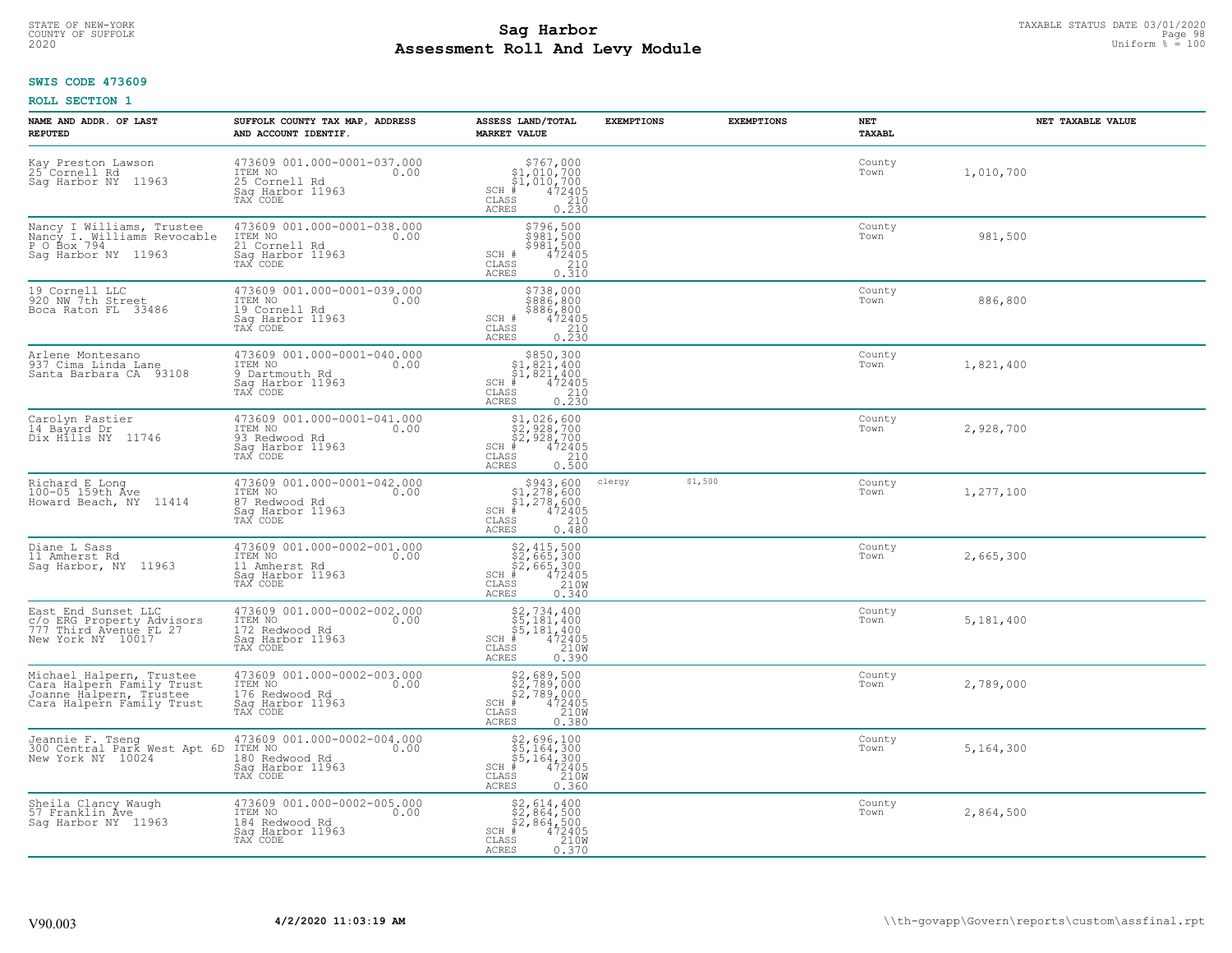# TAXABLE STATUS DATE 03/01/2020<br>COUNTY OF SUFFOLK Page 98 Page 98 **Assessment Roll And Levy Module** 2020 Uniform % = 100

### **SWIS CODE 473609**

| NAME AND ADDR. OF LAST<br><b>REPUTED</b>                                                                      | SUFFOLK COUNTY TAX MAP, ADDRESS<br>AND ACCOUNT IDENTIF.                                          | ASSESS LAND/TOTAL<br><b>MARKET VALUE</b>                                                                                                                                                    | <b>EXEMPTIONS</b> | <b>EXEMPTIONS</b> | NET<br>TAXABL  | NET TAXABLE VALUE |
|---------------------------------------------------------------------------------------------------------------|--------------------------------------------------------------------------------------------------|---------------------------------------------------------------------------------------------------------------------------------------------------------------------------------------------|-------------------|-------------------|----------------|-------------------|
| Kay Preston Lawson<br>25 Cornell Rd<br>11963<br>Saq Harbor NY                                                 | 473609 001.000-0001-037.000<br>ITEM NO<br>0.00<br>25 Cornell Rd<br>Saq Harbor 11963<br>TAX CODE  | $SCH$ #<br>CLASS<br><b>ACRES</b><br>0.230                                                                                                                                                   |                   |                   | County<br>Town | 1,010,700         |
| Nancy I Williams, Trustee<br>Nancy I. Williams Revocable<br>P O Box 794<br>Sag Harbor NY 11963                | 473609 001.000-0001-038.000<br>ITEM NO<br>0.00<br>21 Cornell Rd<br>Sag Harbor 11963<br>TAX CODE  | \$796,500<br>\$981,500<br>\$981,500<br>472405<br>SCH #<br>CLASS<br>$\frac{210}{0.310}$<br>ACRES                                                                                             |                   |                   | County<br>Town | 981,500           |
| 19 Cornell LLC<br>920 NW 7th Street<br>Boca Raton FL 33486                                                    | 473609 001.000-0001-039.000<br>ITEM NO<br>0.00<br>19 Cornell Rd<br>Saq Harbor 11963<br>TAX CODE  | \$738,000<br>\$886,800<br>\$886, 800<br>SCH #<br>$\begin{smallmatrix} 472405\ 210\ 2.30 \end{smallmatrix}$<br>CLASS<br><b>ACRES</b>                                                         |                   |                   | County<br>Town | 886,800           |
| Arlene Montesano<br>937 Cima Linda Lane<br>Santa Barbara CA 93108                                             | 473609 001.000-0001-040.000<br>ITEM NO<br>0.00<br>9 Dartmouth Rd<br>Saq Harbor 11963<br>TAX CODE | $$850, 300$<br>$$1, 821, 400$<br>$\frac{5}{7}$ , $\frac{8}{2}$ , $\frac{1}{4}$ , $\frac{1}{4}$<br>$SCH$ #<br>$\begin{array}{r} 472405 \\ 210 \\ 0.230 \end{array}$<br>CLASS<br><b>ACRES</b> |                   |                   | County<br>Town | 1,821,400         |
| Carolyn Pastier<br>14 Bayard Dr<br>Dix Hills NY 11746                                                         | 473609 001.000-0001-041.000<br>ITEM NO<br>0.00<br>93 Redwood Rd<br>Sag Harbor 11963<br>TAX CODE  | \$1,026,600<br>32,928,700<br>\$2,928,700<br>\$2,928,700<br>\$5 210<br>\$5 2500<br>$SCH$ #<br>CLASS<br>ACRES                                                                                 |                   |                   | County<br>Town | 2,928,700         |
| Richard E Long<br>100-05 159th Ave<br>Howard Beach, NY 11414                                                  | 473609 001.000-0001-042.000<br>ITEM NO<br>0.00<br>87 Redwood Rd<br>Sag Harbor 11963<br>TAX CODE  | $$943,600$<br>$$1,278,600$<br>$$1,278,600$<br>$$472405$<br>$SCH$ #<br>CLASS<br>210<br><b>ACRES</b><br>0.480                                                                                 | clergy            | \$1,500           | County<br>Town | 1,277,100         |
| Diane L Sass<br>11 Amherst Rd<br>Saq Harbor, NY 11963                                                         | 473609 001.000-0002-001.000<br>ITEM NO<br>0.00<br>11 Amherst Rd<br>Saq Harbor 11963<br>TAX CODE  | \$2,415,500<br>\$2,665,300<br>\$2,665,300<br>#472405<br>$SCH$ #<br>CLASS<br>210W<br><b>ACRES</b><br>0.340                                                                                   |                   |                   | County<br>Town | 2,665,300         |
| East End Sunset LLC<br>c/o ERG Property Advisors<br>777 Third Avenue FL 27<br>New York NY 10017               | 473609 001.000-0002-002.000<br>TTEM NO 0.00<br>172 Redwood Rd<br>Saq Harbor 11963<br>TAX CODE    | $SCH$ #<br>CLASS<br>ACRES                                                                                                                                                                   |                   |                   | County<br>Town | 5,181,400         |
| Michael Halpern, Trustee<br>Cara Halpern Family Trust<br>Joanne Halpern, Trustee<br>Cara Halpern Family Trust | 473609 001.000-0002-003.000<br>ITEM NO<br>0.00<br>176 Redwood Rd<br>Saq Harbor 11963<br>TAX CODE | \$2,689,500<br>\$2,789,000<br>\$2,789,000<br>$SCH$ #<br>472405<br>210W<br>CLASS<br><b>ACRES</b><br>0.380                                                                                    |                   |                   | County<br>Town | 2,789,000         |
| Jeannie F. Tseng<br>300 Central Park West Apt 6D<br>New York NY 10024                                         | 473609 001.000-0002-004.000<br>ITEM NO<br>0.00<br>180 Redwood Rd<br>Sag Harbor 11963<br>TAX CODE | \$2,696,100<br>\$5,164,300<br>\$5,164,300<br>#472405<br>$SCH$ #<br>210W<br>CLASS<br><b>ACRES</b><br>0.360                                                                                   |                   |                   | County<br>Town | 5,164,300         |
| Sheila Clancy Waugh<br>57 Franklin Ave<br>Saq Harbor NY 11963                                                 | 473609 001.000-0002-005.000<br>ITEM NO<br>0.00<br>184 Redwood Rd<br>Saq Harbor 11963<br>TAX CODE | $$2, 614, 400$<br>$$2, 864, 500$<br>$$2, 864, 500$<br>472405<br>$SCH$ #<br>CLASS<br>210W<br>ACRES<br>0.370                                                                                  |                   |                   | County<br>Town | 2,864,500         |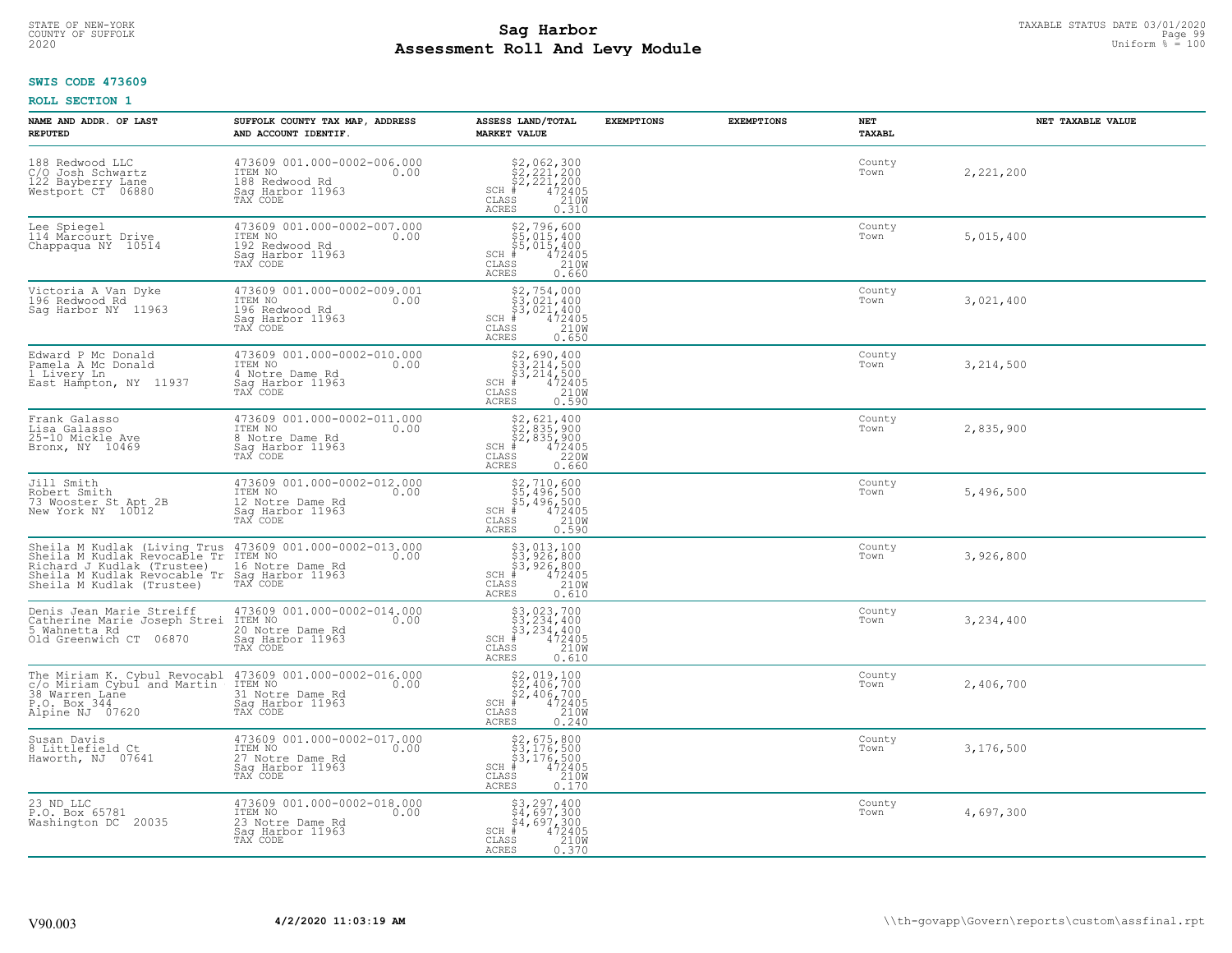# TAXABLE STATUS DATE 03/01/2020<br>COUNTY OF SUFFOLK Page 99 **Assessment Roll And Levy Module** 2020 Uniform % = 100

### **SWIS CODE 473609**

| NAME AND ADDR. OF LAST<br><b>REPUTED</b>                                                                                                                                                                                                            | SUFFOLK COUNTY TAX MAP, ADDRESS<br>AND ACCOUNT IDENTIF.                                            | ASSESS LAND/TOTAL<br><b>MARKET VALUE</b>                                                                                                                                                                                                                                                                                                                                                                                            | <b>EXEMPTIONS</b> | <b>EXEMPTIONS</b> | NET<br>TAXABL  | NET TAXABLE VALUE |
|-----------------------------------------------------------------------------------------------------------------------------------------------------------------------------------------------------------------------------------------------------|----------------------------------------------------------------------------------------------------|-------------------------------------------------------------------------------------------------------------------------------------------------------------------------------------------------------------------------------------------------------------------------------------------------------------------------------------------------------------------------------------------------------------------------------------|-------------------|-------------------|----------------|-------------------|
| 188 Redwood LLC<br>C/O Josh Schwartz<br>122 Bayberry Lane<br>Westport CT 06880                                                                                                                                                                      | 473609 001.000-0002-006.000<br>ITEM NO<br>0.00<br>188 Redwood Rd<br>Sag Harbor 11963<br>TAX CODE   | $$2,062,300\n$2,221,200\n$2,221,200\n# 472405\n85\n210M$<br>$SCH$ #<br>CLASS<br>ACRES<br>0.310                                                                                                                                                                                                                                                                                                                                      |                   |                   | County<br>Town | 2,221,200         |
| Lee Spiegel<br>114 Marcourt Drive<br>Chappaqua NY 10514                                                                                                                                                                                             | 473609 001.000-0002-007.000<br>ITEM NO<br>0.00<br>192 Redwood Rd<br>Sag Harbor 11963<br>TAX CODE   | $$52,796,600$<br>$$5,015,400$<br>$$4,2405$<br>$$4,2405$<br>$$210M$<br>$$210M$<br>SCH #<br>CLASS<br><b>ACRES</b><br>0.660                                                                                                                                                                                                                                                                                                            |                   |                   | County<br>Town | 5,015,400         |
| Victoria A Van Dyke<br>196 Redwood Rd<br>Saq Harbor NY 11963                                                                                                                                                                                        | 473609 001.000-0002-009.001<br>ITEM NO<br>0.00<br>196 Redwood Rd<br>Sag Harbor 11963<br>TAX CODE   | $$2,754,000\n$3,021,400\n$3,021,400\n# 472405\n$210M\n$5\n210M$<br>$SCH$ #<br>CLASS<br><b>ACRES</b><br>0.650                                                                                                                                                                                                                                                                                                                        |                   |                   | County<br>Town | 3,021,400         |
| Edward P Mc Donald<br>Pamela A Mc Donald<br>1 Livery Ln<br>East Hampton, NY 11937                                                                                                                                                                   | 473609 001.000-0002-010.000<br>ITEM NO<br>0.00<br>4 Notre Dame Rd<br>Saq Harbor 11963<br>TAX CODE  | $\begin{array}{c} \text{\$2,690,400} \\ \text{\$3,214,500} \\ \text{\$3,214,500} \\ \text{\$4,72405} \\ \text{\$8$} \\ \text{\$8$} \\ \text{\$8$} \\ \text{\$8$} \\ \text{\$8$} \\ \text{\$8$} \\ \text{\$9$} \\ \text{\$10W} \\ \text{\$11$} \\ \text{\$1200} \\ \text{\$13$} \\ \text{\$14,72405} \\ \text{\$160} \\ \text{\$18$} \\ \text{\$190} \\ \text{\$190} \\ \text{\$190} \\ \text{\$<br>$SCH$ #<br>CLASS<br><b>ACRES</b> |                   |                   | County<br>Town | 3, 214, 500       |
| Frank Galasso<br>Lisa Galasso<br>25-10 Mickle Ave<br>Bronx, NY 10469                                                                                                                                                                                | 473609 001.000-0002-011.000<br>ITEM NO<br>0.00<br>8 Notre Dame Rd<br>Sag Harbor 11963<br>TAX CODE  | $$2, 621, 400$<br>$$2, 835, 900$<br>$$2, 835, 900$<br>$$472405$<br>$$220M$<br>$SCH$ #<br>CLASS<br>ACRES<br>0.660                                                                                                                                                                                                                                                                                                                    |                   |                   | County<br>Town | 2,835,900         |
| Jill Smith<br>Robert Smith<br>73 Wooster St Apt 2B<br>New York NY 10012                                                                                                                                                                             | 473609 001.000-0002-012.000<br>ITEM NO 0.00<br>12 Notre Dame Rd<br>Sag Harbor 11963<br>TAX CODE    | \$2,710,600<br>\$5,496,500<br>\$5,496,500<br># 472405<br>\$5 2108<br>$SCH$ #<br>CLASS<br><b>ACRES</b><br>0.590                                                                                                                                                                                                                                                                                                                      |                   |                   | County<br>Town | 5,496,500         |
| Sheila M Kudlak (Living Trus 473609 001.000-0002-013.000<br>Sheila M Kudlak Revocable Tr ITEM NO 0002-013.000<br>Richard J Kudlak (Trustee) 16 Notre Dame Rd<br>Sheila M Kudlak Revocable Tr Sag Harbor 11963<br>Sheila M Kudlak (Trustee) TAX CODE |                                                                                                    | \$3,013,100<br>\$3,926,800<br>\$3,926,800<br># 472405<br>\$5 210M<br>$SCH$ #<br>CLASS<br><b>ACRES</b><br>0.610                                                                                                                                                                                                                                                                                                                      |                   |                   | County<br>Town | 3,926,800         |
| Denis Jean Marie Streiff<br>Catherine Marie Joseph Strei<br>5 Wahnetta Rd<br>Old Greenwich CT 06870                                                                                                                                                 | 473609 001.000-0002-014.000<br>ITEM NO 0.00<br>20 Notre Dame Rd<br>Sag Harbor 11963<br>TAX CODE    | \$3,023,700<br>\$3,234,400<br>\$3,234,400<br>#472405<br>\$5,210M<br>$SCH$ #<br>CLASS<br>ACRES<br>0.610                                                                                                                                                                                                                                                                                                                              |                   |                   | County<br>Town | 3,234,400         |
| The Miriam K. Cybul Revocabl<br>c/o Miriam Cybul and Martin<br>38 Warren Lane<br>P.O. Box 344<br>Alpine NJ 07620                                                                                                                                    | 473609 001.000-0002-016.000<br>TTEM NO<br>31 Notre Dame Rd<br>Saq Harbor 11963<br>TAX CODE<br>0.00 | $$2,019,100\n$2,406,700\n$2,406,700\n# 472405\n85\n210M$<br>$SCH$ #<br>CLASS<br><b>ACRES</b><br>0.240                                                                                                                                                                                                                                                                                                                               |                   |                   | County<br>Town | 2,406,700         |
| Susan Davis<br>8 Littlefield Ct<br>Haworth, NJ 07641                                                                                                                                                                                                | 473609 001.000-0002-017.000<br>ITEM NO<br>0.00<br>27 Notre Dame Rd<br>Saq Harbor 11963<br>TAX CODE | \$2,675,800<br>\$3,176,500<br>\$3,176,500<br>#472405<br>$SCH$ #<br>CLASS<br>210W<br><b>ACRES</b><br>0.170                                                                                                                                                                                                                                                                                                                           |                   |                   | County<br>Town | 3,176,500         |
| 23 ND LLC<br>P.O. Box 65781<br>Washington DC 20035                                                                                                                                                                                                  | 473609 001.000-0002-018.000<br>TTEM NO 0.00<br>23 Notre Dame Rd<br>Sag Harbor 11963<br>TAX CODE    | $\begin{array}{r} 53, 297, 400 \\ 54, 697, 300 \\ 54, 697, 300 \\ * \\ * \\ 55 & 210W \\ \text{ss} & 0.370 \end{array}$<br>$SCH$ #<br>CLASS<br>ACRES                                                                                                                                                                                                                                                                                |                   |                   | County<br>Town | 4,697,300         |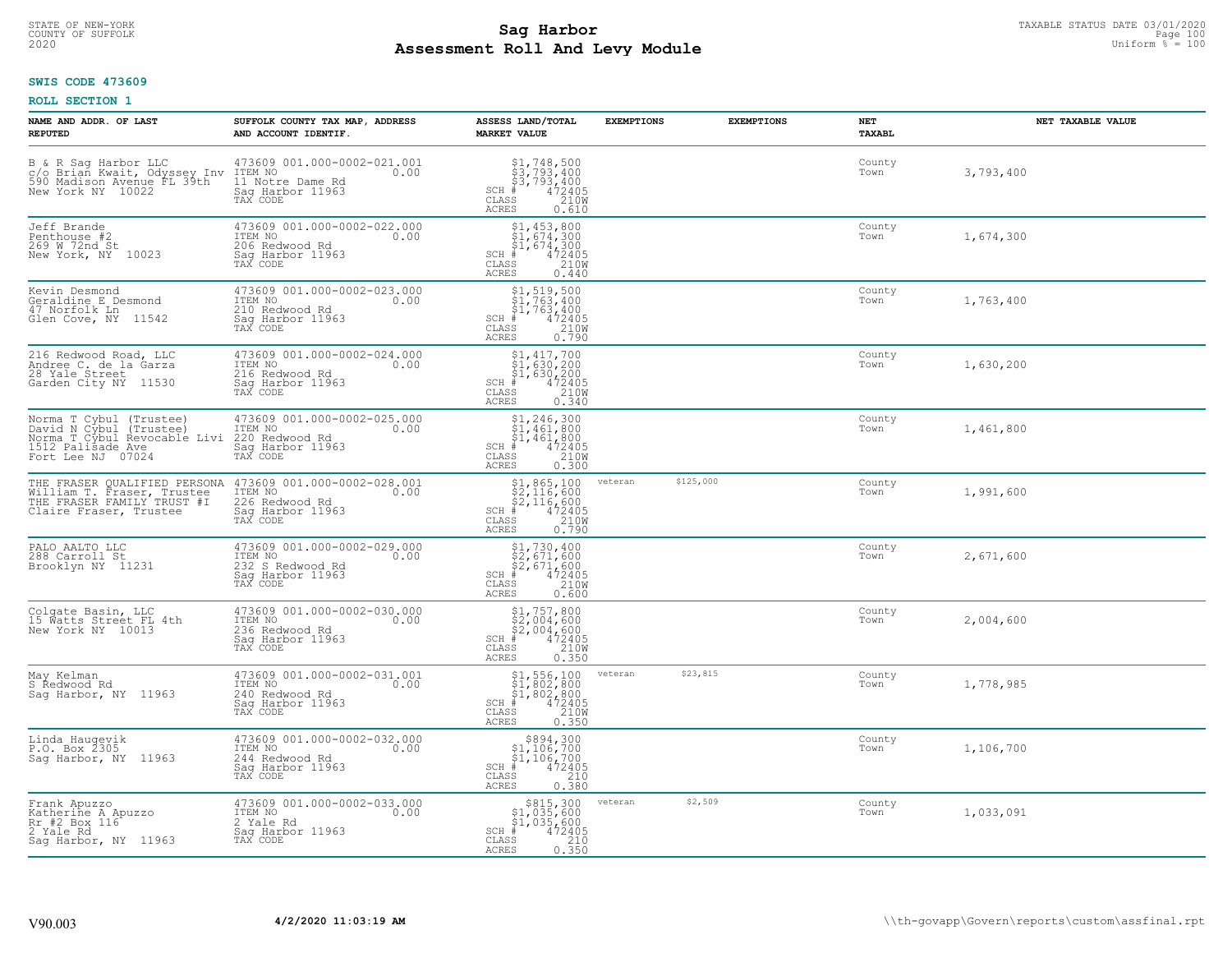# STATE OF NEW-YORK TAXABLE STATUS DATE 03/01/2020<br>COUNTY OF SUFFOLK Page 100 Page 100 **Assessment Roll And Levy Module Example 2020** Uniform  $\frac{1}{8}$  = 100

### **SWIS CODE 473609**

| NAME AND ADDR. OF LAST<br><b>REPUTED</b>                                                                                          | SUFFOLK COUNTY TAX MAP, ADDRESS<br>AND ACCOUNT IDENTIF.                                                                                                                                         | ASSESS LAND/TOTAL<br><b>MARKET VALUE</b>                                                                                                                                                                                                                                                                                                                                                                                                       | <b>EXEMPTIONS</b> | <b>EXEMPTIONS</b> | NET<br>TAXABL  | NET TAXABLE VALUE |
|-----------------------------------------------------------------------------------------------------------------------------------|-------------------------------------------------------------------------------------------------------------------------------------------------------------------------------------------------|------------------------------------------------------------------------------------------------------------------------------------------------------------------------------------------------------------------------------------------------------------------------------------------------------------------------------------------------------------------------------------------------------------------------------------------------|-------------------|-------------------|----------------|-------------------|
| B & R Sag Harbor LLC<br>C/O Brian Kwait, Odyssey Inv ITEM NO<br>590 Madison Avenue FL 39th 11 Notre<br>New York NY 10022 Saq Harl | 473609 001.000-0002-021.001<br>0.00<br>11 Notre Dame Rd<br>Saq Harbor 11963<br>TAX CODE                                                                                                         | $\begin{array}{l} $1,748,500\n$3,793,400\n$3,793,400\n# 472405\n85\n210M\n\end{array}$<br>$SCH$ #<br>$\mathtt{CLASS}$<br>ACRES<br>0.610                                                                                                                                                                                                                                                                                                        |                   |                   | County<br>Town | 3,793,400         |
| Jeff Brande<br>Penthouse #2<br>269 W 72nd St<br>New York, NY 10023                                                                | 473609 001.000-0002-022.000<br>ITEM NO<br>0.00<br>206 Redwood Rd<br>Sag Harbor 11963<br>TAX CODE                                                                                                | $$1, 453, 800$<br>$$1, 674, 300$<br>$$1, 674, 300$<br>$$472405$<br>$SCH$ #<br>CLASS<br>210W<br>ACRES<br>0.440                                                                                                                                                                                                                                                                                                                                  |                   |                   | County<br>Town | 1,674,300         |
| Kevin Desmond<br>Geraldine E Desmond<br>47 Norfolk Ln<br>Glen Cove, NY 11542                                                      | 473609 001.000-0002-023.000<br>ITEM NO<br>0.00<br>210 Redwood Rd<br>Sag Harbor 11963<br>TAX CODE                                                                                                | $\begin{array}{r} \texttt{\$1,\$19,\$500}\\ \texttt{\$1,\$763,\$400}\\ \texttt{\$1,\$763,\$400}\\ \texttt{\$1,\$763,\$400}\\ \texttt{\$1,\$763,\$400}\\ \texttt{\$12405}\\ \texttt{\$10W}\\ \texttt{\$10W}\\ \texttt{\$10W}\\ \texttt{\$10W}\\ \texttt{\$10W}\\ \texttt{\$10W}\\ \texttt{\$10W}\\ \texttt{\$10W}\\ \texttt{\$10W}\\ \texttt{\$10W}\\ \texttt{\$10W}\\ \texttt{\$10W}\\ \texttt{\$10W}\\ \$<br>$SCH$ #<br>CLASS<br><b>ACRES</b> |                   |                   | County<br>Town | 1,763,400         |
| 216 Redwood Road, LLC<br>Andree C. de la Garza<br>28 Yale Street<br>Garden City NY 11530                                          | 473609 001.000-0002-024.000<br>ITEM NO<br>0.00<br>216 Redwood Rd<br>Saq Harbor 11963<br>TAX CODE                                                                                                | $\begin{array}{l} \text{\small $51$, $417$, 700} \\ \text{\small $51$, 630, 200} \\ \text{\small $51$, 630, 200} \\ \text{\small $4$} \\ \text{\small $72405} \\ \text{\small $58$} \\ \text{\small $25$} \\ \text{\small $25$} \\ \end{array}$<br>$SCH$ #<br>CLASS<br><b>ACRES</b>                                                                                                                                                            |                   |                   | County<br>Town | 1,630,200         |
| Norma T Cybul (Trustee)<br>David N Cybul (Trustee)<br>Norma T Cybul Revocable Livi<br>1512 Palisade Ave<br>Fort Lee NJ 07024      | 473609 001.000-0002-025.000<br>ITEM NO<br>0.00<br>220 Redwood Rd<br>Saq Harbor 11963<br>TAX CODE                                                                                                | $$1, 246, 300$<br>$$1, 461, 800$<br>$$1, 461, 800$<br>$SCH$ #<br>$\begin{smallmatrix} 472405 \\ 210W \\ 0.300 \end{smallmatrix}$<br>CLASS<br>ACRES                                                                                                                                                                                                                                                                                             |                   |                   | County<br>Town | 1,461,800         |
|                                                                                                                                   | THE FRASER QUALIFIED PERSONA 473609 001.000-0002-028.001<br>William T. Fraser, Trustee ITEM NO THE FRASER FAMILY TRUST #I 226 Redwood Rd<br>Claire Fraser, Trustee Sag Harbor 11963<br>TAX CODE | $\begin{array}{r} \text{\$1,865,100} \\ \text{\$2,116,600} \\ \text{\$2,116,600} \\ \text{\$4\%2405} \\ \text{\$8$8$8$8$210W} \\ \text{\$8$8$8$8$0.790} \end{array}$<br>$SCH$ #<br>$\mathtt{CLASS}$<br><b>ACRES</b>                                                                                                                                                                                                                            | veteran           | \$125,000         | County<br>Town | 1,991,600         |
| PALO AALTO LLC<br>288 Carroll St<br>Brooklyn NY 11231                                                                             | 473609 001.000-0002-029.000<br>ITEM NO<br>0.00<br>232 S Redwood Rd<br>Sag Harbor 11963<br>TAX CODE                                                                                              | \$1,730,400<br>\$2,671,600<br>\$2,671,600<br>#472405<br>$SCH$ #<br>210W<br>CLASS<br><b>ACRES</b><br>0.600                                                                                                                                                                                                                                                                                                                                      |                   |                   | County<br>Town | 2,671,600         |
| Colgate Basin, LLC<br>15 Watts Street FL 4th<br>New York NY 10013                                                                 | 473609 001.000-0002-030.000<br>TTEM NO 0.00<br>236 Redwood Rd<br>Saq Harbor 11963<br>TAX CODE                                                                                                   | $$2,004,600$ $$2,004,600$ $$4,004$ $$472405$ $$2,004$ $$210M$<br>$SCH$ #<br>CLASS<br><b>ACRES</b><br>0.350                                                                                                                                                                                                                                                                                                                                     |                   |                   | County<br>Town | 2,004,600         |
| May Kelman<br>S Redwood Rd<br>Saq Harbor, NY 11963                                                                                | 473609 001.000-0002-031.001<br>ITEM NO 0.00<br>240 Redwood Rd<br>Saq Harbor 11963<br>TAX CODE                                                                                                   | $$1,556,100$<br>$$1,802,800$<br>$$1,802,800$<br>$*$<br>$472405$<br>$*$<br>$2100$<br>$SCH$ #<br>CLASS<br><b>ACRES</b><br>0.350                                                                                                                                                                                                                                                                                                                  | veteran           | \$23,815          | County<br>Town | 1,778,985         |
| Linda Hauqevik<br>P.O. Box 2305<br>Sag Harbor, NY 11963                                                                           | 473609 001.000-0002-032.000<br>ITEM NO<br>0.00<br>244 Redwood Rd<br>Saq Harbor 11963<br>TAX CODE                                                                                                | $$894,300\n$1,106,700\n$1,106,700\n# 472405\n85\n210$<br>$SCH$ #<br>CLASS<br>0.380<br><b>ACRES</b>                                                                                                                                                                                                                                                                                                                                             |                   |                   | County<br>Town | 1,106,700         |
| Frank Apuzzo<br>Katherine A Apuzzo<br>Rr #2 Box 116 <sup>-</sup><br>2 Yale Rd<br>Sag Harbor, NY 11963                             | 473609 001.000-0002-033.000<br>ITEM NO<br>0.00<br>2 Yale Rd<br>Sag Harbor 11963<br>TAX CODE                                                                                                     | \$815,300<br>\$1,035,600<br>\$1,035,600<br>$SCH$ #<br>472405<br>CLASS<br>$\frac{210}{0.350}$<br><b>ACRES</b>                                                                                                                                                                                                                                                                                                                                   | veteran           | \$2,509           | County<br>Town | 1,033,091         |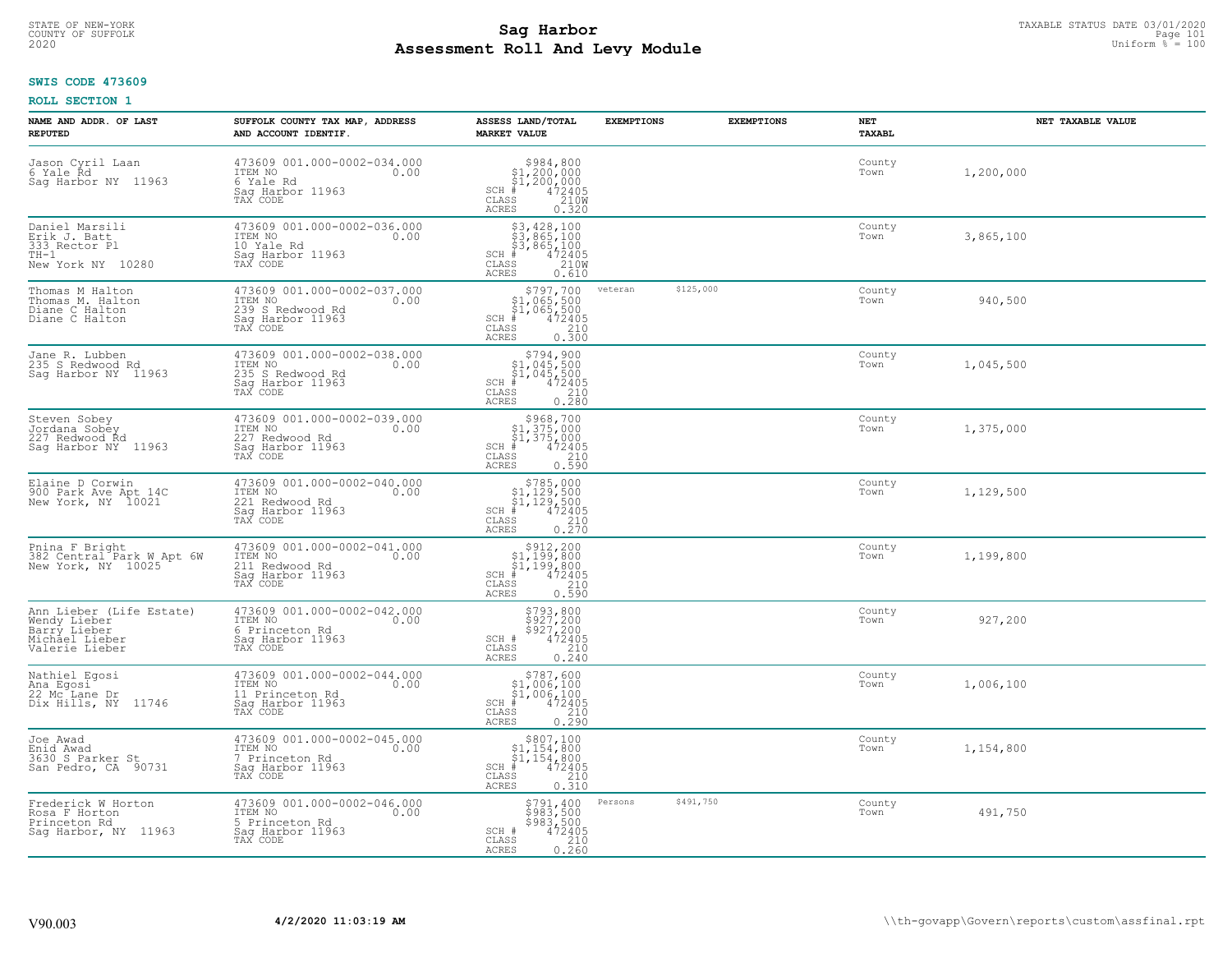# STATE OF NEW-YORK TAXABLE STATUS DATE 03/01/2020<br>COUNTY OF SUFFOLK Page 101 Page 101 **Assessment Roll And Levy Module Example 2020** Uniform  $\frac{1}{8}$  = 100

#### **SWIS CODE 473609**

| NAME AND ADDR. OF LAST<br><b>REPUTED</b>                                                     | SUFFOLK COUNTY TAX MAP, ADDRESS<br>AND ACCOUNT IDENTIF.                                            | ASSESS LAND/TOTAL<br><b>MARKET VALUE</b>                                                                                                                                                                                                                                                                                             | <b>EXEMPTIONS</b>    | <b>EXEMPTIONS</b> | <b>NET</b><br>TAXABL | NET TAXABLE VALUE |
|----------------------------------------------------------------------------------------------|----------------------------------------------------------------------------------------------------|--------------------------------------------------------------------------------------------------------------------------------------------------------------------------------------------------------------------------------------------------------------------------------------------------------------------------------------|----------------------|-------------------|----------------------|-------------------|
| Jason Cyril Laan<br>6 Yale Rd<br>Sag Harbor NY 11963                                         | 473609 001.000-0002-034.000<br>ITEM NO<br>0.00<br>6 Yale Rd<br>Saq Harbor 11963<br>TAX CODE        | $$984,800\n$1,200,000\n$1,200,000\n# 472405\n35\n210M$<br>$SCH$ #<br>CLASS<br>ACRES<br>0.320                                                                                                                                                                                                                                         |                      |                   | County<br>Town       | 1,200,000         |
| Daniel Marsili<br>Erik J. Batt<br>333 Rector Pl<br>$TH-1$<br>New York NY 10280               | 473609 001.000-0002-036.000<br>ITEM NO<br>0.00<br>10 Yale Rd<br>Saq Harbor 11963<br>TAX CODE       | \$3,428,100<br>\$3,865,100<br>\$3,865,100<br>$SCH$ #<br>$\frac{472405}{2100}$<br>CLASS<br>ACRES<br>0.610                                                                                                                                                                                                                             |                      |                   | County<br>Town       | 3,865,100         |
| Thomas M Halton<br>Thomas M. Halton<br>Diane C Halton<br>Diane C Halton                      | 473609 001.000-0002-037.000<br>ITEM NO<br>0.00<br>239 S Redwood Rd<br>Sag Harbor 11963<br>TAX CODE | \$797,700<br>\$1,065,500<br>$\begin{array}{r} 71,005,500 \\ 4,065,500 \\ 1,065,500 \\ 10,210 \\ 10,300 \end{array}$<br>$SCH$ #<br>CLASS<br>ACRES                                                                                                                                                                                     | \$125,000<br>veteran |                   | County<br>Town       | 940,500           |
| Jane R. Lubben<br>235 S Redwood Rd<br>Saq Harbor NY 11963                                    | 473609 001.000-0002-038.000<br>ITEM NO<br>0.00<br>235 S Redwood Rd<br>Sag Harbor 11963<br>TAX CODE | $\begin{array}{r} \texttt{\$794$, 900} \\ \texttt{\$1, 045, 500} \\ \texttt{\$1, 045, 500} \\ \texttt{\$1, 045, 500} \\ \texttt{\$1, 045, 2405} \\ \texttt{\$10} \\ \texttt{\$18} \\ \texttt{\$18} \\ \texttt{\$19} \\ \texttt{\$19} \\ \texttt{\$28} \\ \texttt{\$19} \\ \texttt{\$28} \\ \end{array}$<br>$SCH$ #<br>CLASS<br>ACRES |                      |                   | County<br>Town       | 1,045,500         |
| Steven Sobey<br>Jordana Sobey<br>227 Redwood Rd<br>Saq Harbor NY 11963                       | 473609 001.000-0002-039.000<br>ITEM NO<br>0.00<br>227 Redwood Rd<br>Sag Harbor 11963<br>TAX CODE   | \$968,700<br>$SCH$ #<br>CLASS<br>0.590<br>ACRES                                                                                                                                                                                                                                                                                      |                      |                   | County<br>Town       | 1,375,000         |
| Elaine D Corwin<br>900 Park Ave Apt 14C<br>New York, NY 10021                                | 473609 001.000-0002-040.000<br>ITEM NO<br>0.00<br>221 Redwood Rd<br>Saq Harbor 11963<br>TAX CODE   | $$785,000$<br>$$1,129,500$<br>$$1,129,500$<br>$$472405$<br>$SCH$ #<br>CLASS<br>$\frac{210}{0.270}$<br>ACRES                                                                                                                                                                                                                          |                      |                   | County<br>Town       | 1,129,500         |
| Pnina F Bright<br>382 Central Park W Apt 6W<br>New York, NY 10025                            | 473609 001.000-0002-041.000<br>ITEM NO<br>0.00<br>211 Redwood Rd<br>Sag Harbor 11963<br>TAX CODE   | $$312,20051,199,80051,199,800472405$<br>$SCH$ #<br>CLASS<br>210<br>0.590<br>ACRES                                                                                                                                                                                                                                                    |                      |                   | County<br>Town       | 1,199,800         |
| Ann Lieber (Life Estate)<br>Wendy Lieber<br>Barry Lieber<br>Michael Lieber<br>Valerie Lieber | 473609 001.000-0002-042.000<br>TTEM NO 0.00<br>6 Princeton Rd<br>Saq Harbor 11963<br>TAX CODE      | \$793,800<br>\$927,200<br>\$927,200<br>\$472405<br>\$210<br>SCH #<br>CLASS<br>ACRES<br>0.240                                                                                                                                                                                                                                         |                      |                   | County<br>Town       | 927,200           |
| Nathiel Egosi<br>Ana Egosi<br>22 Mc Lane Dr<br>Dix Hills, NY 11746                           | 473609 001.000-0002-044.000<br>TTEM NO 0.00<br>11 Princeton Rd<br>Saq Harbor 11963<br>TAX CODE     | $\begin{array}{r}  \  \  \, 5787,600\\  \  \  51,006,100\\  \  \  51,006,100\\  \  \  \, 472405\\  \  \  \, 55\\  \  \  \, 210\\  \  \  \, 25\\  \  \  \, 0.290 \end{array}$<br>$SCH$ #<br>CLASS<br>ACRES                                                                                                                            |                      |                   | County<br>Town       | 1,006,100         |
| Joe Awad<br>Enid Awad<br>3630 S Parker St<br>San Pedro, CA 90731                             | 473609 001.000-0002-045.000<br>ITEM NO<br>0.00<br>7 Princeton Rd<br>Sag Harbor 11963<br>TAX CODE   | $$807,100\n$1,154,800\n$1,154,800\n# 472405\n$210\n$35\n$210$<br>$SCH$ #<br>CLASS<br>0.310<br><b>ACRES</b>                                                                                                                                                                                                                           |                      |                   | County<br>Town       | 1,154,800         |
| Frederick W Horton<br>Rosa F Horton<br>Princeton Rd<br>Saq Harbor, NY 11963                  | 473609 001.000-0002-046.000<br>ITEM NO<br>0.00<br>5 Princeton Rd<br>Sag Harbor 11963<br>TAX CODE   | \$791,400<br>$\frac{1}{2}$ 983,500<br>\$983,500<br>472405<br>SCH #<br>$\frac{210}{0.260}$<br>CLASS<br>ACRES                                                                                                                                                                                                                          | \$491,750<br>Persons |                   | County<br>Town       | 491,750           |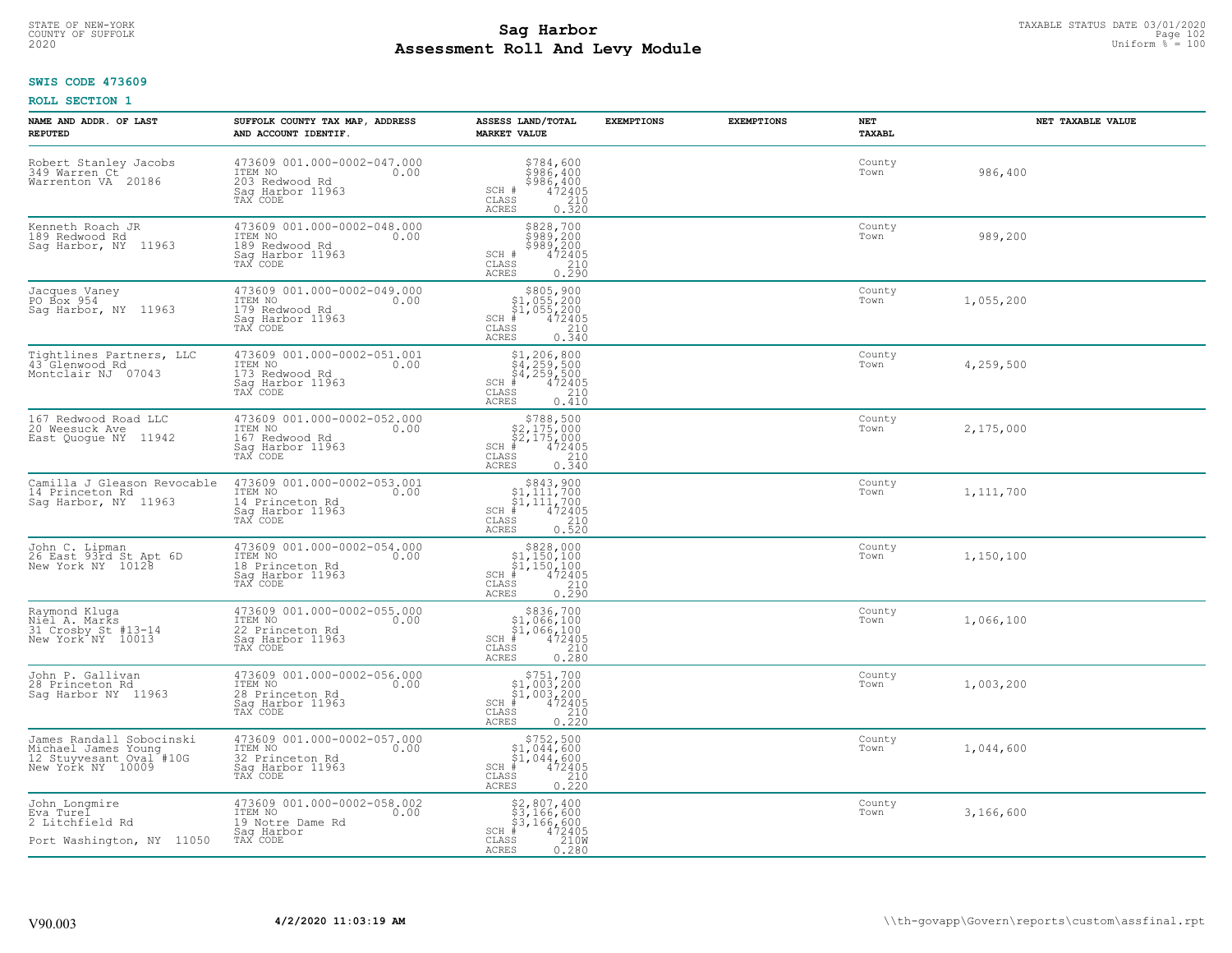# STATE OF NEW-YORK TAXABLE STATUS DATE 03/01/2020<br>COUNTY OF SUFFOLK Page 102 Page 102 **Assessment Roll And Levy Module Example 2020** Uniform  $\frac{1}{8}$  = 100

#### **SWIS CODE 473609**

| NAME AND ADDR. OF LAST<br><b>REPUTED</b>                                                        | SUFFOLK COUNTY TAX MAP, ADDRESS<br>AND ACCOUNT IDENTIF.                                           | ASSESS LAND/TOTAL<br><b>MARKET VALUE</b>                                                                                   | <b>EXEMPTIONS</b> | <b>EXEMPTIONS</b> | NET<br>TAXABL  | NET TAXABLE VALUE |
|-------------------------------------------------------------------------------------------------|---------------------------------------------------------------------------------------------------|----------------------------------------------------------------------------------------------------------------------------|-------------------|-------------------|----------------|-------------------|
| Robert Stanley Jacobs<br>349 Warren Ct<br>Warrenton VA 20186                                    | 473609 001.000-0002-047.000<br>ITEM NO<br>0.00<br>203 Redwood Rd<br>Sag Harbor 11963<br>TAX CODE  | \$784,600<br>\$986,400<br>\$986,400<br>472405<br>SCH #<br>CLASS<br>210<br>ACRES<br>0.320                                   |                   |                   | County<br>Town | 986,400           |
| Kenneth Roach JR<br>189 Redwood Rd<br>Sag Harbor, NY 11963                                      | 473609 001.000-0002-048.000<br>ITEM NO<br>0.00<br>189 Redwood Rd<br>Sag Harbor 11963<br>TAX CODE  | \$828,700<br>\$989,200<br>\$989,200<br>\$989,200<br>SCH #<br>CLASS<br>$\frac{210}{0.290}$<br><b>ACRES</b>                  |                   |                   | County<br>Town | 989,200           |
| Jacques Vaney<br>PO Box 954<br>Saq Harbor, NY 11963                                             | 473609 001.000-0002-049.000<br>ITEM NO<br>0.00<br>179 Redwood Rd<br>Sag Harbor 11963<br>TAX CODE  | $$305, 900$<br>$$1, 055, 200$<br>$$1, 055, 200$<br>$*$<br>$472405$<br>SCH #<br>CLASS<br>210<br>0.340<br>ACRES              |                   |                   | County<br>Town | 1,055,200         |
| Tightlines Partners, LLC<br>43 Glenwood Rd<br>Montclair NJ 07043                                | 473609 001.000-0002-051.001<br>ITEM NO<br>0.00<br>173 Redwood Rd<br>Saq Harbor 11963<br>TAX CODE  | $$1,206,800$<br>$$4,259,500$<br>$$4,259,500$<br>$472405$<br>$35$<br>$210$<br>$SCH$ #<br>CLASS<br><b>ACRES</b><br>0.410     |                   |                   | County<br>Town | 4,259,500         |
| 167 Redwood Road LLC<br>20 Weesuck Ave<br>East Quogue NY 11942                                  | 473609 001.000-0002-052.000<br>ITEM NO<br>0.00<br>167 Redwood Rd<br>Saq Harbor 11963<br>TAX CODE  | \$788,500<br>$$2,175,000$<br>$$2,175,000$<br>$*$ 472405<br>$SCH$ #<br>CLASS<br>210<br>0.340<br>ACRES                       |                   |                   | County<br>Town | 2,175,000         |
| Camilla J Gleason Revocable<br>14 Princeton Rd<br>Sag Harbor, NY 11963                          | 473609 001.000-0002-053.001<br>ITEM NO<br>0.00<br>14 Princeton Rd<br>Sag Harbor 11963<br>TAX CODE | $\begin{array}{c} $843,900 $1,111,700 $1,111,700 # 472405 \end{array}$<br>$SCH$ #<br>CLASS<br>210<br><b>ACRES</b><br>0.520 |                   |                   | County<br>Town | 1,111,700         |
| John C. Lipman<br>26 East 93rd St Apt 6D<br>New York NY 10128                                   | 473609 001.000-0002-054.000<br>ITEM NO<br>0.00<br>18 Princeton Rd<br>Sag Harbor 11963<br>TAX CODE | $\begin{array}{r} $828,000 $1,150,100 $1,150,100 # 472405 \end{array}$<br>$SCH$ #<br>CLASS<br>$\frac{210}{0.290}$<br>ACRES |                   |                   | County<br>Town | 1,150,100         |
| Raymond Kluga<br>Niel A. Marks<br>31 Crosby St #13-14<br>New York <sup>A</sup> NY 10013         | 473609 001.000-0002-055.000<br>TTEM NO 0.00<br>22 Princeton Rd<br>Saq Harbor 11963<br>TAX CODE    | $$336,700$<br>$$1,066,100$<br>$$1,066,100$<br>$*$<br>$472405$<br>$SCH$ $#$<br>CLASS<br>210<br>ACRES<br>0.280               |                   |                   | County<br>Town | 1,066,100         |
| John P. Gallivan<br>28 Princeton Rd<br>Sag Harbor NY 11963                                      | 473609 001.000-0002-056.000<br>TTEM NO 0.00<br>28 Princeton Rd<br>Saq Harbor 11963<br>TAX CODE    | $\begin{array}{c} $751,700 $1,003,200 $4,003,200 # 472405 \end{array}$<br>$SCH$ #<br>CLASS<br>210<br>0.220<br><b>ACRES</b> |                   |                   | County<br>Town | 1,003,200         |
| James Randall Sobocinski<br>Michael James Young<br>12 Stuyvesant Oval #10G<br>New York NY 10009 | 473609 001.000-0002-057.000<br>ITEM NO<br>0.00<br>32 Princeton Rd<br>Sag Harbor 11963<br>TAX CODE | $$752,500$<br>$$1,044,600$<br>$$1,044,600$<br>$$472405$<br>$SCH$ #<br>210<br>CLASS<br>0.220<br><b>ACRES</b>                |                   |                   | County<br>Town | 1,044,600         |
| John Longmire<br>Eva Turel<br>2 Litchfield Rd<br>Port Washington, NY 11050                      | 473609 001.000-0002-058.002<br>ITEM NO<br>0.00<br>19 Notre Dame Rd<br>Sag Harbor<br>TAX CODE      | $$2,807,400$<br>$$3,166,600$<br>$$3,166,600$<br>$*$ 472405<br>$$2100$<br>$SCH$ #<br>CLASS<br><b>ACRES</b><br>0.280         |                   |                   | County<br>Town | 3,166,600         |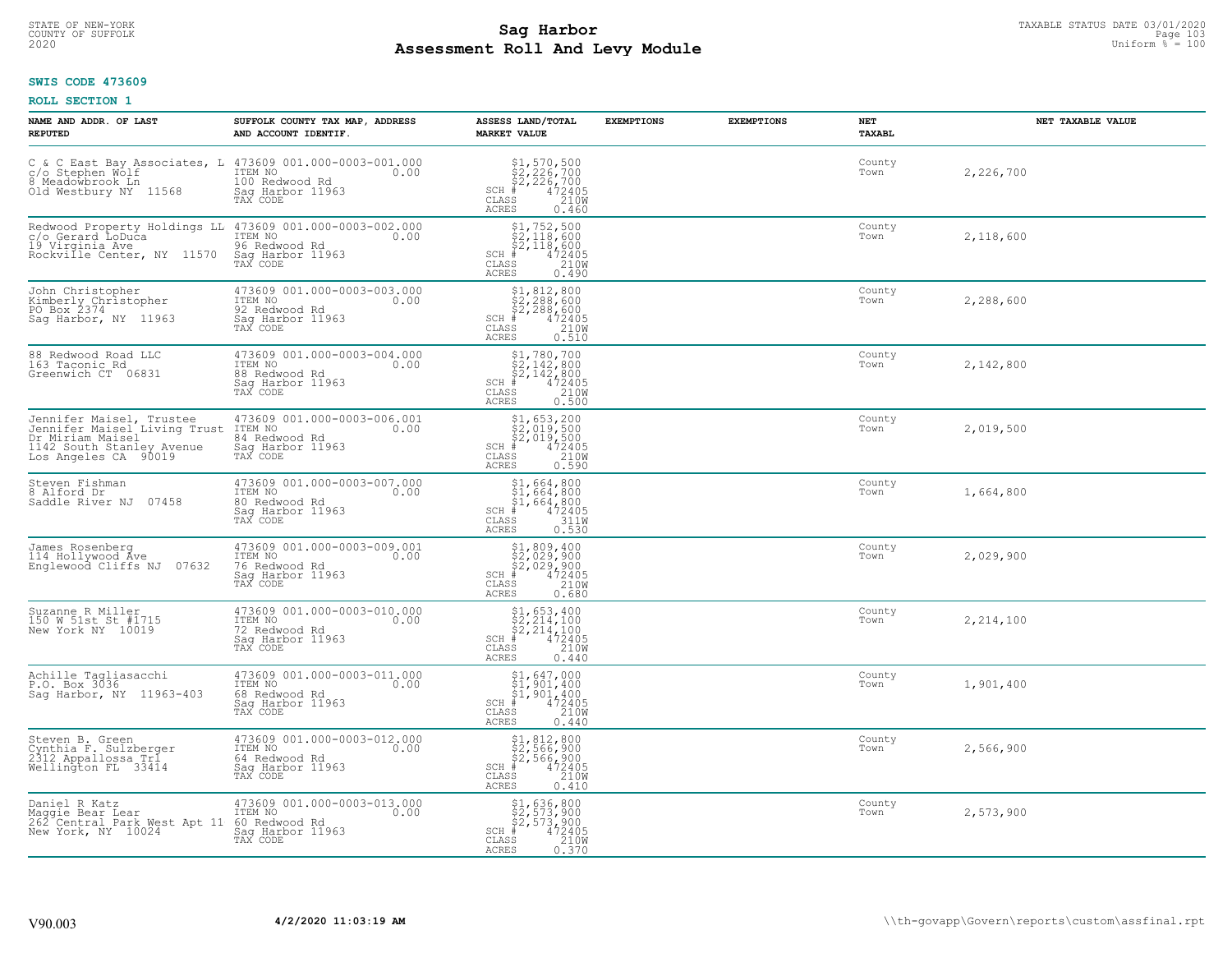# STATE OF NEW-YORK TAXABLE STATUS DATE 03/01/2020<br>COUNTY OF SUFFOLK Page 103 Page 103 **Assessment Roll And Levy Module Example 2020** Uniform  $\frac{1}{8}$  = 100

### **SWIS CODE 473609**

| NAME AND ADDR. OF LAST<br><b>REPUTED</b>                                                                                                        | SUFFOLK COUNTY TAX MAP, ADDRESS<br>AND ACCOUNT IDENTIF.                                         | ASSESS LAND/TOTAL<br><b>MARKET VALUE</b>                                                                                                                                                                                                                                                                                                                                                                      | <b>EXEMPTIONS</b> | <b>EXEMPTIONS</b> | <b>NET</b><br>TAXABL | NET TAXABLE VALUE |
|-------------------------------------------------------------------------------------------------------------------------------------------------|-------------------------------------------------------------------------------------------------|---------------------------------------------------------------------------------------------------------------------------------------------------------------------------------------------------------------------------------------------------------------------------------------------------------------------------------------------------------------------------------------------------------------|-------------------|-------------------|----------------------|-------------------|
| C & C East Bay Associates, L $473609001.000-0003-001.000$<br>c/o Stephen Wolf<br>8 Meadowbrook In 11500 100 Redwood Rd<br>Old Westbury NY 11568 | Sag Harbor 11963<br>TAX CODE                                                                    | $$2, 226, 700\n$2, 226, 700\n$2, 226, 700\n# 472405\n85\n210M$<br>$SCH$ #<br>CLASS<br>ACRES<br>0.460                                                                                                                                                                                                                                                                                                          |                   |                   | County<br>Town       | 2,226,700         |
| Redwood Property Holdings LL 473609 001.000-0003-002.000<br>c/o Gerard LoDuća<br>19 Virginia Ave<br>Rockville Center, NY 11570                  | ITEM NO<br>0.00<br>96 Redwood Rd<br>Sag Harbor 11963<br>TAX CODE                                | $$1, 752, 500$<br>$$2, 118, 600$<br>$$2, 118, 600$<br>$$2, 118, 600$<br>$SCH$ #<br>$\frac{472405}{210W}$<br>$\mathtt{CLASS}$<br>0.490<br>ACRES                                                                                                                                                                                                                                                                |                   |                   | County<br>Town       | 2,118,600         |
| John Christopher<br>Kimberly Christopher<br>PO Box 2374<br>Sag Harbor, NY 11963                                                                 | 473609 001.000-0003-003.000<br>ITEM NO<br>0.00<br>92 Redwood Rd<br>Sag Harbor 11963<br>TAX CODE | $$2, 288, 600$<br>$$2, 288, 600$<br>$$2, 288, 600$<br>$472405$<br>$$210M$<br>$SCH$ #<br>CLASS<br>0.510<br>ACRES                                                                                                                                                                                                                                                                                               |                   |                   | County<br>Town       | 2,288,600         |
| 88 Redwood Road LLC<br>163 Taconic Rd<br>Greenwich CT 06831                                                                                     | 473609 001.000-0003-004.000<br>TTEM NO 0.00<br>88 Redwood Rd<br>Sag Harbor 11963<br>TAX CODE    | $$ \begin{array}{l} $1,780,700 \\ $2,142,800 \\ $2,142,800 \\ $4,72405 \\ $8 \end{array} $ \\ \begin{array}{l} $1,000 \\ $472405 \\ $2100 \\ $2100 \\ $2100 \\ $2100 \\ $2100 \\ $2100 \\ $2100 \\ $2100 \\ $2100 \\ $2100 \\ $2100 \\ $2100 \\ $2100 \\ $2100 \\ $2100 \\ $2100 \\ $2100 \\ $2100 \\ $2100 \\ $2100 \\ $2100 \\ $2100 \\ $2100 \\ $$<br>$SCH$ #<br>$\mathtt{CLASS}$<br><b>ACRES</b><br>0.500 |                   |                   | County<br>Town       | 2,142,800         |
| Jennifer Maisel, Trustee<br>Jennifer Maisel Living Trust<br>Dr Miriam Maisel<br>1142 South Stanley Avenue<br>Los Angeles CA 90019               | 473609 001.000-0003-006.001<br>ITEM NO<br>0.00<br>84 Redwood Rd<br>Saq Harbor 11963<br>TAX CODE | $$1,653,200$<br>$$2,019,500$<br>$$2,019,500$<br>$472405$<br>$$210W$<br>SCH #<br>CLASS<br><b>ACRES</b><br>0.590                                                                                                                                                                                                                                                                                                |                   |                   | County<br>Town       | 2,019,500         |
| Steven Fishman<br>8 Alford Dr<br>07458<br>Saddle River NJ                                                                                       | 473609 001.000-0003-007.000<br>ITEM NO<br>0.00<br>80 Redwood Rd<br>Sag Harbor 11963<br>TAX CODE | $$1,664,800$<br>$$1,664,800$<br>$$1,664,800$<br>$472405$<br>$3110$<br>SCH #<br>CLASS<br><b>ACRES</b><br>0.530                                                                                                                                                                                                                                                                                                 |                   |                   | County<br>Town       | 1,664,800         |
| James Rosenberg<br>114 Hollywood Ave<br>Englewood Cliffs NJ 07632                                                                               | 473609 001.000-0003-009.001<br>ITEM NO<br>0.00<br>76 Redwood Rd<br>Saq Harbor 11963<br>TAX CODE | $$2,029,900$<br>$$2,029,900$<br>$$2,029,900$<br>$*$ 472405<br>$$210M$<br>SCH #<br>CLASS<br>ACRES<br>0.680                                                                                                                                                                                                                                                                                                     |                   |                   | County<br>Town       | 2,029,900         |
| Suzanne R Miller<br>150 W 51st St #1715<br>New York NY 10019                                                                                    | 473609 001.000-0003-010.000<br>TTEM NO 0.00<br>72 Redwood Rd<br>Saq Harbor 11963<br>TAX CODE    | $$2, 214, 100$<br>$$2, 214, 100$<br>$$2, 214, 100$<br>$472405$<br>$$2100$<br>$SCH$ #<br>CLASS<br><b>ACRES</b><br>0.440                                                                                                                                                                                                                                                                                        |                   |                   | County<br>Town       | 2,214,100         |
| Achille Tagliasacchi<br>P.O. Box 3036<br>Sag Harbor, NY 11963-403                                                                               | 473609 001.000-0003-011.000<br>ITEM NO 0.00<br>68 Redwood Rd<br>Saq Harbor 11963<br>TAX CODE    | $$1, 647, 000$<br>$$1, 901, 400$<br>$$1, 901, 400$<br>$472405$<br>$2100$<br>$SCH$ #<br>CLASS<br><b>ACRES</b><br>0.440                                                                                                                                                                                                                                                                                         |                   |                   | County<br>Town       | 1,901,400         |
| Steven B. Green<br>Cynthia F. Sulzberger<br>2312 Appallossa Tri<br>Wellington FL 33414                                                          | 473609 001.000-0003-012.000<br>ITEM NO<br>0.00<br>64 Redwood Rd<br>Sag Harbor 11963<br>TAX CODE | $$2, 566, 900$<br>$$2, 566, 900$<br>$$472405$<br>$$472405$<br>$$210M$<br>SCH<br>CLASS<br><b>ACRES</b><br>0.410                                                                                                                                                                                                                                                                                                |                   |                   | County<br>Town       | 2,566,900         |
| Daniel R Katz<br>Maggie Bear Lear<br>262 Central Park West Apt 11<br>New York, NY 10024                                                         | 473609 001.000-0003-013.000<br>ITEM NO<br>0.00<br>60 Redwood Rd<br>Sag Harbor 11963<br>TAX CODE | \$1,636,800<br>\$2,573,900<br>\$2,573,900<br>$SCH$ #<br>472405<br>210W<br>CLASS<br><b>ACRES</b><br>0.370                                                                                                                                                                                                                                                                                                      |                   |                   | County<br>Town       | 2,573,900         |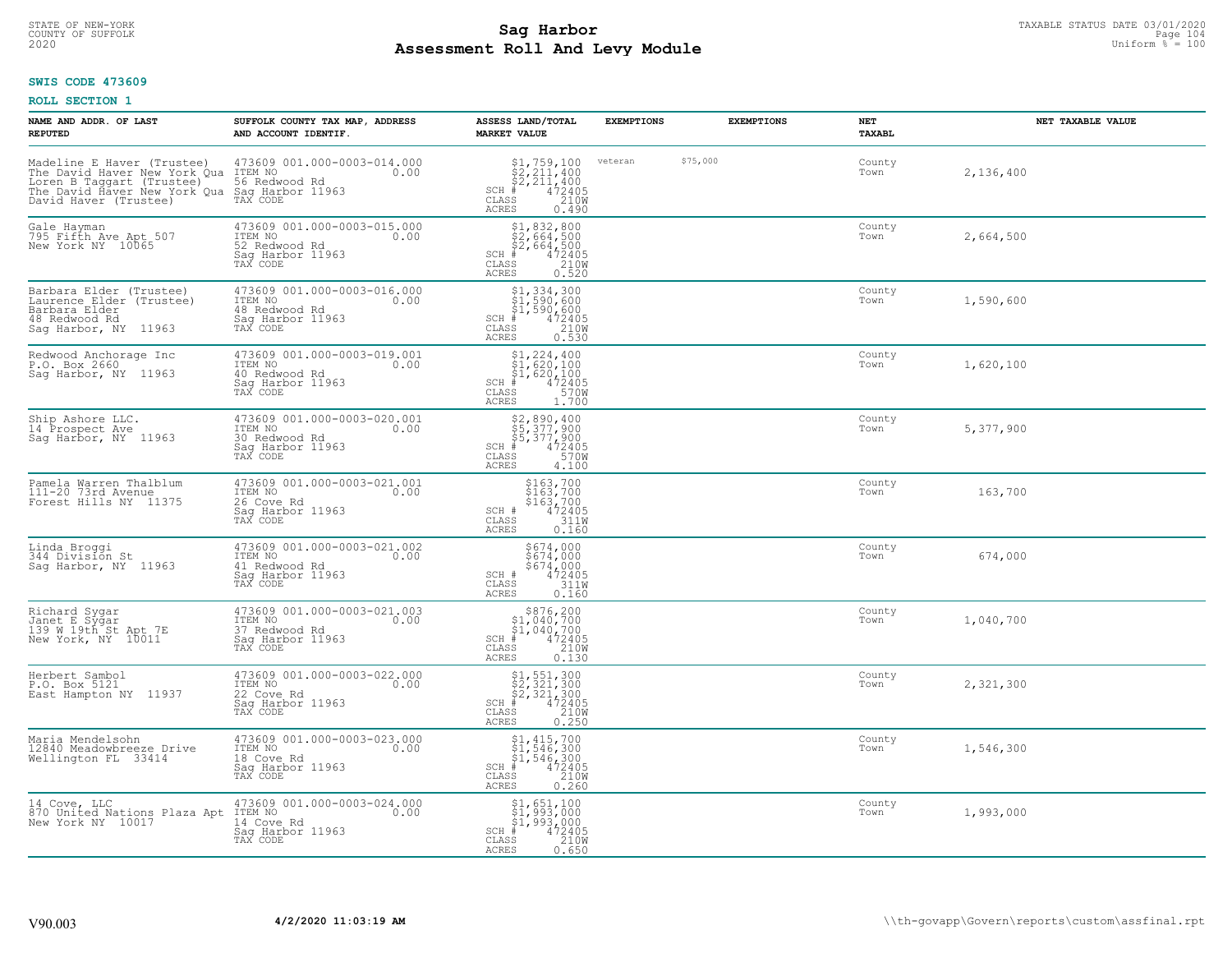# STATE OF NEW-YORK TAXABLE STATUS DATE 03/01/2020<br>COUNTY OF SUFFOLK Page 104 **Assessment Roll And Levy Module Example 2020** Uniform  $\frac{1}{8}$  = 100

### **SWIS CODE 473609**

| NAME AND ADDR. OF LAST<br><b>REPUTED</b>                                                                                                                                                                                                              | SUFFOLK COUNTY TAX MAP, ADDRESS<br>AND ACCOUNT IDENTIF.                                         | ASSESS LAND/TOTAL<br><b>MARKET VALUE</b>                                                                                                                                                                                                                                                                                                                                                                                          | <b>EXEMPTIONS</b> |          | <b>EXEMPTIONS</b> | <b>NET</b><br>TAXABL | NET TAXABLE VALUE |
|-------------------------------------------------------------------------------------------------------------------------------------------------------------------------------------------------------------------------------------------------------|-------------------------------------------------------------------------------------------------|-----------------------------------------------------------------------------------------------------------------------------------------------------------------------------------------------------------------------------------------------------------------------------------------------------------------------------------------------------------------------------------------------------------------------------------|-------------------|----------|-------------------|----------------------|-------------------|
| Madeline E Haver (Trustee) 473609 001.000-0003-014.000<br>The David Haver New York Qua ITEM NO<br>Loren B Taggart (Trustee) 56 Redwood Rd<br>The David Haver New York Qua Saq Harbor 11963<br>David Haver (Trustee) TAX CODE<br>David Haver (Trustee) |                                                                                                 | $\begin{array}{l} $1,759,100\\ $2,211,400\\ $2,211,400\\ $4,22405\\ $38 \end{array}$<br>$SCH$ $#$<br>CLASS<br><b>ACRES</b><br>0.490                                                                                                                                                                                                                                                                                               | veteran           | \$75,000 |                   | County<br>Town       | 2,136,400         |
| Gale Hayman<br>795 Fifth Ave Apt 507<br>New York NY 10065                                                                                                                                                                                             | 473609 001.000-0003-015.000<br>ITEM NO<br>0.00<br>52 Redwood Rd<br>Sag Harbor 11963<br>TAX CODE | $$2, 832, 800$<br>$$2, 664, 500$<br>$$2, 664, 500$<br>$472405$<br>$$210W$<br>$SCH$ #<br>CLASS<br><b>ACRES</b><br>0.520                                                                                                                                                                                                                                                                                                            |                   |          |                   | County<br>Town       | 2,664,500         |
| Barbara Elder (Trustee)<br>Laurence Elder (Trustee)<br>Barbara Elder<br>48 Redwood Rd<br>Sag Harbor, NY 11963                                                                                                                                         | 473609 001.000-0003-016.000<br>ITEM NO<br>0.00<br>48 Redwood Rd<br>Sag Harbor 11963<br>TAX CODE | $$1,334,300$<br>$$1,590,600$<br>$$1,590,600$<br>$472405$<br>$$2100$<br>SCH #<br>CLASS<br><b>ACRES</b><br>0.530                                                                                                                                                                                                                                                                                                                    |                   |          |                   | County<br>Town       | 1,590,600         |
| Redwood Anchorage Inc<br>P.O. Box 2660<br>Saq Harbor, NY 11963                                                                                                                                                                                        | 473609 001.000-0003-019.001<br>TTEM NO 0.00<br>40 Redwood Rd<br>Sag Harbor 11963<br>TAX CODE    | $$1, 224, 400$<br>$$1, 620, 100$<br>$$1, 620, 100$<br>$472405$<br>$35$<br>$3700$<br>$SCH$ #<br>CLASS<br>ACRES<br>1,700                                                                                                                                                                                                                                                                                                            |                   |          |                   | County<br>Town       | 1,620,100         |
| Ship Ashore LLC.<br>14 Prospect Ave<br>Sag Harbor, NY 11963                                                                                                                                                                                           | 473609 001.000-0003-020.001<br>ITEM NO<br>0.00<br>30 Redwood Rd<br>Sag Harbor 11963<br>TAX CODE | \$2,890,400<br>\$5,377,900<br>\$5,377,900<br># 472405<br>$SCH$ #<br>CLASS<br>570W<br><b>ACRES</b><br>4.100                                                                                                                                                                                                                                                                                                                        |                   |          |                   | County<br>Town       | 5,377,900         |
| Pamela Warren Thalblum<br>111-20 73rd Avenue<br>Forest Hills NY 11375                                                                                                                                                                                 | 473609 001.000-0003-021.001<br>ITEM NO<br>0.00<br>26 Cove Rd<br>Sag Harbor 11963<br>TAX CODE    | \$163,700<br>\$163,700<br>\$163,700<br>472405<br>311M<br>SCH #<br>CLASS<br><b>ACRES</b><br>0.160                                                                                                                                                                                                                                                                                                                                  |                   |          |                   | County<br>Town       | 163,700           |
| Linda Broggi<br>344 División St<br>Sag Harbor, NY 11963                                                                                                                                                                                               | 473609 001.000-0003-021.002<br>ITEM NO 0.00<br>41 Redwood Rd<br>Sag Harbor 11963<br>TAX CODE    | \$674,000<br>\$674,000<br>\$674,000<br>472405<br>311W<br>SCH #<br>CLASS<br>ACRES<br>0.160                                                                                                                                                                                                                                                                                                                                         |                   |          |                   | County<br>Town       | 674,000           |
| Richard Sygar<br>Janet E Sygar<br>139 W 19th St Apt 7E<br>New York, NY 10011                                                                                                                                                                          | 473609 001.000-0003-021.003<br>TTEM NO 0.00<br>37 Redwood Rd<br>Saq Harbor 11963<br>TAX CODE    | $$876, 200$<br>$$1, 040, 700$<br>$$1, 040, 700$<br>$472405$<br>$$210M$<br>$SCH$ #<br>CLASS<br><b>ACRES</b><br>0.130                                                                                                                                                                                                                                                                                                               |                   |          |                   | County<br>Town       | 1,040,700         |
| Herbert Sambol<br>P.O. Box 5121<br>East Hampton NY 11937                                                                                                                                                                                              | 473609 001.000-0003-022.000<br>ITEM NO<br>0.00<br>22 Cove Rd<br>Saq Harbor 11963<br>TAX CODE    | $\begin{array}{l} \text{\$1$, $551$, $300$} \\ \text{\$2$, $321$, $300$} \\ \text{\$2$, $321$, $300$} \\ \text{\$4$} \\ \text{\$15$} \\ \text{\$18$} \\ \text{\$19$} \\ \text{\$19$} \\ \text{\$19$} \\ \text{\$19$} \\ \text{\$100$} \\ \text{\$19$} \\ \text{\$1010$} \\ \text{\$1020$} \\ \text{\$103$} \\ \text{\$104$} \\ \text{\$118$} \\ \text{\$1300} \\ \text{\$1400} \\ \text{\$16$<br>$SCH$ #<br>CLASS<br><b>ACRES</b> |                   |          |                   | County<br>Town       | 2,321,300         |
| Maria Mendelsohn<br>12840 Meadowbreeze Drive<br>Wellington FL 33414                                                                                                                                                                                   | 473609 001.000-0003-023.000<br>ITEM NO<br>0.00<br>18 Cove Rd<br>Sag Harbor 11963<br>TAX CODE    | $$1, 415, 700$<br>$$1, 546, 300$<br>$$1, 546, 300$<br>$472405$<br>$$2100$<br>$SCH$ #<br>CLASS<br><b>ACRES</b><br>0.260                                                                                                                                                                                                                                                                                                            |                   |          |                   | County<br>Town       | 1,546,300         |
| 14 Cove, LLC<br>870 United Nations Plaza Apt ITEM NO<br>New York NY 10017 14 Cove                                                                                                                                                                     | 473609 001.000-0003-024.000<br>0.00<br>14 Cove Rd<br>Sag Harbor 11963<br>TAX CODE               | \$1,651,100<br>\$1,993,000<br>\$1,993,000<br>$SCH$ #<br>472405<br>210W<br>CLASS<br>ACRES<br>0.650                                                                                                                                                                                                                                                                                                                                 |                   |          |                   | County<br>Town       | 1,993,000         |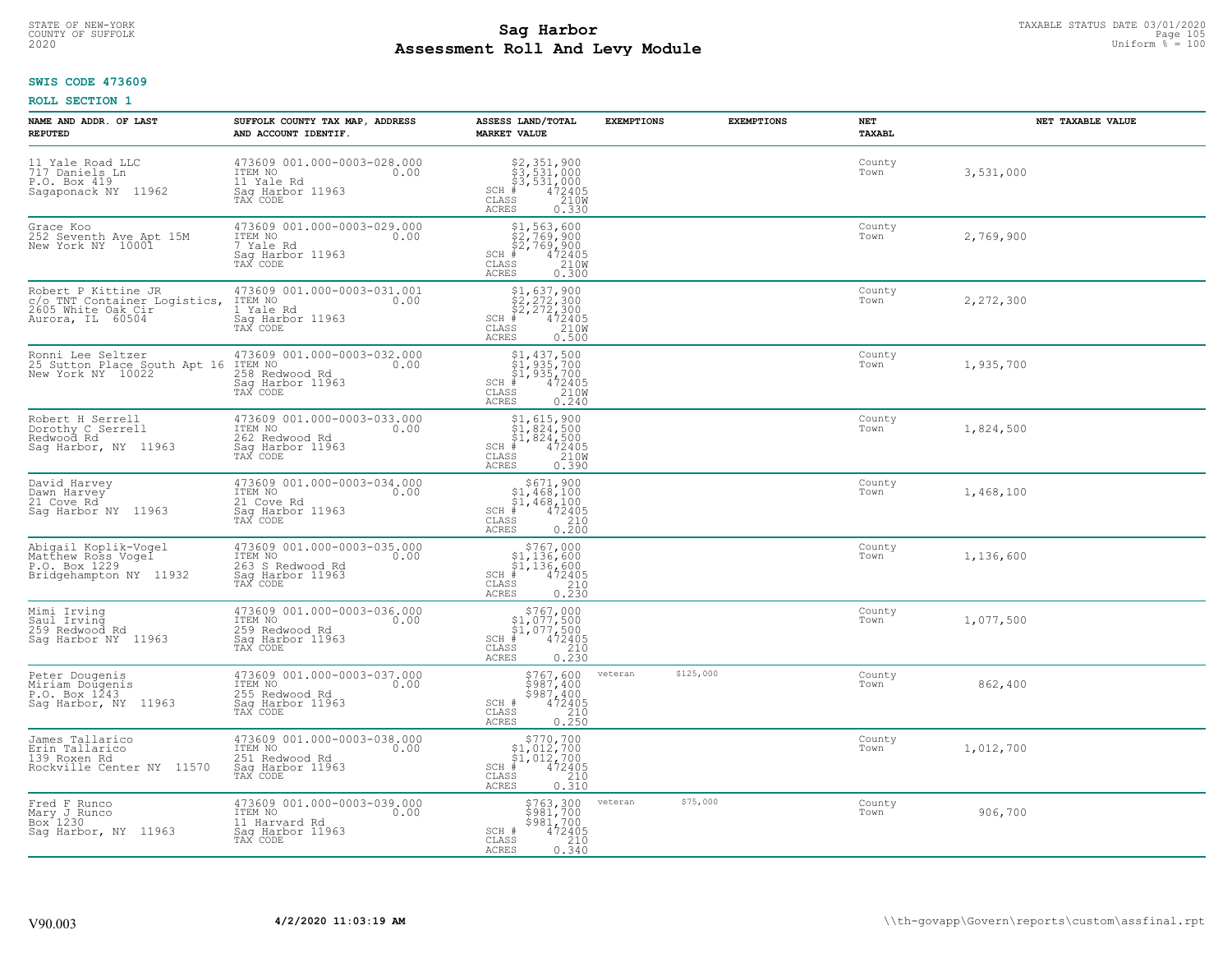# TAXABLE STATUS DATE 03/01/2020<br>COUNTY OF SUFFOLK Page 105 Page 105 **Assessment Roll And Levy Module Example 2020** Uniform  $\frac{1}{8}$  = 100

#### **SWIS CODE 473609**

| NAME AND ADDR. OF LAST<br><b>REPUTED</b>                                                      | SUFFOLK COUNTY TAX MAP, ADDRESS<br>AND ACCOUNT IDENTIF.                                            | ASSESS LAND/TOTAL<br><b>MARKET VALUE</b>                                                                                                              | <b>EXEMPTIONS</b>    | <b>EXEMPTIONS</b><br>NET<br>TAXABL | NET TAXABLE VALUE |
|-----------------------------------------------------------------------------------------------|----------------------------------------------------------------------------------------------------|-------------------------------------------------------------------------------------------------------------------------------------------------------|----------------------|------------------------------------|-------------------|
| 11 Yale Road LLC<br>717 Daniels Ln<br>P.O. Box 419<br>Sagaponack NY 11962                     | 473609 001.000-0003-028.000<br>ITEM NO<br>0.00<br>11 Yale Rd<br>Saq Harbor 11963<br>TAX CODE       | \$2,351,900<br>\$3,531,000<br>\$3,531,000<br># 472405<br>\$5 210M<br>$SCH$ #<br>CLASS<br>ACRES<br>0.330                                               |                      | County<br>Town                     | 3,531,000         |
| Grace Koo<br>252 Seventh Ave Apt 15M<br>New York NY 10001                                     | 473609 001.000-0003-029.000<br>ITEM NO<br>0.00<br>7 Yale Rd<br>Sag Harbor 11963<br>TAX CODE        | \$1,563,600<br>\$2,769,900<br>\$2,769,900<br>$\frac{472405}{210}$<br>$SCH$ #<br>CLASS<br>0.300<br>ACRES                                               |                      | County<br>Town                     | 2,769,900         |
| Robert P Kittine JR<br>c/o_TNT Container Logistics,<br>2605 White Oak Cir<br>Aurora, IL 60504 | 473609 001.000-0003-031.001<br>ITEM NO<br>0.00<br>Yale Rd<br>1<br>Sag Harbor 11963<br>TAX CODE     | $$2, 272, 300$<br>$$2, 272, 300$<br>$$472405$<br>$$210M$<br>$$210M$<br>$SCH$ #<br>CLASS<br>ACRES<br>0.500                                             |                      | County<br>Town                     | 2,272,300         |
| Ronni Lee Seltzer<br>25 Sutton Place South Apt 16<br>New York NY 10022                        | 473609 001.000-0003-032.000<br>ITEM NO<br>0.00<br>258 Redwood Rd<br>Saq Harbor 11963<br>TAX CODE   | \$1,437,500<br>\$1,935,700<br>\$1,935,700<br>SCH<br>$\frac{472405}{2100}$<br>CLASS<br><b>ACRES</b><br>0.240                                           |                      | County<br>Town                     | 1,935,700         |
| Robert H Serrell<br>Dorothy C Serrell<br>Redwood Rd<br>Sag Harbor, NY 11963                   | 473609 001.000-0003-033.000<br>ITEM NO<br>0.00<br>262 Redwood Rd<br>Sag Harbor 11963<br>TAX CODE   | \$1,615,900<br>$SCH$ #<br>CLASS<br>ACRES<br>0.390                                                                                                     |                      | County<br>Town                     | 1,824,500         |
| David Harvey<br>Dawn Harvey<br>21 Cove Rd<br>Saq Harbor NY 11963                              | 473609 001.000-0003-034.000<br>ITEM NO<br>0.00<br>21 Cove Rd<br>Sag Harbor 11963<br>TAX CODE       | $$671,900$<br>$$1,468,100$<br>$$1,468,100$<br>$$472405$<br>$SCH$ #<br>$\mathtt{CLASS}$<br>$\begin{array}{c} 210 \\ 0.200 \end{array}$<br><b>ACRES</b> |                      | County<br>Town                     | 1,468,100         |
| Abigail Koplik-Vogel<br>Matthew Ross Vogel<br>P.O. Box 1229<br>Bridgehampton NY 11932         | 473609 001.000-0003-035.000<br>ITEM NO<br>0.00<br>263 S Redwood Rd<br>Sag Harbor 11963<br>TAX CODE | $$767,000$<br>$$1,136,600$<br>$$1,136,600$<br>$SCH$ #<br>472405<br>CLASS<br>$\frac{210}{0.230}$<br>ACRES                                              |                      | County<br>Town                     | 1,136,600         |
| Mimi Irving<br>Saul Irving<br>259 Redwood Rd<br>Sag Harbor NY 11963                           | 473609 001.000-0003-036.000<br>ITEM NO<br>0.00<br>259 Redwood Rd<br>Saq Harbor 11963<br>TAX CODE   | $$767,000$<br>$$1,077,500$<br>$$1,077,500$<br>$*$ 472405<br>SCH<br>CLASS<br>$\begin{array}{c} 210 \\ 0.230 \end{array}$<br><b>ACRES</b>               |                      | County<br>Town                     | 1,077,500         |
| Peter Dougenis<br>Miriam Dougenis<br>P.O. Box 1243<br>Saq Harbor, NY 11963                    | 473609 001.000-0003-037.000<br>ITEM NO 0.00<br>255 Redwood Rd<br>Saq Harbor 11963<br>TAX CODE      | $\begin{array}{c} 5767, 600 \\ 5987, 400 \\ 5987, 400 \\ 472405 \\ 210 \\ 0.250 \end{array}$<br>SCH #<br>CLASS<br><b>ACRES</b>                        | \$125,000<br>veteran | County<br>Town                     | 862,400           |
| James Tallarico<br>Erin Tallarico<br>139 Roxen Rd<br>Rockville Center NY 11570                | 473609 001.000-0003-038.000<br>ITEM NO<br>0.00<br>251 Redwood Rd<br>Sag Harbor 11963<br>TAX CODE   | $$770,700$<br>$$1,012,700$<br>$$1,012,700$<br>$*$ 472405<br>$SCH$ #<br>210<br>CLASS<br>0.310<br>ACRES                                                 |                      | County<br>Town                     | 1,012,700         |
| Fred F Runco<br>Mary J Runco<br>Box 1230<br>Sag Harbor, NY 11963                              | 473609 001.000-0003-039.000<br>ITEM NO<br>0.00<br>11 Harvard Rd<br>Sag Harbor 11963<br>TAX CODE    | \$763,300<br>\$981,700<br>\$981,700<br>SCH #<br>472405<br>210<br>CLASS<br><b>ACRES</b><br>0.340                                                       | \$75,000<br>veteran  | County<br>Town                     | 906,700           |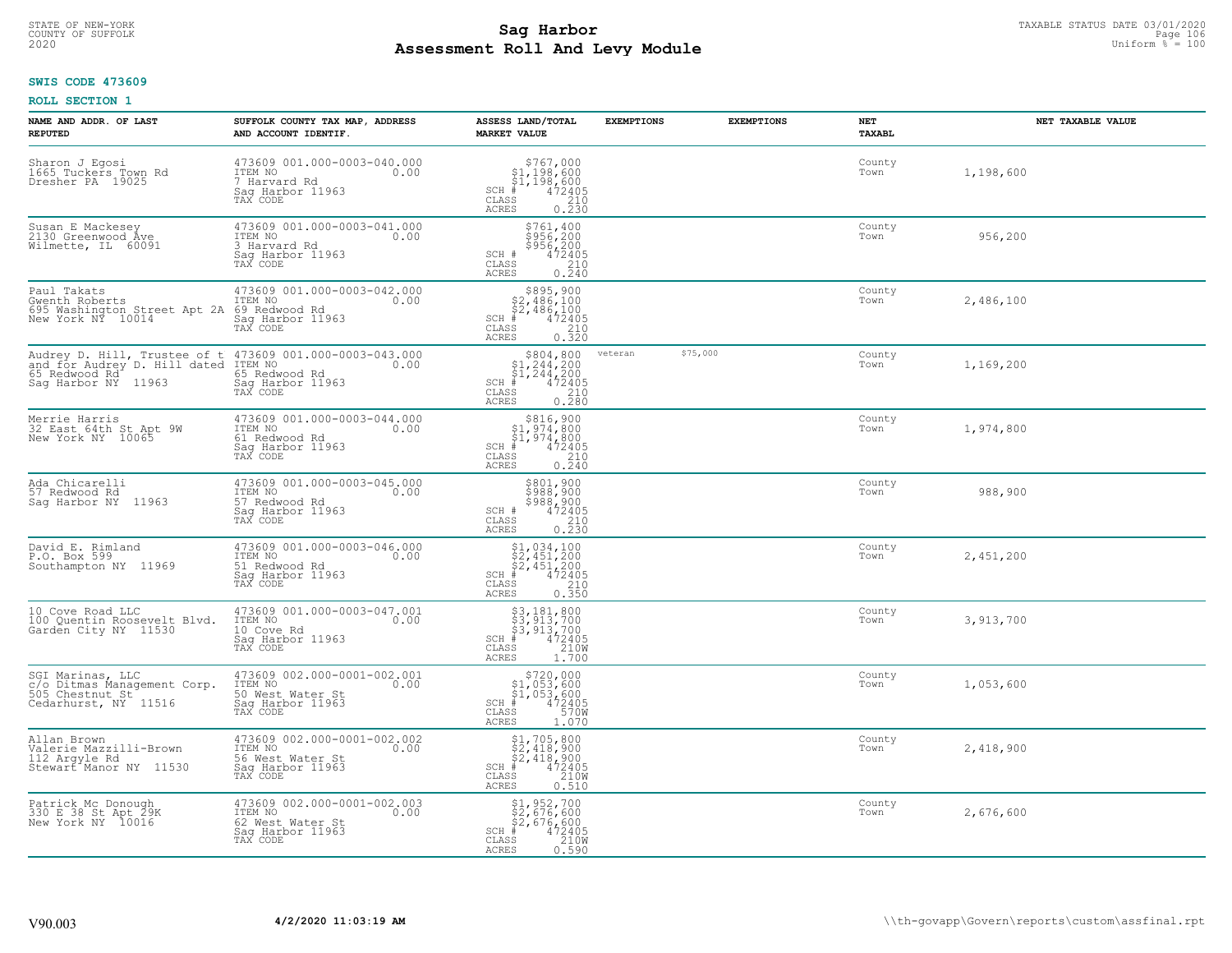# STATE OF NEW-YORK TAXABLE STATUS DATE 03/01/2020<br>COUNTY OF SUFFOLK Page 106 Page 106 **Assessment Roll And Levy Module Example 2020** Uniform  $\frac{1}{8}$  = 100

### **SWIS CODE 473609**

| NAME AND ADDR. OF LAST<br><b>REPUTED</b>                                                                                                 | SUFFOLK COUNTY TAX MAP, ADDRESS<br>AND ACCOUNT IDENTIF.                                            | ASSESS LAND/TOTAL<br><b>MARKET VALUE</b>                                                                                                          | <b>EXEMPTIONS</b> | <b>EXEMPTIONS</b> | NET<br>TAXABL  | NET TAXABLE VALUE |
|------------------------------------------------------------------------------------------------------------------------------------------|----------------------------------------------------------------------------------------------------|---------------------------------------------------------------------------------------------------------------------------------------------------|-------------------|-------------------|----------------|-------------------|
| Sharon J Eqosi<br>1665 Tuckers Town Rd<br>Dresher PA 19025                                                                               | 473609 001.000-0003-040.000<br>ITEM NO<br>0.00<br>7 Harvard Rd<br>Saq Harbor 11963<br>TAX CODE     | $$767,000$<br>$$1,198,600$<br>$$1,198,600$<br>$472405$<br>$$210$<br>$SCH$ #<br>CLASS<br><b>ACRES</b><br>0.230                                     |                   |                   | County<br>Town | 1,198,600         |
| Susan E Mackesey<br>2130 Greenwood Åve<br>Wilmette, IL 60091                                                                             | 473609 001.000-0003-041.000<br>ITEM NO<br>0.00<br>3 Harvard Rd<br>Sag Harbor 11963<br>TAX CODE     | \$761,400<br>$$956,200$ $$956,200$ $472405$ $0.240$<br>SCH #<br>CLASS<br>ACRES                                                                    |                   |                   | County<br>Town | 956,200           |
| Paul Takats<br>Gwenth Roberts<br>695 Washington Street Apt 2A 69 Redwood Rd<br>New York NY 10014                                         | 473609 001.000-0003-042.000<br>ITEM NO<br>0.00<br>Sag Harbor 11963<br>TAX CODE                     | \$895,900<br>32,486,100<br>\$2,486,100<br>\$2,486,100<br>\$5 210<br>\$5 210<br>\$5 0.320<br>SCH #<br>CLASS<br><b>ACRES</b>                        |                   |                   | County<br>Town | 2,486,100         |
| Audrey D. Hill, Trustee of t 473609 001.000-0003-043.000<br>and for Audrey D. Hill dated ITEM NO<br>65 Redwood Rd<br>Sag Harbor NY 11963 | 0.00<br>65 Redwood Rd<br>Saq Harbor 11963<br>TAX CODE                                              | \$804,800<br>$SCH$ #<br>$\mathtt{CLASS}$<br>0.280<br>ACRES                                                                                        | veteran           | \$75,000          | County<br>Town | 1,169,200         |
| Merrie Harris<br>32 East 64th St Apt 9W<br>New York NY 10065                                                                             | 473609 001.000-0003-044.000<br>ITEM NO<br>0.00<br>61 Redwood Rd<br>Saq Harbor 11963<br>TAX CODE    | \$816,900<br>$\begin{array}{l} $1,974,800 \ $1,974,800 \ \pm \ 472405 \end{array}$<br>$SCH$ #<br>$\mathtt{CLASS}$<br>$\frac{210}{0.240}$<br>ACRES |                   |                   | County<br>Town | 1,974,800         |
| Ada Chicarelli<br>57 Redwood Rd<br>Saq Harbor NY 11963                                                                                   | 473609 001.000-0003-045.000<br>ITEM NO<br>0.00<br>57 Redwood Rd<br>Sag Harbor 11963<br>TAX CODE    | \$801,900<br>\$988,900<br>\$988,900<br>472405<br>0.230<br>0.230<br>SCH #<br>CLASS<br><b>ACRES</b>                                                 |                   |                   | County<br>Town | 988,900           |
| David E. Rimland<br>P.O. Box 599<br>Southampton NY 11969                                                                                 | 473609 001.000-0003-046.000<br>ITEM NO<br>0.00<br>51 Redwood Rd<br>Sag Harbor 11963<br>TAX CODE    | $$2,451,200$<br>$$2,451,200$<br>$$2,451,200$<br>$472405$<br>$$210$<br>SCH #<br>CLASS<br><b>ACRES</b><br>0.350                                     |                   |                   | County<br>Town | 2,451,200         |
| 10 Cove Road LLC<br>100 Quentin Roosevelt Blvd.<br>Garden City NY 11530                                                                  | 473609 001.000-0003-047.001<br>ITEM NO<br>0.00<br>10 Cove Rd<br>Saq Harbor 11963<br>TAX CODE       | \$3,181,800<br>\$3,913,700<br>\$3,913,700<br>#472405<br>\$5,4210M<br>$SCH$ #<br>CLASS<br><b>ACRES</b><br>1.700                                    |                   |                   | County<br>Town | 3,913,700         |
| SGI Marinas, LLC<br>c/o Ditmas Management Corp.<br>505 Chestnut St <sup>-</sup><br>Cedarhurst, NY 11516                                  | 473609 002.000-0001-002.001<br>ITEM NO<br>0.00<br>50 West Water St<br>Sag Harbor 11963<br>TAX CODE | \$720,000<br>$$1,053,600$<br>$$1,053,600$<br>$*$ 472405<br>$570$<br>$SCH$ #<br>CLASS<br>ACRES<br>1.070                                            |                   |                   | County<br>Town | 1,053,600         |
| Allan Brown<br>Valerie Mazzilli-Brown<br>112 Argyle Rd<br>Stewart <sup>*</sup> Manor NY 11530                                            | 473609 002.000-0001-002.002<br>ITEM NO<br>0.00<br>56 West Water St<br>Sag Harbor 11963<br>TAX CODE | $$2,418,900$<br>$$2,418,900$<br>$$4,42405$<br>$$4,2405$<br>$$210M$<br>SCH #<br>CLASS<br><b>ACRES</b><br>0.510                                     |                   |                   | County<br>Town | 2,418,900         |
| Patrick Mc Donough<br>330 E 38 St Apt 29K<br>New York NY 10016                                                                           | 473609 002.000-0001-002.003<br>ITEM NO<br>0.00<br>62 West Water St<br>Sag Harbor 11963<br>TAX CODE | \$1,952,700<br>\$2,676,600<br>\$2,676,600<br># 472405<br>\$5 210M<br>$SCH$ #<br>CLASS<br>ACRES<br>0.590                                           |                   |                   | County<br>Town | 2,676,600         |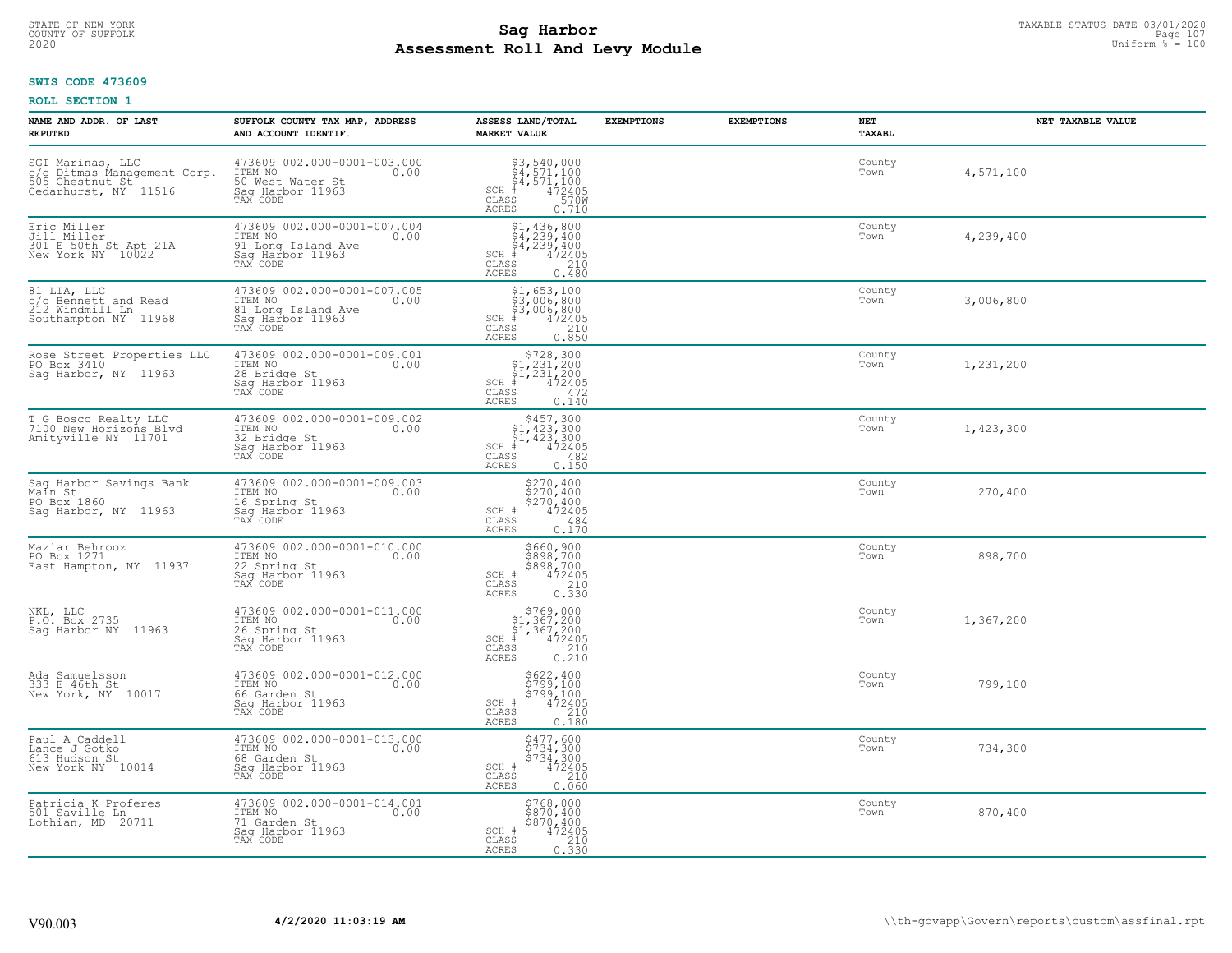# STATE OF NEW-YORK TAXABLE STATUS DATE 03/01/2020<br>COUNTY OF SUFFOLK Page 107 Page 107 **Assessment Roll And Levy Module Example 2020** Uniform  $\frac{1}{8}$  = 100

#### **SWIS CODE 473609**

| NAME AND ADDR. OF LAST<br><b>REPUTED</b>                                                   | SUFFOLK COUNTY TAX MAP, ADDRESS<br>AND ACCOUNT IDENTIF.                                              | ASSESS LAND/TOTAL<br><b>MARKET VALUE</b>                                                                                                                     | <b>EXEMPTIONS</b> | <b>EXEMPTIONS</b> | NET<br>TAXABL  | NET TAXABLE VALUE |
|--------------------------------------------------------------------------------------------|------------------------------------------------------------------------------------------------------|--------------------------------------------------------------------------------------------------------------------------------------------------------------|-------------------|-------------------|----------------|-------------------|
| SGI Marinas, LLC<br>c/o Ditmas Management Corp.<br>505 Chestnut St<br>Cedarhurst, NY 11516 | 473609 002.000-0001-003.000<br>ITEM NO<br>0.00<br>50 West Water St<br>Saq Harbor 11963<br>TAX CODE   | $$3,540,000$<br>$$4,571,100$<br>$$4,571,100$<br>$472405$<br>$$570W$<br>$SCH$ #<br>$\mathtt{CLASS}$<br><b>ACRES</b><br>0.710                                  |                   |                   | County<br>Town | 4,571,100         |
| Eric Miller<br>Jill Miller<br>301 E 50th St Apt 21A<br>New York NY 10022                   | 473609 002.000-0001-007.004<br>ITEM NO<br>0.00<br>91 Long Island Ave<br>Sag Harbor 11963<br>TAX CODE | $$4, 239, 400$<br>$$4, 239, 400$<br>$$4, 239, 400$<br>$\frac{472405}{210}$<br>$SCH$ #<br>CLASS<br><b>ACRES</b><br>0.480                                      |                   |                   | County<br>Town | 4,239,400         |
| 81 LIA, LLC<br>c/o Bennett and Read<br>212 Windmill Ln<br>Southampton NY 11968             | 473609 002.000-0001-007.005<br>ITEM NO<br>0.00<br>81 Long Island Ave<br>Sag Harbor 11963             | $$1,653,100$<br>$$3,006,800$<br>$$3,006,800$<br>$SCH$ #<br>$\begin{smallmatrix} 472405 \\ 472405 \\ 210 \\ 0.850 \end{smallmatrix}$<br>CLASS<br><b>ACRES</b> |                   |                   | County<br>Town | 3,006,800         |
| Rose Street Properties LLC<br>PO Box 3410<br>Saq Harbor, NY 11963                          | 473609 002.000-0001-009.001<br>ITEM NO<br>0.00<br>28 Bridge St<br>Saq Harbor 11963<br>TAX CODE       | $$728,300$<br>$$1,231,200$<br>$$1,231,200$<br>$*$<br>$472405$<br>$SCH$ #<br>CLASS<br>472<br>0.140<br>ACRES                                                   |                   |                   | County<br>Town | 1,231,200         |
| T G Bosco Realty LLC<br>7100 New Horizons Blvd<br>Amityville NY 11701                      | 473609 002.000-0001-009.002<br>ITEM NO<br>0.00<br>32 Bridge St<br>Sag Harbor 11963<br>TAX CODE       | $$457,300$<br>$$1,423,300$<br>$$1,423,300$<br>$472405$<br>$482$<br>$482$<br>$SCH$ #<br>CLASS<br><b>ACRES</b><br>0.150                                        |                   |                   | County<br>Town | 1,423,300         |
| Sag Harbor Savings Bank<br>Main St<br>PO Box 1860<br>Saq Harbor, NY 11963                  | 473609 002.000-0001-009.003<br>ITEM NO<br>0.00<br>16 Spring St<br>Sag Harbor 11963<br>TAX CODE       | \$270,400<br>\$270,400<br>\$270,400<br>472405<br>SCH #<br>CLASS<br>484<br>0.170<br><b>ACRES</b>                                                              |                   |                   | County<br>Town | 270,400           |
| Maziar Behrooz<br>PO Box 1271<br>East Hampton, NY 11937                                    | 473609 002.000-0001-010.000<br>ITEM NO<br>0.00<br>22 Spring St<br>Sag Harbor 11963<br>TAX CODE       | \$660,900<br>\$898,700<br>\$898,700<br>\$898,700<br>SCH #<br>$\mathtt{CLASS}$<br>$\frac{210}{0.330}$<br><b>ACRES</b>                                         |                   |                   | County<br>Town | 898,700           |
| NKL, LLC<br>P.O. Box 2735<br>Sag Harbor NY 11963                                           | 473609 002.000-0001-011.000<br>ITEM NO 0.00<br>26 Spring St<br>Saq Harbor 11963<br>TAX CODE          | $\begin{array}{r} 5769,000 \\ 51,367,200 \\ 51,367,200 \\ \pm \\ 472405 \\ \text{ss} \\ 210 \end{array}$<br>SCH #<br>CLASS<br>ACRES<br>0.210                 |                   |                   | County<br>Town | 1,367,200         |
| Ada Samuelsson<br>333 E 46th St<br>New York, NY 10017                                      | 473609 002.000-0001-012.000<br>TTEM NO 0.00<br>66 Garden St<br>Saq Harbor 11963<br>TAX CODE          | \$622,400<br>\$799,100<br>\$799,100<br>472405<br>SCH #<br>CLASS<br>210<br><b>ACRES</b><br>0.180                                                              |                   |                   | County<br>Town | 799,100           |
| Paul A Caddell<br>Lance J Gotko<br>613 Hudson St<br>New York NY 10014                      | 473609 002.000-0001-013.000<br>ITEM NO<br>0.00<br>68 Garden St<br>Sag Harbor 11963<br>TAX CODE       | $\begin{array}{c}\n 5477, 600 \\  5734, 300 \\  5734, 300 \\  472405 \\  210\n \end{array}$<br>$SCH$ $#$<br>CLASS<br><b>ACRES</b><br>0.060                   |                   |                   | County<br>Town | 734,300           |
| Patricia K Proferes<br>501 Saville Ln<br>Lothian, MD 20711                                 | 473609 002.000-0001-014.001<br>ITEM NO<br>0.00<br>71 Garden St<br>Sag Harbor 11963<br>TAX CODE       | \$768,000<br>\$870,400<br>\$870,400<br>SCH #<br>472405<br>210<br>CLASS<br><b>ACRES</b><br>0.330                                                              |                   |                   | County<br>Town | 870,400           |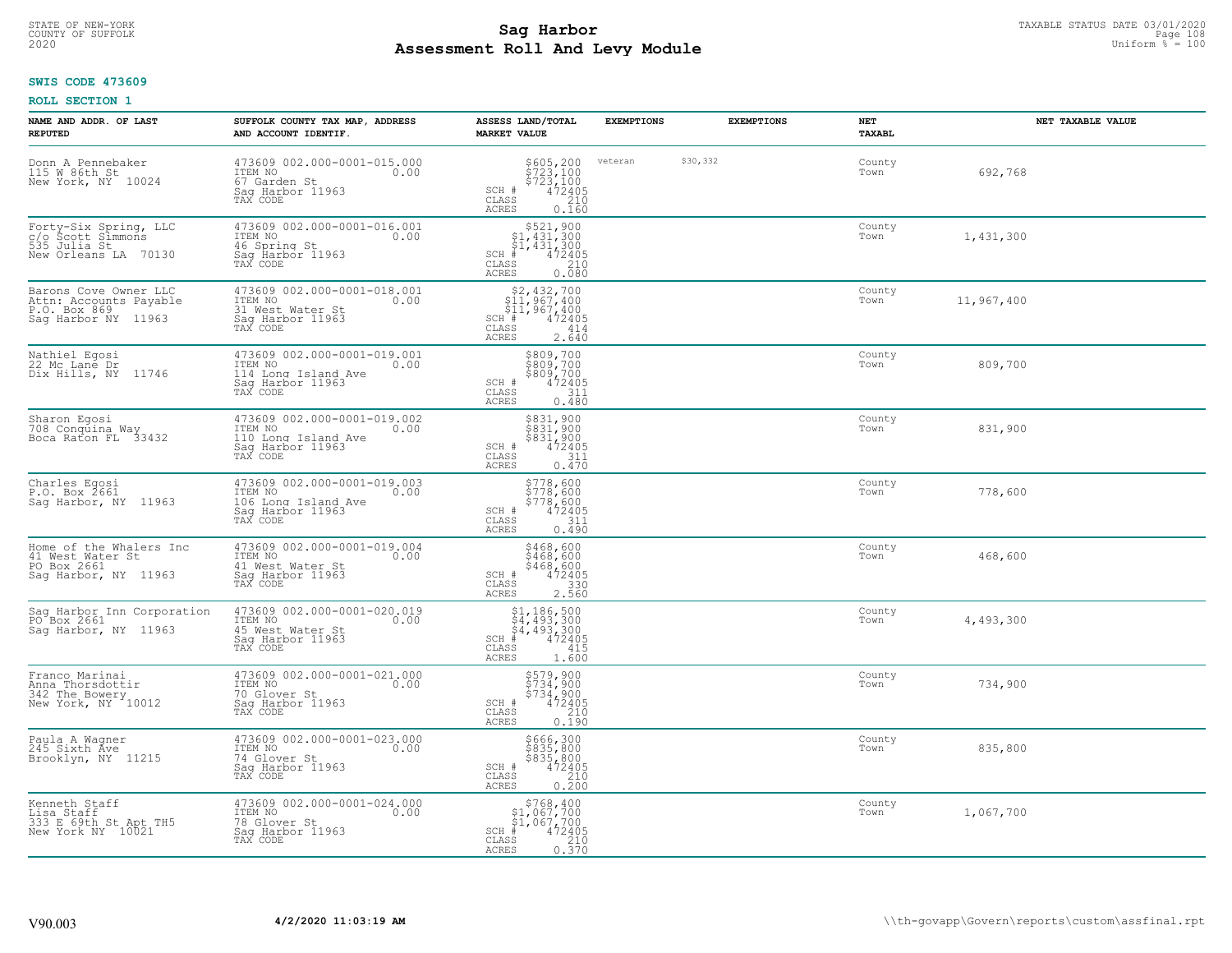# STATE OF NEW-YORK TAXABLE STATUS DATE 03/01/2020<br>COUNTY OF SUFFOLK Page 108 Page 108 **Assessment Roll And Levy Module Example 2020** Uniform  $\frac{1}{8}$  = 100

### **SWIS CODE 473609**

| NAME AND ADDR. OF LAST<br><b>REPUTED</b>                                               | SUFFOLK COUNTY TAX MAP, ADDRESS<br>AND ACCOUNT IDENTIF.                                               | ASSESS LAND/TOTAL<br><b>MARKET VALUE</b>                                                                                                                                                                                                                                                                                                                                           | <b>EXEMPTIONS</b> | <b>EXEMPTIONS</b> | NET<br>TAXABL  |            | NET TAXABLE VALUE |
|----------------------------------------------------------------------------------------|-------------------------------------------------------------------------------------------------------|------------------------------------------------------------------------------------------------------------------------------------------------------------------------------------------------------------------------------------------------------------------------------------------------------------------------------------------------------------------------------------|-------------------|-------------------|----------------|------------|-------------------|
| Donn A Pennebaker<br>115 W 86th St<br>New York, NY 10024                               | 473609 002.000-0001-015.000<br>ITEM NO<br>0.00<br>67 Garden St<br>Sag Harbor 11963<br>TAX CODE        | \$605, 200<br>$$723,100$<br>$$723,100$<br>SCH #<br>472405<br>CLASS<br>210<br><b>ACRES</b><br>0.160                                                                                                                                                                                                                                                                                 | veteran           | \$30,332          | County<br>Town | 692,768    |                   |
| Forty-Six Spring, LLC<br>c/o Scott Simmons<br>535 Julia St<br>New Orleans LA 70130     | 473609 002.000-0001-016.001<br>ITEM NO<br>0.00<br>46 Spring St<br>Sag Harbor 11963<br>TAX CODE        | $\begin{array}{r}  \  \  \, 521,900 \\  \  \, 51,431,300 \\  \  \, 51,431,300 \\  \  \  \, 431,300 \\  \  \  \, 442405 \\  \  \, 55 & 210 \\  \  \, 210 \\  \  \, 0 & 0 \\  \  \, 0 & 0 \\  \  \, 0 & 0 \\  \  \, 0 & 0 \\  \  \, 0 & 0 \\  \  \, 0 & 0 \\  \  \, 0 & 0 \\  \  \, 0 & 0 \\  \  \, 0 & 0 \\  \  \, 0 & $<br>SCH #<br>CLASS<br><b>ACRES</b><br>0.080                 |                   |                   | County<br>Town | 1,431,300  |                   |
| Barons Cove Owner LLC<br>Attn: Accounts Payable<br>P.O. Box 869<br>Saq Harbor NY 11963 | 473609 002.000-0001-018.001<br>ITEM NO<br>0.00<br>31 West Water St<br>Sag Harbor 11963<br>TAX CODE    | $\begin{array}{r}  \  \  \, 52,432,700 \\  \  \, 511,967,400 \\  \  \, 511,967,400 \\  \  \, 81 & \quad 472405 \\  \  \, 85 & \quad 2414 \\  \  \, 43 & \quad 474 \\  \  \, 0 & \quad 414 \\  \  \, 0 & \quad 414 \\  \  \, 0 & \quad 414 \\  \  \, 0 & \quad 414 \\  \  \, 0 & \quad 414 \\  \  \, 0 & \quad 414 \\  \  \, 0 & \quad 414 \\ $<br>SCH #<br>CLASS<br>2.640<br>ACRES |                   |                   | County<br>Town | 11,967,400 |                   |
| Nathiel Egosi<br>22 Mc Lane Dr<br>Dix Hills, NY 11746                                  | 473609 002.000-0001-019.001<br>ITEM NO<br>0.00<br>114 Long Island Ave<br>Sag Harbor 11963<br>TAX CODE | \$809,700<br>\$809,700<br>\$809,700<br>\$809,700<br>SCH #<br>CLASS<br>31ĭ<br><b>ACRES</b><br>0.480                                                                                                                                                                                                                                                                                 |                   |                   | County<br>Town | 809,700    |                   |
| Sharon Egosi<br>708 Conquina Way<br>Boca Raton FL 33432                                | 473609 002.000-0001-019.002<br>ITEM NO<br>0.00<br>110 Long Island Ave<br>Sag Harbor 11963<br>TAX CODE | \$831,900<br>\$831,900<br>\$831,900<br>472405<br>SCH #<br>$\mathtt{CLASS}$<br>311<br>ACRES<br>0.470                                                                                                                                                                                                                                                                                |                   |                   | County<br>Town | 831,900    |                   |
| Charles Egosi<br>P.O. Box 2661<br>Saq Harbor, NY 11963                                 | 473609 002.000-0001-019.003<br>ITEM NO<br>0.00<br>106 Long Island Ave<br>Sag Harbor 11963<br>TAX CODE | \$778,600<br>\$778,600<br>\$778,600<br>\$778,600<br>SCH #<br>$\mathtt{CLASS}$<br>311<br>0.490<br><b>ACRES</b>                                                                                                                                                                                                                                                                      |                   |                   | County<br>Town | 778,600    |                   |
| Home of the Whalers Inc<br>41 West Water St<br>PO Box 2661<br>Sag Harbor, NY 11963     | 473609 002.000-0001-019.004<br>TTEM NO 0.00<br>41 West Water St<br>Sag Harbor 11963<br>TAX CODE       | \$468,600<br>\$468,600<br>\$468,600<br>472405<br>SCH #<br>CLASS<br>330<br><b>ACRES</b><br>2.560                                                                                                                                                                                                                                                                                    |                   |                   | County<br>Town | 468,600    |                   |
| Sag Harbor Inn Corporation<br>PO Box 2661<br>Saq Harbor, NY 11963                      | 473609 002.000-0001-020.019<br>ITEM NO<br>0.00<br>45 West Water St<br>Saq Harbor 11963<br>TAX CODE    | $$4, 493, 300$<br>$$4, 493, 300$<br>$$4, 493, 300$<br>$$4, 493, 300$<br>$$5, 402, 405$<br>$SCH$ #<br>CLASS<br>415<br><b>ACRES</b><br>1.600                                                                                                                                                                                                                                         |                   |                   | County<br>Town | 4,493,300  |                   |
| Franco Marinai<br>Anna Thorsdottir<br>342 The Bowery<br>New York, NY 10012             | 473609 002.000-0001-021.000<br>ITEM NO 0.00<br>70 Glover St<br>Saq Harbor 11963<br>TAX CODE           | \$579,900<br>\$734,900<br>\$734,900<br>\$734,900<br>SCH #<br>210<br>CLASS<br><b>ACRES</b><br>0.190                                                                                                                                                                                                                                                                                 |                   |                   | County<br>Town | 734,900    |                   |
| Paula A Wagner<br>245 Sixth Áve<br>Brooklyn, NY 11215                                  | 473609 002.000-0001-023.000<br>ITEM NO<br>0.00<br>74 Glover St<br>Sag Harbor 11963<br>TAX CODE        | \$666,300<br>\$835,800<br>\$835,800<br>\$835,800<br>SCH #<br>CLASS<br>$\begin{array}{c} 210 \\ 0.200 \end{array}$<br><b>ACRES</b>                                                                                                                                                                                                                                                  |                   |                   | County<br>Town | 835,800    |                   |
| Kenneth Staff<br>Lisa Staff<br>333 E 69th St Apt TH5<br>New York NY 10021              | 473609 002.000-0001-024.000<br>ITEM NO<br>0.00<br>78 Glover St<br>Saq Harbor 11963<br>TAX CODE        | $$768, 400$<br>$$1, 067, 700$<br>$$1, 067, 700$<br>$SCH$ #<br>472405<br>$\mathtt{CLASS}$<br>210<br>0.370<br>ACRES                                                                                                                                                                                                                                                                  |                   |                   | County<br>Town | 1,067,700  |                   |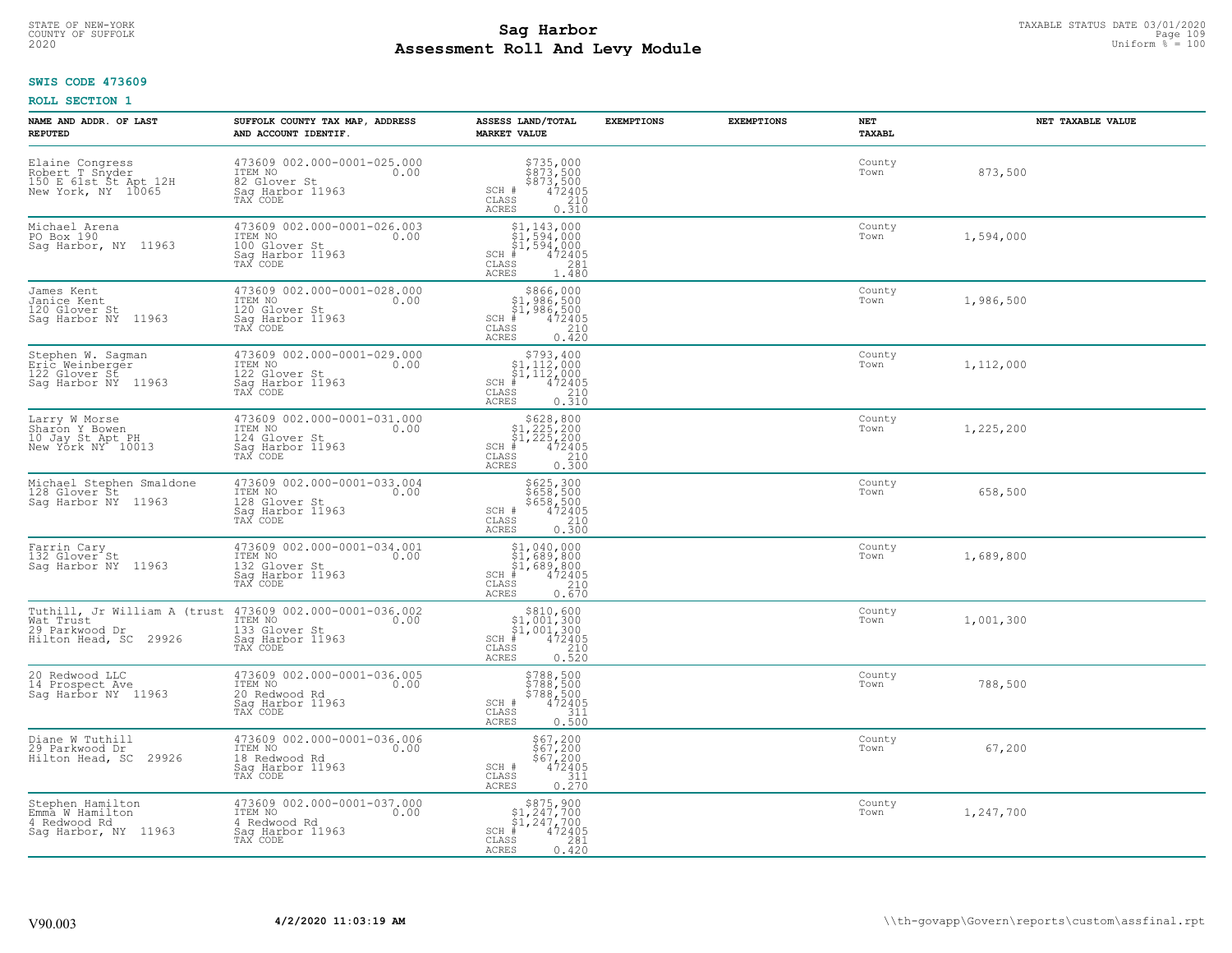# TAXABLE STATUS DATE 03/01/2020<br>COUNTY OF SUFFOLK Page 109 Page 109 **Assessment Roll And Levy Module Example 2020** Uniform  $\frac{1}{8}$  = 100

### **SWIS CODE 473609**

| NAME AND ADDR. OF LAST<br><b>REPUTED</b>                                          | SUFFOLK COUNTY TAX MAP, ADDRESS<br>AND ACCOUNT IDENTIF.                                                                              | ASSESS LAND/TOTAL<br><b>MARKET VALUE</b>                                                                                                                  | <b>EXEMPTIONS</b> | <b>EXEMPTIONS</b> | NET<br>TAXABL  | NET TAXABLE VALUE |
|-----------------------------------------------------------------------------------|--------------------------------------------------------------------------------------------------------------------------------------|-----------------------------------------------------------------------------------------------------------------------------------------------------------|-------------------|-------------------|----------------|-------------------|
| Elaine Congress<br>Robert T Snyder<br>150 E 61st St Apt 12H<br>New York, NY 10065 | 473609 002.000-0001-025.000<br>ITEM NO<br>0.00<br>82 Glover St<br>Sag Harbor 11963<br>TAX CODE                                       | \$735,000<br>\$873,500<br>\$873,500<br>472405<br>SCH #<br>$\mathtt{CLASS}$<br>210<br>ACRES<br>0.310                                                       |                   |                   | County<br>Town | 873,500           |
| Michael Arena<br>PO Box 190<br>Sag Harbor, NY 11963                               | 473609 002.000-0001-026.003<br>ITEM NO<br>0.00<br>100 Glover St<br>Sag Harbor 11963<br>TAX CODE                                      | $$1, 143, 000$<br>$$1, 594, 000$<br>$$1, 594, 000$<br>$$472405$<br>$SCH$ #<br>CLASS<br>281<br>1.480<br>ACRES                                              |                   |                   | County<br>Town | 1,594,000         |
| James Kent<br>Janice Kent<br>120 Glover St<br>Sag Harbor NY 11963                 | 473609 002.000-0001-028.000<br>ITEM NO<br>0.00<br>120 Glover St<br>Sag Harbor 11963<br>TAX CODE                                      | \$866,000<br>$$1,986,500$<br>$$1,986,500$<br>$472405$<br>SCH #<br>CLASS<br>210<br>0.420<br>ACRES                                                          |                   |                   | County<br>Town | 1,986,500         |
| Stephen W. Sagman<br>Eric Weinberger<br>122 Glover St<br>Saq Harbor NY 11963      | 473609 002.000-0001-029.000<br>ITEM NO<br>0.00<br>122 Glover St<br>Sag Harbor 11963<br>TAX CODE                                      | $\begin{array}{r} 5793, 400 \\ 51, 112, 000 \\ 51, 112, 000 \\ \# \\ 472405 \\ \text{ss} \\ 210 \end{array}$<br>$SCH$ #<br>CLASS<br>0.310<br><b>ACRES</b> |                   |                   | County<br>Town | 1,112,000         |
| Larry W Morse<br>Sharon Y Bowen<br>10 Jay St Apt PH<br>New York NY 10013          | 473609 002.000-0001-031.000<br>ITEM NO<br>0.00<br>124 Glover St<br>Saq Harbor 11963<br>TAX CODE                                      | \$628,800<br>$\begin{array}{r} 51,225,200 \\ 51,225,200 \\ \pm 472405 \end{array}$<br>$SCH$ #<br>CLASS<br>210<br>0.300<br>ACRES                           |                   |                   | County<br>Town | 1,225,200         |
| Michael Stephen Smaldone<br>128 Glover St<br>Saq Harbor NY 11963                  | 473609 002.000-0001-033.004<br>ITEM NO<br>0.00<br>128 Glover St<br>Sag Harbor 11963<br>TAX CODE                                      | \$625,300<br>\$658,500<br>\$658,500<br>472405<br>SCH #<br>CLASS<br>210<br><b>ACRES</b><br>0.300                                                           |                   |                   | County<br>Town | 658,500           |
| Farrin Cary<br>132 Glover <sup>-</sup> St<br>Sag Harbor NY 11963                  | 473609 002.000-0001-034.001<br>ITEM NO<br>0.00<br>132 Glover St<br>Sag Harbor 11963<br>TAX CODE                                      | $$1,040,000$<br>$$1,689,800$<br>$$1,689,800$<br>$$1,689,800$<br>$472405$<br>$SCH$ #<br>CLASS<br>210<br>0.670<br>ACRES                                     |                   |                   | County<br>Town | 1,689,800         |
| 29 Parkwood Dr<br>Hilton Head, SC 29926                                           | Tuthill, Jr William A (trust 473609 002.000-0001-036.002<br>Wat Trust 1TEM NO 10.00<br>133 Glover St<br>Sag Harbor 11963<br>TAX CODE | $\begin{array}{c} $810, 600 $1,001,300 $1,001,300 # 472405 \end{array}$<br>SCH #<br>CLASS<br>210<br><b>ACRES</b><br>0.520                                 |                   |                   | County<br>Town | 1,001,300         |
| 20 Redwood LLC<br>14 Prospect Ave<br>Sag Harbor NY 11963                          | 473609 002.000-0001-036.005<br>TTEM NO 0.00<br>20 Redwood Rd<br>Saq Harbor 11963<br>TAX CODE                                         | \$788,500<br>\$788,500<br>\$788,500<br>\$788,500<br>SCH #<br>CLASS<br>311<br><b>ACRES</b><br>0.500                                                        |                   |                   | County<br>Town | 788,500           |
| Diane W Tuthill<br>29 Parkwood Dr<br>Hilton Head, SC 29926                        | 473609 002.000-0001-036.006<br>ITEM NO<br>0.00<br>18 Redwood Rd<br>Sag Harbor 11963<br>TAX CODE                                      | \$67,200<br>\$67,200<br>\$67,200<br>472405<br>SCH #<br>311<br>CLASS<br><b>ACRES</b><br>0.270                                                              |                   |                   | County<br>Town | 67,200            |
| Stephen Hamilton<br>Emma W Hamilton<br>4 Redwood Rd<br>Saq Harbor, NY 11963       | 473609 002.000-0001-037.000<br>ITEM NO<br>0.00<br>4 Redwood Rd<br>Sag Harbor 11963<br>TAX CODE                                       | $\begin{array}{c} $875,900 \\ $1,247,700 \\ $1,247,700 \end{array}$<br>$SCH$ #<br>472405<br>CLASS<br>281<br><b>ACRES</b><br>0.420                         |                   |                   | County<br>Town | 1,247,700         |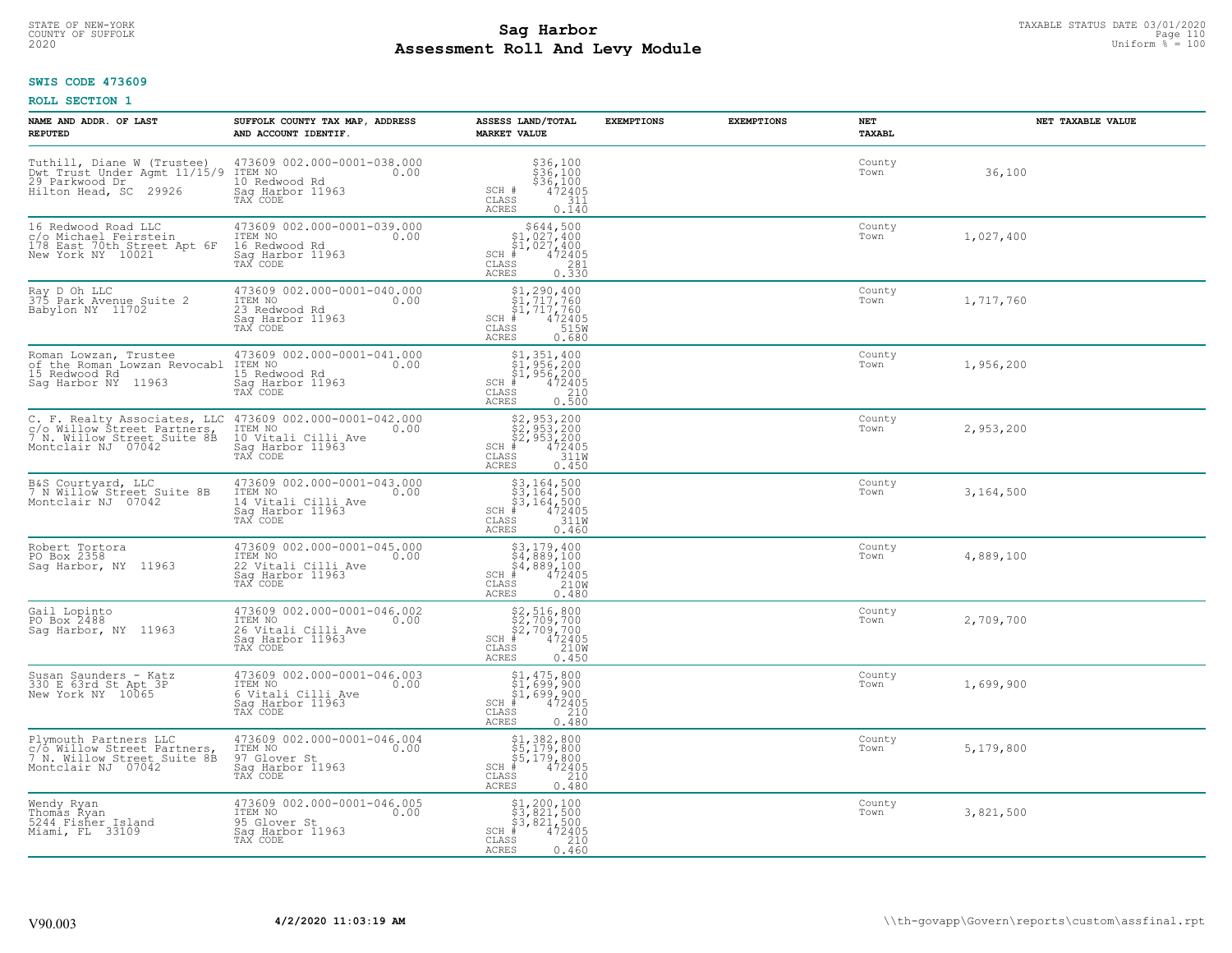# STATE OF NEW-YORK TAXABLE STATUS DATE 03/01/2020<br>COUNTY OF SUFFOLK Page 110 Page 110 **Assessment Roll And Levy Module Example 2020** Uniform  $\frac{1}{8}$  = 100

# **SWIS CODE 473609**

| NAME AND ADDR. OF LAST<br><b>REPUTED</b>                                                                            | SUFFOLK COUNTY TAX MAP, ADDRESS<br>AND ACCOUNT IDENTIF.                                               | ASSESS LAND/TOTAL<br><b>MARKET VALUE</b>                                                                                              | <b>EXEMPTIONS</b> | <b>EXEMPTIONS</b> | <b>NET</b><br>TAXABL | NET TAXABLE VALUE |
|---------------------------------------------------------------------------------------------------------------------|-------------------------------------------------------------------------------------------------------|---------------------------------------------------------------------------------------------------------------------------------------|-------------------|-------------------|----------------------|-------------------|
| Tuthill, Diane W (Trustee)<br>Dwt Trust Under Agmt 11/15/9<br>29 Parkwood Dr<br>Hilton Head, SC 29926               | 473609 002.000-0001-038.000<br>ITEM NO<br>0.00<br>10 Redwood Rd<br>Sag Harbor 11963<br>TAX CODE       | \$36,100<br>\$36,100<br>\$36,100<br>\$472405<br>SCH #<br>$\mathtt{CLASS}$<br>311<br>0.140<br>ACRES                                    |                   |                   | County<br>Town       | 36,100            |
| 16 Redwood Road LLC<br>c/o Michael Feirstein<br>178 East 70th Street Apt 6F<br>New York NY 10021                    | 473609 002.000-0001-039.000<br>ITEM NO<br>0.00<br>16 Redwood Rd<br>Sag Harbor 11963<br>TAX CODE       | $$644,50051,027,40051,027,400+1472405$<br>SCH #<br>CLASS<br>$\frac{281}{0.330}$<br>ACRES                                              |                   |                   | County<br>Town       | 1,027,400         |
| Ray D Oh LLC<br>375 Park Avenue Suite 2<br>Babylon NY 11702                                                         | 473609 002.000-0001-040.000<br>ITEM NO<br>0.00<br>23 Redwood Rd<br>Sag Harbor 11963<br>TAX CODE       | $$1, 290, 400$<br>$$1, 717, 760$<br>$$1, 717, 760$<br>$472405$<br>ss<br>$$150$<br>$SCH$ #<br>CLASS<br><b>ACRES</b><br>0.680           |                   |                   | County<br>Town       | 1,717,760         |
| Roman Lowzan, Trustee<br>of the Roman Lowzan Revocabl ITEM NO<br>15 Redwood Rd<br>Saq Harbor NY 11963               | 473609 002.000-0001-041.000<br>0.00<br>15 Redwood Rd<br>Saq Harbor 11963<br>TAX CODE                  | $$1,351,400$<br>$$1,956,200$<br>$$1,956,200$<br>$472405$<br>$$210$<br>$SCH$ #<br>$\mathtt{CLASS}$<br>0.500<br><b>ACRES</b>            |                   |                   | County<br>Town       | 1,956,200         |
| C. F. Realty Associates, LLC<br>C. A. Willow Street Partners,<br>7 N. Willow Street Partners,<br>Montclair NJ 07042 | 473609 002.000-0001-042.000<br>ITEM NO<br>0.00<br>10 Vitali Cilli Ave<br>Sag Harbor 11963             | $$2,953,200$<br>$$2,953,200$<br>$$2,953,200$<br>$$472405$<br>$$311W$<br>$SCH$ #<br>CLASS<br><b>ACRES</b><br>0.450                     |                   |                   | County<br>Town       | 2,953,200         |
| B&S Courtyard, LLC<br>7 N Willow Street Suite 8B<br>Montclair NJ 07042                                              | 473609 002.000-0001-043.000<br>ITEM NO<br>0.00<br>14 Vitali Cilli Ave<br>Sag Harbor 11963<br>TAX CODE | $$3,164,500$<br>$$3,164,500$<br>$$3,164,500$<br>$472405$<br>$311M$<br>$SCH$ #<br>$\mathtt{CLASS}$<br><b>ACRES</b><br>0.460            |                   |                   | County<br>Town       | 3,164,500         |
| Robert Tortora<br>PO Box 2358<br>Saq Harbor, NY 11963                                                               | 473609 002.000-0001-045.000<br>ITEM NO<br>0.00<br>22 Vitali Cilli Ave<br>Sag Harbor 11963<br>TAX CODE | $$3, 179, 400$<br>$$4, 889, 100$<br>$$4, 889, 100$<br>$$4, 889, 100$<br>$472405$<br>$SCH$ #<br>CLASS<br>210W<br><b>ACRES</b><br>0.480 |                   |                   | County<br>Town       | 4,889,100         |
| Gail Lopinto<br>PO Box 2488<br>Sag Harbor, NY 11963                                                                 | 473609 002.000-0001-046.002<br>1TEM NO 0.00<br>26 Vitali Cilli Ave<br>Sag Harbor 11963                | \$2,516,800<br>\$2,709,700<br>\$2,709,700<br># 472405<br>\$8 210M<br>$SCH$ #<br>CLASS<br><b>ACRES</b><br>0.450                        |                   |                   | County<br>Town       | 2,709,700         |
| Susan Saunders - Katz<br>330 E 63rd St Apt 3P<br>New York NY 10065                                                  | 473609 002.000-0001-046.003<br>ITEM NO<br>0.00<br>6 Vitali Cilli Ave<br>Saq Harbor 11963              | $$1,475,800$<br>$$1,699,900$<br>$$1,699,900$<br>$472405$<br>$32,699,210$<br>SCH #<br>CLASS<br><b>ACRES</b><br>0.480                   |                   |                   | County<br>Town       | 1,699,900         |
| Plymouth Partners LLC<br>c/o Willow Street Partners,<br>7 N. Willow Street Suite 8B<br>Montclair NJ 07042           | 473609 002.000-0001-046.004<br>ITEM NO<br>97 Glover St<br>0.00<br>Saq Harbor 11963<br>TAX CODE        | \$1,382,800<br>\$5,179,800<br>\$5,179,800<br>$SCH$ #<br>472405<br>$\mathtt{CLASS}$<br>210<br><b>ACRES</b><br>0.480                    |                   |                   | County<br>Town       | 5,179,800         |
| Wendy Ryan<br>Thomas Ryan<br>5244 Fisher Island<br>Miami, FL 33109                                                  | 473609 002.000-0001-046.005<br>ITEM NO<br>0.00<br>95 Glover St<br>Sag Harbor 11963<br>TAX CODE        | \$1,200,100<br>\$3,821,500<br>\$3,821,500<br>$SCH$ #<br>472405<br>CLASS<br>210<br>0.460<br>ACRES                                      |                   |                   | County<br>Town       | 3,821,500         |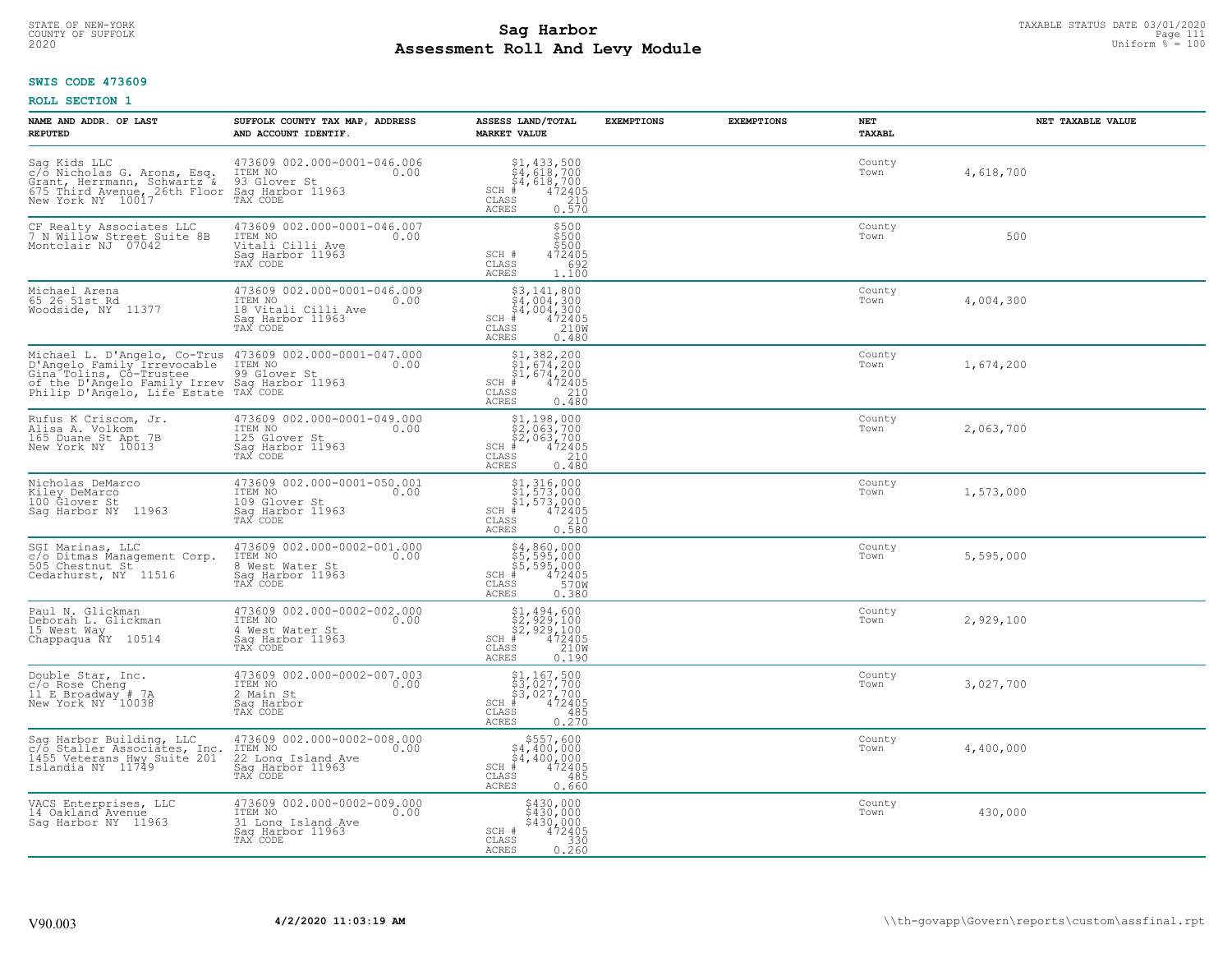### **Sag Harbor** TAXABLE STATUS DATE 03/01/2020<br>Pall and Louis Module **Assessment Roll And Levy Module Example 2020** Uniform  $\frac{1}{8}$  = 100 COUNTY OF SUFFOLK Page 111

#### **SWIS CODE 473609**

| NAME AND ADDR. OF LAST<br><b>REPUTED</b>                                                                                                                                                                                  | SUFFOLK COUNTY TAX MAP, ADDRESS<br>AND ACCOUNT IDENTIF.                                               | ASSESS LAND/TOTAL<br><b>MARKET VALUE</b>                                                                                                                                                                                                                                                                                                                                                    | <b>EXEMPTIONS</b><br><b>EXEMPTIONS</b> | NET<br><b>TAXABL</b> | NET TAXABLE VALUE |
|---------------------------------------------------------------------------------------------------------------------------------------------------------------------------------------------------------------------------|-------------------------------------------------------------------------------------------------------|---------------------------------------------------------------------------------------------------------------------------------------------------------------------------------------------------------------------------------------------------------------------------------------------------------------------------------------------------------------------------------------------|----------------------------------------|----------------------|-------------------|
| Sag Kids LLC<br>c/o Nicholas G. Arons, Esq.<br>Crant, Herrmann, Schwartz & 93 Glover St<br>675 Third Avenue, 26th Floor Saq Harbor 11963<br>New York NY 10017 TAX CODE                                                    | 473609 002.000-0001-046.006<br>ITEM NO<br>0.00                                                        | $\begin{array}{r} \texttt{\$1,433,500}\ \\ \texttt{\$4,618,700}\ \\ \texttt{\$4,618,700}\ \\ \texttt{\$4,618,700}\ \\ \texttt{\$5$} \end{array}$<br>$SCH$ #<br>$\mathtt{CLASS}$<br>ACRES                                                                                                                                                                                                    |                                        | County<br>Town       | 4,618,700         |
| CF Realty Associates LLC<br>7 N Willow Street Suite 8B<br>Montclair NJ 07042                                                                                                                                              | 473609 002.000-0001-046.007<br>ITEM NO<br>0.00<br>Vitali Cilli Ave<br>Sag Harbor 11963<br>TAX CODE    | \$500<br>\$500<br>\$500<br>SCH #<br>472405<br>CLASS<br>692<br>ACRES<br>1,100                                                                                                                                                                                                                                                                                                                |                                        | County<br>Town       | 500               |
| Michael Arena<br>65 26 51st Rd<br>Woodside, NY 11377                                                                                                                                                                      | 473609 002.000-0001-046.009<br>ITEM NO<br>0.00<br>18 Vitali Cilli Ave<br>Sag Harbor 11963<br>TAX CODE | \$3,141,800<br>\$4,004,300<br>\$4,004,300<br># 472405<br>\$5 210M<br>$SCH$ #<br>CLASS<br><b>ACRES</b><br>0.480                                                                                                                                                                                                                                                                              |                                        | County<br>Town       | 4,004,300         |
| Michael L. D'Angelo, Co-Trus 473609 002.000-0001-047.000<br>D'Angelo Family Irrevocable ITEM NO 0.00<br>Gina Tolins, Co-Trustee<br>of the D'Angelo Family Irrev Saq Harbor 11963<br>Philip D'Angelo, Life Estate TAX CODE | 99 Glover St                                                                                          | $SCH$ #<br>CLASS<br><b>ACRES</b><br>0.480                                                                                                                                                                                                                                                                                                                                                   |                                        | County<br>Town       | 1,674,200         |
| Rufus K Criscom, Jr.<br>Alisa A. Volkom<br>165 Duane St Apt 7B<br>New York NY 10013                                                                                                                                       | 473609 002.000-0001-049.000<br>ITEM NO<br>0.00<br>125 Glover St<br>Saq Harbor 11963<br>TAX CODE       | \$1,198,000<br>$\begin{array}{r} 3\frac{1}{2}, 1\frac{1}{2}, 3\frac{1}{2}, 700\\ 52, 063, 700\\ * & 472405\\ * & 210\\ * & 210\\ * & 210\\ * & 210\\ * & 210\\ * & 210\\ * & 210\\ * & 210\\ * & 210\\ * & 210\\ * & 210\\ * & 210\\ * & 210\\ * & 210\\ * & 210\\ * & 210\\ * & 210\\ * & 210\\ * & 210\\ * & 210\\ * & 210\\ * & 210\\ * & $<br>$SCH$ #<br>CLASS<br>0.480<br><b>ACRES</b> |                                        | County<br>Town       | 2,063,700         |
| Nicholas DeMarco<br>Kiley DeMarco<br>100 Glover St<br>Saq Harbor NY 11963                                                                                                                                                 | 473609 002.000-0001-050.001<br>ITEM NO<br>0.00<br>109 Glover St<br>Sag Harbor 11963<br>TAX CODE       | \$1,316,000<br>\$1,573,000<br>\$1,573,000<br>#472405<br>$SCH$ #<br>$\frac{210}{0.580}$<br>CLASS<br><b>ACRES</b>                                                                                                                                                                                                                                                                             |                                        | County<br>Town       | 1,573,000         |
| SGI Marinas, LLC<br>c/o Ditmas Management Corp.<br>505 Chestnut St<br>Cedarhurst, NY 11516                                                                                                                                | 473609 002.000-0002-001.000<br>ITEM NO<br>0.00<br>8 West Water St<br>Sag Harbor 11963<br>TAX CODE     | \$4,860,000<br>\$5,595,000<br>\$5,595,000<br>#472405<br>SCH #<br>570W<br>CLASS<br><b>ACRES</b><br>0.380                                                                                                                                                                                                                                                                                     |                                        | County<br>Town       | 5,595,000         |
| Paul N. Glickman<br>Deborah L. Glickman<br>15 West Way<br>Chappaqua ÑY 10514                                                                                                                                              | 473609 002.000-0002-002.000<br>TTEM NO 0.00<br>4 West Water St<br>Saq Harbor 11963<br>TAX CODE        | $$2,929,100$<br>$$2,929,100$<br>$$2,929,100$<br>$$472405$<br>$$2100$<br>$SCH$ #<br>CLASS<br><b>ACRES</b><br>0.190                                                                                                                                                                                                                                                                           |                                        | County<br>Town       | 2,929,100         |
| Double Star, Inc.<br>c/o Rose Cheng<br>11 E Broadway # 7A<br>New York NY 10038                                                                                                                                            | 473609 002.000-0002-007.003<br>10.00 0.00<br>2 Main St<br>Saq Harbor<br>TAX CODE                      | \$1,167,500<br>\$3,027,700<br>\$3,027,700<br>#472405<br>$SCH$ #<br>CLASS<br>485<br><b>ACRES</b><br>0.270                                                                                                                                                                                                                                                                                    |                                        | County<br>Town       | 3,027,700         |
| Sag Harbor Building, LLC<br>c/o Staller Associates, Inc.<br>1455 Veterans Hwy Suite 201<br>Islandia NY 11749                                                                                                              | 473609 002.000-0002-008.000<br>ITEM NO<br>0.00<br>22 Long Island Ave<br>Sag Harbor 11963<br>TAX CODE  | $$557,600$<br>$$4,400,000$<br>$$4,400,000$<br>$$4,400,000$<br>$$4,72405$<br>SCH #<br>CLASS<br>485<br><b>ACRES</b><br>0.660                                                                                                                                                                                                                                                                  |                                        | County<br>Town       | 4,400,000         |
| VACS Enterprises, LLC<br>14 Oakland Avenue<br>Saq Harbor NY 11963                                                                                                                                                         | 473609 002.000-0002-009.000<br>ITEM NO<br>0.00<br>31 Long Island Ave<br>Sag Harbor 11963<br>TAX CODE  | \$430,000<br>\$430,000<br>\$430,000<br>SCH #<br>$472405$<br>330<br>CLASS<br>0.260<br><b>ACRES</b>                                                                                                                                                                                                                                                                                           |                                        | County<br>Town       | 430,000           |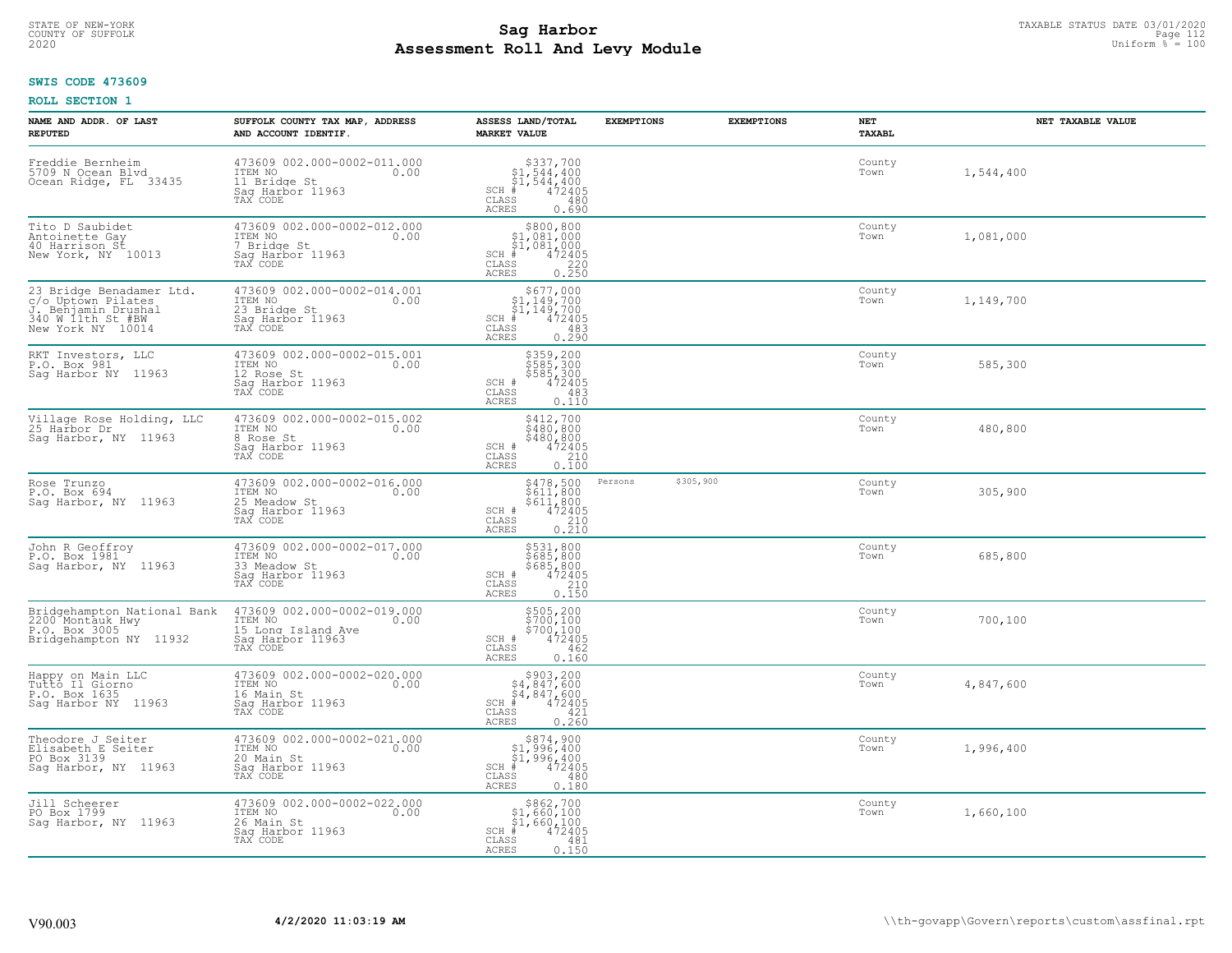# STATE OF NEW-YORK TAXABLE STATUS DATE 03/01/2020<br>COUNTY OF SUFFOLK Page 112 **Assessment Roll And Levy Module Example 2020** Uniform  $\frac{1}{8}$  = 100

#### **SWIS CODE 473609**

| NAME AND ADDR. OF LAST<br><b>REPUTED</b>                                                                       | SUFFOLK COUNTY TAX MAP, ADDRESS<br>AND ACCOUNT IDENTIF.                                                                                    | ASSESS LAND/TOTAL<br><b>MARKET VALUE</b>                                                                                       | <b>EXEMPTIONS</b> | <b>EXEMPTIONS</b> | NET<br>TAXABL  | NET TAXABLE VALUE |
|----------------------------------------------------------------------------------------------------------------|--------------------------------------------------------------------------------------------------------------------------------------------|--------------------------------------------------------------------------------------------------------------------------------|-------------------|-------------------|----------------|-------------------|
| Freddie Bernheim<br>5709 N Ocean Blvd<br>Ocean Ridge, FL 33435                                                 | 473609 002.000-0002-011.000<br>ITEM NO 0.00<br>11 Bridge St<br>Saq Harbor 11963<br>TAX CODE                                                | $\begin{array}{r} $337,700 $1,544,400 $1,544,400 $1,544,400 $172405 $185 \end{array}$<br>CLASS<br>480<br>ACRES<br>0.690        |                   |                   | County<br>Town | 1,544,400         |
| Tito D Saubidet<br>Antoinette Gay<br>40 Harrison St<br>New York, NY 10013                                      | 473609 002.000-0002-012.000<br>TTEM NO<br>7 Bridge St<br>Sag Harbor 11963<br>TAX CODE                                                      | \$800,800<br>\$1,081,000<br>\$1,081,000<br>\$2,081,000<br>\$72405<br>CLASS<br>0.250<br>ACRES                                   |                   |                   | County<br>Town | 1,081,000         |
| 23 Bridge Benadamer Ltd.<br>EVALUATION Pilates<br>C/O Uptown Pilates<br>340 W 11th St #BW<br>New York NY 10014 | 473609 002.000-0002-014.001<br>ITEM NO 0.00<br>23 Bridge St<br>Sag Harbor 11963<br>TAX CODE                                                | \$677,000<br>$51,149,700$<br>$51,149,700$<br>$1 + 472405$<br>$-55$<br>$SCH$ #<br>CLASS<br>483<br>0.290<br>ACRES                |                   |                   | County<br>Town | 1,149,700         |
| RKT Investors, LLC<br>P.O. Box 981<br>Sag Harbor NY 11963                                                      | 473609 002.000-0002-015.001<br>TTEM NO COLLEGE CO.00<br>12 Rose St<br>Saq Harbor 11963<br>TAX CODE                                         | \$359,200<br>\$585,300<br>\$585,300<br>SCH # $472405$<br>CLASS<br>483<br>ACRES<br>0.110                                        |                   |                   | County<br>Town | 585,300           |
| Village Rose Holding, LLC<br>25 Harbor Dr<br>Sag Harbor, NY 11963                                              | 473609 002.000-0002-015.002<br>TTEM NO 0.00<br>8 Rose St<br>Sag Harbor 11963<br>TAX CODE                                                   | \$412,700<br>\$480,800<br>\$480,800<br>SCH # 472405<br>CLASS 210<br>ACRES 0.100                                                |                   |                   | County<br>Town | 480,800           |
| Rose Trunzo<br>P.O. Box 694<br>Sag Harbor, NY 11963                                                            | 473609 002.000-0002-016.000<br>ITEM NO 0.00<br>25 Meadow St<br>Sag Harbor 11963<br>TAX CODE                                                | \$478,500 Persons<br>\$611,800<br>\$611,800<br>472405<br>SCH #<br>CLASS<br>$\frac{210}{0.210}$<br>ACRES                        | \$305,900         |                   | County<br>Town | 305,900           |
| John R Geoffroy<br>P.O. Box 1981<br>Saq Harbor, NY 11963                                                       | 473609 002.000-0002-017.000<br>ITEM NO 0.00<br>33 Meadow St<br>Sag Harbor 11963<br>TAX CODE                                                | \$531,800<br>\$685,800<br>\$685,800<br>\$685,800<br>\$472405<br>210<br>CLASS<br>0.150<br>ACRES                                 |                   |                   | County<br>Town | 685,800           |
| P.O. Box 3005<br>Bridgehampton NY 11932                                                                        | Bridgehampton National Bank 473609 002.000-0002-019.000<br>200 Montauk Hwy 1TEM NO 1700 1000 000<br>15 Long Island Ave<br>Saq Harbor 11963 | $5505,2005700,1005700,100472405472405$<br>CLASS<br>462<br>ACRES<br>0.160                                                       |                   |                   | County<br>Town | 700,100           |
| Happy on Main LLC<br>Tutto Il Giorno<br>Acar 1635<br>P.O. Box 1635<br>Sag Harbor NY 11963                      | 473609 002.000-0002-020.000<br>ITEM NO 0.00<br>16 Main St<br>16 Main St<br>Sag Harbor 11963<br>TAX CODE                                    | $$903, 200$<br>$$4, 847, 600$<br>$$4, 847, 600$<br>$$4, 847, 600$<br>$$5, 472405$<br>$SCH$ #<br>CLASS<br>421<br>ACRES<br>0.260 |                   |                   | County<br>Town | 4,847,600         |
| Theodore J Seiter<br>Elisabeth E Seiter<br>PO Box 3139<br>Saq Harbor, NY 11963                                 | 473609 002.000-0002-021.000<br>ITEM NO 0.00<br>20 Main St<br>Sag Harbor 11963<br>TAX CODE                                                  | \$874,900<br>\$1,996,400<br>\$ī,996,400<br>cн # 472405<br>$SCH$ #<br>CLASS<br>480<br>0.180<br>ACRES                            |                   |                   | County<br>Town | 1,996,400         |
| Jill Scheerer<br>PO Box 1799<br>Sag Harbor, NY 11963                                                           | 473609 002.000-0002-022.000<br>ITEM NO 0.00<br>26 Main St<br>Sag Harbor 11963<br>TAX CODE                                                  | $$862,700$<br>\$1,660,100<br>\$1,660,100<br>$SCH$ #<br>472405<br>CLASS<br>481<br>0.150<br>ACRES                                |                   |                   | County<br>Town | 1,660,100         |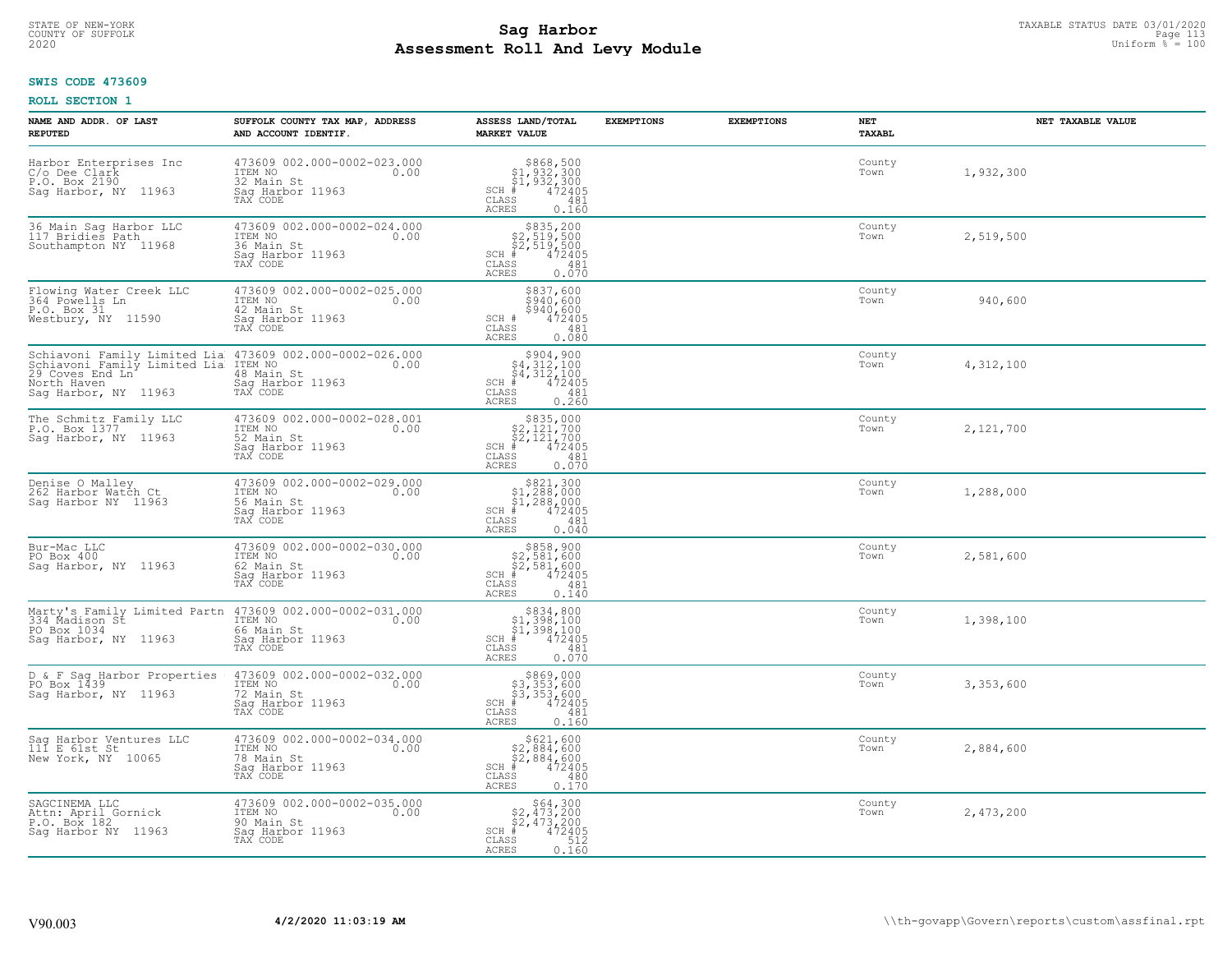# STATE OF NEW-YORK TAXABLE STATUS DATE 03/01/2020<br>COUNTY OF SUFFOLK Page 113 **Assessment Roll And Levy Module Example 2020** Uniform  $\frac{1}{8}$  = 100

#### **SWIS CODE 473609**

| NAME AND ADDR. OF LAST<br><b>REPUTED</b>                                                                                                                                   | SUFFOLK COUNTY TAX MAP, ADDRESS<br>AND ACCOUNT IDENTIF.                                      | ASSESS LAND/TOTAL<br><b>MARKET VALUE</b>                                                                                              | <b>EXEMPTIONS</b> | <b>EXEMPTIONS</b> | NET<br>TAXABL  | NET TAXABLE VALUE |
|----------------------------------------------------------------------------------------------------------------------------------------------------------------------------|----------------------------------------------------------------------------------------------|---------------------------------------------------------------------------------------------------------------------------------------|-------------------|-------------------|----------------|-------------------|
| Harbor Enterprises Inc<br>C/o Dee Clark<br>P.O. Box 2190<br>Sag Harbor, NY 11963                                                                                           | 473609 002.000-0002-023.000<br>ITEM NO<br>0.00<br>32 Main St<br>Saq Harbor 11963<br>TAX CODE | $$868,500$<br>$$1,932,300$<br>$$1,932,300$<br>$$472405$<br>$SCH$ $#$<br>CLASS<br>481<br>ACRES<br>0.160                                |                   |                   | County<br>Town | 1,932,300         |
| 36 Main Sag Harbor LLC<br>117 Bridies Path<br>Southampton NY 11968                                                                                                         | 473609 002.000-0002-024.000<br>ITEM NO<br>0.00<br>36 Main St<br>Sag Harbor 11963<br>TAX CODE | $$835, 200$<br>$$2, 519, 500$<br>$$2, 519, 500$<br>$$472405$<br>$SCH$ #<br>CLASS<br>481<br>0.070<br>ACRES                             |                   |                   | County<br>Town | 2,519,500         |
| Flowing Water Creek LLC<br>364 Powells Ln<br>P.O. Box 31<br>Westbury, NY 11590                                                                                             | 473609 002.000-0002-025.000<br>ITEM NO<br>0.00<br>42 Main St<br>Sag Harbor 11963<br>TAX CODE | \$837,600<br>3940,600<br>\$940,600<br>472405<br>SCH #<br>CLASS<br>481<br>0.080<br>ACRES                                               |                   |                   | County<br>Town | 940,600           |
| Schiavoni Family Limited Lia 473609 002.000-0002-026.000<br>Schiavoni Family Limited Lia ITEM NO 0.00<br>29 Coves End Ln 48 Main St<br>North Haven<br>Saq Harbor, NY 11963 | Saq Harbor 11963<br>TAX CODE                                                                 | \$904,900<br>$\begin{array}{l} 54,312,100 \\ 4,312,100 \\ +2,42405 \end{array}$<br>$SCH$ #<br>CLASS<br>481<br><b>ACRES</b><br>0.260   |                   |                   | County<br>Town | 4,312,100         |
| The Schmitz Family LLC<br>P.O. Box 1377<br>Sag Harbor, NY 11963                                                                                                            | 473609 002.000-0002-028.001<br>ITEM NO<br>0.00<br>52 Main St<br>Saq Harbor 11963<br>TAX CODE | \$835,000<br>$$2,121,700$<br>$$2,121,700$<br>$472405$<br>$SCH$ #<br>CLASS<br>481<br>0.070<br>ACRES                                    |                   |                   | County<br>Town | 2,121,700         |
| Denise O Malley<br>262 Harbor Watch Ct<br>Saq Harbor NY 11963                                                                                                              | 473609 002.000-0002-029.000<br>ITEM NO<br>0.00<br>56 Main St<br>Sag Harbor 11963<br>TAX CODE | $\begin{array}{c} $821,300 $1,288,000 $1,288,000 # 472405 \end{array}$<br>$SCH$ #<br>$\mathtt{CLASS}$<br>481<br><b>ACRES</b><br>0.040 |                   |                   | County<br>Town | 1,288,000         |
| Bur-Mac LLC<br>PO Box 400<br>Saq Harbor, NY 11963                                                                                                                          | 473609 002.000-0002-030.000<br>ITEM NO<br>0.00<br>62 Main St<br>Saq Harbor 11963<br>TAX CODE | $$858,900$<br>$$2,581,600$<br>$$2,581,600$<br>$$472405$<br>$SCH$ #<br>CLASS<br>481<br>0.140<br>ACRES                                  |                   |                   | County<br>Town | 2,581,600         |
| Marty's Family Limited Partn 473609 002.000-0002-031.000<br>334 Madison St ITEM NO 100<br>PO Box 1034<br>Sag Harbor, NY 11963                                              | 66 Main St<br>Saq Harbor 11963<br>TAX CODE                                                   | $$834, 800$<br>$$1, 398, 100$<br>$$1, 398, 100$<br>$*$<br>$*$<br>$*$<br>$*$<br>$*$<br>$SCH$ #<br>CLASS<br>481<br>ACRES<br>0.070       |                   |                   | County<br>Town | 1,398,100         |
| D & F Sag Harbor Properties<br>PO Box 1439<br>Saq Harbor, NY 11963                                                                                                         | 473609 002.000-0002-032.000<br>TTEM NO 0.00<br>72 Main St<br>Saq Harbor 11963<br>TAX CODE    | \$869,000<br>\$3,353,600<br>\$3,353,600<br>#472405<br>$SCH$ #<br>CLASS<br>481<br>ACRES<br>0.160                                       |                   |                   | County<br>Town | 3,353,600         |
| Sag Harbor Ventures LLC<br>111 E 61st St<br>New York, NY 10065                                                                                                             | 473609 002.000-0002-034.000<br>ITEM NO<br>0.00<br>78 Main St<br>Saq Harbor 11963<br>TAX CODE | \$621,600<br>$$2,884,600$<br>$$2,884,600$<br>$*$ 472405<br>$SCH$ #<br>CLASS<br>480<br>ACRES<br>0.170                                  |                   |                   | County<br>Town | 2,884,600         |
| SAGCINEMA LLC<br>Attn: April Gornick<br>P.O. Box 182<br>Saq Harbor NY 11963                                                                                                | 473609 002.000-0002-035.000<br>ITEM NO<br>0.00<br>90 Main St<br>Sag Harbor 11963<br>TAX CODE | $$64,300$<br>$$2,473,200$<br>$$2,473,200$<br>$$472405$<br>$SCH$ #<br>CLASS<br>512<br>ACRES<br>0.160                                   |                   |                   | County<br>Town | 2,473,200         |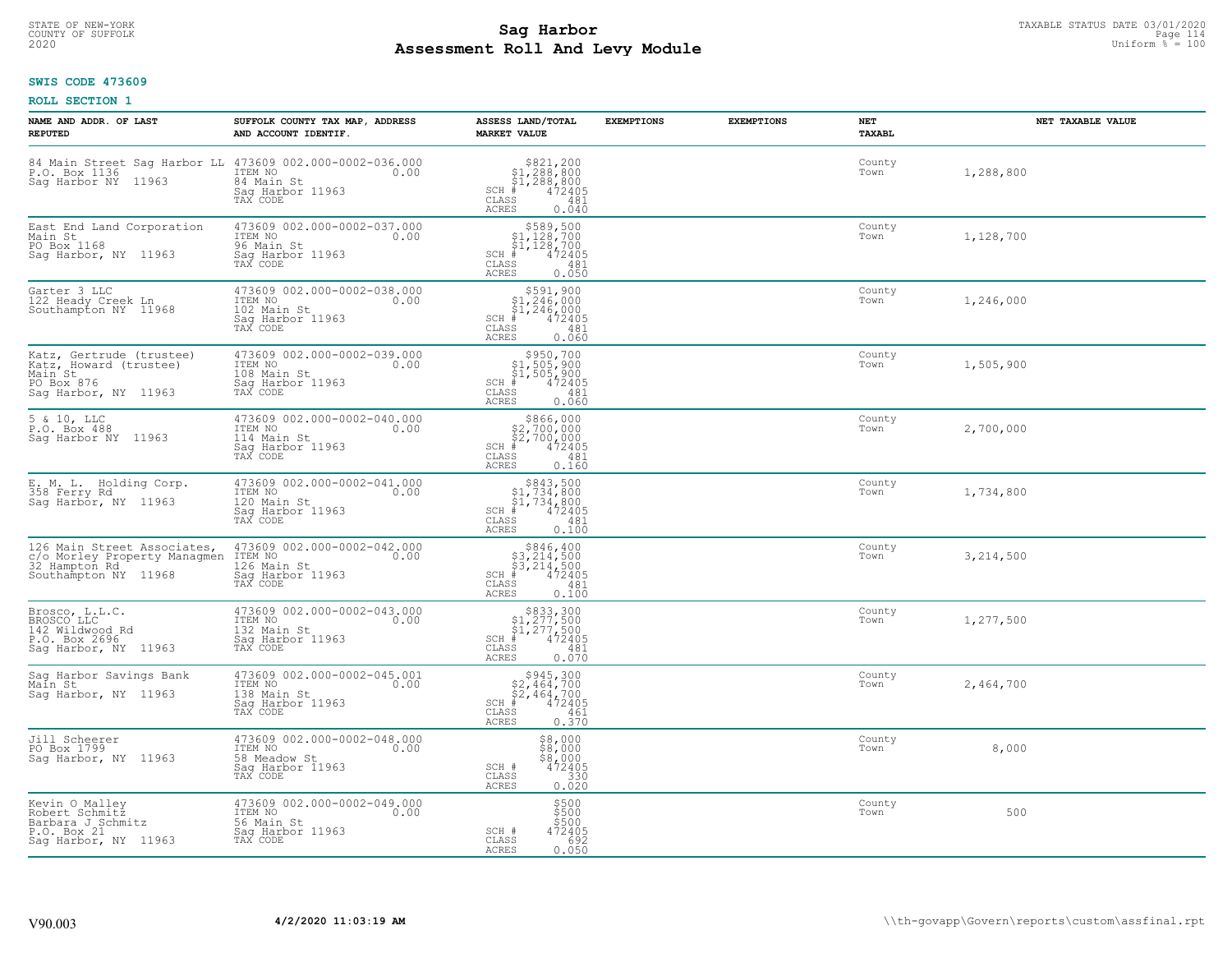# STATE OF NEW-YORK TAXABLE STATUS DATE 03/01/2020<br>COUNTY OF SUFFOLK Page 114 **Assessment Roll And Levy Module Example 2020** Uniform  $\frac{1}{8}$  = 100

# **SWIS CODE 473609**

| NAME AND ADDR. OF LAST<br><b>REPUTED</b>                                                                       | SUFFOLK COUNTY TAX MAP, ADDRESS<br>AND ACCOUNT IDENTIF.                                        | ASSESS LAND/TOTAL<br><b>MARKET VALUE</b>                                                                                                                           | <b>EXEMPTIONS</b> | <b>EXEMPTIONS</b> | <b>NET</b><br>TAXABL | NET TAXABLE VALUE |
|----------------------------------------------------------------------------------------------------------------|------------------------------------------------------------------------------------------------|--------------------------------------------------------------------------------------------------------------------------------------------------------------------|-------------------|-------------------|----------------------|-------------------|
| 84 Main Street Sag Harbor LL 473609 002.000-0002-036.000<br>P.O. Box 1136 1TEM NO 1.000<br>Sag Harbor NY 11963 | 84 Main St<br>Saq Harbor 11963<br>TAX CODE                                                     | $\begin{array}{r} 821,200 \\ 51,288,800 \\ 51,288,800 \\ * \\ 472405 \\ \text{ss} \\ 283 \\ \text{ss} \\ \end{array}$<br>$SCH$ #<br>CLASS<br><b>ACRES</b><br>0.040 |                   |                   | County<br>Town       | 1,288,800         |
| East End Land Corporation<br>Main St<br>PO Box 1168<br>Sag Harbor, NY 11963                                    | 473609 002.000-0002-037.000<br>ITEM NO<br>96 Main St<br>0.00<br>Sag Harbor 11963<br>TAX CODE   | $$589,500$<br>$$1,128,700$<br>$$1,128,700$<br>$$1,128,700$<br>$SCH$ #<br>472405<br>CLASS<br>481<br>0.050<br><b>ACRES</b>                                           |                   |                   | County<br>Town       | 1,128,700         |
| Garter 3 LLC<br>122 Heady Creek Ln<br>Southampton NY 11968                                                     | 473609 002.000-0002-038.000<br>ITEM NO<br>0.00<br>102 Main St<br>Sag Harbor 11963<br>TAX CODE  | $$5.91, 900$<br>$$1, 246, 000$<br>$$1, 246, 000$<br>$$472405$<br>$SCH$ #<br>CLASS<br>481<br>0.060<br>ACRES                                                         |                   |                   | County<br>Town       | 1,246,000         |
| Katz, Gertrude (trustee)<br>Katz, Howard (trustee)<br>Main St<br>PO Box 876<br>Sag Harbor, NY 11963            | 473609 002.000-0002-039.000<br>ITEM NO<br>0.00<br>108 Main St<br>Sag Harbor 11963<br>TAX CODE  | $$950,700$<br>$$1,505,900$<br>$$1,505,900$<br>$*$ 472405<br>SCH #<br>CLASS<br>481<br>0.060<br>ACRES                                                                |                   |                   | County<br>Town       | 1,505,900         |
| 5 & 10, LLC<br>P.O. Box 488<br>Sag Harbor NY 11963                                                             | 473609 002.000-0002-040.000<br>ITEM NO<br>0.00<br>114 Main St<br>Saq Harbor 11963<br>TAX CODE  | $$866,000$<br>$$2,700,000$<br>$$2,700,000$<br>$*$ 472405<br>$SCH$ #<br>CLASS<br>481<br>0.160<br><b>ACRES</b>                                                       |                   |                   | County<br>Town       | 2,700,000         |
| E. M. L. Holding Corp.<br>358 Ferry Rd<br>Sag Harbor, NY 11963                                                 | 473609 002.000-0002-041.000<br>ITEM NO<br>0.00<br>120 Main St<br>Sag Harbor 11963<br>TAX CODE  | $\begin{array}{c} $843,500 $1,734,800 $1,734,800 $472405 \end{array}$<br>$SCH$ #<br>CLASS<br>481<br>0.100<br><b>ACRES</b>                                          |                   |                   | County<br>Town       | 1,734,800         |
| 126 Main Street Associates,<br>c/o Morley Property Managmen<br>32 Hampton Rd.<br>Southampton NY 11968          | 473609 002.000-0002-042.000<br>ITEM NO<br>0.00<br>126 Main St<br>Sag Harbor 11963<br>TAX CODE  | $$846, 400$<br>$$3, 214, 500$<br>$$3, 214, 500$<br>$$472405$<br>$SCH$ #<br>$\mathtt{CLASS}$<br>481<br>0.100<br><b>ACRES</b>                                        |                   |                   | County<br>Town       | 3, 214, 500       |
| Brosco, L.L.C.<br>BROSCO LLC<br>142 Wildwood Rd<br>P.O. Box 2696<br>Sag Harbor, NY 11963                       | 473609 002.000-0002-043.000<br>ITEM NO 0.00<br>132 Main St<br>Saq Harbor 11963<br>TAX CODE     | $$833,300$<br>$$1,277,500$<br>$$1,277,500$<br>$*$ 472405<br>$SCH$ #<br>CLASS<br>481<br>ACRES<br>0.070                                                              |                   |                   | County<br>Town       | 1,277,500         |
| Sag Harbor Savings Bank<br>Main St<br>Saq Harbor, NY 11963                                                     | 473609 002.000-0002-045.001<br>TTEM NO 0.00<br>138 Main St<br>Saq Harbor 11963<br>TAX CODE     | $$2,464,700$<br>$$2,464,700$<br>$$472405$<br>$SCH$ #<br>CLASS<br>461<br><b>ACRES</b><br>0.370                                                                      |                   |                   | County<br>Town       | 2,464,700         |
| Jill Scheerer<br>PO Box 1799<br>Sag Harbor, NY 11963                                                           | 473609 002.000-0002-048.000<br>ITEM NO<br>0.00<br>58 Meadow St<br>Sag Harbor 11963<br>TAX CODE | $$8,000$<br>$$8,000$<br>$$8,000$<br>$$472405$<br>SCH #<br>330<br>CLASS<br>0.020<br><b>ACRES</b>                                                                    |                   |                   | County<br>Town       | 8,000             |
| Kevin O Malley<br>Robert Schmitz<br>Barbara J Schmitz<br>P.O. Box 21<br>Sag Harbor, NY 11963                   | 473609 002.000-0002-049.000<br>ITEM NO<br>0.00<br>56 Main St<br>Sag Harbor 11963<br>TAX CODE   | $\begin{array}{l} $500 \\ $500 \\ $500 \end{array}$<br>SCH #<br>472405<br>CLASS<br>692<br><b>ACRES</b><br>0.050                                                    |                   |                   | County<br>Town       | 500               |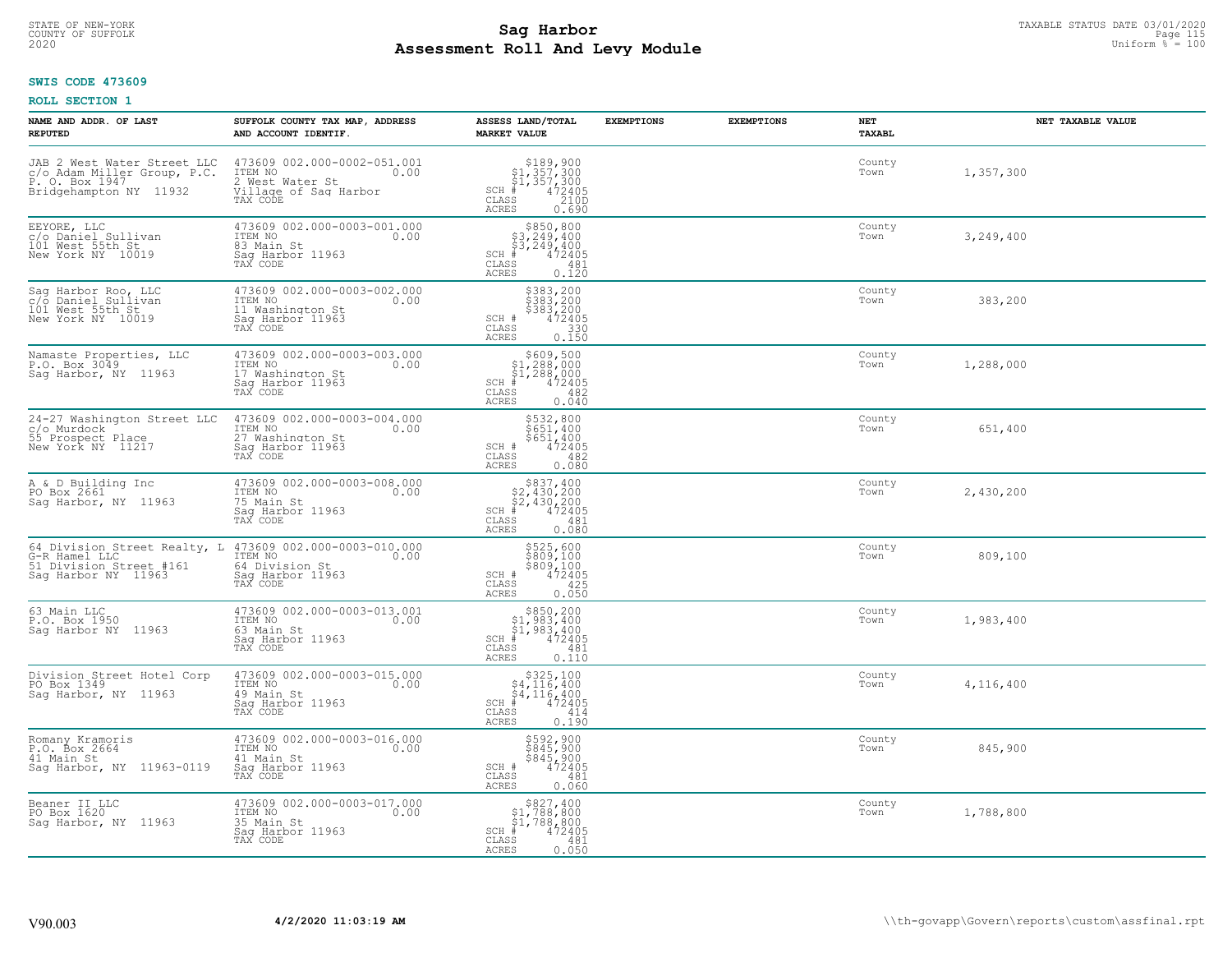# STATE OF NEW-YORK TAXABLE STATUS DATE 03/01/2020<br>COUNTY OF SUFFOLK Page 115 **Assessment Roll And Levy Module Example 2020** Uniform  $\frac{1}{8}$  = 100

### **SWIS CODE 473609**

| NAME AND ADDR. OF LAST<br><b>REPUTED</b>                                                               | SUFFOLK COUNTY TAX MAP, ADDRESS<br>AND ACCOUNT IDENTIF.                                                | ASSESS LAND/TOTAL<br><b>MARKET VALUE</b>                                                                                           | <b>EXEMPTIONS</b><br><b>EXEMPTIONS</b> | NET<br><b>TAXABL</b> | NET TAXABLE VALUE |
|--------------------------------------------------------------------------------------------------------|--------------------------------------------------------------------------------------------------------|------------------------------------------------------------------------------------------------------------------------------------|----------------------------------------|----------------------|-------------------|
| JAB 2 West Water Street LLC<br>c/o Adam Miller Group, P.C.<br>P. O. Box 1947<br>Bridgehampton NY 11932 | 473609 002.000-0002-051.001<br>ITEM NO<br>0.00<br>2 West Water St<br>Village of Sag Harbor<br>TAX CODE | $$189,900$<br>$$1,357,300$<br>$$1,357,300$<br>$472405$<br>$$2100$<br>$SCH$ #<br>$\mathtt{CLASS}$<br>ACRES<br>0.690                 |                                        | County<br>Town       | 1,357,300         |
| EEYORE, LLC<br>c/o Daniel Sullivan<br>101 West 55th St<br>New York NY 10019                            | 473609 002.000-0003-001.000<br>ITEM NO<br>0.00<br>83 Main St<br>Saq Harbor 11963<br>TAX CODE           | $$850, 800$<br>$$3, 249, 400$<br>$$3, 249, 400$<br>$$3, 249, 400$<br>$SCH$ #<br>472405<br>CLASS<br>481<br>0.120<br>ACRES           |                                        | County<br>Town       | 3,249,400         |
| Sag Harbor Roo, LLC<br>c/o Daniel Sullivan<br>101 West 55th St<br>New York NY 10019                    | 473609 002.000-0003-002.000<br>ITEM NO<br>0.00<br>11 Washington St<br>Sag Harbor 11963<br>TAX CODE     | \$383,200<br>\$383,200<br>\$383,200<br>SCH #<br>$\begin{smallmatrix} 472405\ 330\ 0.150 \end{smallmatrix}$<br>CLASS<br>ACRES       |                                        | County<br>Town       | 383,200           |
| Namaste Properties, LLC<br>P.O. Box 3049<br>Sag Harbor, NY 11963                                       | 473609 002.000-0003-003.000<br>ITEM NO<br>0.00<br>17 Washington St<br>Saq Harbor 11963<br>TAX CODE     | $$609,500$<br>$$1,288,000$<br>$$1,288,000$<br>$*$ 472405<br>$SCH$ #<br>CLASS<br>482<br><b>ACRES</b><br>0.040                       |                                        | County<br>Town       | 1,288,000         |
| 24-27 Washington Street LLC<br>c/o Murdock<br>55 Prospect Place<br>New York NY 11217                   | 473609 002.000-0003-004.000<br>ITEM NO<br>0.00<br>27 Washington St<br>Saq Harbor 11963<br>TAX CODE     | \$532,800<br>\$651,400<br>\$651,400<br>SCH #<br>472405<br>CLASS<br>482<br><b>ACRES</b><br>0.080                                    |                                        | County<br>Town       | 651,400           |
| A & D Building Inc<br>PO Box 2661<br>Sag Harbor, NY 11963                                              | 473609 002.000-0003-008.000<br>ITEM NO<br>0.00<br>75 Main St<br>Sag Harbor 11963<br>TAX CODE           | $$2,430,200$<br>$$2,430,200$<br>$$2,430,200$<br>$$472405$<br>$SCH$ #<br>CLASS<br>481<br>ACRES<br>0.080                             |                                        | County<br>Town       | 2,430,200         |
| 64 Division Street Realty, L<br>G-R Hamel LLC<br>51 Division Street #161<br>Sag Harbor NY 11963        | 473609 002.000-0003-010.000<br>ITEM NO<br>0.00<br>64 Division St<br>Saq Harbor 11963<br>TAX CODE       | \$525,600<br>\$809,100<br>\$809,100<br>472405<br>SCH #<br>$\mathtt{CLASS}$<br>425<br>ACRES<br>0.050                                |                                        | County<br>Town       | 809,100           |
| 63 Main LLC<br>P.O. Box 1950<br>Saq Harbor NY 11963                                                    | 473609 002.000-0003-013.001<br>TTEM NO 0.00<br>63 Main St<br>Saq Harbor 11963<br>TAX CODE              | $\begin{array}{c} $850,200 $1,983,400 $1,983,400 $472405 \end{array}$<br>$SCH$ #<br>CLASS<br>481<br><b>ACRES</b><br>0.110          |                                        | County<br>Town       | 1,983,400         |
| Division Street Hotel Corp<br>PO Box 1349<br>Saq Harbor, NY 11963                                      | 473609 002.000-0003-015.000<br>ITEM NO<br>0.00<br>49 Main St<br>Saq Harbor 11963<br>TAX CODE           | \$325,100<br>\$4,116,400<br>$\frac{1}{4}$ , 116, 400<br>$\frac{4}{4}$ , 472405<br>$SCH$ #<br>CLASS<br>414<br><b>ACRES</b><br>0.190 |                                        | County<br>Town       | 4,116,400         |
| Romany Kramoris<br>P.O. Box 2664<br>41 Main St<br>Sag Harbor, NY 11963-0119                            | 473609 002.000-0003-016.000<br>ITEM NO<br>0.00<br>41 Main St<br>Sag Harbor 11963<br>TAX CODE           | \$592,900<br>\$845,900<br>\$845,900<br>472405<br>SCH #<br>CLASS<br>481<br><b>ACRES</b><br>0.060                                    |                                        | County<br>Town       | 845,900           |
| Beaner II LLC<br>PO Box 1620<br>Saq Harbor, NY 11963                                                   | 473609 002.000-0003-017.000<br>ITEM NO<br>0.00<br>35 Main St<br>Sag Harbor 11963<br>TAX CODE           | \$827,400<br>$$1,788,800$<br>$$1,788,800$<br>$SCH$ #<br>472405<br>CLASS<br>481<br><b>ACRES</b><br>0.050                            |                                        | County<br>Town       | 1,788,800         |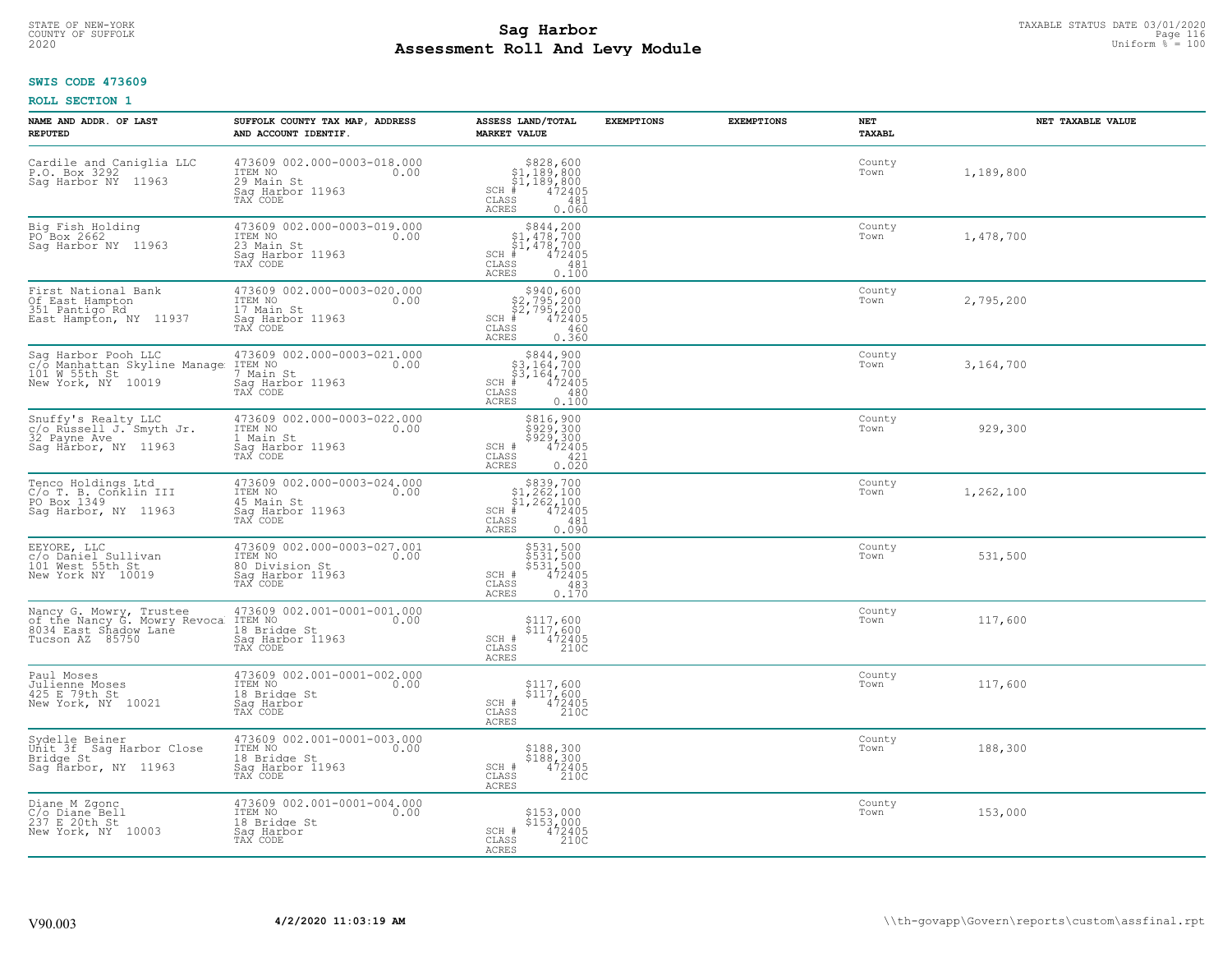# STATE OF NEW-YORK TAXABLE STATUS DATE 03/01/2020<br>COUNTY OF SUFFOLK Page 116 Page 116 **Assessment Roll And Levy Module Example 2020** Uniform  $\frac{1}{8}$  = 100

# **SWIS CODE 473609**

| NAME AND ADDR. OF LAST<br><b>REPUTED</b>                                                            | SUFFOLK COUNTY TAX MAP, ADDRESS<br>AND ACCOUNT IDENTIF.                                          | ASSESS LAND/TOTAL<br><b>MARKET VALUE</b>                                                                                            | <b>EXEMPTIONS</b> | <b>EXEMPTIONS</b> | NET<br>TAXABL  | NET TAXABLE VALUE |
|-----------------------------------------------------------------------------------------------------|--------------------------------------------------------------------------------------------------|-------------------------------------------------------------------------------------------------------------------------------------|-------------------|-------------------|----------------|-------------------|
| Cardile and Caniglia LLC<br>P.O. Box 3292<br>Sag Harbor NY 11963                                    | 473609 002.000-0003-018.000<br>ITEM NO<br>0.00<br>29 Main St<br>Saq Harbor 11963<br>TAX CODE     | $$828,600$<br>$$1,189,800$<br>$$1,189,800$<br>$*$ $472405$<br>$SCH$ #<br>CLASS<br>481<br><b>ACRES</b><br>0.060                      |                   |                   | County<br>Town | 1,189,800         |
| Big Fish Holding<br>PO Box 2662<br>Sag Harbor NY 11963                                              | 473609 002.000-0003-019.000<br>ITEM NO<br>0.00<br>23 Main St<br>Sag Harbor 11963<br>TAX CODE     | $$844, 200$<br>$$1, 478, 700$<br>$$1, 478, 700$<br>$$1, 478, 700$<br>$SCH$ #<br>$'$ 472405<br>CLASS<br>481<br><b>ACRES</b><br>0.100 |                   |                   | County<br>Town | 1,478,700         |
| First National Bank<br>Of East Hampton<br>351 Pantigo Rd<br>East Hampton, NY 11937                  | 473609 002.000-0003-020.000<br>ITEM NO<br>0.00<br>17 Main St<br>Sag Harbor 11963<br>TAX CODE     | $$2,795,200$<br>$$2,795,200$<br>$$2,795,200$<br>$*$ 472405<br>$SCH$ #<br>CLASS<br>460<br>0.360<br>ACRES                             |                   |                   | County<br>Town | 2,795,200         |
| Sag Harbor Pooh LLC<br>c/o Manhattan Skyline Manage<br>101 W 55th St<br>New York, NY 10019          | 473609 002.000-0003-021.000<br>ITEM NO<br>0.00<br>7 Main St<br>Saq Harbor 11963<br>TAX CODE      | $$3,164,700$<br>$$3,164,700$<br>$$3,164,700$<br>$SCH$ #<br>472405<br><b>CLASS</b><br>480<br><b>ACRES</b><br>0.100                   |                   |                   | County<br>Town | 3,164,700         |
| Snuffy's Realty LLC<br>c/o_Russell J. Smyth Jr.<br>32 Payne Ave<br>Sag Harbor, NY 11963             | 473609 002.000-0003-022.000<br>ITEM NO<br>0.00<br>1 Main St<br>Sag Harbor 11963<br>TAX CODE      | \$816,900<br>\$929,300<br>\$929,300<br>472405<br>SCH #<br>CLASS<br>421<br><b>ACRES</b><br>0.020                                     |                   |                   | County<br>Town | 929,300           |
| Tenco Holdings Ltd<br>C/o T. B. Conklin III<br>PO Box 1349<br>Sag Harbor, NY 11963                  | 473609 002.000-0003-024.000<br>ITEM NO<br>0.00<br>45 Main St<br>Sag Harbor 11963<br>TAX CODE     | $$339,700$<br>$$1,262,100$<br>$$1,262,100$<br>$$472405$<br>$SCH$ #<br>CLASS<br>$-481$<br>0.090<br><b>ACRES</b>                      |                   |                   | County<br>Town | 1,262,100         |
| EEYORE, LLC<br>c/o Daniel Sullivan<br>101 West 55th St<br>New York NY 10019                         | 473609 002.000-0003-027.001<br>ITEM NO<br>0.00<br>80 Division St<br>Sag Harbor 11963<br>TAX CODE | \$531,500<br>\$531,500<br>\$531,500<br>472405<br>SCH #<br>483<br>CLASS<br>0.170<br>ACRES                                            |                   |                   | County<br>Town | 531,500           |
| Nancy G. Mowry, Trustee<br>of the Nancy G. Mowry Revoca<br>8034 East Shadow Lane<br>Tucson AZ 85750 | 473609 002.001-0001-001.000<br>ITEM NO<br>0.00<br>18 Bridge St<br>Saq Harbor 11963<br>TAX CODE   | \$117,600<br>\$117,600<br>472405<br>210C<br>SCH #<br>$\mathtt{CLASS}$<br><b>ACRES</b>                                               |                   |                   | County<br>Town | 117,600           |
| Paul Moses<br>Julienne Moses<br>425 E 79th St<br>New York, NY 10021                                 | 473609 002.001-0001-002.000<br>TTEM NO 0.00<br>18 Bridge St<br>Saq Harbor<br>TAX CODE            | \$117,600<br>\$117,600<br>472405<br>SCH #<br>CLASS<br>210C<br><b>ACRES</b>                                                          |                   |                   | County<br>Town | 117,600           |
| Sydelle Beiner<br>Unit 3f Sag Harbor Close<br>Bridge St<br>Sag Harbor, NY 11963                     | 473609 002.001-0001-003.000<br>ITEM NO<br>0.00<br>18 Bridge St<br>Sag Harbor 11963<br>TAX CODE   | \$188,300<br>\$188,300<br>472405<br>210C<br>$SCH$ $#$<br>CLASS<br><b>ACRES</b>                                                      |                   |                   | County<br>Town | 188,300           |
| Diane M Zgonc<br>C/o Diane Bell<br>237 E 20th St<br>New York, NY 10003                              | 473609 002.001-0001-004.000<br>ITEM NO<br>0.00<br>18 Bridge St<br>Saq Harbor<br>TAX CODE         | \$153,000<br>$$153,000$<br>472405<br>210C<br>SCH #<br>CLASS<br><b>ACRES</b>                                                         |                   |                   | County<br>Town | 153,000           |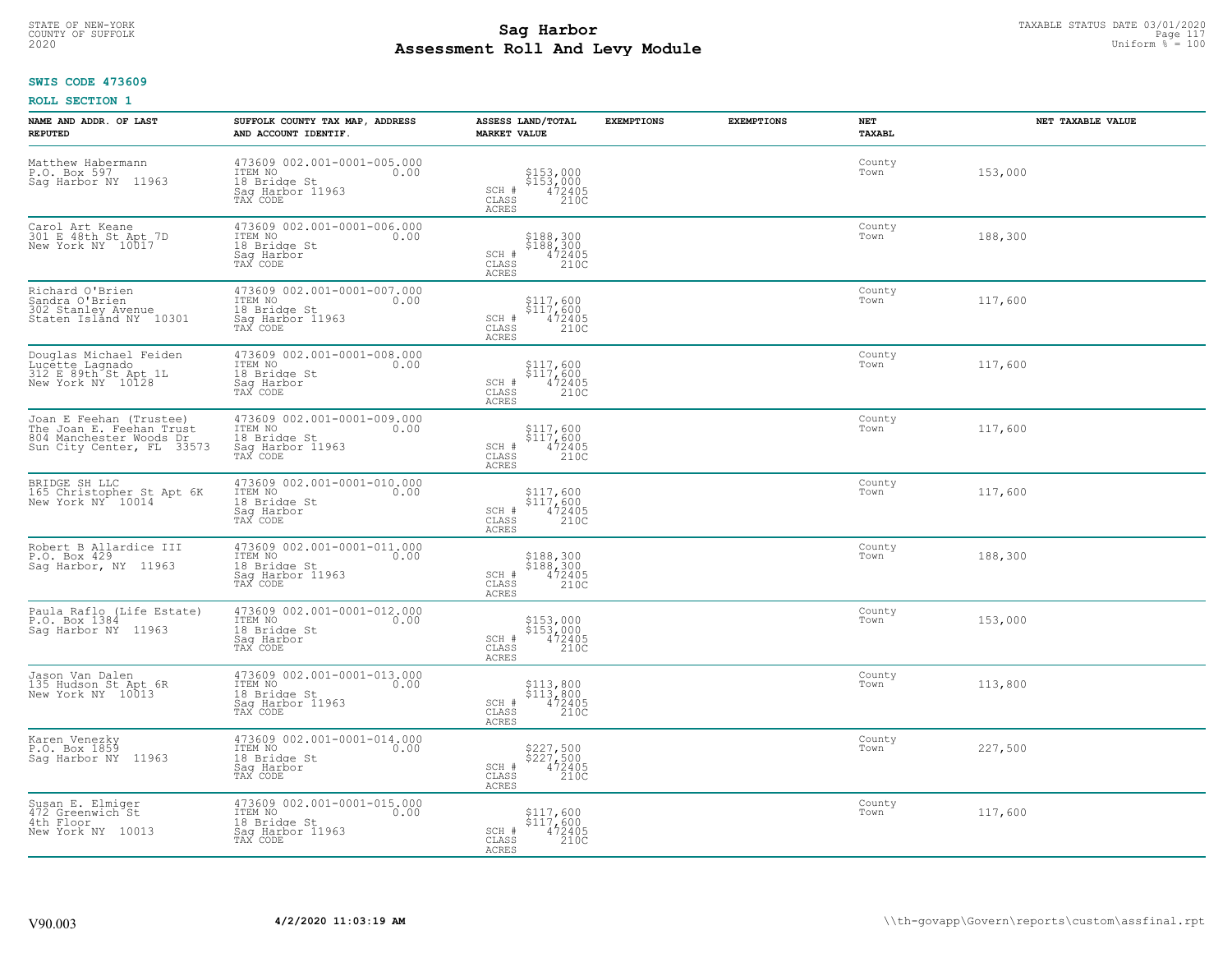# STATE OF NEW-YORK TAXABLE STATUS DATE 03/01/2020<br>COUNTY OF SUFFOLK Page 117 **Assessment Roll And Levy Module Example 2020** Uniform  $\frac{1}{8}$  = 100

#### **SWIS CODE 473609**

| NAME AND ADDR. OF LAST<br><b>REPUTED</b>                                                                    | SUFFOLK COUNTY TAX MAP, ADDRESS<br>AND ACCOUNT IDENTIF.                                        | ASSESS LAND/TOTAL<br><b>MARKET VALUE</b>                                                                 | <b>EXEMPTIONS</b> | <b>EXEMPTIONS</b> | <b>NET</b><br>TAXABL | NET TAXABLE VALUE |
|-------------------------------------------------------------------------------------------------------------|------------------------------------------------------------------------------------------------|----------------------------------------------------------------------------------------------------------|-------------------|-------------------|----------------------|-------------------|
| Matthew Habermann<br>P.O. Box 597<br>Sag Harbor NY 11963                                                    | 473609 002.001-0001-005.000<br>ITEM NO<br>0.00<br>18 Bridge St<br>Saq Harbor 11963<br>TAX CODE | \$153,000<br>\$153,000<br>472405<br>210C<br>SCH #<br>CLASS<br>ACRES                                      |                   |                   | County<br>Town       | 153,000           |
| Carol Art Keane<br>301 E 48th St Apt 7D<br>New York NY 10017                                                | 473609 002.001-0001-006.000<br>ITEM NO<br>0.00<br>18 Bridge St<br>Sag Harbor<br>TAX CODE       | \$188,300<br>\$188,300<br>472405<br>SCH #<br>CLASS<br>210C<br>ACRES                                      |                   |                   | County<br>Town       | 188,300           |
| Richard O'Brien<br>Sandra O'Brien<br>302 Stanley Avenue<br>Staten Island NY 10301                           | 473609 002.001-0001-007.000<br>ITEM NO<br>0.00<br>18 Bridge St<br>Sag Harbor 11963<br>TAX CODE | \$117,600<br>$\begin{array}{r} 5117,600 \\ 472405 \\ 210C \end{array}$<br>SCH #<br>CLASS<br><b>ACRES</b> |                   |                   | County<br>Town       | 117,600           |
| Douglas Michael Feiden<br>Lucette Lagnado<br>312 E 89th St Apt 1L<br>New York NY 10128                      | 473609 002.001-0001-008.000<br>ITEM NO<br>0.00<br>18 Bridge St<br>Saq Harbor<br>TAX CODE       | \$117,600<br>\$117,600<br>472405<br>210C<br>SCH #<br>CLASS<br><b>ACRES</b>                               |                   |                   | County<br>Town       | 117,600           |
| Joan E Feehan (Trustee)<br>The Joan E. Feehan Trust<br>804 Manchester Woods Dr<br>Sun City Center, FL 33573 | 473609 002.001-0001-009.000<br>ITEM NO<br>0.00<br>18 Bridge St<br>Saq Harbor 11963<br>TAX CODE | \$117,600<br>$$117,600$<br>472405<br>SCH #<br>CLASS<br>210C<br>ACRES                                     |                   |                   | County<br>Town       | 117,600           |
| BRIDGE SH LLC<br>165 Christopher St Apt 6K<br>New York NY 10014                                             | 473609 002.001-0001-010.000<br>ITEM NO<br>0.00<br>18 Bridge St<br>Sag Harbor<br>TAX CODE       | \$117,600<br>\$117,600<br>SCH #<br>$\frac{472405}{2100}$<br>CLASS<br><b>ACRES</b>                        |                   |                   | County<br>Town       | 117,600           |
| Robert B Allardice III<br>P.O. Box 429<br>Saq Harbor, NY 11963                                              | 473609 002.001-0001-011.000<br>ITEM NO<br>0.00<br>18 Bridge St<br>Saq Harbor 11963<br>TAX CODE | \$188,300<br>\$188,300<br>472405<br>210C<br>SCH #<br>$\mathtt{CLASS}$<br><b>ACRES</b>                    |                   |                   | County<br>Town       | 188,300           |
| Paula Raflo (Life Estate)<br>P.O. Box 1384<br>Saq Harbor NY 11963                                           | 473609 002.001-0001-012.000<br>ITEM NO<br>0.00<br>18 Bridge St<br>Saq Harbor<br>TAX CODE       | \$153,000<br>\$153,000<br>472405<br>210C<br>SCH #<br>CLASS<br><b>ACRES</b>                               |                   |                   | County<br>Town       | 153,000           |
| Jason Van Dalen<br>135 Hudson St Apt 6R<br>New York NY 10013                                                | 473609 002.001-0001-013.000<br>ITEM NO<br>0.00<br>18 Bridge St<br>Saq Harbor 11963<br>TAX CODE | \$113,800<br>\$113,800<br>472405<br>210C<br>SCH #<br>CLASS<br><b>ACRES</b>                               |                   |                   | County<br>Town       | 113,800           |
| Karen Venezky<br>P.O. Box 1859<br>Saq Harbor NY<br>11963                                                    | 473609 002.001-0001-014.000<br>ITEM NO<br>0.00<br>18 Bridge St<br>Sag Harbor<br>TAX CODE       | \$227,500<br>\$227,500<br>472405<br>210C<br>SCH #<br>CLASS<br><b>ACRES</b>                               |                   |                   | County<br>Town       | 227,500           |
| Susan E. Elmiger<br>472 Greenwich St<br>4th Floor<br>New York NY 10013                                      | 473609 002.001-0001-015.000<br>ITEM NO<br>0.00<br>18 Bridge St<br>Sag Harbor 11963<br>TAX CODE | \$117,600<br>\$117,600<br>SCH #<br>472405<br>210C<br>CLASS<br>ACRES                                      |                   |                   | County<br>Town       | 117,600           |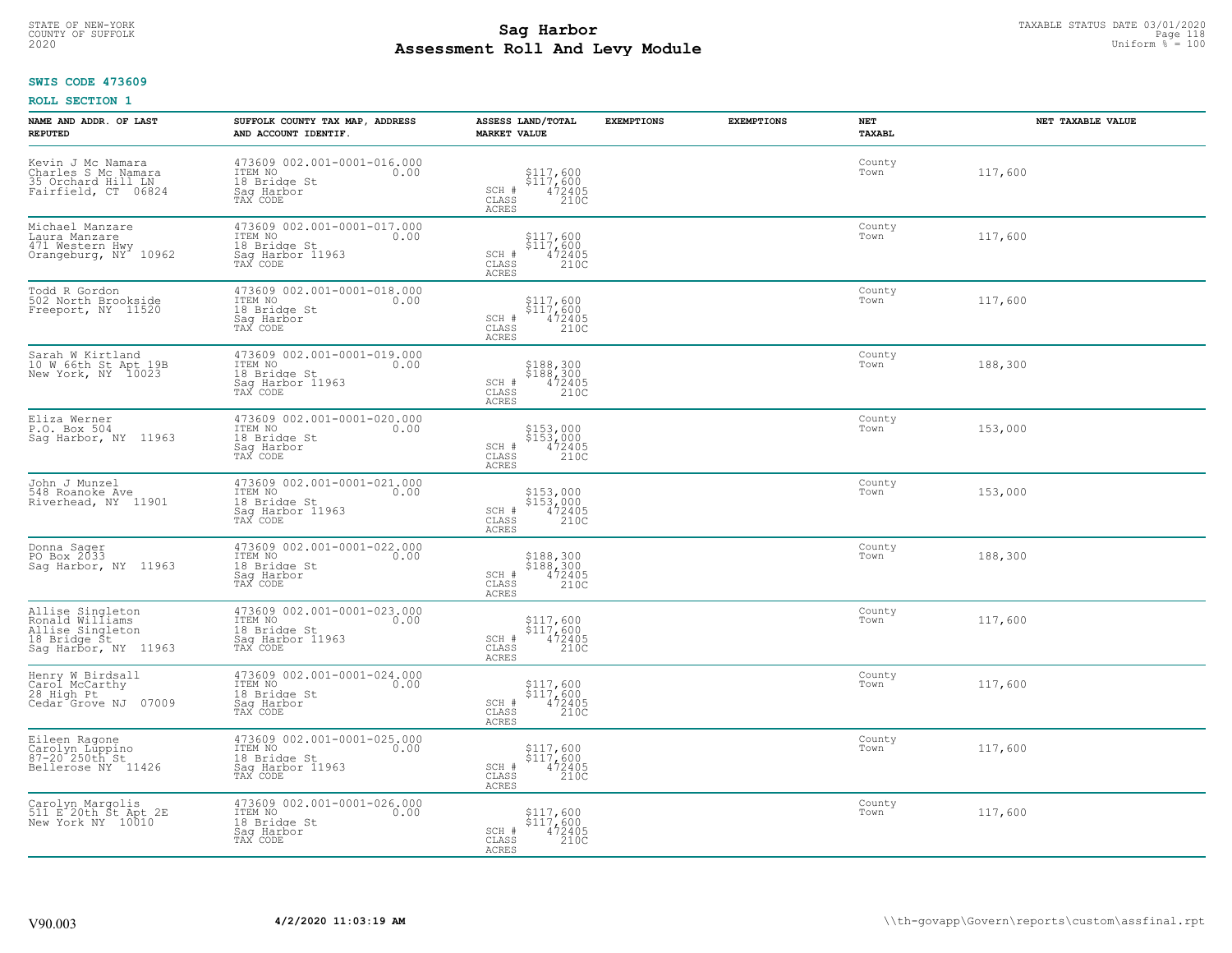# STATE OF NEW-YORK TAXABLE STATUS DATE 03/01/2020<br>COUNTY OF SUFFOLK Page 118 **Assessment Roll And Levy Module Example 2020** Uniform  $\frac{1}{8}$  = 100

### **SWIS CODE 473609**

| NAME AND ADDR. OF LAST<br><b>REPUTED</b>                                                        | SUFFOLK COUNTY TAX MAP, ADDRESS<br>AND ACCOUNT IDENTIF.                                        | ASSESS LAND/TOTAL<br><b>MARKET VALUE</b>                                                                 | <b>EXEMPTIONS</b> | <b>EXEMPTIONS</b> | <b>NET</b><br>TAXABL | NET TAXABLE VALUE |
|-------------------------------------------------------------------------------------------------|------------------------------------------------------------------------------------------------|----------------------------------------------------------------------------------------------------------|-------------------|-------------------|----------------------|-------------------|
| Kevin J Mc Namara<br>Charles S Mc Namara<br>35 Orchard Hill LN<br>Fairfield, CT 06824           | 473609 002.001-0001-016.000<br>ITEM NO<br>0.00<br>18 Bridge St<br>Saq Harbor<br>TAX CODE       | \$117,600<br>\$117,600<br>472405<br>210C<br>SCH #<br>CLASS<br><b>ACRES</b>                               |                   |                   | County<br>Town       | 117,600           |
| Michael Manzare<br>Laura Manzare<br>471 Western Hwy<br>Orangeburg, NY 10962                     | 473609 002.001-0001-017.000<br>TTEM NO 0.00<br>18 Bridge St<br>Sag Harbor 11963<br>TAX CODE    | \$117,600<br>\$117,600<br>472405<br>SCH #<br>210C<br>CLASS<br><b>ACRES</b>                               |                   |                   | County<br>Town       | 117,600           |
| Todd R Gordon<br>502 North Brookside<br>Freeport, NY 11520                                      | 473609 002.001-0001-018.000<br>ITEM NO<br>0.00<br>18 Bridge St<br>Sag Harbor<br>TAX CODE       | \$117,600<br>$\begin{array}{r} 5117,600 \\ 472405 \\ 2100 \end{array}$<br>SCH #<br>CLASS<br>ACRES        |                   |                   | County<br>Town       | 117,600           |
| Sarah W Kirtland<br>10 W 66th St Apt 19B<br>New York, NY 10023                                  | 473609 002.001-0001-019.000<br>TTEM NO 0.00<br>18 Bridge St<br>Sag Harbor 11963<br>TAX CODE    | \$188,300<br>\$188,300<br>472405<br>210C<br>SCH #<br>CLASS<br>ACRES                                      |                   |                   | County<br>Town       | 188,300           |
| Eliza Werner<br>P.O. Box 504<br>Sag Harbor, NY 11963                                            | 473609 002.001-0001-020.000<br>ITEM NO<br>0.00<br>18 Bridge St<br>Saq Harbor<br>TAX CODE       | \$153,000<br>\$153,000<br>472405<br>210C<br>SCH #<br>CLASS<br>ACRES                                      |                   |                   | County<br>Town       | 153,000           |
| John J Munzel<br>548 Roanoke Ave<br>Riverhead, NY 11901                                         | 473609 002.001-0001-021.000<br>ITEM NO<br>0.00<br>18 Bridge St<br>Sag Harbor 11963<br>TAX CODE | \$153,000<br>\$153,000<br>472405<br>210C<br>SCH #<br>CLASS<br>ACRES                                      |                   |                   | County<br>Town       | 153,000           |
| Donna Sager<br>PO Box 2033<br>Sag Harbor, NY 11963                                              | 473609 002.001-0001-022.000<br>ITEM NO<br>0.00<br>18 Bridge St<br>Sag Harbor<br>TAX CODE       | \$188,300<br>\$188,300<br>472405<br>210C<br>SCH #<br>CLASS<br>ACRES                                      |                   |                   | County<br>Town       | 188,300           |
| Allise Singleton<br>Ronald Williams<br>Allise Singleton<br>18 Bridge Št<br>Sag Harbor, NY 11963 | 473609 002.001-0001-023.000<br>ITEM NO<br>0.00<br>18 Bridge St<br>Saq Harbor 11963<br>TAX CODE | \$117,600<br>\$117,600<br>472405<br>SCH #<br>CLASS<br>210C<br><b>ACRES</b>                               |                   |                   | County<br>Town       | 117,600           |
| Henry W Birdsall<br>Carol McCarthy<br>28 High Pt<br>07009<br>Cedar Grove NJ                     | 473609 002.001-0001-024.000<br>TTEM NO 0.00<br>18 Bridge St<br>Saq Harbor<br>TAX CODE          | \$117,600<br>\$117,600<br>472405<br>210C<br>SCH #<br>CLASS<br><b>ACRES</b>                               |                   |                   | County<br>Town       | 117,600           |
| Eileen Ragone<br>Carolyn Lúppino<br>87-20 250th St<br>Bellerose NY 11426                        | 473609 002.001-0001-025.000<br>ITEM NO<br>0.00<br>18 Bridge St<br>Sag Harbor 11963<br>TAX CODE | \$117,600<br>$\begin{array}{r} 5117,600 \\ 472405 \\ 2100 \end{array}$<br>SCH #<br>CLASS<br><b>ACRES</b> |                   |                   | County<br>Town       | 117,600           |
| Carolyn Margolis<br>511 E 20th St Apt 2E<br>New York NY 10010                                   | 473609 002.001-0001-026.000<br>ITEM NO<br>0.00<br>18 Bridge St<br>Saq Harbor<br>TAX CODE       | \$117,600<br>\$117,600<br>SCH #<br>472405<br>210C<br>CLASS<br><b>ACRES</b>                               |                   |                   | County<br>Town       | 117,600           |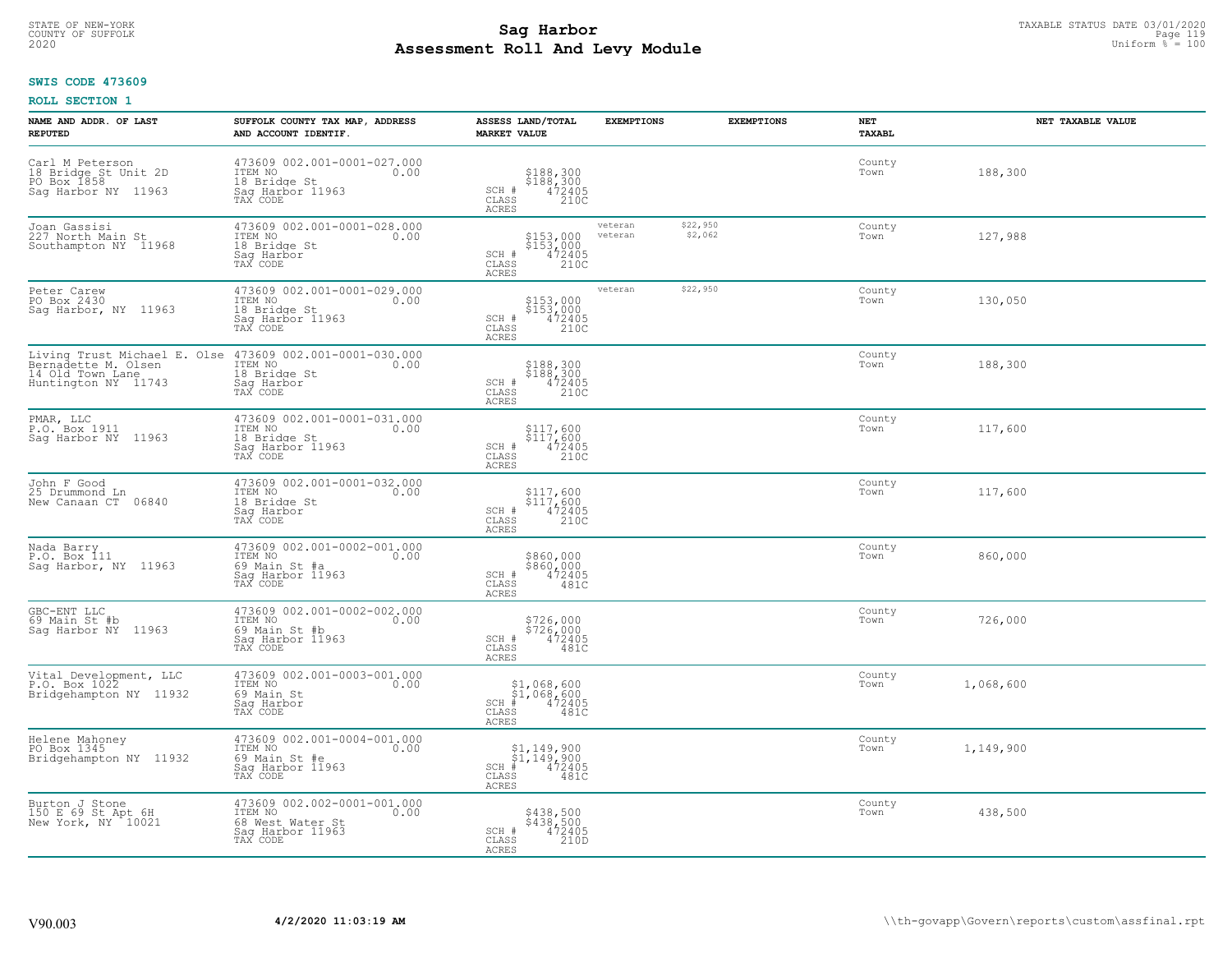# STATE OF NEW-YORK TAXABLE STATUS DATE 03/01/2020<br>COUNTY OF SUFFOLK Page 119 Page 119 **Assessment Roll And Levy Module Example 2020** Uniform  $\frac{1}{8}$  = 100

# **SWIS CODE 473609**

| NAME AND ADDR. OF LAST<br><b>REPUTED</b>                                                       | SUFFOLK COUNTY TAX MAP, ADDRESS<br>AND ACCOUNT IDENTIF.                                            | ASSESS LAND/TOTAL<br><b>MARKET VALUE</b>                                                   | <b>EXEMPTIONS</b>  |                     | <b>EXEMPTIONS</b><br><b>NET</b><br>TAXABL |           | NET TAXABLE VALUE |
|------------------------------------------------------------------------------------------------|----------------------------------------------------------------------------------------------------|--------------------------------------------------------------------------------------------|--------------------|---------------------|-------------------------------------------|-----------|-------------------|
| Carl M Peterson<br>18 Bridge St Unit 2D<br>PO Box 1858<br>Sag Harbor NY 11963                  | 473609 002.001-0001-027.000<br>ITEM NO<br>0.00<br>18 Bridge St<br>Saq Harbor 11963<br>TAX CODE     | \$188,300<br>\$188,300<br>472405<br>210C<br>SCH #<br>CLASS<br><b>ACRES</b>                 |                    |                     | County<br>Town                            | 188,300   |                   |
| Joan Gassisi<br>227 North Main St<br>Southampton NY 11968                                      | 473609 002.001-0001-028.000<br>ITEM NO<br>0.00<br>18 Bridge St<br>Saq Harbor<br>TAX CODE           | \$153,000<br>\$153,000<br>472405<br>210C<br>SCH #<br>CLASS<br>ACRES                        | veteran<br>veteran | \$22,950<br>\$2,062 | County<br>Town                            | 127,988   |                   |
| Peter Carew<br>PO Box 2430<br>Saq Harbor, NY 11963                                             | 473609 002.001-0001-029.000<br>ITEM NO<br>0.00<br>18 Bridge St<br>Sag Harbor 11963<br>TAX CODE     | \$153,000<br>\$153,000<br>472405<br>210C<br>SCH #<br>CLASS<br><b>ACRES</b>                 | veteran            | \$22,950            | County<br>Town                            | 130,050   |                   |
| Living Trust Michael E. Olse<br>Bernadette M. Olsen<br>14 Old Town Lane<br>Huntington NY 11743 | 473609 002.001-0001-030.000<br>10.00 0.00<br>18 Bridge St<br>Saq Harbor<br>TAX CODE                | \$188,300<br>\$188,300<br>472405<br>210C<br>SCH #<br>CLASS<br><b>ACRES</b>                 |                    |                     | County<br>Town                            | 188,300   |                   |
| PMAR, LLC<br>P.O. Box 1911<br>Sag Harbor NY 11963                                              | 473609 002.001-0001-031.000<br>ITEM NO<br>0.00<br>18 Bridge St<br>Saq Harbor 11963<br>TAX CODE     | \$117,600<br>\$117,600<br>472405<br>210C<br>SCH #<br>CLASS<br>ACRES                        |                    |                     | County<br>Town                            | 117,600   |                   |
| John F Good<br>25 Drummond Ln<br>New Canaan CT 06840                                           | 473609 002.001-0001-032.000<br>ITEM NO<br>0.00<br>18 Bridge St<br>Sag Harbor<br>TAX CODE           | \$117,600<br>$$117,600$<br>$472405$<br>SCH #<br>CLASS<br>210C<br><b>ACRES</b>              |                    |                     | County<br>Town                            | 117,600   |                   |
| Nada Barry<br>P.O. Box 111<br>Saq Harbor, NY 11963                                             | 473609 002.001-0002-001.000<br>ITEM NO<br>0.00<br>69 Main St #a<br>Sag Harbor 11963<br>TAX CODE    | \$860,000<br>\$860,000<br>472405<br>481C<br>SCH #<br>CLASS<br>ACRES                        |                    |                     | County<br>Town                            | 860,000   |                   |
| GBC-ENT LLC<br>69 Main St #b<br>Sag Harbor NY 11963                                            | 473609 002.001-0002-002.000<br>ITEM NO<br>0.00<br>69 Main St #b<br>Saq Harbor 11963<br>TAX CODE    | \$726,000<br>\$726,000<br>472405<br>SCH #<br>CLASS<br>ACRES<br>481C                        |                    |                     | County<br>Town                            | 726,000   |                   |
| Vital_Development, LLC<br>P.O. Box 1022<br>Bridgehampton NY 11932                              | 473609 002.001-0003-001.000<br>ITEM NO 0.00<br>69 Main St<br>Saq Harbor<br>TAX CODE                | $$1,068,600$<br>$$1,068,600$<br>$472405$<br>$SCH$ $#$<br>CLASS<br>481C<br>ACRES            |                    |                     | County<br>Town                            | 1,068,600 |                   |
| Helene Mahoney<br>PO Box 1345<br>Bridgehampton NY 11932                                        | 473609 002.001-0004-001.000<br>ITEM NO<br>0.00<br>69 Main St #e<br>Sag Harbor 11963<br>TAX CODE    | $$1,149,900$<br>$$1,149,900$<br>$*$ 472405<br>$SCH$ #<br>$\mathtt{CLASS}$<br>481C<br>ACRES |                    |                     | County<br>Town                            | 1,149,900 |                   |
| Burton J Stone<br>150 E 69 St Apt 6H<br>New York, NY 10021                                     | 473609 002.002-0001-001.000<br>ITEM NO<br>0.00<br>68 West Water St<br>Sag Harbor 11963<br>TAX CODE | \$438,500<br>\$438,500<br>472405<br>SCH #<br>$\mathtt{CLASS}$<br>210D<br>ACRES             |                    |                     | County<br>Town                            | 438,500   |                   |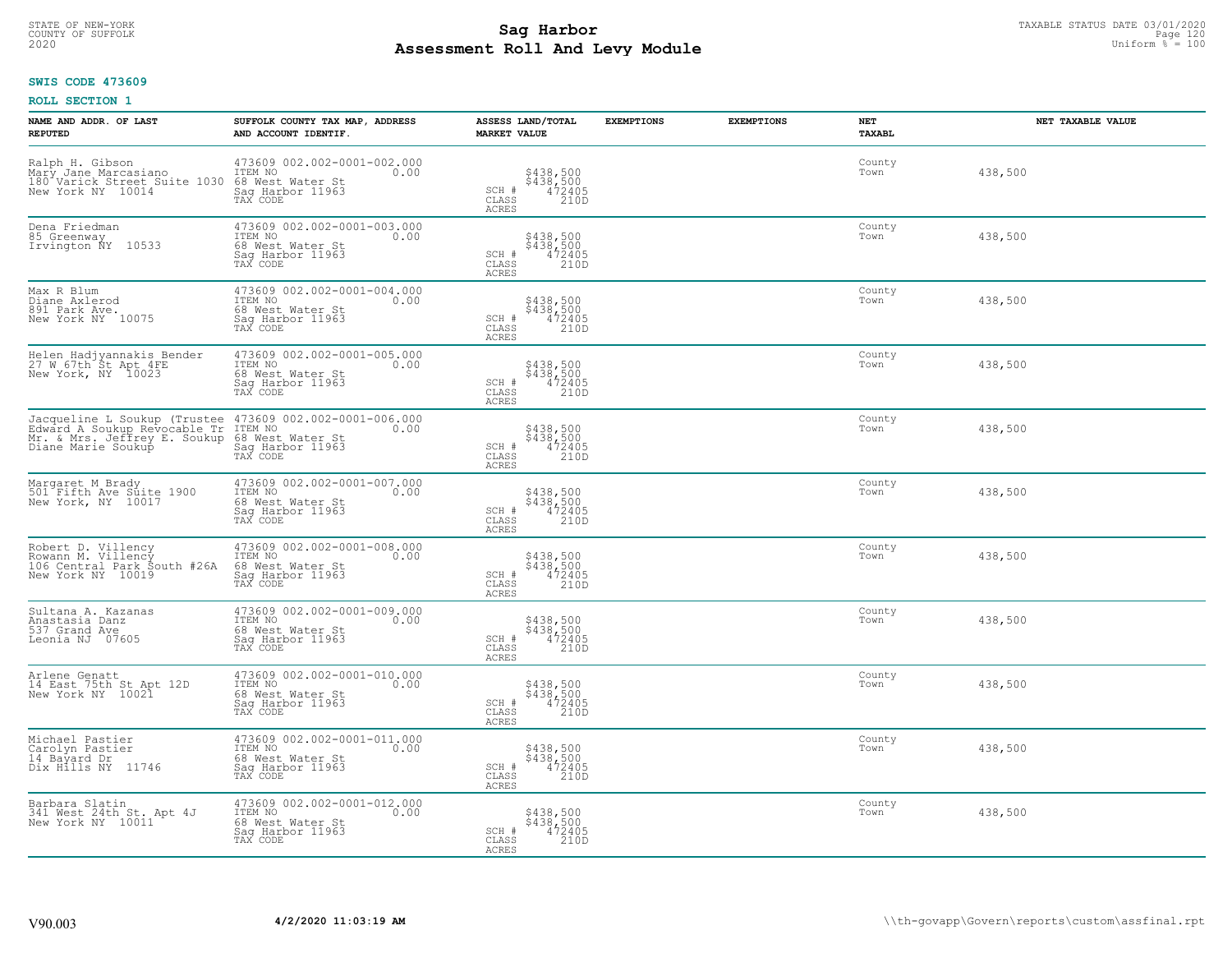# STATE OF NEW-YORK TAXABLE STATUS DATE 03/01/2020<br>COUNTY OF SUFFOLK Page 120 Page 120 **Assessment Roll And Levy Module Example 2020** Uniform  $\frac{1}{8}$  = 100

#### **SWIS CODE 473609**

| NAME AND ADDR. OF LAST<br><b>REPUTED</b>                                                                                                                       | SUFFOLK COUNTY TAX MAP, ADDRESS<br>AND ACCOUNT IDENTIF.                                            | ASSESS LAND/TOTAL<br><b>MARKET VALUE</b>                                   | <b>EXEMPTIONS</b> | <b>EXEMPTIONS</b> | NET<br><b>TAXABL</b> | NET TAXABLE VALUE |
|----------------------------------------------------------------------------------------------------------------------------------------------------------------|----------------------------------------------------------------------------------------------------|----------------------------------------------------------------------------|-------------------|-------------------|----------------------|-------------------|
| Ralph H. Gibson<br>Mary Jane Marcasiano<br>180 <sup>4</sup> Varick Street Suite 1030<br>New York NY 10014                                                      | 473609 002.002-0001-002.000<br>ITEM NO<br>0.00<br>68 West Water St<br>Saq Harbor 11963<br>TAX CODE | \$438,500<br>\$438,500<br>472405<br>210D<br>SCH #<br>CLASS<br>ACRES        |                   |                   | County<br>Town       | 438,500           |
| Dena Friedman<br>85 Greenway<br>Irvington ÑY 10533                                                                                                             | 473609 002.002-0001-003.000<br>ITEM NO<br>0.00<br>68 West Water St<br>Sag Harbor 11963<br>TAX CODE | \$438,500<br>\$438,500<br>472405<br>210D<br>SCH #<br>CLASS<br>ACRES        |                   |                   | County<br>Town       | 438,500           |
| Max R Blum<br>Diane Axlerod<br>891 Park Ave.<br>New York NY 10075                                                                                              | 473609 002.002-0001-004.000<br>ITEM NO<br>0.00<br>68 West Water St<br>Sag Harbor 11963<br>TAX CODE | \$438,500<br>\$438,500<br>472405<br>210D<br>SCH #<br>CLASS<br>ACRES        |                   |                   | County<br>Town       | 438,500           |
| Helen Hadjyannakis Bender<br>27 W 67th St Apt 4FE<br>New York, NY 10023                                                                                        | 473609 002.002-0001-005.000<br>ITEM NO<br>0.00<br>68 West Water St<br>Saq Harbor 11963<br>TAX CODE | \$438,500<br>\$438,500<br>472405<br>210D<br>SCH #<br>CLASS<br>ACRES        |                   |                   | County<br>Town       | 438,500           |
| Jacqueline L Soukup (Trustee 473609 002.002-0001-006.000<br>Edward A Soukup Revocable Tr ITEM NO<br>Mr. & Mrs. Jeffrey E. Soukup 68 West<br>Diane Marie Soukup | 0.00<br>68 West Water St<br>Saq Harbor 11963<br>TAX CODE                                           | \$438,500<br>\$438,500<br>472405<br>SCH #<br>CLASS<br>210D<br><b>ACRES</b> |                   |                   | County<br>Town       | 438,500           |
| Margaret M Brady<br>501 Fifth Ave Suite 1900<br>New York, NY 10017                                                                                             | 473609 002.002-0001-007.000<br>ITEM NO<br>0.00<br>68 West Water St<br>Sag Harbor 11963<br>TAX CODE | \$438,500<br>\$438,500<br>472405<br>210D<br>SCH #<br>CLASS<br>ACRES        |                   |                   | County<br>Town       | 438,500           |
| Robert D. Villency<br>Rowann M. Villency<br>106 Central Park South #26A<br>New York NY 10019                                                                   | 473609 002.002-0001-008.000<br>ITEM NO<br>0.00<br>68 West Water St<br>Sag Harbor 11963<br>TAX CODE | \$438,500<br>\$438,500<br>472405<br>210D<br>SCH #<br>CLASS<br>ACRES        |                   |                   | County<br>Town       | 438,500           |
| Sultana A. Kazanas<br>Anastasia Danz<br>537 Grand Ave<br>Leonia NJ 07605                                                                                       | 473609 002.002-0001-009.000<br>ITEM NO<br>0.00<br>68 West Water St<br>Saq Harbor 11963<br>TAX CODE | \$438,500<br>\$438,500<br>472405<br>210D<br>SCH #<br>CLASS<br><b>ACRES</b> |                   |                   | County<br>Town       | 438,500           |
| Arlene Genatt<br>14 East 75th St Apt 12D<br>New York NY 10021                                                                                                  | 473609 002.002-0001-010.000<br>TTEM NO 0.00<br>68 West Water St<br>Saq Harbor 11963<br>TAX CODE    | \$438,500<br>\$438,500<br>472405<br>210D<br>SCH #<br>CLASS<br><b>ACRES</b> |                   |                   | County<br>Town       | 438,500           |
| Michael Pastier<br>Carolyn Pastier<br>14 Bayard Dr<br>Dix Hills NY 11746                                                                                       | 473609 002.002-0001-011.000<br>ITEM NO<br>0.00<br>68 West Water St<br>Sag Harbor 11963<br>TAX CODE | \$438,500<br>\$438,500<br>472405<br>210D<br>SCH #<br>CLASS<br><b>ACRES</b> |                   |                   | County<br>Town       | 438,500           |
| Barbara Slatin<br>341 West 24th St. Apt 4J<br>New York NY 10011                                                                                                | 473609 002.002-0001-012.000<br>ITEM NO<br>0.00<br>68 West Water St<br>Sag Harbor 11963<br>TAX CODE | \$438,500<br>\$438,500<br>472405<br>210D<br>SCH #<br>CLASS<br>ACRES        |                   |                   | County<br>Town       | 438,500           |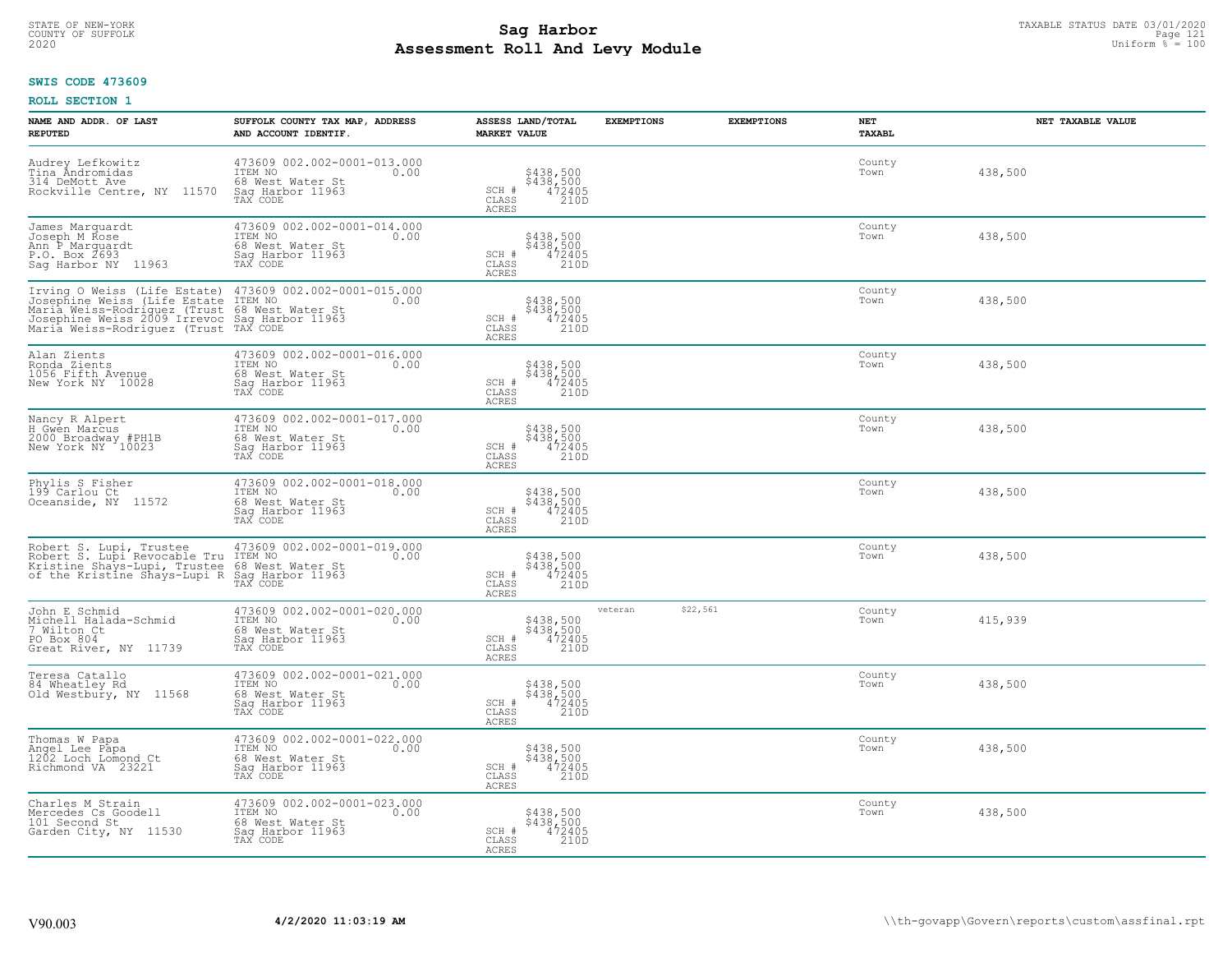# STATE OF NEW-YORK TAXABLE STATUS DATE 03/01/2020<br>COUNTY OF SUFFOLK Page 121 Page 121 **Assessment Roll And Levy Module Example 2020** Uniform  $\frac{1}{8}$  = 100

#### **SWIS CODE 473609**

| NAME AND ADDR. OF LAST<br><b>REPUTED</b>                                                                                                                                                                                                                            | SUFFOLK COUNTY TAX MAP, ADDRESS<br>AND ACCOUNT IDENTIF.                                            | ASSESS LAND/TOTAL<br><b>MARKET VALUE</b>                                              | <b>EXEMPTIONS</b>   | <b>EXEMPTIONS</b><br>NET | <b>TAXABL</b> | NET TAXABLE VALUE |
|---------------------------------------------------------------------------------------------------------------------------------------------------------------------------------------------------------------------------------------------------------------------|----------------------------------------------------------------------------------------------------|---------------------------------------------------------------------------------------|---------------------|--------------------------|---------------|-------------------|
| Audrey Lefkowitz<br>Tina Andromidas<br>314 DeMott Ave<br>Rockville Centre, NY 11570                                                                                                                                                                                 | 473609 002.002-0001-013.000<br>ITEM NO<br>0.00<br>68 West Water St<br>Saq Harbor 11963<br>TAX CODE | \$438,500<br>\$438,500<br>472405<br>210D<br>SCH #<br>CLASS<br><b>ACRES</b>            |                     | Town                     | County        | 438,500           |
| James Marquardt<br>Joseph M Rose<br>Ann P Marguardt<br>P.O. Box 2693<br>Saq Harbor NY 11963                                                                                                                                                                         | 473609 002.002-0001-014.000<br>ITEM NO<br>0.00<br>68 West Water St<br>Sag Harbor 11963<br>TAX CODE | \$438,500<br>\$438,500<br>472405<br>210D<br>SCH #<br>CLASS<br>ACRES                   |                     | Town                     | County        | 438,500           |
| Irving O Weiss (Life Estate)<br>1708-1808 Notice (1156 Note 1768 Note 1768)<br>Maria Weiss-Rodriguez (Trust 68 West Water St<br>Josephine Weiss-Rodriguez (Trust 68 West Water St<br>Maria Weiss-Rodriguez (Trust TAX CODE<br>Maria Weiss-Rodriguez (Trust TAX CODE | 473609 002.002-0001-015.000<br>0.00                                                                | \$438,500<br>\$438,500<br>472405<br>SCH #<br>210D<br>CLASS<br><b>ACRES</b>            |                     | Town                     | County        | 438,500           |
| Alan Zients<br>Ronda Zients<br>1056 Fifth Avenue<br>New York NY 10028                                                                                                                                                                                               | 473609 002.002-0001-016.000<br>ITEM NO<br>0.00<br>68 West Water St<br>Saq Harbor 11963<br>TAX CODE | \$438,500<br>\$438,500<br>472405<br>SCH #<br>CLASS<br>210D<br>ACRES                   |                     | Town                     | County        | 438,500           |
| Nancy R Alpert<br>H Gwen Marcus<br>2000 Broadway #PH1B<br>New York NY 10023                                                                                                                                                                                         | 473609 002.002-0001-017.000<br>TTEM NO 0.00<br>68 West Water St<br>Saq Harbor 11963<br>TAX CODE    | \$438,500<br>\$438,500<br>472405<br>210D<br>SCH #<br>CLASS<br>ACRES                   |                     | Town                     | County        | 438,500           |
| Phylis S Fisher<br>199 Carlou Ct<br>Oceanside, NY 11572                                                                                                                                                                                                             | 473609 002.002-0001-018.000<br>ITEM NO<br>0.00<br>68 West Water St<br>Sag Harbor 11963<br>TAX CODE | \$438,500<br>\$438,500<br>472405<br>210D<br>SCH #<br>CLASS<br><b>ACRES</b>            |                     | Town                     | County        | 438,500           |
| Robert S. Lupi, Trustee<br>Robert S. Lupi Revocable Tru<br>Kristine Shays-Lupi, Trustee<br>of the Kristine Shays-Lupi R                                                                                                                                             | 473609 002.002-0001-019.000<br>ITEM NO<br>0.00<br>68 West Water St<br>Sag Harbor 11963<br>TAX CODE | \$438,500<br>\$438,500<br>472405<br>210D<br>SCH #<br>$\mathtt{CLASS}$<br><b>ACRES</b> |                     | Town                     | County        | 438,500           |
| John E Schmid<br>Michell Halada-Schmid<br>7 Wilton Ct<br>PO Box 804<br>Great River, NY 11739                                                                                                                                                                        | 473609 002.002-0001-020.000<br>ITEM NO<br>0.00<br>68 West Water St<br>Saq Harbor 11963<br>TAX CODE | \$438,500<br>\$438,500<br>472405<br>210D<br>SCH #<br>CLASS<br>ACRES                   | \$22,561<br>veteran | Town                     | County        | 415,939           |
| Teresa Catallo<br>84 Wheatley Rd<br>Old Westbury, NY 11568                                                                                                                                                                                                          | 473609 002.002-0001-021.000<br>TTEM NO 0.00<br>68 West Water St<br>Saq Harbor 11963<br>TAX CODE    | \$438,500<br>\$438,500<br>472405<br>210D<br>SCH #<br>CLASS<br><b>ACRES</b>            |                     | Town                     | County        | 438,500           |
| Thomas W Papa<br>Angel Lee Papa<br>1202 Loch Lomond Ct<br>Richmond VA 23221                                                                                                                                                                                         | 473609 002.002-0001-022.000<br>ITEM NO<br>0.00<br>68 West Water St<br>Sag Harbor 11963<br>TAX CODE | \$438,500<br>\$438,500<br>472405<br>210D<br>SCH #<br>CLASS<br><b>ACRES</b>            |                     | Town                     | County        | 438,500           |
| Charles M Strain<br>Mercedes Cs Goodell<br>101 Second St<br>Garden City, NY 11530                                                                                                                                                                                   | 473609 002.002-0001-023.000<br>ITEM NO<br>68 West Water St<br>0.00<br>Sag Harbor 11963<br>TAX CODE | \$438,500<br>\$438,500<br>472405<br>SCH #<br>CLASS<br>210D<br><b>ACRES</b>            |                     | Town                     | County        | 438,500           |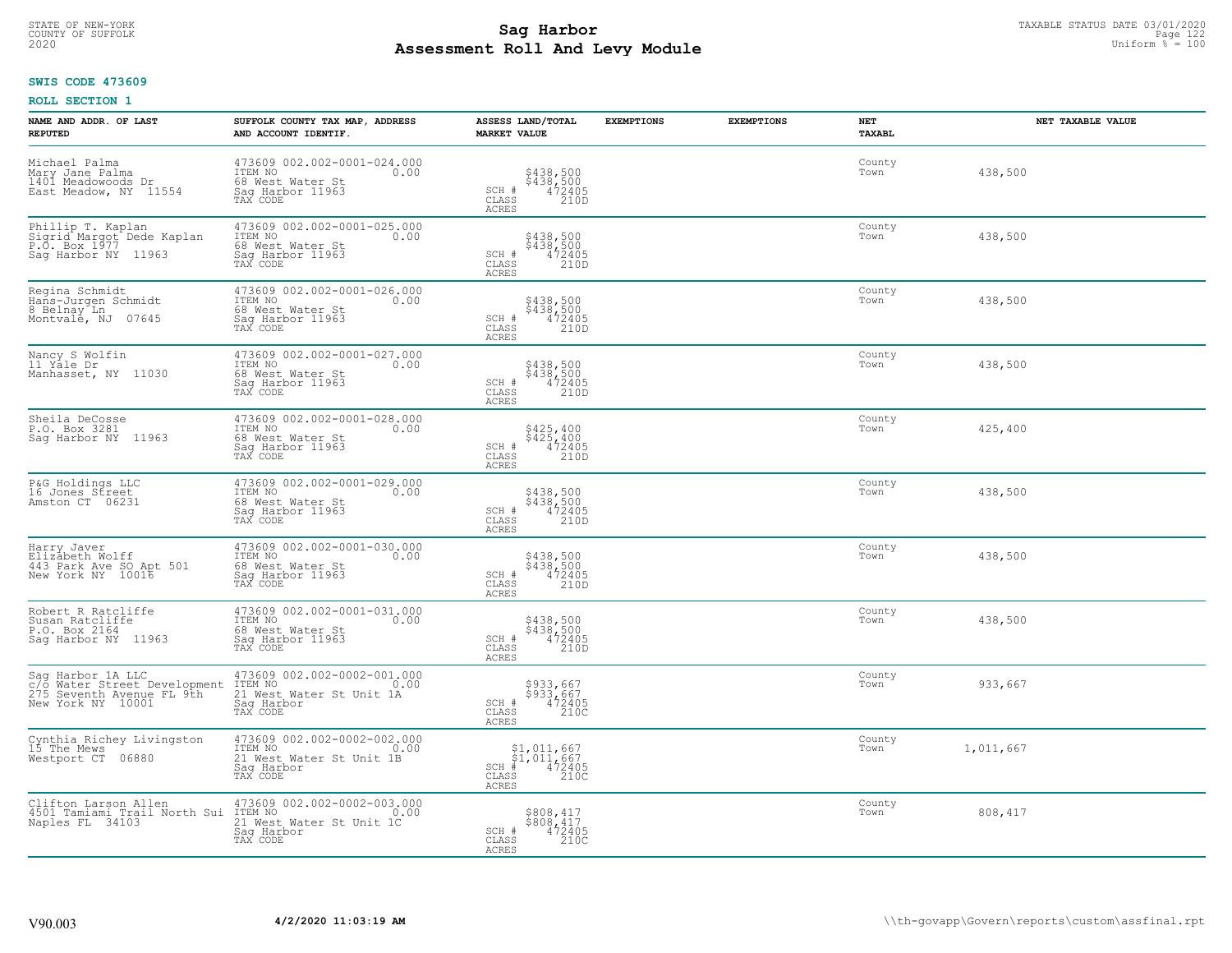# STATE OF NEW-YORK TAXABLE STATUS DATE 03/01/2020<br>COUNTY OF SUFFOLK Page 122 **Assessment Roll And Levy Module Example 2020** Uniform  $\frac{1}{8}$  = 100

#### **SWIS CODE 473609**

| NAME AND ADDR. OF LAST<br><b>REPUTED</b>                                                            | SUFFOLK COUNTY TAX MAP, ADDRESS<br>AND ACCOUNT IDENTIF.                                              | ASSESS LAND/TOTAL<br><b>MARKET VALUE</b>                                                          | <b>EXEMPTIONS</b> | <b>EXEMPTIONS</b> | NET<br><b>TAXABL</b> | NET TAXABLE VALUE |
|-----------------------------------------------------------------------------------------------------|------------------------------------------------------------------------------------------------------|---------------------------------------------------------------------------------------------------|-------------------|-------------------|----------------------|-------------------|
| Michael Palma<br>Mary Jane Palma<br>1401 Meadowoods Dr<br>East Meadow, NY 11554                     | 473609 002.002-0001-024.000<br>ITEM NO<br>0.00<br>68 West Water St<br>Sag Harbor 11963<br>TAX CODE   | \$438,500<br>\$438,500<br>472405<br>210D<br>$SCH$ #<br>CLASS<br>ACRES                             |                   |                   | County<br>Town       | 438,500           |
| Phillip T. Kaplan<br>Sigrid Margot Dede Kaplan<br>P.O. Box 1977<br>Saq Harbor NY 11963              | 473609 002.002-0001-025.000<br>ITEM NO<br>0.00<br>68 West Water St<br>Sag Harbor 11963<br>TAX CODE   | \$438,500<br>\$438,500<br>472405<br>210D<br>SCH #<br>$\mathtt{CLASS}$<br>ACRES                    |                   |                   | County<br>Town       | 438,500           |
| Regina Schmidt<br>Hans-Jurgen Schmidt<br>8 Belnay Ln<br>Montvale, NJ 07645                          | 473609 002.002-0001-026.000<br>ITEM NO<br>0.00<br>68 West Water St<br>Sag Harbor 11963<br>TAX CODE   | \$438,500<br>\$438,500<br>472405<br>210D<br>SCH #<br>CLASS<br>ACRES                               |                   |                   | County<br>Town       | 438,500           |
| Nancy S Wolfin<br>11 Yale Dr<br>Manhasset, NY 11030                                                 | 473609 002.002-0001-027.000<br>ITEM NO<br>0.00<br>68 West Water St<br>Saq Harbor 11963<br>TAX CODE   | \$438,500<br>\$438,500<br>472405<br>210D<br>SCH #<br>CLASS<br>ACRES                               |                   |                   | County<br>Town       | 438,500           |
| Sheila DeCosse<br>P.O. Box 3281<br>Sag Harbor NY 11963                                              | 473609 002.002-0001-028.000<br>ITEM NO<br>0.00<br>68 West Water St<br>Saq Harbor 11963<br>TAX CODE   | \$425,400<br>\$425,400<br>472405<br>SCH #<br>CLASS<br>210D<br><b>ACRES</b>                        |                   |                   | County<br>Town       | 425,400           |
| P&G Holdings LLC<br>16 Jones Street<br>Amston CT 06231                                              | 473609 002.002-0001-029.000<br>ITEM NO<br>0.00<br>68 West Water St<br>Sag Harbor 11963<br>TAX CODE   | \$438,500<br>\$438,500<br>472405<br>210D<br>SCH #<br>$\mathtt{CLASS}$<br>ACRES                    |                   |                   | County<br>Town       | 438,500           |
| Harry Javer<br>Elizabeth Wolff<br>443 Park Ave SO Apt 501<br>New York NY 10016                      | 473609 002.002-0001-030.000<br>ITEM NO<br>0.00<br>68 West Water St<br>Sag Harbor 11963<br>TAX CODE   | \$438,500<br>\$438,500<br>472405<br>210D<br>SCH #<br>CLASS<br>ACRES                               |                   |                   | County<br>Town       | 438,500           |
| Robert R Ratcliffe<br>Susan Ratcliffe<br>P.O. Box 2164<br>Saq Harbor NY 11963                       | 473609 002.002-0001-031.000<br>ITEM NO<br>0.00<br>68 West Water St<br>Saq Harbor 11963<br>TAX CODE   | \$438,500<br>\$438,500<br>472405<br>210D<br>SCH #<br>CLASS<br><b>ACRES</b>                        |                   |                   | County<br>Town       | 438,500           |
| Sag Harbor 1A LLC<br>c/o Water Street Development<br>275 Seventh Avenue FL 9th<br>New York NY 10001 | 473609 002.002-0002-001.000<br>1TEM NO 0.00<br>21 West Water St Unit 1A<br>Saq Harbor<br>TAX CODE    | \$933,667<br>\$933,667<br>472405<br>210C<br>SCH #<br>CLASS<br><b>ACRES</b>                        |                   |                   | County<br>Town       | 933,667           |
| Cynthia Richey Livingston<br>15 The Mews<br>Westport CT 06880                                       | 473609 002.002-0002-002.000<br>ITEM NO<br>0.00<br>21 West Water St Unit 1B<br>Sag Harbor<br>TAX CODE | \$1,011,667<br>\$1,011,667<br># 472405<br>\$ 210C<br>$SCH$ #<br>CLASS<br>ACRES                    |                   |                   | County<br>Town       | 1,011,667         |
| Clifton Larson Allen<br>4501 Tamiami Trail North Sui<br>Naples FL 34103                             | 473609 002.002-0002-003.000<br>ITEM NO<br>0.00<br>21 West Water St Unit 1C<br>Sag Harbor<br>TAX CODE | \$808,417<br>$\begin{array}{r} 5808,417 \\ 472405 \\ 2100 \end{array}$<br>SCH #<br>CLASS<br>ACRES |                   |                   | County<br>Town       | 808,417           |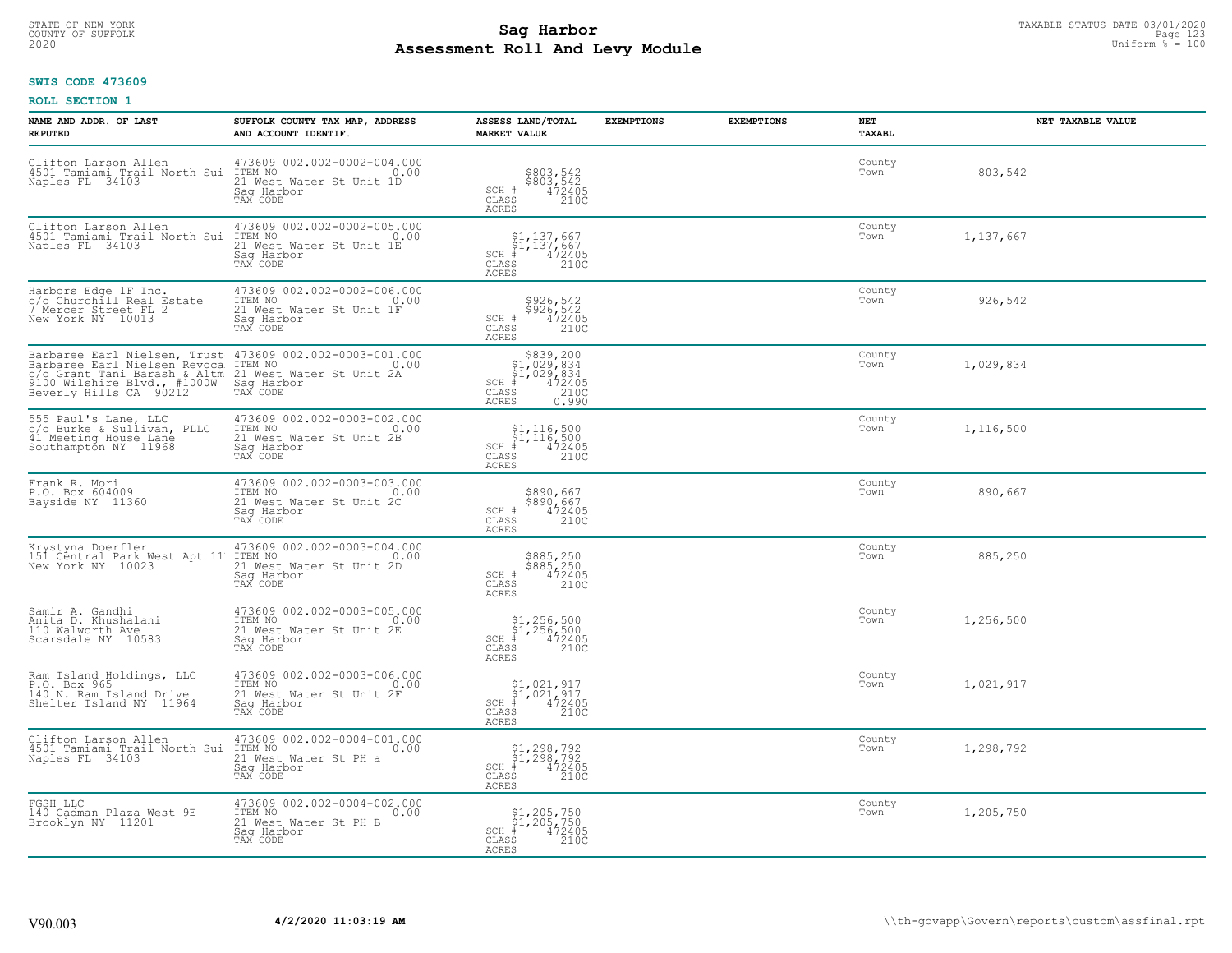# STATE OF NEW-YORK TAXABLE STATUS DATE 03/01/2020<br>COUNTY OF SUFFOLK Page 123 Page 123 **Assessment Roll And Levy Module Example 2020** Uniform  $\frac{1}{8}$  = 100

#### **SWIS CODE 473609**

| NAME AND ADDR. OF LAST<br><b>REPUTED</b>                                                                                                              | SUFFOLK COUNTY TAX MAP, ADDRESS<br>AND ACCOUNT IDENTIF.                                               | ASSESS LAND/TOTAL<br><b>MARKET VALUE</b>                                                                     | <b>EXEMPTIONS</b> | <b>EXEMPTIONS</b> | <b>NET</b><br>TAXABL | NET TAXABLE VALUE |
|-------------------------------------------------------------------------------------------------------------------------------------------------------|-------------------------------------------------------------------------------------------------------|--------------------------------------------------------------------------------------------------------------|-------------------|-------------------|----------------------|-------------------|
| Clifton Larson Allen<br>4501 Tamiami Trail North Sui<br>Naples FL 34103                                                                               | 473609 002.002-0002-004.000<br>0.00 0.00<br>21 West Water St Unit 1D<br>Saq Harbor<br>TAX CODE        | \$803,542<br>\$803,542<br>472405<br>210C<br>SCH #<br>CLASS<br><b>ACRES</b>                                   |                   |                   | County<br>Town       | 803,542           |
| Clifton Larson Allen<br>4501 Tamiami Trail North Sui<br>Naples FL 34103                                                                               | 473609 002.002-0002-005.000<br>0.00 0.00<br>21 West Water St Unit 1E<br>Sag Harbor<br>TAX CODE        | \$1,137,667<br>\$1,137,667<br># 472405<br>\$8 210C<br>$SCH$ #<br>CLASS<br><b>ACRES</b>                       |                   |                   | County<br>Town       | 1,137,667         |
| Harbors Edge 1F Inc.<br>c/o Churchill Real Estate<br>7 Mercer Street FL 2<br>New York NY 10013                                                        | 473609 002.002-0002-006.000<br>ITEM NO<br>0.00<br>21 West Water St Unit 1F<br>Sag Harbor<br>TAX CODE  | \$926,542<br>\$926,542<br>472405<br>210C<br>SCH #<br>CLASS<br><b>ACRES</b>                                   |                   |                   | County<br>Town       | 926,542           |
| Barbaree Earl Nielsen, Trust<br>Barbaree Earl Nielsen Revoca<br>C/O Grant Tani Barash & Altm<br>9100 Wilshire Blvd., #1000W<br>Beverly Hills CA 90212 | 473609 002.002-0003-001.000<br>ITEM NO<br>21 West Water St Unit 2A<br>Sag Harbor<br>TAX CODE          | $$839, 200$<br>$$1, 029, 834$<br>$$1, 029, 834$<br>$472405$<br>$$2100$<br>$SCH$ #<br>CLASS<br>ACRES<br>0.990 |                   |                   | County<br>Town       | 1,029,834         |
| 555 Paul's Lane, LLC<br>c/o Burke & Sullivan, PLLC<br>41 Meeting House Lane<br>Southampton NY 11968                                                   | 473609 002.002-0003-002.000<br>TTEM NO 0.00<br>21 West Water St Unit 2B<br>Saq Harbor<br>TAX CODE     | $\begin{array}{l} $1,116,500\\ $1,116,500\\ * &472405\\ * &210C \end{array}$<br>SCH #<br>CLASS<br>ACRES      |                   |                   | County<br>Town       | 1,116,500         |
| Frank R. Mori<br>P.O. Box 604009<br>Bayside NY 11360                                                                                                  | 473609 002.002-0003-003.000<br>ITEM NO<br>0.00<br>21 West Water St Unit 2C<br>Sag Harbor<br>TAX CODE  | \$890,667<br>\$890,667<br>472405<br>210C<br>SCH #<br>CLASS<br>ACRES                                          |                   |                   | County<br>Town       | 890,667           |
| Krystyna Doerfler<br>151 Central Park West Apt 11<br>New York NY 10023                                                                                | 473609 002.002-0003-004.000<br>ITEM NO<br>0.00<br>The Nest Water St Unit 2D<br>Sag Harbor<br>TAX CODE | \$885,250<br>\$885,250<br>472405<br>210C<br>SCH #<br>CLASS<br><b>ACRES</b>                                   |                   |                   | County<br>Town       | 885,250           |
| Samir A. Gandhi<br>Anita D. Khushalani<br>110 Walworth Ave<br>Scarsdale NY 10583                                                                      | 473609 002.002-0003-005.000<br>ITEM NO 0.00<br>21 West Water St Unit 2E<br>Saq Harbor<br>TAX CODE     | $$1, 256, 500$<br>$$1, 256, 500$<br>$*$ 472405<br>s<br>210C<br>$SCH$ #<br>$\mathtt{CLASS}$<br><b>ACRES</b>   |                   |                   | County<br>Town       | 1,256,500         |
| Ram Island Holdings, LLC<br>P.O. Box 965<br>140 N. Ram Island Drive<br>Shelter Island NY 11964                                                        | 473609 002.002-0003-006.000<br>TTEM NO 0.00<br>21 West Water St Unit 2F<br>Saq Harbor<br>TAX CODE     | $\begin{array}{l} $1,021,917\\ $1,021,917\\ *\\ *\\ 2100 \end{array}$<br>$SCH$ #<br>CLASS<br><b>ACRES</b>    |                   |                   | County<br>Town       | 1,021,917         |
| Clifton Larson Allen<br>4501 Tamiami Trail North Sui<br>Naples FL 34103                                                                               | 473609 002.002-0004-001.000<br>ITEM NO 0.00<br>21 West Water St PH a<br>Sag Harbor<br>TAX CODE        | \$1,298,792<br>\$1,298,792<br># 472405<br>\$ 210C<br>$SCH$ #<br>CLASS<br><b>ACRES</b>                        |                   |                   | County<br>Town       | 1,298,792         |
| FGSH LLC<br>140 Cadman Plaza West 9E<br>Brooklyn NY 11201                                                                                             | 473609 002.002-0004-002.000<br>ITEM NO<br>0.00<br>21 West Water St PH B<br>Saq Harbor<br>TAX CODE     | $$1,205,750$<br>$$1,205,750$<br>$\frac{372405}{2100}$<br>$SCH$ #<br>CLASS<br><b>ACRES</b>                    |                   |                   | County<br>Town       | 1,205,750         |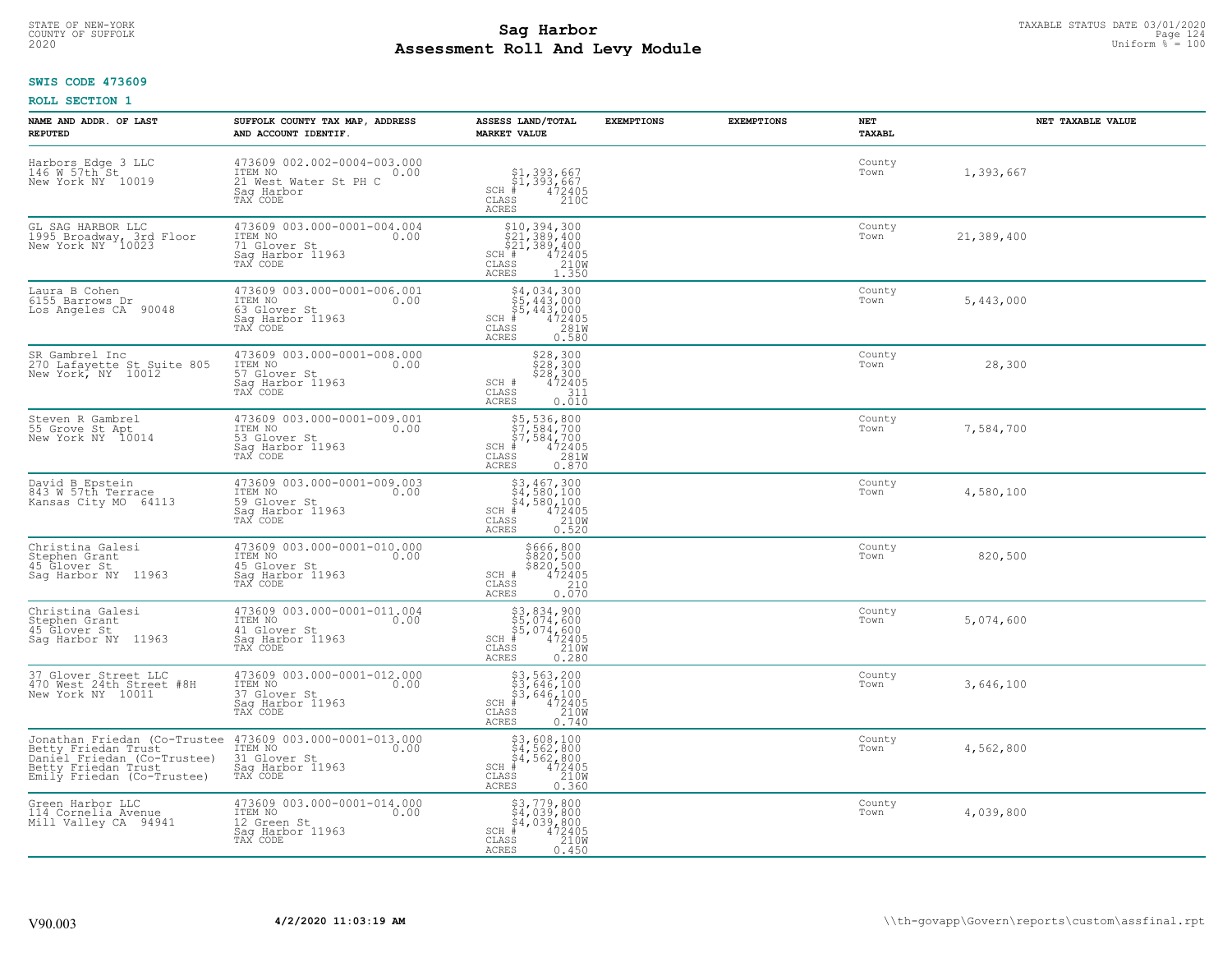# STATE OF NEW-YORK TAXABLE STATUS DATE 03/01/2020<br>COUNTY OF SUFFOLK Page 124 **Assessment Roll And Levy Module Example 2020** Uniform  $\frac{1}{8}$  = 100

#### **SWIS CODE 473609**

| NAME AND ADDR. OF LAST<br><b>REPUTED</b>                                                                                                | SUFFOLK COUNTY TAX MAP, ADDRESS<br>AND ACCOUNT IDENTIF.                                           | ASSESS LAND/TOTAL<br><b>MARKET VALUE</b>                                                                                                           | <b>EXEMPTIONS</b> | <b>EXEMPTIONS</b> | NET<br>TAXABL  | NET TAXABLE VALUE |
|-----------------------------------------------------------------------------------------------------------------------------------------|---------------------------------------------------------------------------------------------------|----------------------------------------------------------------------------------------------------------------------------------------------------|-------------------|-------------------|----------------|-------------------|
| Harbors Edge 3 LLC<br>146 W 57th St<br>New York NY 10019                                                                                | 473609 002.002-0004-003.000<br>ITEM NO<br>0.00<br>21 West Water St PH C<br>Saq Harbor<br>TAX CODE | \$1,393,667<br>\$1,393,667<br># 472405<br>\$ 210C<br>$SCH$ #<br>CLASS<br>ACRES                                                                     |                   |                   | County<br>Town | 1,393,667         |
| GL SAG HARBOR LLC<br>1995 Broadway, 3rd Floor<br>New York NY 10023                                                                      | 473609 003.000-0001-004.004<br>ITEM NO 0.00<br>71 Glover St<br>Sag Harbor 11963<br>TAX CODE       | SCH <sup>#</sup><br>CLASS<br>ACRES                                                                                                                 |                   |                   | County<br>Town | 21,389,400        |
| Laura B Cohen<br>6155 Barrows Dr<br>Los Angeles CA 90048                                                                                | 473609 003.000-0001-006.001<br>ITEM NO<br>0.00<br>63 Glover St<br>Sag Harbor 11963<br>TAX CODE    | \$4,034,300<br>$SCH$ #<br>CLASS<br>0.580<br>ACRES                                                                                                  |                   |                   | County<br>Town | 5,443,000         |
| SR Gambrel Inc<br>270 Lafayette St Suite 805<br>New York, NY 10012                                                                      | 473609 003.000-0001-008.000<br>ITEM NO<br>0.00<br>57 Glover St<br>Saq Harbor 11963<br>TAX CODE    | \$28,300<br>\$28,300<br>\$28,300<br>472405<br>472405<br>SCH #<br>CLASS<br><b>ACRES</b><br>0.010                                                    |                   |                   | County<br>Town | 28,300            |
| Steven R Gambrel<br>55 Grove St Apt<br>New York NY 10014                                                                                | 473609 003.000-0001-009.001<br>ITEM NO<br>0.00<br>53 Glover St<br>Saq Harbor 11963<br>TAX CODE    | \$5,536,800<br>\$7,584,700<br>\$7,584,700<br># 472405<br>\$5 281M<br>$SCH$ #<br>CLASS<br><b>ACRES</b><br>0.870                                     |                   |                   | County<br>Town | 7,584,700         |
| David B Epstein<br>843 W 57th Terrace<br>Kansas City MO 64113                                                                           | 473609 003.000-0001-009.003<br>ITEM NO<br>0.00<br>59 Glover St<br>Sag Harbor 11963<br>TAX CODE    | $$3,467,300$<br>$$4,580,100$<br>$$4,580,100$<br>$472405$<br>$$210M$<br>$SCH$ #<br>CLASS<br>0.520<br><b>ACRES</b>                                   |                   |                   | County<br>Town | 4,580,100         |
| Christina Galesi<br>Stephen Grant<br>45 Glover St<br>Sag Harbor NY 11963                                                                | 473609 003.000-0001-010.000<br>ITEM NO<br>0.00<br>45 Glover St<br>Sag Harbor 11963<br>TAX CODE    | \$666,800<br>\$820,500<br>\$820,500<br>\$210<br>\$210<br>SCH #<br>CLASS<br>ACRES<br>0.070                                                          |                   |                   | County<br>Town | 820,500           |
| Christina Galesi<br>Stephen Grant<br>45 Glover St<br>Sag Harbor NY 11963                                                                | 473609 003.000-0001-011.004<br>ITEM NO<br>0.00<br>41 Glover St<br>Saq Harbor 11963<br>TAX CODE    | \$3,834,900<br>\$5,074,600<br>\$5,074,600<br># 472405<br>\$8 210M<br>$SCH$ #<br>$\mathtt{CLASS}$<br>ACRES<br>0.280                                 |                   |                   | County<br>Town | 5,074,600         |
| 37 Glover Street LLC<br>470 West 24th Street #8H<br>New York NY 10011                                                                   | 473609 003.000-0001-012.000<br>ITEM NO 0.00<br>37 Glover St<br>Saq Harbor 11963<br>TAX CODE       | \$3,563,200<br>\$3,646,100<br>\$3,646,100<br>$SCH$ #<br>$\frac{372405}{210W}$<br>CLASS<br>ACRES<br>0.740                                           |                   |                   | County<br>Town | 3,646,100         |
| Jonathan Friedan (Co-Trustee<br>Betty Friedan Trust<br>Daniel Friedan (Co-Trustee)<br>Betty Friedan Trust<br>Emily Friedan (Co-Trustee) | 473609 003.000-0001-013.000<br>0.00 0.00<br>31 Glover St<br>Sag Harbor 11963<br>TAX CODE          | \$3,608,100<br>\$4,562,800<br>$\frac{1}{64}$ , 562, 800<br>$\frac{4}{100}$<br>$\frac{210M}{2}$<br>SCH #<br>CLASS<br>0.360<br>ACRES                 |                   |                   | County<br>Town | 4,562,800         |
| Green Harbor LLC<br>114 Cornelia Avenue<br>Mill Valley CA 94941                                                                         | 473609 003.000-0001-014.000<br>ITEM NO<br>0.00<br>12 Green St<br>Sag Harbor 11963<br>TAX CODE     | \$3,779,800<br>\$4,039,800<br>$\frac{1}{2}$<br>$\frac{4}{4}$ , 039, 800<br>$\frac{1}{2}$<br>$\frac{210M}{4}$<br>$SCH$ #<br>CLASS<br>ACRES<br>0.450 |                   |                   | County<br>Town | 4,039,800         |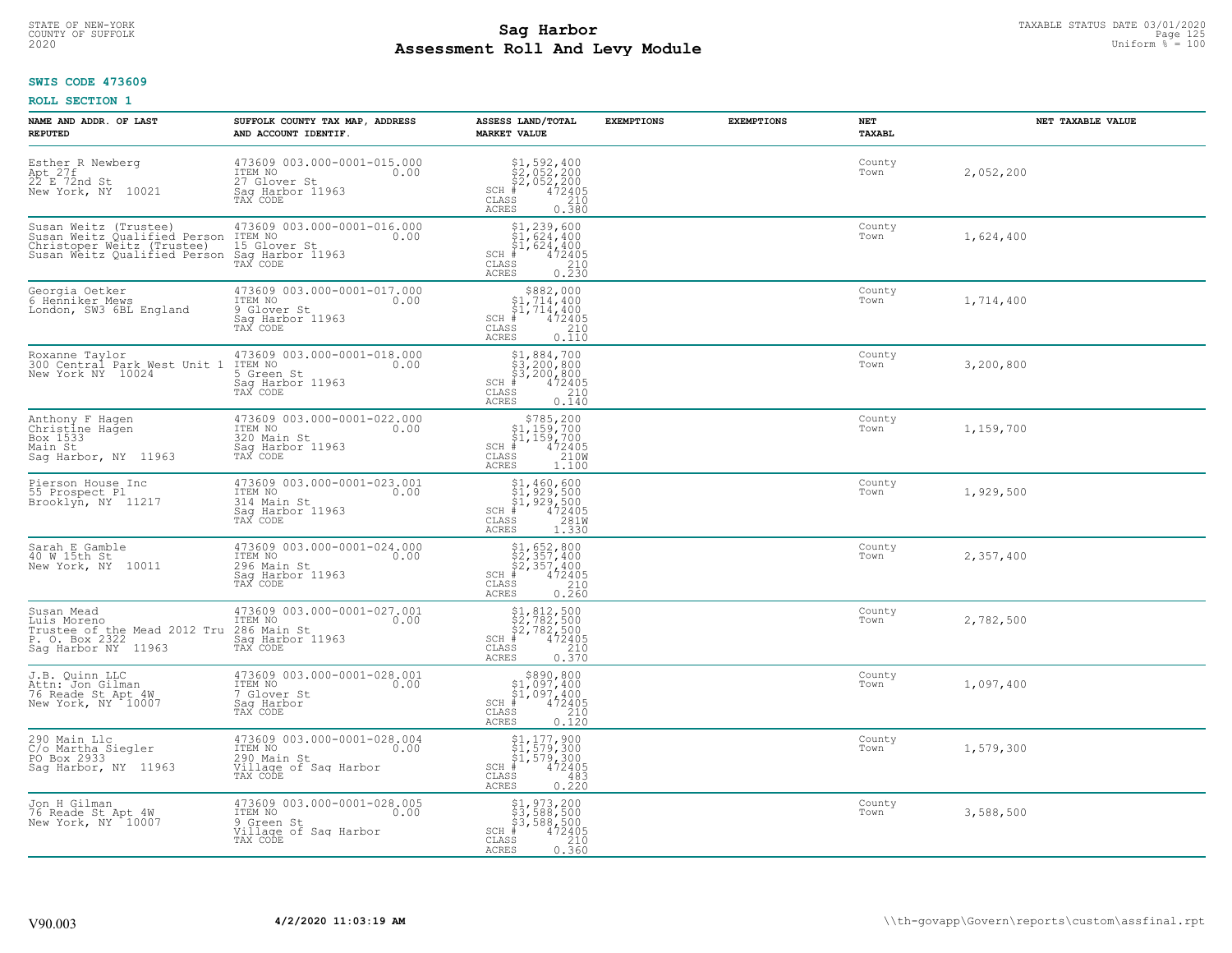# STATE OF NEW-YORK TAXABLE STATUS DATE 03/01/2020<br>COUNTY OF SUFFOLK Page 125 and the state of the state of the state of the state of the state of the state of th **Assessment Roll And Levy Module Example 2020** Uniform  $\frac{1}{8}$  = 100

#### **SWIS CODE 473609**

| NAME AND ADDR. OF LAST<br><b>REPUTED</b>                                                                                                            | SUFFOLK COUNTY TAX MAP, ADDRESS<br>AND ACCOUNT IDENTIF.                                            | ASSESS LAND/TOTAL<br><b>MARKET VALUE</b>                                                                                                                                                                                                                                                                                                                                                                              | <b>EXEMPTIONS</b> | <b>EXEMPTIONS</b> | NET<br><b>TAXABL</b> | NET TAXABLE VALUE |
|-----------------------------------------------------------------------------------------------------------------------------------------------------|----------------------------------------------------------------------------------------------------|-----------------------------------------------------------------------------------------------------------------------------------------------------------------------------------------------------------------------------------------------------------------------------------------------------------------------------------------------------------------------------------------------------------------------|-------------------|-------------------|----------------------|-------------------|
| Esther R Newberg<br>Apt 27f<br>22 E 72nd St<br>New York, NY 10021                                                                                   | 473609 003.000-0001-015.000<br>ITEM NO<br>0.00<br>27 Glover St<br>Saq Harbor 11963<br>TAX CODE     | $\begin{array}{l} $1,592,400\\ $2,052,200\\ $2,052,200\\ \ast\\ $35 \end{array}$<br>$SCH$ #<br>CLASS<br>0.380<br><b>ACRES</b>                                                                                                                                                                                                                                                                                         |                   |                   | County<br>Town       | 2,052,200         |
| Susan Weitz (Trustee) 473609<br>Susan Weitz Qualified Person ITEM NO<br>Christoper Weitz (Trustee)<br>Susan Weitz Qualified Person Sag Harbor 11963 | 473609 003.000-0001-016.000<br>0.00<br>15 Glover St                                                | $$1, 239, 600$<br>$$1, 624, 400$<br>$$1, 624, 400$<br>$472405$<br>$$210$<br>$SCH$ #<br>CLASS<br>0.230<br>ACRES                                                                                                                                                                                                                                                                                                        |                   |                   | County<br>Town       | 1,624,400         |
| Georgia Oetker<br>6 Henniker Mews<br>London, SW3 6BL England                                                                                        | 473609 003.000-0001-017.000<br>ITEM NO<br>0.00<br>9 Glover St<br>Sag Harbor 11963<br>TAX CODE      | $\begin{array}{c} $882,000 $1,714,400 $1,714,400 $472405 \end{array}$<br>$SCH$ #<br>$\mathtt{CLASS}$<br>210<br><b>ACRES</b><br>0.110                                                                                                                                                                                                                                                                                  |                   |                   | County<br>Town       | 1,714,400         |
| Roxanne Taylor<br>300 Central Park West Unit 1<br>New York NY 10024                                                                                 | 473609 003.000-0001-018.000<br>ITEM NO<br>0.00<br>5 Green St<br>Saq Harbor 11963<br>TAX CODE       | \$1,884,700<br>\$3,200,800<br>\$3,200,800<br>$SCH$ #<br>472405<br>CLASS<br>210<br>ACRES<br>0.140                                                                                                                                                                                                                                                                                                                      |                   |                   | County<br>Town       | 3,200,800         |
| Anthony F Hagen<br>Christine Hagen<br>Box 1533<br>Main St<br>Sag Harbor, NY 11963                                                                   | 473609 003.000-0001-022.000<br>ITEM NO<br>0.00<br>320 Main St<br>Sag Harbor 11963<br>TAX CODE      | \$785,200<br>\$1,159,700<br>$\begin{array}{c}\n 51,159,700 \\  + 472405 \\  = 210W\n \end{array}$<br>$SCH$ #<br>$\mathtt{CLASS}$<br>ACRES<br>1,100                                                                                                                                                                                                                                                                    |                   |                   | County<br>Town       | 1,159,700         |
| Pierson House Inc<br>55 Prospect Pl<br>Brooklyn, NY 11217                                                                                           | 473609 003.000-0001-023.001<br>ITEM NO<br>0.00<br>314 Main St<br>Saq Harbor 11963<br>TAX CODE      | $\begin{array}{l} $1,460,600\\ $1,929,500\\ $1,929,500\\ *\\ *\\ 2405\\ *\\ 2910\\ *\\ 2910\\ *\\ 2910\\ *\\ 2910\\ *\\ 2910\\ *\\ 2910\\ *\\ 2910\\ *\\ 2910\\ *\\ 2910\\ *\\ 2910\\ *\\ 2910\\ *\\ 2910\\ *\\ 2910\\ *\\ 2910\\ *\\ 2910\\ *\\ 2910\\ *\\ 2910\\ *\\ 2910\\ *\\ 2910\\ *\\ 2910\\ *\\ 2910\\ *\\$<br>$SCH$ #<br>CLASS<br>1.330<br>ACRES                                                             |                   |                   | County<br>Town       | 1,929,500         |
| Sarah E Gamble<br>40 W 15th St<br>New York, NY 10011                                                                                                | 473609 003.000-0001-024.000<br>ITEM NO<br>0.00<br>296 Main St<br>Saq Harbor 11963<br>TAX CODE      | \$1,652,800<br>\$2,357,400<br>\$2,357,400<br>472405<br>$SCH$ #<br>$\mathtt{CLASS}$<br>210<br>0.260<br>ACRES                                                                                                                                                                                                                                                                                                           |                   |                   | County<br>Town       | 2,357,400         |
| Susan Mead<br>Luis Moreno<br>Trustee of the Mead 2012 Tru<br>P. O. Box 2322<br>Sag Harbor NY 11963                                                  | 473609 003.000-0001-027.001<br>ITEM NO<br>0.00<br>286 Main St<br>Sag Harbor 11963<br>TAX CODE      | $\begin{array}{r} \text{\$1,812,500} \\ \text{\$2,782,500} \\ \text{\$2,782,500} \\ \text{\$472405} \\ \text{\$8$8$} \\ \text{\$10$} \\ \text{\$110$} \\ \text{\$120$} \\ \text{\$130$} \\ \text{\$140$} \\ \text{\$150$} \\ \text{\$160$} \\ \text{\$180$} \\ \text{\$190$} \\ \text{\$190$} \\ \text{\$190$} \\ \text{\$190$} \\ \text{\$190$} \\ \text{\$190$} \\ \text{\$190$<br>$SCH$ #<br>CLASS<br><b>ACRES</b> |                   |                   | County<br>Town       | 2,782,500         |
| J.B. Quinn LLC<br>Attn: Jon Gilman<br>76 Reade St Apt 4W<br>New York, NY 10007                                                                      | 473609 003.000-0001-028.001<br>ITEM NO 0.00<br>7 Glover St<br>Saq Harbor                           | $$890, 800$<br>$$1, 097, 400$<br>$\begin{array}{r} 51,097,400 \\ + 472405 \\ * & 210 \end{array}$<br>$SCH$ #<br>CLASS<br>ACRES<br>0.120                                                                                                                                                                                                                                                                               |                   |                   | County<br>Town       | 1,097,400         |
| 290 Main Llc<br>C/o Martha Siegler<br>PO Box 2933<br>Sag Harbor, NY 11963                                                                           | 473609 003.000-0001-028.004<br>ITEM NO<br>0.00<br>290 Main St<br>Village of Sag Harbor<br>TAX CODE | $$1, 177, 900$<br>$$1, 579, 300$<br>$$1, 579, 300$<br>$*1, 579, 300$<br>$SCH$ #<br>CLASS<br>483<br><b>ACRES</b><br>0.220                                                                                                                                                                                                                                                                                              |                   |                   | County<br>Town       | 1,579,300         |
| Jon H Gilman<br>76 Reade St Apt 4W<br>New York, NY 10007                                                                                            | 473609 003.000-0001-028.005<br>ITEM NO<br>0.00<br>9 Green St<br>Village of Sag Harbor<br>TAX CODE  | \$1,973,200<br>\$3,588,500<br>\$3,588,500<br>$SCH$ #<br>472405<br>CLASS<br>210<br>0.360<br>ACRES                                                                                                                                                                                                                                                                                                                      |                   |                   | County<br>Town       | 3,588,500         |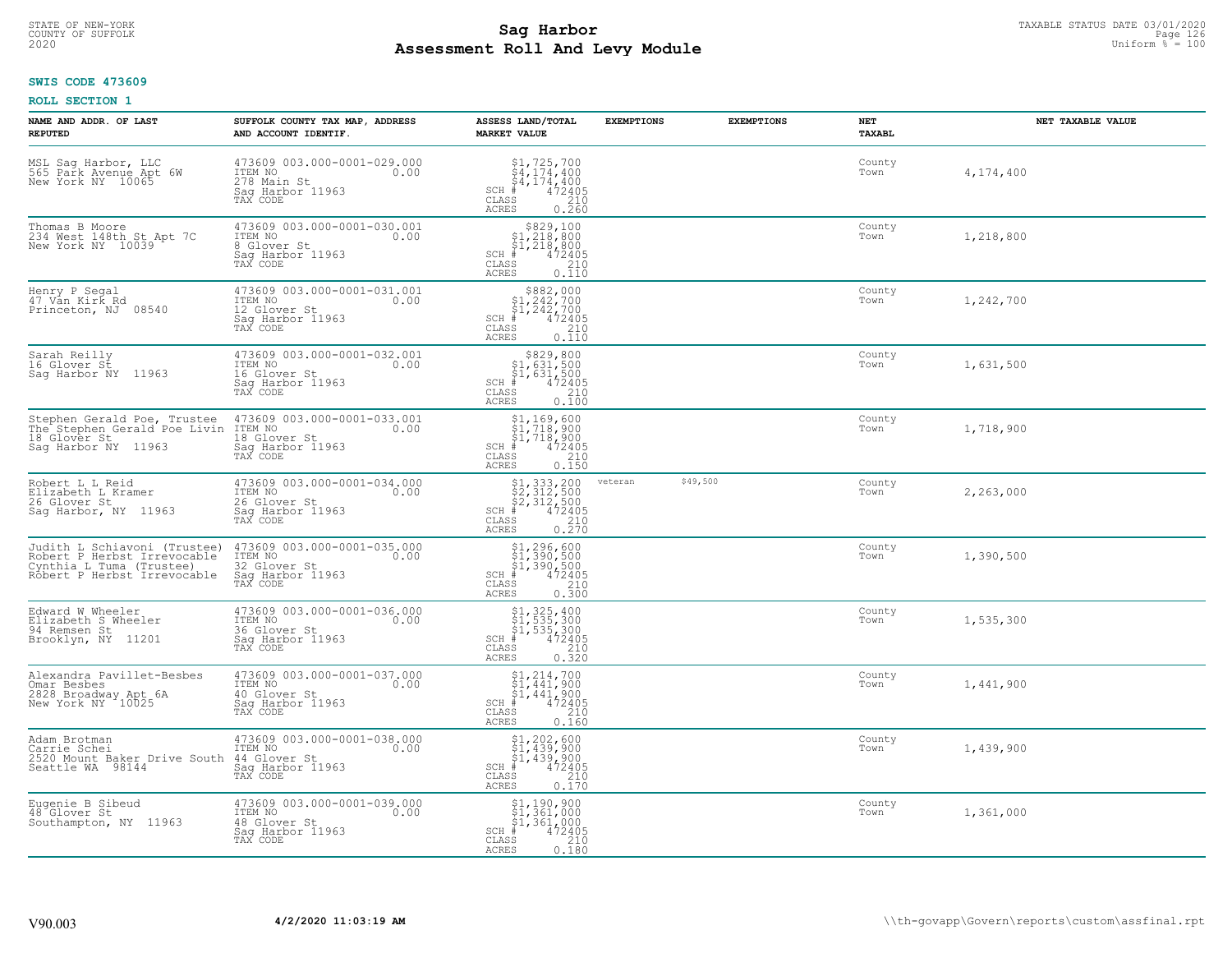# STATE OF NEW-YORK TAXABLE STATUS DATE 03/01/2020<br>COUNTY OF SUFFOLK Page 126 Page 126 **Assessment Roll And Levy Module Example 2020** Uniform  $\frac{1}{8}$  = 100

# **SWIS CODE 473609**

| NAME AND ADDR. OF LAST<br><b>REPUTED</b>                                                                               | SUFFOLK COUNTY TAX MAP, ADDRESS<br>AND ACCOUNT IDENTIF.                                        | ASSESS LAND/TOTAL<br><b>MARKET VALUE</b>                                                                                                                                                                                                                                                                                                                                  | <b>EXEMPTIONS</b> | <b>EXEMPTIONS</b> | <b>NET</b><br>TAXABL | NET TAXABLE VALUE |
|------------------------------------------------------------------------------------------------------------------------|------------------------------------------------------------------------------------------------|---------------------------------------------------------------------------------------------------------------------------------------------------------------------------------------------------------------------------------------------------------------------------------------------------------------------------------------------------------------------------|-------------------|-------------------|----------------------|-------------------|
| MSL Sag Harbor, LLC<br>565 Park Avenue Apt 6W<br>New York NY 10065                                                     | 473609 003.000-0001-029.000<br>ITEM NO<br>0.00<br>278 Main St<br>Sag Harbor 11963<br>TAX CODE  | $$1, 725, 700$<br>$$4, 174, 400$<br>$$4, 174, 400$<br>$$4, 174, 400$<br>$$4, 72405$<br>$SCH$ #<br>CLASS<br>$\begin{array}{c} 210 \\ 0.260 \end{array}$<br>ACRES                                                                                                                                                                                                           |                   |                   | County<br>Town       | 4,174,400         |
| Thomas B Moore<br>234 West 148th St Apt 7C<br>New York NY 10039                                                        | 473609 003.000-0001-030.001<br>ITEM NO<br>0.00<br>8 Glover St<br>Sag Harbor 11963<br>TAX CODE  | $$829,100$<br>$$1,218,800$<br>$$1,218,800$<br>$$472405$<br>SCH #<br>CLASS<br>$\frac{210}{0.110}$<br>ACRES                                                                                                                                                                                                                                                                 |                   |                   | County<br>Town       | 1,218,800         |
| Henry P Segal<br>47 Vān Kirk Rd<br>Princeton, NJ 08540                                                                 | 473609 003.000-0001-031.001<br>ITEM NO<br>0.00<br>12 Glover St<br>Sag Harbor 11963<br>TAX CODE | $$882,000\n$1,242,700\n$1,242,700\n# 472405\n85\n210$<br>SCH #<br>CLASS<br>0.110<br><b>ACRES</b>                                                                                                                                                                                                                                                                          |                   |                   | County<br>Town       | 1,242,700         |
| Sarah Reilly<br>16 Glover St<br>Sag Harbor NY 11963                                                                    | 473609 003.000-0001-032.001<br>ITEM NO<br>0.00<br>16 Glover St<br>Saq Harbor 11963<br>TAX CODE | $$829, 800$<br>$$1, 631, 500$<br>$$1, 631, 500$<br>$*$ 472405<br>$SCH$ #<br>CLASS<br>210<br><b>ACRES</b><br>0.100                                                                                                                                                                                                                                                         |                   |                   | County<br>Town       | 1,631,500         |
| Stephen Gerald Poe, Trustee<br>The Stephen Gerald Poe Livin<br>18 Glover St<br>Saq Harbor NY 11963                     | 473609 003.000-0001-033.001<br>ITEM NO<br>0.00<br>18 Glover St<br>Sag Harbor 11963<br>TAX CODE | $$1, 169, 600$<br>$$1, 718, 900$<br>$$1, 718, 900$<br>$$1, 718, 900$<br>$$1, 472402$<br>$SCH$ #<br>CLASS<br>210<br>0.150<br><b>ACRES</b>                                                                                                                                                                                                                                  |                   |                   | County<br>Town       | 1,718,900         |
| Robert L L Reid<br>Elizabeth L Kramer<br>26 Glover St<br>Sag Harbor, NY 11963                                          | 473609 003.000-0001-034.000<br>ITEM NO<br>0.00<br>26 Glover St<br>Sag Harbor 11963<br>TAX CODE | $\begin{array}{l} \text{\small $\$1,333,200} \\ \text{\small $\$2,312,500} \\ \text{\small $\$2,312,500} \\ \text{\small $\$4\,72405} \\ \text{\small $\$8$} \end{array}$<br>SCH #<br>CLASS<br><b>ACRES</b>                                                                                                                                                               | veteran           | \$49,500          | County<br>Town       | 2,263,000         |
| Judith L Schiavoni (Trustee)<br>Robert P Herbst Irrevocable<br>Cynthia_L_Tuma (Trustee)<br>Robert P Herbst Irrevocable | 473609 003.000-0001-035.000<br>ITEM NO<br>0.00<br>32 Glover St<br>Sag Harbor 11963<br>TAX CODE | $$1, 296, 600$<br>$$1, 390, 500$<br>$$1, 390, 500$<br>$$472405$<br>SCH #<br>CLASS<br>210<br><b>ACRES</b><br>0.300                                                                                                                                                                                                                                                         |                   |                   | County<br>Town       | 1,390,500         |
| Edward W Wheeler<br>Elizabeth S Wheeler<br>94 Remsen St<br>Brooklyn, NY 11201                                          | 473609 003.000-0001-036.000<br>ITEM NO<br>0.00<br>36 Glover St<br>Saq Harbor 11963<br>TAX CODE | $$1, 325, 400$<br>$$1, 535, 300$<br>$$1, 535, 300$<br>$*$<br>$*$<br>$*$<br>$*$<br>$SCH$ #<br>CLASS<br>210<br><b>ACRES</b><br>0.320                                                                                                                                                                                                                                        |                   |                   | County<br>Town       | 1,535,300         |
| Alexandra Pavillet-Besbes<br>Omar Besbes<br>2828 Broadway Apt 6A<br>New York NY 10025                                  | 473609 003.000-0001-037.000<br>ITEM NO<br>0.00<br>40 Glover St<br>Saq Harbor 11963<br>TAX CODE | $\begin{array}{c} 51,214,700 \\ 51,441,900 \\ 71,441,900 \end{array}$<br>$SCH$ #<br>472405<br>CLASS<br>$\begin{array}{c} 210 \\ 0.160 \end{array}$<br>ACRES                                                                                                                                                                                                               |                   |                   | County<br>Town       | 1,441,900         |
| Adam Brotman<br>Carrie Schei<br>2520 Mount Baker Drive South<br>Seattle WA 98144                                       | 473609 003.000-0001-038.000<br>ITEM NO<br>0.00<br>44 Glover St<br>Sag Harbor 11963<br>TAX CODE | $\begin{array}{l} \text{\small $51,202,600$} \\ \text{\small $51,439,900$} \\ \text{\small $51,439,900$} \\ \text{\small $+$} \\ \text{\small $+$} \\ \text{\small $58$} \end{array} \begin{array}{l} \text{\small $600$} \\ \text{\small $472405$} \\ \text{\small $210$} \\ \text{\small $210$} \\ \text{\small $0.170$} \end{array}$<br>SCH #<br>CLASS<br><b>ACRES</b> |                   |                   | County<br>Town       | 1,439,900         |
| Eugenie B Sibeud<br>48 Glover St<br>Southampton, NY 11963                                                              | 473609 003.000-0001-039.000<br>ITEM NO<br>0.00<br>48 Glover St<br>Sag Harbor 11963<br>TAX CODE | \$1,190,900<br>\$1,361,000<br>\$1,361,000<br>$\frac{472405}{210}$<br>SCH #<br>CLASS<br>ACRES<br>0.180                                                                                                                                                                                                                                                                     |                   |                   | County<br>Town       | 1,361,000         |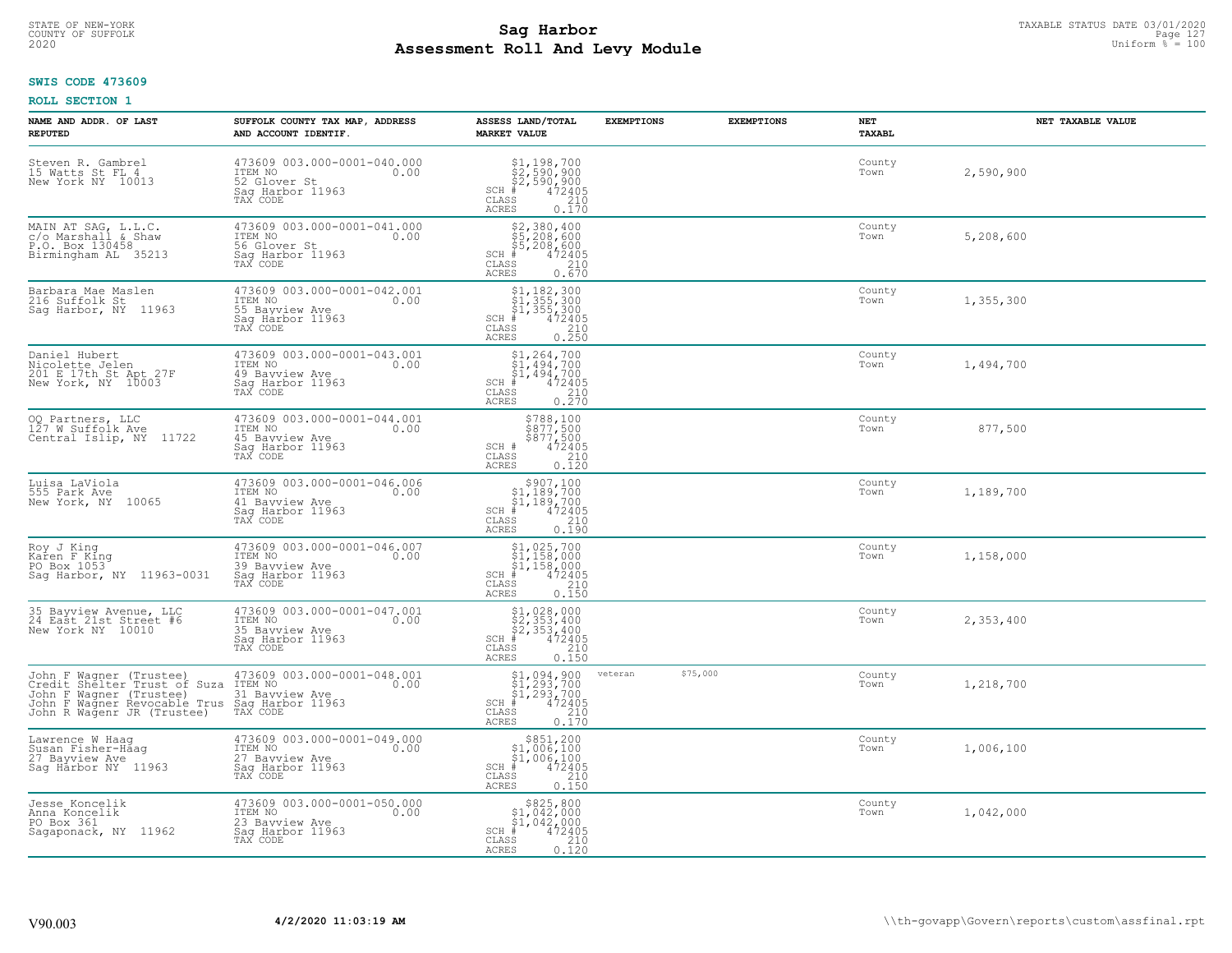# STATE OF NEW-YORK TAXABLE STATUS DATE 03/01/2020<br>COUNTY OF SUFFOLK Page 127 Page 127 **Assessment Roll And Levy Module Example 2020** Uniform  $\frac{1}{8}$  = 100

### **SWIS CODE 473609**

| NAME AND ADDR. OF LAST<br><b>REPUTED</b>                                                                                                         | SUFFOLK COUNTY TAX MAP, ADDRESS<br>AND ACCOUNT IDENTIF.                                          | ASSESS LAND/TOTAL<br><b>MARKET VALUE</b>                                                                                                                                                                                                                                                                                                                                                                                                                                                                                        | <b>EXEMPTIONS</b>   | <b>EXEMPTIONS</b> | NET<br><b>TAXABL</b> | NET TAXABLE VALUE |
|--------------------------------------------------------------------------------------------------------------------------------------------------|--------------------------------------------------------------------------------------------------|---------------------------------------------------------------------------------------------------------------------------------------------------------------------------------------------------------------------------------------------------------------------------------------------------------------------------------------------------------------------------------------------------------------------------------------------------------------------------------------------------------------------------------|---------------------|-------------------|----------------------|-------------------|
| Steven R. Gambrel<br>15 Watts St FL 4<br>New York NY 10013                                                                                       | 473609 003.000-0001-040.000<br>ITEM NO<br>0.00<br>52 Glover St<br>Saq Harbor 11963<br>TAX CODE   | $\begin{array}{l} \text{\small $51$, $198$, $700$} \\ \text{\small $52$, $590$, $900$} \\ \text{\small $52$, $590$, $900$} \\ \text{\small $472405} \\ \text{\small $85$} \\ \text{\small $210$} \\ \text{\small $25$} \\ \text{\small $210$} \\ \text{\small $0.170$} \end{array}$<br>$SCH$ #<br>CLASS<br><b>ACRES</b>                                                                                                                                                                                                         |                     |                   | County<br>Town       | 2,590,900         |
| MAIN AT SAG, L.L.C.<br>c/o Marshall & Shaw<br>P.O. Box 130458<br>Birmingham AL 35213                                                             | 473609 003.000-0001-041.000<br>ITEM NO<br>0.00<br>56 Glover St<br>Sag Harbor 11963<br>TAX CODE   | \$2,380,400<br>\$5,208,600<br>\$5,208,600<br>$SCH$ #<br>$\frac{472405}{210}$<br>CLASS<br>0.670<br><b>ACRES</b>                                                                                                                                                                                                                                                                                                                                                                                                                  |                     |                   | County<br>Town       | 5,208,600         |
| Barbara Mae Maslen<br>216 Suffolk St<br>Sag Harbor, NY 11963                                                                                     | 473609 003.000-0001-042.001<br>ITEM NO<br>0.00<br>55 Bayview Ave<br>Sag Harbor 11963<br>TAX CODE | $$1, 182, 300$<br>$$1, 355, 300$<br>$$1, 355, 300$<br>$$472405$<br>$SCH$ #<br>$\mathtt{CLASS}$<br>210<br>0.250<br><b>ACRES</b>                                                                                                                                                                                                                                                                                                                                                                                                  |                     |                   | County<br>Town       | 1,355,300         |
| Daniel Hubert<br>Nicolette Jelen<br>201 E 17th St Apt 27F<br>New York, NY 10003                                                                  | 473609 003.000-0001-043.001<br>ITEM NO<br>0.00<br>49 Bayview Ave<br>Saq Harbor 11963<br>TAX CODE | $$1, 264, 700$<br>$$1, 494, 700$<br>$$1, 494, 700$<br>$SCH$ #<br>$\begin{smallmatrix} 472405\ 210\ 2.70 \end{smallmatrix}$<br>CLASS<br><b>ACRES</b>                                                                                                                                                                                                                                                                                                                                                                             |                     |                   | County<br>Town       | 1,494,700         |
| 00 Partners, LLC<br>127 W Suffolk Ave<br>11722<br>Central Islip, NY                                                                              | 473609 003.000-0001-044.001<br>ITEM NO<br>0.00<br>45 Bayview Ave<br>Saq Harbor 11963<br>TAX CODE | $\begin{array}{r} 5788, 100 \\ 5877, 500 \\ 5877, 500 \\ 472405 \\ 210 \\ 0.120 \end{array}$<br>SCH #<br>$\mathtt{CLASS}$<br><b>ACRES</b>                                                                                                                                                                                                                                                                                                                                                                                       |                     |                   | County<br>Town       | 877,500           |
| Luisa LaViola<br>555 Park Ave<br>New York, NY 10065                                                                                              | 473609 003.000-0001-046.006<br>ITEM NO<br>0.00<br>41 Bayview Ave<br>Saq Harbor 11963<br>TAX CODE | $\begin{array}{c} $907,100 $1,189,700 $1,189,700 # 472405 \end{array}$<br>$SCH$ #<br>CLASS<br>$\begin{array}{c} 210 \\ 0.190 \end{array}$<br><b>ACRES</b>                                                                                                                                                                                                                                                                                                                                                                       |                     |                   | County<br>Town       | 1,189,700         |
| Roy J King<br>Karen F King<br>PO Box 1053<br>Saq Harbor, NY 11963-0031                                                                           | 473609 003.000-0001-046.007<br>ITEM NO<br>0.00<br>39 Bayview Ave<br>Sag Harbor 11963<br>TAX CODE | $$1,025,700$<br>$$1,158,000$<br>$$1,158,000$<br>$*1,158,000$<br>$*1,472405$<br>$SCH$ #<br>CLASS<br>$\frac{210}{0.150}$<br>ACRES                                                                                                                                                                                                                                                                                                                                                                                                 |                     |                   | County<br>Town       | 1,158,000         |
| 35 Bayview Avenue, LLC<br>24 East 21st Street #6<br>New York NY 10010                                                                            | 473609 003.000-0001-047.001<br>ITEM NO<br>0.00<br>35 Bayview Ave<br>Saq Harbor 11963<br>TAX CODE | $$2, 353, 400$<br>$$2, 353, 400$<br>$$2, 353, 400$<br>$472405$<br>$$2, 20$<br>SCH<br>CLASS<br>ACRES<br>0.150                                                                                                                                                                                                                                                                                                                                                                                                                    |                     |                   | County<br>Town       | 2,353,400         |
| John F Wagner (Trustee)<br>Credit Shelter Trust of Suza<br>John F Wagner (Trustee)<br>John F Wagner Revocable Trus<br>John R Wagenr JR (Trustee) | 473609 003.000-0001-048.001<br>ITEM NO<br>0.00<br>31 Bayview Ave<br>Saq Harbor 11963<br>TAX CODE | $\begin{array}{c} \text{\small $\$1,094,900} \\ \text{\small $\$1,293,700} \\ \text{\small $\$1,293,700} \\ \text{\small $\$1,293,700} \\ \text{\small $\$1$} \\ \text{\small $\$8$} \\ \text{\small $\$8$} \\ \text{\small $\$8$} \\ \text{\small $\$1$} \\ \text{\small $\$1$} \\ \text{\small $\$1$} \\ \text{\small $\$1$} \\ \text{\small $\$1$} \\ \text{\small $\$1$} \\ \text{\small $\$1$} \\ \text{\small $\$1$} \\ \text{\small $\$1$} \\ \text{\small $\$1$} \\ \text{\small $$<br>$SCH$ #<br>CLASS<br><b>ACRES</b> | \$75,000<br>veteran |                   | County<br>Town       | 1,218,700         |
| Lawrence W Haaq<br>Susan Fisher-Haag<br>27 Bayview Ave<br>Saq Harbor NY 11963                                                                    | 473609 003.000-0001-049.000<br>ITEM NO<br>0.00<br>27 Bayview Ave<br>Saq Harbor 11963<br>TAX CODE | \$851,200<br>\$1,006,100<br>\$1,006,100<br>$SCH$ #<br>$47\overline{2}\overline{405}$<br>210<br>CLASS<br>0.150<br>ACRES                                                                                                                                                                                                                                                                                                                                                                                                          |                     |                   | County<br>Town       | 1,006,100         |
| Jesse Koncelik<br>Anna Koncelik<br>PO Box 361<br>Sagaponack, NY 11962                                                                            | 473609 003.000-0001-050.000<br>ITEM NO<br>0.00<br>23 Bayview Ave<br>Saq Harbor 11963<br>TAX CODE | $$825, 800$<br>$$1, 042, 000$<br>$$1, 042, 000$<br>$$1, 042, 000$<br>$SCH$ #<br>$\begin{array}{r} 72405 \\ 210 \\ 0.120 \end{array}$<br>CLASS<br>ACRES                                                                                                                                                                                                                                                                                                                                                                          |                     |                   | County<br>Town       | 1,042,000         |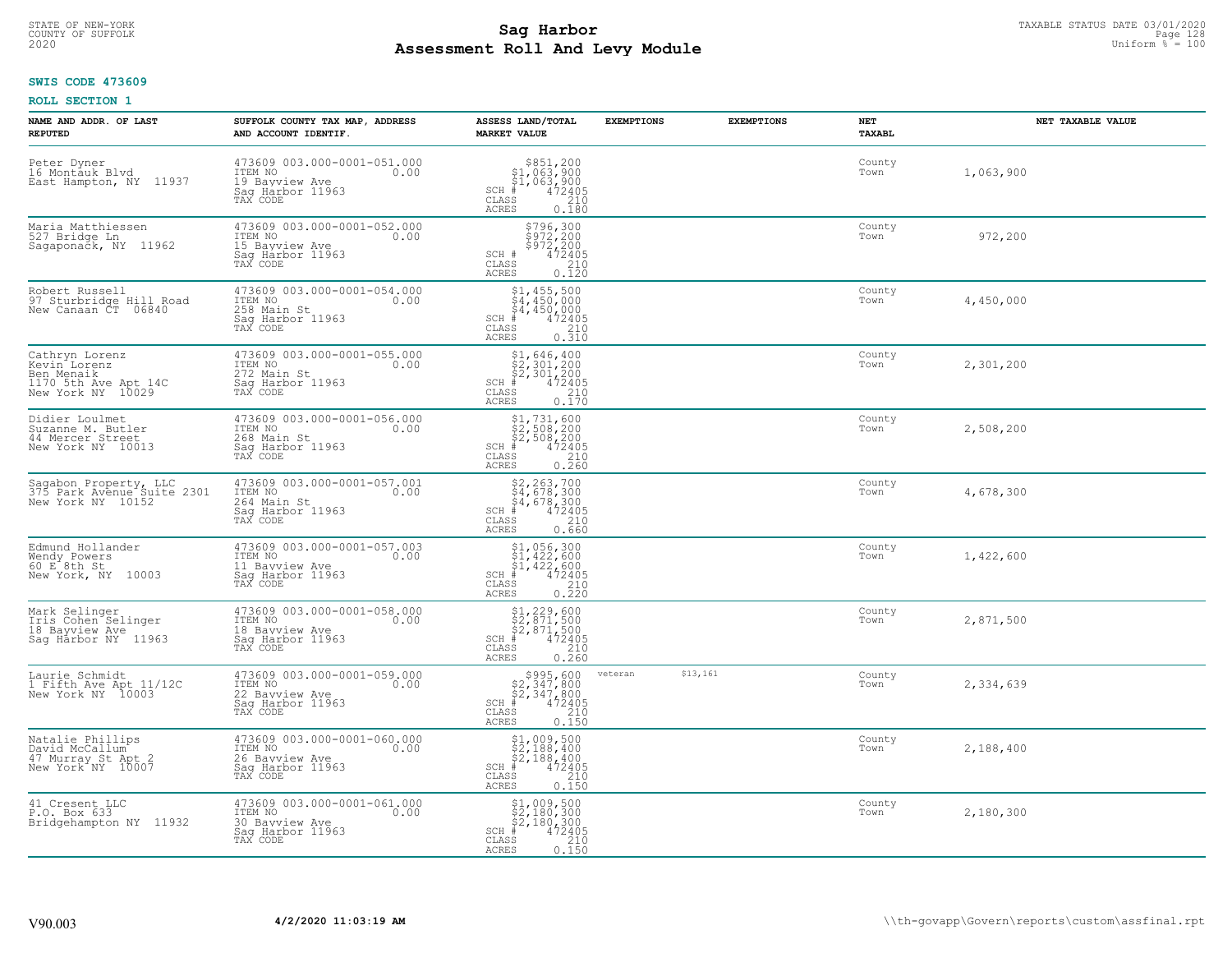# STATE OF NEW-YORK TAXABLE STATUS DATE 03/01/2020<br>COUNTY OF SUFFOLK Page 128 Page 128 **Assessment Roll And Levy Module Example 2020** Uniform  $\frac{1}{8}$  = 100

#### **SWIS CODE 473609**

| NAME AND ADDR. OF LAST<br><b>REPUTED</b>                                                   | SUFFOLK COUNTY TAX MAP, ADDRESS<br>AND ACCOUNT IDENTIF.                                          | ASSESS LAND/TOTAL<br><b>MARKET VALUE</b>                                                                                                           | <b>EXEMPTIONS</b>   | <b>EXEMPTIONS</b> | NET<br><b>TAXABL</b> | NET TAXABLE VALUE |
|--------------------------------------------------------------------------------------------|--------------------------------------------------------------------------------------------------|----------------------------------------------------------------------------------------------------------------------------------------------------|---------------------|-------------------|----------------------|-------------------|
| Peter Dyner<br>16 Montāuk Blvd<br>East Hampton, NY 11937                                   | 473609 003.000-0001-051.000<br>ITEM NO<br>0.00<br>19 Bayview Ave<br>Saq Harbor 11963<br>TAX CODE | $$851,200\n$1,063,900\n$1,063,900\n# 472405\n85\n$2,10$<br>$SCH \#$<br>CLASS<br>ACRES<br>0.180                                                     |                     |                   | County<br>Town       | 1,063,900         |
| Maria Matthiessen<br>527 Bridge Ln<br>Sagaponačk, NY 11962                                 | 473609 003.000-0001-052.000<br>ITEM NO<br>0.00<br>15 Bayview Ave<br>Sag Harbor 11963<br>TAX CODE | \$796,300<br>\$972,200<br>\$972,200<br>472405<br>SCH #<br>$\begin{array}{c} 210 \\ 0.120 \end{array}$<br>CLASS<br>ACRES                            |                     |                   | County<br>Town       | 972,200           |
| Robert Russell<br>97 Sturbridge Hill Road<br>New Canaan CT 06840                           | 473609 003.000-0001-054.000<br>ITEM NO<br>0.00<br>258 Main St<br>Sag Harbor 11963<br>TAX CODE    | \$1,455,500<br>$\begin{array}{l} 54,450,000 \\ 4,450,000 \\ \frac{4}{7} & 472405 \end{array}$<br>$SCH$ #<br>CLASS<br>$\frac{210}{0.310}$<br>ACRES  |                     |                   | County<br>Town       | 4,450,000         |
| Cathryn Lorenz<br>Kevin Lorenz<br>Ben Menaik<br>1170 5th Ave Apt 14C<br>New York NY 10029  | 473609 003.000-0001-055.000<br>0.00 0.00<br>272 Main St<br>Saq Harbor 11963<br>TAX CODE          | $$1,646,400$<br>$$2,301,200$<br>$$2,301,200$<br>$*$ 472405<br>$SCH$ #<br>CLASS<br>210<br>ACRES<br>0.170                                            |                     |                   | County<br>Town       | 2,301,200         |
| Didier Loulmet<br>Suzanne M. Butler<br>44 Mercer Street<br>New York NY 10013               | 473609 003.000-0001-056.000<br>ITEM NO<br>0.00<br>268 Main St<br>Sag Harbor 11963<br>TAX CODE    | $$1,731,600$<br>$$2,508,200$<br>$$2,508,200$<br>$SCH$ #<br>$\frac{47\overline{2}\overline{405}}{210}$<br>$\mathtt{CLASS}$<br><b>ACRES</b><br>0.260 |                     |                   | County<br>Town       | 2,508,200         |
| Sagabon Property, LLC<br>375 Park Avenue Suite 2301<br>New York NY 10152                   | 473609 003.000-0001-057.001<br>ITEM NO<br>0.00<br>264 Main St<br>Sag Harbor 11963<br>TAX CODE    | $$2, 263, 700$<br>$$4, 678, 300$<br>$$4, 678, 300$<br>$472405$<br>$$210$<br>$SCH$ #<br>CLASS<br>0.660<br>ACRES                                     |                     |                   | County<br>Town       | 4,678,300         |
| Edmund Hollander<br>Wendy Powers<br>60 E 8th St<br>New York, NY 10003                      | 473609 003.000-0001-057.003<br>ITEM NO<br>0.00<br>11 Bayview Ave<br>Saq Harbor 11963<br>TAX CODE | \$1,056,300<br>\$1,422,600<br>\$1,422,600<br>\$4,422,600<br>$SCH$ #<br>CLASS<br>210<br>0.220<br>ACRES                                              |                     |                   | County<br>Town       | 1,422,600         |
| Mark Selinger<br>Iris Cohen Selinger<br>18 Bayview Ave<br>Sag Harbor NY 11963              | 473609 003.000-0001-058.000<br>ITEM NO<br>0.00<br>18 Bayview Ave<br>Saq Harbor 11963<br>TAX CODE | $$1, 229, 600$<br>$$2, 871, 500$<br>$$2, 871, 500$<br>$$472405$<br>$SCH$ #<br>CLASS<br>210<br><b>ACRES</b><br>0.260                                |                     |                   | County<br>Town       | 2,871,500         |
| Laurie Schmidt<br>1 Fifth Ave Apt 11/12C<br>New York NY 10003                              | 473609 003.000-0001-059.000<br>ITEM NO<br>0.00<br>22 Bayview Ave<br>Saq Harbor 11963<br>TAX CODE | $$995,600$<br>$$2,347,800$<br>$$2,347,800$<br>$472405$<br>$$2,240$<br>$SCH$ #<br>CLASS<br><b>ACRES</b><br>0.150                                    | \$13,161<br>veteran |                   | County<br>Town       | 2,334,639         |
| Natalie Phillips<br>David McCallum <sup>-</sup><br>47 Murray St Apt 2<br>New York NY 10007 | 473609 003.000-0001-060.000<br>ITEM NO<br>0.00<br>26 Bayview Ave<br>Saq Harbor 11963<br>TAX CODE | $$2,188,400$<br>$$2,188,400$<br>$$2,188,400$<br>$$472405$<br>$SCH$ #<br>$\begin{array}{c} 210 \\ 0.150 \end{array}$<br>CLASS<br><b>ACRES</b>       |                     |                   | County<br>Town       | 2,188,400         |
| 41 Cresent LLC<br>P.O. Box 633<br>Bridgehampton NY 11932                                   | 473609 003.000-0001-061.000<br>ITEM NO<br>0.00<br>30 Bayview Ave<br>Sag Harbor 11963<br>TAX CODE | \$1,009,500<br>\$2,180,300<br>\$2,180,300<br>472405<br>$SCH$ #<br>CLASS<br>210<br>0.150<br>ACRES                                                   |                     |                   | County<br>Town       | 2,180,300         |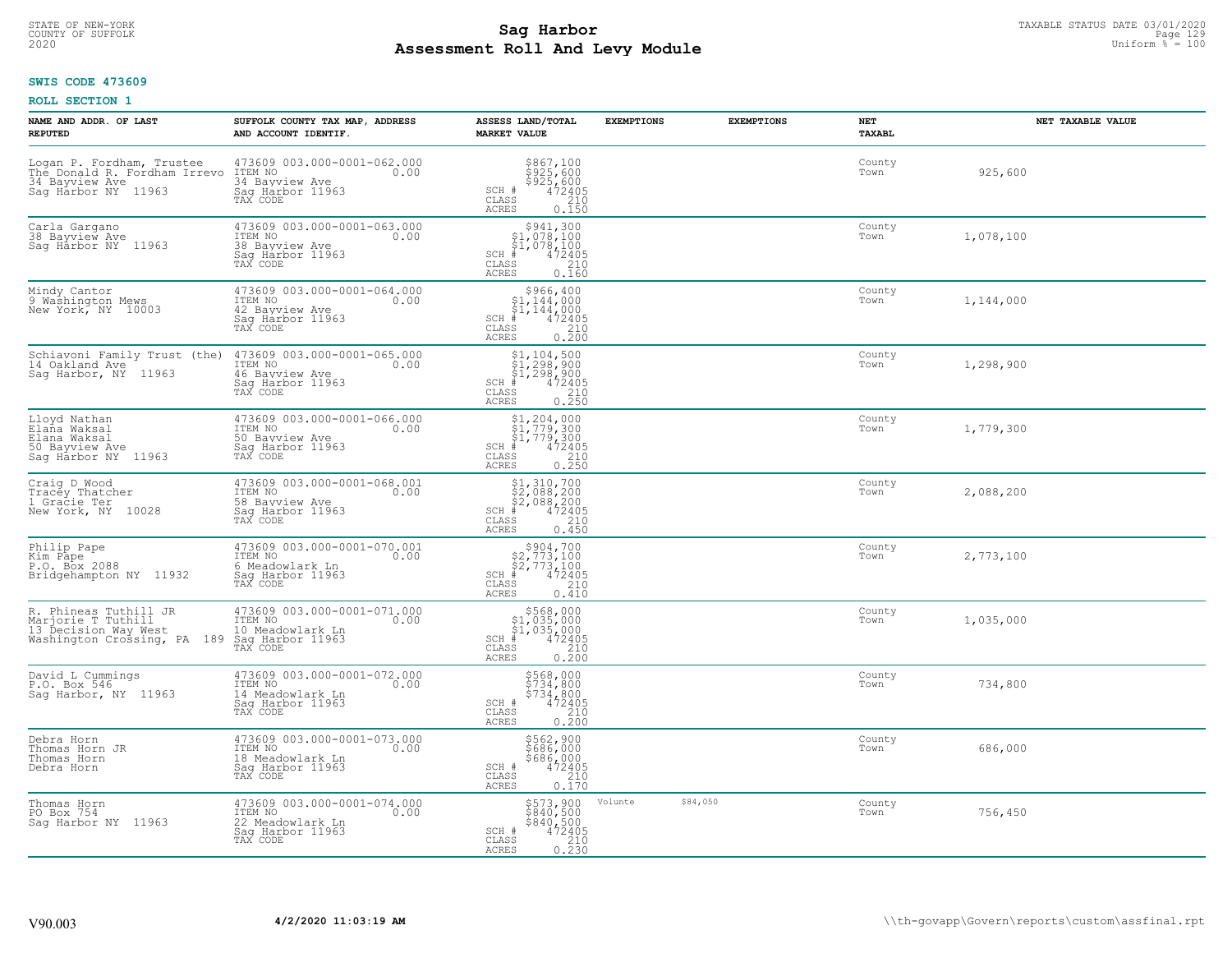# STATE OF NEW-YORK TAXABLE STATUS DATE 03/01/2020<br>COUNTY OF SUFFOLK Page 129 Page 129 **Assessment Roll And Levy Module Example 2020** Uniform  $\frac{1}{8}$  = 100

#### **SWIS CODE 473609**

| NAME AND ADDR. OF LAST<br><b>REPUTED</b>                                                           | SUFFOLK COUNTY TAX MAP, ADDRESS<br>AND ACCOUNT IDENTIF.                                            | ASSESS LAND/TOTAL<br><b>MARKET VALUE</b>                                                                                                                                                                                                                                                                                                                                                                                                         | <b>EXEMPTIONS</b>   | <b>EXEMPTIONS</b> | <b>NET</b><br><b>TAXABL</b> | NET TAXABLE VALUE |
|----------------------------------------------------------------------------------------------------|----------------------------------------------------------------------------------------------------|--------------------------------------------------------------------------------------------------------------------------------------------------------------------------------------------------------------------------------------------------------------------------------------------------------------------------------------------------------------------------------------------------------------------------------------------------|---------------------|-------------------|-----------------------------|-------------------|
| Logan P. Fordham, Trustee<br>The Donald R. Fordham Irrevo<br>34 Bayview Ave<br>Saq Harbor NY 11963 | 473609 003.000-0001-062.000<br>1TEM NO 0.00<br>34 Bavview Ave<br>Saq Harbor 11963<br>TAX CODE      | $$925,600$<br>$$925,600$<br>$$925,600$<br>$472405$<br>$$210$<br>SCH #<br>$\mathtt{CLASS}$<br>0.150<br>ACRES                                                                                                                                                                                                                                                                                                                                      |                     |                   | County<br>Town              | 925,600           |
| Carla Gargano<br>38 Bayview Ave<br>Sag Harbor NY 11963                                             | 473609 003.000-0001-063.000<br>ITEM NO<br>0.00<br>38 Bayview Ave<br>Sag Harbor 11963<br>TAX CODE   | $$941,30051,078,10051,078,100*472405$<br>$SCH$ #<br>CLASS<br>$\begin{array}{c} 210 \\ 0.160 \end{array}$<br>ACRES                                                                                                                                                                                                                                                                                                                                |                     |                   | County<br>Town              | 1,078,100         |
| Mindy Cantor<br>9 Washington Mews<br>New York, NY 10003                                            | 473609 003.000-0001-064.000<br>ITEM NO<br>0.00<br>42 Bayview Ave<br>Sag Harbor 11963<br>TAX CODE   | \$966,400<br>\$1,144,000<br>$\frac{5}{3}$ <sup>1</sup> , 144, 000<br>$SCH$ #<br>472405<br>CLASS<br>$\begin{array}{c} 210 \\ 0.200 \end{array}$<br>ACRES                                                                                                                                                                                                                                                                                          |                     |                   | County<br>Town              | 1,144,000         |
| Schiavoni Family Trust (the)<br>14 Oakland Ave<br>Sag Harbor, NY 11963                             | 473609 003.000-0001-065.000<br>ITEM NO<br>0.00<br>46 Bayview Ave<br>Saq Harbor 11963<br>TAX CODE   | $$1, 104, 500$<br>$$1, 298, 900$<br>$$1, 298, 900$<br>SCH #<br>CLASS<br>$72405$<br>$210$<br>$0.250$<br>ACRES                                                                                                                                                                                                                                                                                                                                     |                     |                   | County<br>Town              | 1,298,900         |
| Lloyd Nathan<br>Elaña Waksal<br>Elana Waksal<br>50 Bayview Ave<br>Sag Härbor NY 11963              | 473609 003.000-0001-066.000<br>ITEM NO<br>0.00<br>50 Bayview Ave<br>Sag Harbor 11963<br>TAX CODE   | $\begin{array}{l} \text{\small $\$1,204,000} \\ \text{\small $\$1,779,300} \\ \text{\small $\$1,779,300} \\ \text{\small $\$1,779,300} \\ \text{\small $\$1$} \\ \text{\small $\$8$} \\ \text{\small $\$8$} \\ \text{\small $\$8$} \\ \text{\small $\$1$} \\ \text{\small $\$1$} \\ \text{\small $\$1$} \\ \text{\small $\$1$} \\ \text{\small $\$2$} \\ \text{\small $\$1$} \\ \text{\small $\$3$} \\ \end{array}$<br>$SCH$ #<br>CLASS<br>ACRES |                     |                   | County<br>Town              | 1,779,300         |
| Craig D Wood<br>Tracey Thatcher<br>1 Gracie Ter<br>New York, NY 10028                              | 473609 003.000-0001-068.001<br>ITEM NO<br>0.00<br>58 Bayview Ave<br>Sag Harbor 11963<br>TAX CODE   | $$2,088,200$<br>$$2,088,200$<br>$$2,088,200$<br>$*$<br>$472405$<br>$*$<br>$210$<br>$SCH$ #<br>$\mathtt{CLASS}$<br>0.450<br>ACRES                                                                                                                                                                                                                                                                                                                 |                     |                   | County<br>Town              | 2,088,200         |
| Philip Pape<br>Kim Pape<br>P.O. Box 2088<br>Bridgehampton NY 11932                                 | 473609 003.000-0001-070.001<br>ITEM NO<br>0.00<br>6 Meadowlark Ln<br>Sag Harbor 11963<br>TAX CODE  | $\begin{array}{c} $904,700 $2,773,100 $2,773,100 # 472405 \end{array}$<br>$SCH$ #<br>CLASS<br>210<br>0.410<br><b>ACRES</b>                                                                                                                                                                                                                                                                                                                       |                     |                   | County<br>Town              | 2,773,100         |
| R. Phineas Tuthill JR<br>Marjorie T Tuthill<br>13 Decision Way West<br>Washington Crossing, PA 189 | 473609 003.000-0001-071.000<br>ITEM NO<br>0.00<br>10 Meadowlark Ln<br>Saq Harbor 11963<br>TAX CODE | $$568,000$<br>$$1,035,000$<br>$$1,035,000$<br>$*$<br>$472405$<br>SCH<br>CLASS<br>0.200<br><b>ACRES</b>                                                                                                                                                                                                                                                                                                                                           |                     |                   | County<br>Town              | 1,035,000         |
| David L Cummings<br>P.O. Box 546<br>Saq Harbor, NY 11963                                           | 473609 003.000-0001-072.000<br>ITEM NO 0.00<br>14 Meadowlark Ln<br>Saq Harbor 11963<br>TAX CODE    | \$568,000<br>\$734,800<br>\$734,800<br>\$734,800<br>SCH #<br>CLASS<br>0.200<br>ACRES                                                                                                                                                                                                                                                                                                                                                             |                     |                   | County<br>Town              | 734,800           |
| Debra Horn<br>Thomas Horn JR<br>Thomas Horn<br>Debra Horn                                          | 473609 003.000-0001-073.000<br>ITEM NO<br>0.00<br>18 Meadowlark Ln<br>Sag Harbor 11963<br>TAX CODE | \$562,900<br>\$686,000<br>\$686,000<br>\$472405<br>\$410<br>SCH #<br>CLASS<br><b>ACRES</b><br>0.170                                                                                                                                                                                                                                                                                                                                              |                     |                   | County<br>Town              | 686,000           |
| Thomas Horn<br>PO Box 754<br>Saq Harbor NY 11963                                                   | 473609 003.000-0001-074.000<br>ITEM NO<br>0.00<br>22 Meadowlark Ln<br>Sag Harbor 11963<br>TAX CODE | \$573,900<br>\$840,500<br>\$840,500<br>472405<br>0.230<br>SCH #<br>CLASS<br><b>ACRES</b>                                                                                                                                                                                                                                                                                                                                                         | \$84,050<br>Volunte |                   | County<br>Town              | 756,450           |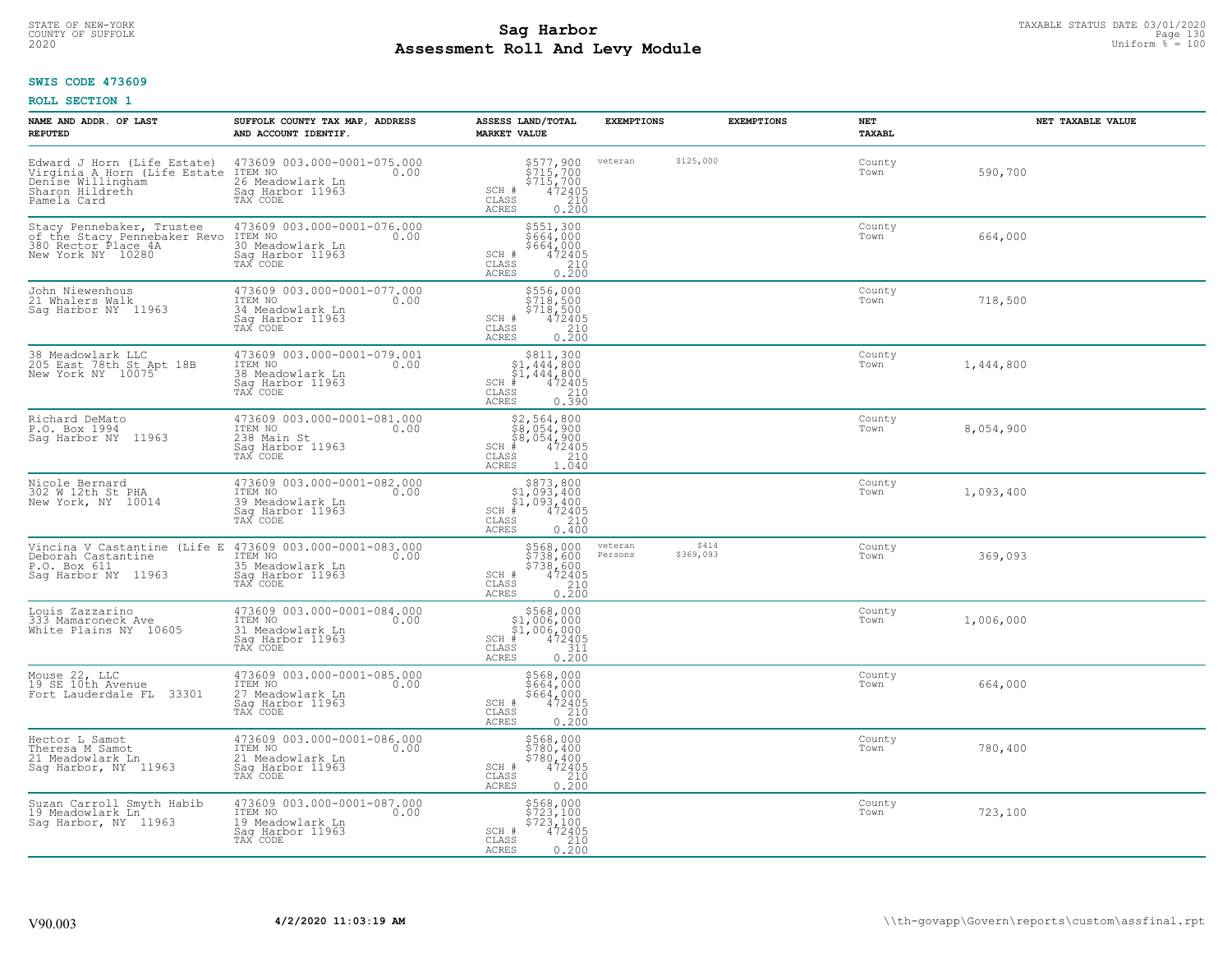# STATE OF NEW-YORK TAXABLE STATUS DATE 03/01/2020<br>COUNTY OF SUFFOLK Page 130 **Assessment Roll And Levy Module Example 2020** Uniform  $\frac{1}{8}$  = 100

# **SWIS CODE 473609**

| NAME AND ADDR. OF LAST<br><b>REPUTED</b>                                                                           | SUFFOLK COUNTY TAX MAP, ADDRESS<br>AND ACCOUNT IDENTIF.                                            | ASSESS LAND/TOTAL<br><b>MARKET VALUE</b>                                                                                                                                                                                                                                                                                                                   | <b>EXEMPTIONS</b>  | <b>EXEMPTIONS</b>  | <b>NET</b><br>TAXABL | NET TAXABLE VALUE |
|--------------------------------------------------------------------------------------------------------------------|----------------------------------------------------------------------------------------------------|------------------------------------------------------------------------------------------------------------------------------------------------------------------------------------------------------------------------------------------------------------------------------------------------------------------------------------------------------------|--------------------|--------------------|----------------------|-------------------|
| Edward J Horn (Life Estate)<br>Virginia A Horn (Life Estate<br>Denise Willingham<br>Sharon Hildreth<br>Pamela Card | 473609 003.000-0001-075.000<br>ITEM NO<br>0.00<br>26 Meadowlark Ln<br>Sag Harbor 11963<br>TAX CODE | \$577,900<br>\$715,700<br>\$715,700<br>\$71405<br>0.200<br>0.200<br>SCH #<br>CLASS<br>ACRES                                                                                                                                                                                                                                                                | veteran            | \$125,000          | County<br>Town       | 590,700           |
| Stacy Pennebaker, Trustee<br>of the Stacy Pennebaker Revo<br>380 Rector Place 4A<br>New York NY 10280              | 473609 003.000-0001-076.000<br>ITEM NO<br>0.00<br>30 Meadowlark Ln<br>Sag Harbor 11963<br>TAX CODE | \$551,300<br>\$664,000<br>\$664,000<br>472405<br>$\begin{array}{c} \text{SCH} \ \text{\#} \\ \text{CLASS} \end{array}$<br>$\frac{210}{0.200}$<br>ACRES                                                                                                                                                                                                     |                    |                    | County<br>Town       | 664,000           |
| John Niewenhous<br>21 Whalers Walk<br>Saq Harbor NY 11963                                                          | 473609 003.000-0001-077.000<br>ITEM NO<br>0.00<br>34 Meadowlark Ln<br>Sag Harbor 11963<br>TAX CODE | \$556,000<br>\$718,500<br>$\begin{array}{r} 5718,500 \\ 472405 \\ 210 \\ 0.200 \end{array}$<br>SCH #<br>CLASS<br><b>ACRES</b>                                                                                                                                                                                                                              |                    |                    | County<br>Town       | 718,500           |
| 38 Meadowlark LLC<br>205 East 78th St Apt 18B<br>New York NY 10075                                                 | 473609 003.000-0001-079.001<br>ITEM NO<br>0.00<br>38 Meadowlark Ln<br>Saq Harbor 11963<br>TAX CODE | $\begin{array}{r}  \  \  \, 811,300 \\  \  \, 51,444,800 \\  \  \, 51,444,800 \\  \  \, 472405 \\  \  \, 83 & 210 \\  \  \, 82 & 210 \\  \  \, 83 & 230 \\  \  \, 82 & 230 \\  \  \, 84 & 230 \\  \  \, 85 & 230 \\  \  \, 86 & 230 \\  \  \, 87 & 230 \\  \  \, 88 & 230 \\  \  \, 89 & 230 \\  \  \, 89 & $<br>$SCH$ #<br>CLASS<br>0.390<br><b>ACRES</b> |                    |                    | County<br>Town       | 1,444,800         |
| Richard DeMato<br>P.O. Box 1994<br>Sag Harbor NY 11963                                                             | 473609 003.000-0001-081.000<br>ITEM NO<br>0.00<br>238 Main St<br>Saq Harbor 11963<br>TAX CODE      | \$2,564,800<br>\$8,054,900<br>\$8,054,900<br>#472405<br>$SCH$ #<br>CLASS<br>210<br><b>ACRES</b><br>1.040                                                                                                                                                                                                                                                   |                    |                    | County<br>Town       | 8,054,900         |
| Nicole Bernard<br>302 W 12th St PHA<br>New York, NY 10014                                                          | 473609 003.000-0001-082.000<br>ITEM NO<br>0.00<br>39 Meadowlark Ln<br>Saq Harbor 11963<br>TAX CODE | $$873,800$<br>$$1,093,400$<br>$$1,093,400$<br>$$472405$<br>$SCH$ #<br>CLASS<br>210<br>0.400<br><b>ACRES</b>                                                                                                                                                                                                                                                |                    |                    | County<br>Town       | 1,093,400         |
| Vincina V Castantine (Life E Deborah Castantine<br>P.O. Box 611<br>Sag Harbor NY 11963                             | 473609 003.000-0001-083.000<br>ITEM NO<br>0.00<br>35 Meadowlark Ln<br>Sag Harbor 11963<br>TAX CODE | \$568,000<br>\$738,600<br>\$738,600<br>\$738,600<br>SCH #<br>CLASS<br>0.210<br><b>ACRES</b>                                                                                                                                                                                                                                                                | veteran<br>Persons | \$414<br>\$369,093 | County<br>Town       | 369,093           |
| Louis Zazzarino<br>333 Mamaroneck Ave<br>White Plains NY 10605                                                     | 473609 003.000-0001-084.000<br>TTEM NO 0.00<br>31 Meadowlark Ln<br>Sag Harbor 11963<br>TAX CODE    | $$568,000$ $$1,006,000$ $$1,006,000$ $$472405$ $$311$<br>$SCH$ #<br>$\mathtt{CLASS}$<br><b>ACRES</b><br>0.200                                                                                                                                                                                                                                              |                    |                    | County<br>Town       | 1,006,000         |
| Mouse 22, LLC<br>19 SE 10th Avenue<br>Fort Lauderdale FL 33301                                                     | 473609 003.000-0001-085.000<br>ITEM NO<br>0.00<br>27 Meadowlark Ln<br>Saq Harbor 11963<br>TAX CODE | \$568,000<br>\$664,000<br>$$664,000$<br>472405<br>210<br>SCH #<br>CLASS<br><b>ACRES</b><br>0.200                                                                                                                                                                                                                                                           |                    |                    | County<br>Town       | 664,000           |
| Hector L Samot<br>Theresa M Samot<br>21 Meadowlark Ln<br>Saq Harbor, NY 11963                                      | 473609 003.000-0001-086.000<br>ITEM NO<br>0.00<br>21 Meadowlark Ln<br>Sag Harbor 11963<br>TAX CODE | \$568,000<br>\$780,400<br>\$780,400<br>$\begin{array}{r} \n 472405 \\  210 \\  0.200\n \end{array}$<br>SCH #<br>CLASS<br><b>ACRES</b>                                                                                                                                                                                                                      |                    |                    | County<br>Town       | 780,400           |
| Suzan Carroll Smyth Habib<br>19 Meadowlark Ln<br>Saq Harbor, NY 11963                                              | 473609 003.000-0001-087.000<br>ITEM NO<br>0.00<br>19 Meadowlark Ln<br>Sag Harbor 11963<br>TAX CODE | \$568,000<br>\$723,100<br>\$723,100<br>SCH #<br>472405<br>CLASS<br>$\frac{210}{0.200}$<br>ACRES                                                                                                                                                                                                                                                            |                    |                    | County<br>Town       | 723,100           |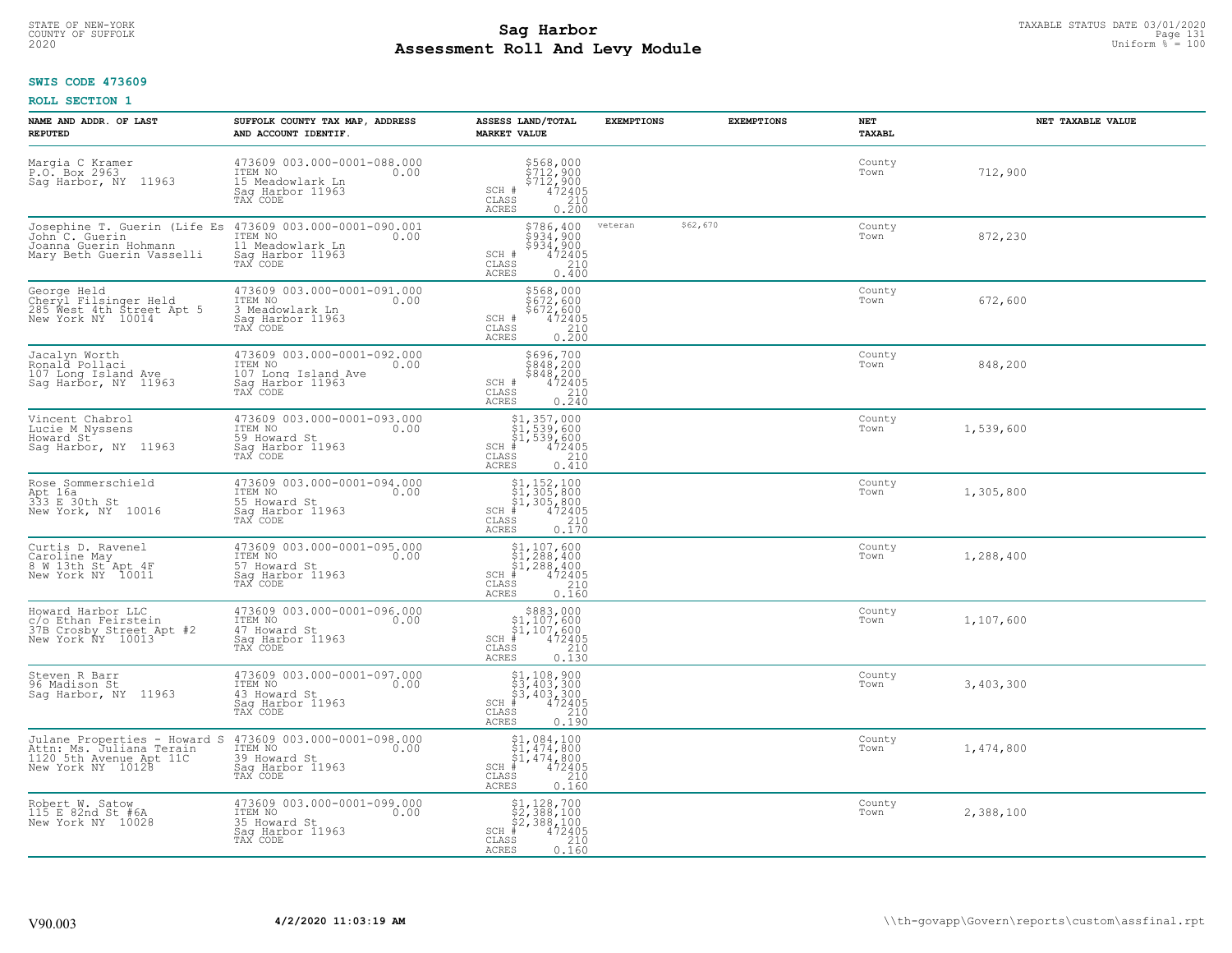# STATE OF NEW-YORK TAXABLE STATUS DATE 03/01/2020<br>COUNTY OF SUFFOLK Page 131 Page 131 **Assessment Roll And Levy Module Example 2020** Uniform  $\frac{1}{8}$  = 100

#### **SWIS CODE 473609**

| NAME AND ADDR. OF LAST<br><b>REPUTED</b>                                                                                                     | SUFFOLK COUNTY TAX MAP, ADDRESS<br>AND ACCOUNT IDENTIF.                                               | ASSESS LAND/TOTAL<br><b>MARKET VALUE</b>                                                                                               | <b>EXEMPTIONS</b> | <b>EXEMPTIONS</b> | <b>NET</b><br>TAXABL | NET TAXABLE VALUE |
|----------------------------------------------------------------------------------------------------------------------------------------------|-------------------------------------------------------------------------------------------------------|----------------------------------------------------------------------------------------------------------------------------------------|-------------------|-------------------|----------------------|-------------------|
| Margia C Kramer<br>P.O. Box 2963<br>Saq Harbor, NY 11963                                                                                     | 473609 003.000-0001-088.000<br>ITEM NO<br>0.00<br>15 Meadowlark Ln<br>Saq Harbor 11963<br>TAX CODE    | \$568,000<br>\$712,900<br>\$712,900<br>\$72405<br>\$210<br>SCH #<br>CLASS<br><b>ACRES</b><br>0.200                                     |                   |                   | County<br>Town       | 712,900           |
| Josephine T. Guerin (Life Es 473609 003.000-0001-090.001<br>John C. Guerin<br>Joanna Guerin Hohmann<br>Mary Beth Guerin Vasselli             | ITEM NO<br>0.00<br>11 Meadowlark Ln<br>Sag Harbor 11963<br>TAX CODE                                   | \$786,400<br>\$934,900<br>\$934,900<br>$\frac{472405}{210}$<br>SCH #<br>$\mathtt{CLASS}$<br>ACRES<br>0.400                             | veteran           | \$62,670          | County<br>Town       | 872,230           |
| George Held<br>Cheryl Filsinger Held<br>285 West 4th Street Apt 5<br>New York NY 10014                                                       | 473609 003.000-0001-091.000<br>ITEM NO<br>0.00<br>3 Meadowlark Ln<br>Sag Harbor 11963<br>TAX CODE     | \$568,000<br>\$ĕ72, ēōò<br>\$672, 600<br>SCH #<br>472405<br>$\begin{array}{c} 210 \\ 0.200 \end{array}$<br>CLASS<br>ACRES              |                   |                   | County<br>Town       | 672,600           |
| Jacalyn Worth<br>Ronald Pollaci<br>107 Long Island Ave<br>Sag Harbor, NY 11963                                                               | 473609 003.000-0001-092.000<br>ITEM NO<br>0.00<br>107 Long Island Ave<br>Saq Harbor 11963<br>TAX CODE | $\begin{array}{c} 5696, 700 \\ 5848, 200 \\ 5848, 200 \\ 472405 \\ 210 \\ 0.240 \end{array}$<br>SCH #<br>$\mathtt{CLASS}$<br>ACRES     |                   |                   | County<br>Town       | 848,200           |
| Vincent Chabrol<br>Lucie M Nyssens<br>Howard St<br>Sag Harbor, NY 11963                                                                      | 473609 003.000-0001-093.000<br>ITEM NO<br>0.00<br>59 Howard St<br>Saq Harbor 11963<br>TAX CODE        | $$1, 357, 000$<br>$$1, 539, 600$<br>$$1, 539, 600$<br>$472405$<br>$$210$<br>$SCH$ #<br>CLASS<br>0.410<br>ACRES                         |                   |                   | County<br>Town       | 1,539,600         |
| Rose Sommerschield<br>Apt 16a<br>333 E 30th St<br>New York, NY 10016                                                                         | 473609 003.000-0001-094.000<br>ITEM NO<br>0.00<br>55 Howard St<br>Sag Harbor 11963<br>TAX CODE        | $$1, 152, 100$<br>$$1, 305, 800$<br>$$1, 305, 800$<br>$$472405$<br>$SCH$ #<br>CLASS<br>210<br>ACRES<br>0.170                           |                   |                   | County<br>Town       | 1,305,800         |
| Curtis D. Ravenel<br>Caroline May<br>8 W 13th St Apt 4F<br>New York NY 10011                                                                 | 473609 003.000-0001-095.000<br>ITEM NO<br>0.00<br>57 Howard St<br>Saq Harbor 11963<br>TAX CODE        | $\begin{array}{l} $1,107,600\\ $1,288,400\\ $1,288,400\\ *\\ *\\ 2405\\ *\\ 210\\ \end{array}$<br>$SCH$ #<br>CLASS<br>0.160<br>ACRES   |                   |                   | County<br>Town       | 1,288,400         |
| Howard Harbor LLC<br>c/o Ethan Feirstein<br>37B Crosby Street Apt #2<br>New York NY 10013                                                    | 473609 003.000-0001-096.000<br>ITEM NO<br>0.00<br>47 Howard St<br>Saq Harbor 11963<br>TAX CODE        | $$883,000\n$1,107,600\n$1,107,600\n# 472405\n85\n210$<br>SCH<br>CLASS<br><b>ACRES</b><br>0.130                                         |                   |                   | County<br>Town       | 1,107,600         |
| Steven R Barr<br>96 Madison St<br>Sag Harbor, NY 11963                                                                                       | 473609 003.000-0001-097.000<br>ITEM NO<br>0.00<br>43 Howard St<br>Sag Harbor 11963<br>TAX CODE        | $$3,403,300$<br>$$3,403,300$<br>$$3,403,300$<br>$472405$<br>$$240$<br>SCH<br>CLASS<br>ACRES<br>0.190                                   |                   |                   | County<br>Town       | 3,403,300         |
| Julane Properties - Howard S 473609 003.000-0001-098.000<br>Attn: Ms. Juliana Terain ITEM NO<br>1120 5th Avenue Apt 11C<br>New York NY 10128 | 39 Howard St<br>Saq Harbor 11963<br>TAX CODE                                                          | $\begin{array}{l} $1,084,100 \ $1,474,800 \ $1,474,800 \ $1,474,800 \ \end{array}$<br>$SCH$ #<br>CLASS<br>210<br><b>ACRES</b><br>0.160 |                   |                   | County<br>Town       | 1,474,800         |
| Robert W. Satow<br>115 E 82nd St #6A<br>New York NY 10028                                                                                    | 473609 003.000-0001-099.000<br>ITEM NO<br>0.00<br>35 Howard St<br>Sag Harbor 11963<br>TAX CODE        | $$2,388,100$<br>$$2,388,100$<br>$$2,388,100$<br>$SCH$ #<br>472405<br>CLASS<br>210<br>ACRES<br>0.160                                    |                   |                   | County<br>Town       | 2,388,100         |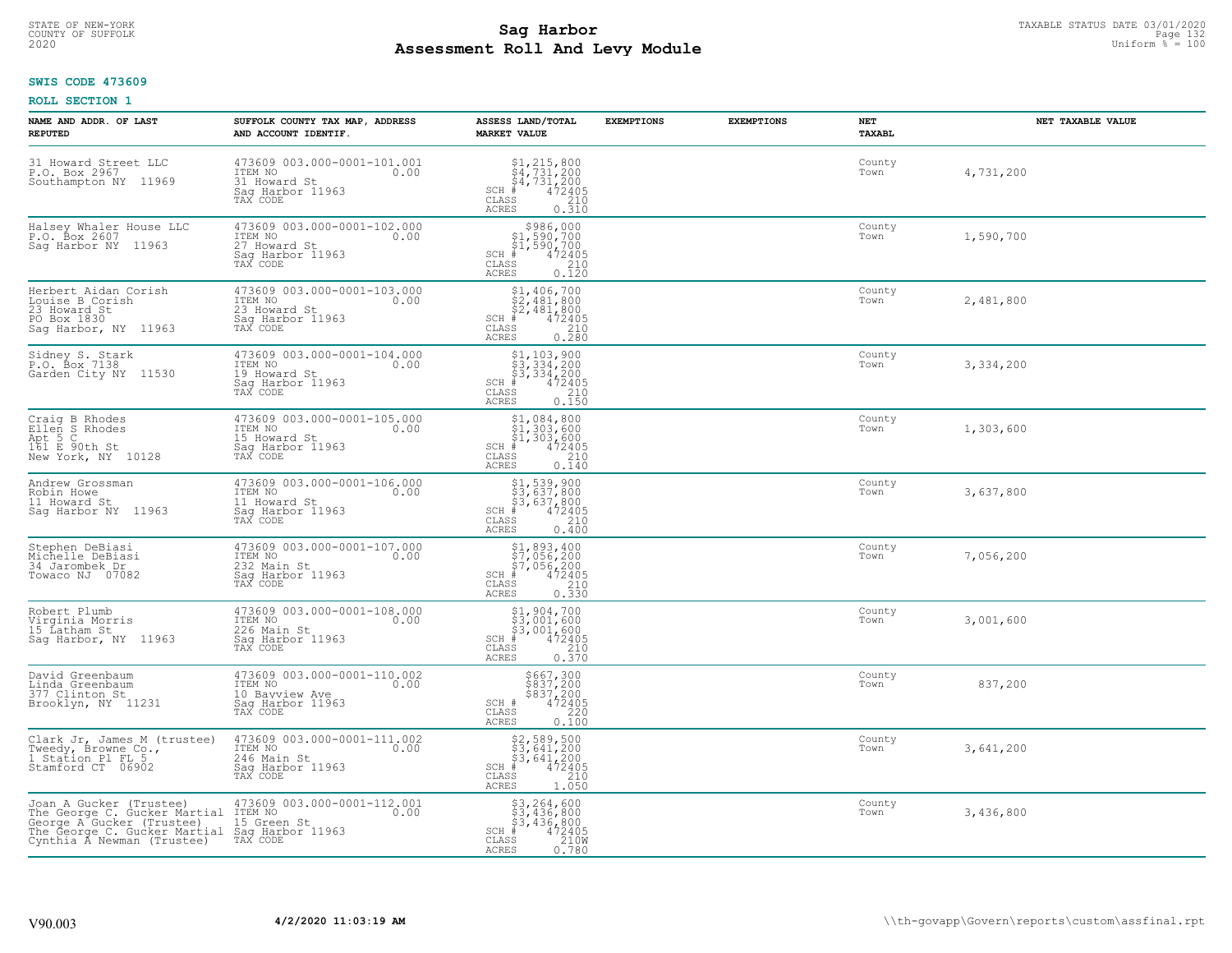# STATE OF NEW-YORK TAXABLE STATUS DATE 03/01/2020<br>COUNTY OF SUFFOLK Page 132 **Assessment Roll And Levy Module Example 2020** Uniform  $\frac{1}{8}$  = 100

# **SWIS CODE 473609**

| NAME AND ADDR. OF LAST<br><b>REPUTED</b>                                                                                                                            | SUFFOLK COUNTY TAX MAP, ADDRESS<br>AND ACCOUNT IDENTIF.                                          | ASSESS LAND/TOTAL<br><b>MARKET VALUE</b>                                                                                                                                                                                                                                                         | <b>EXEMPTIONS</b> | <b>EXEMPTIONS</b> | <b>NET</b><br><b>TAXABL</b> | NET TAXABLE VALUE |
|---------------------------------------------------------------------------------------------------------------------------------------------------------------------|--------------------------------------------------------------------------------------------------|--------------------------------------------------------------------------------------------------------------------------------------------------------------------------------------------------------------------------------------------------------------------------------------------------|-------------------|-------------------|-----------------------------|-------------------|
| 31 Howard Street LLC<br>P.O. Box 2967<br>Southampton NY 11969                                                                                                       | 473609 003.000-0001-101.001<br>ITEM NO<br>0.00<br>31 Howard St<br>Saq Harbor 11963<br>TAX CODE   | $$1, 215, 800$<br>$$4, 731, 200$<br>$$4, 731, 200$<br>$472405$<br>$$210$<br>$$210$<br>$SCH$ #<br>CLASS<br><b>ACRES</b><br>0.310                                                                                                                                                                  |                   |                   | County<br>Town              | 4,731,200         |
| Halsey Whaler House LLC<br>P.O. Box 2607<br>Sag Harbor NY 11963                                                                                                     | 473609 003.000-0001-102.000<br>ITEM NO<br>27 Howard St<br>0.00<br>Sag Harbor 11963<br>TAX CODE   | \$986,000<br>\$1,590,700<br>\$1,590,700<br>$SCH$ #<br>$\begin{smallmatrix} 472405\ 210\ 0.120 \end{smallmatrix}$<br>CLASS<br>ACRES                                                                                                                                                               |                   |                   | County<br>Town              | 1,590,700         |
| Herbert Aidan Corish<br>Louise B Corish<br>23 Howard St<br>PO Box 1830<br>Sag Harbor, NY 11963                                                                      | 473609 003.000-0001-103.000<br>ITEM NO<br>0.00<br>23 Howard St<br>Sag Harbor 11963<br>TAX CODE   | $$2,406,700$<br>$$2,481,800$<br>$$2,481,800$<br>$SCH$ #<br>472405<br>$\begin{array}{c} 210 \\ 0.280 \end{array}$<br>CLASS<br>ACRES                                                                                                                                                               |                   |                   | County<br>Town              | 2,481,800         |
| Sidney S. Stark<br>P.O. Box 7138<br>Garden City NY 11530                                                                                                            | 473609 003.000-0001-104.000<br>ITEM NO<br>0.00<br>19 Howard St<br>Saq Harbor 11963<br>TAX CODE   | $\begin{array}{l} \texttt{\$1,103,900}\ \\ \texttt{\$3,334,200}\ \\ \texttt{\$3,334,200}\ \\ \texttt{\$4,72405}\ \\ \texttt{\$5} \end{array}\nonumber\\ \begin{array}{l} \texttt{\$1,03,900}\ \\ \texttt{\$72405}\ \\ \texttt{\$210}\ \\ \texttt{\$150}\end{array}$<br>$SCH$ #<br>CLASS<br>ACRES |                   |                   | County<br>Town              | 3,334,200         |
| Craig B Rhodes<br>Ellen S Rhodes<br>Apt 5 C<br>161 E 90th St<br>New York, NY 10128                                                                                  | 473609 003.000-0001-105.000<br>ITEM NO<br>0.00<br>15 Howard St<br>Saq Harbor 11963<br>TAX CODE   | \$1,084,800<br>$\frac{1}{2}$ , 303, 600<br>$\frac{1}{2}$ , 303, 600<br>SCH #<br>$\begin{smallmatrix} 472405\ 210\ 2.140 \end{smallmatrix}$<br>CLASS<br>ACRES                                                                                                                                     |                   |                   | County<br>Town              | 1,303,600         |
| Andrew Grossman<br>Robin Howe<br>11 Howard St<br>Sag Harbor NY 11963                                                                                                | 473609 003.000-0001-106.000<br>ITEM NO<br>0.00<br>11 Howard St<br>Saq Harbor 11963<br>TAX CODE   | \$1,539,900<br>\$3,637,800<br>\$3,637,800<br>#472405<br>$SCH$ #<br>CLASS<br>210<br>ACRES<br>0.400                                                                                                                                                                                                |                   |                   | County<br>Town              | 3,637,800         |
| Stephen DeBiasi<br>Michelle DeBiasi<br>34 Jarombek Dr<br>Towaco NJ 07082                                                                                            | 473609 003.000-0001-107.000<br>ITEM NO<br>0.00<br>232 Main St<br>Sag Harbor 11963<br>TAX CODE    | $\begin{array}{r} 51,893,400 \\ 57,056,200 \\ 57,056,200 \\ * \\ * \\ 58 & 210 \\ * \\ 58 & 0.330 \end{array}$<br>$SCH$ #<br>CLASS<br>ACRES                                                                                                                                                      |                   |                   | County<br>Town              | 7,056,200         |
| Robert Plumb<br>Virginia Morris<br>15 Latham St<br>Sag Harbor, NY 11963                                                                                             | 473609 003.000-0001-108.000<br>ITEM NO<br>0.00<br>226 Main St<br>Saq Harbor 11963<br>TAX CODE    | $\begin{array}{c} \texttt{\$1,904,700}\ \\ \texttt{\$3,001,600}\ \\ \texttt{\$3,001,600}\ \\ \texttt{\$4\,72405}\ \\ \texttt{\$5}\qquad \qquad 210\ \\ \texttt{\$5}\qquad \qquad 0.370 \end{array}$<br>$SCH$ #<br>CLASS<br><b>ACRES</b>                                                          |                   |                   | County<br>Town              | 3,001,600         |
| David Greenbaum<br>Linda Greenbaum<br>377 Clinton St<br>Brooklyn, NY 11231                                                                                          | 473609 003.000-0001-110.002<br>ITEM NO<br>0.00<br>10 Bayview Ave<br>Sag Harbor 11963<br>TAX CODE | \$667,300<br>\$837,200<br>\$837,200<br>\$837,200<br>\$72405<br>\$220<br>\$100.100<br>SCH #<br>CLASS<br><b>ACRES</b>                                                                                                                                                                              |                   |                   | County<br>Town              | 837,200           |
| Clark Jr, James M (trustee)<br>Tweedy, Browne Co.,<br>1 Station Pl FL 5<br>Stamford CT 06902                                                                        | 473609 003.000-0001-111.002<br>ITEM NO<br>0.00<br>246 Main St<br>Sag Harbor 11963<br>TAX CODE    | \$2,589,500<br>\$3,641,200<br>\$3,641,200<br>#472405<br>$SCH$ #<br>$\mathtt{CLASS}$<br>$\begin{array}{c} 210 \\ 1.050 \end{array}$<br><b>ACRES</b>                                                                                                                                               |                   |                   | County<br>Town              | 3,641,200         |
| Joan A Gucker (Trustee)<br>The George C. Gucker Martial<br>George A Gucker (Trustee)<br>The George C. Gucker Martial Sag Harbor 11963<br>Cynthia Á Newman (Trustee) | 473609 003.000-0001-112.001<br>ITEM NO<br>0.00<br>15 Green St<br>TAX CODE                        | \$3,264,600<br>\$3,436,800<br>\$3,436,800<br>$SCH$ #<br>$\frac{472405}{210W}$<br>CLASS<br>ACRES<br>0.780                                                                                                                                                                                         |                   |                   | County<br>Town              | 3,436,800         |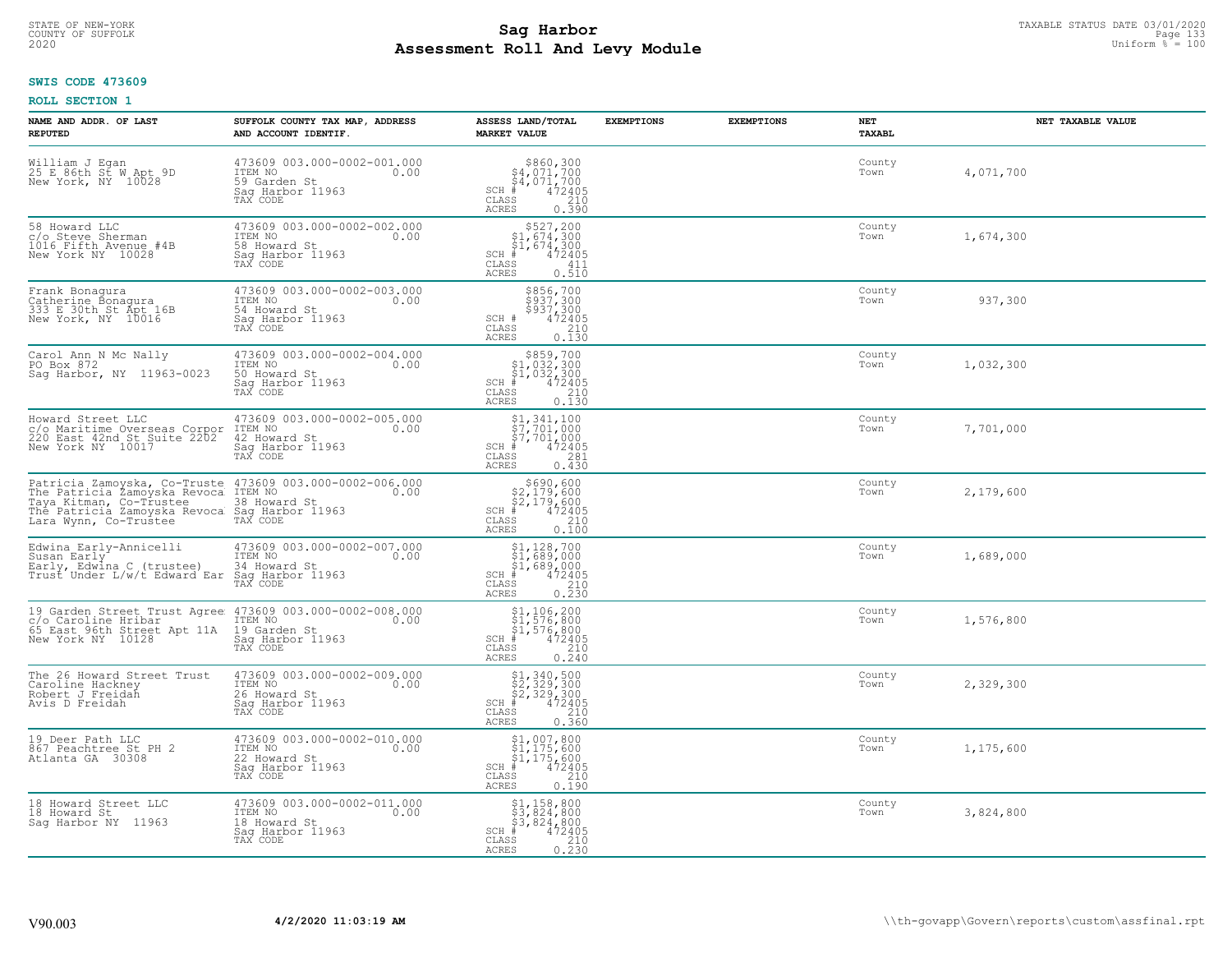# TAXABLE STATUS DATE 03/01/2020<br>COUNTY OF SUFFOLK Page 133 **Assessment Roll And Levy Module Example 2020** Uniform  $\frac{1}{8}$  = 100

#### **SWIS CODE 473609**

| NAME AND ADDR. OF LAST<br><b>REPUTED</b>                                                                                                                 | SUFFOLK COUNTY TAX MAP, ADDRESS<br>AND ACCOUNT IDENTIF.                                                                                                                                                                     | ASSESS LAND/TOTAL<br><b>MARKET VALUE</b>                                                                                                                                                                                                        | <b>EXEMPTIONS</b> | <b>EXEMPTIONS</b> | NET<br>TAXABL  | NET TAXABLE VALUE |
|----------------------------------------------------------------------------------------------------------------------------------------------------------|-----------------------------------------------------------------------------------------------------------------------------------------------------------------------------------------------------------------------------|-------------------------------------------------------------------------------------------------------------------------------------------------------------------------------------------------------------------------------------------------|-------------------|-------------------|----------------|-------------------|
| William J Egan<br>25 E 86th St W Apt 9D<br>New York, NY 10028                                                                                            | 473609 003.000-0002-001.000<br>ITEM NO 0.00<br>59 Garden St<br>Saq Harbor 11963<br>TAX CODE                                                                                                                                 | $$860,300$<br>$$4,071,700$<br>$$4,071,700$<br>SCH $472405$<br>CLASS 210<br>CLASS<br>ACRES<br>0.390                                                                                                                                              |                   |                   | County<br>Town | 4,071,700         |
| 58 Howard LLC<br>c/o Steve Sherman<br>1016 Fifth Avenue #4B<br>New York NY 10028                                                                         | 473609 003.000-0002-002.000<br>TTEM NO<br>58 Howard St<br>Sag Harbor 11963<br>TAX CODE                                                                                                                                      | $$527,200$<br>$$1,674,300$<br>$$1,674,300$<br>sch # 472405<br>CLASS<br>CLASS<br>411<br>0.510<br>ACRES                                                                                                                                           |                   |                   | County<br>Town | 1,674,300         |
| Frank Bonagura<br>Catherine Bonagura<br>333 E 30th St Apt 16B<br>New York, NY 10016                                                                      | 473609 003.000-0002-003.000<br>TTEM NO<br>54 Howard St<br>Sag Harbor 11963<br>TAX CODE                                                                                                                                      | \$856,700<br>\$937,300<br>\$937,300<br>SCH # 472405<br>CLASS 210<br>ACRES 0 130<br>0.130<br>ACRES                                                                                                                                               |                   |                   | County<br>Town | 937,300           |
| Carol Ann N Mc Nally<br>PO Box 872<br>Sag Harbor, NY 11963-0023                                                                                          | 473609 003.000-0002-004.000<br>ITEM NO<br>50 Howard St<br>Sag Harbor 11963<br>TAX CODE<br>TAX CODE                                                                                                                          | $\begin{array}{c} 5859, 700 \\ \text{S1}, 032, 300 \\ \text{SCH} & 472405 \\ \text{CLASS} & 4210 \\ \text{ACRES} & 0.130 \\ \end{array}$                                                                                                        |                   |                   | County<br>Town | 1,032,300         |
|                                                                                                                                                          | C/O Maritime Overseas Corpor ITEM NO<br>C/O Maritime Overseas Corpor ITEM NO<br>220 East 42nd St Suite 2202 42 Howard St 0.00<br>New York NY 10017 Sag Harbor 11063<br>Saq Harbor 11963<br>TAX CODE                         | $\begin{array}{c} \texttt{\$1$},\texttt{341,100} \\ \texttt{\$7$},701,000 \\ \texttt{\$7$},701,000 \\ \texttt{SCH} & \texttt{472405} \\ \texttt{CLASS} & \texttt{281} \\ \texttt{ACRES} & 0.430 \end{array}$<br>0.430                           |                   |                   | County<br>Town | 7,701,000         |
|                                                                                                                                                          | Patricia Zamoyska, Co-Truste 473609 003.000-0002-006.000<br>The Patricia Zamoyska Revoca ITEM NO<br>Taya Kitman, Co-Trustee 38 Howard St<br>The Patricia Zamoyska Revoca Sag Harbor 11963<br>Lara Wynn, Co-Trustee TAX CODE | \$690,600<br>\$2,179,600<br>\$2,179,600<br>\$2,179,600<br>\$472405<br>\$472405<br>\$210<br>CLASS<br>210<br>ACRES<br>0.100                                                                                                                       |                   |                   | County<br>Town | 2,179,600         |
|                                                                                                                                                          | Edwina Early-Annicelli (173609 003.000-0002-007.000<br>Susan Early (1788) 1TEM NO<br>Early, Edwina C (trustee) (34 Howard St (1898)<br>Trust Under L/w/t Edward Ear Sag Harbor 11963<br>TAX CODE                            | $\begin{array}{c} \texttt{\$1,128,700}\ \\ \texttt{\$1,689,000}\ \\ \texttt{\$1,689,000}\ \\ \texttt{SCH}*\quad \texttt{\$12405}\ \\ \texttt{\$CLAS}\quad \texttt{\$1240}\ \\ \texttt{ACRES}\quad \texttt{\$0.230}\ \end{array}$                |                   |                   | County<br>Town | 1,689,000         |
| 19 Garden Street Trust Agree 473609 003.000-0002-008.000<br>c/o Caroline Hribar 11 TTEM NO 65 East 96th Street Apt 11A 19 Garden St<br>New York NY 10128 | ss Saruen St<br>Sag Harbor 11963<br>TAX CODE                                                                                                                                                                                | $$1,106,200$<br>$$1,576,800$<br>$$1,576,800$<br>SCH $\frac{1}{4}$ $472405$<br>CLASS 210<br>ACRES<br>0.240                                                                                                                                       |                   |                   | County<br>Town | 1,576,800         |
| The 26 Howard Street Trust<br>Caroline Hackney<br>Robert J Freidah<br>Avis D Freidah                                                                     | 473609 003.000-0002-009.000<br>ITEM NO 0.00<br>26 Howard St 0.00<br>Sag Harbor 11963<br>Saq Harbor 11963<br>TAX CODE                                                                                                        | $$1,340,500$<br>$$2,329,300$<br>$$2,329,300$<br>$$CH_{\#}$<br>$$472405$<br>$$CH_{25}$<br>CLASS<br>210<br>ACRES<br>0.360                                                                                                                         |                   |                   | County<br>Town | 2,329,300         |
| 19 Deer Path LLC<br>867 Peachtree St PH 2<br>Atlanta GA 30308                                                                                            | 473609 003.000-0002-010.000<br>ITEM NO<br>22 Howard St<br>LL HUWAIU ST<br>Sag Harbor 11963<br>TAY COPE<br>TAX CODE                                                                                                          | $\begin{array}{c} $1,007,000 \ 31,175,600 \ 91,175,600 \ 47240 \end{array}$<br>$5CH_{4729}$<br>CLASS<br>210<br>ACRES<br>0.190                                                                                                                   |                   |                   | County<br>Town | 1,175,600         |
| 18 Howard Street LLC<br>18 Howard St<br>Sag Harbor NY 11963                                                                                              | 473609 003.000-0002-011.000<br>ITEM NO 0.00<br>18 Howard St<br>Saq Harbor 11963<br>TAX CODE                                                                                                                                 | $\begin{array}{c} \texttt{\$1,158,800} \\ \texttt{\$3,824,800} \\ \texttt{\$5,824,800} \\ \texttt{SCH} \texttt{\$4,800} \\ \texttt{\tiny{CLAS}} \texttt{\$472405} \\ \texttt{\tiny{210}} \\ \texttt{\tiny{ACRES}} \texttt{\$0.230} \end{array}$ |                   |                   | County<br>Town | 3,824,800         |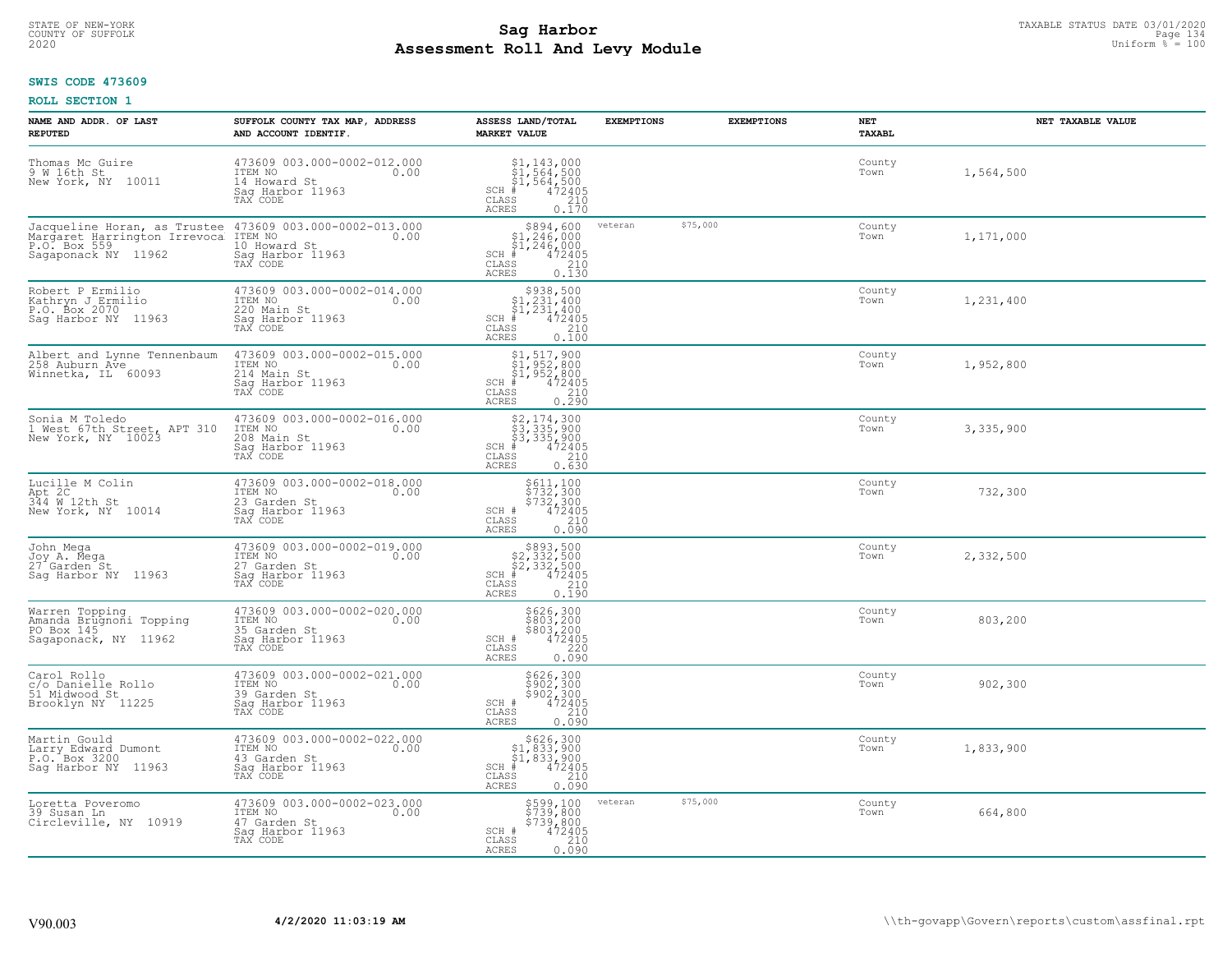# STATE OF NEW-YORK TAXABLE STATUS DATE 03/01/2020<br>COUNTY OF SUFFOLK Page 134 **Assessment Roll And Levy Module Example 2020** Uniform  $\frac{1}{8}$  = 100

#### **SWIS CODE 473609**

| NAME AND ADDR. OF LAST<br><b>REPUTED</b>                                        | SUFFOLK COUNTY TAX MAP, ADDRESS<br>AND ACCOUNT IDENTIF.                                                                                          | ASSESS LAND/TOTAL<br><b>MARKET VALUE</b>                                                                                                                                                                                    | <b>EXEMPTIONS</b>   | <b>EXEMPTIONS</b> | NET<br>TAXABL  | NET TAXABLE VALUE |
|---------------------------------------------------------------------------------|--------------------------------------------------------------------------------------------------------------------------------------------------|-----------------------------------------------------------------------------------------------------------------------------------------------------------------------------------------------------------------------------|---------------------|-------------------|----------------|-------------------|
| Thomas Mc Guire<br>9 W 16th St<br>New York, NY 10011                            | 473609 003.000-0002-012.000<br>ITEM NO<br>0.00<br>14 Howard St<br>Saq Harbor 11963<br>TAX CODE                                                   | $\begin{array}{l} $1,143,000\\ $1,564,500\\ $1,564,500\\ *\\ 472405\\ *\\ 2.10\\ *\\ \end{array}$<br>$SCH$ #<br>CLASS<br><b>ACRES</b><br>0.170                                                                              |                     |                   | County<br>Town | 1,564,500         |
| P.O. Box 559<br>Sagaponack NY 11962                                             | Jacqueline Horan, as Trustee 473609 003.000-0002-013.000<br>Margaret Harrington Irrevoca ITEM NO<br>10 Howard St<br>Sag Harbor 11963<br>TAX CODE | $$894,600$<br>$$1,246,000$<br>$$1,246,000$<br>$SCH$ #<br>$\begin{array}{r} 472405 \\ 210 \\ 0.130 \end{array}$<br>CLASS<br><b>ACRES</b>                                                                                     | \$75,000<br>veteran |                   | County<br>Town | 1,171,000         |
| Robert P Ermilio<br>Kathryn J Ermilio<br>P.O. Box 2070<br>Saq Harbor NY 11963   | 473609 003.000-0002-014.000<br>ITEM NO<br>0.00<br>220 Main St<br>Sag Harbor 11963<br>TAX CODE                                                    | $$938,500$<br>$$1,231,400$<br>$$1,231,400$<br>$SCH$ #<br>472405<br>210<br>CLASS<br>0.100<br>ACRES                                                                                                                           |                     |                   | County<br>Town | 1,231,400         |
| Albert and Lynne Tennenbaum<br>258 Auburn Ave<br>Winnetka, IL 60093             | 473609 003.000-0002-015.000<br>ITEM NO<br>0.00<br>214 Main St<br>Saq Harbor 11963<br>TAX CODE                                                    | \$1,517,900<br>\$1,952,800<br>\$1,952,800<br>$SCH$ #<br>$\begin{smallmatrix} 7472405 \\ 472405 \\ 210 \\ 0.290 \end{smallmatrix}$<br>CLASS<br>ACRES                                                                         |                     |                   | County<br>Town | 1,952,800         |
| Sonia M Toledo<br>1 West 67th Street, APT 310<br>New York, NY 10023             | 473609 003.000-0002-016.000<br>ITEM NO<br>0.00<br>208 Main St<br>Saq Harbor 11963<br>TAX CODE                                                    | $\begin{array}{l} \text{\small $52$, $174$, $300$} \\ \text{\small $53$, $335$, $900$} \\ \text{\small $53$, $335$, $900$} \\ \text{\small $+$} \hspace*{1.3cm} \end{array}$<br>$SCH$ #<br>$\mathtt{CLASS}$<br><b>ACRES</b> |                     |                   | County<br>Town | 3,335,900         |
| Lucille M Colin<br>$Apt$ 2C<br>344 M 12th St<br>New York, NY 10014              | 473609 003.000-0002-018.000<br>ITEM NO<br>0.00<br>23 Garden St<br>Sag Harbor 11963<br>TAX CODE                                                   | \$611,100<br>\$732,300<br>\$732,300<br>472405<br>SCH #<br>CLASS<br>210<br><b>ACRES</b><br>0.090                                                                                                                             |                     |                   | County<br>Town | 732,300           |
| John Mega<br>Joy A. Mega<br>27 Garden St<br>Saq Harbor NY 11963                 | 473609 003.000-0002-019.000<br>ITEM NO<br>0.00<br>27 Garden St<br>Sag Harbor 11963<br>TAX CODE                                                   | $$893,500$<br>$$2,332,500$<br>$$2,332,500$<br>$$472405$<br>$SCH$ #<br>$\mathtt{CLASS}$<br>210<br><b>ACRES</b><br>0.190                                                                                                      |                     |                   | County<br>Town | 2,332,500         |
| Warren Topping<br>Amanda Brugnoni Topping<br>PO Box 145<br>Sagaponack, NY 11962 | 473609 003.000-0002-020.000<br>TTEM NO 0.00<br>35 Garden St<br>Saq Harbor 11963<br>TAX CODE                                                      | \$626,300<br>\$803,200<br>\$803,200<br>\$220<br>\$220<br>SCH #<br>CLASS<br><b>ACRES</b><br>0.090                                                                                                                            |                     |                   | County<br>Town | 803,200           |
| Carol Rollo<br>c/o Danielle Rollo<br>51 Midwood St<br>Brooklyn NY 11225         | 473609 003.000-0002-021.000<br>TTEM NO 0.00<br>39 Garden St<br>Saq Harbor 11963<br>TAX CODE                                                      | \$626,300<br>\$902,300<br>\$902,300<br>472405<br>SCH #<br>CLASS<br>210<br><b>ACRES</b><br>0.090                                                                                                                             |                     |                   | County<br>Town | 902,300           |
| Martin Gould<br>Larry Edward Dumont<br>P.O. Box 3200<br>Sag Harbor NY 11963     | 473609 003.000-0002-022.000<br>ITEM NO<br>0.00<br>43 Garden St<br>Sag Harbor 11963<br>TAX CODE                                                   | $$626,300$<br>$$1,833,900$<br>$$1,833,900$<br>$*1,833,900$<br>$*1,833,900$<br>$*315$<br>$SCH$ #<br>CLASS<br>210<br><b>ACRES</b><br>0.090                                                                                    |                     |                   | County<br>Town | 1,833,900         |
| Loretta Poveromo<br>39 Susan Ln<br>Circleville, NY 10919                        | 473609 003.000-0002-023.000<br>ITEM NO<br>0.00<br>47 Garden St<br>Sag Harbor 11963<br>TAX CODE                                                   | \$599,100<br>\$739,800<br>\$739,800<br>472405<br>SCH #<br>210<br>CLASS<br><b>ACRES</b><br>0.090                                                                                                                             | \$75,000<br>veteran |                   | County<br>Town | 664,800           |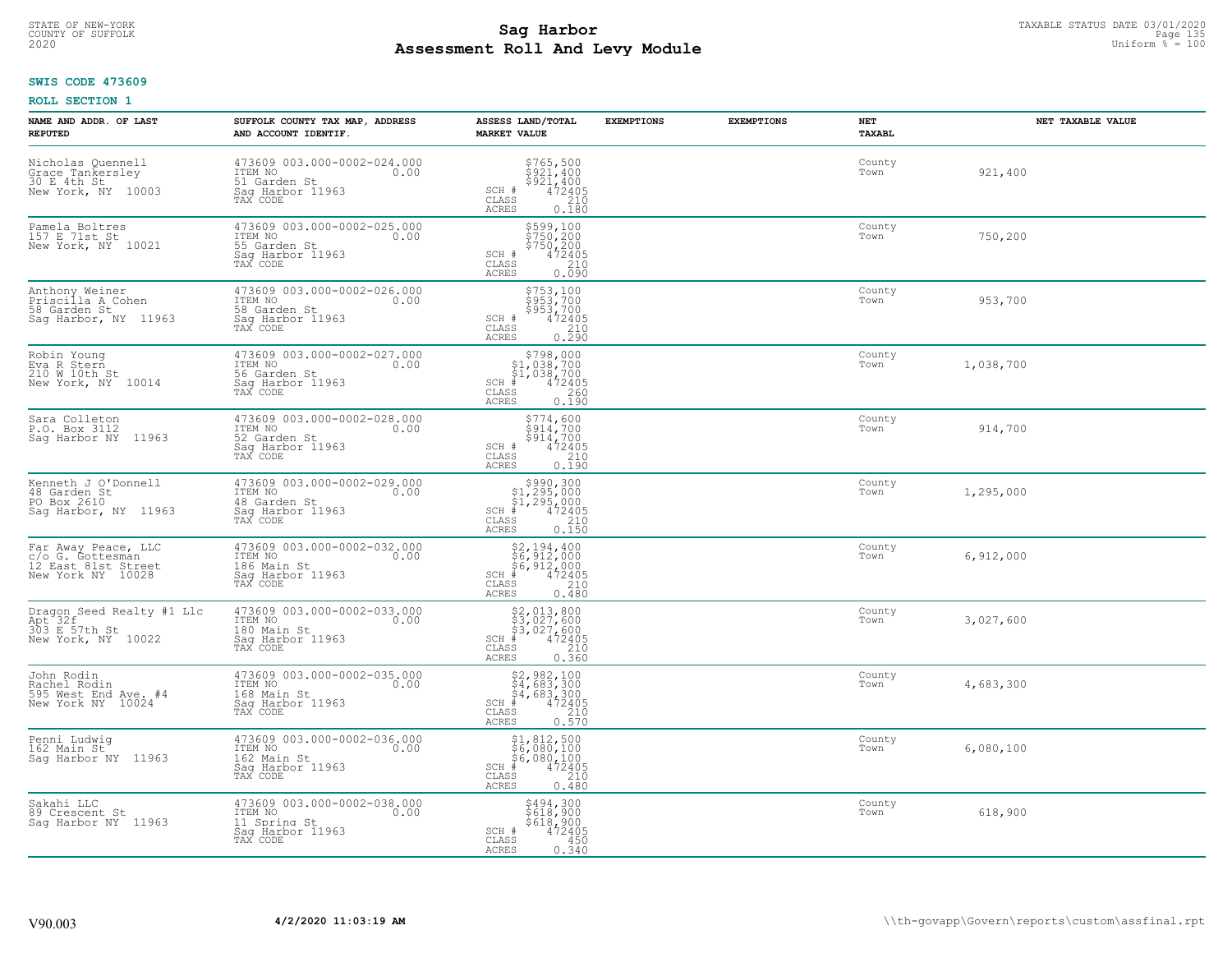# STATE OF NEW-YORK TAXABLE STATUS DATE 03/01/2020<br>COUNTY OF SUFFOLK Page 135 **Assessment Roll And Levy Module Example 2020** Uniform  $\frac{1}{8}$  = 100

# **SWIS CODE 473609**

| NAME AND ADDR. OF LAST<br><b>REPUTED</b>                                            | SUFFOLK COUNTY TAX MAP, ADDRESS<br>AND ACCOUNT IDENTIF.                                        | ASSESS LAND/TOTAL<br><b>MARKET VALUE</b>                                                                                                                                                                                                                                                                               | <b>EXEMPTIONS</b> | <b>EXEMPTIONS</b> | <b>NET</b><br>TAXABL | NET TAXABLE VALUE |
|-------------------------------------------------------------------------------------|------------------------------------------------------------------------------------------------|------------------------------------------------------------------------------------------------------------------------------------------------------------------------------------------------------------------------------------------------------------------------------------------------------------------------|-------------------|-------------------|----------------------|-------------------|
| Nicholas Quennell<br>Grace Tankersley<br>30 E 4th St<br>New York, NY 10003          | 473609 003.000-0002-024.000<br>ITEM NO<br>0.00<br>51 Garden St<br>Saq Harbor 11963<br>TAX CODE | $$765,500$<br>$$921,400$<br>$$921,400$<br>$472405$<br>$$210$<br>SCH #<br>CLASS<br><b>ACRES</b><br>0.180                                                                                                                                                                                                                |                   |                   | County<br>Town       | 921,400           |
| Pamela Boltres<br>157 E 71st St<br>New York, NY 10021                               | 473609 003.000-0002-025.000<br>ITEM NO<br>55 Garden St<br>0.00<br>Saq Harbor 11963<br>TAX CODE | \$599,100<br>\$750,200<br>\$750,200<br>\$72405<br>\$210<br>SCH #<br>CLASS<br>ACRES<br>0.090                                                                                                                                                                                                                            |                   |                   | County<br>Town       | 750,200           |
| Anthony Weiner<br>Priscilla A Cohen<br>58 Garden St<br>Sag Harbor, NY 11963         | 473609 003.000-0002-026.000<br>ITEM NO<br>0.00<br>58 Garden St<br>Saq Harbor 11963<br>TAX CODE | \$753,100<br>$$953,700$<br>$$953,700$<br>SCH #<br>472405<br>$\begin{array}{c} 210 \\ 0.290 \end{array}$<br>CLASS<br><b>ACRES</b>                                                                                                                                                                                       |                   |                   | County<br>Town       | 953,700           |
| Robin Young<br>Eva R Stern<br>210 W 10th St<br>New York, NY 10014                   | 473609 003.000-0002-027.000<br>ITEM NO<br>0.00<br>56 Garden St<br>Saq Harbor 11963<br>TAX CODE | \$798,000<br>\$1,038,700<br>$\begin{array}{r} 51,038,700 \\ 472405 \\ \text{is} \qquad \qquad 260 \end{array}$<br>$SCH$ #<br>CLASS<br><b>ACRES</b><br>0.190                                                                                                                                                            |                   |                   | County<br>Town       | 1,038,700         |
| Sara Colleton<br>P.O. Box 3112<br>Sag Harbor NY<br>11963                            | 473609 003.000-0002-028.000<br>ITEM NO<br>0.00<br>52 Garden St<br>Saq Harbor 11963<br>TAX CODE | \$774,600<br>$\begin{array}{r} \begin{array}{r} \text{5914,700} \\ \text{5914,700} \\ \text{5914,700} \\ \text{472405} \\ \text{0.190} \end{array} \end{array}$<br>SCH #<br>CLASS<br>ACRES                                                                                                                             |                   |                   | County<br>Town       | 914,700           |
| Kenneth J O'Donnell<br>48 Garden St<br>PO Box 2610<br>Saq Harbor, NY 11963          | 473609 003.000-0002-029.000<br>ITEM NO<br>0.00<br>48 Garden St<br>Saq Harbor 11963<br>TAX CODE | $$990,300$<br>$$1,295,000$<br>$$1,295,000$<br>$*1$<br>$*12405$<br>$SCH$ #<br>CLASS<br>210<br>ACRES<br>0.150                                                                                                                                                                                                            |                   |                   | County<br>Town       | 1,295,000         |
| Far Away Peace, LLC<br>c/o G. Gottesman<br>12 East 81st Street<br>New York NY 10028 | 473609 003.000-0002-032.000<br>ITEM NO<br>0.00<br>186 Main St<br>Saq Harbor 11963<br>TAX CODE  | $$2,194,400$<br>$$6,912,000$<br>$$6,912,000$<br>$*$<br>$472405$<br>$*$<br>$210$<br>$SCH$ #<br>CLASS<br>0.480<br>ACRES                                                                                                                                                                                                  |                   |                   | County<br>Town       | 6,912,000         |
| Dragon Seed Realty #1 Llc<br>Apt 32f<br>303 E 57th St<br>New York, NY 10022         | 473609 003.000-0002-033.000<br>ITEM NO<br>0.00<br>180 Main St<br>Sag Harbor 11963<br>TAX CODE  | $\begin{array}{r} \text{\small $52$, 013, 800} \\ \text{\small $53$, 027, 600} \\ \text{\small $53$, 027, 600} \\ \text{\small $472405} \\ \text{\small $58$} \\ \text{\small $210$} \\ \text{\small $25$} \\ \text{\small $210$} \\ \text{\small $25$} \\ \text{\small $23$} \\ \end{array}$<br>SCH<br>CLASS<br>ACRES |                   |                   | County<br>Town       | 3,027,600         |
| John Rodin<br>Rachel Rodin<br>595 West End Ave. #4<br>New York NY 10024             | 473609 003.000-0002-035.000<br>ITEM NO<br>0.00<br>168 Main St<br>Saq Harbor 11963<br>TAX CODE  | $$2,982,100$<br>$$4,683,300$<br>$$4,683,300$<br>$$4,683,300$<br>$472405$<br>$$210$<br>$SCH$ #<br>CLASS<br><b>ACRES</b><br>0.570                                                                                                                                                                                        |                   |                   | County<br>Town       | 4,683,300         |
| Penni Ludwig<br>162 Main St<br>Saq Harbor NY 11963                                  | 473609 003.000-0002-036.000<br>ITEM NO<br>0.00<br>162 Main St<br>Saq Harbor 11963<br>TAX CODE  | \$1,812,500<br>$\frac{1}{26}$ , 080, 100<br>$\frac{1}{2}$ 080, 100<br>472405<br>$SCH$ #<br>210<br>CLASS<br><b>ACRES</b><br>0.480                                                                                                                                                                                       |                   |                   | County<br>Town       | 6,080,100         |
| Sakahi LLC<br>89 Crescent St<br>Saq Harbor NY 11963                                 | 473609 003.000-0002-038.000<br>ITEM NO<br>0.00<br>11 Spring St<br>Sag Harbor 11963<br>TAX CODE | \$494,300<br>\$618,900<br>$$6\bar{1}\bar{8}$ , $900$<br>SCH #<br>472405<br>CLASS<br>450<br>0.340<br>ACRES                                                                                                                                                                                                              |                   |                   | County<br>Town       | 618,900           |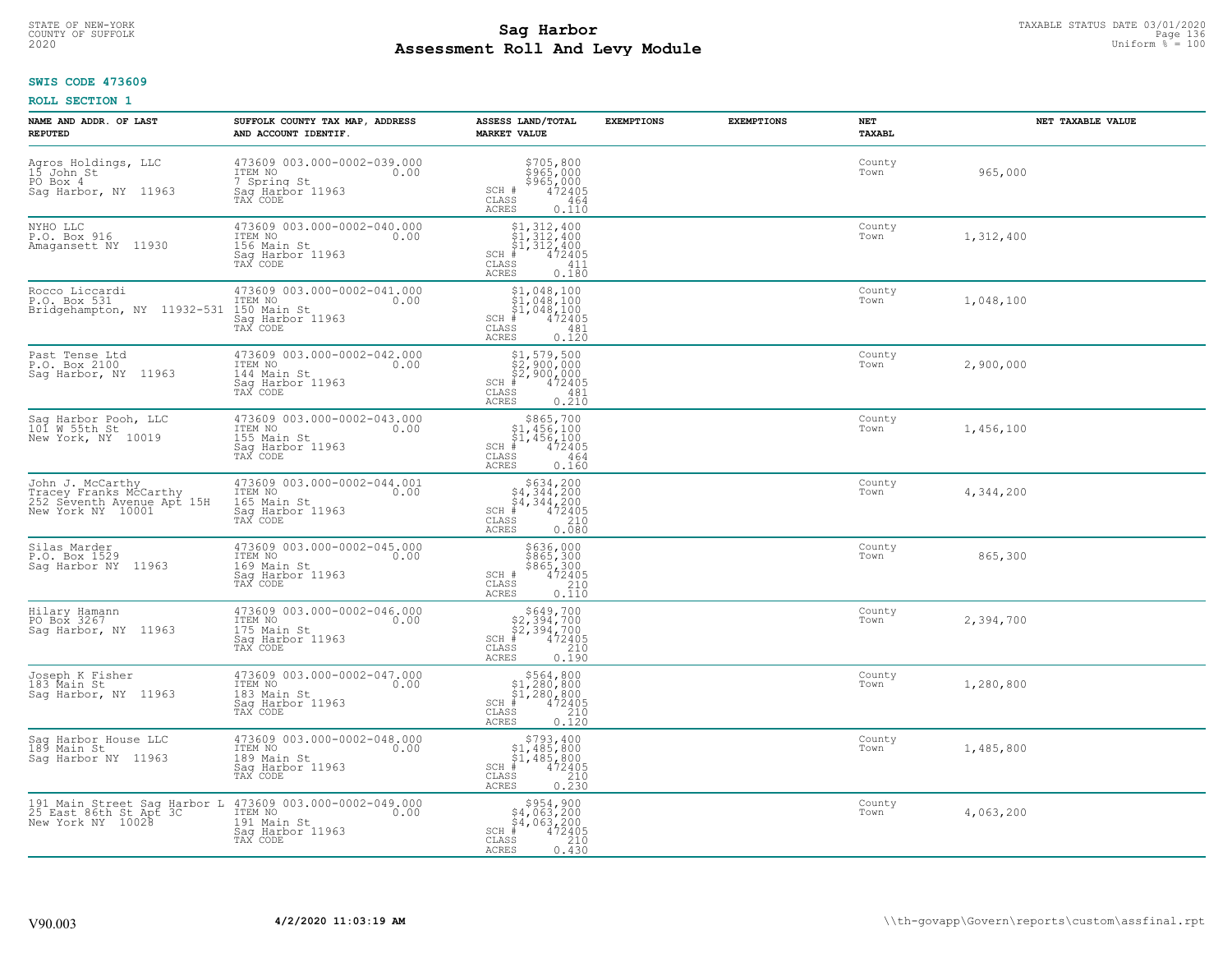# STATE OF NEW-YORK TAXABLE STATUS DATE 03/01/2020<br>COUNTY OF SUFFOLK Page 136 Page 136 **Assessment Roll And Levy Module Example 2020** Uniform  $\frac{1}{8}$  = 100

# **SWIS CODE 473609**

| NAME AND ADDR. OF LAST<br><b>REPUTED</b>                                                                          | SUFFOLK COUNTY TAX MAP, ADDRESS<br>AND ACCOUNT IDENTIF.                                       | ASSESS LAND/TOTAL<br><b>MARKET VALUE</b>                                                                                           | <b>EXEMPTIONS</b> | <b>EXEMPTIONS</b> | NET<br><b>TAXABL</b> | NET TAXABLE VALUE |
|-------------------------------------------------------------------------------------------------------------------|-----------------------------------------------------------------------------------------------|------------------------------------------------------------------------------------------------------------------------------------|-------------------|-------------------|----------------------|-------------------|
| Agros Holdings, LLC<br>15 John St<br>PO Box 4<br>Saq Harbor, NY 11963                                             | 473609 003.000-0002-039.000<br>ITEM NO 0.00<br>7 Spring St<br>Saq Harbor 11963<br>TAX CODE    | \$705,800<br>\$965,000<br>\$965,000<br>\$965,000<br>SCH #<br>CLASS<br>464<br><b>ACRES</b><br>0.110                                 |                   |                   | County<br>Town       | 965,000           |
| NYHO LLC<br>P.O. Box 916<br>Amagansett NY 11930                                                                   | 473609 003.000-0002-040.000<br>ITEM NO<br>0.00<br>156 Main St<br>Saq Harbor 11963<br>TAX CODE | $$1, 312, 400$<br>$$1, 312, 400$<br>$$1, 312, 400$<br>$$472405$<br>$SCH$ #<br>CLASS<br>411<br>0.180<br><b>ACRES</b>                |                   |                   | County<br>Town       | 1,312,400         |
| Rocco Liccardi<br>P.O. Box 531<br>Bridgehampton, NY 11932-531                                                     | 473609 003.000-0002-041.000<br>ITEM NO<br>0.00<br>150 Main St<br>Sag Harbor 11963<br>TAX CODE | $$1,048,100$<br>$$1,048,100$<br>$$1,048,100$<br>$$1,048,100$<br>$472405$<br>$SCH$ #<br>CLASS<br>481<br>0.120<br>ACRES              |                   |                   | County<br>Town       | 1,048,100         |
| Past Tense Ltd<br>P.O. Box 2100<br>Saq Harbor, NY 11963                                                           | 473609 003.000-0002-042.000<br>ITEM NO<br>0.00<br>144 Main St<br>Saq Harbor 11963<br>TAX CODE | $$1, 579, 500$<br>$$2, 900, 000$<br>$$2, 900, 000$<br>$\frac{4}{10}$ 472405<br>$SCH$ #<br>CLASS<br>481<br>ACRES<br>0.210           |                   |                   | County<br>Town       | 2,900,000         |
| Sag Harbor Pooh, LLC<br>101 W 55th St<br>New York, NY 10019                                                       | 473609 003.000-0002-043.000<br>ITEM NO<br>0.00<br>155 Main St<br>Sag Harbor 11963<br>TAX CODE | $$865,700$<br>$$1,456,100$<br>$$1,456,100$<br>$*$<br>$472405$<br>$SCH$ #<br>CLASS<br>464<br>0.160<br>ACRES                         |                   |                   | County<br>Town       | 1,456,100         |
| John J. McCarthy<br>Tracey Franks McCarthy<br>252 Seventh Avenue Apt 15H<br>New York NY 10001                     | 473609 003.000-0002-044.001<br>ITEM NO<br>0.00<br>165 Main St<br>Sag Harbor 11963<br>TAX CODE | $$634, 200$<br>$$4, 344, 200$<br>$$4, 344, 200$<br>$$4, 344, 200$<br>$472405$<br>$SCH$ #<br>CLASS<br>210<br>0.080<br><b>ACRES</b>  |                   |                   | County<br>Town       | 4,344,200         |
| Silas Marder<br>P.O. Box 1529<br>Sag Harbor NY 11963                                                              | 473609 003.000-0002-045.000<br>ITEM NO<br>0.00<br>169 Main St<br>Saq Harbor 11963<br>TAX CODE | \$636,000<br>\$865,300<br>\$865,300<br>\$965,300<br>SCH #<br>CLASS<br>210<br>0.110<br><b>ACRES</b>                                 |                   |                   | County<br>Town       | 865,300           |
| Hilary Hamann<br>PO Box 3267<br>Saq Harbor, NY 11963                                                              | 473609 003.000-0002-046.000<br>10.00 0.00<br>175 Main St<br>Saq Harbor 11963<br>TAX CODE      | $$649,700$<br>$$2,394,700$<br>$$2,394,700$<br>$*$ 472405<br>$SCH$ #<br>CLASS<br>210<br>ACRES<br>0.190                              |                   |                   | County<br>Town       | 2,394,700         |
| Joseph K Fisher<br>183 Main St<br>Sag Harbor, NY 11963                                                            | 473609 003.000-0002-047.000<br>ITEM NO 0.00<br>183 Main St<br>Saq Harbor 11963<br>TAX CODE    | \$564,800<br>\$1,280,800<br>\$1,280,800<br>$SCH$ #<br>$\frac{472405}{210}$<br>CLASS<br><b>ACRES</b><br>0.120                       |                   |                   | County<br>Town       | 1,280,800         |
| Sag Harbor House LLC<br>189 Main St<br>Saq Harbor NY 11963                                                        | 473609 003.000-0002-048.000<br>ITEM NO<br>0.00<br>189 Main St<br>Sag Harbor 11963<br>TAX CODE | $$793,400$<br>$$1,485,800$<br>$$1,485,800$<br>$*1,485,800$<br>$*6$<br>$*72405$<br>$SCH$ #<br>CLASS<br>210<br><b>ACRES</b><br>0.230 |                   |                   | County<br>Town       | 1,485,800         |
| 191 Main Street Sag Harbor L 473609 003.000-0002-049.000<br>25 East 86th St Apt 3C 1TEM NO 1000 New York NY 10028 | Sag Harbor 11963<br>TAX CODE                                                                  | $$954,900$<br>$$4,063,200$<br>$$4,063,200$<br>$SCH$ #<br>472405<br>CLASS<br>210<br>0.430<br><b>ACRES</b>                           |                   |                   | County<br>Town       | 4,063,200         |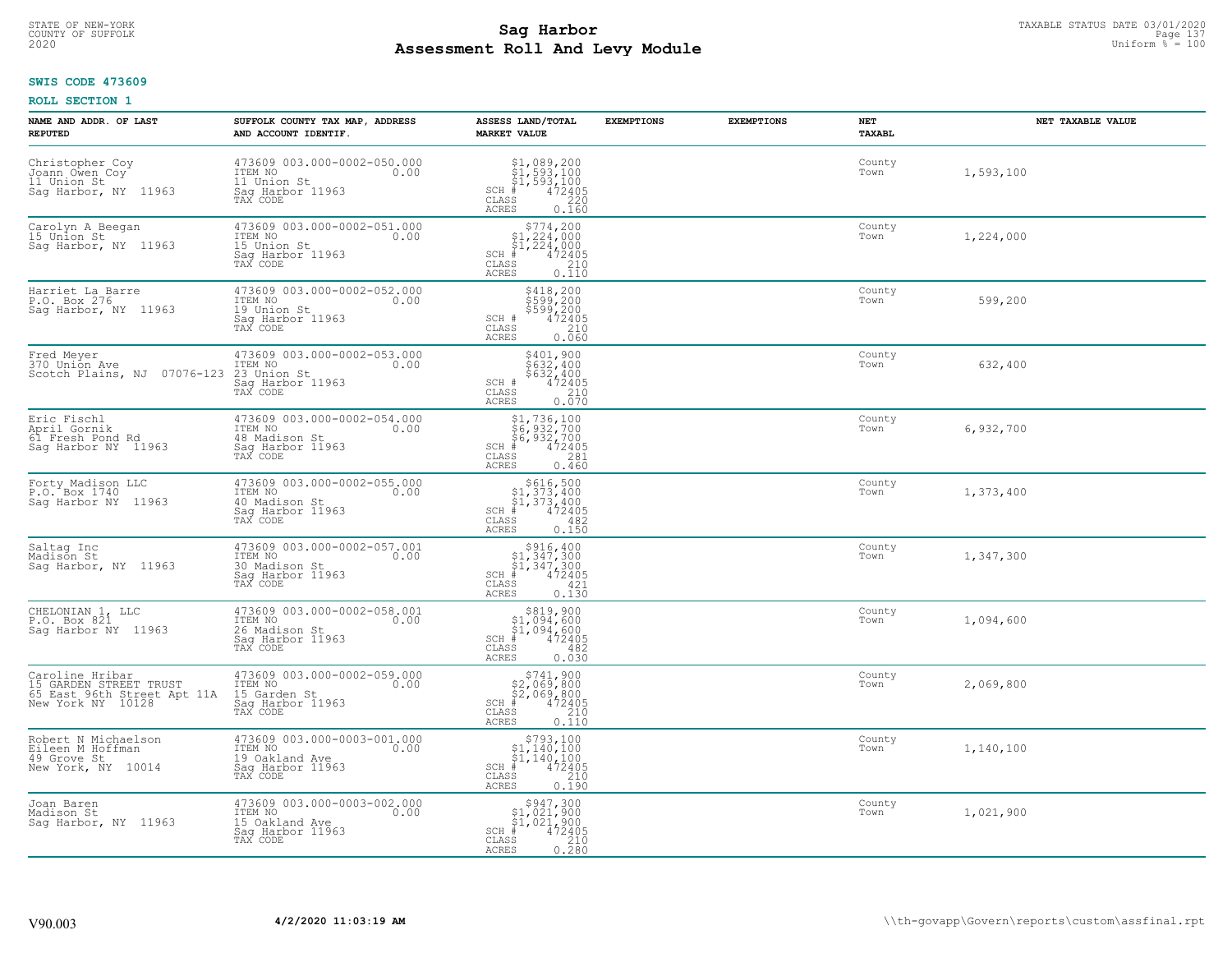# STATE OF NEW-YORK TAXABLE STATUS DATE 03/01/2020<br>COUNTY OF SUFFOLK Page 137 **Assessment Roll And Levy Module Example 2020** Uniform  $\frac{1}{8}$  = 100

#### **SWIS CODE 473609**

| NAME AND ADDR. OF LAST<br><b>REPUTED</b>                                                      | SUFFOLK COUNTY TAX MAP, ADDRESS<br>AND ACCOUNT IDENTIF.                                          | ASSESS LAND/TOTAL<br><b>MARKET VALUE</b>                                                                                                                | <b>EXEMPTIONS</b> | <b>EXEMPTIONS</b> | NET<br>TAXABL  | NET TAXABLE VALUE |
|-----------------------------------------------------------------------------------------------|--------------------------------------------------------------------------------------------------|---------------------------------------------------------------------------------------------------------------------------------------------------------|-------------------|-------------------|----------------|-------------------|
| Christopher Coy<br>Joann Owen Coy<br>11 Union St<br>Sag Harbor, NY 11963                      | 473609 003.000-0002-050.000<br>ITEM NO<br>0.00<br>11 Union St<br>Saq Harbor 11963<br>TAX CODE    | $$1, 089, 200$<br>$$1, 593, 100$<br>$$1, 593, 100$<br>$$472405$<br>$SCH$ #<br>CLASS<br>220<br>ACRES<br>0.160                                            |                   |                   | County<br>Town | 1,593,100         |
| Carolyn A Beegan<br>15 Union St<br>Sag Harbor, NY 11963                                       | 473609 003.000-0002-051.000<br>ITEM NO<br>0.00<br>15 Union St<br>Sag Harbor 11963<br>TAX CODE    | $$774, 200$<br>$$1, 224, 000$<br>$$1, 224, 000$<br>$$1, 224, 000$<br>$SCH$ #<br>472405<br>CLASS<br>$\begin{array}{c} 210 \\ 0.110 \end{array}$<br>ACRES |                   |                   | County<br>Town | 1,224,000         |
| Harriet La Barre<br>P.O. Box 276<br>Sag Harbor, NY 11963                                      | 473609 003.000-0002-052.000<br>ITEM NO<br>0.00<br>19 Union St<br>Sag Harbor 11963<br>TAX CODE    | \$418,200<br>\$599,200<br>\$599,200<br>472405<br>SCH #<br>CLASS<br>210<br>0.060<br>ACRES                                                                |                   |                   | County<br>Town | 599,200           |
| Fred Meyer<br>370 Union Ave<br>Scotch Plains, NJ 07076-123                                    | 473609 003.000-0002-053.000<br>ITEM NO<br>0.00<br>23 Union St<br>Saq Harbor 11963<br>TAX CODE    | \$401,900<br>\$632,400<br>\$632,400<br>SCH #<br>$\frac{472405}{210}$<br>CLASS<br><b>ACRES</b><br>0.070                                                  |                   |                   | County<br>Town | 632,400           |
| Eric Fischl<br>April Gornik<br>61 Fresh Pond Rd<br>Saq Harbor NY 11963                        | 473609 003.000-0002-054.000<br>ITEM NO<br>0.00<br>48 Madison St<br>Sag Harbor 11963<br>TAX CODE  | \$1,736,100<br>$\frac{1}{6}$ , 932, 700<br>$\frac{1}{6}$ , 932, 700<br>$\frac{1}{4}$ 472405<br>$SCH$ #<br>CLASS<br>281<br>ACRES<br>0.460                |                   |                   | County<br>Town | 6,932,700         |
| Forty Madison LLC<br>P.O. Box 1740<br>Sag Harbor NY 11963                                     | 473609 003.000-0002-055.000<br>ITEM NO<br>0.00<br>40 Madison St<br>Sag Harbor 11963<br>TAX CODE  | $$616,500$<br>$$1,373,400$<br>$$1,373,400$<br>$$472405$<br>$SCH$ #<br>CLASS<br>482<br>0.150<br><b>ACRES</b>                                             |                   |                   | County<br>Town | 1,373,400         |
| Saltag Inc<br>Madison St<br>Saq Harbor, NY 11963                                              | 473609 003.000-0002-057.001<br>ITEM NO<br>0.00<br>30 Madison St<br>Sag Harbor 11963<br>TAX CODE  | $\begin{array}{c} $916,400 $1,347,300 $1,347,300 # 472405 \end{array}$<br>$SCH$ #<br>CLASS<br>421<br>0.130<br>ACRES                                     |                   |                   | County<br>Town | 1,347,300         |
| CHELONIAN 1, LLC<br>P.O. Box 821<br>Saq Harbor NY 11963                                       | 473609 003.000-0002-058.001<br>TTEM NO 0.00<br>26 Madison St<br>Saq Harbor 11963<br>TAX CODE     | $$319,90051,094,60051,094,600472405$<br>$SCH$ #<br>CLASS<br>482<br>ACRES<br>0.030                                                                       |                   |                   | County<br>Town | 1,094,600         |
| Caroline Hribar<br>15 GARDEN STREET TRUST<br>65 East 96th Street Apt 11A<br>New York NY 10128 | 473609 003.000-0002-059.000<br>TTEM NO 0.00<br>15 Garden St<br>Saq Harbor 11963<br>TAX CODE      | $$741,900$<br>$$2,069,800$<br>$$2,069,800$<br>$$472405$<br>$SCH$ #<br>CLASS<br>210<br><b>ACRES</b><br>0.110                                             |                   |                   | County<br>Town | 2,069,800         |
| Robert N Michaelson<br>Eileen M Hoffman<br>49 Grove St<br>New York, NY 10014                  | 473609 003.000-0003-001.000<br>ITEM NO<br>0.00<br>19 Oakland Ave<br>Sag Harbor 11963<br>TAX CODE | $$793,100$<br>$$1,140,100$<br>$\frac{\frac{1}{2}}{\frac{4}{1}}$ , 140, 100<br>472405<br>$SCH$ #<br>CLASS<br>210<br><b>ACRES</b><br>0.190                |                   |                   | County<br>Town | 1,140,100         |
| Joan Baren<br>Madison St<br>Saq Harbor, NY 11963                                              | 473609 003.000-0003-002.000<br>ITEM NO<br>0.00<br>15 Oakland Ave<br>Sag Harbor 11963<br>TAX CODE | $\substack{\$947,300\\\$1,021,900\\\$1,021,900}$<br>472405<br>$SCH$ #<br>CLASS<br>210<br><b>ACRES</b><br>0.280                                          |                   |                   | County<br>Town | 1,021,900         |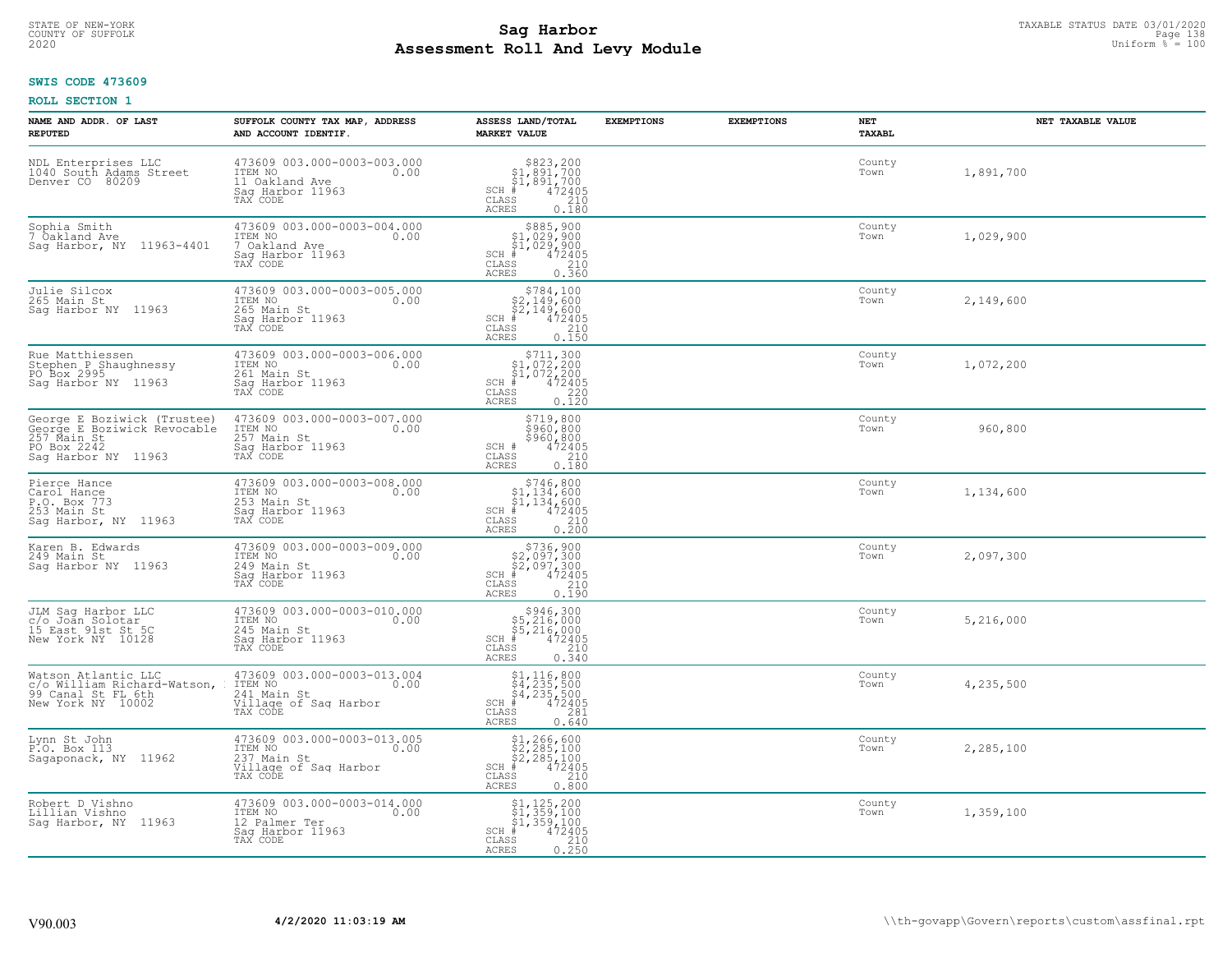# STATE OF NEW-YORK TAXABLE STATUS DATE 03/01/2020<br>COUNTY OF SUFFOLK Page 138 **Assessment Roll And Levy Module Example 2020** Uniform  $\frac{1}{8}$  = 100

#### **SWIS CODE 473609**

| NAME AND ADDR. OF LAST<br><b>REPUTED</b>                                                                        | SUFFOLK COUNTY TAX MAP, ADDRESS<br>AND ACCOUNT IDENTIF.                                                   | ASSESS LAND/TOTAL<br><b>MARKET VALUE</b>                                                                                           | <b>EXEMPTIONS</b> | <b>EXEMPTIONS</b><br>NET | TAXABL              | NET TAXABLE VALUE |
|-----------------------------------------------------------------------------------------------------------------|-----------------------------------------------------------------------------------------------------------|------------------------------------------------------------------------------------------------------------------------------------|-------------------|--------------------------|---------------------|-------------------|
| NDL Enterprises LLC<br>1040 South Adams Street<br>Denver CO 80209                                               | 473609 003.000-0003-003.000<br>ITEM NO<br>11 Oakland Ave<br>Saq Harbor 11963<br>TAX CODE                  | $$823,200$<br>$$1,891,700$<br>$$1,891,700$<br>$$1,891,700$<br>$$1,891,700$<br>$$12405$<br>$$210$<br>CLASS<br><b>ACRES</b><br>0.180 |                   | Town                     | County<br>1,891,700 |                   |
| Sophia Smith<br>7 Oakland Ave<br>Sag Harbor, NY 11963-4401                                                      | 473609 003.000-0003-004.000<br>ITEM NO 0.00<br>7 Oakland Ave<br>Saq Harbor 11963<br>TAX CODE              | $$885,900$<br>\$1,029,900<br>\$1,029,900<br>472405<br>$SCH$ #<br>CLASS<br>$\frac{210}{0.360}$<br>ACRES                             |                   | Town                     | County              | 1,029,900         |
| Julie Silcox<br>265 Main St<br>Saq Harbor NY 11963                                                              | 473609 003.000-0003-005.000<br>ITEM NO 0.00<br>265 Main St<br>Sag Harbor 11963<br>TAX CODE                | \$784,100<br>\$2,149,600<br>\$2,149,600<br>\$2,149,600<br>CLASS 210<br>0.150<br>ACRES                                              |                   | Town                     | County              | 2,149,600         |
| Rue Matthiessen<br>Stephen P Shaughnessy<br>PO Box 2995<br>Sag Harbor NY 11963                                  | 473609 003.000-0003-006.000<br>TTEM NO CONSIDER THE CO. 00<br>261 Main St<br>Saq Harbor 11963<br>TAX CODE | $$711,300$<br>$$1,072,200$<br>$$1,072,200$<br>$SCH$ #<br>$75405$<br>0.120<br>0.120<br>CLASS<br>ACRES                               |                   | Town                     | County              | 1,072,200         |
| George E Boziwick (Trustee)<br>George E Boziwick Revocable<br>257 Main St<br>PO Box 2242<br>Sag Harbor NY 11963 | 473609 003.000-0003-007.000<br>ITEM NO 0.00<br>257 Main St<br>Sag Harbor 11963<br>TAX CODE                | \$719,800<br>5560,800<br>\$960,800<br>SCH # $472405$<br>210<br>CLASS<br>ACRES<br>0.180                                             |                   | Town                     | County              | 960,800           |
| Pierce Hance<br>Carol Hance<br>P.O. Box 773<br>253 Main St<br>Sag Harbor, NY 11963                              | 473609 003.000-0003-008.000<br>ITEM NO<br>253 Main St 0.00<br>Sag Harbor 11963<br>TAX CODE                | $$746,800$<br>$$1,134,600$<br>$$1,134,600$<br>$$1,134,600$<br>$$472405$<br>$SCH$ #<br>CLASS<br>210<br>ACRES<br>0.200               |                   | Town                     | County              | 1,134,600         |
| Karen B. Edwards<br>249 Main St<br>Saq Harbor NY 11963                                                          | 473609 003.000-0003-009.000<br>ITEM NO<br>0.00<br>249 Main St<br>Sag Harbor 11963<br>TAX CODE             | $$736,900$<br>$$2,097,300$<br>$$2,097,300$<br>$$472405$<br>$$5$<br>$$10$<br>$SCH$ #<br>CLASS<br>0.190<br>ACRES                     |                   | Town                     | County              | 2,097,300         |
| JLM Sag Harbor LLC<br>c/o Joan Solotar<br>15 East 91st St 5C<br>New York NY 10128                               | 473609 003.000-0003-010.000<br>ITEM NO 0.00<br>245 Main St<br>Saq Harbor 11963<br>TAX CODE                | $$946,300$<br>$$5,216,000$<br>$$5,216,000$<br>$$472405$<br>$SCH$ #<br>CLASS<br>210<br>ACRES<br>0.340                               |                   | Town                     | County              | 5,216,000         |
| Watson Atlantic LLC<br>c/o William Richard-Watson,<br>99 Canal St FL 6th<br>New York NY 10002                   | 473609 003.000-0003-013.004<br>1TEM NO<br>241 Main St<br>Willage of Saq Harbor<br>TAX CODE                | $$4, 235, 500$<br>$$4, 235, 500$<br>$$4, 235, 500$<br>$$4, 235, 500$<br>$SCH$ #<br>CLASS<br>281<br>ACRES<br>0.640                  |                   | Town                     | County              | 4,235,500         |
| Lynn St John<br>P.O. Box 113<br>Sagaponack, NY 11962                                                            | 473609 003.000-0003-013.005<br>ITEM NO<br>237 Main St<br>Village of Sag Harbor<br>TAX CODE                | $$1,266,600$<br>$$2,285,100$<br>$$2,285,100$<br>$$2,285,100$<br>$472405$<br>$SCH$ #<br>CLASS<br>210<br><b>ACRES</b><br>0.800       |                   | Town                     | County              | 2,285,100         |
| Robert D Vishno<br>Lillian Vishno<br>Sag Harbor, NY 11963                                                       | 473609 003.000-0003-014.000<br>ITEM NO 0.00<br>12 Palmer Ter<br>Saq Harbor 11963<br>TAX CODE              | \$1,125,200<br>\$1,359,100<br>\$1,359,100<br>$SCH$ #<br>472405<br>CLASS<br>$\frac{210}{0.250}$<br>ACRES                            |                   | Town                     | County              | 1,359,100         |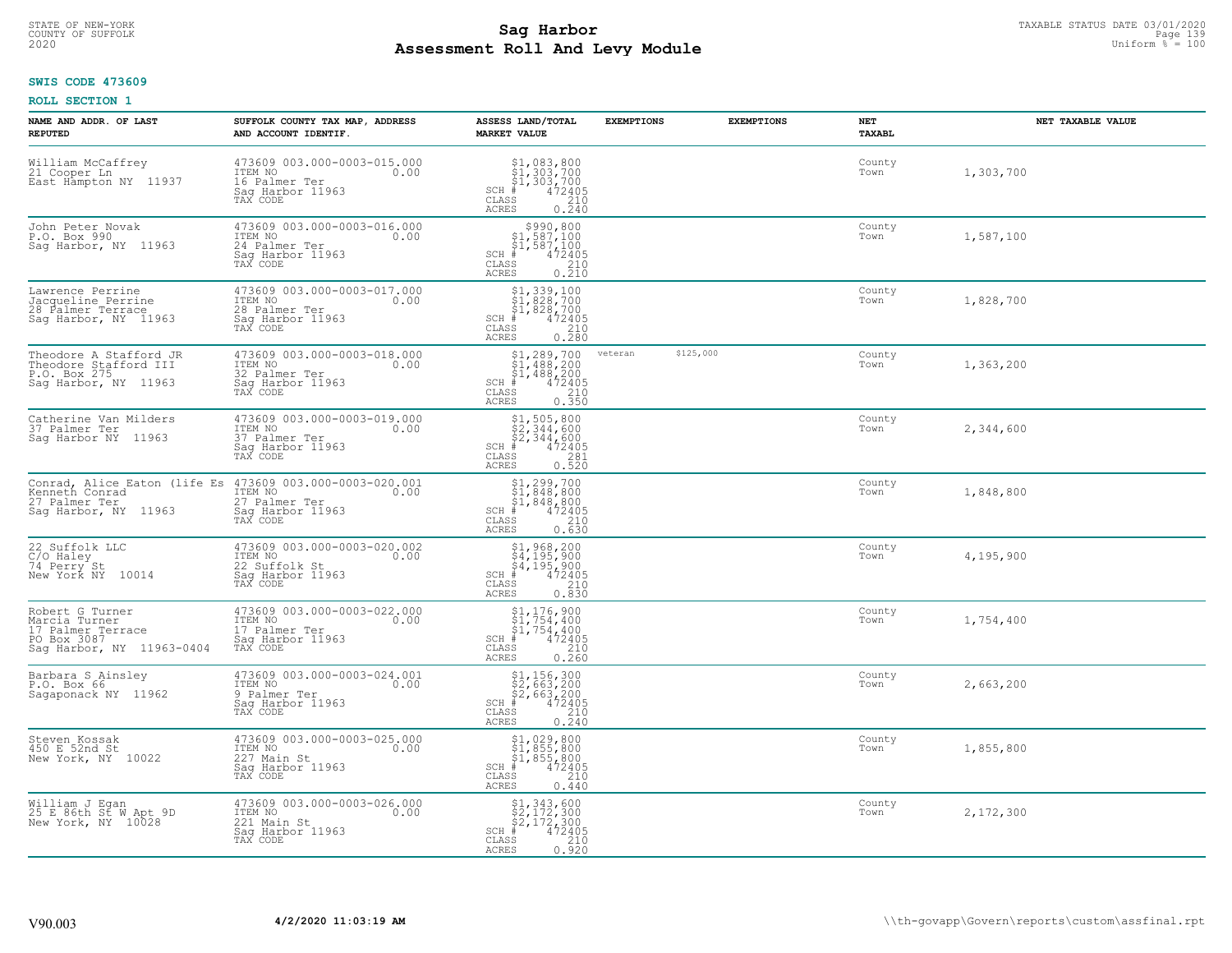# TAXABLE STATUS DATE 03/01/2020<br>COUNTY OF SUFFOLK Page 139 Page 139 **Assessment Roll And Levy Module Example 2020** Uniform  $\frac{1}{8}$  = 100

# **SWIS CODE 473609**

| NAME AND ADDR. OF LAST<br><b>REPUTED</b>                                                          | SUFFOLK COUNTY TAX MAP, ADDRESS<br>AND ACCOUNT IDENTIF.                                                                                  | ASSESS LAND/TOTAL<br><b>MARKET VALUE</b>                                                                                                                                                                       | <b>EXEMPTIONS</b> | <b>EXEMPTIONS</b> | NET<br>TAXABL  | NET TAXABLE VALUE |
|---------------------------------------------------------------------------------------------------|------------------------------------------------------------------------------------------------------------------------------------------|----------------------------------------------------------------------------------------------------------------------------------------------------------------------------------------------------------------|-------------------|-------------------|----------------|-------------------|
| William McCaffrey<br>21 Cooper Ln<br>East Hampton NY 11937                                        | 473609 003.000-0003-015.000<br>ITEM NO<br>0.00<br>16 Palmer Ter<br>Saq Harbor <sup>11963</sup><br>TAX CODE                               | $$1, 083, 800$<br>$$1, 303, 700$<br>$$1, 303, 700$<br>$SCH$ #<br>472405<br>CLASS<br>210<br>ACRES<br>0.240                                                                                                      |                   |                   | County<br>Town | 1,303,700         |
| John Peter Novak<br>P.O. Box 990<br>Sag Harbor, NY 11963                                          | 473609 003.000-0003-016.000<br>ITEM NO<br>0.00<br>24 Palmer Ter<br>Sag Harbor 11963<br>TAX CODE                                          | $\begin{array}{r}  \  \  \, 5990,800 \\  \  \, 51,587,100 \\  \  \, 51,587,100 \\  \  \  \, 472405 \\  \  \, 585 \\  \  \  \, 210 \\  \  \, 210 \\  \  \, 0.210 \end{array}$<br>SCH #<br>CLASS<br><b>ACRES</b> |                   |                   | County<br>Town | 1,587,100         |
| Lawrence Perrine<br>Jacqueline Perrine<br>28 Palmer Terrace<br>Sag Harbor, NY 11963               | 473609 003.000-0003-017.000<br>ITEM NO<br>0.00<br>28 Palmer Ter<br>Sag Harbor 11963<br>TAX CODE                                          | $$1,339,100$<br>$$1,828,700$<br>$$1,828,700$<br>$*$<br>$472405$<br>ss 210<br>$SCH$ #<br>CLASS<br>0.280<br><b>ACRES</b>                                                                                         |                   |                   | County<br>Town | 1,828,700         |
| Theodore A Stafford JR<br>Theodore Stafford III<br>P.O. Box 275<br>Sag Harbor, NY 11963           | 473609 003.000-0003-018.000<br>ITEM NO<br>0.00<br>32 Palmer Ter<br>Saq Harbor 11963<br>TAX CODE                                          | $$1,289,700$<br>$$1,488,200$<br>$$1,488,200$<br>$472405$<br>$$210$<br>$SCH$ #<br>$\mathtt{CLASS}$<br>0.350<br><b>ACRES</b>                                                                                     | veteran           | \$125,000         | County<br>Town | 1,363,200         |
| Catherine Van Milders<br>37 Palmer Ter<br>Saq Harbor NY 11963                                     | 473609 003.000-0003-019.000<br>ITEM NO<br>0.00<br>37 Palmer Ter<br>Sag Harbor 11963<br>TAX CODE                                          | \$1,505,800<br>\$2,344,600<br>\$2,344,600<br>\$4,72405<br>$SCH$ #<br>CLASS<br>281<br>0.520<br><b>ACRES</b>                                                                                                     |                   |                   | County<br>Town | 2,344,600         |
| 27 Palmer Ter<br>Saq Harbor, NY 11963                                                             | Conrad, Alice Eaton (life Es 473609 003.000-0003-020.001<br>Kenneth Conrad ITEM NO 0.00<br>27 Palmer Ter<br>Sag Harbor 11963<br>TAX CODE | $$1, 299, 700$<br>$$1, 848, 800$<br>$$1, 848, 800$<br>$$472405$<br>$SCH$ #<br>$\mathtt{CLASS}$<br>210<br>0.630<br><b>ACRES</b>                                                                                 |                   |                   | County<br>Town | 1,848,800         |
| 22 Suffolk LLC<br>C/O Haley<br>74 Perry St<br>New York NY 10014                                   | 473609 003.000-0003-020.002<br>ITEM NO<br>0.00<br>22 Suffolk St<br>Sag Harbor 11963<br>TAX CODE                                          | $$1, 968, 200$<br>$$4, 195, 900$<br>$$4, 195, 900$<br>$$4, 195, 900$<br>$$4, 72405$<br>$SCH$ #<br>210<br>CLASS<br>0.830<br><b>ACRES</b>                                                                        |                   |                   | County<br>Town | 4,195,900         |
| Robert G Turner<br>Marcia Turner<br>17 Palmer Terrace<br>PO Box 3087<br>Sag Harbor, NY 11963-0404 | 473609 003.000-0003-022.000<br>ITEM NO<br>0.00<br>17 Palmer Ter<br>Sag Harbor 11963<br>TAX CODE                                          | $$1,176,900$<br>$$1,754,400$<br>$$1,754,400$<br>$472405$<br>$$210$<br>$SCH$ #<br>CLASS<br><b>ACRES</b><br>0.260                                                                                                |                   |                   | County<br>Town | 1,754,400         |
| Barbara S Ainsley<br>P.O. Box 66<br>Sagaponack NY 11962                                           | 473609 003.000-0003-024.001<br>TTEM NO 0.00<br>9 Palmer Ter<br>Saq Harbor 11963<br>TAX CODE                                              | $$2,663,200$<br>$$2,663,200$<br>$$2,663,200$<br>$472405$<br>$$210$<br>$SCH$ #<br>CLASS<br>0.240<br>ACRES                                                                                                       |                   |                   | County<br>Town | 2,663,200         |
| Steven Kossak<br>450 E 52nd St<br>New York, NY 10022                                              | 473609 003.000-0003-025.000<br>ITEM NO<br>0.00<br>227 Main St<br>Sag Harbor 11963<br>TAX CODE                                            | \$1,029,800<br>$\begin{array}{l} 51,855,800 \\ 51,855,800 \\ \pm 472405 \end{array}$<br>$SCH$ #<br>$\mathtt{CLASS}$<br>210<br><b>ACRES</b><br>0.440                                                            |                   |                   | County<br>Town | 1,855,800         |
| William J Egan<br>25 E 86th St W Apt 9D<br>New York, NY 10028                                     | 473609 003.000-0003-026.000<br>ITEM NO<br>0.00<br>221 Main St<br>Sag Harbor 11963<br>TAX CODE                                            | \$1,343,600<br>\$2,172,300<br>\$2,172,300<br>#472405<br>$SCH$ #<br>CLASS<br>210<br>0.920<br>ACRES                                                                                                              |                   |                   | County<br>Town | 2,172,300         |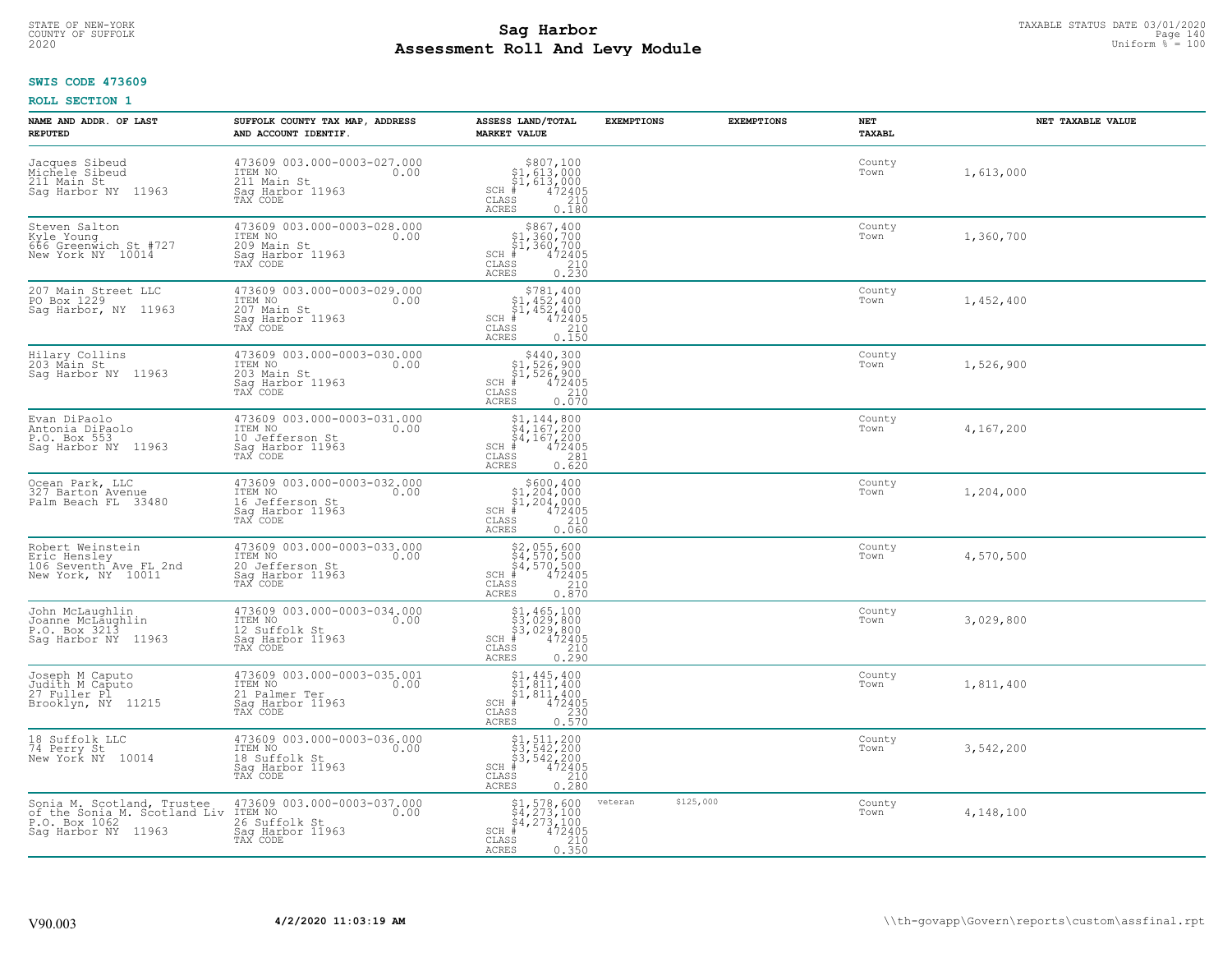# STATE OF NEW-YORK TAXABLE STATUS DATE 03/01/2020<br>COUNTY OF SUFFOLK Page 140 Page 140 **Assessment Roll And Levy Module Example 2020** Uniform  $\frac{1}{8}$  = 100

# **SWIS CODE 473609**

| NAME AND ADDR. OF LAST<br><b>REPUTED</b>                                                                   | SUFFOLK COUNTY TAX MAP, ADDRESS<br>AND ACCOUNT IDENTIF.                                           | ASSESS LAND/TOTAL<br><b>MARKET VALUE</b>                                                                                                                                                                   | <b>EXEMPTIONS</b>    | <b>EXEMPTIONS</b> | NET<br><b>TAXABL</b> | NET TAXABLE VALUE |
|------------------------------------------------------------------------------------------------------------|---------------------------------------------------------------------------------------------------|------------------------------------------------------------------------------------------------------------------------------------------------------------------------------------------------------------|----------------------|-------------------|----------------------|-------------------|
| Jacques Sibeud<br>Michele Sibeud<br>211 Main St<br>Sag Harbor NY 11963                                     | 473609 003.000-0003-027.000<br>ITEM NO<br>0.00<br>211 Main St<br>Saq Harbor 11963<br>TAX CODE     | $$807,100$<br>$$1,613,000$<br>$$1,613,000$<br>$*$<br>$472405$<br>$SCH$ #<br>CLASS<br>210<br><b>ACRES</b><br>0.180                                                                                          |                      |                   | County<br>Town       | 1,613,000         |
| Steven Salton<br>Kyle Young<br>666 Greenwich St #727<br>New York NY 10014                                  | 473609 003.000-0003-028.000<br>ITEM NO<br>0.00<br>209 Main St<br>Sag Harbor 11963<br>TAX CODE     | \$867,400<br>\$1,360,700<br>\$1,360,700<br>$SCH$ #<br>472405<br>CLASS<br>$\frac{210}{0.230}$<br><b>ACRES</b>                                                                                               |                      |                   | County<br>Town       | 1,360,700         |
| 207 Main Street LLC<br>PO Box 1229<br>Sag Harbor, NY 11963                                                 | 473609 003.000-0003-029.000<br>ITEM NO<br>0.00<br>207 Main St<br>Sag Harbor 11963<br>TAX CODE     | $$781, 400$<br>$$1, 452, 400$<br>$$1, 452, 400$<br>$$472405$<br>$SCH$ #<br>CLASS<br>210<br>0.150<br>ACRES                                                                                                  |                      |                   | County<br>Town       | 1,452,400         |
| Hilary Collins<br>203 Màin St<br>Sag Harbor NY 11963                                                       | 473609 003.000-0003-030.000<br>ITEM NO<br>0.00<br>203 Main St<br>Saq Harbor 11963<br>TAX CODE     | $$440,300$<br>$$1,526,900$<br>$$1,526,900$<br>$*$ 472405<br>$SCH$ #<br>CLASS<br>210<br>ACRES<br>0.070                                                                                                      |                      |                   | County<br>Town       | 1,526,900         |
| Evan DiPaolo<br>Antonia DiPaolo<br>P.O. Box 553<br>Saq Harbor NY 11963                                     | 473609 003.000-0003-031.000<br>ITEM NO<br>0.00<br>10 Jefferson St<br>Sag Harbor 11963<br>TAX CODE | $$1, 144, 800$<br>$$4, 167, 200$<br>$$4, 167, 200$<br>$$4, 167, 200$<br>$$472405$<br>$SCH$ #<br>CLASS<br>281<br>0.620<br>ACRES                                                                             |                      |                   | County<br>Town       | 4,167,200         |
| Ocean Park, LLC<br>327 Barton Avenue<br>Palm Beach FL 33480                                                | 473609 003.000-0003-032.000<br>ITEM NO<br>0.00<br>16 Jefferson St<br>Sag Harbor 11963<br>TAX CODE | $$600, 400$<br>$$1, 204, 000$<br>$$1, 204, 000$<br>$$472405$<br>$SCH$ #<br>CLASS<br>210<br>0.060<br><b>ACRES</b>                                                                                           |                      |                   | County<br>Town       | 1,204,000         |
| Robert Weinstein<br>Eric Hensley<br>106 Seventh Ave FL 2nd<br>New York, NY 10011                           | 473609 003.000-0003-033.000<br>ITEM NO<br>0.00<br>20 Jefferson St<br>Sag Harbor 11963<br>TAX CODE | \$2,055,600<br>\$4,570,500<br>\$4,570,500<br>#472405<br>$SCH$ #<br>CLASS<br>210<br>0.870<br><b>ACRES</b>                                                                                                   |                      |                   | County<br>Town       | 4,570,500         |
| John McLaughlin<br>Joanne McLaughlin<br>P.O. Box 3213<br>Sag Harbor NY<br>11963                            | 473609 003.000-0003-034.000<br>10.00 0.00<br>12 Suffolk St<br>Saq Harbor 11963<br>TAX CODE        | $$3, 465, 100$<br>$$3, 029, 800$<br>$$3, 029, 800$<br>$$472405$<br>$SCH$ #<br>CLASS<br>210<br>ACRES<br>0.290                                                                                               |                      |                   | County<br>Town       | 3,029,800         |
| Joseph M Caputo<br>Judith M Caputo<br>27 Fuller Pl<br>Brooklyn, NY 11215                                   | 473609 003.000-0003-035.001<br>TTEM NO 0.00<br>21 Palmer Ter<br>Saq Harbor 11963<br>TAX CODE      | $$1,445,400$<br>$$1,811,400$<br>$$1,811,400$<br>$$1,400$<br>SCH #<br>472405<br>230<br>CLASS<br><b>ACRES</b><br>0.570                                                                                       |                      |                   | County<br>Town       | 1,811,400         |
| 18 Suffolk LLC<br>74 Perry St<br>New York NY 10014                                                         | 473609 003.000-0003-036.000<br>ITEM NO<br>0.00<br>18 Suffolk St<br>Sag Harbor 11963<br>TAX CODE   | \$1,511,200<br>$\frac{1}{2}$ , $\frac{1}{2}$ , $\frac{1}{2}$ , $\frac{1}{2}$ , $\frac{1}{2}$ , $\frac{1}{2}$ , $\frac{1}{2}$ , $\frac{1}{2}$<br>472405<br>$SCH$ #<br>CLASS<br>210<br><b>ACRES</b><br>0.280 |                      |                   | County<br>Town       | 3,542,200         |
| Sonia M. Scotland, Trustee<br>of the Sonia M. Scotland Liv ITEM NO<br>P.O. Box 1062<br>Sag Harbor NY 11963 | 473609 003.000-0003-037.000<br>0.00<br>26 Suffolk St<br>Sag Harbor 11963<br>TAX CODE              | $$4, 273, 100$<br>$$4, 273, 100$<br>$$4, 273, 100$<br>472405<br>SCH #<br>CLASS<br>210<br>0.350<br><b>ACRES</b>                                                                                             | \$125,000<br>veteran |                   | County<br>Town       | 4,148,100         |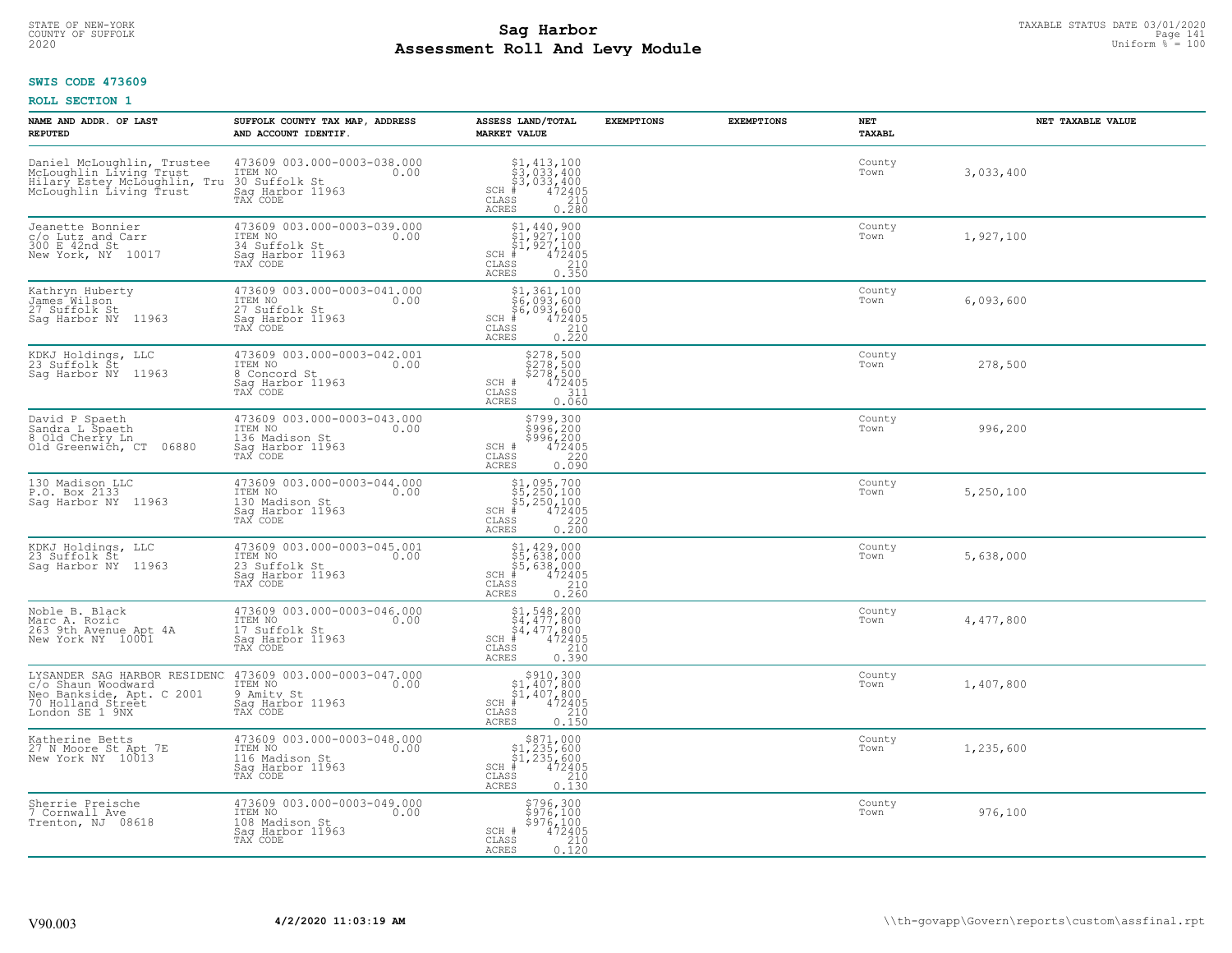# STATE OF NEW-YORK TAXABLE STATUS DATE 03/01/2020<br>COUNTY OF SUFFOLK Page 141 Page 141 **Assessment Roll And Levy Module Example 2020** Uniform  $\frac{1}{8}$  = 100

### **SWIS CODE 473609**

| NAME AND ADDR. OF LAST<br><b>REPUTED</b>                                                                                | SUFFOLK COUNTY TAX MAP, ADDRESS<br>AND ACCOUNT IDENTIF.                                          | ASSESS LAND/TOTAL<br><b>MARKET VALUE</b>                                                                                                                 | <b>EXEMPTIONS</b> | <b>EXEMPTIONS</b> | NET<br>TAXABL  | NET TAXABLE VALUE |
|-------------------------------------------------------------------------------------------------------------------------|--------------------------------------------------------------------------------------------------|----------------------------------------------------------------------------------------------------------------------------------------------------------|-------------------|-------------------|----------------|-------------------|
| Daniel McLoughlin, Trustee<br>McLoughlin Living Trust<br>Hilary Estey McLoughlin,<br>McLoughlin Living Trust<br>Tru     | 473609 003.000-0003-038.000<br>ITEM NO<br>0.00<br>30 Suffolk St<br>Saq Harbor 11963<br>TAX CODE  | \$1,413,100<br>$\begin{array}{c} 53,033,400 \\ 53,033,400 \\ +2405 \end{array}$<br>$SCH$ #<br>CLASS<br>210<br>ACRES<br>0.280                             |                   |                   | County<br>Town | 3,033,400         |
| Jeanette Bonnier<br>c/o Lutz and Carr<br>300 E 42nd St<br>New York, NY 10017                                            | 473609 003.000-0003-039.000<br>ITEM NO<br>0.00<br>34 Suffolk St<br>Sag Harbor 11963<br>TAX CODE  | $$1, 440, 900$<br>$$1, 927, 100$<br>$$1, 927, 100$<br>$$472405$<br>$SCH$ #<br>$\begin{array}{c} 210 \\ 0.350 \end{array}$<br>CLASS<br>ACRES              |                   |                   | County<br>Town | 1,927,100         |
| Kathryn Huberty<br>James Wilson<br>27 Suffolk St<br>Sag Harbor NY<br>11963                                              | 473609 003.000-0003-041.000<br>ITEM NO<br>0.00<br>27 Suffolk St<br>Sag Harbor 11963<br>TAX CODE  | \$1,361,100<br>\$6,093,600<br>$\begin{array}{r} 67,093,600 \\ 472405 \\ \text{ss} \\ 210 \\ \text{ss} \\ 0.220 \end{array}$<br>$SCH$ #<br>CLASS<br>ACRES |                   |                   | County<br>Town | 6,093,600         |
| KDKJ Holdings, LLC<br>23 Suffolk St<br>Saq Harbor NY<br>11963                                                           | 473609 003.000-0003-042.001<br>ITEM NO<br>0.00<br>8 Concord St<br>Saq Harbor 11963<br>TAX CODE   | \$278,500<br>\$278,500<br>\$278,500<br>\$214<br>\$114<br>\$114<br>SCH #<br>CLASS<br><b>ACRES</b><br>0.060                                                |                   |                   | County<br>Town | 278,500           |
| David P Spaeth<br>Sandra L Spaeth<br>8 Old Cherry Ln<br>Old Greenwich, CT 06880                                         | 473609 003.000-0003-043.000<br>ITEM NO<br>0.00<br>136 Madison St<br>Sag Harbor 11963<br>TAX CODE | \$799,300<br>$\begin{array}{r} 7996,200 \\ 5996,200 \\ 472405 \\ 0.090 \end{array}$<br>SCH #<br>CLASS<br>ACRES                                           |                   |                   | County<br>Town | 996,200           |
| 130 Madison LLC<br>P.O. Box 2133<br>Sag Harbor NY 11963                                                                 | 473609 003.000-0003-044.000<br>ITEM NO<br>0.00<br>130 Madison St<br>Sag Harbor 11963<br>TAX CODE | $$1,095,700$<br>$$5,250,100$<br>$$5,250,100$<br>$$472405$<br>$SCH$ #<br>$\mathtt{CLASS}$<br>$\begin{array}{c} 220 \\ 0.200 \end{array}$<br><b>ACRES</b>  |                   |                   | County<br>Town | 5,250,100         |
| KDKJ Holdings, LLC<br>23 Suffolk St<br>Saq Harbor NY 11963                                                              | 473609 003.000-0003-045.001<br>ITEM NO<br>0.00<br>23 Suffolk St<br>Sag Harbor 11963<br>TAX CODE  | $$1, 429, 000$<br>$$5, 638, 000$<br>$$5, 638, 000$<br>$$472405$<br>$SCH$ #<br>CLASS<br>$\frac{210}{0.260}$<br>ACRES                                      |                   |                   | County<br>Town | 5,638,000         |
| Noble B. Black<br>Marc A. Rozic<br>263 9th Avenue Apt 4A<br>New York NY 10001                                           | 473609 003.000-0003-046.000<br>ITEM NO<br>0.00<br>17 Suffolk St<br>Saq Harbor 11963<br>TAX CODE  | $$1, 548, 200$<br>$$4, 477, 800$<br>$$4, 477, 800$<br>$$4, 472, 905$<br>SCH<br>CLASS<br>210<br>0.390<br><b>ACRES</b>                                     |                   |                   | County<br>Town | 4,477,800         |
| LYSANDER SAG HARBOR RESIDENC<br>c/o Shaun Woodward<br>Neo Bankside, Apt. C 2001<br>70 Holland Street<br>London SE 1 9NX | 473609 003.000-0003-047.000<br>ITEM NO<br>0.00<br>9 Amity St<br>Saq Harbor 11963<br>TAX CODE     | $$910,30051,407,80051,407,800# 47240555 210$<br>SCH<br>CLASS<br>0.150<br><b>ACRES</b>                                                                    |                   |                   | County<br>Town | 1,407,800         |
| Katherine Betts<br>27 N Moore St Apt 7E<br>New York NY 10013                                                            | 473609 003.000-0003-048.000<br>ITEM NO<br>0.00<br>116 Madison St<br>Sag Harbor 11963<br>TAX CODE | \$871,000<br>$$1,235,600$<br>$$1,235,600$<br>$*$ 472405<br>$SCH$ #<br>210<br>CLASS<br>ACRES<br>0.130                                                     |                   |                   | County<br>Town | 1,235,600         |
| Sherrie Preische<br>7 Cornwall Ave<br>Trenton, NJ 08618                                                                 | 473609 003.000-0003-049.000<br>ITEM NO<br>0.00<br>108 Madison St<br>Sag Harbor 11963<br>TAX CODE | \$796,300<br>\$976,100<br>\$976,100<br>472405<br>SCH #<br>210<br>CLASS<br><b>ACRES</b><br>0.120                                                          |                   |                   | County<br>Town | 976,100           |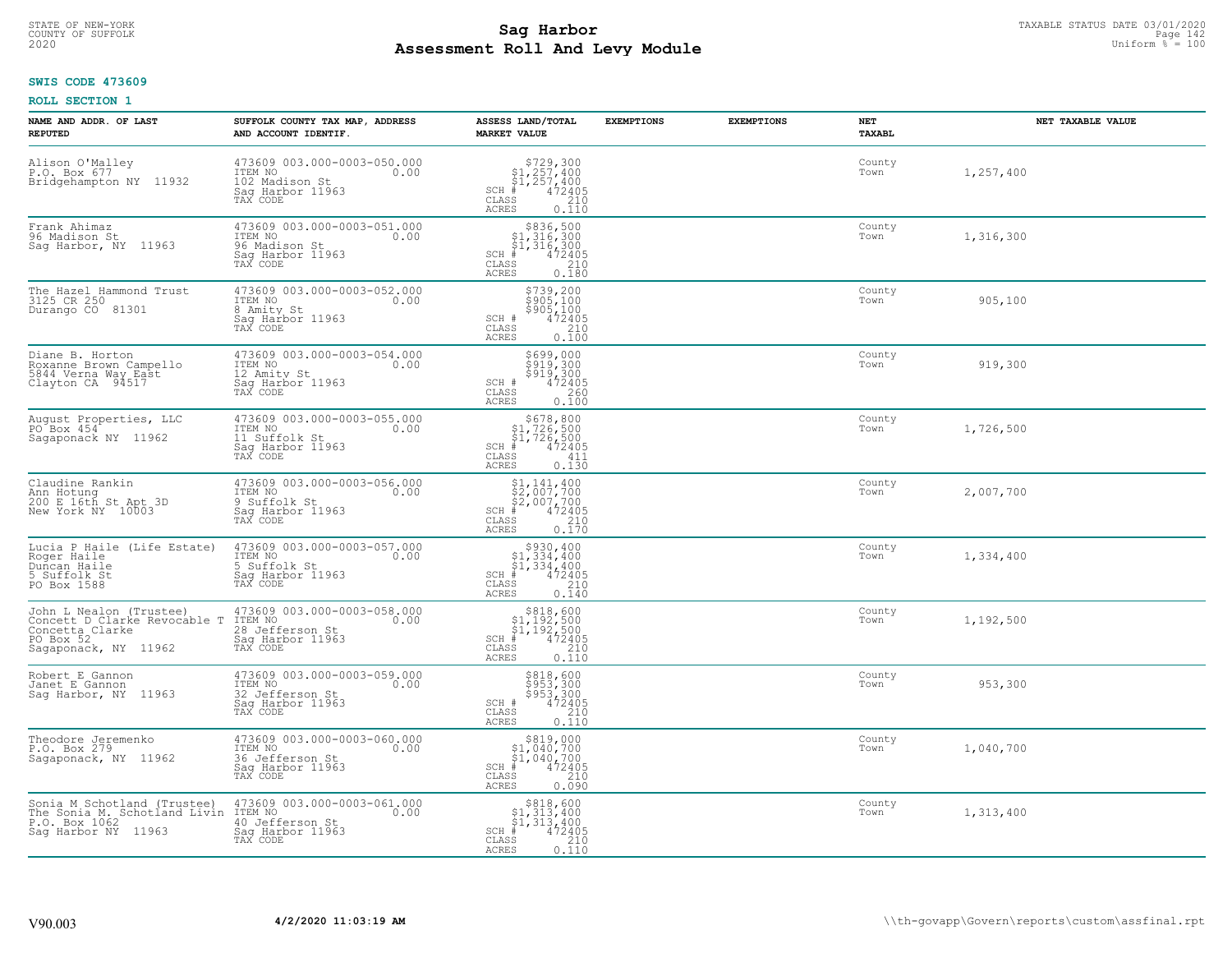# STATE OF NEW-YORK TAXABLE STATUS DATE 03/01/2020<br>241 Page 142 Page 142 **Assessment Roll And Levy Module Example 2020** Uniform  $\frac{1}{8}$  = 100

# **SWIS CODE 473609**

| NAME AND ADDR. OF LAST<br><b>REPUTED</b>                                                                        | SUFFOLK COUNTY TAX MAP, ADDRESS<br>AND ACCOUNT IDENTIF.                                           | ASSESS LAND/TOTAL<br><b>MARKET VALUE</b>                                                                                              | <b>EXEMPTIONS</b> | <b>EXEMPTIONS</b> | <b>NET</b><br>TAXABL | NET TAXABLE VALUE |
|-----------------------------------------------------------------------------------------------------------------|---------------------------------------------------------------------------------------------------|---------------------------------------------------------------------------------------------------------------------------------------|-------------------|-------------------|----------------------|-------------------|
| Alison O'Malley<br>P.O. Box 677<br>Bridgehampton NY 11932                                                       | 473609 003.000-0003-050.000<br>ITEM NO<br>0.00<br>102 Madison St<br>Sag Harbor 11963<br>TAX CODE  | $$729,300$<br>$$1,257,400$<br>$$1,257,400$<br>$472405$<br>$$240$<br>$$240$<br>$SCH$ #<br>CLASS<br><b>ACRES</b><br>0.110               |                   |                   | County<br>Town       | 1,257,400         |
| Frank Ahimaz<br>96 Madison St<br>Sag Harbor, NY 11963                                                           | 473609 003.000-0003-051.000<br>ITEM NO<br>0.00<br>96 Madison St<br>Saq Harbor 11963<br>TAX CODE   | \$836,500<br>\$1,316,300<br>\$1,316,300<br>$472405$<br>$210$<br>0.180<br>$SCH$ #<br>CLASS<br>ACRES                                    |                   |                   | County<br>Town       | 1,316,300         |
| The Hazel Hammond Trust<br>3125 CR 250<br>Durango CO 81301                                                      | 473609 003.000-0003-052.000<br>ITEM NO<br>0.00<br>8 Amity St<br>Sag Harbor 11963<br>TAX CODE      | \$739,200<br>\$905,100<br>\$905,100<br>472405<br>SCH #<br>210<br>CLASS<br>0.100<br>ACRES                                              |                   |                   | County<br>Town       | 905,100           |
| Diane B. Horton<br>Roxanne Brown Campello<br>5844 Verna Way East<br>Clayton CA 94517                            | 473609 003.000-0003-054.000<br>ITEM NO<br>0.00<br>12 Amity St<br>Saq Harbor 11963<br>TAX CODE     | \$699,000<br>\$919,300<br>\$919,300<br>472405<br>SCH #<br>$\mathtt{CLASS}$<br>260<br>ACRES<br>0.100                                   |                   |                   | County<br>Town       | 919,300           |
| August Properties, LLC<br>$PO$ Box $454$<br>Sagaponack NY 11962                                                 | 473609 003.000-0003-055.000<br>ITEM NO<br>0.00<br>11 Suffolk St<br>Saq Harbor 11963<br>TAX CODE   | $$678,800$<br>$$1,726,500$<br>$$1,726,500$<br>$472405$<br>$$411$<br>$SCH$ #<br>CLASS<br>ACRES<br>0.130                                |                   |                   | County<br>Town       | 1,726,500         |
| Claudine Rankin<br>Ann Hotung<br>200 E 16th St Apt 3D<br>New York NY 10003                                      | 473609 003.000-0003-056.000<br>ITEM NO<br>0.00<br>9 Suffolk St<br>Saq Harbor 11963<br>TAX CODE    | $$1, 141, 400$<br>$$2, 007, 700$<br>$$2, 007, 700$<br>$$472405$<br>$SCH$ #<br>CLASS<br>210<br>ACRES<br>0.170                          |                   |                   | County<br>Town       | 2,007,700         |
| Lucia P Haile (Life Estate)<br>Roger Haile<br>Duncan Haile<br>5 Suffolk St<br>PO Box 1588                       | 473609 003.000-0003-057.000<br>ITEM NO<br>0.00<br>5 Suffolk St<br>Saq Harbor 11963<br>TAX CODE    | $$930, 400$<br>$$1, 334, 400$<br>$$1, 334, 400$<br>$$1, 334, 400$<br>$\frac{1}{4}$ 72405<br>210<br>$SCH$ #<br>CLASS<br>0.140<br>ACRES |                   |                   | County<br>Town       | 1,334,400         |
| John L Nealon (Trustee)<br>Concett D Clarke Revocable T<br>Concetta Clarke<br>PO Box 52<br>Sagaponack, NY 11962 | 473609 003.000-0003-058.000<br>ITEM NO<br>0.00<br>28 Jefferson St<br>Saq Harbor 11963<br>TAX CODE | $$818,600$<br>$$1,192,500$<br>$$1,192,500$<br>$472405$<br>$$210$<br>SCH<br>CLASS<br>ACRES<br>0.110                                    |                   |                   | County<br>Town       | 1,192,500         |
| Robert E Gannon<br>Janet E Gannon<br>Sag Harbor, NY 11963                                                       | 473609 003.000-0003-059.000<br>ITEM NO<br>0.00<br>32 Jefferson St<br>Saq Harbor 11963<br>TAX CODE | $$953, 300$<br>$$953, 300$<br>$$953, 300$<br>$472405$<br>$$210$<br>SCH #<br>CLASS<br><b>ACRES</b><br>0.110                            |                   |                   | County<br>Town       | 953,300           |
| Theodore Jeremenko<br>P.O. Box 279<br>Sagaponack, NY 11962                                                      | 473609 003.000-0003-060.000<br>ITEM NO<br>0.00<br>36 Jefferson St<br>Sag Harbor 11963<br>TAX CODE | \$819,000<br>$$1,040,700$<br>$$1,040,700$<br>$SCH$ #<br>472405<br>210<br>CLASS<br>0.090<br><b>ACRES</b>                               |                   |                   | County<br>Town       | 1,040,700         |
| Sonia M Schotland (Trustee)<br>The Sonia M. Schotland Livin ITEM NO<br>P.O. Box 1062<br>Sag Harbor NY 11963     | 473609 003.000-0003-061.000<br>0.00<br>40 Jefferson St<br>Sag Harbor 11963<br>TAX CODE            | $\begin{array}{c} $818,600\\ $1,313,400\\ $1,313,400\\ \end{array}$<br>$SCH$ #<br>472405<br>CLASS<br>210<br>0.110<br>ACRES            |                   |                   | County<br>Town       | 1,313,400         |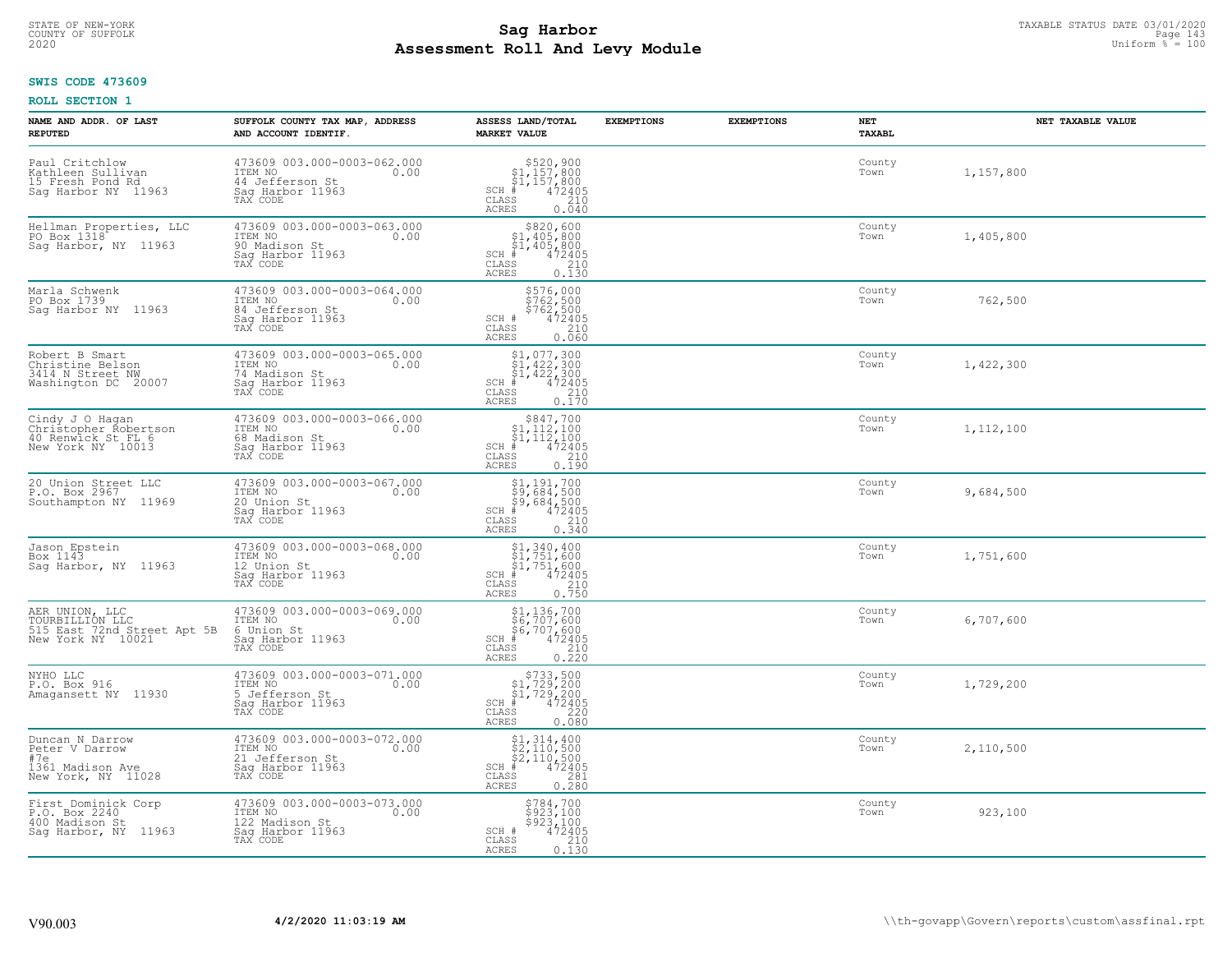# STATE OF NEW-YORK TAXABLE STATUS DATE 03/01/2020<br>COUNTY OF SUFFOLK Page 143 **Assessment Roll And Levy Module Example 2020** Uniform  $\frac{1}{8}$  = 100

#### **SWIS CODE 473609**

| NAME AND ADDR. OF LAST<br><b>REPUTED</b>                                              | SUFFOLK COUNTY TAX MAP, ADDRESS<br>AND ACCOUNT IDENTIF.                                           | ASSESS LAND/TOTAL<br><b>MARKET VALUE</b>                                                                                                                                                                                                                                                                                                                                                                                              | <b>EXEMPTIONS</b> | <b>EXEMPTIONS</b> | NET<br>TAXABL  | NET TAXABLE VALUE |
|---------------------------------------------------------------------------------------|---------------------------------------------------------------------------------------------------|---------------------------------------------------------------------------------------------------------------------------------------------------------------------------------------------------------------------------------------------------------------------------------------------------------------------------------------------------------------------------------------------------------------------------------------|-------------------|-------------------|----------------|-------------------|
| Paul Critchlow<br>Kathleen Sullivan<br>15 Fresh Pond Rd<br>Sag Harbor NY 11963        | 473609 003.000-0003-062.000<br>ITEM NO<br>0.00<br>44 Jefferson St<br>Saq Harbor 11963<br>TAX CODE | $$520,900$<br>$$1,157,800$<br>$$1,157,800$<br>$*$<br>$*$<br>$*$<br>$*$<br>$*$<br>$SCH$ #<br>CLASS<br>210<br>ACRES<br>0.040                                                                                                                                                                                                                                                                                                            |                   |                   | County<br>Town | 1,157,800         |
| Hellman Properties, LLC<br>PO Box 1318<br>Sag Harbor, NY 11963                        | 473609 003.000-0003-063.000<br>ITEM NO<br>0.00<br>90 Madison St<br>Sag Harbor 11963<br>TAX CODE   | \$820,600<br>\$1,405,800<br>\$1,405,800<br>472405<br>$SCH$ #<br>CLASS<br>$\begin{array}{c} 210 \\ 0.130 \end{array}$<br>ACRES                                                                                                                                                                                                                                                                                                         |                   |                   | County<br>Town | 1,405,800         |
| Marla Schwenk<br>PO Box 1739<br>Saq Harbor NY 11963                                   | 473609 003.000-0003-064.000<br>ITEM NO<br>0.00<br>84 Jefferson St<br>Sag Harbor 11963<br>TAX CODE | \$576,000<br>\$762,500<br>\$762,500<br>\$762,500<br>\$72405<br>\$210<br>\$60.060<br>SCH #<br>CLASS<br>ACRES                                                                                                                                                                                                                                                                                                                           |                   |                   | County<br>Town | 762,500           |
| Robert B Smart<br>Christine Belson<br>3414 N Street NW<br>Washington DC 20007         | 473609 003.000-0003-065.000<br>ITEM NO<br>0.00<br>74 Madison St<br>Saq Harbor 11963<br>TAX CODE   | $\begin{array}{l} \texttt{\$1,077,300} \\ \texttt{\$1,422,300} \\ \texttt{\$1,422,300} \\ \texttt{\$1,422,300} \\ \texttt{\$1,422,300} \\ \texttt{\$10} \\ \texttt{\$10} \\ \texttt{\$10} \\ \texttt{\$11} \\ \texttt{\$12} \\ \texttt{\$13} \\ \texttt{\$14} \\ \texttt{\$16} \\ \texttt{\$18} \\ \texttt{\$19} \\ \texttt{\$19} \\ \texttt{\$19} \\ \texttt{\$19} \\ \texttt{\$19} \\ \texttt{\$19$<br>SCH<br>CLASS<br><b>ACRES</b> |                   |                   | County<br>Town | 1,422,300         |
| Cindy J O Hagan<br>Christopher Robertson<br>40 Renwick St FL 6<br>New York NY 10013   | 473609 003.000-0003-066.000<br>ITEM NO<br>0.00<br>68 Madison St<br>Saq Harbor 11963<br>TAX CODE   | \$847,700<br>$\begin{array}{c} 51,112,100 \\ 51,112,100 \\ + 472405 \end{array}$<br>$SCH$ #<br>$\begin{array}{c} 210 \\ 0.190 \end{array}$<br>CLASS<br>ACRES                                                                                                                                                                                                                                                                          |                   |                   | County<br>Town | 1,112,100         |
| 20 Union Street LLC<br>P.O. Box 2967<br>Southampton NY 11969                          | 473609 003.000-0003-067.000<br>ITEM NO<br>0.00<br>20 Union St<br>Sag Harbor 11963<br>TAX CODE     | $$9,684,500$<br>$$9,684,500$<br>$$9,684,500$<br>$$472405$<br>$SCH$ #<br>$\mathtt{CLASS}$<br>210<br><b>ACRES</b><br>0.340                                                                                                                                                                                                                                                                                                              |                   |                   | County<br>Town | 9,684,500         |
| Jason Epstein<br>Box 1143<br>Sag Harbor, NY 11963                                     | 473609 003.000-0003-068.000<br>ITEM NO<br>0.00<br>12 Union St<br>Sag Harbor 11963<br>TAX CODE     | $$1,340,400$<br>$$1,751,600$<br>$$1,751,600$<br>$$472405$<br>$SCH$ #<br>CLASS<br>$\frac{210}{0.750}$<br>ACRES                                                                                                                                                                                                                                                                                                                         |                   |                   | County<br>Town | 1,751,600         |
| AER UNION, LLC<br>TOURBILLION LLC<br>515 East 72nd Street Apt 5B<br>New York NY 10021 | 473609 003.000-0003-069.000<br>ITEM NO<br>0.00<br>6 Union St<br>Saq Harbor 11963<br>TAX CODE      | \$1,136,700<br>\$6,707,600<br>\$6,707,600<br>#6,707,600<br>SCH<br>CLASS<br>$\begin{array}{c} 210 \\ 0.220 \end{array}$<br><b>ACRES</b>                                                                                                                                                                                                                                                                                                |                   |                   | County<br>Town | 6,707,600         |
| NYHO LLC<br>P.O. Box 916<br>Amagansett NY 11930                                       | 473609 003.000-0003-071.000<br>ITEM NO 0.00<br>5 Jefferson St<br>Saq Harbor 11963<br>TAX CODE     | $\begin{array}{r} \text{\small $>$733$, 500} \\ \text{\small $>$1$, 729, 200} \\ \text{\small $>$1$, 729, 200} \\ \text{\small $>$472405} \\ \text{\small $>$85$} \\ \text{\small $28$} \\ \text{\small $28$} \\ \text{\small $28$} \\ \text{\small $28$} \\ \text{\small $0.080} \end{array}$<br>SCH<br>CLASS<br><b>ACRES</b>                                                                                                        |                   |                   | County<br>Town | 1,729,200         |
| Duncan N Darrow<br>Peter V Darrow<br>#7e<br>1361 Madison Ave<br>New York, NY 11028    | 473609 003.000-0003-072.000<br>ITEM NO<br>0.00<br>21 Jefferson St<br>Sag Harbor 11963<br>TAX CODE | $$1, 314, 400$<br>$$2, 110, 500$<br>$$2, 110, 500$<br>$$472405$<br>SCH<br>281<br>CLASS<br>0.280<br>ACRES                                                                                                                                                                                                                                                                                                                              |                   |                   | County<br>Town | 2,110,500         |
| First Dominick Corp<br>P.O. Box 2240<br>400 Madison St<br>Sag Harbor, NY 11963        | 473609 003.000-0003-073.000<br>ITEM NO<br>0.00<br>122 Madison St<br>Sag Harbor 11963<br>TAX CODE  | \$784,700<br>\$923,100<br>\$923,100<br>472405<br>SCH #<br>210<br>CLASS<br><b>ACRES</b><br>0.130                                                                                                                                                                                                                                                                                                                                       |                   |                   | County<br>Town | 923,100           |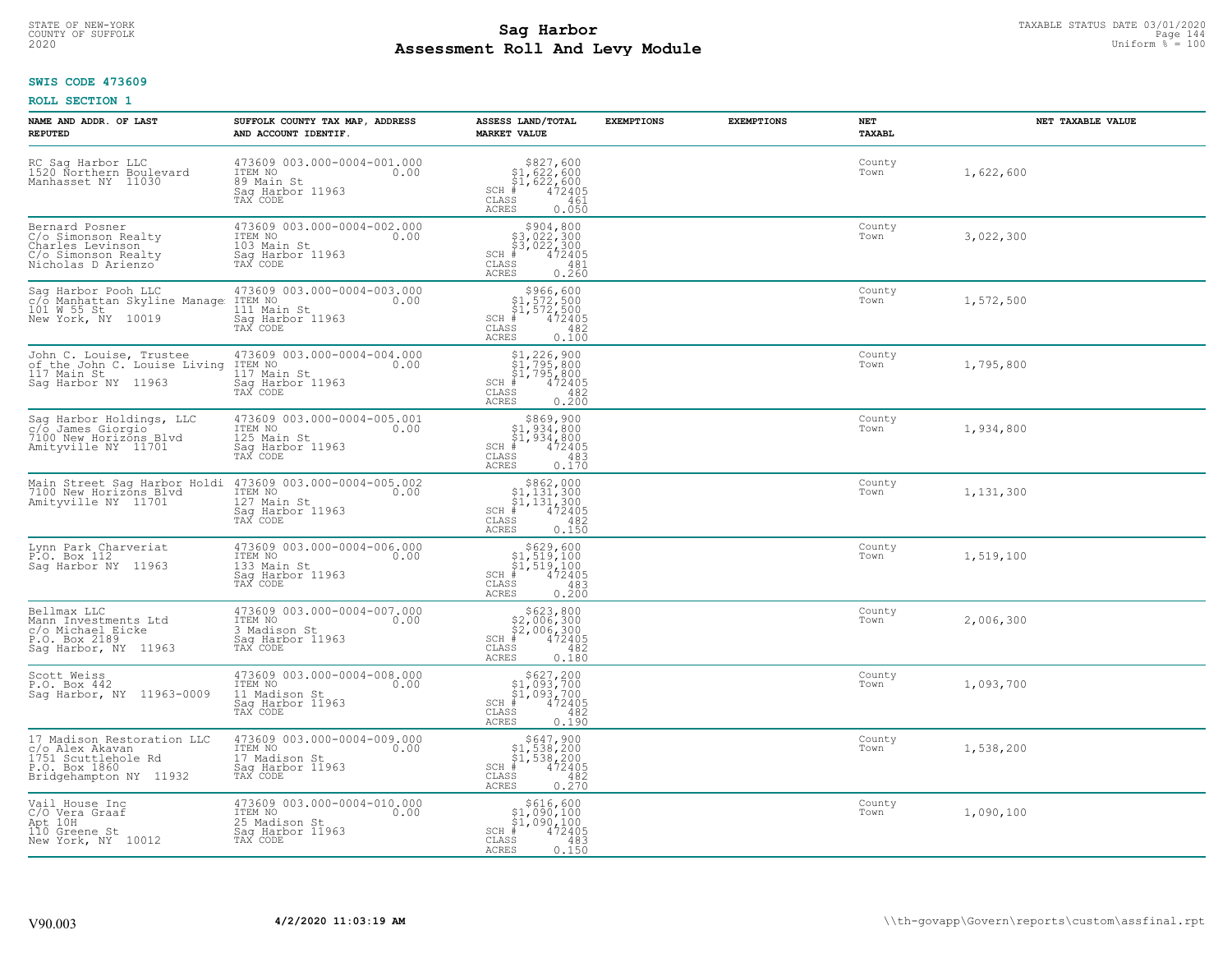# STATE OF NEW-YORK TAXABLE STATUS DATE 03/01/2020<br>Page 144 **Sag Harbor** Supering the Superior of Superior Page 144 **Assessment Roll And Levy Module Example 2020** Uniform  $\frac{1}{8}$  = 100

# **SWIS CODE 473609**

|  | ROLL SECTION 1 |  |
|--|----------------|--|
|--|----------------|--|

| NAME AND ADDR. OF LAST<br><b>REPUTED</b>                                                                                                                                       | SUFFOLK COUNTY TAX MAP, ADDRESS<br>AND ACCOUNT IDENTIF.                                                                                                                                   | ASSESS LAND/TOTAL<br><b>MARKET VALUE</b>                                                                                                                                                                                                                       | <b>EXEMPTIONS</b> | <b>EXEMPTIONS</b> | NET<br>TAXABL  | NET TAXABLE VALUE |
|--------------------------------------------------------------------------------------------------------------------------------------------------------------------------------|-------------------------------------------------------------------------------------------------------------------------------------------------------------------------------------------|----------------------------------------------------------------------------------------------------------------------------------------------------------------------------------------------------------------------------------------------------------------|-------------------|-------------------|----------------|-------------------|
| RC Sag Harbor LLC<br>1520 Northern Boulevard<br>Manhasset NY 11030                                                                                                             | 473609 003.000-0004-001.000<br>ITEM NO 0.00<br>89 Main St<br>$\frac{1}{2}$<br>Saq Harbor 11963<br>TAX CODE                                                                                | $\begin{array}{c} 5827,600 \\ \text{\$1,622,600} \\ \text{\$51,622,600} \\ \text{\tiny SCH & 472405} \\ \text{\tiny CLASS} \text{\tiny AGE} \\ \text{\tiny ACRES} \text{\tiny O.050} \end{array}$                                                              |                   |                   | County<br>Town | 1,622,600         |
| Bernard Posner<br>C/o Simonson Realty<br>Charles Levinson<br>C/o Simonson Realty<br>Nicholas D Arienzo <sup>-</sup>                                                            | 473609 003.000-0004-002.000<br>ITEM NO<br>103 Main St 0.00<br>Sag Harbor 11963<br>TAX CODE                                                                                                | $\begin{array}{r} \texttt{\$904,800}\ \\ \texttt{\$3,022,300}\ \\ \texttt{\$5,022,300}\ \\ \texttt{SCH} & 472405 \\ \texttt{\$LASS}\end{array}$                                                                                                                |                   |                   | County<br>Town | 3,022,300         |
| New York, NY 10019                                                                                                                                                             | Sag Harbor Pooh LLC 473609 003.000-0004-003.000<br>c/o Manhattan Skyline Manage TTEM NO<br>101 M 55 St 10010 111 Main St. 10020<br>iii rain St<br>Sag Harbor 11963<br>TAX CODE            | $\begin{array}{c} \texttt{9966, 600} \\ \texttt{51, 572, 500} \\ \texttt{51, 572, 500} \\ \texttt{SCH} & 472405 \\ \texttt{CLAS} & 482 \\ \texttt{ACRES} & 0.100 \end{array}$                                                                                  |                   |                   | County<br>Town | 1,572,500         |
|                                                                                                                                                                                | John C. Louise, Trustee 473609 003.000-0004-004.000<br>of the John C. Louise Living ITEM NO<br>117 Main St 117 Main St 117 Main St 3ag Harbor NY 11963<br>Sag Harbor NY 11963<br>TAX CODE |                                                                                                                                                                                                                                                                |                   |                   | County<br>Town | 1,795,800         |
| Sag Harbor Holdings, LLC 473609 003.0<br>c/o James Giorgio IIV 1TEM NO<br>7100 New Horizons Blvd 125 Main St<br>Amityville NY 11701 539 Harbor 1                               | 473609 003.000-0004-005.001<br>ITEM NO 0.00<br>125 Main St<br>Saq Harbor 11963<br>TAX CODE                                                                                                | 1.1.2000<br>51,934,800<br>51,934,800<br>51,934,800<br>51,934,800<br>52,934,800<br>6170<br>62,936<br>62,170<br>62,170                                                                                                                                           |                   |                   | County<br>Town | 1,934,800         |
|                                                                                                                                                                                | Main Street Sag Harbor Holdi 473609 003.000-0004-005.002<br>7100 New Horizons Blvd 1TEM NO 100 0.00<br>Amityville NY 11701 127 Main St<br>Sag Harbor 11963<br>TAX CODE                    | $\begin{array}{c} 5862,000 \\ 51,131,300 \\ 51,131,300 \\ \text{SCI} \\ 472405 \\ \text{CLASS} \\ \text{ACRES} \\ 0.150 \end{array}$                                                                                                                           |                   |                   | County<br>Town | 1,131,300         |
| Lynn Park Charveriat<br>P.O. Box 112<br>Sag Harbor NY 11963                                                                                                                    | 473609 003.000-0004-006.000<br>ITEM NO 0.00<br>133 Main St<br>133 Main St<br>Sag Harbor 11963<br>TAX CODE                                                                                 | $\begin{array}{c} 0.629, 600 \\ 0.51, 519, 100 \\ 0.41, 519, 100 \\ \text{SCH} & 472405 \\ \text{CLASS} & 483 \\ \text{ACRES} & 0.200 \end{array}$                                                                                                             |                   |                   | County<br>Town | 1,519,100         |
| Bellmax LLC<br>Mann Investments Ltd<br>c/o Michael Eicke<br>P.O. Box 2189<br>Sag Harbor, NY 11963                                                                              | 473609 003.000-0004-007.000<br>ITEM NO 0.00<br>3 Madison St 0.00<br>Sag Harbor 11963<br>TAX CODE                                                                                          | $\begin{tabular}{cc} & $623,800$ \\ \noalign{\medskip} $2,006,300$ \\ $82,006,300$ \\ \noalign{\medskip} {\text{SCH}} & \qquad 472405 \\ \noalign{\medskip} {{\text{CLAS}}} & \qquad 492 \\ \noalign{\medskip} {\text{ACRES}} & \qquad 0.180 \\ \end{tabular}$ |                   |                   | County<br>Town | 2,006,300         |
| Scott Weiss<br>P.O. Box 442<br>Saq Harbor, NY 11963-0009                                                                                                                       | 473609 003.000-0004-008.000<br>ITEM NO 0.00<br>11 Madison St 0.00<br>Saq Harbor 11963<br>TAX CODE<br>Saq Harbor 11963<br>TAX CODE                                                         | $\begin{array}{c} \texttt{\$627,200} \\ \texttt{\$1,093,700} \\ \texttt{\$1,093,700} \\ \texttt{SCH} & 472405 \\ \texttt{\$LASS} & 482 \\ \texttt{ACRES} & 0.190 \end{array}$                                                                                  |                   |                   | County<br>Town | 1,093,700         |
| 17 Madison Restoration LLC<br>c/o Alex Akavan<br>1751 Scuttlehole Rd<br>1751 Scuttlehole Rd 17 Madison St<br>P.O. Box 1860 Sag Harbor 11963<br>Bridgehampton NY 11932 TAX CODE | 473609 003.000-0004-009.000<br>ITEM NO<br>17 Madison St 0.00                                                                                                                              | 1.1.538, 200<br>\$47, 900<br>\$1, 538, 200<br>\$1, 538, 200<br>SCH + 472405<br>ACRES 0.270                                                                                                                                                                     |                   |                   | County<br>Town | 1,538,200         |
| Vail House Inc<br>C/O Vera Graaf                                                                                                                                               | 473609 003.000-0004-010.000<br>ITEM NO 0.00<br>25 Madison St                                                                                                                              | $\begin{tabular}{r c c} & $\mathfrak{so16},\mathfrak{so0}$ \\ \hline $\mathfrak{sl}_1,090,100$ \\ $\mathfrak{SCI}_4$ & $472405$ \\ $\mathfrak{CLAS}$ & $483$ \\ $\mathfrak{ACRES}$ & $0.150$ \\ \end{tabular}$                                                 |                   |                   | County<br>Town | 1,090,100         |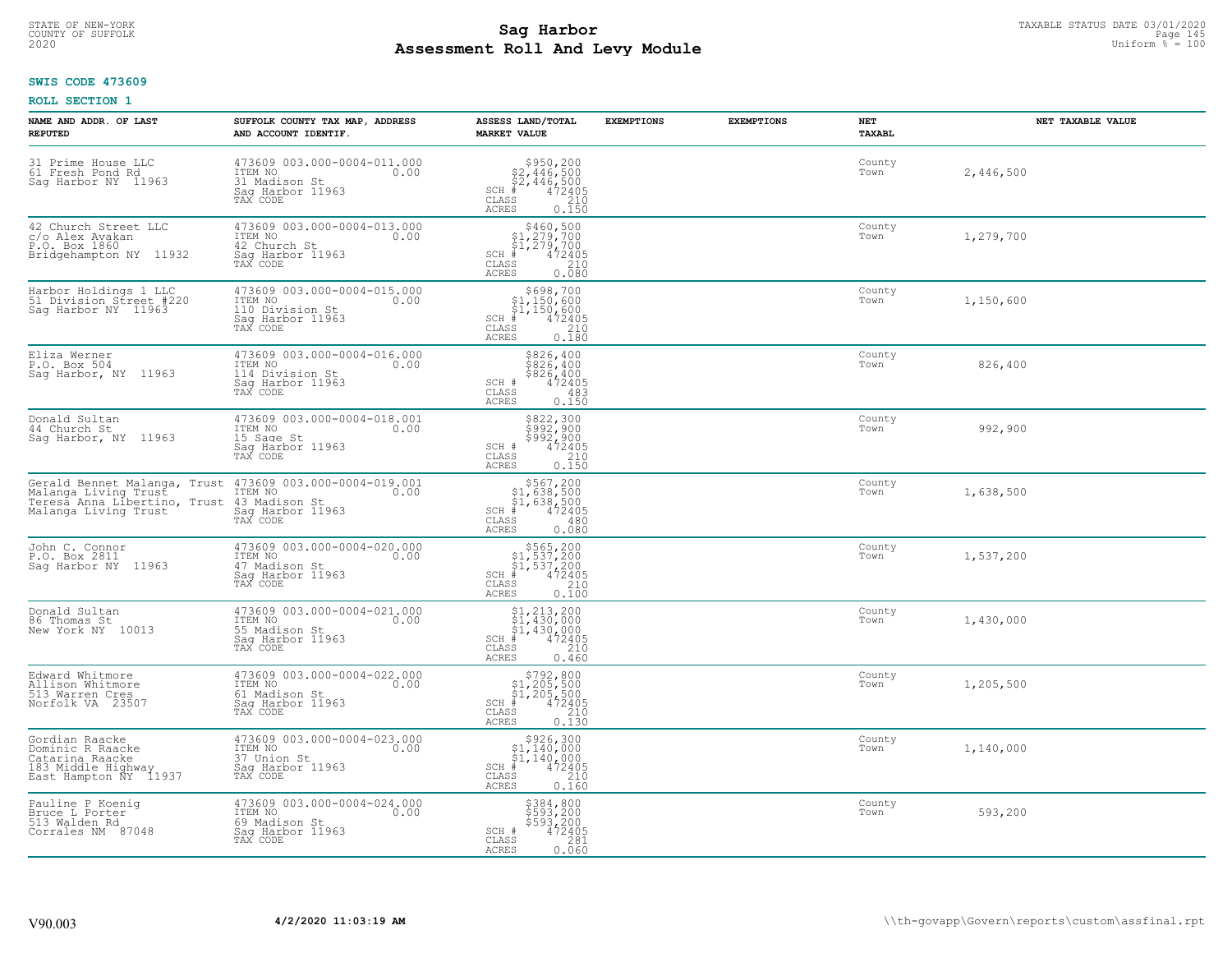# STATE OF NEW-YORK TAXABLE STATUS DATE 03/01/2020<br>COUNTY OF SUFFOLK Page 145 **Assessment Roll And Levy Module Example 2020** Uniform  $\frac{1}{8}$  = 100

#### **SWIS CODE 473609**

| NAME AND ADDR. OF LAST<br><b>REPUTED</b>                                                                                                                                        | SUFFOLK COUNTY TAX MAP, ADDRESS<br>AND ACCOUNT IDENTIF.                                           | ASSESS LAND/TOTAL<br><b>MARKET VALUE</b>                                                                                                              | <b>EXEMPTIONS</b> | <b>EXEMPTIONS</b> | NET<br>TAXABL  | NET TAXABLE VALUE |
|---------------------------------------------------------------------------------------------------------------------------------------------------------------------------------|---------------------------------------------------------------------------------------------------|-------------------------------------------------------------------------------------------------------------------------------------------------------|-------------------|-------------------|----------------|-------------------|
| 31 Prime House LLC<br>61 Fresh Pond Rd<br>Sag Harbor NY 11963                                                                                                                   | 473609 003.000-0004-011.000<br>ITEM NO<br>0.00<br>31 Madison St<br>Saq Harbor 11963<br>TAX CODE   | $$950, 200$<br>$$2, 446, 500$<br>$$2, 446, 500$<br>$472405$<br>$$2, 200$<br>$$210$<br>$SCH$ #<br>CLASS<br>ACRES<br>0.150                              |                   |                   | County<br>Town | 2,446,500         |
| 42 Church Street LLC<br>c/o Alex Avakan<br>P.O. Box 1860<br>Bridgehampton NY 11932                                                                                              | 473609 003.000-0004-013.000<br>ITEM NO<br>0.00<br>42 Church St<br>Sag Harbor 11963<br>TAX CODE    | $$460,500$<br>$$1,279,700$<br>$$1,279,700$<br>$*1,279,700$<br>$*1,472405$<br>$SCH$ #<br>CLASS<br>$\begin{array}{c} 210 \\ 0.080 \end{array}$<br>ACRES |                   |                   | County<br>Town | 1,279,700         |
| Harbor Holdings 1 LLC<br>51 Division Street #220<br>Saq Harbor NY 11963                                                                                                         | 473609 003.000-0004-015.000<br>ITEM NO<br>0.00<br>110 Division St<br>Sag Harbor 11963<br>TAX CODE | \$698,700<br>31,150,600<br>\$1,150,600<br>\$1,150,600<br>\$5 210<br>\$5 0.180<br>$SCH$ #<br>CLASS<br>ACRES                                            |                   |                   | County<br>Town | 1,150,600         |
| Eliza Werner<br>P.O. Box 504<br>Sag Harbor, NY 11963                                                                                                                            | 473609 003.000-0004-016.000<br>ITEM NO<br>0.00<br>114 Division St<br>Saq Harbor 11963<br>TAX CODE | \$826,400<br>\$826,400<br>\$826,400<br>SCH #<br>472405<br>483<br>CLASS<br><b>ACRES</b><br>0.150                                                       |                   |                   | County<br>Town | 826,400           |
| Donald Sultan<br>44 Church St<br>Sag Harbor, NY 11963                                                                                                                           | 473609 003.000-0004-018.001<br>ITEM NO<br>0.00<br>15 Sage St<br>Saq Harbor 11963<br>TAX CODE      | \$822,300<br>\$992,900<br>\$992,900<br>472405<br>SCH #<br>$\begin{array}{c} 210 \\ 0.150 \end{array}$<br>CLASS<br><b>ACRES</b>                        |                   |                   | County<br>Town | 992,900           |
| Gerald Bennet Malanga, Trust 473609 003.000-0004-019.001<br>Malanga Living Trust 17EM No<br>Teresa Anna Libertino, Trust 43 Madison St<br>Malanga Living Trust Sag Harbor 11963 | TAX CODE                                                                                          | $$567, 200$<br>$$1, 638, 500$<br>$$1, 638, 500$<br>$$472405$<br>$SCH$ #<br>CLASS<br>480<br>0.080<br>ACRES                                             |                   |                   | County<br>Town | 1,638,500         |
| John C. Connor<br>P.O. Box 2811<br>Sag Harbor NY 11963                                                                                                                          | 473609 003.000-0004-020.000<br>TTEM NO 0.00<br>47 Madison St<br>Sag Harbor 11963<br>TAX CODE      | $$565, 200$<br>$$1, 537, 200$<br>$$1, 537, 200$<br>$$472405$<br>$SCH$ #<br>$\begin{array}{c} 210 \\ 0.100 \end{array}$<br>CLASS<br>ACRES              |                   |                   | County<br>Town | 1,537,200         |
| Donald Sultan<br>86 Thomas St<br>New York NY 10013                                                                                                                              | 473609 003.000-0004-021.000<br>ITEM NO<br>0.00<br>55 Madison St<br>Saq Harbor 11963<br>TAX CODE   | $$1, 213, 200$<br>$$1, 430, 000$<br>$$1, 430, 000$<br>$472405$<br>$35$<br>$210$<br>SCH<br>CLASS<br><b>ACRES</b><br>0.460                              |                   |                   | County<br>Town | 1,430,000         |
| Edward Whitmore<br>Allison Whitmore<br>513 Warren Cres<br>Norfolk VA 23507                                                                                                      | 473609 003.000-0004-022.000<br>ITEM NO<br>0.00<br>61 Madison St<br>Saq Harbor 11963<br>TAX CODE   | $$792,800$<br>$$1,205,500$<br>$$1,205,500$<br>$*$<br>$472405$<br>$$210$<br>$*$<br>$SCH$ #<br>CLASS<br><b>ACRES</b><br>0.130                           |                   |                   | County<br>Town | 1,205,500         |
| Gordian Raacke<br>Dominic R Raacke<br>Catarina Raacke<br>183 Middle Highway<br>East Hampton NY 11937                                                                            | 473609 003.000-0004-023.000<br>ITEM NO<br>37 Union St<br>0.00<br>Sag Harbor 11963<br>TAX CODE     | \$926,300<br>$$1,140,000$<br>$$1,140,000$<br>$SCH$ #<br>472405<br>CLASS<br>$\begin{array}{c} 210 \\ 0.160 \end{array}$<br><b>ACRES</b>                |                   |                   | County<br>Town | 1,140,000         |
| Pauline P Koenig<br>Bruce L Porter<br>513 Walden Rd<br>Corrales NM 87048                                                                                                        | 473609 003.000-0004-024.000<br>TTEM NO 0.00<br>69 Madison St<br>Sag Harbor 11963<br>TAX CODE      | \$384,800<br>\$593,200<br>\$593,200<br>472405<br>SCH #<br>CLASS<br>281<br>0.060<br>ACRES                                                              |                   |                   | County<br>Town | 593,200           |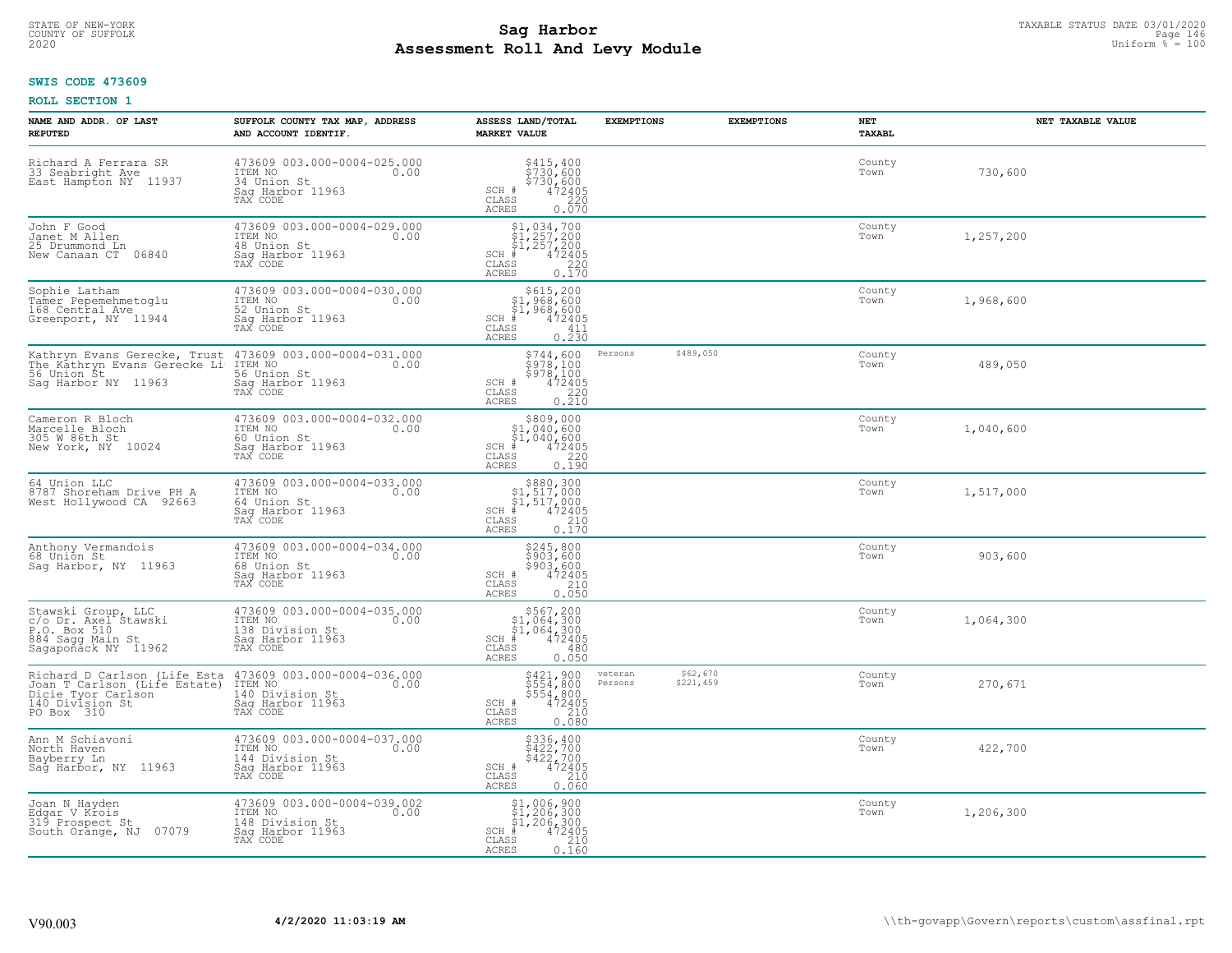# STATE OF NEW-YORK TAXABLE STATUS DATE 03/01/2020<br>COUNTY OF SUFFOLK Page 146 **Assessment Roll And Levy Module Example 2020** Uniform  $\frac{1}{8}$  = 100

### **SWIS CODE 473609**

| NAME AND ADDR. OF LAST<br><b>REPUTED</b>                                                                                                                                                                        | SUFFOLK COUNTY TAX MAP, ADDRESS<br>AND ACCOUNT IDENTIF.                                            | ASSESS LAND/TOTAL<br><b>MARKET VALUE</b>                                                                                                                    | <b>EXEMPTIONS</b>  | <b>EXEMPTIONS</b>     | NET<br>TAXABL  | NET TAXABLE VALUE |
|-----------------------------------------------------------------------------------------------------------------------------------------------------------------------------------------------------------------|----------------------------------------------------------------------------------------------------|-------------------------------------------------------------------------------------------------------------------------------------------------------------|--------------------|-----------------------|----------------|-------------------|
| Richard A Ferrara SR<br>33 Seabright Ave<br>East Hampton NY 11937                                                                                                                                               | 473609 003.000-0004-025.000<br>ITEM NO<br>0.00<br>34 Union St<br>Saq Harbor 11963<br>TAX CODE      | \$415,400<br>\$730,600<br>$$730,600$<br>472405<br>220<br>SCH #<br>$\mathtt{CLASS}$<br>ACRES<br>0.070                                                        |                    |                       | County<br>Town | 730,600           |
| John F Good<br>Janet M Allen<br>25 Drummond Ln<br>New Canaan CT 06840                                                                                                                                           | 473609 003.000-0004-029.000<br>ITEM NO<br>0.00<br>48 Union St<br>Sag Harbor 11963<br>TAX CODE      | $$1,034,700$<br>$$1,257,200$<br>$$1,257,200$<br>$$472405$<br>$SCH$ #<br>CLASS<br>$\frac{220}{0.170}$<br>ACRES                                               |                    |                       | County<br>Town | 1,257,200         |
| Sophie_Latham<br>Tamer Pepemehmetoglu<br>168 Central Ave<br>Greenport, NY 11944                                                                                                                                 | 473609 003.000-0004-030.000<br>ITEM NO<br>0.00<br>52 Union St<br>Sag Harbor 11963<br>TAX CODE      | $$615, 200$ $$1, 968, 600$ $$1, 968, 600$ $$472405$<br>$SCH$ #<br>CLASS<br>411<br>0.230<br><b>ACRES</b>                                                     |                    |                       | County<br>Town | 1,968,600         |
| Kathryn Evans Gerecke, Trust 473609 003.000-0004-031.000<br>The Kathryn Evans Gerecke Li ITEM NO<br>56 Union St<br>Sag Harbor NY 11963                                                                          | 0.00<br>56 Union St<br>Saq Harbor 11963<br>TAX CODE                                                | \$744,600<br>$\frac{5978,100}{978,100}$<br>\$978,100<br>472405<br>$\frac{220}{2}$<br>SCH #<br>$\mathtt{CLASS}$<br>0.210<br><b>ACRES</b>                     | Persons            | \$489,050             | County<br>Town | 489,050           |
| Cameron R Bloch<br>Marcelle Bloch<br>305 W 86th St<br>New York, NY 10024                                                                                                                                        | 473609 003.000-0004-032.000<br>ITEM NO 0.00<br>0.00<br>60 Union St<br>Sag Harbor 11963<br>TAX CODE | $\begin{array}{c} 5809,000 \\ \text{S1},040,600 \\ \text{SCH} + 1,040,600 \\ \text{SCH} + 472405 \\ \text{CLASS} - 220 \\ \text{ACRES} - 0.190 \end{array}$ |                    |                       | County<br>Town | 1,040,600         |
| 64 Union LLC<br>8787 Shoreham Drive PH A<br>West Hollywood CA 92663                                                                                                                                             | 473609 003.000-0004-033.000<br>ITEM NO<br>0.00<br>64 Union St<br>Sag Harbor 11963<br>TAX CODE      | $$880,300$<br>$$1,517,000$<br>$$1,517,000$<br>$472405$<br>$$210$<br>$SCH$ #<br>CLASS<br>0.170<br><b>ACRES</b>                                               |                    |                       | County<br>Town | 1,517,000         |
| Anthony Vermandois<br>68 Union St<br>Sag Harbor, NY 11963                                                                                                                                                       | 473609 003.000-0004-034.000<br>ITEM NO 0.00<br>68 Union St<br>Sag Harbor 11963<br>TAX CODE         | \$245,800<br>\$903,600<br>\$903,600<br>SCH #<br>472405<br>CLASS<br>210<br>0.050<br><b>ACRES</b>                                                             |                    |                       | County<br>Town | 903,600           |
| Stawski Group, LLC<br>c/o Dr. Axel Stawski<br>P.O. Box 510<br>884 Sagg Main St<br>Sagaponack NY 11962                                                                                                           | 473609 003.000-0004-035.000<br>ITEM NO 0.00<br>138 Division St<br>Sag Harbor 11963<br>TAX CODE     | $$567,200\n$1,064,300\n$1,064,300\n# 472405\n 480\n 480$<br>$SCH$ #<br>CLASS<br><b>ACRES</b><br>0.050                                                       |                    |                       | County<br>Town | 1,064,300         |
| Richard D Carlson (Life Esta 473609 003.000 003.000 T Carlson (Life Estate) ITEM NO.<br>Joan T Carlson (Life Estate) ITEM Novision St<br>Dicie Tyor Carlson 140 Division St<br>140 Division St Sag Harbor 11963 | 473609 003.000-0004-036.000<br>0.00                                                                | \$421,900<br>\$554,800<br>\$554,800<br>472405<br>SCH #<br>$\mathtt{CLASS}$<br>0.080<br>ACRES                                                                | veteran<br>Persons | \$62,670<br>\$221,459 | County<br>Town | 270,671           |
| Ann M Schiavoni<br>North Haven<br>Bayberry Ln<br>Sag Harbor, NY 11963                                                                                                                                           | 473609 003.000-0004-037.000<br>ITEM NO 0.00<br>144 Division St<br>Sag Harbor 11963<br>TAX CODE     | \$336,400<br>\$422,700<br>\$422,700<br>472405<br>SCH #<br>CLASS<br>210<br>0.060<br>ACRES                                                                    |                    |                       | County<br>Town | 422,700           |
| Joan N Hayden<br>Edgar V Krois<br>319 Prospect St<br>South Orange, NJ 07079                                                                                                                                     | 473609 003.000-0004-039.002<br>ITEM NO<br>0.00<br>148 Division St<br>Sag Harbor 11963<br>TAX CODE  | $$1,006,900$<br>$$1,206,300$<br>$$1,206,300$<br>$$1,206,300$<br>$472405$<br>$SCH$ #<br>CLASS<br>210<br>0.160<br>ACRES                                       |                    |                       | County<br>Town | 1,206,300         |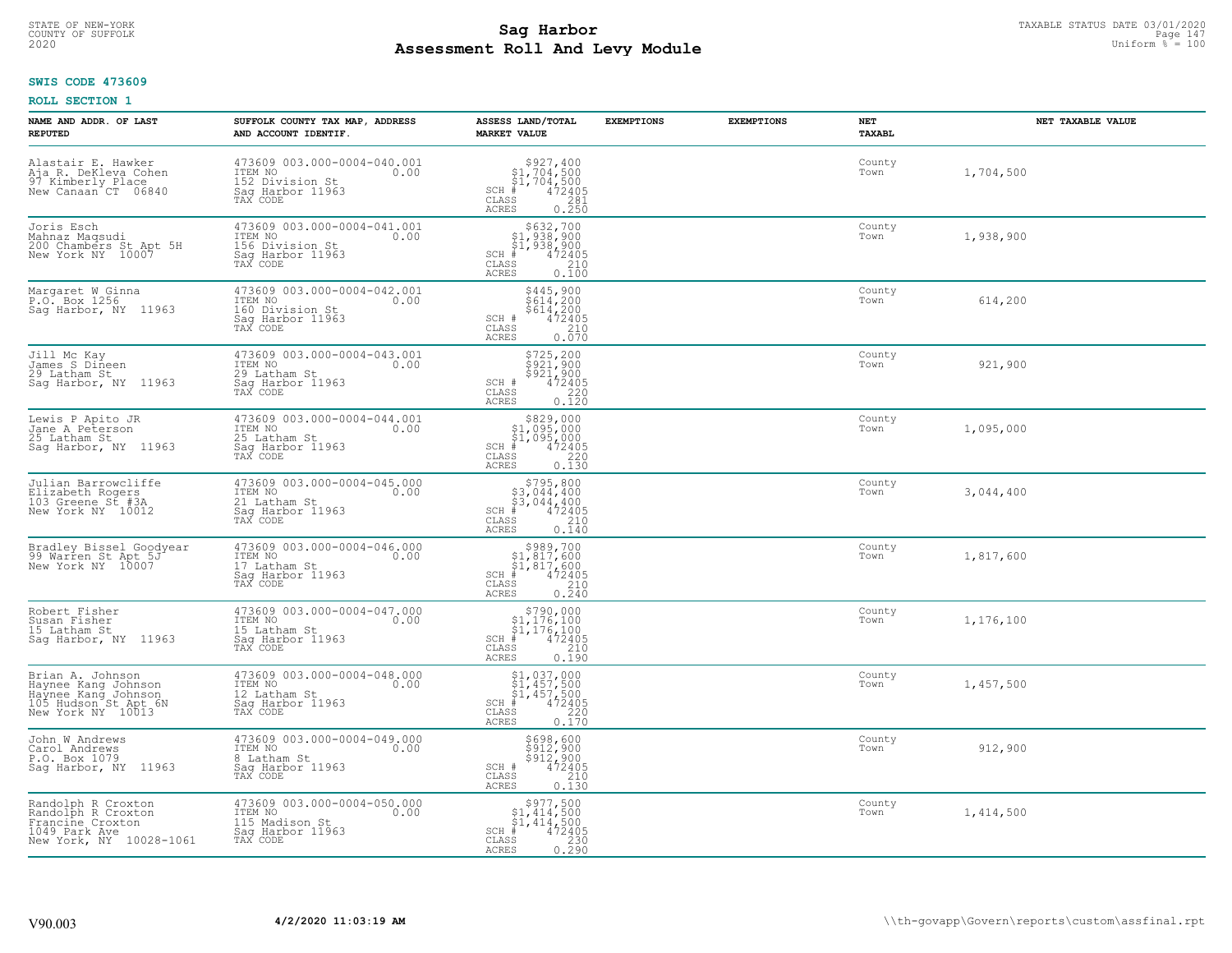# STATE OF NEW-YORK TAXABLE STATUS DATE 03/01/2020<br>COUNTY OF SUFFOLK Page 147 **Assessment Roll And Levy Module Example 2020** Uniform  $\frac{1}{8}$  = 100

### **SWIS CODE 473609**

| NAME AND ADDR. OF LAST<br><b>REPUTED</b>                                                                    | SUFFOLK COUNTY TAX MAP, ADDRESS<br>AND ACCOUNT IDENTIF.                                           | ASSESS LAND/TOTAL<br><b>MARKET VALUE</b>                                                                                                                                                              | <b>EXEMPTIONS</b> | <b>EXEMPTIONS</b> | NET<br>TAXABL  | NET TAXABLE VALUE |
|-------------------------------------------------------------------------------------------------------------|---------------------------------------------------------------------------------------------------|-------------------------------------------------------------------------------------------------------------------------------------------------------------------------------------------------------|-------------------|-------------------|----------------|-------------------|
| Alastair E. Hawker<br>Aja R. DeKleva Cohen<br>97 Kimberly Place<br>New Canaan CT 06840                      | 473609 003.000-0004-040.001<br>ITEM NO<br>0.00<br>152 Division St<br>Sag Harbor 11963<br>TAX CODE | \$927,400<br>$$1,704,500$<br>$$1,704,500$<br>$472405$<br>SCH #<br>CLASS<br>281<br><b>ACRES</b><br>0.250                                                                                               |                   |                   | County<br>Town | 1,704,500         |
| Joris Esch<br>Mahnaz Maqsudi<br>200 Chambers St Apt 5H<br>New York NY 10007                                 | 473609 003.000-0004-041.001<br>ITEM NO<br>0.00<br>156 Division St<br>Sag Harbor 11963<br>TAX CODE | $\begin{array}{r}  \  \  \, 5632,700 \\  \  \, 51,938,900 \\  \  \, 51,938,900 \\  \  \  \, 472405 \\  \  \, 85 \\  \  \  \, 210 \\  \  \, 25 \\  \  \, 0.100 \end{array}$<br>SCH #<br>CLASS<br>ACRES |                   |                   | County<br>Town | 1,938,900         |
| Margaret W Ginna<br>P.O. Box 1256<br>Sag Harbor, NY 11963                                                   | 473609 003.000-0004-042.001<br>ITEM NO<br>0.00<br>160 Division St<br>Sag Harbor 11963<br>TAX CODE | \$445,900<br>$$614,200$<br>$$614,200$<br>SCH #<br>472405<br>210<br>CLASS<br>0.070<br>ACRES                                                                                                            |                   |                   | County<br>Town | 614,200           |
| Jill Mc Kay<br>James S Dineen<br>29 Latham St<br>Sag Harbor, NY 11963                                       | 473609 003.000-0004-043.001<br>ITEM NO<br>0.00<br>29 Latham St<br>Saq Harbor 11963<br>TAX CODE    | \$725,200<br>\$921,900<br>\$921,900<br>\$92405<br>0.120<br>0.120<br>SCH #<br>$\mathtt{CLASS}$<br>ACRES                                                                                                |                   |                   | County<br>Town | 921,900           |
| Lewis P Apito JR<br>Jane A Peterson<br>25 Latham St<br>Sag Harbor, NY 11963                                 | 473609 003.000-0004-044.001<br>ITEM NO<br>0.00<br>25 Latham St<br>Sag Harbor 11963<br>TAX CODE    | \$829,000<br>\$1,095,000<br>\$1,095,000<br>#472405<br>$SCH$ #<br>$\mathtt{CLASS}$<br>220<br><b>ACRES</b><br>0.130                                                                                     |                   |                   | County<br>Town | 1,095,000         |
| Julian Barrowcliffe<br>Elizabeth Rogers<br>103 Greene St #3A<br>New York NY 10012                           | 473609 003.000-0004-045.000<br>ITEM NO<br>0.00<br>21 Latham St<br>Sag Harbor 11963<br>TAX CODE    | $$795,800$<br>$$3,044,400$<br>$$3,044,400$<br>$$472405$<br>$SCH$ #<br>CLASS<br>210<br><b>ACRES</b><br>0.140                                                                                           |                   |                   | County<br>Town | 3,044,400         |
| Bradley Bissel Goodyear<br>99 Warren St Apt 5J<br>New York NY 10007                                         | 473609 003.000-0004-046.000<br>ITEM NO<br>0.00<br>17 Latham St<br>Sag Harbor 11963<br>TAX CODE    | $$389,700$<br>$$1,817,600$<br>$$1,817,600$<br>$*1$<br>$472405$<br>$SCH$ #<br>CLASS<br>210<br>0.240<br><b>ACRES</b>                                                                                    |                   |                   | County<br>Town | 1,817,600         |
| Robert Fisher<br>Susan Fisher<br>15 Latham St<br>Sag Harbor, NY 11963                                       | 473609 003.000-0004-047.000<br>TTEM NO 0.00<br>15 Latham St<br>Saq Harbor 11963<br>TAX CODE       | $\begin{array}{c} $790,000$ \\ $1,176,100$ \\ $1,176,100$ \\ \ast \end{array}$<br>$SCH$ #<br>CLASS<br>210<br><b>ACRES</b><br>0.190                                                                    |                   |                   | County<br>Town | 1,176,100         |
| Brian A. Johnson<br>Haynee Kang Johnson<br>Haynee Kang Johnson<br>105 Hudson St Apt 6N<br>New York NY 10013 | 473609 003.000-0004-048.000<br>TTEM NO 0.00<br>12 Latham St<br>Saq Harbor 11963<br>TAX CODE       | $$1,037,000$<br>$$1,457,500$<br>$$1,457,500$<br>$472405$<br>$35$<br>$220$<br>$SCH$ #<br>CLASS<br><b>ACRES</b><br>0.170                                                                                |                   |                   | County<br>Town | 1,457,500         |
| John W Andrews<br>Carol Andrews<br>P.O. Box 1079<br>Sag Harbor, NY 11963                                    | 473609 003.000-0004-049.000<br>ITEM NO<br>0.00<br>8 Latham St<br>Sag Harbor 11963<br>TAX CODE     | \$698,600<br>\$912,900<br>\$912,900<br>472405<br>SCH #<br>CLASS<br>210<br>ACRES<br>0.130                                                                                                              |                   |                   | County<br>Town | 912,900           |
| Randolph R Croxton<br>Randolph R Croxton<br>Francine Croxton<br>1049 Park Ave<br>New York, NY 10028-1061    | 473609 003.000-0004-050.000<br>ITEM NO<br>0.00<br>115 Madison St<br>Sag Harbor 11963<br>TAX CODE  | $\begin{array}{c} $977,500 \\ $1,414,500 \\ $1,414,500 \end{array}$<br>$472405$<br>$230$<br>0.290<br>$SCH$ #<br>$\mathtt{CLASS}$<br><b>ACRES</b>                                                      |                   |                   | County<br>Town | 1,414,500         |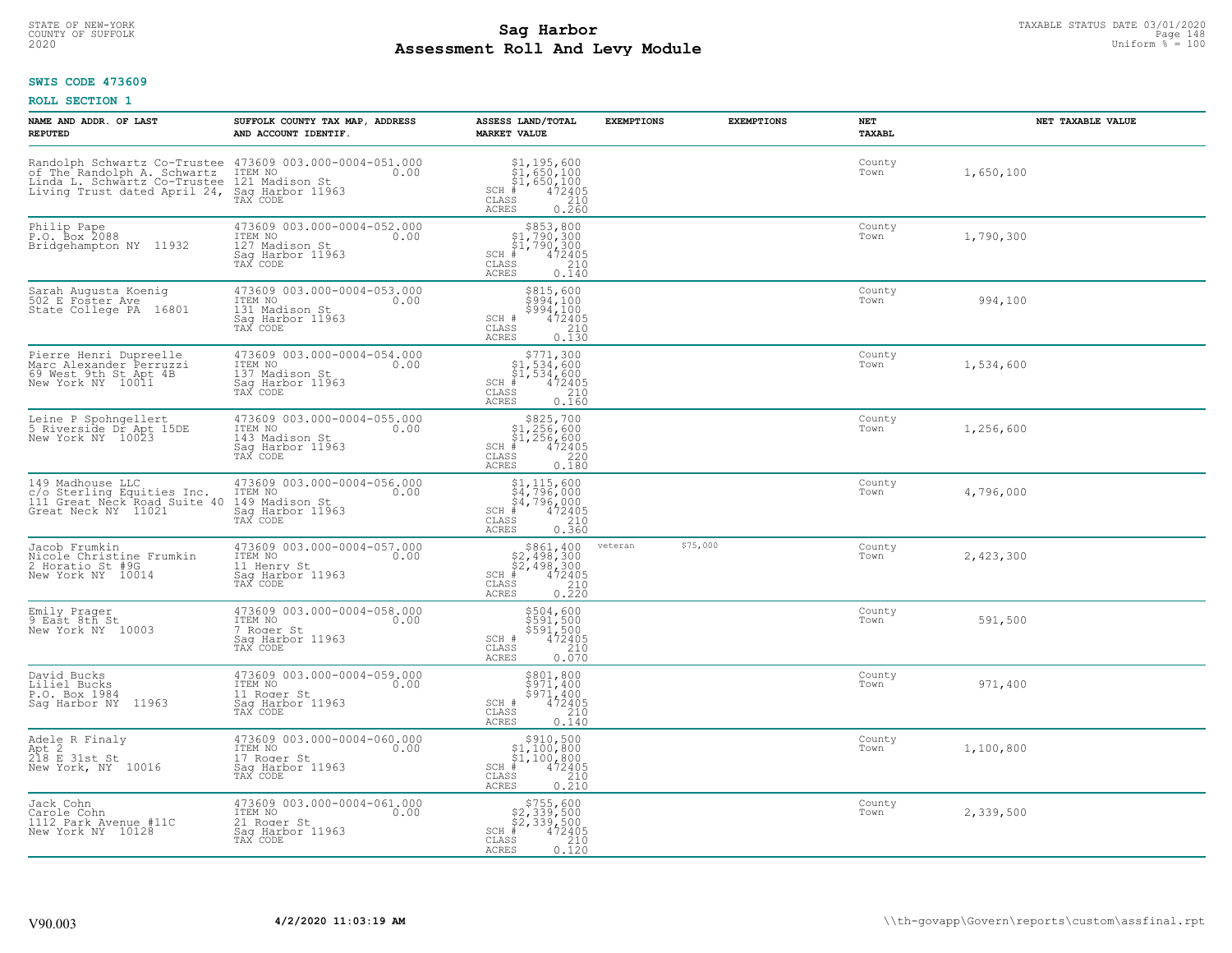# STATE OF NEW-YORK TAXABLE STATUS DATE 03/01/2020<br>Page 148 جمع المستخدم المستخدم المستخدم المستخدم المستخدم المستخدم المستخدم المستخدم المستخدم المستخدم المستخدم المستخدم المستخدم المستخدم المستخدم المستخدم المستخدم المستخد **Assessment Roll And Levy Module Example 2020** Uniform  $\frac{1}{8}$  = 100

### **SWIS CODE 473609**

| NAME AND ADDR. OF LAST<br><b>REPUTED</b>                                                                                                                                                      | SUFFOLK COUNTY TAX MAP, ADDRESS<br>AND ACCOUNT IDENTIF.                                          | ASSESS LAND/TOTAL<br><b>MARKET VALUE</b>                                                                                           | <b>EXEMPTIONS</b> | <b>EXEMPTIONS</b> | <b>NET</b><br>TAXABL | NET TAXABLE VALUE |
|-----------------------------------------------------------------------------------------------------------------------------------------------------------------------------------------------|--------------------------------------------------------------------------------------------------|------------------------------------------------------------------------------------------------------------------------------------|-------------------|-------------------|----------------------|-------------------|
| Randolph Schwartz Co-Trustee 473609 003.000-0004-051.000<br>of The Randolph A. Schwartz ITEM NO<br>Linda L. Schwartz Co-Trustee 121 Madison St<br>Living Trust dated April 24, Say Horr 11963 | 121 Madison St<br>Sag Harbor 11963<br>TAX CODE                                                   | $$1,195,600$<br>$$1,650,100$<br>$$1,650,100$<br>$472405$<br>$$210$<br>$SCH$ #<br>CLASS<br><b>ACRES</b><br>0.260                    |                   |                   | County<br>Town       | 1,650,100         |
| Philip Pape<br>P.O. Box 2088<br>Bridgehampton NY 11932                                                                                                                                        | 473609 003.000-0004-052.000<br>ITEM NO<br>0.00<br>127 Madison St<br>Sag Harbor 11963<br>TAX CODE | \$853,800<br>\$1,790,300<br>\$1,790,300<br>$SCH$ #<br>472405<br>CLASS<br>$\frac{210}{0.140}$<br>ACRES                              |                   |                   | County<br>Town       | 1,790,300         |
| Sarah Augusta Koenig<br>502 E Foster Ave<br>State College PA 16801                                                                                                                            | 473609 003.000-0004-053.000<br>ITEM NO<br>0.00<br>131 Madison St<br>Sag Harbor 11963<br>TAX CODE | \$815,600<br>$$994,100$<br>$$994,100$<br>SCH #<br>472405<br>CLASS<br>210<br>0.130<br>ACRES                                         |                   |                   | County<br>Town       | 994,100           |
| Pierre Henri Dupreelle<br>Marc Alexander Perruzzi<br>69 West 9th St Apt 4B<br>New York NY 10011                                                                                               | 473609 003.000-0004-054.000<br>ITEM NO<br>0.00<br>137 Madison St<br>Saq Harbor 11963<br>TAX CODE | SCH #<br>CLASS<br><b>ACRES</b><br>0.160                                                                                            |                   |                   | County<br>Town       | 1,534,600         |
| Leine P Spohngellert<br>5 Riverside Dr Apt 15DE<br>New York NY 10023                                                                                                                          | 473609 003.000-0004-055.000<br>ITEM NO<br>0.00<br>143 Madison St<br>Sag Harbor 11963<br>TAX CODE | $$825,700$<br>$$1,256,600$<br>$$1,256,600$<br>$472405$<br>$35$<br>$220$<br>$SCH$ #<br>CLASS<br>0.180<br>ACRES                      |                   |                   | County<br>Town       | 1,256,600         |
| 149 Madhouse LLC<br>17 Manward Houting Equities Inc.<br>111 Great Neck Road Suite 40<br>Great Neck NY 11021                                                                                   | 473609 003.000-0004-056.000<br>ITEM NO<br>0.00<br>149 Madison St<br>Sag Harbor 11963<br>TAX CODE | $$1, 115, 600$<br>$$4, 796, 000$<br>$$4, 796, 000$<br>$$4, 796, 000$<br>$$4, 72405$<br>$SCH$ $#$<br>CLASS<br>210<br>0.360<br>ACRES |                   |                   | County<br>Town       | 4,796,000         |
| Jacob Frumkin<br>Nicole Christine Frumkin<br>2 Horatio St #9G<br>New York NY 10014                                                                                                            | 473609 003.000-0004-057.000<br>ITEM NO<br>0.00<br>11 Henry St<br>Sag Harbor 11963<br>TAX CODE    | $$861, 400$<br>$$2, 498, 300$<br>$$2, 498, 300$<br>$$472405$<br>$SCH$ #<br>CLASS<br>210<br>0.220<br>ACRES                          | veteran           | \$75,000          | County<br>Town       | 2,423,300         |
| Emily Prager<br>9 East 8th St<br>New York NY 10003                                                                                                                                            | 473609 003.000-0004-058.000<br>10.00 0.00<br>7 Roger St<br>Saq Harbor 11963<br>TAX CODE          | \$504,600<br>\$591,500<br>\$591,500<br>472405<br>SCH #<br>$\mathtt{CLASS}$<br>210<br><b>ACRES</b><br>0.070                         |                   |                   | County<br>Town       | 591,500           |
| David Bucks<br>Liliel Bucks<br>P.O. Box 1984<br>11963<br>Saq Harbor NY                                                                                                                        | 473609 003.000-0004-059.000<br>ITEM NO<br>0.00<br>11 Roger St<br>Saq Harbor 11963<br>TAX CODE    | \$801,800<br>\$971,400<br>\$971,400<br>SCH #<br>472405<br>210<br>CLASS<br><b>ACRES</b><br>0.140                                    |                   |                   | County<br>Town       | 971,400           |
| Adele R Finaly<br>Apt 2<br>218 E 31st St<br>New York, NY 10016                                                                                                                                | 473609 003.000-0004-060.000<br>ITEM NO<br>0.00<br>17 Roger St<br>Sag Harbor 11963<br>TAX CODE    | \$910,500<br>\$1,100,800<br>\$1,100,800<br>472405<br>$SCH$ #<br>CLASS<br>210<br>0.210<br><b>ACRES</b>                              |                   |                   | County<br>Town       | 1,100,800         |
| Jack Cohn<br>Carole Cohn<br>1112 Park Avenue #11C<br>New York NY 10128                                                                                                                        | 473609 003.000-0004-061.000<br>ITEM NO<br>0.00<br>21 Roger St<br>Sag Harbor 11963<br>TAX CODE    | \$755,600<br>\$2,339,500<br>\$2,339,500<br>$SCH$ #<br>472405<br>CLASS<br>210<br>0.120<br>ACRES                                     |                   |                   | County<br>Town       | 2,339,500         |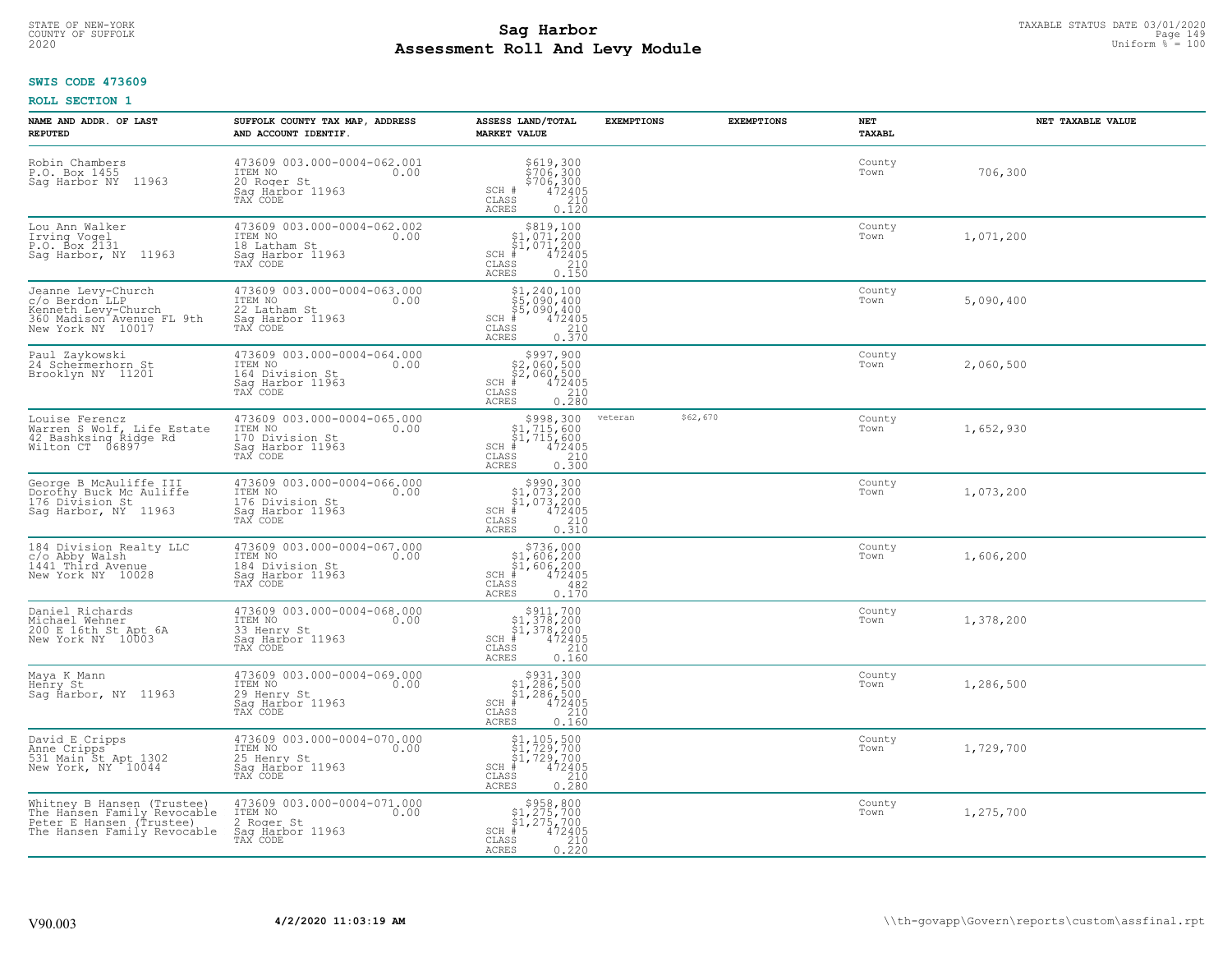# STATE OF NEW-YORK TAXABLE STATUS DATE 03/01/2020<br>COUNTY OF SUFFOLK Page 149 Page 149 **Assessment Roll And Levy Module Example 2020** Uniform  $\frac{1}{8}$  = 100

### **SWIS CODE 473609**

| NAME AND ADDR. OF LAST<br><b>REPUTED</b>                                                                             | SUFFOLK COUNTY TAX MAP, ADDRESS<br>AND ACCOUNT IDENTIF.                                           | ASSESS LAND/TOTAL<br><b>MARKET VALUE</b>                                                                                                                                                                                                                                                                                    | <b>EXEMPTIONS</b> | <b>EXEMPTIONS</b> | NET<br><b>TAXABL</b> | NET TAXABLE VALUE |
|----------------------------------------------------------------------------------------------------------------------|---------------------------------------------------------------------------------------------------|-----------------------------------------------------------------------------------------------------------------------------------------------------------------------------------------------------------------------------------------------------------------------------------------------------------------------------|-------------------|-------------------|----------------------|-------------------|
| Robin Chambers<br>P.O. Box 1455<br>Saq Harbor NY<br>11963                                                            | 473609 003.000-0004-062.001<br>ITEM NO<br>0.00<br>20 Roger St<br>Saq Harbor 11963<br>TAX CODE     | \$619,300<br>\$706,300<br>\$706,300<br>\$72405<br>\$710<br>SCH #<br>CLASS<br><b>ACRES</b><br>0.120                                                                                                                                                                                                                          |                   |                   | County<br>Town       | 706,300           |
| Lou Ann Walker<br>Irving Vogel<br>P.O. Box 2131<br>Saq Harbor, NY 11963                                              | 473609 003.000-0004-062.002<br>ITEM NO<br>0.00<br>18 Latham St<br>Sag Harbor 11963<br>TAX CODE    | $\begin{array}{c} $819,100 \\ $1,071,200 \\ $1,071,200 \end{array}$<br>$SCH$ #<br>472405<br>CLASS<br>$\frac{210}{0.150}$<br><b>ACRES</b>                                                                                                                                                                                    |                   |                   | County<br>Town       | 1,071,200         |
| Jeanne Levy-Church<br>c/o Berdon LLP<br>Kenneth Levy-Church<br>360 Madison Avenue FL 9th<br>New York NY 10017        | 473609 003.000-0004-063.000<br>ITEM NO<br>0.00<br>22 Latham St<br>Saq Harbor 11963<br>TAX CODE    | $$1, 240, 100$<br>$$5, 090, 400$<br>$$5, 090, 400$<br>$$4, 472405$<br>$SCH$ #<br>CLASS<br>$\begin{bmatrix} 210 \\ 0.370 \end{bmatrix}$<br>ACRES                                                                                                                                                                             |                   |                   | County<br>Town       | 5,090,400         |
| Paul Zaykowski<br>24 Schermerhorn St<br>Brooklyn NY 11201                                                            | 473609 003.000-0004-064.000<br>ITEM NO<br>0.00<br>164 Division St<br>Saq Harbor 11963<br>TAX CODE | $$997,900$<br>$$2,060,500$<br>$$2,060,500$<br>$*$ 472405<br>$SCH$ #<br>$\mathtt{CLASS}$<br>210<br>$0, \overline{280}$<br><b>ACRES</b>                                                                                                                                                                                       |                   |                   | County<br>Town       | 2,060,500         |
| Louise Ferencz<br>Narren S Wolf, Life Estate<br>42 Bashksing Ridge Rd<br>Wilton CT 06897                             | 473609 003.000-0004-065.000<br>ITEM NO<br>0.00<br>170 Division St<br>Sag Harbor 11963<br>TAX CODE | $\begin{array}{r} \texttt{\$998,300}\ \\ \texttt{\$1,715,600}\ \\ \texttt{\$1,715,600}\ \\ \texttt{\$1,715,600}\ \\ \texttt{\$1,715,600}\ \\ \texttt{\$1,2405}\ \\ \texttt{\$10}\ \\ \texttt{\$10}\ \\ \texttt{\$10}\ \\ \texttt{\$210}\ \\ \texttt{\$10}\ \\ \texttt{\$23}\end{array}$<br>$SCH$ #<br>CLASS<br><b>ACRES</b> | veteran           | \$62,670          | County<br>Town       | 1,652,930         |
| George B McAuliffe III<br>Dorothy Buck Mc Auliffe<br>176 Division St<br>Sag Harbor, NY 11963                         | 473609 003.000-0004-066.000<br>ITEM NO<br>0.00<br>176 Division St<br>Sag Harbor 11963<br>TAX CODE | $$990, 300$<br>$$1, 073, 200$<br>$$1, 073, 200$<br>$$472405$<br>$SCH$ #<br>CLASS<br>210<br>0.310<br><b>ACRES</b>                                                                                                                                                                                                            |                   |                   | County<br>Town       | 1,073,200         |
| 184 Division Realty LLC<br>c/o Abby Walsh<br>1441 Third Avenue<br>New York NY 10028                                  | 473609 003.000-0004-067.000<br>ITEM NO<br>0.00<br>184 Division St<br>Sag Harbor 11963<br>TAX CODE | $$736,000$<br>$$1,606,200$<br>$$1,606,200$<br>$$472405$<br>$SCH$ #<br>CLASS<br>482<br>0.170<br><b>ACRES</b>                                                                                                                                                                                                                 |                   |                   | County<br>Town       | 1,606,200         |
| Daniel Richards<br>Michael Wehner<br>200 E 16th.St Apt 6A<br>New York NY 10003                                       | 473609 003.000-0004-068.000<br>0.00 0.00<br>33 Henry St<br>Saq Harbor 11963<br>TAX CODE           | $\begin{array}{c} $911,700\n$1,378,200\n$1,378,200\n# 472405\n\end{array}$<br>$SCH$ #<br>CLASS<br>210<br><b>ACRES</b><br>0.160                                                                                                                                                                                              |                   |                   | County<br>Town       | 1,378,200         |
| Maya K Mann<br>Henry St<br>Sag Harbor, NY 11963                                                                      | 473609 003.000-0004-069.000<br>ITEM NO<br>0.00<br>29 Henry St<br>Saq Harbor 11963<br>TAX CODE     | $$931,300$<br>$$1,286,500$<br>$$1,286,500$<br>$472405$<br>$$240$<br>SCH #<br>CLASS<br><b>ACRES</b><br>0.160                                                                                                                                                                                                                 |                   |                   | County<br>Town       | 1,286,500         |
| David E Cripps<br>Anne Cripps<br>531 Main St Apt 1302<br>New York, NY 10044                                          | 473609 003.000-0004-070.000<br>ITEM NO<br>0.00<br>25 Henry St<br>Sag Harbor 11963<br>TAX CODE     | $$1, 105, 500$<br>$$1, 729, 700$<br>$$1, 729, 700$<br>$*$ 472405<br>$SCH$ #<br>210<br>CLASS<br><b>ACRES</b><br>0.280                                                                                                                                                                                                        |                   |                   | County<br>Town       | 1,729,700         |
| Whitney B Hansen (Trustee)<br>The Hansen Family Revocable<br>Peter E Hansen (Trustee)<br>The Hansen Family Revocable | 473609 003.000-0004-071.000<br>ITEM NO<br>0.00<br>2 Roger St<br>Sag Harbor 11963<br>TAX CODE      | $$958, 800$<br>$$1, 275, 700$<br>$$1, 275, 700$<br>$SCH$ #<br>472405<br>CLASS<br>$\frac{210}{0.220}$<br><b>ACRES</b>                                                                                                                                                                                                        |                   |                   | County<br>Town       | 1,275,700         |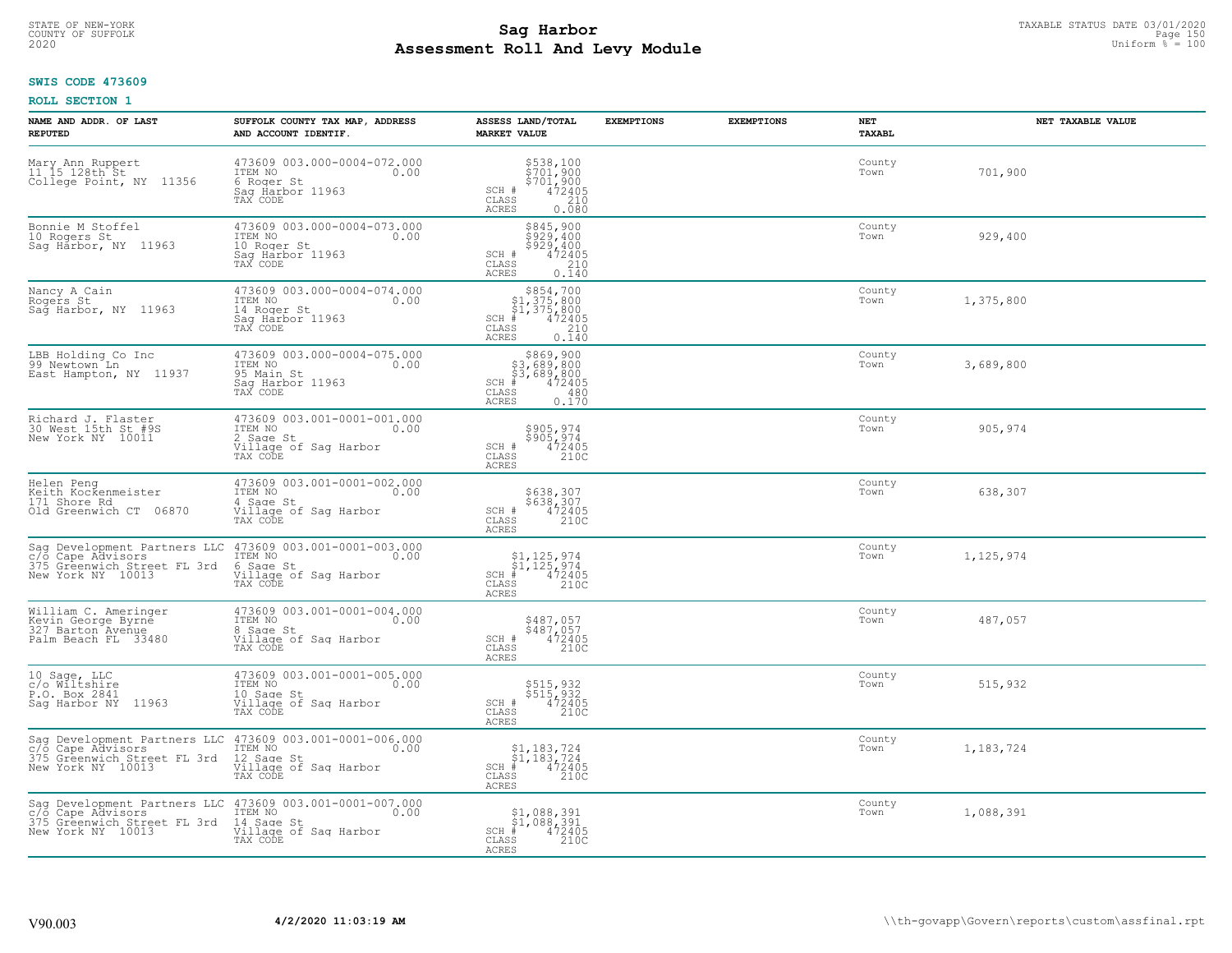# TAXABLE STATUS DATE 03/01/2020<br>COUNTY OF SUFFOLK Page 150 Page 150 **Assessment Roll And Levy Module Example 2020** Uniform  $\frac{1}{8}$  = 100

#### **SWIS CODE 473609**

| NAME AND ADDR. OF LAST<br><b>REPUTED</b>                                                              | SUFFOLK COUNTY TAX MAP, ADDRESS<br>AND ACCOUNT IDENTIF.                                           | ASSESS LAND/TOTAL<br><b>MARKET VALUE</b>                                                                  | <b>EXEMPTIONS</b> | <b>EXEMPTIONS</b> | NET<br><b>TAXABL</b> | NET TAXABLE VALUE |
|-------------------------------------------------------------------------------------------------------|---------------------------------------------------------------------------------------------------|-----------------------------------------------------------------------------------------------------------|-------------------|-------------------|----------------------|-------------------|
| Mary Ann Ruppert<br>11.15 128th St<br>College Point, NY 11356                                         | 473609 003.000-0004-072.000<br>ITEM NO<br>0.00<br>6 Roger St<br>Saq Harbor 11963<br>TAX CODE      | \$538,100<br>\$701,900<br>\$701,900<br>\$72405<br>\$210<br>SCH #<br>CLASS<br>ACRES<br>0.080               |                   |                   | County<br>Town       | 701,900           |
| Bonnie M Stoffel<br>10 Rogers St<br>Saq Harbor, NY 11963                                              | 473609 003.000-0004-073.000<br>ITEM NO<br>0.00<br>10 Roger St<br>Sag Harbor 11963<br>TAX CODE     | \$845,900<br>\$929,400<br>\$929,400<br>SCH #<br>472405<br>210<br>CLASS<br><b>ACRES</b><br>0.140           |                   |                   | County<br>Town       | 929,400           |
| Nancy A Cain<br>Rogers St<br>Sag Harbor, NY 11963                                                     | 473609 003.000-0004-074.000<br>ITEM NO<br>0.00<br>14 Roger St<br>Saq Harbor 11963<br>TAX CODE     | $$854,700$<br>$$1,375,800$<br>$$1,375,800$<br>$$472405$<br>$SCH$ #<br>210<br>CLASS<br>0.140<br>ACRES      |                   |                   | County<br>Town       | 1,375,800         |
| LBB Holding Co Inc<br>99 Newtown Ln<br>East Hampton, NY 11937                                         | 473609 003.000-0004-075.000<br>ITEM NO<br>0.00<br>95 Main St<br>Saq Harbor 11963<br>TAX CODE      | $$869, 900$<br>$$3, 689, 800$<br>$$3, 689, 800$<br>$$472405$<br>$SCH$ #<br>CLASS<br>480<br>0.170<br>ACRES |                   |                   | County<br>Town       | 3,689,800         |
| Richard J. Flaster<br>30 West 15th St #9S<br>New York NY 10011                                        | 473609 003.001-0001-001.000<br>ITEM NO<br>0.00<br>2 Sage St<br>Village of Sag Harbor<br>TAX CODE  | \$905,974<br>$\begin{array}{r} 5905, 974 \\ 472405 \\ 210C \end{array}$<br>SCH #<br>CLASS<br><b>ACRES</b> |                   |                   | County<br>Town       | 905,974           |
| Helen Peng<br>Keith Kockenmeister<br>171 Shore Rd<br>Old Greenwich CT 06870                           | 473609 003.001-0001-002.000<br>ITEM NO<br>0.00<br>4 Sage St<br>Village of Sag Harbor<br>TAX CODE  | \$638,307<br>\$638,307<br>472405<br>210C<br>SCH #<br>CLASS<br>ACRES                                       |                   |                   | County<br>Town       | 638,307           |
| Sag Development Partners LLC<br>c/o Cape Advisors<br>375 Greenwich Street FL 3rd<br>New York NY 10013 | 473609 003.001-0001-003.000<br>ITEM NO<br>0.00<br>6 Sage St<br>Village of Sag Harbor<br>TAX CODE  | \$1,125,974<br>\$1,125,974<br># 472405<br>\$2 210C<br>$SCH$ #<br>CLASS<br><b>ACRES</b>                    |                   |                   | County<br>Town       | 1,125,974         |
| William C. Ameringer<br>Kevin George Byrne<br>327 Barton Avenue<br>Palm Beach FL 33480                | 473609 003.001-0001-004.000<br>ITEM NO<br>0.00<br>8 Sage St<br>Village of Saq Harbor<br>TAX CODE  | \$487,057<br>\$487,057<br>472405<br>210C<br>SCH #<br>CLASS<br>ACRES                                       |                   |                   | County<br>Town       | 487,057           |
| 10 Sage, LLC<br>c/o Wiltshire<br>P.O. Box 2841<br>Saq Harbor NY 11963                                 | 473609 003.001-0001-005.000<br>ITEM NO<br>0.00<br>10 Sage St<br>Village of Sag Harbor<br>TAX CODE | \$515,932<br>\$515,932<br>472405<br>210C<br>SCH #<br>CLASS<br><b>ACRES</b>                                |                   |                   | County<br>Town       | 515,932           |
| Sag Development Partners LLC<br>c/o Cape Advisors<br>375 Greenwich Street FL 3rd<br>New York NY 10013 | 473609 003.001-0001-006.000<br>ITEM NO<br>0.00<br>12 Sage St<br>Village of Sag Harbor<br>TAX CODE | $\begin{array}{l} $1,183,724 \ $1,183,724 \ $472405 \\\hline \end{array}$<br>$SCH$ #<br>CLASS<br>ACRES    |                   |                   | County<br>Town       | 1,183,724         |
| Sag Development Partners LLC<br>c/o Cape Advisors<br>375 Greenwich Street FL 3rd<br>New York NY 10013 | 473609 003.001-0001-007.000<br>ITEM NO<br>0.00<br>14 Sage St<br>Village of Sag Harbor<br>TAX CODE | \$1,088,391<br>\$1,088,391<br># 472405<br>\$ 210C<br>$SCH$ #<br>CLASS<br>ACRES                            |                   |                   | County<br>Town       | 1,088,391         |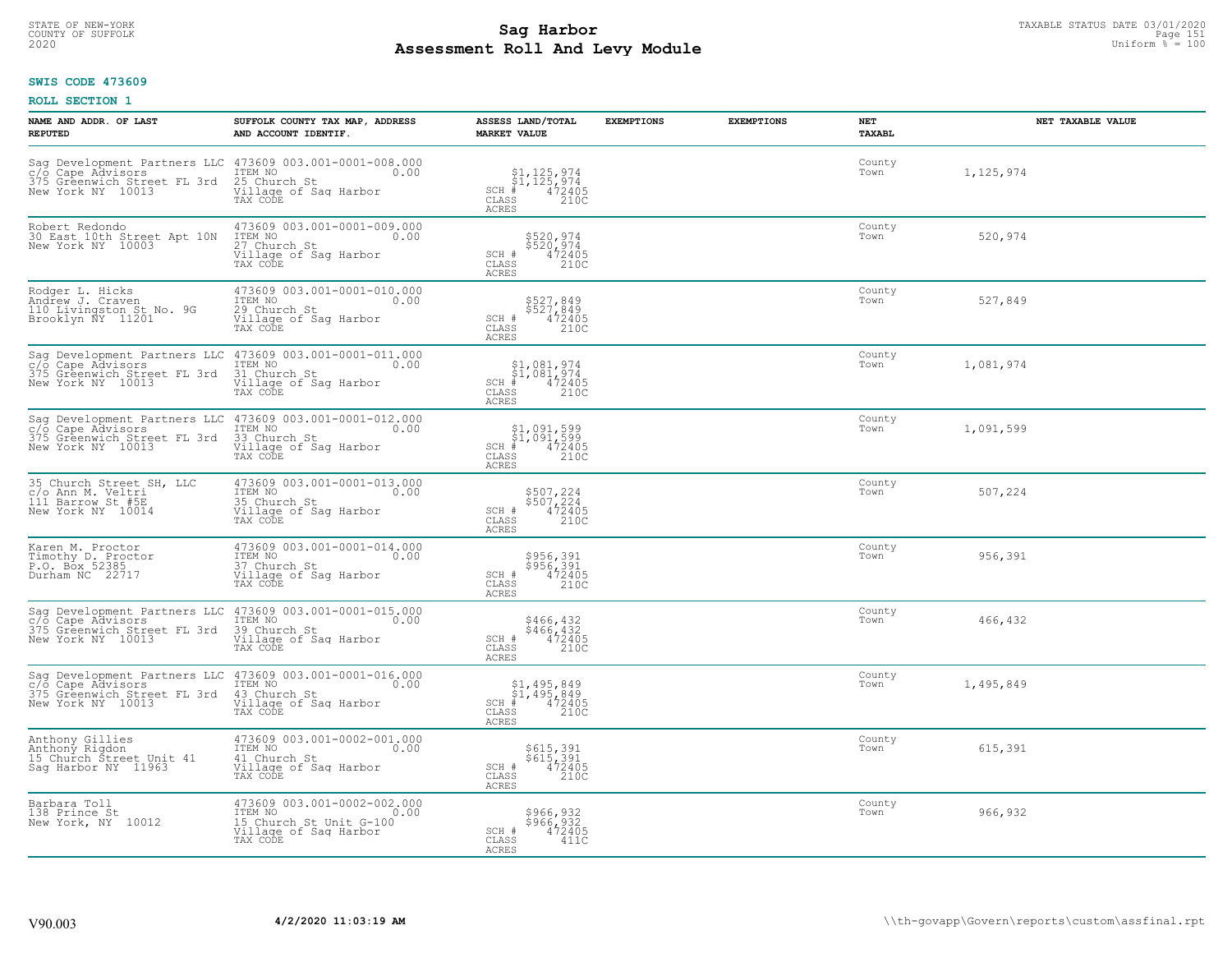# STATE OF NEW-YORK TAXABLE STATUS DATE 03/01/2020<br>COUNTY OF SUFFOLK Page 151 Page 151 **Assessment Roll And Levy Module Example 2020** Uniform  $\frac{1}{8}$  = 100

### **SWIS CODE 473609**

| NAME AND ADDR. OF LAST<br><b>REPUTED</b>                                                              | SUFFOLK COUNTY TAX MAP, ADDRESS<br>AND ACCOUNT IDENTIF.                                                                                        | ASSESS LAND/TOTAL<br><b>MARKET VALUE</b>                                                                                     | <b>EXEMPTIONS</b> | <b>EXEMPTIONS</b> | <b>NET</b><br><b>TAXABL</b> | NET TAXABLE VALUE |
|-------------------------------------------------------------------------------------------------------|------------------------------------------------------------------------------------------------------------------------------------------------|------------------------------------------------------------------------------------------------------------------------------|-------------------|-------------------|-----------------------------|-------------------|
| 375 Greenwich Street FL 3rd<br>New York NY 10013                                                      | Sag Development Partners LLC 473609 003.001-0001-008.000<br>C/o Cape Advisors TEM NO 1.00<br>25 Church St<br>Village of Sag Harbor<br>TAX CODE | $\begin{array}{c} $1,125,974 \ $1,125,974 \ \ast \ \ast \ \ast \ \ast \end{array}$<br>SCH #<br>CLASS<br>210C<br><b>ACRES</b> |                   |                   | County<br>Town              | 1,125,974         |
| Robert Redondo<br>30 East 10th Street Apt 10N<br>New York NY 10003                                    | 473609 003.001-0001-009.000<br>ITEM NO<br>0.00<br>27 Church St<br>Village of Sag Harbor<br>TAX CODE                                            | \$520,974<br>\$520,974<br>$\frac{472405}{2100}$<br>SCH #<br>$\mathtt{CLASS}$<br><b>ACRES</b>                                 |                   |                   | County<br>Town              | 520,974           |
| Rodger L. Hicks<br>Andrew J. Craven<br>110 Livingston St No. 9G<br>Brooklyn ÑY 11201                  | 473609 003.001-0001-010.000<br>ITEM NO<br>0.00<br>29 Church St<br>Village of Sag Harbor<br>TAX CODE                                            | \$527,849<br>\$527,849<br>SCH #<br>472405<br>210C<br>CLASS<br><b>ACRES</b>                                                   |                   |                   | County<br>Town              | 527,849           |
| Sag Development Partners LLC<br>c/o Cape Advisors<br>375 Greenwich Street FL 3rd<br>New York NY 10013 | 473609 003.001-0001-011.000<br>ITEM NO<br>0.00<br>31 Church St<br>Village of Sag Harbor<br>TAX CODE                                            | $$1,081,974$<br>$$1,081,974$<br>SCH #<br>$\frac{472405}{2100}$<br>CLASS<br>ACRES                                             |                   |                   | County<br>Town              | 1,081,974         |
| Sag Development Partners LLC<br>c/o Cape Advisors<br>375 Greenwich Street FL 3rd<br>New York NY 10013 | 473609 003.001-0001-012.000<br>TTEM NO 0.00<br>33 Church St<br>Village of Sag Harbor<br>TAX CODE                                               | $$1,091,599$<br>$$1,091,599$<br>$472405$<br>$SCH$ #<br>CLASS<br>210C<br><b>ACRES</b>                                         |                   |                   | County<br>Town              | 1,091,599         |
| 35 Church Street SH, LLC<br>c/o Ann M. Veltri<br>111 Barrow St #5E<br>New York NY 10014               | 473609 003.001-0001-013.000<br>ITEM NO<br>0.00<br>35 Church St<br>Village of Sag Harbor<br>TAX CODE                                            | \$507,224<br>\$507,224<br>472405<br>210C<br>SCH #<br>$\mathtt{CLASS}$<br>ACRES                                               |                   |                   | County<br>Town              | 507,224           |
| Karen M. Proctor<br>Timothy D. Proctor<br>P.O. Box 52385<br>Durham NC 22717                           | 473609 003.001-0001-014.000<br>ITEM NO<br>0.00<br>37 Church St<br>Village of Sag Harbor<br>TAX CODE                                            | \$956,391<br>\$956,391<br>472405<br>210C<br>SCH #<br>CLASS<br><b>ACRES</b>                                                   |                   |                   | County<br>Town              | 956,391           |
| Sag Development Partners LLC<br>c/o Cape Advisors<br>375 Greenwich Street FL 3rd<br>New York NY 10013 | 473609 003.001-0001-015.000<br>ITEM NO<br>0.00<br>39 Church St<br>Village of Saq Harbor<br>TAX CODE                                            | \$466,432<br>\$466,432<br>472405<br>210C<br>SCH #<br>CLASS<br><b>ACRES</b>                                                   |                   |                   | County<br>Town              | 466,432           |
| Sag Development Partners LLC<br>c/o Cape Advisors<br>375 Greenwich Street FL 3rd<br>New York NY 10013 | 473609 003.001-0001-016.000<br>ITEM NO 0.00<br>43 Church St<br>Village of Sag Harbor<br>TAX CODE                                               | $$1,495,849$<br>$$1,495,849$<br>$472405$<br>$210C$<br>$SCH$ #<br>CLASS<br><b>ACRES</b>                                       |                   |                   | County<br>Town              | 1,495,849         |
| Anthony Gillies<br>Anthony Rigdon<br>15 Church Street Unit 41<br>Saq Harbor NY 11963                  | 473609 003.001-0002-001.000<br>ITEM NO<br>0.00<br>41 Church St<br>Village of Sag Harbor<br>TAX CODE                                            | \$615,391<br>\$615,391<br>SCH #<br>$\frac{472405}{2100}$<br>CLASS<br><b>ACRES</b>                                            |                   |                   | County<br>Town              | 615,391           |
| Barbara Toll<br>138 Prince St<br>New York, NY 10012                                                   | 473609 003.001-0002-002.000<br>ITEM NO<br>0.00<br>15 Church St Unit G-100<br>Village of Sag Harbor<br>TAX CODE                                 | \$966,932<br>\$966,932<br>SCH #<br>472405<br>CLASS<br>411C<br><b>ACRES</b>                                                   |                   |                   | County<br>Town              | 966,932           |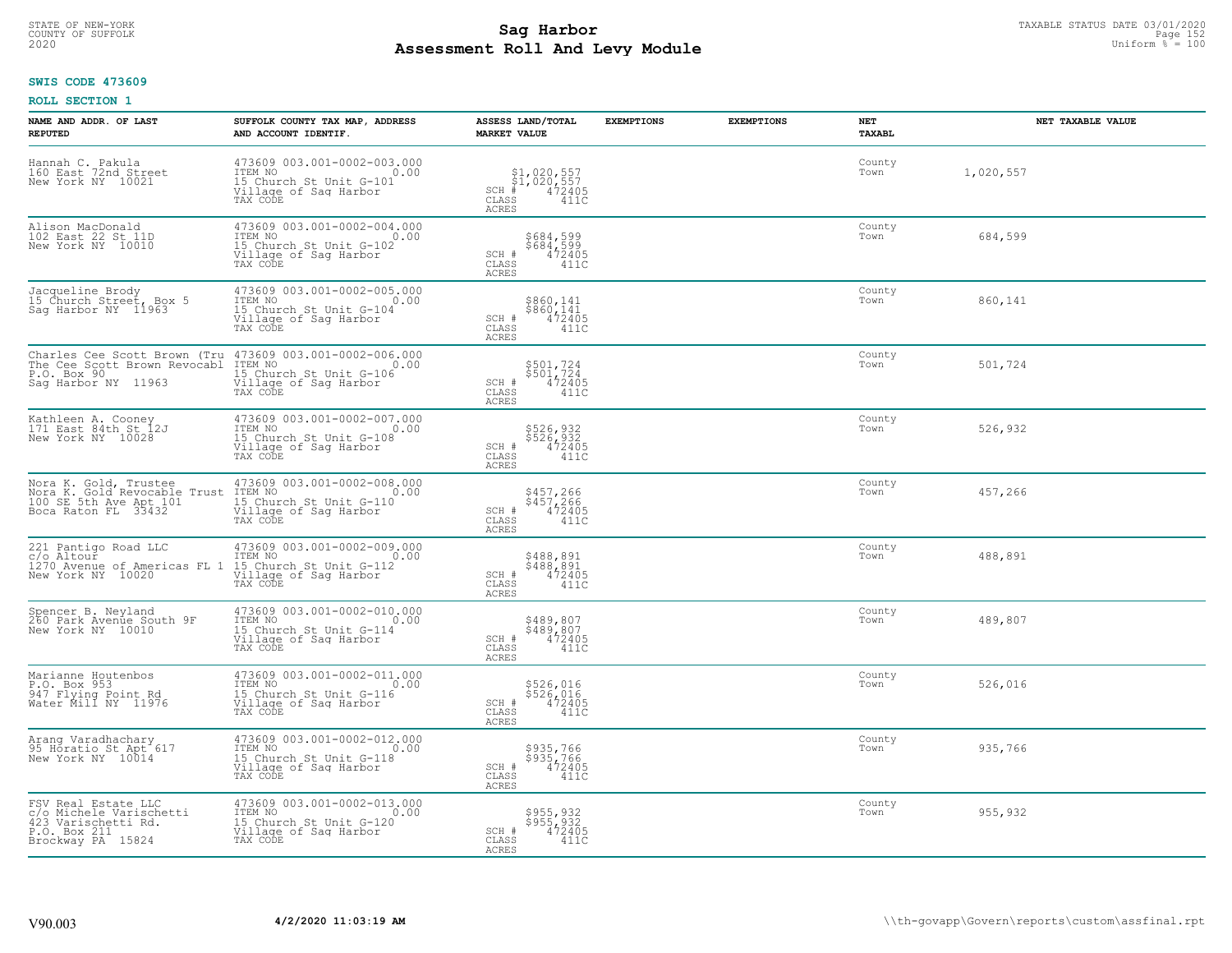# STATE OF NEW-YORK TAXABLE STATUS DATE 03/01/2020<br>COUNTY OF SUFFOLK Page 152 **Assessment Roll And Levy Module Example 2020** Uniform  $\frac{1}{8}$  = 100

### **SWIS CODE 473609**

| NAME AND ADDR. OF LAST<br><b>REPUTED</b>                                                                   | SUFFOLK COUNTY TAX MAP, ADDRESS<br>AND ACCOUNT IDENTIF.                                                                                     | ASSESS LAND/TOTAL<br><b>MARKET VALUE</b>                                          | <b>EXEMPTIONS</b> | <b>EXEMPTIONS</b> | NET<br><b>TAXABL</b> | NET TAXABLE VALUE |
|------------------------------------------------------------------------------------------------------------|---------------------------------------------------------------------------------------------------------------------------------------------|-----------------------------------------------------------------------------------|-------------------|-------------------|----------------------|-------------------|
| Hannah C. Pakula<br>160 East 72nd Street<br>New York NY 10021                                              | 473609 003.001-0002-003.000<br>ITEM NO<br>0.00<br>15 Church St Unit G-101<br>Village of Saq Harbor<br>TAX CODE                              | \$1,020,557<br>\$1,020,557<br>#472405<br>$SCH$ #<br>CLASS<br>411C<br><b>ACRES</b> |                   |                   | County<br>Town       | 1,020,557         |
| Alison MacDonald<br>102 East 22 St 11D<br>New York NY 10010                                                | 473609 003.001-0002-004.000<br>ITEM NO<br>IS Church St Unit G-102<br>Willage of Sag Harbor<br>TAX CODE                                      | \$684,599<br>\$684,599<br>472405<br>SCH #<br>CLASS<br>411C<br><b>ACRES</b>        |                   |                   | County<br>Town       | 684,599           |
| Jacqueline Brody<br>15 Church Street, Box 5<br>Sag Harbor NY 11963                                         | 473609 003.001-0002-005.000<br>TEM NO<br>15 Church St Unit G-104<br>Village of Sag Harbor<br>Village of Sag Harbor<br>Village of Sag Harbor | \$860,141<br>\$860,141<br>472405<br>SCH #<br>CLASS<br>411C<br><b>ACRES</b>        |                   |                   | County<br>Town       | 860,141           |
| Charles Cee Scott Brown (Tru<br>The Cee Scott Brown Revocabl<br>P.O. Box 90<br>Sag Harbor NY 11963         | 473609 003.001-0002-006.000<br>ITEM NO<br>15 Church St Unit G-106<br>Village of Saq Harbor<br>TAX CODE                                      | \$501,724<br>\$501,724<br>SCH #<br>472405<br>CLASS<br>411C<br>ACRES               |                   |                   | County<br>Town       | 501,724           |
| Kathleen A. Cooney<br>171 East 84th St 12J<br>New York NY 10028                                            | 473609 003.001-0002-007.000<br>TTEM NO 0.00<br>15 Church St Unit G-108<br>Village of Sag Harbor<br>TAX CODE                                 | \$526,932<br>\$526,932<br>472405<br>SCH #<br>CLASS<br>411C<br>ACRES               |                   |                   | County<br>Town       | 526,932           |
| Nora K. Gold, Trustee<br>Nora K. Gold Revocable Trust<br>100 SE 5th Ave Apt 101<br>Boca Raton FL 33432     | 473609 003.001-0002-008.000<br>ITEM NO<br>0.00<br>15 Church St Unit G-110<br>Village of Sag Harbor<br>TAX CODE                              | \$457,266<br>\$457,266<br>472405<br>SCH #<br>CLASS<br>411C<br>ACRES               |                   |                   | County<br>Town       | 457,266           |
| 221 Pantigo Road LLC<br>C/o Altour<br>1270 Avenue of Americas FL 1<br>New York NY 10020                    | 473609 003.001-0002-009.000<br>ITEM NO<br>0.00<br>15 Church St Unit G-112<br>Village of Sag Harbor<br>TAX CODE                              | \$488,891<br>\$488,891<br>472405<br>SCH #<br>CLASS<br>411C<br><b>ACRES</b>        |                   |                   | County<br>Town       | 488,891           |
| Spencer B. Neyland<br>260 Park Avenue South 9F<br>New York NY 10010                                        | 473609 003.001-0002-010.000<br>TTEM NO 0.00<br>15 Church St Unit G-114<br>Village of Sag Harbor<br>TAX CODE                                 | \$489,807<br>\$489,807<br>472405<br>$SCH$ $#$<br>CLASS<br>411C<br><b>ACRES</b>    |                   |                   | County<br>Town       | 489,807           |
| Marianne Houtenbos<br>P.O. Box 953<br>947 Flying Point Rd<br>Water Mill NY 11976                           | 473609 003.001-0002-011.000<br>TTEM NO 0.00<br>15 Church St Unit G-116<br>Village of Saq Harbor<br>TAX CODE                                 | \$526,016<br>\$526,016<br>472405<br>SCH #<br>CLASS<br>411C<br><b>ACRES</b>        |                   |                   | County<br>Town       | 526,016           |
| Arang Varadhachary<br>95 Horatio St Apt 617<br>New York NY 10014                                           | 473609 003.001-0002-012.000<br>ITEM NO<br>15 Church St Unit G-118<br>0.00<br>Village of Sag Harbor<br>TAX CODE                              | \$935,766<br>$$935,766$<br>$472405$<br>SCH #<br>CLASS<br>411C<br>ACRES            |                   |                   | County<br>Town       | 935,766           |
| FSV Real Estate LLC<br>c/o Michele Varischetti<br>423 Varischetti Rd.<br>P.O. Box 211<br>Brockway PA 15824 | 473609 003.001-0002-013.000<br>ITEM NO<br>15 Church St Unit G-120<br>0.00<br>Village of Sag Harbor<br>TAX CODE                              | \$955,932<br>\$955,932<br>472405<br>SCH #<br>CLASS<br>411C<br>ACRES               |                   |                   | County<br>Town       | 955,932           |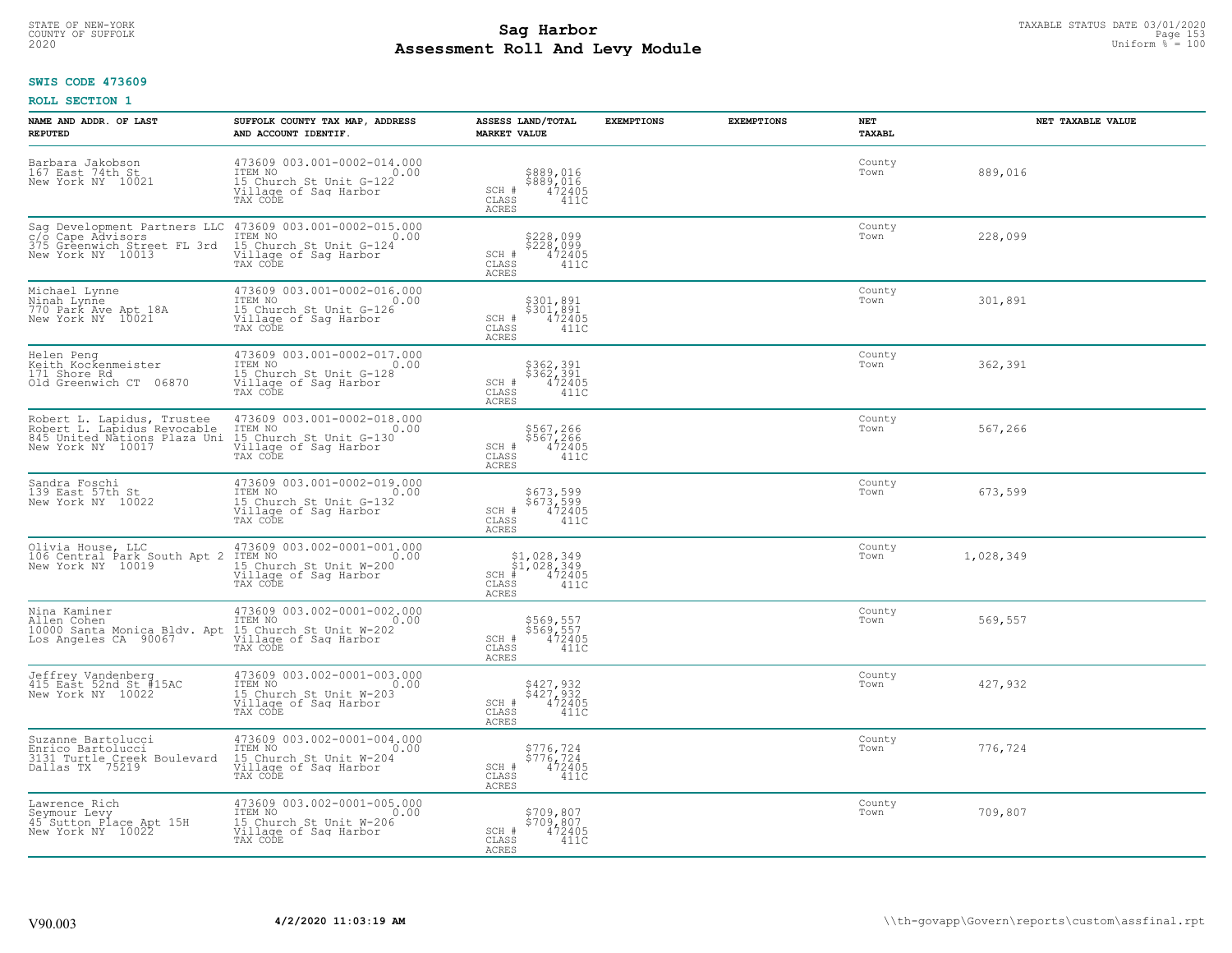# TAXABLE STATUS DATE 03/01/2020<br>COUNTY OF SUFFOLK Page 153 **Assessment Roll And Levy Module Example 2020** Uniform  $\frac{1}{8}$  = 100

### **SWIS CODE 473609**

| NAME AND ADDR. OF LAST<br><b>REPUTED</b>                                                                                | SUFFOLK COUNTY TAX MAP, ADDRESS<br>AND ACCOUNT IDENTIF.                                                        | ASSESS LAND/TOTAL<br><b>MARKET VALUE</b>                                                        | <b>EXEMPTIONS</b> | <b>EXEMPTIONS</b> | <b>NET</b><br>TAXABL | NET TAXABLE VALUE |
|-------------------------------------------------------------------------------------------------------------------------|----------------------------------------------------------------------------------------------------------------|-------------------------------------------------------------------------------------------------|-------------------|-------------------|----------------------|-------------------|
| Barbara Jakobson<br>167 East 74th St<br>New York NY 10021                                                               | 473609 003.001-0002-014.000<br>ITEM NO<br>0.00<br>15 Church St Unit G-122<br>Village of Saq Harbor<br>TAX CODE | \$889,016<br>\$889,016<br>472405<br>SCH #<br>$\mathtt{CLASS}$<br>411C<br>ACRES                  |                   |                   | County<br>Town       | 889,016           |
| Sag Development Partners LLC<br>$c/\bar{o}$<br>Cape Advisors<br>375<br>375 Greenwich Street FL 3rd<br>New York NY 10013 | 473609 003.001-0002-015.000<br>0.00 0.00<br>15 Church St Unit G-124<br>Village of Sag Harbor<br>TAX CODE       | \$228,099<br>\$228,099<br>472405<br>SCH #<br>CLASS<br>411C<br>ACRES                             |                   |                   | County<br>Town       | 228,099           |
| Michael Lynne<br>Ninah Lynne<br>770 Park Ave Apt 18A<br>New York NY 10021                                               | 473609 003.001-0002-016.000<br>ITEM NO<br>0.00<br>15 Church St Unit G-126<br>Village of Sag Harbor<br>TAX CODE | \$301,891<br>$$30\overline{1}, 89\overline{1} 472405$<br>SCH #<br>CLASS<br>411C<br><b>ACRES</b> |                   |                   | County<br>Town       | 301,891           |
| Helen Peng<br>Keith Kockenmeister<br>171 Shore Rd<br>Old Greenwich CT 06870                                             | 473609 003.001-0002-017.000<br>ITEM NO<br>0.00<br>15 Church St Unit G-128<br>Village of Sag Harbor<br>TAX CODE | \$362,391<br>\$362,391<br>472405<br>SCH #<br>CLASS<br>411C<br>ACRES                             |                   |                   | County<br>Town       | 362,391           |
| Robert L. Lapidus, Trustee<br>Robert L. Lapidus Revocable<br>845 United Nations Plaza Uni<br>New York NY 10017          | 473609 003.001-0002-018.000<br>ITEM NO<br>0.00<br>15 Church St Unit G-130<br>Village of Saq Harbor<br>TAX CODE | \$567,266<br>\$567,266<br>472405<br>SCH #<br>CLASS<br>411C<br>ACRES                             |                   |                   | County<br>Town       | 567,266           |
| Sandra Foschi<br>139 East 57th St<br>New York NY 10022                                                                  | 473609 003.001-0002-019.000<br>ITEM NO<br>0.00<br>15 Church St Unit G-132<br>Village of Sag Harbor<br>TAX CODE | \$673,599<br>\$673,599<br>472405<br>SCH #<br>CLASS<br>411C<br><b>ACRES</b>                      |                   |                   | County<br>Town       | 673,599           |
| Olivia House, LLC<br>106 Central Park South Apt 2<br>New York NY 10019                                                  | 473609 003.002-0001-001.000<br>ITEM NO<br>0.00<br>15 Church St Unit W-200<br>Village of Sag Harbor<br>TAX CODE | $$1,028,349$<br>$$1,028,349$<br>$472405$<br>$SCH$ #<br>411C<br>CLASS<br><b>ACRES</b>            |                   |                   | County<br>Town       | 1,028,349         |
| Nina Kaminer<br>Allen Cohen<br>10000 Santa Monica Bldv. Apt<br>Los Angeles CA 90067                                     | 473609 003.002-0001-002.000<br>ITEM NO<br>0.00<br>15 Church St Unit W-202<br>Village of Sag Harbor<br>TAX CODE | \$569,557<br>\$569,557<br>472405<br>SCH #<br>CLASS<br>411C<br><b>ACRES</b>                      |                   |                   | County<br>Town       | 569,557           |
| Jeffrey Vandenberg<br>415 East 52nd St #15AC<br>New York NY 10022                                                       | 473609 003.002-0001-003.000<br>TTEM NO 0.00<br>15 Church St Unit W-203<br>Village of Sag Harbor<br>TAX CODE    | \$427,932<br>\$427,932<br>472405<br>SCH #<br>CLASS<br>411C<br><b>ACRES</b>                      |                   |                   | County<br>Town       | 427,932           |
| Suzanne Bartolucci<br>Enrico Bartolucci<br>3131 Turtle Creek Boulevard<br>Dallas TX 75219                               | 473609 003.002-0001-004.000<br>ITEM NO<br>0.00<br>15 Church St Unit W-204<br>Village of Sag Harbor<br>TAX CODE | \$776,724<br>\$776,724<br>472405<br>SCH #<br>CLASS<br>411C<br><b>ACRES</b>                      |                   |                   | County<br>Town       | 776,724           |
| Lawrence Rich<br>Seymour Levy<br>45 Sutton Place Apt 15H<br>New York NY 10022                                           | 473609 003.002-0001-005.000<br>ITEM NO<br>0.00<br>15 Church St Unit W-206<br>Village of Sag Harbor<br>TAX CODE | \$709,807<br>\$709, 807<br>472405<br>SCH #<br>CLASS<br>411C<br>ACRES                            |                   |                   | County<br>Town       | 709,807           |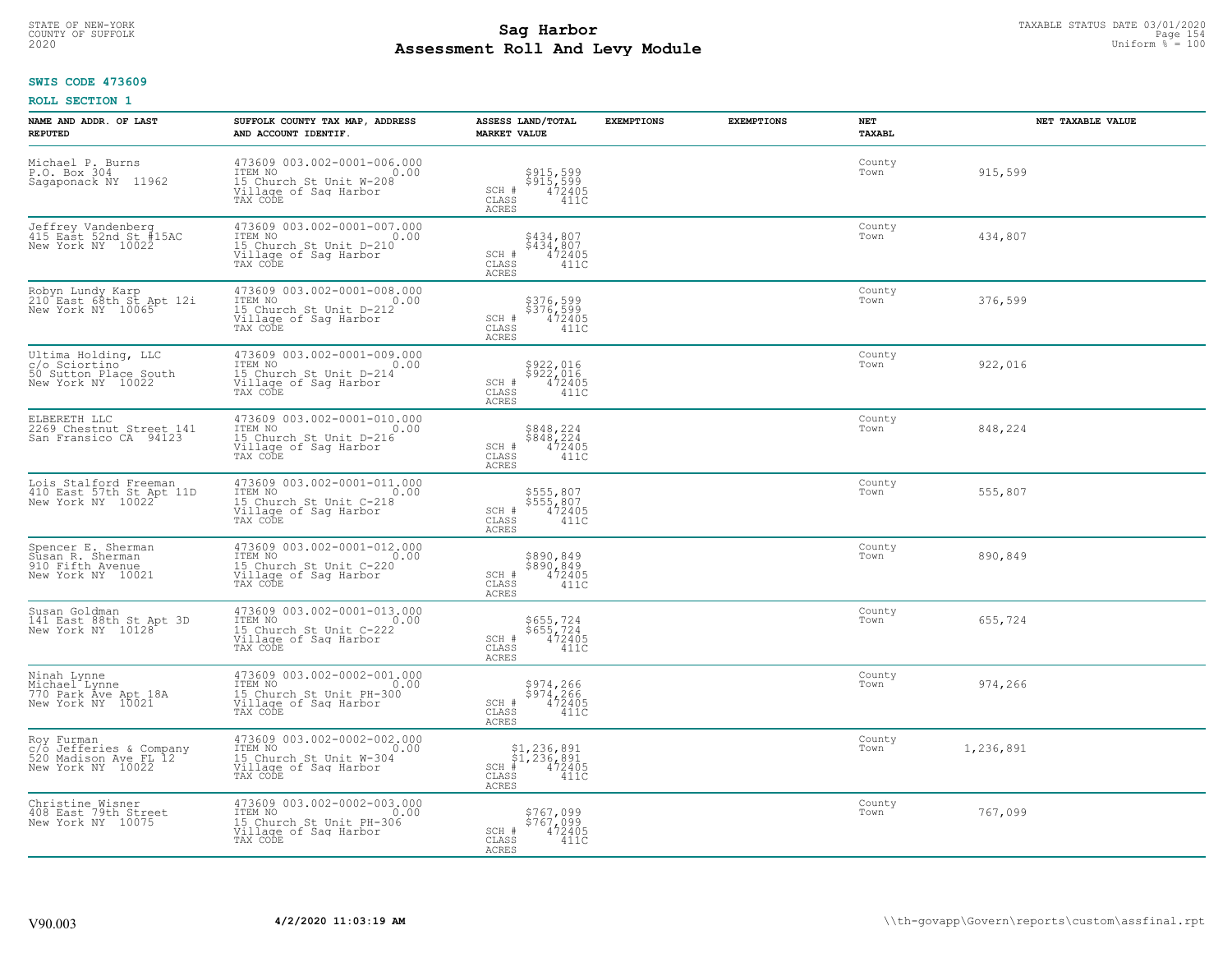# STATE OF NEW-YORK TAXABLE STATUS DATE 03/01/2020<br>COUNTY OF SUFFOLK Page 154 **Assessment Roll And Levy Module Example 2020** Uniform  $\frac{1}{8}$  = 100

### **SWIS CODE 473609**

| NAME AND ADDR. OF LAST<br><b>REPUTED</b>                                            | SUFFOLK COUNTY TAX MAP, ADDRESS<br>AND ACCOUNT IDENTIF.                                                             | ASSESS LAND/TOTAL<br><b>MARKET VALUE</b>                                                              | <b>EXEMPTIONS</b> | <b>EXEMPTIONS</b> | <b>NET</b><br><b>TAXABL</b> | NET TAXABLE VALUE |
|-------------------------------------------------------------------------------------|---------------------------------------------------------------------------------------------------------------------|-------------------------------------------------------------------------------------------------------|-------------------|-------------------|-----------------------------|-------------------|
| Michael P. Burns<br>P.O. Box 304<br>Sagaponack NY 11962                             | 473609 003.002-0001-006.000<br>ITEM NO<br>0.00<br>15 Church St Unit W-208<br>Village of Saq Harbor<br>TAX CODE      | \$915,599<br>\$915,599<br>472405<br>SCH #<br>$\mathtt{CLASS}$<br>411C<br><b>ACRES</b>                 |                   |                   | County<br>Town              | 915,599           |
| Jeffrey Vandenberg<br>415 East 52nd St #15AC<br>New York NY 10022                   | 473609 003.002-0001-007.000<br>ITEM NO<br>0.00<br>15 Church St Unit D-210<br>Village of Sag Harbor<br>TAX CODE      | \$434,807<br>\$434,807<br>472405<br>SCH #<br>CLASS<br>411C<br><b>ACRES</b>                            |                   |                   | County<br>Town              | 434,807           |
| Robyn Lundy Karp<br>210 East 68th St Apt 12i<br>New York NY 10065                   | 473609 003.002-0001-008.000<br>ITEM NO 0.00<br>15 Church St Unit D-212<br>Village of Sag Harbor<br>TAX CODE         | \$376,599<br>\$376,599<br>472405<br>SCH #<br>CLASS<br>411C<br>ACRES                                   |                   |                   | County<br>Town              | 376,599           |
| Ultima Holding, LLC<br>c/o Sciortino<br>50 Sutton Place South<br>New York NY 10022  | 473609 003.002-0001-009.000<br>ITEM NO<br>15 Church St Unit D-214<br>Village of Saq Harbor<br>TAX CODE              | \$922,016<br>$$5\bar{2}\bar{2}, \tilde{0}\bar{1}\bar{6}$<br>472405<br>SCH #<br>CLASS<br>411C<br>ACRES |                   |                   | County<br>Town              | 922,016           |
| ELBERETH LLC<br>2269_Chestnut_Street_141<br>San Fransico CA 94123                   | 473609 003.002-0001-010.000<br>TTEM NO 0.00<br>0.00<br>15 Church St Unit D-216<br>Village of Sag Harbor<br>TAX CODE | \$848,224<br>\$848,224<br>472405<br>SCH #<br>CLASS<br>411C<br>ACRES                                   |                   |                   | County<br>Town              | 848,224           |
| Lois Stalford Freeman<br>410 East 57th St Apt 11D<br>New York NY 10022              | 473609 003.002-0001-011.000<br>ITEM NO<br>0.00<br>15 Church St Unit C-218<br>Village of Sag Harbor<br>TAX CODE      | \$555,807<br>\$555,807<br>472405<br>SCH #<br>CLASS<br>411C<br><b>ACRES</b>                            |                   |                   | County<br>Town              | 555,807           |
| Spencer E. Sherman<br>Susan R. Sherman<br>910 Fifth Avenue<br>New York NY 10021     | 473609 003.002-0001-012.000<br>ITEM NO<br>0.00<br>15 Church St Unit C-220<br>Village of Sag Harbor<br>TAX CODE      | \$890,849<br>\$890,849<br>472405<br>SCH #<br>411C<br>CLASS<br>ACRES                                   |                   |                   | County<br>Town              | 890,849           |
| Susan Goldman<br>141 East 88th St Apt 3D<br>New York NY 10128                       | 473609 003.002-0001-013.000<br>TTEM NO 0.00<br>15 Church St Unit C-222<br>Village of Sag Harbor<br>TAX CODE         | \$655,724<br>\$655,724<br>472405<br>SCH #<br>CLASS<br>411C<br><b>ACRES</b>                            |                   |                   | County<br>Town              | 655,724           |
| Ninah Lynne<br>Michael Lynne<br>770 Park Ave Apt 18A<br>New York NY 10021           | 473609 003.002-0002-001.000<br>ITEM NO<br>15 Church St Unit PH-300<br>Village of Saq Harbor<br>TAX CODE             | \$974,266<br>\$974,266<br>472405<br>411C<br>SCH #<br>CLASS<br><b>ACRES</b>                            |                   |                   | County<br>Town              | 974,266           |
| Roy Furman<br>c/o Jefferies & Company<br>520 Madison Ave FL 12<br>New York NY 10022 | 473609 003.002-0002-002.000<br>TTEM NO 0.00<br>15 Church St Unit W-304<br>Village of Sag Harbor<br>TAX CODE         | $$1,236,891$<br>$$1,236,891$<br>$472405$<br>$SCH$ #<br>CLASS<br>411C<br>ACRES                         |                   |                   | County<br>Town              | 1,236,891         |
| Christine Wisner<br>408 East 79th Street<br>New York NY 10075                       | $473609003.002-0002-003.000$<br>ITEM NO<br>0.00<br>15 Church St Unit PH-306<br>Village of Sag Harbor<br>TAX CODE    | \$767,099<br>$$7\,\tilde{6}\,7\,$ , 099<br>472405<br>SCH #<br>CLASS<br>411C<br>ACRES                  |                   |                   | County<br>Town              | 767,099           |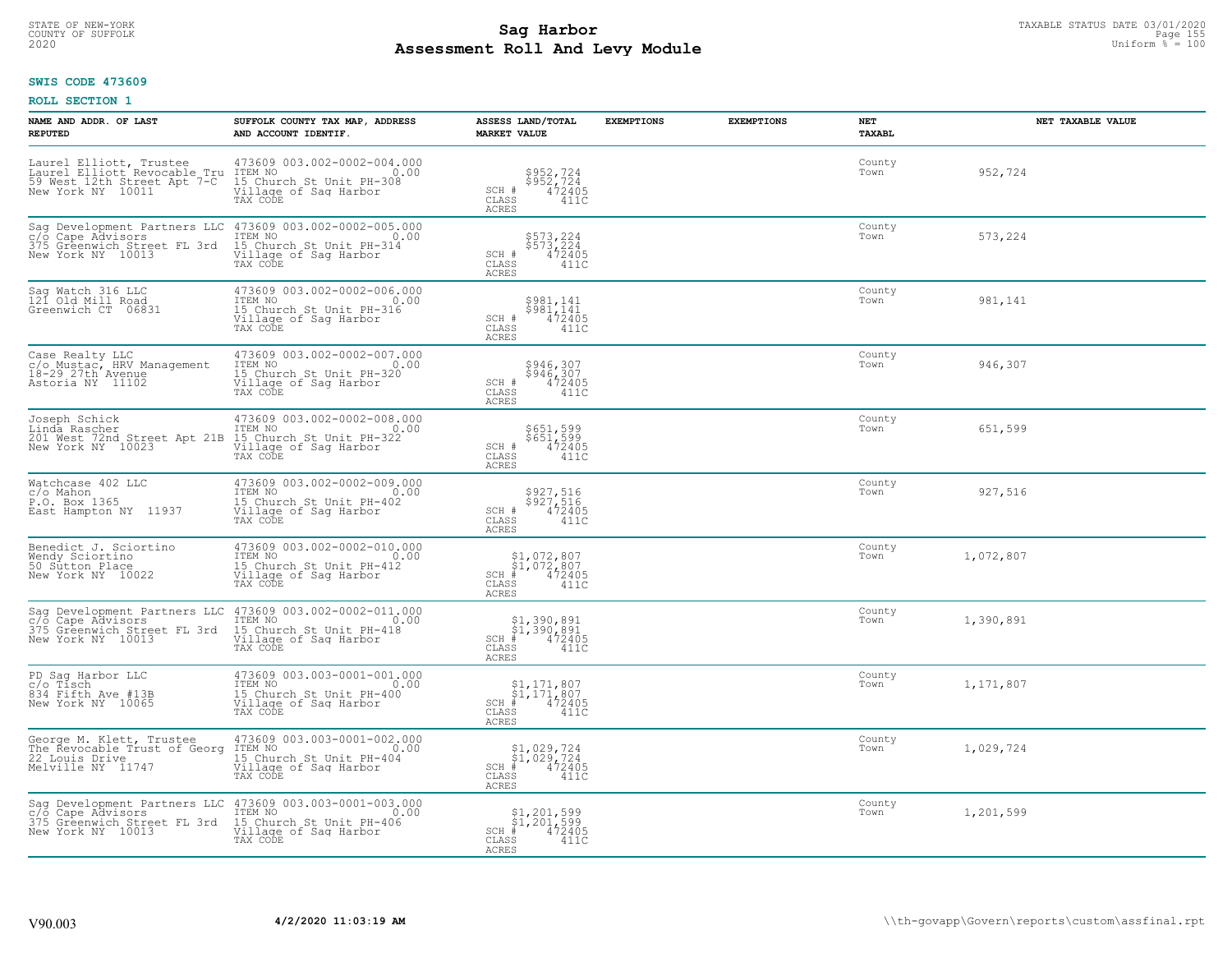# TAXABLE STATUS DATE 03/01/2020<br>COUNTY OF SUFFOLK Page 155 **Assessment Roll And Levy Module Example 2020** Uniform  $\frac{1}{8}$  = 100

#### **SWIS CODE 473609**

| NAME AND ADDR. OF LAST<br><b>REPUTED</b>                                                                    | SUFFOLK COUNTY TAX MAP, ADDRESS<br>AND ACCOUNT IDENTIF.                                                                   | ASSESS LAND/TOTAL<br><b>MARKET VALUE</b>                                                                          | <b>EXEMPTIONS</b> | <b>EXEMPTIONS</b> | NET<br>TAXABL  | NET TAXABLE VALUE |
|-------------------------------------------------------------------------------------------------------------|---------------------------------------------------------------------------------------------------------------------------|-------------------------------------------------------------------------------------------------------------------|-------------------|-------------------|----------------|-------------------|
| Laurel Elliott, Trustee<br>Laurel Elliott Revocable Tru<br>59 West 12th Street Apt 7-C<br>New York NY 10011 | 473609 003.002-0002-004.000<br>TTEM NO 0.00<br>15 Church St Unit PH-308<br>Village of Saq Harbor<br>TAX CODE              | \$952,724<br>\$952,724<br>472405<br>SCH #<br>$\mathtt{CLASS}$<br>411C<br>ACRES                                    |                   |                   | County<br>Town | 952,724           |
| Sag Development Partners LLC<br>c/o Cape Advisors<br>375 Greenwich Street FL 3rd<br>New York NY 10013       | 473609 003.002-0002-005.000<br>TEM NO<br>ITEM NO<br>15 Church St Unit PH-314<br>Village of Sag Harbor<br>TAX CODE<br>0.00 | \$573,224<br>\$573,224<br>472405<br>SCH #<br>$\mathtt{CLASS}$<br>411C<br><b>ACRES</b>                             |                   |                   | County<br>Town | 573,224           |
| Sag Watch 316 LLC<br>121 Old Mill Road<br>Greenwich CT 06831                                                | 473609 003.002-0002-006.000<br>ITEM NO<br>0.00<br>15 Church St Unit PH-316<br>Village of Sag Harbor<br>TAX CODE           | \$981,141<br>\$981,141<br>472405<br>SCH #<br>CLASS<br>411C<br><b>ACRES</b>                                        |                   |                   | County<br>Town | 981,141           |
| Case Realty LLC<br>c/o Mustac, HRV Management<br>18-29 27th Avenue<br>Astoria NY 11102                      | 473609 003.002-0002-007.000<br>ITEM NO<br>0.00<br>15 Church St Unit PH-320<br>Village of Sag Harbor<br>TAX CODE           | \$946,307<br>\$946,307<br>SCH #<br>472405<br>CLASS<br>411C<br><b>ACRES</b>                                        |                   |                   | County<br>Town | 946,307           |
| Joseph Schick<br>Linda Rascher<br>201 West 72nd Street Apt 21B<br>New York NY 10023                         | 473609 003.002-0002-008.000<br>ITEM NO<br>0.00<br>15 Church St Unit PH-322<br>Village of Sag Harbor<br>TAX CODE           | \$651,599<br>$$65\overline{1}, 59\overline{9}$<br>$472405$<br>SCH #<br>CLASS<br>411C<br><b>ACRES</b>              |                   |                   | County<br>Town | 651,599           |
| Watchcase 402 LLC<br>c/o Mahon<br>P.O. Box 1365<br>East Hampton NY 11937                                    | 473609 003.002-0002-009.000<br>ITEM NO<br>0.00<br>15 Church St Unit PH-402<br>Village of Sag Harbor<br>TAX CODE           | \$927,516<br>\$927,516<br>472405<br>SCH #<br>CLASS<br>411C<br><b>ACRES</b>                                        |                   |                   | County<br>Town | 927,516           |
| Benedict J. Sciortino<br>Nendy Scientino<br>50 Sutton Place<br>New York NY 10022                            | 473609 003.002-0002-010.000<br>ITEM NO<br>0.00<br>15 Church St Unit PH-412<br>Village of Sag Harbor<br>TAX CODE           | $$1,072,807$<br>$$1,072,807$<br>$472405$<br>$SCH$ #<br>CLASS<br>411C<br><b>ACRES</b>                              |                   |                   | County<br>Town | 1,072,807         |
| Sag Development Partners LLC<br>c/o Cape Advisors<br>375 Greenwich Street FL 3rd<br>New York NY 10013       | 473609 003.002-0002-011.000<br>ITEM NO<br>0.00<br>15 Church St Unit PH-418<br>Village of Sag Harbor<br>TAX CODE           | $\begin{array}{l} $1,390,891 \ $1,390,891 \ \pm \ 472405 \end{array}$<br>$SCH$ #<br>CLASS<br>411C<br><b>ACRES</b> |                   |                   | County<br>Town | 1,390,891         |
| PD Sag Harbor LLC<br>c/o Tísch<br>834 Fifth Ave #13B<br>New York NY 10065                                   | 473609 003.003-0001-001.000<br>TTEM NO 0.00<br>15 Church St Unit PH-400<br>Village of Sag Harbor<br>TAX CODE              | $\begin{array}{c} $1,171,807 \ $1,171,807 \ \end{array}$<br>SCH #<br>CLASS<br>411C<br><b>ACRES</b>                |                   |                   | County<br>Town | 1,171,807         |
| George M. Klett, Trustee<br>The Revocable Trust of Georg<br>22 Louis Drive<br>Melville NY 11747             | 473609 003.003-0001-002.000<br>ITEM NO<br>0.00<br>15 Church St Unit PH-404<br>Village of Sag Harbor<br>TAX CODE           | $$1,029,724$<br>$$1,029,724$<br>$472405$<br>$SCH$ #<br>$\mathtt{CLASS}$<br>411C<br><b>ACRES</b>                   |                   |                   | County<br>Town | 1,029,724         |
| Sag Development Partners LLC<br>c/o Cape Advisors<br>375 Greenwich Street FL 3rd<br>New York NY 10013       | 473609 003.003-0001-003.000<br>TTEM NO<br>15 Church St Unit PH-406<br>Village of Sag Harbor<br>0.00<br>TAX CODE           | $\begin{array}{c} $1,201,599 \ $1,201,599 \ * \ 4 \end{array}$<br>$SCH$ #<br>CLASS<br>411C<br>ACRES               |                   |                   | County<br>Town | 1,201,599         |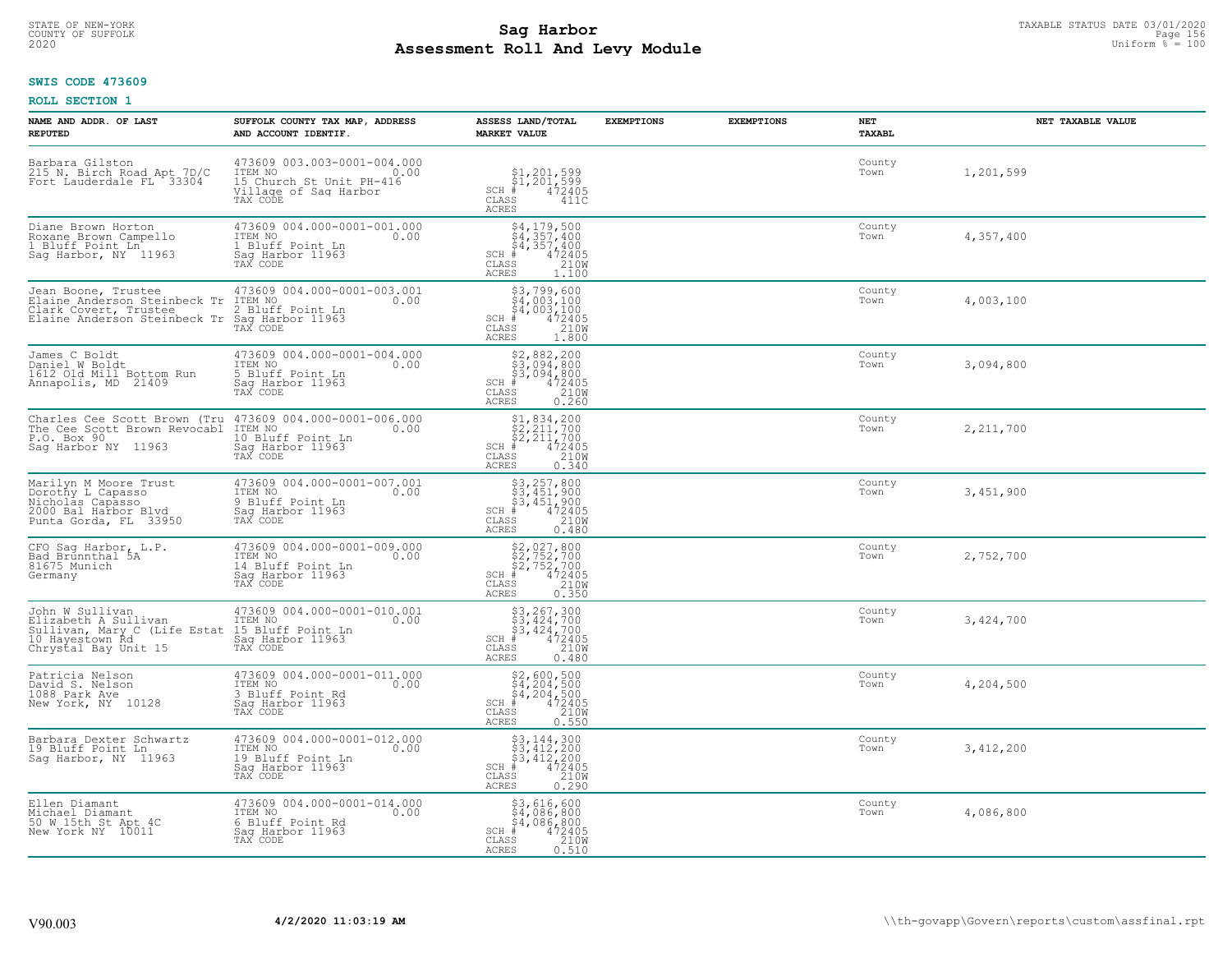# TAXABLE STATUS DATE 03/01/2020<br>COUNTY OF SUFFOLK Page 156 Page 156 Page 156 Page 156 Page 156 Page 156 Page 156 Page 156 **Assessment Roll And Levy Module Example 2020** Uniform  $\frac{1}{8}$  = 100

#### **SWIS CODE 473609**

| NAME AND ADDR. OF LAST<br><b>REPUTED</b>                                                                                               | SUFFOLK COUNTY TAX MAP, ADDRESS<br>AND ACCOUNT IDENTIF.                                             | ASSESS LAND/TOTAL<br><b>MARKET VALUE</b>                                                                               | <b>EXEMPTIONS</b> | <b>EXEMPTIONS</b> | NET<br><b>TAXABL</b> | NET TAXABLE VALUE |
|----------------------------------------------------------------------------------------------------------------------------------------|-----------------------------------------------------------------------------------------------------|------------------------------------------------------------------------------------------------------------------------|-------------------|-------------------|----------------------|-------------------|
| Barbara Gilston<br>215 N. Birch Road Apt 7D/C<br>Fort Lauderdale FL 33304                                                              | 473609 003.003-0001-004.000<br>ITEM NO<br>0.00<br>15 Church St Unit PH-416<br>Village of Saq Harbor | $\begin{array}{c} $1,201,599 \ $1,201,599 \ \end{array}$<br>$SCH$ #<br>CLASS<br>411C<br><b>ACRES</b>                   |                   |                   | County<br>Town       | 1,201,599         |
| Diane Brown Horton<br>Roxane Brown Campello<br>1 Bluff Point Ln <sup>-</sup><br>Sag Harbor, NY 11963                                   | 473609 004.000-0001-001.000<br>ITEM NO<br>0.00<br>1 Bluff Point Ln<br>Saq Harbor 11963<br>TAX CODE  | $$4, 179, 500$<br>$$4, 357, 400$<br>$$4, 357, 400$<br>472405<br>210W<br>$SCH$ #<br>CLASS<br>ACRES<br>1,100             |                   |                   | County<br>Town       | 4,357,400         |
| Jean Boone, Trustee<br>Elaine Anderson Steinbeck Tr<br>Clark Covert, Trustee<br>Elaine Anderson Steinbeck Tr                           | 473609 004.000-0001-003.001<br>ITEM NO<br>0.00<br>2 Bluff Point Ln<br>Sag Harbor 11963<br>TAX CODE  | \$3,799,600<br>\$4,003,100<br>\$4,003,100<br># 472405<br>\$5 1210M<br>$SCH$ #<br>CLASS<br><b>ACRES</b><br>1.800        |                   |                   | County<br>Town       | 4,003,100         |
| James C Boldt<br>Daniel W Boldt<br>1612 Old Mill Bottom Run<br>Annapolis, MD 21409                                                     | 473609 004.000-0001-004.000<br>ITEM NO<br>0.00<br>5 Bluff Point Ln<br>Sag Harbor 11963<br>TAX CODE  | \$2,882,200<br>\$3,094,800<br>\$3,094,800<br>$SCH$ #<br>$\frac{472405}{2100}$<br>CLASS<br><b>ACRES</b><br>0.260        |                   |                   | County<br>Town       | 3,094,800         |
| Charles Cee Scott Brown (Tru 473609 004.000-0001-006.000<br>The Cee Scott Brown Revocabl ITEM NO<br>P.O. Box 90<br>Saq Harbor NY 11963 | 0.00<br>10 Bluff Point Ln<br>Saq Harbor 11963<br>TAX CODE                                           | \$1,834,200<br>$SCH$ #<br>CLASS<br>ACRES<br>0.340                                                                      |                   |                   | County<br>Town       | 2, 211, 700       |
| Marilyn M Moore Trust<br>Dorothy L Capasso<br>Nicholās Capasso<br>2000 Bal Harbor Bļvd<br>Punta Gorda, FL 33950                        | 473609 004.000-0001-007.001<br>ITEM NO<br>0.00<br>9 Bluff Point Ln<br>Sag Harbor 11963<br>TAX CODE  | \$3,257,800<br>\$3,451,900<br>\$3,451,900<br># 472405<br>\$5 210M<br>$SCH$ #<br>CLASS<br><b>ACRES</b><br>0.480         |                   |                   | County<br>Town       | 3,451,900         |
| CFO Sag Harbor, L.P.<br>Bad Brunnthal 5A<br>81675 Munich<br>Germany                                                                    | 473609 004.000-0001-009.000<br>ITEM NO<br>0.00<br>14 Bluff Point Ln<br>Sag Harbor 11963<br>TAX CODE | \$2,027,800<br>\$2,752,700<br>\$2,752,700<br>#472405<br>$SCH$ #<br>CLASS<br>210W<br><b>ACRES</b><br>0.350              |                   |                   | County<br>Town       | 2,752,700         |
| John W Sullivan<br>Elizabeth A Sullivan<br>Sullivan, Mary C (Life Estat 15 Bluff Point Ln<br>10 Hayestown Ŕd<br>Chrystal Bay Unit 15   | 473609 004.000-0001-010.001<br>ITEM NO<br>0.00<br>Saq Harbor 11963                                  | $$3, 267, 300$<br>$$3, 424, 700$<br>$$3, 424, 700$<br>$472405$<br>$$2100$<br>$SCH$ #<br>CLASS<br><b>ACRES</b><br>0.480 |                   |                   | County<br>Town       | 3,424,700         |
| Patricia Nelson<br>David S. Nelson<br>1088 Park Ave<br>New York, NY 10128                                                              | 473609 004.000-0001-011.000<br>ITEM NO 0.00<br>3 Bluff Point Rd<br>Sag Harbor 11963<br>TAX CODE     | $$2,600,50054,204,50054,204,500# 47240535 210M$<br>$SCH$ #<br>CLASS<br><b>ACRES</b><br>0.550                           |                   |                   | County<br>Town       | 4,204,500         |
| Barbara Dexter Schwartz<br>19 Bluff Point Ln<br>Sag Harbor, NY 11963                                                                   | 473609 004.000-0001-012.000<br>ITEM NO<br>0.00<br>19 Bluff Point Ln<br>Sag Harbor 11963<br>TAX CODE | \$3,144,300<br>\$3,412,200<br>\$3,412,200<br>#472405<br>$SCH$ #<br>210W<br>CLASS<br><b>ACRES</b><br>0.290              |                   |                   | County<br>Town       | 3,412,200         |
| Ellen Diamant<br>Michael Diamant<br>50 W 15th St Apt 4C<br>New York NY 10011                                                           | 473609 004.000-0001-014.000<br>ITEM NO<br>0.00<br>6 Bluff Point Rd<br>Saq Harbor 11963<br>TAX CODE  | \$3,616,600<br>\$4,086,800<br>\$4,086,800<br>$SCH$ #<br>$\frac{472405}{210}$<br>CLASS<br>ACRES<br>0.510                |                   |                   | County<br>Town       | 4,086,800         |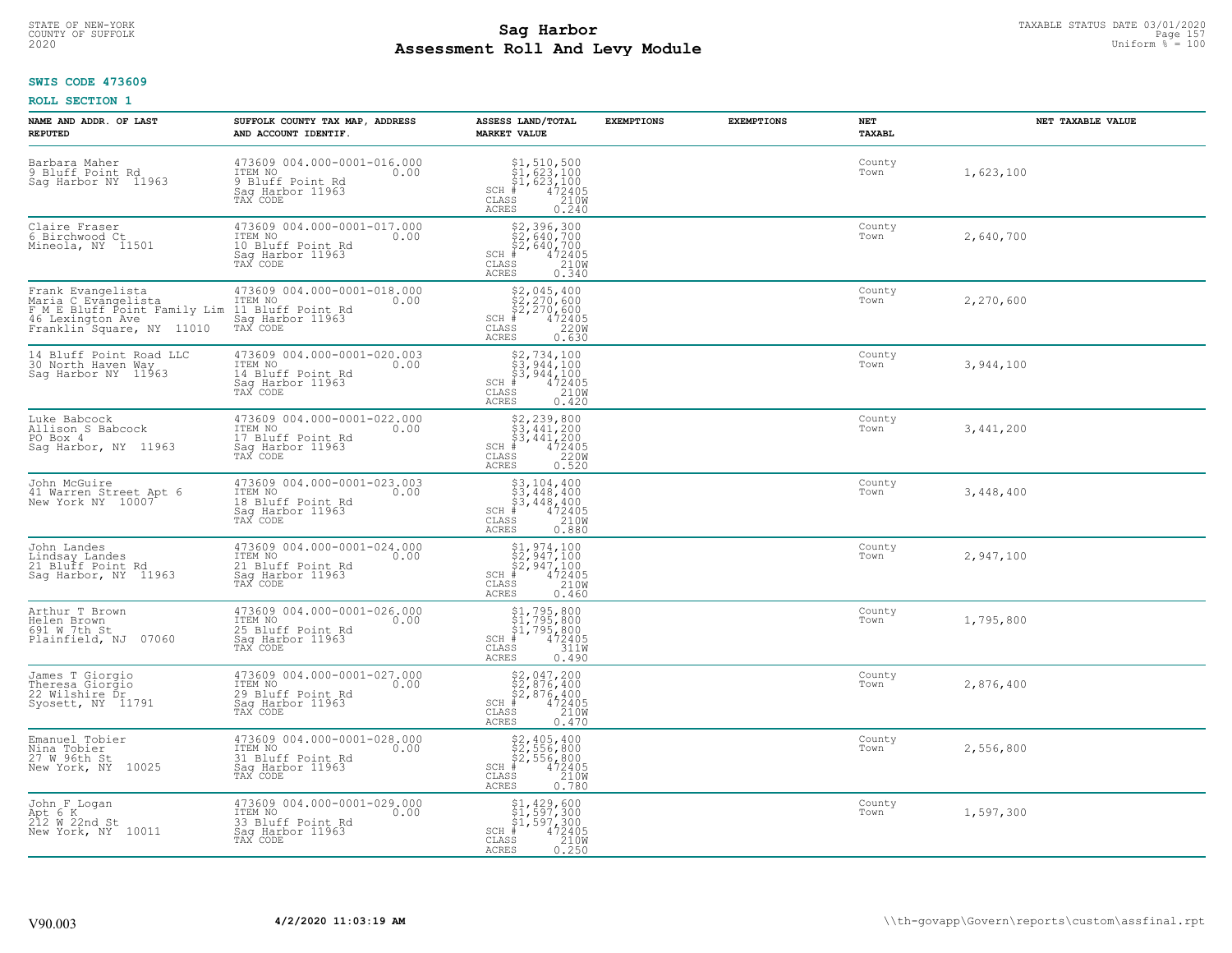# STATE OF NEW-YORK TAXABLE STATUS DATE 03/01/2020<br>COUNTY OF SUFFOLK Page 157 **Assessment Roll And Levy Module Example 2020** Uniform  $\frac{1}{8}$  = 100

### **SWIS CODE 473609**

| NAME AND ADDR. OF LAST<br><b>REPUTED</b>                                                                                                                                  | SUFFOLK COUNTY TAX MAP, ADDRESS<br>AND ACCOUNT IDENTIF.                                                  | ASSESS LAND/TOTAL<br><b>MARKET VALUE</b>                                                                                                                                                                                                                                                                                                                                                                                                                                                                                                                           | <b>EXEMPTIONS</b> | <b>EXEMPTIONS</b> | NET<br><b>TAXABL</b> | NET TAXABLE VALUE |
|---------------------------------------------------------------------------------------------------------------------------------------------------------------------------|----------------------------------------------------------------------------------------------------------|--------------------------------------------------------------------------------------------------------------------------------------------------------------------------------------------------------------------------------------------------------------------------------------------------------------------------------------------------------------------------------------------------------------------------------------------------------------------------------------------------------------------------------------------------------------------|-------------------|-------------------|----------------------|-------------------|
| Barbara Maher<br>9 Bluff Point Rd<br>Sag Harbor NY 11963                                                                                                                  | 473609 004.000-0001-016.000<br>1TEM NO 0.00<br>0.00<br>9 Bluff Point Rd<br>Saq Harbor 11963<br>TAX CODE  | $$1, 510, 500$<br>$$1, 623, 100$<br>$$1, 623, 100$<br>$$1, 623, 100$<br>$$1, 623, 1005$<br>SCH #<br>CLASS<br>210W<br><b>ACRES</b><br>0.240                                                                                                                                                                                                                                                                                                                                                                                                                         |                   |                   | County<br>Town       | 1,623,100         |
| Claire Fraser<br>6 Birchwood Ct<br>Mineola, NY 11501                                                                                                                      | 473609 004.000-0001-017.000<br>ITEM NO<br>0.00<br>10 Bluff Point Rd<br>Sag Harbor 11963<br>TAX CODE      | \$2,396,300<br>\$2,640,700<br>\$2,640,700<br># 472405<br>\$8 210W<br>\$8 0.340<br>$SCH$ #<br>CLASS<br>ACRES                                                                                                                                                                                                                                                                                                                                                                                                                                                        |                   |                   | County<br>Town       | 2,640,700         |
| Frank Evangelista<br>Maria C Evangelista<br>F M E Bluff Point Family Lim 11 Bluff Point Rd<br>46 Lexington Ave and Sag Harbor 11963<br>Franklin Square, NY 11010 TAX CODE | 473609 004.000-0001-018.000<br>0.00                                                                      | $$2,045,400$<br>$$2,270,600$<br>$$2,270,600$<br>SCH $*$ 472405<br>CLASS 220W<br><b>ACRES</b><br>0.630                                                                                                                                                                                                                                                                                                                                                                                                                                                              |                   |                   | County<br>Town       | 2,270,600         |
| 14 Bluff Point Road LLC<br>30 North Haven Way<br>Sag Harbor NY 11963                                                                                                      | 473609 004.000-0001-020.003<br>0.00<br>14 Bluff Point Rd<br>Saq Harbor 11963<br>TAX CODE                 | $$2,734,100$<br>$$3,944,100$<br>$$3,944,100$<br>$472405$<br>$$210W$<br>$SCH$ #<br>CLASS<br><b>ACRES</b><br>0.420                                                                                                                                                                                                                                                                                                                                                                                                                                                   |                   |                   | County<br>Town       | 3,944,100         |
| Luke Babcock<br>Allison S Babcock<br>PO Box 4<br>Sag Harbor, NY 11963                                                                                                     | 473609 004.000-0001-022.000<br>ITEM NO<br>17 Bluff Point Rd<br>Saq Harbor 11963<br>TAX CODE              | $$2, 239, 800$<br>$$3, 441, 200$<br>$$3, 441, 200$<br>$$3, 441, 200$<br>$$472405$<br>$$12805$<br>CLASS<br>220W<br><b>ACRES</b><br>0.520                                                                                                                                                                                                                                                                                                                                                                                                                            |                   |                   | County<br>Town       | 3,441,200         |
| John McGuire<br>41 Warren Street Apt 6<br>New York NY 10007                                                                                                               | 473609 004.000-0001-023.003<br>ITEM NO 0.00<br>18 Bluff Point Rd<br>Saq Harbor 11963<br>TAX CODE         | $\begin{array}{l} 53,104,400 \\ 53,448,400 \\ 53,448,400 \\ \pm 472405 \\ \text{SS} \end{array}$<br>$SCH$ #<br>CLASS<br><b>ACRES</b><br>0.880                                                                                                                                                                                                                                                                                                                                                                                                                      |                   |                   | County<br>Town       | 3,448,400         |
| John Landes<br>Lindsay Landes<br>21 Bluff Point Rd<br>Saq Harbor, NY 11963                                                                                                | 473609 004.000-0001-024.000<br>ITEM NO 0.00<br>21 Bluff Point Rd<br>Sag Harbor 11963<br>TAX CODE         | $$1,974,100$<br>$$2,947,100$<br>$$2,947,100$<br>SCH $\stackrel{+}{\phantom{}_{1}}\stackrel{+}{\phantom{}_{1}}\stackrel{+}{\phantom{}_{2}}\stackrel{+}{\phantom{}_{2}}\stackrel{+}{\phantom{}_{3}}\stackrel{+}{\phantom{}_{3}}\stackrel{+}{\phantom{}_{3}}\stackrel{+}{\phantom{}_{3}}\stackrel{+}{\phantom{}_{3}}\stackrel{+}{\phantom{}_{3}}\stackrel{+}{\phantom{}_{3}}\stackrel{+}{\phantom{}_{3}}\stackrel{+}{\phantom{}_{3}}\stackrel{+}{\phantom{}_{3}}\stackrel{+}{\phantom{}_{3}}\stackrel{+}{\phantom{}_{3}}\stackrel{+}{\phant$<br><b>ACRES</b><br>0.460 |                   |                   | County<br>Town       | 2,947,100         |
| Arthur T Brown<br>Helen Brown<br>691 W 7th St<br>Plainfield, NJ 07060                                                                                                     | 473609 004.000-0001-026.000<br>0.00 0.00<br>25 Bluff Point Rd<br>Sag Harbor 11963                        | $$1,795,800$<br>$$1,795,800$<br>$$1,795,800$<br>$*$<br>$472405$<br>ss 311M<br>$SCH$ #<br>CLASS<br><b>ACRES</b><br>0.490                                                                                                                                                                                                                                                                                                                                                                                                                                            |                   |                   | County<br>Town       | 1,795,800         |
| James T Giorgio<br>Theresa Giorgio<br>22 Wilshire Dr<br>Syosett, NY 11791                                                                                                 | 473609 004.000-0001-027.000<br>ITEM NO<br>29 Bluff Point Rd<br>Sag Harbor 11963<br>TAX CODE              | $$2,047,200$<br>$$2,876,400$<br>$$2,876,400$<br>$472405$<br>$$210W$<br>$SCH$ #<br>CLASS<br><b>ACRES</b><br>0.470                                                                                                                                                                                                                                                                                                                                                                                                                                                   |                   |                   | County<br>Town       | 2,876,400         |
| Emanuel Tobier<br>Nina Tobier<br>27 W 96th St<br>New York, NY 10025                                                                                                       | 473609 004.000-0001-028.000<br>ITEM NO<br>0.00<br>31 Bluff Point Rd<br>Sag Harbor 11963<br>TAX CODE      | \$2,405,400<br>\$2,556,800<br>\$2,556,800<br>#472405<br>$SCH$ #<br>CLASS<br>210W<br><b>ACRES</b><br>0.780                                                                                                                                                                                                                                                                                                                                                                                                                                                          |                   |                   | County<br>Town       | 2,556,800         |
| John F Logan<br>Apt 6 K<br>212 W 22nd St<br>New York, NY 10011                                                                                                            | 473609 004.000-0001-029.000<br>1TEM NO 0.00<br>0.00<br>33 Bluff Point Rd<br>Sag Harbor 11963<br>TAX CODE | $$1, 429, 600$<br>$$1, 597, 300$<br>$$1, 597, 300$<br>$$472405$<br>$SCH$ #<br>CLASS<br>210W<br>0.250<br>ACRES                                                                                                                                                                                                                                                                                                                                                                                                                                                      |                   |                   | County<br>Town       | 1,597,300         |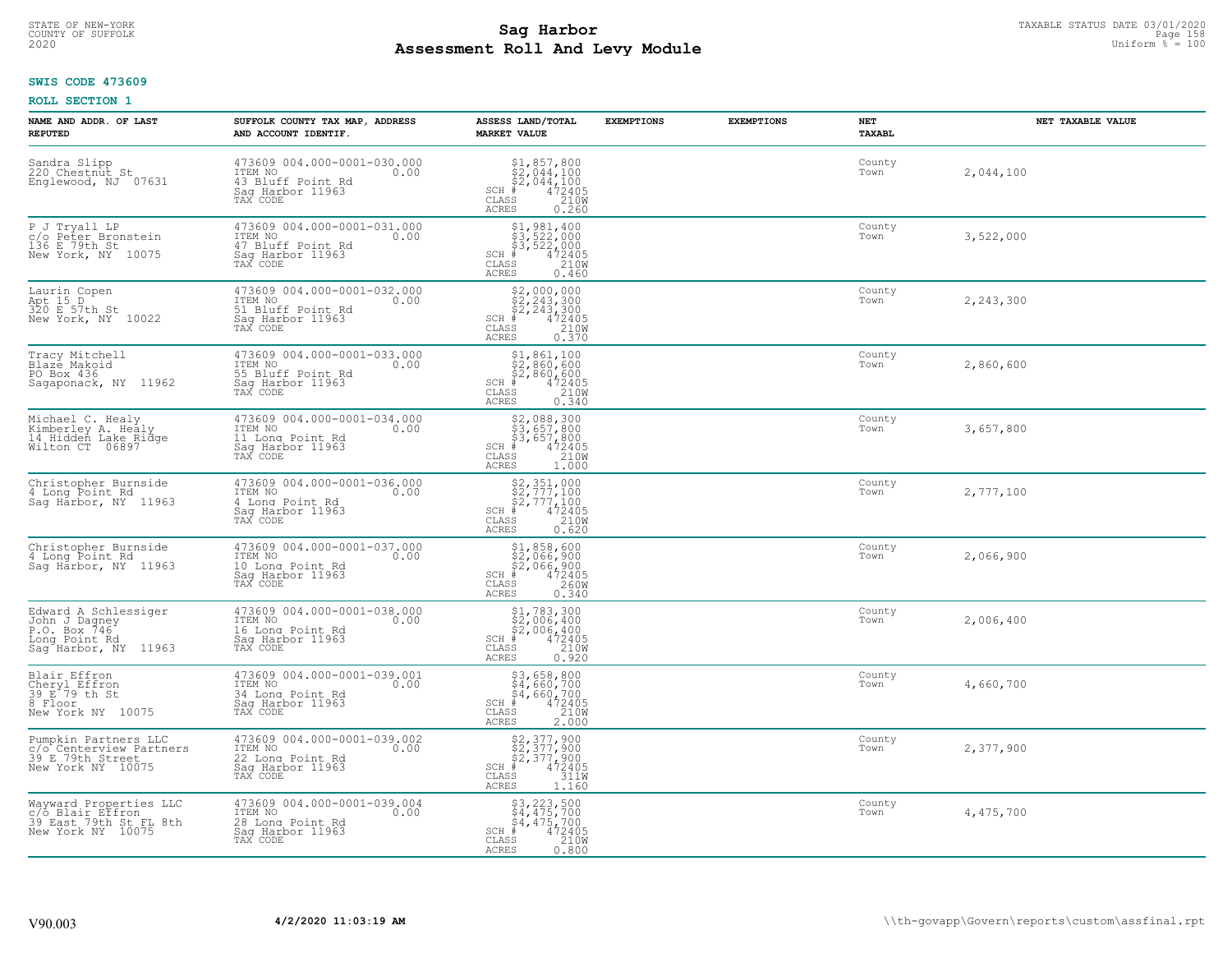# TAXABLE STATUS DATE 03/01/2020<br>COUNTY OF SUFFOLK Page 158 Page 158 **Assessment Roll And Levy Module Example 2020** Uniform  $\frac{1}{8}$  = 100

### **SWIS CODE 473609**

| NAME AND ADDR. OF LAST<br><b>REPUTED</b>                                                       | SUFFOLK COUNTY TAX MAP, ADDRESS<br>AND ACCOUNT IDENTIF.                                                     | ASSESS LAND/TOTAL<br><b>MARKET VALUE</b>                                                                                                                                            | <b>EXEMPTIONS</b> | <b>EXEMPTIONS</b> | NET<br><b>TAXABL</b> | NET TAXABLE VALUE |
|------------------------------------------------------------------------------------------------|-------------------------------------------------------------------------------------------------------------|-------------------------------------------------------------------------------------------------------------------------------------------------------------------------------------|-------------------|-------------------|----------------------|-------------------|
| Sandra Slipp<br>220 Chestnut St<br>Englewood, NJ 07631                                         | 473609 004.000-0001-030.000<br>10.00 0.00<br>43 Bluff Point Rd<br>Saq Harbor 11963                          | $$2,044,100$<br>$$2,044,100$<br>$$2,044,100$<br>$472405$<br>$$2100$<br>$SCH$ #<br>CLASS<br><b>ACRES</b><br>0.260                                                                    |                   |                   | County<br>Town       | 2,044,100         |
| P J Tryall LP<br>c/o Peter Bronstein<br>136 E 79th St<br>New York, NY 10075                    | 473609 004.000-0001-031.000<br>ITEM NO<br>0.00<br>47 Bluff Point Rd<br>Sag Harbor 11963<br>TAX CODE         | $\begin{array}{r} \texttt{\$1$, 981$, 400} \\ \texttt{\$3$, 522,000} \\ \texttt{\$3$, 522,000} \\ \texttt{\$472405} \\ \texttt{ss} \end{array}$<br>$SCH$ #<br>CLASS<br><b>ACRES</b> |                   |                   | County<br>Town       | 3,522,000         |
| Laurin Copen<br>Apt 15 D<br>320 E 57th St<br>New York, NY 10022                                | 473609 004.000-0001-032.000<br>ITEM NO<br>0.00<br>51 Bluff Point Rd<br>Sag Harbor 11963<br>TAX CODE         | $$2,000,000\n$2,243,300\n$2,243,300\n# 472405\n 210M\n$<br>$SCH$ #<br>CLASS<br><b>ACRES</b><br>0.370                                                                                |                   |                   | County<br>Town       | 2,243,300         |
| Tracy Mitchell<br>Blazė Makoid<br>PO Box 436<br>Sagaponack, NY 11962                           | 473609 004.000-0001-033.000<br>ITEM NO<br>0.00<br>1121<br>55 Bluff Point Rd<br>Saq Harbor 11963<br>TAX CODE | $$1,861,100$<br>$$2,860,600$<br>$$2,860,600$<br>$$472405$<br>$$210M$<br>$SCH$ #<br>CLASS<br>ACRES<br>0.340                                                                          |                   |                   | County<br>Town       | 2,860,600         |
| Michael C. Healy<br>Kimberley A. Healy<br>14 Hidden Lake Ridge<br>Wilton CT 06897              | 473609 004.000-0001-034.000<br>TTEM NO 0.00<br>11 Long Point Rd<br>Sag Harbor 11963<br>TAX CODE             | \$2,088,300<br>\$3,657,800<br>\$3,657,800<br>#472405<br>$SCH$ #<br>CLASS<br>210W<br><b>ACRES</b><br>1,000                                                                           |                   |                   | County<br>Town       | 3,657,800         |
| Christopher Burnside<br>4 Long Point Rd<br>Sag Harbor, NY 11963                                | 473609 004.000-0001-036.000<br>ITEM NO<br>0.00<br>4 Long Point Rd<br>Sag Harbor 11963<br>TAX CODE           | $$2,351,000$<br>$$2,777,100$<br>$$2,777,100$<br>$472405$<br>$$2100$<br>$$2100$<br>$SCH$ #<br>CLASS<br><b>ACRES</b><br>0.620                                                         |                   |                   | County<br>Town       | 2,777,100         |
| Christopher Burnside<br>4 Long Point Rd<br>Saq Harbor, NY 11963                                | 473609 004.000-0001-037.000<br>ITEM NO<br>0.00<br>10 Long Point Rd<br>Sag Harbor 11963                      | \$1,858,600<br>\$2,066,900<br>\$2,066,900<br>$SCH$ #<br>472405<br>260W<br>$\mathtt{CLASS}$<br><b>ACRES</b><br>0.340                                                                 |                   |                   | County<br>Town       | 2,066,900         |
| Edward A Schlessiger<br>John J Dagney<br>P.O. Box 746<br>Long Point Rd<br>Saq Harbor, NY 11963 | 473609 004.000-0001-038.000<br>TTEM NO 0.00<br>0.00<br>16 Long Point Rd<br>Sag Harbor 11963<br>TAX CODE     | $$1,783,300$<br>$$2,006,400$<br>$$2,006,400$<br>$472405$<br>$$2100$<br>$$2100$<br>$SCH$ #<br>CLASS<br><b>ACRES</b><br>0.920                                                         |                   |                   | County<br>Town       | 2,006,400         |
| Blair Effron<br>Cheryl Effron<br>39 E 79 th St<br>8 Floor<br>New York NY 10075                 | 473609 004.000-0001-039.001<br>ITEM NO<br>0.00<br>34 Long Point Rd<br>Saq Harbor 11963<br>TAX CODE          | $$3,658,800$<br>$$4,660,700$<br>$$4,660,700$<br>$*$<br>$*$ $472405$<br>$SCH$ #<br>CLASS<br>210W<br><b>ACRES</b><br>2,000                                                            |                   |                   | County<br>Town       | 4,660,700         |
| Pumpkin Partners LLC<br>c/o Centerview Partners<br>39 E 79th Street<br>New York NY 10075       | 473609 004.000-0001-039.002<br>ITEM NO<br>0.00<br>22 Long Point Rd<br>Sag Harbor 11963<br>TAX CODE          | \$2,377,900<br>\$2,377,900<br>\$2,377,900<br>#472405<br>\$5,47311M<br>$SCH$ #<br>CLASS<br><b>ACRES</b><br>1.160                                                                     |                   |                   | County<br>Town       | 2,377,900         |
| Wayward Properties LLC<br>c/o Blair Effron<br>39 East 79th St FL 8th<br>New York NY 10075      | 473609 004.000-0001-039.004<br>ITEM NO<br>0.00<br>28 Long Point Rd<br>Sag Harbor 11963<br>TAX CODE          | $$3, 223, 500$<br>$$4, 475, 700$<br>$$4, 475, 700$<br>472405<br>210W<br>SCH #<br>CLASS<br>ACRES<br>0.800                                                                            |                   |                   | County<br>Town       | 4,475,700         |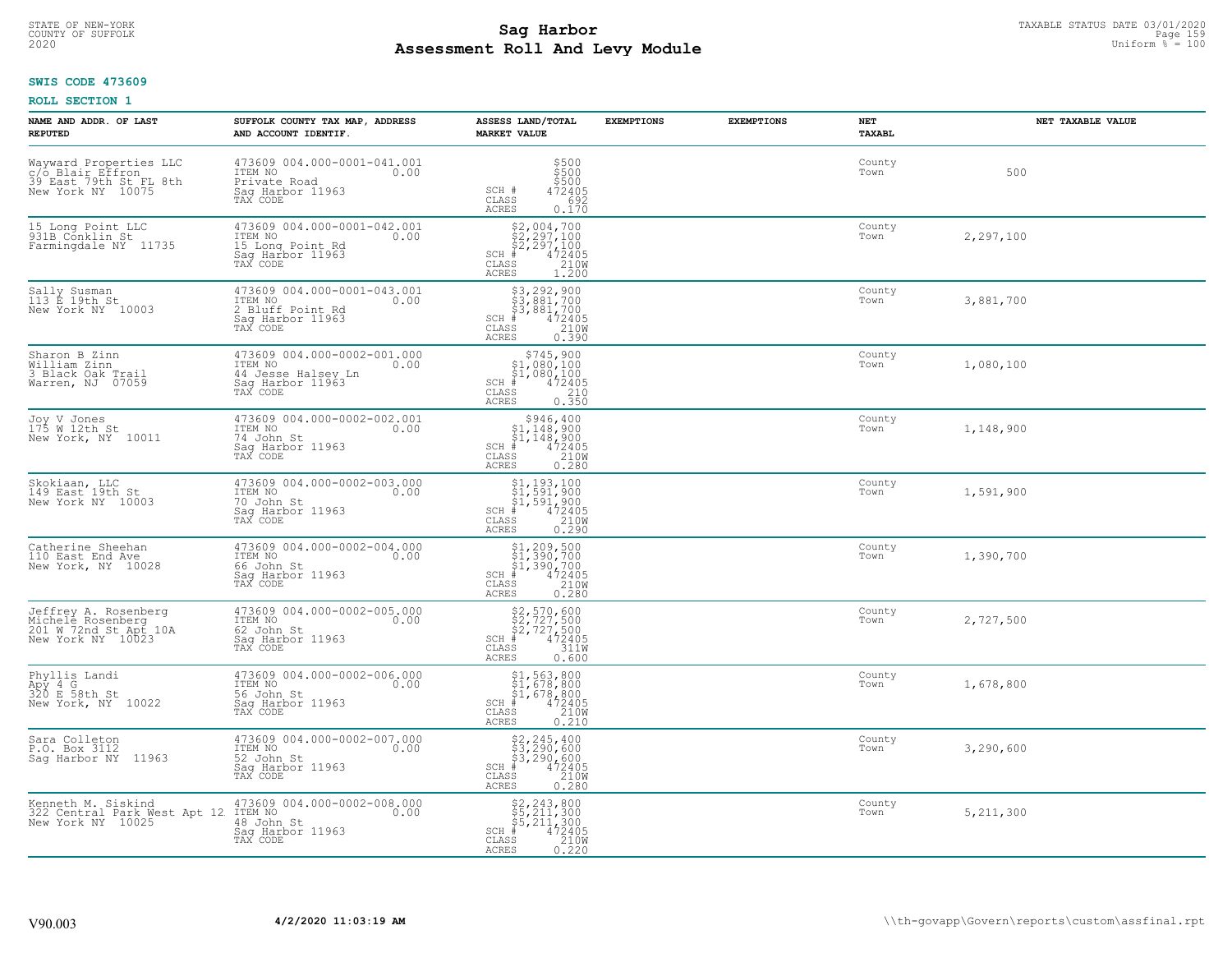# TAXABLE STATUS DATE 03/01/2020<br>COUNTY OF SUFFOLK Page 159 Page 159 **Assessment Roll And Levy Module Example 2020** Uniform  $\frac{1}{8}$  = 100

#### **SWIS CODE 473609**

| NAME AND ADDR. OF LAST<br><b>REPUTED</b>                                                  | SUFFOLK COUNTY TAX MAP, ADDRESS<br>AND ACCOUNT IDENTIF.                                            | ASSESS LAND/TOTAL<br><b>MARKET VALUE</b>                                                                                                                                                                                                                                                                                                                                                                   | <b>EXEMPTIONS</b> | <b>EXEMPTIONS</b> | <b>NET</b><br>TAXABL | NET TAXABLE VALUE |
|-------------------------------------------------------------------------------------------|----------------------------------------------------------------------------------------------------|------------------------------------------------------------------------------------------------------------------------------------------------------------------------------------------------------------------------------------------------------------------------------------------------------------------------------------------------------------------------------------------------------------|-------------------|-------------------|----------------------|-------------------|
| Wayward Properties LLC<br>c/o Blair Effron<br>39 East 79th St FL 8th<br>New York NY 10075 | 473609 004.000-0001-041.001<br>ITEM NO<br>0.00<br>Private Road<br>Saq Harbor 11963<br>TAX CODE     | $\begin{array}{c} 5500 \\ 5500 \\ 5500 \end{array}$<br>SCH #<br>472405<br>692<br>CLASS<br><b>ACRES</b><br>0.170                                                                                                                                                                                                                                                                                            |                   |                   | County<br>Town       | 500               |
| 15 Long Point LLC<br>931B Conklin St<br>Farmingdale NY 11735                              | 473609 004.000-0001-042.001<br>ITEM NO<br>0.00<br>15 Long Point Rd<br>Sag Harbor 11963<br>TAX CODE | $$2,004,700$<br>$$2,297,100$<br>$$472405$<br>$$472405$<br>$$2100$<br>$SCH$ #<br>CLASS<br>ACRES<br>1,200                                                                                                                                                                                                                                                                                                    |                   |                   | County<br>Town       | 2,297,100         |
| Sally Susman<br>113 E 19th St<br>New York NY 10003                                        | 473609 004.000-0001-043.001<br>ITEM NO<br>0.00<br>2 Bluff Point Rd<br>Saq Harbor 11963<br>TAX CODE | \$3,292,900<br>\$3,881,700<br>\$3,881,700<br>$SCH$ #<br>$\frac{472405}{210}$<br>CLASS<br>0.390<br>ACRES                                                                                                                                                                                                                                                                                                    |                   |                   | County<br>Town       | 3,881,700         |
| Sharon B Zinn<br>William Zinn<br>3 Black Oak Trail<br>Warren, NJ 07059                    | 473609 004.000-0002-001.000<br>ITEM NO<br>0.00<br>44 Jesse Halsev Ln<br>Saq Harbor 11963           | \$745,900<br>\$1,080,100<br>$\begin{array}{r} 51,080,100 \\ * & 472405 \\ * & 210 \\ * & 210 \\ * & 0.350 \end{array}$<br>$SCH$ #<br>CLASS<br>ACRES                                                                                                                                                                                                                                                        |                   |                   | County<br>Town       | 1,080,100         |
| Joy V Jones<br>175 W 12th St<br>New York, NY 10011                                        | 473609 004.000-0002-002.001<br>ITEM NO<br>0.00<br>74 John St<br>Saq Harbor 11963<br>TAX CODE       | \$946,400<br>\$1,148,900<br>$\frac{1}{6}$<br>$\frac{1}{4}$ , 148, 900<br>$\frac{1}{4}$<br>$\frac{472405}{210}$<br>$SCH$ #<br>CLASS<br><b>ACRES</b><br>0.280                                                                                                                                                                                                                                                |                   |                   | County<br>Town       | 1,148,900         |
| Skokiaan, LLC<br>149 East 19th St<br>New York NY 10003                                    | 473609 004.000-0002-003.000<br>ITEM NO<br>0.00<br>70 John St<br>Sag Harbor 11963<br>TAX CODE       | $\begin{array}{l} \begin{array}{c} \text{\$1,193,100} \\ \text{\$1,591,900} \\ \text{\$1,591,900} \\ \text{\$4\,72405} \\ \text{\$8$8$} \\ \text{\$1,591,900} \\ \text{\$1,591,900} \\ \text{\$1,591,900} \\ \text{\$1,600} \\ \text{\$1,600} \\ \text{\$1,600} \\ \text{\$1,600} \\ \text{\$1,600} \\ \text{\$1,600} \\ \text{\$1,600} \\ \text{\$1,600} \\ \text{\$$<br>$SCH$ #<br>CLASS<br><b>ACRES</b> |                   |                   | County<br>Town       | 1,591,900         |
| Catherine Sheehan<br>110 East End Ave<br>New York, NY 10028                               | 473609 004.000-0002-004.000<br>ITEM NO<br>0.00<br>66 John St<br>Saq Harbor 11963<br>TAX CODE       | $$1, 209, 500$<br>$$1, 390, 700$<br>$$1, 390, 700$<br>$472405$<br>$$2100$<br>$SCH$ #<br>CLASS<br>0.280<br>ACRES                                                                                                                                                                                                                                                                                            |                   |                   | County<br>Town       | 1,390,700         |
| Jeffrey A. Rosenberg<br>Michele Rosenberg<br>201 W 72nd St Apt 10A<br>New York NY 10023   | 473609 004.000-0002-005.000<br>TTEM NO 0.00<br>62 John St<br>Saq Harbor 11963<br>TAX CODE          | $$2,570,600$<br>$$2,727,500$<br>$$2,727,500$<br>$$472405$<br>$$311W$<br>$SCH$ #<br>CLASS<br>ACRES<br>0.600                                                                                                                                                                                                                                                                                                 |                   |                   | County<br>Town       | 2,727,500         |
| Phyllis Landi<br>Apy 4 G<br>320 E 58th St<br>New York, NY 10022                           | 473609 004.000-0002-006.000<br>TTEM NO 0.00<br>56 John St<br>Saq Harbor 11963<br>TAX CODE          | \$1,563,800<br>\$1,678,800<br>\$1,678,800<br># 472405<br>\$5 210M<br>SCH<br>CLASS<br><b>ACRES</b><br>0.210                                                                                                                                                                                                                                                                                                 |                   |                   | County<br>Town       | 1,678,800         |
| Sara Colleton<br>P.O. Box 3112<br>Sag Harbor NY 11963                                     | 473609 004.000-0002-007.000<br>ITEM NO<br>0.00<br>52 John St<br>Sag Harbor 11963<br>TAX CODE       | \$2,245,400<br>\$3,290,600<br>\$3,290,600<br># 472405<br>\$8 210M<br>SCH<br>CLASS<br><b>ACRES</b><br>0.280                                                                                                                                                                                                                                                                                                 |                   |                   | County<br>Town       | 3,290,600         |
| Kenneth M. Siskind<br>322 Central Park West Apt 12<br>New York NY 10025                   | 473609 004.000-0002-008.000<br>ITEM NO<br>0.00<br>48 John St<br>Sag Harbor 11963<br>TAX CODE       | $$2, 243, 800$<br>$$5, 211, 300$<br>$$5, 211, 300$<br>$472405$<br>$$210M$<br>$SCH$ #<br>CLASS<br>ACRES<br>0.220                                                                                                                                                                                                                                                                                            |                   |                   | County<br>Town       | 5, 211, 300       |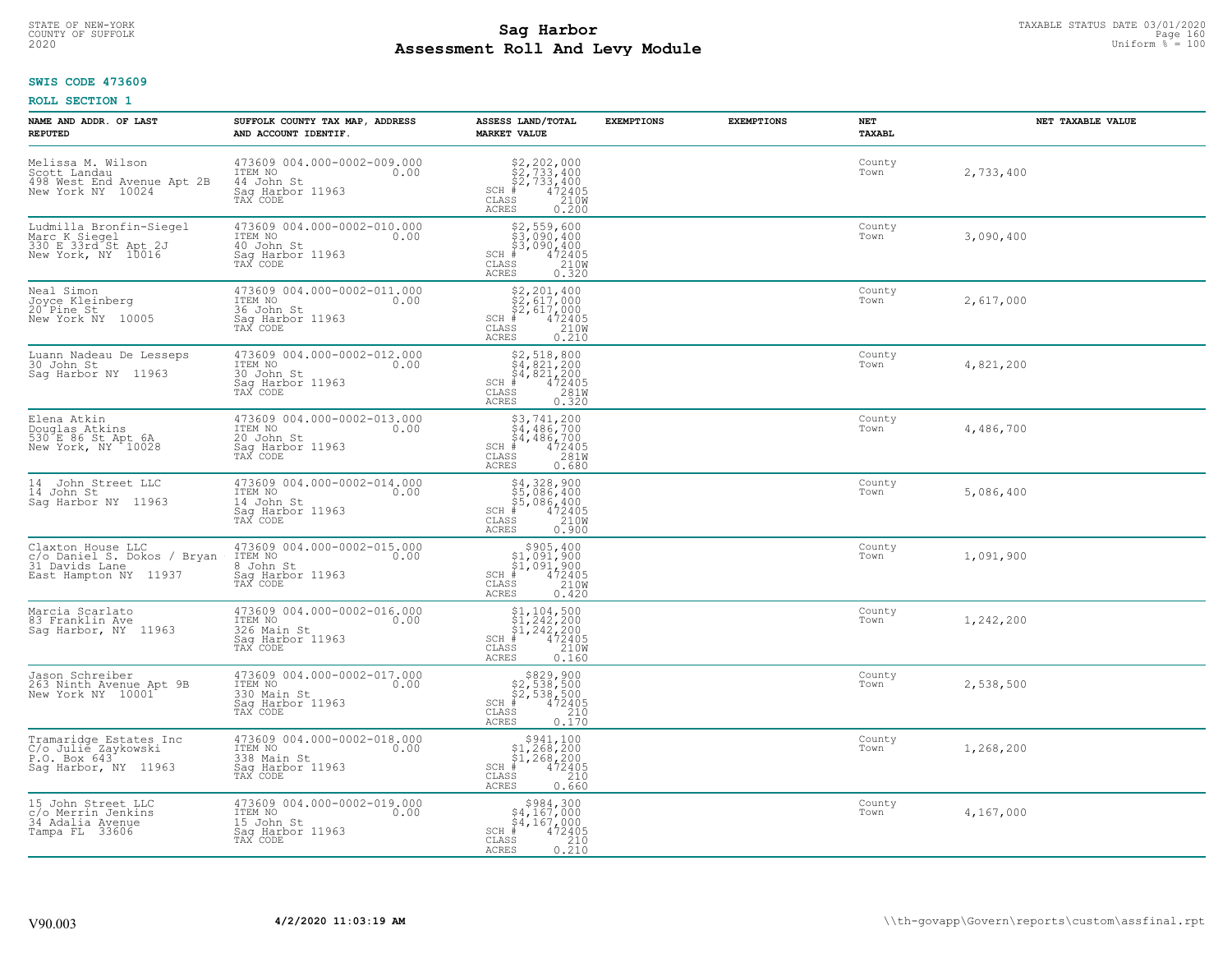# STATE OF NEW-YORK TAXABLE STATUS DATE 03/01/2020<br>COUNTY OF SUFFOLK Page 160 Page 160 **Assessment Roll And Levy Module Example 2020** Uniform  $\frac{1}{8}$  = 100

### **SWIS CODE 473609**

| NAME AND ADDR. OF LAST<br><b>REPUTED</b>                                                    | SUFFOLK COUNTY TAX MAP, ADDRESS<br>AND ACCOUNT IDENTIF.                                                            | ASSESS LAND/TOTAL<br><b>MARKET VALUE</b>                                                                                                                                                                                      | <b>EXEMPTIONS</b> | <b>EXEMPTIONS</b> | NET<br>TAXABL  | NET TAXABLE VALUE |
|---------------------------------------------------------------------------------------------|--------------------------------------------------------------------------------------------------------------------|-------------------------------------------------------------------------------------------------------------------------------------------------------------------------------------------------------------------------------|-------------------|-------------------|----------------|-------------------|
| Melissa M. Wilson<br>Scott Landau<br>498 West End Avenue Apt 2B<br>New York NY 10024        | 473609 004.000-0002-009.000<br>ITEM NO 0.00<br>14 John St<br>Sag Harbor 11963<br>TAX CODE                          | $$2, 202, 000$<br>$$2, 733, 400$<br>$$2, 733, 400$<br>$472405$<br>$$2100$<br>SCH #<br>CLASS<br><b>ACRES</b><br>0.200                                                                                                          |                   |                   | County<br>Town | 2,733,400         |
| Ludmilla Bronfin-Siegel<br>Marc K Siegel<br>330 E 33rd St Apt 2J<br>New York, NY 10016      | 473609 004.000-0002-010.000<br>ITEM NO<br>0.00<br>40 John St<br>Sag Harbor 11963<br>TAX CODE                       | \$2,559,600<br>\$3,090,400<br>\$3,090,400<br>\$3,090,400<br>\$5 210W<br>\$5 0.320<br>SCH #<br>CLASS<br>ACRES                                                                                                                  |                   |                   | County<br>Town | 3,090,400         |
| Neal Simon<br>Joyce Kleinberg<br>20 Pine St<br>New York NY 10005                            | 473609 004.000-0002-011.000<br>ITEM NO<br>0.00<br>36 John St<br>Sag Harbor 11963<br>TAX CODE                       | $$2,201,400$<br>$$2,617,000$<br>$$2,617,000$<br>$472405$<br>$$210M$<br>$SCH$ #<br>CLASS<br>0.210<br>ACRES                                                                                                                     |                   |                   | County<br>Town | 2,617,000         |
| Luann Nadeau De Lesseps<br>30 John St<br>Saq Harbor NY 11963                                | 473609 004.000-0002-012.000<br>ITEM NO<br>0.00<br>30 John St<br>Saq Harbor 11963<br>TAX CODE                       | \$2,518,800<br>\$4,821,200<br>\$4,821,200<br>#472405<br>\$5,281M<br>$SCH$ $#$<br>CLASS<br><b>ACRES</b><br>0.320                                                                                                               |                   |                   | County<br>Town | 4,821,200         |
| Elena Atkin<br>Douglas Atkins<br>530 E 86 St Apt 6A<br>New York, NY 10028                   | 473609 004.000-0002-013.000<br>ITEM NO 0.00<br>20 John St<br>11mH NO<br>20 John St<br>Saq Harbor 11963<br>TAX CODE | $$3,741,200$<br>$$4,486,700$<br>$$4,486,700$<br>SCH $*$ 472405<br>CLASS 281W<br>ACRES<br>0.680                                                                                                                                |                   |                   | County<br>Town | 4,486,700         |
| 14 John Street LLC<br>14 John St<br>Saq Harbor NY 11963                                     | 473609 004.000-0002-014.000<br>0.00<br>ITEM NO<br>14 John St<br>Sag Harbor 11963<br>TAX CODE                       | \$4,328,900<br>\$5,086,400<br>\$5,086,400<br># 472405<br>\$5 210M<br>$SCH$ #<br>$\mathtt{CLASS}$<br><b>ACRES</b><br>0.900                                                                                                     |                   |                   | County<br>Town | 5,086,400         |
| Claxton House LLC<br>c/o Daniel S. Dokos / Bryan<br>31 Davids Lane<br>Cast Hampton NY 11937 | 473609 004.000-0002-015.000<br>ITEM NO 0.00<br>8 John St<br>Sag Harbor 11963<br>TAX CODE                           | $$905,400$<br>$$1,091,900$<br>$$1,091,900$<br>$472405$<br>$$210M$<br>$SCH$ #<br>CLASS<br>ACRES<br>0.420                                                                                                                       |                   |                   | County<br>Town | 1,091,900         |
| Marcia Scarlato<br>83 Franklin Ave<br>Sag Harbor, NY 11963                                  | 473609 004.000-0002-016.000<br>ITEM NO. 0.00<br>326 Main St<br>Sag Harbor 11963<br>TAX CODE                        | $\begin{array}{l} \text{\$1,104,500} \\ \text{\$1,242,200} \\ \text{\$1,242,200} \\ \text{\$4$} \\ \text{\$5$} \\ \text{\$7$} \\ \text{\$8$} \\ \text{\$9$} \\ \text{\$1$} \end{array}$<br>$SCH$ #<br>CLASS<br>ACRES<br>0.160 |                   |                   | County<br>Town | 1,242,200         |
| Jason Schreiber<br>263 Ninth Avenue Apt 9B<br>New York NY 10001                             | 473609 004.000-0002-017.000<br>ITEM NO. 000<br>330 Main St<br>Sag Harbor 11963<br>TAX CODE                         | $$829,900$<br>$$2,538,500$<br>$$2,538,500$<br>$$472405$<br>$SCH$ #<br>CLASS<br>$\begin{array}{c} 210 \\ 0.170 \end{array}$<br><b>ACRES</b>                                                                                    |                   |                   | County<br>Town | 2,538,500         |
| Tramaridge Estates Inc<br>C/o Julié Zaykowski<br>P.O. Box 643<br>Saq Harbor, NY 11963       | 473609 004.000-0002-018.000<br>ITEM NO<br>338 Main St<br>0.00<br>Sag Harbor 11963<br>TAX CODE                      | $$5941, 100$<br>$$1, 268, 200$<br>$$1, 268, 200$<br>$$472405$<br>$SCH$ #<br>CLASS<br>210<br>ACRES<br>0.660                                                                                                                    |                   |                   | County<br>Town | 1,268,200         |
| 15 John Street LLC<br>c/o Merrin Jenkins<br>34 Adalia Avenue<br>Tampa FL 33606              | 473609 004.000-0002-019.000<br>ITEM NO 0.00<br>15 John St<br>Sag Harbor 11963<br>TAX CODE                          | $$984, 300$<br>$$4, 167, 000$<br>$$4, 167, 000$<br>$SCH$ #<br>472405<br>CLASS<br>$\frac{210}{0.210}$<br>ACRES                                                                                                                 |                   |                   | County<br>Town | 4,167,000         |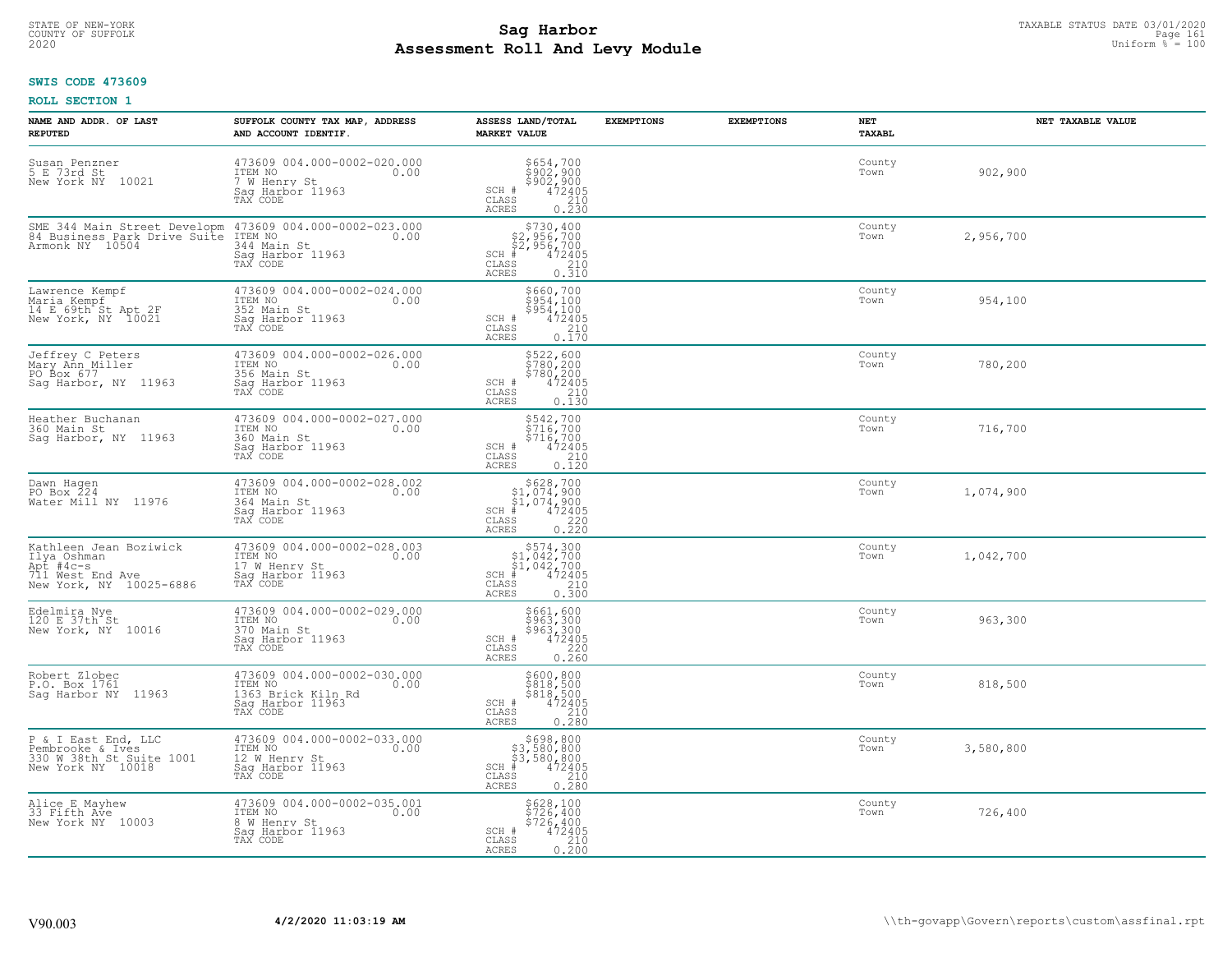# STATE OF NEW-YORK TAXABLE STATUS DATE 03/01/2020<br>COUNTY OF SUFFOLK Page 161 Page 161 **Assessment Roll And Levy Module Example 2020** Uniform  $\frac{1}{8}$  = 100

#### **SWIS CODE 473609**

| NAME AND ADDR. OF LAST<br><b>REPUTED</b>                                                                                           | SUFFOLK COUNTY TAX MAP, ADDRESS<br>AND ACCOUNT IDENTIF.                                              | ASSESS LAND/TOTAL<br><b>MARKET VALUE</b>                                                                                                                                                          | <b>EXEMPTIONS</b> | <b>EXEMPTIONS</b> | <b>NET</b><br>TAXABL | NET TAXABLE VALUE |
|------------------------------------------------------------------------------------------------------------------------------------|------------------------------------------------------------------------------------------------------|---------------------------------------------------------------------------------------------------------------------------------------------------------------------------------------------------|-------------------|-------------------|----------------------|-------------------|
| Susan Penzner<br>5 E 73rd St<br>New York NY 10021                                                                                  | 473609 004.000-0002-020.000<br>ITEM NO<br>0.00<br>7 W Henry St<br>Sag Harbor 11963<br>TAX CODE       | \$654,700<br>\$902,900<br>\$902,900<br>472405<br>SCH #<br>CLASS<br>$\frac{210}{0.230}$<br><b>ACRES</b>                                                                                            |                   |                   | County<br>Town       | 902,900           |
| SME 344 Main Street Developm 473609 004.000-0002-023.000<br>84 Business Park Drive Suite ITEM NO 100002-023.000<br>Armonk NY 10504 | Sag Harbor 11963<br>TAX CODE                                                                         | $$730, 400$<br>$$2, 956, 700$<br>$$2, 956, 700$<br>$472405$<br>$$35$<br>$$210$<br>SCH #<br><b>CLASS</b><br>0.310<br>ACRES                                                                         |                   |                   | County<br>Town       | 2,956,700         |
| Lawrence Kempf<br>Maria Kempf<br>14 E 69th St Apt 2F<br>New York, NY 10021                                                         | 473609 004.000-0002-024.000<br>ITEM NO<br>0.00<br>352 Main St<br>Sag Harbor 11963<br>TAX CODE        | \$660,700<br>\$954,100<br>\$954,100<br>472405<br>SCH #<br>210<br>CLASS<br>0.170<br><b>ACRES</b>                                                                                                   |                   |                   | County<br>Town       | 954,100           |
| Jeffrey C Peters<br>Mary Ann Miller<br>PO Box 677<br>Sag Harbor, NY 11963                                                          | 473609 004.000-0002-026.000<br>ITEM NO<br>0.00<br>356 Main St<br>Sag Harbor 11963<br>TAX CODE        | \$522,600<br>\$780,200<br>\$780,200<br>\$780,200<br>SCH #<br>CLASS<br>210<br>ACRES<br>0.130                                                                                                       |                   |                   | County<br>Town       | 780,200           |
| Heather Buchanan<br>360 Main St<br>Sag Harbor, NY 11963                                                                            | 473609 004.000-0002-027.000<br>ITEM NO<br>0.00<br>360 Main St<br>Sag Harbor 11963<br>TAX CODE        | \$542,700<br>\$716,700<br>\$716,700<br>SCH #<br>472405<br>CLASS<br>$\begin{array}{c} 210 \\ 0.120 \end{array}$<br>ACRES                                                                           |                   |                   | County<br>Town       | 716,700           |
| Dawn Hagen<br>PO Box 224<br>Water Mill NY 11976                                                                                    | 473609 004.000-0002-028.002<br>ITEM NO<br>0.00<br>364 Main St<br>Sag Harbor 11963<br>TAX CODE        | $\begin{array}{r}  \  \  \, 5628,700 \\  \  \, 51,074,900 \\  \  \, 51,074,900 \\  \  \  \, 472405 \\  \  \  \, 85 \\  \  \  \, 0.220 \end{array}$<br>$SCH$ #<br>$\mathtt{CLASS}$<br><b>ACRES</b> |                   |                   | County<br>Town       | 1,074,900         |
| Kathleen Jean Boziwick<br>Ilya Oshman<br>Apt #4c-s<br>711 West End Ave<br>New York, NY 10025-6886                                  | 473609 004.000-0002-028.003<br>ITEM NO<br>0.00<br>17 W Henry St<br>Sag Harbor 11963<br>TAX CODE      | $$574,300$<br>$$1,042,700$<br>$$1,042,700$<br>$$472405$<br>$SCH$ #<br>$\mathtt{CLASS}$<br>$\begin{array}{c} 210 \\ 0.300 \end{array}$<br><b>ACRES</b>                                             |                   |                   | County<br>Town       | 1,042,700         |
| Edelmira Nye<br>120 E 37th St<br>New York, NY 10016                                                                                | 473609 004.000-0002-029.000<br>ITEM NO<br>0.00<br>370 Main St<br>Saq Harbor 11963<br>TAX CODE        | \$661,600<br>\$963,300<br>\$963,300<br>472405<br>SCH #<br>$0.220$<br>0.260<br>CLASS<br><b>ACRES</b>                                                                                               |                   |                   | County<br>Town       | 963,300           |
| Robert Zlobec<br>P.O. Box 1761<br>Saq Harbor NY 11963                                                                              | 473609 004.000-0002-030.000<br>ITEM NO<br>0.00<br>1363 Brick Kiln Rd<br>Saq Harbor 11963<br>TAX CODE | \$600,800<br>\$818,500<br>\$818,500<br>472405<br>SCH #<br>CLASS<br>$\frac{210}{0.280}$<br>ACRES                                                                                                   |                   |                   | County<br>Town       | 818,500           |
| P & I East End, LLC<br>Pembrooke & Ives<br>330 W 38th St Suite 1001<br>New York NY 10018                                           | 473609 004.000-0002-033.000<br>ITEM NO<br>12 W Henry St<br>0.00<br>Saq Harbor 11963<br>TAX CODE      | \$698,800<br>\$3,580,800<br>\$3,580,800<br>#472405<br>$SCH$ #<br>$\begin{array}{c} 210 \\ 0.280 \end{array}$<br>CLASS<br>ACRES                                                                    |                   |                   | County<br>Town       | 3,580,800         |
| Alice E Mayhew<br>33 Fifth Ave<br>New York NY 10003                                                                                | 473609 004.000-0002-035.001<br>ITEM NO<br>0.00<br>8 W Henry St<br>Sag Harbor 11963<br>TAX CODE       | \$628,100<br>\$726,400<br>\$726,400<br>472405<br>SCH #<br>CLASS<br>0.200<br>ACRES                                                                                                                 |                   |                   | County<br>Town       | 726,400           |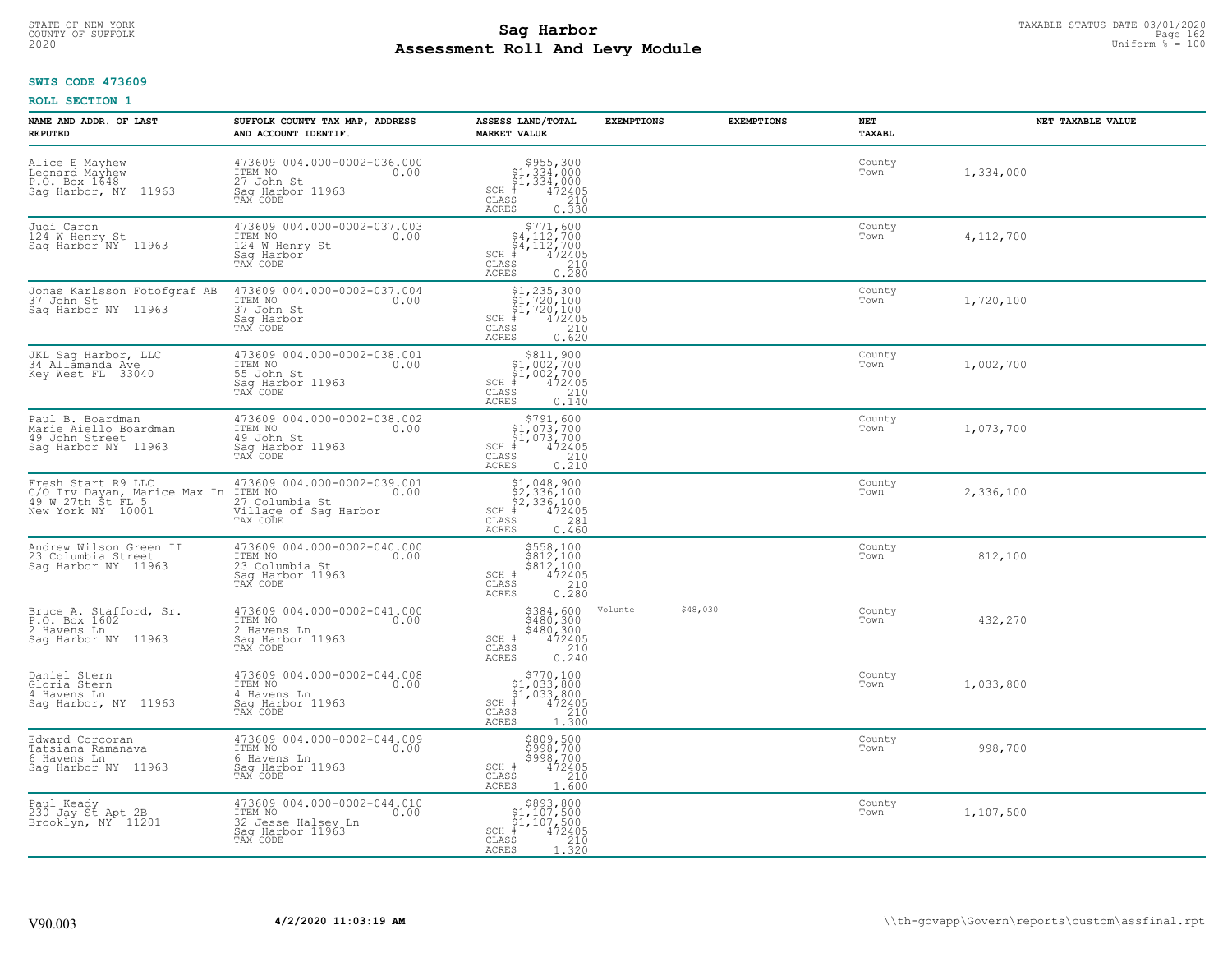# STATE OF NEW-YORK TAXABLE STATUS DATE 03/01/2020<br>COUNTY OF SUFFOLK Page 162 **Assessment Roll And Levy Module Example 2020** Uniform  $\frac{1}{8}$  = 100

#### **SWIS CODE 473609**

| NAME AND ADDR. OF LAST<br><b>REPUTED</b>                                                             | SUFFOLK COUNTY TAX MAP, ADDRESS<br>AND ACCOUNT IDENTIF.                                              | ASSESS LAND/TOTAL<br><b>MARKET VALUE</b>                                                                                                                                                                                                                                                                                                                                                        | <b>EXEMPTIONS</b>   | <b>EXEMPTIONS</b> | NET<br>TAXABL  | NET TAXABLE VALUE |
|------------------------------------------------------------------------------------------------------|------------------------------------------------------------------------------------------------------|-------------------------------------------------------------------------------------------------------------------------------------------------------------------------------------------------------------------------------------------------------------------------------------------------------------------------------------------------------------------------------------------------|---------------------|-------------------|----------------|-------------------|
| Alice E Mayhew<br>Leonard Mayhew<br>P.O. Box 1648<br>Sag Harbor, NY 11963                            | 473609 004.000-0002-036.000<br>ITEM NO<br>0.00<br>27 John St<br>Saq Harbor 11963<br>TAX CODE         | $$955,300\n$1,334,000\n$1,334,000\n# 472405\n35\n210$<br>$SCH$ #<br>CLASS<br><b>ACRES</b><br>0.330                                                                                                                                                                                                                                                                                              |                     |                   | County<br>Town | 1,334,000         |
| Judi Caron<br>124 W Henry St<br>Saq Harbor <sup>*</sup> NY 11963                                     | 473609 004.000-0002-037.003<br>ITEM NO<br>0.00<br>124 W Henry St<br>Saq Harbor<br>TAX CODE           | $$771,600$<br>$$4,112,700$<br>$$4,112,700$<br>$$4,112,700$<br>$SCH$ #<br>472405<br>CLASS<br>$\frac{210}{0.280}$<br>ACRES                                                                                                                                                                                                                                                                        |                     |                   | County<br>Town | 4,112,700         |
| Jonas Karlsson Fotofgraf AB<br>37 John St<br>Saq Harbor NY 11963                                     | 473609 004.000-0002-037.004<br>ITEM NO<br>0.00<br>37 John St<br>Saq Harbor<br>TAX CODE               | $$1, 235, 300$<br>$$1, 720, 100$<br>$$1, 720, 100$<br>$$472405$<br>$SCH$ #<br>CLASS<br>210<br>0.620<br>ACRES                                                                                                                                                                                                                                                                                    |                     |                   | County<br>Town | 1,720,100         |
| JKL Sag Harbor, LLC<br>34 Allamanda Ave<br>Key West FL 33040                                         | 473609 004.000-0002-038.001<br>ITEM NO<br>0.00<br>55 John St<br>Saq Harbor 11963<br>TAX CODE         | $\begin{array}{c} $811,900 \\ $1,002,700 \\ $1,002,700 \\ $1,002,700 \end{array}$<br>$SCH$ #<br>$\frac{472405}{210}$<br>CLASS<br><b>ACRES</b><br>0.140                                                                                                                                                                                                                                          |                     |                   | County<br>Town | 1,002,700         |
| Paul B. Boardman<br>Marie Aiello Boardman<br>49 John Street<br>Sag Harbor NY 11963                   | 473609 004.000-0002-038.002<br>ITEM NO<br>0.00<br>49 John St<br>Sag Harbor 11963<br>TAX CODE         | \$791,600<br>$\begin{array}{c} 31,901,700 \\ 51,073,700 \\ * & 472405 \\ * & 210 \\ * & 210 \\ * & 210 \\ * & 210 \\ * & 210 \\ * & 210 \\ * & 210 \\ * & 210 \\ * & 210 \\ * & 210 \\ * & 210 \\ * & 210 \\ * & 210 \\ * & 210 \\ * & 210 \\ * & 210 \\ * & 210 \\ * & 210 \\ * & 210 \\ * & 210 \\ * & 210 \\ * & 210 \\ * & 210 \\ * & 210 \\ * & 210 \\ * & 2$<br>$SCH$ #<br>CLASS<br>ACRES |                     |                   | County<br>Town | 1,073,700         |
| Fresh Start R9 LLC<br>C/O Irv Dayan, Marice Max In ITEM NO<br>49 W 27th St FL 5<br>New York NY 10001 | 473609 004.000-0002-039.001<br>0.00<br>27 Columbia St<br>Village of Sag Harbor<br>TAX CODE           | $$1,048,900$<br>$$2,336,100$<br>$$2,336,100$<br>$$472405$<br>$SCH$ #<br>CLASS<br>281<br>ACRES<br>0.460                                                                                                                                                                                                                                                                                          |                     |                   | County<br>Town | 2,336,100         |
| Andrew Wilson Green II<br>23 Columbia Street<br>Saq Harbor NY 11963                                  | 473609 004.000-0002-040.000<br>ITEM NO<br>0.00<br>23 Columbia St<br>Sag Harbor 11963<br>TAX CODE     | \$558,100<br>\$812,100<br>\$812,100<br>472405<br>SCH #<br>CLASS<br>210<br>0.280<br>ACRES                                                                                                                                                                                                                                                                                                        |                     |                   | County<br>Town | 812,100           |
| Bruce A. Stafford, Sr.<br>P.O. Box 1602<br>2 Havens Ln<br>Saq Harbor NY 11963                        | 473609 004.000-0002-041.000<br>0.00<br>2 Havens Ln<br>Saq Harbor 11963<br>TAX CODE                   | \$384,600<br>\$480,300<br>\$480,300<br>472405<br>SCH #<br>CLASS<br>210<br><b>ACRES</b><br>0.240                                                                                                                                                                                                                                                                                                 | \$48,030<br>Volunte |                   | County<br>Town | 432,270           |
| Daniel Stern<br>Gloria Stern<br>4 Havens Ln<br>Sag Harbor, NY 11963                                  | 473609 004.000-0002-044.008<br>1TEM NO 0.00<br>4 Havens Ln<br>Saq Harbor 11963<br>TAX CODE           | $\begin{array}{c} $770,100 \\ $1,033,800 \\ $1,033,800 \end{array}$<br>$SCH$ #<br>472405<br>CLASS<br>210<br>ACRES<br>1.300                                                                                                                                                                                                                                                                      |                     |                   | County<br>Town | 1,033,800         |
| Edward Corcoran<br>Tatsiana Ramanava<br>6 Havens Ln<br>Saq Harbor NY 11963                           | 473609 004.000-0002-044.009<br>ITEM NO<br>0.00<br>6 Havens Ln<br>Sag Harbor 11963<br>TAX CODE        | \$809,500<br>\$998,700<br>\$998,700<br>SCH #<br>472405<br>210<br>CLASS<br>1.600<br><b>ACRES</b>                                                                                                                                                                                                                                                                                                 |                     |                   | County<br>Town | 998,700           |
| Paul Keady<br>230 Jay St Apt 2B<br>Brooklyn, NY <sup>+</sup> 11201                                   | 473609 004.000-0002-044.010<br>ITEM NO<br>0.00<br>32 Jesse Halsey Ln<br>Saq Harbor 11963<br>TAX CODE | $\begin{array}{c} $893, 800 \\ $1, 107, 500 \\ $1, 107, 500 \end{array}$<br>472405<br>$SCH$ #<br>CLASS<br>210<br>ACRES<br>1.320                                                                                                                                                                                                                                                                 |                     |                   | County<br>Town | 1,107,500         |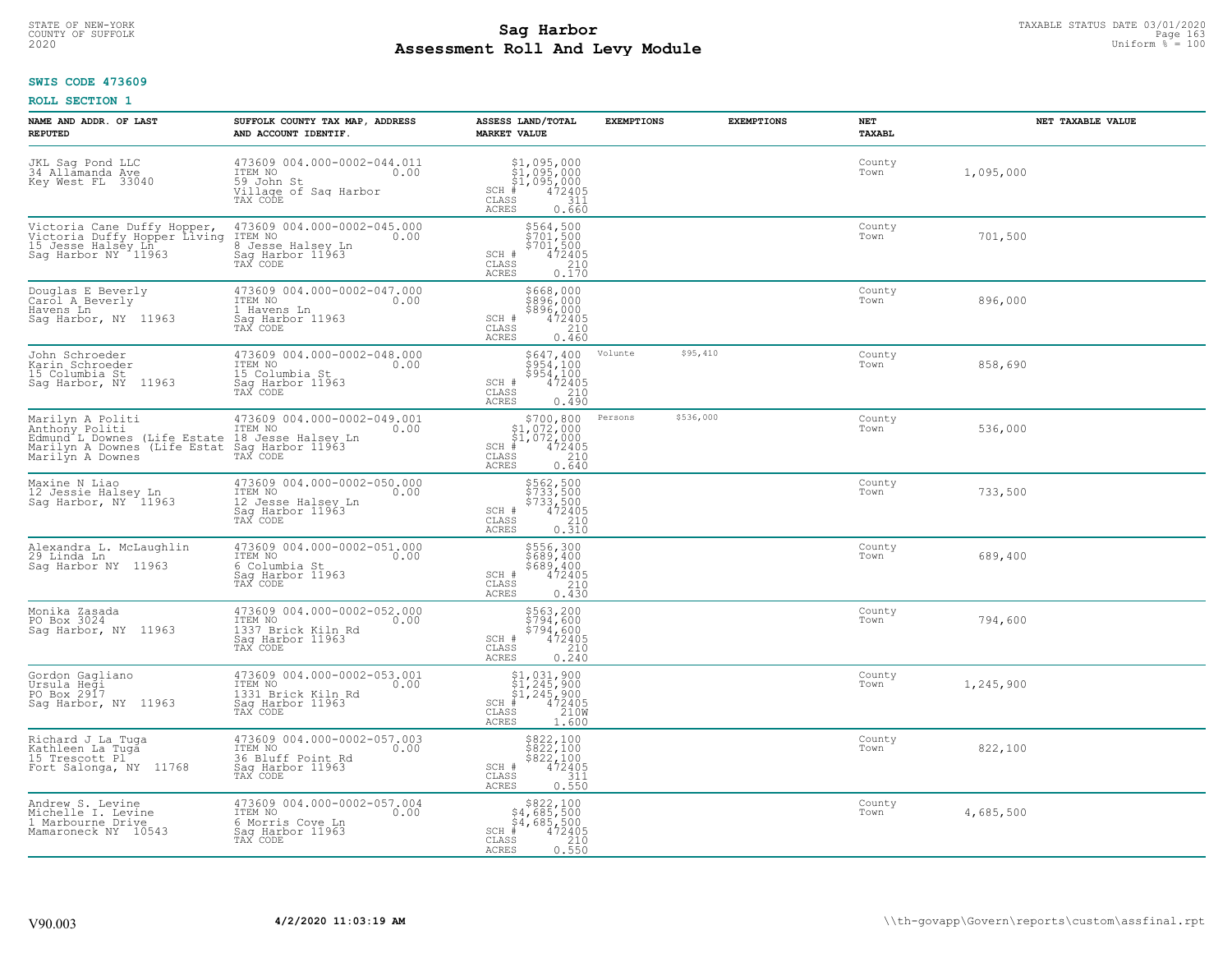# TAXABLE STATUS DATE 03/01/2020<br>COUNTY OF SUFFOLK Page 163 **Assessment Roll And Levy Module Example 2020** Uniform  $\frac{1}{8}$  = 100

#### **SWIS CODE 473609**

| NAME AND ADDR. OF LAST<br><b>REPUTED</b>                                                                                                                                              | SUFFOLK COUNTY TAX MAP, ADDRESS<br>AND ACCOUNT IDENTIF.                                              | ASSESS LAND/TOTAL<br><b>MARKET VALUE</b>                                                                                                   | <b>EXEMPTIONS</b> | <b>EXEMPTIONS</b> | <b>NET</b><br><b>TAXABL</b> | NET TAXABLE VALUE |
|---------------------------------------------------------------------------------------------------------------------------------------------------------------------------------------|------------------------------------------------------------------------------------------------------|--------------------------------------------------------------------------------------------------------------------------------------------|-------------------|-------------------|-----------------------------|-------------------|
| JKL Saq Pond LLC<br>34 Allamanda Ave<br>Key West FL 33040                                                                                                                             | 473609 004.000-0002-044.011<br>ITEM NO<br>0.00<br>59 John St<br>Village of Sag Harbor<br>TAX CODE    | $$1,095,000$<br>$$1,095,000$<br>$$1,095,000$<br>$*$ 472405<br>$SCH$ #<br>CLASS<br>311<br>ACRES<br>0.660                                    |                   |                   | County<br>Town              | 1,095,000         |
| Victoria Cane Duffy Hopper,<br>Victoria Duffy Hopper Living<br>15 Jesse Halsey Ln<br>Sag Harbor NY 11963                                                                              | 473609 004.000-0002-045.000<br>ITEM NO<br>0.00<br>8 Jesse Halsey Ln<br>Sag Harbor 11963<br>TAX CODE  | \$564,500<br>\$701,500<br>\$701,500<br>\$704,500<br>SCH #<br>CLASS<br>$\frac{210}{0.170}$<br>ACRES                                         |                   |                   | County<br>Town              | 701,500           |
| Douglas E Beverly<br>Carol A Beverly<br>Havens Ln<br>Saq Harbor, NY 11963                                                                                                             | 473609 004.000-0002-047.000<br>ITEM NO<br>0.00<br>1 Havens Ln<br>Sag Harbor 11963<br>TAX CODE        | \$668,000<br>\$896,000<br>$$896,000$<br>$472405$<br>SCH #<br>CLASS<br>210<br>0.460<br><b>ACRES</b>                                         |                   |                   | County<br>Town              | 896,000           |
| John Schroeder<br>Karin Schroeder<br>15 Columbia St<br>Saq Harbor, NY 11963                                                                                                           | 473609 004.000-0002-048.000<br>ITEM NO<br>0.00<br>15 Columbia St<br>Saq Harbor 11963<br>TAX CODE     | \$647,400<br>$5954,1005954,1004724050.490$<br>SCH #<br>CLASS<br><b>ACRES</b>                                                               | Volunte           | \$95,410          | County<br>Town              | 858,690           |
| Marilyn A Politi<br>Marilyn A ruille<br>Anthony Politic Botate 18 Jesse Halsey Ln<br>Edmund L Downes (Life Estate 18 Jesse Halsey Ln<br>Marilyn A Downes (Life Estat Saq Harbor 11963 | 473609 004.000-0002-049.001<br>0.00                                                                  | \$700,800<br>\$1,072,000<br>\$1,072,000<br>#472405<br>$SCH$ #<br>CLASS<br>$\frac{210}{0.640}$<br>ACRES                                     | Persons           | \$536,000         | County<br>Town              | 536,000           |
| Maxine N Liao<br>12 Jessie Halsey Ln<br>Sag Harbor, NY 11963                                                                                                                          | 473609 004.000-0002-050.000<br>TTEM NO 0.00<br>12 Jesse Halsey Ln<br>Sag Harbor 11963<br>TAX CODE    | \$562,500<br>\$733,500<br>\$733,500<br>472405<br>SCH #<br>$\frac{210}{0.310}$<br>CLASS<br><b>ACRES</b>                                     |                   |                   | County<br>Town              | 733,500           |
| Alexandra L. McLaughlin<br>29 Linda Ln<br>Saq Harbor NY 11963                                                                                                                         | 473609 004.000-0002-051.000<br>TTEM NO 0.00<br>6 Columbia St<br>Sag Harbor 11963<br>TAX CODE         | \$556,300<br>\$689,400<br>\$689,400<br>472405<br>SCH #<br>CLASS<br>210<br>0.430<br><b>ACRES</b>                                            |                   |                   | County<br>Town              | 689,400           |
| Monika Zasada<br>PO Box 3024<br>Saq Harbor, NY<br>11963                                                                                                                               | 473609 004.000-0002-052.000<br>ITEM NO<br>0.00<br>1337 Brick Kiln Rd<br>Sag Harbor 11963<br>TAX CODE | \$563,200<br>\$794,600<br>\$794,600<br>SCH #<br>472405<br>210<br>CLASS<br><b>ACRES</b><br>0.240                                            |                   |                   | County<br>Town              | 794,600           |
| Gordon Gagliano<br>Ursula Hegi<br>PO Box 2917<br>Sag Harbor, NY 11963                                                                                                                 | 473609 004.000-0002-053.001<br>ITEM NO<br>1331 Brick Kiln Rd<br>0.00<br>Sag Harbor 11963<br>TAX CODE | $$1,031,900$<br>$$1,245,900$<br>$$1,245,900$<br>$472405$<br>$35$<br>$1210M$<br>$SCH$ #<br>$\mathtt{CLASS}$<br>ACRES<br>1.600               |                   |                   | County<br>Town              | 1,245,900         |
| Richard J La Tuga<br>Kathleen La Tuga<br>15 Trescott Pl<br>Fort Salonga, NY 11768                                                                                                     | 473609 004.000-0002-057.003<br>TTEM NO 0.00<br>36 Bluff Point Rd<br>Sag Harbor 11963<br>TAX CODE     | \$822,100<br>$\begin{array}{r} 8822,100 \\ 8822,100 \\ 472405 \\ 0.550 \end{array}$<br>SCH #<br>CLASS<br><b>ACRES</b>                      |                   |                   | County<br>Town              | 822,100           |
| Andrew S. Levine<br>Michelle I. Levine<br>1 Marbourne Drive<br>Mamaroneck NY 10543                                                                                                    | 473609 004.000-0002-057.004<br>ITEM NO<br>0.00<br>6 Morris Cove Ln<br>Sag Harbor 11963<br>TAX CODE   | $\begin{array}{r}  \  \  \, 822,100\\  54,685,500\\  54,685,500\\ *\\ 35 \\ 210 \\ *\\ 55 \\ 0.550 \end{array}$<br>SCH #<br>CLASS<br>ACRES |                   |                   | County<br>Town              | 4,685,500         |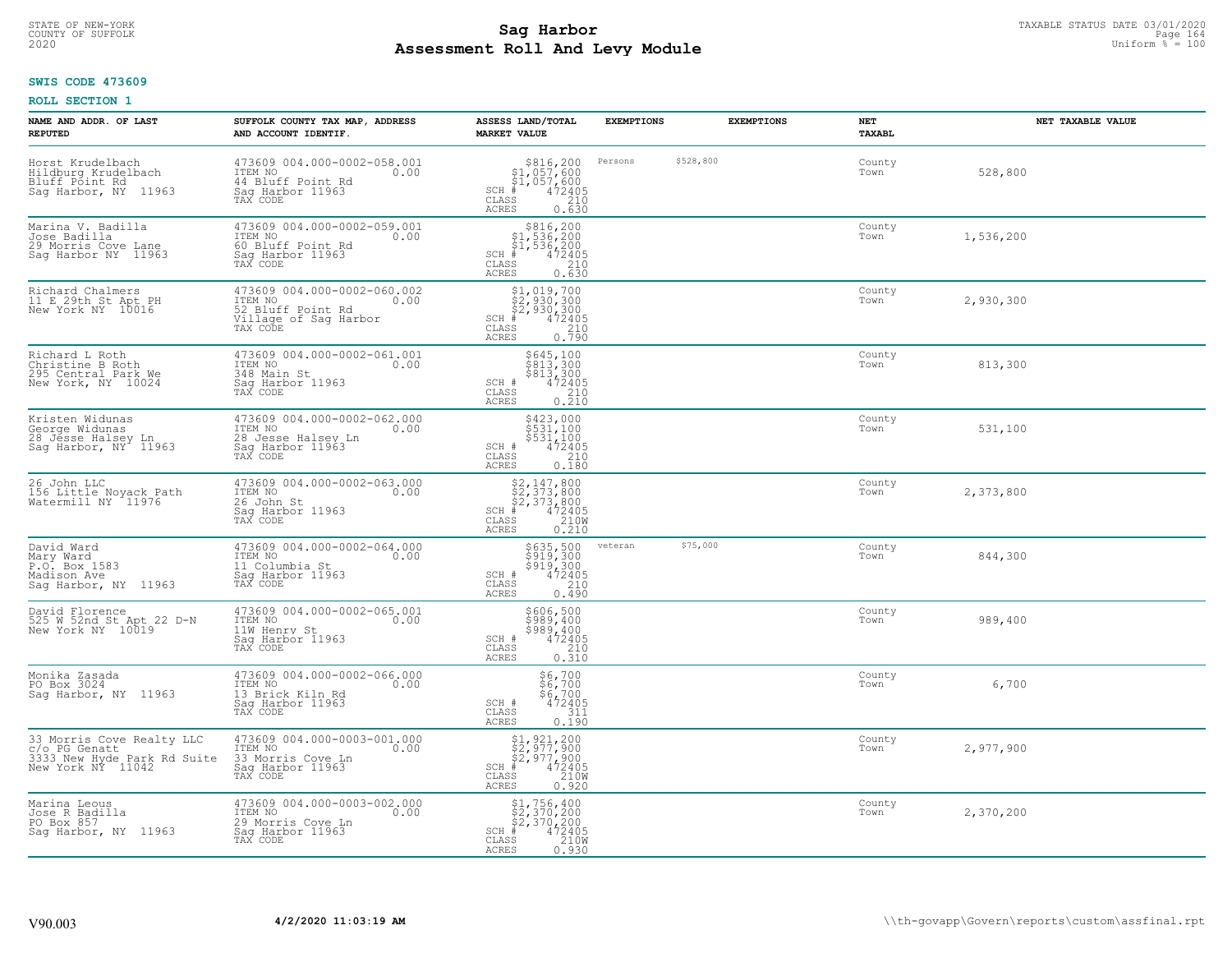# STATE OF NEW-YORK TAXABLE STATUS DATE 03/01/2020<br>26 Page 164 **Sag Harbor** State of Suffolk Page 164 **Assessment Roll And Levy Module Example 2020** Uniform  $\frac{1}{8}$  = 100

### **SWIS CODE 473609**

| NAME AND ADDR. OF LAST<br><b>REPUTED</b>                                                              | SUFFOLK COUNTY TAX MAP, ADDRESS<br>AND ACCOUNT IDENTIF.                                                   | ASSESS LAND/TOTAL<br><b>MARKET VALUE</b>                                                                                                           | <b>EXEMPTIONS</b> |           | <b>EXEMPTIONS</b> | NET<br>TAXABL  | NET TAXABLE VALUE |
|-------------------------------------------------------------------------------------------------------|-----------------------------------------------------------------------------------------------------------|----------------------------------------------------------------------------------------------------------------------------------------------------|-------------------|-----------|-------------------|----------------|-------------------|
| Horst Krudelbach<br>Hildburg Krudelbach<br>Bluff Point Rd<br>Saq Harbor, NY 11963                     | 473609 004.000-0002-058.001<br>ITEM NO<br>0.00<br>44 Bluff Point Rd<br>Saq Harbor 11963<br>TAX CODE       | \$816,200<br>$$1,057,600$<br>$$1,057,600$<br>$*$ 472405<br>SCH #<br>CLASS<br>210<br><b>ACRES</b><br>0.630                                          | Persons           | \$528,800 |                   | County<br>Town | 528,800           |
| Marina V. Badilla<br>Jose Badilla<br>29 Morris Cove Lane<br>Sag Harbor NY 11963                       | 473609 004.000-0002-059.001<br>ITEM NO<br>0.00<br>60 Bluff Point Rd<br>Sag Harbor 11963<br>TAX CODE       | $$316, 200$<br>$$1, 536, 200$<br>$$1, 536, 200$<br>$472405$<br>$$210$<br>$SCH$ #<br>CLASS<br><b>ACRES</b><br>0.630                                 |                   |           |                   | County<br>Town | 1,536,200         |
| Richard Chalmers<br>11 E 29th St Apt PH<br>New York NY 10016                                          | 473609 004.000-0002-060.002<br>ITEM NO<br>0.00<br>52 Bluff Point Rd<br>Village of Sag Harbor<br>TAX CODE  | \$1,019,700<br>\$2,930,300<br>\$2,930,300<br>\$4,930,300<br>$SCH$ #<br>CLASS<br>$\frac{210}{0.790}$<br><b>ACRES</b>                                |                   |           |                   | County<br>Town | 2,930,300         |
| Richard L Roth<br>Christine B Roth<br>295 Central Park We<br>New York, NY 10024                       | 473609 004.000-0002-061.001<br>ITEM NO<br>0.00<br>348 Main St<br>Saq Harbor 11963<br>TAX CODE             | \$645,100<br>\$813,300<br>\$813,300<br>472405<br>SCH #<br>$\mathtt{CLASS}$<br>$\frac{210}{0.210}$<br><b>ACRES</b>                                  |                   |           |                   | County<br>Town | 813,300           |
| Kristen Widunas<br>George Widunas<br>28 Jesse Halsey Ln<br>28 Jesse Halsey Ln<br>Sag Harbor, NY 11963 | 473609 004.000-0002-062.000<br>TTEM NO 0.00<br>0.00<br>28 Jesse Halsey Ln<br>Saq Harbor 11963<br>TAX CODE | \$423,000<br>\$531,100<br>\$531,100<br>472405<br>SCH #<br>CLASS<br>210<br><b>ACRES</b><br>0.180                                                    |                   |           |                   | County<br>Town | 531,100           |
| 26 John LLC<br>156 Little Noyack Path<br>Watermill NY 11976                                           | 473609 004.000-0002-063.000<br>ITEM NO<br>0.00<br>26 John St<br>Sag Harbor 11963<br>TAX CODE              | $$2,147,800$<br>$$2,373,800$<br>$$2,373,800$<br>$*$<br>$472405$<br>$2100$<br>SCH #<br>CLASS<br><b>ACRES</b><br>0.210                               |                   |           |                   | County<br>Town | 2,373,800         |
| David Ward<br>Mary Ward<br>P.O. Box 1583<br>Madison Ave<br>Saq Harbor, NY 11963                       | 473609 004.000-0002-064.000<br>ITEM NO<br>0.00<br>11 Columbia St<br>Sag Harbor 11963<br>TAX CODE          | $\begin{array}{r} 5635, 500 \\ 5919, 300 \\ 5919, 300 \\ 472405 \\ 2405 \\ 2400 \end{array}$<br>SCH #<br>$\mathtt{CLASS}$<br><b>ACRES</b><br>0.490 | veteran           | \$75,000  |                   | County<br>Town | 844,300           |
| David Florence<br>525 W 52nd St Apt 22 D-N<br>New York NY 10019                                       | 473609 004.000-0002-065.001<br>ITEM NO<br>0.00<br>11W Henry St<br>Saq Harbor 11963<br>TAX CODE            | \$606,500<br>\$989,400<br>\$989,400<br>472405<br>SCH #<br>CLASS<br>210<br>ACRES<br>0.310                                                           |                   |           |                   | County<br>Town | 989,400           |
| Monika Zasada<br>PO Box 3024<br>Sag Harbor, NY 11963                                                  | 473609 004.000-0002-066.000<br>ITEM NO<br>0.00<br>13 Brick Kiln Rd<br>Saq Harbor 11963<br>TAX CODE        | $$6,700$<br>$$6,700$<br>$$6,700$<br>SCH #<br>472405<br>CLASS<br>311<br><b>ACRES</b><br>0.190                                                       |                   |           |                   | County<br>Town | 6,700             |
| 33 Morris Cove Realty LLC<br>c/o PG Genatt<br>3333 New Hyde Park Rd Suite<br>New York NY 11042        | 473609 004.000-0003-001.000<br>ITEM NO<br>0.00<br>33 Morris Cove Ln<br>Sag Harbor 11963                   | \$1,921,200<br>\$2,977,900<br>\$2,977,900<br># 472405<br>\$5 210M<br>$SCH$ #<br>CLASS<br>ACRES<br>0.920                                            |                   |           |                   | County<br>Town | 2,977,900         |
| Marina Leous<br>Jose R Badilla<br>PO Box 857<br>Sag Harbor, NY 11963                                  | 473609 004.000-0003-002.000<br>ITEM NO<br>0.00<br>29 Morris Cove Ln<br>Sag Harbor 11963<br>TAX CODE       | \$1,756,400<br>\$2,370,200<br>\$2,370,200<br># 472405<br>\$5 210M<br>$SCH$ #<br>CLASS<br>ACRES<br>0.930                                            |                   |           |                   | County<br>Town | 2,370,200         |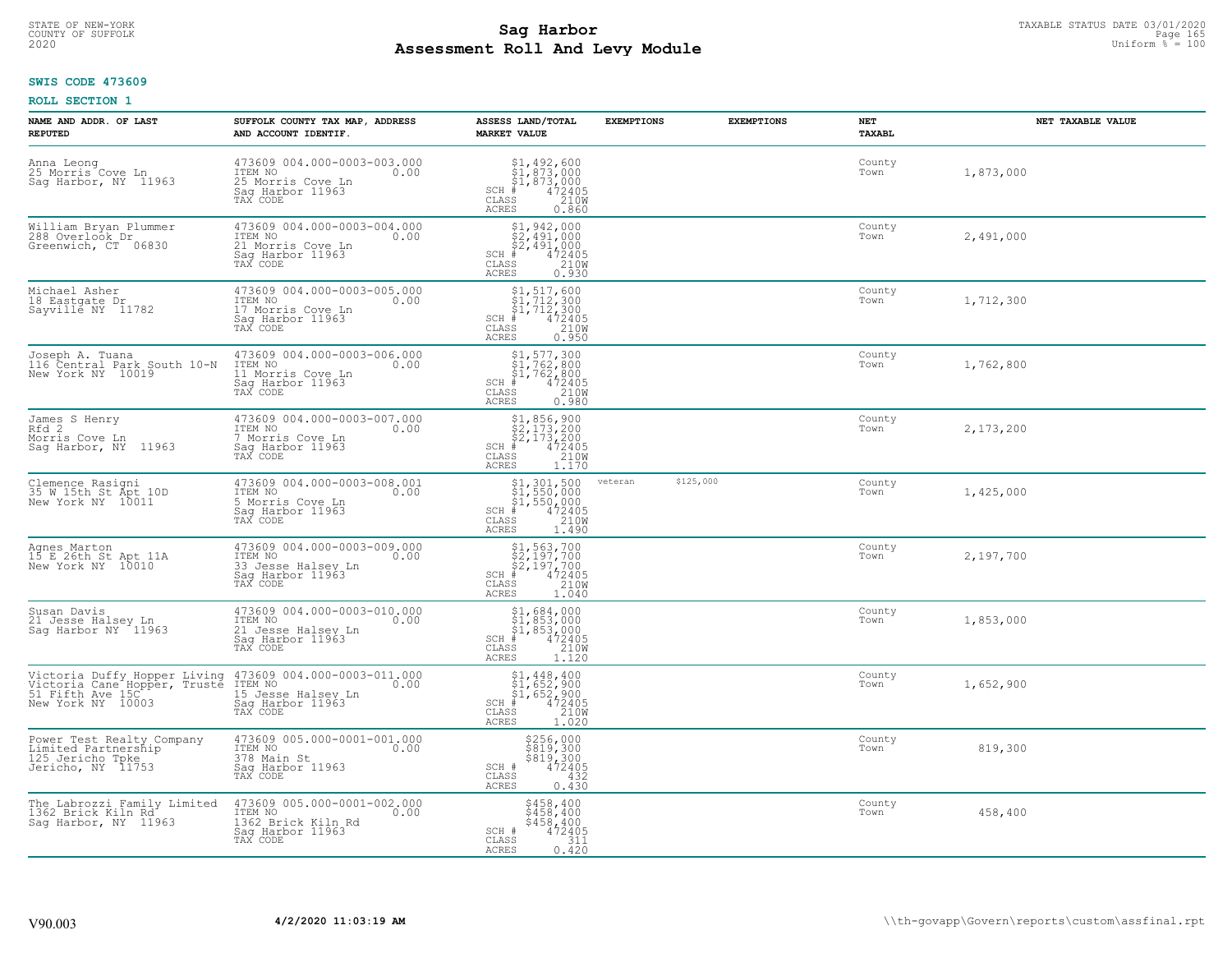# STATE OF NEW-YORK TAXABLE STATUS DATE 03/01/2020<br>COUNTY OF SUFFOLK Page 165 **Assessment Roll And Levy Module Example 2020** Uniform  $\frac{1}{8}$  = 100

#### **SWIS CODE 473609**

| NAME AND ADDR. OF LAST<br><b>REPUTED</b>                                                              | SUFFOLK COUNTY TAX MAP, ADDRESS<br>AND ACCOUNT IDENTIF.                                              | ASSESS LAND/TOTAL<br><b>MARKET VALUE</b>                                                                                                  | <b>EXEMPTIONS</b>    | <b>EXEMPTIONS</b> | NET<br><b>TAXABL</b> | NET TAXABLE VALUE |
|-------------------------------------------------------------------------------------------------------|------------------------------------------------------------------------------------------------------|-------------------------------------------------------------------------------------------------------------------------------------------|----------------------|-------------------|----------------------|-------------------|
| Anna Leong<br>25 Morris Cove Ln<br>Saq Harbor, NY 11963                                               | 473609 004.000-0003-003.000<br>ITEM NO<br>0.00<br>25 Morris Cove Ln<br>Saq Harbor 11963<br>TAX CODE  | SCH<br>CLASS<br>ACRES<br>0.860                                                                                                            |                      |                   | County<br>Town       | 1,873,000         |
| William Bryan Plummer<br>288 Overlook Dr<br>Greenwich, CT 06830                                       | 473609 004.000-0003-004.000<br>ITEM NO<br>0.00<br>21 Morris Cove Ln<br>Saq Harbor 11963<br>TAX CODE  | $$2,491,000\n$2,491,000\n$2,491,000\n# 472405\n85\n210M$<br>$SCH$ #<br>CLASS<br>0.930<br>ACRES                                            |                      |                   | County<br>Town       | 2,491,000         |
| Michael Asher<br>18 Eastgate Dr<br>Sayville NY 11782                                                  | 473609 004.000-0003-005.000<br>ITEM NO<br>0.00<br>17 Morris Cove Ln<br>Sag Harbor 11963<br>TAX CODE  | $$1, 517, 600$<br>$$1, 712, 300$<br>$$1, 712, 300$<br>$472405$<br>$$210M$<br>$SCH$ #<br>CLASS<br>ACRES<br>0.950                           |                      |                   | County<br>Town       | 1,712,300         |
| Joseph A. Tuana<br>116 Central Park South 10-N<br>New York NY 10019                                   | 473609 004.000-0003-006.000<br>ITEM NO<br>0.00<br>11 Morris Cove Ln<br>Saq Harbor 11963<br>TAX CODE  | \$1,577,300<br>\$1,762,800<br>51,762,800<br>$SCH$ #<br>$\frac{472405}{210W}$<br>CLASS<br><b>ACRES</b><br>0.980                            |                      |                   | County<br>Town       | 1,762,800         |
| James S Henry<br>Rfd 2<br>Morris Cove Ln<br>Sag Harbor, NY 11963                                      | 473609 004.000-0003-007.000<br>ITEM NO<br>0.00<br>7 Morris Cove Ln<br>Saq Harbor 11963<br>TAX CODE   | $$1,856,900$<br>$$2,173,200$<br>$$2,173,200$<br>$472405$<br>$$2100$<br>$$2100$<br>$SCH$ #<br>CLASS<br>ACRES<br>1,170                      |                      |                   | County<br>Town       | 2,173,200         |
| Clemence Rasigni<br>35 W 15th St Apt 10D<br>New York NY 10011                                         | 473609 004.000-0003-008.001<br>ITEM NO<br>0.00<br>5 Morris Cove Ln<br>Saq Harbor 11963<br>TAX CODE   | $$1,301,500$<br>$$1,550,000$<br>$$1,550,000$<br>$*$<br>$472405$<br>$*$<br>$2100$<br>SCH #<br>CLASS<br>1.490<br>ACRES                      | \$125,000<br>veteran |                   | County<br>Town       | 1,425,000         |
| Agnes Marton<br>15 E 26th St Apt 11A<br>New York NY 10010                                             | 473609 004.000-0003-009.000<br>ITEM NO<br>0.00<br>33 Jesse Halsey Ln<br>Sag Harbor 11963<br>TAX CODE | \$1,563,700<br>\$2,197,700<br>\$2,197,700<br>#472405<br>$SCH$ #<br>210W<br>CLASS<br><b>ACRES</b><br>1.040                                 |                      |                   | County<br>Town       | 2,197,700         |
| Susan Davis<br>21 Jesse Halsey Ln<br>Sag Harbor NY 11963                                              | 473609 004.000-0003-010.000<br>ITEM NO<br>0.00<br>21 Jesse Halsey Ln<br>Saq Harbor 11963<br>TAX CODE | $\begin{array}{l} $1,684,000\\ $1,853,000\\ $1,853,000\\ *\\ *\\ 210M\\ *\\ 210M\\ *\\ \end{array}$<br>$SCH$ #<br>CLASS<br>ACRES<br>1.120 |                      |                   | County<br>Town       | 1,853,000         |
| Victoria Duffy Hopper Living<br>Victoria Cane Hopper, Truste<br>51 Fifth Ave 15C<br>New York NY 10003 | 473609 004.000-0003-011.000<br>0.00 0.00<br>15 Jesse Halsey Ln<br>Saq Harbor 11963                   | $$1, 448, 400$<br>$$1, 652, 900$<br>$$1, 652, 900$<br>$472405$<br>$32100$<br>SCH<br>CLASS<br>ACRES<br>1.020                               |                      |                   | County<br>Town       | 1,652,900         |
| Power Test Realty Company<br>Limited Partnership<br>125 Jericho Tpke<br>Jericho, NY 11753             | 473609 005.000-0001-001.000<br>ITEM NO<br>0.00<br>378 Main St<br>Sag Harbor 11963<br>TAX CODE        | \$256,000<br>\$819,300<br>\$819,300<br>472405<br>SCH #<br>432<br>CLASS<br><b>ACRES</b><br>0.430                                           |                      |                   | County<br>Town       | 819,300           |
| The Labrozzi Family Limited<br>1362 Brick Kiln Rd<br>Saq Harbor, NY 11963                             | 473609 005.000-0001-002.000<br>ITEM NO<br>1362 Brick Kiln Rd<br>0.00<br>Sag Harbor 11963<br>TAX CODE | \$458,400<br>\$458,400<br>\$458,400<br>SCH #<br>472405<br>311<br>CLASS<br>ACRES<br>0.420                                                  |                      |                   | County<br>Town       | 458,400           |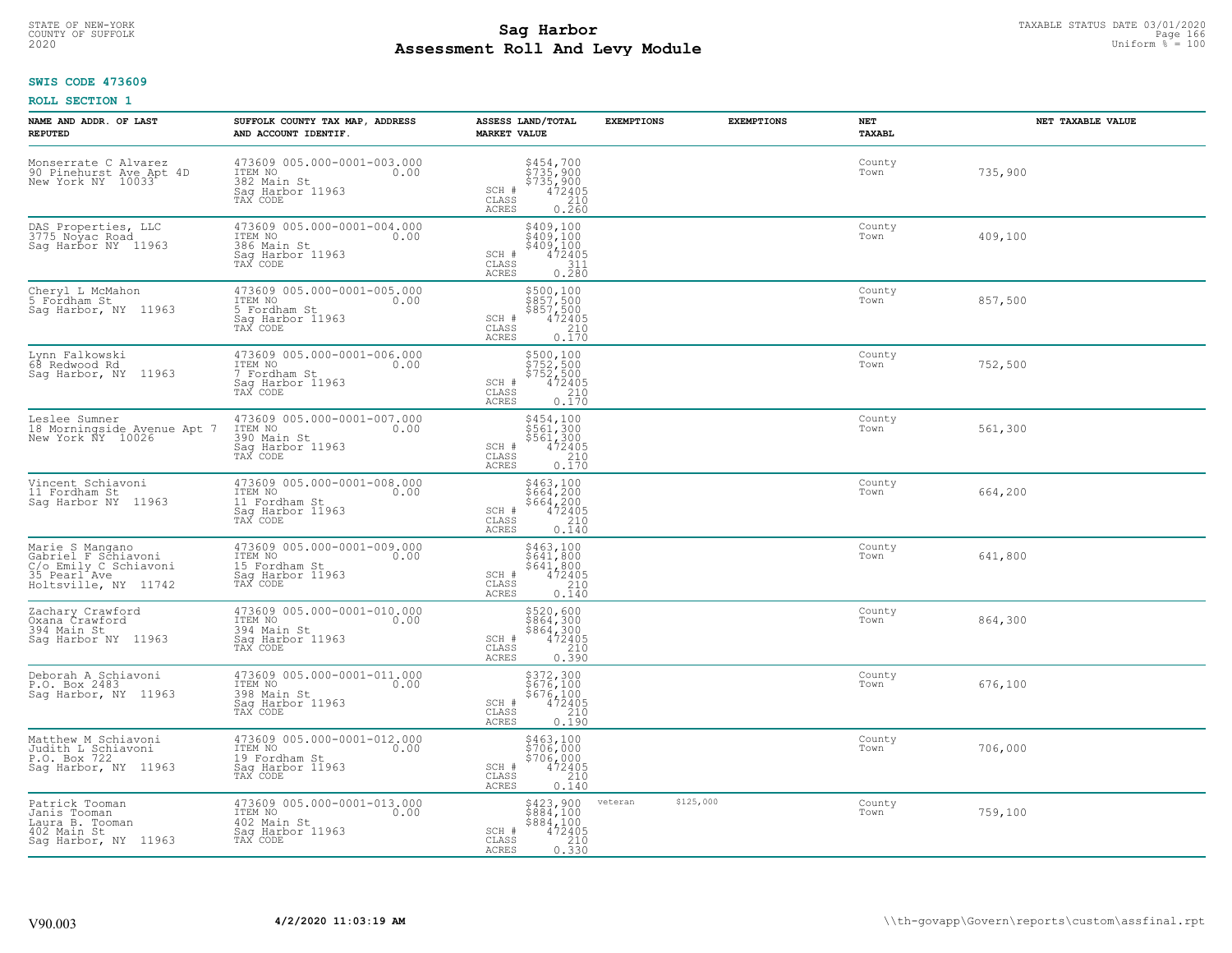# STATE OF NEW-YORK TAXABLE STATUS DATE 03/01/2020<br>COUNTY OF SUFFOLK Page 166 **Assessment Roll And Levy Module Example 2020** Uniform  $\frac{1}{8}$  = 100

#### **SWIS CODE 473609**

| NAME AND ADDR. OF LAST<br><b>REPUTED</b>                                                                | SUFFOLK COUNTY TAX MAP, ADDRESS<br>AND ACCOUNT IDENTIF.                                         | ASSESS LAND/TOTAL<br><b>MARKET VALUE</b>                                                                                | <b>EXEMPTIONS</b>    | <b>EXEMPTIONS</b> | <b>NET</b><br>TAXABL | NET TAXABLE VALUE |
|---------------------------------------------------------------------------------------------------------|-------------------------------------------------------------------------------------------------|-------------------------------------------------------------------------------------------------------------------------|----------------------|-------------------|----------------------|-------------------|
| Monserrate C Alvarez<br>90 Pinehurst Ave Apt 4D<br>New York NY 10033                                    | 473609 005.000-0001-003.000<br>ITEM NO<br>0.00<br>382 Main St<br>Saq Harbor 11963<br>TAX CODE   | $$454, 700$<br>$$735, 900$<br>$$735, 900$<br>$472405$<br>210<br>SCH #<br>CLASS<br><b>ACRES</b><br>0.260                 |                      |                   | County<br>Town       | 735,900           |
| DAS Properties, LLC<br>3775 Noyac Road<br>Saq Harbor NY 11963                                           | 473609 005.000-0001-004.000<br>ITEM NO<br>0.00<br>386 Main St<br>Sag Harbor 11963<br>TAX CODE   | \$409,100<br>\$409,100<br>\$409,100<br>SCH #<br>$472405$<br>$311$<br>CLASS<br>0.280<br>ACRES                            |                      |                   | County<br>Town       | 409,100           |
| Cheryl L McMahon<br>5 Fordham St<br>Sag Harbor, NY 11963                                                | 473609 005.000-0001-005.000<br>ITEM NO<br>0.00<br>5 Fordham St<br>Sag Harbor 11963<br>TAX CODE  | \$500,100<br>\$857,500<br>\$857,500<br>\$857,500<br>472405<br>SCH #<br>210<br>CLASS<br>0.170<br>ACRES                   |                      |                   | County<br>Town       | 857,500           |
| Lynn Falkowski<br>68 Redwood Rd<br>Saq Harbor, NY 11963                                                 | 473609 005.000-0001-006.000<br>ITEM NO<br>0.00<br>7 Fordham St<br>Sag Harbor 11963<br>TAX CODE  | \$500,100<br>\$752,500<br>\$752,500<br>\$752,500<br>\$72405<br>\$710<br>\$170<br>SCH #<br>$\mathtt{CLASS}$<br>ACRES     |                      |                   | County<br>Town       | 752,500           |
| Leslee Sumner<br>18 Morningside Avenue Apt 7<br>New York NY 10026                                       | 473609 005.000-0001-007.000<br>ITEM NO<br>0.00<br>390 Main St<br>Saq Harbor 11963<br>TAX CODE   | \$454,100<br>\$561,300<br>\$561,300<br>\$561,300<br>\$72405<br>0.170<br>SCH #<br>$\mathtt{CLASS}$<br>ACRES              |                      |                   | County<br>Town       | 561,300           |
| Vincent Schiavoni<br>11 Fordham St<br>Sag Harbor NY 11963                                               | 473609 005.000-0001-008.000<br>ITEM NO<br>0.00<br>11 Fordham St<br>Sag Harbor 11963<br>TAX CODE | \$463,100<br>\$664,200<br>\$664,200<br>472405<br>SCH #<br>CLASS<br>210<br>ACRES<br>0.140                                |                      |                   | County<br>Town       | 664,200           |
| Marie S Mangano<br>Cabriel F Schiavoni<br>C/o Emily C Schiavoni<br>35 Pearl Ave<br>Holtsville, NY 11742 | 473609 005.000-0001-009.000<br>ITEM NO<br>0.00<br>15 Fordham St<br>Saq Harbor 11963<br>TAX CODE | $$463,100$<br>$$641,800$<br>$$641,800$<br>$472405$<br>$$210$<br>SCH #<br>CLASS<br>0.140<br>ACRES                        |                      |                   | County<br>Town       | 641,800           |
| Zachary Crawford<br>Oxana Crawford<br>394 Main St<br>Saq Harbor NY 11963                                | 473609 005.000-0001-010.000<br>ITEM NO<br>0.00<br>394 Main St<br>Saq Harbor 11963<br>TAX CODE   | \$520,600<br>\$864,300<br>\$864,300<br>\$864,300<br>\$72405<br>0.390<br>SCH #<br>CLASS<br>ACRES                         |                      |                   | County<br>Town       | 864,300           |
| Deborah A Schiavoni<br>P.O. Box 2483<br>Sag Harbor, NY 11963                                            | 473609 005.000-0001-011.000<br>ITEM NO<br>0.00<br>398 Main St<br>Saq Harbor 11963<br>TAX CODE   | $$372,300$<br>$$676,100$<br>$$676,100$<br>$472405$<br>210<br>SCH #<br>CLASS<br><b>ACRES</b><br>0.190                    |                      |                   | County<br>Town       | 676,100           |
| Matthew M Schiavoni<br>Judith L Schiavoni<br>P.O. Box 722<br>Sag Harbor, NY 11963                       | 473609 005.000-0001-012.000<br>ITEM NO<br>0.00<br>19 Fordham St<br>Saq Harbor 11963<br>TAX CODE | \$463,100<br>\$706,000<br>\$706,000<br>472405<br>SCH #<br>210<br>CLASS<br><b>ACRES</b><br>0.140                         |                      |                   | County<br>Town       | 706,000           |
| Patrick Tooman<br>Janis Tooman<br>Laura B. Tooman<br>402 Main St<br>Sag Harbor, NY 11963                | 473609 005.000-0001-013.000<br>ITEM NO<br>0.00<br>402 Main St<br>Sag Harbor 11963<br>TAX CODE   | \$423,900<br>\$884,100<br>\$884,100<br>SCH #<br>$\begin{array}{r} 472405 \\ 210 \\ 0.330 \end{array}$<br>CLASS<br>ACRES | \$125,000<br>veteran |                   | County<br>Town       | 759,100           |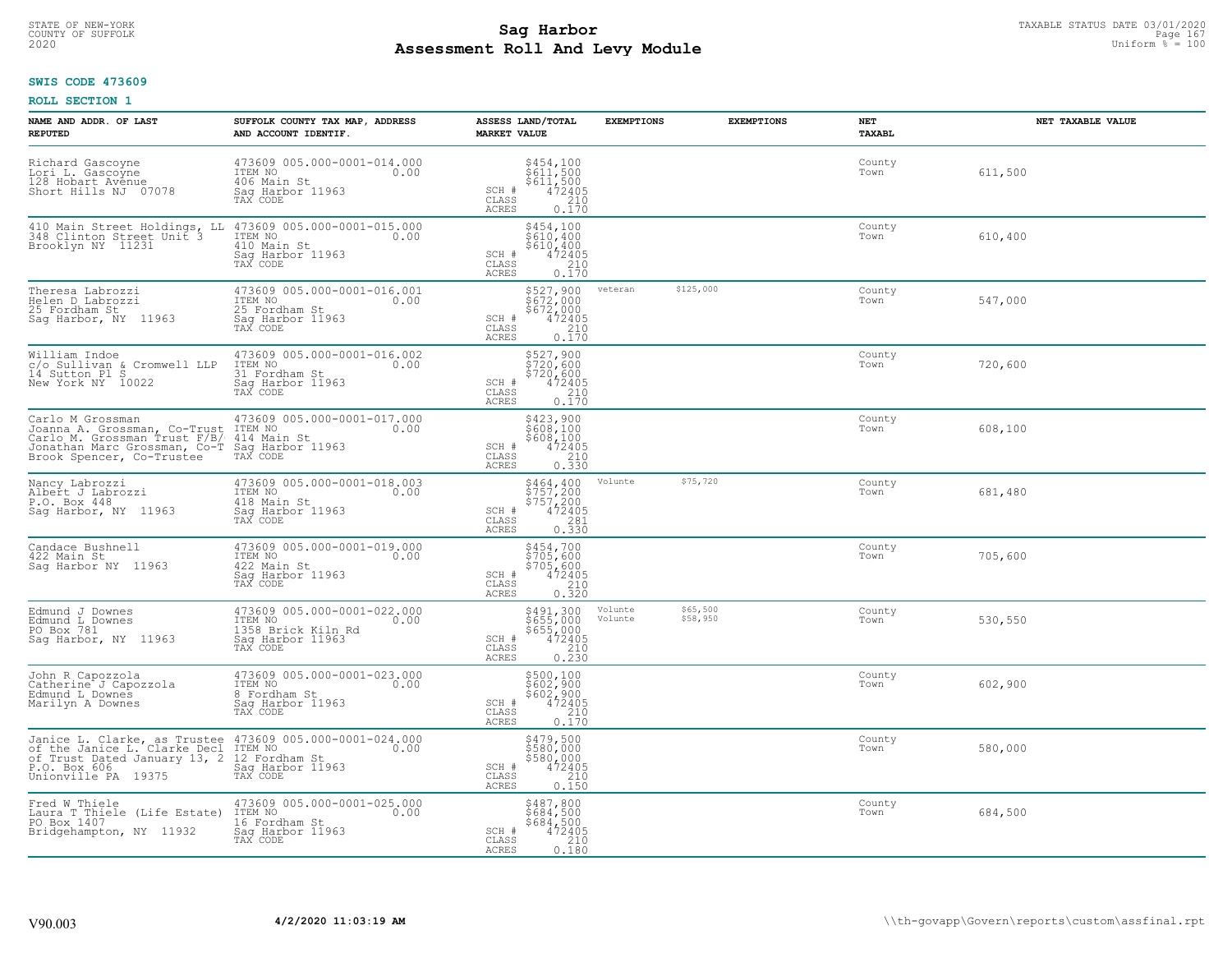# STATE OF NEW-YORK TAXABLE STATUS DATE 03/01/2020<br>COUNTY OF SUFFOLK Page 167 **Assessment Roll And Levy Module Example 2020** Uniform  $\frac{1}{8}$  = 100

#### **SWIS CODE 473609**

| NAME AND ADDR. OF LAST<br><b>REPUTED</b>                                                                                                                                                                   | SUFFOLK COUNTY TAX MAP, ADDRESS<br>AND ACCOUNT IDENTIF.                                              | ASSESS LAND/TOTAL<br><b>MARKET VALUE</b>                                                                                                                                | <b>EXEMPTIONS</b>                          | <b>EXEMPTIONS</b> | NET<br><b>TAXABL</b> | NET TAXABLE VALUE |
|------------------------------------------------------------------------------------------------------------------------------------------------------------------------------------------------------------|------------------------------------------------------------------------------------------------------|-------------------------------------------------------------------------------------------------------------------------------------------------------------------------|--------------------------------------------|-------------------|----------------------|-------------------|
| Richard Gascoyne<br>Lori L. Gascoyne<br>128 Hobart Avenue<br>Short Hills NJ 07078                                                                                                                          | 473609 005.000-0001-014.000<br>ITEM NO<br>0.00<br>406 Main St<br>Saq Harbor 11963<br>TAX CODE        | $$454,100$<br>$$611,500$<br>$$611,500$<br>$472405$<br>$$210$<br>SCH #<br>CLASS<br><b>ACRES</b><br>0.170                                                                 |                                            |                   | County<br>Town       | 611,500           |
| 410 Main Street Holdings, LL<br>348 Clinton Street Unit 3<br>Brooklyn NY 11231                                                                                                                             | 473609 005.000-0001-015.000<br>ITEM NO<br>410 Main St<br>0.00<br>Sag Harbor 11963<br>TAX CODE        | \$454,100<br>\$610,400<br>\$610,400<br>472405<br>SCH #<br>CLASS<br>$\frac{210}{0.170}$<br>ACRES                                                                         |                                            |                   | County<br>Town       | 610,400           |
| Theresa Labrozzi<br>Helen D Labrozzi<br>25 Fordham St<br>Saq Harbor, NY 11963                                                                                                                              | 473609 005.000-0001-016.001<br>TTEM NO 0.00<br>25 Fordham St<br>Sag Harbor 11963<br>TAX CODE         | \$527,900<br>\$672,000<br>$$67\overline{2}/\overline{0}\hspace{0.05cm}\overline{0}\hspace{0.05cm}\overline{0}$<br>$472405$<br>$210$<br>0.170<br>SCH #<br>CLASS<br>ACRES | \$125,000<br>veteran                       |                   | County<br>Town       | 547,000           |
| William Indoe<br>c/o Sullivan & Cromwell LLP<br>14 Sutton Pl S<br>New York NY 10022                                                                                                                        | 473609 005.000-0001-016.002<br>ITEM NO<br>0.00<br>31 Fordham St<br>Saq Harbor 11963<br>TAX CODE      | \$527,900<br>\$720,600<br>$\begin{array}{r} 5720,600 \\ 472405 \\ 210 \\ 0.170 \end{array}$<br>$SCH$ #<br>CLASS<br>ACRES                                                |                                            |                   | County<br>Town       | 720,600           |
| Carlo M Grossman, Co-Trust<br>Joanna A. Grossman, Co-Trust<br>Carlo M. Grossman Trust F/B/<br>Jonathan Marc Grossman, Co-T<br>Brook Spencer, Co-Trustee                                                    | 473609 005.000-0001-017.000<br>ITEM NO<br>0.00<br>414 Main St<br>Saq Harbor 11963<br>TAX CODE        | \$423,900<br>$\begin{array}{r} 7423,100 \\ 5608,100 \\ 472405 \\ 0.330 \end{array}$<br>SCH #<br>CLASS<br><b>ACRES</b>                                                   |                                            |                   | County<br>Town       | 608,100           |
| Nancy Labrozzi<br>Albert J Labrozzi<br>P.O. Box 448<br>Saq Harbor, NY 11963                                                                                                                                | 473609 005.000-0001-018.003<br>ITEM NO<br>0.00<br>418 Main St<br>Sag Harbor 11963<br>TAX CODE        | \$464,400<br>\$757,200<br>\$757,200<br>472405<br>SCH #<br>CLASS<br>281<br>0.330<br><b>ACRES</b>                                                                         | \$75,720<br>Volunte                        |                   | County<br>Town       | 681,480           |
| Candace Bushnell<br>422 Main St<br>Saq Harbor NY 11963                                                                                                                                                     | 473609 005.000-0001-019.000<br>ITEM NO<br>0.00<br>422 Main St<br>Sag Harbor 11963<br>TAX CODE        | \$454,700<br>\$705,600<br>\$705,600<br>SCH #<br>$\begin{smallmatrix} 472405\ 472405\ 210\ 0.320 \end{smallmatrix}$<br>CLASS<br>ACRES                                    |                                            |                   | County<br>Town       | 705,600           |
| Edmund J Downes<br>Edmund L Downes<br>PO Box 781<br>Sag Harbor, NY 11963                                                                                                                                   | 473609 005.000-0001-022.000<br>ITEM NO<br>0.00<br>1358 Brick Kiln Rd<br>Saq Harbor 11963<br>TAX CODE | \$491,300<br>\$655,000<br>\$655,000<br>472405<br>0.230<br>SCH #<br>CLASS<br>ACRES                                                                                       | \$65,500<br>Volunte<br>Volunte<br>\$58,950 |                   | County<br>Town       | 530,550           |
| John R Capozzola<br>Catherine J Capozzola<br>Edmund L Downes<br>Marilyn A Downes                                                                                                                           | 473609 005.000-0001-023.000<br>ITEM NO<br>0.00<br>8 Fordham St<br>Saq Harbor 11963<br>TAX CODE       | $$500,100$ $$602,900$ $$602,900$ $$472405$ $$210$<br>SCH #<br>CLASS<br><b>ACRES</b><br>0.170                                                                            |                                            |                   | County<br>Town       | 602,900           |
| Janice L. Clarke, as Trustee 473609 005.000-0001-024.000<br>of the Janice L. Clarke Decl ITEM NO 1000<br>of Trust Dated January 13, 2 12 Fordham St<br>P.O. Box 606<br>P.O. Box 606<br>Unionville PA 19375 | TAX CODE                                                                                             | \$479,500<br>\$580,000<br>\$580,000<br>472405<br>SCH #<br>$\begin{array}{c} 210 \\ 0.150 \end{array}$<br>CLASS<br><b>ACRES</b>                                          |                                            |                   | County<br>Town       | 580,000           |
| Fred W Thiele<br>Laura T Thiele (Life Estate)<br>PO Box 1407<br>Bridgehampton, NY 11932                                                                                                                    | 473609 005.000-0001-025.000<br>ITEM NO<br>0.00<br>16 Fordham St<br>Sag Harbor 11963<br>TAX CODE      | \$487,800<br>\$684,500<br>\$684,500<br>SCH #<br>472405<br>CLASS<br>$\frac{210}{0.180}$<br>ACRES                                                                         |                                            |                   | County<br>Town       | 684,500           |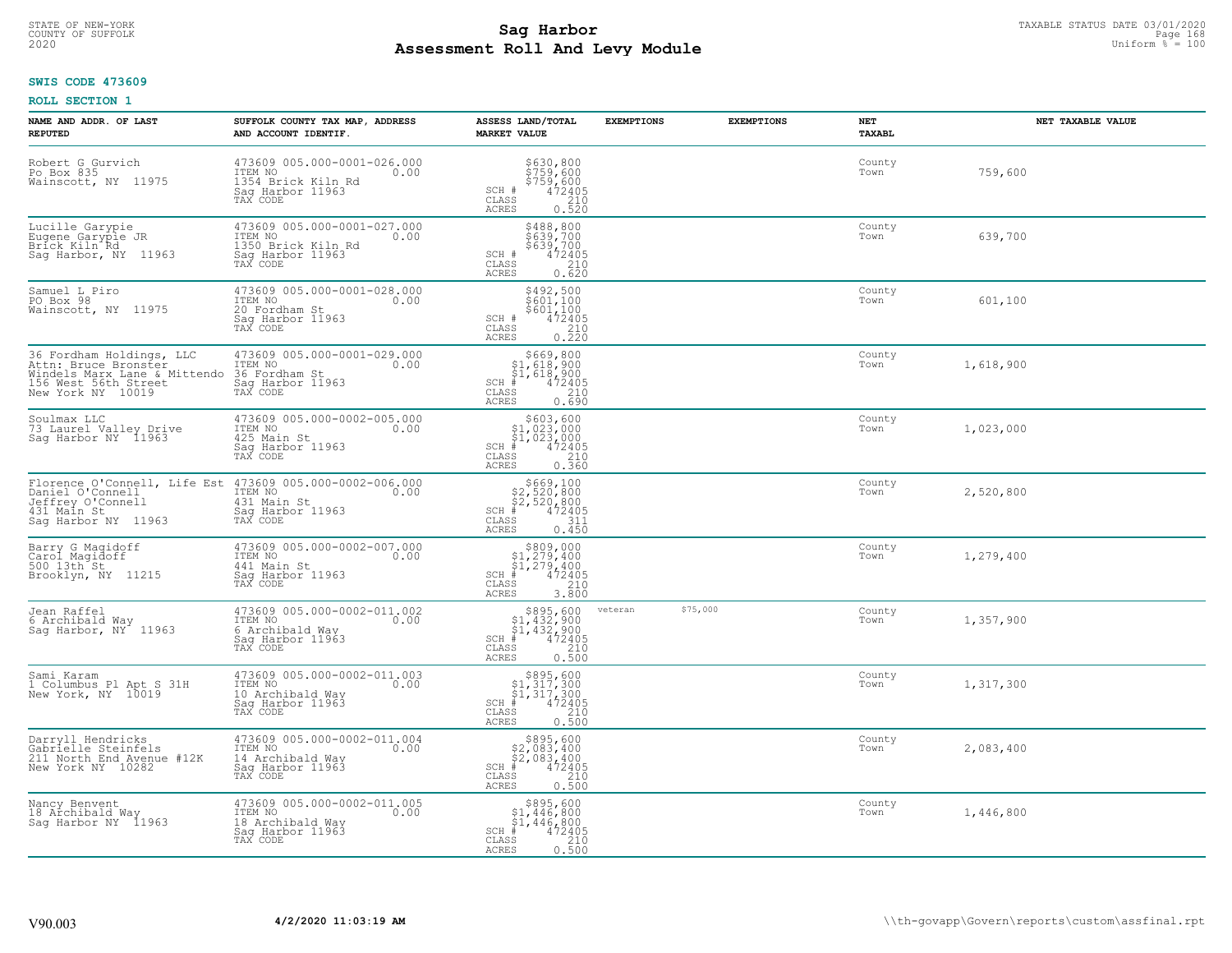# STATE OF NEW-YORK TAXABLE STATUS DATE 03/01/2020<br>COUNTY OF SUFFOLK Page 168 **Assessment Roll And Levy Module Example 2020** Uniform  $\frac{1}{8}$  = 100

#### **SWIS CODE 473609**

| NAME AND ADDR. OF LAST<br><b>REPUTED</b>                                                                                      | SUFFOLK COUNTY TAX MAP, ADDRESS<br>AND ACCOUNT IDENTIF.                                                                    | ASSESS LAND/TOTAL<br><b>MARKET VALUE</b>                                                                                                | <b>EXEMPTIONS</b><br><b>EXEMPTIONS</b> | NET<br>TAXABL  | NET TAXABLE VALUE |
|-------------------------------------------------------------------------------------------------------------------------------|----------------------------------------------------------------------------------------------------------------------------|-----------------------------------------------------------------------------------------------------------------------------------------|----------------------------------------|----------------|-------------------|
| Robert G Gurvich<br>Po Box 835<br>Wainscott, NY 11975                                                                         | 473609 005.000-0001-026.000<br>ITEM NO<br>0.00<br>1354 Brick Kiln Rd<br>Saq Harbor 11963<br>TAX CODE                       | \$630,800<br>\$759,600<br>\$759,600<br>\$759,600<br>SCH #<br>CLASS<br>210<br><b>ACRES</b><br>0.520                                      |                                        | County<br>Town | 759,600           |
| Lucille Garypie<br>Eugene Garyple JR<br>Bríck Kiln <sup>-</sup> Řd<br>Sag Harbor, NY 11963                                    | 473609 005.000-0001-027.000<br>ITEM NO<br>0.00<br>1350 Brick Kiln Rd<br>Saq Harbor 11963<br>TAX CODE                       | \$488,800<br>\$639,700<br>\$639,700<br>472405<br>SCH #<br>210<br>CLASS<br>0.620<br>ACRES                                                |                                        | County<br>Town | 639,700           |
| Samuel L Piro<br>PO Box 98<br>Wainscott, NY 11975                                                                             | 473609 005.000-0001-028.000<br>ITEM NO<br>0.00<br>20 Fordham St<br>Sag Harbor 11963<br>TAX CODE                            | \$492,500<br>$\frac{5601}{100}$<br>\$601,100<br>SCH #<br>472405<br>CLASS<br>$\begin{array}{c} 210 \\ 0.220 \end{array}$<br><b>ACRES</b> |                                        | County<br>Town | 601,100           |
| 36 Fordham Holdings, LLC<br>Attn: Bruce Bronster<br>Windels Marx Lane & Mittendo<br>156 West 56th Street<br>New York NY 10019 | 473609 005.000-0001-029.000<br>ITEM NO<br>0.00<br>36 Fordham St<br>Sag Harbor 11963<br>TAX CODE                            | \$669,800<br>\$1,618,900<br>\$1,618,900<br>$SCH$ #<br>472405<br><b>CLASS</b><br>210<br><b>ACRES</b><br>0.690                            |                                        | County<br>Town | 1,618,900         |
| Soulmax LLC<br>73 Laurel Valley Drive<br>Saq Harbor NY 11963                                                                  | 473609 005.000-0002-005.000<br>ITEM NO<br>0.00<br>425 Main St<br>Saq Harbor 11963<br>TAX CODE                              | $$603, 600$<br>$$1, 023, 000$<br>$$1, 023, 000$<br>$*$ $472405$<br>$SCH$ #<br>CLASS<br>210<br><b>ACRES</b><br>0.360                     |                                        | County<br>Town | 1,023,000         |
| Daniel O'Connell<br>Jeffrey O'Connell<br>431 Main St<br>Sag Harbor NY 11963                                                   | Florence O'Connell, Life Est 473609 005.000-0002-006.000<br>ITEM NO<br>0.00<br>431 Main St<br>Sag Harbor 11963<br>TAX CODE | $$669,100$<br>$$2,520,800$<br>$$2,520,800$<br>$472405$<br>$311$<br>SCH #<br>CLASS<br><b>ACRES</b><br>0.450                              |                                        | County<br>Town | 2,520,800         |
| Barry G Magidoff<br>Carol Magidoff<br>500 13th St<br>Brooklyn, NY 11215                                                       | 473609 005.000-0002-007.000<br>ITEM NO<br>0.00<br>441 Main St<br>Saq Harbor 11963<br>TAX CODE                              | $$309,00051,279,40051,279,400+1472405$<br>$SCH$ #<br>CLASS<br>210<br><b>ACRES</b><br>3.800                                              |                                        | County<br>Town | 1,279,400         |
| Jean Raffel<br>6 Archibald Way<br>Sag Harbor, NY 11963                                                                        | 473609 005.000-0002-011.002<br>ITEM NO 0.00<br>6 Archibald Way<br>Saq Harbor 11963<br>TAX CODE                             | $$895,600$<br>$$1,432,900$<br>$$1,432,900$<br>$472405$<br>$$210$<br>$SCH$ #<br>CLASS<br><b>ACRES</b><br>0.500                           | \$75,000<br>veteran                    | County<br>Town | 1,357,900         |
| Sami Karam<br>1 Columbus P1 Apt S 31H<br>New York, NY 10019                                                                   | 473609 005.000-0002-011.003<br>ITEM NO<br>0.00<br>10 Archibald Way<br>Saq Harbor 11963<br>TAX CODE                         | $$895,600$<br>$$1,317,300$<br>$$1,317,300$<br>$*$<br>$*$<br>$472405$<br>$SCH$ #<br>CLASS<br>210<br><b>ACRES</b><br>0.500                |                                        | County<br>Town | 1,317,300         |
| Darryll Hendricks<br>Gabrielle Steinfels<br>211 North End Avenue #12K<br>New York NY 10282                                    | 473609 005.000-0002-011.004<br>ITEM NO<br>0.00<br>14 Archibald Way<br>Sag Harbor 11963<br>TAX CODE                         | $$895,600$<br>$$2,083,400$<br>$$2,083,400$<br>$*$ 472405<br>$SCH$ #<br>CLASS<br>210<br><b>ACRES</b><br>0.500                            |                                        | County<br>Town | 2,083,400         |
| Nancy Benvent<br>18 Archibald Way<br>Sag Harbor NY 11963                                                                      | 473609 005.000-0002-011.005<br>ITEM NO<br>0.00<br>18 Archibald Way<br>Saq Harbor 11963<br>TAX CODE                         | \$895,600<br>\$1,446,800<br>\$1,446,800<br>$SCH$ #<br>472405<br>CLASS<br>210<br><b>ACRES</b><br>0.500                                   |                                        | County<br>Town | 1,446,800         |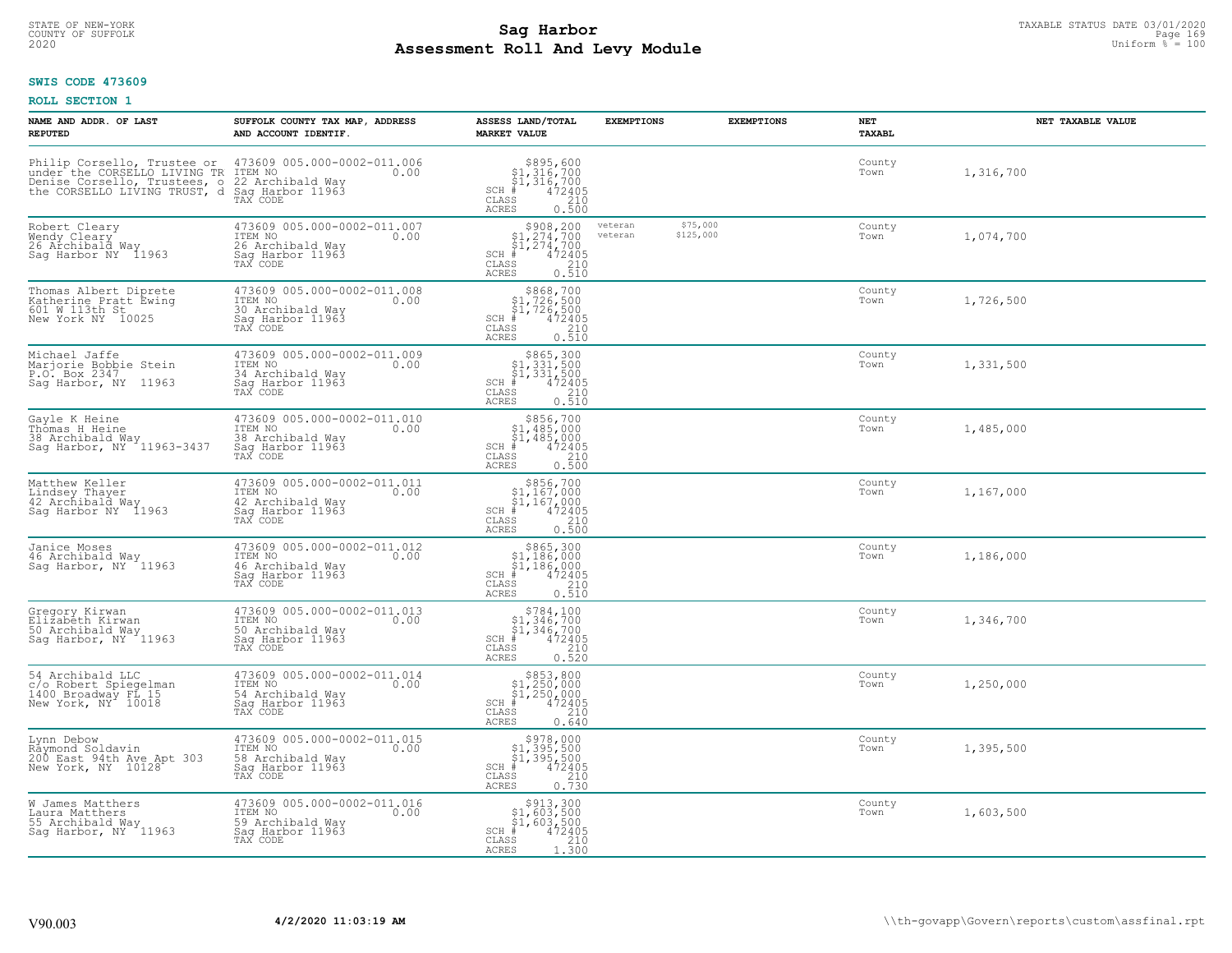# TAXABLE STATUS DATE 03/01/2020<br>COUNTY OF SUFFOLK Page 169 Page 169 **Assessment Roll And Levy Module Example 2020** Uniform  $\frac{1}{8}$  = 100

### **SWIS CODE 473609**

| NAME AND ADDR. OF LAST<br><b>REPUTED</b>                                                                                 | SUFFOLK COUNTY TAX MAP, ADDRESS<br>AND ACCOUNT IDENTIF.                                            | ASSESS LAND/TOTAL<br><b>MARKET VALUE</b>                                                                                                  | <b>EXEMPTIONS</b>  | <b>EXEMPTIONS</b>     | <b>NET</b><br>TAXABL | NET TAXABLE VALUE |
|--------------------------------------------------------------------------------------------------------------------------|----------------------------------------------------------------------------------------------------|-------------------------------------------------------------------------------------------------------------------------------------------|--------------------|-----------------------|----------------------|-------------------|
| Philip Corsello, Trustee or<br>under the CORSELLO LIVING TR<br>Denise Corsello, Trustees, other CORSELLO LIVING TRUST, d | 473609 005.000-0002-011.006<br>ITEM NO<br>0.00<br>22 Archibald Way<br>Saq Harbor 11963<br>TAX CODE | $$895,600$<br>$$1,316,700$<br>$$1,316,700$<br>$*$<br>$472405$<br>$210$<br>$SCH$ #<br>CLASS<br><b>ACRES</b><br>0.500                       |                    |                       | County<br>Town       | 1,316,700         |
| Robert Cleary<br>Wendy Cleary<br>26 Archibald Way<br>Sag Harbor NY 11963                                                 | 473609 005.000-0002-011.007<br>ITEM NO<br>0.00<br>26 Archibald Way<br>Sag Harbor 11963<br>TAX CODE | $$908, 200$<br>$$1, 274, 700$<br>$$1, 274, 700$<br>$SCH$ #<br>472405<br>CLASS<br>210<br>0.510<br><b>ACRES</b>                             | veteran<br>veteran | \$75,000<br>\$125,000 | County<br>Town       | 1,074,700         |
| Thomas Albert Diprete<br>Katherine Pratt Ewing<br>601 W 113th St<br>New York NY 10025                                    | 473609 005.000-0002-011.008<br>ITEM NO<br>0.00<br>30 Archibald Way<br>Sag Harbor 11963<br>TAX CODE | $$868,700$<br>$$1,726,500$<br>$$1,726,500$<br>$*1,726,500$<br>$*472405$<br>$SCH$ #<br>CLASS<br>210<br>0.510<br>ACRES                      |                    |                       | County<br>Town       | 1,726,500         |
| Michael Jaffe<br>Marjorie Bobbie Stein<br>P.O. Box 2347<br>Sag Harbor, NY<br>11963                                       | 473609 005.000-0002-011.009<br>ITEM NO<br>0.00<br>34 Archibald Way<br>Saq Harbor 11963<br>TAX CODE | $$865,300$<br>$$1,331,500$<br>$$1,331,500$<br>$*1,331,500$<br>$*1,472405$<br>$SCH$ #<br>CLASS<br>210<br>0.510<br>ACRES                    |                    |                       | County<br>Town       | 1,331,500         |
| Gayle K Heine<br>Thomas H Heine<br>38 Archibald Way<br>Sag Harbor, NY 11963-3437                                         | 473609 005.000-0002-011.010<br>ITEM NO<br>0.00<br>38 Archibald Way<br>Saq Harbor 11963<br>TAX CODE | \$856,700<br>\$1,485,000<br>$\begin{array}{r} 51,485,000 \\ 472405 \\ \text{ss} \end{array}$<br>$SCH$ #<br>CLASS<br><b>ACRES</b><br>0.500 |                    |                       | County<br>Town       | 1,485,000         |
| Matthew Keller<br>Lindsey Thayer<br>42 Archibald Way<br>Sag Harbor NY 11963                                              | 473609 005.000-0002-011.011<br>ITEM NO<br>0.00<br>42 Archibald Way<br>Sag Harbor 11963<br>TAX CODE | $$856,700$<br>$$1,167,000$<br>$$1,167,000$<br>$*1$<br>$472405$<br>$SCH$ #<br>CLASS<br>210<br>0.500<br><b>ACRES</b>                        |                    |                       | County<br>Town       | 1,167,000         |
| Janice Moses<br>46 Archibald Way<br>Sag Harbor, NY 11963                                                                 | 473609 005.000-0002-011.012<br>ITEM NO<br>0.00<br>46 Archibald Way<br>Saq Harbor 11963<br>TAX CODE | $$865,300$<br>$$1,186,000$<br>$$1,186,000$<br>$$1,186,000$<br>472405<br>SCH #<br>CLASS<br>210<br><b>ACRES</b><br>0.510                    |                    |                       | County<br>Town       | 1,186,000         |
| Gregory Kirwan<br>Elizabeth Kirwan<br>50 Archibald Way<br>Sag Harbor, NY <sup>-</sup> 11963                              | 473609 005.000-0002-011.013<br>ITEM NO 0.00<br>50 Archibald Way<br>Saq Harbor 11963<br>TAX CODE    | $$784,100$<br>$$1,346,700$<br>$$1,346,700$<br>$*1,346,700$<br>$*1,472405$<br>$SCH$ #<br>CLASS<br>210<br><b>ACRES</b><br>0.520             |                    |                       | County<br>Town       | 1,346,700         |
| 54 Archibald LLC<br>c/o Robert Spiegelman<br>1400 Broadway FL 15<br>New York, NY 10018                                   | 473609 005.000-0002-011.014<br>TTEM NO 0.00<br>54 Archibald Way<br>Saq Harbor 11963<br>TAX CODE    | $$853, 800$<br>$$1, 250, 000$<br>$$1, 250, 000$<br>$*$ $472405$<br>$SCH$ #<br>CLASS<br>210<br><b>ACRES</b><br>0.640                       |                    |                       | County<br>Town       | 1,250,000         |
| Lynn Debow<br>Räymond Soldavin<br>200 East 94th Ave Apt 303<br>New York, NY 10128                                        | 473609 005.000-0002-011.015<br>ITEM NO<br>0.00<br>58 Archibald Way<br>Sag Harbor 11963<br>TAX CODE | $$978,000$<br>$$1,395,500$<br>$$1,395,500$<br>$$472405$<br>SCH #<br>$\begin{array}{c} 210 \\ 0.730 \end{array}$<br>CLASS<br><b>ACRES</b>  |                    |                       | County<br>Town       | 1,395,500         |
| W James Matthers<br>Laura Matthers<br>55 Archibald Way<br>Saq Harbor, NY 11963                                           | 473609 005.000-0002-011.016<br>ITEM NO<br>0.00<br>59 Archibald Way<br>Sag Harbor 11963<br>TAX CODE | \$913,300<br>\$1,603,500<br>\$1,603,500<br>$SCH$ #<br>472405<br>CLASS<br>210<br><b>ACRES</b><br>1.300                                     |                    |                       | County<br>Town       | 1,603,500         |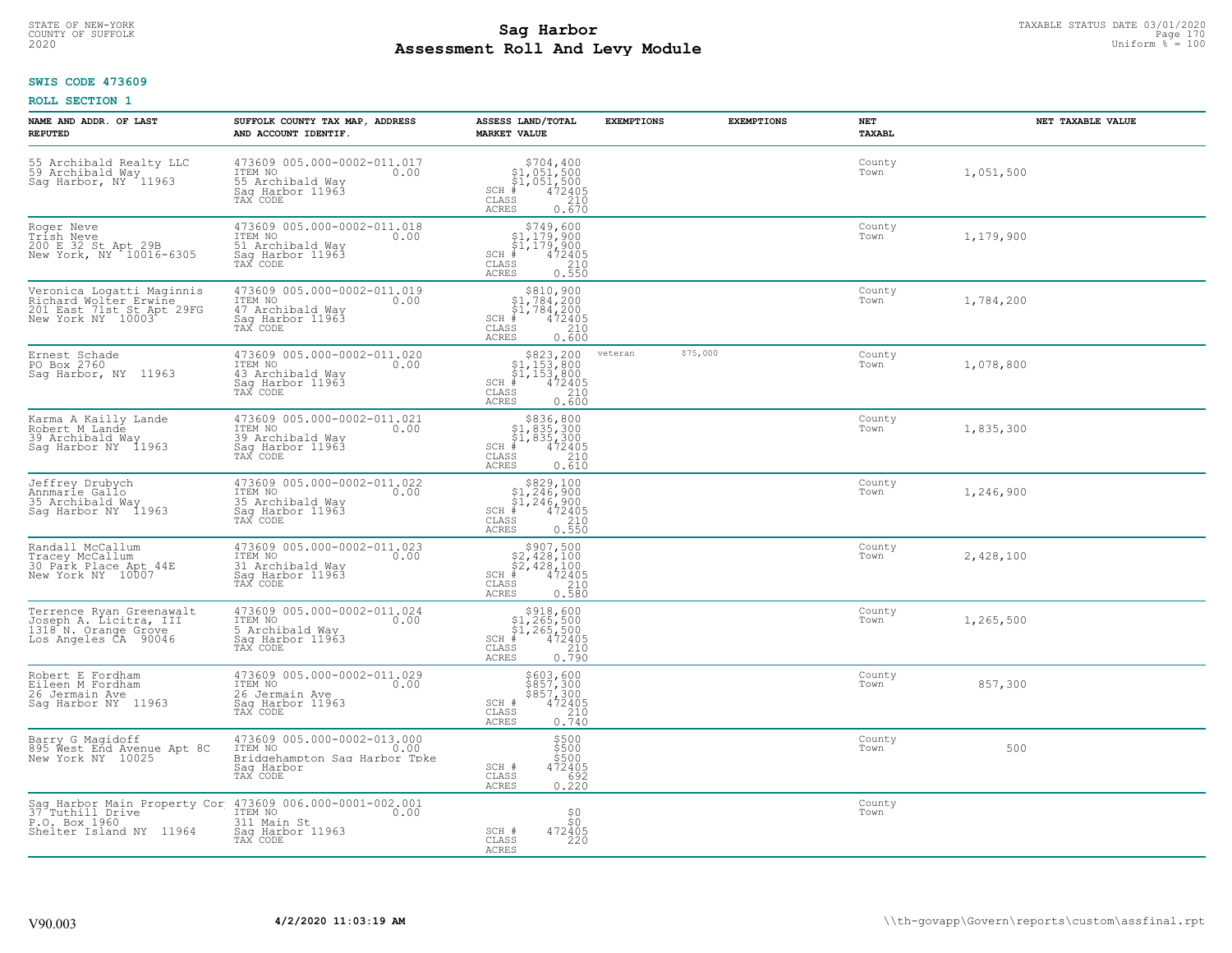# STATE OF NEW-YORK TAXABLE STATUS DATE 03/01/2020<br>COUNTY OF SUFFOLK Page 170 Page 170 **Assessment Roll And Levy Module Example 2020** Uniform  $\frac{1}{8}$  = 100

### **SWIS CODE 473609**

| NAME AND ADDR. OF LAST<br><b>REPUTED</b>                                                             | SUFFOLK COUNTY TAX MAP, ADDRESS<br>AND ACCOUNT IDENTIF.                                                                             | ASSESS LAND/TOTAL<br><b>MARKET VALUE</b>                                                                                              | <b>EXEMPTIONS</b> | <b>EXEMPTIONS</b> | NET<br><b>TAXABL</b> | NET TAXABLE VALUE |
|------------------------------------------------------------------------------------------------------|-------------------------------------------------------------------------------------------------------------------------------------|---------------------------------------------------------------------------------------------------------------------------------------|-------------------|-------------------|----------------------|-------------------|
| 55 Archibald Realty LLC<br>59 Archibald May<br>Sag Harbor, NY 11963                                  | 473609 005.000-0002-011.017<br>ITEM NO<br>0.00<br>55 Archibald Way<br>Saq Harbor 11963<br>TAX CODE                                  | $$704, 400$<br>$$1, 051, 500$<br>$$1, 051, 500$<br>$472405$<br>$$210$<br>$SCH$ #<br>CLASS<br><b>ACRES</b><br>0.670                    |                   |                   | County<br>Town       | 1,051,500         |
| Roger Neve<br>Trish Neve<br>200 E 32 St Apt 29B<br>New York, NY 10016-6305                           | 473609 005.000-0002-011.018<br>ITEM NO<br>0.00<br>51 Archibald Way<br>Saq Harbor 11963<br>TAX CODE                                  | $$749,600$<br>$$1,179,900$<br>$$1,179,900$<br>472405<br>$SCH$ #<br>$\mathtt{CLASS}$<br>$\frac{210}{0.550}$<br><b>ACRES</b>            |                   |                   | County<br>Town       | 1,179,900         |
| Veronica Logatti Maginnis<br>Richard Wolter Erwine<br>201 East 71st St Apt 29FG<br>New York NY 10003 | 473609 005.000-0002-011.019<br>ITEM NO<br>0.00<br>47 Archibald Way<br>Sag Harbor 11963<br>TAX CODE                                  | $\begin{array}{c} $810,900 $1,784,200 $1,784,200 $472405 \end{array}$<br>$SCH$ #<br>CLASS<br>210<br>0.600<br>ACRES                    |                   |                   | County<br>Town       | 1,784,200         |
| Ernest Schade<br>PO Box 2760<br>Sag Harbor, NY 11963                                                 | 473609 005.000-0002-011.020<br>ITEM NO<br>0.00<br>43 Archibald Way<br>Saq Harbor 11963<br>TAX CODE                                  | $$823, 200$<br>$$1, 153, 800$<br>$$1, 153, 800$<br>$*$<br>$*$ 472405<br>$SCH$ #<br>CLASS<br>210<br><b>ACRES</b><br>0.600              | veteran           | \$75,000          | County<br>Town       | 1,078,800         |
| Karma A Kailly Lande<br>Robert M Lande<br>39 Archibald Way<br>Sag Harbor NY 11963                    | 473609 005.000-0002-011.021<br>ITEM NO<br>0.00<br>39 Archibald Way<br>Saq Harbor 11963<br>TAX CODE                                  | $$836, 800$<br>$$1, 835, 300$<br>$$1, 835, 300$<br>$*1, 835, 300$<br>$*1, 472405$<br>$SCH$ #<br>CLASS<br>210<br><b>ACRES</b><br>0.610 |                   |                   | County<br>Town       | 1,835,300         |
| Jeffrey Drubych<br>Annmarie Gallo<br>35 Archibald Way<br>Sag Harbor NY 11963                         | 473609 005.000-0002-011.022<br>ITEM NO<br>0.00<br>35 Archibald Way<br>Sag Harbor 11963<br>TAX CODE                                  | $$829,100$<br>$$1,246,900$<br>$$1,246,900$<br>$472405$<br>$$210$<br>SCH #<br>CLASS<br>0.550<br>ACRES                                  |                   |                   | County<br>Town       | 1,246,900         |
| Randall McCallum<br>Tracey McCallum<br>30 Park Place Apt 44E<br>New York NY 10007                    | 473609 005.000-0002-011.023<br>ITEM NO<br>0.00<br>31 Archibald Way<br>Sag Harbor 11963<br>TAX CODE                                  | \$907,500<br>$$2,428,100$<br>$$2,428,100$<br>$*$ 472405<br>$SCH$ #<br>CLASS<br>210<br>0.580<br><b>ACRES</b>                           |                   |                   | County<br>Town       | 2,428,100         |
| Terrence Ryan Greenawalt<br>Joseph A. Licitra, III<br>1318 N. Orange Grove<br>Los Angeles CA 90046   | 473609 005.000-0002-011.024<br>ITEM NO<br>0.00<br>5 Archibald Way<br>Saq Harbor 11963<br>TAX CODE                                   | $$918,600$<br>$$1,265,500$<br>$$1,265,500$<br>$472405$<br>$$210$<br>$SCH$ #<br>CLASS<br>0.790<br><b>ACRES</b>                         |                   |                   | County<br>Town       | 1,265,500         |
| Robert E Fordham<br>Eileen M Fordham<br>26 Jermain Ave<br>Saq Harbor NY 11963                        | 473609 005.000-0002-011.029<br>ITEM NO<br>0.00<br>26 Jermain Ave<br>Saq Harbor 11963<br>TAX CODE                                    | \$603,600<br>\$857,300<br>\$857,300<br>472405<br>SCH #<br>CLASS<br>$\frac{210}{0.740}$<br><b>ACRES</b>                                |                   |                   | County<br>Town       | 857,300           |
| Barry G Magidoff<br>895 West End Avenue Apt 8C<br>New York NY 10025                                  | 473609 005.000-0002-013.000<br>ITEM NO<br>0.00<br>Bridgehampton Sag Harbor Tpke<br>Saq Harbor<br>TAX CODE                           | \$500<br>\$500<br>\$500<br>472405<br>SCH #<br>CLASS<br>692<br>0.220<br>ACRES                                                          |                   |                   | County<br>Town       | 500               |
| P.O. Box 1960<br>Shelter Island NY 11964                                                             | Sag Harbor Main Property Cor 473609 006.000-0001-002.001<br>37 Tuthill Drive ITEM NO<br>311 Main St<br>Sag Harbor 11963<br>TAX CODE | ${}^{50}_{50}$<br>472405<br>SCH #<br>CLASS<br>220<br>ACRES                                                                            |                   |                   | County<br>Town       |                   |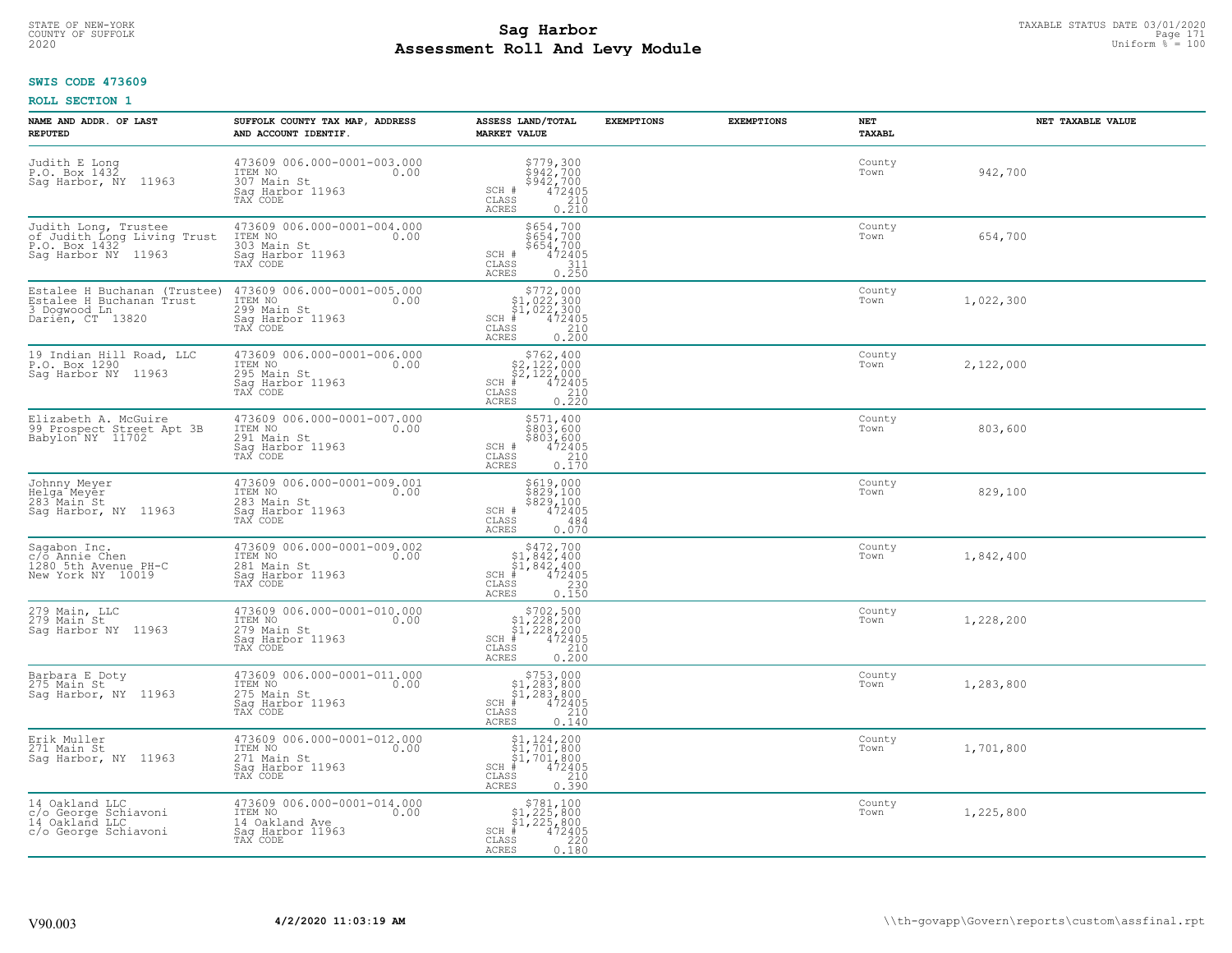# STATE OF NEW-YORK TAXABLE STATUS DATE 03/01/2020<br>COUNTY OF SUFFOLK Page 171 **Assessment Roll And Levy Module Example 2020** Uniform  $\frac{1}{8}$  = 100

#### **SWIS CODE 473609**

| NAME AND ADDR. OF LAST<br><b>REPUTED</b>                                                      | SUFFOLK COUNTY TAX MAP, ADDRESS<br>AND ACCOUNT IDENTIF.                                          | ASSESS LAND/TOTAL<br><b>MARKET VALUE</b>                                                                                                                                                                    | <b>EXEMPTIONS</b> | <b>EXEMPTIONS</b> | <b>NET</b><br>TAXABL | NET TAXABLE VALUE |
|-----------------------------------------------------------------------------------------------|--------------------------------------------------------------------------------------------------|-------------------------------------------------------------------------------------------------------------------------------------------------------------------------------------------------------------|-------------------|-------------------|----------------------|-------------------|
| Judith E Long<br>P.O. Box 1432<br>Saq Harbor, NY 11963                                        | 473609 006.000-0001-003.000<br>ITEM NO<br>0.00<br>307 Main St<br>Saq Harbor 11963<br>TAX CODE    | $$779,300$<br>$$942,700$<br>$$942,700$<br>$472405$<br>$$210$<br>SCH #<br>CLASS<br><b>ACRES</b><br>0.210                                                                                                     |                   |                   | County<br>Town       | 942,700           |
| Judith Long, Trustee<br>of Judith Long Living Trust<br>P.O. Box 1432<br>Saq Harbor NY 11963   | 473609 006.000-0001-004.000<br>ITEM NO<br>303 Main St<br>0.00<br>Sag Harbor 11963<br>TAX CODE    | \$654,700<br>\$654,700<br>\$654,700<br>SCH #<br>$\begin{smallmatrix} 472405\ 311\ 0.250 \end{smallmatrix}$<br>CLASS<br>ACRES                                                                                |                   |                   | County<br>Town       | 654,700           |
| Estalee H Buchanan (Trustee)<br>Estalee H Buchanan Trust<br>3 Dogwood Ln.<br>Darién, CT 13820 | 473609 006.000-0001-005.000<br>ITEM NO<br>0.00<br>299 Main St<br>Saq Harbor 11963<br>TAX CODE    | $$772,000$<br>$$1,022,300$<br>$$1,022,300$<br>$$472405$<br>$SCH$ #<br>$\begin{array}{c} 210 \\ 0.200 \end{array}$<br>CLASS<br><b>ACRES</b>                                                                  |                   |                   | County<br>Town       | 1,022,300         |
| 19 Indian Hill Road, LLC<br>P.O. Box 1290<br>Saq Harbor NY 11963                              | 473609 006.000-0001-006.000<br>ITEM NO<br>0.00<br>295 Main St<br>Saq Harbor 11963<br>TAX CODE    | $\begin{array}{r}  \  \  \, 5762,400 \\  \  \, 52,122,000 \\  \  \, 52,122,000 \\  \  \  \, 472405 \\  \  \  \, 85 \\  \  \  \, 85 \\  \  \  \, 0.220 \end{array}$<br>$SCH$ #<br>CLASS<br>ACRES             |                   |                   | County<br>Town       | 2,122,000         |
| Elizabeth A. McGuire<br>99 Prospect Street Apt 3B<br>Babylon NY 11702                         | 473609 006.000-0001-007.000<br>ITEM NO<br>0.00<br>291 Main St<br>Saq Harbor 11963<br>TAX CODE    | \$571,400<br>\$803,600<br>$\begin{array}{r} 5803,600 \\ 472405 \\ 210 \\ 0.170 \end{array}$<br>SCH #<br>CLASS<br>ACRES                                                                                      |                   |                   | County<br>Town       | 803,600           |
| Johnny Meyer<br>Helga Meyer<br>283 Main St<br>Saq Harbor, NY 11963                            | 473609 006.000-0001-009.001<br>ITEM NO<br>0.00<br>283 Main St<br>Saq Harbor 11963<br>TAX CODE    | \$619,000<br>\$829,100<br>\$829,100<br>472405<br>SCH #<br>CLASS<br>484<br>ACRES<br>0.070                                                                                                                    |                   |                   | County<br>Town       | 829,100           |
| Sagabon Inc.<br>c/o Annie Chen<br>1280 5th Avenue PH-C<br>New York NY 10019                   | 473609 006.000-0001-009.002<br>ITEM NO<br>0.00<br>281 Main St<br>Sag Harbor 11963<br>TAX CODE    | $\begin{array}{r}  \  \  \,  \, 5472,700 \\  \  \, 51,842,400 \\  \  \, 51,842,400 \\  \  \  \, 472405 \\  \  \, 85 \\  \  \  \, 230 \\  \  \, 25 \\  \  \, 0.150 \end{array}$<br>$SCH$ #<br>CLASS<br>ACRES |                   |                   | County<br>Town       | 1,842,400         |
| 279 Main, LLC<br>279 Main St<br>Saq Harbor NY 11963                                           | 473609 006.000-0001-010.000<br>ITEM NO<br>0.00<br>279 Main St<br>Saq Harbor 11963<br>TAX CODE    | $\begin{array}{r}  \  \  \, 5702,500 \\  \  \, 51,228,200 \\  \  \, 51,228,200 \\  \  \  \, 472405 \\  \  \  \, 85 \\  \  \  \, 210 \\  \  \  \, 25 \\  \  \, 0.200 \end{array}$<br>SCH #<br>CLASS<br>ACRES |                   |                   | County<br>Town       | 1,228,200         |
| Barbara E Doty<br>275 Main St<br>Sag Harbor, NY 11963                                         | 473609 006.000-0001-011.000<br>ITEM NO<br>0.00<br>275 Main St<br>Sag Harbor 11963<br>TAX CODE    | $$753,000$<br>$$1,283,800$<br>$$1,283,800$<br>$472405$<br>$$283$<br>$$10$<br>$$210$<br>$SCH$ #<br>CLASS<br>ACRES<br>0.140                                                                                   |                   |                   | County<br>Town       | 1,283,800         |
| Erik Muller<br>271 Main St<br>Saq Harbor, NY 11963                                            | 473609 006.000-0001-012.000<br>ITEM NO<br>0.00<br>271 Main St<br>Sag Harbor 11963<br>TAX CODE    | $\begin{array}{l} $1,124,200 \ $1,701,800 \ $1,701,800 \ $1,701,800 \ \end{array}$<br>$SCH$ #<br>$\begin{array}{c} 210 \\ 0.390 \end{array}$<br>CLASS<br><b>ACRES</b>                                       |                   |                   | County<br>Town       | 1,701,800         |
| 14 Oakland LLC<br>c/o George Schiavoni<br>14 Oakland LLC<br>c/o George Schiavoni              | 473609 006.000-0001-014.000<br>ITEM NO<br>0.00<br>14 Oakland Ave<br>Saq Harbor 11963<br>TAX CODE | $$781,100$<br>$$1,225,800$<br>$$1,225,800$<br>$SCH$ #<br>$472405$<br>220<br>CLASS<br>0.180<br>ACRES                                                                                                         |                   |                   | County<br>Town       | 1,225,800         |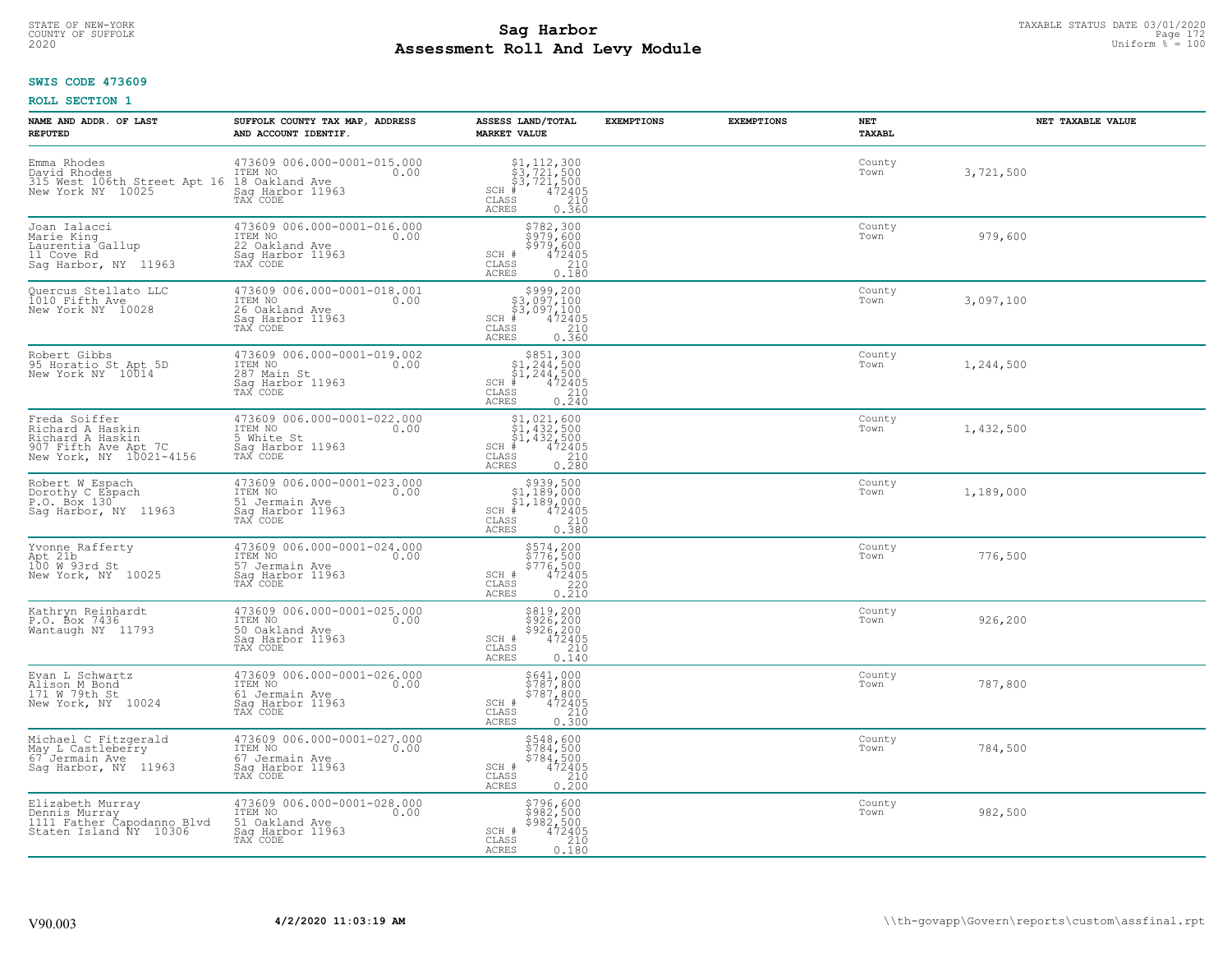# STATE OF NEW-YORK TAXABLE STATUS DATE 03/01/2020<br>21 Page 172 Page 172 **Assessment Roll And Levy Module Example 2020** Uniform  $\frac{1}{8}$  = 100

#### **SWIS CODE 473609**

| NAME AND ADDR. OF LAST<br><b>REPUTED</b>                                                                 | SUFFOLK COUNTY TAX MAP, ADDRESS<br>AND ACCOUNT IDENTIF.                                          | ASSESS LAND/TOTAL<br><b>MARKET VALUE</b>                                                                                                                                                                                                | <b>EXEMPTIONS</b> | <b>EXEMPTIONS</b> | NET<br>TAXABL  | NET TAXABLE VALUE |
|----------------------------------------------------------------------------------------------------------|--------------------------------------------------------------------------------------------------|-----------------------------------------------------------------------------------------------------------------------------------------------------------------------------------------------------------------------------------------|-------------------|-------------------|----------------|-------------------|
| Emma Rhodes<br>David Rhodes<br>315 West 106th Street Apt 16 18 Oakland Ave<br>New York NY 10025          | 473609 006.000-0001-015.000<br>ITEM NO<br>0.00<br>Saq Harbor 11963<br>TAX CODE                   | $\begin{array}{l} 51,112,300 \\ 53,721,500 \\ 43,721,500 \\ \frac{4}{5} & 472405 \end{array}$<br>$SCH$ #<br>CLASS<br>210<br>ACRES<br>0.360                                                                                              |                   |                   | County<br>Town | 3,721,500         |
| Joan Ialacci<br>Marie King<br>Laurentia Gallup<br>11 Cove Rd<br>Sag Harbor, NY 11963                     | 473609 006.000-0001-016.000<br>ITEM NO<br>0.00<br>22 Oakland Ave<br>Sag Harbor 11963<br>TAX CODE | \$782,300<br>\$979,600<br>\$979,600<br>472405<br>SCH #<br>CLASS<br>$\begin{array}{c} 210 \\ 0.180 \end{array}$<br>ACRES                                                                                                                 |                   |                   | County<br>Town | 979,600           |
| Quercus Stellato LLC<br>1010 Fifth Ave<br>New York NY 10028                                              | 473609 006.000-0001-018.001<br>ITEM NO<br>0.00<br>26 Oakland Ave<br>Sag Harbor 11963<br>TAX CODE | $\begin{array}{r} \texttt{\$999,200}\ \\ \texttt{\$3,097,100}\ \\ \texttt{\$3,097,100}\ \\ \texttt{\$472405}\ \\ \texttt{\$s$} \end{array}$<br>SCH #<br>CLASS<br>ACRES                                                                  |                   |                   | County<br>Town | 3,097,100         |
| Robert Gibbs<br>95 Horatio St Apt 5D<br>New York NY 10014                                                | 473609 006.000-0001-019.002<br>ITEM NO<br>0.00<br>287 Main St<br>Saq Harbor 11963<br>TAX CODE    | $\begin{array}{r}  \  \  \, 5851,300\\  \  \, 51,244,500\\  \  \, 51,244,500\\  \  \  \, 472405\\ \  \  \, 85\\  \  \  \, 210\\  \  \, 240\\ \end{array}$<br>$SCH$ #<br>CLASS<br>ACRES                                                  |                   |                   | County<br>Town | 1,244,500         |
| Freda Soiffer<br>Richard A Haskin<br>Richard A Haskin<br>907 Fifth Ave Apt 7C<br>New York, NY 10021-4156 | 473609 006.000-0001-022.000<br>ITEM NO<br>0.00<br>5 White St<br>Sag Harbor 11963<br>TAX CODE     | \$1,021,600<br>$\begin{array}{l} 51,432,500 \\ 51,432,500 \\ \pm 432,500 \end{array}$<br>$SCH$ #<br>CLASS<br>$\begin{array}{c} 210 \\ 0.280 \end{array}$<br><b>ACRES</b>                                                                |                   |                   | County<br>Town | 1,432,500         |
| Robert W Espach<br>Dorothy C Espach<br>P.O. Box 130<br>Saq Harbor, NY 11963                              | 473609 006.000-0001-023.000<br>ITEM NO<br>0.00<br>51 Jermain Ave<br>Sag Harbor 11963<br>TAX CODE | $\begin{array}{r} \text{\$939,500}\ \\ \text{\$1,189,000}\ \\ \text{\$1,189,000}\ \\ \text{\$1,189,000}\ \\ \text{\$1,189,000}\ \\ \text{\$1,2405}\ \\ \text{\$10}\ \\ \text{\$210}\ \end{array}$<br>$SCH$ #<br>CLASS<br>0.550<br>ACRES |                   |                   | County<br>Town | 1,189,000         |
| Yvonne Rafferty<br>Apt 21b<br>100 W 93rd St<br>New York, NY 10025                                        | 473609 006.000-0001-024.000<br>TTEM NO 0.00<br>57 Jermain Ave<br>Sag Harbor 11963<br>TAX CODE    | \$574,200<br>\$776,500<br>\$776,500<br>\$776,500<br>\$72405<br>\$220<br>\$210<br>SCH #<br>CLASS<br>ACRES                                                                                                                                |                   |                   | County<br>Town | 776,500           |
| Kathryn Reinhardt<br>P.O. Box 7436<br>Wantaugh NY 11793                                                  | 473609 006.000-0001-025.000<br>ITEM NO<br>0.00<br>50 Oakland Ave<br>Saq Harbor 11963<br>TAX CODE | $\begin{array}{r} 5819,200 \\ 5926,200 \\ 5926,200 \\ 472405 \\ 210 \\ 240 \end{array}$<br>SCH #<br>CLASS<br>ACRES<br>0.140                                                                                                             |                   |                   | County<br>Town | 926,200           |
| Evan L Schwartz<br>Alison M Bond<br>171 W 79th St<br>New York, NY 10024                                  | 473609 006.000-0001-026.000<br>ITEM NO<br>0.00<br>61 Jermain Ave<br>Saq Harbor 11963<br>TAX CODE | \$641,000<br>\$787,800<br>\$787,800<br>472405<br>210<br>SCH #<br>CLASS<br>ACRES<br>0.300                                                                                                                                                |                   |                   | County<br>Town | 787,800           |
| Michael C Fitzgerald<br>May L Castleberry<br>67 <sup>-</sup> Jermain Ave<br>Saq Harbor, NY 11963         | 473609 006.000-0001-027.000<br>ITEM NO<br>67 Jermain Ave<br>0.00<br>Saq Harbor 11963<br>TAX CODE | \$548,600<br>\$784,500<br>\$784,500<br>\$784,500<br>SCH #<br>$\begin{array}{c} 210 \\ 0.200 \end{array}$<br>CLASS<br><b>ACRES</b>                                                                                                       |                   |                   | County<br>Town | 784,500           |
| Elizabeth Murray<br>Dennis Murray<br>1111 Father Capodanno Blvd<br>Staten Island NY 10306                | 473609 006.000-0001-028.000<br>ITEM NO<br>0.00<br>51 Oakland Ave<br>Sag Harbor 11963<br>TAX CODE | \$796,600<br>\$982,500<br>\$982,500<br>SCH #<br>472405<br>CLASS<br>210<br>0.180<br>ACRES                                                                                                                                                |                   |                   | County<br>Town | 982,500           |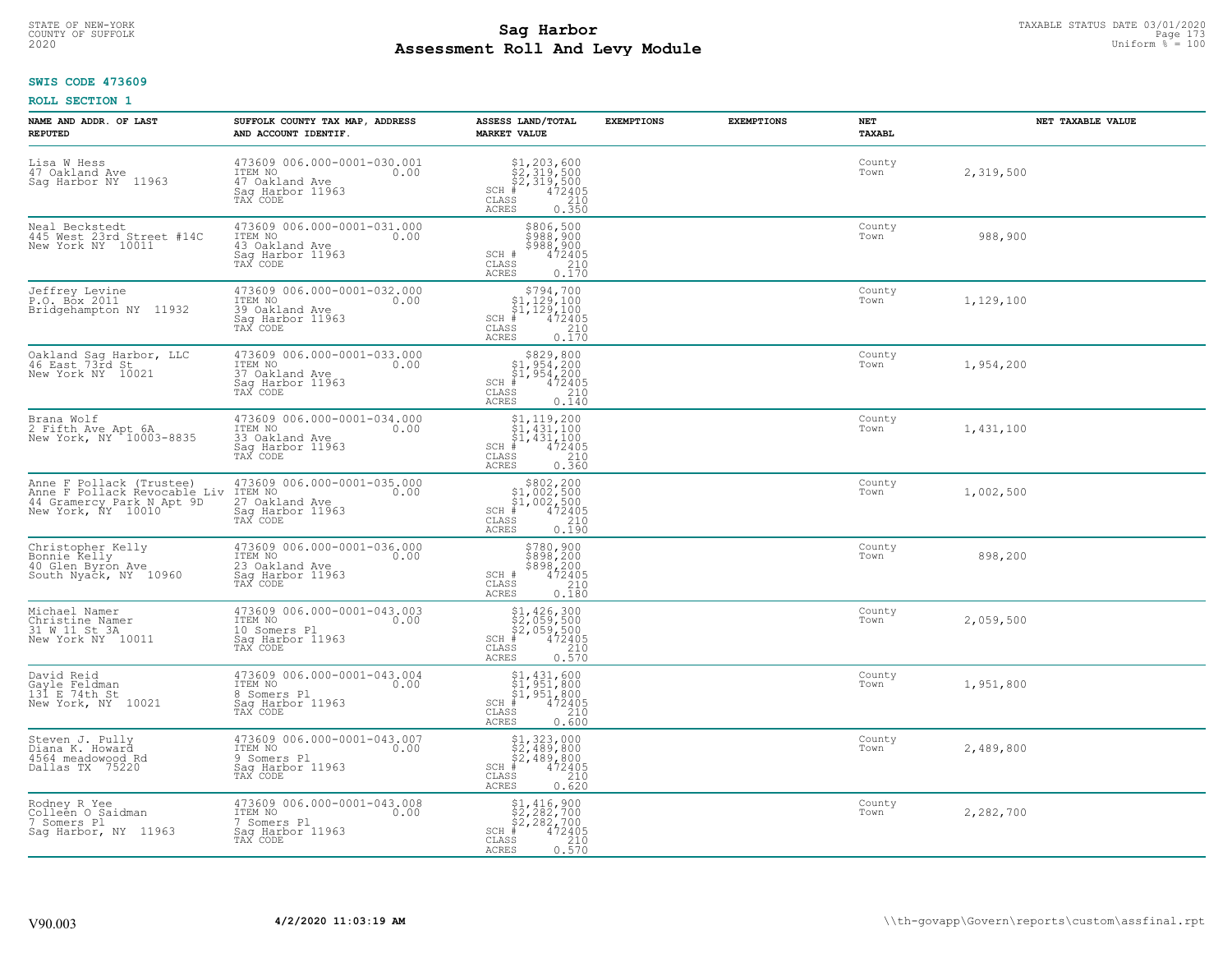# STATE OF NEW-YORK TAXABLE STATUS DATE 03/01/2020<br>COUNTY OF SUFFOLK Page 173 **Assessment Roll And Levy Module Example 2020** Uniform  $\frac{1}{8}$  = 100

#### **SWIS CODE 473609**

| NAME AND ADDR. OF LAST<br><b>REPUTED</b>                                                                    | SUFFOLK COUNTY TAX MAP, ADDRESS<br>AND ACCOUNT IDENTIF.                                          | ASSESS LAND/TOTAL<br><b>MARKET VALUE</b>                                                                                                                        | <b>EXEMPTIONS</b> | <b>EXEMPTIONS</b> | <b>NET</b><br>TAXABL | NET TAXABLE VALUE |
|-------------------------------------------------------------------------------------------------------------|--------------------------------------------------------------------------------------------------|-----------------------------------------------------------------------------------------------------------------------------------------------------------------|-------------------|-------------------|----------------------|-------------------|
| Lisa W Hess<br>47 Oakland Ave<br>Sag Harbor NY 11963                                                        | 473609 006.000-0001-030.001<br>ITEM NO<br>0.00<br>47 Oakland Ave<br>Saq Harbor 11963<br>TAX CODE | $$2,319,500$<br>$$2,319,500$<br>$$2,319,500$<br>$472405$<br>$$35$<br>$$210$<br>$SCH$ #<br>CLASS<br><b>ACRES</b><br>0.350                                        |                   |                   | County<br>Town       | 2,319,500         |
| Neal Beckstedt<br>445 West 23rd Street #14C<br>New York NY 10011                                            | 473609 006.000-0001-031.000<br>ITEM NO<br>0.00<br>43 Oakland Ave<br>Sag Harbor 11963<br>TAX CODE | \$806,500<br>\$988,900<br>\$988,900<br>472405<br>SCH #<br>$\mathtt{CLASS}$<br>$\frac{210}{0.170}$<br>ACRES                                                      |                   |                   | County<br>Town       | 988,900           |
| Jeffrey Levine<br>P.O. Box 2011<br>Bridgehampton NY 11932                                                   | 473609 006.000-0001-032.000<br>ITEM NO<br>0.00<br>39 Oakland Ave<br>Sag Harbor 11963<br>TAX CODE | \$794,700<br>$\begin{array}{c} 51,129,100 \\ 51,129,100 \\ + 472405 \end{array}$<br>$SCH$ #<br>210<br>CLASS<br><b>ACRES</b><br>0.170                            |                   |                   | County<br>Town       | 1,129,100         |
| Oakland Sag Harbor, LLC<br>46 East 73rd St<br>New York NY 10021                                             | 473609 006.000-0001-033.000<br>ITEM NO<br>0.00<br>37 Oakland Ave<br>Saq Harbor 11963<br>TAX CODE | $$829,800$<br>$$1,954,200$<br>$$1,954,200$<br>$472405$<br>$$240$<br>$$240$<br>$SCH$ #<br>CLASS<br><b>ACRES</b><br>0.140                                         |                   |                   | County<br>Town       | 1,954,200         |
| Brana Wolf<br>2 Fifth Ave Apt 6A<br>New York, NY 10003-8835                                                 | 473609 006.000-0001-034.000<br>ITEM NO<br>0.00<br>33 Oakland Ave<br>Saq Harbor 11963<br>TAX CODE | $$1, 119, 200$<br>$$1, 431, 100$<br>$$1, 431, 100$<br>$472405$<br>$$220$<br>SCH #<br>CLASS<br>0.360<br>ACRES                                                    |                   |                   | County<br>Town       | 1,431,100         |
| Anne F Pollack (Trustee)<br>Anne F Pollack Revocable Liv<br>44 Gramercy Park N Apt 9D<br>New York, NY 10010 | 473609 006.000-0001-035.000<br>ITEM NO<br>0.00<br>27 Oakland Ave<br>Saq Harbor 11963<br>TAX CODE | $$302, 200$<br>$$1, 002, 500$<br>$$1, 002, 500$<br>$*1, 002, 500$<br>$*1, 472405$<br>$SCH$ #<br>CLASS<br>210<br><b>ACRES</b><br>0.190                           |                   |                   | County<br>Town       | 1,002,500         |
| Christopher Kelly<br>Bonnie Kelly<br>40 Glen Byron Ave<br>South Nyack, NY 10960                             | 473609 006.000-0001-036.000<br>ITEM NO<br>0.00<br>23 Oakland Ave<br>Sag Harbor 11963<br>TAX CODE | \$780,900<br>\$898,200<br>\$898,200<br>\$898,200<br>SCH #<br>CLASS<br>210<br><b>ACRES</b><br>0.180                                                              |                   |                   | County<br>Town       | 898,200           |
| Michael Namer<br>Christine Namer<br>31 W 11 St 3A<br>New York NY 10011                                      | 473609 006.000-0001-043.003<br>TTEM NO 0.00<br>10 Somers Pl<br>Saq Harbor 11963<br>TAX CODE      | $$1,426,300$<br>$$2,059,500$<br>$$2,059,500$<br>$472405$<br>$$2,05$<br>$$210$<br>$SCH$ #<br>$\mathtt{CLASS}$<br>0.570<br><b>ACRES</b>                           |                   |                   | County<br>Town       | 2,059,500         |
| David Reid<br>Gayle Feldman<br>131 E 74th St<br>New York, NY 10021                                          | 473609 006.000-0001-043.004<br>TTEM NO 0.00<br>8 Somers Pl<br>Saq Harbor 11963<br>TAX CODE       | $$1,431,600$<br>$$1,951,800$<br>$\begin{array}{r} 51,951,800 \\ 472405 \\ \text{is} \qquad \qquad 210 \end{array}$<br>$SCH$ #<br>CLASS<br><b>ACRES</b><br>0.600 |                   |                   | County<br>Town       | 1,951,800         |
| Steven J. Pully<br>Diana K. Howard<br>4564 meadowood Rd<br>Dallas TX 75220                                  | 473609 006.000-0001-043.007<br>ITEM NO<br>0.00<br>9 Somers Pl<br>Sag Harbor 11963<br>TAX CODE    | $$1,323,000$<br>$$2,489,800$<br>$$2,489,800$<br>$$472405$<br>$SCH$ #<br>CLASS<br>210<br><b>ACRES</b><br>0.620                                                   |                   |                   | County<br>Town       | 2,489,800         |
| Rodney R Yee<br>Colleen O Saidman<br>7 Somers Pl<br>Saq Harbor, NY 11963                                    | 473609 006.000-0001-043.008<br>ITEM NO<br>0.00<br>7 Somers Pl<br>Sag Harbor 11963<br>TAX CODE    | $$1,416,900$<br>$$2,282,700$<br>$$2,282,700$<br>$SCH$ #<br>472405<br>CLASS<br>210<br>0.570<br>ACRES                                                             |                   |                   | County<br>Town       | 2,282,700         |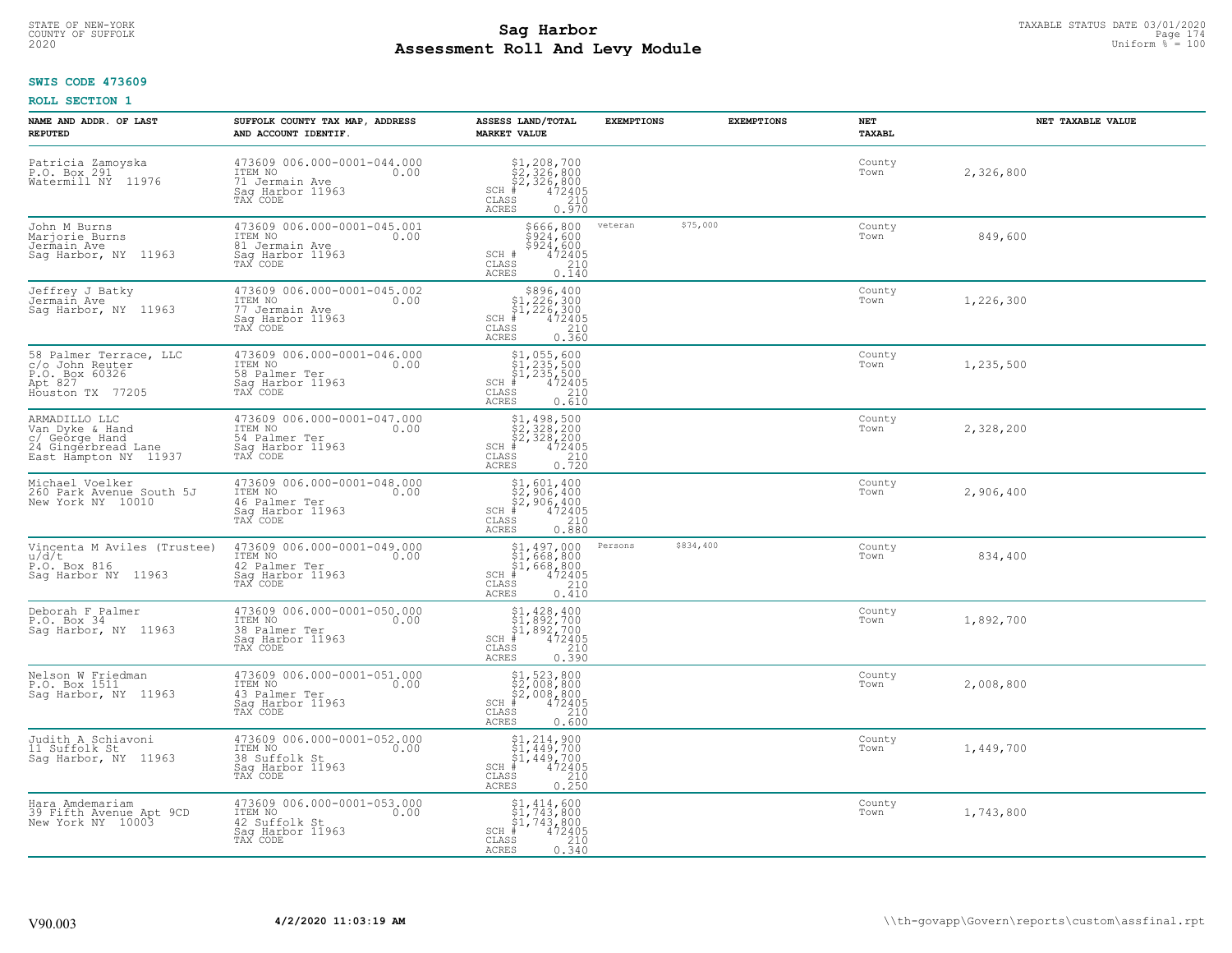# STATE OF NEW-YORK TAXABLE STATUS DATE 03/01/2020<br>Page 174 **Sag Harbor** Supering the Supering Page 174 and Page 174 **Assessment Roll And Levy Module Example 2020** Uniform  $\frac{1}{8}$  = 100

### **SWIS CODE 473609**

| NAME AND ADDR. OF LAST<br><b>REPUTED</b>                                                           | SUFFOLK COUNTY TAX MAP, ADDRESS<br>AND ACCOUNT IDENTIF.                                          | ASSESS LAND/TOTAL<br><b>MARKET VALUE</b>                                                                                                                           | <b>EXEMPTIONS</b>    | <b>EXEMPTIONS</b> | NET<br>TAXABL  | NET TAXABLE VALUE |
|----------------------------------------------------------------------------------------------------|--------------------------------------------------------------------------------------------------|--------------------------------------------------------------------------------------------------------------------------------------------------------------------|----------------------|-------------------|----------------|-------------------|
| Patricia Zamoyska<br>P.O. Box 291<br>Watermill NY 11976                                            | 473609 006.000-0001-044.000<br>ITEM NO<br>0.00<br>71 Jermain Ave<br>Saq Harbor 11963<br>TAX CODE | $$1, 208, 700$<br>$$2, 326, 800$<br>$$2, 326, 800$<br>$*$ 472405<br>$SCH$ #<br>CLASS<br>210<br>ACRES<br>0.970                                                      |                      |                   | County<br>Town | 2,326,800         |
| John M Burns<br>Marjorie Burns<br>Jermain Ave<br>Sag Harbor, NY 11963                              | 473609 006.000-0001-045.001<br>ITEM NO<br>0.00<br>81 Jermain Ave<br>Sag Harbor 11963<br>TAX CODE | \$666,800<br>\$924,600<br>\$924/600<br>$\frac{472405}{210}$<br>SCH #<br>CLASS<br><b>ACRES</b><br>0.140                                                             | \$75,000<br>veteran  |                   | County<br>Town | 849,600           |
| Jeffrey J Batky<br>Jermain Ave<br>Saq Harbor, NY 11963                                             | 473609 006.000-0001-045.002<br>ITEM NO<br>0.00<br>77 Jermain Ave<br>Sag Harbor 11963<br>TAX CODE | $\begin{array}{r} $896,400\n$1,226,300\n$1,226,300\n# 472405\n$210\n$<br>$SCH$ #<br>CLASS<br>0.360<br><b>ACRES</b>                                                 |                      |                   | County<br>Town | 1,226,300         |
| 58 Palmer Terrace, LLC<br>c/o John Reuter<br>P.O. Box 60326<br>Apt 827<br>Houston TX 77205         | 473609 006.000-0001-046.000<br>ITEM NO<br>0.00<br>58 Palmer Ter<br>Saq Harbor 11963<br>TAX CODE  | \$1,055,600<br>\$1,235,500<br>\$1,235,500<br># 472405<br>\$5 210<br>$SCH$ #<br>CLASS<br><b>ACRES</b><br>0.610                                                      |                      |                   | County<br>Town | 1,235,500         |
| ARMADILLO LLC<br>Van Dyke & Hand<br>c/ George Hand<br>24 Gingerbread Lane<br>East Hampton NY 11937 | 473609 006.000-0001-047.000<br>ITEM NO<br>0.00<br>54 Palmer Ter<br>Saq Harbor 11963<br>TAX CODE  | \$1,498,500<br>\$2,328,200<br>\$2,328,200<br>#472405<br>$SCH$ #<br>CLASS<br>$\begin{array}{c} 210 \\ 0.720 \end{array}$<br><b>ACRES</b>                            |                      |                   | County<br>Town | 2,328,200         |
| Michael Voelker<br>260 Park Avenue South 5J<br>New York NY 10010                                   | 473609 006.000-0001-048.000<br>ITEM NO<br>0.00<br>46 Palmer Ter<br>Sag Harbor 11963<br>TAX CODE  | $\begin{array}{l} $1,601,400 \ $2,906,400 \ $2,906,400 \ $400 \ $4,402405 \end{array}$<br>$SCH$ #<br>210<br>CLASS<br>0.880<br>ACRES                                |                      |                   | County<br>Town | 2,906,400         |
| Vincenta M Aviles (Trustee)<br>u/d/t<br>P.O. Box 816<br>Sag Harbor NY 11963                        | 473609 006.000-0001-049.000<br>ITEM NO<br>0.00<br>42 Palmer Ter<br>Sag Harbor 11963<br>TAX CODE  | $$1,497,000$<br>$$1,668,800$<br>$$1,668,800$<br>$$1,668,800$<br>$472405$<br>$SCH$ #<br>210<br>CLASS<br><b>ACRES</b><br>0.410                                       | \$834,400<br>Persons |                   | County<br>Town | 834,400           |
| Deborah F Palmer<br>P.O. Box 34<br>Sag Harbor, NY 11963                                            | 473609 006.000-0001-050.000<br>ITEM NO<br>0.00<br>38 Palmer Ter<br>Saq Harbor 11963<br>TAX CODE  | $$1,428,400$<br>$$1,892,700$<br>$$1,892,700$<br>$472405$<br>$35$<br>$210$<br>$SCH$ #<br>$\mathtt{CLASS}$<br>0.390<br><b>ACRES</b>                                  |                      |                   | County<br>Town | 1,892,700         |
| Nelson W Friedman<br>P.O. Box 1511<br>Sag Harbor, NY 11963                                         | $473609006.000-0001-051.000$<br>ITEM NO<br>43 Palmer Ter<br>Sag Harbor 11963<br>TAX CODE         | $$2,008,800$<br>$$2,008,800$<br>$$2,008,800$<br>$$472405$<br>$$2,00$<br>$$200$<br>$SCH$ #<br>CLASS<br><b>ACRES</b><br>0.600                                        |                      |                   | County<br>Town | 2,008,800         |
| Judith A Schiavoni<br>11 Suffolk St<br>Saq Harbor, NY 11963                                        | 473609 006.000-0001-052.000<br>ITEM NO<br>0.00<br>38 Suffolk St<br>Sag Harbor 11963<br>TAX CODE  | $\begin{array}{c} 51,214,900 \\ 51,449,700 \\ 51,449,700 \end{array}$<br>$SCH$ #<br>472405<br>CLASS<br>$\begin{array}{c} 210 \\ 0.250 \end{array}$<br><b>ACRES</b> |                      |                   | County<br>Town | 1,449,700         |
| Hara Amdemariam<br>39 Fifth Avenue Apt 9CD<br>New York NY 10003                                    | 473609 006.000-0001-053.000<br>ITEM NO<br>0.00<br>42 Suffolk St<br>Sag Harbor 11963<br>TAX CODE  | $$1, 414, 600$<br>$$1, 743, 800$<br>$$1, 743, 800$<br>472405<br>$SCH$ #<br>CLASS<br>210<br>0.340<br>ACRES                                                          |                      |                   | County<br>Town | 1,743,800         |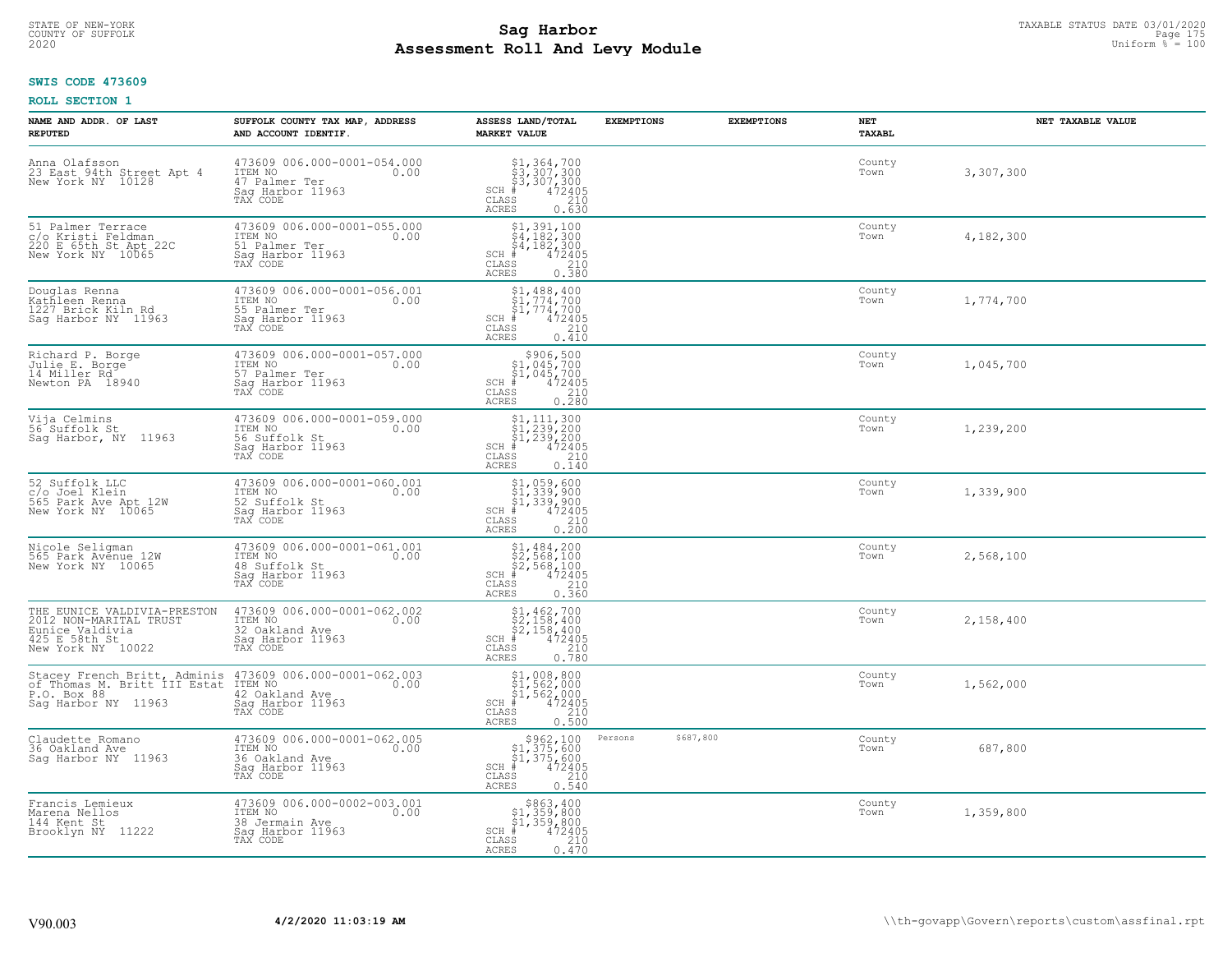# STATE OF NEW-YORK TAXABLE STATUS DATE 03/01/2020<br>COUNTY OF SUFFOLK Page 175 Page 175 **Assessment Roll And Levy Module Example 2020** Uniform  $\frac{1}{8}$  = 100

#### **SWIS CODE 473609**

| NAME AND ADDR. OF LAST<br><b>REPUTED</b>                                                                       | SUFFOLK COUNTY TAX MAP, ADDRESS<br>AND ACCOUNT IDENTIF.                                                                                                 | ASSESS LAND/TOTAL<br><b>MARKET VALUE</b>                                                                                                     | <b>EXEMPTIONS</b>    | <b>EXEMPTIONS</b> | NET<br>TAXABL  | NET TAXABLE VALUE |
|----------------------------------------------------------------------------------------------------------------|---------------------------------------------------------------------------------------------------------------------------------------------------------|----------------------------------------------------------------------------------------------------------------------------------------------|----------------------|-------------------|----------------|-------------------|
| Anna Olafsson<br>23 East 94th Street Apt 4<br>New York NY 10128                                                | 473609 006.000-0001-054.000<br>ITEM NO<br>0.00<br>47 Palmer Ter<br>Saq Harbor 11963<br>TAX CODE                                                         | $$3,364,700$<br>$$3,307,300$<br>$$3,307,300$<br>$472405$<br>$$210$<br>$SCH$ #<br>CLASS<br><b>ACRES</b><br>0.630                              |                      |                   | County<br>Town | 3,307,300         |
| 51 Palmer Terrace<br>c/o Kristi Feldman<br>220 E 65th St Apt 22C<br>New York NY 10065                          | 473609 006.000-0001-055.000<br>ITEM NO<br>0.00<br>51 Palmer Ter<br>Sag Harbor 11963<br>TAX CODE                                                         | $$1,391,100$<br>$$4,182,300$<br>$$4,182,300$<br>$$4,182,300$<br>$472405$<br>$SCH$ #<br>$\mathtt{CLASS}$<br>$\frac{210}{0.380}$<br>ACRES      |                      |                   | County<br>Town | 4,182,300         |
| Douglas Renna<br>Kathleen Renna<br>1227 Brick Kiln Rd<br>Saq Harbor NY 11963                                   | 473609 006.000-0001-056.001<br>ITEM NO<br>0.00<br>55 Palmer Ter<br>Sag Harbor 11963<br>TAX CODE                                                         | $$1,488,400$<br>$$1,774,700$<br>$$1,774,700$<br>$$1,774,700$<br>$SCH$ #<br>472405<br>210<br>CLASS<br>ACRES<br>0.410                          |                      |                   | County<br>Town | 1,774,700         |
| Richard P. Borge<br>Julie E. Borge<br>14 Miller Rd<br>Newton PA 18940                                          | 473609 006.000-0001-057.000<br>ITEM NO<br>0.00<br>57 Palmer Ter<br>Sag Harbor 11963<br>TAX CODE                                                         | $$906,500$<br>$$1,045,700$<br>$$1,045,700$<br>$$1,045,700$<br>$SCH$ #<br>$^{0.1472405}_{210}$<br>0.280<br>CLASS<br><b>ACRES</b>              |                      |                   | County<br>Town | 1,045,700         |
| Vija Celmins<br>56 Suffolk St<br>Sag Harbor, NY 11963                                                          | 473609 006.000-0001-059.000<br>ITEM NO<br>0.00<br>56 Suffolk St<br>Saq Harbor 11963<br>TAX CODE                                                         | $$1, 111, 300$<br>$$1, 239, 200$<br>$$1, 239, 200$<br>$*$ $472405$<br>$SCH$ #<br>210<br>CLASS<br>ACRES<br>0.140                              |                      |                   | County<br>Town | 1,239,200         |
| 52 Suffolk LLC<br>c/o Joel Klein<br>565 Park Ave Apt 12W<br>New York NY 10065                                  | 473609 006.000-0001-060.001<br>ITEM NO<br>0.00<br>52 Suffolk St<br>Sag Harbor 11963<br>TAX CODE                                                         | \$1,059,600<br>\$1,339,900<br>\$1,339,900<br>#472405<br>$SCH$ #<br>CLASS<br>210<br><b>ACRES</b><br>0.200                                     |                      |                   | County<br>Town | 1,339,900         |
| Nicole Seligman<br>565 Park Avenue 12W<br>New York NY 10065                                                    | 473609 006.000-0001-061.001<br>ITEM NO<br>0.00<br>48 Suffolk St<br>Sag Harbor 11963<br>TAX CODE                                                         | $$1,484,200$<br>$$2,568,100$<br>$$2,568,100$<br>$$472405$<br>$SCH$ #<br>CLASS<br>$\begin{array}{c} 210 \\ 0.360 \end{array}$<br><b>ACRES</b> |                      |                   | County<br>Town | 2,568,100         |
| THE EUNICE VALDIVIA-PRESTON<br>2012 NON-MARITAL TRUST<br>Eunice Valdivia<br>425 E 58th St<br>New York NY 10022 | 473609 006.000-0001-062.002<br>TTEM NO 0.00<br>32 Oakland Ave<br>Saq Harbor 11963<br>TAX CODE                                                           | $$2,158,400$<br>$$2,158,400$<br>$$2,158,400$<br>$472405$<br>$35$<br>$210$<br>$SCH$ #<br>$\mathtt{CLASS}$<br>0.780<br><b>ACRES</b>            |                      |                   | County<br>Town | 2,158,400         |
| P.O. Box 88<br>Saq Harbor NY 11963                                                                             | Stacey French Britt, Adminis 473609 006.000-0001-062.003<br>of Thomas M. Britt III Estat ITEM NO 0.00<br>42 Oakland Ave<br>Saq Harbor 11963<br>TAX CODE | $$1, 008, 800$<br>$$1, 562, 000$<br>$$1, 562, 000$<br>$SCH$ #<br>$472405$<br>210<br>CLASS<br><b>ACRES</b><br>0.500                           |                      |                   | County<br>Town | 1,562,000         |
| Claudette Romano<br>36 Oakland Ave<br>Sag Harbor NY 11963                                                      | 473609 006.000-0001-062.005<br>ITEM NO<br>0.00<br>36 Oakland Ave<br>Sag Harbor 11963<br>TAX CODE                                                        | $$962,100$<br>$$1,375,600$<br>$$1,375,600$<br>$$472405$<br>$SCH$ #<br>$\begin{array}{c} 210 \\ 0.540 \end{array}$<br>CLASS<br><b>ACRES</b>   | \$687,800<br>Persons |                   | County<br>Town | 687,800           |
| Francis Lemieux<br>Marena Nellos<br>144 Kent St<br>Brooklyn NY 11222                                           | 473609 006.000-0002-003.001<br>ITEM NO<br>0.00<br>38 Jermain Ave<br>Sag Harbor 11963<br>TAX CODE                                                        | \$863,400<br>\$1,359,800<br>\$1,359,800<br>$SCH$ #<br>472405<br>CLASS<br>210<br>ACRES<br>0.470                                               |                      |                   | County<br>Town | 1,359,800         |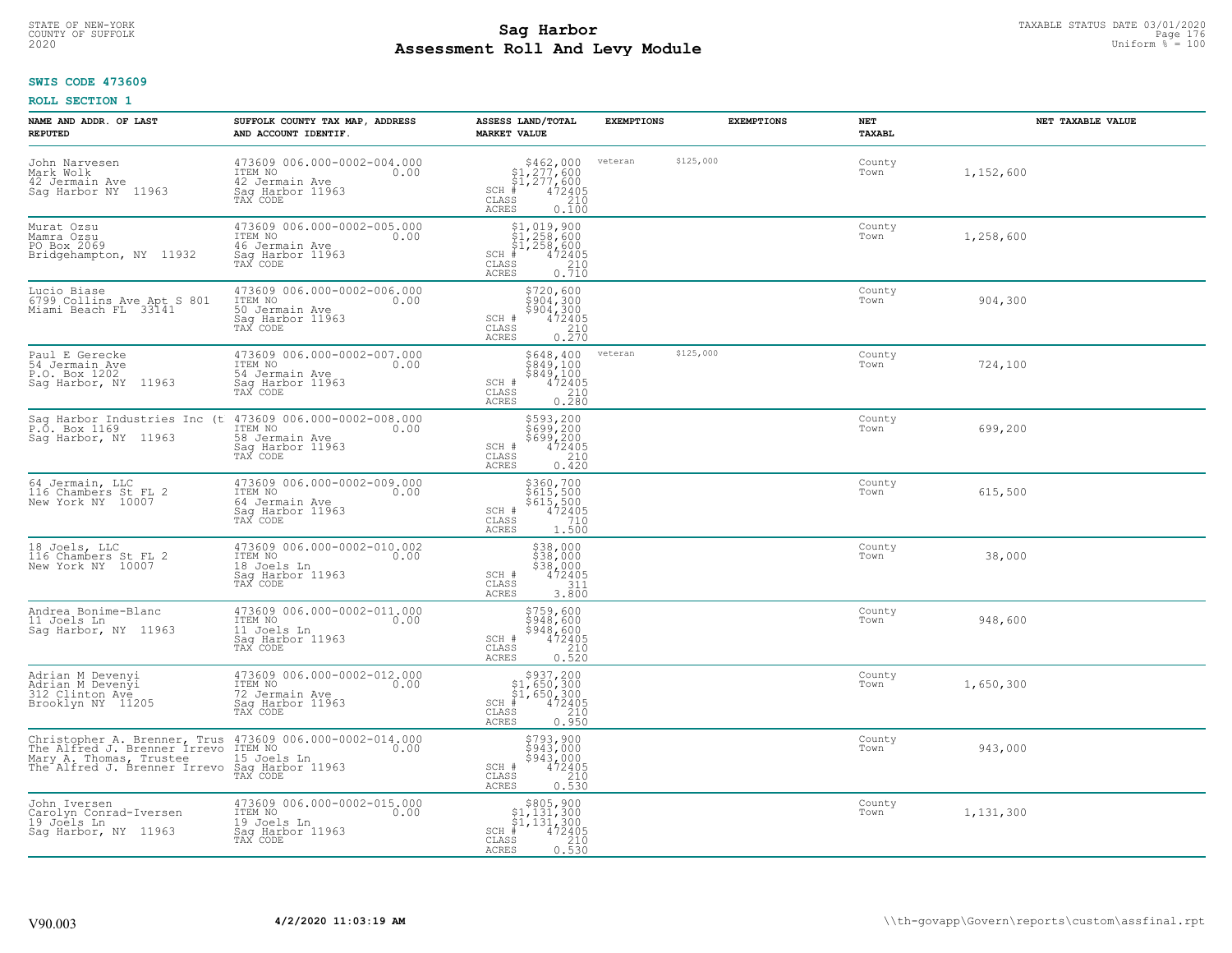# TAXABLE STATUS DATE 03/01/2020<br>COUNTY OF SUFFOLK Page 176 Page 176 **Assessment Roll And Levy Module Example 2020** Uniform  $\frac{1}{8}$  = 100

#### **SWIS CODE 473609**

| NAME AND ADDR. OF LAST<br><b>REPUTED</b>                                                                                  | SUFFOLK COUNTY TAX MAP, ADDRESS<br>AND ACCOUNT IDENTIF.                                                                       | ASSESS LAND/TOTAL<br><b>MARKET VALUE</b>                                                                                                                   | <b>EXEMPTIONS</b>    | <b>EXEMPTIONS</b> | NET<br>TAXABL  | NET TAXABLE VALUE |
|---------------------------------------------------------------------------------------------------------------------------|-------------------------------------------------------------------------------------------------------------------------------|------------------------------------------------------------------------------------------------------------------------------------------------------------|----------------------|-------------------|----------------|-------------------|
| John Narvesen<br>Mark Wolk<br>42 Jermain Ave<br>Sag Harbor NY 11963                                                       | 473609 006.000-0002-004.000<br>ITEM NO 0.00<br>42 Jermain Ave<br>Sag Harbor 11963<br>TAX CODE                                 | $$462,000$<br>$$1,277,600$<br>$$1,277,600$<br>SCH $*$ 472405<br>CLASS 210<br>CLASS<br>ACRES<br>0.100                                                       | \$125,000<br>veteran |                   | County<br>Town | 1,152,600         |
| Murat Ozsu<br>Mamra Ozsu<br>PO Box 2069<br>Bridgehampton, NY 11932                                                        | 473609 006.000-0002-005.000<br>ITEM NO<br>46 Jermain Ave<br>0.00<br>Saq Harbor 11963<br>TAX CODE                              | $$1,019,900$<br>$$1,258,600$<br>$$1,258,600$<br>$1,258,600$<br>$7 - 472405$<br>$SCH$ #<br>CLASS<br>$\frac{210}{0.710}$<br>ACRES                            |                      |                   | County<br>Town | 1,258,600         |
| Lucio Biase<br>6799 Collins Ave Apt S 801<br>Miami Beach FL 33141                                                         | 473609 006.000-0002-006.000<br>ITEM NO<br>0.00<br>50 Jermain Ave<br>Saq Harbor 11963<br>TAX CODE                              | \$720,600<br>\$904,300<br>\$904,300<br>SCH # $472405$<br>CLASS<br>$\frac{210}{0.270}$<br>ACRES                                                             |                      |                   | County<br>Town | 904,300           |
| Paul E Gerecke<br>54 Jermain Ave<br>P.O. Box 1202<br>Sag Harbor, NY 11963                                                 | 473609 006.000-0002-007.000<br>10.00 0.00<br>54 Jermain Ave<br>Saq Harbor 11963<br>TAX CODE                                   | \$648,400 veteran<br>\$849,100<br>\$849,100<br>SCH #<br>$70.472405$<br>210<br>0.280<br>CLASS<br>ACRES                                                      | \$125,000            |                   | County<br>Town | 724,100           |
| P.O. Box 1169<br>Sag Harbor, NY 11963                                                                                     | Sag Harbor Industries Inc (t 473609 006.000-0002-008.000<br>ITEM NO<br>0.00<br>58 Jermain Ave<br>Sag Harbor 11963<br>TAX CODE | \$593,200<br>$\frac{200}{699}$ , 200<br>\$699, 200<br>472405<br>210<br>SCH #<br>CLASS<br>0.420<br>ACRES                                                    |                      |                   | County<br>Town | 699,200           |
| 64 Jermain, LLC<br>116 Chambers St FL 2<br>New York NY 10007                                                              | 473609 006.000-0002-009.000<br>ITEM NO 0.00<br>64 Jermain Ave<br>Sag Harbor 11963<br>TAX CODE                                 | \$360,700<br>\$615,500<br>\$615,500<br>472405<br>SCH #<br>710<br>CLASS<br>1.500<br>ACRES                                                                   |                      |                   | County<br>Town | 615,500           |
| 18 Joels, LLC<br>116 Chambers St FL 2<br>New York NY 10007                                                                | 473609 006.000-0002-010.002<br>ITEM NO <sub>T</sub><br>0.00<br>18 Joels Ln<br>Sag Harbor 11963<br>TAX CODE                    | \$38,000<br>\$38,000<br>\$38,000<br>472405<br>SCH #<br>311<br>CLASS<br>3,800<br>ACRES                                                                      |                      |                   | County<br>Town | 38,000            |
| Andrea Bonime-Blanc<br>11 Joels Ln<br>Sag Harbor, NY 11963                                                                | 473609 006.000-0002-011.000<br>ITEM NO 0.00<br>11 Joels Ln<br>Saq Harbor 11963<br>TAX CODE                                    | $$759,600$<br>$$948,600$<br>$$948,600$<br>$$5948,600$<br>$$472405$<br>CLASS<br>210<br>ACRES<br>0.520                                                       |                      |                   | County<br>Town | 948,600           |
| Adrian M Devenyi<br>Adrian M Devenyi<br>312 Clinton Ave<br>Brooklyn NY 11205                                              | 473609 006.000-0002-012.000<br>ITEM NO 0.00<br>72 Jermain Ave<br>Saq Harbor 11963<br>TAX CODE                                 | $$937, 200$<br>$$1, 650, 300$<br>$$1, 650, 300$<br>$$1, 650, 300$<br>$$1, 472405$<br>$SCH$ #<br>CLASS<br>210<br>ACRES<br>0.950                             |                      |                   | County<br>Town | 1,650,300         |
| Mary A. Thomas, Trustee<br>The Alfred J. Brenner Irrevo Sag Harbor 11963<br>The Alfred J. Brenner Irrevo Sag Harbor 11963 | Christopher A. Brenner, Trus 473609 006.000-0002-014.000<br>The Alfred J. Brenner Irrevo ITEM NO. 1. 0.00                     | \$793,900<br>\$943,000<br>$$943,000$<br>472405<br>SCH #<br>CLASS<br>210<br><b>ACRES</b><br>0.530                                                           |                      |                   | County<br>Town | 943,000           |
| John Iversen<br>Carolyn Conrad-Iversen<br>19 Joëls Ln<br>Sag Harbor, NY 11963                                             | 473609 006.000-0002-015.000<br>ITEM NO<br>0.00<br>19 Joels Ln<br>Sag Harbor 11963<br>TAX CODE                                 | $$805,900$<br>$$1,131,300$<br>$$1,131,300$<br>$\begin{smallmatrix}1,1&5&1&5&0&0\\4&7&2&4&0&5\\2&1&0&0&5&3&0\end{smallmatrix}$<br>$SCH$ #<br>CLASS<br>ACRES |                      |                   | County<br>Town | 1,131,300         |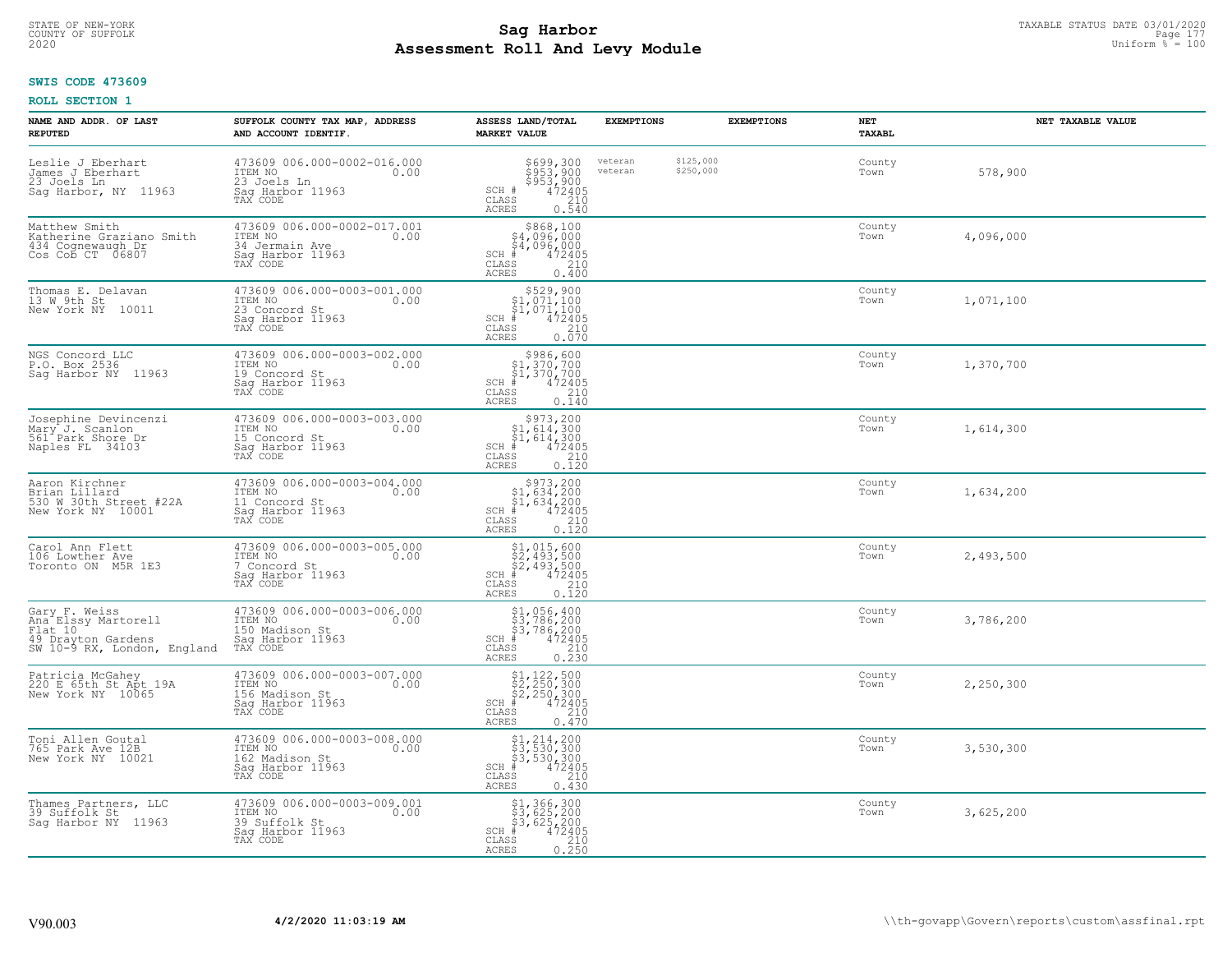# STATE OF NEW-YORK TAXABLE STATUS DATE 03/01/2020<br>COUNTY OF SUFFOLK Page 177 **Assessment Roll And Levy Module Example 2020** Uniform  $\frac{1}{8}$  = 100

### **SWIS CODE 473609**

| NAME AND ADDR. OF LAST<br><b>REPUTED</b>                                                                      | SUFFOLK COUNTY TAX MAP, ADDRESS<br>AND ACCOUNT IDENTIF.                                          | ASSESS LAND/TOTAL<br><b>MARKET VALUE</b>                                                                                                                                                                    | <b>EXEMPTIONS</b>  |                        | <b>EXEMPTIONS</b> | NET<br><b>TAXABL</b> | NET TAXABLE VALUE |
|---------------------------------------------------------------------------------------------------------------|--------------------------------------------------------------------------------------------------|-------------------------------------------------------------------------------------------------------------------------------------------------------------------------------------------------------------|--------------------|------------------------|-------------------|----------------------|-------------------|
| Leslie J Eberhart<br>James J Eberhart<br>23 Joels Ln<br>Sag Harbor, NY 11963                                  | 473609 006.000-0002-016.000<br>ITEM NO<br>0.00<br>23 Joels Ln<br>Sag Harbor 11963<br>TAX CODE    | \$699,300<br>\$953,900<br>\$953,900<br>472405<br>210<br>SCH #<br>CLASS<br><b>ACRES</b><br>0.540                                                                                                             | veteran<br>veteran | \$125,000<br>\$250,000 |                   | County<br>Town       | 578,900           |
| Matthew Smith<br>Katherine Graziano Smith<br>434 Cognewaugh Dr<br>Cos Cob CT 06807                            | 473609 006.000-0002-017.001<br>ITEM NO<br>0.00<br>34 Jermain Ave<br>Sag Harbor 11963<br>TAX CODE | \$868,100<br>\$4,096,000<br>\$4,096,000<br>$SCH$ #<br>472405<br>$\mathtt{CLASS}$<br>210<br>0.400<br><b>ACRES</b>                                                                                            |                    |                        |                   | County<br>Town       | 4,096,000         |
| Thomas E. Delavan<br>13 W 9th St<br>New York NY 10011                                                         | 473609 006.000-0003-001.000<br>ITEM NO<br>0.00<br>23 Concord St<br>Sag Harbor 11963<br>TAX CODE  | $$529,900$<br>$$1,071,100$<br>$$1,071,100$<br>$$472405$<br>$SCH$ #<br>CLASS<br>210<br>0.070<br>ACRES                                                                                                        |                    |                        |                   | County<br>Town       | 1,071,100         |
| NGS Concord LLC<br>P.O. Box 2536<br>Sag Harbor NY 11963                                                       | 473609 006.000-0003-002.000<br>ITEM NO<br>0.00<br>19 Concord St<br>Saq Harbor 11963<br>TAX CODE  | $$986,600$<br>$$1,370,700$<br>$$1,370,700$<br>$*1,370,700$<br>$*1,472405$<br>$SCH$ #<br>$\mathtt{CLASS}$<br>210<br><b>ACRES</b><br>0.140                                                                    |                    |                        |                   | County<br>Town       | 1,370,700         |
| Josephine Devincenzi<br>Mary J. Scanlon<br>561 Park Shore Dr<br>Naples FL 34103                               | 473609 006.000-0003-003.000<br>ITEM NO<br>0.00<br>15 Concord St<br>Sag Harbor 11963<br>TAX CODE  | $\begin{array}{r}  \  \  \,  \, 5973,200\\  \  \, 51,614,300\\  \  \, 51,614,300\\  \  \  \, 472405\\ \  \  \, 55\\  \  \  \, 210\\  \  \, 25\\  \  \  \, 0.120\\ \end{array}$<br>$SCH$ #<br>CLASS<br>ACRES |                    |                        |                   | County<br>Town       | 1,614,300         |
| Aaron Kirchner<br>Brian Lillard<br>530 W 30th Street #22A<br>New York NY 10001                                | 473609 006.000-0003-004.000<br>ITEM NO<br>0.00<br>11 Concord St<br>Sag Harbor 11963<br>TAX CODE  | $$373,200$<br>$$1,634,200$<br>$$1,634,200$<br>$$472405$<br>$SCH$ #<br>CLASS<br>210<br>0.120<br><b>ACRES</b>                                                                                                 |                    |                        |                   | County<br>Town       | 1,634,200         |
| Carol Ann Flett<br>106 Lowther Ave<br>Toronto ON M5R 1E3                                                      | 473609 006.000-0003-005.000<br>ITEM NO<br>0.00<br>7 Concord St<br>Sag Harbor 11963<br>TAX CODE   | \$1,015,600<br>\$2,493,500<br>\$2,493,500<br>#472405<br>$SCH$ #<br>CLASS<br>210<br>0.120<br><b>ACRES</b>                                                                                                    |                    |                        |                   | County<br>Town       | 2,493,500         |
| Gary F. Weiss<br>Ana Elssy Martorell<br>Flat 10<br>49 Drayton Gardens<br>SW 10-9 RX, London, England TAX CODE | 473609 006.000-0003-006.000<br>0.00 0.00<br>150 Madison St<br>Saq Harbor 11963                   | \$1,056,400<br>\$3,786,200<br>\$3,786,200<br>#472405<br>$SCH$ #<br>CLASS<br>210<br><b>ACRES</b><br>0.230                                                                                                    |                    |                        |                   | County<br>Town       | 3,786,200         |
| Patricia McGahey<br>220 E 65th St Apt 19A<br>New York NY 10065                                                | 473609 006.000-0003-007.000<br>ITEM NO<br>156 Madison St<br>Sag Harbor 11963<br>TAX CODE         | \$1,122,500<br>\$2,250,300<br>\$2,250,300<br>$SCH$ #<br>472405<br>CLASS<br>210<br><b>ACRES</b><br>0.470                                                                                                     |                    |                        |                   | County<br>Town       | 2,250,300         |
| Toni Allen Goutal<br>765 Park Ave 12B<br>New York NY 10021                                                    | 473609 006.000-0003-008.000<br>ITEM NO<br>0.00<br>162 Madison St<br>Sag Harbor 11963<br>TAX CODE | \$1,214,200<br>\$3,530,300<br>\$3,530,300<br>#472405<br>$SCH$ #<br>CLASS<br>210<br><b>ACRES</b><br>0.430                                                                                                    |                    |                        |                   | County<br>Town       | 3,530,300         |
| Thames Partners, LLC<br>39 Suffolk St<br>Saq Harbor NY 11963                                                  | 473609 006.000-0003-009.001<br>ITEM NO<br>0.00<br>39 Suffolk St<br>Sag Harbor 11963<br>TAX CODE  | \$1,366,300<br>\$3,625,200<br>\$3,625,200<br>#472405<br>$SCH$ #<br>CLASS<br>210<br>0.250<br><b>ACRES</b>                                                                                                    |                    |                        |                   | County<br>Town       | 3,625,200         |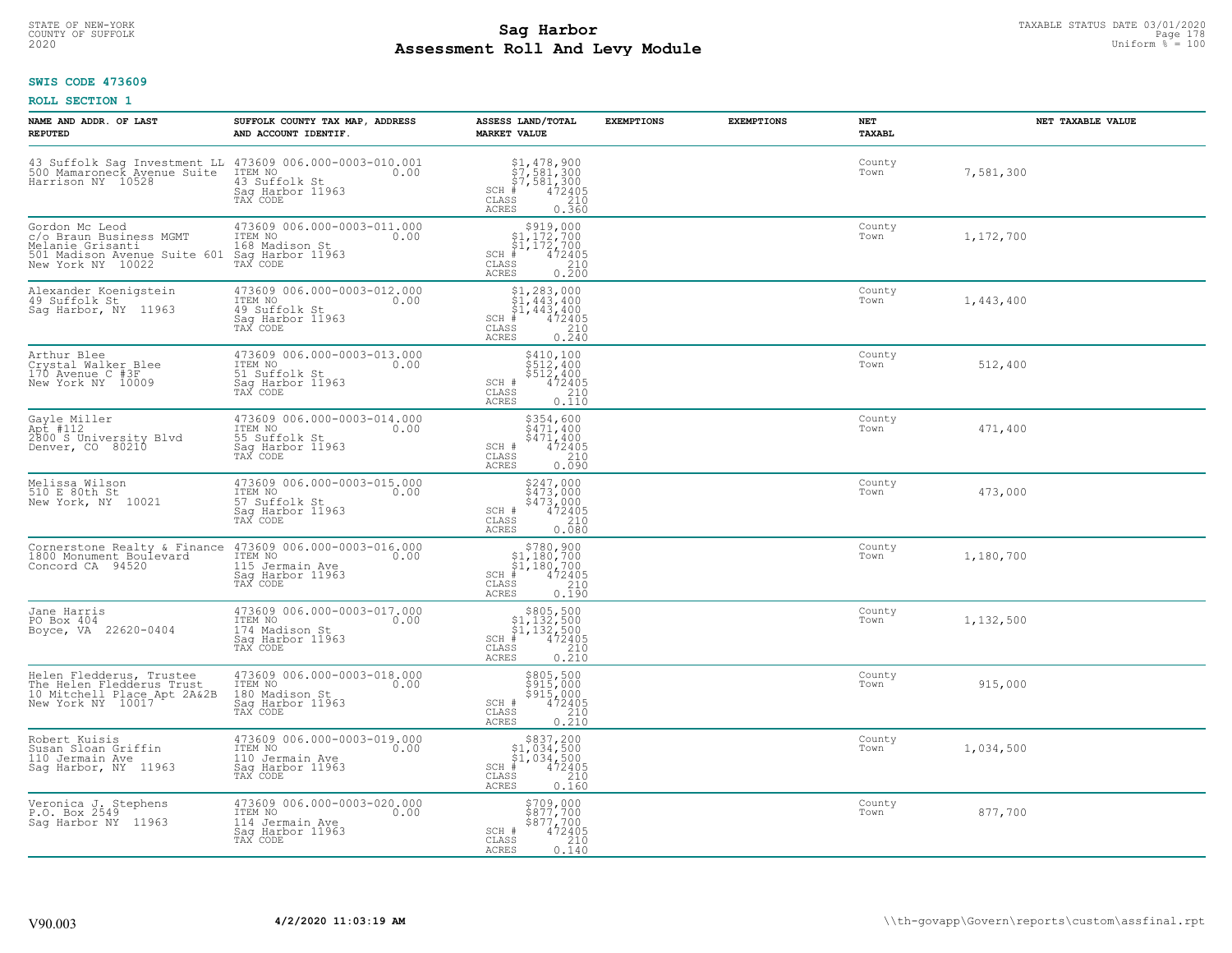# STATE OF NEW-YORK TAXABLE STATUS DATE 03/01/2020<br>COUNTY OF SUFFOLK Page 178 Page 178 **Assessment Roll And Levy Module Example 2020** Uniform  $\frac{1}{8}$  = 100

### **SWIS CODE 473609**

| NAME AND ADDR. OF LAST<br><b>REPUTED</b>                                                                                                | SUFFOLK COUNTY TAX MAP, ADDRESS<br>AND ACCOUNT IDENTIF.                                           | ASSESS LAND/TOTAL<br><b>MARKET VALUE</b>                                                                                                                                                         | <b>EXEMPTIONS</b> | <b>EXEMPTIONS</b> | NET<br>TAXABL  | NET TAXABLE VALUE |
|-----------------------------------------------------------------------------------------------------------------------------------------|---------------------------------------------------------------------------------------------------|--------------------------------------------------------------------------------------------------------------------------------------------------------------------------------------------------|-------------------|-------------------|----------------|-------------------|
| 43 Suffolk Sag Investment LL 473609 006.000-0003-010.001<br>500 Mamaroneck Avenue Suite ITEM NO 6000-0003-010 0.00<br>Harrison NY 10528 | 43 Suffolk St<br>Saq Harbor 11963<br>TAX CODE                                                     | $$1,478,900$<br>$$7,581,300$<br>$$7,581,300$<br>$472405$<br>$385$<br>$$210$<br>$SCH$ #<br>CLASS<br>ACRES<br>0.360                                                                                |                   |                   | County<br>Town | 7,581,300         |
| Gordon Mc Leod<br>c/o Braun Business MGMT<br>Melanie Grisanti<br>501 Madison Avenue Suite 601<br>New York NY 10022                      | 473609 006.000-0003-011.000<br>ITEM NO<br>0.00<br>168 Madison St<br>Sag Harbor 11963<br>TAX CODE  | $$919,000§1,172,700§1,172,700‡1,172,700.*1,472405$<br>SCH #<br>CLASS<br>$\begin{array}{c} 210 \\ 0.200 \end{array}$<br>ACRES                                                                     |                   |                   | County<br>Town | 1,172,700         |
| Alexander Koenigstein<br>49 Suffolk St<br>Saq Harbor, NY 11963                                                                          | 473609 006.000-0003-012.000<br>ITEM NO<br>0.00<br>49 Suffolk St<br>Sag Harbor 11963<br>TAX CODE   | $\begin{array}{l} \text{\small $51$, $283$, $000$} \\ \text{\small $51$, $443$, $400$} \\ \text{\small $51$, $443$, $400$} \\ \text{\small $*$} \end{array}$<br>$SCH$ #<br>CLASS<br><b>ACRES</b> |                   |                   | County<br>Town | 1,443,400         |
| Arthur Blee<br>Crystal Walker Blee<br>170 Avenue C #3F<br>New York NY 10009                                                             | 473609 006.000-0003-013.000<br>ITEM NO<br>0.00<br>51 Suffolk St<br>Sag Harbor 11963<br>TAX CODE   | \$410,100<br>\$512,400<br>\$512,400<br>SCH #<br>472405<br>210<br>CLASS<br>0.110<br><b>ACRES</b>                                                                                                  |                   |                   | County<br>Town | 512,400           |
| Gayle Miller<br>Apt #112<br>2800 S University Blvd<br>Denver, CO 80210                                                                  | 473609 006.000-0003-014.000<br>ITEM NO<br>0.00<br>55 Suffolk St<br>Saq Harbor 11963<br>TAX CODE   | \$354,600<br>$\frac{2471,400}{472405}$<br>SCH #<br>210<br>CLASS<br><b>ACRES</b><br>0.090                                                                                                         |                   |                   | County<br>Town | 471,400           |
| Melissa Wilson<br>510 E 80th St<br>New York, NY 10021                                                                                   | 473609 006.000-0003-015.000<br>ITEM NO<br>0.00<br>57 Suffolk St<br>Saq Harbor 11963<br>TAX CODE   | \$247,000<br>\$473,000<br>\$473,000<br>472405<br>SCH #<br>CLASS<br>210<br>0.080<br><b>ACRES</b>                                                                                                  |                   |                   | County<br>Town | 473,000           |
| Cornerstone Realty & Finance<br>1800 Monument Boulevard<br>Concord CA 94520                                                             | 473609 006.000-0003-016.000<br>ITEM NO<br>0.00<br>115 Jermain Ave<br>Sag Harbor 11963<br>TAX CODE | $$780, 900$<br>$$1, 180, 700$<br>$$1, 180, 700$<br>$$472405$<br>SCH #<br>CLASS<br>210<br>0.190<br><b>ACRES</b>                                                                                   |                   |                   | County<br>Town | 1,180,700         |
| Jane Harris<br>PO Box 404<br>Boyce, VA 22620-0404                                                                                       | 473609 006.000-0003-017.000<br>TTEM NO 0.00<br>174 Madison St<br>Sag Harbor 11963<br>TAX CODE     | $$805,500$<br>$$1,132,500$<br>$$1,132,500$<br>$472405$<br>$$210$<br>$SCH$ #<br>CLASS<br>0.210<br><b>ACRES</b>                                                                                    |                   |                   | County<br>Town | 1,132,500         |
| Helen Fledderus, Trustee<br>The Helen Fledderus Trust<br>10 Mitchell Place Apt 2A&2B<br>New York NY 10017                               | 473609 006.000-0003-018.000<br>ITEM NO<br>0.00<br>180 Madison St<br>Saq Harbor 11963<br>TAX CODE  | \$805,500<br>\$915,000<br>\$915,000<br>472405<br>SCH #<br>210<br>CLASS<br><b>ACRES</b><br>0.210                                                                                                  |                   |                   | County<br>Town | 915,000           |
| Robert Kuisis<br>Susan Sloan Griffin<br>110 Jermain Ave<br>Sag Harbor, NY 11963                                                         | 473609 006.000-0003-019.000<br>ITEM NO<br>0.00<br>110 Jermain Ave<br>Sag Harbor 11963<br>TAX CODE | $$837,200\n$1,034,500\n$1,034,500\n# 472405\n$5\n$210$<br>$SCH$ #<br>CLASS<br><b>ACRES</b><br>0.160                                                                                              |                   |                   | County<br>Town | 1,034,500         |
| Veronica J. Stephens<br>P.O. Box 2549<br>Saq Harbor NY 11963                                                                            | 473609 006.000-0003-020.000<br>ITEM NO<br>0.00<br>114 Jermain Ave<br>Sag Harbor 11963<br>TAX CODE | \$709,000<br>\$877,700<br>\$877,700<br>SCH #<br>472405<br>CLASS<br>210<br>0.140<br>ACRES                                                                                                         |                   |                   | County<br>Town | 877,700           |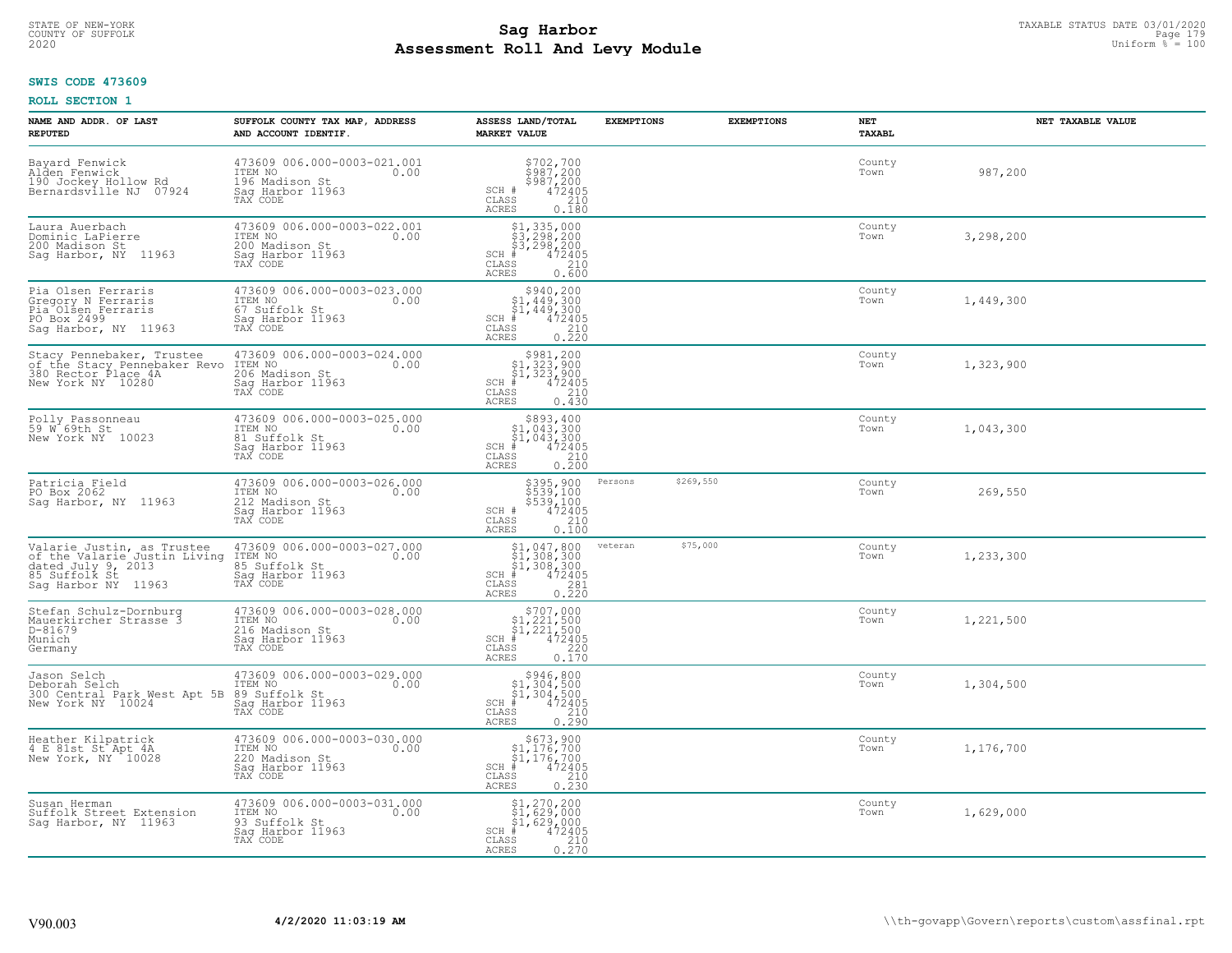# STATE OF NEW-YORK TAXABLE STATUS DATE 03/01/2020<br>COUNTY OF SUFFOLK Page 179 Page 179 **Assessment Roll And Levy Module Example 2020** Uniform  $\frac{1}{8}$  = 100

### **SWIS CODE 473609**

| NAME AND ADDR. OF LAST<br><b>REPUTED</b>                                                                                 | SUFFOLK COUNTY TAX MAP, ADDRESS<br>AND ACCOUNT IDENTIF.                                          | ASSESS LAND/TOTAL<br><b>MARKET VALUE</b>                                                                                                                                                                    | <b>EXEMPTIONS</b> | <b>EXEMPTIONS</b> | NET<br><b>TAXABL</b> | NET TAXABLE VALUE |
|--------------------------------------------------------------------------------------------------------------------------|--------------------------------------------------------------------------------------------------|-------------------------------------------------------------------------------------------------------------------------------------------------------------------------------------------------------------|-------------------|-------------------|----------------------|-------------------|
| Bayard Fenwick<br>Alden Fenwick<br>190 Jockey Hollow Rd<br>Bernardsville NJ 07924                                        | 473609 006.000-0003-021.001<br>ITEM NO<br>0.00<br>196 Madison St<br>Sag Harbor 11963<br>TAX CODE | $\begin{array}{c} $702,700 $987,200 $987,200 472405 210 210 \end{array}$<br>SCH #<br>CLASS<br><b>ACRES</b><br>0.180                                                                                         |                   |                   | County<br>Town       | 987,200           |
| Laura Auerbach<br>Dominic LaPierre<br>200 Madison St<br>Saq Harbor, NY 11963                                             | 473609 006.000-0003-022.001<br>ITEM NO<br>0.00<br>200 Madison St<br>Saq Harbor 11963<br>TAX CODE | $$1, 335, 000$<br>$$3, 298, 200$<br>$$3, 298, 200$<br>$$472405$<br>$SCH$ #<br>CLASS<br>210<br>0.600<br>ACRES                                                                                                |                   |                   | County<br>Town       | 3,298,200         |
| Pia Olsen Ferraris<br>Gregory N Ferraris<br>Pia Olsen Ferraris<br>PO Box 2499<br>Saq Harbor, NY 11963                    | 473609 006.000-0003-023.000<br>ITEM NO<br>0.00<br>67 Suffolk St<br>Sag Harbor 11963<br>TAX CODE  | \$940,200<br>$\begin{array}{l} $1,449,300\\ $1,449,300\\ * \end{array}$<br>$SCH$ #<br>CLASS<br>$\frac{210}{0.220}$<br><b>ACRES</b>                                                                          |                   |                   | County<br>Town       | 1,449,300         |
| Stacy Pennebaker, Trustee<br>of the Stacy Pennebaker Revo ITEM NO<br>380 Rector Place 4A 206 Madi<br>New York NY 10280   | $473609006.000-0003-024.000$<br>0.00<br>206 Madison St<br>Saq Harbor 11963<br>TAX CODE           | $\begin{array}{c} $981,200 $1,323,900 $1,323,900 $472405 \end{array}$<br>$SCH$ #<br>CLASS<br>210<br><b>ACRES</b><br>0.430                                                                                   |                   |                   | County<br>Town       | 1,323,900         |
| Polly Passonneau<br>$59W^69th$ St<br>New York NY 10023                                                                   | 473609 006.000-0003-025.000<br>ITEM NO<br>0.00<br>81 Suffolk St<br>Sag Harbor 11963<br>TAX CODE  | $\begin{array}{r}  \  \  \, 5893,400\\  \  \  51,043,300\\  \  \  51,043,300\\  \  \  \, 472405\\  \  \  \, 55\\  \  \  \, 210\\  \  \  \, 25\\  \  \  \, 0.200\\ \end{array}$<br>$SCH$ #<br>CLASS<br>ACRES |                   |                   | County<br>Town       | 1,043,300         |
| Patricia Field<br>PO Box 2062<br>Sag Harbor, NY 11963                                                                    | 473609 006.000-0003-026.000<br>ITEM NO<br>212 Madison St<br>Sag Harbor 11963<br>0.00<br>TAX CODE | \$395,900<br>\$539,100<br>\$539,100<br>472405<br>SCH #<br>CLASS<br>210<br>0.100<br><b>ACRES</b>                                                                                                             | Persons           | \$269,550         | County<br>Town       | 269,550           |
| Valarie Justin, as Trustee<br>of the Valarie Justin Living<br>dated July 9, 2013<br>85 Suffolk St<br>Saq Harbor NY 11963 | 473609 006.000-0003-027.000<br>ITEM NO<br>0.00<br>85 Suffolk St<br>Sag Harbor 11963<br>TAX CODE  | \$1,047,800<br>\$1,308,300<br>\$1,308,300<br>#472405<br>$SCH$ #<br>CLASS<br>$\frac{281}{0.220}$<br><b>ACRES</b>                                                                                             | veteran           | \$75,000          | County<br>Town       | 1,233,300         |
| Stefan Schulz-Dornburg<br>Mauerkircher Strasse 3<br>D-81679<br>Munich<br>Germany                                         | 473609 006.000-0003-028.000<br>10.00 0.00<br>216 Madison St<br>Saq Harbor 11963<br>TAX CODE      | $$707,000$<br>$$1,221,500$<br>$$1,221,500$<br>$*$<br>$*$ 472405<br>$SCH$ #<br>CLASS<br>220<br><b>ACRES</b><br>0.170                                                                                         |                   |                   | County<br>Town       | 1,221,500         |
| Jason Selch<br>Deborah Selch<br>300 Central Park West Apt 5B 89 Suffolk St<br>New York NY 10024 Saq Harbor 119           | 473609 006.000-0003-029.000<br>TTEM NO 0.00<br>Saq Harbor 11963<br>TAX CODE                      | $\begin{array}{c} $946, 800 \\ $1, 304, 500 \\ $1, 304, 500 \end{array}$<br>$SCH$ #<br>472405<br>CLASS<br>210<br><b>ACRES</b><br>0.290                                                                      |                   |                   | County<br>Town       | 1,304,500         |
| Heather Kilpatrick<br>4 E 81st St Apt 4A<br>New York, NY 10028                                                           | 473609 006.000-0003-030.000<br>ITEM NO<br>0.00<br>220 Madison St<br>Sag Harbor 11963<br>TAX CODE | \$673,900<br>$\begin{array}{c} $1,176,700\\ $1,176,700\\ * \end{array}$<br>$SCH$ #<br>CLASS<br>210<br><b>ACRES</b><br>0.230                                                                                 |                   |                   | County<br>Town       | 1,176,700         |
| Susan Herman<br>Suffolk Street Extension<br>Sag Harbor, NY 11963                                                         | 473609 006.000-0003-031.000<br>ITEM NO<br>0.00<br>93 Suffolk St<br>Sag Harbor 11963<br>TAX CODE  | $$1, 270, 200$<br>$$1, 629, 000$<br>$$1, 629, 000$<br>$$1, 629, 000$<br>$$472405$<br>$SCH$ #<br>CLASS<br>$\frac{210}{0.270}$<br><b>ACRES</b>                                                                |                   |                   | County<br>Town       | 1,629,000         |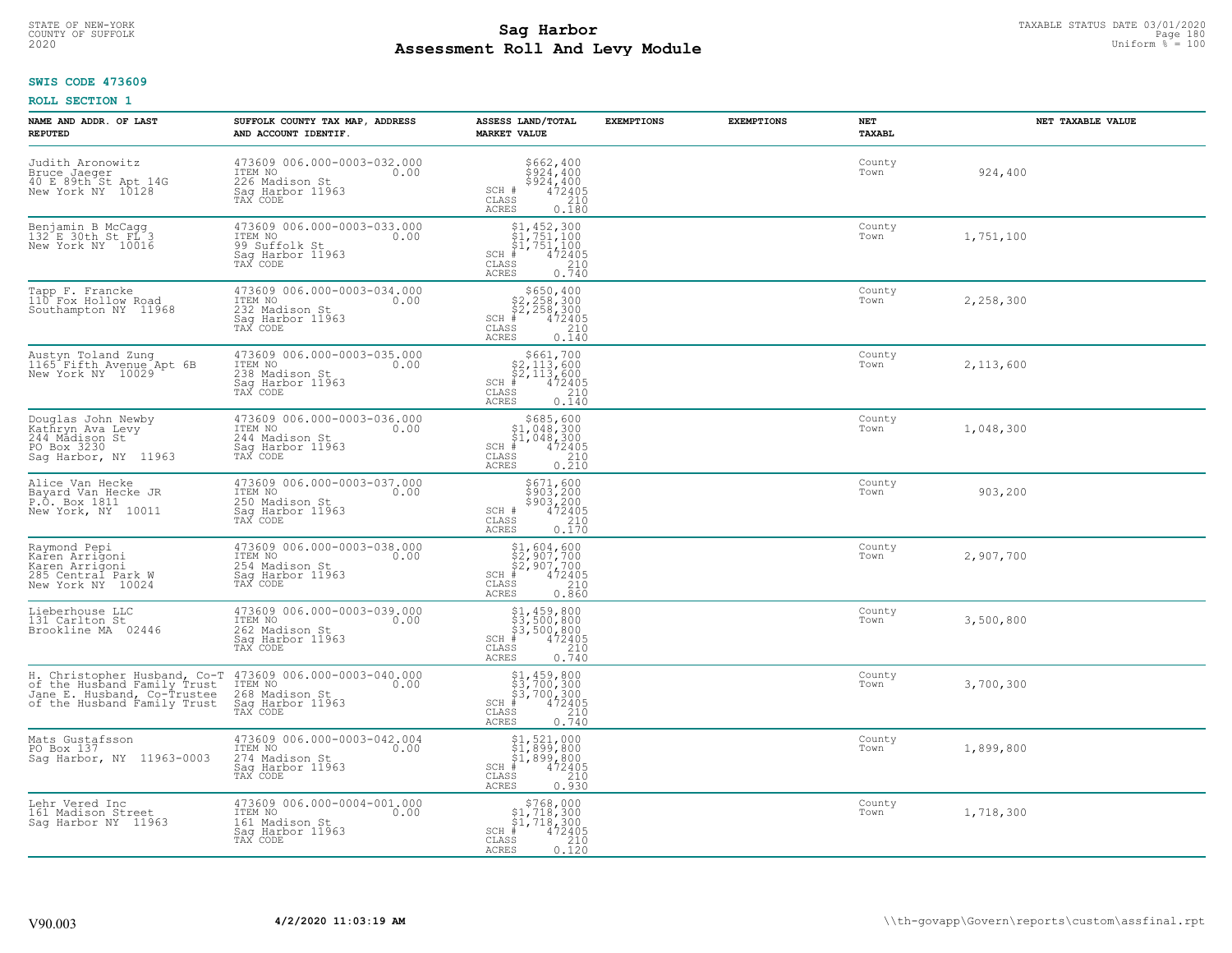# STATE OF NEW-YORK TAXABLE STATUS DATE 03/01/2020<br>COUNTY OF SUFFOLK Page 180 Page 180 **Assessment Roll And Levy Module Example 2020** Uniform  $\frac{1}{8}$  = 100

### **SWIS CODE 473609**

| NAME AND ADDR. OF LAST<br><b>REPUTED</b>                                                        | SUFFOLK COUNTY TAX MAP, ADDRESS<br>AND ACCOUNT IDENTIF.                                                                                                                        | ASSESS LAND/TOTAL<br><b>MARKET VALUE</b>                                                                                                         | <b>EXEMPTIONS</b> | <b>EXEMPTIONS</b> | NET<br>TAXABL  | NET TAXABLE VALUE |
|-------------------------------------------------------------------------------------------------|--------------------------------------------------------------------------------------------------------------------------------------------------------------------------------|--------------------------------------------------------------------------------------------------------------------------------------------------|-------------------|-------------------|----------------|-------------------|
| Judith Aronowitz<br>Bruce Jaeger<br>40 E 89th St Apt 14G<br>New York NY 10128                   | 473609 006.000-0003-032.000<br>ITEM NO<br>0.00<br>226 Madison St<br>Sag Harbor 11963<br>TAX CODE                                                                               | \$662,400<br>\$924,400<br>\$924,400<br>472405<br>SCH #<br>CLASS<br>210<br>ACRES<br>0.180                                                         |                   |                   | County<br>Town | 924,400           |
| Benjamin B McCagg<br>132 E 30th St FL 3<br>New York NY 10016                                    | 473609 006.000-0003-033.000<br>ITEM NO<br>0.00<br>99 Suffolk St<br>Sag Harbor 11963<br>TAX CODE                                                                                | $\begin{array}{c} 51, 452, 300 \\ 51, 751, 100 \\ 51, 751, 100 \end{array}$<br>472405<br>$SCH$ #<br>CLASS<br>$\frac{210}{0.740}$<br><b>ACRES</b> |                   |                   | County<br>Town | 1,751,100         |
| Tapp F. Francke<br>110 Fox Hollow Road<br>Southampton NY 11968                                  | 473609 006.000-0003-034.000<br>ITEM NO<br>0.00<br>232 Madison St<br>Sag Harbor 11963<br>TAX CODE                                                                               | $$650, 400$<br>$$2, 258, 300$<br>$$2, 258, 300$<br>$$472405$<br>$SCH$ #<br>CLASS<br>210<br><b>ACRES</b><br>0.140                                 |                   |                   | County<br>Town | 2,258,300         |
| Austyn Toland Zung<br>1165 Fifth Avenue Apt 6B<br>New York NY 10029                             | 473609 006.000-0003-035.000<br>ITEM NO<br>0.00<br>238 Madison St<br>Sag Harbor 11963<br>TAX CODE                                                                               | $$661,700$<br>$$2,113,600$<br>$$2,113,600$<br>$SCH$ #<br>472405<br>CLASS<br>210<br><b>ACRES</b><br>0.140                                         |                   |                   | County<br>Town | 2,113,600         |
| Douglas John Newby<br>Kathryn Ava Levy<br>244 Mådison St<br>PO Box 3230<br>Sag Harbor, NY 11963 | 473609 006.000-0003-036.000<br>ITEM NO<br>0.00<br>244 Madison St<br>Saq Harbor 11963<br>TAX CODE                                                                               | $$685,600$<br>$$1,048,300$<br>$$1,048,300$<br>$*$<br>$*$<br>$472405$<br>$SCH$ #<br>CLASS<br>210<br>0.210<br>ACRES                                |                   |                   | County<br>Town | 1,048,300         |
| Alice Van Hecke<br>Bayard Van Hecke JR<br>P.O. Box 1811<br>New York, NY 10011                   | 473609 006.000-0003-037.000<br>ITEM NO<br>0.00<br>250 Madison St<br>Sag Harbor 11963<br>TAX CODE                                                                               | \$671,600<br>\$903,200<br>\$903,200<br>472405<br>SCH #<br>210<br>$\mathtt{CLASS}$<br>0.170<br><b>ACRES</b>                                       |                   |                   | County<br>Town | 903,200           |
| Raymond Pepi<br>Karen Arrigoni<br>Karen Arrigoni<br>285 Central Park W<br>New York NY 10024     | 473609 006.000-0003-038.000<br>ITEM NO<br>0.00<br>254 Madison St<br>Sag Harbor 11963<br>TAX CODE                                                                               | $$1,604,600$<br>$$2,907,700$<br>$$2,907,700$<br>$*$ 472405<br>$SCH$ #<br>CLASS<br>210<br><b>ACRES</b><br>0.860                                   |                   |                   | County<br>Town | 2,907,700         |
| Lieberhouse LLC<br>131 Carlton St<br>Brookline MA 02446                                         | 473609 006.000-0003-039.000<br>ITEM NO<br>0.00<br>262 Madison St<br>Saq Harbor 11963<br>TAX CODE                                                                               | $$1,459,800$<br>$$3,500,800$<br>$$3,500,800$<br>$$472405$<br>$SCH$ #<br>CLASS<br>210<br>ACRES<br>0.740                                           |                   |                   | County<br>Town | 3,500,800         |
| of the Husband Family Trust                                                                     | H. Christopher Husband, Co-T 473609 006.000-0003-040.000<br>of the Husband Family Trust ITEM NO<br>Jane E. Husband, Co-Trustee 268 Madison St.<br>Saq Harbor 11963<br>TAX CODE | $$3, 700, 300$<br>$$3, 700, 300$<br>$$4, 72405$<br>$*$<br>$*$<br>$SCH$ #<br>CLASS<br>210<br><b>ACRES</b><br>0.740                                |                   |                   | County<br>Town | 3,700,300         |
| Mats Gustafsson<br>PO Box 137<br>Sag Harbor, NY 11963-0003                                      | 473609 006.000-0003-042.004<br>ITEM NO<br>0.00<br>274 Madison St<br>Sag Harbor 11963<br>TAX CODE                                                                               | \$1,521,000<br>\$1,899,800<br>\$1,899,800<br>#472405<br>$SCH$ #<br>210<br>CLASS<br>0.930<br><b>ACRES</b>                                         |                   |                   | County<br>Town | 1,899,800         |
| Lehr Vered Inc<br>161 Madison Street<br>Saq Harbor NY 11963                                     | 473609 006.000-0004-001.000<br>ITEM NO<br>0.00<br>161 Madison St<br>Sag Harbor 11963<br>TAX CODE                                                                               | $\begin{array}{c} $768,000 \\ $1,718,300 \\ $1,718,300 \end{array}$<br>$SCH$ #<br>472405<br>CLASS<br>210<br>ACRES<br>0.120                       |                   |                   | County<br>Town | 1,718,300         |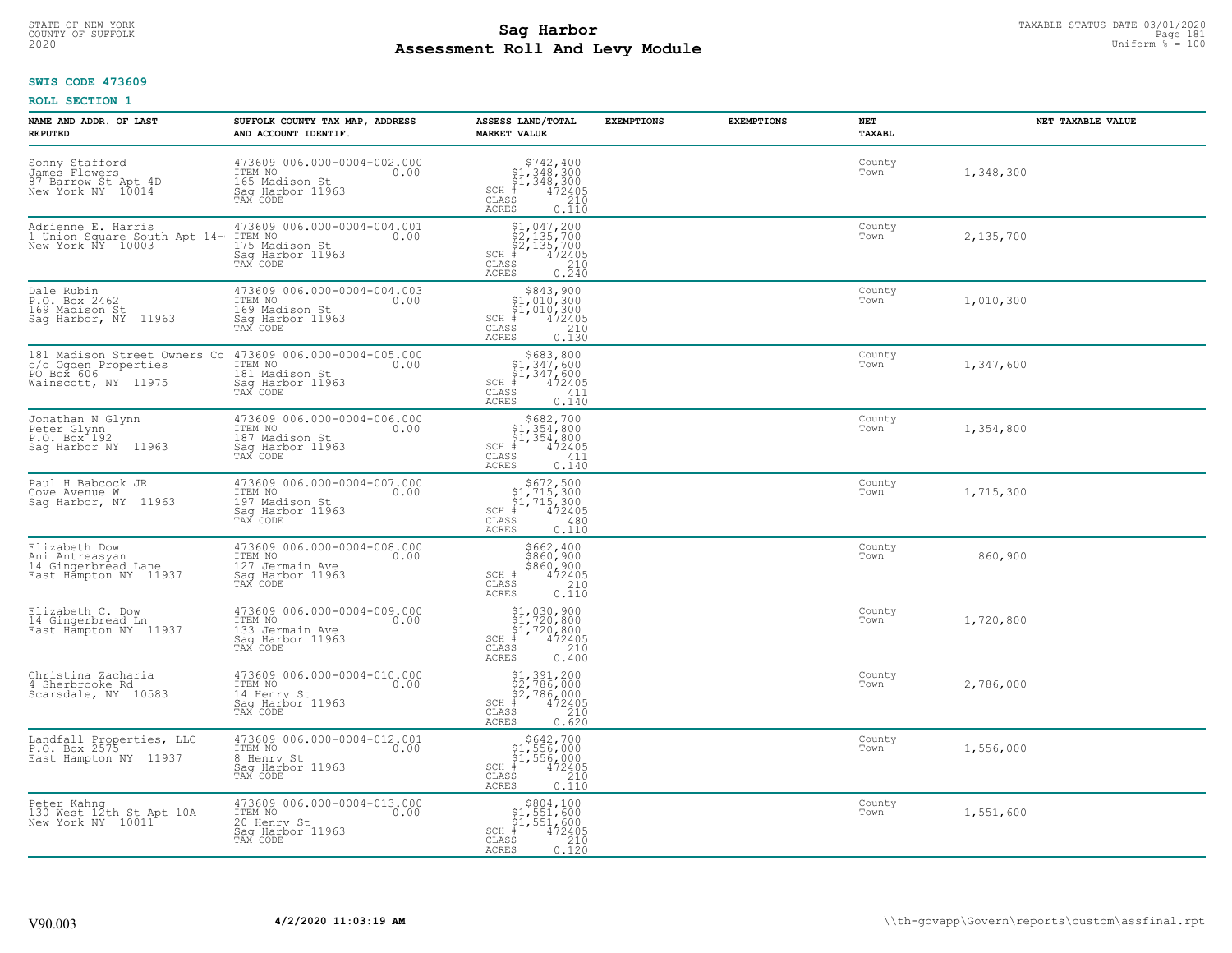# STATE OF NEW-YORK TAXABLE STATUS DATE 03/01/2020<br>COUNTY OF SUFFOLK Page 181 **Assessment Roll And Levy Module Example 2020** Uniform  $\frac{1}{8}$  = 100

## **SWIS CODE 473609**

| NAME AND ADDR. OF LAST<br><b>REPUTED</b>                                                  | SUFFOLK COUNTY TAX MAP, ADDRESS<br>AND ACCOUNT IDENTIF.                                           | ASSESS LAND/TOTAL<br><b>MARKET VALUE</b>                                                                                      | <b>EXEMPTIONS</b> | <b>EXEMPTIONS</b> | NET<br><b>TAXABL</b> | NET TAXABLE VALUE |
|-------------------------------------------------------------------------------------------|---------------------------------------------------------------------------------------------------|-------------------------------------------------------------------------------------------------------------------------------|-------------------|-------------------|----------------------|-------------------|
| Sonny Stafford<br>James Flowers<br>87 Barrow St Apt 4D<br>New York NY 10014               | 473609 006.000-0004-002.000<br>ITEM NO<br>0.00<br>165 Madison St<br>Sag Harbor 11963<br>TAX CODE  | $$742, 400$<br>$$1, 348, 300$<br>$$1, 348, 300$<br>$472405$<br>$$210$<br>$SCH$ #<br>CLASS<br><b>ACRES</b><br>0.110            |                   |                   | County<br>Town       | 1,348,300         |
| Adrienne E. Harris<br>1 Union Square South Apt 14-<br>New York NY 10003                   | 473609 006.000-0004-004.001<br>ITEM NO<br>0.00<br>175 Madison St<br>Sag Harbor 11963<br>TAX CODE  | $$1,047,200$<br>$$2,135,700$<br>$$2,135,700$<br>$$472405$<br>$SCH$ #<br>CLASS<br>$\frac{210}{0.240}$<br><b>ACRES</b>          |                   |                   | County<br>Town       | 2,135,700         |
| Dale Rubin<br>P.O. Box 2462<br>169 Madison St<br>Sag Harbor, NY 11963                     | 473609 006.000-0004-004.003<br>ITEM NO<br>0.00<br>169 Madison St<br>Sag Harbor 11963<br>TAX CODE  | $$843,900$<br>$$1,010,300$<br>$$1,010,300$<br>$*1,010,300$<br>$*1,012405$<br>$SCH$ #<br>CLASS<br>210<br><b>ACRES</b><br>0.130 |                   |                   | County<br>Town       | 1,010,300         |
| 181 Madison Street Owners Co<br>c/o Ogden Properties<br>PO Box 606<br>Wainscott, NY 11975 | 473609 006.000-0004-005.000<br>ITEM NO<br>0.00<br>181 Madison St<br>Sag Harbor 11963<br>TAX CODE  | $$683,800$<br>$$1,347,600$<br>$$1,347,600$<br>$$472405$<br>$SCH$ #<br>CLASS<br>411<br><b>ACRES</b><br>0.140                   |                   |                   | County<br>Town       | 1,347,600         |
| Jonathan N Glynn<br>Peter Glynn<br>P.O. Box <sup>-192</sup><br>Saq Harbor NY 11963        | 473609 006.000-0004-006.000<br>ITEM NO<br>0.00<br>187 Madison St<br>Sag Harbor 11963<br>TAX CODE  | $\begin{array}{c} $682,700\n$1,354,800\n$1,354,800\n# 472405 \end{array}$<br>SCH #<br>CLASS<br>411<br><b>ACRES</b><br>0.140   |                   |                   | County<br>Town       | 1,354,800         |
| Paul H Babcock JR<br>Cove Avenue W<br>Sag Harbor, NY 11963                                | 473609 006.000-0004-007.000<br>ITEM NO<br>197 Madison St<br>Sag Harbor 11963<br>0.00<br>TAX CODE  | $$672,500$<br>$$1,715,300$<br>$$1,715,300$<br>$*1$<br>$472405$<br>SCH #<br>CLASS<br>480<br>0.110<br><b>ACRES</b>              |                   |                   | County<br>Town       | 1,715,300         |
| Elizabeth Dow<br>Ani Antreasyan<br>14 Gingerbread Lane<br>East Hampton NY 11937           | 473609 006.000-0004-008.000<br>ITEM NO<br>0.00<br>127 Jermain Ave<br>Sag Harbor 11963<br>TAX CODE | \$662,400<br>\$860,900<br>\$860,900<br>472405<br>SCH #<br>CLASS<br>210<br>0.110<br><b>ACRES</b>                               |                   |                   | County<br>Town       | 860,900           |
| Elizabeth C. Dow<br>14 Gingerbread Ln<br>East Hampton NY 11937                            | 473609 006.000-0004-009.000<br>10.00 0.00<br>133 Jermain Ave<br>Saq Harbor 11963<br>TAX CODE      | $$1,030,900$<br>$$1,720,800$<br>$$1,720,800$<br>$*$<br>$*$ 472405<br>$SCH$ #<br>CLASS<br>210<br><b>ACRES</b><br>0.400         |                   |                   | County<br>Town       | 1,720,800         |
| Christina Zacharia<br>4 Sherbrooke Rd<br>Scarsdale, NY 10583                              | 473609 006.000-0004-010.000<br>TTEM NO 0.00<br>14 Henry St<br>Saq Harbor 11963<br>TAX CODE        | $$2,786,000$<br>$$2,786,000$<br>$$2,786,000$<br>$*$<br>$*$<br>$*$<br>$*$<br>$SCH$ #<br>CLASS<br>210<br><b>ACRES</b><br>0.620  |                   |                   | County<br>Town       | 2,786,000         |
| Landfall Properties, LLC<br>P.O. Box 2575<br>East Hampton NY 11937                        | 473609 006.000-0004-012.001<br>ITEM NO<br>0.00<br>8 Henry St<br>Sag Harbor 11963<br>TAX CODE      | $$642,700$<br>$$1,556,000$<br>$$1,556,000$<br>$*1,556,000$<br>$*1,472405$<br>SCH<br>210<br>CLASS<br>0.110<br><b>ACRES</b>     |                   |                   | County<br>Town       | 1,556,000         |
| Peter Kahng<br>130 West 12th St Apt 10A<br>New York NY 10011                              | 473609 006.000-0004-013.000<br>ITEM NO<br>0.00<br>20 Henry St<br>Sag Harbor 11963<br>TAX CODE     | \$804,100<br>\$1,551,600<br>\$1,551,600<br>$SCH$ #<br>472405<br>CLASS<br>210<br><b>ACRES</b><br>0.120                         |                   |                   | County<br>Town       | 1,551,600         |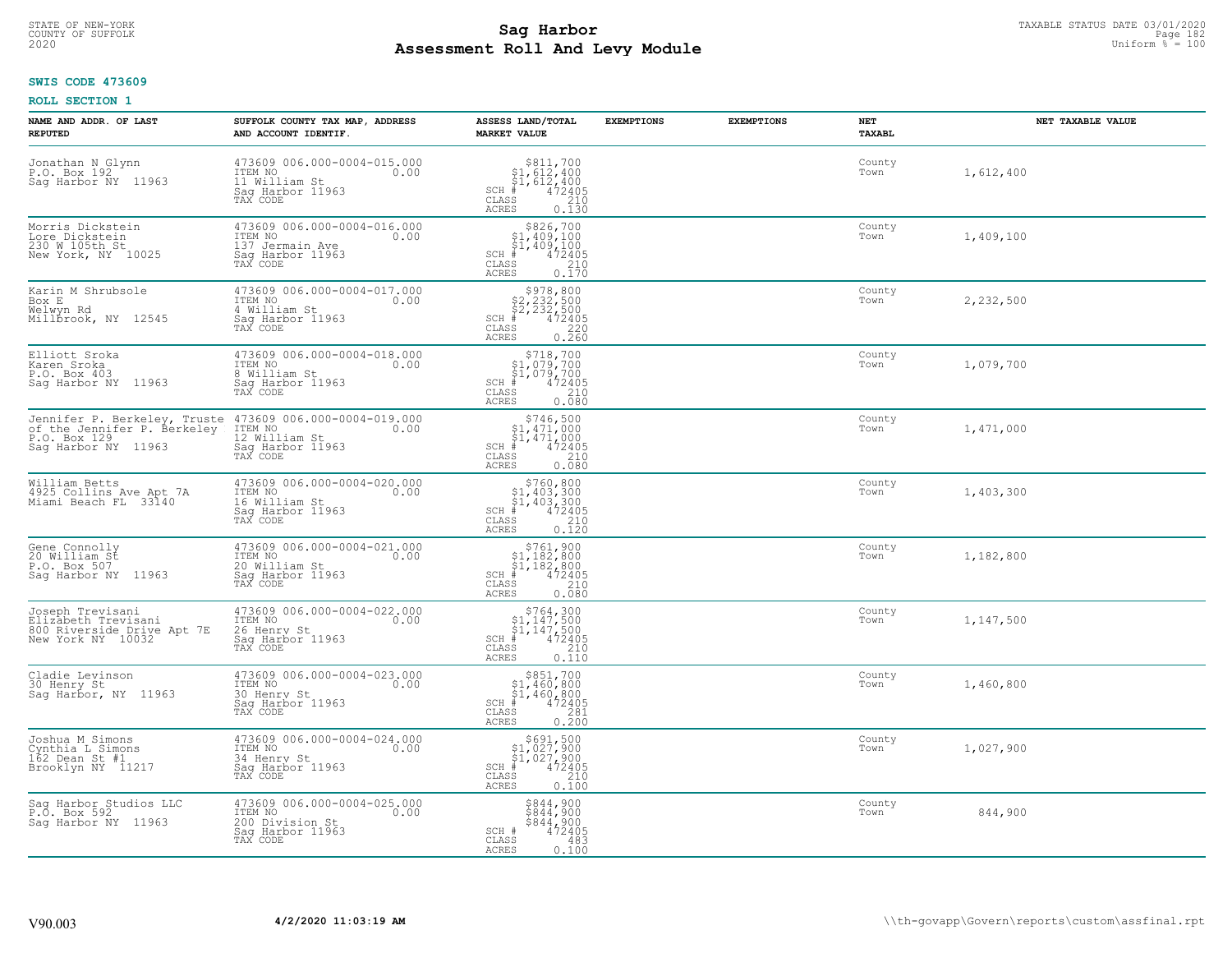# STATE OF NEW-YORK TAXABLE STATUS DATE 03/01/2020<br>COUNTY OF SUFFOLK Page 182 **Assessment Roll And Levy Module Example 2020** Uniform  $\frac{1}{8}$  = 100

#### **SWIS CODE 473609**

| NAME AND ADDR. OF LAST<br><b>REPUTED</b>                                                           | SUFFOLK COUNTY TAX MAP, ADDRESS<br>AND ACCOUNT IDENTIF.                                           | ASSESS LAND/TOTAL<br><b>MARKET VALUE</b>                                                                                                             | <b>EXEMPTIONS</b> | <b>EXEMPTIONS</b> | NET<br>TAXABL  | NET TAXABLE VALUE |
|----------------------------------------------------------------------------------------------------|---------------------------------------------------------------------------------------------------|------------------------------------------------------------------------------------------------------------------------------------------------------|-------------------|-------------------|----------------|-------------------|
| Jonathan N Glynn<br>P.O. Box 192<br>Saq Harbor NY 11963                                            | 473609 006.000-0004-015.000<br>0.00 0.00<br>11 William St<br>Saq Harbor 11963<br>TAX CODE         | $$3811,70051,612,40051,612,400# 47240535210$<br>$SCH$ #<br>CLASS<br><b>ACRES</b><br>0.130                                                            |                   |                   | County<br>Town | 1,612,400         |
| Morris Dickstein<br>Lore Dickstein<br>230 W 105th St<br>New York, NY 10025                         | 473609 006.000-0004-016.000<br>ITEM NO<br>0.00<br>137 Jermain Ave<br>Sag Harbor 11963<br>TAX CODE | $SCH$ #<br>CLASS<br>ACRES                                                                                                                            |                   |                   | County<br>Town | 1,409,100         |
| Karin M Shrubsole<br>Box E<br>Welwyn Rd<br>Millbrook, NY 12545                                     | 473609 006.000-0004-017.000<br>ITEM NO<br>0.00<br>4 William St<br>Sag Harbor 11963<br>TAX CODE    | \$978,800<br>\$2,232,500<br>\$2,232,500<br>472405<br>$SCH$ #<br>CLASS<br>$\begin{array}{c} 220 \\ 0.260 \end{array}$<br><b>ACRES</b>                 |                   |                   | County<br>Town | 2,232,500         |
| Elliott Sroka<br>Karen Sroka<br>P.O. Box 403<br>Sag Harbor NY 11963                                | 473609 006.000-0004-018.000<br>ITEM NO<br>0.00<br>8 William St<br>Sag Harbor 11963<br>TAX CODE    | $$718,700$<br>$$1,079,700$<br>$$1,079,700$<br>SCH #<br>CLASS<br>472405<br>210<br><b>ACRES</b><br>0.080                                               |                   |                   | County<br>Town | 1,079,700         |
| Jennifer P. Berkeley, Truste<br>of the Jennifer P. Berkeley<br>P.O. Box 129<br>Saq Harbor NY 11963 | 473609 006.000-0004-019.000<br>ITEM NO<br>0.00<br>12 William St<br>Sag Harbor 11963<br>TAX CODE   | $$746,500$<br>$$1,471,000$<br>$\frac{1}{4}$ , 471, 000<br>$\frac{1}{4}$ , 472405<br>$SCH$ #<br>CLASS<br>210<br>ACRES<br>0.080                        |                   |                   | County<br>Town | 1,471,000         |
| William Betts<br>4925 Collins Ave Apt 7A<br>Miami Beach FL 33140                                   | 473609 006.000-0004-020.000<br>ITEM NO<br>0.00<br>16 William St<br>Sag Harbor 11963<br>TAX CODE   | $$760, 800$<br>$$1, 403, 300$<br>$$1, 403, 300$<br>$$403, 300$<br>$472405$<br>SCH #<br>CLASS<br>210<br>0.120<br><b>ACRES</b>                         |                   |                   | County<br>Town | 1,403,300         |
| Gene Connolly<br>20 William St<br>P.O. Box 507<br>Sag Harbor NY 11963                              | 473609 006.000-0004-021.000<br>ITEM NO<br>0.00<br>20 William St<br>Sag Harbor 11963<br>TAX CODE   | $$761, 900$<br>$$1, 182, 800$<br>$$1, 182, 800$<br>$$472405$<br>$SCH$ #<br>CLASS<br>210<br>0.080<br><b>ACRES</b>                                     |                   |                   | County<br>Town | 1,182,800         |
| Joseph Trevisani<br>Elizabeth Trevisani<br>800 Riverside Drive Apt 7E<br>New York NY 10032         | 473609 006.000-0004-022.000<br>ITEM NO<br>0.00<br>26 Henry St<br>Saq Harbor 11963<br>TAX CODE     | $$764,300$<br>$$1,147,500$<br>$$1,147,500$<br>$*1$<br>$472405$<br>SCH #<br>CLASS<br>210<br><b>ACRES</b><br>0.110                                     |                   |                   | County<br>Town | 1,147,500         |
| Cladie Levinson<br>30 Henry St<br>Saq Harbor, NY 11963                                             | 473609 006.000-0004-023.000<br>TTEM NO 0.00<br>30 Henry St<br>Saq Harbor 11963<br>TAX CODE        | $\begin{array}{r} $851,700\n$1,460,800\n$1,460,800\n# 472405\n\end{array}$<br>$SCH$ $#$<br>CLASS<br>0.281<br><b>ACRES</b>                            |                   |                   | County<br>Town | 1,460,800         |
| Joshua M Simons<br>Cynthia L Simons<br>$162$ Dean St #1<br>Brooklyn NY 11217                       | 473609 006.000-0004-024.000<br>ITEM NO<br>0.00<br>34 Henry St<br>Sag Harbor 11963<br>TAX CODE     | $\begin{array}{c} 5691, 500 \\ 51, 027, 900 \\ 51, 027, 900 \\ \frac{4}{5} & 472405 \end{array}$<br>$SCH$ #<br>CLASS<br>210<br><b>ACRES</b><br>0.100 |                   |                   | County<br>Town | 1,027,900         |
| Sag Harbor Studios LLC<br>P.O. Box 592<br>Saq Harbor NY 11963                                      | 473609 006.000-0004-025.000<br>ITEM NO<br>0.00<br>200 Division St<br>Sag Harbor 11963<br>TAX CODE | \$844,900<br>\$844,900<br>\$844,900<br>SCH #<br>472405<br>CLASS<br>483<br><b>ACRES</b><br>0.100                                                      |                   |                   | County<br>Town | 844,900           |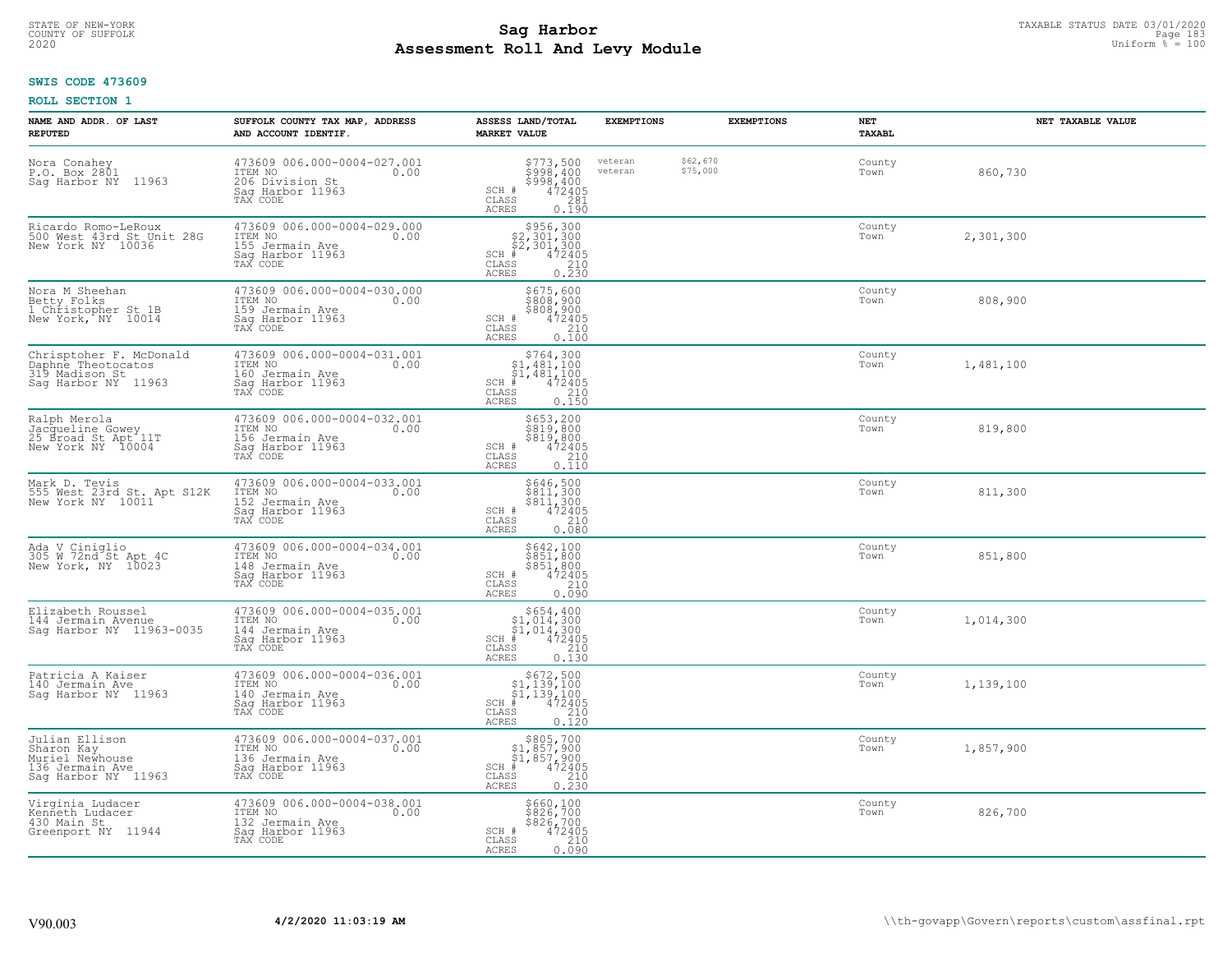# STATE OF NEW-YORK TAXABLE STATUS DATE 03/01/2020<br>COUNTY OF SUFFOLK Page 183 **Assessment Roll And Levy Module Example 2020** Uniform  $\frac{1}{8}$  = 100

#### **SWIS CODE 473609**

| NAME AND ADDR. OF LAST<br><b>REPUTED</b>                                                  | SUFFOLK COUNTY TAX MAP, ADDRESS<br>AND ACCOUNT IDENTIF.                                           | ASSESS LAND/TOTAL<br><b>MARKET VALUE</b>                                                                                                                                                              | <b>EXEMPTIONS</b>  | <b>EXEMPTIONS</b>    | NET<br><b>TAXABL</b> | NET TAXABLE VALUE |
|-------------------------------------------------------------------------------------------|---------------------------------------------------------------------------------------------------|-------------------------------------------------------------------------------------------------------------------------------------------------------------------------------------------------------|--------------------|----------------------|----------------------|-------------------|
| Nora Conahey<br>P.O. Box 2801<br>Sag Harbor NY 11963                                      | 473609 006.000-0004-027.001<br>TTEM NO 0.00<br>206 Division St<br>Sag Harbor 11963<br>TAX CODE    | \$773,500<br>\$998,400<br>\$998,400<br>\$998,400<br>SCH #<br>CLASS<br>281<br><b>ACRES</b><br>0.190                                                                                                    | veteran<br>veteran | \$62,670<br>\$75,000 | County<br>Town       | 860,730           |
| Ricardo Romo-LeRoux<br>500 West 43rd St Unit 28G<br>New York NY 10036                     | 473609 006.000-0004-029.000<br>ITEM NO<br>0.00<br>155 Jermain Ave<br>Sag Harbor 11963<br>TAX CODE | $$2,301,300\n$2,301,300\n$2,301,300\n# 472405\n$35\n210$<br>$SCH$ #<br>CLASS<br>0.230<br><b>ACRES</b>                                                                                                 |                    |                      | County<br>Town       | 2,301,300         |
| Nora M Sheehan<br>Betty Folks<br>1 Christopher St 1B<br>New York, NY 10014                | 473609 006.000-0004-030.000<br>ITEM NO<br>0.00<br>159 Jermain Ave<br>Sag Harbor 11963<br>TAX CODE | $$675,600$808,900$808,900$472405210$<br>SCH #<br>CLASS<br>0.100<br>ACRES                                                                                                                              |                    |                      | County<br>Town       | 808,900           |
| Chrisptoher F. McDonald<br>Daphne Theotocatos<br>319 Madison St<br>Saq Harbor NY 11963    | 473609 006.000-0004-031.001<br>ITEM NO<br>0.00<br>160 Jermain Ave<br>Sag Harbor 11963<br>TAX CODE | $\begin{array}{c} $764,300 \\ $1,481,100 \\ $1,481,100 \end{array}$<br>SCH #<br>CLASS<br>$\begin{smallmatrix} 7 & 7 & 2 & 4 & 0 & 5 \\ 4 & 7 & 2 & 1 & 0 \\ 2 & 1 & 5 & 0 \end{smallmatrix}$<br>ACRES |                    |                      | County<br>Town       | 1,481,100         |
| Ralph Merola<br>Jacqueline Gowey<br>25 Broad St Apt 11T<br>New York NY 10004              | 473609 006.000-0004-032.001<br>ITEM NO<br>0.00<br>156 Jermain Ave<br>Sag Harbor 11963<br>TAX CODE | \$653,200<br>\$819,800<br>$$819,800$<br>SCH #<br>472405<br>CLASS<br>$\begin{array}{c} 210 \\ 0.110 \end{array}$<br><b>ACRES</b>                                                                       |                    |                      | County<br>Town       | 819,800           |
| Mark D. Tevis<br>555 West 23rd St. Apt S12K<br>New York NY 10011                          | 473609 006.000-0004-033.001<br>ITEM NO<br>0.00<br>152 Jermain Ave<br>Saq Harbor 11963<br>TAX CODE | $5646, 500$<br>$5811, 300$<br>$5811, 300$<br>$472405$<br>$210$<br>SCH #<br>CLASS<br><b>ACRES</b><br>0.080                                                                                             |                    |                      | County<br>Town       | 811,300           |
| Ada V Ciniglio<br>305 W 72nd St Apt 4C<br>New York, NY 10023                              | 473609 006.000-0004-034.001<br>ITEM NO<br>0.00<br>148 Jermain Ave<br>Sag Harbor 11963<br>TAX CODE | \$642,100<br>\$851,800<br>\$851,800<br>472405<br>SCH #<br>210<br>CLASS<br>0.090<br>ACRES                                                                                                              |                    |                      | County<br>Town       | 851,800           |
| Elizabeth Roussel<br>144 Jermain Avenue<br>Sag Harbor NY 11963-0035                       | 473609 006.000-0004-035.001<br>TTEM NO 0.00<br>144 Jermain Ave<br>Saq Harbor 11963<br>TAX CODE    | $\begin{array}{c} $654,400 $1,014,300 $1,014,300 # 472405 \end{array}$<br>$SCH$ #<br>CLASS<br>210<br><b>ACRES</b><br>0.130                                                                            |                    |                      | County<br>Town       | 1,014,300         |
| Patricia A Kaiser<br>140 Jermain Ave<br>Saq Harbor NY 11963                               | 473609 006.000-0004-036.001<br>TTEM NO 0.00<br>140 Jermain Ave<br>Sag Harbor 11963<br>TAX CODE    | $\begin{array}{c} $672,500 $1,139,100 $1,139,100 # 472405 \end{array}$<br>SCH #<br>CLASS<br>210<br><b>ACRES</b><br>0.120                                                                              |                    |                      | County<br>Town       | 1,139,100         |
| Julian Ellison<br>Sharon Kay<br>Muriel Newhouse<br>136 Jermain Ave<br>Sag Harbor NY 11963 | 473609 006.000-0004-037.001<br>ITEM NO<br>0.00<br>136 Jermain Ave<br>Sag Harbor 11963<br>TAX CODE | $$805,700$<br>$$1,857,900$<br>$$1,857,900$<br>$472405$<br>$$210$<br>$SCH$ #<br>$\mathtt{CLASS}$<br><b>ACRES</b><br>0.230                                                                              |                    |                      | County<br>Town       | 1,857,900         |
| Virginia Ludacer<br>Kenneth Ludacer<br>430 Main St<br>Greenport NY 11944                  | 473609 006.000-0004-038.001<br>ITEM NO<br>0.00<br>132 Jermain Ave<br>Sag Harbor 11963<br>TAX CODE | \$660,100<br>\$826,700<br>\$826,700<br>SCH #<br>472405<br>210<br>CLASS<br><b>ACRES</b><br>0.090                                                                                                       |                    |                      | County<br>Town       | 826,700           |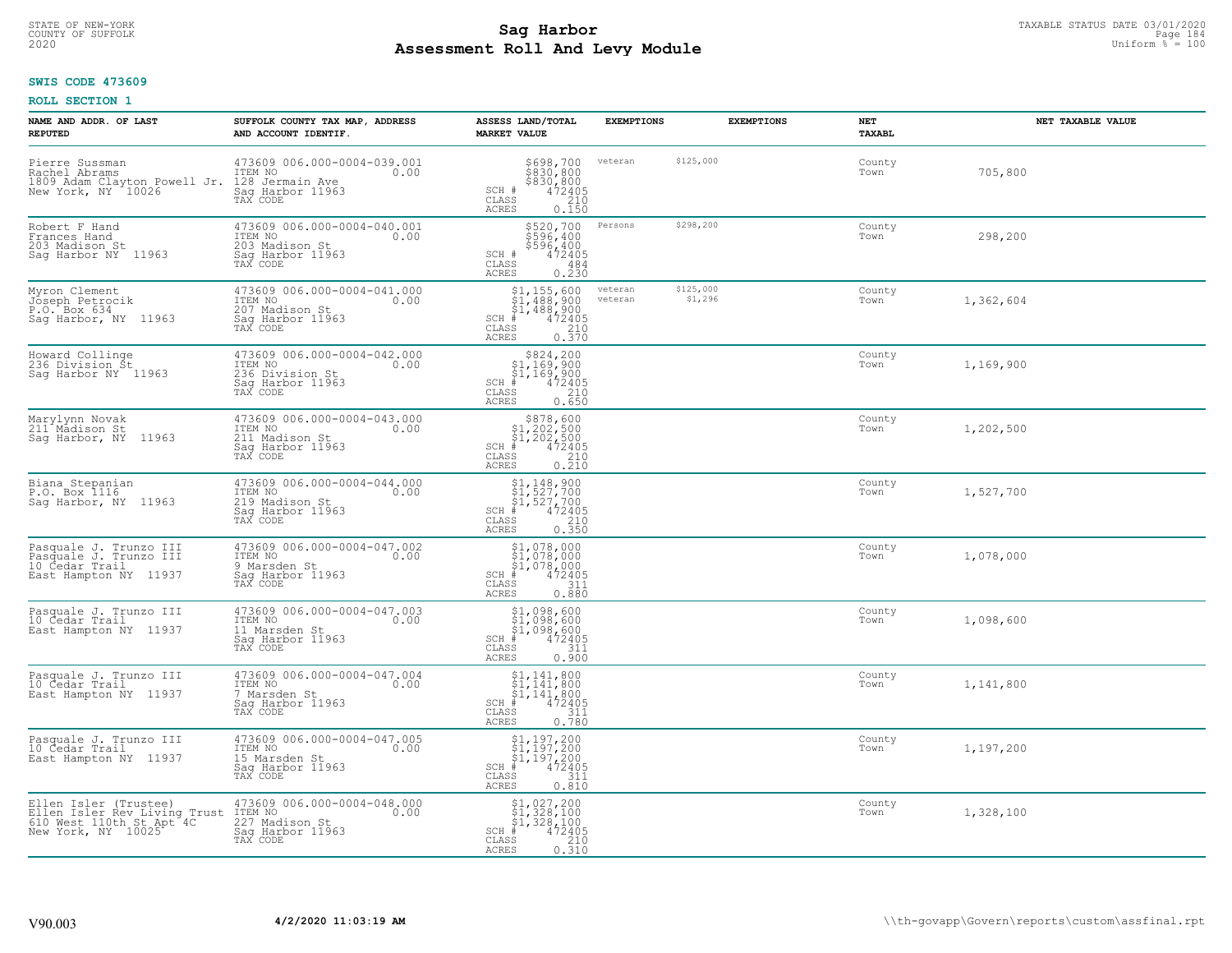# STATE OF NEW-YORK TAXABLE STATUS DATE 03/01/2020<br>Page 184 **Sag Harbor** Supering the Supering Page 184 **Assessment Roll And Levy Module Example 2020** Uniform  $\frac{1}{8}$  = 100

### **SWIS CODE 473609**

| NAME AND ADDR. OF LAST<br><b>REPUTED</b>                                                                                           | SUFFOLK COUNTY TAX MAP, ADDRESS<br>AND ACCOUNT IDENTIF.                                           | ASSESS LAND/TOTAL<br><b>MARKET VALUE</b>                                                                                                                                                                                                                        | <b>EXEMPTIONS</b>                          | <b>EXEMPTIONS</b> | NET<br>TAXABL  | NET TAXABLE VALUE |
|------------------------------------------------------------------------------------------------------------------------------------|---------------------------------------------------------------------------------------------------|-----------------------------------------------------------------------------------------------------------------------------------------------------------------------------------------------------------------------------------------------------------------|--------------------------------------------|-------------------|----------------|-------------------|
| Pierre Sussman<br>Rachel Abrams<br>1809 Adam Clayton Powell Jr. 128 Jermain Ave<br>New York, NY 10026 Saq Harbor 11963<br>TAX CODE | 473609 006.000-0004-039.001<br>ITEM NO<br>0.00                                                    | \$698,700<br>\$830,800<br>$\frac{2830,800}{472405}$<br>SCH #<br>$\mathtt{CLASS}$<br>ACRES<br>0.150                                                                                                                                                              | veteran<br>\$125,000                       |                   | County<br>Town | 705,800           |
| Robert F Hand<br>Frances Hand<br>203 Madison St<br>Sag Harbor NY 11963                                                             | 473609 006.000-0004-040.001<br>ITEM NO 0.00<br>203 Madison St<br>Sag Harbor 11963<br>TAX CODE     | \$520,700<br>\$596,400<br>\$596,400<br>472405<br>SCH #<br>CLASS<br>484<br>0.230<br>ACRES                                                                                                                                                                        | \$298,200<br>Persons                       |                   | County<br>Town | 298,200           |
| Myron Clement<br>Joseph Petrocik<br>P.O. Box 634<br>Sag Harbor, NY 11963                                                           | 473609 006.000-0004-041.000<br>ITEM NO<br>0.00<br>207 Madison St<br>Sag Harbor 11963<br>TAX CODE  | \$1,155,600<br>\$1,488,900<br>$\begin{array}{r} 51,488,900 \\ * & 472405 \\ * & 210 \\ * & 210 \\ * & 0.370 \end{array}$<br>$SCH$ #<br>CLASS<br><b>ACRES</b>                                                                                                    | \$125,000<br>veteran<br>veteran<br>\$1,296 |                   | County<br>Town | 1,362,604         |
| Howard Collinge<br>236 Division St<br>Saq Harbor NY 11963                                                                          | 473609 006.000-0004-042.000<br>ITEM NO<br>0.00<br>236 Division St<br>Sag Harbor 11963<br>TAX CODE | $\begin{array}{r} 5824, 200\\ 51, 169, 900\\ 51, 169, 900\\ *\\ 2405\\ *\\ 25\\ 0.650 \end{array}$<br>$SCH$ #<br>CLASS<br>ACRES                                                                                                                                 |                                            |                   | County<br>Town | 1,169,900         |
| Marylynn Novak<br>211 <sup>-</sup> Madison St<br>Saq Harbor, NY 11963                                                              | 473609 006.000-0004-043.000<br>ITEM NO<br>0.00<br>211 Madison St<br>Saq Harbor 11963<br>TAX CODE  | \$878,600<br>$SCH$ #<br>CLASS<br><b>ACRES</b>                                                                                                                                                                                                                   |                                            |                   | County<br>Town | 1,202,500         |
| Biana Stepanian<br>P.O. Box 1116<br>Saq Harbor, NY 11963                                                                           | 473609 006.000-0004-044.000<br>ITEM NO<br>0.00<br>219 Madison St<br>Saq Harbor 11963<br>TAX CODE  | $\begin{array}{r} \texttt{\$1,148,900}\ \texttt{\$1,527,700}\ \texttt{\$1,527,700}\ \texttt{\$1,527,700}\ \texttt{\$1,527,700}\ \texttt{\#} & 472405\ \texttt{\$10}\ \texttt{\$210}\ \texttt{\$25}\ \texttt{\$0.350}\ \end{array}$<br>$SCH$ #<br>CLASS<br>ACRES |                                            |                   | County<br>Town | 1,527,700         |
| Pasquale J. Trunzo III<br>Pasquale J. Trunzo III<br>10 Cedar Trail<br>East Hampton NY 11937                                        | 473609 006.000-0004-047.002<br>TTEM NO 0.00<br>9 Marsden St<br>Sag Harbor 11963<br>TAX CODE       | $\begin{array}{l} $1,078,000\ $1,078,000\ $1,078,000\ $1,078,000\ $4$ \\\hline \end{array}$<br>$SCH$ #<br>CLASS<br>0.880<br>ACRES                                                                                                                               |                                            |                   | County<br>Town | 1,078,000         |
| Pasquale J. Trunzo III<br>10 Cedar Trail<br>East Hampton NY 11937                                                                  | 473609 006.000-0004-047.003<br>ITEM NO<br>0.00<br>11 Marsden St<br>Saq Harbor 11963<br>TAX CODE   | $$1,098,600$<br>$$1,098,600$<br>$$1,098,600$<br>$472405$<br>$311$<br>SCH<br>CLASS<br><b>ACRES</b><br>0.900                                                                                                                                                      |                                            |                   | County<br>Town | 1,098,600         |
| Pasquale J. Trunzo III<br>10 Cedar Trail<br>East Hampton NY 11937                                                                  | 473609 006.000-0004-047.004<br>ITEM NO 0.00<br>7 Marsden St<br>Saq Harbor 11963<br>TAX CODE       | $\begin{array}{l} $1,141,800 \ $1,141,800 \ $1,141,800 \ $1,141,800 \ $4 \end{array}$<br>$SCH$ #<br>CLASS<br><b>ACRES</b><br>0.780                                                                                                                              |                                            |                   | County<br>Town | 1,141,800         |
| Pasquale J. Trunzo III<br>10 Cedar Trail<br>East Hampton NY 11937                                                                  | 473609 006.000-0004-047.005<br>ITEM NO<br>0.00<br>15 Marsden St<br>Saq Harbor 11963<br>TAX CODE   | \$1,197,200<br>\$1,197,200<br>\$1,197,200<br>#472405<br>$SCH$ #<br>CLASS<br>311<br>0.810<br><b>ACRES</b>                                                                                                                                                        |                                            |                   | County<br>Town | 1,197,200         |
| Ellen Isler (Trustee)<br>Ellen Isler Rev Living Trust<br>610 Mest 110th St Apt 4C<br>New York, NY 10025                            | 473609 006.000-0004-048.000<br>ITEM NO<br>227 Madison St<br>0.00<br>Saq Harbor 11963<br>TAX CODE  | $$1,027,200$<br>$$1,328,100$<br>$$1,328,100$<br>$$1,328,100$<br>$SCH$ #<br>472405<br>CLASS<br>$\frac{210}{0.310}$<br>ACRES                                                                                                                                      |                                            |                   | County<br>Town | 1,328,100         |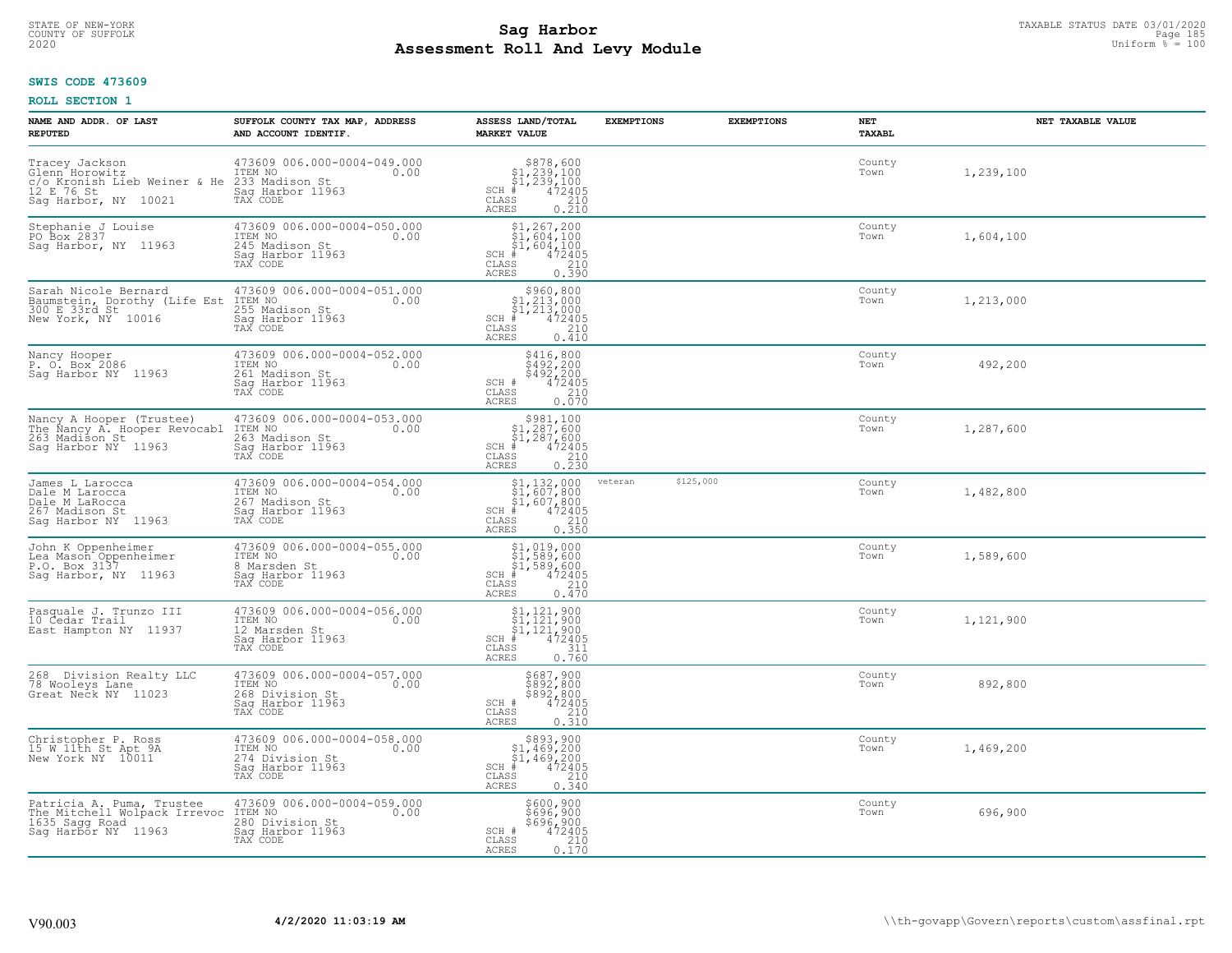# TAXABLE STATUS DATE 03/01/2020<br>COUNTY OF SUFFOLK Page 185 **Assessment Roll And Levy Module Example 2020** Uniform  $\frac{1}{8}$  = 100

#### **SWIS CODE 473609**

| NAME AND ADDR. OF LAST<br><b>REPUTED</b>                                                                            | SUFFOLK COUNTY TAX MAP, ADDRESS<br>AND ACCOUNT IDENTIF.                                           | ASSESS LAND/TOTAL<br><b>MARKET VALUE</b>                                                                                                                                                                                                                                                                                                                                                        | <b>EXEMPTIONS</b>    | <b>EXEMPTIONS</b> | NET<br>TAXABL  | NET TAXABLE VALUE |
|---------------------------------------------------------------------------------------------------------------------|---------------------------------------------------------------------------------------------------|-------------------------------------------------------------------------------------------------------------------------------------------------------------------------------------------------------------------------------------------------------------------------------------------------------------------------------------------------------------------------------------------------|----------------------|-------------------|----------------|-------------------|
| Tracey Jackson<br>Glenn <sup>-</sup> Horowitz<br>c/o Kronish Lieb Weiner & He<br>12 E 76 St<br>Saq Harbor, NY 10021 | 473609 006.000-0004-049.000<br>ITEM NO<br>0.00<br>233 Madison St<br>Saq Harbor 11963<br>TAX CODE  | \$878,600<br>\$1,239,100<br>\$1,239,100<br>\$1,239,100<br>\$5 210<br>\$5 0.210<br>$SCH$ #<br>CLASS<br>ACRES                                                                                                                                                                                                                                                                                     |                      |                   | County<br>Town | 1,239,100         |
| Stephanie J Louise<br>PO Box 2837<br>Saq Harbor, NY 11963                                                           | 473609 006.000-0004-050.000<br>ITEM NO<br>0.00<br>245 Madison St<br>Sag Harbor 11963<br>TAX CODE  | $$1, 267, 200$<br>$$1, 604, 100$<br>$$1, 604, 100$<br>$$472405$<br>$SCH$ #<br>CLASS<br>$\frac{210}{0.390}$<br>ACRES                                                                                                                                                                                                                                                                             |                      |                   | County<br>Town | 1,604,100         |
| Sarah Nicole Bernard<br>Baumstein, Dorothy (Life Est<br>300 E 33rd St<br>New York, NY 10016                         | 473609 006.000-0004-051.000<br>ITEM NO<br>0.00<br>255 Madison St<br>Sag Harbor 11963<br>TAX CODE  | \$960,800<br>$$1,213,000$<br>$$1,213,000$<br>$472405$<br>$SCH$ #<br>CLASS<br>0.410<br>ACRES                                                                                                                                                                                                                                                                                                     |                      |                   | County<br>Town | 1,213,000         |
| Nancy Hooper<br>P. O. Box 2086<br>Sag Harbor NY 11963                                                               | 473609 006.000-0004-052.000<br>ITEM NO<br>0.00<br>261 Madison St<br>Saq Harbor 11963<br>TAX CODE  | $\begin{array}{c} $416,800$\\ $492,200$\\ $492,200$\\ $492,200$\\ $472405$\\ 210$\\ 0.070 \end{array}$<br>SCH #<br>CLASS<br>ACRES                                                                                                                                                                                                                                                               |                      |                   | County<br>Town | 492,200           |
| Nancy A Hooper (Trustee)<br>The Nancy A. Hooper Revocabl<br>263 Madison St<br>Saq Harbor NY 11963                   | 473609 006.000-0004-053.000<br>ITEM NO<br>0.00<br>263 Madison St<br>Saq Harbor 11963<br>TAX CODE  | \$981,100<br>$\begin{array}{r} 3901,600 \\ 51,287,600 \\ * & 472405 \\ * & 200 \\ * & 210 \\ * & 210 \\ * & 210 \\ * & 210 \\ * & 210 \\ * & 210 \\ * & 210 \\ * & 210 \\ * & 210 \\ * & 210 \\ * & 210 \\ * & 210 \\ * & 210 \\ * & 210 \\ * & 210 \\ * & 210 \\ * & 210 \\ * & 210 \\ * & 210 \\ * & 210 \\ * & 210 \\ * & 210 \\ * & 210 \\ * & 210 \\ * & 210$<br>$SCH$ #<br>CLASS<br>ACRES |                      |                   | County<br>Town | 1,287,600         |
| James L Larocca<br>Dale M Larocca<br>Dale M LaRocca<br>267 Madison St<br>Saq Harbor NY 11963                        | 473609 006.000-0004-054.000<br>ITEM NO<br>267 Madison St<br>0.00<br>Sag Harbor 11963<br>TAX CODE  | $$1, 132, 000$<br>$$1, 607, 800$<br>$$1, 607, 800$<br>$$472405$<br>$SCH$ #<br>$\mathtt{CLASS}$<br>$\begin{array}{c} 210 \\ 0.350 \end{array}$<br><b>ACRES</b>                                                                                                                                                                                                                                   | \$125,000<br>veteran |                   | County<br>Town | 1,482,800         |
| John K Oppenheimer<br>Lea Mason Oppenheimer<br>P.O. Box 3137<br>Saq Harbor, NY 11963                                | 473609 006.000-0004-055.000<br>ITEM NO<br>0.00<br>8 Marsden St<br>Sag Harbor 11963<br>TAX CODE    | $$1, 019, 000$<br>$$1, 589, 600$<br>$$1, 589, 600$<br>$$472405$<br>$SCH$ #<br>$\mathtt{CLASS}$<br>210<br>0.470<br>ACRES                                                                                                                                                                                                                                                                         |                      |                   | County<br>Town | 1,589,600         |
| Pasquale J. Trunzo III<br>10 Cedar Trail<br>East Hampton NY 11937                                                   | 473609 006.000-0004-056.000<br>TTEM NO 0.00<br>12 Marsden St<br>Saq Harbor 11963<br>TAX CODE      | $\begin{array}{l} 51,121,900 \\ 51,121,900 \\ 41,121,900 \\ \frac{4}{5} & 472405 \end{array}$<br>SCH #<br>CLASS<br>$0.311$<br>$0.760$<br><b>ACRES</b>                                                                                                                                                                                                                                           |                      |                   | County<br>Town | 1,121,900         |
| 268 Division Realty LLC<br>78 Wooleys Lane<br>Great Neck NY 11023                                                   | 473609 006.000-0004-057.000<br>TTEM NO 0.00<br>268 Division St<br>Sag Harbor 11963<br>TAX CODE    | \$687,900<br>\$892,800<br>\$892,800<br>SCH #<br>472405<br>CLASS<br>$\frac{210}{0.310}$<br><b>ACRES</b>                                                                                                                                                                                                                                                                                          |                      |                   | County<br>Town | 892,800           |
| Christopher P. Ross<br>15 W 11th St Apt 9A<br>New York NY 10011                                                     | 473609 006.000-0004-058.000<br>ITEM NO<br>0.00<br>274 Division St<br>Sag Harbor 11963<br>TAX CODE | $$893,900$<br>$$1,469,200$<br>$$1,469,200$<br>$472405$<br>$$210$<br>$$210$<br>$SCH$ #<br>CLASS<br>0.340<br><b>ACRES</b>                                                                                                                                                                                                                                                                         |                      |                   | County<br>Town | 1,469,200         |
| Patricia A. Puma, Trustee<br>The Mitchell Wolpack Irrevoc<br>1635 Sagg Road<br>Sag Harbor NY 11963                  | 473609 006.000-0004-059.000<br>ITEM NO<br>0.00<br>280 Division St<br>Sag Harbor 11963<br>TAX CODE | \$600,900<br>\$696,900<br>\$696,900<br>472405<br>SCH #<br>210<br>CLASS<br><b>ACRES</b><br>0.170                                                                                                                                                                                                                                                                                                 |                      |                   | County<br>Town | 696,900           |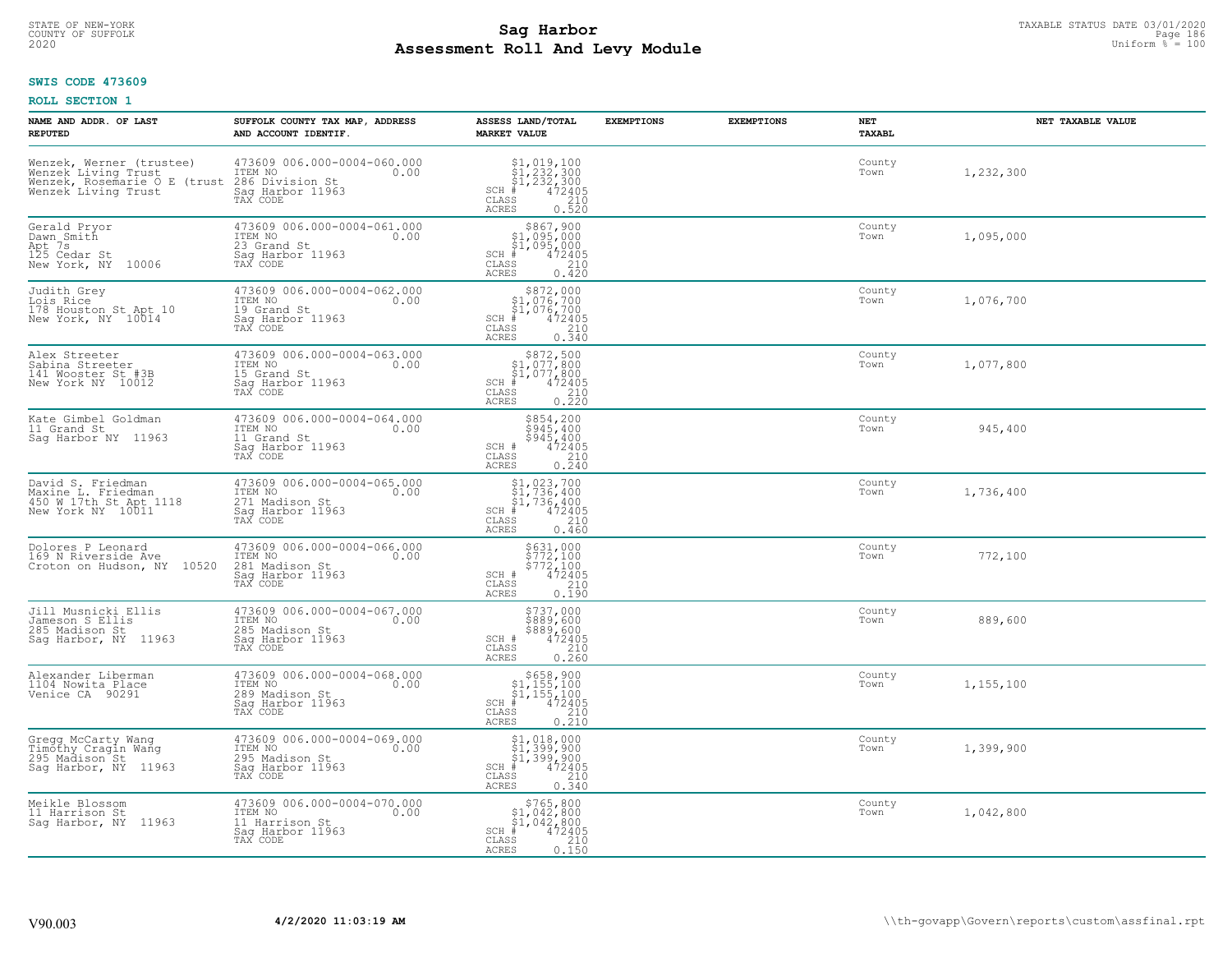# TAXABLE STATUS DATE 03/01/2020<br>COUNTY OF SUFFOLK Page 186 **Assessment Roll And Levy Module Example 2020** Uniform  $\frac{1}{8}$  = 100

## **SWIS CODE 473609**

| NAME AND ADDR. OF LAST<br><b>REPUTED</b>                                                                  | SUFFOLK COUNTY TAX MAP, ADDRESS<br>AND ACCOUNT IDENTIF.                                           | ASSESS LAND/TOTAL<br><b>MARKET VALUE</b>                                                                                                                                                                                                                                                                                                            | <b>EXEMPTIONS</b> | <b>EXEMPTIONS</b> | <b>NET</b><br>TAXABL | NET TAXABLE VALUE |
|-----------------------------------------------------------------------------------------------------------|---------------------------------------------------------------------------------------------------|-----------------------------------------------------------------------------------------------------------------------------------------------------------------------------------------------------------------------------------------------------------------------------------------------------------------------------------------------------|-------------------|-------------------|----------------------|-------------------|
| Wenzek, Werner (trustee)<br>Wenzek Living Trust<br>Wenzek, Rosemarie O E<br>(trust<br>Wenzek Living Trust | 473609 006.000-0004-060.000<br>ITEM NO<br>0.00<br>286 Division St<br>Sag Harbor 11963<br>TAX CODE | $\begin{array}{c} \texttt{\$1,019,100}\ \\ \texttt{\$1,232,300}\ \\ \texttt{\$1,232,300}\ \\ \texttt{\$1,232,300}\ \\ \texttt{\$1,2405}\ \\ \texttt{\$10}\ \\ \texttt{\$10}\ \\ \texttt{\$10}\ \\ \texttt{\$10}\ \\ \texttt{\$10}\ \\ \texttt{\$10}\ \\ \texttt{\$210}\ \\ \texttt{\$10}\ \\ \texttt{\$21}\end{array}$<br>$SCH$ #<br>CLASS<br>ACRES |                   |                   | County<br>Town       | 1,232,300         |
| Gerald Pryor<br>Dawn Smith<br>Apt 7s<br>125 Cedar St<br>New York, NY 10006                                | 473609 006.000-0004-061.000<br>ITEM NO<br>0.00<br>23 Grand St<br>Sag Harbor 11963<br>TAX CODE     | $$867,900$<br>$$1,095,000$<br>$$1,095,000$<br>$*1,095,000$<br>$*1,095,000$<br>SCH #<br>CLASS<br>$\frac{210}{0.420}$<br>ACRES                                                                                                                                                                                                                        |                   |                   | County<br>Town       | 1,095,000         |
| Judith Grey<br>Lois Rice<br>178 Houston St Apt 10<br>New York, NY 10014                                   | 473609 006.000-0004-062.000<br>ITEM NO<br>0.00<br>19 Grand St<br>Sag Harbor 11963<br>TAX CODE     | $\begin{array}{r} $872,000 \\ $1,076,700 \\ $1,076,700 \\ {\pm} 472405 \\ $85 \end{array}$<br>$SCH$ #<br>CLASS<br>0.340<br><b>ACRES</b>                                                                                                                                                                                                             |                   |                   | County<br>Town       | 1,076,700         |
| Alex Streeter<br>Sabina Streeter<br>141 Wooster St #3B<br>New York NY 10012                               | 473609 006.000-0004-063.000<br>ITEM NO<br>0.00<br>15 Grand St<br>Saq Harbor 11963<br>TAX CODE     | $$872,500$<br>$$1,077,800$<br>$$1,077,800$<br>$472405$<br>$$210$<br>$SCH$ #<br>CLASS<br>0.220<br><b>ACRES</b>                                                                                                                                                                                                                                       |                   |                   | County<br>Town       | 1,077,800         |
| Kate Gimbel Goldman<br>11 Grand St<br>Sag Harbor NY 11963                                                 | 473609 006.000-0004-064.000<br>ITEM NO<br>0.00<br>11 Grand St<br>Saq Harbor 11963<br>TAX CODE     | \$854,200<br>\$945,400<br>\$945,400<br>472405<br>SCH #<br>CLASS<br>$\begin{array}{c} 210 \\ 0.240 \end{array}$<br><b>ACRES</b>                                                                                                                                                                                                                      |                   |                   | County<br>Town       | 945,400           |
| David S. Friedman<br>Maxine L. Friedman<br>450 W 17th St Apt 1118<br>New York NY 10011                    | 473609 006.000-0004-065.000<br>ITEM NO<br>0.00<br>271 Madison St<br>Saq Harbor 11963<br>TAX CODE  | $$1,023,700$<br>$$1,736,400$<br>$$1,736,400$<br>$$4,72405$<br>$SCH$ #<br>CLASS<br>210<br>0.460<br><b>ACRES</b>                                                                                                                                                                                                                                      |                   |                   | County<br>Town       | 1,736,400         |
| Dolores P Leonard<br>169 N Riverside Ave<br>Croton on Hudson, NY 10520                                    | 473609 006.000-0004-066.000<br>ITEM NO<br>0.00<br>281 Madison St<br>Sag Harbor 11963<br>TAX CODE  | \$631,000<br>\$772,100<br>\$772,100<br>472405<br>SCH #<br>CLASS<br>210<br>0.190<br><b>ACRES</b>                                                                                                                                                                                                                                                     |                   |                   | County<br>Town       | 772,100           |
| Jill Musnicki Ellis<br>Jameson S Ellis<br>285 Madison St<br>Saq Harbor, NY<br>11963                       | 473609 006.000-0004-067.000<br>10.00 0.00<br>285 Madison St<br>Sag Harbor 11963<br>TAX CODE       | \$737,000<br>\$889,600<br>\$889,600<br>\$472405<br>\$210<br>SCH #<br>$\mathtt{CLASS}$<br><b>ACRES</b><br>0.260                                                                                                                                                                                                                                      |                   |                   | County<br>Town       | 889,600           |
| Alexander Liberman<br>1104 Nowita Place<br>Venice CA 90291                                                | 473609 006.000-0004-068.000<br>ITEM NO<br>0.00<br>289 Madison St<br>Saq Harbor 11963<br>TAX CODE  | $\begin{array}{c} $658,900\\ $1,155,100\\ $1,155,100\\ \end{array}$<br>$SCH$ #<br>$\frac{47\bar{2}\bar{405}}{210}$<br>CLASS<br><b>ACRES</b><br>0.210                                                                                                                                                                                                |                   |                   | County<br>Town       | 1,155,100         |
| Gregg McCarty Wang<br>Timõthy Cragin Wang<br>295 Madison St<br>Sag Harbor, NY 11963                       | 473609 006.000-0004-069.000<br>ITEM NO<br>0.00<br>295 Madison St<br>Sag Harbor 11963<br>TAX CODE  | \$1,018,000<br>\$1,399,900<br>\$1,399,900<br>472405<br>$SCH$ #<br>CLASS<br>210<br><b>ACRES</b><br>0.340                                                                                                                                                                                                                                             |                   |                   | County<br>Town       | 1,399,900         |
| Meikle Blossom<br>11 Harrison St<br>Sag Harbor, NY 11963                                                  | 473609 006.000-0004-070.000<br>ITEM NO<br>0.00<br>11 Harrison St<br>Sag Harbor 11963<br>TAX CODE  | $$765,800$<br>$$1,042,800$<br>$$1,042,800$<br>$SCH$ #<br>472405<br>CLASS<br>210<br>0.150<br>ACRES                                                                                                                                                                                                                                                   |                   |                   | County<br>Town       | 1,042,800         |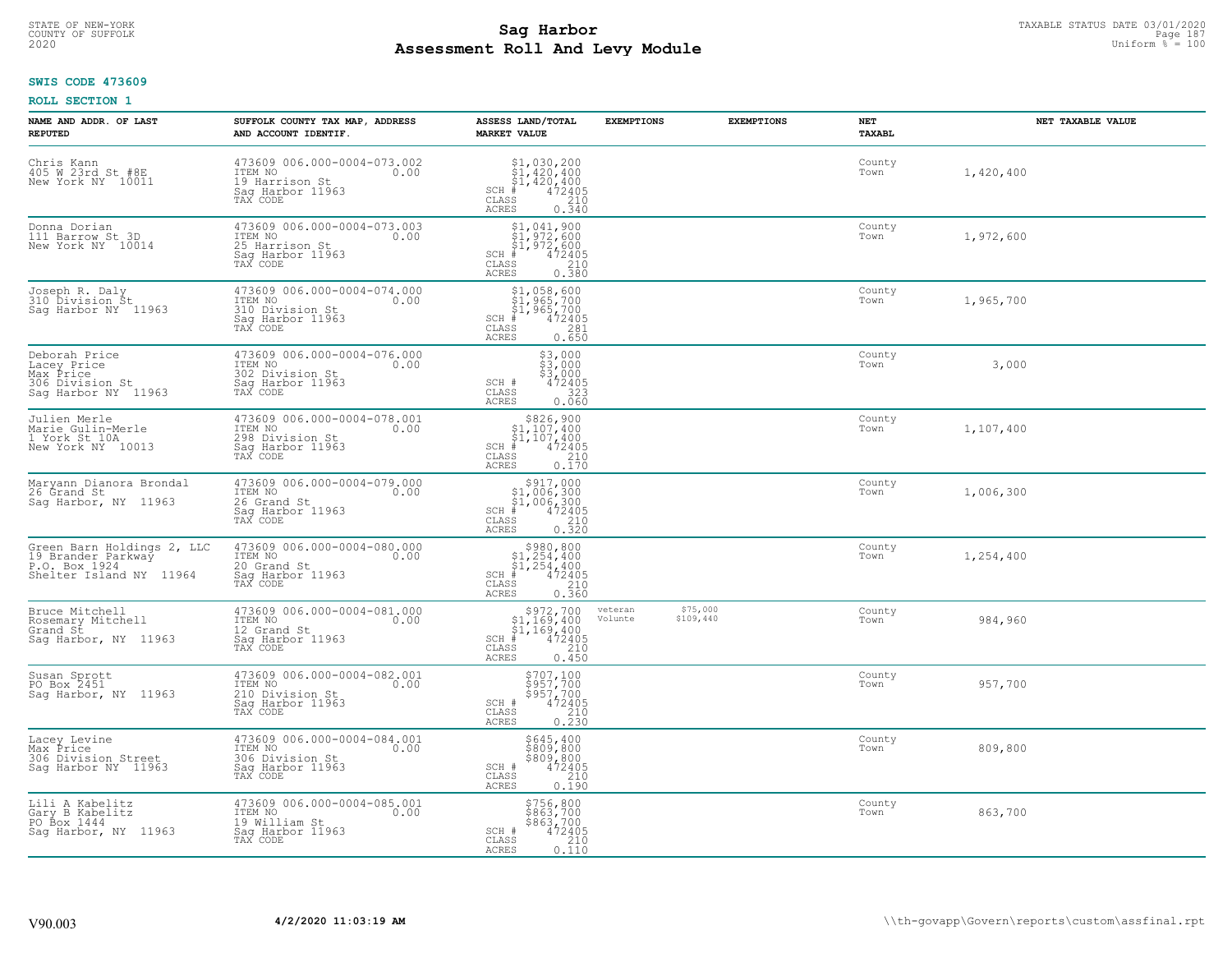# STATE OF NEW-YORK TAXABLE STATUS DATE 03/01/2020<br>COUNTY OF SUFFOLK Page 187 **Assessment Roll And Levy Module Example 2020** Uniform  $\frac{1}{8}$  = 100

### **SWIS CODE 473609**

| NAME AND ADDR. OF LAST<br><b>REPUTED</b>                                                     | SUFFOLK COUNTY TAX MAP, ADDRESS<br>AND ACCOUNT IDENTIF.                                           | ASSESS LAND/TOTAL<br><b>MARKET VALUE</b>                                                                                                                                       | <b>EXEMPTIONS</b>                           | <b>EXEMPTIONS</b> | NET<br>TAXABL  | NET TAXABLE VALUE |
|----------------------------------------------------------------------------------------------|---------------------------------------------------------------------------------------------------|--------------------------------------------------------------------------------------------------------------------------------------------------------------------------------|---------------------------------------------|-------------------|----------------|-------------------|
| Chris Kann<br>405 W 23rd St #8E<br>New York NY 10011                                         | 473609 006.000-0004-073.002<br>ITEM NO<br>0.00<br>19 Harrison St<br>Saq Harbor 11963<br>TAX CODE  | $$1,030,200$<br>$$1,420,400$<br>$$1,420,400$<br>$472405$<br>$$210$<br>$SCH$ #<br>CLASS<br><b>ACRES</b><br>0.340                                                                |                                             |                   | County<br>Town | 1,420,400         |
| Donna Dorian<br>111 Barrow St 3D<br>New York NY 10014                                        | 473609 006.000-0004-073.003<br>ITEM NO<br>0.00<br>25 Harrison St<br>Sag Harbor 11963<br>TAX CODE  | \$1,041,900<br>$\begin{array}{l} 51,972,600 \\ 972,600 \\ \frac{4}{7} & 472405 \end{array}$<br>$SCH$ #<br>CLASS<br>$\begin{array}{c} 210 \\ 0.380 \end{array}$<br><b>ACRES</b> |                                             |                   | County<br>Town | 1,972,600         |
| Joseph R. Daly<br>310 Division St<br>Sag Harbor NY 11963                                     | 473609 006.000-0004-074.000<br>ITEM NO<br>0.00<br>310 Division St<br>Sag Harbor 11963<br>TAX CODE | $$1,958,600$<br>$$1,965,700$<br>$$1,965,700$<br>$SCH$ #<br>472405<br>CLASS<br>281<br>0.650<br>ACRES                                                                            |                                             |                   | County<br>Town | 1,965,700         |
| Deborah Price<br>Lacey Price<br>Max Price<br>306 Division St<br>Saq Harbor NY 11963          | 473609 006.000-0004-076.000<br>ITEM NO<br>0.00<br>302 Division St<br>Sag Harbor 11963<br>TAX CODE | $$3,000$<br>$$3,000$<br>$$3,000$<br>SCH #<br>472405<br>323<br>CLASS<br><b>ACRES</b><br>0.060                                                                                   |                                             |                   | County<br>Town | 3,000             |
| Julien Merle<br>Marie Gulin-Merle<br>1 York St 10A<br>New York NY 10013                      | 473609 006.000-0004-078.001<br>ITEM NO<br>0.00<br>298 Division St<br>Saq Harbor 11963<br>TAX CODE | $$826,900$<br>$$1,107,400$<br>$$1,107,400$<br>$472405$<br>$$210$<br>$$210$<br>$SCH$ #<br>CLASS<br>0.170<br>ACRES                                                               |                                             |                   | County<br>Town | 1,107,400         |
| Maryann Dianora Brondal<br>26 Grand St<br>Sag Harbor, NY 11963                               | 473609 006.000-0004-079.000<br>ITEM NO<br>0.00<br>26 Grand St<br>Saq Harbor 11963<br>TAX CODE     | $$1,006,300$<br>$$1,006,300$<br>$$1,006,300$<br>$472405$<br>$SCH$ #<br>CLASS<br>210<br>ACRES<br>0.320                                                                          |                                             |                   | County<br>Town | 1,006,300         |
| Green Barn Holdings 2, LLC<br>19 Brander Parkway<br>P.O. Box 1924<br>Shelter Island NY 11964 | 473609 006.000-0004-080.000<br>ITEM NO<br>0.00<br>20 Grand St<br>Sag Harbor 11963<br>TAX CODE     | $$980, 800$<br>$$1, 254, 400$<br>$$1, 254, 400$<br>$$1, 254, 400$<br>SCH #<br>472405<br>CLASS<br>210<br>0.360<br>ACRES                                                         |                                             |                   | County<br>Town | 1,254,400         |
| Bruce Mitchell<br>Rosemary Mitchell<br>Grand St<br>Sag Harbor, NY 11963                      | 473609 006.000-0004-081.000<br>ITEM NO<br>0.00<br>12 Grand St<br>Saq Harbor 11963<br>TAX CODE     | $\begin{array}{r} 5972,700 \\ 51,169,400 \\ 51,169,400 \\ \ast \\ 472405 \\ \text{ss} \\ 210 \end{array}$<br>$SCH$ #<br>CLASS<br><b>ACRES</b><br>0.450                         | \$75,000<br>veteran<br>Volunte<br>\$109,440 |                   | County<br>Town | 984,960           |
| Susan Sprott<br>PO Box 2451<br>Saq Harbor, NY 11963                                          | 473609 006.000-0004-082.001<br>ITEM NO<br>0.00<br>210 Division St<br>Saq Harbor 11963<br>TAX CODE | \$707,100<br>\$957,700<br>\$957,700<br>SCH #<br>472405<br>CLASS<br>$\begin{array}{c} 210 \\ 0.230 \end{array}$<br><b>ACRES</b>                                                 |                                             |                   | County<br>Town | 957,700           |
| Lacey Levine<br>Max Price<br>306 Division Street<br>Saq Harbor NY 11963                      | 473609 006.000-0004-084.001<br>ITEM NO<br>0.00<br>306 Division St<br>Sag Harbor 11963<br>TAX CODE | \$645,400<br>\$809,800<br>\$809,800<br>SCH #<br>472405<br>CLASS<br>210<br>ACRES<br>0.190                                                                                       |                                             |                   | County<br>Town | 809,800           |
| Lili A Kabelitz<br>Gary B Kabelitz<br>PO Box 1444<br>Sag Harbor, NY 11963                    | 473609 006.000-0004-085.001<br>ITEM NO<br>0.00<br>19 William St<br>Sag Harbor 11963<br>TAX CODE   | \$756,800<br>\$863,700<br>\$863/700<br>$\frac{472405}{210}$<br>SCH #<br>CLASS<br>ACRES<br>0.110                                                                                |                                             |                   | County<br>Town | 863,700           |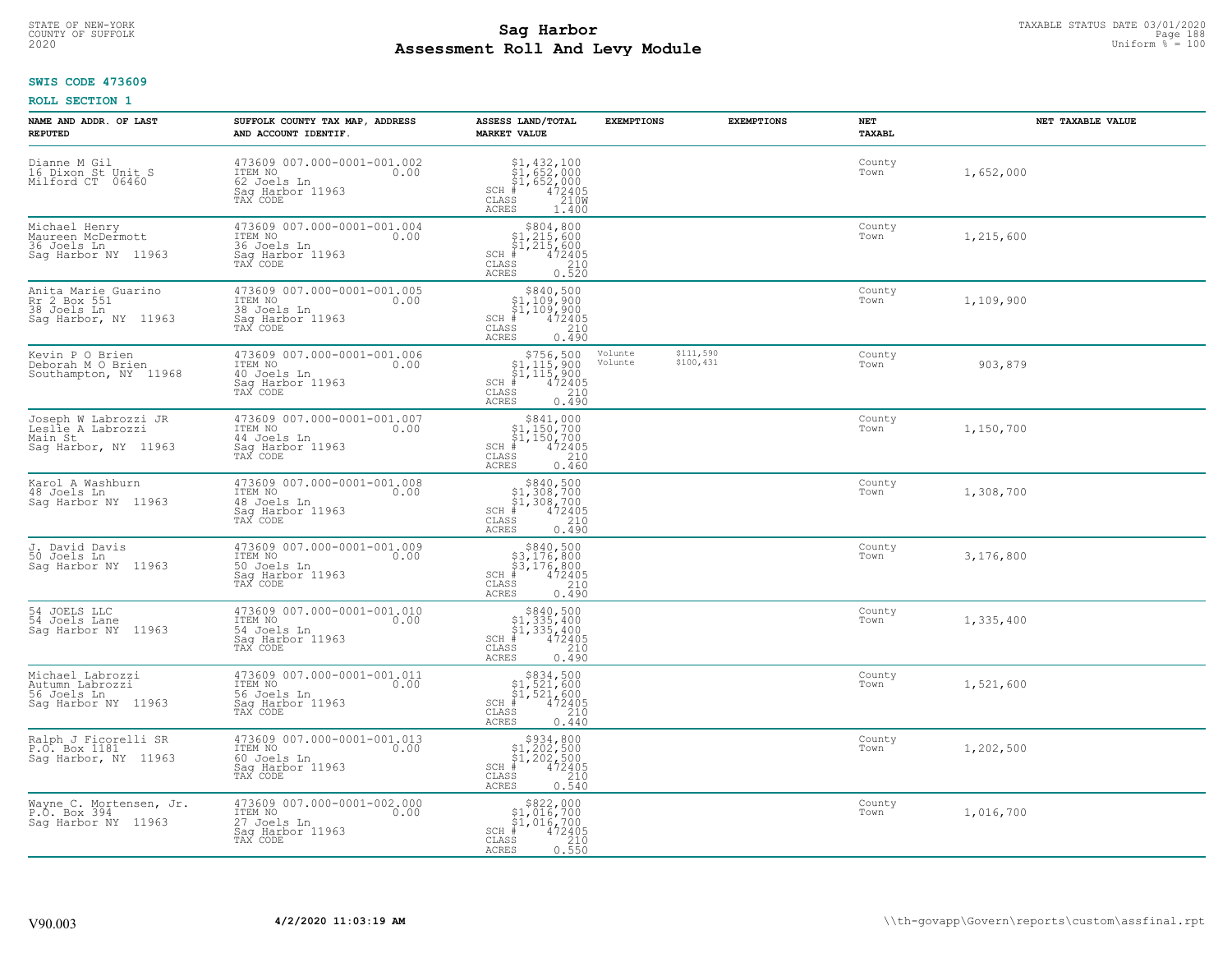# TAXABLE STATUS DATE 03/01/2020<br>COUNTY OF SUFFOLK Page 188 **Assessment Roll And Levy Module Example 2020** Uniform  $\frac{1}{8}$  = 100

## **SWIS CODE 473609**

| NAME AND ADDR. OF LAST<br><b>REPUTED</b>                                     | SUFFOLK COUNTY TAX MAP, ADDRESS<br>AND ACCOUNT IDENTIF.                                       | ASSESS LAND/TOTAL<br><b>MARKET VALUE</b>                                                                                                                                          | <b>EXEMPTIONS</b>  | <b>EXEMPTIONS</b>      | NET<br>TAXABL  | NET TAXABLE VALUE |
|------------------------------------------------------------------------------|-----------------------------------------------------------------------------------------------|-----------------------------------------------------------------------------------------------------------------------------------------------------------------------------------|--------------------|------------------------|----------------|-------------------|
| Dianne M Gil<br>16 Dixon St Unit S<br>Milford CT 06460                       | 473609 007.000-0001-001.002<br>ITEM NO<br>0.00<br>62 Joels Ln<br>Sag Harbor 11963<br>TAX CODE | $$1,432,100$<br>$$1,652,000$<br>$$1,652,000$<br>$472405$<br>$35$<br>$2100$<br>$SCH$ #<br>CLASS<br>ACRES<br>1.400                                                                  |                    |                        | County<br>Town | 1,652,000         |
| Michael Henry<br>Maureen McDermott<br>36 Joels Ln<br>Sag Harbor NY 11963     | 473609 007.000-0001-001.004<br>ITEM NO<br>0.00<br>36 Joels Ln<br>Sag Harbor 11963<br>TAX CODE | $$804, 800$<br>$$1, 215, 600$<br>$$1, 215, 600$<br>$$1, 215, 600$<br>SCH #<br>CLASS<br>$72405\n210\n0.520$<br><b>ACRES</b>                                                        |                    |                        | County<br>Town | 1,215,600         |
| Anita Marie Guarino<br>Rr 2 Box 551<br>38 Joels Ln<br>Saq Harbor, NY 11963   | 473609 007.000-0001-001.005<br>ITEM NO<br>0.00<br>38 Joels Ln<br>Sag Harbor 11963<br>TAX CODE | \$840,500<br>\$1,109,900<br>$\frac{1}{2}$ , 109, 900<br>$+$ 472405<br>SS 210<br>$SCH$ #<br>CLASS<br>0.490<br><b>ACRES</b>                                                         |                    |                        | County<br>Town | 1,109,900         |
| Kevin P O Brien<br>Deborah M O Brien<br>Southampton, NY 11968                | 473609 007.000-0001-001.006<br>ITEM NO<br>0.00<br>40 Joels Ln<br>Saq Harbor 11963<br>TAX CODE | $$756,500$<br>$$1,115,900$<br>$$1,115,900$<br>$472405$<br>$$210$<br>$SCH$ #<br>CLASS<br>ACRES<br>0.490                                                                            | Volunte<br>Volunte | \$111,590<br>\$100,431 | County<br>Town | 903,879           |
| Joseph W Labrozzi JR<br>Leslie A Labrozzi<br>Main St<br>Saq Harbor, NY 11963 | 473609 007.000-0001-001.007<br>ITEM NO<br>0.00<br>44 Joels Ln<br>Saq Harbor 11963<br>TAX CODE | $\begin{array}{r}  \  \  \,  \, 5841,000\\  \  \, 51,150,700\\  \  \, 51,150,700\\  \  \, \text{#} \qquad \qquad 472405 \end{array}$<br>$SCH$ #<br>CLASS<br>210<br>ACRES<br>0.460 |                    |                        | County<br>Town | 1,150,700         |
| Karol A Washburn<br>48 Joels Ln<br>Sag Harbor NY 11963                       | 473609 007.000-0001-001.008<br>ITEM NO<br>0.00<br>48 Joels Ln<br>Sag Harbor 11963<br>TAX CODE | $$340,50051,308,70051,308,7001472405$<br>$SCH$ #<br>$\mathtt{CLASS}$<br>210<br><b>ACRES</b><br>0.490                                                                              |                    |                        | County<br>Town | 1,308,700         |
| J. David Davis<br>50 Joels Ln<br>Sag Harbor NY 11963                         | 473609 007.000-0001-001.009<br>ITEM NO<br>0.00<br>50 Joels Ln<br>Sag Harbor 11963<br>TAX CODE | $$840,500$<br>$$3,176,800$<br>$$3,176,800$<br>$$472405$<br>$SCH$ #<br>CLASS<br>210<br><b>ACRES</b><br>0.490                                                                       |                    |                        | County<br>Town | 3,176,800         |
| 54 JOELS LLC<br>54 Joels Lane<br>Saq Harbor NY 11963                         | 473609 007.000-0001-001.010<br>ITEM NO<br>0.00<br>54 Joels Ln<br>Saq Harbor 11963<br>TAX CODE | $$840,500$<br>$$1,335,400$<br>$$1,335,400$<br>$472405$<br>$$210$<br>$$210$<br>$SCH$ #<br>CLASS<br>ACRES<br>0.490                                                                  |                    |                        | County<br>Town | 1,335,400         |
| Michael Labrozzi<br>Autumn Labrozzi<br>56 Joels Ln<br>Saq Harbor NY 11963    | 473609 007.000-0001-001.011<br>ITEM NO<br>0.00<br>56 Joels Ln<br>Saq Harbor 11963<br>TAX CODE | $$834,500$<br>$$1,521,600$<br>$$1,521,600$<br>$$472405$<br>$SCH$ #<br>CLASS<br>210<br><b>ACRES</b><br>0.440                                                                       |                    |                        | County<br>Town | 1,521,600         |
| Ralph J Ficorelli SR<br>P.O. Box 1181<br>Sag Harbor, NY 11963                | 473609 007.000-0001-001.013<br>ITEM NO<br>0.00<br>60 Joels Ln<br>Sag Harbor 11963<br>TAX CODE | $$334,800\n$1,202,500\n$1,202,500\n# 472405$<br>$SCH$ #<br>CLASS<br>210<br>0.540<br><b>ACRES</b>                                                                                  |                    |                        | County<br>Town | 1,202,500         |
| Wayne C. Mortensen, Jr.<br>P.O. Box 394<br>Sag Harbor NY 11963               | 473609 007.000-0001-002.000<br>ITEM NO<br>0.00<br>27 Joels Ln<br>Saq Harbor 11963<br>TAX CODE | \$822,000<br>\$1,016,700<br>\$1,016,700<br>$SCH$ #<br>$\frac{472405}{210}$<br>CLASS<br>0.550<br>ACRES                                                                             |                    |                        | County<br>Town | 1,016,700         |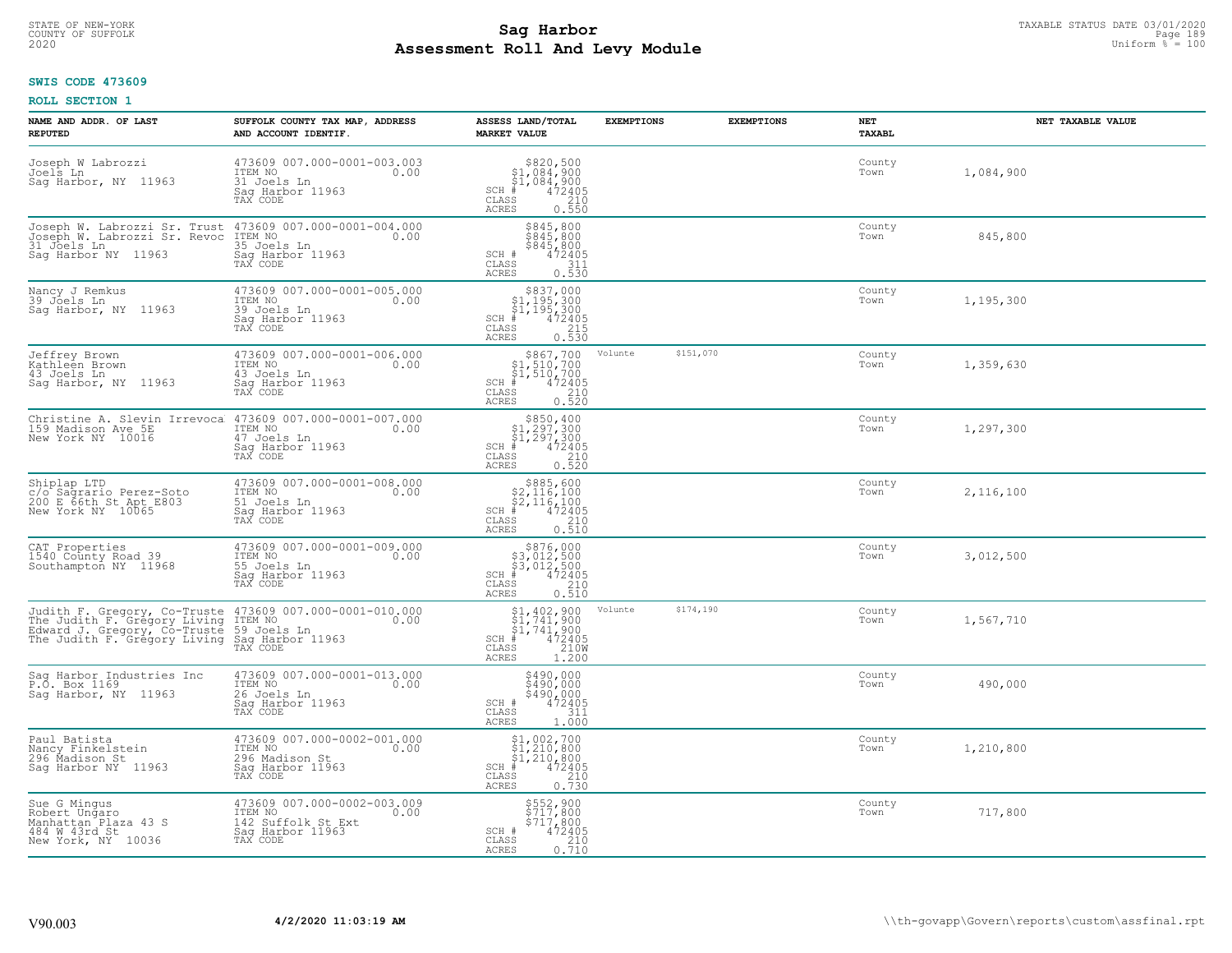# TAXABLE STATUS DATE 03/01/2020<br>COUNTY OF SUFFOLK Page 189 Page 189 **Assessment Roll And Levy Module Example 2020** Uniform  $\frac{1}{8}$  = 100

## **SWIS CODE 473609**

| NAME AND ADDR. OF LAST<br><b>REPUTED</b>                                                                                     | SUFFOLK COUNTY TAX MAP, ADDRESS<br>AND ACCOUNT IDENTIF.                                               | ASSESS LAND/TOTAL<br><b>MARKET VALUE</b>                                                                                      | <b>EXEMPTIONS</b> | <b>EXEMPTIONS</b> | <b>NET</b><br><b>TAXABL</b> | NET TAXABLE VALUE |
|------------------------------------------------------------------------------------------------------------------------------|-------------------------------------------------------------------------------------------------------|-------------------------------------------------------------------------------------------------------------------------------|-------------------|-------------------|-----------------------------|-------------------|
| Joseph W Labrozzi<br>Joels Ln<br>Saq Harbor, NY 11963                                                                        | 473609 007.000-0001-003.003<br>ITEM NO<br>0.00<br>31 Joels Ln<br>Sag Harbor 11963<br>TAX CODE         | $$820,500\n$1,084,900\n$1,084,900\n# 472405\n85\n210$<br>$SCH$ #<br>CLASS<br><b>ACRES</b><br>0.550                            |                   |                   | County<br>Town              | 1,084,900         |
| Joseph W. Labrozzi Sr. Trust<br>Joseph W. Labrozzi Sr. Revoc<br>31 Joels Ln<br>Saq Harbor NY 11963                           | 473609 007.000-0001-004.000<br>ITEM NO<br>0.00<br>----<br>35 Joels Ln<br>Sag Harbor 11963<br>TAX CODE | \$845,800<br>\$845,800<br>\$845,800<br>SCH #<br>472405<br>CLASS<br>311<br>0.530<br><b>ACRES</b>                               |                   |                   | County<br>Town              | 845,800           |
| Nancy J Remkus<br>39 Jõels Ln<br>Saq Harbor, NY 11963                                                                        | 473609 007.000-0001-005.000<br>ITEM NO<br>0.00<br>39 Joels Ln<br>Sag Harbor 11963<br>TAX CODE         | $$837,000$<br>$$1,195,300$<br>$$1,195,300$<br>$$1,195,300$<br>$SCH$ #<br>472405<br>CLASS<br>$\frac{215}{0.530}$<br>ACRES      |                   |                   | County<br>Town              | 1,195,300         |
| Jeffrey Brown<br>Kathleen Brown<br>43 Joels Ln<br>Sag Harbor, NY 11963                                                       | 473609 007.000-0001-006.000<br>ITEM NO<br>0.00<br>43 Joels Ln<br>Saq Harbor 11963<br>TAX CODE         | $SCH$ $#$<br>CLASS<br>ACRES                                                                                                   | Volunte           | \$151,070         | County<br>Town              | 1,359,630         |
| Christine A. Slevin Irrevoca<br>159 Madison Ave 5E<br>New York NY 10016                                                      | 473609 007.000-0001-007.000<br>ITEM NO<br>0.00<br>47 Joels Ln<br>Saq Harbor 11963<br>TAX CODE         | \$850,400<br>$$1,297,300$<br>$$1,297,300$<br>$*$ 472405<br>$\frac{210}{210}$<br>SCH #<br>CLASS<br>0.520<br>ACRES              |                   |                   | County<br>Town              | 1,297,300         |
| Shiplap LTD<br>c/o Sagrario Perez-Soto<br>200 E 66th St Apt E803<br>New York NY 10065                                        | 473609 007.000-0001-008.000<br>ITEM NO<br>0.00<br>51 Joels Ln<br>Sag Harbor 11963<br>TAX CODE         | $$2,116,100$<br>$$2,116,100$<br>$$2,116,100$<br>$472405$<br>SCH #<br>CLASS<br>210<br>0.510<br><b>ACRES</b>                    |                   |                   | County<br>Town              | 2,116,100         |
| CAT Properties<br>1540 County Road 39<br>Southampton NY 11968                                                                | 473609 007.000-0001-009.000<br>ITEM NO<br>0.00<br>55 Joels Ln<br>Sag Harbor 11963<br>TAX CODE         | $$3,012,500$<br>$$3,012,500$<br>$$3,012,500$<br>$$472405$<br>SCH #<br>CLASS<br>$\frac{210}{0.510}$<br><b>ACRES</b>            |                   |                   | County<br>Town              | 3,012,500         |
| Judith F. Gregory, Co-Truste<br>The Judith F. Gregory Living<br>Edward J. Gregory, Co-Truste<br>The Judith F. Gregory Living | 473609 007.000-0001-010.000<br>ITEM NO<br>0.00<br>59 Joels Ln<br>Sag Harbor 11963<br>TAX CODE         | $$1, 402, 900$<br>$$1, 741, 900$<br>$$1, 741, 900$<br>$472405$<br>$$2100$<br>SCH<br>$\mathtt{CLASS}$<br><b>ACRES</b><br>1,200 | Volunte           | \$174,190         | County<br>Town              | 1,567,710         |
| Saq Harbor Industries Inc<br>P.O. Box 1169<br>Saq Harbor, NY 11963                                                           | 473609 007.000-0001-013.000<br>ITEM NO<br>0.00<br>26 Joels Ln<br>Saq Harbor 11963<br>TAX CODE         | \$490,000<br>\$490,000<br>\$490,000<br>SCH #<br>472405<br>CLASS<br>311<br><b>ACRES</b><br>1,000                               |                   |                   | County<br>Town              | 490,000           |
| Paul Batista<br>Nancy Finkelstein<br>296 Madison St<br>Sag Harbor NY 11963                                                   | 473609 007.000-0002-001.000<br>ITEM NO<br>0.00<br>296 Madison St<br>Sag Harbor 11963<br>TAX CODE      | \$1,002,700<br>\$1,210,800<br>\$1,210,800<br>$SCH$ #<br>472405<br>CLASS<br>$\frac{210}{0.730}$<br>ACRES                       |                   |                   | County<br>Town              | 1,210,800         |
| Sue G Mingus<br>Robert Ungaro<br>Manhattan Plaza 43 S<br>484 W 43rd St<br>New York, NY 10036                                 | 473609 007.000-0002-003.009<br>ITEM NO<br>0.00<br>142 Suffolk St Ext<br>Sag Harbor 11963<br>TAX CODE  | \$552,900<br>\$717,800<br>\$717,800<br>472405<br>SCH #<br>CLASS<br>$\frac{210}{0.710}$<br>ACRES                               |                   |                   | County<br>Town              | 717,800           |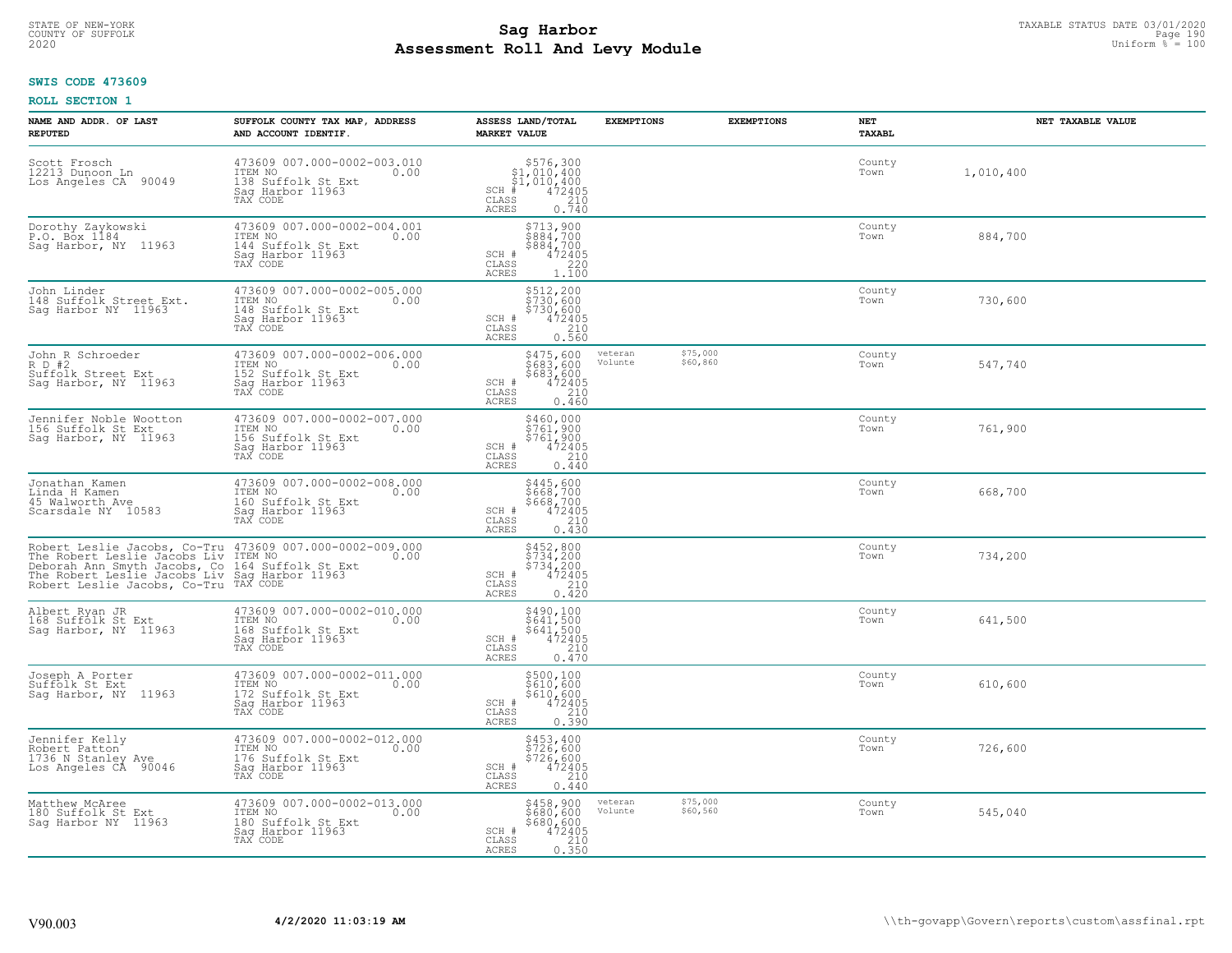# TAXABLE STATUS DATE 03/01/2020<br>COUNTY OF SUFFOLK Page 190 **Assessment Roll And Levy Module Example 2020** Uniform  $\frac{1}{8}$  = 100

## **SWIS CODE 473609**

| NAME AND ADDR. OF LAST<br><b>REPUTED</b>                                                                                                                                                                                              | SUFFOLK COUNTY TAX MAP, ADDRESS<br>AND ACCOUNT IDENTIF.                                              | ASSESS LAND/TOTAL<br><b>MARKET VALUE</b>                                                                                                                                                                                                                                | <b>EXEMPTIONS</b>  | <b>EXEMPTIONS</b>    | <b>NET</b><br>TAXABL | NET TAXABLE VALUE |
|---------------------------------------------------------------------------------------------------------------------------------------------------------------------------------------------------------------------------------------|------------------------------------------------------------------------------------------------------|-------------------------------------------------------------------------------------------------------------------------------------------------------------------------------------------------------------------------------------------------------------------------|--------------------|----------------------|----------------------|-------------------|
| Scott Frosch<br>12213 Dunoon Ln<br>Los Angeles CA<br>90049                                                                                                                                                                            | 473609 007.000-0002-003.010<br>TTEM NO 0.00<br>138 Suffolk St Ext<br>Saq Harbor 11963<br>TAX CODE    | $\begin{array}{r} \texttt{\$576,300}\ \\ \texttt{\$1,010,400}\ \\ \texttt{\$1,010,400}\ \\ \texttt{\$1,010,400}\ \\ \texttt{\$1,010,400}\ \\ \texttt{\$10}\ \\ \texttt{\$10}\ \\ \texttt{\$10}\ \\ \texttt{\$10}\ \\ \texttt{\$10}\end{array}$<br>SCH<br>CLASS<br>ACRES |                    |                      | County<br>Town       | 1,010,400         |
| Dorothy Zaykowski<br>P.O. Box 1184<br>Sag Harbor, NY 11963                                                                                                                                                                            | 473609 007.000-0002-004.001<br>ITEM NO<br>0.00<br>144 Suffolk St Ext<br>Sag Harbor 11963<br>TAX CODE | \$713,900<br>\$884,700<br>\$884,700<br>472405<br>SCH #<br>$\begin{array}{c} 220 \\ 1.100 \end{array}$<br>CLASS<br><b>ACRES</b>                                                                                                                                          |                    |                      | County<br>Town       | 884,700           |
| John Linder<br>148 Suffolk Street Ext.<br>Sag Harbor NY 11963                                                                                                                                                                         | 473609 007.000-0002-005.000<br>ITEM NO<br>0.00<br>148 Suffolk St Ext<br>Sag Harbor 11963<br>TAX CODE | \$512,200<br>\$730,600<br>\$730,600<br>472405<br>SCH #<br>210<br>CLASS<br>ACRES<br>0.560                                                                                                                                                                                |                    |                      | County<br>Town       | 730,600           |
| John R Schroeder<br>R D #2<br>Suffolk Street Ext<br>Sag Harbor, NY 11963                                                                                                                                                              | 473609 007.000-0002-006.000<br>ITEM NO<br>0.00<br>152 Suffolk St Ext<br>Saq Harbor 11963             | \$475,600<br>\$683,600<br>\$683,600<br>SCH #<br>CLASS<br>$\frac{472405}{210}$<br><b>ACRES</b><br>0.460                                                                                                                                                                  | veteran<br>Volunte | \$75,000<br>\$60,860 | County<br>Town       | 547,740           |
| Jennifer Noble Wootton<br>156 Suffolk St Ext<br>Sag Harbor, NY 11963                                                                                                                                                                  | 473609 007.000-0002-007.000<br>ITEM NO<br>0.00<br>156 Suffolk St Ext<br>Saq Harbor 11963<br>TAX CODE | \$460,000<br>₿ŹĕĬ,፼ŎŎ<br>$$761/900$<br>SCH #<br>$\frac{472405}{210}$<br>CLASS<br>ACRES<br>0.440                                                                                                                                                                         |                    |                      | County<br>Town       | 761,900           |
| Jonathan Kamen<br>Linda H Kamen<br>45 Walworth Ave<br>Scarsdale NY 10583                                                                                                                                                              | 473609 007.000-0002-008.000<br>ITEM NO<br>0.00<br>160 Suffolk St Ext<br>Sag Harbor 11963<br>TAX CODE | $$445,600$<br>$$668,700$<br>$$668,700$<br>$472405$<br>$$210$<br>SCH #<br>CLASS<br>0.430<br>ACRES                                                                                                                                                                        |                    |                      | County<br>Town       | 668,700           |
| Robert Leslie Jacobs, Co-Tru 473609 007.000-0002-009.000<br>The Robert Leslie Jacobs Liv<br>Deborah Ann Smyth Jacobs, Co 164 Suffolk St Ext<br>The Robert Leslie Jacobs Liv Sag Harbor 11963<br>Robert Leslie Jacobs, Co-Tru TAX CODE | ITEM NO<br>0.00                                                                                      | \$452,800<br>\$734,200<br>\$734,200<br>\$734,200<br>SCH #<br>$\begin{array}{c} 210 \\ 0.420 \end{array}$<br>CLASS<br><b>ACRES</b>                                                                                                                                       |                    |                      | County<br>Town       | 734,200           |
| Albert Ryan JR<br>168 Suffolk St Ext<br>Sag Harbor, NY 11963                                                                                                                                                                          | 473609 007.000-0002-010.000<br>ITEM NO<br>0.00<br>168 Suffolk St Ext<br>Saq Harbor 11963<br>TAX CODE | \$490,100<br>\$641,500<br>\$641,500<br>472405<br>SCH #<br>CLASS<br>210<br><b>ACRES</b><br>0.470                                                                                                                                                                         |                    |                      | County<br>Town       | 641,500           |
| Joseph A Porter<br>Suffolk St Ext<br>Saq Harbor, NY 11963                                                                                                                                                                             | 473609 007.000-0002-011.000<br>172 Suffolk St Ext<br>Saq Harbor 11963                                | \$500,100<br>\$610,600<br>\$610,600<br>472405<br>SCH #<br>CLASS<br>$\frac{210}{0.390}$<br>ACRES                                                                                                                                                                         |                    |                      | County<br>Town       | 610,600           |
| Jennifer Kelly<br>Robert Patton<br>1736 N Stanley Ave<br>Los Angeles CA 90046                                                                                                                                                         | 473609 007.000-0002-012.000<br>ITEM NO<br>0.00<br>176 Suffolk St Ext<br>Sag Harbor 11963<br>TAX CODE | \$453,400<br>\$726,600<br>$$726, 600$<br>472405<br>210<br>SCH #<br>CLASS<br><b>ACRES</b><br>0.440                                                                                                                                                                       |                    |                      | County<br>Town       | 726,600           |
| Matthew McAree<br>180 Suffolk St Ext<br>Sag Harbor NY 11963                                                                                                                                                                           | 473609 007.000-0002-013.000<br>ITEM NO<br>0.00<br>180 Suffolk St Ext<br>Saq Harbor 11963<br>TAX CODE | \$458,900<br>\$680,600<br>\$680,600<br>$\frac{472405}{210}$<br>SCH #<br>CLASS<br>0.350<br><b>ACRES</b>                                                                                                                                                                  | veteran<br>Volunte | \$75,000<br>\$60,560 | County<br>Town       | 545,040           |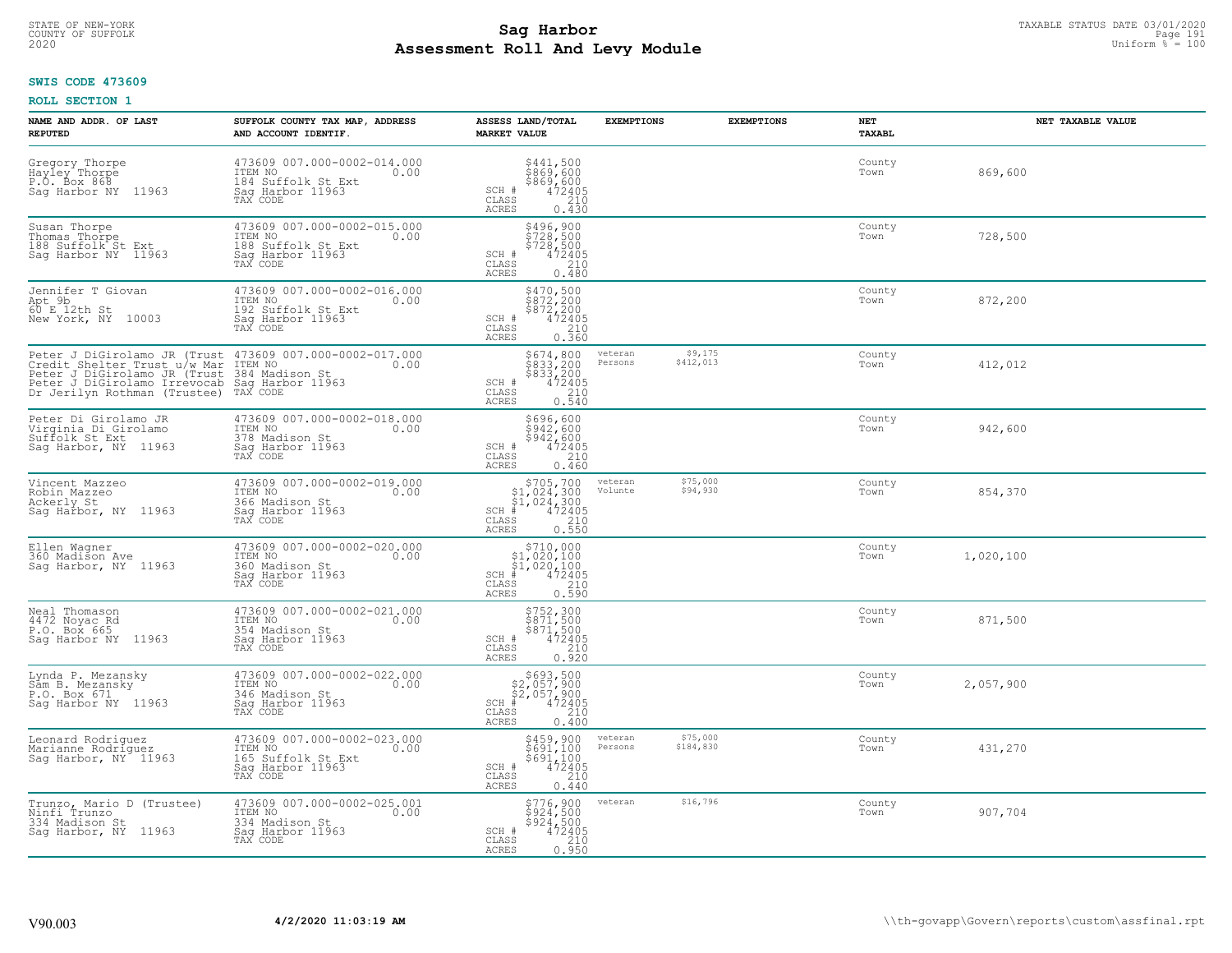# STATE OF NEW-YORK TAXABLE STATUS DATE 03/01/2020<br>COUNTY OF SUFFOLK Page 191 **Assessment Roll And Levy Module Example 2020** Uniform  $\frac{1}{8}$  = 100

#### **SWIS CODE 473609**

| NAME AND ADDR. OF LAST<br><b>REPUTED</b>                                                                                                                                                                                                   | SUFFOLK COUNTY TAX MAP, ADDRESS<br>AND ACCOUNT IDENTIF.                                              | ASSESS LAND/TOTAL<br><b>MARKET VALUE</b>                                                                                             | <b>EXEMPTIONS</b>               | <b>EXEMPTIONS</b>    | NET<br><b>TAXABL</b> | NET TAXABLE VALUE |
|--------------------------------------------------------------------------------------------------------------------------------------------------------------------------------------------------------------------------------------------|------------------------------------------------------------------------------------------------------|--------------------------------------------------------------------------------------------------------------------------------------|---------------------------------|----------------------|----------------------|-------------------|
| Gregory Thorpe<br>Hayley Thorpe<br>P.O. Box 868<br>Sag Harbor NY 11963                                                                                                                                                                     | 473609 007.000-0002-014.000<br>TTEM NO 0.00<br>184 Suffolk St Ext<br>Saq Harbor 11963<br>TAX CODE    | \$441,500<br>\$869,600<br>\$869,600<br>472405<br>210<br>SCH #<br>CLASS<br><b>ACRES</b><br>0.430                                      |                                 |                      | County<br>Town       | 869,600           |
| Susan Thorpe<br>Thomas Thorpe<br>188 Suffolk St Ext<br>Sag Harbor NY 11963                                                                                                                                                                 | 473609 007.000-0002-015.000<br>ITEM NO<br>0.00<br>188 Suffolk St Ext<br>Sag Harbor 11963<br>TAX CODE | \$496,900<br>\$728,500<br>\$728,500<br>\$724,95<br>SCH #<br>210<br>$\mathtt{CLASS}$<br><b>ACRES</b><br>0.480                         |                                 |                      | County<br>Town       | 728,500           |
| Jennifer T Giovan<br>Apt 9b <sup>-1</sup><br>New York, NY 10003                                                                                                                                                                            | 473609 007.000-0002-016.000<br>ITEM NO<br>0.00<br>192 Suffolk St Ext<br>Sag Harbor 11963             | $\begin{array}{c}\n $470,500 \\  $872,200 \\  $872,200 \\  $472405 \\  210\n \end{array}$<br>SCH #<br>CLASS<br>0.360<br><b>ACRES</b> |                                 |                      | County<br>Town       | 872,200           |
| Peter J DiGirolamo JR (Trust 473609 007.000-0002-017.000<br>Credit Shelter Trust u/w Mar ITEM NO<br>Peter J DiGirolamo JR (Trust 384 Madison St.<br>Peter J DiGirolamo Irrevocab Saq Harbor 11963<br>Dr Jerilyn Rothman (Trustee) TAX CODE |                                                                                                      | \$674,800<br>\$833,200<br>\$833,200<br>\$833,200<br>472405<br>0.540<br>SCH #<br>CLASS<br>ACRES                                       | veteran<br>\$412,013<br>Persons | \$9,175              | County<br>Town       | 412,012           |
| Peter Di Girolamo JR<br>Virginia Di Girolamo<br>Suffolk St Ext<br>Sag Harbor, NY 11963                                                                                                                                                     | 473609 007.000-0002-018.000<br>ITEM NO<br>0.00<br>378 Madison St<br>Sag Harbor 11963<br>TAX CODE     | \$696,600<br>\$942,600<br>\$942,600<br>SCH #<br>$\frac{472405}{210}$<br>CLASS<br><b>ACRES</b><br>0.460                               |                                 |                      | County<br>Town       | 942,600           |
| Vincent Mazzeo<br>Robin Mazzeo<br>Ackerly St<br>Sag Harbor, NY 11963                                                                                                                                                                       | 473609 007.000-0002-019.000<br>ITEM NO<br>0.00<br>366 Madison St<br>Saq Harbor 11963<br>TAX CODE     | $$705,700\n$1,024,300\n$1,024,300\n# 472405\n* 472405\n210$<br>$SCH$ #<br>$\mathtt{CLASS}$<br>0.550<br>ACRES                         | veteran<br>Volunte              | \$75,000<br>\$94,930 | County<br>Town       | 854,370           |
| Ellen Wagner<br>360 Madison Ave<br>Saq Harbor, NY 11963                                                                                                                                                                                    | 473609 007.000-0002-020.000<br>ITEM NO<br>0.00<br>360 Madison St<br>Sag Harbor 11963<br>TAX CODE     | \$710,900<br>$$1,020,100$<br>$$1,020,100$<br>$472405$<br>$SCH$ #<br>$\mathtt{CLASS}$<br>210<br><b>ACRES</b><br>0.590                 |                                 |                      | County<br>Town       | 1,020,100         |
| Neal Thomason<br>4472 Noyac Rd<br>P.O. Box 665<br>Sag Harbor NY 11963                                                                                                                                                                      | 473609 007.000-0002-021.000<br>ITEM NO<br>0.00<br>354 Madison St<br>Sag Harbor 11963<br>TAX CODE     | \$752,300<br>\$871,500<br>\$871,500<br>472405<br>$SCH$ #<br>CLASS<br>210<br><b>ACRES</b><br>0.920                                    |                                 |                      | County<br>Town       | 871,500           |
| Lynda P. Mezansky<br>Sam B. Mezansky<br>P.O. Box 671<br>Sag Harbor NY 11963                                                                                                                                                                | 473609 007.000-0002-022.000<br>TTEM NO 0.00<br>346 Madison St<br>Saq Harbor 11963<br>TAX CODE        | $$693,500$<br>$$2,057,900$<br>$$2,057,900$<br>$$472405$<br>$SCH$ #<br>CLASS<br>210<br><b>ACRES</b><br>0.400                          |                                 |                      | County<br>Town       | 2,057,900         |
| Leonard Rodriquez<br>Marianne Rodriguez<br>Sag Harbor, NY <sup>-</sup> 11963                                                                                                                                                               | 473609 007.000-0002-023.000<br>ITEM NO<br>0.00<br>165 Suffolk St Ext<br>Saq Harbor 11963<br>TAX CODE | \$459,900<br>\$691,100<br>\$691,100<br>472405<br>SCH #<br>210<br>CLASS<br>0.440<br><b>ACRES</b>                                      | veteran<br>\$184,830<br>Persons | \$75,000             | County<br>Town       | 431,270           |
| Trunzo, Mario D (Trustee)<br>Ninfi Trunzo<br>334 Madison St<br>Saq Harbor, NY 11963                                                                                                                                                        | 473609 007.000-0002-025.001<br>ITEM NO<br>0.00<br>334 Madison St<br>Saq Harbor 11963<br>TAX CODE     | \$776,900<br>\$924,500<br>\$924,500<br>SCH #<br>472405<br>CLASS<br>210<br>ACRES<br>0.950                                             | veteran                         | \$16,796             | County<br>Town       | 907,704           |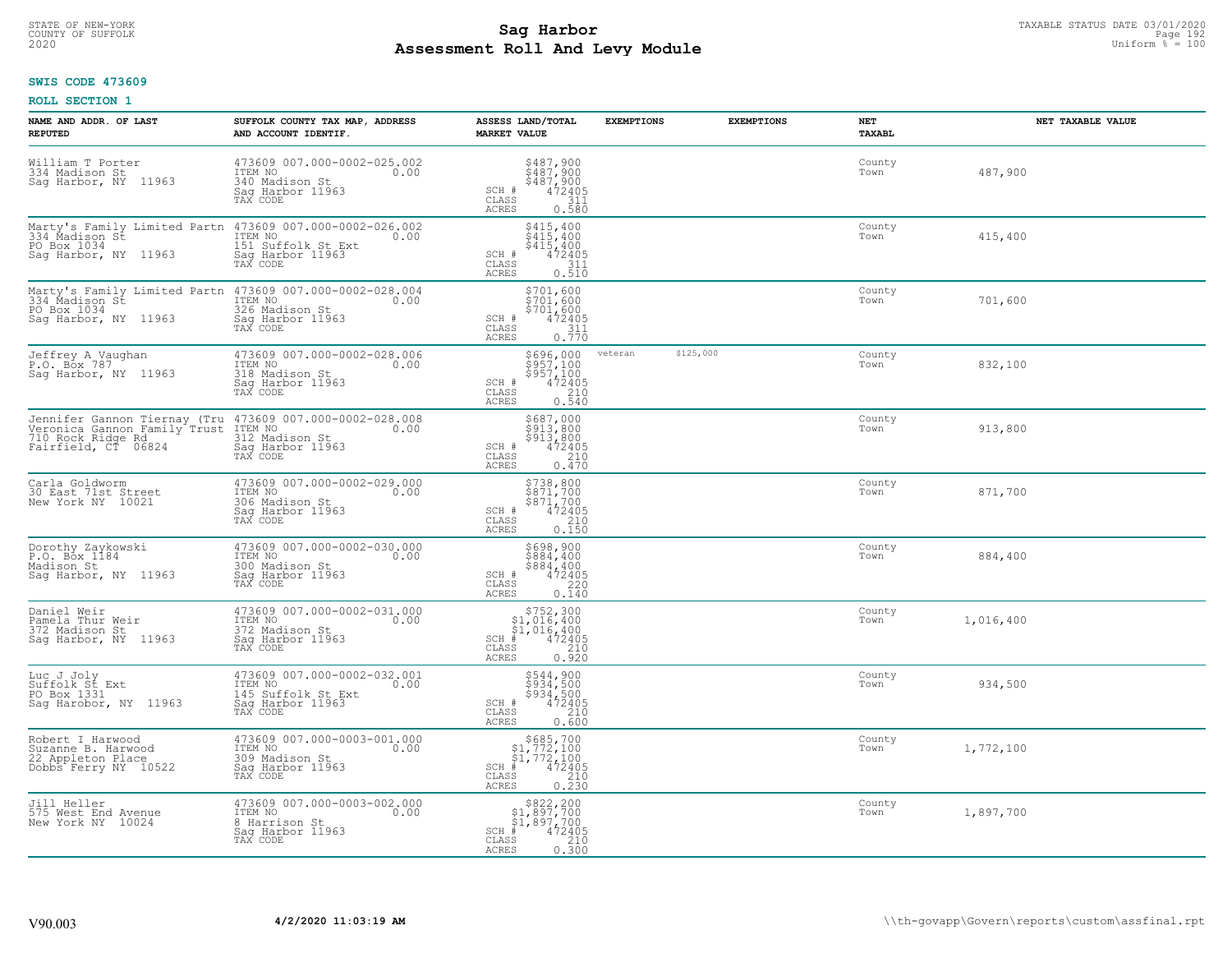# STATE OF NEW-YORK TAXABLE STATUS DATE 03/01/2020<br>COUNTY OF SUFFOLK Page 192 **Assessment Roll And Levy Module Example 2020** Uniform  $\frac{1}{8}$  = 100

### **SWIS CODE 473609**

| NAME AND ADDR. OF LAST<br><b>REPUTED</b>                                                                                                                                               | SUFFOLK COUNTY TAX MAP, ADDRESS<br>AND ACCOUNT IDENTIF.                                          | ASSESS LAND/TOTAL<br><b>MARKET VALUE</b>                                                                                                                     | <b>EXEMPTIONS</b>    | <b>EXEMPTIONS</b> | NET<br>TAXABL  | NET TAXABLE VALUE |
|----------------------------------------------------------------------------------------------------------------------------------------------------------------------------------------|--------------------------------------------------------------------------------------------------|--------------------------------------------------------------------------------------------------------------------------------------------------------------|----------------------|-------------------|----------------|-------------------|
| William T Porter<br>334 Madison St<br>Saq Harbor, NY 11963                                                                                                                             | 473609 007.000-0002-025.002<br>ITEM NO<br>0.00<br>340 Madison St<br>Saq Harbor 11963<br>TAX CODE | $5487,900$<br>$5487,900$<br>$5487,900$<br>$472405$<br>$2311$<br>SCH #<br>CLASS<br><b>ACRES</b><br>0.580                                                      |                      |                   | County<br>Town | 487,900           |
| PO Box 1034<br>Saq Harbor, NY 11963                                                                                                                                                    | 151 Suffolk St Ext<br>Sag Harbor 11963<br>TAX CODE                                               | $$415,400$<br>$$415,400$<br>\$415,400<br>SCH #<br>472405<br>$\mathtt{CLASS}$<br>311<br>ACRES<br>0.510                                                        |                      |                   | County<br>Town | 415,400           |
| Marty's Family Limited Partn 473609 007.000-0002-028.004<br>334 Madison St (ITEM NO) 0.00<br>PO Box 1034<br>Sag Harbor, NY 11963                                                       | 326 Madison St<br>Sag Harbor 11963                                                               | \$701,600<br>\$701,600<br>\$701,600<br>SCH #<br>472405<br>$\frac{311}{0.770}$<br>CLASS<br>ACRES                                                              |                      |                   | County<br>Town | 701,600           |
| Jeffrey A Vaughan<br>P.O. Box 787<br>Saq Harbor, NY 11963                                                                                                                              | 473609 007.000-0002-028.006<br>ITEM NO<br>0.00<br>318 Madison St<br>Sag Harbor 11963<br>TAX CODE | \$696,000<br>$\frac{100}{5957,100}$<br>$\frac{472405}{210}$<br>SCH #<br>CLASS<br><b>ACRES</b><br>0.540                                                       | \$125,000<br>veteran |                   | County<br>Town | 832,100           |
| Jennifer Gannon Tiernay (Tru 473609 007.000-0002-028.008<br>Veronica Gannon Family Trust 175M NO 0.00<br>710 noch Bingo Pamily Trust 179M.<br>710 Rock Ridge Rd<br>Fairfield, CT 06824 | 312 Madison St<br>Sag Harbor 11963<br>TAX CODE                                                   | \$687,000<br>\$913,800<br>$$5\overline{1}\overline{3}'$ , $8\overline{0}\overline{0}$<br>$472405$<br>SCH #<br>210<br>CLASS<br>0.470<br>ACRES                 |                      |                   | County<br>Town | 913,800           |
| Carla Goldworm<br>30 East 71st Street<br>New York NY 10021                                                                                                                             | 473609 007.000-0002-029.000<br>ITEM NO<br>0.00<br>306 Madison St<br>Sag Harbor 11963<br>TAX CODE | \$738,800<br>\$871,700<br>\$871,700<br>472405<br>SCH #<br>CLASS<br>210<br><b>ACRES</b><br>0.150                                                              |                      |                   | County<br>Town | 871,700           |
| Dorothy Zaykowski<br>P.O. Box 1184<br>Madison St<br>Saq Harbor, NY 11963                                                                                                               | 473609 007.000-0002-030.000<br>ITEM NO<br>0.00<br>300 Madison St<br>Sag Harbor 11963<br>TAX CODE | \$698,900<br>\$884,400<br>\$884,400<br>472405<br>SCH #<br>CLASS<br>220<br>0.140<br>ACRES                                                                     |                      |                   | County<br>Town | 884,400           |
| Daniel Weir<br>Pamela Thur Weir<br>372 Madison St<br>Sag Harbor, NY 11963                                                                                                              | 473609 007.000-0002-031.000<br>ITEM NO 0.00<br>372 Madison St<br>Saq Harbor 11963<br>TAX CODE    | $\begin{array}{r} 5752,300 \\ 51,016,400 \\ 51,016,400 \\ \pm \\ 472405 \\ \text{ss} \\ 210 \end{array}$<br>$SCH$ #<br>CLASS<br>ACRES<br>0.920               |                      |                   | County<br>Town | 1,016,400         |
| Luc J Joly<br>Suffolk St Ext<br>PO Box 1331<br>Sag Harobor, NY 11963                                                                                                                   | 473609 007.000-0002-032.001<br>TTEM NO 0.00<br>145 Suffolk St Ext<br>Saq Harbor 11963"           | $5544, 900$<br>$5934, 500$<br>$5934, 500$<br>$472405$<br>$210$<br>SCH #<br>CLASS<br><b>ACRES</b><br>0.600                                                    |                      |                   | County<br>Town | 934,500           |
| Robert I Harwood<br>Nuzanne B. Harwood<br>22 Appleton Place<br>Dobbs Ferry NY 10522                                                                                                    | 473609 007.000-0003-001.000<br>ITEM NO<br>309 Madison St<br>0.00<br>Sag Harbor 11963<br>TAX CODE | $\begin{array}{c} $685,700\n$1,772,100\n$1,772,100\n# 472405 \end{array}$<br>$SCH$ #<br>CLASS<br>$\begin{array}{c} 210 \\ 0.230 \end{array}$<br><b>ACRES</b> |                      |                   | County<br>Town | 1,772,100         |
| Jill Heller<br>575 West End Avenue<br>New York NY 10024                                                                                                                                | 473609 007.000-0003-002.000<br>ITEM NO<br>0.00<br>8 Harrison St<br>Sag Harbor 11963<br>TAX CODE  | $$822, 200$<br>$$1, 897, 700$<br>$$1, 897, 700$<br>$SCH$ #<br>472405<br>$\mathtt{CLASS}$<br>210<br>0.300<br>ACRES                                            |                      |                   | County<br>Town | 1,897,700         |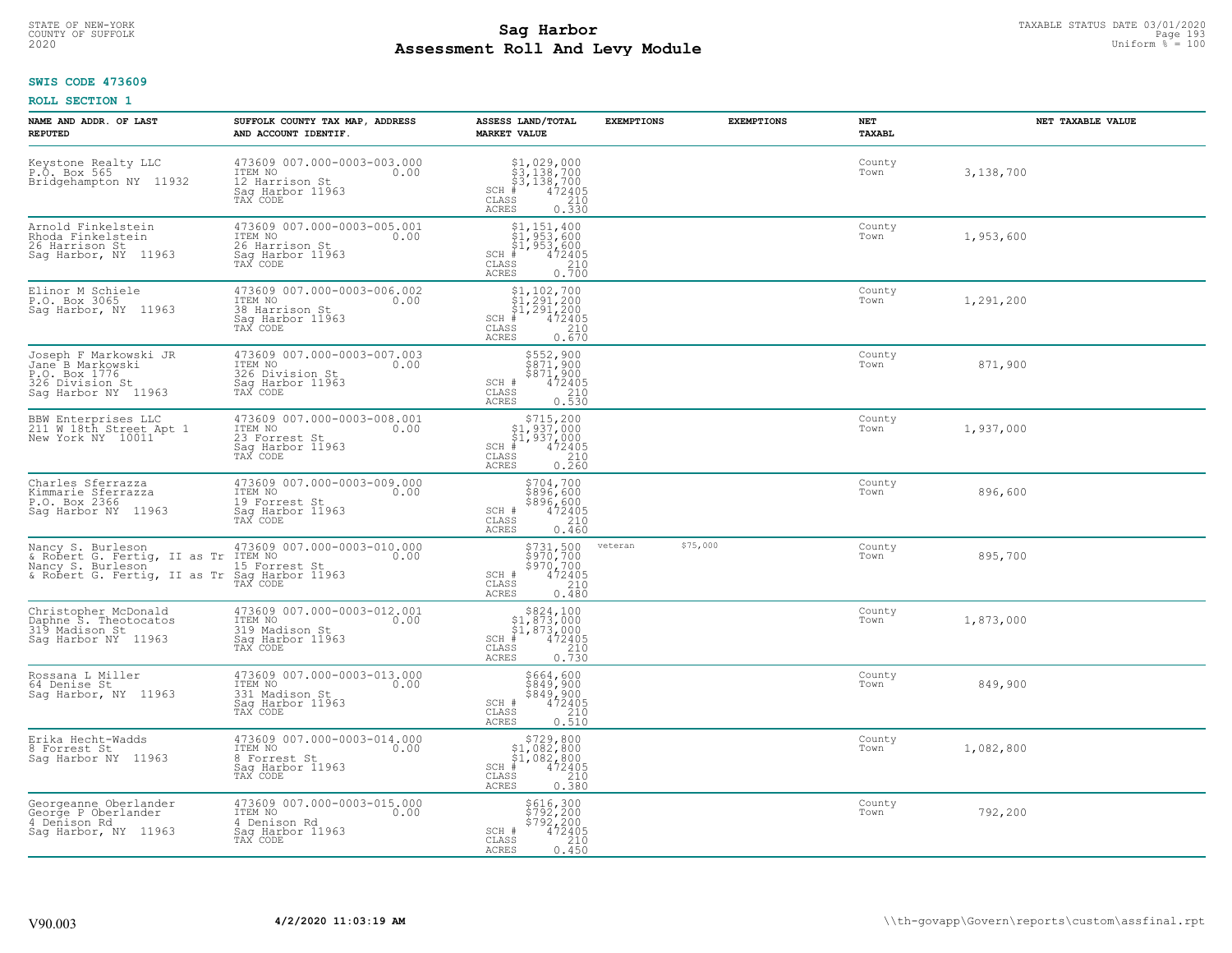# TAXABLE STATUS DATE 03/01/2020<br>COUNTY OF SUFFOLK Page 193 **Assessment Roll And Levy Module Example 2020** Uniform  $\frac{1}{8}$  = 100

### **SWIS CODE 473609**

| NAME AND ADDR. OF LAST<br><b>REPUTED</b>                                                                                | SUFFOLK COUNTY TAX MAP, ADDRESS<br>AND ACCOUNT IDENTIF.                                           | ASSESS LAND/TOTAL<br><b>MARKET VALUE</b>                                                                                                                                                                                                                                                                                                                                                                                                   | <b>EXEMPTIONS</b> | <b>EXEMPTIONS</b> | <b>NET</b><br>TAXABL | NET TAXABLE VALUE |
|-------------------------------------------------------------------------------------------------------------------------|---------------------------------------------------------------------------------------------------|--------------------------------------------------------------------------------------------------------------------------------------------------------------------------------------------------------------------------------------------------------------------------------------------------------------------------------------------------------------------------------------------------------------------------------------------|-------------------|-------------------|----------------------|-------------------|
| Keystone Realty LLC<br>P.O. Box 565<br>Bridgehampton NY 11932                                                           | 473609 007.000-0003-003.000<br>ITEM NO<br>0.00<br>12 Harrison St<br>Saq Harbor 11963<br>TAX CODE  | $$3,138,700$<br>$$3,138,700$<br>$$3,138,700$<br>$$472405$<br>$$210$<br>$SCH$ #<br>CLASS<br>0.330<br>ACRES                                                                                                                                                                                                                                                                                                                                  |                   |                   | County<br>Town       | 3,138,700         |
| Arnold Finkelstein<br>Rhoda Finkelstein<br>26 Harrison St<br>Sag Harbor, NY 11963                                       | 473609 007.000-0003-005.001<br>ITEM NO<br>0.00<br>26 Harrison St<br>Sag Harbor 11963<br>TAX CODE  | $$1, 151, 400$<br>$$1, 953, 600$<br>$$1, 953, 600$<br>$SCH$ #<br>$\begin{array}{r} 472405 \\ 210 \\ 0.700 \end{array}$<br>CLASS<br>ACRES                                                                                                                                                                                                                                                                                                   |                   |                   | County<br>Town       | 1,953,600         |
| Elinor M Schiele<br>P.O. Box 3065<br>Sag Harbor, NY 11963                                                               | 473609 007.000-0003-006.002<br>ITEM NO<br>0.00<br>38 Harrison St<br>Saq Harbor 11963<br>TAX CODE  | $\begin{array}{l} $1,102,700 \ $1,291,200 \ $1,291,200 \ $1,291,200 \ \end{array}$<br>$SCH$ #<br>$\begin{array}{c} 210 \\ 0.670 \end{array}$<br>CLASS<br>ACRES                                                                                                                                                                                                                                                                             |                   |                   | County<br>Town       | 1,291,200         |
| Joseph F Markowski JR<br>Jane <sup>-</sup> B Markowski<br>P.O. Box 1776<br>326 Division St<br>Sag Harbor NY 11963       | 473609 007.000-0003-007.003<br>ITEM NO<br>0.00<br>326 Division St<br>Sag Harbor 11963<br>TAX CODE | \$552,900<br>\$871,900<br>$\begin{array}{r} 5871,900 \\ 472405 \\ 210 \\ 0.530 \end{array}$<br>SCH #<br>$\mathtt{CLASS}$<br><b>ACRES</b>                                                                                                                                                                                                                                                                                                   |                   |                   | County<br>Town       | 871,900           |
| BBW Enterprises LLC<br>211 W 18th Street Apt 1<br>New York NY 10011                                                     | 473609 007.000-0003-008.001<br>ITEM NO<br>0.00<br>23 Forrest St<br>Saq Harbor 11963<br>TAX CODE   | \$715, 200<br>$\begin{array}{r} 51,937,000 \\ 51,937,000 \\ * & 472405 \\ * & 210 \\ * & 210 \\ * & 210 \\ * & 210 \\ * & 210 \\ * & 210 \\ * & 210 \\ * & 210 \\ * & 210 \\ * & 210 \\ * & 210 \\ * & 210 \\ * & 210 \\ * & 210 \\ * & 210 \\ * & 210 \\ * & 210 \\ * & 210 \\ * & 210 \\ * & 210 \\ * & 210 \\ * & 210 \\ * & 210 \\ * & 210 \\ * & 210 \\ * & 2$<br>$SCH$ #<br>CLASS<br>ACRES                                           |                   |                   | County<br>Town       | 1,937,000         |
| Charles Sferrazza<br>Kimmarie Sferrazza<br>P.O. Box 2366<br>Saq Harbor NY 11963                                         | 473609 007.000-0003-009.000<br>ITEM NO<br>0.00<br>19 Forrest St<br>Sag Harbor 11963<br>TAX CODE   | \$704,700<br>\$896,600<br>\$896,600<br>472405<br>SCH #<br>CLASS<br>210<br>ACRES<br>0.460                                                                                                                                                                                                                                                                                                                                                   |                   |                   | County<br>Town       | 896,600           |
| Nancy S. Burleson<br>& Robert G. Fertig, II as Tr<br>Nancy S. Burleson<br>& Robert G. Fertig, II as Tr Sag Harbor 11963 | 473609 007.000-0003-010.000<br>ITEM NO<br>0.00<br>15 Forrest St<br>TAX CODE                       | \$731,500<br>\$970,700<br>\$970,700<br>\$970,700<br>\$210<br>0.480<br>SCH #<br>CLASS<br>ACRES                                                                                                                                                                                                                                                                                                                                              | veteran           | \$75,000          | County<br>Town       | 895,700           |
| Christopher McDonald<br>Daphne S. Theotocatos<br>319 Madison St<br>Sag Harbor NY 11963                                  | 473609 007.000-0003-012.001<br>ITEM NO<br>0.00<br>319 Madison St<br>Saq Harbor 11963<br>TAX CODE  | $\begin{array}{r}  \  \  \,  \, 824,100\\  \  \, 51,873,000\\  \  \, 51,873,000\\  \  \  \, 472405\\ \text{s} \\ \text{s} \\ \text{s} \\ \text{s} \\ \text{s} \\ \text{d} \\ \text{d} \\ \text{d} \\ \text{d} \\ \text{d} \\ \text{e} \\ \text{f} \\ \text{d} \\ \text{h} \\ \text{e} \\ \text{f} \\ \text{h} \\ \text{h} \\ \text{h} \\ \text{h} \\ \text{h} \\ \text{h} \\ \text{h} \\ \text{h} \\ \text{h} \\$<br>SCH<br>CLASS<br>ACRES |                   |                   | County<br>Town       | 1,873,000         |
| Rossana L Miller<br>64 Denise St<br>Sag Harbor, NY 11963                                                                | 473609 007.000-0003-013.000<br>ITEM NO<br>0.00<br>331 Madison St<br>Saq Harbor 11963<br>TAX CODE  | $$664, 600$<br>$$849, 900$<br>$$849, 900$<br>$472405$<br>210<br>SCH #<br>CLASS<br><b>ACRES</b><br>0.510                                                                                                                                                                                                                                                                                                                                    |                   |                   | County<br>Town       | 849,900           |
| Erika Hecht-Wadds<br>8 Forrest St<br>Saq Harbor NY 11963                                                                | 473609 007.000-0003-014.000<br>ITEM NO<br>0.00<br>8 Forrest St<br>Saq Harbor 11963<br>TAX CODE    | \$729,800<br>\$1,082,800<br>\$1,082,800<br>#472405<br>$SCH$ #<br>$\begin{array}{c} 210 \\ 0.380 \end{array}$<br>CLASS<br><b>ACRES</b>                                                                                                                                                                                                                                                                                                      |                   |                   | County<br>Town       | 1,082,800         |
| Georgeanne Oberlander<br>George P Oberlander<br>4 Denison Rd<br>Saq Harbor, NY 11963                                    | 473609 007.000-0003-015.000<br>ITEM NO<br>0.00<br>4 Denison Rd<br>Sag Harbor 11963<br>TAX CODE    | \$616,300<br>\$792,200<br>\$792,200<br>472405<br>SCH #<br>CLASS<br>210<br>0.450<br>ACRES                                                                                                                                                                                                                                                                                                                                                   |                   |                   | County<br>Town       | 792,200           |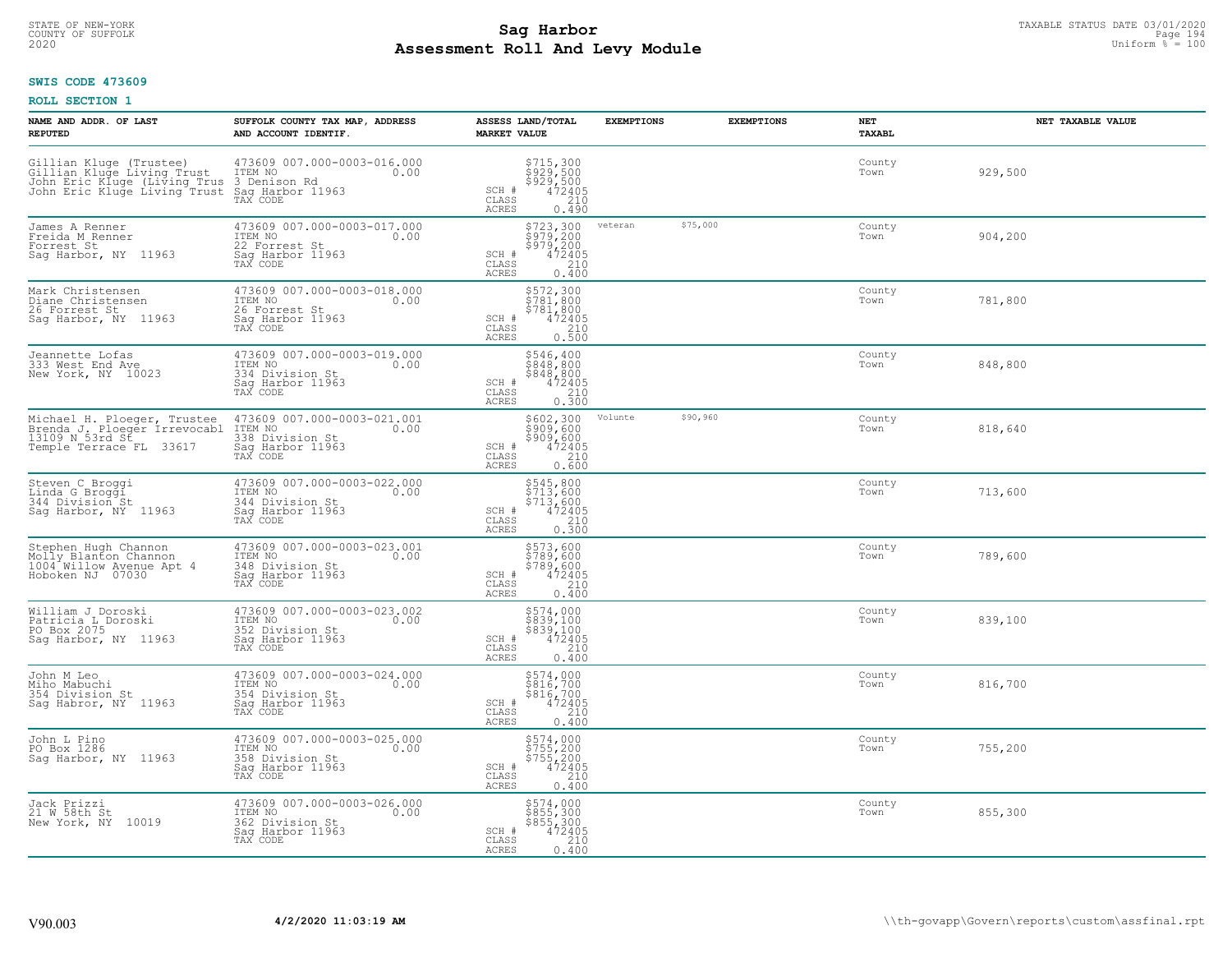# STATE OF NEW-YORK TAXABLE STATUS DATE 03/01/2020<br>COUNTY OF SUFFOLK Page 194 **Assessment Roll And Levy Module Example 2020** Uniform  $\frac{1}{8}$  = 100

### **SWIS CODE 473609**

| NAME AND ADDR. OF LAST<br><b>REPUTED</b>                                                                                                                                                        | SUFFOLK COUNTY TAX MAP, ADDRESS<br>AND ACCOUNT IDENTIF.                                           | ASSESS LAND/TOTAL<br><b>MARKET VALUE</b>                                                                                             | <b>EXEMPTIONS</b> | <b>EXEMPTIONS</b> | NET<br>TAXABL  | NET TAXABLE VALUE |
|-------------------------------------------------------------------------------------------------------------------------------------------------------------------------------------------------|---------------------------------------------------------------------------------------------------|--------------------------------------------------------------------------------------------------------------------------------------|-------------------|-------------------|----------------|-------------------|
| Gillian Kluge (Trustee)<br>Gillian Kluge Living Trust<br>John Eric Kluge (Living Trus 3 Denison Rd<br>John Eric Kluge Living Trus 3 Denison Rd<br>John Eric Kluge Living Trust Sag Harbor 11963 | 473609 007.000-0003-016.000<br>ITEM NO<br>0.00                                                    | \$715,300<br>\$929,500<br>\$929,500<br>472405<br>SCH #<br>CLASS<br>210<br>ACRES<br>0.490                                             |                   |                   | County<br>Town | 929,500           |
| James A Renner<br>Freida M Renner<br>Forrest St<br>Sag Harbor, NY 11963                                                                                                                         | 473609 007.000-0003-017.000<br>ITEM NO 0.00<br>22 Forrest St<br>Sag Harbor 11963<br>TAX CODE      | \$723,300<br>\$979,200<br>\$979,200<br>\$979,200<br>472405<br>0.400<br>SCH #<br>CLASS<br>ACRES                                       | veteran           | \$75,000          | County<br>Town | 904,200           |
| Mark Christensen<br>Diane Christensen<br>26 Forrest St<br>Saq Harbor, NY 11963                                                                                                                  | 473609 007.000-0003-018.000<br>ITEM NO<br>0.00<br>26 Forrest St<br>Sag Harbor 11963<br>TAX CODE   | \$572,300<br>\$781,800<br>\$781,800<br>SCH #<br>$\begin{smallmatrix} 472405\ 210\ 0.500 \end{smallmatrix}$<br>CLASS<br>ACRES         |                   |                   | County<br>Town | 781,800           |
| Jeannette Lofas<br>333 West End Ave<br>New York, NY 10023                                                                                                                                       | 473609 007.000-0003-019.000<br>ITEM NO<br>0.00<br>334 Division St<br>Sag Harbor 11963<br>TAX CODE | \$546,400<br>\$848,800<br>\$848,800<br>SCH #<br>$\begin{array}{r} 472405 \\ 210 \\ 0.300 \end{array}$<br>CLASS<br><b>ACRES</b>       |                   |                   | County<br>Town | 848,800           |
| Temple Terrace FL 33617                                                                                                                                                                         | 473609 007.000-0003-021.001<br>ITEM NO<br>0.00<br>338 Division St<br>Sag Harbor 11963<br>TAX CODE | \$602,300<br>\$909,600<br>\$909,600<br>472405<br>SCH #<br>CLASS<br>$\begin{array}{c} 210 \\ 0.600 \end{array}$<br>ACRES              | Volunte           | \$90,960          | County<br>Town | 818,640           |
| Steven C Broggi<br>Linda G Broggi<br>344 Division St<br>Sag Harbor, NY 11963                                                                                                                    | 473609 007.000-0003-022.000<br>ITEM NO<br>0.00<br>344 Division St<br>Sag Harbor 11963<br>TAX CODE | \$545,800<br>\$713,600<br>\$713,600<br>\$713,600<br>\$72405<br>\$210<br>\$210<br>SCH #<br>CLASS<br><b>ACRES</b>                      |                   |                   | County<br>Town | 713,600           |
| Stephen Hugh Channon<br>Molly Blanton Channon<br>1004 Willow Avenue Apt 4<br>Hoboken NJ 07030                                                                                                   | 473609 007.000-0003-023.001<br>ITEM NO 0.00<br>348 Division St<br>Sag Harbor 11963<br>TAX CODE    | \$573,600<br>\$789,600<br>$$789,600$ $472405$ $210$ $0.400$<br>SCH #<br>CLASS<br>ACRES                                               |                   |                   | County<br>Town | 789,600           |
| William J Doroski<br>Patricia L Doroski<br>PO Box 2075<br>Sag Harbor, NY 11963                                                                                                                  | 473609 007.000-0003-023.002<br>ITEM NO<br>0.00<br>352 Division St<br>Saq Harbor 11963<br>TAX CODE | $\begin{array}{c} 5574,000 \\ 5839,100 \\ 5839,100 \\ 472405 \\ 210 \\ \end{array}$<br>SCH #<br>CLASS<br>ACRES<br>0.400              |                   |                   | County<br>Town | 839,100           |
| John M Leo<br>Miho Mabuchi<br>354 Division St<br>Sag Habror, NY 11963                                                                                                                           | 473609 007.000-0003-024.000<br>TTEM NO<br>354 Division St<br>Sag Harbor 11963<br>TAX CODE<br>0.00 | \$574,000<br>\$816,700<br>\$816,700<br>SCH #<br>472405<br>210<br>$\mathtt{CLASS}$<br>ACRES<br>0.400                                  |                   |                   | County<br>Town | 816,700           |
| John L Pino<br>PO Box 1286<br>Sag Harbor, NY 11963                                                                                                                                              | 473609 007.000-0003-025.000<br>ITEM NO<br>0.00<br>358 Division St<br>Sag Harbor 11963<br>TAX CODE | \$574,000<br>\$755,200<br>\$755,200<br>472405<br>SCH #<br>CLASS<br>210<br>0.400<br>ACRES                                             |                   |                   | County<br>Town | 755,200           |
| Jack Prizzi<br>21 W 58th St<br>New York, NY 10019                                                                                                                                               | 473609 007.000-0003-026.000<br>ITEM NO<br>0.00<br>362 Division St<br>Sag Harbor 11963<br>TAX CODE | \$574,000<br>\$855,300<br>\$855,300<br>SCH #<br>$\begin{smallmatrix} 472405\ 472405\ 210\ 0.400 \end{smallmatrix}$<br>CLASS<br>ACRES |                   |                   | County<br>Town | 855,300           |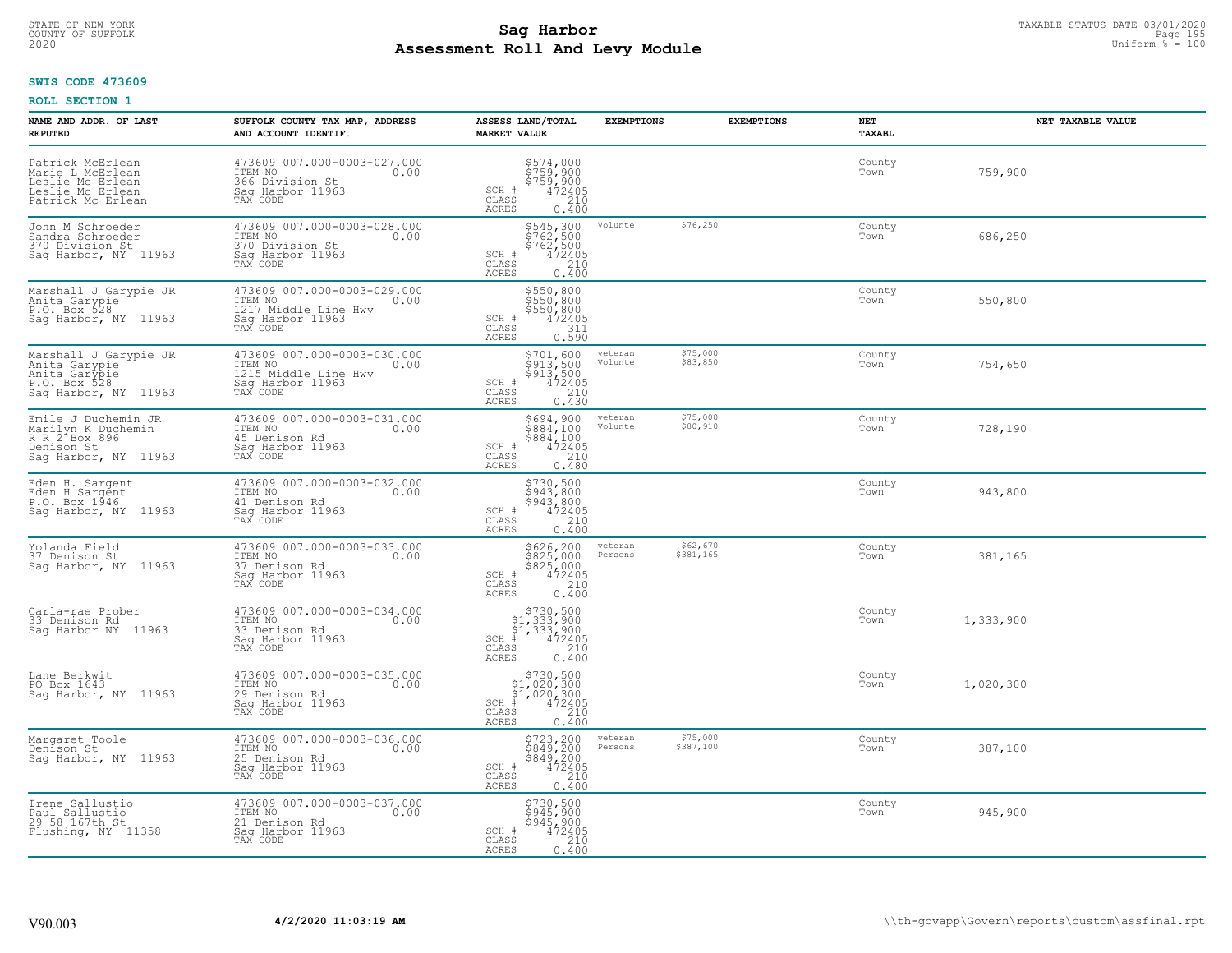# STATE OF NEW-YORK TAXABLE STATUS DATE 03/01/2020<br>COUNTY OF SUFFOLK Page 195 **Assessment Roll And Levy Module Example 2020** Uniform  $\frac{1}{8}$  = 100

#### **SWIS CODE 473609**

| NAME AND ADDR. OF LAST<br><b>REPUTED</b>                                                          | SUFFOLK COUNTY TAX MAP, ADDRESS<br>AND ACCOUNT IDENTIF.                                                | ASSESS LAND/TOTAL<br><b>MARKET VALUE</b>                                                                                | <b>EXEMPTIONS</b>  | <b>EXEMPTIONS</b>     | NET<br>TAXABL  | NET TAXABLE VALUE |
|---------------------------------------------------------------------------------------------------|--------------------------------------------------------------------------------------------------------|-------------------------------------------------------------------------------------------------------------------------|--------------------|-----------------------|----------------|-------------------|
| Patrick McErlean<br>Marie L McErlean<br>Leslie Mc Erlean<br>Leslie Mc Erlean<br>Patrick Mc Erlean | 473609 007.000-0003-027.000<br>ITEM NO<br>0.00<br>366 Division St<br>Saq Harbor 11963<br>TAX CODE      | $$7574,000\n$759,900\n$759,900\n472405\n210$<br>SCH #<br>CLASS<br><b>ACRES</b><br>0.400                                 |                    |                       | County<br>Town | 759,900           |
| John M Schroeder<br>Sandra Schroeder<br>370 Division St<br>Sag Harbor, NY 11963                   | 473609 007.000-0003-028.000<br>ITEM NO<br>0.00<br>370 Division St<br>Saq Harbor 11963<br>TAX CODE      | \$545,300<br>\$762,500<br>\$762,500<br>$\frac{752405}{210}$<br>SCH #<br>CLASS<br>0.400<br>ACRES                         | Volunte            | \$76,250              | County<br>Town | 686,250           |
| Marshall J Garypie JR<br>Anita Garypie<br>P.O. Box 528<br>Sag Harbor, NY 11963                    | 473609 007.000-0003-029.000<br>ITEM NO<br>0.00<br>1217 Middle Line Hwy<br>Sag Harbor 11963<br>TAX CODE | \$550,800<br>\$sso, soo<br>\$550,800<br>SCH #<br>472405<br>311<br>CLASS<br>0.590<br><b>ACRES</b>                        |                    |                       | County<br>Town | 550,800           |
| Marshall J Garypie JR<br>Anita Garypie<br>Anita Garypie<br>P.O. Box 528<br>Sag Harbor, NY 11963   | 473609 007.000-0003-030.000<br>ITEM NO<br>0.00<br>1215 Middle Line Hwy<br>Saq Harbor 11963<br>TAX CODE | \$701,600<br>$\frac{5913,500}{913,500}$<br>$\frac{472405}{210}$<br>SCH #<br>CLASS<br>ACRES<br>0.430                     | veteran<br>Volunte | \$75,000<br>\$83,850  | County<br>Town | 754,650           |
| Emile J Duchemin JR<br>Marilyn K Duchemin<br>R R 2 Box 896<br>Denison St<br>Saq Harbor, NY 11963  | 473609 007.000-0003-031.000<br>ITEM NO<br>0.00<br>45 Denison Rd<br>Saq Harbor 11963<br>TAX CODE        | \$694,900<br>\$884,100<br>\$884,100<br>472405<br>SCH #<br>CLASS<br>210<br>ACRES<br>0.480                                | veteran<br>Volunte | \$75,000<br>\$80,910  | County<br>Town | 728,190           |
| Eden H. Sargent<br>Eden H Sargent<br>P.O. Box 1946<br>Sag Harbor, NY 11963                        | 473609 007.000-0003-032.000<br>ITEM NO<br>0.00<br>41 Denison Rd<br>Sag Harbor 11963<br>TAX CODE        | \$730,500<br>\$943,800<br>\$943,800<br>472405<br>SCH #<br>210<br>CLASS<br>0.400<br><b>ACRES</b>                         |                    |                       | County<br>Town | 943,800           |
| Yolanda Field<br>37 Denison St<br>Sag Harbor, NY 11963                                            | 473609 007.000-0003-033.000<br>TTEM NO 0.00<br>37 Denison Rd<br>Sag Harbor 11963<br>TAX CODE           | $$825, 200$<br>$$825, 000$<br>$$825, 000$<br>$$472405$<br>$$210$<br>SCH #<br>CLASS<br><b>ACRES</b><br>0.400             | veteran<br>Persons | \$62,670<br>\$381,165 | County<br>Town | 381,165           |
| Carla-rae Prober<br>33 Denison Rd<br>Saq Harbor NY 11963                                          | 473609 007.000-0003-034.000<br>ITEM NO<br>0.00<br>33 Denison Rd<br>Saq Harbor 11963<br>TAX CODE        | $$730,500$<br>$$1,333,900$<br>$$1,333,900$<br>$$472405$<br>$SCH$ #<br>CLASS<br>210<br><b>ACRES</b><br>0.400             |                    |                       | County<br>Town | 1,333,900         |
| Lane Berkwit<br>PO Box 1643<br>Saq Harbor, NY 11963                                               | 473609 007.000-0003-035.000<br>ITEM NO<br>0.00<br>29 Denison Rd<br>Saq Harbor 11963<br>TAX CODE        | $$730,500$<br>$$1,020,300$<br>$$1,020,300$<br>$472405$<br>$3240$<br>$SCH$ #<br>CLASS<br>ACRES<br>0.400                  |                    |                       | County<br>Town | 1,020,300         |
| Margaret Toole<br>Denison St<br>Saq Harbor, NY 11963                                              | 473609 007.000-0003-036.000<br>ITEM NO<br>0.00<br>25 Denison Rd<br>Sag Harbor 11963<br>TAX CODE        | $\begin{array}{r} 5723, 200 \\ 5849, 200 \\ 5849, 200 \\ 472405 \\ 210 \\ 0.400 \end{array}$<br>SCH #<br>CLASS<br>ACRES | veteran<br>Persons | \$75,000<br>\$387,100 | County<br>Town | 387,100           |
| Irene Sallustio<br>Paul Sallustio<br>29 58 167th St<br>Flushing, NY 11358                         | 473609 007.000-0003-037.000<br>ITEM NO<br>0.00<br>21 Denison Rd<br>Sag Harbor 11963<br>TAX CODE        | $$945,900$<br>$$945,900$<br>$$945,900$<br>$472405$<br>$$210$<br>SCH #<br>CLASS<br>ACRES<br>0.400                        |                    |                       | County<br>Town | 945,900           |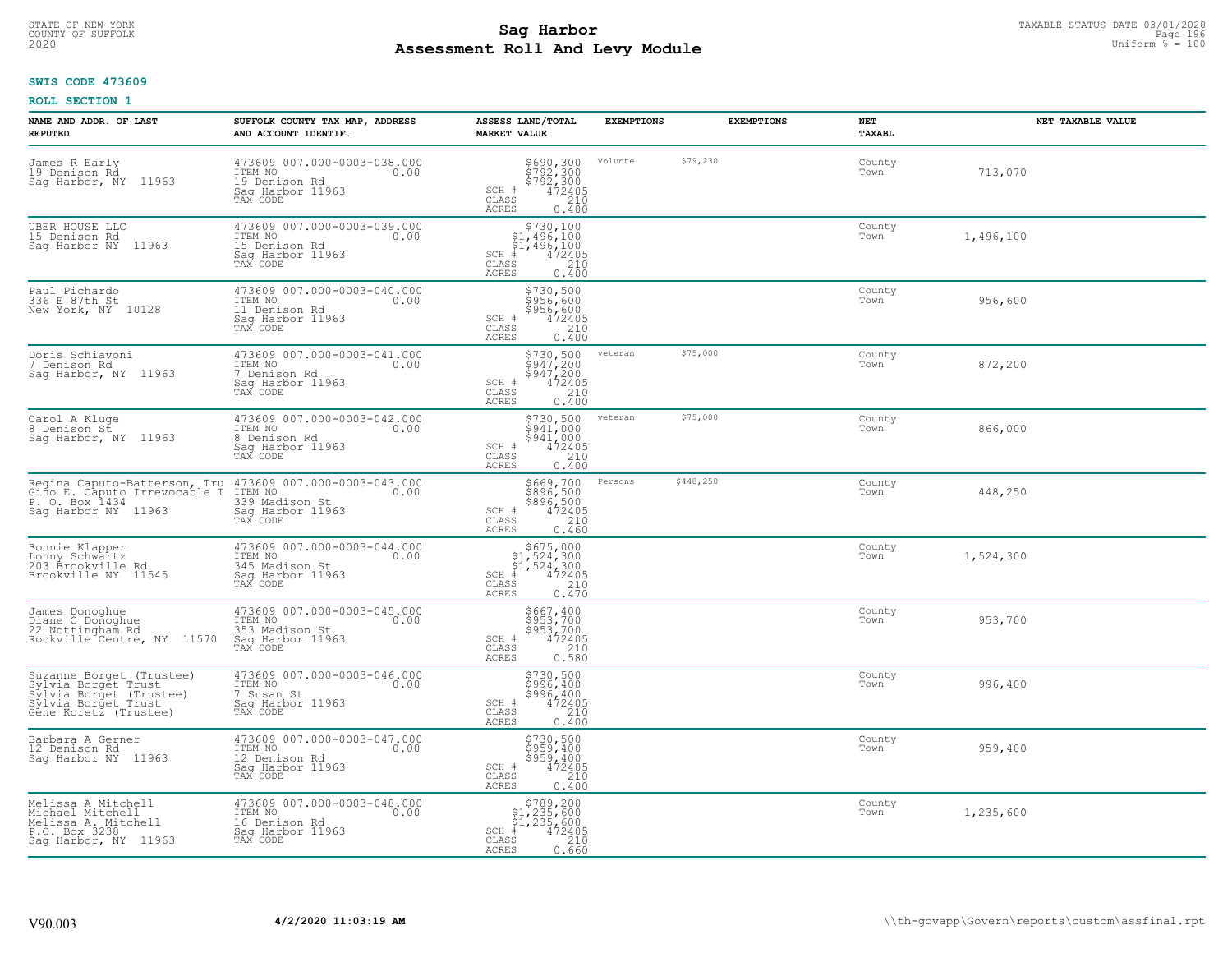# TAXABLE STATUS DATE 03/01/2020<br>COUNTY OF SUFFOLK Page 196 Page 196 **Assessment Roll And Levy Module Example 2020** Uniform  $\frac{1}{8}$  = 100

### **SWIS CODE 473609**

| NAME AND ADDR. OF LAST<br><b>REPUTED</b>                                                                                                  | SUFFOLK COUNTY TAX MAP, ADDRESS<br>AND ACCOUNT IDENTIF.                                          | ASSESS LAND/TOTAL<br><b>MARKET VALUE</b>                                                                               | <b>EXEMPTIONS</b> | <b>EXEMPTIONS</b> | NET<br>TAXABL  | NET TAXABLE VALUE |
|-------------------------------------------------------------------------------------------------------------------------------------------|--------------------------------------------------------------------------------------------------|------------------------------------------------------------------------------------------------------------------------|-------------------|-------------------|----------------|-------------------|
| James R Early<br>19 Denison Rd<br>Sag Harbor, NY 11963                                                                                    | 473609 007.000-0003-038.000<br>ITEM NO<br>0.00<br>19 Denison Rd<br>Saq Harbor 11963<br>TAX CODE  | \$690,300<br>\$792,300<br>\$792,300<br>\$72405<br>\$210<br>SCH #<br>CLASS<br><b>ACRES</b><br>0.400                     | Volunte           | \$79,230          | County<br>Town | 713,070           |
| UBER HOUSE LLC<br>15 Denison Rd<br>Sag Harbor NY 11963                                                                                    | 473609 007.000-0003-039.000<br>ITEM NO<br>0.00<br>15 Denison Rd<br>Saq Harbor 11963<br>TAX CODE  | \$730,100<br>\$1,496,100<br>\$1,496,100<br>$SCH$ #<br>472405<br>CLASS<br>210<br>ACRES<br>0.400                         |                   |                   | County<br>Town | 1,496,100         |
| Paul Pichardo<br>336 E 87th St<br>New York, NY 10128                                                                                      | 473609 007.000-0003-040.000<br>ITEM NO<br>0.00<br>11 Denison Rd<br>Sag Harbor 11963<br>TAX CODE  | \$730,500<br>\$956,600<br>\$956/600<br>SCH #<br>472405<br>CLASS<br>210<br>ACRES<br>0.400                               |                   |                   | County<br>Town | 956,600           |
| Doris Schiavoni<br>7 Denison Rd<br>Sag Harbor, NY 11963                                                                                   | 473609 007.000-0003-041.000<br>ITEM NO<br>0.00<br>7 Denison Rd<br>Saq Harbor 11963<br>TAX CODE   | $$730,500$<br>$$947,200$<br>$$947,200$<br>$472405$<br>210<br>SCH #<br>CLASS<br>ACRES<br>0.400                          | veteran           | \$75,000          | County<br>Town | 872,200           |
| Carol A Kluge<br>8 Denison St<br>Sag Harbor, NY 11963                                                                                     | 473609 007.000-0003-042.000<br>ITEM NO<br>0.00<br>8 Denison Rd<br>Saq Harbor 11963<br>TAX CODE   | \$730,500<br>\$941,000<br>\$941,000<br>SCH #<br>472405<br>210<br>CLASS<br>ACRES<br>0.400                               | veteran           | \$75,000          | County<br>Town | 866,000           |
| Regina Caputo-Batterson, Tru 473609 007.000-0003-043.000<br>Gino E. Caputo Irrevocable T ITEM NO<br>P. O. Box 1434<br>Sag Harbor NY 11963 | 339 Madison St<br>Sag Harbor 11963<br>TAX CODE                                                   | \$669,700<br>\$896,500<br>\$896,500<br>472405<br>SCH #<br>CLASS<br>210<br>ACRES<br>0.460                               | Persons           | \$448,250         | County<br>Town | 448,250           |
| Bonnie Klapper<br>Lonny Schwartz<br>203 Brookville Rd<br>Brookville NY 11545                                                              | 473609 007.000-0003-044.000<br>ITEM NO<br>0.00<br>345 Madison St<br>Sag Harbor 11963<br>TAX CODE | $$675,000$<br>$$1,524,300$<br>$$1,524,300$<br>$*1,524,300$<br>$*1,472405$<br>$SCH$ #<br>CLASS<br>210<br>0.470<br>ACRES |                   |                   | County<br>Town | 1,524,300         |
| James Donoghue<br>Diane C Donoghue<br>22 Nottingham Rd<br>Rockville <sup>-</sup> Centre, NY 11570                                         | 473609 007.000-0003-045.000<br>ITEM NO<br>0.00<br>353 Madison St<br>Saq Harbor 11963<br>TAX CODE | \$667,400<br>\$953,700<br>\$953,700<br>472405<br>SCH #<br>CLASS<br>210<br><b>ACRES</b><br>0.580                        |                   |                   | County<br>Town | 953,700           |
| Suzanne Borget (Trustee)<br>Sylvia Borget Trust<br>Sylvia Borget (Trustee)<br>Sylvia Borget Trust<br>Gêne Koretz (Trustee)                | 473609 007.000-0003-046.000<br>ITEM NO<br>0.00<br>7 Susan St<br>Saq Harbor 11963<br>TAX CODE     | \$730,500<br>\$996,400<br>\$996,400<br>SCH #<br>472405<br>CLASS<br>210<br>ACRES<br>0.400                               |                   |                   | County<br>Town | 996,400           |
| Barbara A Gerner<br>12 Denison Rd<br>Sag Harbor NY 11963                                                                                  | 473609 007.000-0003-047.000<br>ITEM NO<br>0.00<br>12 Denison Rd<br>Sag Harbor 11963<br>TAX CODE  | \$730,500<br>\$959,400<br>$$959,400$<br>$472405$<br>$SCH$ #<br>210<br>CLASS<br><b>ACRES</b><br>0.400                   |                   |                   | County<br>Town | 959,400           |
| Melissa A Mitchell<br>Michael Mitchell<br>Melissa A. Mitchell<br>P.O. Box 3238<br>Sag Harbor, NY 11963                                    | 473609 007.000-0003-048.000<br>TTEM NO 0.00<br>16 Denison Rd<br>Saq Harbor 11963<br>TAX CODE     | \$789,200<br>\$1,235,600<br>\$1,235,600<br>$SCH$ #<br>472405<br>CLASS<br>210<br>ACRES<br>0.660                         |                   |                   | County<br>Town | 1,235,600         |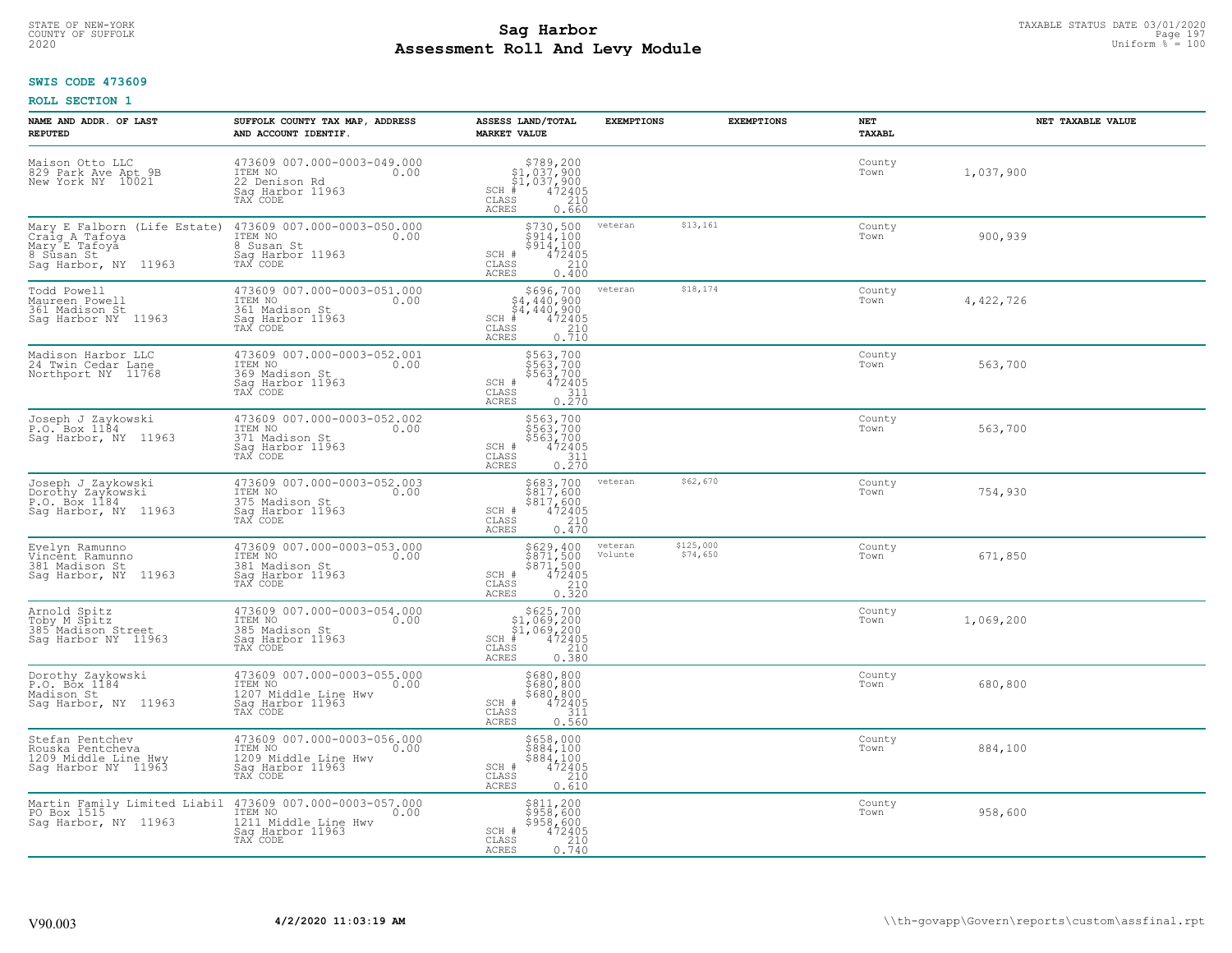# STATE OF NEW-YORK TAXABLE STATUS DATE 03/01/2020<br>COUNTY OF SUFFOLK Page 197 **Assessment Roll And Levy Module Example 2020** Uniform  $\frac{1}{8}$  = 100

### **SWIS CODE 473609**

| NAME AND ADDR. OF LAST<br><b>REPUTED</b>                                                              | SUFFOLK COUNTY TAX MAP, ADDRESS<br>AND ACCOUNT IDENTIF.                                                | ASSESS LAND/TOTAL<br><b>MARKET VALUE</b>                                                                                                            | <b>EXEMPTIONS</b>  | <b>EXEMPTIONS</b>     | <b>NET</b><br>TAXABL | NET TAXABLE VALUE |
|-------------------------------------------------------------------------------------------------------|--------------------------------------------------------------------------------------------------------|-----------------------------------------------------------------------------------------------------------------------------------------------------|--------------------|-----------------------|----------------------|-------------------|
| Maison Otto LLC<br>829 Park Ave Apt 9B<br>New York NY 10021                                           | 473609 007.000-0003-049.000<br>ITEM NO<br>0.00<br>22 Denison Rd<br>Saq Harbor 11963<br>TAX CODE        | $$789, 200$<br>$$1, 037, 900$<br>$$1, 037, 900$<br>$472405$<br>$$210$<br>$SCH$ #<br>CLASS<br>ACRES<br>0.660                                         |                    |                       | County<br>Town       | 1,037,900         |
| Mary E Falborn (Life Estate)<br>Craig A Tafoya<br>Mary E Tafoya<br>8 Sūsan St<br>Sag Harbor, NY 11963 | 473609 007.000-0003-050.000<br>ITEM NO<br>0.00<br>8 Susan St<br>Saq Harbor 11963<br>TAX CODE           | \$730,500<br>\$914,100<br>\$914,100<br>$\frac{472405}{210}$<br>SCH #<br>CLASS<br>ACRES<br>0.400                                                     | veteran            | \$13,161              | County<br>Town       | 900,939           |
| Todd Powell<br>Maureen Powell<br>361 Madison St<br>Saq Harbor NY 11963                                | 473609 007.000-0003-051.000<br>ITEM NO<br>0.00<br>361 Madison St<br>Sag Harbor 11963<br>TAX CODE       | \$696,700<br>\$4,440,900<br>54,440,900<br>$\begin{smallmatrix} 472405\ 472405\ 210\ 0.710 \end{smallmatrix}$<br>$SCH$ #<br>CLASS<br>ACRES           | veteran            | \$18,174              | County<br>Town       | 4,422,726         |
| Madison Harbor LLC<br>24 Twin Cedar Lane<br>Northport NY 11768                                        | 473609 007.000-0003-052.001<br>ITEM NO<br>0.00<br>369 Madison St<br>Saq Harbor 11963<br>TAX CODE       | \$563,700<br>\$563,700<br>$$56\frac{5}{4}7\frac{00}{4}.$<br>SCH #<br>$\begin{smallmatrix} 472405\\ 311\\ 0.270 \end{smallmatrix}$<br>CLASS<br>ACRES |                    |                       | County<br>Town       | 563,700           |
| Joseph J Zaykowski<br>P.O. Box 1184<br>Sag Harbor, NY 11963                                           | 473609 007.000-0003-052.002<br>ITEM NO<br>0.00<br>371 Madison St<br>Sag Harbor 11963<br>TAX CODE       | \$563,700<br>\$563,700<br>\$563,700<br>\$563,700<br>\$72405<br>\$11<br>\$270<br>SCH #<br>$\mathtt{CLASS}$<br><b>ACRES</b>                           |                    |                       | County<br>Town       | 563,700           |
| Joseph J Zaykowski<br>Dorothy Zaykowski<br>P.O. Box 1184<br>Saq Harbor, NY 11963                      | 473609 007.000-0003-052.003<br>ITEM NO<br>0.00<br>375 Madison St<br>Saq Harbor 11963<br>TAX CODE       | \$683,700<br>\$817,600<br>\$817,600<br>\$817,600<br>\$72405<br>\$70<br>\$70<br>SCH #<br>CLASS<br><b>ACRES</b>                                       | veteran            | \$62,670              | County<br>Town       | 754,930           |
| Evelyn Ramunno<br>Vincent Ramunno<br>381 Madison St<br>Saq Harbor, NY 11963                           | 473609 007.000-0003-053.000<br>ITEM NO<br>0.00<br>381 Madison St<br>Sag Harbor 11963<br>TAX CODE       | \$629,400<br>\$871,500<br>\$871,500<br>472405<br>SCH #<br>CLASS<br>$\frac{210}{0.320}$<br>ACRES                                                     | veteran<br>Volunte | \$125,000<br>\$74,650 | County<br>Town       | 671,850           |
| Arnold Spitz<br>Toby M Spitz<br>385 Madison Street<br>Sag Harbor NY 11963                             | 473609 007.000-0003-054.000<br>TTEM NO 0.00<br>385 Madison St<br>Saq Harbor 11963<br>TAX CODE          | $$625,700$<br>$$1,069,200$<br>$$1,069,200$<br>$472405$<br>$$210$<br>SCH<br>CLASS<br>0.550<br><b>ACRES</b>                                           |                    |                       | County<br>Town       | 1,069,200         |
| Dorothy Zaykowski<br>P.O. Box 1184<br>Madison St<br>Saq Harbor, NY 11963                              | 473609 007.000-0003-055.000<br>10.00 0.00<br>1207 Middle Line Hwy<br>Saq Harbor 11963<br>TAX CODE      | \$680,800<br>\$680,800<br>\$680,800<br>\$472405<br>\$114<br>SCH #<br>CLASS<br>ACRES<br>0.560                                                        |                    |                       | County<br>Town       | 680,800           |
| Stefan Pentchev<br>Rouska Pentcheva<br>1209 Middle Line Hwy<br>Sag Harbor NY 11963                    | 473609 007.000-0003-056.000<br>ITEM NO<br>0.00<br>1209 Middle Line Hwy<br>Sag Harbor 11963<br>TAX CODE | $$658,000$<br>$$884,100$<br>$$884,100$<br>$$472405$<br>210<br>SCH #<br>CLASS<br><b>ACRES</b><br>0.610                                               |                    |                       | County<br>Town       | 884,100           |
| Martin Family Limited Liabil<br>PO Box 1515<br>Saq Harbor, NY 11963                                   | 473609 007.000-0003-057.000<br>ITEM NO<br>0.00<br>1211 Middle Line Hwy<br>Sag Harbor 11963<br>TAX CODE | \$811,200<br>\$958,600<br>\$958,600<br>SCH #<br>$\begin{smallmatrix} 472405\ 210\ 0.740 \end{smallmatrix}$<br>CLASS<br><b>ACRES</b>                 |                    |                       | County<br>Town       | 958,600           |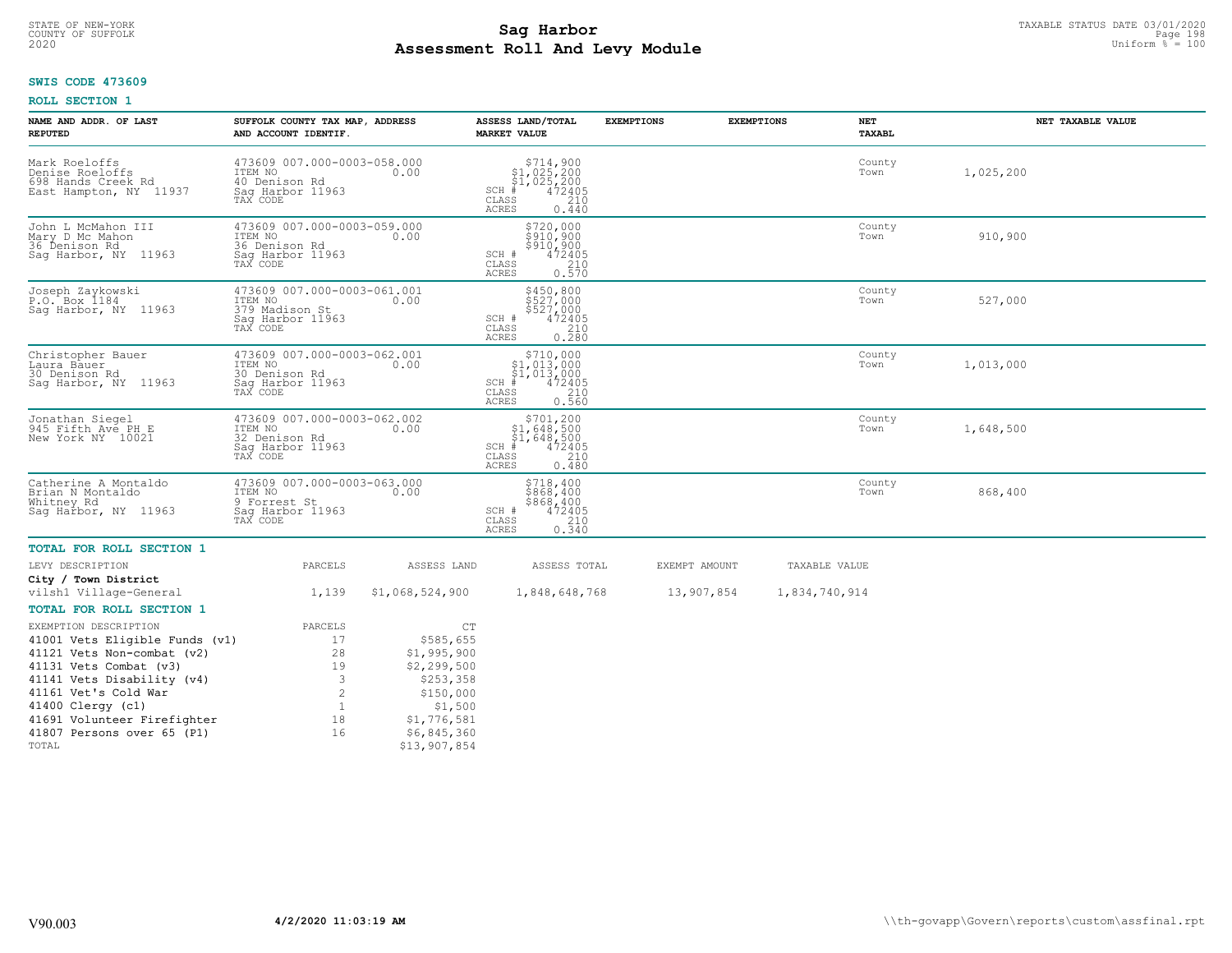# TAXABLE STATUS DATE 03/01/2020<br>COUNTY OF SUFFOLK Page 198 **Assessment Roll And Levy Module Example 2020** Uniform  $\frac{1}{8}$  = 100

# **SWIS CODE 473609**

| NAME AND ADDR. OF LAST<br><b>REPUTED</b>                                         | SUFFOLK COUNTY TAX MAP, ADDRESS<br>AND ACCOUNT IDENTIF.                                  |                            | ASSESS LAND/TOTAL<br><b>MARKET VALUE</b>                                                                    | <b>EXEMPTIONS</b> | <b>EXEMPTIONS</b> | <b>NET</b><br>TAXABL | NET TAXABLE VALUE |
|----------------------------------------------------------------------------------|------------------------------------------------------------------------------------------|----------------------------|-------------------------------------------------------------------------------------------------------------|-------------------|-------------------|----------------------|-------------------|
| Mark Roeloffs<br>Denise Roeloffs<br>698 Hands Creek Rd<br>East Hampton, NY 11937 | 473609 007.000-0003-058.000<br>ITEM NO<br>40 Denison Rd<br>Saq Harbor 11963<br>TAX CODE  | 0.00                       | \$714,900<br>\$1,025,200<br>\$1,025,200<br>$SCH$ #<br>472405<br>CLASS<br>210<br><b>ACRES</b><br>0.440       |                   |                   | County<br>Town       | 1,025,200         |
| John L McMahon III<br>Mary D Mc Mahon<br>36 Denison Rd<br>Saq Harbor, NY 11963   | 473609 007.000-0003-059.000<br>ITEM NO<br>36 Denison Rd<br>Sag Harbor 11963<br>TAX CODE  | 0.00                       | \$720,000<br>\$910,900<br>\$910,900<br>472405<br>SCH #<br>210<br>CLASS<br>ACRES<br>0.570                    |                   |                   | County<br>Town       | 910,900           |
| Joseph Zaykowski<br>P.O. Box 1184<br>Sag Harbor, NY 11963                        | 473609 007.000-0003-061.001<br>ITEM NO<br>379 Madison St<br>Saq Harbor 11963<br>TAX CODE | 0.00                       | \$450,800<br>\$527,000<br>\$527,000<br>472405<br>SCH #<br>CLASS<br>210<br><b>ACRES</b><br>0.280             |                   |                   | County<br>Town       | 527,000           |
| Christopher Bauer<br>Laura Bauer<br>30 Denison Rd<br>Saq Harbor, NY 11963        | 473609 007.000-0003-062.001<br>ITEM NO<br>30 Denison Rd<br>Saq Harbor 11963<br>TAX CODE  | 0.00                       | $SCH$ #<br>CLASS<br><b>ACRES</b><br>0.560                                                                   |                   |                   | County<br>Town       | 1,013,000         |
| Jonathan Siegel<br>945 Fifth Ave PH E<br>New York NY 10021                       | 473609 007.000-0003-062.002<br>ITEM NO<br>32 Denison Rd<br>Saq Harbor 11963<br>TAX CODE  | 0.00                       | $$701, 200$<br>$$1, 648, 500$<br>$$1, 648, 500$<br>SCH #<br>472405<br>CLASS<br>210<br><b>ACRES</b><br>0.480 |                   |                   | County<br>Town       | 1,648,500         |
| Catherine A Montaldo<br>Brian N Montaldo<br>Whitney Rd<br>Saq Harbor, NY 11963   | 473609 007.000-0003-063.000<br>ITEM NO<br>9 Forrest St<br>Saq Harbor 11963<br>TAX CODE   | 0.00                       | \$718,400<br>\$868,400<br>$$868,400$<br>$472405$<br>SCH #<br>CLASS<br>210<br><b>ACRES</b><br>0.340          |                   |                   | County<br>Town       | 868,400           |
| TOTAL FOR ROLL SECTION 1                                                         |                                                                                          |                            |                                                                                                             |                   |                   |                      |                   |
| LEVY DESCRIPTION                                                                 | PARCELS                                                                                  | ASSESS LAND                | ASSESS TOTAL                                                                                                | EXEMPT AMOUNT     |                   | TAXABLE VALUE        |                   |
| City / Town District<br>vilsh1 Village-General                                   | 1,139                                                                                    | \$1,068,524,900            | 1,848,648,768                                                                                               | 13,907,854        |                   | 1,834,740,914        |                   |
| TOTAL FOR ROLL SECTION 1                                                         |                                                                                          |                            |                                                                                                             |                   |                   |                      |                   |
| EXEMPTION DESCRIPTION                                                            | PARCELS                                                                                  | CT                         |                                                                                                             |                   |                   |                      |                   |
| 41001 Vets Eligible Funds (v1)                                                   | 17                                                                                       | \$585,655                  |                                                                                                             |                   |                   |                      |                   |
| 41121 Vets Non-combat (v2)<br>41131 Vets Combat (v3)                             | 28<br>19                                                                                 | \$1,995,900<br>\$2,299,500 |                                                                                                             |                   |                   |                      |                   |
| 41141 Vets Disability (v4)                                                       | 3                                                                                        | \$253,358                  |                                                                                                             |                   |                   |                      |                   |
| 41161 Vet's Cold War                                                             | $\overline{c}$                                                                           | \$150,000                  |                                                                                                             |                   |                   |                      |                   |
| 41400 Clergy (c1)                                                                | $\mathbf{1}$                                                                             | \$1,500                    |                                                                                                             |                   |                   |                      |                   |
| 41691 Volunteer Firefighter<br>41807 Persons over 65 (P1)                        | 18<br>16                                                                                 | \$1,776,581<br>\$6,845,360 |                                                                                                             |                   |                   |                      |                   |
| TOTAL                                                                            |                                                                                          | \$13,907,854               |                                                                                                             |                   |                   |                      |                   |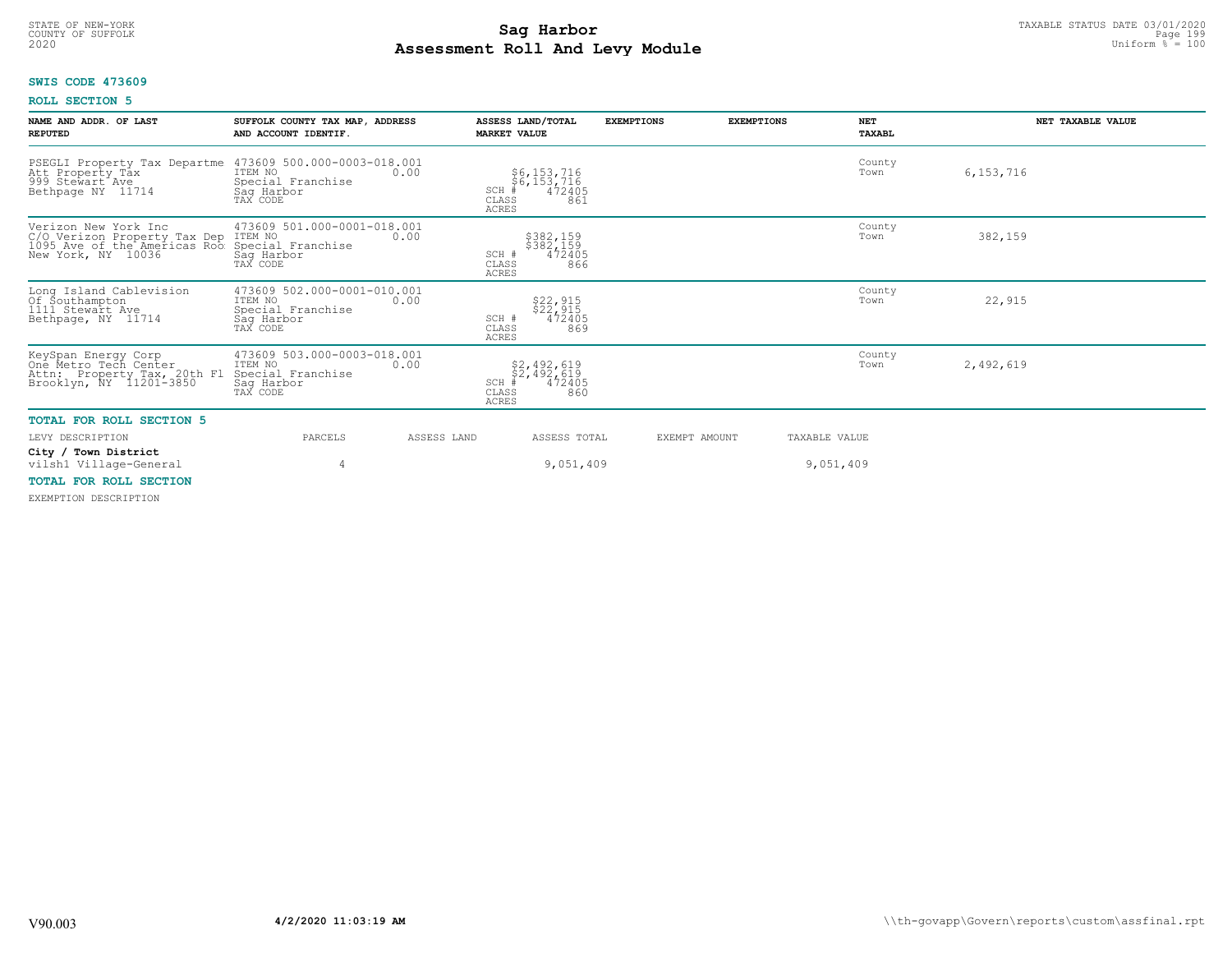# TAXABLE STATUS DATE 03/01/2020<br>COUNTY OF SUFFOLK Page 199<sup>P</sup>age 199 **Assessment Roll And Levy Module Example 2020** Uniform  $\frac{1}{8}$  = 100

# **SWIS CODE 473609**

## **ROLL SECTION 5**

| NAME AND ADDR. OF LAST<br><b>REPUTED</b>                                                                                   | SUFFOLK COUNTY TAX MAP, ADDRESS<br>AND ACCOUNT IDENTIF.                                       | ASSESS LAND/TOTAL<br><b>MARKET VALUE</b>                                     | <b>EXEMPTIONS</b> | <b>NET</b><br><b>EXEMPTIONS</b><br>TAXABL | NET TAXABLE VALUE |
|----------------------------------------------------------------------------------------------------------------------------|-----------------------------------------------------------------------------------------------|------------------------------------------------------------------------------|-------------------|-------------------------------------------|-------------------|
| PSEGLI Property Tax Departme<br>Att Property Tax<br>999 Stewart Ave<br>Bethpage NY 11714                                   | 473609 500.000-0003-018.001<br>ITEM NO<br>0.00<br>Special Franchise<br>Saq Harbor<br>TAX CODE | \$6,153,716<br>\$6,153,716<br>#472405<br>SCH<br>CLASS<br>861<br>ACRES        |                   | County<br>Town                            | 6, 153, 716       |
| Verizon New York Inc<br>C/O Verizon Property Tax Dep ITEM NO<br>1095 Ave of the Americas Roo Special<br>New York, NY 10036 | 473609 501.000-0001-018.001<br>0.00<br>Special Franchise<br>Sag Harbor<br>TAX CODE            | \$382,159<br>\$382,159<br>472405<br>SCH #<br>CLASS<br>866<br><b>ACRES</b>    |                   | County<br>Town                            | 382,159           |
| Long Island Cablevision<br>Of Southampton<br>1111 Stewart Ave<br>Bethpage, NY 11714                                        | 473609 502.000-0001-010.001<br>ITEM NO<br>0.00<br>Special Franchise<br>Sag Harbor<br>TAX CODE | \$22,915<br>\$22,915<br>472405<br>SCH #<br>CLASS<br>869<br><b>ACRES</b>      |                   | County<br>Town                            | 22,915            |
| KeySpan Energy Corp<br>One Metro Tech Center<br>Attn: Property Tax, 20th Fl<br>Brooklyn, NY 11201-3850                     | 473609 503.000-0003-018.001<br>ITEM NO<br>0.00<br>Special Franchise<br>Saq Harbor<br>TAX CODE | \$2,492,619<br>\$2,492,619<br>#472405<br>SCH<br>CLASS<br>860<br><b>ACRES</b> |                   | County<br>Town                            | 2,492,619         |
| <b>TOTAL FOR ROLL SECTION 5</b>                                                                                            |                                                                                               |                                                                              |                   |                                           |                   |
| LEVY DESCRIPTION                                                                                                           | PARCELS                                                                                       | ASSESS LAND<br>ASSESS TOTAL                                                  | EXEMPT AMOUNT     | TAXABLE VALUE                             |                   |
| City / Town District<br>vilsh1 Village-General<br><b>MOBAT ROD DOLL CROBION</b>                                            | 4                                                                                             | 9,051,409                                                                    |                   | 9,051,409                                 |                   |

# **TOTAL FOR ROLL SECTION**

EXEMPTION DESCRIPTION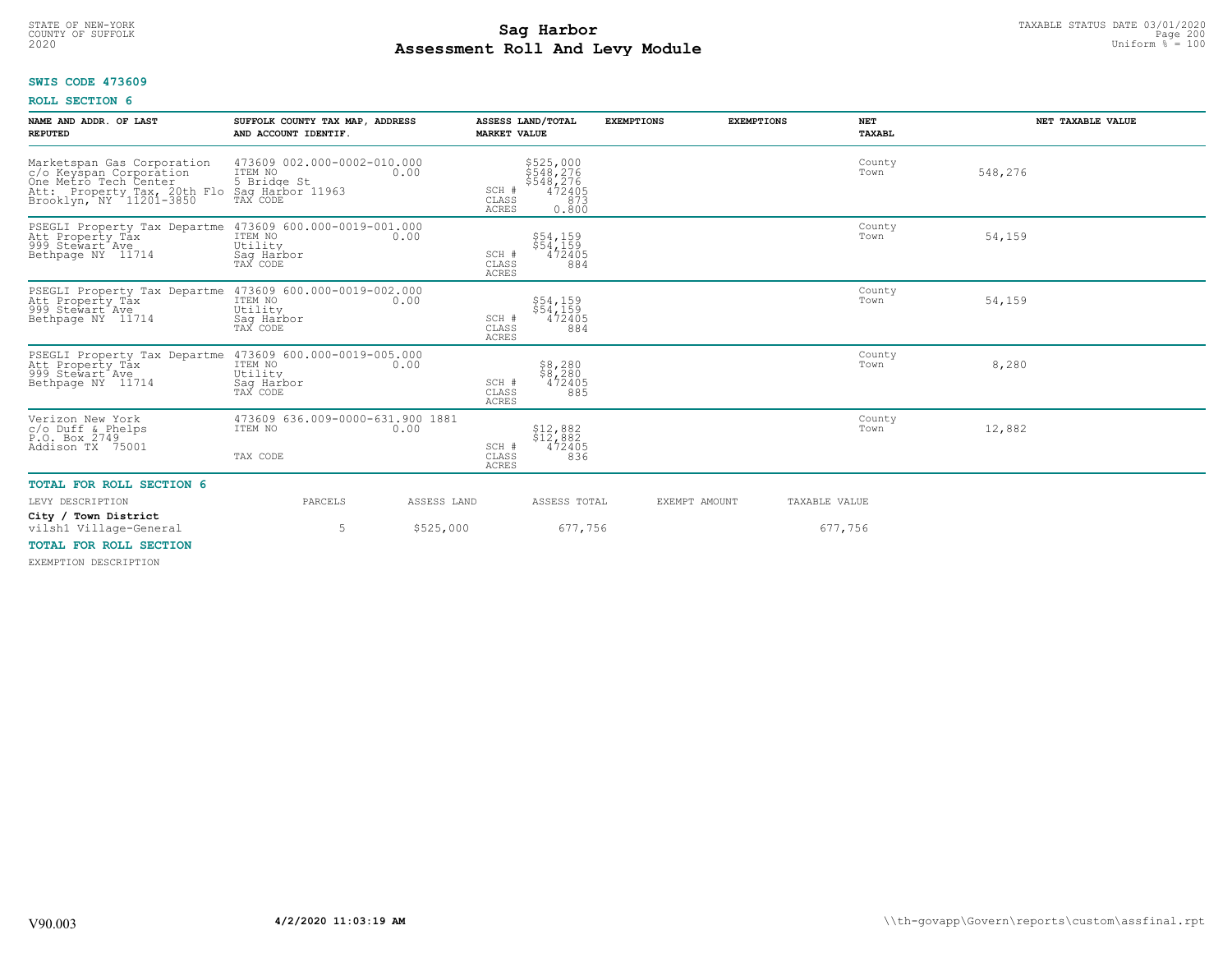# TAXABLE STATUS DATE 03/01/2020<br>COUNTY OF SUFFOLK Page 200 **Assessment Roll And Levy Module Example 2020** Uniform  $\frac{1}{8}$  = 100

# **SWIS CODE 473609**

# **ROLL SECTION 6**

| 473609 002.000-0002-010.000<br>Marketspan Gas Corporation<br>\$525,000<br>\$548,276<br>County<br>ITEM NO<br>548,276<br>c/o Keyspan Corporation<br>One Metro Tech Center<br>0.00<br>Town<br>5 Bridge St<br>$$548,276$<br>$472405$<br>Att: Property Tax, 20th Flo Saq Harbor 11963<br>Brooklyn, NY 11201-3850 TAX CODE<br>SCH #<br>CLASS<br>873<br>ACRES<br>0.800 |  |
|-----------------------------------------------------------------------------------------------------------------------------------------------------------------------------------------------------------------------------------------------------------------------------------------------------------------------------------------------------------------|--|
| PSEGLI Property Tax Departme 473609 600.000-0019-001.000<br>County<br>54,159<br>Att Property Tax<br>999 Stewart Ave<br>ITEM NO<br>\$54,159<br>\$54,159<br>0.00<br>Town<br>Utility<br>Bethpage NY 11714<br>472405<br>Saq Harbor<br>SCH #<br>TAX CODE<br>CLASS<br>884<br><b>ACRES</b>                                                                             |  |
| PSEGLI Property Tax Departme 473609 600.000-0019-002.000<br>County<br>\$54,159<br>\$54,159<br>54,159<br>ITEM NO<br>Att Property Tåx<br>999 Stewart Ave<br>0.00<br>Town<br>Utility<br>472405<br>Bethpage NY 11714<br>Sag Harbor<br>TAX CODE<br>SCH #<br>CLASS<br>884<br>ACRES                                                                                    |  |
| PSEGLI Property Tax Departme 473609 600.000-0019-005.000<br>Att Property Tax ITEM NO 100.00<br>County<br>\$8,280<br>\$8,280<br>472405<br>8,280<br>Att Property Tax<br>Town<br>999 Stewart Ave<br>Utility<br>SCH #<br>Bethpage NY 11714<br>Saq Harbor<br>TAX CODE<br>CLASS<br>885<br>ACRES                                                                       |  |
| 473609 636.009-0000-631.900 1881<br>Verizon New York<br>County<br>ITEM NO<br>12,882<br>\$12,882<br>Town<br>$c$ /o Duff & Phelps<br>0.00<br>$$1\overline{2}, 8\overline{8}2$<br>472405<br>P.O. Box 2749<br>SCH #<br>Addison TX 75001<br>TAX CODE<br>CLASS<br>836<br><b>ACRES</b>                                                                                 |  |
| <b>TOTAL FOR ROLL SECTION 6</b>                                                                                                                                                                                                                                                                                                                                 |  |
| PARCELS<br>EXEMPT AMOUNT<br>LEVY DESCRIPTION<br>ASSESS LAND<br>ASSESS TOTAL<br>TAXABLE VALUE                                                                                                                                                                                                                                                                    |  |
| City / Town District<br>\$525,000<br>677,756<br>677,756<br>vilsh1 Village-General<br>5                                                                                                                                                                                                                                                                          |  |
| TOTAL FOR ROLL SECTION<br>DUDMORTAN BROADTBRIAN                                                                                                                                                                                                                                                                                                                 |  |

EXEMPTION DESCRIPTION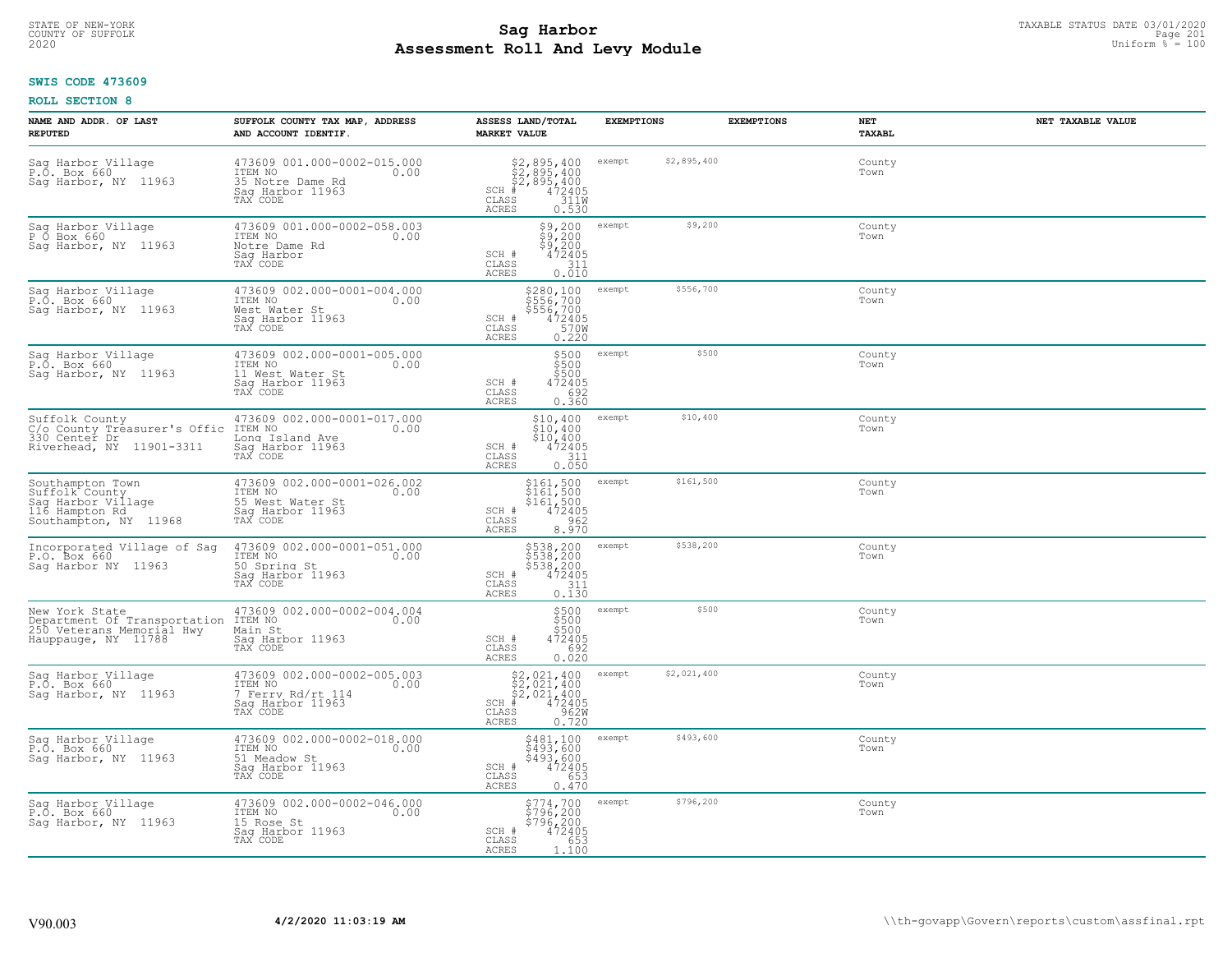# STATE OF NEW-YORK TAXABLE STATUS DATE 03/01/2020<br>COUNTY OF SUFFOLK Page 201 **Assessment Roll And Levy Module Example 2020** Uniform  $\frac{1}{8}$  = 100

## **SWIS CODE 473609**

| NAME AND ADDR. OF LAST<br><b>REPUTED</b>                                                            | SUFFOLK COUNTY TAX MAP, ADDRESS<br>AND ACCOUNT IDENTIF.                                             | ASSESS LAND/TOTAL<br><b>MARKET VALUE</b>                                                                              | <b>EXEMPTIONS</b>     | <b>EXEMPTIONS</b><br><b>NET</b><br><b>TAXABL</b> | NET TAXABLE VALUE |
|-----------------------------------------------------------------------------------------------------|-----------------------------------------------------------------------------------------------------|-----------------------------------------------------------------------------------------------------------------------|-----------------------|--------------------------------------------------|-------------------|
| Sag Harbor Village<br>P.O. Box 660<br>Saq Harbor, NY 11963                                          | 473609 001.000-0002-015.000<br>TTEM NO 0.00<br>35 Notre Dame Rd<br>Saq Harbor 11963<br>TAX CODE     | $$2,895,400$<br>$$2,895,400$<br>$$2,895,400$<br>$472405$<br>$3110$<br>$SCH$ #<br>CLASS<br>ACRES<br>0.530              | \$2,895,400<br>exempt | County<br>Town                                   |                   |
| Sag Harbor Village<br>P Ő Box 660<br>Sag Harbor, NY 11963                                           | 473609 001.000-0002-058.003<br>ITEM NO<br>0.00<br>Notre Dame Rd<br>Sag Harbor<br>TAX CODE           | $\begin{array}{l} 59,200 \\ 59,200 \\ 59,200 \\ 472405 \end{array}$<br>SCH #<br>311<br>CLASS<br><b>ACRES</b><br>0.010 | \$9,200<br>exempt     | County<br>Town                                   |                   |
| Sag Harbor Village<br>P.O. Box 660<br>Sag Harbor, NY 11963                                          | 473609 002.000-0001-004.000<br>ITEM NO<br>0.00<br>West Water St<br>Saq Harbor 11963<br>TAX CODE     | \$280,100<br>\$556,700<br>\$556,700<br>SCH #<br>$472405$<br>570W<br>CLASS<br>0.220<br>ACRES                           | \$556,700<br>exempt   | County<br>Town                                   |                   |
| Sag Harbor Village<br>P.O. Box 660<br>Saq Harbor, NY 11963                                          | 473609 002.000-0001-005.000<br>ITEM NO<br>0.00<br>11 West Water St<br>Saq Harbor 11963<br>TAX CODE  | \$500<br>\$500<br>\$500<br>SCH #<br>472405<br>CLASS<br>692<br>ACRES<br>0.360                                          | \$500<br>exempt       | County<br>Town                                   |                   |
| Suffolk County<br>C/o County Treasurer's Offic<br>330 Center Dr<br>Riverhead, NY 11901-3311         | 473609 002.000-0001-017.000<br>ITEM NO<br>0.00<br>Long Island Ave<br>Saq Harbor 11963<br>TAX CODE   | \$10,400<br>\$10,400<br>\$10,400<br>SCH #<br>$\frac{472405}{311}$<br>CLASS<br>0.050<br><b>ACRES</b>                   | \$10,400<br>exempt    | County<br>Town                                   |                   |
| Southampton Town<br>Suffolk County<br>Sag Harbor Village<br>116 Hampton Rd<br>Southampton, NY 11968 | 473609 002.000-0001-026.002<br>ITEM NO<br>0.00<br>55 West Water St<br>Sag Harbor 11963<br>TAX CODE  | \$161,500<br>\$161,500<br>\$161,500<br>472405<br>SCH #<br>962<br>CLASS<br><b>ACRES</b><br>8.970                       | \$161,500<br>exempt   | County<br>Town                                   |                   |
| Incorporated Village of Sag<br>P.O. Box 660<br>Saq Harbor NY 11963                                  | 473609 002.000-0001-051.000<br>ITEM NO<br>0.00<br>50 Spring St<br>Saq Harbor 11963<br>TAX CODE      | \$538,200<br>\$538,200<br>\$538,200<br>\$538,200<br>\$72405<br>\$11<br>\$110.130<br>SCH #<br>CLASS<br>ACRES           | \$538,200<br>exempt   | County<br>Town                                   |                   |
| New York State<br>Department Of Transportation<br>250 Veterans Memorial Hwy<br>Hauppauge, NY 11788  | 473609 002.000-0002-004.004<br>ITEM NO<br>0.00<br>Main St<br>Saq Harbor 11963<br>TAX CODE           | \$500<br>\$500<br>\$500<br>SCH #<br>472405<br>CLASS<br>0.692<br><b>ACRES</b>                                          | \$500<br>exempt       | County<br>Town                                   |                   |
| Sag Harbor Village<br>P.O. Box 660<br>Sag Harbor, NY 11963                                          | 473609 002.000-0002-005.003<br>ITEM NO<br>0.00<br>7 Ferry Rd/rt 114<br>Saq Harbor 11963<br>TAX CODE | $$2,021,400$<br>$$2,021,400$<br>$$2,021,400$<br>$472405$<br>$$962M$<br>$SCH$ #<br>CLASS<br>0.720<br><b>ACRES</b>      | \$2,021,400<br>exempt | County<br>Town                                   |                   |
| Saq Harbor Village<br>P.O. Box 660<br>Sag Harbor, NY 11963                                          | 473609 002.000-0002-018.000<br>ITEM NO<br>0.00<br>51 Meadow St<br>Saq Harbor 11963<br>TAX CODE      | \$481,100<br>\$493,600<br>\$493,600<br>472405<br>SCH #<br>653<br>CLASS<br><b>ACRES</b><br>0.470                       | \$493,600<br>exempt   | County<br>Town                                   |                   |
| Sag Harbor Village<br>P.O. Box 660<br>Saq Harbor, NY 11963                                          | 473609 002.000-0002-046.000<br>ITEM NO<br>0.00<br>15 Rose St<br>Saq Harbor 11963<br>TAX CODE        | \$774,700<br>\$796,200<br>\$796,200<br>472405<br>SCH #<br>CLASS<br>653<br>ACRES<br>1.100                              | \$796,200<br>exempt   | County<br>Town                                   |                   |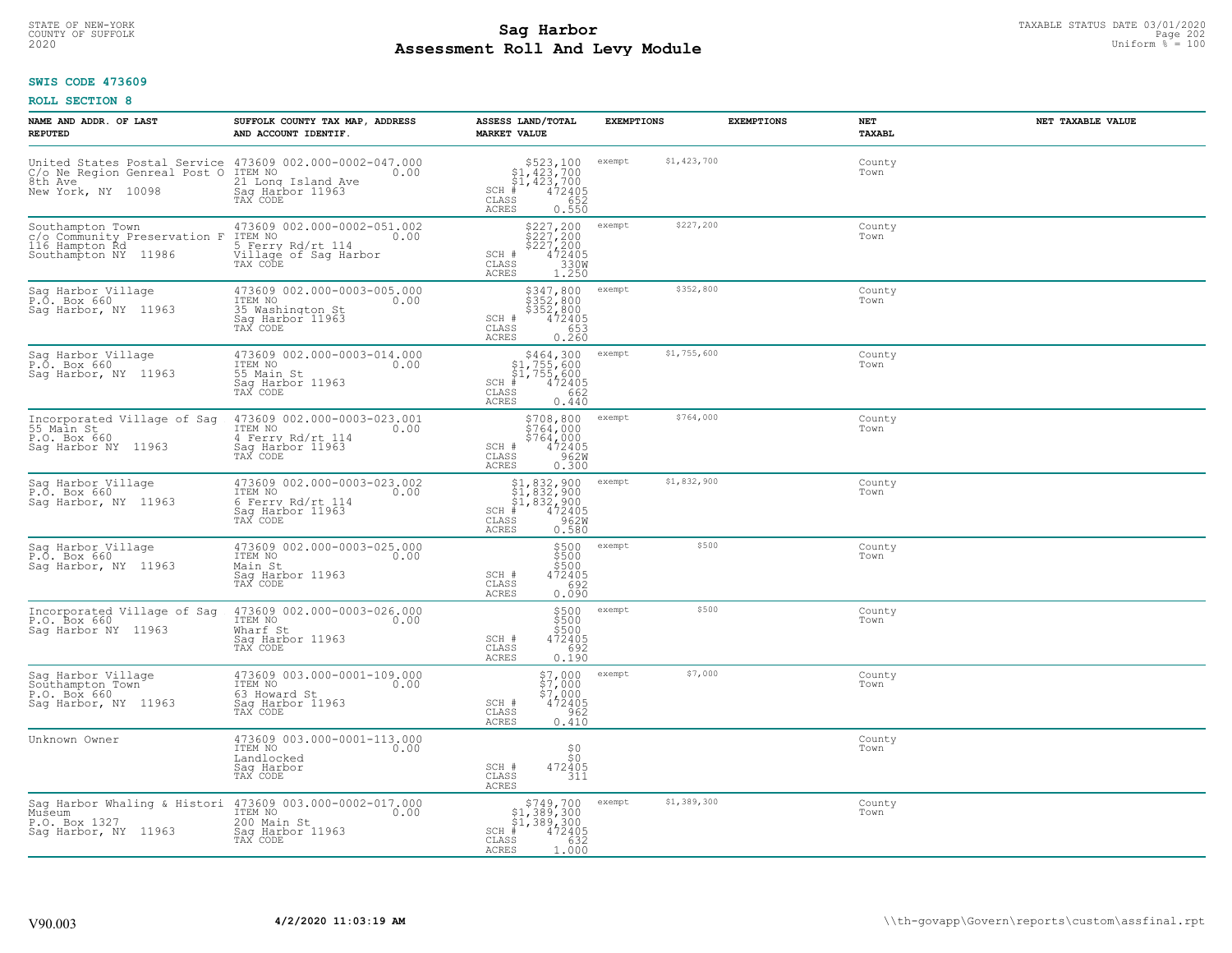# TAXABLE STATUS DATE 03/01/2020<br>COUNTY OF SUFFOLK Page 202 **Assessment Roll And Levy Module Example 2020** Uniform  $\frac{1}{8}$  = 100

## **SWIS CODE 473609**

| NAME AND ADDR. OF LAST<br><b>REPUTED</b>                                                                                               | SUFFOLK COUNTY TAX MAP, ADDRESS<br>AND ACCOUNT IDENTIF.                                                  | ASSESS LAND/TOTAL<br><b>MARKET VALUE</b>                                                                         | <b>EXEMPTIONS</b>     | <b>EXEMPTIONS</b> | NET<br><b>TAXABL</b> | NET TAXABLE VALUE |
|----------------------------------------------------------------------------------------------------------------------------------------|----------------------------------------------------------------------------------------------------------|------------------------------------------------------------------------------------------------------------------|-----------------------|-------------------|----------------------|-------------------|
| United States Postal Service 473609 002.000-0002-047.000<br>C/o Ne Region Genreal Post O ITEM NO 0.00<br>8th Ave<br>New York, NY 10098 | 21 Long Island Ave<br>Saq Harbor 11963                                                                   | $$523,100$<br>$$1,423,700$<br>$$1,423,700$<br>$# 472405$<br>$$52$<br>$$652$<br>SCH<br>CLASS<br>ACRES<br>0.550    | \$1,423,700<br>exempt |                   | County<br>Town       |                   |
| Southampton Town<br>c/o Community Preservation F<br>116 Hampton Rd<br>Southampton NY 11986                                             | 473609 002.000-0002-051.002<br>ITEM NO<br>0.00<br>5 Ferry Rd/rt 114<br>Village of Sag Harbor<br>TAX CODE | \$227,200<br>\$227,200<br>\$227,200<br>472405<br>4330M<br>SCH #<br>CLASS<br>1.250<br>ACRES                       | \$227,200<br>exempt   |                   | County<br>Town       |                   |
| Saq Harbor Village<br>P.O. Box 660<br>Saq Harbor, NY 11963                                                                             | 473609 002.000-0003-005.000<br>ITEM NO<br>0.00<br>35 Washington St<br>Sag Harbor 11963<br>TAX CODE       | \$347,800<br>\$352,800<br>\$352,800<br>472405<br>SCH #<br>653<br>CLASS<br><b>ACRES</b><br>0.260                  | \$352,800<br>exempt   |                   | County<br>Town       |                   |
| Sag Harbor Village<br>P.O. Box 660<br>Sag Harbor, NY 11963                                                                             | 473609 002.000-0003-014.000<br>ITEM NO<br>0.00<br>55 Main St<br>Saq Harbor 11963<br>TAX CODE             | $$464,300$<br>$$1,755,600$<br>$$1,755,600$<br>$SCH$ #<br>$\frac{472405}{662}$<br>CLASS<br>ACRES<br>0.440         | \$1,755,600<br>exempt |                   | County<br>Town       |                   |
| Incorporated Village of Sag<br>55 Main St<br>P.O. Box 660<br>Sag Harbor NY 11963                                                       | 473609 002.000-0003-023.001<br>ITEM NO<br>0.00<br>4 Ferry Rd/rt 114<br>Saq Harbor 11963<br>TAX CODE      | \$708,800<br>5764,000<br>$$764.000$<br>SCH #<br>$\frac{472405}{9620}$<br>CLASS<br><b>ACRES</b><br>0.300          | \$764,000<br>exempt   |                   | County<br>Town       |                   |
| Sag Harbor Village<br>P.O. Box 660<br>Sag Harbor, NY 11963                                                                             | 473609 002.000-0003-023.002<br>ITEM NO<br>0.00<br>6 Ferry Rd/rt 114<br>Sag Harbor 11963<br>TAX CODE      | \$1,832,900<br>\$1,832,900<br>\$1,832,900<br>#472405<br>\$50,962M<br>$SCH$ #<br>CLASS<br>0.580<br>ACRES          | \$1,832,900<br>exempt |                   | County<br>Town       |                   |
| Saq Harbor Village<br>P.O. Box 660<br>Sag Harbor, NY 11963                                                                             | 473609 002.000-0003-025.000<br>ITEM NO<br>0.00<br>Main St<br>Sag Harbor 11963<br>TAX CODE                | \$500<br>\$500<br>\$500<br>472405<br>SCH #<br>692<br>CLASS<br>0.090<br>ACRES                                     | \$500<br>exempt       |                   | County<br>Town       |                   |
| Incorporated Village of Sag<br>P.O. Box 660<br>Sag Harbor NY 11963                                                                     | 473609 002.000-0003-026.000<br>ITEM NO<br>0.00<br>Wharf St<br>Saq Harbor 11963<br>TAX CODE               | \$500<br>\$500<br>\$500<br>472405<br>SCH #<br>CLASS<br>692<br>ACRES<br>0.190                                     | \$500<br>exempt       |                   | County<br>Town       |                   |
| Sag Harbor Village<br>Southampton Town<br>P.O. Box 660<br>Saq Harbor, NY 11963                                                         | 473609 003.000-0001-109.000<br>ITEM NO<br>0.00<br>63 Howard St<br>Saq Harbor 11963<br>TAX CODE           | $$7,000$<br>$$7,000$<br>$$7,000$<br>$472405$<br>SCH #<br>CLASS<br>0.410<br><b>ACRES</b>                          | \$7,000<br>exempt     |                   | County<br>Town       |                   |
| Unknown Owner                                                                                                                          | 473609 003.000-0001-113.000<br>ITEM NO<br>0.00<br>Landlocked<br>Sag Harbor<br>TAX CODE                   | ${}^{50}_{50}$<br>472405<br>311<br>SCH #<br>CLASS<br>ACRES                                                       |                       |                   | County<br>Town       |                   |
| Sag Harbor Whaling & Histori 473609 003.000-0002-017.000<br>Museum<br>P.O. Box 1327<br>Saq Harbor, NY 11963                            | ITEM NO<br>0.00<br>200 Main St<br>Saq Harbor 11963<br>TAX CODE                                           | $$749,700$<br>$$1,389,300$<br>$$1,389,300$<br>$472405$<br>$$382$<br>$$632$<br>$SCH$ #<br>CLASS<br>1.000<br>ACRES | \$1,389,300<br>exempt |                   | County<br>Town       |                   |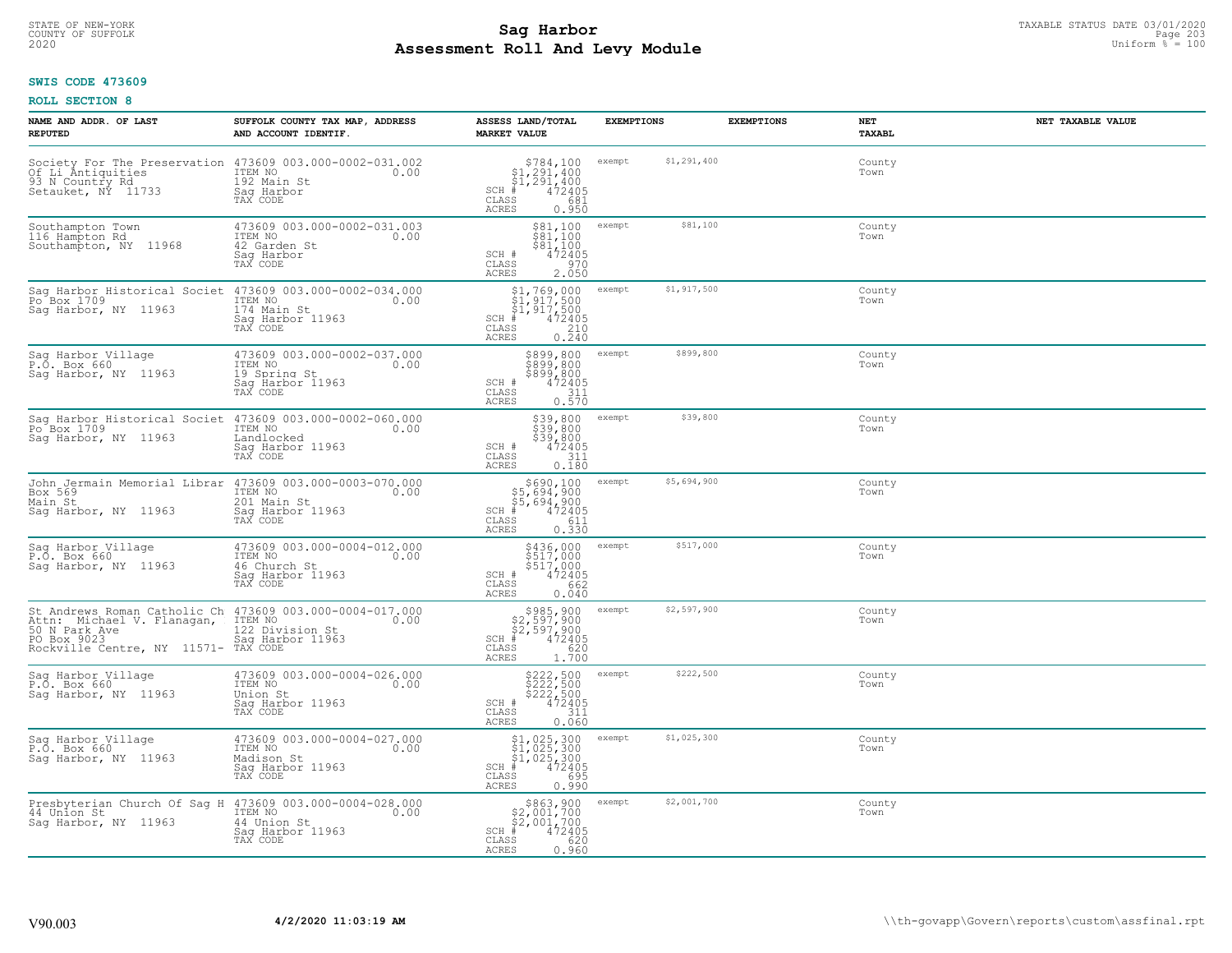# TAXABLE STATUS DATE 03/01/2020<br>COUNTY OF SUFFOLK Page 203 **Assessment Roll And Levy Module Example 2020** Uniform  $\frac{1}{8}$  = 100

## **SWIS CODE 473609**

| NAME AND ADDR. OF LAST<br><b>REPUTED</b>                                                                   | SUFFOLK COUNTY TAX MAP, ADDRESS<br>AND ACCOUNT IDENTIF.                                                                             | ASSESS LAND/TOTAL<br><b>MARKET VALUE</b>                                                                                    | <b>EXEMPTIONS</b>     | <b>EXEMPTIONS</b> | NET<br>TAXABL  | NET TAXABLE VALUE |
|------------------------------------------------------------------------------------------------------------|-------------------------------------------------------------------------------------------------------------------------------------|-----------------------------------------------------------------------------------------------------------------------------|-----------------------|-------------------|----------------|-------------------|
| 93 N Country Rd<br>Setauket, NY 11733                                                                      | Society For The Preservation 473609 003.000-0002-031.002<br>Of Li Antiquities ITEM NO 0.00<br>192 Main St<br>Saq Harbor<br>TAX CODE | $\begin{array}{c} $784,100\n $1,291,400\n $1,291,400\n $472405 \end{array}$<br>$SCH$ #<br>CLASS<br>681<br>ACRES<br>0.950    | \$1,291,400<br>exempt |                   | County<br>Town |                   |
| Southampton Town<br>116 Hampton Rd<br>Southampton, NY 11968                                                | 473609 003.000-0002-031.003<br>ITEM NO<br>0.00<br>42 Garden St<br>Sag Harbor<br>TAX CODE                                            | $\begin{array}{l} $81,100 \\ $81,100 \\ $81,100 \\ $1,100 \end{array}$<br>SCH #<br>472405<br>970<br>CLASS<br>2.050<br>ACRES | \$81,100<br>exempt    |                   | County<br>Town |                   |
| Sag Harbor Historical Societ 473609 003.000-0002-034.000<br>Po <sup>Box</sup> 1709<br>Sag Harbor, NY 11963 | ITEM NO<br>0.00<br>174 Main St<br>Saq Harbor 11963<br>TAX CODE                                                                      | \$1,769,000<br>$$1,917,500$<br>$$1,917,500$<br>472405<br>$SCH$ #<br>CLASS<br>$\frac{210}{0.240}$<br>ACRES                   | \$1,917,500<br>exempt |                   | County<br>Town |                   |
| Sag Harbor Village<br>P.O. Box 660<br>Sag Harbor, NY 11963                                                 | 473609 003.000-0002-037.000<br>TTEM NO 0.00<br>19 Spring St<br>Saq Harbor 11963<br>TAX CODE                                         | \$899,800 exempt<br>\$899,800<br>\$899,800<br>SCH #<br>472405<br>CLASS<br>311<br>ACRES<br>0.570                             | \$899,800             |                   | County<br>Town |                   |
| Po <sup>-</sup> Box 1709<br>Sag Harbor, NY 11963                                                           | Sag_Harbor_Historical Societ 473609 003.000-0002-060.000<br>ITEM NO<br>0.00<br>Landlocked<br>Saq Harbor 11963<br>TAX CODE           | $$39,800$ exempt<br>\$39,800<br>\$39,800<br>SCH #<br>472405<br>CLASS<br>311<br>ACRES<br>0.180                               | \$39,800              |                   | County<br>Town |                   |
| Box 569<br>Main St<br>Saq Harbor, NY 11963                                                                 | John Jermain Memorial Librar 473609 003.000-0003-070.000<br>ITEM NO<br>0.00<br>201 Main St<br>Sag Harbor 11963<br>TAX CODE          | $$690,100$<br>$$5,694,900$<br>$$5,694,900$<br>$$472405$<br>$SCH$ #<br>611<br>CLASS<br>0.330<br>ACRES                        | \$5,694,900<br>exempt |                   | County<br>Town |                   |
| Sag Harbor Village<br>P.O. Box 660<br>Saq Harbor, NY 11963                                                 | 473609 003.000-0004-012.000<br>ITEM NO<br>0.00<br>46 Church St<br>Saq Harbor 11963<br>TAX CODE                                      | \$436,000<br>\$517,000<br>\$517,000<br>472405<br>SCH #<br>662<br>CLASS<br>0.040<br>ACRES                                    | \$517,000<br>exempt   |                   | County<br>Town |                   |
| Attn: Michael V. Flanagan,                                                                                 | St Andrews Roman Catholic Ch 473609 003.000-0004-017.000<br>Attn: Michael V. Flanagan, ITEM NO 0.00                                 | $$985, 900$<br>$$2, 597, 900$<br>$$2, 597, 900$<br>$*$ $472405$<br>$SCH$ #<br>CLASS<br>620<br><b>ACRES</b><br>1.700         | \$2,597,900<br>exempt |                   | County<br>Town |                   |
| Sag Harbor Village<br>P.O. Box 660<br>Sag Harbor, NY 11963                                                 | 473609 003.000-0004-026.000<br>ITEM NO<br>0.00<br>Union St<br>Saq Harbor 11963<br>TAX CODE                                          | \$222,500 exempt<br>\$222,500<br>\$222,500<br>\$222,500<br>SCH #<br>CLASS<br>311<br><b>ACRES</b><br>0.060                   | \$222,500             |                   | County<br>Town |                   |
| Sag Harbor Village<br>P.O. Box 660<br>Sag Harbor, NY 11963                                                 | 473609 003.000-0004-027.000<br>ITEM NO<br>$\sim$ 0.00<br>Madison St<br>Saq Harbor 11963<br>TAX CODE                                 | \$1,025,300<br>\$1,025,300<br>\$1,025,300<br># 472405<br>$SCH$ #<br>CLASS<br>695<br><b>ACRES</b><br>0.990                   | \$1,025,300<br>exempt |                   | County<br>Town |                   |
| Presbyterian Church Of Sag H 473609 003.000-0004-028.000<br>44 Union St<br>Saq Harbor, NY 11963            | ITEM NO<br>0.00<br>44 Union St<br>Saq Harbor 11963<br>TAX CODE                                                                      | $$863,900$<br>$$2,001,700$<br>$$2,001,700$<br>$SCH$ #<br>472405<br>CLASS<br>620<br>ACRES<br>0.960                           | \$2,001,700<br>exempt |                   | County<br>Town |                   |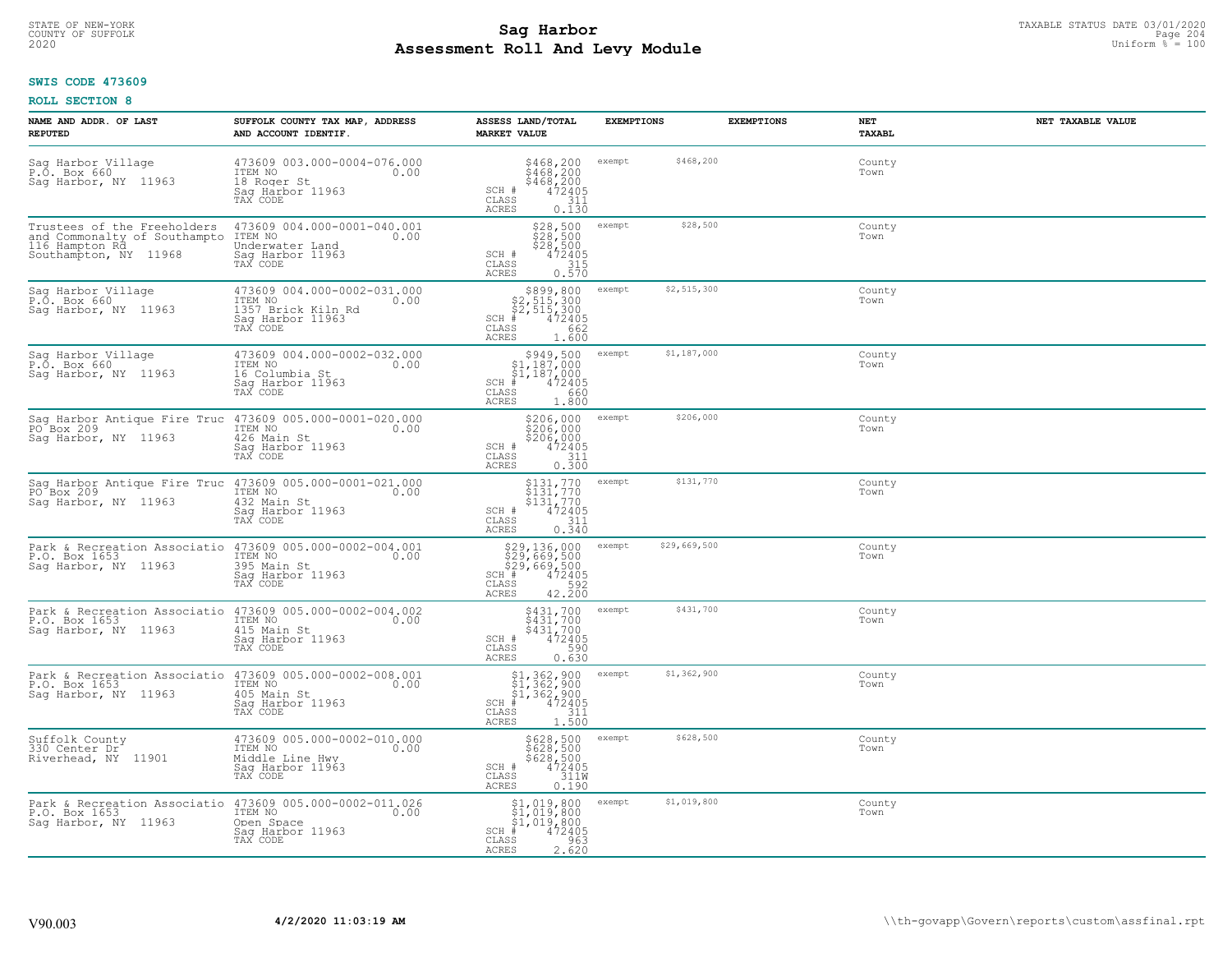# STATE OF NEW-YORK TAXABLE STATUS DATE 03/01/2020<br>204 Page 204 **Assessment Roll And Levy Module Example 2020** Uniform  $\frac{1}{8}$  = 100

## **SWIS CODE 473609**

| NAME AND ADDR. OF LAST<br><b>REPUTED</b>                                                               | SUFFOLK COUNTY TAX MAP, ADDRESS<br>AND ACCOUNT IDENTIF.                                                                   | ASSESS LAND/TOTAL<br><b>MARKET VALUE</b>                                                                             | <b>EXEMPTIONS</b>      | <b>EXEMPTIONS</b><br>NET<br><b>TAXABL</b> | NET TAXABLE VALUE |
|--------------------------------------------------------------------------------------------------------|---------------------------------------------------------------------------------------------------------------------------|----------------------------------------------------------------------------------------------------------------------|------------------------|-------------------------------------------|-------------------|
| Sag Harbor Village<br>P.O. Box 660<br>Sag Harbor, NY 11963                                             | 473609 003.000-0004-076.000<br>ITEM NO<br>0.00<br>18 Roger St<br>Saq Harbor 11963<br>TAX CODE                             | $$468, 200$<br>$$468, 200$<br>$$468, 200$<br>$472405$<br>$$311$<br>SCH #<br>CLASS<br><b>ACRES</b><br>0.130           | \$468,200<br>exempt    | County<br>Town                            |                   |
| Trustees of the Freeholders<br>and Commonalty of Southampto<br>116 Hampton Rd<br>Southampton, NY 11968 | 473609 004.000-0001-040.001<br>ITEM NO<br>Underwater Land<br>0.00<br>Sag Harbor 11963<br>TAX CODE                         | \$28,500<br>\$28,500<br>\$28,500<br>472405<br>SCH #<br>CLASS<br>315<br>ACRES<br>0.570                                | \$28,500<br>exempt     | County<br>Town                            |                   |
| Sag Harbor Village<br>P.O. Box 660<br>Sag Harbor, NY 11963                                             | 473609 004.000-0002-031.000<br>ITEM NO<br>0.00<br>1357 Brick Kiln Rd<br>Sag Harbor 11963<br>TAX CODE                      | \$899,800<br>\$2,515,300<br>\$2,515,300<br>#2,515,300<br>$SCH$ #<br>CLASS<br>662<br>1.600<br>ACRES                   | \$2,515,300<br>exempt  | County<br>Town                            |                   |
| Sag Harbor Village<br>P.O. Box 660<br>Saq Harbor, NY 11963                                             | 473609 004.000-0002-032.000<br>ITEM NO<br>0.00<br>16 Columbia St<br>Saq Harbor 11963<br>TAX CODE                          | $$949,500$<br>$$1,187,000$<br>$\frac{1}{4}$ , 187, 000<br>472405<br>$SCH$ #<br>CLASS<br>660<br><b>ACRES</b><br>1,800 | \$1,187,000<br>exempt  | County<br>Town                            |                   |
| Sag Harbor Antique Fire Truc<br>PO Box 209<br>Sag Harbor, NY 11963                                     | 473609 005.000-0001-020.000<br>ITEM NO<br>0.00<br>426 Main St<br>Saq Harbor 11963<br>TAX CODE                             | \$206,000<br>$\begin{matrix} 2006,000 \\ 206,000 \\ 472405 \\ 0.300 \end{matrix}$<br>SCH #<br>CLASS<br>ACRES         | \$206,000<br>exempt    | County<br>Town                            |                   |
| Sag Harbor Antique Fire Truc 473609 005.000-0001-021.000<br>PO Box 209<br>Sag Harbor, NY 11963         | ITEM NO<br>0.00<br>432 Main St<br>Sag Harbor 11963<br>TAX CODE                                                            | \$131,770<br>\$131,770<br>\$131,770<br>472405<br>SCH #<br>311<br>CLASS<br><b>ACRES</b><br>0.340                      | \$131,770<br>exempt    | County<br>Town                            |                   |
| Park & Recreation Associatio<br>P.O. Box 1653<br>Saq Harbor, NY 11963                                  | 473609 005.000-0002-004.001<br>ITEM NO<br>0.00<br>395 Main St<br>Sag Harbor 11963<br>TAX CODE                             | \$29,136,000<br>\$29,669,500<br>\$29,669,500<br>#1#472405<br>SCH #<br>CLASS<br>42.200<br><b>ACRES</b>                | \$29,669,500<br>exempt | County<br>Town                            |                   |
| Park & Recreation Associatio<br>P.O. Box 1653<br>Saq Harbor, NY 11963                                  | 473609 005.000-0002-004.002<br>100 0.00<br>415 Main St<br>Saq Harbor 11963<br>TAX CODE                                    | \$431,700<br>\$431,700<br>\$431,700<br>472405<br>590<br>SCH #<br>CLASS<br><b>ACRES</b><br>0.630                      | \$431,700<br>exempt    | County<br>Town                            |                   |
| Park & Recreation Associatio<br>P.O. Box 1653<br>Sag Harbor, NY 11963                                  | 473609 005.000-0002-008.001<br>ITEM NO<br>0.00<br>405 Main St<br>Saq Harbor 11963<br>TAX CODE                             | $$1,362,900$<br>$$1,362,900$<br>$$1,362,900$<br>$472405$<br>$352$<br>$311$<br>SCH #<br>CLASS<br>1.500<br>ACRES       | \$1,362,900<br>exempt  | County<br>Town                            |                   |
| Suffolk County<br>330 Center Dr<br>Riverhead, NY 11901                                                 | 473609 005.000-0002-010.000<br>ITEM NO<br>0.00<br>Middle Line Hwy<br>Sag Harbor 11963<br>TAX CODE                         | \$628,500<br>\$628,500<br>\$628,500<br>472405<br>SCH #<br>311W<br>CLASS<br><b>ACRES</b><br>0.190                     | \$628,500<br>exempt    | County<br>Town                            |                   |
| P.O. Box 1653<br>Saq Harbor, NY 11963                                                                  | Park & Recreation Associatio 473609 005.000-0002-011.026<br>ITEM NO<br>0.00<br>Open Space<br>Sag Harbor 11963<br>TAX CODE | $$1,019,800$<br>$$1,019,800$<br>$$1,019,800$<br>$SCH$ #<br>472405<br>CLASS<br>963<br>2.620<br>ACRES                  | \$1,019,800<br>exempt  | County<br>Town                            |                   |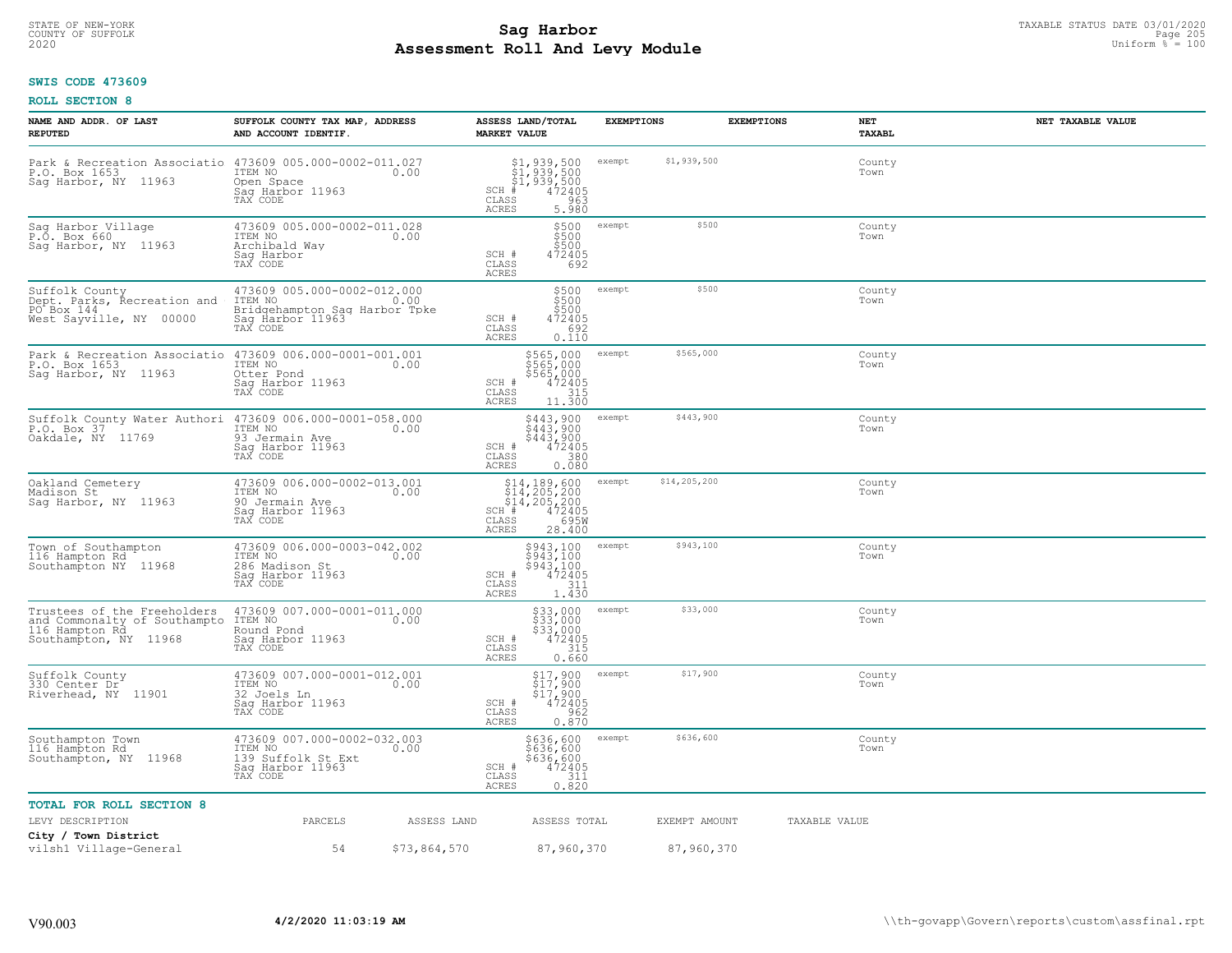# TAXABLE STATUS DATE 03/01/2020<br>COUNTY OF SUFFOLK Page 205 Page 205 **Assessment Roll And Levy Module Example 2020** Uniform  $\frac{1}{8}$  = 100

## **SWIS CODE 473609**

| NAME AND ADDR. OF LAST<br><b>REPUTED</b>                                                               | SUFFOLK COUNTY TAX MAP, ADDRESS<br>AND ACCOUNT IDENTIF.                                                 |              | ASSESS LAND/TOTAL<br><b>MARKET VALUE</b>                                                                                                          | <b>EXEMPTIONS</b> |               | <b>EXEMPTIONS</b> | NET<br>TAXABL  | NET TAXABLE VALUE |
|--------------------------------------------------------------------------------------------------------|---------------------------------------------------------------------------------------------------------|--------------|---------------------------------------------------------------------------------------------------------------------------------------------------|-------------------|---------------|-------------------|----------------|-------------------|
| Park & Recreation Associatio 473609 005.000-0002-011.027<br>P.O. Box 1653<br>Saq Harbor, NY 11963      | ITEM NO<br>Open Space<br>Saq Harbor 11963<br>TAX CODE                                                   | 0.00         | \$1,939,500<br>\$1,939,500<br>\$1,939,500<br>#1,939,500<br>SCH<br>CLASS<br>963<br>ACRES<br>5.980                                                  | exempt            | \$1,939,500   |                   | County<br>Town |                   |
| Sag Harbor Village<br>P.O. Box 660<br>Saq Harbor, NY 11963                                             | 473609 005.000-0002-011.028<br>ITEM NO<br>Archibald Way<br>Sag Harbor<br>TAX CODE                       | 0.00         | \$500<br>\$500<br>\$500<br>SCH #<br>472405<br>692<br>CLASS<br>ACRES                                                                               | exempt            | \$500         |                   | County<br>Town |                   |
| Suffolk County<br>Dept. Parks, Recreation and<br>PO Box 144<br>West Sayville, NY 00000                 | 473609 005.000-0002-012.000<br>ITEM NO<br>Bridgehampton Sag Harbor Tpke<br>Sag Harbor 11963<br>TAX CODE | 0.00         | \$500<br>\$500<br>\$500<br>SCH #<br>472405<br>692<br>CLASS<br>ACRES<br>0.110                                                                      | exempt            | \$500         |                   | County<br>Town |                   |
| Park & Recreation Associatio<br>P.O. Box 1653<br>Sag Harbor, NY 11963                                  | 473609 006.000-0001-001.001<br>ITEM NO<br>Otter Pond<br>Sag Harbor 11963<br>TAX CODE                    | 0.00         | \$565,000<br>\$565,000<br>$$565,000$<br>472405<br>315<br>SCH #<br>CLASS<br><b>ACRES</b><br>11.300                                                 | exempt            | \$565,000     |                   | County<br>Town |                   |
| Suffolk County Water Authori<br>P.O. Box 37<br>Oakdale, NY 11769                                       | 473609 006.000-0001-058.000<br>ITEM NO<br>93 Jermain Ave<br>Sag Harbor 11963<br>TAX CODE                | 0.00         | \$443,900<br>\$443,900<br>\$443,900<br>472405<br>3800<br>SCH #<br>CLASS<br><b>ACRES</b><br>0.080                                                  | exempt            | \$443,900     |                   | County<br>Town |                   |
| Oakland Cemetery<br>Madison St<br>Sag Harbor, NY 11963                                                 | 473609 006.000-0002-013.001<br>ITEM NO<br>90 Jermain Ave<br>Sag Harbor 11963<br>TAX CODE                | 0.00         | $514, 189, 600$<br>$514, 205, 200$<br>$514, 205, 200$<br>$514, 205, 200$<br>$472405$<br>$85$<br>$950$<br>SCH #<br>CLASS<br><b>ACRES</b><br>28.400 | exempt            | \$14,205,200  |                   | County<br>Town |                   |
| Town of Southampton<br>116 Hampton Rd<br>Southampton NY 11968                                          | 473609 006.000-0003-042.002<br>ITEM NO<br>286 Madison St<br>Sag Harbor 11963<br>TAX CODE                | 0.00         | \$943,100<br>\$943,100<br>\$943,100<br>SCH #<br>472405<br>311<br>CLASS<br><b>ACRES</b><br>1.430                                                   | exempt            | \$943,100     |                   | County<br>Town |                   |
| Trustees of the Freeholders<br>and Commonalty of Southampto<br>116 Hampton Rd<br>Southampton, NY 11968 | 473609 007.000-0001-011.000<br>ITEM NO<br>Round Pond<br>Sag Harbor 11963<br>TAX CODE                    | 0.00         | \$33,000<br>$$33,000$<br>$$33,000$<br>SCH #<br>472405<br>CLASS<br>315<br><b>ACRES</b><br>0.660                                                    | exempt            | \$33,000      |                   | County<br>Town |                   |
| Suffolk County<br>330 Center Dr <sup>+</sup><br>Riverhead, NY 11901                                    | 473609 007.000-0001-012.001<br>ITEM NO<br>32 Joels Ln<br>Saq Harbor 11963<br>TAX CODE                   | 0.00         | \$17,900<br>$$17,900$<br>$$17,900$<br>472405<br>SCH #<br>CLASS<br>962<br>ACRES<br>0.870                                                           | exempt            | \$17,900      |                   | County<br>Town |                   |
| Southampton Town<br>116 Hampton Rd<br>Southampton, NY 11968                                            | 473609 007.000-0002-032.003<br>ITEM NO<br>139 Suffolk St Ext<br>Sag Harbor 11963<br>TAX CODE            | 0.00         | \$636,600<br>\$636,600<br>\$636,600<br>472405<br>SCH #<br>CLASS<br>$\frac{311}{0.820}$<br>ACRES                                                   | exempt            | \$636,600     |                   | County<br>Town |                   |
| <b>TOTAL FOR ROLL SECTION 8</b>                                                                        |                                                                                                         |              |                                                                                                                                                   |                   |               |                   |                |                   |
| LEVY DESCRIPTION                                                                                       | PARCELS                                                                                                 | ASSESS LAND  | ASSESS TOTAL                                                                                                                                      |                   | EXEMPT AMOUNT | TAXABLE VALUE     |                |                   |
| City / Town District<br>vilsh1 Village-General                                                         | 54                                                                                                      | \$73,864,570 | 87,960,370                                                                                                                                        |                   | 87,960,370    |                   |                |                   |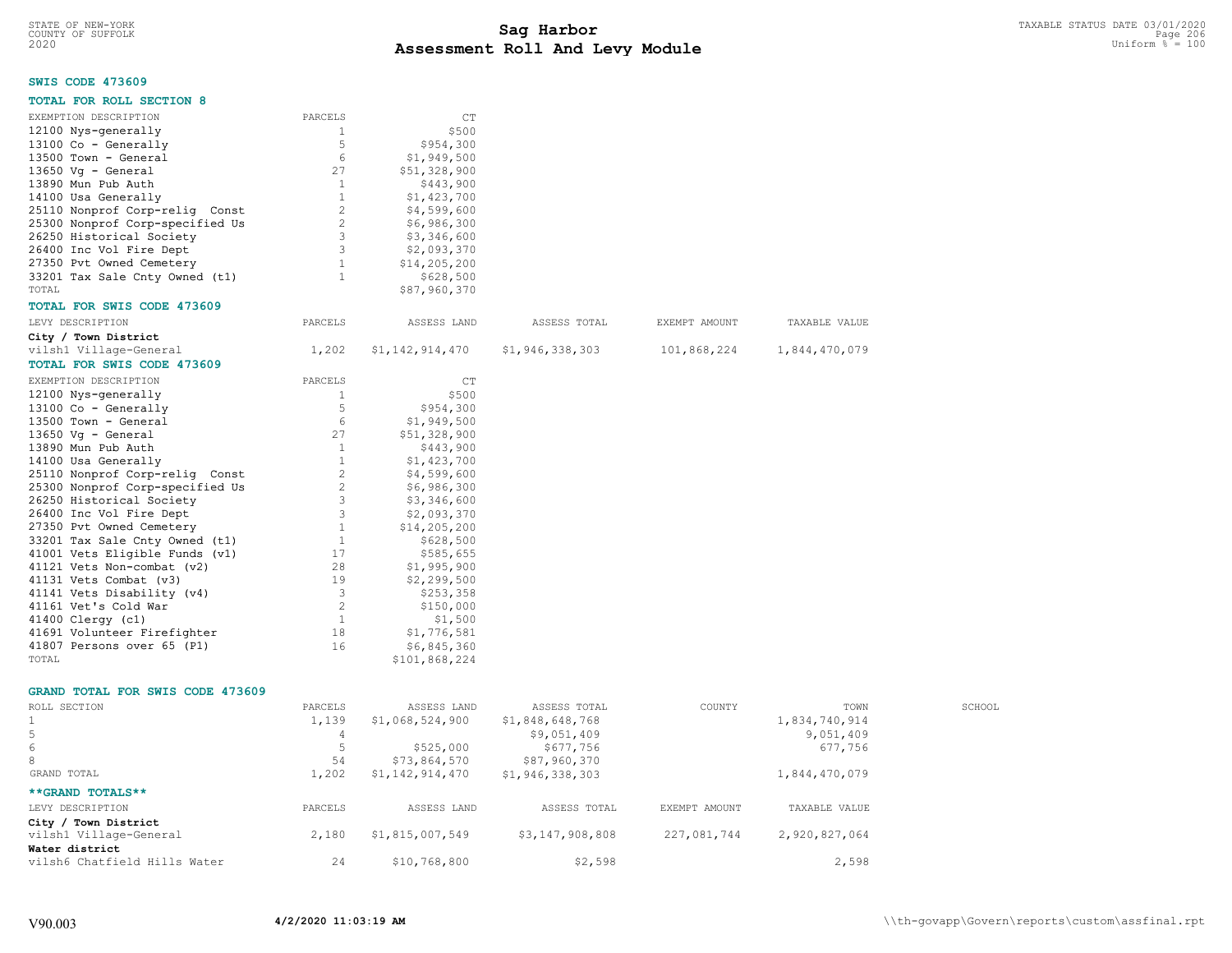1,202 \$1,142,914,470 \$1,946,338,303 1,844,470,079

## **SWIS CODE 473609**

| <b>TOTAL FOR ROLL SECTION 8</b>         |                |                 |                 |               |               |        |
|-----------------------------------------|----------------|-----------------|-----------------|---------------|---------------|--------|
| EXEMPTION DESCRIPTION                   | PARCELS        | CT              |                 |               |               |        |
| 12100 Nys-generally                     | $\mathbf{1}$   | \$500           |                 |               |               |        |
| 13100 Co - Generally                    | 5              | \$954,300       |                 |               |               |        |
| 13500 Town - General                    | 6              | \$1,949,500     |                 |               |               |        |
| 13650 Vg - General                      | 27             | \$51,328,900    |                 |               |               |        |
| 13890 Mun Pub Auth                      | 1              | \$443,900       |                 |               |               |        |
| 14100 Usa Generally                     | $\mathbf{1}$   | \$1,423,700     |                 |               |               |        |
| 25110 Nonprof Corp-relig Const          | $\sqrt{2}$     | \$4,599,600     |                 |               |               |        |
| 25300 Nonprof Corp-specified Us         | $\overline{c}$ | \$6,986,300     |                 |               |               |        |
| 26250 Historical Society                | 3              | \$3,346,600     |                 |               |               |        |
| 26400 Inc Vol Fire Dept                 | 3              | \$2,093,370     |                 |               |               |        |
| 27350 Pvt Owned Cemetery                | $\mathbf{1}$   | \$14,205,200    |                 |               |               |        |
| 33201 Tax Sale Cnty Owned (t1)          | $\mathbf{1}$   | \$628,500       |                 |               |               |        |
| TOTAL                                   |                | \$87,960,370    |                 |               |               |        |
| TOTAL FOR SWIS CODE 473609              |                |                 |                 |               |               |        |
| LEVY DESCRIPTION                        | PARCELS        | ASSESS LAND     | ASSESS TOTAL    | EXEMPT AMOUNT | TAXABLE VALUE |        |
| City / Town District                    |                |                 |                 |               |               |        |
| vilsh1 Village-General                  | 1,202          | \$1,142,914,470 | \$1,946,338,303 | 101,868,224   | 1,844,470,079 |        |
| TOTAL FOR SWIS CODE 473609              |                |                 |                 |               |               |        |
| EXEMPTION DESCRIPTION                   | PARCELS        | <b>CT</b>       |                 |               |               |        |
| 12100 Nys-generally                     | 1              | \$500           |                 |               |               |        |
| 13100 Co - Generally                    | 5              | \$954,300       |                 |               |               |        |
| 13500 Town - General                    | 6              | \$1,949,500     |                 |               |               |        |
| $13650$ Vq - General                    | 27             | \$51,328,900    |                 |               |               |        |
| 13890 Mun Pub Auth                      | 1              | \$443,900       |                 |               |               |        |
| 14100 Usa Generally                     | $\mathbf{1}$   | \$1,423,700     |                 |               |               |        |
| 25110 Nonprof Corp-relig Const          | $\overline{c}$ | \$4,599,600     |                 |               |               |        |
| 25300 Nonprof Corp-specified Us         | $\overline{c}$ | \$6,986,300     |                 |               |               |        |
| 26250 Historical Society                | 3              | \$3,346,600     |                 |               |               |        |
| 26400 Inc Vol Fire Dept                 | 3              | \$2,093,370     |                 |               |               |        |
| 27350 Pvt Owned Cemetery                | $\mathbf{1}$   | \$14, 205, 200  |                 |               |               |        |
| 33201 Tax Sale Cnty Owned (t1)          | $\mathbf{1}$   | \$628,500       |                 |               |               |        |
| 41001 Vets Eligible Funds (v1)          | 17             | \$585,655       |                 |               |               |        |
| 41121 Vets Non-combat (v2)              | 28             | \$1,995,900     |                 |               |               |        |
| 41131 Vets Combat (v3)                  | 19             | \$2,299,500     |                 |               |               |        |
| 41141 Vets Disability (v4)              | 3              | \$253,358       |                 |               |               |        |
| 41161 Vet's Cold War                    | $\overline{2}$ | \$150,000       |                 |               |               |        |
| 41400 Clergy (c1)                       | 1              | \$1,500         |                 |               |               |        |
| 41691 Volunteer Firefighter             | 18             | \$1,776,581     |                 |               |               |        |
| 41807 Persons over 65 (P1)              | 16             | \$6,845,360     |                 |               |               |        |
| TOTAL                                   |                | \$101,868,224   |                 |               |               |        |
| <b>GRAND TOTAL FOR SWIS CODE 473609</b> |                |                 |                 |               |               |        |
| ROLL SECTION                            | PARCELS        | ASSESS LAND     | ASSESS TOTAL    | COUNTY        | TOWN          | SCHOOL |
| 1                                       | 1,139          | \$1,068,524,900 | \$1,848,648,768 |               | 1,834,740,914 |        |
| 5                                       | 4              |                 | \$9,051,409     |               | 9,051,409     |        |
| 6                                       | 5              | \$525,000       | \$677,756       |               | 677,756       |        |

LEVY DESCRIPTION PARCELS ASSESS LAND ASSESS TOTAL EXEMPT AMOUNT TAXABLE VALUE

vilsh1 Village-General 2,180 \$1,815,007,549 \$3,147,908,808 227,081,744 2,920,827,064

vilsh6 Chatfield Hills Water 24 \$10,768,800 \$2,598 \$2,598 2,598

**\*\*GRAND TOTALS\*\***

**Water district**

**City / Town District**

8 54 \$73,864,570 \$87,960,370<br>
GRAND TOTAL STRAND TOTAL SERAND TOTAL SERAND TOTAL SERAND TOTAL SERAND SERAND SERANG SERANG SERANG SERIES SERANG SERANG SERANG SERANG SERANG SERANG SERANG SERANG SERANG SERANG SERANG SERANG S